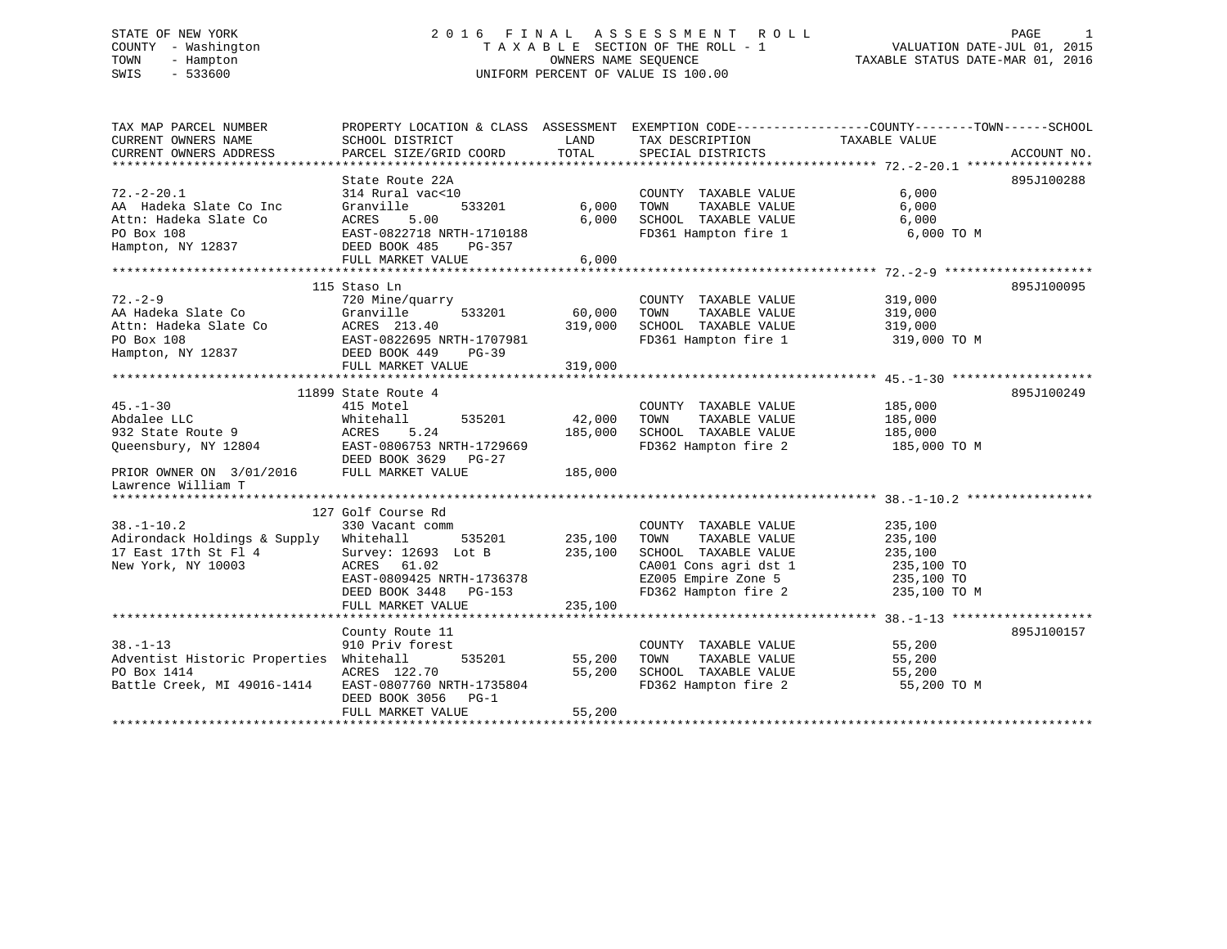# STATE OF NEW YORK 2 0 1 6 F I N A L A S S E S S M E N T R O L L PAGE 1 COUNTY - Washington T A X A B L E SECTION OF THE ROLL - 1 VALUATION DATE-JUL 01, 2015 TOWN - Hampton OWNERS NAME SEQUENCE TAXABLE STATUS DATE-MAR 01, 2016 SWIS - 533600 UNIFORM PERCENT OF VALUE IS 100.00

| TAXABLE VALUE<br>TOTAL<br>CURRENT OWNERS ADDRESS<br>PARCEL SIZE/GRID COORD<br>SPECIAL DISTRICTS<br>ACCOUNT NO.<br>895J100288<br>State Route 22A<br>6,000<br>$72. - 2 - 20.1$<br>314 Rural vac<10<br>COUNTY TAXABLE VALUE<br>533201<br>6,000<br>AA Hadeka Slate Co Inc<br>Granville<br>6,000 TOWN<br>TAXABLE VALUE<br>SCHOOL TAXABLE VALUE<br>Attn: Hadeka Slate Co<br>ACRES<br>5.00<br>6,000<br>6,000<br>FD361 Hampton fire 1<br>6,000 TO M<br>PO Box 108<br>EAST-0822718 NRTH-1710188<br>DEED BOOK 485 PG-357<br>Hampton, NY 12837<br>FULL MARKET VALUE<br>6,000<br>895J100095<br>115 Staso Ln<br>uarry COUNTY<br>533201 60,000 TOWN<br>COUNTY TAXABLE VALUE<br>319,000<br>TAXABLE VALUE<br>72.-2-9<br>AA Hadeka Slate Co Granville<br>Attn: Hadeka Slate Co ACRES 213.40<br>PO Box 108<br>PO Box 108<br>PO BOX 108<br>PO BOX 108<br>PO BOX 108<br>PO BOX 108<br>PO BOX 108<br>PO BOX 108<br>PO BOX 108<br>PO BOX 108<br>PO BOX 108<br>PO BOX 108<br>PO<br>319,000<br>319,000 SCHOOL TAXABLE VALUE 319,000<br>FD361 Hampton fire 1 319,000 TO M<br>319,000<br>11899 State Route 4<br>895J100249<br>$45. - 1 - 30$<br>415 Motel<br>COUNTY TAXABLE VALUE<br>185,000<br>42,000<br>Whitehall<br>535201<br>TAXABLE VALUE<br>185,000<br>Abdalee LLC<br>932 State Route 9<br>TOWN<br>185,000<br>SCHOOL TAXABLE VALUE<br>ACRES<br>5.24<br>185,000<br>Queensbury, NY 12804 EAST-0806753 NRTH-1729669<br>FD362 Hampton fire 2 185,000 TO M<br>DEED BOOK 3629 PG-27<br>PRIOR OWNER ON 3/01/2016 FULL MARKET VALUE<br>185,000<br>Lawrence William T<br>127 Golf Course Rd<br>COUNTY<br>535201 235,100 TOWN<br>$38. - 1 - 10.2$<br>330 Vacant comm<br>COUNTY TAXABLE VALUE<br>235,100<br>TAXABLE VALUE<br>Adirondack Holdings & Supply Whitehall<br>235,100<br>17 East 17th St Fl 4<br>Survey: 12693 Lot B 235,100<br>235,100<br>SCHOOL TAXABLE VALUE<br>235,100 TO<br>New York, NY 10003<br>ACRES 61.02<br>CA001 Cons agri dst 1<br>EZ005 Empire Zone 5<br>235,100 TO<br>EAST-0809425 NRTH-1736378<br>FD362 Hampton fire 2 235,100 TO M<br>DEED BOOK 3448 PG-153<br>235,100<br>FULL MARKET VALUE<br>895J100157<br>County Route 11<br>COUNTY TAXABLE VALUE<br>55,200<br>$38. - 1 - 13$<br>910 Priv forest<br>Adventist Historic Properties<br>535201 55,200<br>Whitehall<br>TOWN<br>TAXABLE VALUE<br>55,200<br>PO Box 1414<br>55,200<br>SCHOOL TAXABLE VALUE<br>FD362 Hampton fire 2<br>55,200<br>ACRES 122.70<br>Battle Creek, MI 49016-1414<br>EAST-0807760 NRTH-1735804<br>55,200 TO M<br>DEED BOOK 3056 PG-1<br>FULL MARKET VALUE<br>55,200 | TAX MAP PARCEL NUMBER | PROPERTY LOCATION & CLASS ASSESSMENT EXEMPTION CODE---------------COUNTY-------TOWN------SCHOOL |      |                 |  |
|-------------------------------------------------------------------------------------------------------------------------------------------------------------------------------------------------------------------------------------------------------------------------------------------------------------------------------------------------------------------------------------------------------------------------------------------------------------------------------------------------------------------------------------------------------------------------------------------------------------------------------------------------------------------------------------------------------------------------------------------------------------------------------------------------------------------------------------------------------------------------------------------------------------------------------------------------------------------------------------------------------------------------------------------------------------------------------------------------------------------------------------------------------------------------------------------------------------------------------------------------------------------------------------------------------------------------------------------------------------------------------------------------------------------------------------------------------------------------------------------------------------------------------------------------------------------------------------------------------------------------------------------------------------------------------------------------------------------------------------------------------------------------------------------------------------------------------------------------------------------------------------------------------------------------------------------------------------------------------------------------------------------------------------------------------------------------------------------------------------------------------------------------------------------------------------------------------------------------------------------------------------------------------------------------------------------------------------------------------------------------------------------------------------------------------------------------------------------------------------------------------------------------------------|-----------------------|-------------------------------------------------------------------------------------------------|------|-----------------|--|
|                                                                                                                                                                                                                                                                                                                                                                                                                                                                                                                                                                                                                                                                                                                                                                                                                                                                                                                                                                                                                                                                                                                                                                                                                                                                                                                                                                                                                                                                                                                                                                                                                                                                                                                                                                                                                                                                                                                                                                                                                                                                                                                                                                                                                                                                                                                                                                                                                                                                                                                                     | CURRENT OWNERS NAME   | SCHOOL DISTRICT                                                                                 | LAND | TAX DESCRIPTION |  |
|                                                                                                                                                                                                                                                                                                                                                                                                                                                                                                                                                                                                                                                                                                                                                                                                                                                                                                                                                                                                                                                                                                                                                                                                                                                                                                                                                                                                                                                                                                                                                                                                                                                                                                                                                                                                                                                                                                                                                                                                                                                                                                                                                                                                                                                                                                                                                                                                                                                                                                                                     |                       |                                                                                                 |      |                 |  |
|                                                                                                                                                                                                                                                                                                                                                                                                                                                                                                                                                                                                                                                                                                                                                                                                                                                                                                                                                                                                                                                                                                                                                                                                                                                                                                                                                                                                                                                                                                                                                                                                                                                                                                                                                                                                                                                                                                                                                                                                                                                                                                                                                                                                                                                                                                                                                                                                                                                                                                                                     |                       |                                                                                                 |      |                 |  |
|                                                                                                                                                                                                                                                                                                                                                                                                                                                                                                                                                                                                                                                                                                                                                                                                                                                                                                                                                                                                                                                                                                                                                                                                                                                                                                                                                                                                                                                                                                                                                                                                                                                                                                                                                                                                                                                                                                                                                                                                                                                                                                                                                                                                                                                                                                                                                                                                                                                                                                                                     |                       |                                                                                                 |      |                 |  |
|                                                                                                                                                                                                                                                                                                                                                                                                                                                                                                                                                                                                                                                                                                                                                                                                                                                                                                                                                                                                                                                                                                                                                                                                                                                                                                                                                                                                                                                                                                                                                                                                                                                                                                                                                                                                                                                                                                                                                                                                                                                                                                                                                                                                                                                                                                                                                                                                                                                                                                                                     |                       |                                                                                                 |      |                 |  |
|                                                                                                                                                                                                                                                                                                                                                                                                                                                                                                                                                                                                                                                                                                                                                                                                                                                                                                                                                                                                                                                                                                                                                                                                                                                                                                                                                                                                                                                                                                                                                                                                                                                                                                                                                                                                                                                                                                                                                                                                                                                                                                                                                                                                                                                                                                                                                                                                                                                                                                                                     |                       |                                                                                                 |      |                 |  |
|                                                                                                                                                                                                                                                                                                                                                                                                                                                                                                                                                                                                                                                                                                                                                                                                                                                                                                                                                                                                                                                                                                                                                                                                                                                                                                                                                                                                                                                                                                                                                                                                                                                                                                                                                                                                                                                                                                                                                                                                                                                                                                                                                                                                                                                                                                                                                                                                                                                                                                                                     |                       |                                                                                                 |      |                 |  |
|                                                                                                                                                                                                                                                                                                                                                                                                                                                                                                                                                                                                                                                                                                                                                                                                                                                                                                                                                                                                                                                                                                                                                                                                                                                                                                                                                                                                                                                                                                                                                                                                                                                                                                                                                                                                                                                                                                                                                                                                                                                                                                                                                                                                                                                                                                                                                                                                                                                                                                                                     |                       |                                                                                                 |      |                 |  |
|                                                                                                                                                                                                                                                                                                                                                                                                                                                                                                                                                                                                                                                                                                                                                                                                                                                                                                                                                                                                                                                                                                                                                                                                                                                                                                                                                                                                                                                                                                                                                                                                                                                                                                                                                                                                                                                                                                                                                                                                                                                                                                                                                                                                                                                                                                                                                                                                                                                                                                                                     |                       |                                                                                                 |      |                 |  |
|                                                                                                                                                                                                                                                                                                                                                                                                                                                                                                                                                                                                                                                                                                                                                                                                                                                                                                                                                                                                                                                                                                                                                                                                                                                                                                                                                                                                                                                                                                                                                                                                                                                                                                                                                                                                                                                                                                                                                                                                                                                                                                                                                                                                                                                                                                                                                                                                                                                                                                                                     |                       |                                                                                                 |      |                 |  |
|                                                                                                                                                                                                                                                                                                                                                                                                                                                                                                                                                                                                                                                                                                                                                                                                                                                                                                                                                                                                                                                                                                                                                                                                                                                                                                                                                                                                                                                                                                                                                                                                                                                                                                                                                                                                                                                                                                                                                                                                                                                                                                                                                                                                                                                                                                                                                                                                                                                                                                                                     |                       |                                                                                                 |      |                 |  |
|                                                                                                                                                                                                                                                                                                                                                                                                                                                                                                                                                                                                                                                                                                                                                                                                                                                                                                                                                                                                                                                                                                                                                                                                                                                                                                                                                                                                                                                                                                                                                                                                                                                                                                                                                                                                                                                                                                                                                                                                                                                                                                                                                                                                                                                                                                                                                                                                                                                                                                                                     |                       |                                                                                                 |      |                 |  |
|                                                                                                                                                                                                                                                                                                                                                                                                                                                                                                                                                                                                                                                                                                                                                                                                                                                                                                                                                                                                                                                                                                                                                                                                                                                                                                                                                                                                                                                                                                                                                                                                                                                                                                                                                                                                                                                                                                                                                                                                                                                                                                                                                                                                                                                                                                                                                                                                                                                                                                                                     |                       |                                                                                                 |      |                 |  |
|                                                                                                                                                                                                                                                                                                                                                                                                                                                                                                                                                                                                                                                                                                                                                                                                                                                                                                                                                                                                                                                                                                                                                                                                                                                                                                                                                                                                                                                                                                                                                                                                                                                                                                                                                                                                                                                                                                                                                                                                                                                                                                                                                                                                                                                                                                                                                                                                                                                                                                                                     |                       |                                                                                                 |      |                 |  |
|                                                                                                                                                                                                                                                                                                                                                                                                                                                                                                                                                                                                                                                                                                                                                                                                                                                                                                                                                                                                                                                                                                                                                                                                                                                                                                                                                                                                                                                                                                                                                                                                                                                                                                                                                                                                                                                                                                                                                                                                                                                                                                                                                                                                                                                                                                                                                                                                                                                                                                                                     |                       |                                                                                                 |      |                 |  |
|                                                                                                                                                                                                                                                                                                                                                                                                                                                                                                                                                                                                                                                                                                                                                                                                                                                                                                                                                                                                                                                                                                                                                                                                                                                                                                                                                                                                                                                                                                                                                                                                                                                                                                                                                                                                                                                                                                                                                                                                                                                                                                                                                                                                                                                                                                                                                                                                                                                                                                                                     |                       |                                                                                                 |      |                 |  |
|                                                                                                                                                                                                                                                                                                                                                                                                                                                                                                                                                                                                                                                                                                                                                                                                                                                                                                                                                                                                                                                                                                                                                                                                                                                                                                                                                                                                                                                                                                                                                                                                                                                                                                                                                                                                                                                                                                                                                                                                                                                                                                                                                                                                                                                                                                                                                                                                                                                                                                                                     |                       |                                                                                                 |      |                 |  |
|                                                                                                                                                                                                                                                                                                                                                                                                                                                                                                                                                                                                                                                                                                                                                                                                                                                                                                                                                                                                                                                                                                                                                                                                                                                                                                                                                                                                                                                                                                                                                                                                                                                                                                                                                                                                                                                                                                                                                                                                                                                                                                                                                                                                                                                                                                                                                                                                                                                                                                                                     |                       |                                                                                                 |      |                 |  |
|                                                                                                                                                                                                                                                                                                                                                                                                                                                                                                                                                                                                                                                                                                                                                                                                                                                                                                                                                                                                                                                                                                                                                                                                                                                                                                                                                                                                                                                                                                                                                                                                                                                                                                                                                                                                                                                                                                                                                                                                                                                                                                                                                                                                                                                                                                                                                                                                                                                                                                                                     |                       |                                                                                                 |      |                 |  |
|                                                                                                                                                                                                                                                                                                                                                                                                                                                                                                                                                                                                                                                                                                                                                                                                                                                                                                                                                                                                                                                                                                                                                                                                                                                                                                                                                                                                                                                                                                                                                                                                                                                                                                                                                                                                                                                                                                                                                                                                                                                                                                                                                                                                                                                                                                                                                                                                                                                                                                                                     |                       |                                                                                                 |      |                 |  |
|                                                                                                                                                                                                                                                                                                                                                                                                                                                                                                                                                                                                                                                                                                                                                                                                                                                                                                                                                                                                                                                                                                                                                                                                                                                                                                                                                                                                                                                                                                                                                                                                                                                                                                                                                                                                                                                                                                                                                                                                                                                                                                                                                                                                                                                                                                                                                                                                                                                                                                                                     |                       |                                                                                                 |      |                 |  |
|                                                                                                                                                                                                                                                                                                                                                                                                                                                                                                                                                                                                                                                                                                                                                                                                                                                                                                                                                                                                                                                                                                                                                                                                                                                                                                                                                                                                                                                                                                                                                                                                                                                                                                                                                                                                                                                                                                                                                                                                                                                                                                                                                                                                                                                                                                                                                                                                                                                                                                                                     |                       |                                                                                                 |      |                 |  |
|                                                                                                                                                                                                                                                                                                                                                                                                                                                                                                                                                                                                                                                                                                                                                                                                                                                                                                                                                                                                                                                                                                                                                                                                                                                                                                                                                                                                                                                                                                                                                                                                                                                                                                                                                                                                                                                                                                                                                                                                                                                                                                                                                                                                                                                                                                                                                                                                                                                                                                                                     |                       |                                                                                                 |      |                 |  |
|                                                                                                                                                                                                                                                                                                                                                                                                                                                                                                                                                                                                                                                                                                                                                                                                                                                                                                                                                                                                                                                                                                                                                                                                                                                                                                                                                                                                                                                                                                                                                                                                                                                                                                                                                                                                                                                                                                                                                                                                                                                                                                                                                                                                                                                                                                                                                                                                                                                                                                                                     |                       |                                                                                                 |      |                 |  |
|                                                                                                                                                                                                                                                                                                                                                                                                                                                                                                                                                                                                                                                                                                                                                                                                                                                                                                                                                                                                                                                                                                                                                                                                                                                                                                                                                                                                                                                                                                                                                                                                                                                                                                                                                                                                                                                                                                                                                                                                                                                                                                                                                                                                                                                                                                                                                                                                                                                                                                                                     |                       |                                                                                                 |      |                 |  |
|                                                                                                                                                                                                                                                                                                                                                                                                                                                                                                                                                                                                                                                                                                                                                                                                                                                                                                                                                                                                                                                                                                                                                                                                                                                                                                                                                                                                                                                                                                                                                                                                                                                                                                                                                                                                                                                                                                                                                                                                                                                                                                                                                                                                                                                                                                                                                                                                                                                                                                                                     |                       |                                                                                                 |      |                 |  |
|                                                                                                                                                                                                                                                                                                                                                                                                                                                                                                                                                                                                                                                                                                                                                                                                                                                                                                                                                                                                                                                                                                                                                                                                                                                                                                                                                                                                                                                                                                                                                                                                                                                                                                                                                                                                                                                                                                                                                                                                                                                                                                                                                                                                                                                                                                                                                                                                                                                                                                                                     |                       |                                                                                                 |      |                 |  |
|                                                                                                                                                                                                                                                                                                                                                                                                                                                                                                                                                                                                                                                                                                                                                                                                                                                                                                                                                                                                                                                                                                                                                                                                                                                                                                                                                                                                                                                                                                                                                                                                                                                                                                                                                                                                                                                                                                                                                                                                                                                                                                                                                                                                                                                                                                                                                                                                                                                                                                                                     |                       |                                                                                                 |      |                 |  |
|                                                                                                                                                                                                                                                                                                                                                                                                                                                                                                                                                                                                                                                                                                                                                                                                                                                                                                                                                                                                                                                                                                                                                                                                                                                                                                                                                                                                                                                                                                                                                                                                                                                                                                                                                                                                                                                                                                                                                                                                                                                                                                                                                                                                                                                                                                                                                                                                                                                                                                                                     |                       |                                                                                                 |      |                 |  |
|                                                                                                                                                                                                                                                                                                                                                                                                                                                                                                                                                                                                                                                                                                                                                                                                                                                                                                                                                                                                                                                                                                                                                                                                                                                                                                                                                                                                                                                                                                                                                                                                                                                                                                                                                                                                                                                                                                                                                                                                                                                                                                                                                                                                                                                                                                                                                                                                                                                                                                                                     |                       |                                                                                                 |      |                 |  |
|                                                                                                                                                                                                                                                                                                                                                                                                                                                                                                                                                                                                                                                                                                                                                                                                                                                                                                                                                                                                                                                                                                                                                                                                                                                                                                                                                                                                                                                                                                                                                                                                                                                                                                                                                                                                                                                                                                                                                                                                                                                                                                                                                                                                                                                                                                                                                                                                                                                                                                                                     |                       |                                                                                                 |      |                 |  |
|                                                                                                                                                                                                                                                                                                                                                                                                                                                                                                                                                                                                                                                                                                                                                                                                                                                                                                                                                                                                                                                                                                                                                                                                                                                                                                                                                                                                                                                                                                                                                                                                                                                                                                                                                                                                                                                                                                                                                                                                                                                                                                                                                                                                                                                                                                                                                                                                                                                                                                                                     |                       |                                                                                                 |      |                 |  |
|                                                                                                                                                                                                                                                                                                                                                                                                                                                                                                                                                                                                                                                                                                                                                                                                                                                                                                                                                                                                                                                                                                                                                                                                                                                                                                                                                                                                                                                                                                                                                                                                                                                                                                                                                                                                                                                                                                                                                                                                                                                                                                                                                                                                                                                                                                                                                                                                                                                                                                                                     |                       |                                                                                                 |      |                 |  |
|                                                                                                                                                                                                                                                                                                                                                                                                                                                                                                                                                                                                                                                                                                                                                                                                                                                                                                                                                                                                                                                                                                                                                                                                                                                                                                                                                                                                                                                                                                                                                                                                                                                                                                                                                                                                                                                                                                                                                                                                                                                                                                                                                                                                                                                                                                                                                                                                                                                                                                                                     |                       |                                                                                                 |      |                 |  |
|                                                                                                                                                                                                                                                                                                                                                                                                                                                                                                                                                                                                                                                                                                                                                                                                                                                                                                                                                                                                                                                                                                                                                                                                                                                                                                                                                                                                                                                                                                                                                                                                                                                                                                                                                                                                                                                                                                                                                                                                                                                                                                                                                                                                                                                                                                                                                                                                                                                                                                                                     |                       |                                                                                                 |      |                 |  |
|                                                                                                                                                                                                                                                                                                                                                                                                                                                                                                                                                                                                                                                                                                                                                                                                                                                                                                                                                                                                                                                                                                                                                                                                                                                                                                                                                                                                                                                                                                                                                                                                                                                                                                                                                                                                                                                                                                                                                                                                                                                                                                                                                                                                                                                                                                                                                                                                                                                                                                                                     |                       |                                                                                                 |      |                 |  |
|                                                                                                                                                                                                                                                                                                                                                                                                                                                                                                                                                                                                                                                                                                                                                                                                                                                                                                                                                                                                                                                                                                                                                                                                                                                                                                                                                                                                                                                                                                                                                                                                                                                                                                                                                                                                                                                                                                                                                                                                                                                                                                                                                                                                                                                                                                                                                                                                                                                                                                                                     |                       |                                                                                                 |      |                 |  |
|                                                                                                                                                                                                                                                                                                                                                                                                                                                                                                                                                                                                                                                                                                                                                                                                                                                                                                                                                                                                                                                                                                                                                                                                                                                                                                                                                                                                                                                                                                                                                                                                                                                                                                                                                                                                                                                                                                                                                                                                                                                                                                                                                                                                                                                                                                                                                                                                                                                                                                                                     |                       |                                                                                                 |      |                 |  |
|                                                                                                                                                                                                                                                                                                                                                                                                                                                                                                                                                                                                                                                                                                                                                                                                                                                                                                                                                                                                                                                                                                                                                                                                                                                                                                                                                                                                                                                                                                                                                                                                                                                                                                                                                                                                                                                                                                                                                                                                                                                                                                                                                                                                                                                                                                                                                                                                                                                                                                                                     |                       |                                                                                                 |      |                 |  |
|                                                                                                                                                                                                                                                                                                                                                                                                                                                                                                                                                                                                                                                                                                                                                                                                                                                                                                                                                                                                                                                                                                                                                                                                                                                                                                                                                                                                                                                                                                                                                                                                                                                                                                                                                                                                                                                                                                                                                                                                                                                                                                                                                                                                                                                                                                                                                                                                                                                                                                                                     |                       |                                                                                                 |      |                 |  |
|                                                                                                                                                                                                                                                                                                                                                                                                                                                                                                                                                                                                                                                                                                                                                                                                                                                                                                                                                                                                                                                                                                                                                                                                                                                                                                                                                                                                                                                                                                                                                                                                                                                                                                                                                                                                                                                                                                                                                                                                                                                                                                                                                                                                                                                                                                                                                                                                                                                                                                                                     |                       |                                                                                                 |      |                 |  |
|                                                                                                                                                                                                                                                                                                                                                                                                                                                                                                                                                                                                                                                                                                                                                                                                                                                                                                                                                                                                                                                                                                                                                                                                                                                                                                                                                                                                                                                                                                                                                                                                                                                                                                                                                                                                                                                                                                                                                                                                                                                                                                                                                                                                                                                                                                                                                                                                                                                                                                                                     |                       |                                                                                                 |      |                 |  |
|                                                                                                                                                                                                                                                                                                                                                                                                                                                                                                                                                                                                                                                                                                                                                                                                                                                                                                                                                                                                                                                                                                                                                                                                                                                                                                                                                                                                                                                                                                                                                                                                                                                                                                                                                                                                                                                                                                                                                                                                                                                                                                                                                                                                                                                                                                                                                                                                                                                                                                                                     |                       |                                                                                                 |      |                 |  |
|                                                                                                                                                                                                                                                                                                                                                                                                                                                                                                                                                                                                                                                                                                                                                                                                                                                                                                                                                                                                                                                                                                                                                                                                                                                                                                                                                                                                                                                                                                                                                                                                                                                                                                                                                                                                                                                                                                                                                                                                                                                                                                                                                                                                                                                                                                                                                                                                                                                                                                                                     |                       |                                                                                                 |      |                 |  |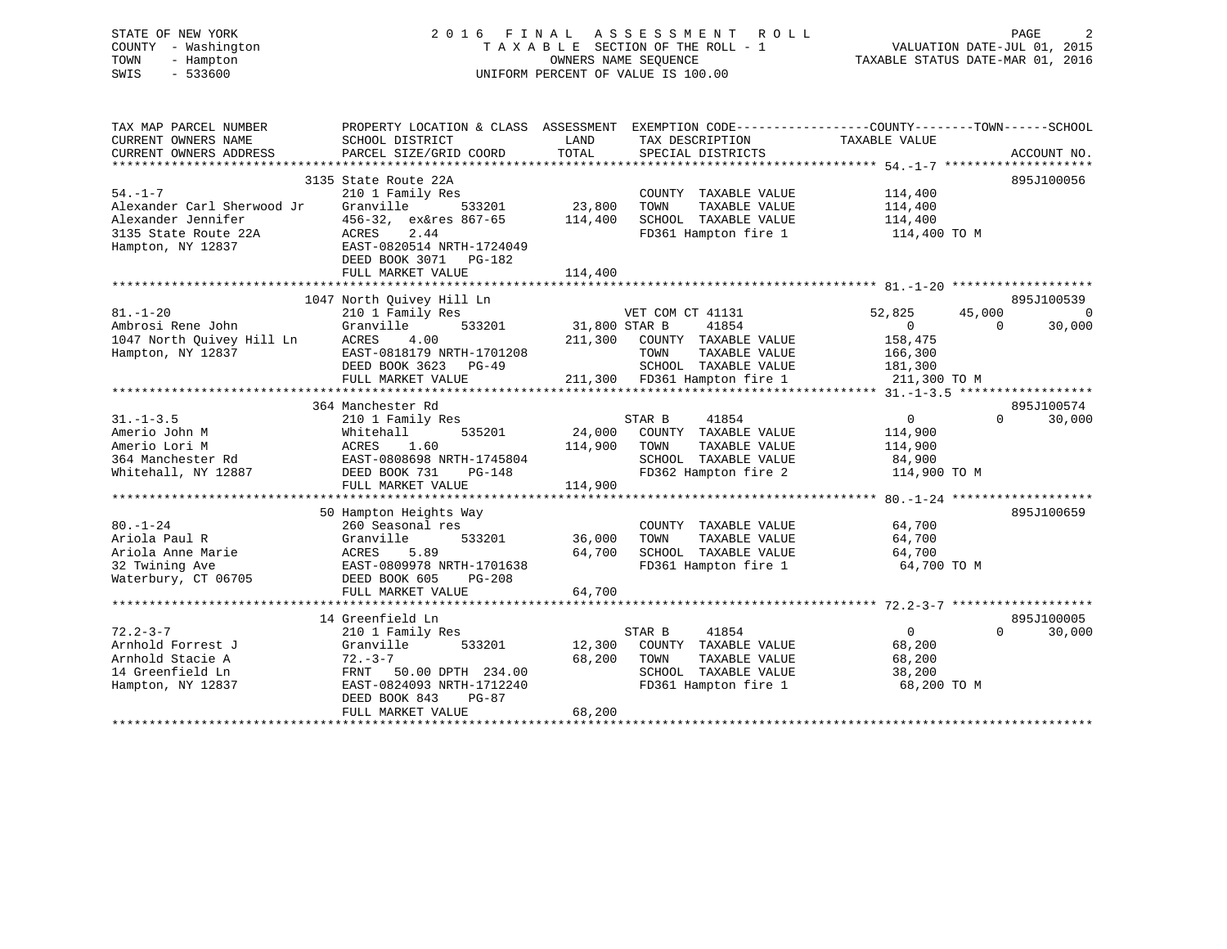# STATE OF NEW YORK 2 0 1 6 F I N A L A S S E S S M E N T R O L L PAGE 2 COUNTY - Washington T A X A B L E SECTION OF THE ROLL - 1 VALUATION DATE-JUL 01, 2015 TOWN - Hampton OWNERS NAME SEQUENCE TAXABLE STATUS DATE-MAR 01, 2016 SWIS - 533600 UNIFORM PERCENT OF VALUE IS 100.00

| TAX MAP PARCEL NUMBER                          | PROPERTY LOCATION & CLASS ASSESSMENT |               | EXEMPTION CODE----------------COUNTY-------TOWN------SCHOOL |                   |                    |
|------------------------------------------------|--------------------------------------|---------------|-------------------------------------------------------------|-------------------|--------------------|
| CURRENT OWNERS NAME                            | SCHOOL DISTRICT                      | LAND          | TAX DESCRIPTION                                             | TAXABLE VALUE     |                    |
| CURRENT OWNERS ADDRESS                         | PARCEL SIZE/GRID COORD               | TOTAL         | SPECIAL DISTRICTS                                           |                   | ACCOUNT NO.        |
|                                                | 3135 State Route 22A                 |               |                                                             |                   | 895J100056         |
| $54. - 1 - 7$                                  | 210 1 Family Res                     |               | COUNTY TAXABLE VALUE                                        | 114,400           |                    |
| Alexander Carl Sherwood Jr                     | Granville<br>533201                  | 23,800        | TAXABLE VALUE<br>TOWN                                       | 114,400           |                    |
| Alexander Jennifer                             | 456-32, ex&res 867-65                | 114,400       | SCHOOL TAXABLE VALUE                                        | 114,400           |                    |
| 3135 State Route 22A                           | ACRES<br>2.44                        |               | FD361 Hampton fire 1                                        | 114,400 TO M      |                    |
| Hampton, NY 12837                              | EAST-0820514 NRTH-1724049            |               |                                                             |                   |                    |
|                                                | DEED BOOK 3071 PG-182                |               |                                                             |                   |                    |
|                                                | FULL MARKET VALUE                    | 114,400       |                                                             |                   |                    |
|                                                |                                      |               |                                                             |                   |                    |
|                                                | 1047 North Quivey Hill Ln            |               |                                                             |                   | 895J100539         |
| $81. - 1 - 20$                                 | 210 1 Family Res                     |               | VET COM CT 41131                                            | 52,825<br>45,000  | $\Omega$           |
| Ambrosi Rene John                              | 533201<br>Granville                  | 31,800 STAR B | 41854                                                       | $\overline{0}$    | 30,000<br>$\Omega$ |
| 1047 North Quivey Hill Ln<br>Hampton, NY 12837 | ACRES<br>4.00                        | 211,300       | COUNTY TAXABLE VALUE                                        | 158,475           |                    |
|                                                | EAST-0818179 NRTH-1701208            |               | TOWN<br>TAXABLE VALUE                                       | 166,300           |                    |
|                                                | DEED BOOK 3623<br>$PG-49$            |               | SCHOOL TAXABLE VALUE                                        | 181,300           |                    |
|                                                | FULL MARKET VALUE                    |               | 211,300 FD361 Hampton fire 1                                | 211,300 TO M      |                    |
|                                                |                                      |               |                                                             |                   |                    |
|                                                | 364 Manchester Rd                    |               |                                                             |                   | 895J100574         |
| $31. - 1 - 3.5$                                | 210 1 Family Res                     |               | STAR B<br>41854                                             | $0 \qquad \qquad$ | $\Omega$<br>30,000 |
| Amerio John M                                  | Whitehall<br>535201                  | 24,000        | COUNTY TAXABLE VALUE                                        | 114,900           |                    |
| Amerio Lori M                                  | ACRES<br>1.60                        | 114,900       | TOWN<br>TAXABLE VALUE                                       | 114,900           |                    |
| 364 Manchester Rd                              | EAST-0808698 NRTH-1745804            |               | SCHOOL TAXABLE VALUE                                        | 84,900            |                    |
| Whitehall, NY 12887                            | DEED BOOK 731<br>PG-148              |               | FD362 Hampton fire 2                                        | 114,900 TO M      |                    |
|                                                | FULL MARKET VALUE                    | 114,900       |                                                             |                   |                    |
|                                                | 50 Hampton Heights Way               |               |                                                             |                   | 895J100659         |
| $80. - 1 - 24$                                 | 260 Seasonal res                     |               | COUNTY TAXABLE VALUE                                        | 64,700            |                    |
| Ariola Paul R                                  | Granville<br>533201                  | 36,000        | TOWN<br>TAXABLE VALUE                                       | 64,700            |                    |
| Ariola Anne Marie                              | 5.89<br>ACRES                        | 64,700        | SCHOOL TAXABLE VALUE                                        | 64,700            |                    |
| 32 Twining Ave                                 | EAST-0809978 NRTH-1701638            |               | FD361 Hampton fire 1                                        | 64,700 TO M       |                    |
| Waterbury, CT 06705                            | DEED BOOK 605<br><b>PG-208</b>       |               |                                                             |                   |                    |
|                                                | FULL MARKET VALUE                    | 64,700        |                                                             |                   |                    |
|                                                |                                      |               |                                                             |                   |                    |
|                                                | 14 Greenfield Ln                     |               |                                                             |                   | 895J100005         |
| $72.2 - 3 - 7$                                 | 210 1 Family Res                     |               | STAR B<br>41854                                             | $\overline{0}$    | $\Omega$<br>30,000 |
| Arnhold Forrest J                              | Granville<br>533201                  | 12,300        | COUNTY TAXABLE VALUE                                        | 68,200            |                    |
| Arnhold Stacie A                               | $72. - 3 - 7$                        | 68,200        | TOWN<br>TAXABLE VALUE                                       | 68,200            |                    |
| 14 Greenfield Ln                               | FRNT<br>50.00 DPTH 234.00            |               | SCHOOL TAXABLE VALUE                                        | 38,200            |                    |
| Hampton, NY 12837                              | EAST-0824093 NRTH-1712240            |               | FD361 Hampton fire 1                                        | 68,200 TO M       |                    |
|                                                | DEED BOOK 843<br>$PG-87$             |               |                                                             |                   |                    |
|                                                | FULL MARKET VALUE                    | 68,200        |                                                             |                   |                    |
|                                                |                                      |               |                                                             |                   |                    |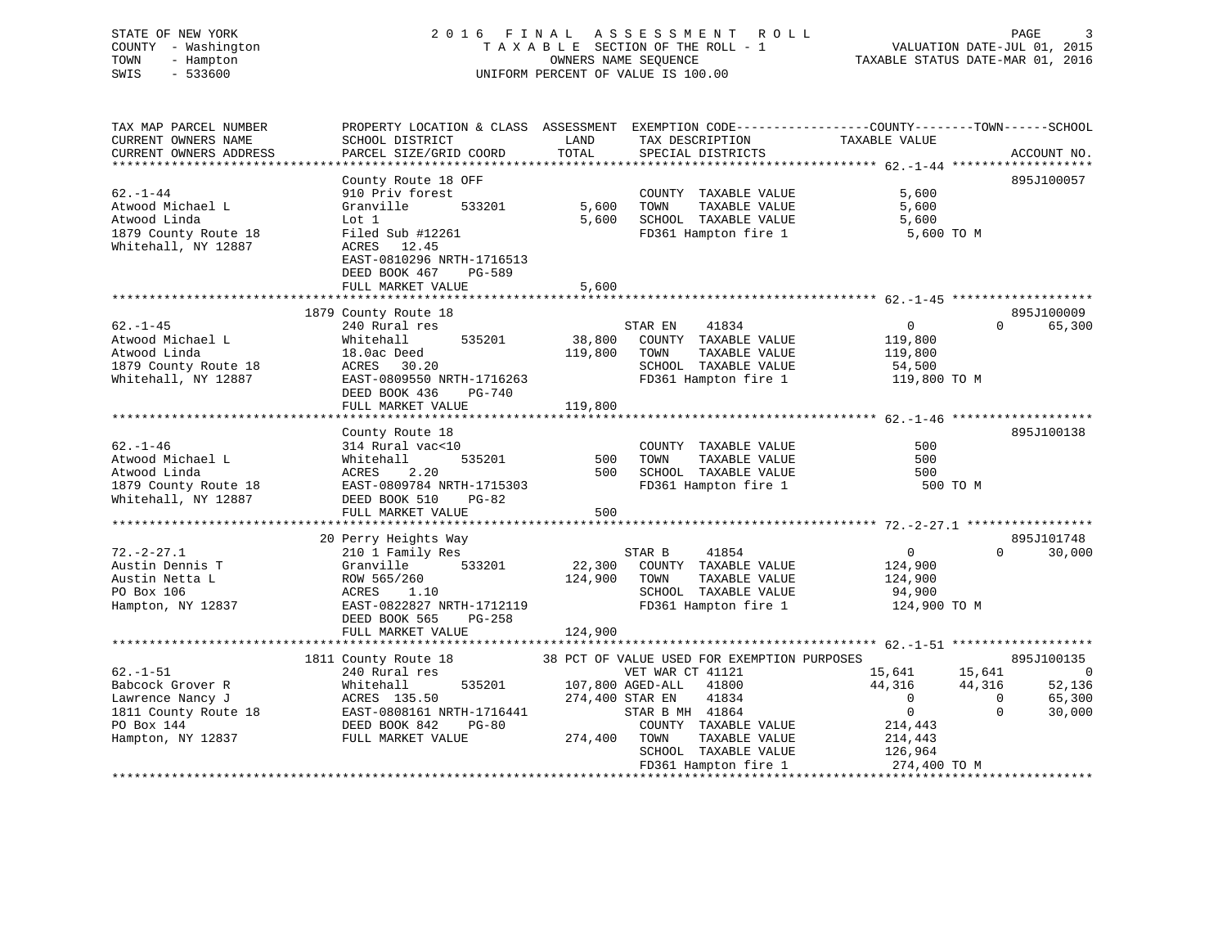#### COUNTY - Washington  $T A X A B L E$  SECTION OF THE ROLL - 1<br>TOWN - Hampton DATE-JUL 000NERS NAME SEQUENCE TOWN - Hampton OWNERS NAME SEQUENCE TAXABLE STATUS DATE-MAR 01, 2016 SWIS - 533600 UNIFORM PERCENT OF VALUE IS 100.00

| TAX MAP PARCEL NUMBER  | PROPERTY LOCATION & CLASS ASSESSMENT EXEMPTION CODE----------------COUNTY-------TOWN------SCHOOL |                 |                             |                                   |                    |
|------------------------|--------------------------------------------------------------------------------------------------|-----------------|-----------------------------|-----------------------------------|--------------------|
| CURRENT OWNERS NAME    | SCHOOL DISTRICT                                                                                  | LAND            | TAX DESCRIPTION             | TAXABLE VALUE                     |                    |
| CURRENT OWNERS ADDRESS | PARCEL SIZE/GRID COORD                                                                           | TOTAL           | SPECIAL DISTRICTS           |                                   | ACCOUNT NO.        |
|                        |                                                                                                  |                 |                             |                                   |                    |
|                        | County Route 18 OFF                                                                              |                 |                             |                                   | 895J100057         |
| $62. - 1 - 44$         | 910 Priv forest                                                                                  |                 | COUNTY TAXABLE VALUE        | 5,600                             |                    |
| Atwood Michael L       | 533201<br>Granville                                                                              | 5,600           | TOWN<br>TAXABLE VALUE       | 5,600                             |                    |
| Atwood Linda           | Lot 1                                                                                            | 5,600           | SCHOOL TAXABLE VALUE        | 5,600                             |                    |
| 1879 County Route 18   | Filed Sub #12261                                                                                 |                 | FD361 Hampton fire 1        | 5,600 TO M                        |                    |
| Whitehall, NY 12887    | ACRES 12.45                                                                                      |                 |                             |                                   |                    |
|                        | EAST-0810296 NRTH-1716513                                                                        |                 |                             |                                   |                    |
|                        | DEED BOOK 467<br>PG-589                                                                          |                 |                             |                                   |                    |
|                        | FULL MARKET VALUE                                                                                | 5,600           |                             |                                   |                    |
|                        |                                                                                                  |                 |                             |                                   |                    |
|                        | 1879 County Route 18                                                                             |                 |                             |                                   | 895J100009         |
| $62. - 1 - 45$         | 240 Rural res                                                                                    |                 | STAR EN<br>41834            | $\overline{0}$                    | $\Omega$<br>65,300 |
| Atwood Michael L       | 535201<br>Whitehall                                                                              |                 | 38,800 COUNTY TAXABLE VALUE | 119,800                           |                    |
| Atwood Linda           |                                                                                                  |                 |                             |                                   |                    |
|                        | 18.0ac Deed                                                                                      | 119,800 TOWN    | TAXABLE VALUE               | 119,800                           |                    |
| 1879 County Route 18   | ACRES 30.20                                                                                      |                 | SCHOOL TAXABLE VALUE        | 54,500                            |                    |
| Whitehall, NY 12887    | EAST-0809550 NRTH-1716263                                                                        |                 |                             | FD361 Hampton fire 1 119,800 TO M |                    |
|                        | DEED BOOK 436<br>PG-740                                                                          |                 |                             |                                   |                    |
|                        | FULL MARKET VALUE                                                                                | 119,800         |                             |                                   |                    |
|                        |                                                                                                  |                 |                             |                                   |                    |
|                        | County Route 18                                                                                  |                 |                             |                                   | 895J100138         |
| $62. - 1 - 46$         | 314 Rural vac<10                                                                                 |                 | COUNTY TAXABLE VALUE        | 500                               |                    |
| Atwood Michael L       | 535201<br>Whitehall                                                                              | 500             | TOWN<br>TAXABLE VALUE       | 500                               |                    |
| Atwood Linda           | ACRES 2.20                                                                                       | 500             | SCHOOL TAXABLE VALUE        | 500                               |                    |
| 1879 County Route 18   | EAST-0809784 NRTH-1715303                                                                        |                 | FD361 Hampton fire 1        | 500 TO M                          |                    |
| Whitehall, NY 12887    | DEED BOOK 510<br>PG-82                                                                           |                 |                             |                                   |                    |
|                        | FULL MARKET VALUE                                                                                | 500             |                             |                                   |                    |
|                        |                                                                                                  |                 |                             |                                   |                    |
|                        | 20 Perry Heights Way                                                                             |                 |                             |                                   | 895J101748         |
| $72. - 2 - 27.1$       | 210 1 Family Res                                                                                 |                 | STAR B<br>41854             | $\overline{0}$                    | $\Omega$<br>30,000 |
| Austin Dennis T        | 533201<br>Granville                                                                              |                 | 22,300 COUNTY TAXABLE VALUE | 124,900                           |                    |
| Austin Netta L         | ROW 565/260                                                                                      | 124,900 TOWN    | TAXABLE VALUE               | 124,900                           |                    |
| PO Box 106             | ACRES<br>1,10                                                                                    |                 | SCHOOL TAXABLE VALUE        | 94,900                            |                    |
| Hampton, NY 12837      | EAST-0822827 NRTH-1712119                                                                        |                 | FD361 Hampton fire 1        | 124,900 TO M                      |                    |
|                        | DEED BOOK 565<br>PG-258                                                                          |                 |                             |                                   |                    |
|                        | FULL MARKET VALUE                                                                                | 124,900         |                             |                                   |                    |
|                        |                                                                                                  |                 |                             |                                   |                    |
|                        | 1811 County Route 18 38 PCT OF VALUE USED FOR EXEMPTION PURPOSES                                 |                 |                             |                                   | 895J100135         |
| $62. - 1 - 51$         | 240 Rural res                                                                                    |                 | VET WAR CT 41121            | 15,641 15,641                     | 0                  |
| Babcock Grover R       | 535201<br>Whitehall                                                                              |                 | 107,800 AGED-ALL 41800      | 44,316<br>44,316                  | 52,136             |
| Lawrence Nancy J       | ACRES 135.50                                                                                     | 274,400 STAR EN | 41834                       | $\overline{0}$                    | 65,300<br>$\Omega$ |
| 1811 County Route 18   | EAST-0808161 NRTH-1716441                                                                        |                 | STAR B MH 41864             | $\overline{0}$                    | $\Omega$<br>30,000 |
| PO Box 144             | DEED BOOK 842<br>$PG-80$                                                                         |                 | COUNTY TAXABLE VALUE        | 214,443                           |                    |
| Hampton, NY 12837      | FULL MARKET VALUE                                                                                | 274,400 TOWN    | TAXABLE VALUE               | 214,443                           |                    |
|                        |                                                                                                  |                 | SCHOOL TAXABLE VALUE        | 126,964                           |                    |
|                        |                                                                                                  |                 | FD361 Hampton fire 1        | 274,400 TO M                      |                    |
|                        |                                                                                                  |                 |                             |                                   |                    |
|                        |                                                                                                  |                 |                             |                                   |                    |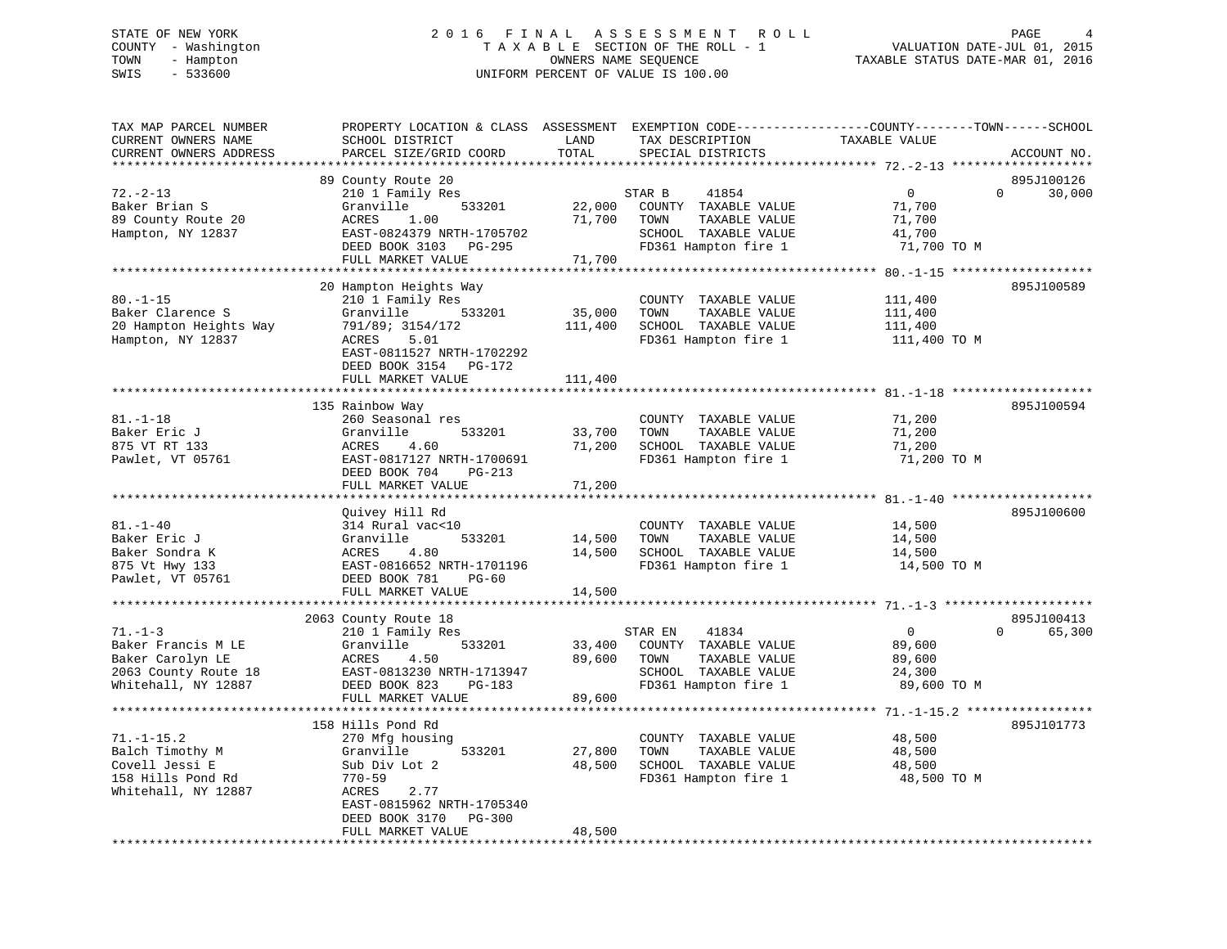# STATE OF NEW YORK 2 0 1 6 F I N A L A S S E S S M E N T R O L L PAGE 4 COUNTY - Washington T A X A B L E SECTION OF THE ROLL - 1 VALUATION DATE-JUL 01, 2015 TOWN - Hampton OWNERS NAME SEQUENCE TAXABLE STATUS DATE-MAR 01, 2016 SWIS - 533600 UNIFORM PERCENT OF VALUE IS 100.00

| TAX MAP PARCEL NUMBER<br>CURRENT OWNERS NAME<br>CURRENT OWNERS ADDRESS                                 | PROPERTY LOCATION & CLASS ASSESSMENT<br>SCHOOL DISTRICT<br>PARCEL SIZE/GRID COORD                                                                             | LAND<br>TOTAL                                 | EXEMPTION CODE-----------------COUNTY-------TOWN------SCHOOL<br>TAX DESCRIPTION<br>SPECIAL DISTRICTS              | TAXABLE VALUE                                             | ACCOUNT NO.                      |
|--------------------------------------------------------------------------------------------------------|---------------------------------------------------------------------------------------------------------------------------------------------------------------|-----------------------------------------------|-------------------------------------------------------------------------------------------------------------------|-----------------------------------------------------------|----------------------------------|
| *************                                                                                          | ********************                                                                                                                                          | ***********                                   |                                                                                                                   |                                                           |                                  |
|                                                                                                        | 89 County Route 20                                                                                                                                            |                                               |                                                                                                                   |                                                           | 895J100126                       |
| $72. - 2 - 13$<br>Baker Brian S<br>89 County Route 20<br>Hampton, NY 12837                             | 210 1 Family Res<br>533201<br>Granville<br>1.00<br>ACRES<br>EAST-0824379 NRTH-1705702<br>DEED BOOK 3103<br>PG-295<br>FULL MARKET VALUE                        | 22,000<br>71,700<br>71,700                    | STAR B<br>41854<br>COUNTY TAXABLE VALUE<br>TOWN<br>TAXABLE VALUE<br>SCHOOL TAXABLE VALUE<br>FD361 Hampton fire 1  | $\Omega$<br>71,700<br>71,700<br>41,700<br>71,700 TO M     | $\Omega$<br>30,000               |
|                                                                                                        |                                                                                                                                                               |                                               |                                                                                                                   |                                                           |                                  |
|                                                                                                        | 20 Hampton Heights Way                                                                                                                                        |                                               |                                                                                                                   |                                                           | 895J100589                       |
| $80. - 1 - 15$<br>Baker Clarence S<br>20 Hampton Heights Way<br>Hampton, NY 12837                      | 210 1 Family Res<br>Granville<br>533201<br>791/89; 3154/172<br>ACRES<br>5.01<br>EAST-0811527 NRTH-1702292<br>DEED BOOK 3154 PG-172                            | 35,000<br>111,400                             | COUNTY TAXABLE VALUE<br>TOWN<br>TAXABLE VALUE<br>SCHOOL TAXABLE VALUE<br>FD361 Hampton fire 1                     | 111,400<br>111,400<br>111,400<br>111,400 TO M             |                                  |
|                                                                                                        | FULL MARKET VALUE                                                                                                                                             | 111,400                                       |                                                                                                                   |                                                           |                                  |
|                                                                                                        | 135 Rainbow Way                                                                                                                                               |                                               |                                                                                                                   |                                                           | 895J100594                       |
| $81. - 1 - 18$<br>Baker Eric J<br>875 VT RT 133<br>Pawlet, VT 05761                                    | 260 Seasonal res<br>Granville<br>533201<br>ACRES<br>4.60<br>EAST-0817127 NRTH-1700691<br>DEED BOOK 704<br>$PG-213$<br>FULL MARKET VALUE                       | 33,700<br>71,200<br>71,200<br>* * * * * * * * | COUNTY TAXABLE VALUE<br>TOWN<br>TAXABLE VALUE<br>SCHOOL TAXABLE VALUE<br>FD361 Hampton fire 1                     | 71,200<br>71,200<br>71,200<br>71,200 TO M                 |                                  |
|                                                                                                        |                                                                                                                                                               |                                               |                                                                                                                   |                                                           |                                  |
| $81. - 1 - 40$<br>Baker Eric J<br>Baker Sondra K<br>875 Vt Hwy 133<br>Pawlet, VT 05761                 | Quivey Hill Rd<br>314 Rural vac<10<br>Granville<br>533201<br>4.80<br>ACRES<br>EAST-0816652 NRTH-1701196<br>DEED BOOK 781<br>$PG-60$                           | 14,500<br>14,500                              | COUNTY TAXABLE VALUE<br>TAXABLE VALUE<br>TOWN<br>SCHOOL TAXABLE VALUE<br>FD361 Hampton fire 1                     | 14,500<br>14,500<br>14,500<br>14,500 TO M                 | 895J100600                       |
|                                                                                                        | FULL MARKET VALUE                                                                                                                                             | 14,500                                        |                                                                                                                   |                                                           |                                  |
|                                                                                                        |                                                                                                                                                               |                                               |                                                                                                                   |                                                           |                                  |
| $71. - 1 - 3$<br>Baker Francis M LE<br>Baker Carolyn LE<br>2063 County Route 18<br>Whitehall, NY 12887 | 2063 County Route 18<br>210 1 Family Res<br>Granville<br>533201<br>ACRES<br>4.50<br>EAST-0813230 NRTH-1713947<br>DEED BOOK 823<br>PG-183<br>FULL MARKET VALUE | 33,400<br>89,600<br>89,600                    | STAR EN<br>41834<br>COUNTY TAXABLE VALUE<br>TOWN<br>TAXABLE VALUE<br>SCHOOL TAXABLE VALUE<br>FD361 Hampton fire 1 | $\mathbf{0}$<br>89,600<br>89,600<br>24,300<br>89,600 TO M | 895J100413<br>65,300<br>$\Omega$ |
|                                                                                                        | 158 Hills Pond Rd                                                                                                                                             |                                               |                                                                                                                   |                                                           | 895J101773                       |
| $71. - 1 - 15.2$<br>Balch Timothy M<br>Covell Jessi E<br>158 Hills Pond Rd<br>Whitehall, NY 12887      | 270 Mfg housing<br>Granville<br>533201<br>Sub Div Lot 2<br>$770 - 59$<br>ACRES<br>2.77<br>EAST-0815962 NRTH-1705340                                           | 27,800<br>48,500                              | COUNTY TAXABLE VALUE<br>TOWN<br>TAXABLE VALUE<br>SCHOOL TAXABLE VALUE<br>FD361 Hampton fire 1                     | 48,500<br>48,500<br>48,500<br>48,500 TO M                 |                                  |
|                                                                                                        | $PG-300$<br>DEED BOOK 3170<br>FULL MARKET VALUE<br>***********************                                                                                    | 48,500<br>*********************               |                                                                                                                   |                                                           |                                  |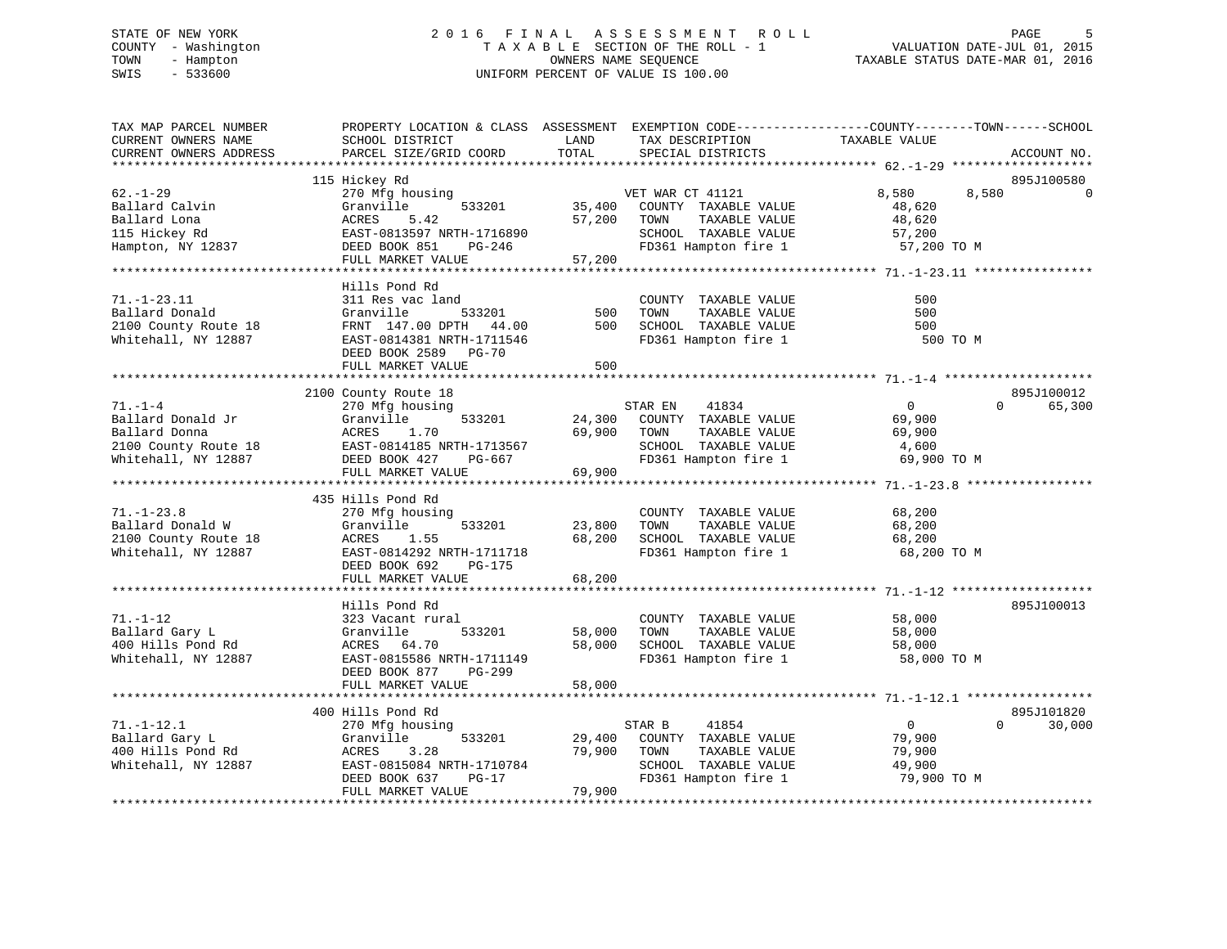# STATE OF NEW YORK 2 0 1 6 F I N A L A S S E S S M E N T R O L L PAGE 5 COUNTY - Washington T A X A B L E SECTION OF THE ROLL - 1 VALUATION DATE-JUL 01, 2015 TOWN - Hampton OWNERS NAME SEQUENCE TAXABLE STATUS DATE-MAR 01, 2016 SWIS - 533600 UNIFORM PERCENT OF VALUE IS 100.00

| TAX MAP PARCEL NUMBER                                                                                                                                                                                                                            | PROPERTY LOCATION & CLASS ASSESSMENT EXEMPTION CODE----------------COUNTY-------TOWN------SCHOOL |        |                                               |                |                    |
|--------------------------------------------------------------------------------------------------------------------------------------------------------------------------------------------------------------------------------------------------|--------------------------------------------------------------------------------------------------|--------|-----------------------------------------------|----------------|--------------------|
| CURRENT OWNERS NAME                                                                                                                                                                                                                              | SCHOOL DISTRICT                                                                                  | LAND   | TAX DESCRIPTION                               | TAXABLE VALUE  |                    |
| CURRENT OWNERS ADDRESS                                                                                                                                                                                                                           | PARCEL SIZE/GRID COORD                                                                           | TOTAL  | SPECIAL DISTRICTS                             |                | ACCOUNT NO.        |
|                                                                                                                                                                                                                                                  |                                                                                                  |        |                                               |                |                    |
|                                                                                                                                                                                                                                                  | 115 Hickey Rd                                                                                    |        |                                               |                | 895J100580         |
| $62 - 1 - 29$                                                                                                                                                                                                                                    | 270 Mfg housing                                                                                  |        | VET WAR CT 41121                              | 8,580          | 8,580              |
| Ballard Calvin                                                                                                                                                                                                                                   | Granville<br>533201                                                                              | 35,400 | COUNTY TAXABLE VALUE                          | 48,620         |                    |
| Ballard Lona                                                                                                                                                                                                                                     | ACRES<br>5.42                                                                                    | 57,200 | TAXABLE VALUE<br>TOWN                         | 48,620         |                    |
| 115 Hickey Rd                                                                                                                                                                                                                                    | EAST-0813597 NRTH-1716890                                                                        |        | SCHOOL TAXABLE VALUE                          | 57,200         |                    |
| Hampton, NY 12837                                                                                                                                                                                                                                | DEED BOOK 851<br>PG-246                                                                          |        | FD361 Hampton fire 1                          | 57,200 TO M    |                    |
|                                                                                                                                                                                                                                                  | FULL MARKET VALUE                                                                                | 57,200 |                                               |                |                    |
|                                                                                                                                                                                                                                                  |                                                                                                  |        |                                               |                |                    |
| $71. - 1 - 23.11$                                                                                                                                                                                                                                | Hills Pond Rd<br>311 Res vac land                                                                |        |                                               | 500            |                    |
| Ballard Donald                                                                                                                                                                                                                                   | Granville<br>533201                                                                              | 500    | COUNTY TAXABLE VALUE<br>TAXABLE VALUE<br>TOWN | 500            |                    |
|                                                                                                                                                                                                                                                  | FRNT 147.00 DPTH 44.00                                                                           | 500    | SCHOOL TAXABLE VALUE                          | 500            |                    |
| 2100 County Route 18<br>Whitehall, NY 12887                                                                                                                                                                                                      | EAST-0814381 NRTH-1711546                                                                        |        | FD361 Hampton fire 1                          | 500 TO M       |                    |
|                                                                                                                                                                                                                                                  | DEED BOOK 2589 PG-70                                                                             |        |                                               |                |                    |
|                                                                                                                                                                                                                                                  | FULL MARKET VALUE                                                                                | 500    |                                               |                |                    |
|                                                                                                                                                                                                                                                  |                                                                                                  |        |                                               |                |                    |
|                                                                                                                                                                                                                                                  | 2100 County Route 18                                                                             |        |                                               |                | 895J100012         |
| $71. -1 -4$                                                                                                                                                                                                                                      | 270 Mfg housing                                                                                  |        | 41834<br>STAR EN                              | $\Omega$       | $\Omega$<br>65,300 |
| Ballard Donald Jr                                                                                                                                                                                                                                | Granville<br>533201                                                                              | 24,300 | COUNTY TAXABLE VALUE                          | 69,900         |                    |
|                                                                                                                                                                                                                                                  |                                                                                                  | 69,900 | TOWN<br>TAXABLE VALUE                         | 69,900         |                    |
|                                                                                                                                                                                                                                                  |                                                                                                  |        | SCHOOL TAXABLE VALUE                          | 4,600          |                    |
|                                                                                                                                                                                                                                                  |                                                                                                  |        | FD361 Hampton fire 1                          | 69,900 TO M    |                    |
| Ballard Donna<br>2100 County Route 18<br>2100 County Route 18<br>2101 County Route 18<br>2101 County Route 18<br>2102 EAST-0814185 NRTH-1713567<br>222611185 NRTH-1713567<br>222611185 NRTH-1713567<br>222611185 NRTH-1713567<br>222611185 NRTH- | FULL MARKET VALUE                                                                                | 69,900 |                                               |                |                    |
|                                                                                                                                                                                                                                                  |                                                                                                  |        |                                               |                |                    |
|                                                                                                                                                                                                                                                  | 435 Hills Pond Rd                                                                                |        |                                               |                |                    |
| $71. - 1 - 23.8$                                                                                                                                                                                                                                 | 270 Mfg housing                                                                                  |        | COUNTY TAXABLE VALUE                          | 68,200         |                    |
| Ballard Donald W                                                                                                                                                                                                                                 | 533201<br>Granville                                                                              | 23,800 | TOWN<br>TAXABLE VALUE                         | 68,200         |                    |
| 2100 County Route 18                                                                                                                                                                                                                             | 1.55<br>ACRES                                                                                    | 68,200 | SCHOOL TAXABLE VALUE                          | 68,200         |                    |
| Whitehall, NY 12887                                                                                                                                                                                                                              | EAST-0814292 NRTH-1711718                                                                        |        | FD361 Hampton fire 1                          | 68,200 TO M    |                    |
|                                                                                                                                                                                                                                                  | DEED BOOK 692<br>PG-175                                                                          |        |                                               |                |                    |
|                                                                                                                                                                                                                                                  | FULL MARKET VALUE                                                                                | 68,200 |                                               |                |                    |
|                                                                                                                                                                                                                                                  |                                                                                                  |        |                                               |                |                    |
|                                                                                                                                                                                                                                                  | Hills Pond Rd                                                                                    |        |                                               |                | 895J100013         |
| $71. - 1 - 12$                                                                                                                                                                                                                                   | 323 Vacant rural                                                                                 |        | COUNTY TAXABLE VALUE                          | 58,000         |                    |
| Ballard Gary L                                                                                                                                                                                                                                   | Granville<br>533201                                                                              | 58,000 | TOWN<br>TAXABLE VALUE                         | 58,000         |                    |
| 400 Hills Pond Rd                                                                                                                                                                                                                                |                                                                                                  | 58,000 | SCHOOL TAXABLE VALUE                          | 58,000         |                    |
| Whitehall, NY 12887                                                                                                                                                                                                                              | ACRES 64.70<br>EAST-0815586<br>EAST-0815586 NRTH-1711149                                         |        | FD361 Hampton fire 1                          | 58,000 TO M    |                    |
|                                                                                                                                                                                                                                                  | DEED BOOK 877<br>PG-299                                                                          |        |                                               |                |                    |
|                                                                                                                                                                                                                                                  | FULL MARKET VALUE                                                                                | 58,000 |                                               |                |                    |
|                                                                                                                                                                                                                                                  |                                                                                                  |        |                                               |                |                    |
|                                                                                                                                                                                                                                                  | 400 Hills Pond Rd                                                                                |        |                                               |                | 895J101820         |
| $71. - 1 - 12.1$                                                                                                                                                                                                                                 | 270 Mfg housing                                                                                  |        | STAR B<br>41854                               | $\overline{0}$ | $\Omega$<br>30,000 |
| Ballard Gary L                                                                                                                                                                                                                                   | Granville<br>533201                                                                              | 29,400 | COUNTY TAXABLE VALUE                          | 79,900         |                    |
| 400 Hills Pond Rd                                                                                                                                                                                                                                | 3.28<br>ACRES                                                                                    | 79,900 | TAXABLE VALUE<br>TOWN                         | 79,900         |                    |
| Whitehall, NY 12887                                                                                                                                                                                                                              | EAST-0815084 NRTH-1710784                                                                        |        | SCHOOL TAXABLE VALUE                          | 49,900         |                    |
|                                                                                                                                                                                                                                                  | DEED BOOK 637<br>$PG-17$                                                                         |        | FD361 Hampton fire 1                          | 79,900 TO M    |                    |
|                                                                                                                                                                                                                                                  | FULL MARKET VALUE                                                                                | 79,900 |                                               |                |                    |
|                                                                                                                                                                                                                                                  |                                                                                                  |        |                                               |                |                    |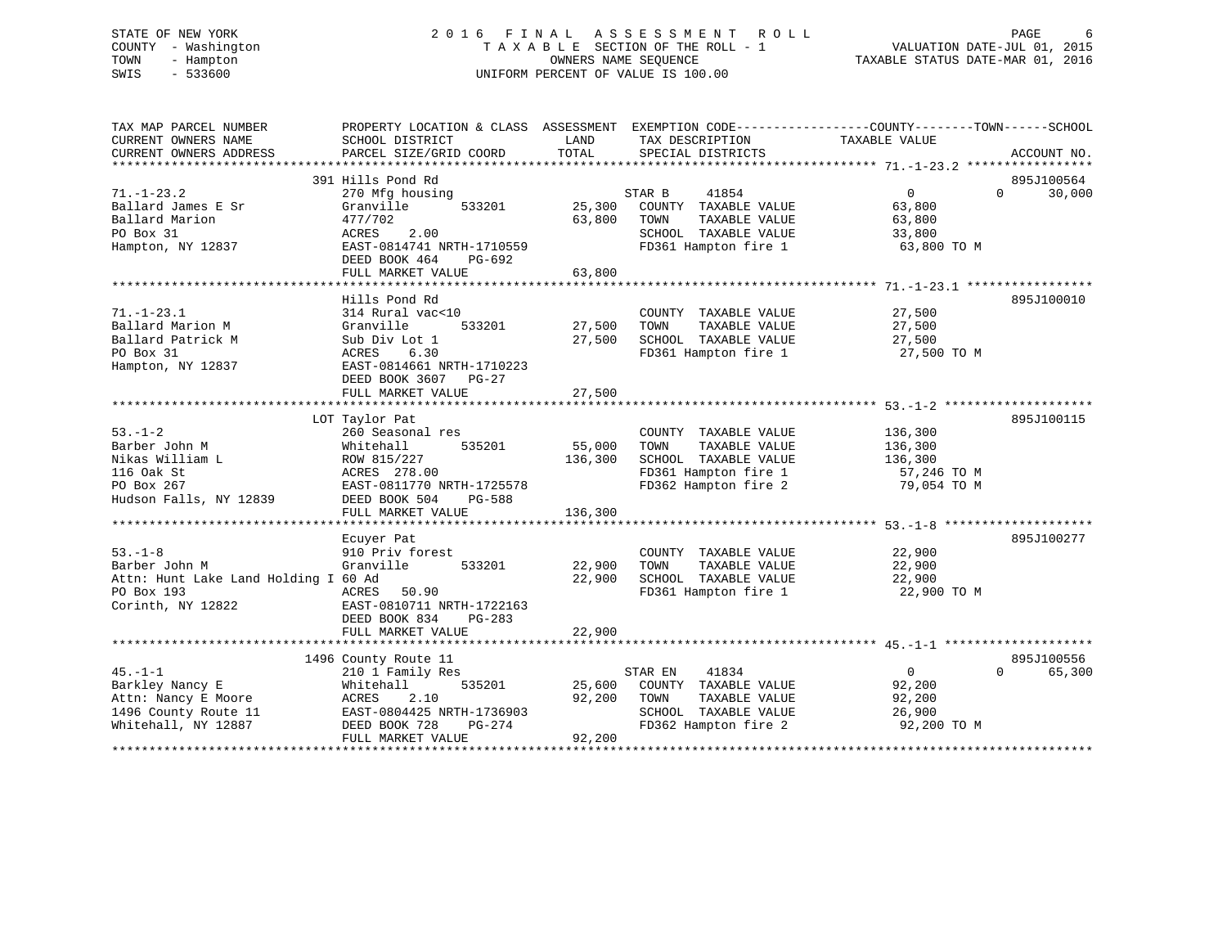# STATE OF NEW YORK 2 0 1 6 F I N A L A S S E S S M E N T R O L L PAGE 6 COUNTY - Washington T A X A B L E SECTION OF THE ROLL - 1 VALUATION DATE-JUL 01, 2015 TOWN - Hampton OWNERS NAME SEQUENCE TAXABLE STATUS DATE-MAR 01, 2016 SWIS - 533600 UNIFORM PERCENT OF VALUE IS 100.00

TAX MAP PARCEL NUMBER PROPERTY LOCATION & CLASS ASSESSMENT EXEMPTION CODE------------------COUNTY--------TOWN------SCHOOL CURRENT OWNERS NAME SCHOOL DISTRICT LAND TAX DESCRIPTION TAXABLE VALUE CURRENT OWNERS ADDRESS PARCEL SIZE/GRID COORD TOTAL SPECIAL DISTRICTS ACCOUNT NO. \*\*\*\*\*\*\*\*\*\*\*\*\*\*\*\*\*\*\*\*\*\*\*\*\*\*\*\*\*\*\*\*\*\*\*\*\*\*\*\*\*\*\*\*\*\*\*\*\*\*\*\*\*\*\*\*\*\*\*\*\*\*\*\*\*\*\*\*\*\*\*\*\*\*\*\*\*\*\*\*\*\*\*\*\*\*\*\*\*\*\*\*\*\*\*\*\*\*\*\*\*\*\* 71.-1-23.2 \*\*\*\*\*\*\*\*\*\*\*\*\*\*\*\*\* 391 Hills Pond Rd 895J10056471.-1-23.2 270 Mfg housing STAR B 41854 0 0 30,000 Ballard James E Sr Granville 533201 25,300 COUNTY TAXABLE VALUE 63,800 Ballard Marion 477/702 63,800 TOWN TAXABLE VALUE 63,800 PO Box 31 ACRES 2.00 SCHOOL TAXABLE VALUE 33,800 Hampton, NY 12837 EAST-0814741 NRTH-1710559 FD361 Hampton fire 1 63,800 TO M DEED BOOK 464 PG-692 FULL MARKET VALUE 63,800 \*\*\*\*\*\*\*\*\*\*\*\*\*\*\*\*\*\*\*\*\*\*\*\*\*\*\*\*\*\*\*\*\*\*\*\*\*\*\*\*\*\*\*\*\*\*\*\*\*\*\*\*\*\*\*\*\*\*\*\*\*\*\*\*\*\*\*\*\*\*\*\*\*\*\*\*\*\*\*\*\*\*\*\*\*\*\*\*\*\*\*\*\*\*\*\*\*\*\*\*\*\*\* 71.-1-23.1 \*\*\*\*\*\*\*\*\*\*\*\*\*\*\*\*\* Hills Pond Rd 895J10001071.-1-23.1 314 Rural vac<10 COUNTY TAXABLE VALUE 27,500 Ballard Marion M Granville 533201 27,500 TOWN TAXABLE VALUE 27,500 Ballard Patrick M Sub Div Lot 1 27,500 SCHOOL TAXABLE VALUE 27,500 PO Box 31 ACRES 6.30 FD361 Hampton fire 1 27,500 TO M Hampton, NY 12837 EAST-0814661 NRTH-1710223 DEED BOOK 3607 PG-27 FULL MARKET VALUE 27,500 \*\*\*\*\*\*\*\*\*\*\*\*\*\*\*\*\*\*\*\*\*\*\*\*\*\*\*\*\*\*\*\*\*\*\*\*\*\*\*\*\*\*\*\*\*\*\*\*\*\*\*\*\*\*\*\*\*\*\*\*\*\*\*\*\*\*\*\*\*\*\*\*\*\*\*\*\*\*\*\*\*\*\*\*\*\*\*\*\*\*\*\*\*\*\*\*\*\*\*\*\*\*\* 53.-1-2 \*\*\*\*\*\*\*\*\*\*\*\*\*\*\*\*\*\*\*\* LOT Taylor Pat 895J100115 53.-1-2 260 Seasonal res COUNTY TAXABLE VALUE 136,300 Barber John M Whitehall 535201 55,000 TOWN TAXABLE VALUE 136,300 Nikas William L ROW 815/227 136,300 SCHOOL TAXABLE VALUE 136,300 116 Oak St ACRES 278.00 FD361 Hampton fire 1 57,246 TO M PO Box 267 EAST-0811770 NRTH-1725578 FD362 Hampton fire 2 79,054 TO M Hudson Falls, NY 12839 DEED BOOK 504 PG-588 FULL MARKET VALUE 136,300 \*\*\*\*\*\*\*\*\*\*\*\*\*\*\*\*\*\*\*\*\*\*\*\*\*\*\*\*\*\*\*\*\*\*\*\*\*\*\*\*\*\*\*\*\*\*\*\*\*\*\*\*\*\*\*\*\*\*\*\*\*\*\*\*\*\*\*\*\*\*\*\*\*\*\*\*\*\*\*\*\*\*\*\*\*\*\*\*\*\*\*\*\*\*\*\*\*\*\*\*\*\*\* 53.-1-8 \*\*\*\*\*\*\*\*\*\*\*\*\*\*\*\*\*\*\*\* Ecuyer Pat 895J100277 53.-1-8 910 Priv forest COUNTY TAXABLE VALUE 22,900 Barber John M Granville 533201 22,900 TOWN TAXABLE VALUE 22,900 Attn: Hunt Lake Land Holding I 60 Ad 22,900 SCHOOL TAXABLE VALUE 22,900 PO Box 193 ACRES 50.90 FD361 Hampton fire 1 22,900 TO M Corinth, NY 12822 EAST-0810711 NRTH-1722163 DEED BOOK 834 PG-283 FULL MARKET VALUE 22,900 \*\*\*\*\*\*\*\*\*\*\*\*\*\*\*\*\*\*\*\*\*\*\*\*\*\*\*\*\*\*\*\*\*\*\*\*\*\*\*\*\*\*\*\*\*\*\*\*\*\*\*\*\*\*\*\*\*\*\*\*\*\*\*\*\*\*\*\*\*\*\*\*\*\*\*\*\*\*\*\*\*\*\*\*\*\*\*\*\*\*\*\*\*\*\*\*\*\*\*\*\*\*\* 45.-1-1 \*\*\*\*\*\*\*\*\*\*\*\*\*\*\*\*\*\*\*\* 1496 County Route 11 895J100556 45.-1-1 210 1 Family Res STAR EN 41834 0 0 65,300 Barkley Nancy E Whitehall 535201 25,600 COUNTY TAXABLE VALUE 92,200 Attn: Nancy E Moore ACRES 2.10 92,200 TOWN TAXABLE VALUE 92,200 1496 County Route 11 EAST-0804425 NRTH-1736903 SCHOOL TAXABLE VALUE 26,900 Whitehall, NY 12887 DEED BOOK 728 PG-274 FD362 Hampton fire 2 92,200 TO M FULL MARKET VALUE 92,200 \*\*\*\*\*\*\*\*\*\*\*\*\*\*\*\*\*\*\*\*\*\*\*\*\*\*\*\*\*\*\*\*\*\*\*\*\*\*\*\*\*\*\*\*\*\*\*\*\*\*\*\*\*\*\*\*\*\*\*\*\*\*\*\*\*\*\*\*\*\*\*\*\*\*\*\*\*\*\*\*\*\*\*\*\*\*\*\*\*\*\*\*\*\*\*\*\*\*\*\*\*\*\*\*\*\*\*\*\*\*\*\*\*\*\*\*\*\*\*\*\*\*\*\*\*\*\*\*\*\*\*\*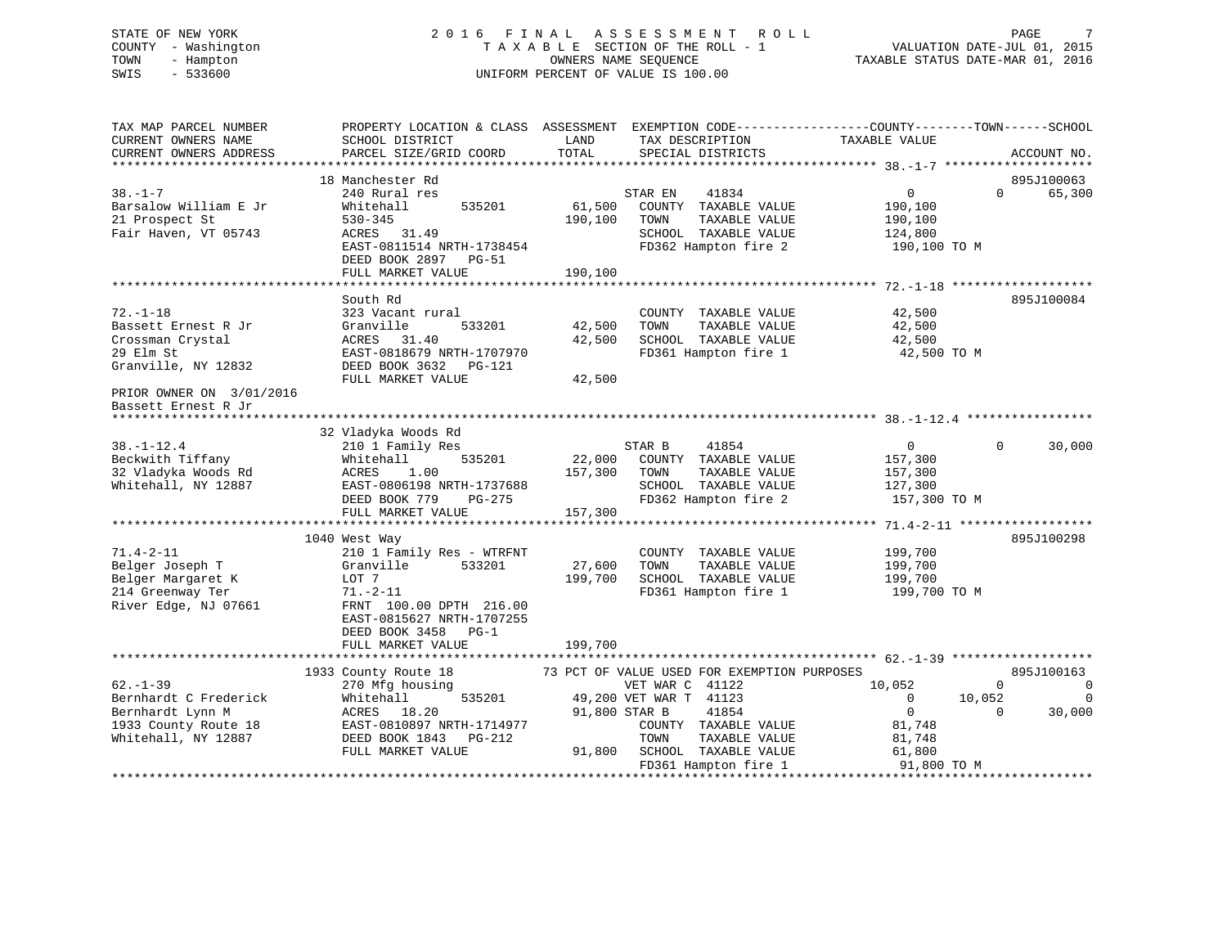# STATE OF NEW YORK 2 0 1 6 F I N A L A S S E S S M E N T R O L L PAGE 7 COUNTY - Washington T A X A B L E SECTION OF THE ROLL - 1 VALUATION DATE-JUL 01, 2015 TOWN - Hampton OWNERS NAME SEQUENCE TAXABLE STATUS DATE-MAR 01, 2016 SWIS - 533600 UNIFORM PERCENT OF VALUE IS 100.00

| TAX MAP PARCEL NUMBER    | PROPERTY LOCATION & CLASS ASSESSMENT EXEMPTION CODE---------------COUNTY-------TOWN-----SCHOOL |               |                                             |                |                                  |
|--------------------------|------------------------------------------------------------------------------------------------|---------------|---------------------------------------------|----------------|----------------------------------|
| CURRENT OWNERS NAME      | SCHOOL DISTRICT                                                                                | LAND          | TAX DESCRIPTION                             | TAXABLE VALUE  |                                  |
| CURRENT OWNERS ADDRESS   | PARCEL SIZE/GRID COORD                                                                         | TOTAL         | SPECIAL DISTRICTS                           |                | ACCOUNT NO.                      |
|                          |                                                                                                |               |                                             |                |                                  |
|                          | 18 Manchester Rd                                                                               |               |                                             |                | 895J100063                       |
| $38. - 1 - 7$            | 240 Rural res                                                                                  |               | STAR EN<br>41834                            | 0              | $\Omega$<br>65,300               |
| Barsalow William E Jr    | 535201<br>Whitehall                                                                            | 61,500        | COUNTY TAXABLE VALUE                        | 190,100        |                                  |
| 21 Prospect St           | $530 - 345$                                                                                    | 190,100       | TAXABLE VALUE<br>TOWN                       | 190,100        |                                  |
| Fair Haven, VT 05743     | ACRES 31.49                                                                                    |               | SCHOOL TAXABLE VALUE                        | 124,800        |                                  |
|                          | EAST-0811514 NRTH-1738454                                                                      |               | FD362 Hampton fire 2                        | 190,100 TO M   |                                  |
|                          | DEED BOOK 2897 PG-51                                                                           |               |                                             |                |                                  |
|                          | FULL MARKET VALUE                                                                              | 190,100       |                                             |                |                                  |
|                          |                                                                                                |               |                                             |                | *******************              |
|                          | South Rd                                                                                       |               |                                             |                | 895J100084                       |
| $72. - 1 - 18$           | 323 Vacant rural                                                                               |               | COUNTY TAXABLE VALUE                        | 42,500         |                                  |
| Bassett Ernest R Jr      | Granville<br>533201                                                                            | 42,500        | TAXABLE VALUE<br>TOWN                       | 42,500         |                                  |
| Crossman Crystal         | ACRES 31.40                                                                                    | 42,500        | SCHOOL TAXABLE VALUE                        | 42,500         |                                  |
| 29 Elm St                | EAST-0818679 NRTH-1707970                                                                      |               | FD361 Hampton fire 1                        | 42,500 TO M    |                                  |
| Granville, NY 12832      | DEED BOOK 3632 PG-121                                                                          |               |                                             |                |                                  |
|                          | FULL MARKET VALUE                                                                              | 42,500        |                                             |                |                                  |
| PRIOR OWNER ON 3/01/2016 |                                                                                                |               |                                             |                |                                  |
| Bassett Ernest R Jr      |                                                                                                |               |                                             |                |                                  |
|                          |                                                                                                |               |                                             |                |                                  |
|                          | 32 Vladyka Woods Rd                                                                            |               |                                             |                |                                  |
| $38. - 1 - 12.4$         | 210 1 Family Res                                                                               |               | STAR B<br>41854                             | $\overline{0}$ | $\Omega$<br>30,000               |
| Beckwith Tiffany         | 535201<br>Whitehall                                                                            |               | 22,000 COUNTY TAXABLE VALUE                 | 157,300        |                                  |
| 32 Vladyka Woods Rd      | ACRES<br>1.00                                                                                  | 157,300 TOWN  | TAXABLE VALUE                               | 157,300        |                                  |
| Whitehall, NY 12887      | EAST-0806198 NRTH-1737688                                                                      |               | SCHOOL TAXABLE VALUE                        | 127,300        |                                  |
|                          | DEED BOOK 779<br>PG-275                                                                        |               | FD362 Hampton fire 2                        | 157,300 TO M   |                                  |
|                          | FULL MARKET VALUE                                                                              | 157,300       |                                             |                |                                  |
|                          |                                                                                                |               |                                             |                |                                  |
|                          | 1040 West Way                                                                                  |               |                                             |                | 895J100298                       |
| $71.4 - 2 - 11$          | 210 1 Family Res - WTRFNT                                                                      |               | COUNTY TAXABLE VALUE                        | 199,700        |                                  |
| Belger Joseph T          | 533201<br>Granville                                                                            | 27,600        | TAXABLE VALUE<br>TOWN                       | 199,700        |                                  |
| Belger Margaret K        | LOT 7                                                                                          | 199,700       | SCHOOL TAXABLE VALUE                        | 199,700        |                                  |
| 214 Greenway Ter         | 71.-2-11                                                                                       |               | FD361 Hampton fire 1                        | 199,700 ТО М   |                                  |
| River Edge, NJ 07661     | FRNT 100.00 DPTH 216.00                                                                        |               |                                             |                |                                  |
|                          | EAST-0815627 NRTH-1707255                                                                      |               |                                             |                |                                  |
|                          | DEED BOOK 3458 PG-1                                                                            |               |                                             |                |                                  |
|                          | FULL MARKET VALUE                                                                              | 199,700       |                                             |                |                                  |
|                          |                                                                                                |               |                                             |                |                                  |
|                          | 1933 County Route 18                                                                           |               | 73 PCT OF VALUE USED FOR EXEMPTION PURPOSES |                | 895J100163                       |
| $62 - 1 - 39$            | 270 Mfg housing                                                                                |               | VET WAR C 41122                             | 10,052         | $\overline{0}$<br>$\overline{0}$ |
| Bernhardt C Frederick    | Whitehall<br>535201                                                                            |               | 49,200 VET WAR T 41123                      | $\overline{0}$ | $\overline{0}$<br>10,052         |
| Bernhardt Lynn M         | ACRES 18.20                                                                                    | 91,800 STAR B | 41854                                       | $\overline{0}$ | 30,000<br>$\Omega$               |
| 1933 County Route 18     | EAST-0810897 NRTH-1714977                                                                      |               | COUNTY TAXABLE VALUE                        | 81,748         |                                  |
| Whitehall, NY 12887      | DEED BOOK 1843 PG-212                                                                          |               | TOWN<br>TAXABLE VALUE                       | 81,748         |                                  |
|                          | FULL MARKET VALUE                                                                              |               | 91,800 SCHOOL TAXABLE VALUE                 | 61,800         |                                  |
|                          |                                                                                                |               | FD361 Hampton fire 1                        | 91,800 TO M    |                                  |
|                          |                                                                                                |               |                                             |                |                                  |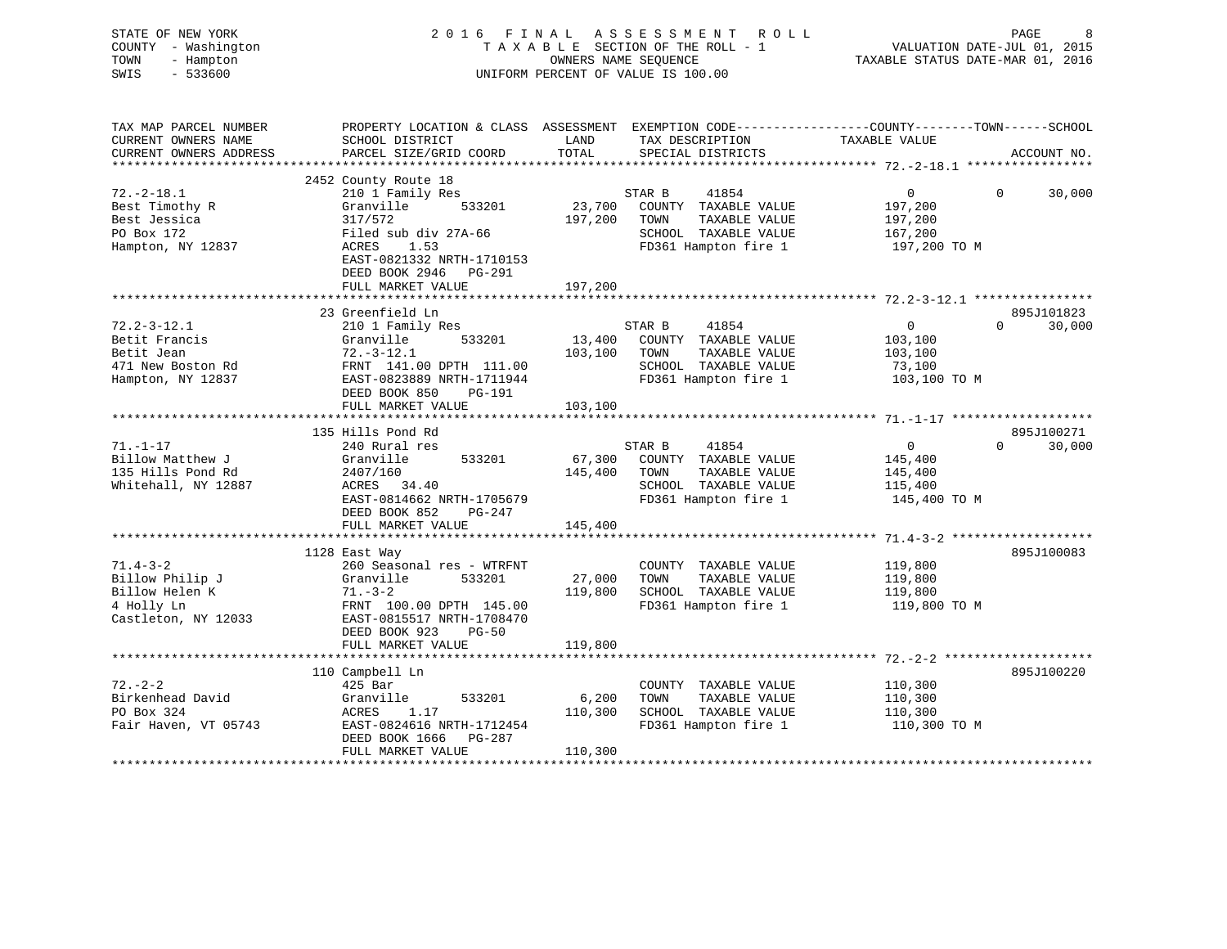| COUNTY - Washington<br>TOWN<br>- Hampton<br>$-533600$<br>SWIS |                                                                                                                    |         | TAXABLE SECTION OF THE ROLL - 1<br>OWNERS NAME SEQUENCE<br>UNIFORM PERCENT OF VALUE IS 100.00 | VALUATION DATE-JUL 01, 2015<br>TAXABLE STATUS DATE-MAR 01, 2016 |                                  |
|---------------------------------------------------------------|--------------------------------------------------------------------------------------------------------------------|---------|-----------------------------------------------------------------------------------------------|-----------------------------------------------------------------|----------------------------------|
| TAX MAP PARCEL NUMBER<br>CURRENT OWNERS NAME                  | PROPERTY LOCATION & CLASS ASSESSMENT EXEMPTION CODE---------------COUNTY-------TOWN------SCHOOL<br>SCHOOL DISTRICT | LAND    | TAX DESCRIPTION                                                                               | TAXABLE VALUE                                                   |                                  |
| CURRENT OWNERS ADDRESS                                        | PARCEL SIZE/GRID COORD                                                                                             | TOTAL   | SPECIAL DISTRICTS                                                                             |                                                                 | ACCOUNT NO.                      |
|                                                               |                                                                                                                    |         |                                                                                               |                                                                 |                                  |
|                                                               | 2452 County Route 18                                                                                               |         |                                                                                               |                                                                 |                                  |
| $72. - 2 - 18.1$                                              | 210 1 Family Res                                                                                                   |         | STAR B<br>41854                                                                               | $\overline{0}$                                                  | $\Omega$<br>30,000               |
| Best Timothy R                                                | 533201<br>Granville                                                                                                | 23,700  | COUNTY TAXABLE VALUE                                                                          | 197,200                                                         |                                  |
| Best Jessica                                                  | 317/572                                                                                                            | 197,200 | TOWN<br>TAXABLE VALUE                                                                         | 197,200                                                         |                                  |
| PO Box 172                                                    | Filed sub div 27A-66                                                                                               |         | SCHOOL TAXABLE VALUE                                                                          | 167,200                                                         |                                  |
| Hampton, NY 12837                                             | 1.53<br>ACRES<br>EAST-0821332 NRTH-1710153                                                                         |         | FD361 Hampton fire 1                                                                          | 197,200 TO M                                                    |                                  |
|                                                               | DEED BOOK 2946 PG-291                                                                                              |         |                                                                                               |                                                                 |                                  |
|                                                               | FULL MARKET VALUE                                                                                                  | 197,200 |                                                                                               |                                                                 |                                  |
|                                                               |                                                                                                                    |         |                                                                                               |                                                                 |                                  |
|                                                               | 23 Greenfield Ln                                                                                                   |         |                                                                                               |                                                                 | 895J101823                       |
| $72.2 - 3 - 12.1$                                             | 210 1 Family Res                                                                                                   |         | STAR B<br>41854                                                                               | $\overline{0}$                                                  | $\Omega$<br>30,000               |
| Betit Francis                                                 | Granville 533201                                                                                                   |         | 13,400 COUNTY TAXABLE VALUE                                                                   | 103,100                                                         |                                  |
| Betit Jean                                                    | $72.-3-12.1$                                                                                                       |         | 103,100 TOWN<br>TAXABLE VALUE                                                                 | 103,100                                                         |                                  |
| 471 New Boston Rd                                             | 72.-3-12.1<br>FRNT 141.00 DPTH 111.00<br>EAST-0823889 NRTH-1711944                                                 |         | SCHOOL TAXABLE VALUE                                                                          | 73,100                                                          |                                  |
| Hampton, NY 12837                                             | DEED BOOK 850<br>PG-191                                                                                            |         | FD361 Hampton fire 1                                                                          | 103,100 TO M                                                    |                                  |
|                                                               | FULL MARKET VALUE                                                                                                  | 103,100 |                                                                                               |                                                                 |                                  |
|                                                               |                                                                                                                    |         |                                                                                               |                                                                 |                                  |
| $71. - 1 - 17$                                                | 135 Hills Pond Rd                                                                                                  |         | 41854                                                                                         | $\overline{0}$                                                  | 895J100271<br>$\Omega$<br>30,000 |
| Billow Matthew J                                              | 240 Rural res<br>Granville<br>533201                                                                               | 67,300  | STAR B<br>COUNTY TAXABLE VALUE                                                                | 145,400                                                         |                                  |
| 135 Hills Pond Rd                                             | 2407/160                                                                                                           | 145,400 | TOWN<br>TAXABLE VALUE                                                                         | 145,400                                                         |                                  |
| Whitehall, NY 12887                                           | ACRES 34.40                                                                                                        |         | SCHOOL TAXABLE VALUE                                                                          | 115,400                                                         |                                  |
|                                                               | EAST-0814662 NRTH-1705679                                                                                          |         | FD361 Hampton fire 1                                                                          | 145,400 TO M                                                    |                                  |
|                                                               | DEED BOOK 852 PG-247                                                                                               |         |                                                                                               |                                                                 |                                  |
|                                                               | FULL MARKET VALUE                                                                                                  | 145,400 |                                                                                               |                                                                 |                                  |
|                                                               |                                                                                                                    |         |                                                                                               |                                                                 |                                  |
|                                                               | 1128 East Way                                                                                                      |         |                                                                                               |                                                                 | 895J100083                       |
| $71.4 - 3 - 2$                                                | 260 Seasonal res - WTRFNT                                                                                          |         | COUNTY TAXABLE VALUE                                                                          | 119,800                                                         |                                  |
| Billow Philip J                                               | Granville<br>533201                                                                                                | 27,000  | TOWN<br>TAXABLE VALUE                                                                         | 119,800                                                         |                                  |
| Billow Helen K                                                | $71. - 3 - 2$                                                                                                      | 119,800 | SCHOOL TAXABLE VALUE                                                                          | 119,800                                                         |                                  |
| 4 Holly Ln<br>Castleton, NY 12033                             | FRNT 100.00 DPTH 145.00<br>EAST-0815517 NRTH-1708470                                                               |         | FD361 Hampton fire 1                                                                          | 119,800 TO M                                                    |                                  |
|                                                               | DEED BOOK 923<br>$PG-50$                                                                                           |         |                                                                                               |                                                                 |                                  |
|                                                               | FULL MARKET VALUE                                                                                                  | 119,800 |                                                                                               |                                                                 |                                  |
|                                                               |                                                                                                                    |         |                                                                                               |                                                                 |                                  |
|                                                               | 110 Campbell Ln                                                                                                    |         |                                                                                               |                                                                 | 895J100220                       |
| $72. - 2 - 2$                                                 | 425 Bar                                                                                                            |         | COUNTY TAXABLE VALUE                                                                          | 110,300                                                         |                                  |
| Birkenhead David                                              | 533201<br>Granville                                                                                                | 6,200   | TOWN<br>TAXABLE VALUE                                                                         | 110,300                                                         |                                  |
| PO Box 324                                                    | ACRES<br>1.17                                                                                                      | 110,300 | SCHOOL TAXABLE VALUE                                                                          | 110,300                                                         |                                  |
| Fair Haven, VT 05743                                          | EAST-0824616 NRTH-1712454                                                                                          |         | FD361 Hampton fire 1                                                                          | 110,300 TO M                                                    |                                  |
|                                                               | DEED BOOK 1666 PG-287                                                                                              |         |                                                                                               |                                                                 |                                  |
|                                                               | FULL MARKET VALUE                                                                                                  | 110,300 |                                                                                               |                                                                 |                                  |

STATE OF NEW YORK 2016 FINAL ASSESSMENT ROLL PAGE 8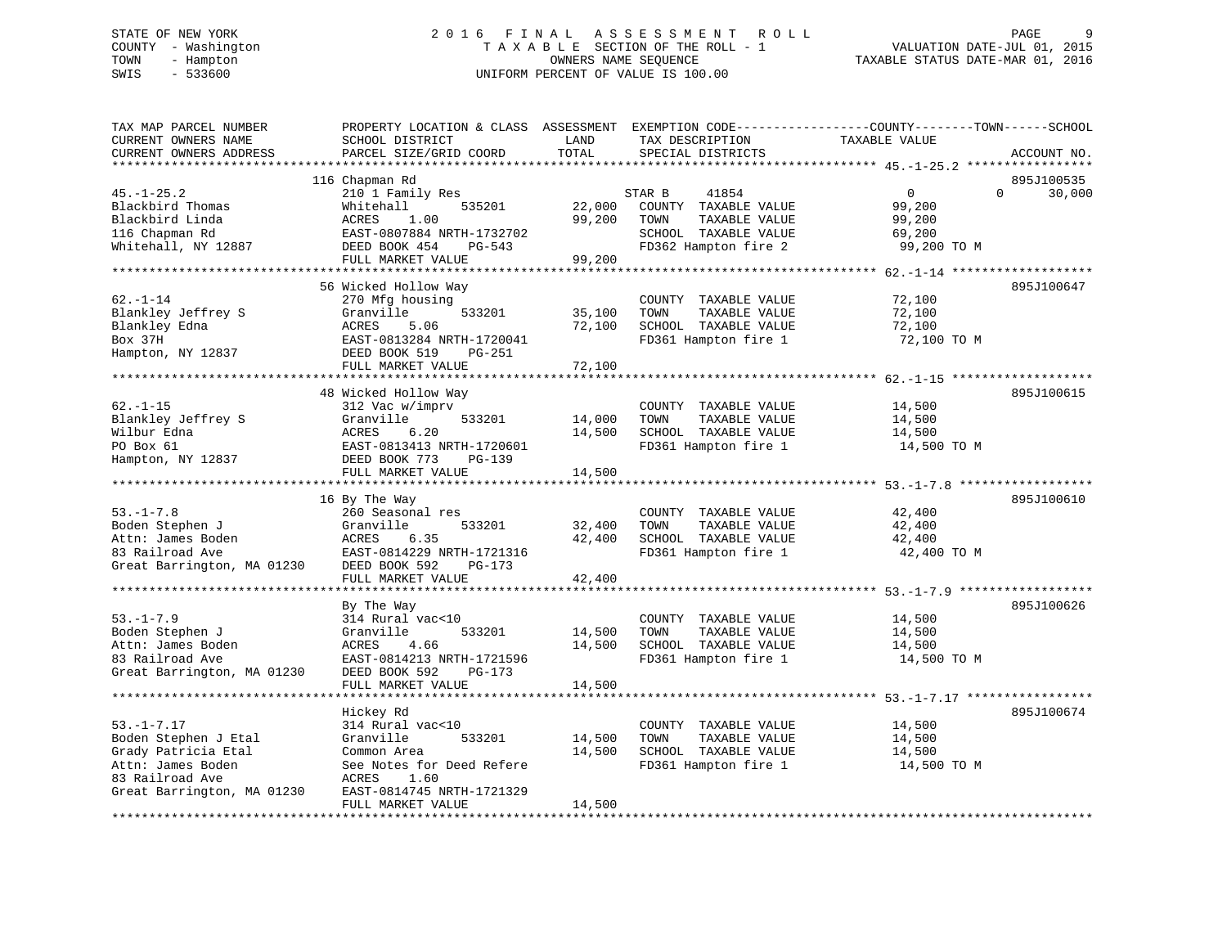#### STATE OF NEW YORK GALL 2016 FINAL ASSESSMENT ROLL CHARGE 9 COUNTY - Washington  $T A X A B L E$  SECTION OF THE ROLL - 1<br>TOWN - Hampton DWNERS NAME SEQUENCE TOWN - Hampton OWNERS NAME SEQUENCE TAXABLE STATUS DATE-MAR 01, 2016 SWIS - 533600 UNIFORM PERCENT OF VALUE IS 100.00

| SCHOOL DISTRICT<br>PARCEL SIZE/GRID COORD                                                                                             | LAND<br>TOTAL                                                                                                                                                                                                                                             | TAX DESCRIPTION<br>SPECIAL DISTRICTS                                                                   | TAXABLE VALUE                                                        | ACCOUNT NO.                                                                                                              |
|---------------------------------------------------------------------------------------------------------------------------------------|-----------------------------------------------------------------------------------------------------------------------------------------------------------------------------------------------------------------------------------------------------------|--------------------------------------------------------------------------------------------------------|----------------------------------------------------------------------|--------------------------------------------------------------------------------------------------------------------------|
|                                                                                                                                       |                                                                                                                                                                                                                                                           |                                                                                                        |                                                                      |                                                                                                                          |
| 210 1 Family Res<br>Whitehall<br>535201<br>ACRES<br>1.00<br>EAST-0807884 NRTH-1732702<br>DEED BOOK 454<br>PG-543<br>FULL MARKET VALUE | 22,000<br>99,200<br>99,200                                                                                                                                                                                                                                | 41854<br>COUNTY TAXABLE VALUE<br>TOWN<br>TAXABLE VALUE<br>SCHOOL TAXABLE VALUE<br>FD362 Hampton fire 2 | $\mathbf 0$<br>$\Omega$<br>99,200<br>99,200<br>69,200<br>99,200 TO M | 895J100535<br>30,000                                                                                                     |
|                                                                                                                                       |                                                                                                                                                                                                                                                           |                                                                                                        |                                                                      |                                                                                                                          |
| 270 Mfg housing<br>Granville<br>533201<br><b>ACRES</b><br>5.06<br>EAST-0813284 NRTH-1720041<br>DEED BOOK 519<br>PG-251                | 35,100<br>72,100                                                                                                                                                                                                                                          | COUNTY TAXABLE VALUE<br>TOWN<br>TAXABLE VALUE<br>SCHOOL TAXABLE VALUE<br>FD361 Hampton fire 1          | 72,100<br>72,100<br>72,100<br>72,100 TO M                            | 895J100647                                                                                                               |
|                                                                                                                                       |                                                                                                                                                                                                                                                           |                                                                                                        |                                                                      |                                                                                                                          |
|                                                                                                                                       |                                                                                                                                                                                                                                                           |                                                                                                        |                                                                      | 895J100615                                                                                                               |
| 312 Vac w/imprv<br>Granville<br>533201<br>ACRES<br>6.20<br>EAST-0813413 NRTH-1720601<br>DEED BOOK 773<br><b>PG-139</b>                | 14,000<br>14,500                                                                                                                                                                                                                                          | COUNTY TAXABLE VALUE<br>TOWN<br>TAXABLE VALUE<br>SCHOOL TAXABLE VALUE<br>FD361 Hampton fire 1          | 14,500<br>14,500<br>14,500<br>14,500 TO M                            |                                                                                                                          |
|                                                                                                                                       |                                                                                                                                                                                                                                                           |                                                                                                        |                                                                      |                                                                                                                          |
|                                                                                                                                       |                                                                                                                                                                                                                                                           |                                                                                                        |                                                                      | 895J100610                                                                                                               |
| 260 Seasonal res<br>Granville<br>533201<br>ACRES<br>6.35<br>EAST-0814229 NRTH-1721316<br>DEED BOOK 592<br>PG-173                      | 32,400<br>42,400                                                                                                                                                                                                                                          | COUNTY TAXABLE VALUE<br>TOWN<br>TAXABLE VALUE<br>SCHOOL TAXABLE VALUE<br>FD361 Hampton fire 1          | 42,400<br>42,400<br>42,400<br>42,400 TO M                            |                                                                                                                          |
|                                                                                                                                       | 42,400                                                                                                                                                                                                                                                    |                                                                                                        |                                                                      |                                                                                                                          |
| By The Way                                                                                                                            |                                                                                                                                                                                                                                                           |                                                                                                        |                                                                      | 895J100626                                                                                                               |
| Granville<br>533201<br>ACRES<br>4.66<br>EAST-0814213 NRTH-1721596<br>DEED BOOK 592<br>PG-173                                          | 14,500<br>14,500                                                                                                                                                                                                                                          | TOWN<br>TAXABLE VALUE<br>SCHOOL TAXABLE VALUE<br>FD361 Hampton fire 1                                  | 14,500<br>14,500<br>14,500 TO M                                      |                                                                                                                          |
|                                                                                                                                       |                                                                                                                                                                                                                                                           |                                                                                                        |                                                                      |                                                                                                                          |
|                                                                                                                                       |                                                                                                                                                                                                                                                           |                                                                                                        |                                                                      | 895J100674                                                                                                               |
| 314 Rural vac<10<br>Granville<br>533201<br>Common Area                                                                                | 14,500<br>14,500                                                                                                                                                                                                                                          | COUNTY TAXABLE VALUE<br>TAXABLE VALUE<br>TOWN<br>SCHOOL TAXABLE VALUE                                  | 14,500<br>14,500<br>14,500                                           |                                                                                                                          |
| ACRES<br>1.60<br>EAST-0814745 NRTH-1721329<br>FULL MARKET VALUE                                                                       | 14,500                                                                                                                                                                                                                                                    |                                                                                                        |                                                                      |                                                                                                                          |
|                                                                                                                                       | 116 Chapman Rd<br>56 Wicked Hollow Way<br>FULL MARKET VALUE<br>48 Wicked Hollow Way<br>FULL MARKET VALUE<br>16 By The Way<br>FULL MARKET VALUE<br>314 Rural vac<10<br>FULL MARKET VALUE<br>********************<br>Hickey Rd<br>See Notes for Deed Refere | 72,100<br>14,500<br>14,500                                                                             | STAR B<br>COUNTY TAXABLE VALUE<br>FD361 Hampton fire 1               | PROPERTY LOCATION & CLASS ASSESSMENT EXEMPTION CODE----------------COUNTY-------TOWN-----SCHOOL<br>14,500<br>14,500 TO M |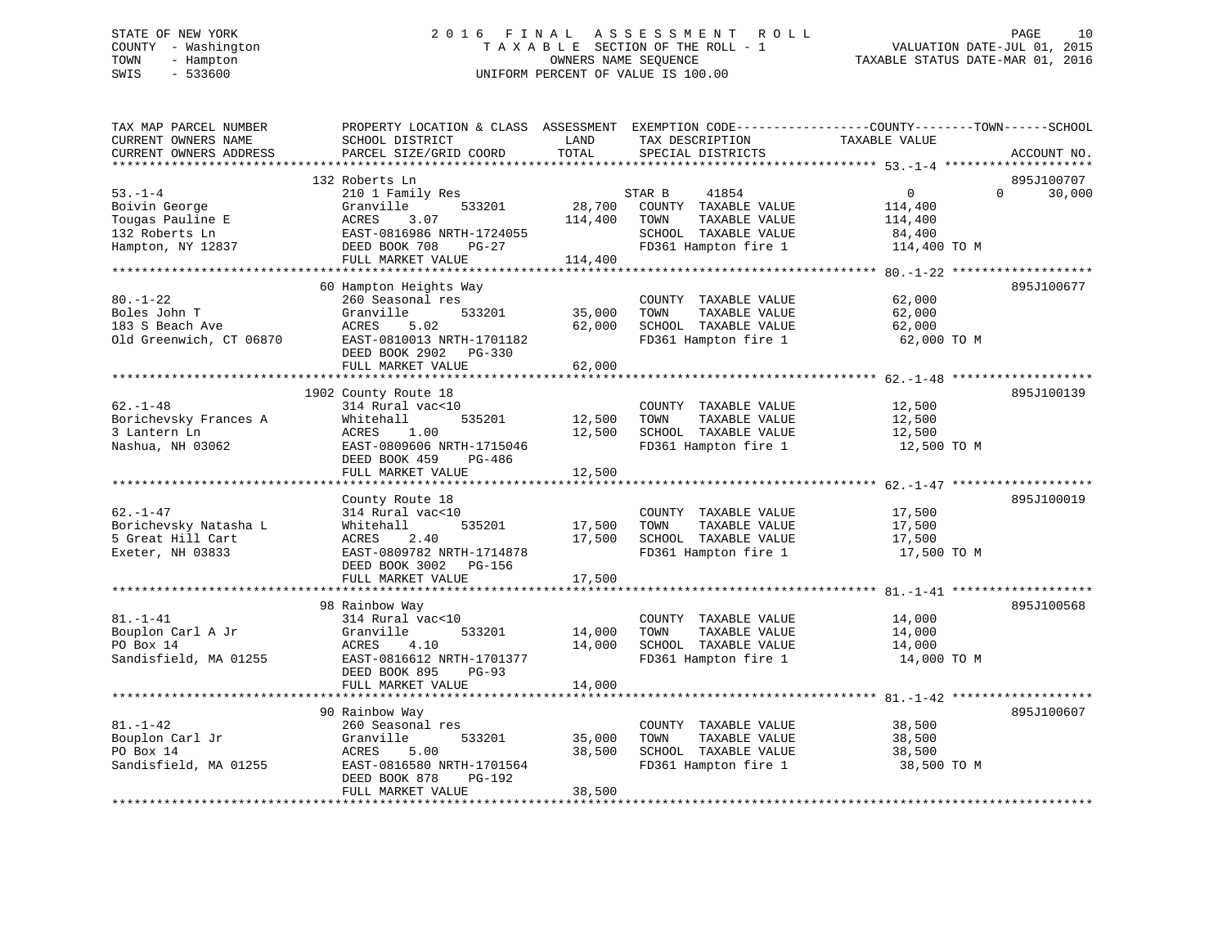# STATE OF NEW YORK 2 0 1 6 F I N A L A S S E S S M E N T R O L L PAGE 10 COUNTY - Washington T A X A B L E SECTION OF THE ROLL - 1 VALUATION DATE-JUL 01, 2015 TOWN - Hampton OWNERS NAME SEQUENCE TAXABLE STATUS DATE-MAR 01, 2016 SWIS - 533600 UNIFORM PERCENT OF VALUE IS 100.00

| TAX MAP PARCEL NUMBER<br>CURRENT OWNERS NAME<br>CURRENT OWNERS ADDRESS                    | PROPERTY LOCATION & CLASS ASSESSMENT<br>SCHOOL DISTRICT<br>PARCEL SIZE/GRID COORD                                                                                                                | LAND<br>TOTAL                              | EXEMPTION CODE-----------------COUNTY-------TOWN------SCHOOL<br>TAX DESCRIPTION<br>SPECIAL DISTRICTS                                         | TAXABLE VALUE                                                                                  | ACCOUNT NO.                      |
|-------------------------------------------------------------------------------------------|--------------------------------------------------------------------------------------------------------------------------------------------------------------------------------------------------|--------------------------------------------|----------------------------------------------------------------------------------------------------------------------------------------------|------------------------------------------------------------------------------------------------|----------------------------------|
| $53. - 1 - 4$<br>Boivin George<br>Tougas Pauline E<br>132 Roberts Ln<br>Hampton, NY 12837 | 132 Roberts Ln<br>210 1 Family Res<br>Granville<br>533201<br>ACRES<br>3.07<br>EAST-0816986 NRTH-1724055<br>DEED BOOK 708<br>$PG-27$<br>FULL MARKET VALUE<br>************************************ | 28,700<br>114,400<br>114,400               | STAR B<br>41854<br>COUNTY TAXABLE VALUE<br>TOWN<br>TAXABLE VALUE<br>SCHOOL TAXABLE VALUE<br>FD361 Hampton fire 1<br>************************ | 0<br>114,400<br>114,400<br>84,400<br>114,400 TO M<br>*********** 80.-1-22 ******************** | 895J100707<br>$\Omega$<br>30,000 |
| $80. - 1 - 22$<br>Boles John T<br>183 S Beach Ave<br>Old Greenwich, CT 06870              | 60 Hampton Heights Way<br>260 Seasonal res<br>Granville<br>533201<br>ACRES<br>5.02<br>EAST-0810013 NRTH-1701182<br>DEED BOOK 2902 PG-330<br>FULL MARKET VALUE                                    | 35,000<br>62,000<br>62,000                 | COUNTY TAXABLE VALUE<br>TOWN<br>TAXABLE VALUE<br>SCHOOL TAXABLE VALUE<br>FD361 Hampton fire 1                                                | 62,000<br>62,000<br>62,000<br>62,000 TO M                                                      | 895J100677                       |
| $62. - 1 - 48$<br>Borichevsky Frances A<br>3 Lantern Ln<br>Nashua, NH 03062               | 1902 County Route 18<br>314 Rural vac<10<br>Whitehall<br>535201<br>1.00<br>ACRES<br>EAST-0809606 NRTH-1715046<br>DEED BOOK 459<br>PG-486<br>FULL MARKET VALUE                                    | 12,500<br>12,500<br>12,500                 | COUNTY TAXABLE VALUE<br>TAXABLE VALUE<br>TOWN<br>SCHOOL TAXABLE VALUE<br>FD361 Hampton fire 1                                                | 12,500<br>12,500<br>12,500<br>12,500 TO M                                                      | 895J100139                       |
| $62. - 1 - 47$<br>Borichevsky Natasha L<br>5 Great Hill Cart<br>Exeter, NH 03833          | County Route 18<br>314 Rural vac<10<br>Whitehall<br>535201<br>2.40<br>ACRES<br>EAST-0809782 NRTH-1714878<br>DEED BOOK 3002 PG-156<br>FULL MARKET VALUE                                           | 17,500<br>17,500<br>17,500                 | COUNTY TAXABLE VALUE<br>TOWN<br>TAXABLE VALUE<br>SCHOOL TAXABLE VALUE<br>FD361 Hampton fire 1                                                | 17,500<br>17,500<br>17,500<br>17,500 TO M                                                      | 895J100019                       |
| $81. - 1 - 41$<br>Bouplon Carl A Jr<br>PO Box 14<br>Sandisfield, MA 01255                 | 98 Rainbow Way<br>314 Rural vac<10<br>533201<br>Granville<br>ACRES<br>4.10<br>EAST-0816612 NRTH-1701377<br>DEED BOOK 895<br>$PG-93$<br>FULL MARKET VALUE<br>*************************            | 14,000<br>14,000<br>14,000<br>************ | COUNTY TAXABLE VALUE<br>TAXABLE VALUE<br>TOWN<br>SCHOOL TAXABLE VALUE<br>FD361 Hampton fire 1                                                | 14,000<br>14,000<br>14,000<br>14,000 TO M                                                      | 895J100568                       |
| $81. - 1 - 42$<br>Bouplon Carl Jr<br>PO Box 14<br>Sandisfield, MA 01255                   | 90 Rainbow Way<br>260 Seasonal res<br>Granville<br>533201<br>ACRES<br>5.00<br>EAST-0816580 NRTH-1701564<br>DEED BOOK 878<br>PG-192<br>FULL MARKET VALUE                                          | 35,000<br>38,500<br>38,500                 | COUNTY TAXABLE VALUE<br>TOWN<br>TAXABLE VALUE<br>SCHOOL TAXABLE VALUE<br>FD361 Hampton fire 1                                                | 38,500<br>38,500<br>38,500<br>38,500 TO M                                                      | 895J100607                       |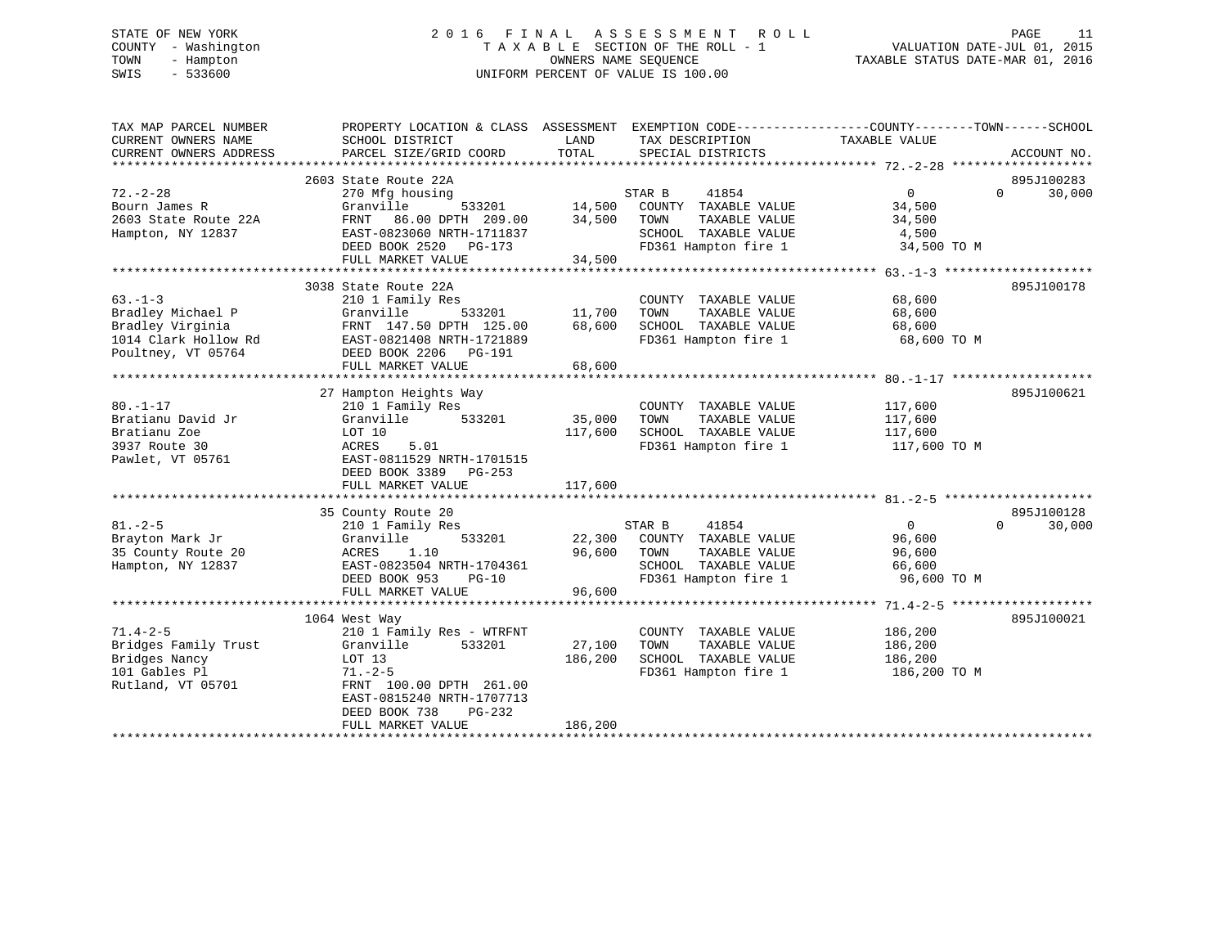# STATE OF NEW YORK 2 0 1 6 F I N A L A S S E S S M E N T R O L L PAGE 11 COUNTY - Washington T A X A B L E SECTION OF THE ROLL - 1 VALUATION DATE-JUL 01, 2015 TOWN - Hampton OWNERS NAME SEQUENCE TAXABLE STATUS DATE-MAR 01, 2016 SWIS - 533600 UNIFORM PERCENT OF VALUE IS 100.00

| SCHOOL DISTRICT<br>LAND<br>TAX DESCRIPTION<br>TAXABLE VALUE<br>TOTAL<br>PARCEL SIZE/GRID COORD<br>SPECIAL DISTRICTS<br>ACCOUNT NO.<br>2603 State Route 22A<br>895J100283<br>$72. - 2 - 28$<br>$0 \qquad \qquad$<br>$\Omega$<br>41854<br>30,000<br>270 Mfg housing<br>STAR B<br>Granville<br>533201<br>14,500<br>COUNTY TAXABLE VALUE<br>34,500<br>2603 State Route 22A<br>FRNT 86.00 DPTH 209.00<br>34,500<br>TOWN<br>TAXABLE VALUE<br>34,500<br>EAST-0823060 NRTH-1711837<br>SCHOOL TAXABLE VALUE<br>4,500<br>FD361 Hampton fire 1<br>DEED BOOK 2520 PG-173<br>34,500 TO M<br>34,500<br>FULL MARKET VALUE<br>3038 State Route 22A<br>895J100178<br>$63 - 1 - 3$<br>210 1 Family Res<br>COUNTY TAXABLE VALUE<br>68,600<br>Granville<br>533201<br>11,700<br>TOWN<br>TAXABLE VALUE<br>68,600<br>FRNT 147.50 DPTH 125.00<br>68,600<br>SCHOOL TAXABLE VALUE<br>68,600<br>FD361 Hampton fire 1<br>EAST-0821408 NRTH-1721889<br>68,600 TO M<br>DEED BOOK 2206 PG-191<br>68,600<br>FULL MARKET VALUE<br>895J100621<br>27 Hampton Heights Way<br>210 1 Family Res<br>COUNTY TAXABLE VALUE<br>117,600<br>Granville<br>533201<br>35,000<br>TOWN<br>TAXABLE VALUE<br>117,600<br>117,600<br>LOT 10<br>SCHOOL TAXABLE VALUE<br>117,600<br>5.01<br>FD361 Hampton fire 1<br>ACRES<br>117,600 TO M<br>EAST-0811529 NRTH-1701515<br>DEED BOOK 3389<br>PG-253<br>117,600<br>FULL MARKET VALUE<br>895J100128<br>35 County Route 20<br>STAR B<br>41854<br>$\overline{0}$<br>$\Omega$<br>30,000<br>210 1 Family Res<br>533201<br>22,300<br>COUNTY TAXABLE VALUE<br>96,600<br>Brayton Mark Jr<br>Granville<br>96,600<br>35 County Route 20<br>ACRES 1.10<br>TOWN<br>TAXABLE VALUE<br>96,600<br>Hampton, NY 12837<br>EAST-0823504 NRTH-1704361<br>SCHOOL TAXABLE VALUE<br>66,600<br>FD361 Hampton fire 1<br>DEED BOOK 953<br>$PG-10$<br>96,600 TO M<br>96,600<br>FULL MARKET VALUE<br>895J100021<br>1064 West Way<br>$71.4 - 2 - 5$<br>210 1 Family Res - WTRFNT<br>186,200<br>COUNTY TAXABLE VALUE<br>27,100<br>Bridges Family Trust<br>533201<br>TOWN<br>TAXABLE VALUE<br>Granville<br>186,200<br>Bridges Nancy<br>186,200<br>SCHOOL TAXABLE VALUE<br>186,200<br>LOT 13<br>101 Gables Pl<br>FD361 Hampton fire 1<br>186,200 TO M<br>$71. - 2 - 5$<br>Rutland, VT 05701<br>FRNT 100.00 DPTH 261.00<br>EAST-0815240 NRTH-1707713<br>DEED BOOK 738<br>PG-232<br>186,200<br>FULL MARKET VALUE | TAX MAP PARCEL NUMBER  | PROPERTY LOCATION & CLASS ASSESSMENT EXEMPTION CODE---------------COUNTY-------TOWN------SCHOOL |  |  |
|----------------------------------------------------------------------------------------------------------------------------------------------------------------------------------------------------------------------------------------------------------------------------------------------------------------------------------------------------------------------------------------------------------------------------------------------------------------------------------------------------------------------------------------------------------------------------------------------------------------------------------------------------------------------------------------------------------------------------------------------------------------------------------------------------------------------------------------------------------------------------------------------------------------------------------------------------------------------------------------------------------------------------------------------------------------------------------------------------------------------------------------------------------------------------------------------------------------------------------------------------------------------------------------------------------------------------------------------------------------------------------------------------------------------------------------------------------------------------------------------------------------------------------------------------------------------------------------------------------------------------------------------------------------------------------------------------------------------------------------------------------------------------------------------------------------------------------------------------------------------------------------------------------------------------------------------------------------------------------------------------------------------------------------------------------------------------------------------------------------------------------------------------------------------------------------------------------------------------------------------------------------------------------------------------------------------------------------------------------------------|------------------------|-------------------------------------------------------------------------------------------------|--|--|
|                                                                                                                                                                                                                                                                                                                                                                                                                                                                                                                                                                                                                                                                                                                                                                                                                                                                                                                                                                                                                                                                                                                                                                                                                                                                                                                                                                                                                                                                                                                                                                                                                                                                                                                                                                                                                                                                                                                                                                                                                                                                                                                                                                                                                                                                                                                                                                      | CURRENT OWNERS NAME    |                                                                                                 |  |  |
|                                                                                                                                                                                                                                                                                                                                                                                                                                                                                                                                                                                                                                                                                                                                                                                                                                                                                                                                                                                                                                                                                                                                                                                                                                                                                                                                                                                                                                                                                                                                                                                                                                                                                                                                                                                                                                                                                                                                                                                                                                                                                                                                                                                                                                                                                                                                                                      | CURRENT OWNERS ADDRESS |                                                                                                 |  |  |
|                                                                                                                                                                                                                                                                                                                                                                                                                                                                                                                                                                                                                                                                                                                                                                                                                                                                                                                                                                                                                                                                                                                                                                                                                                                                                                                                                                                                                                                                                                                                                                                                                                                                                                                                                                                                                                                                                                                                                                                                                                                                                                                                                                                                                                                                                                                                                                      |                        |                                                                                                 |  |  |
|                                                                                                                                                                                                                                                                                                                                                                                                                                                                                                                                                                                                                                                                                                                                                                                                                                                                                                                                                                                                                                                                                                                                                                                                                                                                                                                                                                                                                                                                                                                                                                                                                                                                                                                                                                                                                                                                                                                                                                                                                                                                                                                                                                                                                                                                                                                                                                      |                        |                                                                                                 |  |  |
|                                                                                                                                                                                                                                                                                                                                                                                                                                                                                                                                                                                                                                                                                                                                                                                                                                                                                                                                                                                                                                                                                                                                                                                                                                                                                                                                                                                                                                                                                                                                                                                                                                                                                                                                                                                                                                                                                                                                                                                                                                                                                                                                                                                                                                                                                                                                                                      |                        |                                                                                                 |  |  |
|                                                                                                                                                                                                                                                                                                                                                                                                                                                                                                                                                                                                                                                                                                                                                                                                                                                                                                                                                                                                                                                                                                                                                                                                                                                                                                                                                                                                                                                                                                                                                                                                                                                                                                                                                                                                                                                                                                                                                                                                                                                                                                                                                                                                                                                                                                                                                                      | Bourn James R          |                                                                                                 |  |  |
|                                                                                                                                                                                                                                                                                                                                                                                                                                                                                                                                                                                                                                                                                                                                                                                                                                                                                                                                                                                                                                                                                                                                                                                                                                                                                                                                                                                                                                                                                                                                                                                                                                                                                                                                                                                                                                                                                                                                                                                                                                                                                                                                                                                                                                                                                                                                                                      |                        |                                                                                                 |  |  |
|                                                                                                                                                                                                                                                                                                                                                                                                                                                                                                                                                                                                                                                                                                                                                                                                                                                                                                                                                                                                                                                                                                                                                                                                                                                                                                                                                                                                                                                                                                                                                                                                                                                                                                                                                                                                                                                                                                                                                                                                                                                                                                                                                                                                                                                                                                                                                                      | Hampton, NY 12837      |                                                                                                 |  |  |
|                                                                                                                                                                                                                                                                                                                                                                                                                                                                                                                                                                                                                                                                                                                                                                                                                                                                                                                                                                                                                                                                                                                                                                                                                                                                                                                                                                                                                                                                                                                                                                                                                                                                                                                                                                                                                                                                                                                                                                                                                                                                                                                                                                                                                                                                                                                                                                      |                        |                                                                                                 |  |  |
|                                                                                                                                                                                                                                                                                                                                                                                                                                                                                                                                                                                                                                                                                                                                                                                                                                                                                                                                                                                                                                                                                                                                                                                                                                                                                                                                                                                                                                                                                                                                                                                                                                                                                                                                                                                                                                                                                                                                                                                                                                                                                                                                                                                                                                                                                                                                                                      |                        |                                                                                                 |  |  |
|                                                                                                                                                                                                                                                                                                                                                                                                                                                                                                                                                                                                                                                                                                                                                                                                                                                                                                                                                                                                                                                                                                                                                                                                                                                                                                                                                                                                                                                                                                                                                                                                                                                                                                                                                                                                                                                                                                                                                                                                                                                                                                                                                                                                                                                                                                                                                                      |                        |                                                                                                 |  |  |
|                                                                                                                                                                                                                                                                                                                                                                                                                                                                                                                                                                                                                                                                                                                                                                                                                                                                                                                                                                                                                                                                                                                                                                                                                                                                                                                                                                                                                                                                                                                                                                                                                                                                                                                                                                                                                                                                                                                                                                                                                                                                                                                                                                                                                                                                                                                                                                      |                        |                                                                                                 |  |  |
|                                                                                                                                                                                                                                                                                                                                                                                                                                                                                                                                                                                                                                                                                                                                                                                                                                                                                                                                                                                                                                                                                                                                                                                                                                                                                                                                                                                                                                                                                                                                                                                                                                                                                                                                                                                                                                                                                                                                                                                                                                                                                                                                                                                                                                                                                                                                                                      |                        |                                                                                                 |  |  |
|                                                                                                                                                                                                                                                                                                                                                                                                                                                                                                                                                                                                                                                                                                                                                                                                                                                                                                                                                                                                                                                                                                                                                                                                                                                                                                                                                                                                                                                                                                                                                                                                                                                                                                                                                                                                                                                                                                                                                                                                                                                                                                                                                                                                                                                                                                                                                                      | Bradley Michael P      |                                                                                                 |  |  |
|                                                                                                                                                                                                                                                                                                                                                                                                                                                                                                                                                                                                                                                                                                                                                                                                                                                                                                                                                                                                                                                                                                                                                                                                                                                                                                                                                                                                                                                                                                                                                                                                                                                                                                                                                                                                                                                                                                                                                                                                                                                                                                                                                                                                                                                                                                                                                                      | Bradley Virginia       |                                                                                                 |  |  |
|                                                                                                                                                                                                                                                                                                                                                                                                                                                                                                                                                                                                                                                                                                                                                                                                                                                                                                                                                                                                                                                                                                                                                                                                                                                                                                                                                                                                                                                                                                                                                                                                                                                                                                                                                                                                                                                                                                                                                                                                                                                                                                                                                                                                                                                                                                                                                                      | 1014 Clark Hollow Rd   |                                                                                                 |  |  |
|                                                                                                                                                                                                                                                                                                                                                                                                                                                                                                                                                                                                                                                                                                                                                                                                                                                                                                                                                                                                                                                                                                                                                                                                                                                                                                                                                                                                                                                                                                                                                                                                                                                                                                                                                                                                                                                                                                                                                                                                                                                                                                                                                                                                                                                                                                                                                                      | Poultney, VT 05764     |                                                                                                 |  |  |
|                                                                                                                                                                                                                                                                                                                                                                                                                                                                                                                                                                                                                                                                                                                                                                                                                                                                                                                                                                                                                                                                                                                                                                                                                                                                                                                                                                                                                                                                                                                                                                                                                                                                                                                                                                                                                                                                                                                                                                                                                                                                                                                                                                                                                                                                                                                                                                      |                        |                                                                                                 |  |  |
|                                                                                                                                                                                                                                                                                                                                                                                                                                                                                                                                                                                                                                                                                                                                                                                                                                                                                                                                                                                                                                                                                                                                                                                                                                                                                                                                                                                                                                                                                                                                                                                                                                                                                                                                                                                                                                                                                                                                                                                                                                                                                                                                                                                                                                                                                                                                                                      |                        |                                                                                                 |  |  |
|                                                                                                                                                                                                                                                                                                                                                                                                                                                                                                                                                                                                                                                                                                                                                                                                                                                                                                                                                                                                                                                                                                                                                                                                                                                                                                                                                                                                                                                                                                                                                                                                                                                                                                                                                                                                                                                                                                                                                                                                                                                                                                                                                                                                                                                                                                                                                                      |                        |                                                                                                 |  |  |
|                                                                                                                                                                                                                                                                                                                                                                                                                                                                                                                                                                                                                                                                                                                                                                                                                                                                                                                                                                                                                                                                                                                                                                                                                                                                                                                                                                                                                                                                                                                                                                                                                                                                                                                                                                                                                                                                                                                                                                                                                                                                                                                                                                                                                                                                                                                                                                      | $80. - 1 - 17$         |                                                                                                 |  |  |
|                                                                                                                                                                                                                                                                                                                                                                                                                                                                                                                                                                                                                                                                                                                                                                                                                                                                                                                                                                                                                                                                                                                                                                                                                                                                                                                                                                                                                                                                                                                                                                                                                                                                                                                                                                                                                                                                                                                                                                                                                                                                                                                                                                                                                                                                                                                                                                      | Bratianu David Jr      |                                                                                                 |  |  |
|                                                                                                                                                                                                                                                                                                                                                                                                                                                                                                                                                                                                                                                                                                                                                                                                                                                                                                                                                                                                                                                                                                                                                                                                                                                                                                                                                                                                                                                                                                                                                                                                                                                                                                                                                                                                                                                                                                                                                                                                                                                                                                                                                                                                                                                                                                                                                                      | Bratianu Zoe           |                                                                                                 |  |  |
|                                                                                                                                                                                                                                                                                                                                                                                                                                                                                                                                                                                                                                                                                                                                                                                                                                                                                                                                                                                                                                                                                                                                                                                                                                                                                                                                                                                                                                                                                                                                                                                                                                                                                                                                                                                                                                                                                                                                                                                                                                                                                                                                                                                                                                                                                                                                                                      | 3937 Route 30          |                                                                                                 |  |  |
|                                                                                                                                                                                                                                                                                                                                                                                                                                                                                                                                                                                                                                                                                                                                                                                                                                                                                                                                                                                                                                                                                                                                                                                                                                                                                                                                                                                                                                                                                                                                                                                                                                                                                                                                                                                                                                                                                                                                                                                                                                                                                                                                                                                                                                                                                                                                                                      | Pawlet, VT 05761       |                                                                                                 |  |  |
|                                                                                                                                                                                                                                                                                                                                                                                                                                                                                                                                                                                                                                                                                                                                                                                                                                                                                                                                                                                                                                                                                                                                                                                                                                                                                                                                                                                                                                                                                                                                                                                                                                                                                                                                                                                                                                                                                                                                                                                                                                                                                                                                                                                                                                                                                                                                                                      |                        |                                                                                                 |  |  |
|                                                                                                                                                                                                                                                                                                                                                                                                                                                                                                                                                                                                                                                                                                                                                                                                                                                                                                                                                                                                                                                                                                                                                                                                                                                                                                                                                                                                                                                                                                                                                                                                                                                                                                                                                                                                                                                                                                                                                                                                                                                                                                                                                                                                                                                                                                                                                                      |                        |                                                                                                 |  |  |
|                                                                                                                                                                                                                                                                                                                                                                                                                                                                                                                                                                                                                                                                                                                                                                                                                                                                                                                                                                                                                                                                                                                                                                                                                                                                                                                                                                                                                                                                                                                                                                                                                                                                                                                                                                                                                                                                                                                                                                                                                                                                                                                                                                                                                                                                                                                                                                      |                        |                                                                                                 |  |  |
|                                                                                                                                                                                                                                                                                                                                                                                                                                                                                                                                                                                                                                                                                                                                                                                                                                                                                                                                                                                                                                                                                                                                                                                                                                                                                                                                                                                                                                                                                                                                                                                                                                                                                                                                                                                                                                                                                                                                                                                                                                                                                                                                                                                                                                                                                                                                                                      |                        |                                                                                                 |  |  |
|                                                                                                                                                                                                                                                                                                                                                                                                                                                                                                                                                                                                                                                                                                                                                                                                                                                                                                                                                                                                                                                                                                                                                                                                                                                                                                                                                                                                                                                                                                                                                                                                                                                                                                                                                                                                                                                                                                                                                                                                                                                                                                                                                                                                                                                                                                                                                                      | $81. - 2 - 5$          |                                                                                                 |  |  |
|                                                                                                                                                                                                                                                                                                                                                                                                                                                                                                                                                                                                                                                                                                                                                                                                                                                                                                                                                                                                                                                                                                                                                                                                                                                                                                                                                                                                                                                                                                                                                                                                                                                                                                                                                                                                                                                                                                                                                                                                                                                                                                                                                                                                                                                                                                                                                                      |                        |                                                                                                 |  |  |
|                                                                                                                                                                                                                                                                                                                                                                                                                                                                                                                                                                                                                                                                                                                                                                                                                                                                                                                                                                                                                                                                                                                                                                                                                                                                                                                                                                                                                                                                                                                                                                                                                                                                                                                                                                                                                                                                                                                                                                                                                                                                                                                                                                                                                                                                                                                                                                      |                        |                                                                                                 |  |  |
|                                                                                                                                                                                                                                                                                                                                                                                                                                                                                                                                                                                                                                                                                                                                                                                                                                                                                                                                                                                                                                                                                                                                                                                                                                                                                                                                                                                                                                                                                                                                                                                                                                                                                                                                                                                                                                                                                                                                                                                                                                                                                                                                                                                                                                                                                                                                                                      |                        |                                                                                                 |  |  |
|                                                                                                                                                                                                                                                                                                                                                                                                                                                                                                                                                                                                                                                                                                                                                                                                                                                                                                                                                                                                                                                                                                                                                                                                                                                                                                                                                                                                                                                                                                                                                                                                                                                                                                                                                                                                                                                                                                                                                                                                                                                                                                                                                                                                                                                                                                                                                                      |                        |                                                                                                 |  |  |
|                                                                                                                                                                                                                                                                                                                                                                                                                                                                                                                                                                                                                                                                                                                                                                                                                                                                                                                                                                                                                                                                                                                                                                                                                                                                                                                                                                                                                                                                                                                                                                                                                                                                                                                                                                                                                                                                                                                                                                                                                                                                                                                                                                                                                                                                                                                                                                      |                        |                                                                                                 |  |  |
|                                                                                                                                                                                                                                                                                                                                                                                                                                                                                                                                                                                                                                                                                                                                                                                                                                                                                                                                                                                                                                                                                                                                                                                                                                                                                                                                                                                                                                                                                                                                                                                                                                                                                                                                                                                                                                                                                                                                                                                                                                                                                                                                                                                                                                                                                                                                                                      |                        |                                                                                                 |  |  |
|                                                                                                                                                                                                                                                                                                                                                                                                                                                                                                                                                                                                                                                                                                                                                                                                                                                                                                                                                                                                                                                                                                                                                                                                                                                                                                                                                                                                                                                                                                                                                                                                                                                                                                                                                                                                                                                                                                                                                                                                                                                                                                                                                                                                                                                                                                                                                                      |                        |                                                                                                 |  |  |
|                                                                                                                                                                                                                                                                                                                                                                                                                                                                                                                                                                                                                                                                                                                                                                                                                                                                                                                                                                                                                                                                                                                                                                                                                                                                                                                                                                                                                                                                                                                                                                                                                                                                                                                                                                                                                                                                                                                                                                                                                                                                                                                                                                                                                                                                                                                                                                      |                        |                                                                                                 |  |  |
|                                                                                                                                                                                                                                                                                                                                                                                                                                                                                                                                                                                                                                                                                                                                                                                                                                                                                                                                                                                                                                                                                                                                                                                                                                                                                                                                                                                                                                                                                                                                                                                                                                                                                                                                                                                                                                                                                                                                                                                                                                                                                                                                                                                                                                                                                                                                                                      |                        |                                                                                                 |  |  |
|                                                                                                                                                                                                                                                                                                                                                                                                                                                                                                                                                                                                                                                                                                                                                                                                                                                                                                                                                                                                                                                                                                                                                                                                                                                                                                                                                                                                                                                                                                                                                                                                                                                                                                                                                                                                                                                                                                                                                                                                                                                                                                                                                                                                                                                                                                                                                                      |                        |                                                                                                 |  |  |
|                                                                                                                                                                                                                                                                                                                                                                                                                                                                                                                                                                                                                                                                                                                                                                                                                                                                                                                                                                                                                                                                                                                                                                                                                                                                                                                                                                                                                                                                                                                                                                                                                                                                                                                                                                                                                                                                                                                                                                                                                                                                                                                                                                                                                                                                                                                                                                      |                        |                                                                                                 |  |  |
|                                                                                                                                                                                                                                                                                                                                                                                                                                                                                                                                                                                                                                                                                                                                                                                                                                                                                                                                                                                                                                                                                                                                                                                                                                                                                                                                                                                                                                                                                                                                                                                                                                                                                                                                                                                                                                                                                                                                                                                                                                                                                                                                                                                                                                                                                                                                                                      |                        |                                                                                                 |  |  |
|                                                                                                                                                                                                                                                                                                                                                                                                                                                                                                                                                                                                                                                                                                                                                                                                                                                                                                                                                                                                                                                                                                                                                                                                                                                                                                                                                                                                                                                                                                                                                                                                                                                                                                                                                                                                                                                                                                                                                                                                                                                                                                                                                                                                                                                                                                                                                                      |                        |                                                                                                 |  |  |
|                                                                                                                                                                                                                                                                                                                                                                                                                                                                                                                                                                                                                                                                                                                                                                                                                                                                                                                                                                                                                                                                                                                                                                                                                                                                                                                                                                                                                                                                                                                                                                                                                                                                                                                                                                                                                                                                                                                                                                                                                                                                                                                                                                                                                                                                                                                                                                      |                        |                                                                                                 |  |  |
|                                                                                                                                                                                                                                                                                                                                                                                                                                                                                                                                                                                                                                                                                                                                                                                                                                                                                                                                                                                                                                                                                                                                                                                                                                                                                                                                                                                                                                                                                                                                                                                                                                                                                                                                                                                                                                                                                                                                                                                                                                                                                                                                                                                                                                                                                                                                                                      |                        |                                                                                                 |  |  |
|                                                                                                                                                                                                                                                                                                                                                                                                                                                                                                                                                                                                                                                                                                                                                                                                                                                                                                                                                                                                                                                                                                                                                                                                                                                                                                                                                                                                                                                                                                                                                                                                                                                                                                                                                                                                                                                                                                                                                                                                                                                                                                                                                                                                                                                                                                                                                                      |                        |                                                                                                 |  |  |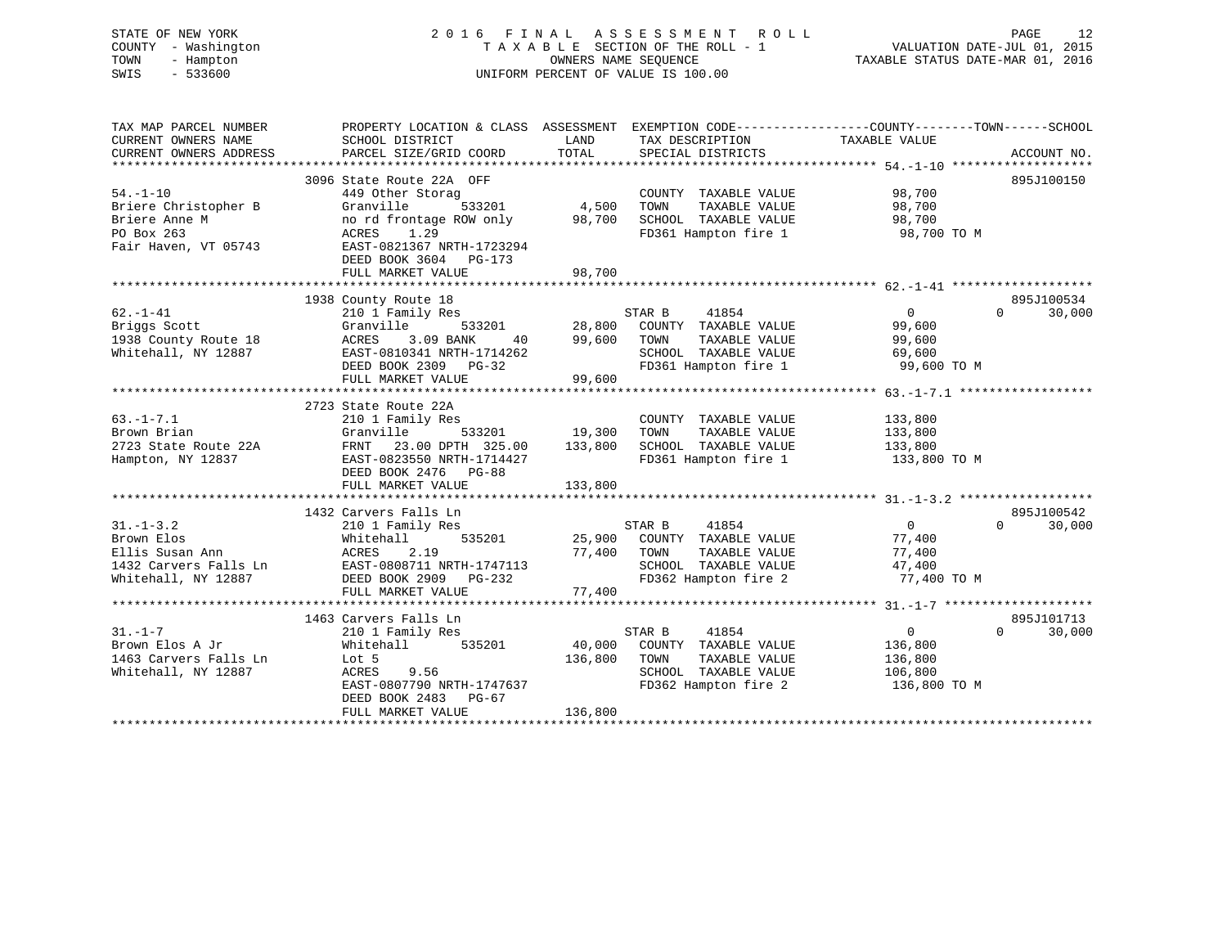STATE OF NEW YORK 2 0 1 6 F I N A L A S S E S S M E N T R O L L PAGE 12 COUNTY - Washington T A X A B L E SECTION OF THE ROLL - 1 VALUATION DATE-JUL 01, 2015 TOWN - Hampton OWNERS NAME SEQUENCE TAXABLE STATUS DATE-MAR 01, 2016 SWIS - 533600 UNIFORM PERCENT OF VALUE IS 100.00

| SCHOOL DISTRICT<br>PARCEL SIZE/GRID COORD                                                                                                     | LAND<br>TOTAL                                                                                                                                                                                             | SPECIAL DISTRICTS                                                              |                                                                                                                           | ACCOUNT NO.                                                                                                                                                                                                                                                                                                                    |
|-----------------------------------------------------------------------------------------------------------------------------------------------|-----------------------------------------------------------------------------------------------------------------------------------------------------------------------------------------------------------|--------------------------------------------------------------------------------|---------------------------------------------------------------------------------------------------------------------------|--------------------------------------------------------------------------------------------------------------------------------------------------------------------------------------------------------------------------------------------------------------------------------------------------------------------------------|
| 449 Other Storag<br>533201<br>Granville<br>no rd frontage ROW only<br>ACRES 1.29<br>EAST-0821367 NRTH-1723294                                 | 98,700                                                                                                                                                                                                    | COUNTY TAXABLE VALUE<br>TOWN<br>TAXABLE VALUE                                  | 98,700<br>98,700<br>98,700<br>98,700 TO M                                                                                 | 895J100150                                                                                                                                                                                                                                                                                                                     |
| FULL MARKET VALUE                                                                                                                             | 98,700                                                                                                                                                                                                    |                                                                                |                                                                                                                           |                                                                                                                                                                                                                                                                                                                                |
|                                                                                                                                               |                                                                                                                                                                                                           |                                                                                |                                                                                                                           | 895J100534                                                                                                                                                                                                                                                                                                                     |
| 210 1 Family Res<br>533201<br>Granville<br>ACRES<br>3.09 BANK<br>40<br>EAST-0810341 NRTH-1714262<br>DEED BOOK 2309 PG-32<br>FULL MARKET VALUE | 99,600<br>99,600                                                                                                                                                                                          | 41854<br>TOWN<br>TAXABLE VALUE<br>SCHOOL TAXABLE VALUE                         | $\overline{0}$<br>$\overline{0}$<br>99,600<br>99,600<br>69,600                                                            | 30,000                                                                                                                                                                                                                                                                                                                         |
|                                                                                                                                               |                                                                                                                                                                                                           |                                                                                |                                                                                                                           |                                                                                                                                                                                                                                                                                                                                |
| 210 1 Family Res<br>Granville<br>EAST-0823550 NRTH-1714427<br>DEED BOOK 2476 PG-88<br>FULL MARKET VALUE                                       | 133,800                                                                                                                                                                                                   | COUNTY TAXABLE VALUE<br>TAXABLE VALUE<br>TOWN<br>SCHOOL TAXABLE VALUE          | 133,800<br>133,800<br>133,800 TO M                                                                                        |                                                                                                                                                                                                                                                                                                                                |
|                                                                                                                                               |                                                                                                                                                                                                           |                                                                                |                                                                                                                           |                                                                                                                                                                                                                                                                                                                                |
| 210 1 Family Res<br>535201<br>Whitehall<br><b>ACRES</b><br>2.19<br>DEED BOOK 2909 PG-232<br>FULL MARKET VALUE                                 | 77,400                                                                                                                                                                                                    | 41854<br>TAXABLE VALUE<br>TOWN                                                 | $\overline{0}$<br>$\Omega$<br>77,400<br>77,400<br>47,400<br>77,400 TO M                                                   | 895J100542<br>30,000                                                                                                                                                                                                                                                                                                           |
|                                                                                                                                               |                                                                                                                                                                                                           |                                                                                |                                                                                                                           |                                                                                                                                                                                                                                                                                                                                |
| 210 1 Family Res<br>Whitehall<br>535201<br>Lot 5<br>ACRES 9.56<br>EAST-0807790 NRTH-1747637<br>DEED BOOK 2483<br>PG-67<br>FULL MARKET VALUE   | 40,000<br>136,800                                                                                                                                                                                         | 41854<br>COUNTY TAXABLE VALUE<br>TOWN<br>TAXABLE VALUE<br>SCHOOL TAXABLE VALUE | $\overline{0}$<br>$\Omega$<br>136,800<br>136,800<br>106,800<br>136,800 TO M                                               | 895J101713<br>30,000                                                                                                                                                                                                                                                                                                           |
| 1432 Carvers Falls Ln                                                                                                                         | 3096 State Route 22A OFF<br>DEED BOOK 3604 PG-173<br>1938 County Route 18<br>2723 State Route 22A<br>1432 Carvers Falls Ln<br>EAST-0808711 NRTH-1747113<br>DEED BOOK 2909 PG-232<br>1463 Carvers Falls Ln | 533201 19,300<br>FRNT 23.00 DPTH 325.00 133,800                                | 4,500<br>STAR B<br>28,800<br>STAR B<br>25,900 COUNTY TAXABLE VALUE<br>77,400<br>STAR B<br>136,800<br>FD362 Hampton fire 2 | PROPERTY LOCATION & CLASS ASSESSMENT EXEMPTION CODE---------------COUNTY-------TOWN-----SCHOOL<br>TAX DESCRIPTION TAXABLE VALUE<br>SCHOOL TAXABLE VALUE<br>FD361 Hampton fire 1<br>COUNTY TAXABLE VALUE<br>FD361 Hampton fire 1 99,600 TO M<br>133,800<br>FD361 Hampton fire 1<br>SCHOOL TAXABLE VALUE<br>FD362 Hampton fire 2 |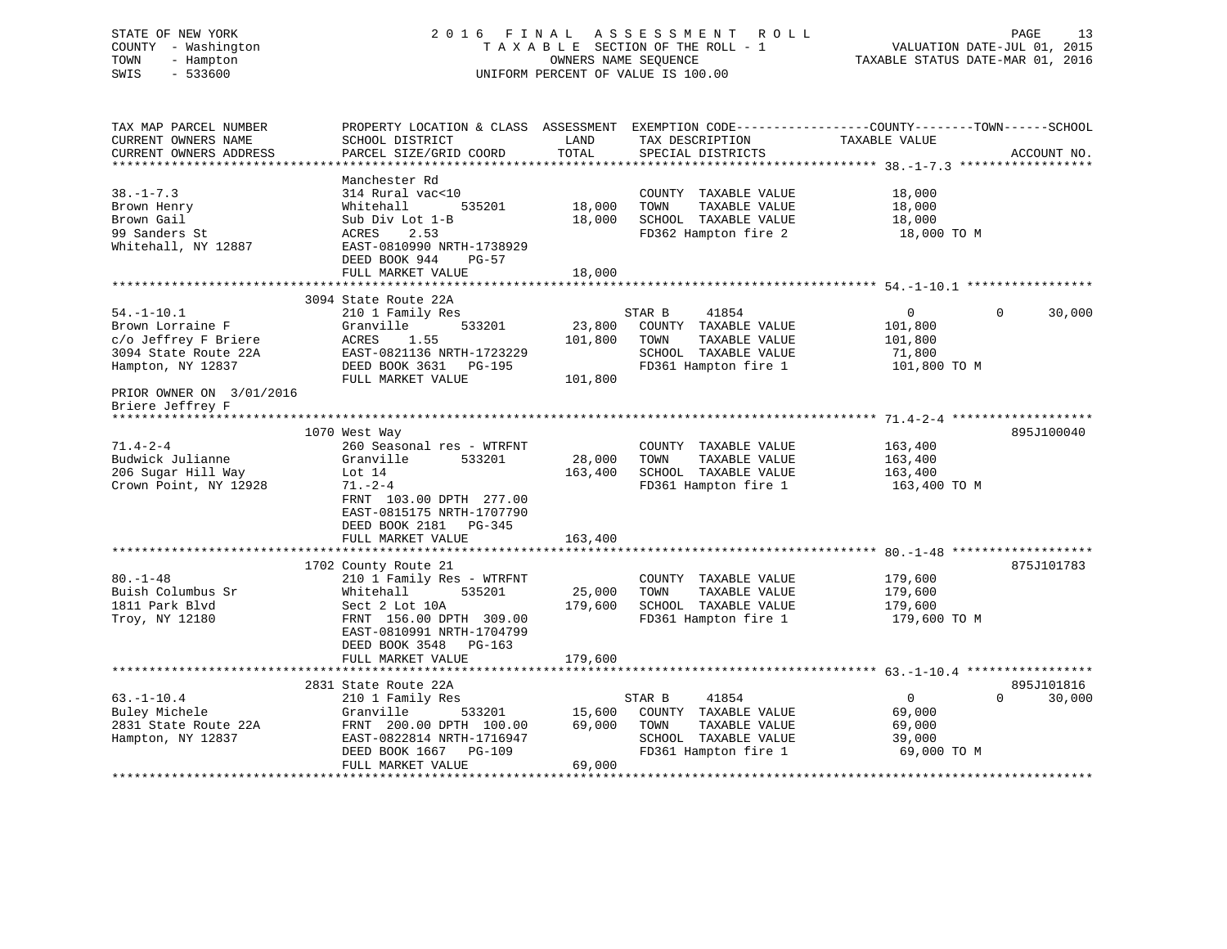| STATE OF NEW YORK<br>COUNTY - Washington<br>TOWN<br>- Hampton<br>SWIS<br>$-533600$                                                    | 2016 FINAL ASSESSMENT                                                                                                                                                                                                        | TAXABLE SECTION OF THE ROLL - 1<br>UNIFORM PERCENT OF VALUE IS 100.00 | OWNERS NAME SEQUENCE | R O L L                                                                                        | VALUATION DATE-JUL 01, 2015<br>TAXABLE STATUS DATE-MAR 01, 2016 | PAGE<br>13         |
|---------------------------------------------------------------------------------------------------------------------------------------|------------------------------------------------------------------------------------------------------------------------------------------------------------------------------------------------------------------------------|-----------------------------------------------------------------------|----------------------|------------------------------------------------------------------------------------------------|-----------------------------------------------------------------|--------------------|
| TAX MAP PARCEL NUMBER<br>CURRENT OWNERS NAME<br>CURRENT OWNERS ADDRESS                                                                | PROPERTY LOCATION & CLASS ASSESSMENT EXEMPTION CODE----------------COUNTY-------TOWN------SCHOOL<br>SCHOOL DISTRICT<br>PARCEL SIZE/GRID COORD                                                                                | LAND<br><b>TOTAL</b>                                                  |                      | TAX DESCRIPTION<br>SPECIAL DISTRICTS                                                           | TAXABLE VALUE                                                   | ACCOUNT NO.        |
| $38. - 1 - 7.3$<br>Brown Henry<br>Brown Gail<br>99 Sanders St<br>Whitehall, NY 12887                                                  | Manchester Rd<br>314 Rural vac<10<br>535201<br>Whitehall<br>Sub Div Lot 1-B<br>ACRES<br>2.53<br>EAST-0810990 NRTH-1738929<br>DEED BOOK 944<br>PG-57<br>FULL MARKET VALUE                                                     | 18,000<br>18,000<br>18,000                                            | TOWN                 | COUNTY TAXABLE VALUE<br>TAXABLE VALUE<br>SCHOOL TAXABLE VALUE<br>FD362 Hampton fire 2          | 18,000<br>18,000<br>18,000<br>18,000 TO M                       |                    |
|                                                                                                                                       |                                                                                                                                                                                                                              |                                                                       |                      |                                                                                                |                                                                 |                    |
| $54. - 1 - 10.1$<br>Brown Lorraine F<br>c/o Jeffrey F Briere<br>3094 State Route 22A<br>Hampton, NY 12837<br>PRIOR OWNER ON 3/01/2016 | 3094 State Route 22A<br>210 1 Family Res<br>Granville<br>533201<br>ACRES<br>1.55<br>EAST-0821136 NRTH-1723229<br>DEED BOOK 3631 PG-195<br>FULL MARKET VALUE                                                                  | 23,800<br>101,800<br>101,800                                          | STAR B<br>TOWN       | 41854<br>COUNTY TAXABLE VALUE<br>TAXABLE VALUE<br>SCHOOL TAXABLE VALUE<br>FD361 Hampton fire 1 | $\overline{0}$<br>101,800<br>101,800<br>71,800<br>101,800 TO M  | 30,000<br>0        |
| Briere Jeffrey F                                                                                                                      |                                                                                                                                                                                                                              |                                                                       |                      |                                                                                                |                                                                 |                    |
|                                                                                                                                       | 1070 West Way                                                                                                                                                                                                                |                                                                       |                      |                                                                                                |                                                                 | 895J100040         |
| $71.4 - 2 - 4$<br>Budwick Julianne<br>206 Sugar Hill Way<br>Crown Point, NY 12928                                                     | 260 Seasonal res - WTRFNT<br>Granville<br>533201<br>Lot $14$<br>$71. - 2 - 4$<br>FRNT 103.00 DPTH 277.00<br>EAST-0815175 NRTH-1707790<br>DEED BOOK 2181 PG-345                                                               | 28,000<br>163,400                                                     | TOWN                 | COUNTY TAXABLE VALUE<br>TAXABLE VALUE<br>SCHOOL TAXABLE VALUE<br>FD361 Hampton fire 1          | 163,400<br>163,400<br>163,400<br>163,400 TO M                   |                    |
|                                                                                                                                       | FULL MARKET VALUE                                                                                                                                                                                                            | 163,400                                                               |                      |                                                                                                |                                                                 |                    |
| $80. - 1 - 48$<br>Buish Columbus Sr<br>1811 Park Blvd<br>Troy, NY 12180                                                               | 1702 County Route 21<br>210 1 Family Res - WTRFNT<br>535201<br>Whitehall<br>Sect 2 Lot 10A<br>FRNT 156.00 DPTH 309.00<br>EAST-0810991 NRTH-1704799<br>DEED BOOK 3548 PG-163<br>FULL MARKET VALUE<br>************************ | 25,000<br>179,600<br>179,600                                          | TOWN                 | COUNTY TAXABLE VALUE<br>TAXABLE VALUE<br>SCHOOL TAXABLE VALUE<br>FD361 Hampton fire 1          | 179,600<br>179,600<br>179,600<br>179,600 TO M                   | 875J101783         |
|                                                                                                                                       | 2831 State Route 22A                                                                                                                                                                                                         |                                                                       |                      |                                                                                                |                                                                 | 895J101816         |
| $63. - 1 - 10.4$<br>Buley Michele<br>2831 State Route 22A<br>Hampton, NY 12837                                                        | 210 1 Family Res<br>Granville<br>533201<br>FRNT 200.00 DPTH 100.00<br>EAST-0822814 NRTH-1716947<br>DEED BOOK 1667 PG-109<br>FULL MARKET VALUE                                                                                | 15,600<br>69,000<br>69,000                                            | STAR B<br>TOWN       | 41854<br>COUNTY TAXABLE VALUE<br>TAXABLE VALUE<br>SCHOOL TAXABLE VALUE<br>FD361 Hampton fire 1 | $\overline{0}$<br>69,000<br>69,000<br>39,000<br>69,000 TO M     | $\Omega$<br>30,000 |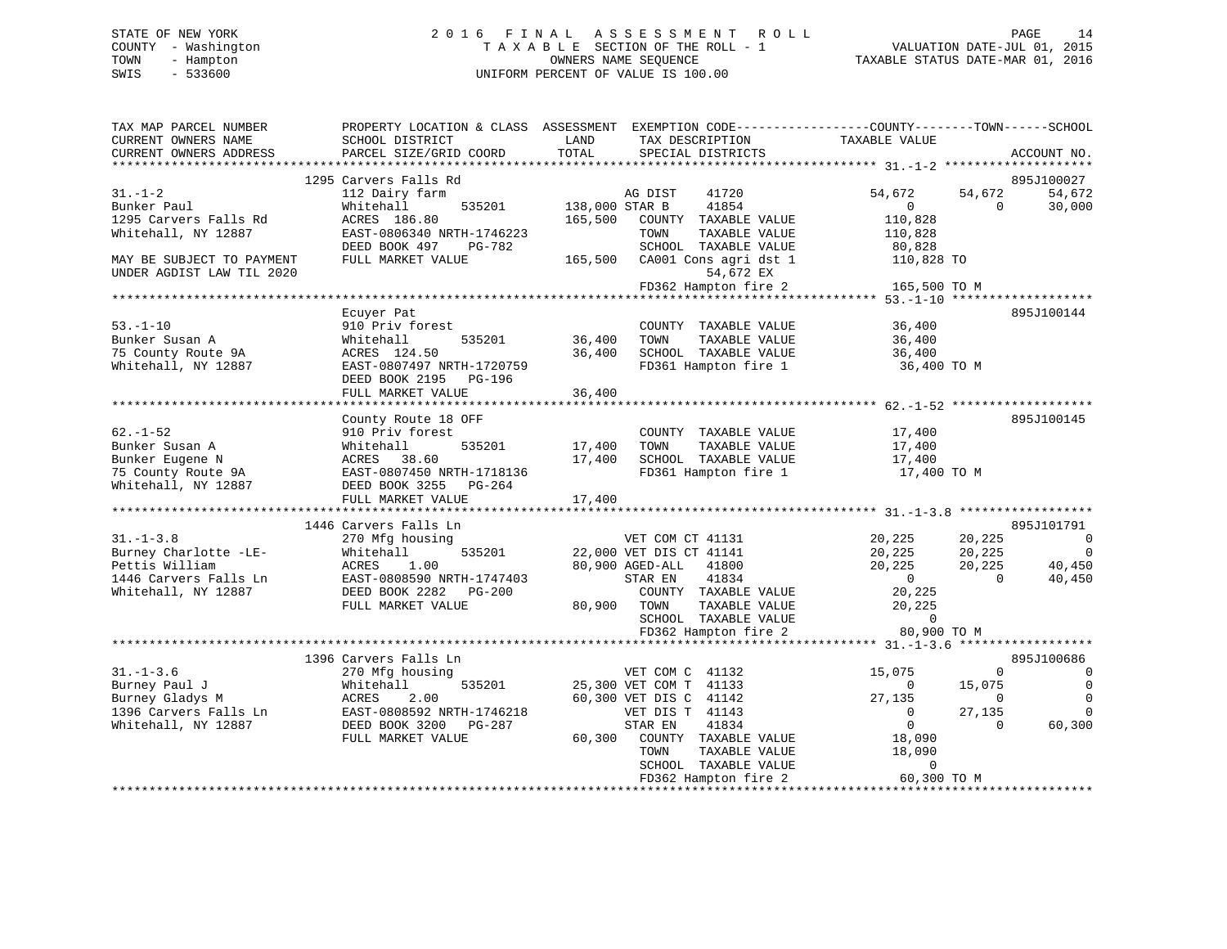# STATE OF NEW YORK 2 0 1 6 F I N A L A S S E S S M E N T R O L L PAGE 14 COUNTY - Washington T A X A B L E SECTION OF THE ROLL - 1 VALUATION DATE-JUL 01, 2015 TOWN - Hampton OWNERS NAME SEQUENCE TAXABLE STATUS DATE-MAR 01, 2016 SWIS - 533600 UNIFORM PERCENT OF VALUE IS 100.00

| TAX MAP PARCEL NUMBER<br>CURRENT OWNERS NAME<br>CURRENT OWNERS ADDRESS | PROPERTY LOCATION & CLASS ASSESSMENT<br>SCHOOL DISTRICT<br>PARCEL SIZE/GRID COORD | LAND<br>TAX DESCRIPTION<br>TOTAL<br>SPECIAL DISTRICTS | EXEMPTION CODE-----------------COUNTY-------TOWN------SCHOOL<br>TAXABLE VALUE<br>ACCOUNT NO. |
|------------------------------------------------------------------------|-----------------------------------------------------------------------------------|-------------------------------------------------------|----------------------------------------------------------------------------------------------|
|                                                                        | 1295 Carvers Falls Rd                                                             |                                                       |                                                                                              |
|                                                                        |                                                                                   |                                                       | 895J100027                                                                                   |
| $31 - 1 - 2$<br>Bunker Paul                                            | 112 Dairy farm<br>535201                                                          | AG DIST<br>41720<br>138,000 STAR B<br>41854           | 54,672<br>54,672<br>54,672<br>$\Omega$<br>$\overline{0}$                                     |
| 1295 Carvers Falls Rd                                                  | Whitehall<br>ACRES 186.80                                                         | 165,500<br>COUNTY TAXABLE VALUE                       | 30,000<br>110,828                                                                            |
| Whitehall, NY 12887                                                    | EAST-0806340 NRTH-1746223                                                         | TAXABLE VALUE<br>TOWN                                 | 110,828                                                                                      |
|                                                                        | DEED BOOK 497<br>PG-782                                                           | SCHOOL TAXABLE VALUE                                  | 80,828                                                                                       |
| MAY BE SUBJECT TO PAYMENT                                              | FULL MARKET VALUE                                                                 | 165,500<br>CA001 Cons agri dst 1                      | 110,828 TO                                                                                   |
| UNDER AGDIST LAW TIL 2020                                              |                                                                                   | 54,672 EX                                             |                                                                                              |
|                                                                        |                                                                                   | FD362 Hampton fire 2                                  | 165,500 TO M                                                                                 |
|                                                                        |                                                                                   |                                                       |                                                                                              |
|                                                                        | Ecuyer Pat                                                                        |                                                       | 895J100144                                                                                   |
| $53. - 1 - 10$                                                         | 910 Priv forest                                                                   | COUNTY TAXABLE VALUE                                  | 36,400                                                                                       |
| Bunker Susan A                                                         | 535201<br>Whitehall                                                               | 36,400<br>TOWN<br>TAXABLE VALUE                       | 36,400                                                                                       |
| 75 County Route 9A                                                     | ACRES 124.50                                                                      | 36,400<br>SCHOOL TAXABLE VALUE                        | 36,400                                                                                       |
| Whitehall, NY 12887                                                    | EAST-0807497 NRTH-1720759                                                         | FD361 Hampton fire 1                                  | 36,400 TO M                                                                                  |
|                                                                        | DEED BOOK 2195 PG-196                                                             |                                                       |                                                                                              |
|                                                                        | FULL MARKET VALUE                                                                 | 36,400                                                |                                                                                              |
|                                                                        |                                                                                   |                                                       |                                                                                              |
|                                                                        | County Route 18 OFF                                                               |                                                       | 895J100145                                                                                   |
| $62. - 1 - 52$                                                         | 910 Priv forest                                                                   | COUNTY TAXABLE VALUE                                  | 17,400                                                                                       |
| Bunker Susan A                                                         | 535201<br>Whitehall                                                               | 17,400<br>TAXABLE VALUE<br>TOWN                       | 17,400                                                                                       |
| Bunker Eugene N                                                        | ACRES 38.60                                                                       | SCHOOL TAXABLE VALUE<br>17,400                        | 17,400                                                                                       |
| 75 County Route 9A                                                     | EAST-0807450 NRTH-1718136                                                         | FD361 Hampton fire 1                                  | 17,400 TO M                                                                                  |
| Whitehall, NY 12887                                                    | DEED BOOK 3255 PG-264                                                             |                                                       |                                                                                              |
|                                                                        | FULL MARKET VALUE                                                                 | 17,400                                                |                                                                                              |
|                                                                        |                                                                                   |                                                       |                                                                                              |
|                                                                        | 1446 Carvers Falls Ln                                                             |                                                       | 895J101791                                                                                   |
| $31. - 1 - 3.8$                                                        | 270 Mfg housing                                                                   | VET COM CT 41131                                      | 20,225<br>20,225<br>$\overline{0}$                                                           |
| Burney Charlotte -LE-                                                  | 535201<br>Whitehall                                                               | 22,000 VET DIS CT 41141                               | 20,225<br>$\overline{\phantom{0}}$<br>20,225                                                 |
| Pettis William                                                         | ACRES<br>1.00                                                                     | 80,900 AGED-ALL<br>41800                              | 20,225<br>20,225<br>40,450                                                                   |
| 1446 Carvers Falls Ln                                                  | EAST-0808590 NRTH-1747403                                                         | 41834<br>STAR EN                                      | $\overline{0}$<br>40,450<br>$\bigcirc$                                                       |
| Whitehall, NY 12887                                                    | DEED BOOK 2282 PG-200                                                             | COUNTY TAXABLE VALUE                                  | 20,225                                                                                       |
|                                                                        | FULL MARKET VALUE                                                                 | 80,900 TOWN<br>TAXABLE VALUE                          | 20,225                                                                                       |
|                                                                        |                                                                                   | SCHOOL TAXABLE VALUE                                  | $\Omega$                                                                                     |
|                                                                        |                                                                                   | FD362 Hampton fire 2                                  | 80,900 TO M                                                                                  |
|                                                                        |                                                                                   |                                                       |                                                                                              |
|                                                                        | 1396 Carvers Falls Ln                                                             |                                                       | 895J100686                                                                                   |
| $31. - 1 - 3.6$                                                        | 270 Mfg housing                                                                   | VET COM C 41132                                       | 15,075<br>$\Omega$<br>$\Omega$                                                               |
| Burney Paul J                                                          | Whitehall<br>535201                                                               | 25,300 VET COM T 41133                                | $\mathbf 0$<br>15,075<br>$\overline{0}$                                                      |
| Burney Gladys M                                                        | ACRES<br>2.00                                                                     | 60,300 VET DIS C 41142                                | $\Omega$<br>27,135<br>$\Omega$                                                               |
| 1396 Carvers Falls Ln                                                  | EAST-0808592 NRTH-1746218                                                         | VET DIS T 41143                                       | 27,135<br>$\mathbf 0$<br>$\overline{\phantom{0}}$                                            |
| Whitehall, NY 12887                                                    | DEED BOOK 3200<br>$PG-287$                                                        | STAR EN<br>41834                                      | $\overline{0}$<br>60,300<br>$\Omega$                                                         |
|                                                                        | FULL MARKET VALUE                                                                 | 60,300<br>COUNTY TAXABLE VALUE                        | 18,090                                                                                       |
|                                                                        |                                                                                   | TAXABLE VALUE<br>TOWN                                 | 18,090                                                                                       |
|                                                                        |                                                                                   | SCHOOL TAXABLE VALUE                                  | $\Omega$                                                                                     |
|                                                                        |                                                                                   | FD362 Hampton fire 2                                  | 60,300 TO M                                                                                  |
|                                                                        |                                                                                   |                                                       |                                                                                              |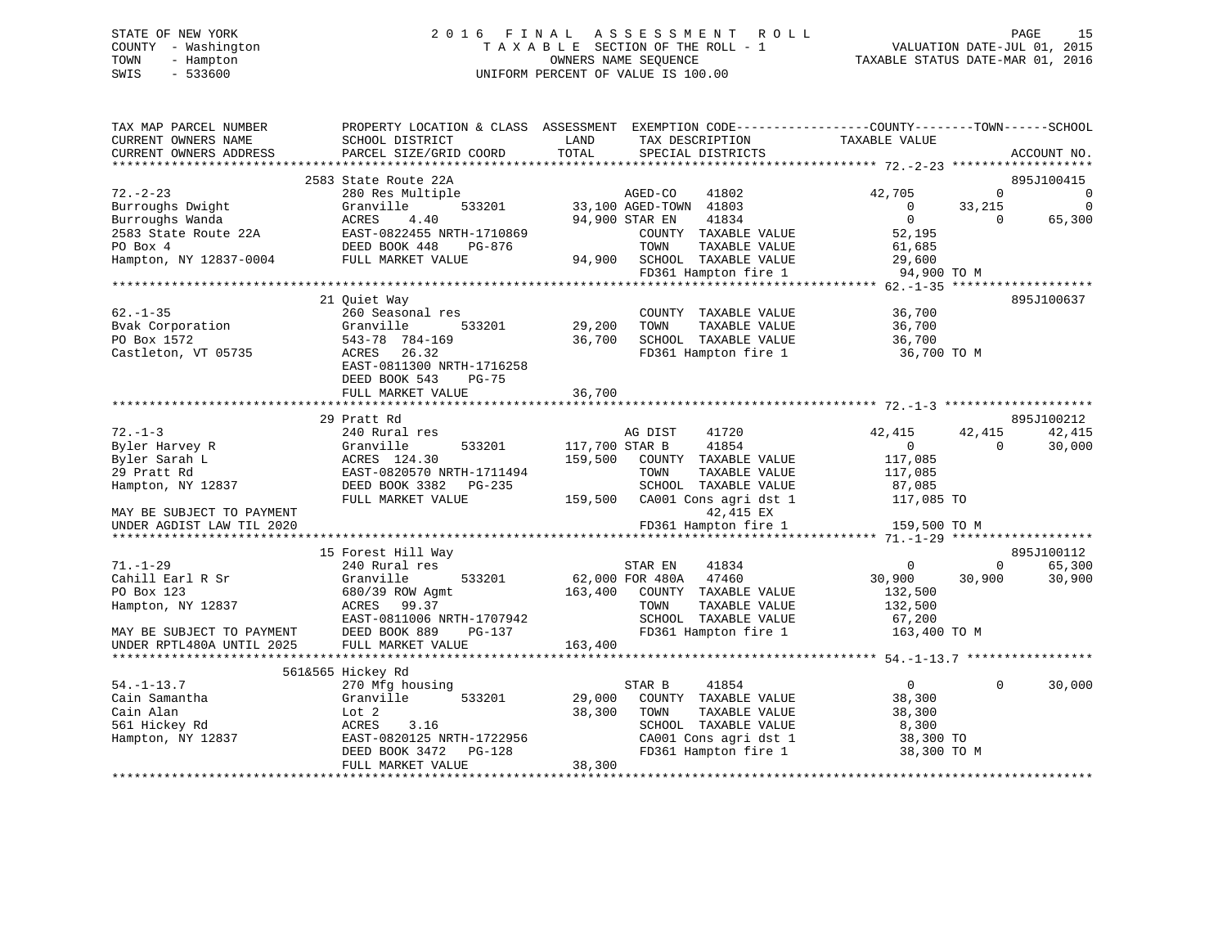# STATE OF NEW YORK 2 0 1 6 F I N A L A S S E S S M E N T R O L L PAGE 15 COUNTY - Washington T A X A B L E SECTION OF THE ROLL - 1 VALUATION DATE-JUL 01, 2015 TOWN - Hampton OWNERS NAME SEQUENCE TAXABLE STATUS DATE-MAR 01, 2016 SWIS - 533600 UNIFORM PERCENT OF VALUE IS 100.00

| TAX MAP PARCEL NUMBER     |                            | PROPERTY LOCATION & CLASS ASSESSMENT EXEMPTION CODE----------------COUNTY-------TOWN------SCHOOL |                            |             |
|---------------------------|----------------------------|--------------------------------------------------------------------------------------------------|----------------------------|-------------|
| CURRENT OWNERS NAME       | SCHOOL DISTRICT            | LAND<br>TAX DESCRIPTION                                                                          | TAXABLE VALUE              |             |
| CURRENT OWNERS ADDRESS    | PARCEL SIZE/GRID COORD     | TOTAL<br>SPECIAL DISTRICTS                                                                       |                            | ACCOUNT NO. |
| ***********************   |                            |                                                                                                  |                            |             |
|                           | 2583 State Route 22A       |                                                                                                  |                            | 895J100415  |
| $72. - 2 - 23$            | 280 Res Multiple           | AGED-CO<br>41802                                                                                 | 42,705<br>$\Omega$         | 0           |
| Burroughs Dwight          | Granville<br>533201        | 33,100 AGED-TOWN 41803                                                                           | $\overline{0}$<br>33,215   | $\Omega$    |
| Burroughs Wanda           | ACRES<br>4.40              | 94,900 STAR EN<br>41834                                                                          | $\overline{0}$<br>$\Omega$ | 65,300      |
| 2583 State Route 22A      | EAST-0822455 NRTH-1710869  | COUNTY TAXABLE VALUE                                                                             | 52,195                     |             |
| PO Box 4                  | DEED BOOK 448<br>PG-876    | TAXABLE VALUE<br>TOWN                                                                            | 61,685                     |             |
| Hampton, NY 12837-0004    | FULL MARKET VALUE          | 94,900<br>SCHOOL TAXABLE VALUE                                                                   | 29,600                     |             |
|                           |                            | FD361 Hampton fire 1                                                                             | 94,900 TO M                |             |
|                           |                            |                                                                                                  |                            |             |
|                           | 21 Quiet Way               |                                                                                                  |                            | 895J100637  |
| $62. - 1 - 35$            | 260 Seasonal res           | COUNTY TAXABLE VALUE                                                                             | 36,700                     |             |
| Bvak Corporation          | Granville<br>533201        | 29,200<br>TOWN<br>TAXABLE VALUE                                                                  | 36,700                     |             |
| PO Box 1572               | 543-78 784-169             | 36,700<br>SCHOOL TAXABLE VALUE                                                                   | 36,700                     |             |
| Castleton, VT 05735       | ACRES<br>26.32             | FD361 Hampton fire 1                                                                             | 36,700 TO M                |             |
|                           | EAST-0811300 NRTH-1716258  |                                                                                                  |                            |             |
|                           | DEED BOOK 543<br>PG-75     |                                                                                                  |                            |             |
|                           | FULL MARKET VALUE          | 36,700                                                                                           |                            |             |
|                           | ********************       |                                                                                                  |                            |             |
|                           | 29 Pratt Rd                |                                                                                                  |                            | 895J100212  |
| $72. - 1 - 3$             | 240 Rural res              | AG DIST<br>41720                                                                                 | 42,415<br>42,415           | 42,415      |
| Byler Harvey R            | Granville<br>533201        | 117,700 STAR B<br>41854                                                                          | $\mathbf{0}$<br>$\Omega$   | 30,000      |
| Byler Sarah L             | ACRES 124.30               | 159,500<br>COUNTY TAXABLE VALUE                                                                  | 117,085                    |             |
| 29 Pratt Rd               | EAST-0820570 NRTH-1711494  | TOWN<br>TAXABLE VALUE                                                                            | 117,085                    |             |
| Hampton, NY 12837         | DEED BOOK 3382<br>PG-235   | SCHOOL TAXABLE VALUE                                                                             | 87,085                     |             |
|                           | FULL MARKET VALUE          | 159,500<br>CA001 Cons agri dst 1                                                                 | 117,085 TO                 |             |
| MAY BE SUBJECT TO PAYMENT |                            | 42,415 EX                                                                                        |                            |             |
| UNDER AGDIST LAW TIL 2020 |                            | FD361 Hampton fire 1                                                                             | 159,500 TO M               |             |
|                           |                            |                                                                                                  |                            |             |
|                           | 15 Forest Hill Way         |                                                                                                  |                            | 895J100112  |
| $71. - 1 - 29$            | 240 Rural res              | 41834<br>STAR EN                                                                                 | $\mathbf{0}$<br>0          | 65,300      |
| Cahill Earl R Sr          | 533201<br>Granville        | 62,000 FOR 480A<br>47460                                                                         | 30,900<br>30,900           | 30,900      |
| PO Box 123                | 680/39 ROW Agmt            | 163,400<br>COUNTY TAXABLE VALUE                                                                  | 132,500                    |             |
| Hampton, NY 12837         | ACRES<br>99.37             | TOWN<br>TAXABLE VALUE                                                                            | 132,500                    |             |
|                           | EAST-0811006 NRTH-1707942  | SCHOOL TAXABLE VALUE                                                                             | 67,200                     |             |
| MAY BE SUBJECT TO PAYMENT | DEED BOOK 889<br>PG-137    | FD361 Hampton fire 1                                                                             | 163,400 TO M               |             |
| UNDER RPTL480A UNTIL 2025 | FULL MARKET VALUE          | 163,400                                                                                          |                            |             |
|                           |                            |                                                                                                  |                            |             |
|                           | 561&565 Hickey Rd          |                                                                                                  |                            |             |
| $54. - 1 - 13.7$          | 270 Mfg housing            | 41854<br>STAR B                                                                                  | $\overline{0}$<br>$\Omega$ | 30,000      |
| Cain Samantha             | Granville<br>533201        | 29,000<br>COUNTY TAXABLE VALUE                                                                   | 38,300                     |             |
| Cain Alan                 | Lot 2                      | 38,300<br>TOWN<br>TAXABLE VALUE                                                                  | 38,300                     |             |
| 561 Hickey Rd             | ACRES<br>3.16              | SCHOOL TAXABLE VALUE                                                                             | 8,300                      |             |
| Hampton, NY 12837         | EAST-0820125 NRTH-1722956  | CA001 Cons agri dst 1                                                                            |                            |             |
|                           | DEED BOOK 3472<br>$PG-128$ | FD361 Hampton fire 1                                                                             | 38,300 TO<br>38,300 TO M   |             |
|                           | FULL MARKET VALUE          | 38,300                                                                                           |                            |             |
|                           |                            |                                                                                                  |                            |             |
|                           |                            |                                                                                                  |                            |             |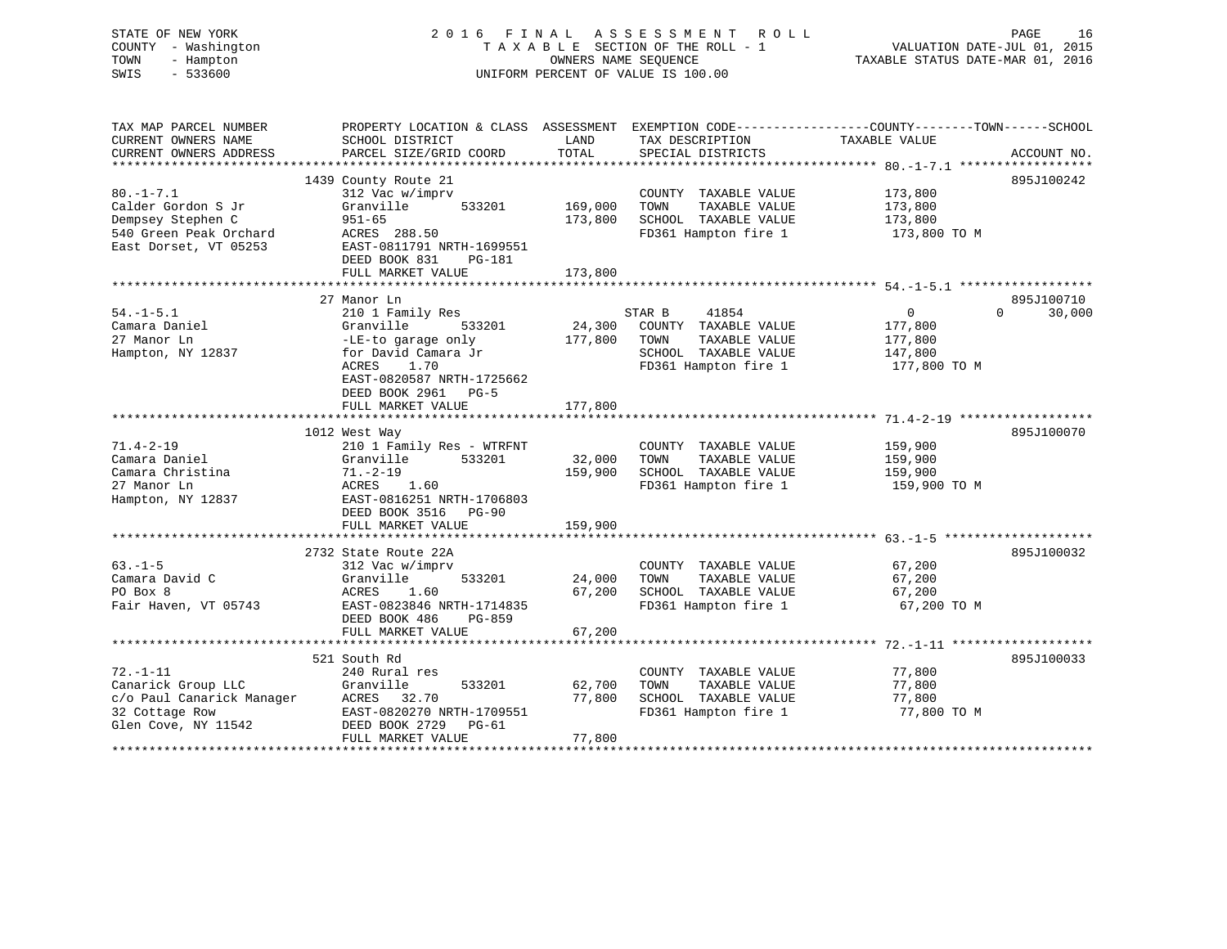| STATE OF NEW YORK<br>COUNTY - Washington<br>TOWN<br>- Hampton<br>SWIS<br>$-533600$                       |                                                      | OWNERS NAME SEQUENCE | 2016 FINAL ASSESSMENT ROLL<br>TAXABLE SECTION OF THE ROLL - 1<br>UNIFORM PERCENT OF VALUE IS 100.00 | VALUATION DATE-JUL 01, 2015<br>TAXABLE STATUS DATE-MAR 01, 2016                                  | PAGE<br>16  |
|----------------------------------------------------------------------------------------------------------|------------------------------------------------------|----------------------|-----------------------------------------------------------------------------------------------------|--------------------------------------------------------------------------------------------------|-------------|
| TAX MAP PARCEL NUMBER                                                                                    |                                                      |                      |                                                                                                     | PROPERTY LOCATION & CLASS ASSESSMENT EXEMPTION CODE----------------COUNTY-------TOWN------SCHOOL |             |
| CURRENT OWNERS NAME<br>CURRENT OWNERS ADDRESS                                                            | SCHOOL DISTRICT<br>PARCEL SIZE/GRID COORD            | LAND<br>TOTAL        | TAX DESCRIPTION TAXABLE VALUE<br>SPECIAL DISTRICTS                                                  |                                                                                                  | ACCOUNT NO. |
|                                                                                                          |                                                      |                      |                                                                                                     |                                                                                                  |             |
|                                                                                                          | 1439 County Route 21                                 |                      |                                                                                                     |                                                                                                  | 895J100242  |
| $80. - 1 - 7.1$<br>Calder Gordon S Jr                                                                    | 312 Vac w/imprv<br>533201                            |                      | COUNTY TAXABLE VALUE                                                                                | 173,800                                                                                          |             |
| Dempsey Stephen C                                                                                        | Granville<br>$951 - 65$                              | 169,000<br>173,800   | TOWN<br>TAXABLE VALUE<br>SCHOOL TAXABLE VALUE                                                       | 173,800<br>173,800                                                                               |             |
| 540 Green Peak Orchard                                                                                   | ACRES 288.50                                         |                      | FD361 Hampton fire 1                                                                                | 173,800 TO M                                                                                     |             |
| East Dorset, VT 05253                                                                                    | EAST-0811791 NRTH-1699551                            |                      |                                                                                                     |                                                                                                  |             |
|                                                                                                          | DEED BOOK 831<br>PG-181                              |                      |                                                                                                     |                                                                                                  |             |
|                                                                                                          | FULL MARKET VALUE                                    | 173,800              |                                                                                                     |                                                                                                  |             |
|                                                                                                          |                                                      |                      |                                                                                                     |                                                                                                  |             |
|                                                                                                          | 27 Manor Ln                                          |                      |                                                                                                     |                                                                                                  | 895J100710  |
| $54. - 1 - 5.1$                                                                                          | 210 1 Family Res                                     |                      | STAR B<br>41854                                                                                     | $\overline{0}$<br>$0 \qquad \qquad$                                                              | 30,000      |
| Camara Daniel                                                                                            | Granville<br>533201                                  |                      | 24,300 COUNTY TAXABLE VALUE                                                                         | 177,800                                                                                          |             |
| 27 Manor Ln                                                                                              | -LE-to garage only                                   | 177,800 TOWN         | TAXABLE VALUE                                                                                       | 177,800                                                                                          |             |
| Hampton, NY 12837                                                                                        | for David Camara Jr                                  |                      | SCHOOL TAXABLE VALUE                                                                                | 147,800                                                                                          |             |
|                                                                                                          | ACRES<br>1.70<br>EAST-0820587 NRTH-1725662           |                      | FD361 Hampton fire 1                                                                                | 177,800 TO M                                                                                     |             |
|                                                                                                          | DEED BOOK 2961 PG-5<br>FULL MARKET VALUE             | 177,800              |                                                                                                     |                                                                                                  |             |
|                                                                                                          |                                                      |                      |                                                                                                     |                                                                                                  |             |
|                                                                                                          | 1012 West Way                                        |                      |                                                                                                     |                                                                                                  | 895J100070  |
| $71.4 - 2 - 19$                                                                                          | 210 1 Family Res - WTRFNT                            |                      | COUNTY TAXABLE VALUE                                                                                | 159,900                                                                                          |             |
| Camara Daniel                                                                                            | 533201<br>Granville                                  | 32,000               | TAXABLE VALUE<br>TOWN                                                                               | 159,900                                                                                          |             |
| Camara Christina                                                                                         | 71.–2–19                                             | 159,900              | SCHOOL TAXABLE VALUE                                                                                | 159,900                                                                                          |             |
| 27 Manor Ln                                                                                              | ACRES<br>1.60                                        |                      | FD361 Hampton fire 1                                                                                | 159,900 TO M                                                                                     |             |
| Hampton, NY 12837                                                                                        | EAST-0816251 NRTH-1706803                            |                      |                                                                                                     |                                                                                                  |             |
|                                                                                                          | DEED BOOK 3516 PG-90                                 |                      |                                                                                                     |                                                                                                  |             |
|                                                                                                          | FULL MARKET VALUE                                    | 159,900              |                                                                                                     |                                                                                                  |             |
|                                                                                                          |                                                      |                      |                                                                                                     |                                                                                                  |             |
|                                                                                                          | 2732 State Route 22A                                 |                      |                                                                                                     |                                                                                                  | 895J100032  |
| $63 - 1 - 5$                                                                                             | 312 Vac w/imprv                                      |                      | COUNTY TAXABLE VALUE                                                                                | 67,200                                                                                           |             |
| Camara David C                                                                                           | Granville<br>533201                                  | 24,000               | TAXABLE VALUE<br>TOWN                                                                               | 67,200                                                                                           |             |
| PO Box 8                                                                                                 | ACRES<br>1.60                                        | 67,200               | SCHOOL TAXABLE VALUE                                                                                | 67,200                                                                                           |             |
| Fair Haven, VT 05743                                                                                     | EAST-0823846 NRTH-1714835<br>DEED BOOK 486<br>PG-859 |                      | FD361 Hampton fire 1                                                                                | 67,200 TO M                                                                                      |             |
|                                                                                                          | FULL MARKET VALUE                                    | 67,200               |                                                                                                     |                                                                                                  |             |
|                                                                                                          |                                                      |                      |                                                                                                     |                                                                                                  |             |
|                                                                                                          | 521 South Rd                                         |                      |                                                                                                     |                                                                                                  | 895J100033  |
| $72. - 1 - 11$                                                                                           | 240 Rural res                                        |                      | COUNTY TAXABLE VALUE                                                                                | 77,800                                                                                           |             |
| Canarick Group LLC (1997)<br>C/o Paul Canarick Manager (1997)<br>22 Cottage Row (1997)<br>EAST-0820270 I | 533201                                               | 62,700               | TOWN<br>TAXABLE VALUE                                                                               | 77,800                                                                                           |             |
|                                                                                                          |                                                      | 77,800               | SCHOOL TAXABLE VALUE                                                                                | 77,800                                                                                           |             |
|                                                                                                          | EAST-0820270 NRTH-1709551                            |                      | FD361 Hampton fire 1                                                                                | 77,800 TO M                                                                                      |             |
| Glen Cove, NY 11542                                                                                      | DEED BOOK 2729 PG-61                                 |                      |                                                                                                     |                                                                                                  |             |
|                                                                                                          | FULL MARKET VALUE                                    | 77,800               |                                                                                                     |                                                                                                  |             |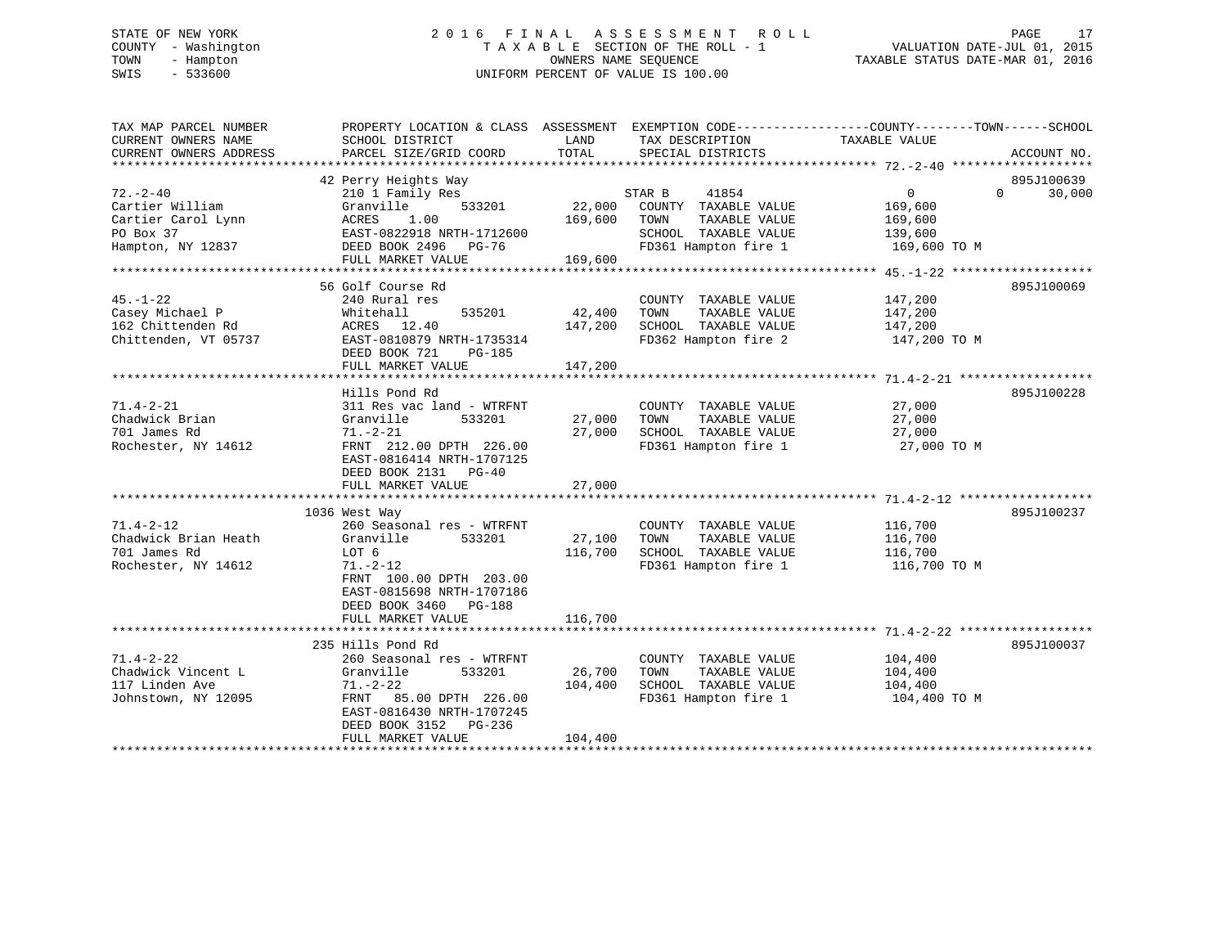# STATE OF NEW YORK 2 0 1 6 F I N A L A S S E S S M E N T R O L L PAGE 17 COUNTY - Washington T A X A B L E SECTION OF THE ROLL - 1 VALUATION DATE-JUL 01, 2015 TOWN - Hampton OWNERS NAME SEQUENCE TAXABLE STATUS DATE-MAR 01, 2016 SWIS - 533600 UNIFORM PERCENT OF VALUE IS 100.00

| TAX MAP PARCEL NUMBER<br>CURRENT OWNERS NAME<br>CURRENT OWNERS ADDRESS                    | PROPERTY LOCATION & CLASS ASSESSMENT<br>SCHOOL DISTRICT<br>PARCEL SIZE/GRID COORD                                                                                                            | LAND<br>TOTAL                | TAX DESCRIPTION<br>SPECIAL DISTRICTS                                                                             | EXEMPTION CODE-----------------COUNTY-------TOWN------SCHOOL<br>TAXABLE VALUE | ACCOUNT NO.                      |
|-------------------------------------------------------------------------------------------|----------------------------------------------------------------------------------------------------------------------------------------------------------------------------------------------|------------------------------|------------------------------------------------------------------------------------------------------------------|-------------------------------------------------------------------------------|----------------------------------|
| $72. - 2 - 40$<br>Cartier William<br>Cartier Carol Lynn<br>PO Box 37<br>Hampton, NY 12837 | 42 Perry Heights Way<br>210 1 Family Res<br>533201<br>Granville<br>ACRES<br>1.00<br>EAST-0822918 NRTH-1712600<br>DEED BOOK 2496 PG-76<br>FULL MARKET VALUE                                   | 22,000<br>169,600<br>169,600 | STAR B<br>41854<br>COUNTY TAXABLE VALUE<br>TAXABLE VALUE<br>TOWN<br>SCHOOL TAXABLE VALUE<br>FD361 Hampton fire 1 | $0 \qquad \qquad$<br>169,600<br>169,600<br>139,600<br>169,600 TO M            | 895J100639<br>30,000<br>$\Omega$ |
| $45. - 1 - 22$<br>Casey Michael P<br>162 Chittenden Rd<br>Chittenden, VT 05737            | 56 Golf Course Rd<br>240 Rural res<br>Whitehall<br>535201<br>12.40<br>ACRES<br>EAST-0810879 NRTH-1735314<br>DEED BOOK 721<br>PG-185<br>FULL MARKET VALUE                                     | 42,400<br>147,200<br>147,200 | COUNTY TAXABLE VALUE<br>TAXABLE VALUE<br>TOWN<br>SCHOOL TAXABLE VALUE<br>FD362 Hampton fire 2                    | 147,200<br>147,200<br>147,200<br>147,200 TO M                                 | 895J100069                       |
| $71.4 - 2 - 21$<br>Chadwick Brian<br>701 James Rd<br>Rochester, NY 14612                  | Hills Pond Rd<br>311 Res vac land - WTRFNT<br>Granville<br>533201<br>$71. - 2 - 21$<br>FRNT 212.00 DPTH 226.00<br>EAST-0816414 NRTH-1707125<br>DEED BOOK 2131 PG-40<br>FULL MARKET VALUE     | 27,000<br>27,000<br>27,000   | COUNTY TAXABLE VALUE<br>TAXABLE VALUE<br>TOWN<br>SCHOOL TAXABLE VALUE<br>FD361 Hampton fire 1                    | 27,000<br>27,000<br>27,000<br>27,000 TO M                                     | 895J100228                       |
| $71.4 - 2 - 12$<br>Chadwick Brian Heath<br>701 James Rd<br>Rochester, NY 14612            | 1036 West Way<br>260 Seasonal res - WTRFNT<br>Granville<br>533201<br>LOT 6<br>71.-2-12<br>FRNT 100.00 DPTH 203.00<br>EAST-0815698 NRTH-1707186<br>DEED BOOK 3460 PG-188<br>FULL MARKET VALUE | 27,100<br>116,700<br>116,700 | COUNTY TAXABLE VALUE<br>TOWN<br>TAXABLE VALUE<br>SCHOOL TAXABLE VALUE<br>FD361 Hampton fire 1                    | 116,700<br>116,700<br>116,700<br>116,700 TO M                                 | 895J100237                       |
| $71.4 - 2 - 22$<br>Chadwick Vincent L<br>117 Linden Ave<br>Johnstown, NY 12095            | 235 Hills Pond Rd<br>260 Seasonal res - WTRFNT<br>Granville<br>533201<br>$71. - 2 - 22$<br>FRNT 85.00 DPTH 226.00<br>EAST-0816430 NRTH-1707245<br>DEED BOOK 3152 PG-236<br>FULL MARKET VALUE | 26,700<br>104,400<br>104,400 | COUNTY TAXABLE VALUE<br>TAXABLE VALUE<br>TOWN<br>SCHOOL TAXABLE VALUE<br>FD361 Hampton fire 1                    | 104,400<br>104,400<br>104,400<br>104,400 TO M                                 | 895J100037                       |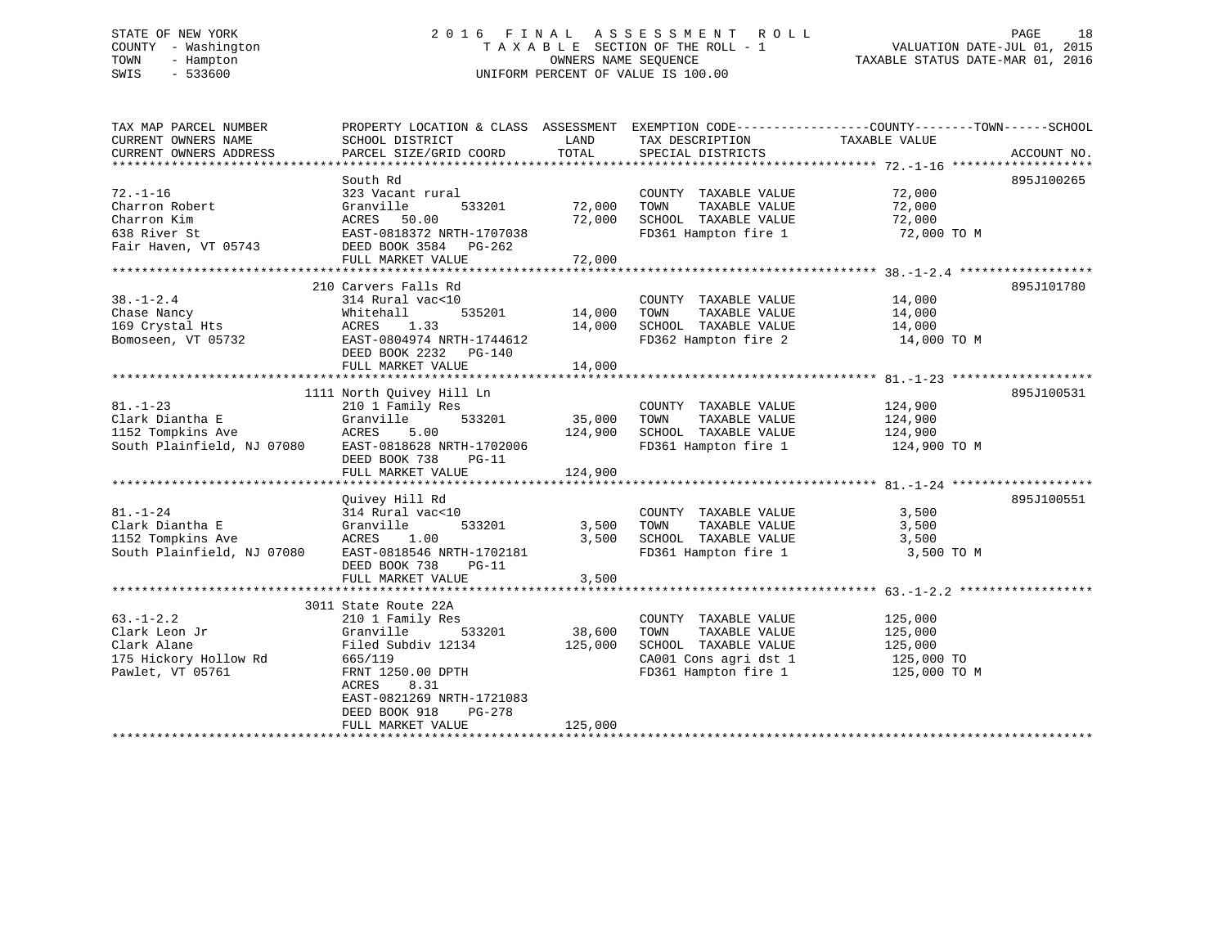# STATE OF NEW YORK 2 0 1 6 F I N A L A S S E S S M E N T R O L L PAGE 18 COUNTY - Washington T A X A B L E SECTION OF THE ROLL - 1 VALUATION DATE-JUL 01, 2015 TOWN - Hampton OWNERS NAME SEQUENCE TAXABLE STATUS DATE-MAR 01, 2016 SWIS - 533600 UNIFORM PERCENT OF VALUE IS 100.00

| TAXABLE VALUE<br>TOTAL<br>CURRENT OWNERS ADDRESS<br>PARCEL SIZE/GRID COORD<br>SPECIAL DISTRICTS<br>ACCOUNT NO.<br>South Rd<br>895J100265<br>$72. - 1 - 16$<br>72,000<br>323 Vacant rural<br>COUNTY TAXABLE VALUE<br>72,000<br>Charron Robert<br>Granville<br>533201<br>72,000<br>TOWN<br>TAXABLE VALUE<br>Charron Kim<br>ACRES 50.00<br>72,000<br>SCHOOL TAXABLE VALUE<br>72,000<br>EAST-0818372 NRTH-1707038<br>FD361 Hampton fire 1<br>638 River St<br>72,000 TO M<br>Fair Haven, VT 05743<br>DEED BOOK 3584 PG-262<br>210 Carvers Falls Rd<br>895J101780<br>$38. - 1 - 2.4$<br>314 Rural vac<10<br>COUNTY TAXABLE VALUE<br>14,000<br>Chase Nancy<br>Whitehall<br>535201 14,000<br>TOWN<br>TAXABLE VALUE<br>14,000<br>Chase Nancy<br>169 Crystal Hts<br>-<br>1.33<br>ACRES<br>14,000<br>SCHOOL TAXABLE VALUE<br>14,000<br>FD362 Hampton fire 2 14,000 TO M<br>Bomoseen, VT 05732<br>EAST-0804974 NRTH-1744612<br>DEED BOOK 2232 PG-140<br>FULL MARKET VALUE<br>14,000<br>1111 North Quivey Hill Ln<br>895J100531<br>$81. - 1 - 23$<br>210 1 Family Res<br>COUNTY TAXABLE VALUE<br>124,900<br>Clark Diantha E<br>Granville<br>533201<br>35,000 TOWN<br>TAXABLE VALUE<br>124,900<br>SCHOOL TAXABLE VALUE 124,900<br>1152 Tompkins Ave<br>5.00<br>ACRES<br>124,900<br>South Plainfield, NJ 07080<br>FD361 Hampton fire 1 124,900 TO M<br>EAST-0818628 NRTH-1702006<br>DEED BOOK 738<br>PG-11<br>124,900<br>FULL MARKET VALUE<br>895J100551<br>Ouivey Hill Rd<br>$81. - 1 - 24$<br>314 Rural vac<10<br>3,500<br>COUNTY TAXABLE VALUE<br>Clark Diantha E<br>Granville<br>533201<br>3,500<br>TOWN<br>TAXABLE VALUE<br>3,500<br>3,500<br>SCHOOL TAXABLE VALUE<br>ACRES<br>1.00<br>3,500<br>EAST-0818546 NRTH-1702181<br>FD361 Hampton fire 1<br>3,500 TO M<br>DEED BOOK 738<br>$PG-11$<br>3,500<br>FULL MARKET VALUE<br>3011 State Route 22A<br>$63. - 1 - 2.2$<br>210 1 Family Res<br>125,000<br>COUNTY TAXABLE VALUE<br>533201 38,600<br>Granville<br>TOWN<br>TAXABLE VALUE<br>125,000<br>Filed Subdiv 12134<br>125,000<br>SCHOOL TAXABLE VALUE<br>125,000<br>CA001 Cons agri dst 1<br>125,000 TO<br>665/119<br>FRNT 1250.00 DPTH<br>FD361 Hampton fire 1 125,000 TO M<br>8.31<br>ACRES<br>EAST-0821269 NRTH-1721083<br>DEED BOOK 918<br>PG-278<br>125,000<br>FULL MARKET VALUE | TAX MAP PARCEL NUMBER      | PROPERTY LOCATION & CLASS ASSESSMENT EXEMPTION CODE---------------COUNTY-------TOWN-----SCHOOL |      |                 |  |
|------------------------------------------------------------------------------------------------------------------------------------------------------------------------------------------------------------------------------------------------------------------------------------------------------------------------------------------------------------------------------------------------------------------------------------------------------------------------------------------------------------------------------------------------------------------------------------------------------------------------------------------------------------------------------------------------------------------------------------------------------------------------------------------------------------------------------------------------------------------------------------------------------------------------------------------------------------------------------------------------------------------------------------------------------------------------------------------------------------------------------------------------------------------------------------------------------------------------------------------------------------------------------------------------------------------------------------------------------------------------------------------------------------------------------------------------------------------------------------------------------------------------------------------------------------------------------------------------------------------------------------------------------------------------------------------------------------------------------------------------------------------------------------------------------------------------------------------------------------------------------------------------------------------------------------------------------------------------------------------------------------------------------------------------------------------------------------------------------------------------------------------------------------------------------------------------------------------------------------------------------------------------------|----------------------------|------------------------------------------------------------------------------------------------|------|-----------------|--|
|                                                                                                                                                                                                                                                                                                                                                                                                                                                                                                                                                                                                                                                                                                                                                                                                                                                                                                                                                                                                                                                                                                                                                                                                                                                                                                                                                                                                                                                                                                                                                                                                                                                                                                                                                                                                                                                                                                                                                                                                                                                                                                                                                                                                                                                                              | CURRENT OWNERS NAME        | SCHOOL DISTRICT                                                                                | LAND | TAX DESCRIPTION |  |
|                                                                                                                                                                                                                                                                                                                                                                                                                                                                                                                                                                                                                                                                                                                                                                                                                                                                                                                                                                                                                                                                                                                                                                                                                                                                                                                                                                                                                                                                                                                                                                                                                                                                                                                                                                                                                                                                                                                                                                                                                                                                                                                                                                                                                                                                              |                            |                                                                                                |      |                 |  |
|                                                                                                                                                                                                                                                                                                                                                                                                                                                                                                                                                                                                                                                                                                                                                                                                                                                                                                                                                                                                                                                                                                                                                                                                                                                                                                                                                                                                                                                                                                                                                                                                                                                                                                                                                                                                                                                                                                                                                                                                                                                                                                                                                                                                                                                                              |                            |                                                                                                |      |                 |  |
|                                                                                                                                                                                                                                                                                                                                                                                                                                                                                                                                                                                                                                                                                                                                                                                                                                                                                                                                                                                                                                                                                                                                                                                                                                                                                                                                                                                                                                                                                                                                                                                                                                                                                                                                                                                                                                                                                                                                                                                                                                                                                                                                                                                                                                                                              |                            |                                                                                                |      |                 |  |
|                                                                                                                                                                                                                                                                                                                                                                                                                                                                                                                                                                                                                                                                                                                                                                                                                                                                                                                                                                                                                                                                                                                                                                                                                                                                                                                                                                                                                                                                                                                                                                                                                                                                                                                                                                                                                                                                                                                                                                                                                                                                                                                                                                                                                                                                              |                            |                                                                                                |      |                 |  |
|                                                                                                                                                                                                                                                                                                                                                                                                                                                                                                                                                                                                                                                                                                                                                                                                                                                                                                                                                                                                                                                                                                                                                                                                                                                                                                                                                                                                                                                                                                                                                                                                                                                                                                                                                                                                                                                                                                                                                                                                                                                                                                                                                                                                                                                                              |                            |                                                                                                |      |                 |  |
|                                                                                                                                                                                                                                                                                                                                                                                                                                                                                                                                                                                                                                                                                                                                                                                                                                                                                                                                                                                                                                                                                                                                                                                                                                                                                                                                                                                                                                                                                                                                                                                                                                                                                                                                                                                                                                                                                                                                                                                                                                                                                                                                                                                                                                                                              |                            |                                                                                                |      |                 |  |
|                                                                                                                                                                                                                                                                                                                                                                                                                                                                                                                                                                                                                                                                                                                                                                                                                                                                                                                                                                                                                                                                                                                                                                                                                                                                                                                                                                                                                                                                                                                                                                                                                                                                                                                                                                                                                                                                                                                                                                                                                                                                                                                                                                                                                                                                              |                            |                                                                                                |      |                 |  |
|                                                                                                                                                                                                                                                                                                                                                                                                                                                                                                                                                                                                                                                                                                                                                                                                                                                                                                                                                                                                                                                                                                                                                                                                                                                                                                                                                                                                                                                                                                                                                                                                                                                                                                                                                                                                                                                                                                                                                                                                                                                                                                                                                                                                                                                                              |                            |                                                                                                |      |                 |  |
|                                                                                                                                                                                                                                                                                                                                                                                                                                                                                                                                                                                                                                                                                                                                                                                                                                                                                                                                                                                                                                                                                                                                                                                                                                                                                                                                                                                                                                                                                                                                                                                                                                                                                                                                                                                                                                                                                                                                                                                                                                                                                                                                                                                                                                                                              |                            |                                                                                                |      |                 |  |
|                                                                                                                                                                                                                                                                                                                                                                                                                                                                                                                                                                                                                                                                                                                                                                                                                                                                                                                                                                                                                                                                                                                                                                                                                                                                                                                                                                                                                                                                                                                                                                                                                                                                                                                                                                                                                                                                                                                                                                                                                                                                                                                                                                                                                                                                              |                            |                                                                                                |      |                 |  |
|                                                                                                                                                                                                                                                                                                                                                                                                                                                                                                                                                                                                                                                                                                                                                                                                                                                                                                                                                                                                                                                                                                                                                                                                                                                                                                                                                                                                                                                                                                                                                                                                                                                                                                                                                                                                                                                                                                                                                                                                                                                                                                                                                                                                                                                                              |                            |                                                                                                |      |                 |  |
|                                                                                                                                                                                                                                                                                                                                                                                                                                                                                                                                                                                                                                                                                                                                                                                                                                                                                                                                                                                                                                                                                                                                                                                                                                                                                                                                                                                                                                                                                                                                                                                                                                                                                                                                                                                                                                                                                                                                                                                                                                                                                                                                                                                                                                                                              |                            |                                                                                                |      |                 |  |
|                                                                                                                                                                                                                                                                                                                                                                                                                                                                                                                                                                                                                                                                                                                                                                                                                                                                                                                                                                                                                                                                                                                                                                                                                                                                                                                                                                                                                                                                                                                                                                                                                                                                                                                                                                                                                                                                                                                                                                                                                                                                                                                                                                                                                                                                              |                            |                                                                                                |      |                 |  |
|                                                                                                                                                                                                                                                                                                                                                                                                                                                                                                                                                                                                                                                                                                                                                                                                                                                                                                                                                                                                                                                                                                                                                                                                                                                                                                                                                                                                                                                                                                                                                                                                                                                                                                                                                                                                                                                                                                                                                                                                                                                                                                                                                                                                                                                                              |                            |                                                                                                |      |                 |  |
|                                                                                                                                                                                                                                                                                                                                                                                                                                                                                                                                                                                                                                                                                                                                                                                                                                                                                                                                                                                                                                                                                                                                                                                                                                                                                                                                                                                                                                                                                                                                                                                                                                                                                                                                                                                                                                                                                                                                                                                                                                                                                                                                                                                                                                                                              |                            |                                                                                                |      |                 |  |
|                                                                                                                                                                                                                                                                                                                                                                                                                                                                                                                                                                                                                                                                                                                                                                                                                                                                                                                                                                                                                                                                                                                                                                                                                                                                                                                                                                                                                                                                                                                                                                                                                                                                                                                                                                                                                                                                                                                                                                                                                                                                                                                                                                                                                                                                              |                            |                                                                                                |      |                 |  |
|                                                                                                                                                                                                                                                                                                                                                                                                                                                                                                                                                                                                                                                                                                                                                                                                                                                                                                                                                                                                                                                                                                                                                                                                                                                                                                                                                                                                                                                                                                                                                                                                                                                                                                                                                                                                                                                                                                                                                                                                                                                                                                                                                                                                                                                                              |                            |                                                                                                |      |                 |  |
|                                                                                                                                                                                                                                                                                                                                                                                                                                                                                                                                                                                                                                                                                                                                                                                                                                                                                                                                                                                                                                                                                                                                                                                                                                                                                                                                                                                                                                                                                                                                                                                                                                                                                                                                                                                                                                                                                                                                                                                                                                                                                                                                                                                                                                                                              |                            |                                                                                                |      |                 |  |
|                                                                                                                                                                                                                                                                                                                                                                                                                                                                                                                                                                                                                                                                                                                                                                                                                                                                                                                                                                                                                                                                                                                                                                                                                                                                                                                                                                                                                                                                                                                                                                                                                                                                                                                                                                                                                                                                                                                                                                                                                                                                                                                                                                                                                                                                              |                            |                                                                                                |      |                 |  |
|                                                                                                                                                                                                                                                                                                                                                                                                                                                                                                                                                                                                                                                                                                                                                                                                                                                                                                                                                                                                                                                                                                                                                                                                                                                                                                                                                                                                                                                                                                                                                                                                                                                                                                                                                                                                                                                                                                                                                                                                                                                                                                                                                                                                                                                                              |                            |                                                                                                |      |                 |  |
|                                                                                                                                                                                                                                                                                                                                                                                                                                                                                                                                                                                                                                                                                                                                                                                                                                                                                                                                                                                                                                                                                                                                                                                                                                                                                                                                                                                                                                                                                                                                                                                                                                                                                                                                                                                                                                                                                                                                                                                                                                                                                                                                                                                                                                                                              |                            |                                                                                                |      |                 |  |
|                                                                                                                                                                                                                                                                                                                                                                                                                                                                                                                                                                                                                                                                                                                                                                                                                                                                                                                                                                                                                                                                                                                                                                                                                                                                                                                                                                                                                                                                                                                                                                                                                                                                                                                                                                                                                                                                                                                                                                                                                                                                                                                                                                                                                                                                              |                            |                                                                                                |      |                 |  |
|                                                                                                                                                                                                                                                                                                                                                                                                                                                                                                                                                                                                                                                                                                                                                                                                                                                                                                                                                                                                                                                                                                                                                                                                                                                                                                                                                                                                                                                                                                                                                                                                                                                                                                                                                                                                                                                                                                                                                                                                                                                                                                                                                                                                                                                                              |                            |                                                                                                |      |                 |  |
|                                                                                                                                                                                                                                                                                                                                                                                                                                                                                                                                                                                                                                                                                                                                                                                                                                                                                                                                                                                                                                                                                                                                                                                                                                                                                                                                                                                                                                                                                                                                                                                                                                                                                                                                                                                                                                                                                                                                                                                                                                                                                                                                                                                                                                                                              |                            |                                                                                                |      |                 |  |
|                                                                                                                                                                                                                                                                                                                                                                                                                                                                                                                                                                                                                                                                                                                                                                                                                                                                                                                                                                                                                                                                                                                                                                                                                                                                                                                                                                                                                                                                                                                                                                                                                                                                                                                                                                                                                                                                                                                                                                                                                                                                                                                                                                                                                                                                              |                            |                                                                                                |      |                 |  |
|                                                                                                                                                                                                                                                                                                                                                                                                                                                                                                                                                                                                                                                                                                                                                                                                                                                                                                                                                                                                                                                                                                                                                                                                                                                                                                                                                                                                                                                                                                                                                                                                                                                                                                                                                                                                                                                                                                                                                                                                                                                                                                                                                                                                                                                                              |                            |                                                                                                |      |                 |  |
|                                                                                                                                                                                                                                                                                                                                                                                                                                                                                                                                                                                                                                                                                                                                                                                                                                                                                                                                                                                                                                                                                                                                                                                                                                                                                                                                                                                                                                                                                                                                                                                                                                                                                                                                                                                                                                                                                                                                                                                                                                                                                                                                                                                                                                                                              |                            |                                                                                                |      |                 |  |
|                                                                                                                                                                                                                                                                                                                                                                                                                                                                                                                                                                                                                                                                                                                                                                                                                                                                                                                                                                                                                                                                                                                                                                                                                                                                                                                                                                                                                                                                                                                                                                                                                                                                                                                                                                                                                                                                                                                                                                                                                                                                                                                                                                                                                                                                              |                            |                                                                                                |      |                 |  |
|                                                                                                                                                                                                                                                                                                                                                                                                                                                                                                                                                                                                                                                                                                                                                                                                                                                                                                                                                                                                                                                                                                                                                                                                                                                                                                                                                                                                                                                                                                                                                                                                                                                                                                                                                                                                                                                                                                                                                                                                                                                                                                                                                                                                                                                                              |                            |                                                                                                |      |                 |  |
|                                                                                                                                                                                                                                                                                                                                                                                                                                                                                                                                                                                                                                                                                                                                                                                                                                                                                                                                                                                                                                                                                                                                                                                                                                                                                                                                                                                                                                                                                                                                                                                                                                                                                                                                                                                                                                                                                                                                                                                                                                                                                                                                                                                                                                                                              | 1152 Tompkins Ave          |                                                                                                |      |                 |  |
|                                                                                                                                                                                                                                                                                                                                                                                                                                                                                                                                                                                                                                                                                                                                                                                                                                                                                                                                                                                                                                                                                                                                                                                                                                                                                                                                                                                                                                                                                                                                                                                                                                                                                                                                                                                                                                                                                                                                                                                                                                                                                                                                                                                                                                                                              | South Plainfield, NJ 07080 |                                                                                                |      |                 |  |
|                                                                                                                                                                                                                                                                                                                                                                                                                                                                                                                                                                                                                                                                                                                                                                                                                                                                                                                                                                                                                                                                                                                                                                                                                                                                                                                                                                                                                                                                                                                                                                                                                                                                                                                                                                                                                                                                                                                                                                                                                                                                                                                                                                                                                                                                              |                            |                                                                                                |      |                 |  |
|                                                                                                                                                                                                                                                                                                                                                                                                                                                                                                                                                                                                                                                                                                                                                                                                                                                                                                                                                                                                                                                                                                                                                                                                                                                                                                                                                                                                                                                                                                                                                                                                                                                                                                                                                                                                                                                                                                                                                                                                                                                                                                                                                                                                                                                                              |                            |                                                                                                |      |                 |  |
|                                                                                                                                                                                                                                                                                                                                                                                                                                                                                                                                                                                                                                                                                                                                                                                                                                                                                                                                                                                                                                                                                                                                                                                                                                                                                                                                                                                                                                                                                                                                                                                                                                                                                                                                                                                                                                                                                                                                                                                                                                                                                                                                                                                                                                                                              |                            |                                                                                                |      |                 |  |
|                                                                                                                                                                                                                                                                                                                                                                                                                                                                                                                                                                                                                                                                                                                                                                                                                                                                                                                                                                                                                                                                                                                                                                                                                                                                                                                                                                                                                                                                                                                                                                                                                                                                                                                                                                                                                                                                                                                                                                                                                                                                                                                                                                                                                                                                              |                            |                                                                                                |      |                 |  |
|                                                                                                                                                                                                                                                                                                                                                                                                                                                                                                                                                                                                                                                                                                                                                                                                                                                                                                                                                                                                                                                                                                                                                                                                                                                                                                                                                                                                                                                                                                                                                                                                                                                                                                                                                                                                                                                                                                                                                                                                                                                                                                                                                                                                                                                                              |                            |                                                                                                |      |                 |  |
|                                                                                                                                                                                                                                                                                                                                                                                                                                                                                                                                                                                                                                                                                                                                                                                                                                                                                                                                                                                                                                                                                                                                                                                                                                                                                                                                                                                                                                                                                                                                                                                                                                                                                                                                                                                                                                                                                                                                                                                                                                                                                                                                                                                                                                                                              | Clark Leon Jr              |                                                                                                |      |                 |  |
|                                                                                                                                                                                                                                                                                                                                                                                                                                                                                                                                                                                                                                                                                                                                                                                                                                                                                                                                                                                                                                                                                                                                                                                                                                                                                                                                                                                                                                                                                                                                                                                                                                                                                                                                                                                                                                                                                                                                                                                                                                                                                                                                                                                                                                                                              | Clark Alane                |                                                                                                |      |                 |  |
|                                                                                                                                                                                                                                                                                                                                                                                                                                                                                                                                                                                                                                                                                                                                                                                                                                                                                                                                                                                                                                                                                                                                                                                                                                                                                                                                                                                                                                                                                                                                                                                                                                                                                                                                                                                                                                                                                                                                                                                                                                                                                                                                                                                                                                                                              | 175 Hickory Hollow Rd      |                                                                                                |      |                 |  |
|                                                                                                                                                                                                                                                                                                                                                                                                                                                                                                                                                                                                                                                                                                                                                                                                                                                                                                                                                                                                                                                                                                                                                                                                                                                                                                                                                                                                                                                                                                                                                                                                                                                                                                                                                                                                                                                                                                                                                                                                                                                                                                                                                                                                                                                                              | Pawlet, VT 05761           |                                                                                                |      |                 |  |
|                                                                                                                                                                                                                                                                                                                                                                                                                                                                                                                                                                                                                                                                                                                                                                                                                                                                                                                                                                                                                                                                                                                                                                                                                                                                                                                                                                                                                                                                                                                                                                                                                                                                                                                                                                                                                                                                                                                                                                                                                                                                                                                                                                                                                                                                              |                            |                                                                                                |      |                 |  |
|                                                                                                                                                                                                                                                                                                                                                                                                                                                                                                                                                                                                                                                                                                                                                                                                                                                                                                                                                                                                                                                                                                                                                                                                                                                                                                                                                                                                                                                                                                                                                                                                                                                                                                                                                                                                                                                                                                                                                                                                                                                                                                                                                                                                                                                                              |                            |                                                                                                |      |                 |  |
|                                                                                                                                                                                                                                                                                                                                                                                                                                                                                                                                                                                                                                                                                                                                                                                                                                                                                                                                                                                                                                                                                                                                                                                                                                                                                                                                                                                                                                                                                                                                                                                                                                                                                                                                                                                                                                                                                                                                                                                                                                                                                                                                                                                                                                                                              |                            |                                                                                                |      |                 |  |
|                                                                                                                                                                                                                                                                                                                                                                                                                                                                                                                                                                                                                                                                                                                                                                                                                                                                                                                                                                                                                                                                                                                                                                                                                                                                                                                                                                                                                                                                                                                                                                                                                                                                                                                                                                                                                                                                                                                                                                                                                                                                                                                                                                                                                                                                              |                            |                                                                                                |      |                 |  |
|                                                                                                                                                                                                                                                                                                                                                                                                                                                                                                                                                                                                                                                                                                                                                                                                                                                                                                                                                                                                                                                                                                                                                                                                                                                                                                                                                                                                                                                                                                                                                                                                                                                                                                                                                                                                                                                                                                                                                                                                                                                                                                                                                                                                                                                                              |                            |                                                                                                |      |                 |  |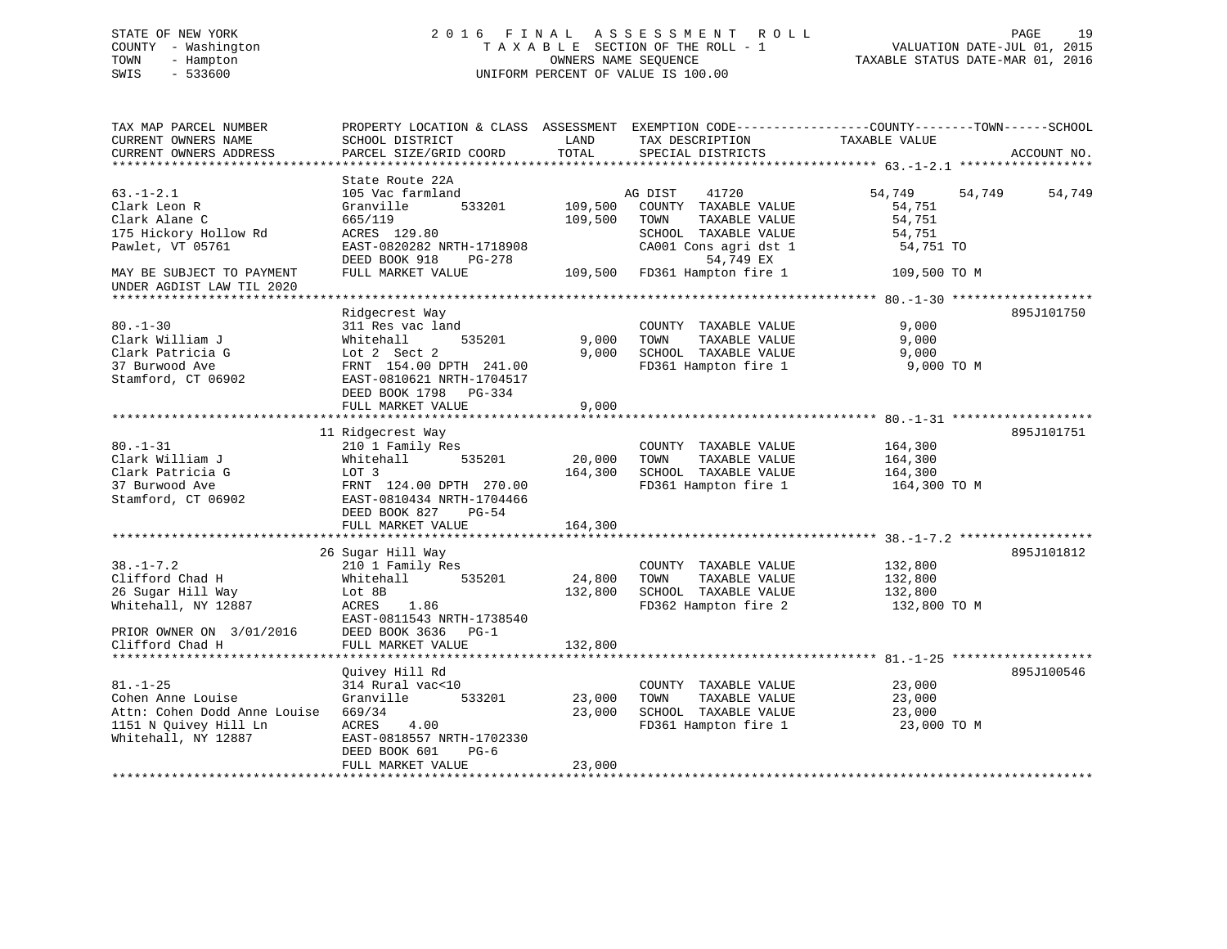# STATE OF NEW YORK 2 0 1 6 F I N A L A S S E S S M E N T R O L L PAGE 19 COUNTY - Washington T A X A B L E SECTION OF THE ROLL - 1 VALUATION DATE-JUL 01, 2015 TOWN - Hampton OWNERS NAME SEQUENCE TAXABLE STATUS DATE-MAR 01, 2016 SWIS - 533600 UNIFORM PERCENT OF VALUE IS 100.00

| TAX MAP PARCEL NUMBER<br>CURRENT OWNERS NAME<br>CURRENT OWNERS ADDRESS<br>*************************                 | PROPERTY LOCATION & CLASS ASSESSMENT<br>SCHOOL DISTRICT<br>PARCEL SIZE/GRID COORD                                                                                               | LAND<br>TOTAL                | TAX DESCRIPTION<br>SPECIAL DISTRICTS                                                                                            | EXEMPTION CODE-----------------COUNTY-------TOWN------SCHOOL<br>TAXABLE VALUE | ACCOUNT NO. |
|---------------------------------------------------------------------------------------------------------------------|---------------------------------------------------------------------------------------------------------------------------------------------------------------------------------|------------------------------|---------------------------------------------------------------------------------------------------------------------------------|-------------------------------------------------------------------------------|-------------|
| $63. - 1 - 2.1$<br>Clark Leon R<br>Clark Alane C<br>175 Hickory Hollow Rd<br>Pawlet, VT 05761                       | State Route 22A<br>105 Vac farmland<br>Granville<br>533201<br>665/119<br>ACRES 129.80<br>EAST-0820282 NRTH-1718908<br>DEED BOOK 918<br>PG-278                                   | 109,500<br>109,500           | AG DIST<br>41720<br>COUNTY TAXABLE VALUE<br>TOWN<br>TAXABLE VALUE<br>SCHOOL TAXABLE VALUE<br>CA001 Cons agri dst 1<br>54,749 EX | 54,749<br>54,749<br>54,751<br>54,751<br>54,751<br>54,751 TO                   | 54,749      |
| MAY BE SUBJECT TO PAYMENT<br>UNDER AGDIST LAW TIL 2020                                                              | FULL MARKET VALUE                                                                                                                                                               | 109,500                      | FD361 Hampton fire 1                                                                                                            | 109,500 TO M                                                                  |             |
| $80. - 1 - 30$<br>Clark William J<br>Clark Patricia G<br>37 Burwood Ave<br>Stamford, CT 06902                       | Ridgecrest Way<br>311 Res vac land<br>535201<br>Whitehall<br>Lot 2 Sect 2<br>FRNT 154.00 DPTH 241.00<br>EAST-0810621 NRTH-1704517<br>DEED BOOK 1798 PG-334<br>FULL MARKET VALUE | 9,000<br>9,000<br>9,000      | COUNTY TAXABLE VALUE<br>TOWN<br>TAXABLE VALUE<br>SCHOOL TAXABLE VALUE<br>FD361 Hampton fire 1                                   | 9,000<br>9,000<br>9,000<br>9,000 TO M                                         | 895J101750  |
|                                                                                                                     |                                                                                                                                                                                 |                              |                                                                                                                                 |                                                                               |             |
| $80. - 1 - 31$<br>Clark William J<br>Clark Patricia G<br>37 Burwood Ave<br>Stamford, CT 06902                       | 11 Ridgecrest Way<br>210 1 Family Res<br>Whitehall<br>535201<br>LOT 3<br>FRNT 124.00 DPTH 270.00<br>EAST-0810434 NRTH-1704466<br>DEED BOOK 827<br>$PG-54$<br>FULL MARKET VALUE  | 20,000<br>164,300<br>164,300 | COUNTY TAXABLE VALUE<br>TOWN<br>TAXABLE VALUE<br>SCHOOL TAXABLE VALUE<br>FD361 Hampton fire 1                                   | 164,300<br>164,300<br>164,300<br>164,300 TO M                                 | 895J101751  |
|                                                                                                                     |                                                                                                                                                                                 |                              |                                                                                                                                 |                                                                               |             |
| $38. - 1 - 7.2$<br>Clifford Chad H<br>26 Sugar Hill Way<br>Whitehall, NY 12887                                      | 26 Sugar Hill Way<br>210 1 Family Res<br>535201<br>Whitehall<br>Lot 8B<br>1.86<br>ACRES<br>EAST-0811543 NRTH-1738540                                                            | 24,800<br>132,800            | COUNTY TAXABLE VALUE<br>TOWN<br>TAXABLE VALUE<br>SCHOOL TAXABLE VALUE<br>FD362 Hampton fire 2                                   | 132,800<br>132,800<br>132,800<br>132,800 TO M                                 | 895J101812  |
| PRIOR OWNER ON 3/01/2016<br>Clifford Chad H<br>*************************                                            | DEED BOOK 3636<br>$PG-1$<br>FULL MARKET VALUE                                                                                                                                   | 132,800                      |                                                                                                                                 |                                                                               |             |
| $81. - 1 - 25$<br>Cohen Anne Louise<br>Attn: Cohen Dodd Anne Louise<br>1151 N Ouivey Hill Ln<br>Whitehall, NY 12887 | Quivey Hill Rd<br>314 Rural vac<10<br>Granville<br>533201<br>669/34<br>ACRES<br>4.00<br>EAST-0818557 NRTH-1702330<br>DEED BOOK 601<br>$PG-6$                                    | 23,000<br>23,000             | COUNTY TAXABLE VALUE<br>TAXABLE VALUE<br>TOWN<br>SCHOOL TAXABLE VALUE<br>FD361 Hampton fire 1                                   | 23,000<br>23,000<br>23,000<br>23,000 TO M                                     | 895J100546  |
|                                                                                                                     | FULL MARKET VALUE                                                                                                                                                               | 23,000                       | *****************************                                                                                                   |                                                                               |             |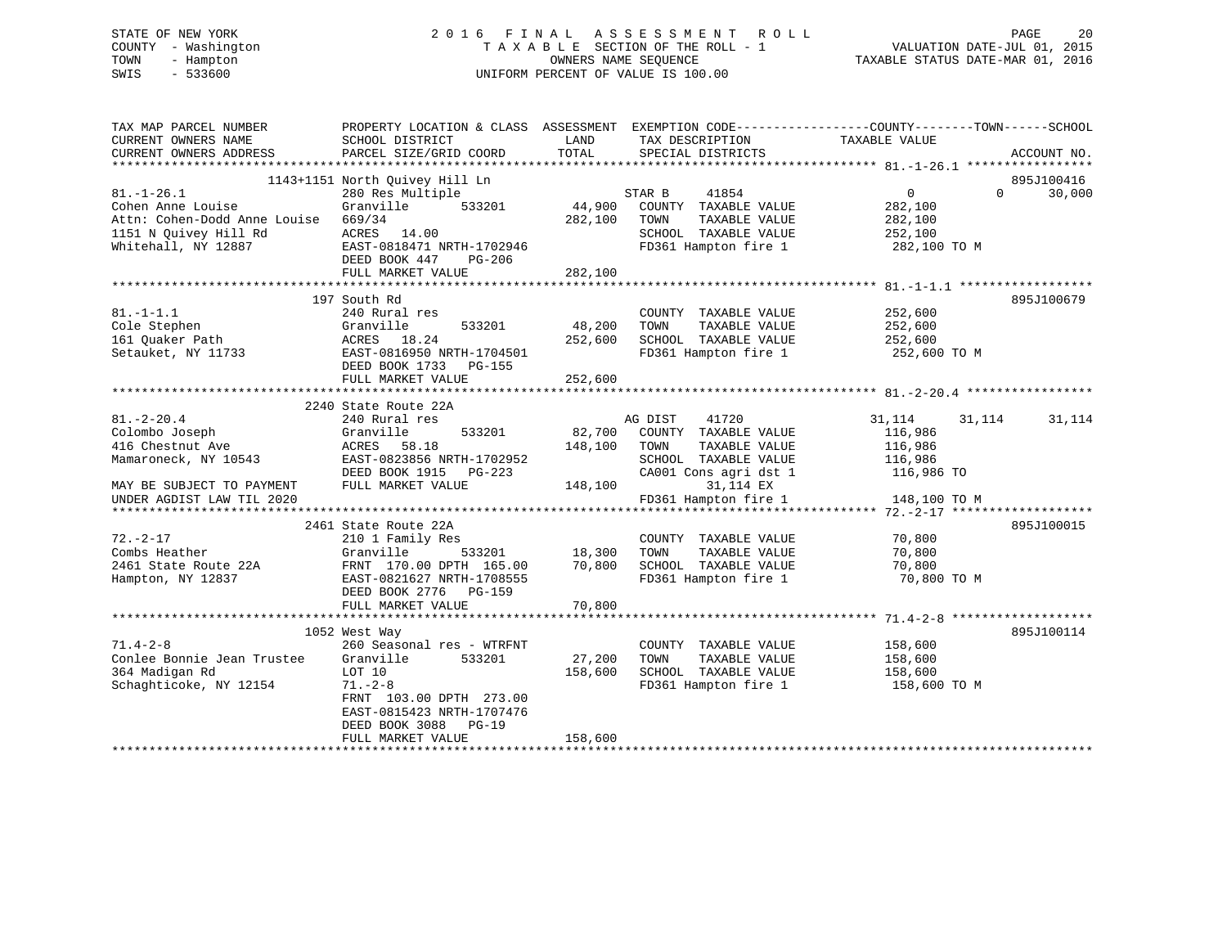# STATE OF NEW YORK 2 0 1 6 F I N A L A S S E S S M E N T R O L L PAGE 20 COUNTY - Washington T A X A B L E SECTION OF THE ROLL - 1 VALUATION DATE-JUL 01, 2015 TOWN - Hampton OWNERS NAME SEQUENCE TAXABLE STATUS DATE-MAR 01, 2016 SWIS - 533600 UNIFORM PERCENT OF VALUE IS 100.00

| TAX MAP PARCEL NUMBER<br>CURRENT OWNERS NAME<br>CURRENT OWNERS ADDRESS                                                                   | SCHOOL DISTRICT<br>PARCEL SIZE/GRID COORD                                                                                                                                                         | LAND<br>TOTAL                | TAX DESCRIPTION TAXABLE VALUE<br>SPECIAL DISTRICTS                                                                                                      | PROPERTY LOCATION & CLASS ASSESSMENT EXEMPTION CODE---------------COUNTY-------TOWN------SCHOOL<br>ACCOUNT NO. |
|------------------------------------------------------------------------------------------------------------------------------------------|---------------------------------------------------------------------------------------------------------------------------------------------------------------------------------------------------|------------------------------|---------------------------------------------------------------------------------------------------------------------------------------------------------|----------------------------------------------------------------------------------------------------------------|
| $81. - 1 - 26.1$<br>Cohen Anne Louise<br>Attn: Cohen-Dodd Anne Louise<br>1151 N Ouivey Hill Rd<br>Whitehall, NY 12887                    | 1143+1151 North Quivey Hill Ln<br>280 Res Multiple<br>Granville<br>533201<br>669/34<br>ACRES 14.00<br>EAST-0818471 NRTH-1702946<br>DEED BOOK 447<br>PG-206<br>FULL MARKET VALUE                   | 44,900<br>282,100<br>282,100 | STAR B<br>41854<br>COUNTY TAXABLE VALUE<br>TOWN<br>TAXABLE VALUE<br>SCHOOL TAXABLE VALUE                                                                | 895J100416<br>0<br>$\Omega$<br>30,000<br>282,100<br>282,100<br>252,100<br>FD361 Hampton fire 1 282,100 TO M    |
| $81. - 1 - 1.1$<br>Cole Stephen<br>161 Quaker Path<br>Setauket, NY 11733                                                                 | 197 South Rd<br>240 Rural res<br>533201<br>Granville<br>ACRES 18.24<br>EAST-0816950 NRTH-1704501<br>DEED BOOK 1733 PG-155<br>FULL MARKET VALUE                                                    | 48,200<br>252,600<br>252,600 | COUNTY TAXABLE VALUE<br>TOWN<br>TAXABLE VALUE<br>SCHOOL TAXABLE VALUE 252,600<br>FD361 Hampton fire 1                                                   | 895J100679<br>252,600<br>252,600<br>252,600 TO M                                                               |
| $81. - 2 - 20.4$<br>Colombo Joseph<br>416 Chestnut Ave<br>Mamaroneck, NY 10543<br>MAY BE SUBJECT TO PAYMENT<br>UNDER AGDIST LAW TIL 2020 | 2240 State Route 22A<br>240 Rural res<br>Granville<br>533201<br>58.18<br>ACRES<br>EAST-0823856 NRTH-1702952<br>DEED BOOK 1915 PG-223<br>FULL MARKET VALUE                                         | 82,700<br>148,100<br>148,100 | 41720<br>AG DIST<br>COUNTY TAXABLE VALUE<br>TAXABLE VALUE<br>TOWN<br>SCHOOL TAXABLE VALUE<br>CA001 Cons agri dst 1<br>31,114 EX<br>FD361 Hampton fire 1 | 31,114<br>31,114<br>31,114<br>116,986<br>116,986<br>116,986<br>116,986 TO<br>148,100 TO M                      |
| $72. - 2 - 17$<br>Combs Heather<br>2461 State Route 22A<br>Hampton, NY 12837                                                             | 2461 State Route 22A<br>210 1 Family Res<br>533201<br>Granville<br>FRNT 170.00 DPTH 165.00<br>EAST-0821627 NRTH-1708555<br>DEED BOOK 2776 PG-159<br>FULL MARKET VALUE                             | 18,300<br>70,800<br>70,800   | COUNTY TAXABLE VALUE<br>TAXABLE VALUE<br>TOWN<br>SCHOOL TAXABLE VALUE<br>FD361 Hampton fire 1                                                           | 895J100015<br>70,800<br>70,800<br>70,800<br>70,800 TO M                                                        |
| $71.4 - 2 - 8$<br>Conlee Bonnie Jean Trustee<br>364 Madigan Rd<br>Schaghticoke, NY 12154                                                 | 1052 West Way<br>260 Seasonal res - WTRFNT<br>Granville<br>533201<br>LOT 10<br>$71. - 2 - 8$<br>FRNT 103.00 DPTH 273.00<br>EAST-0815423 NRTH-1707476<br>DEED BOOK 3088 PG-19<br>FULL MARKET VALUE | 27,200<br>158,600<br>158,600 | COUNTY TAXABLE VALUE<br>TOWN<br>TAXABLE VALUE<br>SCHOOL TAXABLE VALUE                                                                                   | 895J100114<br>158,600<br>158,600<br>158,600<br>FD361 Hampton fire 1 158,600 TO M                               |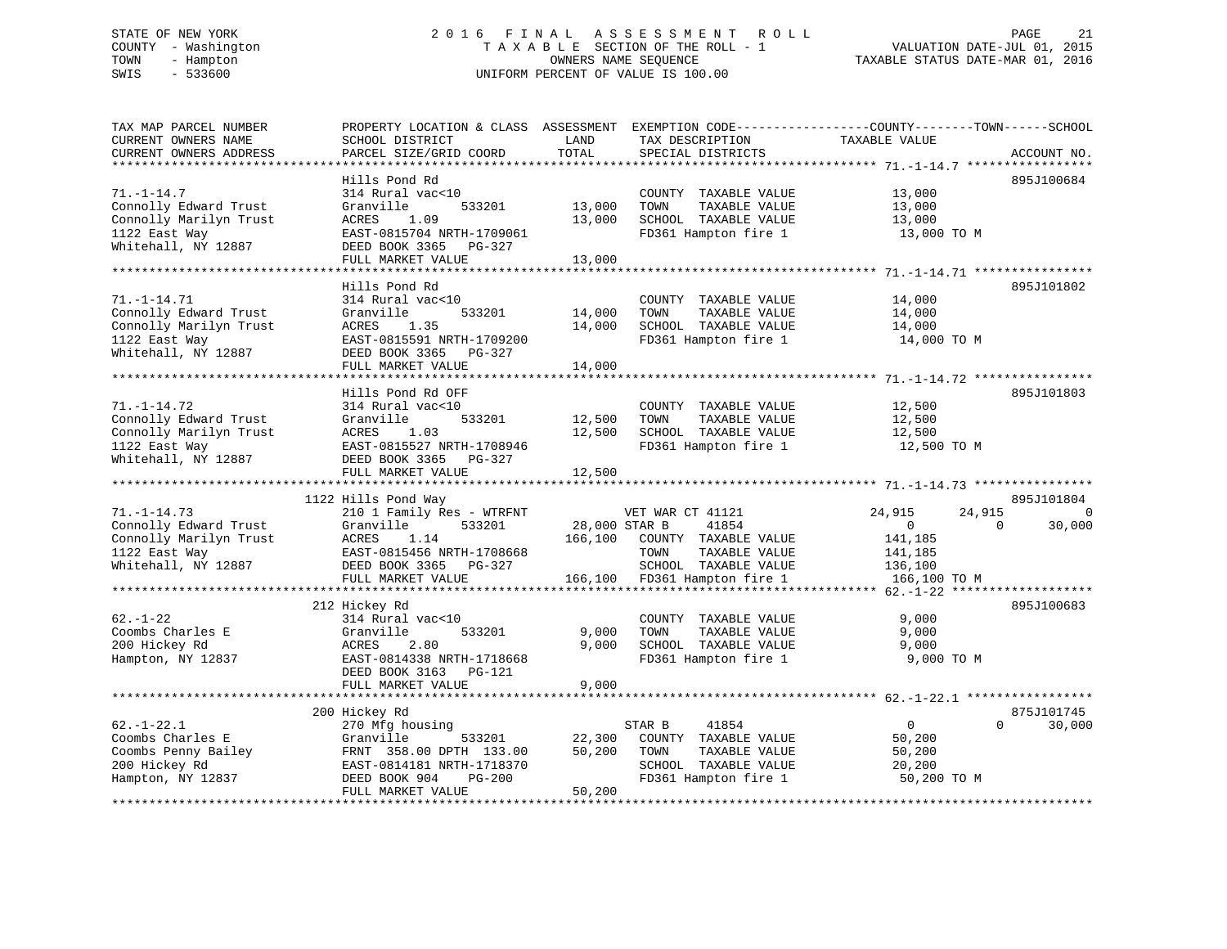# STATE OF NEW YORK 2 0 1 6 F I N A L A S S E S S M E N T R O L L PAGE 21 COUNTY - Washington T A X A B L E SECTION OF THE ROLL - 1 VALUATION DATE-JUL 01, 2015 TOWN - Hampton OWNERS NAME SEQUENCE TAXABLE STATUS DATE-MAR 01, 2016 SWIS - 533600 UNIFORM PERCENT OF VALUE IS 100.00

TAX MAP PARCEL NUMBER PROPERTY LOCATION & CLASS ASSESSMENT EXEMPTION CODE------------------COUNTY--------TOWN------SCHOOL

| CURRENT OWNERS NAME<br>CURRENT OWNERS ADDRESS | SCHOOL DISTRICT<br>PARCEL SIZE/GRID COORD   | LAND<br>TOTAL  | TAX DESCRIPTION<br>SPECIAL DISTRICTS | TAXABLE VALUE              | ACCOUNT NO. |
|-----------------------------------------------|---------------------------------------------|----------------|--------------------------------------|----------------------------|-------------|
|                                               |                                             |                |                                      |                            |             |
|                                               | Hills Pond Rd                               |                |                                      |                            | 895J100684  |
| $71. - 1 - 14.7$                              | 314 Rural vac<10                            |                | COUNTY TAXABLE VALUE                 | 13,000                     |             |
| Connolly Edward Trust                         | Granville<br>533201                         | 13,000         | TOWN<br>TAXABLE VALUE                | 13,000                     |             |
| Connolly Marilyn Trust                        | <b>ACRES</b><br>1.09                        | 13,000         | SCHOOL TAXABLE VALUE                 | 13,000                     |             |
| 1122 East Way                                 | EAST-0815704 NRTH-1709061                   |                | FD361 Hampton fire 1                 | 13,000 TO M                |             |
| Whitehall, NY 12887                           | DEED BOOK 3365<br>PG-327                    |                |                                      |                            |             |
|                                               | FULL MARKET VALUE                           | 13,000         |                                      |                            |             |
| *******************                           | ***********************                     |                |                                      |                            |             |
|                                               | Hills Pond Rd                               |                |                                      |                            | 895J101802  |
| $71. - 1 - 14.71$                             | 314 Rural vac<10                            |                | COUNTY TAXABLE VALUE                 | 14,000                     |             |
| Connolly Edward Trust                         | Granville<br>533201                         | 14,000         | TOWN<br>TAXABLE VALUE                | 14,000                     |             |
| Connolly Marilyn Trust                        | <b>ACRES</b><br>1.35                        | 14,000         | SCHOOL TAXABLE VALUE                 | 14,000                     |             |
| 1122 East Way                                 | EAST-0815591 NRTH-1709200                   |                | FD361 Hampton fire 1                 | 14,000 TO M                |             |
| Whitehall, NY 12887                           | DEED BOOK 3365<br>PG-327                    |                |                                      |                            |             |
|                                               | FULL MARKET VALUE                           | 14,000         |                                      |                            |             |
|                                               | *****************************               | *************  |                                      |                            |             |
|                                               | Hills Pond Rd OFF                           |                |                                      |                            | 895J101803  |
|                                               |                                             |                |                                      |                            |             |
| $71. - 1 - 14.72$                             | 314 Rural vac<10                            |                | COUNTY TAXABLE VALUE                 | 12,500                     |             |
| Connolly Edward Trust                         | Granville<br>533201                         | 12,500         | TOWN<br>TAXABLE VALUE                | 12,500                     |             |
| Connolly Marilyn Trust                        | ACRES<br>1.03                               | 12,500         | SCHOOL TAXABLE VALUE                 | 12,500                     |             |
| 1122 East Way                                 | EAST-0815527 NRTH-1708946                   |                | FD361 Hampton fire 1                 | 12,500 TO M                |             |
| Whitehall, NY 12887                           | DEED BOOK 3365<br>PG-327                    |                |                                      |                            |             |
|                                               |                                             |                |                                      |                            |             |
|                                               | FULL MARKET VALUE                           | 12,500         |                                      |                            |             |
|                                               |                                             |                |                                      |                            |             |
|                                               | 1122 Hills Pond Way                         |                |                                      |                            | 895J101804  |
| $71. - 1 - 14.73$                             | 210 1 Family Res - WTRFNT                   |                | VET WAR CT 41121                     | 24,915<br>24,915           | $\Omega$    |
| Connolly Edward Trust                         | Granville<br>533201                         | 28,000 STAR B  | 41854                                | $\mathbf{0}$<br>$\Omega$   | 30,000      |
| Connolly Marilyn Trust                        | ACRES<br>1.14                               | 166,100        | COUNTY TAXABLE VALUE                 | 141,185                    |             |
| 1122 East Way                                 | EAST-0815456 NRTH-1708668                   |                | TOWN<br>TAXABLE VALUE                | 141,185                    |             |
| Whitehall, NY 12887                           | DEED BOOK 3365 PG-327                       |                | SCHOOL TAXABLE VALUE                 | 136,100                    |             |
|                                               | FULL MARKET VALUE                           | 166,100        | FD361 Hampton fire 1                 | 166,100 TO M               |             |
|                                               |                                             |                |                                      |                            |             |
|                                               |                                             |                |                                      |                            | 895J100683  |
| $62. - 1 - 22$                                | 212 Hickey Rd<br>314 Rural vac<10           |                |                                      |                            |             |
|                                               |                                             |                | COUNTY TAXABLE VALUE                 | 9,000                      |             |
| Coombs Charles E                              | Granville<br>533201                         | 9,000          | TAXABLE VALUE<br>TOWN                | 9,000                      |             |
| 200 Hickey Rd                                 | 2.80<br>ACRES                               | 9,000          | SCHOOL TAXABLE VALUE                 | 9,000                      |             |
| Hampton, NY 12837                             | EAST-0814338 NRTH-1718668                   |                | FD361 Hampton fire 1                 | 9,000 TO M                 |             |
|                                               | DEED BOOK 3163 PG-121                       |                |                                      |                            |             |
|                                               | FULL MARKET VALUE<br>********************** | 9,000          |                                      |                            |             |
|                                               |                                             | ************** |                                      |                            |             |
|                                               | 200 Hickey Rd                               |                |                                      |                            | 875J101745  |
| $62. - 1 - 22.1$                              | 270 Mfg housing                             |                | STAR B<br>41854                      | $\overline{0}$<br>$\Omega$ | 30,000      |
| Coombs Charles E                              | Granville<br>533201                         | 22,300         | COUNTY TAXABLE VALUE                 | 50,200                     |             |
| Coombs Penny Bailey                           | FRNT 358.00 DPTH 133.00                     | 50,200         | TOWN<br>TAXABLE VALUE                | 50,200                     |             |
| 200 Hickey Rd                                 | EAST-0814181 NRTH-1718370                   |                | SCHOOL TAXABLE VALUE                 | 20,200                     |             |
| Hampton, NY 12837                             | DEED BOOK 904<br><b>PG-200</b>              |                | FD361 Hampton fire 1                 | 50,200 TO M                |             |
|                                               | FULL MARKET VALUE                           | 50,200         |                                      |                            |             |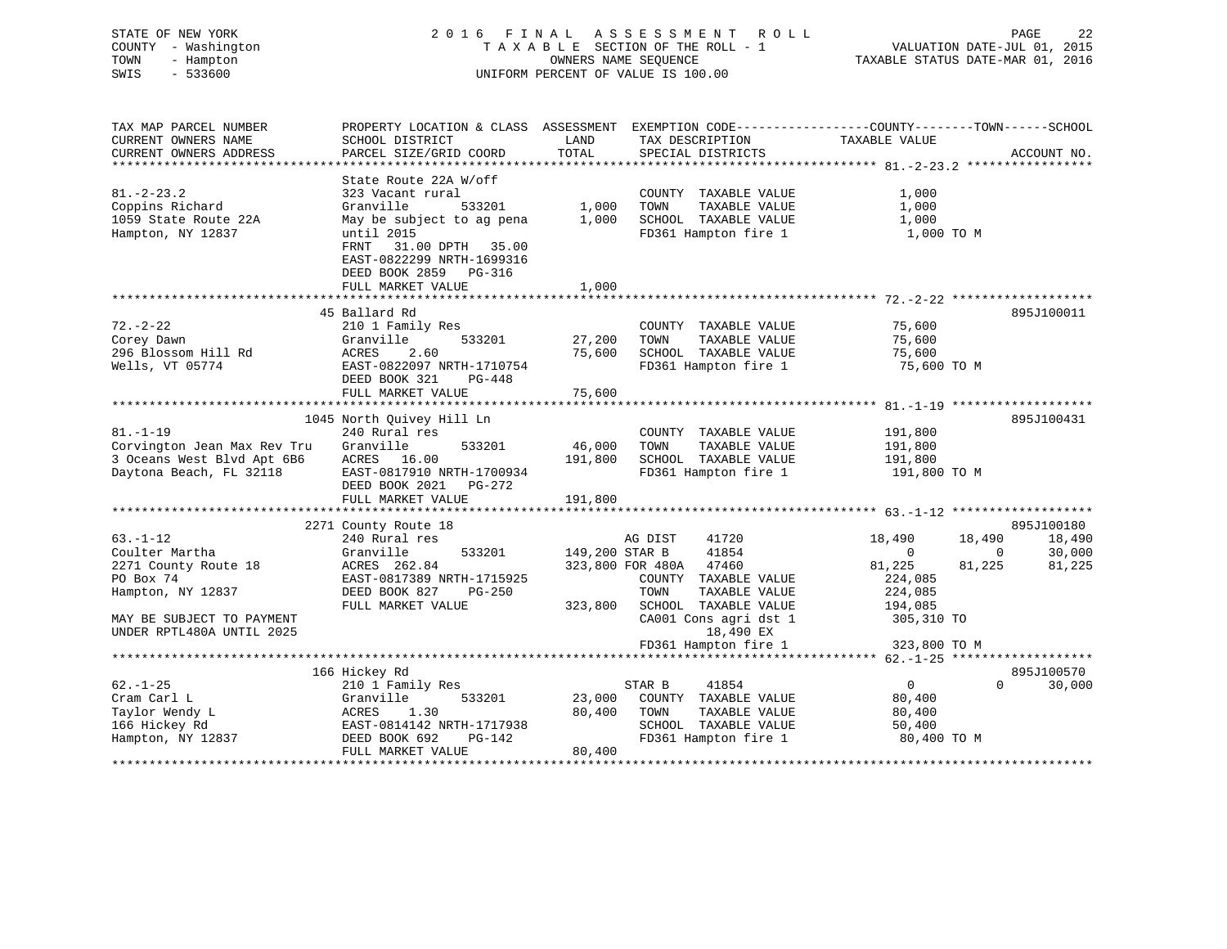# STATE OF NEW YORK 2 0 1 6 F I N A L A S S E S S M E N T R O L L PAGE 22 COUNTY - Washington T A X A B L E SECTION OF THE ROLL - 1 VALUATION DATE-JUL 01, 2015 TOWN - Hampton OWNERS NAME SEQUENCE TAXABLE STATUS DATE-MAR 01, 2016 SWIS - 533600 UNIFORM PERCENT OF VALUE IS 100.00

| TAX MAP PARCEL NUMBER                         | PROPERTY LOCATION & CLASS ASSESSMENT                                                                                 | LAND           | EXEMPTION CODE-----------------COUNTY-------TOWN------SCHOOL | TAXABLE VALUE           |                    |
|-----------------------------------------------|----------------------------------------------------------------------------------------------------------------------|----------------|--------------------------------------------------------------|-------------------------|--------------------|
| CURRENT OWNERS NAME<br>CURRENT OWNERS ADDRESS | SCHOOL DISTRICT<br>PARCEL SIZE/GRID COORD                                                                            | <b>TOTAL</b>   | TAX DESCRIPTION<br>SPECIAL DISTRICTS                         |                         | ACCOUNT NO.        |
|                                               |                                                                                                                      |                |                                                              |                         |                    |
|                                               | State Route 22A W/off                                                                                                |                |                                                              |                         |                    |
| $81. - 2 - 23.2$                              | 323 Vacant rural                                                                                                     |                | COUNTY TAXABLE VALUE                                         | 1,000                   |                    |
| Coppins Richard                               | Granville<br>533201                                                                                                  | 1,000          | TOWN<br>TAXABLE VALUE                                        | 1,000                   |                    |
| 1059 State Route 22A                          | May be subject to ag pena                                                                                            | 1,000          | SCHOOL TAXABLE VALUE                                         | 1,000                   |                    |
| Hampton, NY 12837                             | until 2015<br>31.00 DPTH 35.00<br>FRNT<br>EAST-0822299 NRTH-1699316<br>DEED BOOK 2859<br>PG-316<br>FULL MARKET VALUE | 1,000          | FD361 Hampton fire 1                                         | 1,000 TO M              |                    |
|                                               |                                                                                                                      |                |                                                              |                         |                    |
|                                               | 45 Ballard Rd                                                                                                        |                |                                                              |                         | 895J100011         |
| $72. - 2 - 22$                                | 210 1 Family Res                                                                                                     |                | COUNTY TAXABLE VALUE                                         | 75,600                  |                    |
| Corey Dawn                                    | Granville<br>533201                                                                                                  | 27,200         | TAXABLE VALUE<br>TOWN                                        | 75,600                  |                    |
| 296 Blossom Hill Rd                           | ACRES<br>2.60                                                                                                        | 75,600         | SCHOOL TAXABLE VALUE                                         | 75,600                  |                    |
| Wells, VT 05774                               | EAST-0822097 NRTH-1710754<br>DEED BOOK 321<br>PG-448                                                                 |                | FD361 Hampton fire 1                                         | 75,600 TO M             |                    |
|                                               | FULL MARKET VALUE                                                                                                    | 75,600         |                                                              |                         |                    |
|                                               | *************************                                                                                            | *************  |                                                              |                         |                    |
|                                               | 1045 North Quivey Hill Ln                                                                                            |                |                                                              |                         | 895J100431         |
| $81. - 1 - 19$                                | 240 Rural res                                                                                                        |                | COUNTY TAXABLE VALUE                                         | 191,800                 |                    |
| Corvington Jean Max Rev Tru                   | Granville<br>533201                                                                                                  | 46,000         | TOWN<br>TAXABLE VALUE                                        | 191,800                 |                    |
| 3 Oceans West Blvd Apt 6B6                    | ACRES<br>16.00                                                                                                       | 191,800        | SCHOOL TAXABLE VALUE                                         | 191,800                 |                    |
| Daytona Beach, FL 32118                       | EAST-0817910 NRTH-1700934<br>DEED BOOK 2021<br>$PG-272$<br>FULL MARKET VALUE                                         | 191,800        | FD361 Hampton fire 1                                         | 191,800 TO M            |                    |
|                                               |                                                                                                                      |                |                                                              |                         |                    |
|                                               | 2271 County Route 18                                                                                                 |                |                                                              |                         | 895J100180         |
| $63. - 1 - 12$                                | 240 Rural res                                                                                                        |                | 41720<br>AG DIST                                             | 18,490<br>18,490        | 18,490             |
| Coulter Martha                                | 533201<br>Granville                                                                                                  | 149,200 STAR B | 41854                                                        | 0                       | 30,000<br>0        |
| 2271 County Route 18                          | ACRES 262.84                                                                                                         |                | 323,800 FOR 480A<br>47460                                    | 81,225<br>81,225        | 81,225             |
| PO Box 74                                     | EAST-0817389 NRTH-1715925                                                                                            |                | COUNTY TAXABLE VALUE                                         | 224,085                 |                    |
| Hampton, NY 12837                             | DEED BOOK 827<br>$PG-250$                                                                                            |                | TOWN<br>TAXABLE VALUE                                        | 224,085                 |                    |
|                                               | FULL MARKET VALUE                                                                                                    | 323,800        | SCHOOL TAXABLE VALUE                                         | 194,085                 |                    |
| MAY BE SUBJECT TO PAYMENT                     |                                                                                                                      |                | CA001 Cons agri dst 1                                        | 305,310 TO              |                    |
| UNDER RPTL480A UNTIL 2025                     |                                                                                                                      |                | 18,490 EX                                                    |                         |                    |
|                                               |                                                                                                                      |                | FD361 Hampton fire 1                                         | 323,800 TO M            |                    |
|                                               | ***********************************                                                                                  |                |                                                              | ************** 62.-1-25 |                    |
|                                               | 166 Hickey Rd                                                                                                        |                |                                                              |                         | 895J100570         |
| $62. - 1 - 25$                                | 210 1 Family Res                                                                                                     |                | 41854<br>STAR B                                              | $\Omega$                | 30,000<br>$\Omega$ |
| Cram Carl L                                   | 533201<br>Granville                                                                                                  | 23,000         | COUNTY TAXABLE VALUE                                         | 80,400                  |                    |
| Taylor Wendy L                                | ACRES<br>1.30                                                                                                        | 80,400         | TOWN<br>TAXABLE VALUE                                        | 80,400                  |                    |
| 166 Hickey Rd                                 | EAST-0814142 NRTH-1717938                                                                                            |                | SCHOOL TAXABLE VALUE                                         | 50,400                  |                    |
| Hampton, NY 12837                             | DEED BOOK 692<br>$PG-142$                                                                                            |                | FD361 Hampton fire 1                                         | 80,400 TO M             |                    |
|                                               | FULL MARKET VALUE                                                                                                    | 80,400         |                                                              |                         |                    |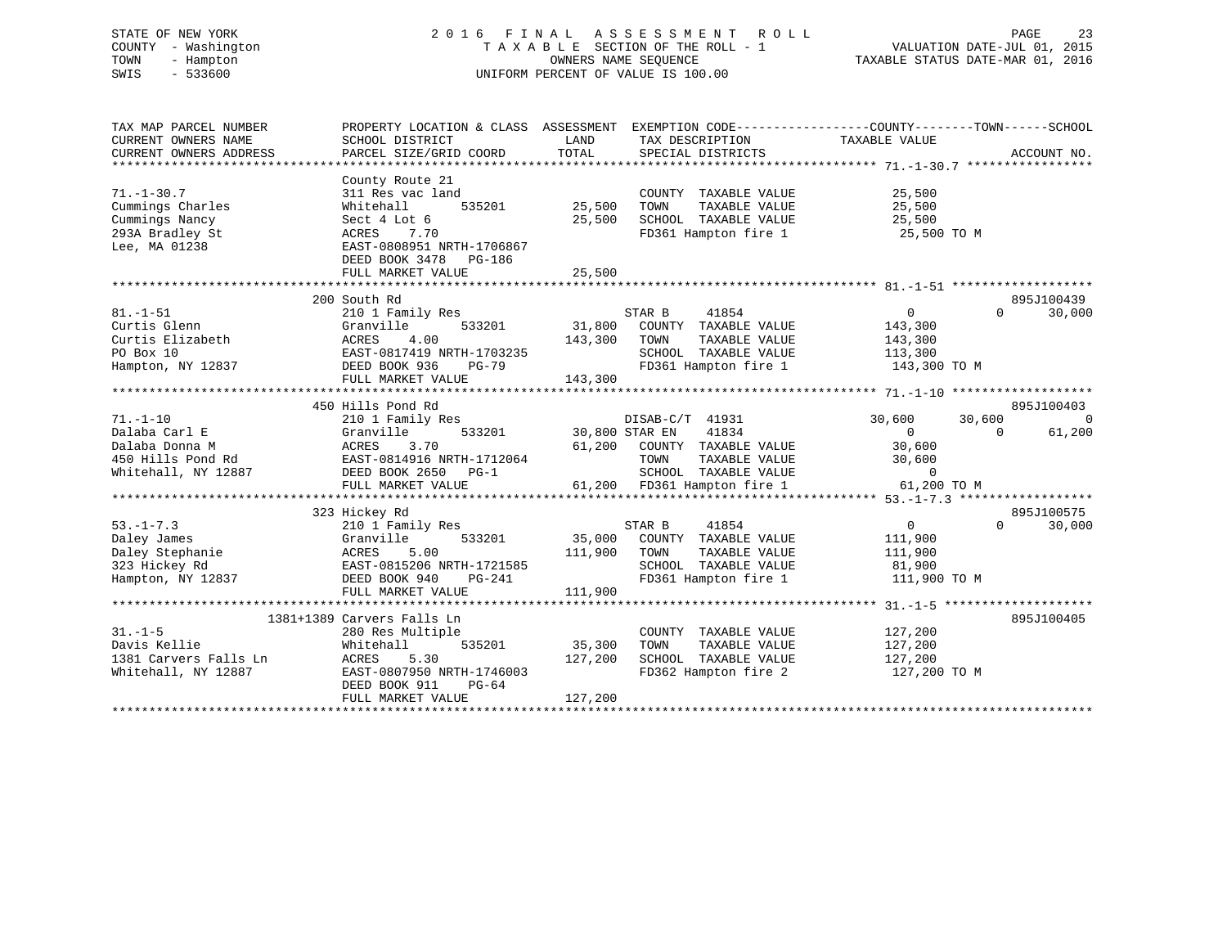# STATE OF NEW YORK 2 0 1 6 F I N A L A S S E S S M E N T R O L L PAGE 23 COUNTY - Washington T A X A B L E SECTION OF THE ROLL - 1 VALUATION DATE-JUL 01, 2015 TOWN - Hampton OWNERS NAME SEQUENCE TAXABLE STATUS DATE-MAR 01, 2016 SWIS - 533600 UNIFORM PERCENT OF VALUE IS 100.00

| TAX MAP PARCEL NUMBER<br>CURRENT OWNERS NAME<br>CURRENT OWNERS ADDRESS                     | PROPERTY LOCATION & CLASS ASSESSMENT<br>SCHOOL DISTRICT<br>PARCEL SIZE/GRID COORD                                                                                                 | LAND<br>TOTAL                     | EXEMPTION CODE-----------------COUNTY-------TOWN------SCHOOL<br>TAX DESCRIPTION<br>SPECIAL DISTRICTS                    | TAXABLE VALUE                                                     | ACCOUNT NO.                      |
|--------------------------------------------------------------------------------------------|-----------------------------------------------------------------------------------------------------------------------------------------------------------------------------------|-----------------------------------|-------------------------------------------------------------------------------------------------------------------------|-------------------------------------------------------------------|----------------------------------|
| $71. - 1 - 30.7$<br>Cummings Charles<br>Cummings Nancy<br>293A Bradley St<br>Lee, MA 01238 | County Route 21<br>311 Res vac land<br>Whitehall<br>Sect 4 Lot 6<br>7.70<br>ACRES<br>EAST-0808951 NRTH-1706867<br>DEED BOOK 3478 PG-186<br>FULL MARKET VALUE                      | 535201 25,500<br>25,500<br>25,500 | COUNTY TAXABLE VALUE<br>TOWN<br>TAXABLE VALUE<br>SCHOOL TAXABLE VALUE<br>FD361 Hampton fire 1 25,500 TO M               | 25,500<br>25,500<br>25,500                                        |                                  |
|                                                                                            |                                                                                                                                                                                   |                                   |                                                                                                                         |                                                                   |                                  |
| $81. - 1 - 51$<br>Curtis Glenn<br>Curtis Elizabeth<br>PO Box 10<br>Hampton, NY 12837       | 200 South Rd<br>210 1 Family Res<br>533201<br>Granville<br>4.00<br>ACRES<br>EAST-0817419 NRTH-1703235<br>DEED BOOK 936<br>PG-79                                                   | 31,800<br>143,300                 | STAR B<br>41854<br>COUNTY TAXABLE VALUE<br>TOWN<br>TAXABLE VALUE<br>SCHOOL TAXABLE VALUE<br>FD361 Hampton fire 1        | $\overline{0}$<br>143,300<br>143,300<br>113,300<br>143,300 TO M   | 895J100439<br>30,000<br>$\Omega$ |
|                                                                                            |                                                                                                                                                                                   |                                   |                                                                                                                         |                                                                   |                                  |
| $71. - 1 - 10$                                                                             | 450 Hills Pond Rd<br>210 1 Family Res                                                                                                                                             |                                   | DISAB-C/T 41931                                                                                                         | 30,600<br>30,600                                                  | 895J100403<br>$\overline{0}$     |
| Dalaba Carl E<br>Dalaba Donna M<br>450 Hills Pond Rd<br>Whitehall, NY 12887                | Granville<br>ACRES<br>3.70<br>EAST-0814916 NRTH-1712064<br>DEED BOOK 2650<br>$PG-1$<br>FULL MARKET VALUE                                                                          | 533201 30,800 STAR EN<br>61,200   | 41834<br>COUNTY TAXABLE VALUE<br>TAXABLE VALUE<br>TOWN<br>SCHOOL TAXABLE VALUE<br>61,200 FD361 Hampton fire 1           | $\overline{0}$<br>30,600<br>30,600<br>$\mathbf 0$<br>61,200 TO M  | $\Omega$<br>61,200               |
|                                                                                            |                                                                                                                                                                                   |                                   |                                                                                                                         |                                                                   |                                  |
| $53. - 1 - 7.3$<br>Daley James<br>Daley Stephanie<br>323 Hickey Rd<br>Hampton, NY 12837    | 323 Hickey Rd<br>210 1 Family Res<br>533201<br>Granville<br>5.00<br>ACRES<br>EAST-0815206 NRTH-1721585<br>EAST-0015-<br>DEED BOOK 940<br>ALADERT V<br>PG-241<br>FULL MARKET VALUE | 111,900<br>111,900                | STAR B<br>41854<br>35,000 COUNTY TAXABLE VALUE<br>TAXABLE VALUE<br>TOWN<br>SCHOOL TAXABLE VALUE<br>FD361 Hampton fire 1 | $0 \qquad \qquad$<br>111,900<br>111,900<br>81,900<br>111,900 TO M | 895J100575<br>30,000<br>$\Omega$ |
|                                                                                            |                                                                                                                                                                                   |                                   |                                                                                                                         |                                                                   |                                  |
| $31. -1 - 5$<br>Davis Kellie<br>1381 Carvers Falls Ln<br>Whitehall, NY 12887               | 1381+1389 Carvers Falls Ln<br>280 Res Multiple<br>Whitehall<br>535201<br>ACRES<br>5.30<br>EAST-0807950 NRTH-1746003<br>DEED BOOK 911<br>PG-64<br>FULL MARKET VALUE                | 35,300<br>127,200<br>127,200      | COUNTY TAXABLE VALUE<br>TAXABLE VALUE<br>TOWN<br>SCHOOL TAXABLE VALUE<br>FD362 Hampton fire 2 127,200 TO M              | 127,200<br>127,200<br>$\frac{1}{127}$ , 200                       | 895J100405                       |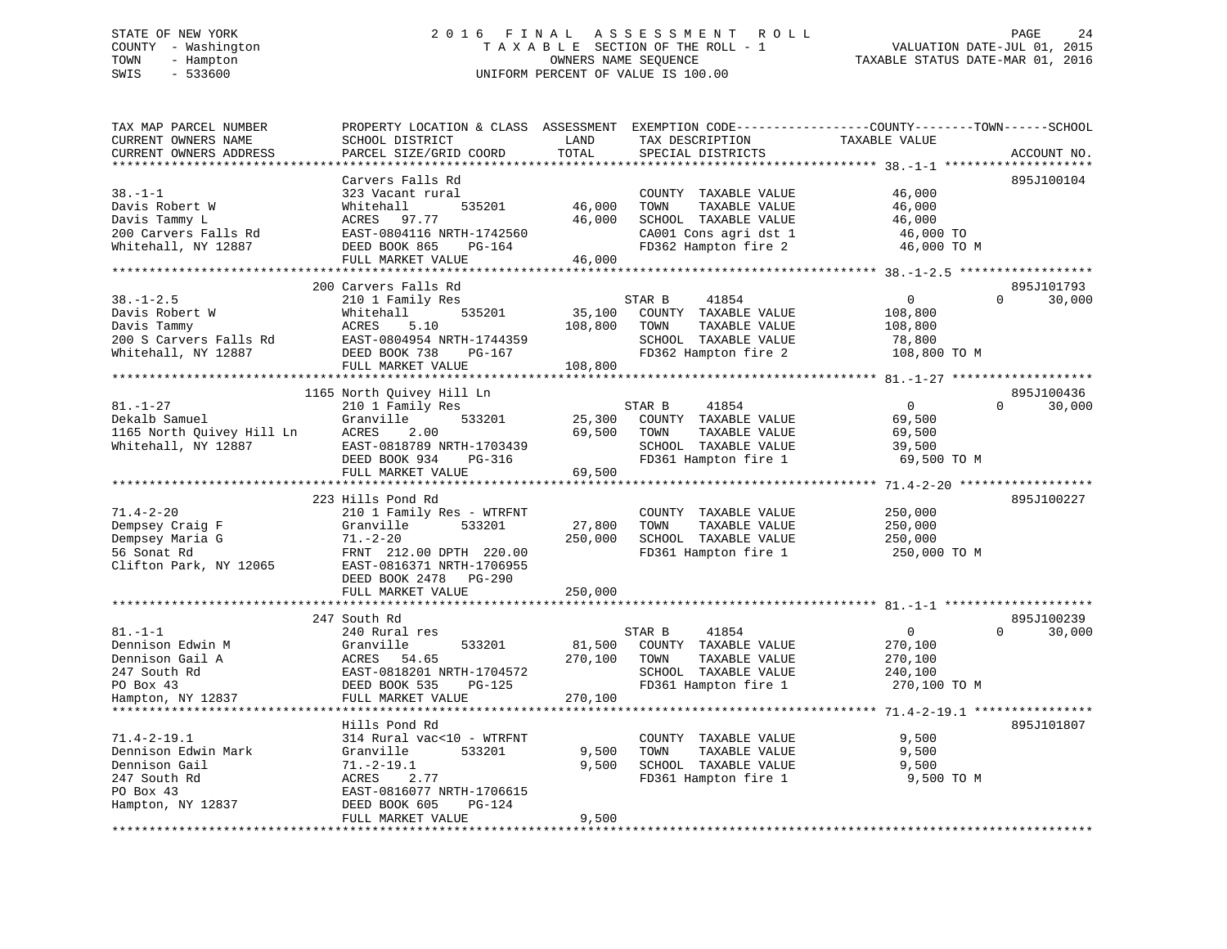# STATE OF NEW YORK 2 0 1 6 F I N A L A S S E S S M E N T R O L L PAGE 24 COUNTY - Washington T A X A B L E SECTION OF THE ROLL - 1 VALUATION DATE-JUL 01, 2015 TOWN - Hampton OWNERS NAME SEQUENCE TAXABLE STATUS DATE-MAR 01, 2016 SWIS - 533600 UNIFORM PERCENT OF VALUE IS 100.00

| SCHOOL DISTRICT<br>PARCEL SIZE/GRID COORD                                                                                                                                | LAND<br>TOTAL                                                                                                                           | TAX DESCRIPTION<br>SPECIAL DISTRICTS                                                                                   | TAXABLE VALUE                                                      | ACCOUNT NO.                                                  |
|--------------------------------------------------------------------------------------------------------------------------------------------------------------------------|-----------------------------------------------------------------------------------------------------------------------------------------|------------------------------------------------------------------------------------------------------------------------|--------------------------------------------------------------------|--------------------------------------------------------------|
|                                                                                                                                                                          |                                                                                                                                         |                                                                                                                        |                                                                    |                                                              |
| Carvers Falls Rd<br>323 Vacant rural<br>Whitehall<br>535201<br>97.77<br>ACRES<br>EAST-0804116 NRTH-1742560<br>DEED BOOK 865<br>PG-164<br>FULL MARKET VALUE               | 46,000<br>46,000<br>46,000                                                                                                              | COUNTY TAXABLE VALUE<br>TOWN<br>TAXABLE VALUE<br>SCHOOL TAXABLE VALUE<br>CA001 Cons agri dst 1<br>FD362 Hampton fire 2 | 46,000<br>46,000<br>46,000<br>46,000 TO<br>46,000 TO M             | 895J100104                                                   |
|                                                                                                                                                                          |                                                                                                                                         |                                                                                                                        |                                                                    |                                                              |
| 210 1 Family Res<br>535201<br>Whitehall<br>ACRES<br>5.10<br>EAST-0804954 NRTH-1744359<br>DEED BOOK 738<br>PG-167                                                         | 35,100<br>108,800                                                                                                                       | 41854<br>COUNTY TAXABLE VALUE<br>TOWN<br>TAXABLE VALUE<br>SCHOOL TAXABLE VALUE<br>FD362 Hampton fire 2                 | $\overline{0}$<br>108,800<br>108,800<br>78,800<br>108,800 TO M     | 895J101793<br>$\Omega$<br>30,000                             |
|                                                                                                                                                                          |                                                                                                                                         |                                                                                                                        |                                                                    |                                                              |
|                                                                                                                                                                          |                                                                                                                                         |                                                                                                                        |                                                                    | 895J100436                                                   |
| 210 1 Family Res<br>533201<br>Granville<br>ACRES<br>2.00<br>EAST-0818789 NRTH-1703439<br>DEED BOOK 934<br>PG-316<br>FULL MARKET VALUE                                    | 25,300<br>69,500<br>69,500                                                                                                              | 41854<br>COUNTY TAXABLE VALUE<br>TAXABLE VALUE<br>TOWN<br>SCHOOL TAXABLE VALUE<br>FD361 Hampton fire 1                 | $\overline{0}$<br>69,500<br>69,500<br>39,500<br>69,500 TO M        | 30,000<br>$\Omega$                                           |
| ************************                                                                                                                                                 |                                                                                                                                         |                                                                                                                        |                                                                    |                                                              |
| 223 Hills Pond Rd<br>210 1 Family Res - WTRFNT<br>533201<br>Granville<br>$71. - 2 - 20$<br>FRNT 212.00 DPTH 220.00<br>EAST-0816371 NRTH-1706955<br>DEED BOOK 2478 PG-290 | 27,800<br>250,000                                                                                                                       | COUNTY TAXABLE VALUE<br>TAXABLE VALUE<br>TOWN<br>SCHOOL TAXABLE VALUE<br>FD361 Hampton fire 1                          | 250,000<br>250,000<br>250,000<br>250,000 TO M                      | 895J100227                                                   |
|                                                                                                                                                                          |                                                                                                                                         |                                                                                                                        |                                                                    |                                                              |
| 247 South Rd<br>240 Rural res<br>533201<br>Granville<br>54.65<br>ACRES<br>EAST-0818201 NRTH-1704572<br>DEED BOOK 535<br>PG-125<br>FULL MARKET VALUE                      | 81,500<br>270,100<br>270,100                                                                                                            | 41854<br>COUNTY TAXABLE VALUE<br>TAXABLE VALUE<br>TOWN<br>SCHOOL TAXABLE VALUE<br>FD361 Hampton fire 1                 | $\overline{0}$<br>270,100<br>270,100<br>240,100<br>270,100 TO M    | 895J100239<br>$\Omega$<br>30,000                             |
|                                                                                                                                                                          |                                                                                                                                         |                                                                                                                        |                                                                    |                                                              |
| 314 Rural vac<10 - WTRFNT<br>Granville<br>533201<br>$71. - 2 - 19.1$<br>ACRES<br>2.77<br>EAST-0816077 NRTH-1706615                                                       | 9,500<br>9,500                                                                                                                          | COUNTY TAXABLE VALUE<br>TOWN<br>TAXABLE VALUE<br>SCHOOL TAXABLE VALUE<br>FD361 Hampton fire 1                          | 9,500<br>9,500<br>9,500<br>9,500 TO M                              | 895J101807                                                   |
| FULL MARKET VALUE                                                                                                                                                        | 9,500                                                                                                                                   |                                                                                                                        |                                                                    |                                                              |
|                                                                                                                                                                          | 200 Carvers Falls Rd<br>FULL MARKET VALUE<br>1165 North Quivey Hill Ln<br>FULL MARKET VALUE<br>Hills Pond Rd<br>DEED BOOK 605<br>PG-124 | 108,800<br>250,000                                                                                                     | PROPERTY LOCATION & CLASS ASSESSMENT<br>STAR B<br>STAR B<br>STAR B | EXEMPTION CODE-----------------COUNTY-------TOWN------SCHOOL |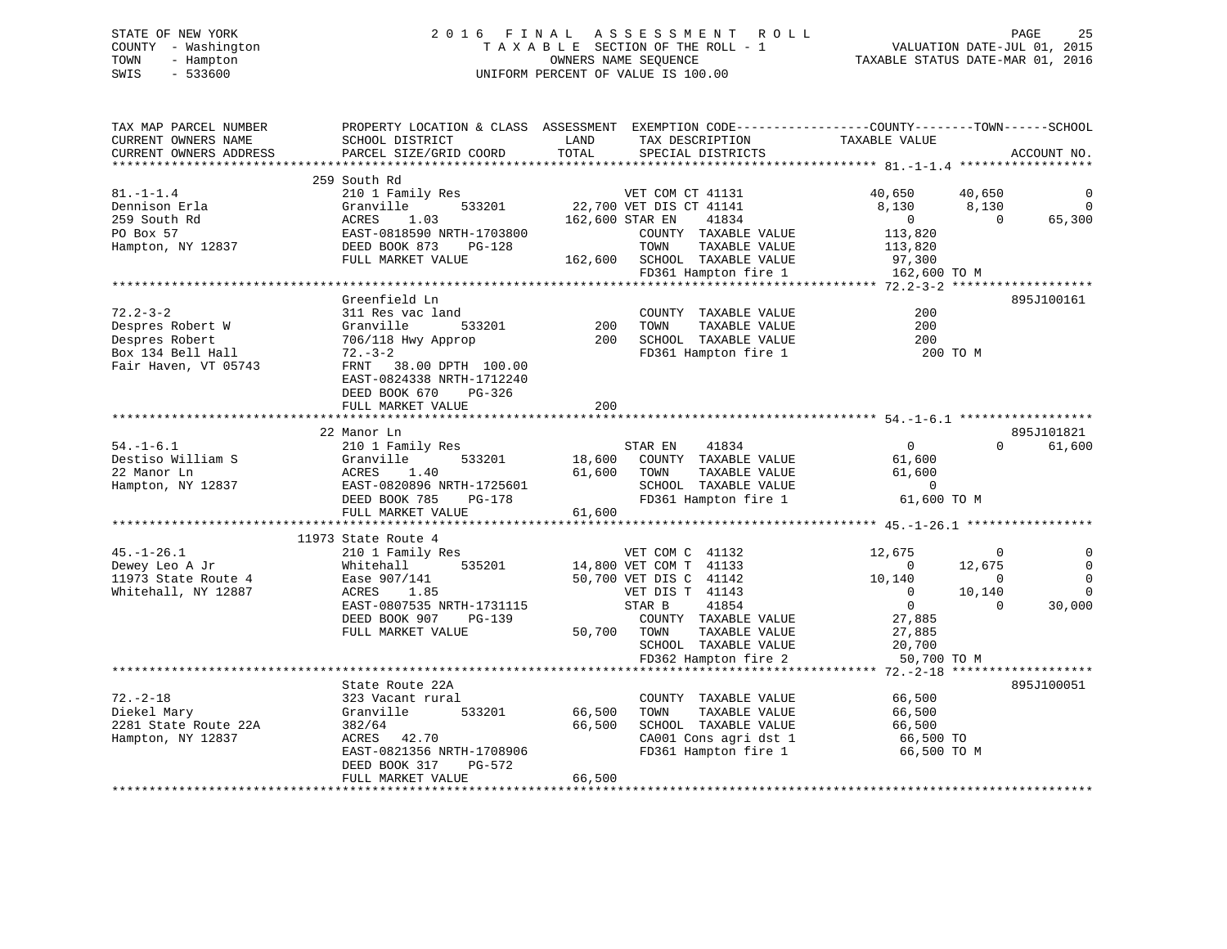# STATE OF NEW YORK 2 0 1 6 F I N A L A S S E S S M E N T R O L L PAGE 25 COUNTY - Washington T A X A B L E SECTION OF THE ROLL - 1 VALUATION DATE-JUL 01, 2015 TOWN - Hampton OWNERS NAME SEQUENCE TAXABLE STATUS DATE-MAR 01, 2016 SWIS - 533600 UNIFORM PERCENT OF VALUE IS 100.00

| TAX MAP PARCEL NUMBER  |                           |                                           | PROPERTY LOCATION & CLASS ASSESSMENT EXEMPTION CODE---------------COUNTY-------TOWN-----SCHOOL |
|------------------------|---------------------------|-------------------------------------------|------------------------------------------------------------------------------------------------|
| CURRENT OWNERS NAME    | SCHOOL DISTRICT           | LAND<br>TAX DESCRIPTION                   | TAXABLE VALUE                                                                                  |
| CURRENT OWNERS ADDRESS | PARCEL SIZE/GRID COORD    | TOTAL<br>SPECIAL DISTRICTS                | ACCOUNT NO.                                                                                    |
|                        |                           |                                           |                                                                                                |
|                        | 259 South Rd              |                                           |                                                                                                |
| $81. - 1 - 1.4$        | 210 1 Family Res          | VET COM CT 41131                          | 40,650<br>40,650<br>$\overline{0}$                                                             |
| Dennison Erla          | 533201<br>Granville       | 22,700 VET DIS CT 41141                   | 8,130<br>8,130<br>$\overline{0}$                                                               |
| 259 South Rd           | 1.03<br>ACRES             | 162,600 STAR EN<br>41834                  | $\overline{0}$<br>$\overline{0}$<br>65,300                                                     |
| PO Box 57              | EAST-0818590 NRTH-1703800 | COUNTY TAXABLE VALUE                      | 113,820                                                                                        |
| Hampton, NY 12837      | DEED BOOK 873<br>PG-128   | TOWN<br>TAXABLE VALUE                     | 113,820                                                                                        |
|                        | FULL MARKET VALUE         | 162,600 SCHOOL TAXABLE VALUE              | 97,300                                                                                         |
|                        |                           | FD361 Hampton fire 1                      | 162,600 TO M                                                                                   |
|                        |                           |                                           |                                                                                                |
|                        | Greenfield Ln             |                                           | 895J100161                                                                                     |
| $72.2 - 3 - 2$         | 311 Res vac land          | COUNTY TAXABLE VALUE                      | 200                                                                                            |
| Despres Robert W       | Granville<br>533201       | 200<br>TAXABLE VALUE<br>TOWN              | 200                                                                                            |
| Despres Robert         | 706/118 Hwy Approp        | 200<br>SCHOOL TAXABLE VALUE               | 200                                                                                            |
| Box 134 Bell Hall      | $72. - 3 - 2$             | FD361 Hampton fire 1                      | 200 TO M                                                                                       |
| Fair Haven, VT 05743   | FRNT 38.00 DPTH 100.00    |                                           |                                                                                                |
|                        | EAST-0824338 NRTH-1712240 |                                           |                                                                                                |
|                        | DEED BOOK 670<br>PG-326   |                                           |                                                                                                |
|                        | FULL MARKET VALUE         | 200                                       |                                                                                                |
|                        |                           |                                           |                                                                                                |
|                        | 22 Manor Ln               |                                           | 895J101821                                                                                     |
| $54. - 1 - 6.1$        | 210 1 Family Res          | 41834<br>STAR EN                          | 61,600<br>$\overline{0}$<br>$\Omega$                                                           |
| Destiso William S      | 533201<br>Granville       | 18,600 COUNTY TAXABLE VALUE               | 61,600                                                                                         |
| 22 Manor Ln            | ACRES<br>1.40             | 61,600 TOWN<br>TAXABLE VALUE              | 61,600                                                                                         |
| Hampton, NY 12837      | EAST-0820896 NRTH-1725601 | SCHOOL TAXABLE VALUE                      | $\Omega$                                                                                       |
|                        | DEED BOOK 785<br>PG-178   | FD361 Hampton fire 1                      | 61,600 TO M                                                                                    |
|                        | FULL MARKET VALUE         | 61,600                                    |                                                                                                |
|                        |                           |                                           |                                                                                                |
|                        | 11973 State Route 4       |                                           |                                                                                                |
| $45. - 1 - 26.1$       | 210 1 Family Res          |                                           | 12,675<br>$\overline{0}$                                                                       |
| Dewey Leo A Jr         | Whitehall<br>535201       | VET COM C 41132<br>14,800 VET COM T 41133 | $\overline{0}$<br>12,675<br>0                                                                  |
| 11973 State Route 4    | Ease 907/141              | 50,700 VET DIS C 41142                    | 10,140<br>0<br>$\overline{0}$                                                                  |
| Whitehall, NY 12887    | ACRES<br>1.85             | VET DIS T 41143                           | $\mathbf 0$<br>$\overline{0}$<br>10,140                                                        |
|                        | EAST-0807535 NRTH-1731115 | STAR B<br>41854                           | $\overline{0}$<br>$\Omega$<br>30,000                                                           |
|                        | DEED BOOK 907<br>PG-139   | COUNTY TAXABLE VALUE                      | 27,885                                                                                         |
|                        | FULL MARKET VALUE         | 50,700<br>TAXABLE VALUE<br>TOWN           | 27,885                                                                                         |
|                        |                           | SCHOOL TAXABLE VALUE                      | 20,700                                                                                         |
|                        |                           | FD362 Hampton fire 2                      | 50,700 TO M                                                                                    |
|                        |                           |                                           |                                                                                                |
|                        | State Route 22A           |                                           | 895J100051                                                                                     |
| $72. - 2 - 18$         | 323 Vacant rural          | COUNTY TAXABLE VALUE                      | 66,500                                                                                         |
| Diekel Mary            | Granville<br>533201       | 66,500<br>TOWN<br>TAXABLE VALUE           | 66,500                                                                                         |
| 2281 State Route 22A   | 382/64                    | SCHOOL TAXABLE VALUE<br>66,500            | 66,500                                                                                         |
| Hampton, NY 12837      | ACRES 42.70               | CA001 Cons agri dst 1                     | 66,500 TO                                                                                      |
|                        | EAST-0821356 NRTH-1708906 | FD361 Hampton fire 1                      | 66,500 TO M                                                                                    |
|                        | DEED BOOK 317<br>PG-572   |                                           |                                                                                                |
|                        | FULL MARKET VALUE         | 66,500                                    |                                                                                                |
|                        |                           |                                           |                                                                                                |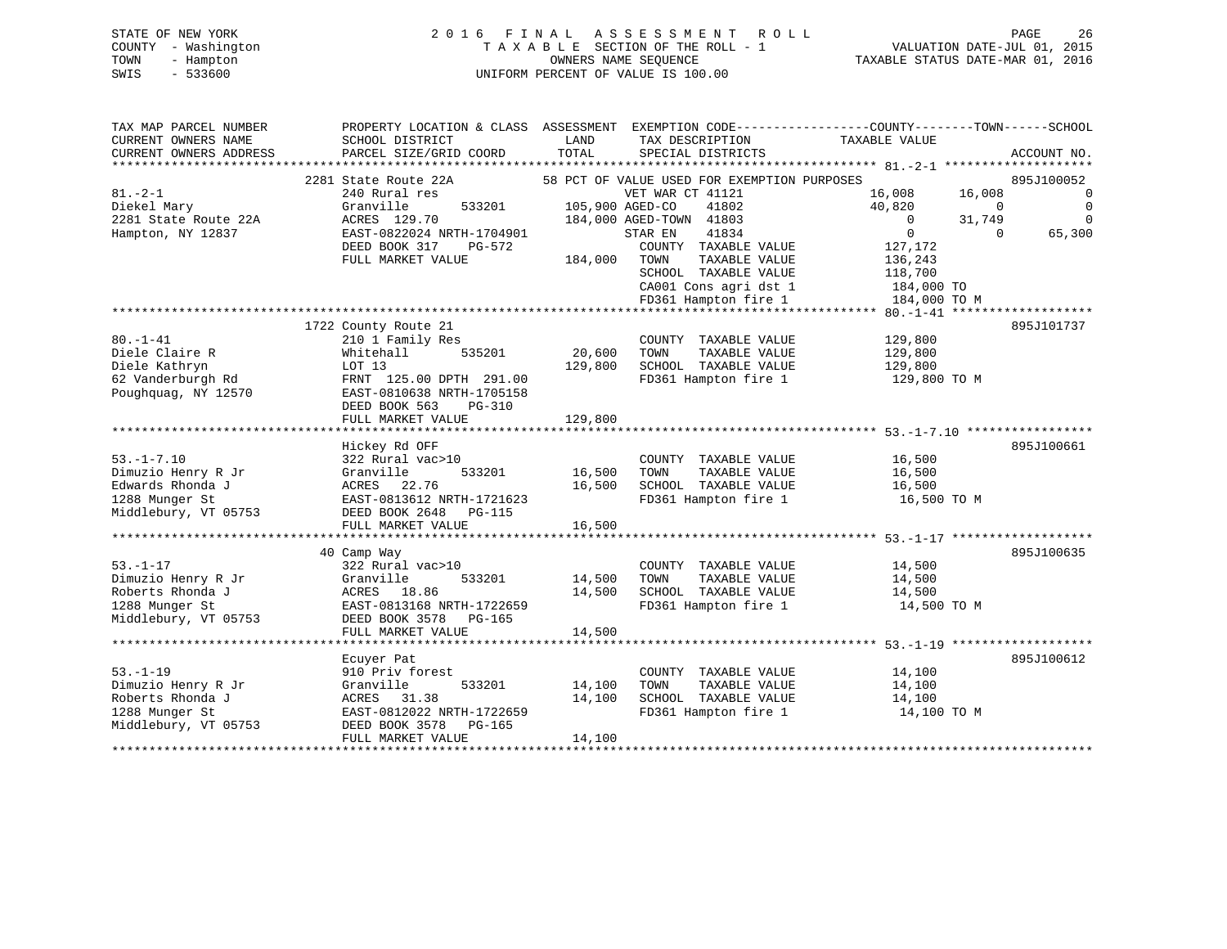# STATE OF NEW YORK 2 0 1 6 F I N A L A S S E S S M E N T R O L L PAGE 26 COUNTY - Washington T A X A B L E SECTION OF THE ROLL - 1 VALUATION DATE-JUL 01, 2015 TOWN - Hampton OWNERS NAME SEQUENCE TAXABLE STATUS DATE-MAR 01, 2016 SWIS - 533600 UNIFORM PERCENT OF VALUE IS 100.00

| TAX MAP PARCEL NUMBER<br>CURRENT OWNERS NAME | PROPERTY LOCATION & CLASS ASSESSMENT EXEMPTION CODE----------------COUNTY-------TOWN------SCHOOL<br>SCHOOL DISTRICT | LAND            | TAX DESCRIPTION                               | TAXABLE VALUE          |                    |
|----------------------------------------------|---------------------------------------------------------------------------------------------------------------------|-----------------|-----------------------------------------------|------------------------|--------------------|
| CURRENT OWNERS ADDRESS                       | PARCEL SIZE/GRID COORD                                                                                              | TOTAL           | SPECIAL DISTRICTS                             |                        | ACCOUNT NO.        |
|                                              | 2281 State Route 22A                                                                                                |                 | 58 PCT OF VALUE USED FOR EXEMPTION PURPOSES   |                        | 895J100052         |
| $81. - 2 - 1$                                | 240 Rural res                                                                                                       |                 | VET WAR CT 41121                              | 16,008<br>16,008       | $\overline{0}$     |
| Diekel Mary                                  | Granville<br>533201                                                                                                 | 105,900 AGED-CO | 41802                                         | 40,820                 | 0<br>$\Omega$      |
| 2281 State Route 22A                         | ACRES 129.70                                                                                                        |                 | 184,000 AGED-TOWN 41803                       | 31,749<br>$\mathbf{0}$ | $\mathbf 0$        |
| Hampton, NY 12837                            | EAST-0822024 NRTH-1704901                                                                                           |                 | 41834<br>STAR EN                              | $\mathbf 0$            | 65,300<br>$\Omega$ |
|                                              | DEED BOOK 317<br>PG-572                                                                                             |                 | COUNTY TAXABLE VALUE                          | 127,172                |                    |
|                                              | FULL MARKET VALUE                                                                                                   | 184,000         | TOWN<br>TAXABLE VALUE                         | 136,243                |                    |
|                                              |                                                                                                                     |                 | SCHOOL TAXABLE VALUE                          | 118,700                |                    |
|                                              |                                                                                                                     |                 | CA001 Cons agri dst 1<br>FD361 Hampton fire 1 | 184,000 TO             |                    |
|                                              |                                                                                                                     |                 |                                               | 184,000 TO M           |                    |
|                                              | 1722 County Route 21                                                                                                |                 |                                               |                        | 895J101737         |
| $80. - 1 - 41$                               | 210 1 Family Res                                                                                                    |                 | COUNTY TAXABLE VALUE                          | 129,800                |                    |
| Diele Claire R                               | Whitehall<br>535201                                                                                                 | 20,600          | TOWN<br>TAXABLE VALUE                         | 129,800                |                    |
| Diele Kathryn                                | LOT 13                                                                                                              | 129,800         | SCHOOL TAXABLE VALUE                          | 129,800                |                    |
| 62 Vanderburgh Rd                            | FRNT 125.00 DPTH 291.00                                                                                             |                 | FD361 Hampton fire 1                          | 129,800 TO M           |                    |
| Poughquag, NY 12570                          | EAST-0810638 NRTH-1705158                                                                                           |                 |                                               |                        |                    |
|                                              | DEED BOOK 563<br>PG-310                                                                                             |                 |                                               |                        |                    |
|                                              | FULL MARKET VALUE                                                                                                   | 129,800         |                                               |                        |                    |
|                                              |                                                                                                                     |                 |                                               |                        |                    |
|                                              | Hickey Rd OFF                                                                                                       |                 |                                               |                        | 895J100661         |
| $53. - 1 - 7.10$                             | 322 Rural vac>10                                                                                                    |                 | COUNTY TAXABLE VALUE                          | 16,500                 |                    |
| Dimuzio Henry R Jr                           | Granville<br>533201                                                                                                 | 16,500          | TOWN<br>TAXABLE VALUE                         | 16,500                 |                    |
| Edwards Rhonda J                             | ACRES<br>22.76                                                                                                      | 16,500          | SCHOOL TAXABLE VALUE                          | 16,500                 |                    |
| 1288 Munger St                               | EAST-0813612 NRTH-1721623                                                                                           |                 | FD361 Hampton fire 1                          | 16,500 TO M            |                    |
| Middlebury, VT 05753                         | DEED BOOK 2648<br><b>PG-115</b>                                                                                     |                 |                                               |                        |                    |
|                                              | FULL MARKET VALUE                                                                                                   | 16,500          |                                               |                        |                    |
|                                              |                                                                                                                     |                 |                                               |                        |                    |
|                                              | 40 Camp Way                                                                                                         |                 |                                               |                        | 895J100635         |
| $53. - 1 - 17$                               | 322 Rural vac>10                                                                                                    |                 | COUNTY TAXABLE VALUE                          | 14,500                 |                    |
| Dimuzio Henry R Jr                           | 533201<br>Granville                                                                                                 | 14,500          | TOWN<br>TAXABLE VALUE                         | 14,500                 |                    |
| Roberts Rhonda J                             | ACRES 18.86                                                                                                         | 14,500          | SCHOOL TAXABLE VALUE                          | 14,500                 |                    |
| 1288 Munger St                               | EAST-0813168 NRTH-1722659                                                                                           |                 | FD361 Hampton fire 1                          | 14,500 TO M            |                    |
| Middlebury, VT 05753                         | DEED BOOK 3578 PG-165                                                                                               |                 |                                               |                        |                    |
|                                              | FULL MARKET VALUE                                                                                                   | 14,500          |                                               |                        |                    |
|                                              |                                                                                                                     |                 |                                               |                        |                    |
|                                              | Ecuyer Pat                                                                                                          |                 |                                               |                        | 895J100612         |
| $53. - 1 - 19$                               | 910 Priv forest                                                                                                     |                 | COUNTY TAXABLE VALUE                          | 14,100                 |                    |
| Dimuzio Henry R Jr                           | 533201<br>Granville                                                                                                 | 14,100          | TAXABLE VALUE<br>TOWN                         | 14,100                 |                    |
| Roberts Rhonda J                             | 31.38<br>ACRES                                                                                                      | 14,100          | SCHOOL TAXABLE VALUE                          | 14,100                 |                    |
| 1288 Munger St                               | EAST-0812022 NRTH-1722659                                                                                           |                 | FD361 Hampton fire 1                          | 14,100 TO M            |                    |
| Middlebury, VT 05753                         | DEED BOOK 3578<br>PG-165                                                                                            |                 |                                               |                        |                    |
|                                              | FULL MARKET VALUE                                                                                                   | 14,100          |                                               |                        |                    |
|                                              |                                                                                                                     |                 |                                               |                        |                    |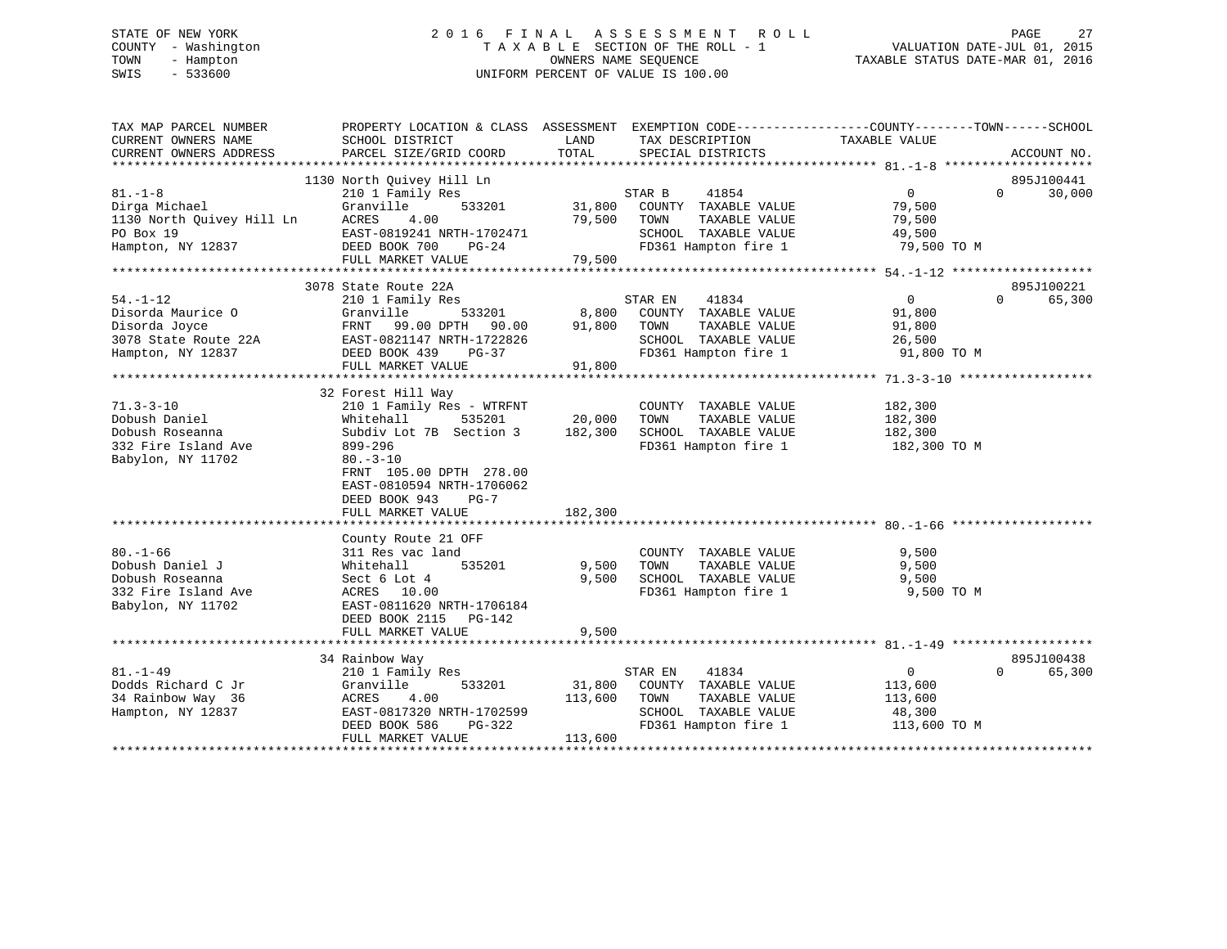# STATE OF NEW YORK 2 0 1 6 F I N A L A S S E S S M E N T R O L L PAGE 27 COUNTY - Washington T A X A B L E SECTION OF THE ROLL - 1 VALUATION DATE-JUL 01, 2015 TOWN - Hampton OWNERS NAME SEQUENCE TAXABLE STATUS DATE-MAR 01, 2016 SWIS - 533600 UNIFORM PERCENT OF VALUE IS 100.00

| TAX MAP PARCEL NUMBER<br>CURRENT OWNERS NAME<br>CURRENT OWNERS ADDRESS                            | SCHOOL DISTRICT<br>PARCEL SIZE/GRID COORD                                                                                                                                                  | LAND<br>TAX DESCRIPTION<br>TOTAL<br>SPECIAL DISTRICTS                                                                                          | PROPERTY LOCATION & CLASS ASSESSMENT EXEMPTION CODE---------------COUNTY-------TOWN------SCHOOL<br>TAXABLE VALUE<br>ACCOUNT NO. |        |
|---------------------------------------------------------------------------------------------------|--------------------------------------------------------------------------------------------------------------------------------------------------------------------------------------------|------------------------------------------------------------------------------------------------------------------------------------------------|---------------------------------------------------------------------------------------------------------------------------------|--------|
|                                                                                                   | 1130 North Ouivey Hill Ln                                                                                                                                                                  |                                                                                                                                                | 895J100441                                                                                                                      |        |
| Hampton, NY 12837                                                                                 | FULL MARKET VALUE                                                                                                                                                                          | 41854<br>STAR B<br>31,800 COUNTY TAXABLE VALUE<br>79,500 TOWN<br>TAXABLE VALUE<br>SCHOOL TAXABLE VALUE 49,500<br>79,500                        | $\overline{0}$<br>$\Omega$<br>79,500<br>79,500<br>FD361 Hampton fire 1 79,500 TO M                                              | 30,000 |
|                                                                                                   | 3078 State Route 22A                                                                                                                                                                       |                                                                                                                                                | 895J100221                                                                                                                      |        |
| $54. - 1 - 12$<br>Disorda Maurice O<br>Disorda Joyce<br>3078 State Route 22A<br>Hampton, NY 12837 | 210 1 Family Res<br>533201<br>Granville<br>99.00 DPTH 90.00<br>FRNT<br>EAST-0821147 NRTH-1722826<br>DEED BOOK 439<br>PG-37<br>FULL MARKET VALUE                                            | 41834<br>STAR EN<br>8,800<br>COUNTY TAXABLE VALUE<br>91,800<br>TOWN<br>TAXABLE VALUE<br>SCHOOL TAXABLE VALUE<br>FD361 Hampton fire 1<br>91,800 | $\overline{0}$<br>$\Omega$<br>91,800<br>91,800<br>26,500<br>91,800 TO M                                                         | 65,300 |
|                                                                                                   | 32 Forest Hill Way                                                                                                                                                                         |                                                                                                                                                |                                                                                                                                 |        |
| $71.3 - 3 - 10$<br>Dobush Daniel<br>Dobush Roseanna<br>332 Fire Island Ave<br>Babylon, NY 11702   | 210 1 Family Res - WTRFNT<br>535201<br>Whitehall<br>Subdiv Lot 7B Section 3<br>899-296<br>$80 - 3 - 10$<br>FRNT 105.00 DPTH 278.00<br>EAST-0810594 NRTH-1706062<br>DEED BOOK 943<br>$PG-7$ | COUNTY TAXABLE VALUE<br>20,000<br>TOWN<br>TAXABLE VALUE<br>SCHOOL TAXABLE VALUE<br>182,300<br>FD361 Hampton fire 1                             | 182,300<br>182,300<br>182,300<br>182,300 TO M                                                                                   |        |
|                                                                                                   | FULL MARKET VALUE                                                                                                                                                                          | 182,300                                                                                                                                        |                                                                                                                                 |        |
| $80. - 1 - 66$<br>Dobush Daniel J<br>Dobush Roseanna<br>332 Fire Island Ave<br>Babylon, NY 11702  | County Route 21 OFF<br>311 Res vac land<br>535201<br>Whitehall<br>Sect 6 Lot 4<br>ACRES 10.00<br>EAST-0811620 NRTH-1706184<br>DEED BOOK 2115 PG-142<br>FULL MARKET VALUE                   | COUNTY TAXABLE VALUE<br>9,500<br>TAXABLE VALUE<br>TOWN<br>9,500<br>SCHOOL TAXABLE VALUE<br>FD361 Hampton fire 1<br>9,500                       | 9,500<br>9,500<br>9,500<br>9,500 TO M                                                                                           |        |
|                                                                                                   |                                                                                                                                                                                            |                                                                                                                                                | 895J100438                                                                                                                      |        |
| $81. - 1 - 49$<br>Dodds Richard C Jr<br>34 Rainbow Way 36<br>Hampton, NY 12837                    | 34 Rainbow Way<br>210 1 Family Res<br>Granville<br>533201<br>ACRES<br>4.00<br>EAST-0817320 NRTH-1702599<br>DEED BOOK 586<br>PG-322<br>FULL MARKET VALUE                                    | STAR EN<br>41834<br>31,800 COUNTY TAXABLE VALUE<br>TAXABLE VALUE<br>113,600<br>TOWN<br>SCHOOL TAXABLE VALUE<br>FD361 Hampton fire 1<br>113,600 | $0 \qquad \qquad$<br>$\Omega$<br>113,600<br>113,600<br>48,300<br>113,600 TO M                                                   | 65,300 |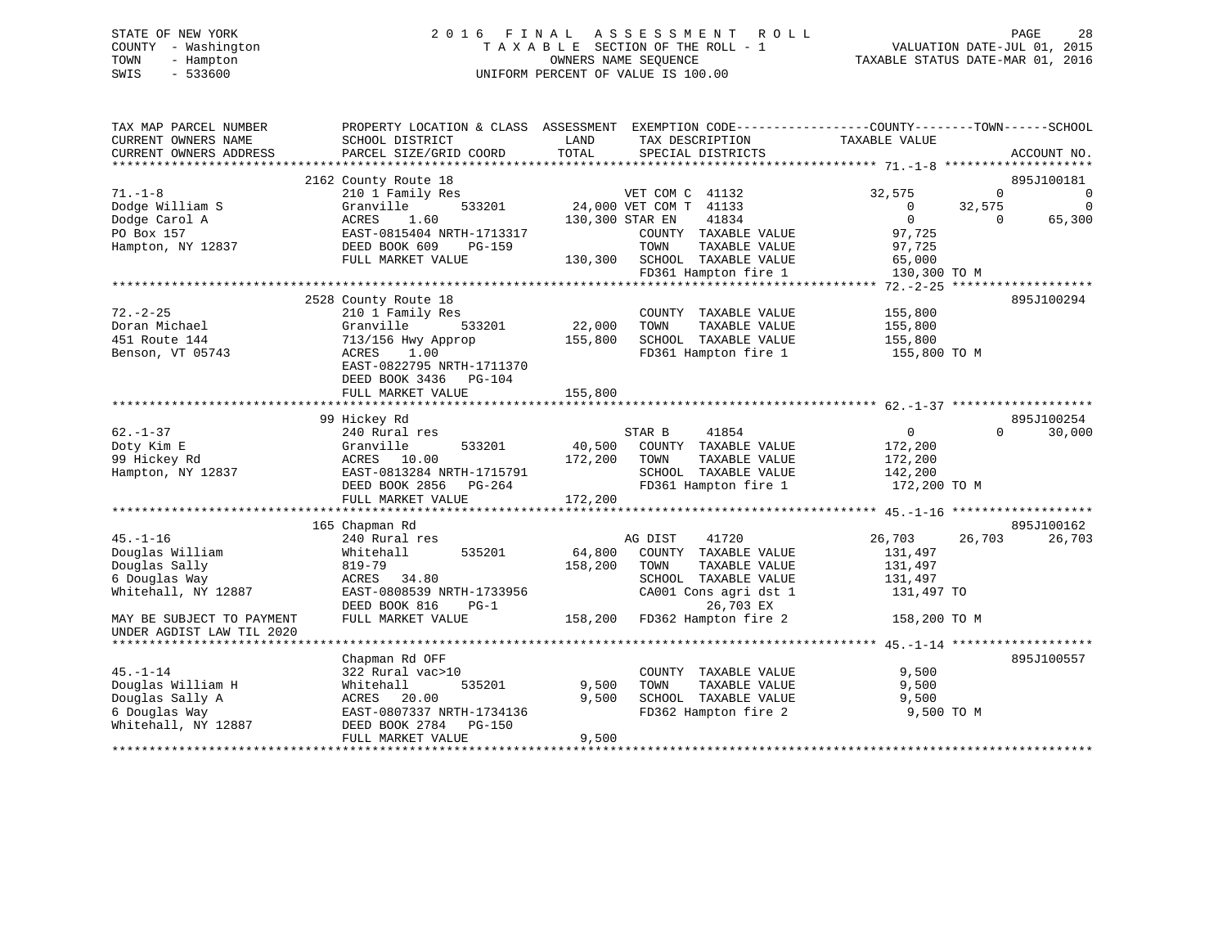# STATE OF NEW YORK 2 0 1 6 F I N A L A S S E S S M E N T R O L L PAGE 28 COUNTY - Washington T A X A B L E SECTION OF THE ROLL - 1 VALUATION DATE-JUL 01, 2015 TOWN - Hampton OWNERS NAME SEQUENCE TAXABLE STATUS DATE-MAR 01, 2016 SWIS - 533600 UNIFORM PERCENT OF VALUE IS 100.00

| TAX MAP PARCEL NUMBER<br>CURRENT OWNERS NAME | SCHOOL DISTRICT           | LAND<br>TAX DESCRIPTION          | PROPERTY LOCATION & CLASS ASSESSMENT EXEMPTION CODE---------------COUNTY-------TOWN------SCHOOL<br>TAXABLE VALUE |
|----------------------------------------------|---------------------------|----------------------------------|------------------------------------------------------------------------------------------------------------------|
| CURRENT OWNERS ADDRESS                       | PARCEL SIZE/GRID COORD    | TOTAL<br>SPECIAL DISTRICTS       | ACCOUNT NO.                                                                                                      |
|                                              |                           |                                  |                                                                                                                  |
|                                              | 2162 County Route 18      |                                  | 895J100181                                                                                                       |
| $71. - 1 - 8$                                | 210 1 Family Res          | VET COM C 41132                  | 32,575<br>$\Omega$<br>0                                                                                          |
| Dodge William S                              | 533201<br>Granville       | 24,000 VET COM T 41133           | 32,575<br>$\mathbf 0$<br>$\overline{0}$                                                                          |
| Dodge Carol A                                | ACRES<br>1.60             | 130,300 STAR EN<br>41834         | $\overline{0}$<br>65,300<br>$\Omega$                                                                             |
| PO Box 157                                   | EAST-0815404 NRTH-1713317 | COUNTY TAXABLE VALUE             | 97,725                                                                                                           |
| Hampton, NY 12837                            | DEED BOOK 609<br>PG-159   | TOWN<br>TAXABLE VALUE            | 97,725                                                                                                           |
|                                              | FULL MARKET VALUE         | 130,300 SCHOOL TAXABLE VALUE     | 65,000                                                                                                           |
|                                              |                           | FD361 Hampton fire 1             | 130,300 TO M                                                                                                     |
|                                              |                           |                                  |                                                                                                                  |
|                                              | 2528 County Route 18      |                                  | 895J100294                                                                                                       |
| $72. - 2 - 25$                               | 210 1 Family Res          | COUNTY TAXABLE VALUE             | 155,800                                                                                                          |
| Doran Michael                                | 533201<br>Granville       | 22,000<br>TAXABLE VALUE<br>TOWN  | 155,800                                                                                                          |
| 451 Route 144                                | 713/156 Hwy Approp        | 155,800<br>SCHOOL TAXABLE VALUE  | 155,800                                                                                                          |
|                                              |                           | FD361 Hampton fire 1             |                                                                                                                  |
| Benson, VT 05743                             | ACRES<br>1.00             |                                  | 155,800 TO M                                                                                                     |
|                                              | EAST-0822795 NRTH-1711370 |                                  |                                                                                                                  |
|                                              | DEED BOOK 3436 PG-104     |                                  |                                                                                                                  |
|                                              | FULL MARKET VALUE         | 155,800                          |                                                                                                                  |
|                                              |                           |                                  |                                                                                                                  |
|                                              | 99 Hickey Rd              |                                  | 895J100254                                                                                                       |
| $62. - 1 - 37$                               | 240 Rural res             | STAR B<br>41854                  | $\overline{0}$<br>$\Omega$<br>30,000                                                                             |
| Doty Kim E                                   | 533201<br>Granville       | 40,500<br>COUNTY TAXABLE VALUE   | 172,200                                                                                                          |
| 99 Hickey Rd                                 | ACRES 10.00               | 172,200<br>TOWN<br>TAXABLE VALUE | 172,200                                                                                                          |
| Hampton, NY 12837                            | EAST-0813284 NRTH-1715791 | SCHOOL TAXABLE VALUE             | 142,200                                                                                                          |
|                                              | DEED BOOK 2856 PG-264     | FD361 Hampton fire 1             | 172,200 TO M                                                                                                     |
|                                              | FULL MARKET VALUE         | 172,200                          |                                                                                                                  |
|                                              |                           |                                  |                                                                                                                  |
|                                              | 165 Chapman Rd            |                                  | 895J100162                                                                                                       |
| $45. - 1 - 16$                               | 240 Rural res             | AG DIST                          | 26,703<br>26,703<br>26,703                                                                                       |
|                                              |                           | 41720                            |                                                                                                                  |
| Douglas William                              | 535201<br>Whitehall       | 64,800<br>COUNTY TAXABLE VALUE   | 131,497                                                                                                          |
| Douglas Sally                                | 819-79                    | 158,200<br>TOWN<br>TAXABLE VALUE | 131,497                                                                                                          |
| 6 Douglas Way                                | ACRES 34.80               | SCHOOL TAXABLE VALUE             | 131,497                                                                                                          |
| Whitehall, NY 12887                          | EAST-0808539 NRTH-1733956 | CA001 Cons agri dst 1            | 131,497 TO                                                                                                       |
|                                              | DEED BOOK 816<br>$PG-1$   | 26,703 EX                        |                                                                                                                  |
| MAY BE SUBJECT TO PAYMENT                    | FULL MARKET VALUE         | 158,200 FD362 Hampton fire 2     | 158,200 TO M                                                                                                     |
| UNDER AGDIST LAW TIL 2020                    |                           |                                  |                                                                                                                  |
|                                              |                           |                                  |                                                                                                                  |
|                                              | Chapman Rd OFF            |                                  | 895J100557                                                                                                       |
| $45. - 1 - 14$                               | 322 Rural vac>10          | COUNTY TAXABLE VALUE             | 9,500                                                                                                            |
| Douglas William H                            | Whitehall<br>535201       | 9,500<br>TOWN<br>TAXABLE VALUE   | 9,500                                                                                                            |
| Douglas Sally A                              | ACRES<br>20.00            | 9,500<br>SCHOOL TAXABLE VALUE    | 9,500                                                                                                            |
|                                              |                           |                                  |                                                                                                                  |
| 6 Douglas Way                                | EAST-0807337 NRTH-1734136 | FD362 Hampton fire 2             | 9,500 TO M                                                                                                       |
| Whitehall, NY 12887                          | DEED BOOK 2784<br>PG-150  |                                  |                                                                                                                  |
|                                              | FULL MARKET VALUE         | 9,500                            |                                                                                                                  |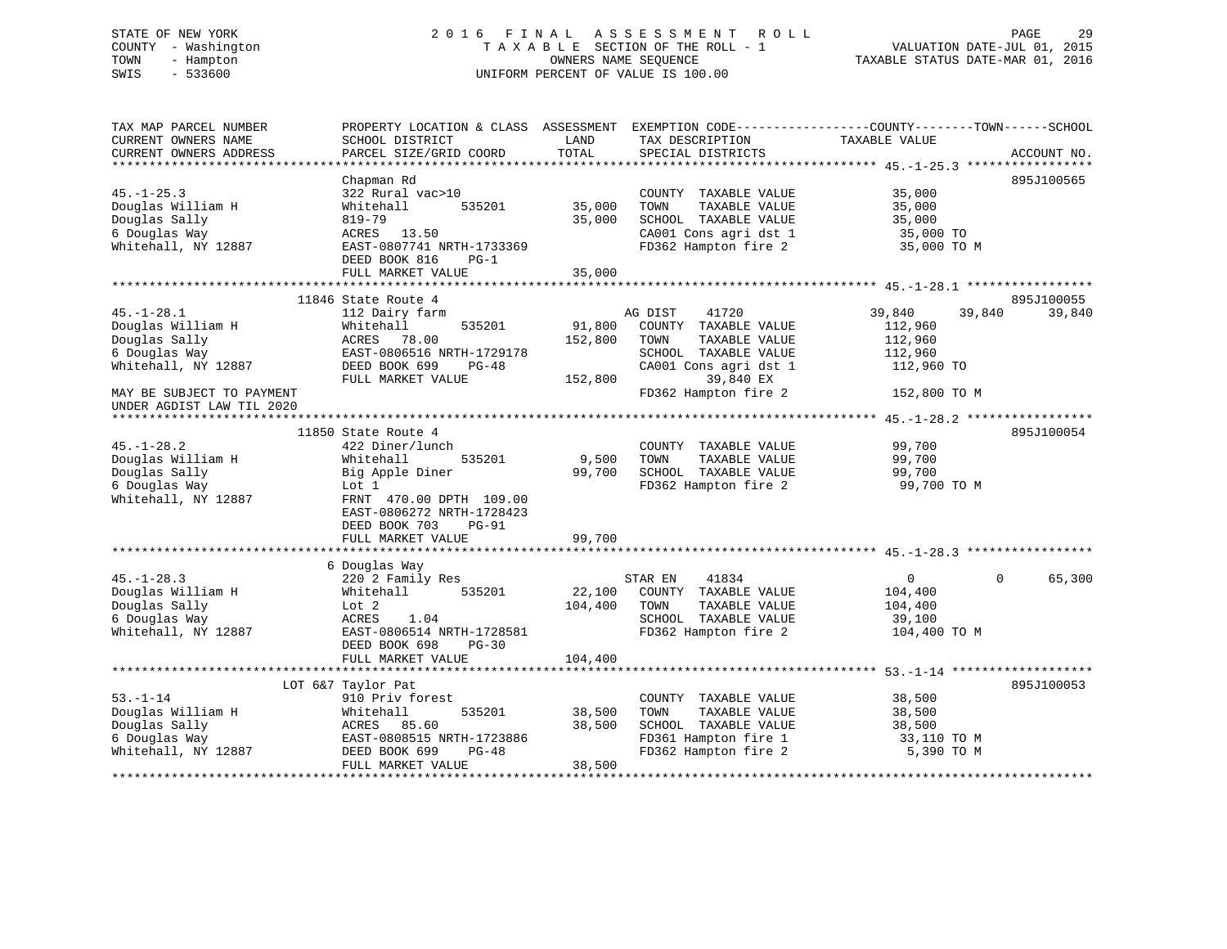#### STATE OF NEW YORK 2016 FINAL ASSESSMENT ROLL PAGE 29 COUNTY - Washington  $T A X A B L E$  SECTION OF THE ROLL - 1<br>TOWN - Hampton DATE-JUL 000NERS NAME SEQUENCE TOWN - Hampton OWNERS NAME SEQUENCE TAXABLE STATUS DATE-MAR 01, 2016 SWIS - 533600 UNIFORM PERCENT OF VALUE IS 100.00

| TAX MAP PARCEL NUMBER     | PROPERTY LOCATION & CLASS ASSESSMENT |         | EXEMPTION CODE-----------------COUNTY-------TOWN------SCHOOL |                  |                        |
|---------------------------|--------------------------------------|---------|--------------------------------------------------------------|------------------|------------------------|
| CURRENT OWNERS NAME       | SCHOOL DISTRICT                      | LAND    | TAX DESCRIPTION                                              | TAXABLE VALUE    |                        |
| CURRENT OWNERS ADDRESS    | PARCEL SIZE/GRID COORD               | TOTAL   | SPECIAL DISTRICTS                                            |                  | ACCOUNT NO.            |
| ***********************   |                                      |         |                                                              |                  |                        |
|                           | Chapman Rd                           |         |                                                              |                  | 895J100565             |
| $45. -1 - 25.3$           | 322 Rural vac>10                     |         | COUNTY TAXABLE VALUE                                         | 35,000           |                        |
| Douglas William H         | Whitehall<br>535201                  | 35,000  | TAXABLE VALUE<br>TOWN                                        | 35,000           |                        |
| Douglas Sally             | 819-79                               | 35,000  | SCHOOL TAXABLE VALUE                                         | 35,000           |                        |
| 6 Douglas Way             | ACRES 13.50                          |         | CA001 Cons agri dst 1                                        | 35,000 TO        |                        |
| Whitehall, NY 12887       | EAST-0807741 NRTH-1733369            |         | FD362 Hampton fire 2                                         | 35,000 TO M      |                        |
|                           | DEED BOOK 816<br>$PG-1$              |         |                                                              |                  |                        |
|                           | FULL MARKET VALUE                    | 35,000  |                                                              |                  |                        |
|                           |                                      |         |                                                              |                  |                        |
|                           | 11846 State Route 4                  |         |                                                              |                  | 895J100055             |
| $45. - 1 - 28.1$          | 112 Dairy farm                       |         | AG DIST<br>41720                                             | 39,840<br>39,840 | 39,840                 |
| Douglas William H         | 535201<br>Whitehall                  | 91,800  | COUNTY TAXABLE VALUE                                         | 112,960          |                        |
| Douglas Sally             | ACRES 78.00                          | 152,800 | TAXABLE VALUE<br>TOWN                                        | 112,960          |                        |
| 6 Douglas Way             | EAST-0806516 NRTH-1729178            |         | SCHOOL TAXABLE VALUE                                         | 112,960          |                        |
| Whitehall, NY 12887       | DEED BOOK 699<br>PG-48               |         | CA001 Cons agri dst 1                                        | 112,960 TO       |                        |
|                           | FULL MARKET VALUE                    | 152,800 | 39,840 EX                                                    |                  |                        |
| MAY BE SUBJECT TO PAYMENT |                                      |         | FD362 Hampton fire 2                                         | 152,800 TO M     |                        |
| UNDER AGDIST LAW TIL 2020 |                                      |         |                                                              |                  |                        |
|                           |                                      |         |                                                              |                  |                        |
|                           | 11850 State Route 4                  |         |                                                              |                  | 895J100054             |
| $45. - 1 - 28.2$          | 422 Diner/lunch                      |         | COUNTY TAXABLE VALUE                                         | 99,700           |                        |
| Douglas William H         | 535201<br>Whitehall                  | 9,500   | TAXABLE VALUE<br>TOWN                                        | 99,700           |                        |
| Douglas Sally             | Big Apple Diner                      | 99,700  | SCHOOL TAXABLE VALUE                                         | 99,700           |                        |
| 6 Douglas Way             | Lot 1                                |         | FD362 Hampton fire 2                                         | 99,700 TO M      |                        |
| Whitehall, NY 12887       | FRNT 470.00 DPTH 109.00              |         |                                                              |                  |                        |
|                           | EAST-0806272 NRTH-1728423            |         |                                                              |                  |                        |
|                           | DEED BOOK 703<br><b>PG-91</b>        |         |                                                              |                  |                        |
|                           | FULL MARKET VALUE                    | 99,700  |                                                              |                  |                        |
|                           |                                      |         |                                                              |                  |                        |
|                           | 6 Douglas Way                        |         |                                                              |                  |                        |
| $45. - 1 - 28.3$          | 220 2 Family Res                     |         | 41834<br>STAR EN                                             | $\overline{0}$   | $\mathbf{0}$<br>65,300 |
| Douglas William H         | 535201<br>Whitehall                  | 22,100  | COUNTY TAXABLE VALUE                                         | 104,400          |                        |
| Douglas Sally             | Lot 2                                | 104,400 | TAXABLE VALUE<br>TOWN                                        | 104,400          |                        |
| 6 Douglas Way             | ACRES<br>1.04                        |         | SCHOOL TAXABLE VALUE                                         | 39,100           |                        |
| Whitehall, NY 12887       | EAST-0806514 NRTH-1728581            |         | FD362 Hampton fire 2                                         | 104,400 TO M     |                        |
|                           | DEED BOOK 698<br>$PG-30$             |         |                                                              |                  |                        |
|                           | FULL MARKET VALUE                    | 104,400 |                                                              |                  |                        |
|                           |                                      |         |                                                              |                  |                        |
|                           | LOT 6&7 Taylor Pat                   |         |                                                              |                  | 895J100053             |
| $53. - 1 - 14$            | 910 Priv forest                      |         | COUNTY TAXABLE VALUE                                         | 38,500           |                        |
| Douglas William H         | Whitehall<br>535201                  | 38,500  | TAXABLE VALUE<br>TOWN                                        | 38,500           |                        |
| Douglas Sally             | ACRES<br>85.60                       | 38,500  | SCHOOL TAXABLE VALUE                                         | 38,500           |                        |
| 6 Douglas Way             | EAST-0808515 NRTH-1723886            |         | FD361 Hampton fire 1                                         | 33,110 TO M      |                        |
| Whitehall, NY 12887       | DEED BOOK 699<br>$PG-48$             |         | FD362 Hampton fire 2                                         | 5,390 TO M       |                        |
|                           | FULL MARKET VALUE                    | 38,500  |                                                              |                  |                        |
|                           |                                      |         |                                                              |                  |                        |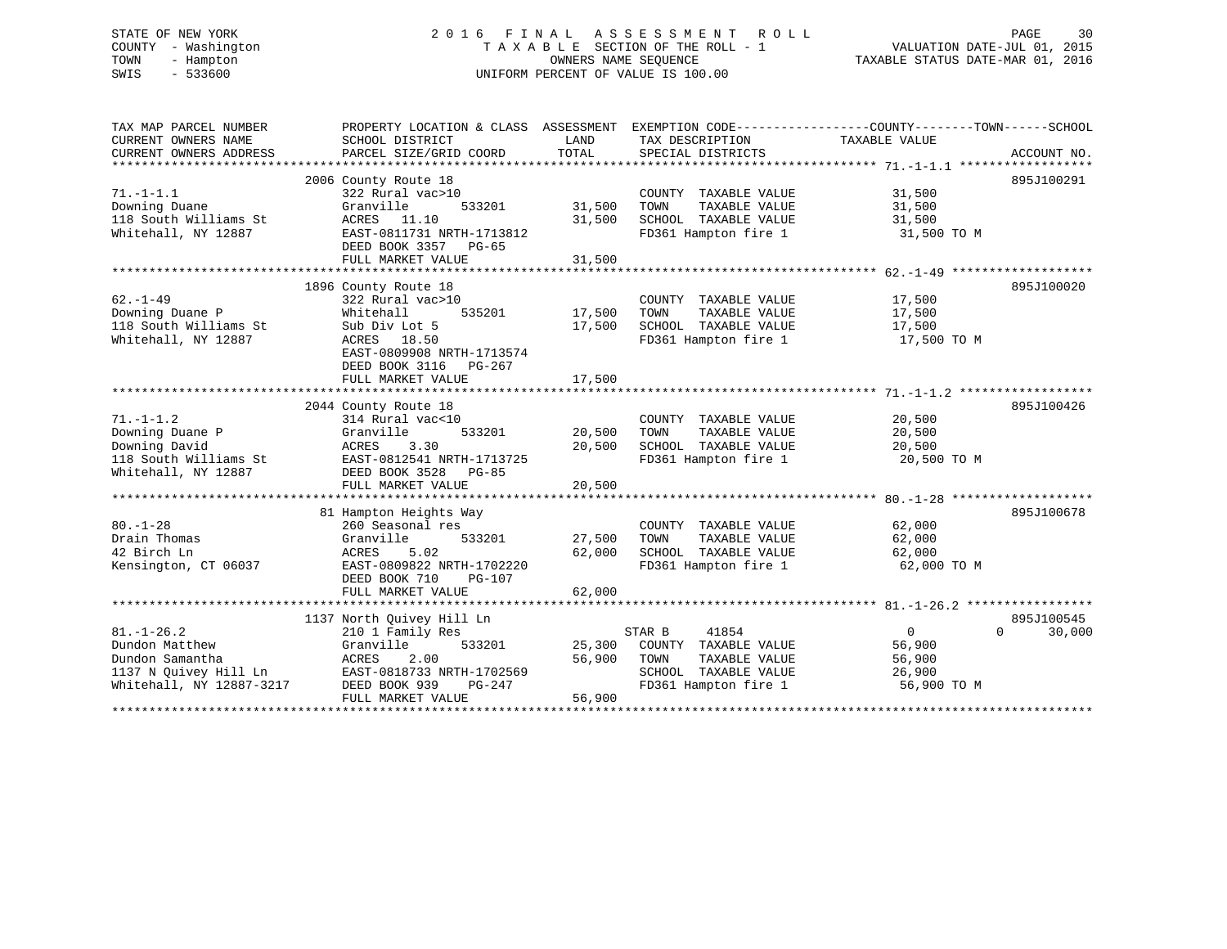# STATE OF NEW YORK 2 0 1 6 F I N A L A S S E S S M E N T R O L L PAGE 30 COUNTY - Washington T A X A B L E SECTION OF THE ROLL - 1 VALUATION DATE-JUL 01, 2015 TOWN - Hampton OWNERS NAME SEQUENCE TAXABLE STATUS DATE-MAR 01, 2016 SWIS - 533600 UNIFORM PERCENT OF VALUE IS 100.00

| TAX MAP PARCEL NUMBER<br>CURRENT OWNERS NAME<br>CURRENT OWNERS ADDRESS                                     | PROPERTY LOCATION & CLASS ASSESSMENT<br>SCHOOL DISTRICT<br>PARCEL SIZE/GRID COORD                                                                                             | LAND<br>TOTAL              | EXEMPTION CODE-----------------COUNTY-------TOWN------SCHOOL<br>TAX DESCRIPTION<br>SPECIAL DISTRICTS             | TAXABLE VALUE                                              | ACCOUNT NO.          |
|------------------------------------------------------------------------------------------------------------|-------------------------------------------------------------------------------------------------------------------------------------------------------------------------------|----------------------------|------------------------------------------------------------------------------------------------------------------|------------------------------------------------------------|----------------------|
| $71. - 1 - 1.1$<br>Downing Duane<br>118 South Williams St<br>Whitehall, NY 12887                           | 2006 County Route 18<br>322 Rural vac>10<br>533201<br>Granville<br>ACRES 11.10<br>EAST-0811731 NRTH-1713812<br>DEED BOOK 3357<br>$PG-65$<br>FULL MARKET VALUE                 | 31,500<br>31,500<br>31,500 | COUNTY TAXABLE VALUE<br>TOWN<br>TAXABLE VALUE<br>SCHOOL TAXABLE VALUE<br>FD361 Hampton fire 1                    | 31,500<br>31,500<br>31,500<br>31,500 TO M                  | 895J100291           |
| $62 - 1 - 49$<br>Downing Duane P<br>118 South Williams St<br>Whitehall, NY 12887                           | 1896 County Route 18<br>322 Rural vac>10<br>535201<br>Whitehall<br>Sub Div Lot 5<br>ACRES 18.50<br>EAST-0809908 NRTH-1713574<br>DEED BOOK 3116<br>PG-267<br>FULL MARKET VALUE | 17,500<br>17,500<br>17,500 | COUNTY TAXABLE VALUE<br>TOWN<br>TAXABLE VALUE<br>SCHOOL TAXABLE VALUE<br>FD361 Hampton fire 1                    | 17,500<br>17,500<br>17,500<br>17,500 TO M                  | 895J100020           |
| $71. - 1 - 1.2$<br>Downing Duane P<br>Downing David<br>118 South Williams St<br>Whitehall, NY 12887        | 2044 County Route 18<br>314 Rural vac<10<br>Granville<br>533201<br>3.30<br>ACRES<br>EAST-0812541 NRTH-1713725<br>DEED BOOK 3528<br>PG-85<br>FULL MARKET VALUE                 | 20,500<br>20,500<br>20,500 | COUNTY TAXABLE VALUE<br>TOWN<br>TAXABLE VALUE<br>SCHOOL TAXABLE VALUE<br>FD361 Hampton fire 1                    | 20,500<br>20,500<br>20,500<br>20,500 TO M                  | 895J100426           |
| $80. - 1 - 28$<br>Drain Thomas<br>42 Birch Ln<br>Kensington, CT 06037                                      | 81 Hampton Heights Way<br>260 Seasonal res<br>Granville<br>533201<br>5.02<br>ACRES<br>EAST-0809822 NRTH-1702220<br>DEED BOOK 710<br>PG-107<br>FULL MARKET VALUE               | 27,500<br>62,000<br>62,000 | COUNTY TAXABLE VALUE<br>TOWN<br>TAXABLE VALUE<br>SCHOOL TAXABLE VALUE<br>FD361 Hampton fire 1                    | 62,000<br>62,000<br>62,000<br>62,000 TO M                  | 895J100678           |
| $81. - 1 - 26.2$<br>Dundon Matthew<br>Dundon Samantha<br>1137 N Quivey Hill Ln<br>Whitehall, NY 12887-3217 | 1137 North Ouivey Hill Ln<br>210 1 Family Res<br>Granville<br>533201<br>ACRES<br>2.00<br>EAST-0818733 NRTH-1702569<br>DEED BOOK 939<br>PG-247<br>FULL MARKET VALUE            | 25,300<br>56,900<br>56,900 | STAR B<br>41854<br>COUNTY TAXABLE VALUE<br>TOWN<br>TAXABLE VALUE<br>SCHOOL TAXABLE VALUE<br>FD361 Hampton fire 1 | 0<br>$\Omega$<br>56,900<br>56,900<br>26,900<br>56,900 TO M | 895J100545<br>30,000 |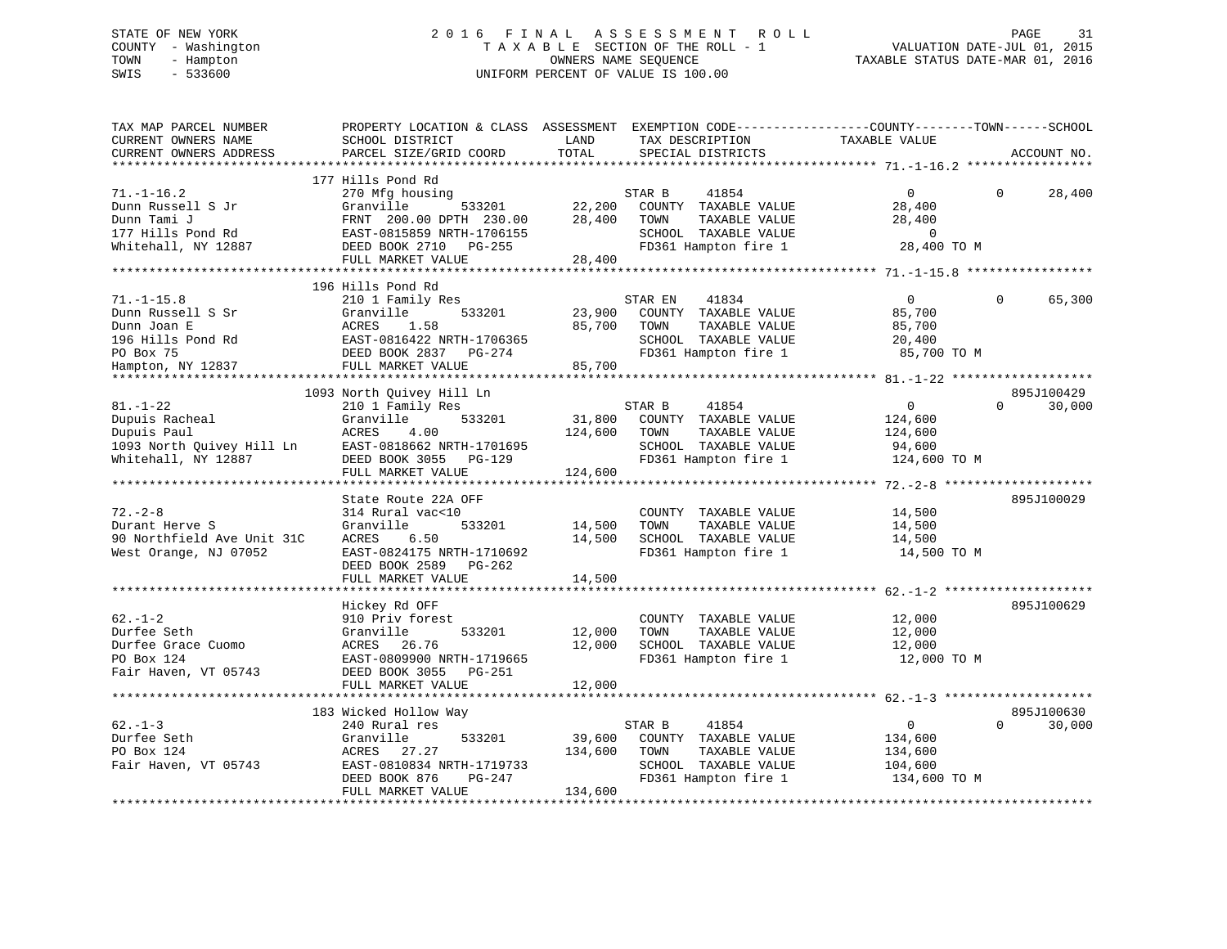# STATE OF NEW YORK 2 0 1 6 F I N A L A S S E S S M E N T R O L L PAGE 31 COUNTY - Washington T A X A B L E SECTION OF THE ROLL - 1 VALUATION DATE-JUL 01, 2015 TOWN - Hampton OWNERS NAME SEQUENCE TAXABLE STATUS DATE-MAR 01, 2016 SWIS - 533600 UNIFORM PERCENT OF VALUE IS 100.00

| PARCEL SIZE/GRID COORD<br>TOTAL<br>CURRENT OWNERS ADDRESS<br>SPECIAL DISTRICTS<br>ACCOUNT NO.<br>*****************************<br>*********************<br>177 Hills Pond Rd<br>$71. - 1 - 16.2$<br>270 Mfg housing<br>STAR B<br>41854<br>$\overline{0}$<br>$\Omega$<br>28,400<br>533201<br>22,200<br>Dunn Russell S Jr<br>Granville<br>COUNTY TAXABLE VALUE<br>28,400<br>Dunn Tami J<br>FRNT 200.00 DPTH 230.00<br>28,400<br>TOWN<br>TAXABLE VALUE<br>28,400<br>177 Hills Pond Rd<br>EAST-0815859 NRTH-1706155<br>SCHOOL TAXABLE VALUE<br>$\overline{0}$<br>Whitehall, NY 12887<br>FD361 Hampton fire 1<br>28,400 TO M<br>DEED BOOK 2710 PG-255<br>28,400<br>FULL MARKET VALUE<br>196 Hills Pond Rd<br>$71. - 1 - 15.8$<br>210 1 Family Res<br>STAR EN<br>41834<br>$\overline{0}$<br>$\Omega$<br>65,300<br>Granville<br>533201<br>23,900<br>COUNTY TAXABLE VALUE<br>85,700<br>Dunn Russell S Sr<br>Dunn Joan E<br>ACRES<br>1.58<br>85,700<br>TOWN<br>TAXABLE VALUE<br>85,700<br>196 Hills Pond Rd<br>EAST-0816422 NRTH-1706365<br>SCHOOL TAXABLE VALUE<br>20,400<br>PO Box 75<br>DEED BOOK 2837 PG-274<br>FD361 Hampton fire 1<br>85,700 TO M<br>Hampton, NY 12837<br>FULL MARKET VALUE<br>85,700<br>1093 North Quivey Hill Ln<br>895J100429<br>$81. - 1 - 22$<br>210 1 Family Res<br>STAR B<br>41854<br>$\overline{0}$<br>$\Omega$<br>30,000<br>Dupuis Racheal<br>Granville<br>533201<br>31,800<br>COUNTY TAXABLE VALUE<br>124,600<br>Dupuis Paul<br>ACRES<br>4.00<br>124,600<br>TOWN<br>TAXABLE VALUE<br>124,600<br>Dupuis Paul<br>1093 North Quivey Hill Ln EAST-0818662 NRTH-1701695<br>Whitehall, NY 12887 DEED BOOK 3055 PG-129<br>SCHOOL TAXABLE VALUE<br>94,600<br>FD361 Hampton fire 1<br>124,600 TO M<br>124,600<br>FULL MARKET VALUE<br>State Route 22A OFF<br>895J100029<br>$72. - 2 - 8$<br>314 Rural vac<10<br>COUNTY TAXABLE VALUE<br>14,500<br>533201<br>Durant Herve S<br>Granville<br>14,500<br>TOWN<br>TAXABLE VALUE<br>14,500<br>SCHOOL TAXABLE VALUE<br>90 Northfield Ave Unit 31C<br>ACRES<br>6.50<br>14,500<br>14,500<br>EAST-0824175 NRTH-1710692<br>FD361 Hampton fire 1<br>West Orange, NJ 07052<br>14,500 TO M<br>DEED BOOK 2589 PG-262<br>14,500<br>FULL MARKET VALUE<br>895J100629<br>Hickey Rd OFF<br>$62 - 1 - 2$<br>COUNTY TAXABLE VALUE<br>12,000<br>910 Priv forest<br>Durfee Seth<br>Granville<br>533201<br>12,000<br>TOWN<br>TAXABLE VALUE<br>12,000<br>Durfee Grace Cuomo<br>26.76<br>12,000<br>SCHOOL TAXABLE VALUE<br>12,000<br>ACRES<br>PO Box 124<br>EAST-0809900 NRTH-1719665<br>12,000 TO M<br>FD361 Hampton fire 1<br>Fair Haven, VT 05743<br>DEED BOOK 3055 PG-251<br>FULL MARKET VALUE<br>12,000<br>895J100630<br>183 Wicked Hollow Way<br>$62 - 1 - 3$<br>41854<br>$\overline{0}$<br>$\Omega$<br>30,000<br>240 Rural res<br>STAR B<br>39,600<br>Durfee Seth<br>Granville<br>533201<br>COUNTY TAXABLE VALUE<br>134,600<br>PO Box 124<br>TAXABLE VALUE<br>ACRES<br>27.27<br>134,600<br>TOWN<br>134,600<br>Fair Haven, VT 05743<br>EAST-0810834 NRTH-1719733<br>SCHOOL TAXABLE VALUE<br>104,600<br>FD361 Hampton fire 1<br>134,600 TO M<br>DEED BOOK 876<br>PG-247<br>FULL MARKET VALUE<br>134,600 | TAX MAP PARCEL NUMBER<br>CURRENT OWNERS NAME | PROPERTY LOCATION & CLASS ASSESSMENT EXEMPTION CODE---------------COUNTY-------TOWN-----SCHOOL<br>SCHOOL DISTRICT | LAND | TAX DESCRIPTION | TAXABLE VALUE |  |
|-------------------------------------------------------------------------------------------------------------------------------------------------------------------------------------------------------------------------------------------------------------------------------------------------------------------------------------------------------------------------------------------------------------------------------------------------------------------------------------------------------------------------------------------------------------------------------------------------------------------------------------------------------------------------------------------------------------------------------------------------------------------------------------------------------------------------------------------------------------------------------------------------------------------------------------------------------------------------------------------------------------------------------------------------------------------------------------------------------------------------------------------------------------------------------------------------------------------------------------------------------------------------------------------------------------------------------------------------------------------------------------------------------------------------------------------------------------------------------------------------------------------------------------------------------------------------------------------------------------------------------------------------------------------------------------------------------------------------------------------------------------------------------------------------------------------------------------------------------------------------------------------------------------------------------------------------------------------------------------------------------------------------------------------------------------------------------------------------------------------------------------------------------------------------------------------------------------------------------------------------------------------------------------------------------------------------------------------------------------------------------------------------------------------------------------------------------------------------------------------------------------------------------------------------------------------------------------------------------------------------------------------------------------------------------------------------------------------------------------------------------------------------------------------------------------------------------------------------------------------------------------------------------------------------------------------------------------------------------------------------------------------------------------------------------------------------------------------------------------------------------------------------|----------------------------------------------|-------------------------------------------------------------------------------------------------------------------|------|-----------------|---------------|--|
|                                                                                                                                                                                                                                                                                                                                                                                                                                                                                                                                                                                                                                                                                                                                                                                                                                                                                                                                                                                                                                                                                                                                                                                                                                                                                                                                                                                                                                                                                                                                                                                                                                                                                                                                                                                                                                                                                                                                                                                                                                                                                                                                                                                                                                                                                                                                                                                                                                                                                                                                                                                                                                                                                                                                                                                                                                                                                                                                                                                                                                                                                                                                                 |                                              |                                                                                                                   |      |                 |               |  |
|                                                                                                                                                                                                                                                                                                                                                                                                                                                                                                                                                                                                                                                                                                                                                                                                                                                                                                                                                                                                                                                                                                                                                                                                                                                                                                                                                                                                                                                                                                                                                                                                                                                                                                                                                                                                                                                                                                                                                                                                                                                                                                                                                                                                                                                                                                                                                                                                                                                                                                                                                                                                                                                                                                                                                                                                                                                                                                                                                                                                                                                                                                                                                 |                                              |                                                                                                                   |      |                 |               |  |
|                                                                                                                                                                                                                                                                                                                                                                                                                                                                                                                                                                                                                                                                                                                                                                                                                                                                                                                                                                                                                                                                                                                                                                                                                                                                                                                                                                                                                                                                                                                                                                                                                                                                                                                                                                                                                                                                                                                                                                                                                                                                                                                                                                                                                                                                                                                                                                                                                                                                                                                                                                                                                                                                                                                                                                                                                                                                                                                                                                                                                                                                                                                                                 |                                              |                                                                                                                   |      |                 |               |  |
|                                                                                                                                                                                                                                                                                                                                                                                                                                                                                                                                                                                                                                                                                                                                                                                                                                                                                                                                                                                                                                                                                                                                                                                                                                                                                                                                                                                                                                                                                                                                                                                                                                                                                                                                                                                                                                                                                                                                                                                                                                                                                                                                                                                                                                                                                                                                                                                                                                                                                                                                                                                                                                                                                                                                                                                                                                                                                                                                                                                                                                                                                                                                                 |                                              |                                                                                                                   |      |                 |               |  |
|                                                                                                                                                                                                                                                                                                                                                                                                                                                                                                                                                                                                                                                                                                                                                                                                                                                                                                                                                                                                                                                                                                                                                                                                                                                                                                                                                                                                                                                                                                                                                                                                                                                                                                                                                                                                                                                                                                                                                                                                                                                                                                                                                                                                                                                                                                                                                                                                                                                                                                                                                                                                                                                                                                                                                                                                                                                                                                                                                                                                                                                                                                                                                 |                                              |                                                                                                                   |      |                 |               |  |
|                                                                                                                                                                                                                                                                                                                                                                                                                                                                                                                                                                                                                                                                                                                                                                                                                                                                                                                                                                                                                                                                                                                                                                                                                                                                                                                                                                                                                                                                                                                                                                                                                                                                                                                                                                                                                                                                                                                                                                                                                                                                                                                                                                                                                                                                                                                                                                                                                                                                                                                                                                                                                                                                                                                                                                                                                                                                                                                                                                                                                                                                                                                                                 |                                              |                                                                                                                   |      |                 |               |  |
|                                                                                                                                                                                                                                                                                                                                                                                                                                                                                                                                                                                                                                                                                                                                                                                                                                                                                                                                                                                                                                                                                                                                                                                                                                                                                                                                                                                                                                                                                                                                                                                                                                                                                                                                                                                                                                                                                                                                                                                                                                                                                                                                                                                                                                                                                                                                                                                                                                                                                                                                                                                                                                                                                                                                                                                                                                                                                                                                                                                                                                                                                                                                                 |                                              |                                                                                                                   |      |                 |               |  |
|                                                                                                                                                                                                                                                                                                                                                                                                                                                                                                                                                                                                                                                                                                                                                                                                                                                                                                                                                                                                                                                                                                                                                                                                                                                                                                                                                                                                                                                                                                                                                                                                                                                                                                                                                                                                                                                                                                                                                                                                                                                                                                                                                                                                                                                                                                                                                                                                                                                                                                                                                                                                                                                                                                                                                                                                                                                                                                                                                                                                                                                                                                                                                 |                                              |                                                                                                                   |      |                 |               |  |
|                                                                                                                                                                                                                                                                                                                                                                                                                                                                                                                                                                                                                                                                                                                                                                                                                                                                                                                                                                                                                                                                                                                                                                                                                                                                                                                                                                                                                                                                                                                                                                                                                                                                                                                                                                                                                                                                                                                                                                                                                                                                                                                                                                                                                                                                                                                                                                                                                                                                                                                                                                                                                                                                                                                                                                                                                                                                                                                                                                                                                                                                                                                                                 |                                              |                                                                                                                   |      |                 |               |  |
|                                                                                                                                                                                                                                                                                                                                                                                                                                                                                                                                                                                                                                                                                                                                                                                                                                                                                                                                                                                                                                                                                                                                                                                                                                                                                                                                                                                                                                                                                                                                                                                                                                                                                                                                                                                                                                                                                                                                                                                                                                                                                                                                                                                                                                                                                                                                                                                                                                                                                                                                                                                                                                                                                                                                                                                                                                                                                                                                                                                                                                                                                                                                                 |                                              |                                                                                                                   |      |                 |               |  |
|                                                                                                                                                                                                                                                                                                                                                                                                                                                                                                                                                                                                                                                                                                                                                                                                                                                                                                                                                                                                                                                                                                                                                                                                                                                                                                                                                                                                                                                                                                                                                                                                                                                                                                                                                                                                                                                                                                                                                                                                                                                                                                                                                                                                                                                                                                                                                                                                                                                                                                                                                                                                                                                                                                                                                                                                                                                                                                                                                                                                                                                                                                                                                 |                                              |                                                                                                                   |      |                 |               |  |
|                                                                                                                                                                                                                                                                                                                                                                                                                                                                                                                                                                                                                                                                                                                                                                                                                                                                                                                                                                                                                                                                                                                                                                                                                                                                                                                                                                                                                                                                                                                                                                                                                                                                                                                                                                                                                                                                                                                                                                                                                                                                                                                                                                                                                                                                                                                                                                                                                                                                                                                                                                                                                                                                                                                                                                                                                                                                                                                                                                                                                                                                                                                                                 |                                              |                                                                                                                   |      |                 |               |  |
|                                                                                                                                                                                                                                                                                                                                                                                                                                                                                                                                                                                                                                                                                                                                                                                                                                                                                                                                                                                                                                                                                                                                                                                                                                                                                                                                                                                                                                                                                                                                                                                                                                                                                                                                                                                                                                                                                                                                                                                                                                                                                                                                                                                                                                                                                                                                                                                                                                                                                                                                                                                                                                                                                                                                                                                                                                                                                                                                                                                                                                                                                                                                                 |                                              |                                                                                                                   |      |                 |               |  |
|                                                                                                                                                                                                                                                                                                                                                                                                                                                                                                                                                                                                                                                                                                                                                                                                                                                                                                                                                                                                                                                                                                                                                                                                                                                                                                                                                                                                                                                                                                                                                                                                                                                                                                                                                                                                                                                                                                                                                                                                                                                                                                                                                                                                                                                                                                                                                                                                                                                                                                                                                                                                                                                                                                                                                                                                                                                                                                                                                                                                                                                                                                                                                 |                                              |                                                                                                                   |      |                 |               |  |
|                                                                                                                                                                                                                                                                                                                                                                                                                                                                                                                                                                                                                                                                                                                                                                                                                                                                                                                                                                                                                                                                                                                                                                                                                                                                                                                                                                                                                                                                                                                                                                                                                                                                                                                                                                                                                                                                                                                                                                                                                                                                                                                                                                                                                                                                                                                                                                                                                                                                                                                                                                                                                                                                                                                                                                                                                                                                                                                                                                                                                                                                                                                                                 |                                              |                                                                                                                   |      |                 |               |  |
|                                                                                                                                                                                                                                                                                                                                                                                                                                                                                                                                                                                                                                                                                                                                                                                                                                                                                                                                                                                                                                                                                                                                                                                                                                                                                                                                                                                                                                                                                                                                                                                                                                                                                                                                                                                                                                                                                                                                                                                                                                                                                                                                                                                                                                                                                                                                                                                                                                                                                                                                                                                                                                                                                                                                                                                                                                                                                                                                                                                                                                                                                                                                                 |                                              |                                                                                                                   |      |                 |               |  |
|                                                                                                                                                                                                                                                                                                                                                                                                                                                                                                                                                                                                                                                                                                                                                                                                                                                                                                                                                                                                                                                                                                                                                                                                                                                                                                                                                                                                                                                                                                                                                                                                                                                                                                                                                                                                                                                                                                                                                                                                                                                                                                                                                                                                                                                                                                                                                                                                                                                                                                                                                                                                                                                                                                                                                                                                                                                                                                                                                                                                                                                                                                                                                 |                                              |                                                                                                                   |      |                 |               |  |
|                                                                                                                                                                                                                                                                                                                                                                                                                                                                                                                                                                                                                                                                                                                                                                                                                                                                                                                                                                                                                                                                                                                                                                                                                                                                                                                                                                                                                                                                                                                                                                                                                                                                                                                                                                                                                                                                                                                                                                                                                                                                                                                                                                                                                                                                                                                                                                                                                                                                                                                                                                                                                                                                                                                                                                                                                                                                                                                                                                                                                                                                                                                                                 |                                              |                                                                                                                   |      |                 |               |  |
|                                                                                                                                                                                                                                                                                                                                                                                                                                                                                                                                                                                                                                                                                                                                                                                                                                                                                                                                                                                                                                                                                                                                                                                                                                                                                                                                                                                                                                                                                                                                                                                                                                                                                                                                                                                                                                                                                                                                                                                                                                                                                                                                                                                                                                                                                                                                                                                                                                                                                                                                                                                                                                                                                                                                                                                                                                                                                                                                                                                                                                                                                                                                                 |                                              |                                                                                                                   |      |                 |               |  |
|                                                                                                                                                                                                                                                                                                                                                                                                                                                                                                                                                                                                                                                                                                                                                                                                                                                                                                                                                                                                                                                                                                                                                                                                                                                                                                                                                                                                                                                                                                                                                                                                                                                                                                                                                                                                                                                                                                                                                                                                                                                                                                                                                                                                                                                                                                                                                                                                                                                                                                                                                                                                                                                                                                                                                                                                                                                                                                                                                                                                                                                                                                                                                 |                                              |                                                                                                                   |      |                 |               |  |
|                                                                                                                                                                                                                                                                                                                                                                                                                                                                                                                                                                                                                                                                                                                                                                                                                                                                                                                                                                                                                                                                                                                                                                                                                                                                                                                                                                                                                                                                                                                                                                                                                                                                                                                                                                                                                                                                                                                                                                                                                                                                                                                                                                                                                                                                                                                                                                                                                                                                                                                                                                                                                                                                                                                                                                                                                                                                                                                                                                                                                                                                                                                                                 |                                              |                                                                                                                   |      |                 |               |  |
|                                                                                                                                                                                                                                                                                                                                                                                                                                                                                                                                                                                                                                                                                                                                                                                                                                                                                                                                                                                                                                                                                                                                                                                                                                                                                                                                                                                                                                                                                                                                                                                                                                                                                                                                                                                                                                                                                                                                                                                                                                                                                                                                                                                                                                                                                                                                                                                                                                                                                                                                                                                                                                                                                                                                                                                                                                                                                                                                                                                                                                                                                                                                                 |                                              |                                                                                                                   |      |                 |               |  |
|                                                                                                                                                                                                                                                                                                                                                                                                                                                                                                                                                                                                                                                                                                                                                                                                                                                                                                                                                                                                                                                                                                                                                                                                                                                                                                                                                                                                                                                                                                                                                                                                                                                                                                                                                                                                                                                                                                                                                                                                                                                                                                                                                                                                                                                                                                                                                                                                                                                                                                                                                                                                                                                                                                                                                                                                                                                                                                                                                                                                                                                                                                                                                 |                                              |                                                                                                                   |      |                 |               |  |
|                                                                                                                                                                                                                                                                                                                                                                                                                                                                                                                                                                                                                                                                                                                                                                                                                                                                                                                                                                                                                                                                                                                                                                                                                                                                                                                                                                                                                                                                                                                                                                                                                                                                                                                                                                                                                                                                                                                                                                                                                                                                                                                                                                                                                                                                                                                                                                                                                                                                                                                                                                                                                                                                                                                                                                                                                                                                                                                                                                                                                                                                                                                                                 |                                              |                                                                                                                   |      |                 |               |  |
|                                                                                                                                                                                                                                                                                                                                                                                                                                                                                                                                                                                                                                                                                                                                                                                                                                                                                                                                                                                                                                                                                                                                                                                                                                                                                                                                                                                                                                                                                                                                                                                                                                                                                                                                                                                                                                                                                                                                                                                                                                                                                                                                                                                                                                                                                                                                                                                                                                                                                                                                                                                                                                                                                                                                                                                                                                                                                                                                                                                                                                                                                                                                                 |                                              |                                                                                                                   |      |                 |               |  |
|                                                                                                                                                                                                                                                                                                                                                                                                                                                                                                                                                                                                                                                                                                                                                                                                                                                                                                                                                                                                                                                                                                                                                                                                                                                                                                                                                                                                                                                                                                                                                                                                                                                                                                                                                                                                                                                                                                                                                                                                                                                                                                                                                                                                                                                                                                                                                                                                                                                                                                                                                                                                                                                                                                                                                                                                                                                                                                                                                                                                                                                                                                                                                 |                                              |                                                                                                                   |      |                 |               |  |
|                                                                                                                                                                                                                                                                                                                                                                                                                                                                                                                                                                                                                                                                                                                                                                                                                                                                                                                                                                                                                                                                                                                                                                                                                                                                                                                                                                                                                                                                                                                                                                                                                                                                                                                                                                                                                                                                                                                                                                                                                                                                                                                                                                                                                                                                                                                                                                                                                                                                                                                                                                                                                                                                                                                                                                                                                                                                                                                                                                                                                                                                                                                                                 |                                              |                                                                                                                   |      |                 |               |  |
|                                                                                                                                                                                                                                                                                                                                                                                                                                                                                                                                                                                                                                                                                                                                                                                                                                                                                                                                                                                                                                                                                                                                                                                                                                                                                                                                                                                                                                                                                                                                                                                                                                                                                                                                                                                                                                                                                                                                                                                                                                                                                                                                                                                                                                                                                                                                                                                                                                                                                                                                                                                                                                                                                                                                                                                                                                                                                                                                                                                                                                                                                                                                                 |                                              |                                                                                                                   |      |                 |               |  |
|                                                                                                                                                                                                                                                                                                                                                                                                                                                                                                                                                                                                                                                                                                                                                                                                                                                                                                                                                                                                                                                                                                                                                                                                                                                                                                                                                                                                                                                                                                                                                                                                                                                                                                                                                                                                                                                                                                                                                                                                                                                                                                                                                                                                                                                                                                                                                                                                                                                                                                                                                                                                                                                                                                                                                                                                                                                                                                                                                                                                                                                                                                                                                 |                                              |                                                                                                                   |      |                 |               |  |
|                                                                                                                                                                                                                                                                                                                                                                                                                                                                                                                                                                                                                                                                                                                                                                                                                                                                                                                                                                                                                                                                                                                                                                                                                                                                                                                                                                                                                                                                                                                                                                                                                                                                                                                                                                                                                                                                                                                                                                                                                                                                                                                                                                                                                                                                                                                                                                                                                                                                                                                                                                                                                                                                                                                                                                                                                                                                                                                                                                                                                                                                                                                                                 |                                              |                                                                                                                   |      |                 |               |  |
|                                                                                                                                                                                                                                                                                                                                                                                                                                                                                                                                                                                                                                                                                                                                                                                                                                                                                                                                                                                                                                                                                                                                                                                                                                                                                                                                                                                                                                                                                                                                                                                                                                                                                                                                                                                                                                                                                                                                                                                                                                                                                                                                                                                                                                                                                                                                                                                                                                                                                                                                                                                                                                                                                                                                                                                                                                                                                                                                                                                                                                                                                                                                                 |                                              |                                                                                                                   |      |                 |               |  |
|                                                                                                                                                                                                                                                                                                                                                                                                                                                                                                                                                                                                                                                                                                                                                                                                                                                                                                                                                                                                                                                                                                                                                                                                                                                                                                                                                                                                                                                                                                                                                                                                                                                                                                                                                                                                                                                                                                                                                                                                                                                                                                                                                                                                                                                                                                                                                                                                                                                                                                                                                                                                                                                                                                                                                                                                                                                                                                                                                                                                                                                                                                                                                 |                                              |                                                                                                                   |      |                 |               |  |
|                                                                                                                                                                                                                                                                                                                                                                                                                                                                                                                                                                                                                                                                                                                                                                                                                                                                                                                                                                                                                                                                                                                                                                                                                                                                                                                                                                                                                                                                                                                                                                                                                                                                                                                                                                                                                                                                                                                                                                                                                                                                                                                                                                                                                                                                                                                                                                                                                                                                                                                                                                                                                                                                                                                                                                                                                                                                                                                                                                                                                                                                                                                                                 |                                              |                                                                                                                   |      |                 |               |  |
|                                                                                                                                                                                                                                                                                                                                                                                                                                                                                                                                                                                                                                                                                                                                                                                                                                                                                                                                                                                                                                                                                                                                                                                                                                                                                                                                                                                                                                                                                                                                                                                                                                                                                                                                                                                                                                                                                                                                                                                                                                                                                                                                                                                                                                                                                                                                                                                                                                                                                                                                                                                                                                                                                                                                                                                                                                                                                                                                                                                                                                                                                                                                                 |                                              |                                                                                                                   |      |                 |               |  |
|                                                                                                                                                                                                                                                                                                                                                                                                                                                                                                                                                                                                                                                                                                                                                                                                                                                                                                                                                                                                                                                                                                                                                                                                                                                                                                                                                                                                                                                                                                                                                                                                                                                                                                                                                                                                                                                                                                                                                                                                                                                                                                                                                                                                                                                                                                                                                                                                                                                                                                                                                                                                                                                                                                                                                                                                                                                                                                                                                                                                                                                                                                                                                 |                                              |                                                                                                                   |      |                 |               |  |
|                                                                                                                                                                                                                                                                                                                                                                                                                                                                                                                                                                                                                                                                                                                                                                                                                                                                                                                                                                                                                                                                                                                                                                                                                                                                                                                                                                                                                                                                                                                                                                                                                                                                                                                                                                                                                                                                                                                                                                                                                                                                                                                                                                                                                                                                                                                                                                                                                                                                                                                                                                                                                                                                                                                                                                                                                                                                                                                                                                                                                                                                                                                                                 |                                              |                                                                                                                   |      |                 |               |  |
|                                                                                                                                                                                                                                                                                                                                                                                                                                                                                                                                                                                                                                                                                                                                                                                                                                                                                                                                                                                                                                                                                                                                                                                                                                                                                                                                                                                                                                                                                                                                                                                                                                                                                                                                                                                                                                                                                                                                                                                                                                                                                                                                                                                                                                                                                                                                                                                                                                                                                                                                                                                                                                                                                                                                                                                                                                                                                                                                                                                                                                                                                                                                                 |                                              |                                                                                                                   |      |                 |               |  |
|                                                                                                                                                                                                                                                                                                                                                                                                                                                                                                                                                                                                                                                                                                                                                                                                                                                                                                                                                                                                                                                                                                                                                                                                                                                                                                                                                                                                                                                                                                                                                                                                                                                                                                                                                                                                                                                                                                                                                                                                                                                                                                                                                                                                                                                                                                                                                                                                                                                                                                                                                                                                                                                                                                                                                                                                                                                                                                                                                                                                                                                                                                                                                 |                                              |                                                                                                                   |      |                 |               |  |
|                                                                                                                                                                                                                                                                                                                                                                                                                                                                                                                                                                                                                                                                                                                                                                                                                                                                                                                                                                                                                                                                                                                                                                                                                                                                                                                                                                                                                                                                                                                                                                                                                                                                                                                                                                                                                                                                                                                                                                                                                                                                                                                                                                                                                                                                                                                                                                                                                                                                                                                                                                                                                                                                                                                                                                                                                                                                                                                                                                                                                                                                                                                                                 |                                              |                                                                                                                   |      |                 |               |  |
|                                                                                                                                                                                                                                                                                                                                                                                                                                                                                                                                                                                                                                                                                                                                                                                                                                                                                                                                                                                                                                                                                                                                                                                                                                                                                                                                                                                                                                                                                                                                                                                                                                                                                                                                                                                                                                                                                                                                                                                                                                                                                                                                                                                                                                                                                                                                                                                                                                                                                                                                                                                                                                                                                                                                                                                                                                                                                                                                                                                                                                                                                                                                                 |                                              |                                                                                                                   |      |                 |               |  |
|                                                                                                                                                                                                                                                                                                                                                                                                                                                                                                                                                                                                                                                                                                                                                                                                                                                                                                                                                                                                                                                                                                                                                                                                                                                                                                                                                                                                                                                                                                                                                                                                                                                                                                                                                                                                                                                                                                                                                                                                                                                                                                                                                                                                                                                                                                                                                                                                                                                                                                                                                                                                                                                                                                                                                                                                                                                                                                                                                                                                                                                                                                                                                 |                                              |                                                                                                                   |      |                 |               |  |
|                                                                                                                                                                                                                                                                                                                                                                                                                                                                                                                                                                                                                                                                                                                                                                                                                                                                                                                                                                                                                                                                                                                                                                                                                                                                                                                                                                                                                                                                                                                                                                                                                                                                                                                                                                                                                                                                                                                                                                                                                                                                                                                                                                                                                                                                                                                                                                                                                                                                                                                                                                                                                                                                                                                                                                                                                                                                                                                                                                                                                                                                                                                                                 |                                              |                                                                                                                   |      |                 |               |  |
|                                                                                                                                                                                                                                                                                                                                                                                                                                                                                                                                                                                                                                                                                                                                                                                                                                                                                                                                                                                                                                                                                                                                                                                                                                                                                                                                                                                                                                                                                                                                                                                                                                                                                                                                                                                                                                                                                                                                                                                                                                                                                                                                                                                                                                                                                                                                                                                                                                                                                                                                                                                                                                                                                                                                                                                                                                                                                                                                                                                                                                                                                                                                                 |                                              |                                                                                                                   |      |                 |               |  |
|                                                                                                                                                                                                                                                                                                                                                                                                                                                                                                                                                                                                                                                                                                                                                                                                                                                                                                                                                                                                                                                                                                                                                                                                                                                                                                                                                                                                                                                                                                                                                                                                                                                                                                                                                                                                                                                                                                                                                                                                                                                                                                                                                                                                                                                                                                                                                                                                                                                                                                                                                                                                                                                                                                                                                                                                                                                                                                                                                                                                                                                                                                                                                 |                                              |                                                                                                                   |      |                 |               |  |
|                                                                                                                                                                                                                                                                                                                                                                                                                                                                                                                                                                                                                                                                                                                                                                                                                                                                                                                                                                                                                                                                                                                                                                                                                                                                                                                                                                                                                                                                                                                                                                                                                                                                                                                                                                                                                                                                                                                                                                                                                                                                                                                                                                                                                                                                                                                                                                                                                                                                                                                                                                                                                                                                                                                                                                                                                                                                                                                                                                                                                                                                                                                                                 |                                              |                                                                                                                   |      |                 |               |  |
|                                                                                                                                                                                                                                                                                                                                                                                                                                                                                                                                                                                                                                                                                                                                                                                                                                                                                                                                                                                                                                                                                                                                                                                                                                                                                                                                                                                                                                                                                                                                                                                                                                                                                                                                                                                                                                                                                                                                                                                                                                                                                                                                                                                                                                                                                                                                                                                                                                                                                                                                                                                                                                                                                                                                                                                                                                                                                                                                                                                                                                                                                                                                                 |                                              |                                                                                                                   |      |                 |               |  |
|                                                                                                                                                                                                                                                                                                                                                                                                                                                                                                                                                                                                                                                                                                                                                                                                                                                                                                                                                                                                                                                                                                                                                                                                                                                                                                                                                                                                                                                                                                                                                                                                                                                                                                                                                                                                                                                                                                                                                                                                                                                                                                                                                                                                                                                                                                                                                                                                                                                                                                                                                                                                                                                                                                                                                                                                                                                                                                                                                                                                                                                                                                                                                 |                                              |                                                                                                                   |      |                 |               |  |
|                                                                                                                                                                                                                                                                                                                                                                                                                                                                                                                                                                                                                                                                                                                                                                                                                                                                                                                                                                                                                                                                                                                                                                                                                                                                                                                                                                                                                                                                                                                                                                                                                                                                                                                                                                                                                                                                                                                                                                                                                                                                                                                                                                                                                                                                                                                                                                                                                                                                                                                                                                                                                                                                                                                                                                                                                                                                                                                                                                                                                                                                                                                                                 |                                              |                                                                                                                   |      |                 |               |  |
|                                                                                                                                                                                                                                                                                                                                                                                                                                                                                                                                                                                                                                                                                                                                                                                                                                                                                                                                                                                                                                                                                                                                                                                                                                                                                                                                                                                                                                                                                                                                                                                                                                                                                                                                                                                                                                                                                                                                                                                                                                                                                                                                                                                                                                                                                                                                                                                                                                                                                                                                                                                                                                                                                                                                                                                                                                                                                                                                                                                                                                                                                                                                                 |                                              |                                                                                                                   |      |                 |               |  |
|                                                                                                                                                                                                                                                                                                                                                                                                                                                                                                                                                                                                                                                                                                                                                                                                                                                                                                                                                                                                                                                                                                                                                                                                                                                                                                                                                                                                                                                                                                                                                                                                                                                                                                                                                                                                                                                                                                                                                                                                                                                                                                                                                                                                                                                                                                                                                                                                                                                                                                                                                                                                                                                                                                                                                                                                                                                                                                                                                                                                                                                                                                                                                 |                                              |                                                                                                                   |      |                 |               |  |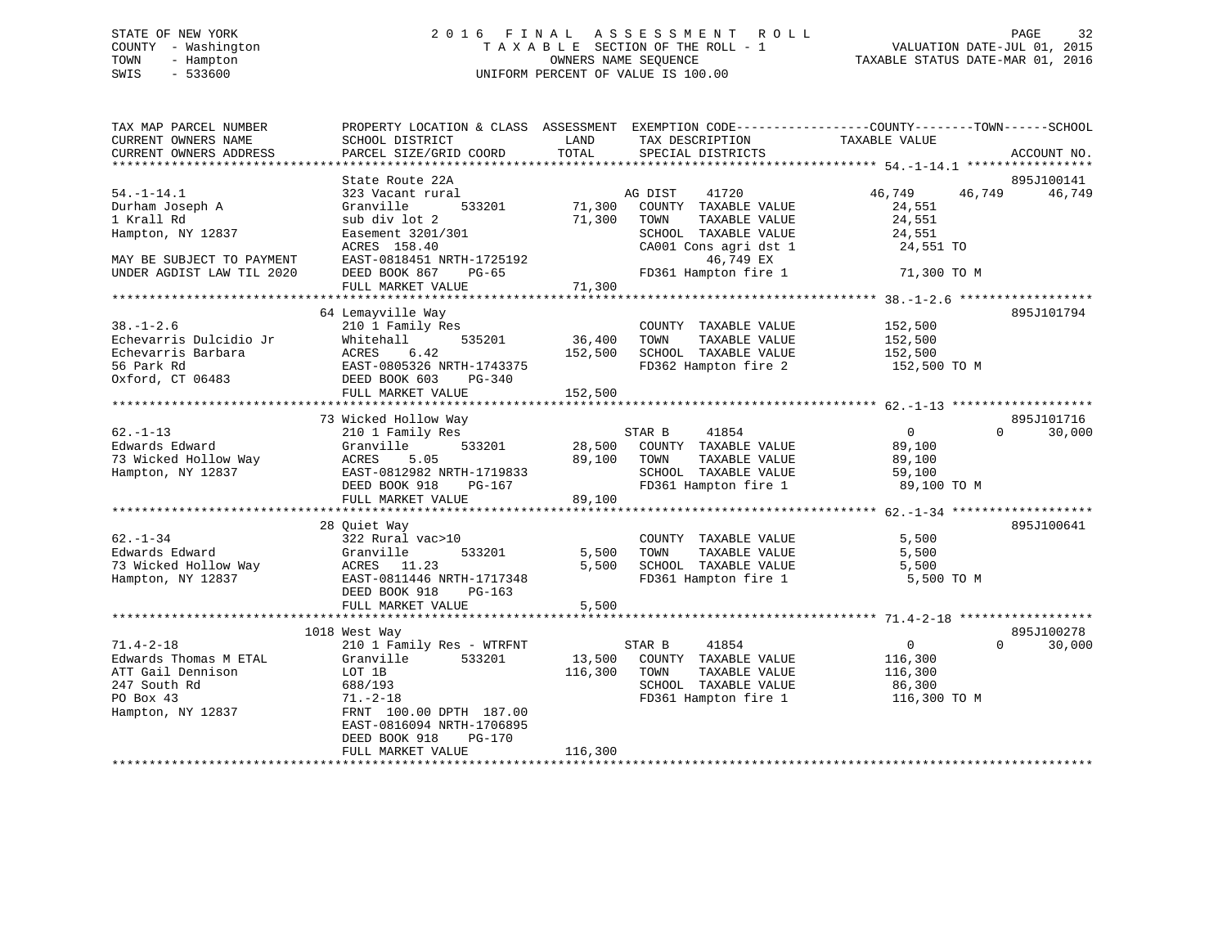# STATE OF NEW YORK 2 0 1 6 F I N A L A S S E S S M E N T R O L L PAGE 32 COUNTY - Washington T A X A B L E SECTION OF THE ROLL - 1 VALUATION DATE-JUL 01, 2015 TOWN - Hampton OWNERS NAME SEQUENCE TAXABLE STATUS DATE-MAR 01, 2016 SWIS - 533600 UNIFORM PERCENT OF VALUE IS 100.00

| TAX MAP PARCEL NUMBER<br>CURRENT OWNERS NAME                                                                    | SCHOOL DISTRICT                                                                                                                                                                                 | LAND<br>TAX DESCRIPTION                                                                                                                       | PROPERTY LOCATION & CLASS ASSESSMENT EXEMPTION CODE---------------COUNTY-------TOWN-----SCHOOL<br>TAXABLE VALUE |
|-----------------------------------------------------------------------------------------------------------------|-------------------------------------------------------------------------------------------------------------------------------------------------------------------------------------------------|-----------------------------------------------------------------------------------------------------------------------------------------------|-----------------------------------------------------------------------------------------------------------------|
| CURRENT OWNERS ADDRESS                                                                                          | PARCEL SIZE/GRID COORD                                                                                                                                                                          | TOTAL<br>SPECIAL DISTRICTS                                                                                                                    | ACCOUNT NO.                                                                                                     |
|                                                                                                                 | State Route 22A                                                                                                                                                                                 |                                                                                                                                               | 895J100141                                                                                                      |
| $54. - 1 - 14.1$<br>Durham Joseph A<br>1 Krall Rd<br>Hampton, NY 12837                                          | 323 Vacant rural<br>533201<br>Granville<br>sub div lot 2<br>Easement 3201/301                                                                                                                   | AG DIST<br>41720<br>71,300<br>COUNTY TAXABLE VALUE<br>71,300<br>TOWN<br>TAXABLE VALUE<br>SCHOOL TAXABLE VALUE                                 | 46,749<br>46,749<br>46,749<br>24,551<br>24,551<br>24,551                                                        |
| MAY BE SUBJECT TO PAYMENT                                                                                       | ACRES 158.40<br>EAST-0818451 NRTH-1725192                                                                                                                                                       | CA001 Cons agri dst 1<br>46,749 EX                                                                                                            | 24,551 TO                                                                                                       |
| UNDER AGDIST LAW TIL 2020                                                                                       | DEED BOOK 867<br>PG-65<br>FULL MARKET VALUE                                                                                                                                                     | FD361 Hampton fire 1<br>71,300                                                                                                                | 71,300 TO M                                                                                                     |
|                                                                                                                 |                                                                                                                                                                                                 |                                                                                                                                               |                                                                                                                 |
| $38. - 1 - 2.6$<br>Echevarris Dulcidio Jr<br>Echevarris Barbara<br>56 Park Rd<br>Oxford, CT 06483               | 64 Lemayville Way<br>210 1 Family Res<br>Whitehall<br>535201<br>DEED BOOK 603<br>PG-340<br>FULL MARKET VALUE                                                                                    | COUNTY TAXABLE VALUE<br>36,400<br>TOWN<br>TAXABLE VALUE<br>SCHOOL TAXABLE VALUE<br>152,500<br>FD362 Hampton fire 2<br>152,500                 | 895J101794<br>152,500<br>152,500<br>152,500<br>152,500 TO M                                                     |
|                                                                                                                 | 73 Wicked Hollow Way                                                                                                                                                                            |                                                                                                                                               | 895J101716                                                                                                      |
| $62. - 1 - 13$<br>Edwards Edward<br>73 Wicked Hollow Way<br>Hampton, NY 12837                                   | 210 1 Family Res<br>Granville<br>533201<br>ACRES<br>5.05<br>EAST-0812982 NRTH-1719833<br>DEED BOOK 918<br>PG-167<br>FULL MARKET VALUE                                                           | STAR B<br>41854<br>28,500 COUNTY TAXABLE VALUE<br>89,100<br>TOWN<br>TAXABLE VALUE<br>SCHOOL TAXABLE VALUE<br>FD361 Hampton fire 1<br>89,100   | $\overline{0}$<br>$\Omega$<br>30,000<br>89,100<br>89,100<br>59,100<br>89,100 TO M                               |
|                                                                                                                 | 28 Quiet Way                                                                                                                                                                                    |                                                                                                                                               | 895J100641                                                                                                      |
| $62. - 1 - 34$<br>Edwards Edward<br>73 Wicked Hollow Way<br>Hampton, NY 12837                                   | 322 Rural vac>10<br>533201<br>Granville<br>ACRES 11.23<br>EAST-0811446 NRTH-1717348<br>DEED BOOK 918<br>PG-163                                                                                  | COUNTY TAXABLE VALUE<br>5,500<br>TAXABLE VALUE<br>TOWN<br>SCHOOL TAXABLE VALUE<br>5,500<br>FD361 Hampton fire 1                               | 5,500<br>5,500<br>5,500<br>5,500 TO M                                                                           |
|                                                                                                                 | FULL MARKET VALUE                                                                                                                                                                               | 5,500                                                                                                                                         |                                                                                                                 |
|                                                                                                                 | 1018 West Way                                                                                                                                                                                   |                                                                                                                                               | 895J100278                                                                                                      |
| $71.4 - 2 - 18$<br>Edwards Thomas M ETAL<br>ATT Gail Dennison<br>247 South Rd<br>PO Box 43<br>Hampton, NY 12837 | 210 1 Family Res - WTRFNT<br>Granville<br>533201<br>LOT 1B<br>688/193<br>$71. - 2 - 18$<br>FRNT 100.00 DPTH 187.00<br>EAST-0816094 NRTH-1706895<br>DEED BOOK 918<br>PG-170<br>FULL MARKET VALUE | STAR B<br>41854<br>13,500 COUNTY TAXABLE VALUE<br>116,300<br>TAXABLE VALUE<br>TOWN<br>SCHOOL TAXABLE VALUE<br>FD361 Hampton fire 1<br>116,300 | $\overline{0}$<br>$\Omega$<br>30,000<br>116,300<br>116,300<br>86,300<br>116,300 TO M                            |
|                                                                                                                 |                                                                                                                                                                                                 |                                                                                                                                               |                                                                                                                 |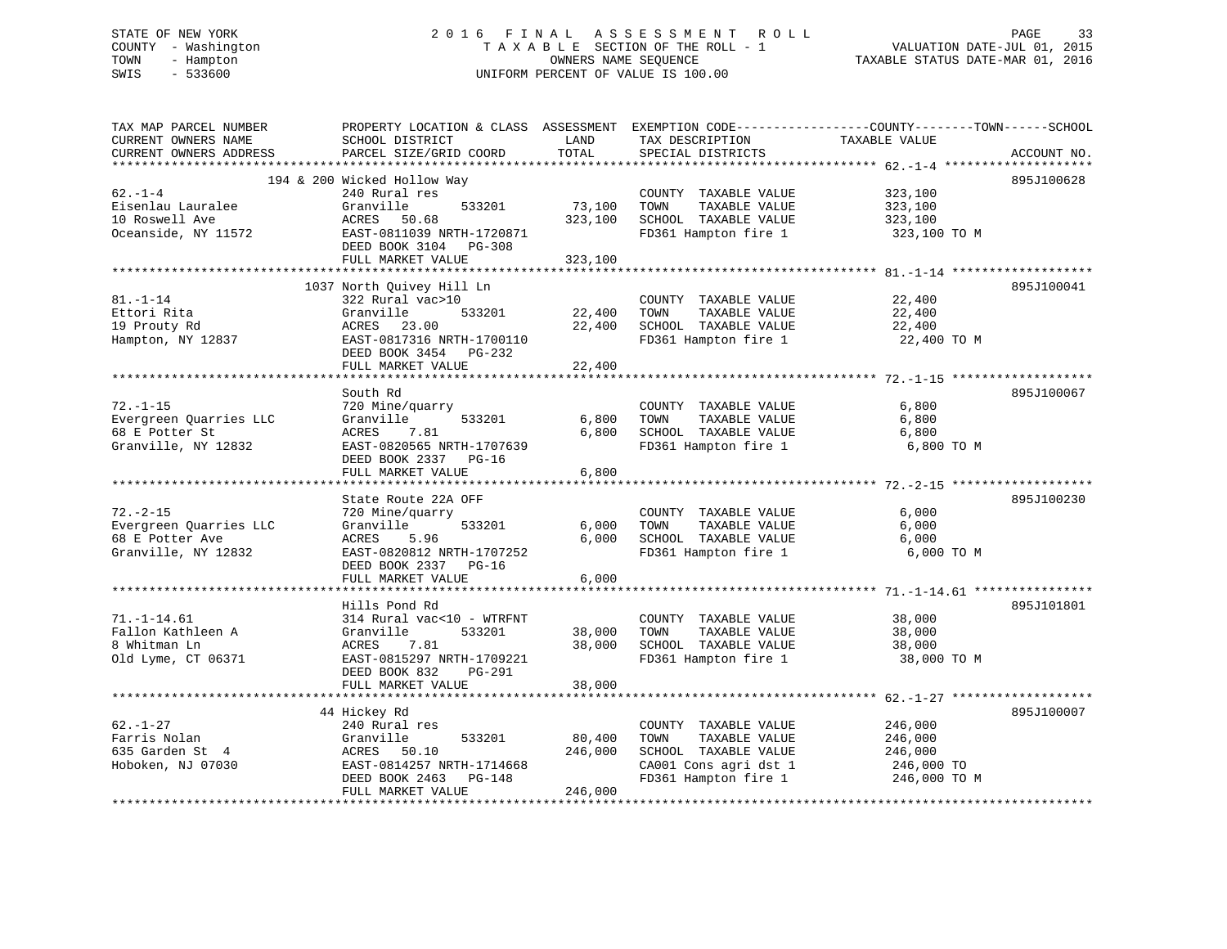# STATE OF NEW YORK 2 0 1 6 F I N A L A S S E S S M E N T R O L L PAGE 33 COUNTY - Washington T A X A B L E SECTION OF THE ROLL - 1 VALUATION DATE-JUL 01, 2015 TOWN - Hampton OWNERS NAME SEQUENCE TAXABLE STATUS DATE-MAR 01, 2016 SWIS - 533600 UNIFORM PERCENT OF VALUE IS 100.00

| TAX MAP PARCEL NUMBER  | PROPERTY LOCATION & CLASS ASSESSMENT EXEMPTION CODE---------------COUNTY-------TOWN------SCHOOL |         |                       |               |             |
|------------------------|-------------------------------------------------------------------------------------------------|---------|-----------------------|---------------|-------------|
| CURRENT OWNERS NAME    | SCHOOL DISTRICT                                                                                 | LAND    | TAX DESCRIPTION       | TAXABLE VALUE |             |
| CURRENT OWNERS ADDRESS | PARCEL SIZE/GRID COORD                                                                          | TOTAL   | SPECIAL DISTRICTS     |               | ACCOUNT NO. |
|                        |                                                                                                 |         |                       |               |             |
|                        | 194 & 200 Wicked Hollow Way                                                                     |         |                       |               | 895J100628  |
| $62. - 1 - 4$          | 240 Rural res                                                                                   |         | COUNTY TAXABLE VALUE  | 323,100       |             |
| Eisenlau Lauralee      | 533201<br>Granville                                                                             | 73,100  | TOWN<br>TAXABLE VALUE | 323,100       |             |
| 10 Roswell Ave         | ACRES<br>50.68                                                                                  | 323,100 | SCHOOL TAXABLE VALUE  | 323,100       |             |
| Oceanside, NY 11572    | EAST-0811039 NRTH-1720871                                                                       |         | FD361 Hampton fire 1  | 323,100 TO M  |             |
|                        | DEED BOOK 3104 PG-308                                                                           |         |                       |               |             |
|                        | FULL MARKET VALUE                                                                               | 323,100 |                       |               |             |
|                        | 1037 North Quivey Hill Ln                                                                       |         |                       |               | 895J100041  |
| $81. - 1 - 14$         | 322 Rural vac>10                                                                                |         | COUNTY TAXABLE VALUE  | 22,400        |             |
| Ettori Rita            | 533201<br>Granville                                                                             | 22,400  | TOWN<br>TAXABLE VALUE | 22,400        |             |
| 19 Prouty Rd           | 23.00<br>ACRES                                                                                  | 22,400  | SCHOOL TAXABLE VALUE  | 22,400        |             |
| Hampton, NY 12837      | EAST-0817316 NRTH-1700110                                                                       |         | FD361 Hampton fire 1  | 22,400 TO M   |             |
|                        | DEED BOOK 3454 PG-232                                                                           |         |                       |               |             |
|                        | FULL MARKET VALUE                                                                               | 22,400  |                       |               |             |
|                        |                                                                                                 |         |                       |               |             |
|                        | South Rd                                                                                        |         |                       |               | 895J100067  |
| $72. - 1 - 15$         | 720 Mine/quarry                                                                                 |         | COUNTY TAXABLE VALUE  | 6,800         |             |
| Evergreen Quarries LLC | Granville<br>533201                                                                             | 6,800   | TAXABLE VALUE<br>TOWN | 6,800         |             |
| 68 E Potter St         | 7.81<br>ACRES                                                                                   | 6,800   | SCHOOL TAXABLE VALUE  | 6,800         |             |
| Granville, NY 12832    | EAST-0820565 NRTH-1707639                                                                       |         | FD361 Hampton fire 1  | 6,800 TO M    |             |
|                        | DEED BOOK 2337 PG-16                                                                            |         |                       |               |             |
|                        | FULL MARKET VALUE                                                                               | 6,800   |                       |               |             |
|                        |                                                                                                 |         |                       |               |             |
|                        | State Route 22A OFF                                                                             |         |                       |               | 895J100230  |
| $72. - 2 - 15$         | 720 Mine/quarry                                                                                 |         | COUNTY TAXABLE VALUE  | 6,000         |             |
| Evergreen Quarries LLC | 533201<br>Granville                                                                             | 6,000   | TOWN<br>TAXABLE VALUE | 6,000         |             |
| 68 E Potter Ave        | ACRES<br>5.96                                                                                   | 6,000   | SCHOOL TAXABLE VALUE  | 6,000         |             |
| Granville, NY 12832    | EAST-0820812 NRTH-1707252                                                                       |         | FD361 Hampton fire 1  | 6,000 TO M    |             |
|                        | DEED BOOK 2337 PG-16                                                                            |         |                       |               |             |
|                        | FULL MARKET VALUE                                                                               | 6,000   |                       |               |             |
|                        |                                                                                                 |         |                       |               |             |
|                        | Hills Pond Rd                                                                                   |         |                       |               | 895J101801  |
| $71. - 1 - 14.61$      | 314 Rural vac<10 - WTRFNT                                                                       |         | COUNTY TAXABLE VALUE  | 38,000        |             |
| Fallon Kathleen A      | Granville<br>533201                                                                             | 38,000  | TOWN<br>TAXABLE VALUE | 38,000        |             |
| 8 Whitman Ln           | 7.81<br>ACRES                                                                                   | 38,000  | SCHOOL TAXABLE VALUE  | 38,000        |             |
| Old Lyme, CT 06371     | EAST-0815297 NRTH-1709221                                                                       |         | FD361 Hampton fire 1  | 38,000 TO M   |             |
|                        | DEED BOOK 832<br>PG-291                                                                         |         |                       |               |             |
|                        | FULL MARKET VALUE                                                                               | 38,000  |                       |               |             |
|                        |                                                                                                 |         |                       |               |             |
|                        | 44 Hickey Rd                                                                                    |         |                       |               | 895J100007  |
| $62. - 1 - 27$         | 240 Rural res                                                                                   |         | COUNTY TAXABLE VALUE  | 246,000       |             |
| Farris Nolan           | Granville<br>533201                                                                             | 80,400  | TOWN<br>TAXABLE VALUE | 246,000       |             |
| 635 Garden St 4        | ACRES 50.10                                                                                     | 246,000 | SCHOOL TAXABLE VALUE  | 246,000       |             |
| Hoboken, NJ 07030      | EAST-0814257 NRTH-1714668                                                                       |         | CA001 Cons agri dst 1 | 246,000 TO    |             |
|                        | DEED BOOK 2463<br>PG-148                                                                        |         | FD361 Hampton fire 1  | 246,000 TO M  |             |
|                        | FULL MARKET VALUE                                                                               | 246,000 |                       |               |             |
|                        |                                                                                                 |         |                       |               |             |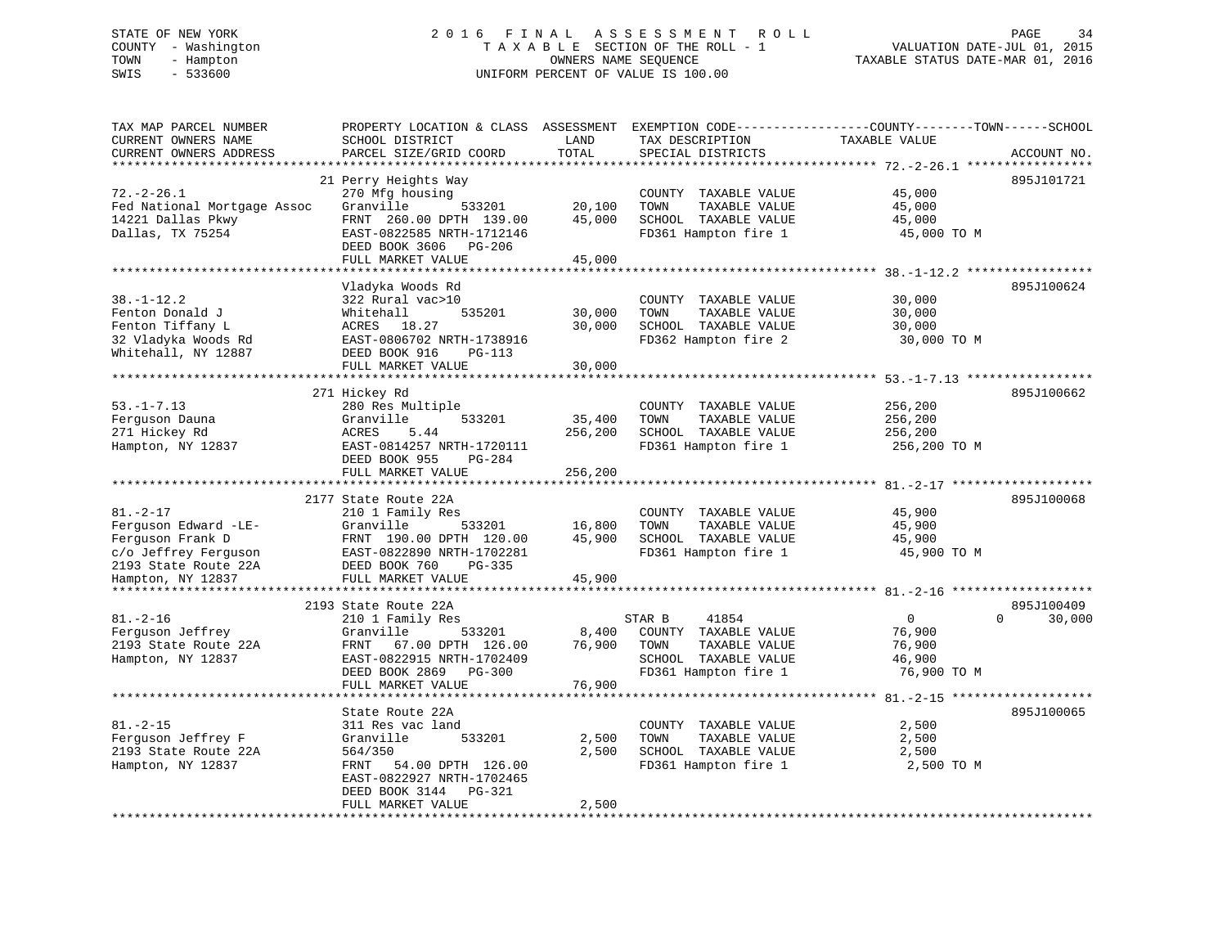# STATE OF NEW YORK 2 0 1 6 F I N A L A S S E S S M E N T R O L L PAGE 34 COUNTY - Washington T A X A B L E SECTION OF THE ROLL - 1 VALUATION DATE-JUL 01, 2015 TOWN - Hampton OWNERS NAME SEQUENCE TAXABLE STATUS DATE-MAR 01, 2016 SWIS - 533600 UNIFORM PERCENT OF VALUE IS 100.00

| TAX MAP PARCEL NUMBER<br>CURRENT OWNERS NAME<br>CURRENT OWNERS ADDRESS                                     | PROPERTY LOCATION & CLASS ASSESSMENT<br>SCHOOL DISTRICT<br>PARCEL SIZE/GRID COORD                                                                                       | LAND<br>TOTAL                | TAX DESCRIPTION<br>SPECIAL DISTRICTS                                                                             | EXEMPTION CODE-----------------COUNTY-------TOWN------SCHOOL<br>TAXABLE VALUE | ACCOUNT NO.                      |
|------------------------------------------------------------------------------------------------------------|-------------------------------------------------------------------------------------------------------------------------------------------------------------------------|------------------------------|------------------------------------------------------------------------------------------------------------------|-------------------------------------------------------------------------------|----------------------------------|
| *********************                                                                                      |                                                                                                                                                                         |                              |                                                                                                                  |                                                                               |                                  |
| $72. - 2 - 26.1$<br>Fed National Mortgage Assoc<br>14221 Dallas Pkwy<br>Dallas, TX 75254                   | 21 Perry Heights Way<br>270 Mfg housing<br>Granville<br>533201<br>FRNT 260.00 DPTH 139.00<br>EAST-0822585 NRTH-1712146<br>DEED BOOK 3606<br>PG-206<br>FULL MARKET VALUE | 20,100<br>45,000<br>45,000   | COUNTY TAXABLE VALUE<br>TOWN<br>TAXABLE VALUE<br>SCHOOL TAXABLE VALUE<br>FD361 Hampton fire 1                    | 45,000<br>45,000<br>45,000<br>45,000 TO M                                     | 895J101721                       |
|                                                                                                            |                                                                                                                                                                         |                              |                                                                                                                  |                                                                               |                                  |
| $38. - 1 - 12.2$<br>Fenton Donald J<br>Fenton Tiffany L<br>32 Vladyka Woods Rd<br>Whitehall, NY 12887      | Vladyka Woods Rd<br>322 Rural vac>10<br>Whitehall<br>535201<br>ACRES 18.27<br>EAST-0806702 NRTH-1738916<br>DEED BOOK 916<br>$PG-113$<br>FULL MARKET VALUE               | 30,000<br>30,000<br>30,000   | COUNTY TAXABLE VALUE<br>TOWN<br>TAXABLE VALUE<br>SCHOOL TAXABLE VALUE<br>FD362 Hampton fire 2                    | 30,000<br>30,000<br>30,000<br>30,000 TO M                                     | 895J100624                       |
|                                                                                                            |                                                                                                                                                                         |                              |                                                                                                                  |                                                                               |                                  |
|                                                                                                            | 271 Hickey Rd                                                                                                                                                           |                              |                                                                                                                  |                                                                               | 895J100662                       |
| $53. - 1 - 7.13$<br>Ferguson Dauna<br>271 Hickey Rd<br>Hampton, NY 12837                                   | 280 Res Multiple<br>533201<br>Granville<br>5.44<br>ACRES<br>EAST-0814257 NRTH-1720111<br>DEED BOOK 955<br>$PG-284$<br>FULL MARKET VALUE                                 | 35,400<br>256,200<br>256,200 | COUNTY TAXABLE VALUE<br>TOWN<br>TAXABLE VALUE<br>SCHOOL TAXABLE VALUE<br>FD361 Hampton fire 1                    | 256,200<br>256,200<br>256,200<br>256,200 TO M                                 |                                  |
|                                                                                                            |                                                                                                                                                                         |                              |                                                                                                                  |                                                                               |                                  |
| $81. - 2 - 17$<br>Ferguson Edward -LE-<br>Ferguson Frank D<br>c/o Jeffrey Ferguson<br>2193 State Route 22A | 2177 State Route 22A<br>210 1 Family Res<br>Granville<br>533201<br>FRNT 190.00 DPTH 120.00<br>EAST-0822890 NRTH-1702281<br>DEED BOOK 760<br>$PG-335$                    | 16,800<br>45,900             | COUNTY TAXABLE VALUE<br>TOWN<br>TAXABLE VALUE<br>SCHOOL TAXABLE VALUE<br>FD361 Hampton fire 1                    | 45,900<br>45,900<br>45,900<br>45,900 TO M                                     | 895J100068                       |
| Hampton, NY 12837<br>**********************                                                                | FULL MARKET VALUE                                                                                                                                                       | 45,900                       |                                                                                                                  |                                                                               |                                  |
| $81. - 2 - 16$<br>Ferguson Jeffrey<br>2193 State Route 22A<br>Hampton, NY 12837                            | 2193 State Route 22A<br>210 1 Family Res<br>Granville<br>533201<br>67.00 DPTH 126.00<br>FRNT<br>EAST-0822915 NRTH-1702409<br>DEED BOOK 2869<br><b>PG-300</b>            | 8,400<br>76,900              | 41854<br>STAR B<br>COUNTY TAXABLE VALUE<br>TAXABLE VALUE<br>TOWN<br>SCHOOL TAXABLE VALUE<br>FD361 Hampton fire 1 | $\overline{0}$<br>76,900<br>76,900<br>46,900<br>76,900 TO M                   | 895J100409<br>$\Omega$<br>30,000 |
|                                                                                                            | FULL MARKET VALUE                                                                                                                                                       | 76,900                       |                                                                                                                  |                                                                               |                                  |
|                                                                                                            |                                                                                                                                                                         |                              |                                                                                                                  |                                                                               |                                  |
| $81. - 2 - 15$<br>Ferguson Jeffrey F<br>2193 State Route 22A<br>Hampton, NY 12837                          | State Route 22A<br>311 Res vac land<br>Granville<br>533201<br>564/350<br>54.00 DPTH 126.00<br>FRNT<br>EAST-0822927 NRTH-1702465<br>DEED BOOK 3144<br>PG-321             | 2,500<br>2,500               | COUNTY TAXABLE VALUE<br>TOWN<br>TAXABLE VALUE<br>SCHOOL TAXABLE VALUE<br>FD361 Hampton fire 1                    | 2,500<br>2,500<br>2,500<br>2,500 TO M                                         | 895J100065                       |
|                                                                                                            | FULL MARKET VALUE                                                                                                                                                       | 2,500                        |                                                                                                                  |                                                                               |                                  |
|                                                                                                            |                                                                                                                                                                         |                              |                                                                                                                  |                                                                               |                                  |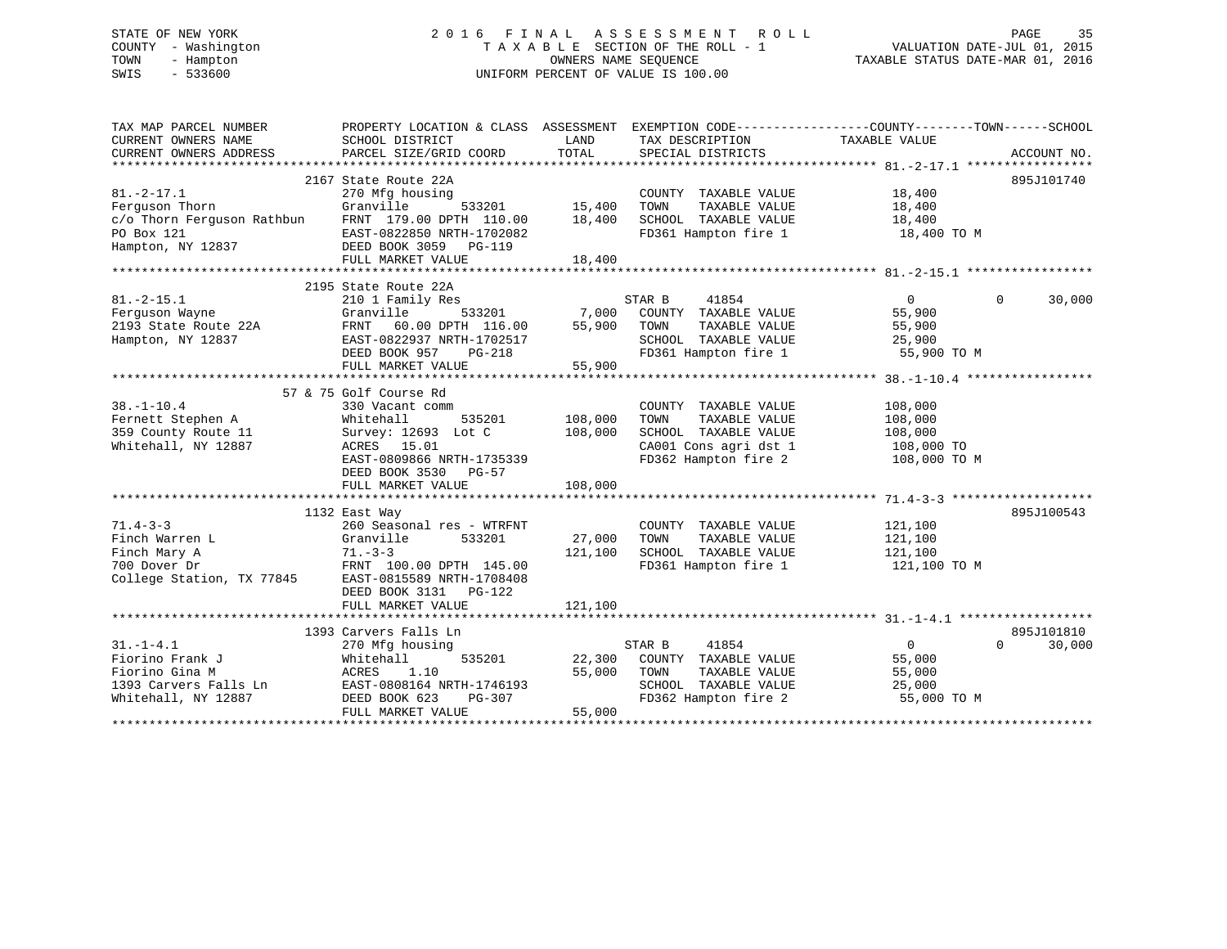# STATE OF NEW YORK 2 0 1 6 F I N A L A S S E S S M E N T R O L L PAGE 35 COUNTY - Washington T A X A B L E SECTION OF THE ROLL - 1 VALUATION DATE-JUL 01, 2015 TOWN - Hampton OWNERS NAME SEQUENCE TAXABLE STATUS DATE-MAR 01, 2016 SWIS - 533600 UNIFORM PERCENT OF VALUE IS 100.00

| TAX MAP PARCEL NUMBER<br>CURRENT OWNERS NAME       | PROPERTY LOCATION & CLASS ASSESSMENT<br>SCHOOL DISTRICT | LAND    | EXEMPTION CODE----------------COUNTY-------TOWN------SCHOOL<br>TAX DESCRIPTION | TAXABLE VALUE  |                    |
|----------------------------------------------------|---------------------------------------------------------|---------|--------------------------------------------------------------------------------|----------------|--------------------|
| CURRENT OWNERS ADDRESS                             | PARCEL SIZE/GRID COORD                                  | TOTAL   | SPECIAL DISTRICTS                                                              |                | ACCOUNT NO.        |
|                                                    |                                                         |         |                                                                                |                |                    |
|                                                    | 2167 State Route 22A                                    |         |                                                                                |                | 895J101740         |
| $81. -2 - 17.1$                                    | 270 Mfg housing                                         |         | COUNTY TAXABLE VALUE                                                           | 18,400         |                    |
| Ferguson Thorn                                     | Granville<br>533201                                     | 15,400  | TAXABLE VALUE<br>TOWN                                                          | 18,400         |                    |
| c/o Thorn Ferguson Rathbun FRNT 179.00 DPTH 110.00 |                                                         | 18,400  | SCHOOL TAXABLE VALUE                                                           | 18,400         |                    |
| PO Box 121                                         | EAST-0822850 NRTH-1702082<br>DEED BOOK 3059 PG-119      |         | FD361 Hampton fire 1 18,400 TO M                                               |                |                    |
| Hampton, NY 12837                                  | DEED BOOK 3059 PG-119                                   |         |                                                                                |                |                    |
|                                                    | FULL MARKET VALUE                                       | 18,400  |                                                                                |                |                    |
|                                                    |                                                         |         |                                                                                |                |                    |
|                                                    | 2195 State Route 22A                                    |         |                                                                                |                |                    |
| $81. -2 - 15.1$                                    | 210 1 Family Res                                        |         | STAR B<br>41854                                                                | $\overline{0}$ | 30,000<br>$\Omega$ |
| Ferquson Wayne                                     | Granville<br>533201                                     | 7,000   | COUNTY TAXABLE VALUE                                                           | 55,900         |                    |
| 2193 State Route 22A                               | 60.00 DPTH 116.00<br>FRNT                               | 55,900  | TOWN<br>TAXABLE VALUE                                                          | 55,900         |                    |
| Hampton, NY 12837                                  | EAST-0822937 NRTH-1702517                               |         | SCHOOL TAXABLE VALUE                                                           | 25,900         |                    |
|                                                    | DEED BOOK 957<br>PG-218                                 |         | FD361 Hampton fire 1                                                           | 55,900 TO M    |                    |
|                                                    | FULL MARKET VALUE                                       | 55,900  |                                                                                |                |                    |
|                                                    |                                                         |         |                                                                                |                |                    |
|                                                    | 57 & 75 Golf Course Rd                                  |         |                                                                                |                |                    |
| $38. - 1 - 10.4$                                   | 330 Vacant comm                                         |         | COUNTY TAXABLE VALUE                                                           | 108,000        |                    |
| Fernett Stephen A                                  | Whitehall<br>535201                                     | 108,000 | TAXABLE VALUE<br>TOWN                                                          | 108,000        |                    |
| 359 County Route 11                                | Survey: 12693 Lot C                                     | 108,000 | SCHOOL TAXABLE VALUE                                                           | 108,000        |                    |
| Whitehall, NY 12887                                | ACRES 15.01                                             |         | CA001 Cons agri dst 1                                                          | 108,000 TO     |                    |
|                                                    | EAST-0809866 NRTH-1735339                               |         | FD362 Hampton fire 2                                                           | 108,000 TO M   |                    |
|                                                    | DEED BOOK 3530 PG-57                                    |         |                                                                                |                |                    |
|                                                    | FULL MARKET VALUE                                       | 108,000 |                                                                                |                |                    |
|                                                    |                                                         |         |                                                                                |                |                    |
|                                                    | 1132 East Way                                           |         |                                                                                |                | 895J100543         |
| $71.4 - 3 - 3$                                     | 260 Seasonal res - WTRFNT                               |         | COUNTY TAXABLE VALUE                                                           | 121,100        |                    |
| Finch Warren L                                     | Granville<br>533201                                     | 27,000  | TOWN<br>TAXABLE VALUE                                                          | 121,100        |                    |
| Finch Mary A                                       | $71. - 3 - 3$                                           | 121,100 | SCHOOL TAXABLE VALUE                                                           | 121,100        |                    |
| 700 Dover Dr                                       | FRNT 100.00 DPTH 145.00                                 |         | FD361 Hampton fire 1                                                           | 121,100 TO M   |                    |
| College Station, TX 77845                          | EAST-0815589 NRTH-1708408                               |         |                                                                                |                |                    |
|                                                    | DEED BOOK 3131 PG-122                                   |         |                                                                                |                |                    |
|                                                    | FULL MARKET VALUE                                       | 121,100 |                                                                                |                |                    |
|                                                    |                                                         |         |                                                                                |                |                    |
|                                                    | 1393 Carvers Falls Ln                                   |         |                                                                                |                | 895J101810         |
| $31. - 1 - 4.1$                                    | 270 Mfg housing                                         |         | STAR B<br>41854                                                                | $\overline{0}$ | 30,000<br>$\Omega$ |
| Fiorino Frank J                                    | Whitehall<br>535201                                     | 22,300  | COUNTY TAXABLE VALUE                                                           | 55,000         |                    |
| Fiorino Gina M                                     | 1.10<br>ACRES                                           | 55,000  | TAXABLE VALUE<br>TOWN                                                          | 55,000         |                    |
| 1393 Carvers Falls Ln                              | EAST-0808164 NRTH-1746193                               |         | SCHOOL TAXABLE VALUE                                                           | 25,000         |                    |
| Whitehall, NY 12887                                | DEED BOOK 623<br>PG-307                                 |         | FD362 Hampton fire 2                                                           | 55,000 TO M    |                    |
|                                                    | FULL MARKET VALUE                                       | 55,000  |                                                                                |                |                    |
|                                                    |                                                         |         |                                                                                |                |                    |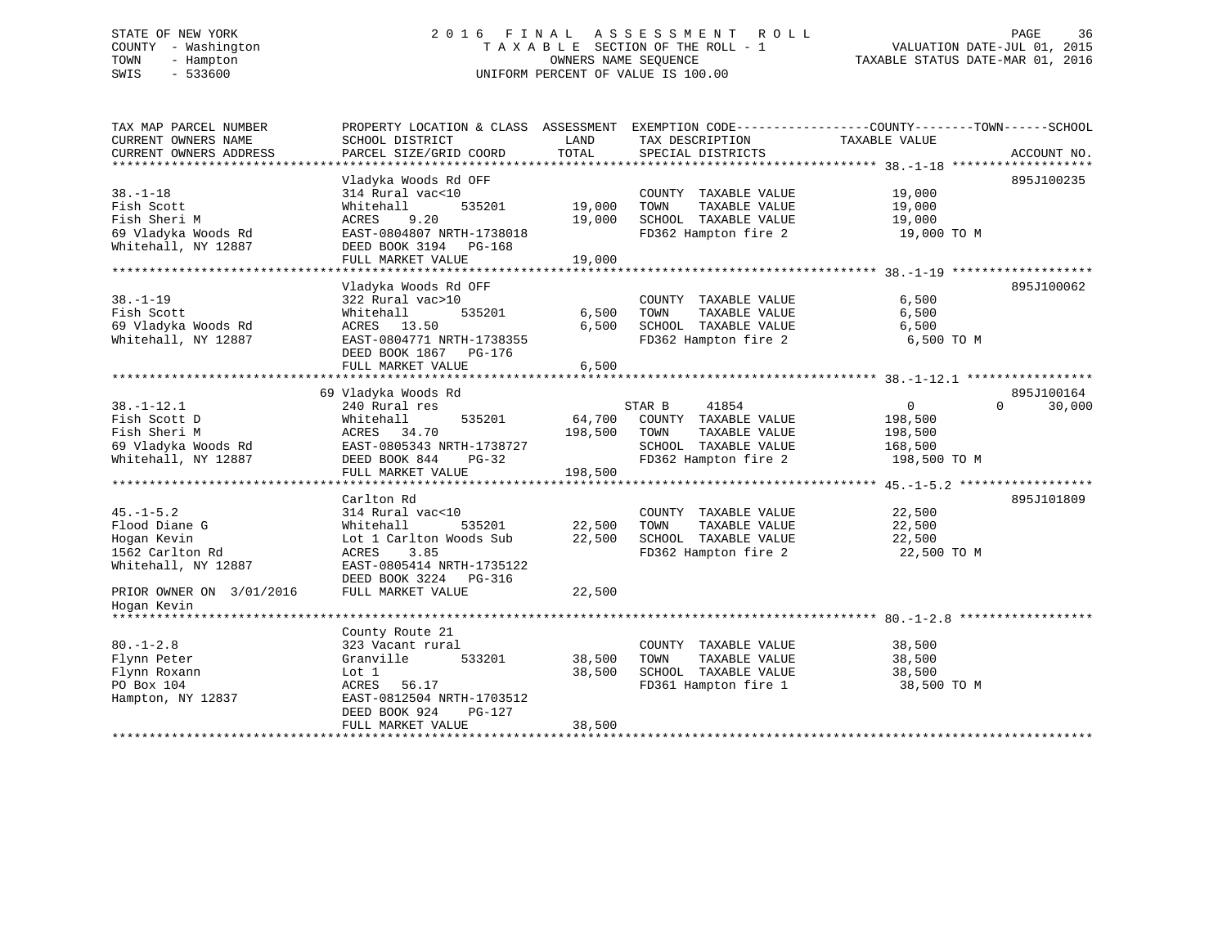# STATE OF NEW YORK 2 0 1 6 F I N A L A S S E S S M E N T R O L L PAGE 36 COUNTY - Washington T A X A B L E SECTION OF THE ROLL - 1 VALUATION DATE-JUL 01, 2015 TOWN - Hampton OWNERS NAME SEQUENCE TAXABLE STATUS DATE-MAR 01, 2016 SWIS - 533600 UNIFORM PERCENT OF VALUE IS 100.00

| TAX MAP PARCEL NUMBER<br>CURRENT OWNERS NAME<br>CURRENT OWNERS ADDRESS                                                               | PROPERTY LOCATION & CLASS ASSESSMENT EXEMPTION CODE----------------COUNTY-------TOWN------SCHOOL<br>SCHOOL DISTRICT<br>PARCEL SIZE/GRID COORD                                | LAND<br>TOTAL              | TAX DESCRIPTION<br>SPECIAL DISTRICTS                                                                                    | TAXABLE VALUE                                                   | ACCOUNT NO.                      |
|--------------------------------------------------------------------------------------------------------------------------------------|------------------------------------------------------------------------------------------------------------------------------------------------------------------------------|----------------------------|-------------------------------------------------------------------------------------------------------------------------|-----------------------------------------------------------------|----------------------------------|
| $38. - 1 - 18$<br>Fish Scott<br>Fish Sheri M<br>69 Vladyka Woods Rd<br>Whitehall, NY 12887                                           | Vladyka Woods Rd OFF<br>314 Rural vac<10<br>Whitehall<br>535201<br>ACRES<br>9.20<br>EAST-0804807 NRTH-1738018<br>DEED BOOK 3194 PG-168<br>FULL MARKET VALUE                  | 19,000<br>19,000<br>19,000 | COUNTY TAXABLE VALUE<br>TAXABLE VALUE<br>TOWN<br>SCHOOL TAXABLE VALUE<br>FD362 Hampton fire 2                           | 19,000<br>19,000<br>19,000<br>19,000 TO M                       | 895J100235                       |
| $38. - 1 - 19$<br>Fish Scott<br>69 Vladyka Woods Rd<br>Whitehall, NY 12887                                                           | Vladyka Woods Rd OFF<br>322 Rural vac>10<br>Whitehall<br>535201<br>ACRES 13.50<br>EAST-0804771 NRTH-1738355<br>DEED BOOK 1867 PG-176<br>FULL MARKET VALUE                    | 6,500<br>6,500<br>6,500    | COUNTY TAXABLE VALUE<br>TAXABLE VALUE<br>TOWN<br>SCHOOL TAXABLE VALUE<br>FD362 Hampton fire 2                           | 6,500<br>6,500<br>6,500<br>6,500 TO M                           | 895J100062                       |
| $38. - 1 - 12.1$<br>Fish Scott D<br>Fish Sheri M<br>69 Vladyka Woods Rd<br>Whitehall, NY 12887                                       | 69 Vladyka Woods Rd<br>240 Rural res<br>Whitehall<br>535201<br>ACRES 34.70<br>EAST-0805343 NRTH-1738727<br>DEED BOOK 844<br>$PG-32$<br>FULL MARKET VALUE                     | 198,500<br>198,500         | 41854<br>STAR B<br>64,700 COUNTY TAXABLE VALUE<br>TOWN<br>TAXABLE VALUE<br>SCHOOL TAXABLE VALUE<br>FD362 Hampton fire 2 | $\overline{0}$<br>198,500<br>198,500<br>168,500<br>198,500 TO M | 895J100164<br>$\Omega$<br>30,000 |
| $45. - 1 - 5.2$<br>Flood Diane G<br>Hogan Kevin<br>1562 Carlton Rd<br>Whitehall, NY 12887<br>PRIOR OWNER ON 3/01/2016<br>Hogan Kevin | Carlton Rd<br>314 Rural vac<10<br>535201<br>Whitehall<br>Lot 1 Carlton Woods Sub<br>3.85<br>ACRES<br>EAST-0805414 NRTH-1735122<br>DEED BOOK 3224 PG-316<br>FULL MARKET VALUE | 22,500<br>22,500<br>22,500 | COUNTY TAXABLE VALUE<br>TAXABLE VALUE<br>TOWN<br>SCHOOL TAXABLE VALUE<br>FD362 Hampton fire 2                           | 22,500<br>22,500<br>22,500<br>22,500 TO M                       | 895J101809                       |
| $80. - 1 - 2.8$<br>Flynn Peter<br>Flynn Roxann<br>PO Box 104<br>Hampton, NY 12837                                                    | County Route 21<br>323 Vacant rural<br>533201<br>Granville<br>Lot 1<br>ACRES 56.17<br>EAST-0812504 NRTH-1703512<br>DEED BOOK 924<br>PG-127<br>FULL MARKET VALUE              | 38,500<br>38,500<br>38,500 | COUNTY TAXABLE VALUE<br>TAXABLE VALUE<br>TOWN<br>SCHOOL TAXABLE VALUE<br>FD361 Hampton fire 1                           | 38,500<br>38,500<br>38,500<br>38,500 TO M                       |                                  |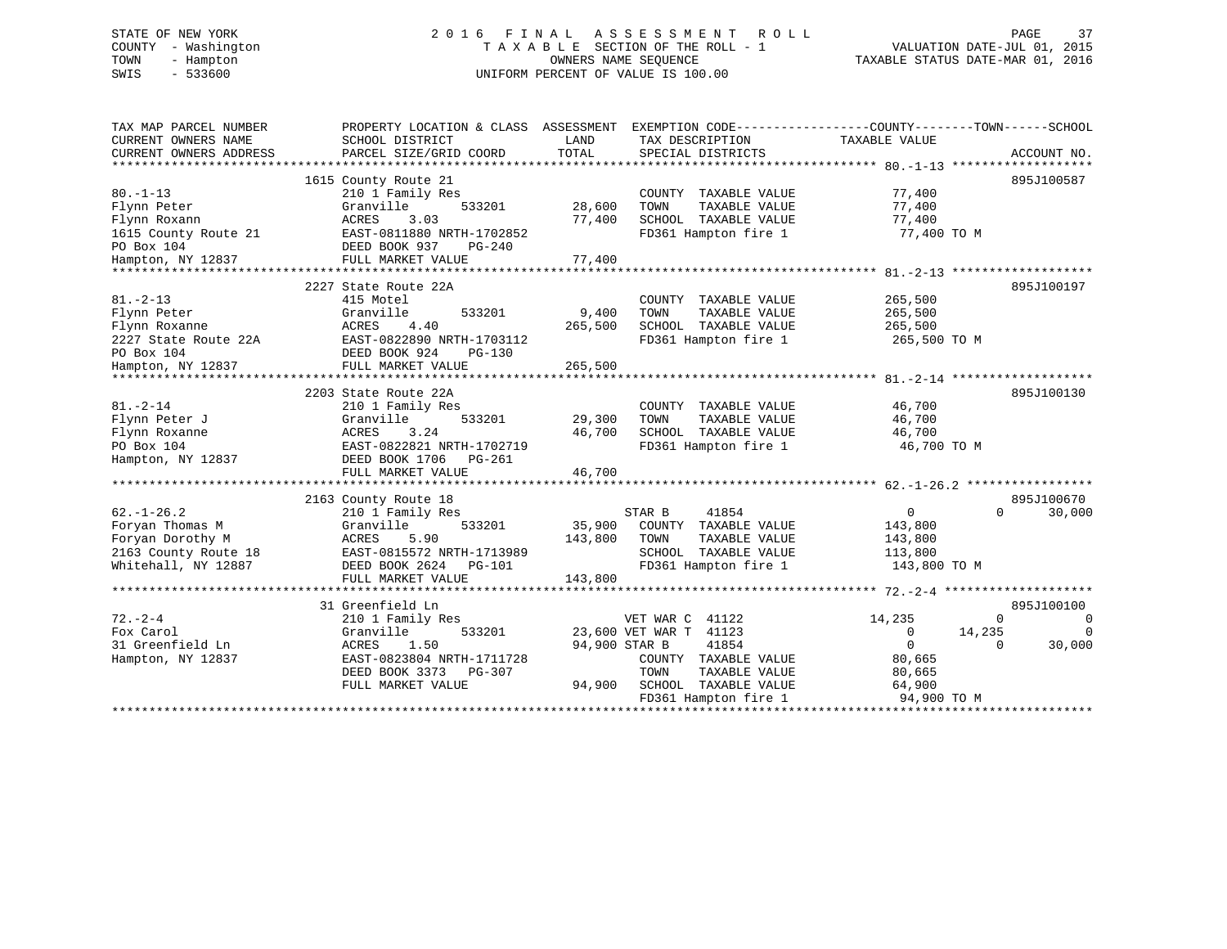# STATE OF NEW YORK 2 0 1 6 F I N A L A S S E S S M E N T R O L L PAGE 37 COUNTY - Washington T A X A B L E SECTION OF THE ROLL - 1 VALUATION DATE-JUL 01, 2015 TOWN - Hampton OWNERS NAME SEQUENCE TAXABLE STATUS DATE-MAR 01, 2016 SWIS - 533600 UNIFORM PERCENT OF VALUE IS 100.00

| TAX MAP PARCEL NUMBER<br>CURRENT OWNERS NAME<br>CURRENT OWNERS ADDRESS<br>************************        | PROPERTY LOCATION & CLASS ASSESSMENT<br>SCHOOL DISTRICT<br>PARCEL SIZE/GRID COORD                                                                                     | LAND<br>TOTAL                | EXEMPTION CODE----------------COUNTY-------TOWN------SCHOOL<br>TAX DESCRIPTION<br>SPECIAL DISTRICTS                                                                            | TAXABLE VALUE                                                                                                     | ACCOUNT NO.                                                        |
|-----------------------------------------------------------------------------------------------------------|-----------------------------------------------------------------------------------------------------------------------------------------------------------------------|------------------------------|--------------------------------------------------------------------------------------------------------------------------------------------------------------------------------|-------------------------------------------------------------------------------------------------------------------|--------------------------------------------------------------------|
| $80. -1 - 13$<br>Flynn Peter<br>Flynn Roxann<br>1615 County Route 21<br>PO Box 104<br>Hampton, NY 12837   | 1615 County Route 21<br>210 1 Family Res<br>533201<br>Granville<br>ACRES<br>3.03<br>EAST-0811880 NRTH-1702852<br>DEED BOOK 937<br>$PG-240$<br>FULL MARKET VALUE       | 28,600<br>77,400<br>77,400   | COUNTY TAXABLE VALUE<br>TAXABLE VALUE<br>TOWN<br>SCHOOL TAXABLE VALUE<br>FD361 Hampton fire 1                                                                                  | 77,400<br>77,400<br>77,400<br>77,400 TO M                                                                         | 895J100587                                                         |
| $81. - 2 - 13$<br>Flynn Peter<br>Flynn Roxanne<br>2227 State Route 22A<br>PO Box 104<br>Hampton, NY 12837 | 2227 State Route 22A<br>415 Motel<br>Granville<br>533201<br>4.40<br>ACRES<br>EAST-0822890 NRTH-1703112<br>DEED BOOK 924<br>PG-130<br>FULL MARKET VALUE                | 9,400<br>265,500<br>265,500  | COUNTY TAXABLE VALUE<br>TOWN<br>TAXABLE VALUE<br>SCHOOL TAXABLE VALUE<br>FD361 Hampton fire 1                                                                                  | 265,500<br>265,500<br>265,500<br>265,500 TO M                                                                     | 895J100197                                                         |
| $81. - 2 - 14$<br>Flynn Peter J<br>Flynn Roxanne<br>PO Box 104<br>Hampton, NY 12837                       | 2203 State Route 22A<br>210 1 Family Res<br>Granville<br>533201<br><b>ACRES</b><br>3.24<br>EAST-0822821 NRTH-1702719<br>DEED BOOK 1706 PG-261<br>FULL MARKET VALUE    | 29,300<br>46,700<br>46,700   | COUNTY TAXABLE VALUE<br>TAXABLE VALUE<br>TOWN<br>SCHOOL TAXABLE VALUE<br>FD361 Hampton fire 1                                                                                  | 46,700<br>46,700<br>46,700<br>46,700 TO M                                                                         | 895J100130                                                         |
| $62. - 1 - 26.2$<br>Foryan Thomas M<br>Foryan Dorothy M<br>2163 County Route 18<br>Whitehall, NY 12887    | 2163 County Route 18<br>210 1 Family Res<br>533201<br>Granville<br><b>ACRES</b><br>5.90<br>EAST-0815572 NRTH-1713989<br>DEED BOOK 2624<br>PG-101<br>FULL MARKET VALUE | 35,900<br>143,800<br>143,800 | STAR B<br>41854<br>COUNTY TAXABLE VALUE<br>TOWN<br>TAXABLE VALUE<br>SCHOOL TAXABLE VALUE<br>FD361 Hampton fire 1                                                               | $\mathbf{0}$<br>143,800<br>143,800<br>113,800<br>143,800 TO M                                                     | 895J100670<br>0<br>30,000                                          |
| $72. - 2 - 4$<br>Fox Carol<br>31 Greenfield Ln<br>Hampton, NY 12837                                       | 31 Greenfield Ln<br>210 1 Family Res<br>Granville<br>533201<br>1.50<br>ACRES<br>EAST-0823804 NRTH-1711728<br>DEED BOOK 3373<br>PG-307<br>FULL MARKET VALUE            | 94,900 STAR B<br>94,900      | VET WAR C 41122<br>23,600 VET WAR T 41123<br>41854<br>COUNTY TAXABLE VALUE<br>TOWN<br>TAXABLE VALUE<br>SCHOOL TAXABLE VALUE<br>FD361 Hampton fire 1<br>*********************** | 14,235<br>$\circ$<br>$\mathbf{0}$<br>80,665<br>80,665<br>64,900<br>94,900 TO M<br>******************************* | 895J100100<br>$\Omega$<br>$\Omega$<br>14,235<br>30,000<br>$\Omega$ |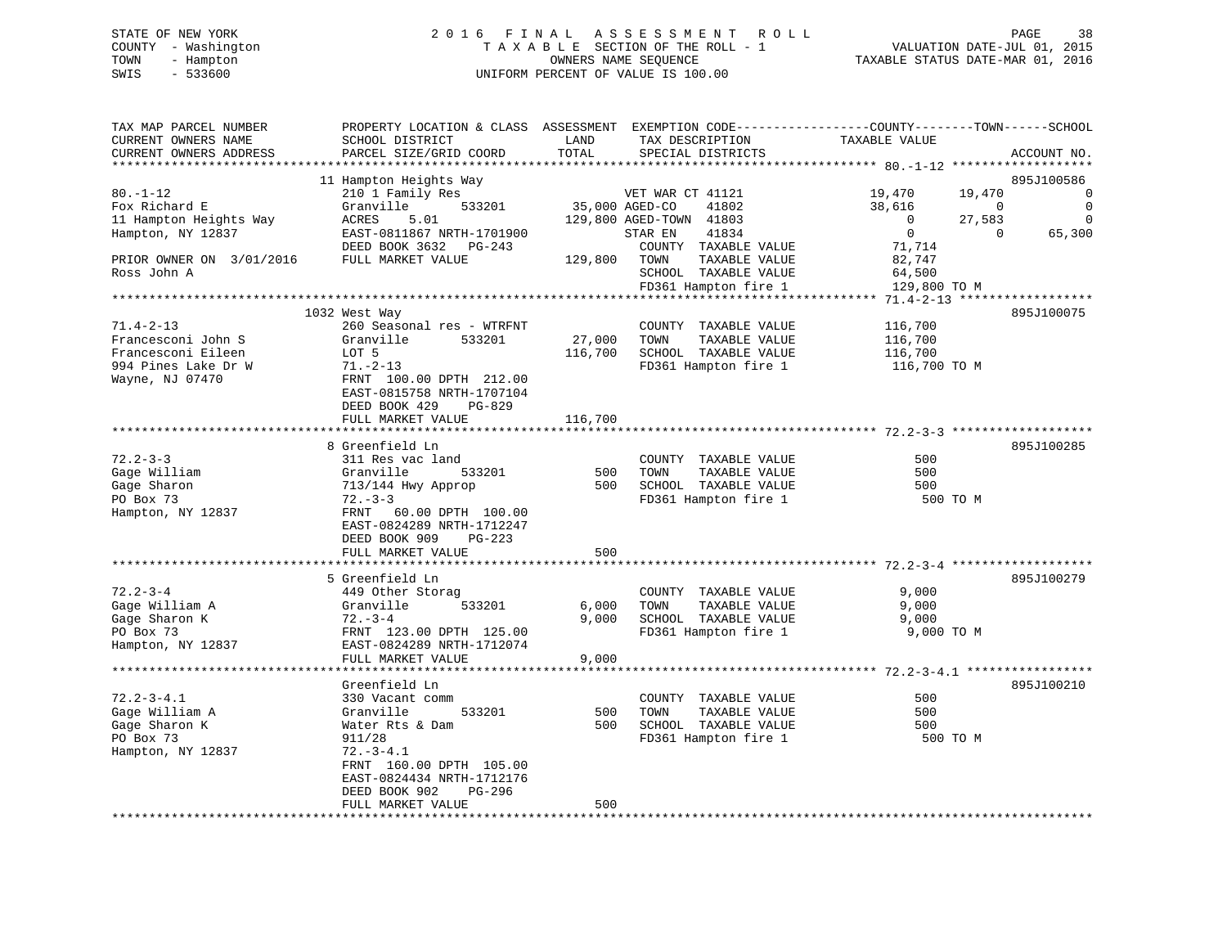# STATE OF NEW YORK 2 0 1 6 F I N A L A S S E S S M E N T R O L L PAGE 38 COUNTY - Washington T A X A B L E SECTION OF THE ROLL - 1 VALUATION DATE-JUL 01, 2015 TOWN - Hampton OWNERS NAME SEQUENCE TAXABLE STATUS DATE-MAR 01, 2016 SWIS - 533600 UNIFORM PERCENT OF VALUE IS 100.00

TAX MAP PARCEL NUMBER PROPERTY LOCATION & CLASS ASSESSMENT EXEMPTION CODE------------------COUNTY--------TOWN------SCHOOL CURRENT OWNERS NAME SCHOOL DISTRICT LAND TAX DESCRIPTION TAXABLE VALUE CURRENT OWNERS ADDRESS PARCEL SIZE/GRID COORD TOTAL SPECIAL DISTRICTS ACCOUNT NO. \*\*\*\*\*\*\*\*\*\*\*\*\*\*\*\*\*\*\*\*\*\*\*\*\*\*\*\*\*\*\*\*\*\*\*\*\*\*\*\*\*\*\*\*\*\*\*\*\*\*\*\*\*\*\*\*\*\*\*\*\*\*\*\*\*\*\*\*\*\*\*\*\*\*\*\*\*\*\*\*\*\*\*\*\*\*\*\*\*\*\*\*\*\*\*\*\*\*\*\*\*\*\* 80.-1-12 \*\*\*\*\*\*\*\*\*\*\*\*\*\*\*\*\*\*\* 11 Hampton Heights Way 895J100586 80.-1-12 210 1 Family Res VET WAR CT 41121 19,470 19,470 0 Fox Richard E Granville 533201 35,000 AGED-CO 41802 38,616 0 0 11 Hampton Heights Way ACRES 5.01 129,800 AGED-TOWN 41803 0 27,583 0 Hampton, NY 12837 EAST-0811867 NRTH-1701900 STAR EN 41834 0 0 65,300 DEED BOOK 3632 PG-243 COUNTY TAXABLE VALUE 71,714 PRIOR OWNER ON 3/01/2016 FULL MARKET VALUE 129,800 TOWN TAXABLE VALUE 82,747 Ross John A SCHOOL TAXABLE VALUE 64,500 FD361 Hampton fire 1 129,800 TO M \*\*\*\*\*\*\*\*\*\*\*\*\*\*\*\*\*\*\*\*\*\*\*\*\*\*\*\*\*\*\*\*\*\*\*\*\*\*\*\*\*\*\*\*\*\*\*\*\*\*\*\*\*\*\*\*\*\*\*\*\*\*\*\*\*\*\*\*\*\*\*\*\*\*\*\*\*\*\*\*\*\*\*\*\*\*\*\*\*\*\*\*\*\*\*\*\*\*\*\*\*\*\* 71.4-2-13 \*\*\*\*\*\*\*\*\*\*\*\*\*\*\*\*\*\* 1032 West Way 895J100075 71.4-2-13 260 Seasonal res - WTRFNT COUNTY TAXABLE VALUE 116,700 Francesconi John S Granville 533201 27,000 TOWN TAXABLE VALUE 116,700 Francesconi Eileen LOT 5 116,700 SCHOOL TAXABLE VALUE 116,700 994 Pines Lake Dr W 71.-2-13 FD361 Hampton fire 1 116,700 TO M Wayne, NJ 07470 FRNT 100.00 DPTH 212.00 EAST-0815758 NRTH-1707104 DEED BOOK 429 PG-829FULL MARKET VALUE 116,700 \*\*\*\*\*\*\*\*\*\*\*\*\*\*\*\*\*\*\*\*\*\*\*\*\*\*\*\*\*\*\*\*\*\*\*\*\*\*\*\*\*\*\*\*\*\*\*\*\*\*\*\*\*\*\*\*\*\*\*\*\*\*\*\*\*\*\*\*\*\*\*\*\*\*\*\*\*\*\*\*\*\*\*\*\*\*\*\*\*\*\*\*\*\*\*\*\*\*\*\*\*\*\* 72.2-3-3 \*\*\*\*\*\*\*\*\*\*\*\*\*\*\*\*\*\*\* 8 Greenfield Ln 895J10028572.2-3-3 311 Res vac land COUNTY TAXABLE VALUE 500500 Gage William Granville 533201 500 TOWN TAXABLE VALUE 500 Gage Sharon 713/144 Hwy Approp 500 SCHOOL TAXABLE VALUE 500 PO Box 73 72.-3-3 FD361 Hampton fire 1 500 TO M Hampton, NY 12837 FRNT 60.00 DPTH 100.00 EAST-0824289 NRTH-1712247 DEED BOOK 909 PG-223FULL MARKET VALUE 500 \*\*\*\*\*\*\*\*\*\*\*\*\*\*\*\*\*\*\*\*\*\*\*\*\*\*\*\*\*\*\*\*\*\*\*\*\*\*\*\*\*\*\*\*\*\*\*\*\*\*\*\*\*\*\*\*\*\*\*\*\*\*\*\*\*\*\*\*\*\*\*\*\*\*\*\*\*\*\*\*\*\*\*\*\*\*\*\*\*\*\*\*\*\*\*\*\*\*\*\*\*\*\* 72.2-3-4 \*\*\*\*\*\*\*\*\*\*\*\*\*\*\*\*\*\*\* 5 Greenfield Ln 895J10027972.2-3-4 449 Other Storag COUNTY TAXABLE VALUE 9,000 Gage William A Granville 533201 6,000 TOWN TAXABLE VALUE 9,000 Gage Sharon K 72.-3-4 9,000 SCHOOL TAXABLE VALUE 9,000 PO Box 73 FRNT 123.00 DPTH 125.00 FD361 Hampton fire 1 9,000 TO M Hampton, NY 12837 EAST-0824289 NRTH-1712074 FULL MARKET VALUE 9,000 \*\*\*\*\*\*\*\*\*\*\*\*\*\*\*\*\*\*\*\*\*\*\*\*\*\*\*\*\*\*\*\*\*\*\*\*\*\*\*\*\*\*\*\*\*\*\*\*\*\*\*\*\*\*\*\*\*\*\*\*\*\*\*\*\*\*\*\*\*\*\*\*\*\*\*\*\*\*\*\*\*\*\*\*\*\*\*\*\*\*\*\*\*\*\*\*\*\*\*\*\*\*\* 72.2-3-4.1 \*\*\*\*\*\*\*\*\*\*\*\*\*\*\*\*\*Greenfield Ln 895J100210 72.2-3-4.1 330 Vacant comm COUNTY TAXABLE VALUE 500Gage William A Granville 533201 500 TOWN TAXABLE VALUE 500<br>Gage Sharon K Water Rts & Dam 500 SCHOOL TAXABLE VALUE 500<br>500 10001 TAXABLE VALUE Water Rts & Dam 500 SCHOOL TAXABLE VALUE 500 PO Box 73 911/28 FD361 Hampton fire 1 200 TO M<br>Hampton NY 12837 72.-3-4.1 Hampton, NY 12837 FRNT 160.00 DPTH 105.00 EAST-0824434 NRTH-1712176 DEED BOOK 902 PG-296 FULL MARKET VALUE 500 \*\*\*\*\*\*\*\*\*\*\*\*\*\*\*\*\*\*\*\*\*\*\*\*\*\*\*\*\*\*\*\*\*\*\*\*\*\*\*\*\*\*\*\*\*\*\*\*\*\*\*\*\*\*\*\*\*\*\*\*\*\*\*\*\*\*\*\*\*\*\*\*\*\*\*\*\*\*\*\*\*\*\*\*\*\*\*\*\*\*\*\*\*\*\*\*\*\*\*\*\*\*\*\*\*\*\*\*\*\*\*\*\*\*\*\*\*\*\*\*\*\*\*\*\*\*\*\*\*\*\*\*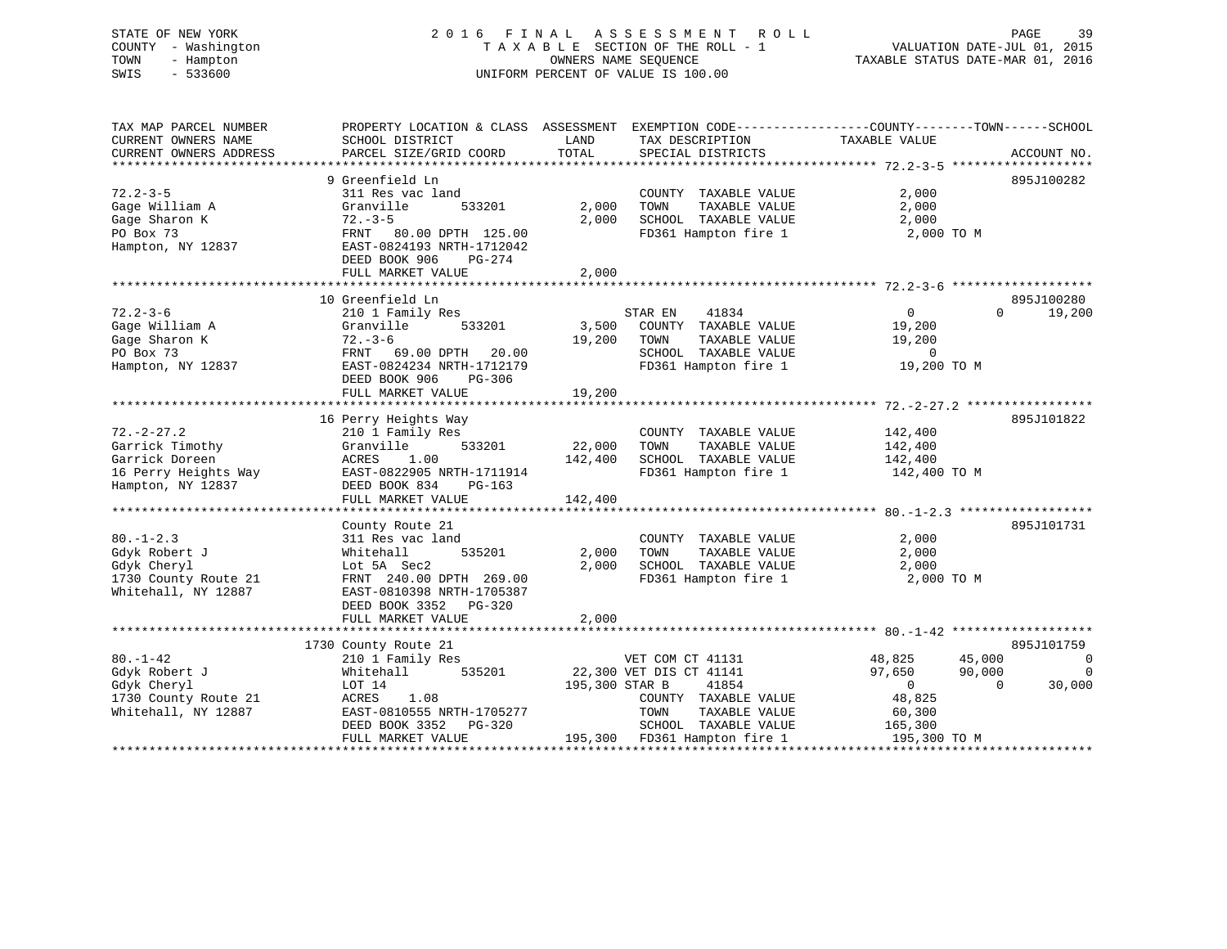# STATE OF NEW YORK 2 0 1 6 F I N A L A S S E S S M E N T R O L L PAGE 39 COUNTY - Washington T A X A B L E SECTION OF THE ROLL - 1 VALUATION DATE-JUL 01, 2015 TOWN - Hampton OWNERS NAME SEQUENCE TAXABLE STATUS DATE-MAR 01, 2016 SWIS - 533600 UNIFORM PERCENT OF VALUE IS 100.00

| TAX MAP PARCEL NUMBER<br>CURRENT OWNERS NAME<br>CURRENT OWNERS ADDRESS                                             | PROPERTY LOCATION & CLASS ASSESSMENT<br>SCHOOL DISTRICT<br>PARCEL SIZE/GRID COORD                                                                                                     | LAND<br>TOTAL                | EXEMPTION CODE-----------------COUNTY--------TOWN------SCHOOL<br>TAX DESCRIPTION<br>SPECIAL DISTRICTS                                                         | TAXABLE VALUE                                                                                                       | ACCOUNT NO.                           |
|--------------------------------------------------------------------------------------------------------------------|---------------------------------------------------------------------------------------------------------------------------------------------------------------------------------------|------------------------------|---------------------------------------------------------------------------------------------------------------------------------------------------------------|---------------------------------------------------------------------------------------------------------------------|---------------------------------------|
| ***************************<br>$72.2 - 3 - 5$<br>Gage William A<br>Gage Sharon K<br>PO Box 73<br>Hampton, NY 12837 | 9 Greenfield Ln<br>311 Res vac land<br>Granville<br>533201<br>$72. - 3 - 5$<br>FRNT 80.00 DPTH 125.00<br>EAST-0824193 NRTH-1712042<br>DEED BOOK 906<br>PG-274<br>FULL MARKET VALUE    | 2,000<br>2,000<br>2,000      | COUNTY TAXABLE VALUE<br>TOWN<br>TAXABLE VALUE<br>SCHOOL TAXABLE VALUE<br>FD361 Hampton fire 1                                                                 | 2,000<br>2,000<br>2,000<br>2,000 TO M                                                                               | 895J100282                            |
| $72.2 - 3 - 6$<br>Gage William A<br>Gage Sharon K<br>PO Box 73<br>Hampton, NY 12837                                | 10 Greenfield Ln<br>210 1 Family Res<br>533201<br>Granville<br>$72. - 3 - 6$<br>FRNT 69.00 DPTH<br>20.00<br>EAST-0824234 NRTH-1712179<br>DEED BOOK 906<br>PG-306<br>FULL MARKET VALUE | 19,200<br>19,200             | 41834<br>STAR EN<br>3,500 COUNTY TAXABLE VALUE<br>TOWN<br>TAXABLE VALUE<br>SCHOOL TAXABLE VALUE<br>FD361 Hampton fire 1                                       | $\overline{0}$<br>19,200<br>19,200<br>$\Omega$<br>19,200 TO M                                                       | 895J100280<br>19,200<br>$\Omega$      |
| $72. - 2 - 27.2$<br>Garrick Timothy<br>Garrick Doreen<br>16 Perry Heights Way<br>Hampton, NY 12837                 | 16 Perry Heights Way<br>210 1 Family Res<br>533201<br>Granville<br>ACRES<br>1.00<br>EAST-0822905 NRTH-1711914<br>DEED BOOK 834<br>PG-163<br>FULL MARKET VALUE                         | 22,000<br>142,400<br>142,400 | COUNTY TAXABLE VALUE<br>TOWN<br>TAXABLE VALUE<br>SCHOOL TAXABLE VALUE<br>FD361 Hampton fire 1                                                                 | 142,400<br>142,400<br>142,400<br>142,400 TO M                                                                       | 895J101822                            |
| $80. - 1 - 2.3$<br>Gdyk Robert J<br>Gdyk Cheryl<br>1730 County Route 21<br>Whitehall, NY 12887                     | County Route 21<br>311 Res vac land<br>535201<br>Whitehall<br>Lot 5A Sec2<br>FRNT 240.00 DPTH 269.00<br>EAST-0810398 NRTH-1705387<br>DEED BOOK 3352 PG-320<br>FULL MARKET VALUE       | 2,000<br>2,000<br>2,000      | COUNTY TAXABLE VALUE<br>TOWN<br>TAXABLE VALUE<br>SCHOOL TAXABLE VALUE<br>FD361 Hampton fire 1                                                                 | 2,000<br>2,000<br>2,000<br>2,000 TO M                                                                               | 895J101731                            |
| $80. - 1 - 42$<br>Gdyk Robert J<br>Gdyk Cheryl<br>1730 County Route 21<br>Whitehall, NY 12887                      | 1730 County Route 21<br>210 1 Family Res<br>535201<br>Whitehall<br>LOT 14<br>ACRES<br>1.08<br>EAST-0810555 NRTH-1705277<br>DEED BOOK 3352<br>PG-320<br>FULL MARKET VALUE              | 195,300 STAR B               | VET COM CT 41131<br>22,300 VET DIS CT 41141<br>41854<br>COUNTY TAXABLE VALUE<br>TOWN<br>TAXABLE VALUE<br>SCHOOL TAXABLE VALUE<br>195,300 FD361 Hampton fire 1 | 45,000<br>48,825<br>97,650<br>90,000<br>$\overline{0}$<br>$\bigcirc$<br>48,825<br>60,300<br>165,300<br>195,300 TO M | 895J101759<br>0<br>$\Omega$<br>30,000 |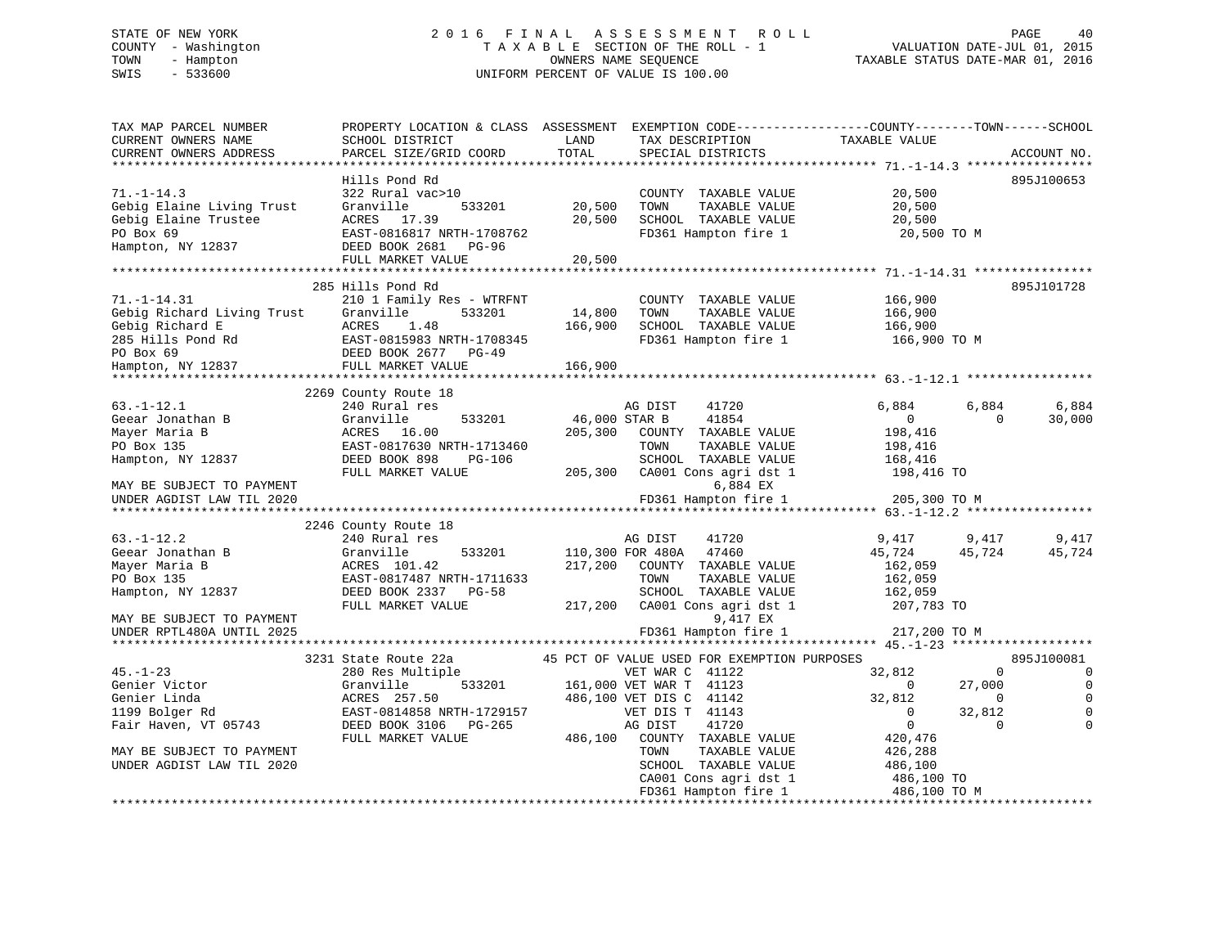# STATE OF NEW YORK 2 0 1 6 F I N A L A S S E S S M E N T R O L L PAGE 40 COUNTY - Washington T A X A B L E SECTION OF THE ROLL - 1 VALUATION DATE-JUL 01, 2015 TOWN - Hampton OWNERS NAME SEQUENCE TAXABLE STATUS DATE-MAR 01, 2016 SWIS - 533600 UNIFORM PERCENT OF VALUE IS 100.00UNIFORM PERCENT OF VALUE IS 100.00

| TAX MAP PARCEL NUMBER       | PROPERTY LOCATION & CLASS ASSESSMENT EXEMPTION CODE----------------COUNTY-------TOWN------SCHOOL |               |                                               |                                 |                                |
|-----------------------------|--------------------------------------------------------------------------------------------------|---------------|-----------------------------------------------|---------------------------------|--------------------------------|
| CURRENT OWNERS NAME         | SCHOOL DISTRICT                                                                                  | LAND          | TAX DESCRIPTION                               | TAXABLE VALUE                   |                                |
| CURRENT OWNERS ADDRESS      | PARCEL SIZE/GRID COORD                                                                           | TOTAL         | SPECIAL DISTRICTS                             |                                 | ACCOUNT NO.                    |
|                             | Hills Pond Rd                                                                                    |               |                                               |                                 | 895J100653                     |
| $71. - 1 - 14.3$            | 322 Rural vac>10                                                                                 |               | COUNTY TAXABLE VALUE                          | 20,500                          |                                |
| Gebig Elaine Living Trust   | Granville<br>533201                                                                              | 20,500        | TOWN<br>TAXABLE VALUE                         | 20,500                          |                                |
| Gebig Elaine Trustee        | ACRES 17.39                                                                                      | 20,500        | SCHOOL TAXABLE VALUE                          | 20,500                          |                                |
| PO Box 69                   | EAST-0816817 NRTH-1708762                                                                        |               | FD361 Hampton fire 1                          | 20,500 TO M                     |                                |
| Hampton, NY 12837           | DEED BOOK 2681 PG-96                                                                             |               |                                               |                                 |                                |
|                             | FULL MARKET VALUE                                                                                | 20,500        |                                               |                                 |                                |
|                             |                                                                                                  |               |                                               |                                 |                                |
|                             | 285 Hills Pond Rd                                                                                |               |                                               |                                 | 895J101728                     |
| $71. - 1 - 14.31$           | 210 1 Family Res - WTRFNT                                                                        |               | COUNTY TAXABLE VALUE                          | 166,900                         |                                |
| Gebig Richard Living Trust  | Granville<br>533201                                                                              | 14,800        | TAXABLE VALUE<br>TOWN                         | 166,900                         |                                |
| Gebig Richard E             | ACRES<br>1.48                                                                                    | 166,900       | SCHOOL TAXABLE VALUE                          | 166,900                         |                                |
| 285 Hills Pond Rd           | EAST-0815983 NRTH-1708345                                                                        |               | FD361 Hampton fire 1                          | 166,900 TO M                    |                                |
| PO Box 69                   | DEED BOOK 2677 PG-49                                                                             |               |                                               |                                 |                                |
| Hampton, NY 12837           | FULL MARKET VALUE                                                                                | 166,900       |                                               |                                 |                                |
|                             | 2269 County Route 18                                                                             |               |                                               |                                 |                                |
| $63. - 1 - 12.1$            | 240 Rural res                                                                                    |               | AG DIST<br>41720                              | 6,884                           | 6,884<br>6,884                 |
| Geear Jonathan B            | Granville<br>533201                                                                              | 46,000 STAR B | 41854                                         | $\overline{0}$                  | 30,000<br>$\Omega$             |
| Mayer Maria B               | ACRES 16.00                                                                                      |               | 205,300 COUNTY TAXABLE VALUE                  | 198,416                         |                                |
| PO Box 135                  | EAST-0817630 NRTH-1713460                                                                        |               | TAXABLE VALUE<br>TOWN                         | 198,416                         |                                |
| Hampton, NY 12837           | DEED BOOK 898<br>PG-106                                                                          |               | SCHOOL TAXABLE VALUE                          | 168,416                         |                                |
|                             | FULL MARKET VALUE                                                                                |               | 205,300 CA001 Cons agri dst 1                 | 198,416 TO                      |                                |
| MAY BE SUBJECT TO PAYMENT   |                                                                                                  |               | 6,884 EX                                      |                                 |                                |
| UNDER AGDIST LAW TIL 2020   |                                                                                                  |               | FD361 Hampton fire 1                          | 205,300 TO M                    |                                |
|                             |                                                                                                  |               |                                               |                                 |                                |
|                             | 2246 County Route 18                                                                             |               |                                               |                                 |                                |
| $63. - 1 - 12.2$            | 240 Rural res                                                                                    |               | AG DIST<br>41720                              | 9,417                           | 9,417<br>9,417                 |
| Geear Jonathan B            | Granville<br>533201                                                                              |               | 110,300 FOR 480A 47460                        | 45,724                          | 45,724<br>45,724               |
| Mayer Maria B<br>PO Box 135 | ACRES 101.42<br>EAST-0817487 NRTH-1711633                                                        | 217,200       | COUNTY TAXABLE VALUE<br>TOWN                  | 162,059<br>162,059              |                                |
| Hampton, NY 12837           | DEED BOOK 2337 PG-58                                                                             |               | TAXABLE VALUE<br>SCHOOL TAXABLE VALUE         | 162,059                         |                                |
|                             | FULL MARKET VALUE                                                                                |               | 217,200 CA001 Cons agri dst 1                 | 207,783 TO                      |                                |
| MAY BE SUBJECT TO PAYMENT   |                                                                                                  |               | 9,417 EX                                      |                                 |                                |
| UNDER RPTL480A UNTIL 2025   |                                                                                                  |               | FD361 Hampton fire 1                          | 217,200 TO M                    |                                |
|                             |                                                                                                  |               |                                               |                                 |                                |
|                             | 3231 State Route 22a                                                                             |               | 45 PCT OF VALUE USED FOR EXEMPTION PURPOSES   |                                 | 895J100081                     |
| $45. - 1 - 23$              | 280 Res Multiple                                                                                 |               | VET WAR C 41122                               | 32,812                          | $\mathbf{0}$<br>$\overline{0}$ |
| Genier Victor               | 533201<br>Granville                                                                              |               | 161,000 VET WAR T 41123                       | $\overline{0}$                  | $\mathbf 0$<br>27,000          |
| Genier Linda                | ACRES 257.50                                                                                     |               | 486,100 VET DIS C 41142                       | 32,812                          | $\Omega$<br>$\Omega$           |
| 1199 Bolger Rd              | EAST-0814858 NRTH-1729157                                                                        |               | VET DIS T 41143                               | $\mathbf{0}$                    | 32,812<br>$\Omega$             |
| Fair Haven, VT 05743        | DEED BOOK 3106 PG-265                                                                            |               | 41720<br>AG DIST                              | $\overline{0}$                  | $\Omega$<br>$\Omega$           |
|                             | FULL MARKET VALUE                                                                                | 486,100       | COUNTY TAXABLE VALUE                          | 420,476                         |                                |
| MAY BE SUBJECT TO PAYMENT   |                                                                                                  |               | TOWN<br>TAXABLE VALUE                         | 426,288                         |                                |
| UNDER AGDIST LAW TIL 2020   |                                                                                                  |               | SCHOOL TAXABLE VALUE                          | 486,100                         |                                |
|                             |                                                                                                  |               | CA001 Cons agri dst 1<br>FD361 Hampton fire 1 | 486,100 TO<br>486,100 TO M      |                                |
|                             |                                                                                                  |               |                                               | ******************************* |                                |
|                             |                                                                                                  |               |                                               |                                 |                                |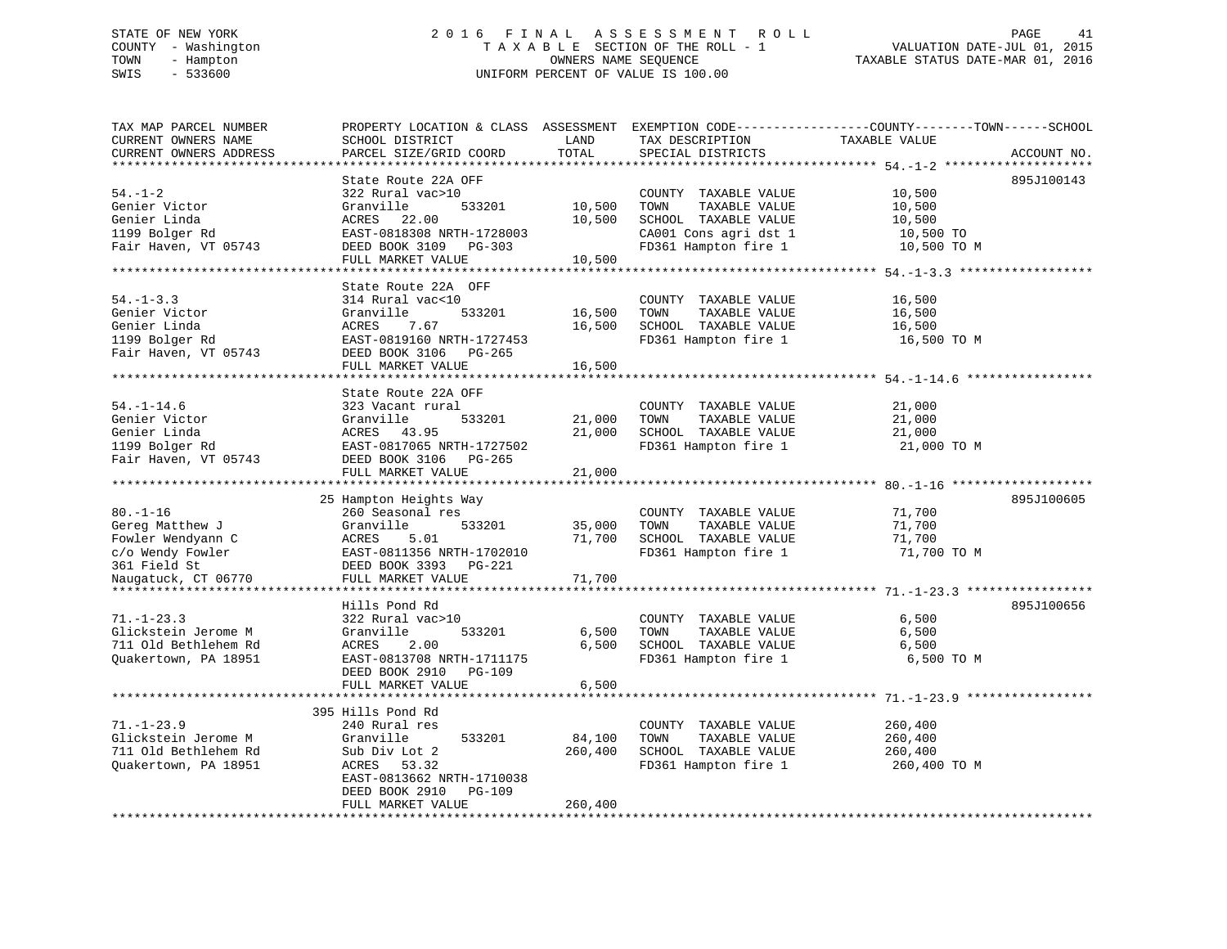# STATE OF NEW YORK 2 0 1 6 F I N A L A S S E S S M E N T R O L L PAGE 41 COUNTY - Washington T A X A B L E SECTION OF THE ROLL - 1 VALUATION DATE-JUL 01, 2015 TOWN - Hampton OWNERS NAME SEQUENCE TAXABLE STATUS DATE-MAR 01, 2016 SWIS - 533600 UNIFORM PERCENT OF VALUE IS 100.00

| TAX MAP PARCEL NUMBER<br>CURRENT OWNERS NAME<br>CURRENT OWNERS ADDRESS                     | PROPERTY LOCATION & CLASS ASSESSMENT EXEMPTION CODE----------------COUNTY-------TOWN------SCHOOL<br>SCHOOL DISTRICT<br>PARCEL SIZE/GRID COORD               | LAND<br>TOTAL              | TAX DESCRIPTION<br>SPECIAL DISTRICTS                                                                                   | TAXABLE VALUE                                          | ACCOUNT NO. |
|--------------------------------------------------------------------------------------------|-------------------------------------------------------------------------------------------------------------------------------------------------------------|----------------------------|------------------------------------------------------------------------------------------------------------------------|--------------------------------------------------------|-------------|
|                                                                                            |                                                                                                                                                             |                            |                                                                                                                        |                                                        |             |
| $54. - 1 - 2$<br>Genier Victor<br>Genier Linda<br>1199 Bolger Rd<br>Fair Haven, VT 05743   | State Route 22A OFF<br>322 Rural vac>10<br>Granville<br>533201<br>ACRES<br>22.00<br>EAST-0818308 NRTH-1728003<br>DEED BOOK 3109 PG-303<br>FULL MARKET VALUE | 10,500<br>10,500<br>10,500 | COUNTY TAXABLE VALUE<br>TAXABLE VALUE<br>TOWN<br>SCHOOL TAXABLE VALUE<br>CA001 Cons agri dst 1<br>FD361 Hampton fire 1 | 10,500<br>10,500<br>10,500<br>10,500 TO<br>10,500 TO M | 895J100143  |
|                                                                                            |                                                                                                                                                             |                            |                                                                                                                        |                                                        |             |
| $54. - 1 - 3.3$<br>Genier Victor<br>Genier Linda<br>1199 Bolger Rd<br>Fair Haven, VT 05743 | State Route 22A OFF<br>314 Rural vac<10<br>533201<br>Granville<br>ACRES<br>7.67<br>EAST-0819160 NRTH-1727453<br>DEED BOOK 3106 PG-265                       | 16,500<br>16,500           | COUNTY TAXABLE VALUE<br>TAXABLE VALUE<br>TOWN<br>SCHOOL TAXABLE VALUE<br>FD361 Hampton fire 1                          | 16,500<br>16,500<br>16,500<br>16,500 TO M              |             |
|                                                                                            | FULL MARKET VALUE                                                                                                                                           | 16,500                     |                                                                                                                        |                                                        |             |
| $54. - 1 - 14.6$                                                                           | State Route 22A OFF<br>323 Vacant rural                                                                                                                     |                            | COUNTY TAXABLE VALUE                                                                                                   | 21,000                                                 |             |
| Genier Victor<br>Genier Linda<br>1199 Bolger Rd                                            | Granville<br>533201<br>ACRES<br>43.95<br>EAST-0817065 NRTH-1727502                                                                                          | 21,000<br>21,000           | TOWN<br>TAXABLE VALUE<br>SCHOOL TAXABLE VALUE<br>FD361 Hampton fire 1                                                  | 21,000<br>21,000<br>21,000 TO M                        |             |
| Fair Haven, VT 05743                                                                       | DEED BOOK 3106 PG-265<br>FULL MARKET VALUE                                                                                                                  | 21,000                     |                                                                                                                        |                                                        |             |
|                                                                                            |                                                                                                                                                             |                            |                                                                                                                        |                                                        |             |
| $80. - 1 - 16$<br>Gereg Matthew J<br>Fowler Wendyann C<br>c/o Wendy Fowler<br>361 Field St | 25 Hampton Heights Way<br>260 Seasonal res<br>Granville<br>533201<br>5.01<br>ACRES<br>EAST-0811356 NRTH-1702010<br>DEED BOOK 3393 PG-221                    | 35,000<br>71,700           | COUNTY TAXABLE VALUE<br>TAXABLE VALUE<br>TOWN<br>SCHOOL TAXABLE VALUE<br>FD361 Hampton fire 1                          | 71,700<br>71,700<br>71,700<br>71,700 TO M              | 895J100605  |
| Naugatuck, CT 06770                                                                        | FULL MARKET VALUE                                                                                                                                           | 71,700                     |                                                                                                                        |                                                        |             |
|                                                                                            | Hills Pond Rd                                                                                                                                               |                            |                                                                                                                        |                                                        | 895J100656  |
| $71. - 1 - 23.3$<br>Glickstein Jerome M<br>711 Old Bethlehem Rd<br>Quakertown, PA 18951    | 322 Rural vac>10<br>Granville<br>533201<br>ACRES<br>2.00<br>EAST-0813708 NRTH-1711175<br>DEED BOOK 2910<br><b>PG-109</b><br>FULL MARKET VALUE               | 6,500<br>6,500<br>6,500    | COUNTY TAXABLE VALUE<br>TAXABLE VALUE<br>TOWN<br>SCHOOL TAXABLE VALUE<br>FD361 Hampton fire 1                          | 6,500<br>6,500<br>6,500<br>6,500 TO M                  |             |
|                                                                                            |                                                                                                                                                             |                            |                                                                                                                        |                                                        |             |
| $71. - 1 - 23.9$<br>Glickstein Jerome M<br>711 Old Bethlehem Rd                            | 395 Hills Pond Rd<br>240 Rural res<br>533201<br>Granville<br>Sub Div Lot 2                                                                                  | 84,100<br>260,400          | COUNTY TAXABLE VALUE<br>TOWN<br>TAXABLE VALUE<br>SCHOOL TAXABLE VALUE                                                  | 260,400<br>260,400<br>260,400                          |             |
| Quakertown, PA 18951                                                                       | 53.32<br>ACRES<br>EAST-0813662 NRTH-1710038<br>DEED BOOK 2910<br>PG-109<br>FULL MARKET VALUE                                                                | 260,400                    | FD361 Hampton fire 1                                                                                                   | 260,400 TO M                                           |             |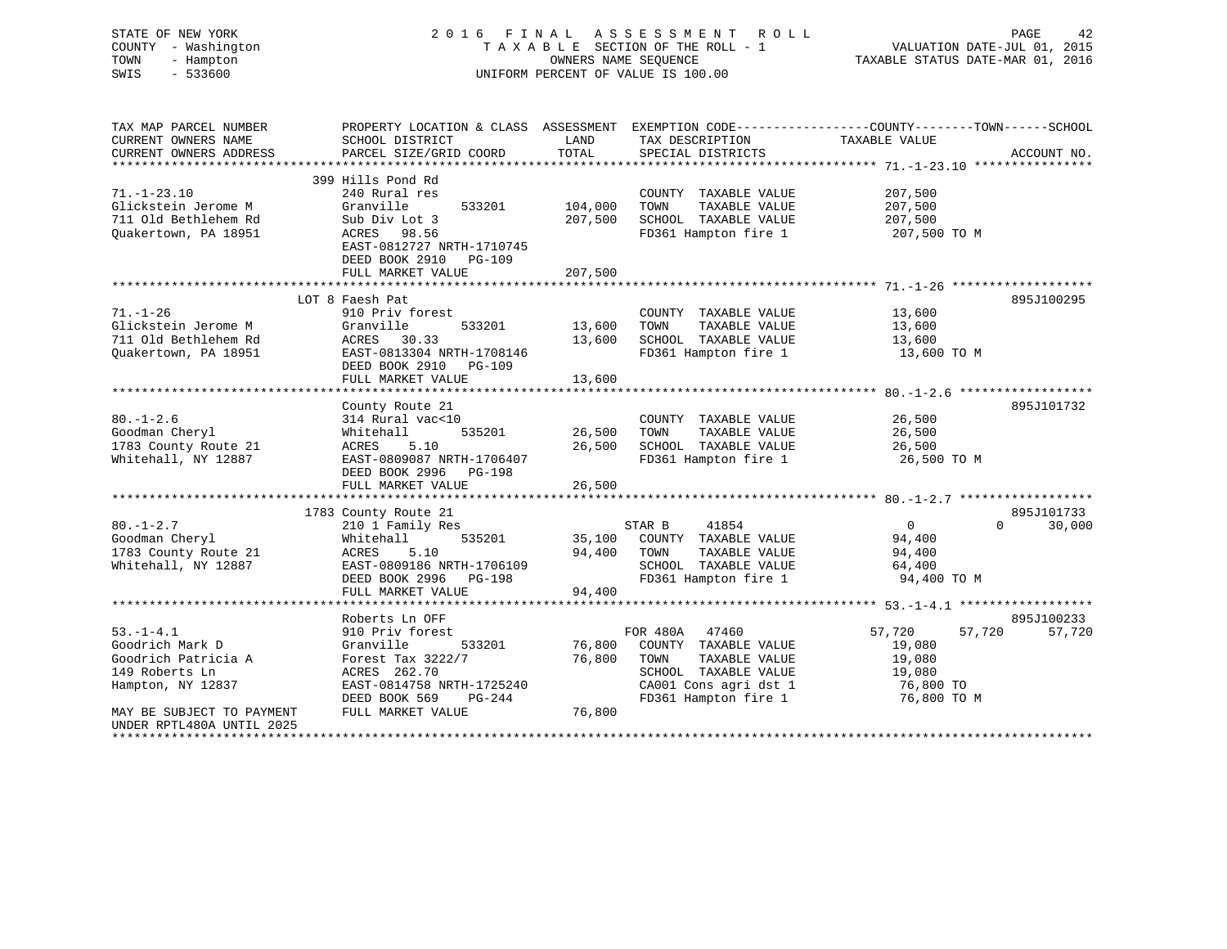| STATE OF NEW YORK<br>COUNTY - Washington<br>- Hampton<br>TOWN<br>SWIS<br>$-533600$ |                                                                                                                    |              | 2016 FINAL ASSESSMENT ROLL<br>TAXABLE SECTION OF THE ROLL - 1<br>OWNERS NAME SEOUENCE<br>UNIFORM PERCENT OF VALUE IS 100.00 | VALUATION DATE-JUL 01, 2015<br>TAXABLE STATUS DATE-MAR 01, 2016 | PAGE<br>42             |
|------------------------------------------------------------------------------------|--------------------------------------------------------------------------------------------------------------------|--------------|-----------------------------------------------------------------------------------------------------------------------------|-----------------------------------------------------------------|------------------------|
| TAX MAP PARCEL NUMBER<br>CURRENT OWNERS NAME                                       | PROPERTY LOCATION & CLASS ASSESSMENT EXEMPTION CODE---------------COUNTY-------TOWN------SCHOOL<br>SCHOOL DISTRICT | LAND         | TAX DESCRIPTION                                                                                                             | TAXABLE VALUE                                                   |                        |
| CURRENT OWNERS ADDRESS                                                             | PARCEL SIZE/GRID COORD                                                                                             | TOTAL        | SPECIAL DISTRICTS                                                                                                           |                                                                 | ACCOUNT NO.            |
|                                                                                    |                                                                                                                    |              |                                                                                                                             |                                                                 |                        |
|                                                                                    | 399 Hills Pond Rd                                                                                                  |              |                                                                                                                             |                                                                 |                        |
| $71. - 1 - 23.10$                                                                  | 240 Rural res                                                                                                      |              | COUNTY TAXABLE VALUE                                                                                                        | 207,500                                                         |                        |
| Glickstein Jerome M                                                                | Granville<br>533201                                                                                                | 104,000      | TOWN<br>TAXABLE VALUE                                                                                                       | 207,500                                                         |                        |
| 711 Old Bethlehem Rd                                                               | Sub Div Lot 3                                                                                                      | 207,500      | SCHOOL TAXABLE VALUE                                                                                                        | 207,500                                                         |                        |
| Quakertown, PA 18951                                                               | ACRES 98.56                                                                                                        |              | FD361 Hampton fire 1                                                                                                        | 207,500 TO M                                                    |                        |
|                                                                                    | EAST-0812727 NRTH-1710745                                                                                          |              |                                                                                                                             |                                                                 |                        |
|                                                                                    | DEED BOOK 2910<br>PG-109<br>FULL MARKET VALUE                                                                      | 207,500      |                                                                                                                             |                                                                 |                        |
|                                                                                    |                                                                                                                    | ************ |                                                                                                                             |                                                                 |                        |
|                                                                                    | LOT 8 Faesh Pat                                                                                                    |              |                                                                                                                             |                                                                 | 895J100295             |
| $71. - 1 - 26$                                                                     | 910 Priv forest                                                                                                    |              | COUNTY TAXABLE VALUE                                                                                                        | 13,600                                                          |                        |
| Glickstein Jerome M                                                                | Granville<br>533201                                                                                                | 13,600       | TOWN<br>TAXABLE VALUE                                                                                                       | 13,600                                                          |                        |
| 711 Old Bethlehem Rd                                                               | ACRES 30.33                                                                                                        | 13,600       | SCHOOL TAXABLE VALUE                                                                                                        | 13,600                                                          |                        |
| Quakertown, PA 18951                                                               | EAST-0813304 NRTH-1708146                                                                                          |              | FD361 Hampton fire 1                                                                                                        | 13,600 TO M                                                     |                        |
|                                                                                    | DEED BOOK 2910 PG-109                                                                                              |              |                                                                                                                             |                                                                 |                        |
|                                                                                    | FULL MARKET VALUE                                                                                                  | 13,600       |                                                                                                                             |                                                                 |                        |
|                                                                                    | County Route 21                                                                                                    |              |                                                                                                                             |                                                                 | 895J101732             |
| $80. - 1 - 2.6$                                                                    | 314 Rural vac<10                                                                                                   |              | COUNTY TAXABLE VALUE                                                                                                        | 26,500                                                          |                        |
| Goodman Cheryl                                                                     | Whitehall<br>535201                                                                                                | 26,500       | TOWN<br>TAXABLE VALUE                                                                                                       | 26,500                                                          |                        |
| 1783 County Route 21                                                               | ACRES<br>5.10                                                                                                      | 26,500       | SCHOOL TAXABLE VALUE                                                                                                        | 26,500                                                          |                        |
| Whitehall, NY 12887                                                                | EAST-0809087 NRTH-1706407                                                                                          |              | FD361 Hampton fire 1                                                                                                        | 26,500 TO M                                                     |                        |
|                                                                                    | DEED BOOK 2996 PG-198                                                                                              |              |                                                                                                                             |                                                                 |                        |
|                                                                                    | FULL MARKET VALUE                                                                                                  | 26,500       |                                                                                                                             |                                                                 |                        |
|                                                                                    |                                                                                                                    |              |                                                                                                                             |                                                                 |                        |
|                                                                                    | 1783 County Route 21                                                                                               |              |                                                                                                                             |                                                                 | 895J101733<br>$\Omega$ |
| $80. - 1 - 2.7$<br>Goodman Cheryl                                                  | 210 1 Family Res<br>Whitehall<br>535201                                                                            | 35,100       | 41854<br>STAR B<br>COUNTY TAXABLE VALUE                                                                                     | $\overline{0}$<br>94,400                                        | 30,000                 |
| 1783 County Route 21                                                               | ACRES<br>5.10                                                                                                      | 94,400       | TAXABLE VALUE<br>TOWN                                                                                                       | 94,400                                                          |                        |
| Whitehall, NY 12887                                                                | EAST-0809186 NRTH-1706109                                                                                          |              | SCHOOL TAXABLE VALUE                                                                                                        | 64,400                                                          |                        |
|                                                                                    | DEED BOOK 2996 PG-198                                                                                              |              | FD361 Hampton fire 1                                                                                                        | 94,400 TO M                                                     |                        |
|                                                                                    | FULL MARKET VALUE                                                                                                  | 94,400       |                                                                                                                             |                                                                 |                        |
|                                                                                    |                                                                                                                    |              |                                                                                                                             |                                                                 |                        |
|                                                                                    | Roberts Ln OFF                                                                                                     |              |                                                                                                                             |                                                                 | 895J100233             |
| $53. -1 - 4.1$                                                                     | 910 Priv forest                                                                                                    |              | FOR 480A 47460                                                                                                              | 57,720<br>57,720                                                | 57,720                 |
| Goodrich Mark D                                                                    | Granville<br>533201                                                                                                | 76,800       | COUNTY TAXABLE VALUE                                                                                                        | 19,080                                                          |                        |
| Goodrich Patricia A                                                                | Forest Tax 3222/7                                                                                                  | 76,800       | TAXABLE VALUE<br>TOWN                                                                                                       | 19,080                                                          |                        |
| 149 Roberts Ln                                                                     | ACRES 262.70                                                                                                       |              | SCHOOL TAXABLE VALUE                                                                                                        | 19,080                                                          |                        |
| Hampton, NY 12837                                                                  | EAST-0814758 NRTH-1725240<br>DEED BOOK 569<br>PG-244                                                               |              | CA001 Cons agri dst 1<br>FD361 Hampton fire 1                                                                               | 76,800 TO<br>76,800 TO M                                        |                        |
| MAY BE SUBJECT TO PAYMENT                                                          | FULL MARKET VALUE                                                                                                  | 76,800       |                                                                                                                             |                                                                 |                        |
| UNDER RPTL480A UNTIL 2025                                                          |                                                                                                                    |              |                                                                                                                             |                                                                 |                        |
|                                                                                    |                                                                                                                    |              |                                                                                                                             |                                                                 |                        |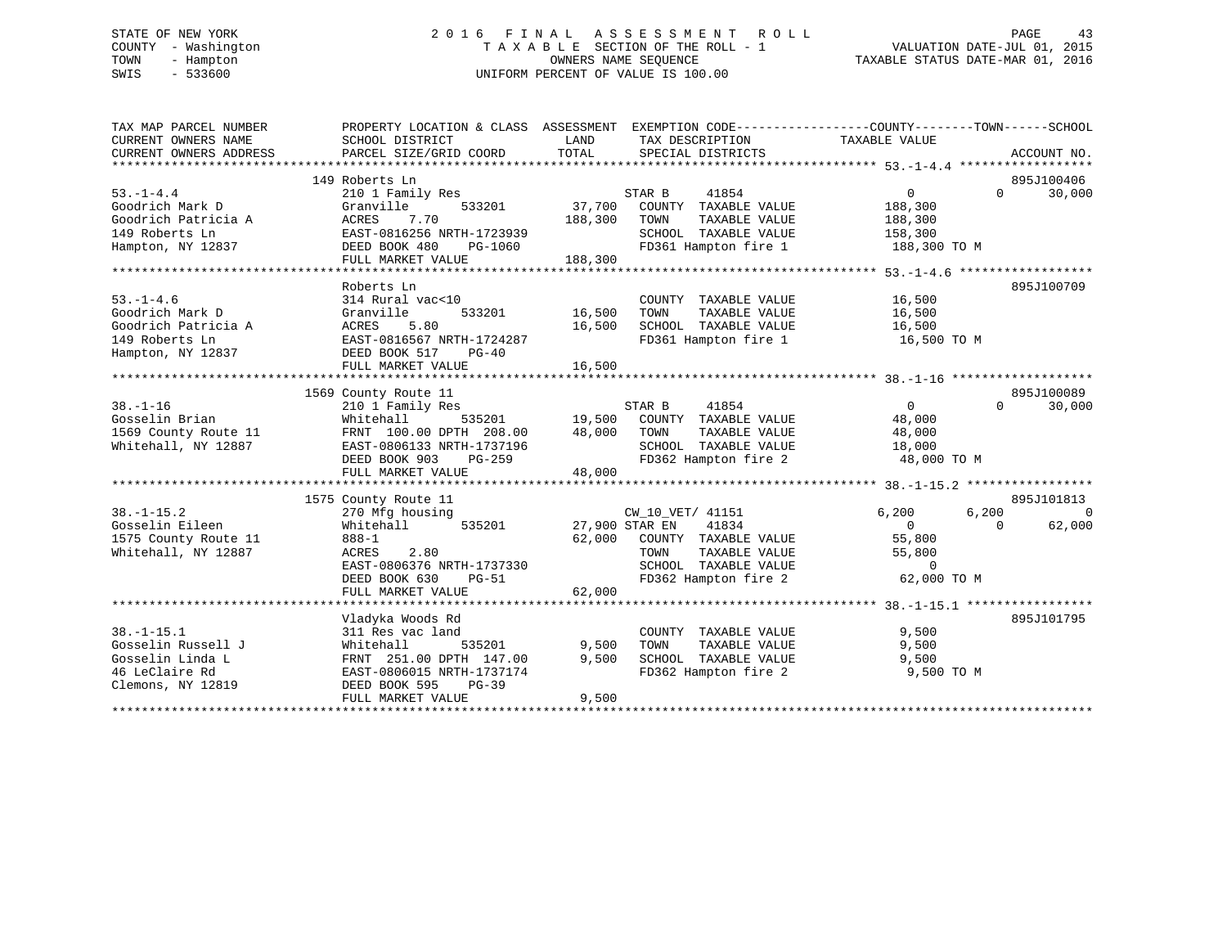# STATE OF NEW YORK 2 0 1 6 F I N A L A S S E S S M E N T R O L L PAGE 43 COUNTY - Washington T A X A B L E SECTION OF THE ROLL - 1 VALUATION DATE-JUL 01, 2015 TOWN - Hampton OWNERS NAME SEQUENCE TAXABLE STATUS DATE-MAR 01, 2016 SWIS - 533600 UNIFORM PERCENT OF VALUE IS 100.00

| TAX MAP PARCEL NUMBER  | PROPERTY LOCATION & CLASS ASSESSMENT EXEMPTION CODE----------------COUNTY-------TOWN-----SCHOOL |                |                                              |                         |          |                              |
|------------------------|-------------------------------------------------------------------------------------------------|----------------|----------------------------------------------|-------------------------|----------|------------------------------|
| CURRENT OWNERS NAME    | SCHOOL DISTRICT                                                                                 | LAND           | TAX DESCRIPTION                              | TAXABLE VALUE           |          |                              |
| CURRENT OWNERS ADDRESS | PARCEL SIZE/GRID COORD                                                                          | TOTAL          | SPECIAL DISTRICTS                            |                         |          | ACCOUNT NO.                  |
|                        |                                                                                                 |                |                                              |                         |          |                              |
|                        | 149 Roberts Ln                                                                                  |                |                                              |                         |          | 895J100406                   |
| $53. - 1 - 4.4$        | 210 1 Family Res                                                                                |                | STAR B<br>41854                              | $\mathbf{0}$            | $\Omega$ | 30,000                       |
| Goodrich Mark D        | Granville<br>533201                                                                             | 37,700         | COUNTY TAXABLE VALUE                         | 188,300                 |          |                              |
| Goodrich Patricia A    | ACRES<br>7.70                                                                                   | 188,300        | TOWN<br>TAXABLE VALUE                        | 188,300                 |          |                              |
| 149 Roberts Ln         | EAST-0816256 NRTH-1723939<br>DEED BOOK 480<br>PG-1060                                           |                | SCHOOL TAXABLE VALUE<br>FD361 Hampton fire 1 | 158,300<br>188,300 TO M |          |                              |
| Hampton, NY 12837      | FULL MARKET VALUE                                                                               | 188,300        |                                              |                         |          |                              |
|                        |                                                                                                 |                |                                              |                         |          |                              |
|                        | Roberts Ln                                                                                      |                |                                              |                         |          | 895J100709                   |
| $53. - 1 - 4.6$        | 314 Rural vac<10                                                                                |                | COUNTY TAXABLE VALUE                         | 16,500                  |          |                              |
| Goodrich Mark D        | 533201<br>Granville                                                                             | 16,500         | TOWN<br>TAXABLE VALUE                        | 16,500                  |          |                              |
| Goodrich Patricia A    | 5.80<br>ACRES                                                                                   | 16,500         | SCHOOL TAXABLE VALUE                         | 16,500                  |          |                              |
| 149 Roberts Ln         | EAST-0816567 NRTH-1724287                                                                       |                | FD361 Hampton fire 1                         | 16,500 TO M             |          |                              |
| Hampton, NY 12837      | DEED BOOK 517<br>$PG-40$                                                                        |                |                                              |                         |          |                              |
|                        | FULL MARKET VALUE                                                                               | 16,500         |                                              |                         |          |                              |
|                        |                                                                                                 |                |                                              |                         |          |                              |
|                        | 1569 County Route 11                                                                            |                |                                              |                         |          | 895J100089                   |
| $38. - 1 - 16$         | 210 1 Family Res                                                                                |                | STAR B<br>41854                              | 0                       | $\Omega$ | 30,000                       |
| Gosselin Brian         | 535201<br>Whitehall                                                                             |                | 19,500 COUNTY TAXABLE VALUE                  | 48,000                  |          |                              |
| 1569 County Route 11   | FRNT 100.00 DPTH 208.00                                                                         | 48,000         | TOWN<br>TAXABLE VALUE                        | 48,000                  |          |                              |
| Whitehall, NY 12887    | EAST-0806133 NRTH-1737196                                                                       |                | SCHOOL TAXABLE VALUE                         | 18,000                  |          |                              |
|                        | DEED BOOK 903<br>PG-259                                                                         |                | FD362 Hampton fire 2                         | 48,000 TO M             |          |                              |
|                        | FULL MARKET VALUE                                                                               | 48,000         |                                              |                         |          |                              |
|                        |                                                                                                 |                |                                              |                         |          |                              |
| $38. - 1 - 15.2$       | 1575 County Route 11<br>270 Mfg housing                                                         |                | CW_10_VET/ 41151                             | 6,200                   | 6,200    | 895J101813<br>$\overline{0}$ |
| Gosselin Eileen        | Whitehall<br>535201                                                                             | 27,900 STAR EN | 41834                                        | $\Omega$                | $\Omega$ | 62,000                       |
| 1575 County Route 11   | $888 - 1$                                                                                       | 62,000         | COUNTY TAXABLE VALUE                         | 55,800                  |          |                              |
| Whitehall, NY 12887    | 2.80<br>ACRES                                                                                   |                | TOWN<br>TAXABLE VALUE                        | 55,800                  |          |                              |
|                        | EAST-0806376 NRTH-1737330                                                                       |                | SCHOOL TAXABLE VALUE                         | $\overline{0}$          |          |                              |
|                        | DEED BOOK 630<br>$PG-51$                                                                        |                | FD362 Hampton fire 2                         | 62,000 TO M             |          |                              |
|                        | FULL MARKET VALUE                                                                               | 62,000         |                                              |                         |          |                              |
|                        |                                                                                                 |                |                                              |                         |          |                              |
|                        | Vladyka Woods Rd                                                                                |                |                                              |                         |          | 895J101795                   |
| $38. - 1 - 15.1$       | 311 Res vac land                                                                                |                | COUNTY TAXABLE VALUE                         | 9,500                   |          |                              |
| Gosselin Russell J     | Whitehall<br>535201                                                                             | 9,500          | TOWN<br>TAXABLE VALUE                        | 9,500                   |          |                              |
| Gosselin Linda L       | FRNT 251.00 DPTH 147.00                                                                         | 9,500          | SCHOOL TAXABLE VALUE                         | 9,500                   |          |                              |
| 46 LeClaire Rd         | EAST-0806015 NRTH-1737174                                                                       |                | FD362 Hampton fire 2                         | 9,500 TO M              |          |                              |
| Clemons, NY 12819      | DEED BOOK 595<br>$PG-39$                                                                        |                |                                              |                         |          |                              |
|                        | FULL MARKET VALUE                                                                               | 9,500          |                                              |                         |          |                              |
|                        |                                                                                                 |                |                                              |                         |          |                              |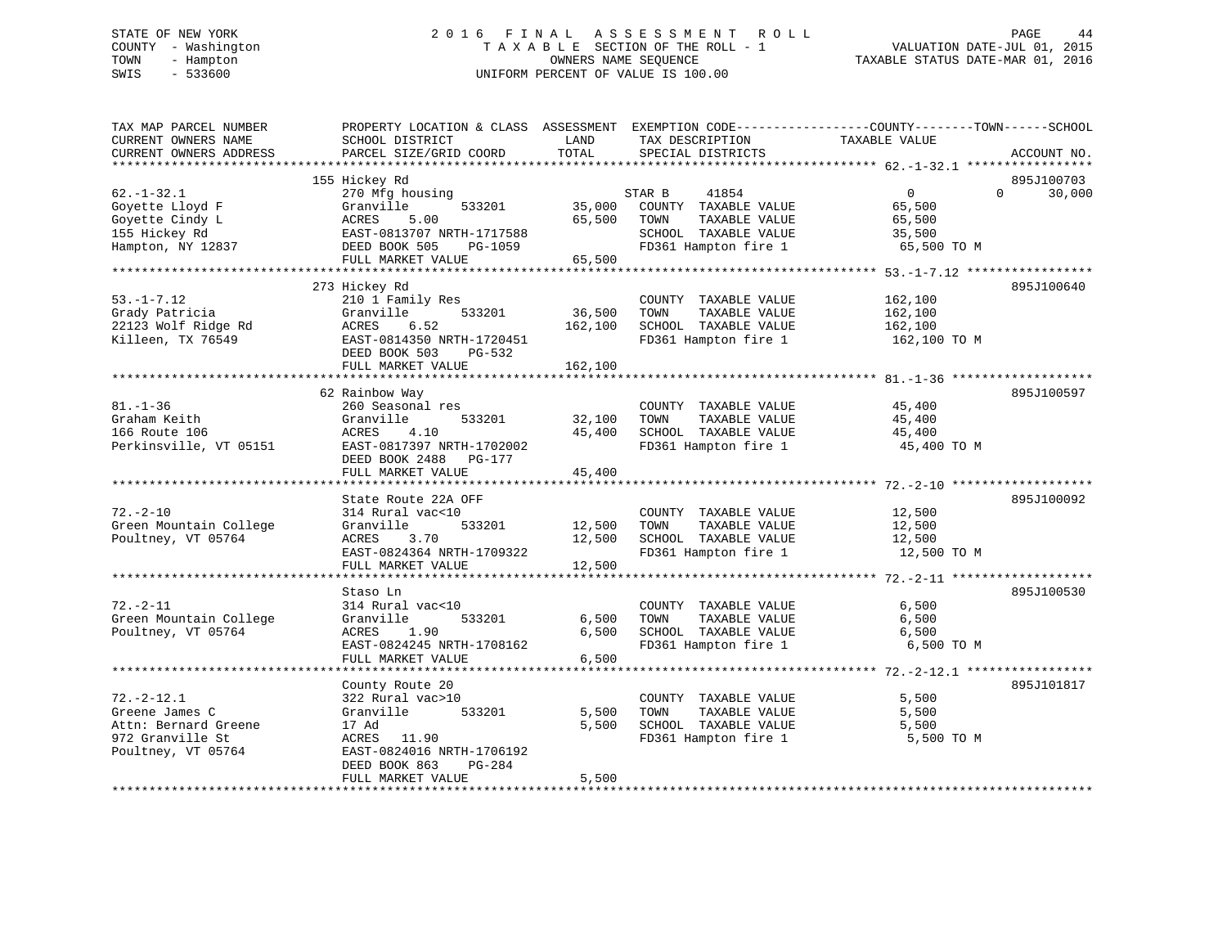# STATE OF NEW YORK 2 0 1 6 F I N A L A S S E S S M E N T R O L L PAGE 44 COUNTY - Washington T A X A B L E SECTION OF THE ROLL - 1 VALUATION DATE-JUL 01, 2015 TOWN - Hampton OWNERS NAME SEQUENCE TAXABLE STATUS DATE-MAR 01, 2016 SWIS - 533600 UNIFORM PERCENT OF VALUE IS 100.00

| TAX MAP PARCEL NUMBER<br>CURRENT OWNERS NAME<br>CURRENT OWNERS ADDRESS                               | PROPERTY LOCATION & CLASS ASSESSMENT EXEMPTION CODE----------------COUNTY-------TOWN------SCHOOL<br>SCHOOL DISTRICT<br>PARCEL SIZE/GRID COORD | LAND<br>TOTAL              | TAX DESCRIPTION<br>SPECIAL DISTRICTS                                                                             | TAXABLE VALUE                                               | ACCOUNT NO.                      |
|------------------------------------------------------------------------------------------------------|-----------------------------------------------------------------------------------------------------------------------------------------------|----------------------------|------------------------------------------------------------------------------------------------------------------|-------------------------------------------------------------|----------------------------------|
|                                                                                                      |                                                                                                                                               |                            |                                                                                                                  |                                                             |                                  |
| $62. - 1 - 32.1$<br>Goyette Lloyd F<br>Goyette Cindy L<br>155 Hickey Rd<br>Hampton, NY 12837         | 155 Hickey Rd<br>270 Mfg housing<br>533201<br>Granville<br>ACRES<br>5.00<br>EAST-0813707 NRTH-1717588<br>DEED BOOK 505<br>PG-1059             | 35,000<br>65,500           | STAR B<br>41854<br>COUNTY TAXABLE VALUE<br>TOWN<br>TAXABLE VALUE<br>SCHOOL TAXABLE VALUE<br>FD361 Hampton fire 1 | $\overline{0}$<br>65,500<br>65,500<br>35,500<br>65,500 TO M | 895J100703<br>$\Omega$<br>30,000 |
|                                                                                                      | FULL MARKET VALUE                                                                                                                             | 65,500                     |                                                                                                                  |                                                             |                                  |
|                                                                                                      |                                                                                                                                               |                            |                                                                                                                  |                                                             |                                  |
| $53. - 1 - 7.12$<br>Grady Patricia<br>22123 Wolf Ridge Rd<br>Killeen, TX 76549                       | 273 Hickey Rd<br>210 1 Family Res<br>Granville<br>533201<br>ACRES<br>6.52<br>EAST-0814350 NRTH-1720451<br>DEED BOOK 503<br>PG-532             | 36,500<br>162,100          | COUNTY TAXABLE VALUE<br>TAXABLE VALUE<br>TOWN<br>SCHOOL TAXABLE VALUE<br>FD361 Hampton fire 1                    | 162,100<br>162,100<br>162,100<br>162,100 TO M               | 895J100640                       |
|                                                                                                      | FULL MARKET VALUE                                                                                                                             | 162,100                    |                                                                                                                  |                                                             |                                  |
| $81. - 1 - 36$<br>Graham Keith<br>166 Route 106<br>Perkinsville, VT 05151                            | 62 Rainbow Way<br>260 Seasonal res<br>Granville<br>533201<br>ACRES<br>4.10<br>EAST-0817397 NRTH-1702002                                       | 32,100<br>45,400           | COUNTY TAXABLE VALUE<br>TOWN<br>TAXABLE VALUE<br>SCHOOL TAXABLE VALUE<br>FD361 Hampton fire 1                    | 45,400<br>45,400<br>45,400<br>45,400 TO M                   | 895J100597                       |
|                                                                                                      | DEED BOOK 2488 PG-177<br>FULL MARKET VALUE                                                                                                    | 45,400                     |                                                                                                                  |                                                             |                                  |
|                                                                                                      | State Route 22A OFF                                                                                                                           |                            |                                                                                                                  |                                                             | 895J100092                       |
| $72. - 2 - 10$<br>Green Mountain College<br>Poultney, VT 05764                                       | 314 Rural vac<10<br>Granville<br>533201<br>ACRES<br>3.70<br>EAST-0824364 NRTH-1709322<br>FULL MARKET VALUE                                    | 12,500<br>12,500<br>12,500 | COUNTY TAXABLE VALUE<br>TOWN<br>TAXABLE VALUE<br>SCHOOL TAXABLE VALUE<br>FD361 Hampton fire 1                    | 12,500<br>12,500<br>12,500<br>12,500 TO M                   |                                  |
|                                                                                                      |                                                                                                                                               |                            |                                                                                                                  |                                                             |                                  |
| $72. - 2 - 11$<br>Green Mountain College<br>Poultney, VT 05764                                       | Staso Ln<br>314 Rural vac<10<br>Granville<br>533201<br>ACRES<br>1.90<br>EAST-0824245 NRTH-1708162<br>FULL MARKET VALUE                        | 6,500<br>6,500<br>6,500    | COUNTY TAXABLE VALUE<br>TAXABLE VALUE<br>TOWN<br>SCHOOL TAXABLE VALUE<br>FD361 Hampton fire 1                    | 6,500<br>6,500<br>6,500<br>6,500 TO M                       | 895J100530                       |
|                                                                                                      |                                                                                                                                               |                            |                                                                                                                  |                                                             |                                  |
| $72. - 2 - 12.1$<br>Greene James C<br>Attn: Bernard Greene<br>972 Granville St<br>Poultney, VT 05764 | County Route 20<br>322 Rural vac>10<br>Granville<br>533201<br>17 Ad<br>ACRES<br>11.90<br>EAST-0824016 NRTH-1706192                            | 5,500<br>5,500             | COUNTY TAXABLE VALUE<br>TAXABLE VALUE<br>TOWN<br>SCHOOL TAXABLE VALUE<br>FD361 Hampton fire 1                    | 5,500<br>5,500<br>5,500<br>5,500 TO M                       | 895J101817                       |
|                                                                                                      | DEED BOOK 863<br>PG-284<br>FULL MARKET VALUE                                                                                                  | 5,500                      |                                                                                                                  |                                                             |                                  |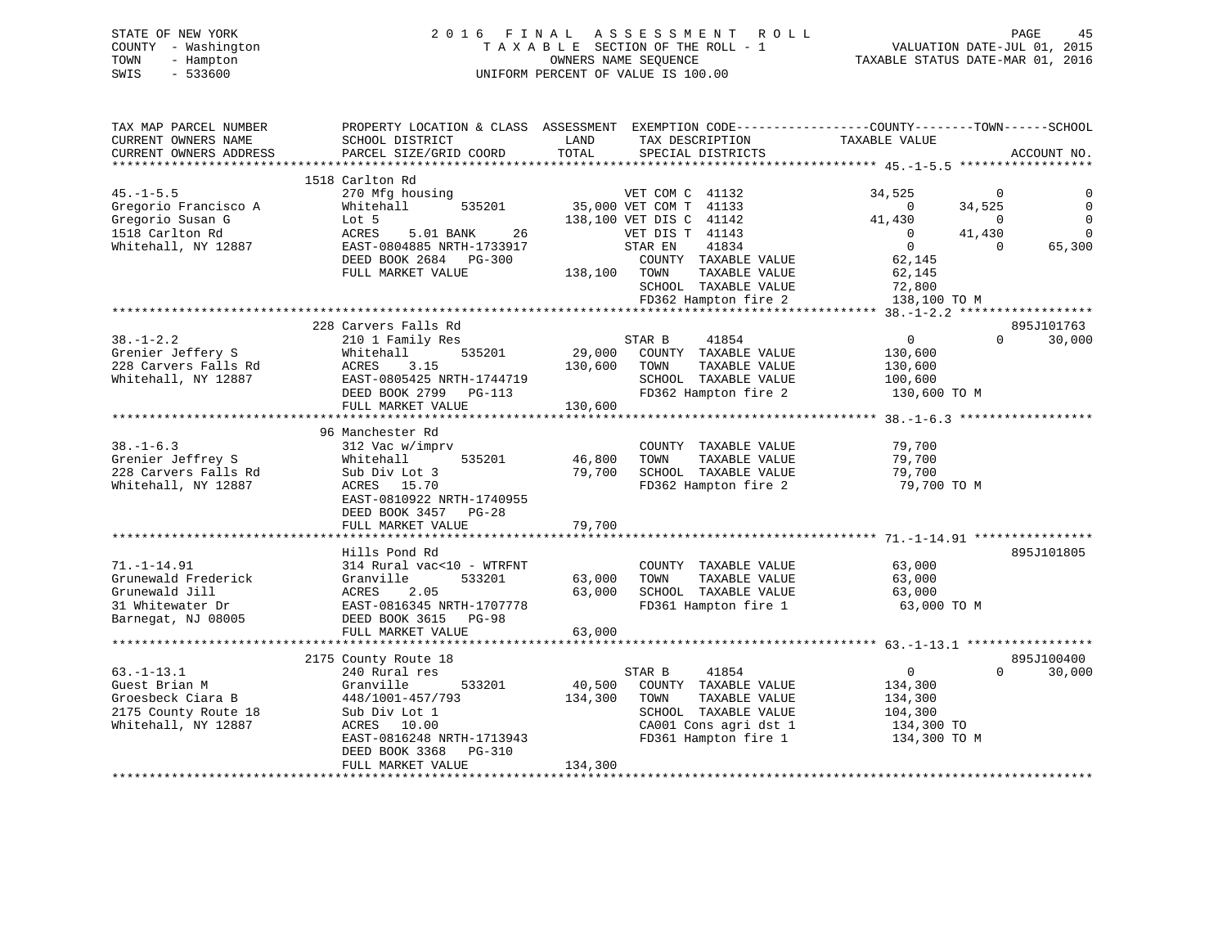# STATE OF NEW YORK 2 0 1 6 F I N A L A S S E S S M E N T R O L L PAGE 45 COUNTY - Washington T A X A B L E SECTION OF THE ROLL - 1 VALUATION DATE-JUL 01, 2015 TOWN - Hampton OWNERS NAME SEQUENCE TAXABLE STATUS DATE-MAR 01, 2016 SWIS - 533600 UNIFORM PERCENT OF VALUE IS 100.00

| TAX MAP PARCEL NUMBER<br>CURRENT OWNERS NAME<br>CURRENT OWNERS ADDRESS<br>*********************** | PROPERTY LOCATION & CLASS ASSESSMENT EXEMPTION CODE----------------COUNTY-------TOWN------SCHOOL<br>SCHOOL DISTRICT<br>PARCEL SIZE/GRID COORD | LAND<br>TOTAL | TAX DESCRIPTION<br>SPECIAL DISTRICTS | TAXABLE VALUE            | ACCOUNT NO.             |
|---------------------------------------------------------------------------------------------------|-----------------------------------------------------------------------------------------------------------------------------------------------|---------------|--------------------------------------|--------------------------|-------------------------|
|                                                                                                   | 1518 Carlton Rd                                                                                                                               |               |                                      |                          |                         |
| $45. - 1 - 5.5$                                                                                   | 270 Mfg housing                                                                                                                               |               | VET COM C 41132                      | 34,525                   | $\mathbf 0$             |
| Gregorio Francisco A                                                                              | Whitehall<br>535201                                                                                                                           |               | 35,000 VET COM T 41133               | 34,525<br>$\Omega$       |                         |
| Gregorio Susan G                                                                                  | Lot 5                                                                                                                                         |               | 138,100 VET DIS C 41142              | 41,430                   | $\Omega$<br>$\mathbf 0$ |
| 1518 Carlton Rd                                                                                   | ACRES<br>5.01 BANK<br>26                                                                                                                      |               | VET DIS T 41143                      | 41,430<br>$\overline{0}$ | $\Omega$                |
|                                                                                                   | EAST-0804885 NRTH-1733917                                                                                                                     |               | 41834                                | $\overline{0}$           | $\Omega$                |
| Whitehall, NY 12887                                                                               |                                                                                                                                               |               | STAR EN                              |                          | 65,300                  |
|                                                                                                   | DEED BOOK 2684 PG-300                                                                                                                         |               | COUNTY TAXABLE VALUE                 | 62,145                   |                         |
|                                                                                                   | FULL MARKET VALUE                                                                                                                             | 138,100       | TOWN<br>TAXABLE VALUE                | 62,145                   |                         |
|                                                                                                   |                                                                                                                                               |               | SCHOOL TAXABLE VALUE                 | 72,800                   |                         |
|                                                                                                   |                                                                                                                                               |               | FD362 Hampton fire 2                 | 138,100 TO M             |                         |
|                                                                                                   |                                                                                                                                               |               |                                      |                          |                         |
|                                                                                                   | 228 Carvers Falls Rd                                                                                                                          |               |                                      |                          | 895J101763              |
| $38. - 1 - 2.2$                                                                                   | 210 1 Family Res                                                                                                                              |               | 41854<br>STAR B                      | $\overline{0}$           | $\Omega$<br>30,000      |
| Grenier Jeffery S                                                                                 | 535201<br>Whitehall                                                                                                                           | 29,000        | COUNTY TAXABLE VALUE                 | 130,600                  |                         |
| 228 Carvers Falls Rd                                                                              | 3.15<br>ACRES                                                                                                                                 | 130,600       | TOWN<br>TAXABLE VALUE                | 130,600                  |                         |
| Whitehall, NY 12887                                                                               | EAST-0805425 NRTH-1744719                                                                                                                     |               | SCHOOL TAXABLE VALUE                 | 100,600                  |                         |
|                                                                                                   | DEED BOOK 2799 PG-113                                                                                                                         |               | FD362 Hampton fire 2                 | 130,600 TO M             |                         |
|                                                                                                   | FULL MARKET VALUE                                                                                                                             | 130,600       |                                      |                          |                         |
|                                                                                                   |                                                                                                                                               |               |                                      |                          |                         |
|                                                                                                   | 96 Manchester Rd                                                                                                                              |               |                                      |                          |                         |
| $38. - 1 - 6.3$                                                                                   | 312 Vac w/imprv                                                                                                                               |               | COUNTY TAXABLE VALUE                 | 79,700                   |                         |
| Grenier Jeffrey S                                                                                 | 535201<br>Whitehall                                                                                                                           | 46,800        | TAXABLE VALUE<br>TOWN                | 79,700                   |                         |
| 228 Carvers Falls Rd                                                                              | Sub Div Lot 3                                                                                                                                 | 79,700        | SCHOOL TAXABLE VALUE                 | 79,700                   |                         |
| Whitehall, NY 12887                                                                               | ACRES 15.70                                                                                                                                   |               | FD362 Hampton fire 2                 | 79,700 TO M              |                         |
|                                                                                                   | EAST-0810922 NRTH-1740955                                                                                                                     |               |                                      |                          |                         |
|                                                                                                   | DEED BOOK 3457<br>$PG-28$                                                                                                                     |               |                                      |                          |                         |
|                                                                                                   | FULL MARKET VALUE                                                                                                                             | 79,700        |                                      |                          |                         |
|                                                                                                   |                                                                                                                                               |               |                                      |                          |                         |
|                                                                                                   | Hills Pond Rd                                                                                                                                 |               |                                      |                          | 895J101805              |
| $71. - 1 - 14.91$                                                                                 | 314 Rural vac<10 - WTRFNT                                                                                                                     |               | COUNTY TAXABLE VALUE                 | 63,000                   |                         |
| Grunewald Frederick                                                                               | Granville<br>533201                                                                                                                           | 63,000        | TOWN<br>TAXABLE VALUE                | 63,000                   |                         |
| Grunewald Jill                                                                                    | 2.05<br>ACRES                                                                                                                                 | 63,000        | SCHOOL TAXABLE VALUE                 | 63,000                   |                         |
| 31 Whitewater Dr                                                                                  | EAST-0816345 NRTH-1707778                                                                                                                     |               | FD361 Hampton fire 1                 | 63,000 TO M              |                         |
| Barnegat, NJ 08005                                                                                | DEED BOOK 3615 PG-98                                                                                                                          |               |                                      |                          |                         |
|                                                                                                   | FULL MARKET VALUE                                                                                                                             | 63,000        |                                      |                          |                         |
|                                                                                                   |                                                                                                                                               |               |                                      |                          |                         |
|                                                                                                   | 2175 County Route 18                                                                                                                          |               |                                      |                          | 895J100400              |
| $63. - 1 - 13.1$                                                                                  | 240 Rural res                                                                                                                                 |               | STAR B<br>41854                      | $\overline{0}$           | $\Omega$<br>30,000      |
| Guest Brian M                                                                                     | Granville<br>533201                                                                                                                           | 40,500        | COUNTY TAXABLE VALUE                 | 134,300                  |                         |
| Groesbeck Ciara B                                                                                 | 448/1001-457/793                                                                                                                              | 134,300       | TOWN<br>TAXABLE VALUE                | 134,300                  |                         |
|                                                                                                   |                                                                                                                                               |               |                                      |                          |                         |
| 2175 County Route 18                                                                              | Sub Div Lot 1                                                                                                                                 |               | SCHOOL TAXABLE VALUE                 | 104,300                  |                         |
| Whitehall, NY 12887                                                                               | ACRES 10.00                                                                                                                                   |               | CA001 Cons agri dst 1                | 134,300 TO               |                         |
|                                                                                                   | EAST-0816248 NRTH-1713943                                                                                                                     |               | FD361 Hampton fire 1                 | 134,300 TO M             |                         |
|                                                                                                   | DEED BOOK 3368<br>PG-310                                                                                                                      |               |                                      |                          |                         |
|                                                                                                   | FULL MARKET VALUE                                                                                                                             | 134,300       |                                      |                          |                         |
|                                                                                                   |                                                                                                                                               |               |                                      |                          |                         |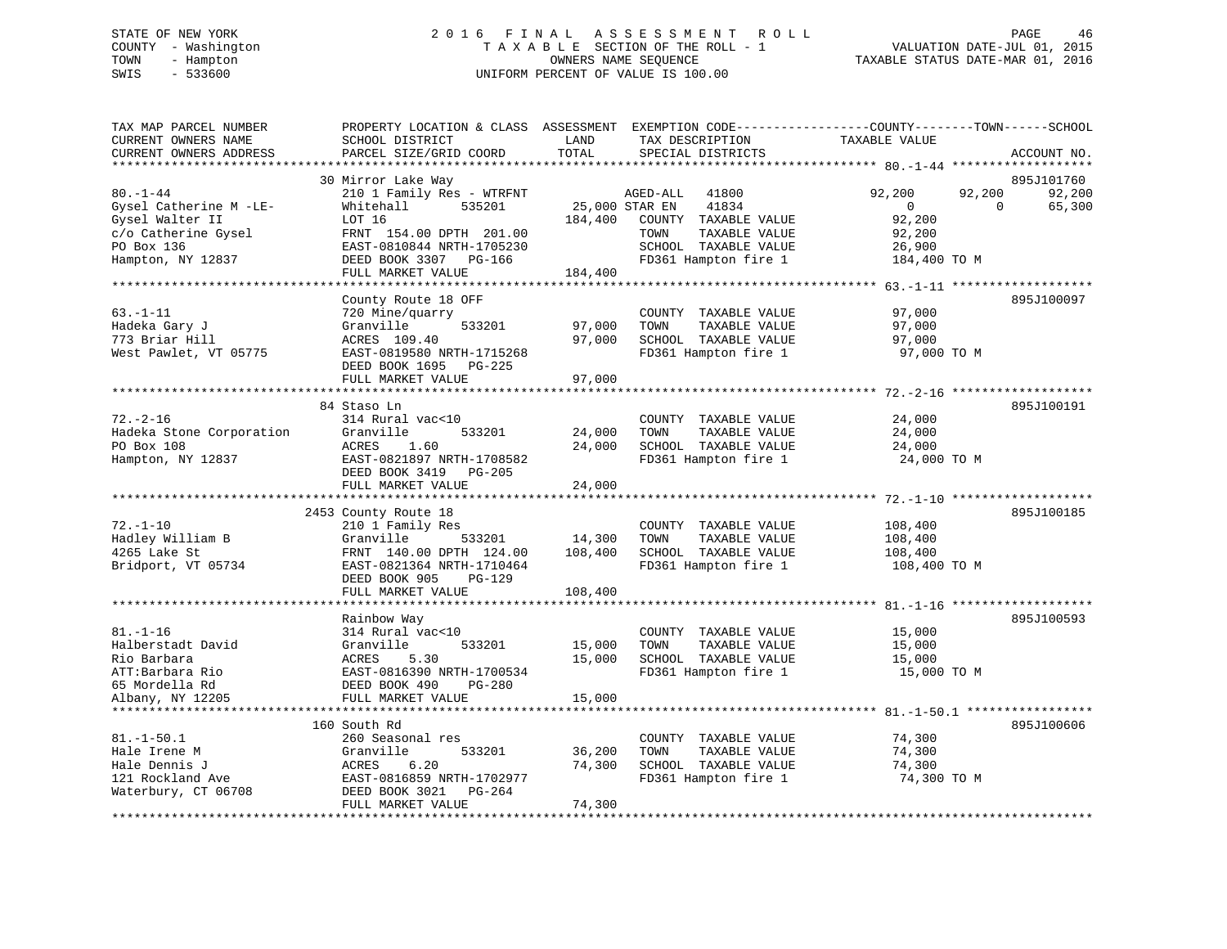# STATE OF NEW YORK 2 0 1 6 F I N A L A S S E S S M E N T R O L L PAGE 46 COUNTY - Washington T A X A B L E SECTION OF THE ROLL - 1 VALUATION DATE-JUL 01, 2015 TOWN - Hampton OWNERS NAME SEQUENCE TAXABLE STATUS DATE-MAR 01, 2016 SWIS - 533600 UNIFORM PERCENT OF VALUE IS 100.00

| SCHOOL DISTRICT<br>PARCEL SIZE/GRID COORD                                                                                                              | LAND<br>TOTAL                                                                                                    | TAX DESCRIPTION<br>SPECIAL DISTRICTS                                                                            | TAXABLE VALUE                                                                 | ACCOUNT NO.                                                  |
|--------------------------------------------------------------------------------------------------------------------------------------------------------|------------------------------------------------------------------------------------------------------------------|-----------------------------------------------------------------------------------------------------------------|-------------------------------------------------------------------------------|--------------------------------------------------------------|
|                                                                                                                                                        |                                                                                                                  |                                                                                                                 |                                                                               |                                                              |
| 210 1 Family Res - WTRFNT<br>535201<br>Whitehall<br>LOT 16<br>FRNT 154.00 DPTH 201.00<br>EAST-0810844 NRTH-1705230<br>DEED BOOK 3307 PG-166            | 184,400                                                                                                          | 41800<br>41834<br>COUNTY TAXABLE VALUE<br>TOWN<br>TAXABLE VALUE<br>SCHOOL TAXABLE VALUE<br>FD361 Hampton fire 1 | 92,200<br>92,200<br>$\mathbf 0$<br>92,200<br>92,200<br>26,900<br>184,400 TO M | 895J101760<br>92,200<br>$\Omega$<br>65,300                   |
| FULL MARKET VALUE                                                                                                                                      | 184,400                                                                                                          |                                                                                                                 |                                                                               |                                                              |
| County Route 18 OFF<br>720 Mine/quarry<br>Granville<br>533201<br>ACRES 109.40<br>EAST-0819580 NRTH-1715268<br>DEED BOOK 1695<br>$PG-225$               | 97,000<br>97,000                                                                                                 | COUNTY TAXABLE VALUE<br>TOWN<br>TAXABLE VALUE<br>SCHOOL TAXABLE VALUE<br>FD361 Hampton fire 1                   | 97,000<br>97,000<br>97,000<br>97,000 TO M                                     | 895J100097                                                   |
| FULL MARKET VALUE                                                                                                                                      | 97,000                                                                                                           |                                                                                                                 |                                                                               |                                                              |
| **********************                                                                                                                                 |                                                                                                                  |                                                                                                                 |                                                                               | 895J100191                                                   |
| 314 Rural vac<10<br>Granville<br>533201<br>ACRES<br>1.60<br>EAST-0821897 NRTH-1708582<br>DEED BOOK 3419<br>PG-205                                      | 24,000<br>24,000                                                                                                 | COUNTY TAXABLE VALUE<br>TAXABLE VALUE<br>TOWN<br>SCHOOL TAXABLE VALUE<br>FD361 Hampton fire 1                   | 24,000<br>24,000<br>24,000<br>24,000 TO M                                     |                                                              |
| FULL MARKET VALUE                                                                                                                                      | 24,000                                                                                                           |                                                                                                                 |                                                                               |                                                              |
|                                                                                                                                                        |                                                                                                                  |                                                                                                                 |                                                                               |                                                              |
| 210 1 Family Res<br>Granville<br>533201<br>FRNT 140.00 DPTH 124.00<br>EAST-0821364 NRTH-1710464<br>DEED BOOK 905<br>$PG-129$<br>FULL MARKET VALUE      | 14,300<br>108,400<br>108,400                                                                                     | COUNTY TAXABLE VALUE<br>TAXABLE VALUE<br>TOWN<br>SCHOOL TAXABLE VALUE<br>FD361 Hampton fire 1                   | 108,400<br>108,400<br>108,400<br>108,400 TO M                                 | 895J100185                                                   |
|                                                                                                                                                        |                                                                                                                  |                                                                                                                 |                                                                               |                                                              |
| Rainbow Way<br>314 Rural vac<10<br>Granville<br>533201<br>5.30<br>ACRES<br>EAST-0816390 NRTH-1700534                                                   | 15,000<br>15,000                                                                                                 | COUNTY TAXABLE VALUE<br>TAXABLE VALUE<br>TOWN<br>SCHOOL TAXABLE VALUE<br>FD361 Hampton fire 1                   | 15,000<br>15,000<br>15,000<br>15,000 TO M                                     | 895J100593                                                   |
|                                                                                                                                                        |                                                                                                                  |                                                                                                                 |                                                                               |                                                              |
| **************************                                                                                                                             |                                                                                                                  |                                                                                                                 |                                                                               |                                                              |
| 160 South Rd<br>260 Seasonal res<br>Granville<br>533201<br>6.20<br>ACRES<br>EAST-0816859 NRTH-1702977<br>DEED BOOK 3021<br>PG-264<br>FULL MARKET VALUE | 36,200<br>74,300<br>74,300                                                                                       | COUNTY TAXABLE VALUE<br>TOWN<br>TAXABLE VALUE<br>SCHOOL TAXABLE VALUE<br>FD361 Hampton fire 1                   | 74,300<br>74,300<br>74,300<br>74,300 TO M                                     | 895J100606                                                   |
|                                                                                                                                                        | 30 Mirror Lake Way<br>84 Staso Ln<br>2453 County Route 18<br>DEED BOOK 490<br><b>PG-280</b><br>FULL MARKET VALUE | 15,000                                                                                                          | PROPERTY LOCATION & CLASS ASSESSMENT<br>AGED-ALL<br>25,000 STAR EN            | EXEMPTION CODE-----------------COUNTY-------TOWN------SCHOOL |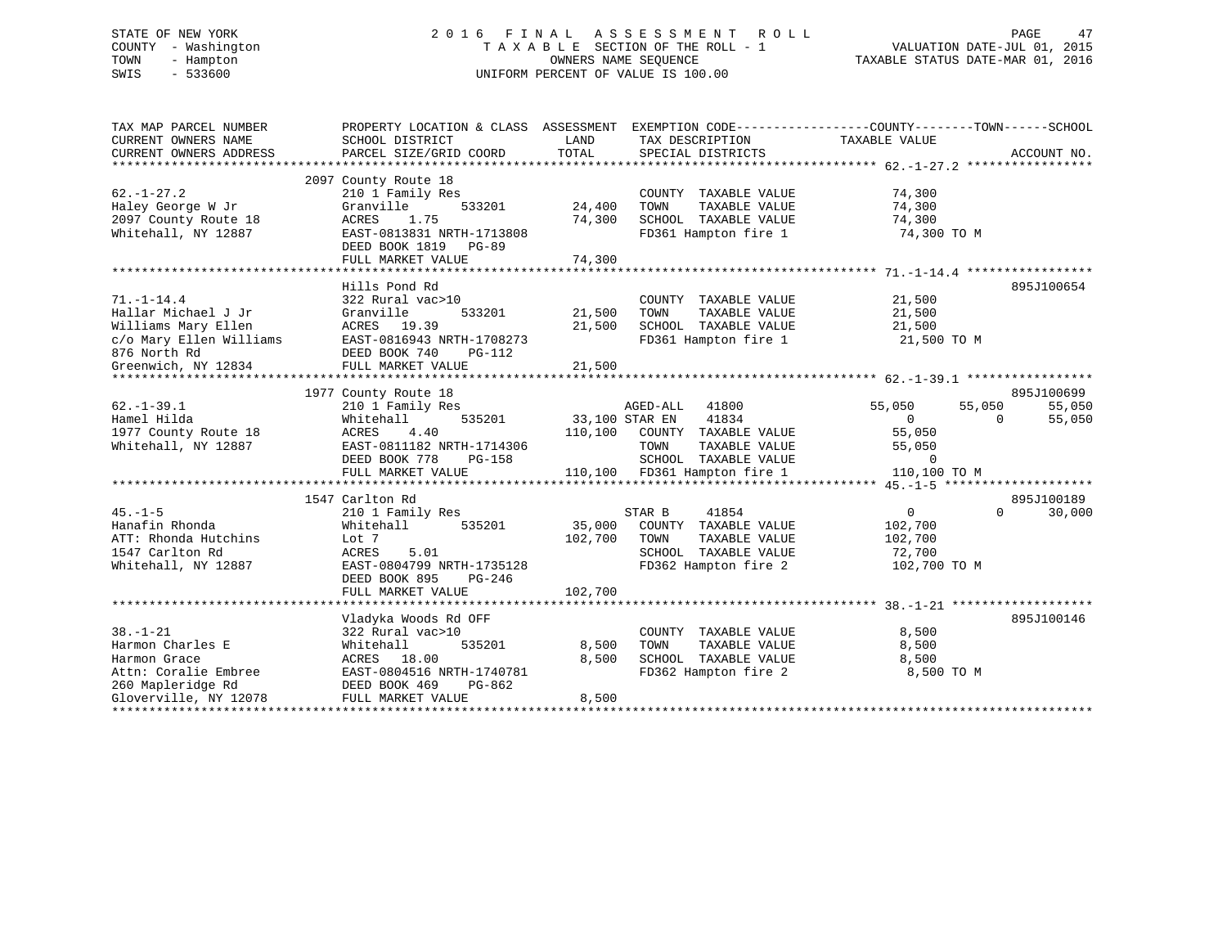# STATE OF NEW YORK 2 0 1 6 F I N A L A S S E S S M E N T R O L L PAGE 47 COUNTY - Washington T A X A B L E SECTION OF THE ROLL - 1 VALUATION DATE-JUL 01, 2015 TOWN - Hampton OWNERS NAME SEQUENCE TAXABLE STATUS DATE-MAR 01, 2016 SWIS - 533600 UNIFORM PERCENT OF VALUE IS 100.00

| TAX MAP PARCEL NUMBER               | PROPERTY LOCATION & CLASS ASSESSMENT EXEMPTION CODE----------------COUNTY-------TOWN------SCHOOL |                |                                         |                           |          |             |
|-------------------------------------|--------------------------------------------------------------------------------------------------|----------------|-----------------------------------------|---------------------------|----------|-------------|
| CURRENT OWNERS NAME                 | SCHOOL DISTRICT                                                                                  | LAND<br>TOTAL  | TAX DESCRIPTION                         | TAXABLE VALUE             |          |             |
| CURRENT OWNERS ADDRESS              | PARCEL SIZE/GRID COORD                                                                           |                | SPECIAL DISTRICTS                       |                           |          | ACCOUNT NO. |
|                                     | 2097 County Route 18                                                                             |                |                                         |                           |          |             |
| $62. - 1 - 27.2$                    | 210 1 Family Res                                                                                 |                | COUNTY TAXABLE VALUE                    | 74,300                    |          |             |
| Haley George W Jr                   | Granville<br>533201                                                                              | 24,400         | TOWN<br>TAXABLE VALUE                   | 74,300                    |          |             |
| 2097 County Route 18                | 1.75<br>ACRES                                                                                    | 74,300         | SCHOOL TAXABLE VALUE                    | 74,300                    |          |             |
| Whitehall, NY 12887                 | EAST-0813831 NRTH-1713808                                                                        |                | FD361 Hampton fire 1                    | 74,300 TO M               |          |             |
|                                     | DEED BOOK 1819 PG-89                                                                             |                |                                         |                           |          |             |
|                                     | FULL MARKET VALUE                                                                                | 74,300         |                                         |                           |          |             |
|                                     |                                                                                                  |                |                                         |                           |          |             |
|                                     | Hills Pond Rd                                                                                    |                |                                         |                           |          | 895J100654  |
| $71. - 1 - 14.4$                    | 322 Rural vac>10                                                                                 |                | COUNTY TAXABLE VALUE                    | 21,500                    |          |             |
| Hallar Michael J Jr                 | Granville<br>533201                                                                              | 21,500         | TOWN<br>TAXABLE VALUE                   | 21,500                    |          |             |
| Williams Mary Ellen                 | ACRES 19.39<br>EAST-0816943 NRTH-1708273                                                         | 21,500         | SCHOOL TAXABLE VALUE                    | 21,500                    |          |             |
| c/o Mary Ellen Williams             | DEED BOOK 740                                                                                    |                | FD361 Hampton fire 1                    | 21,500 TO M               |          |             |
| 876 North Rd<br>Greenwich, NY 12834 | PG-112<br>FULL MARKET VALUE                                                                      | 21,500         |                                         |                           |          |             |
|                                     |                                                                                                  |                |                                         |                           |          |             |
|                                     | 1977 County Route 18                                                                             |                |                                         |                           |          | 895J100699  |
| $62. - 1 - 39.1$                    | 210 1 Family Res                                                                                 |                | AGED-ALL 41800                          | 55,050                    | 55,050   | 55,050      |
| Hamel Hilda                         | 535201<br>Whitehall                                                                              | 33,100 STAR EN | 41834                                   | $\overline{0}$            | $\Omega$ | 55,050      |
| 1977 County Route 18                | ACRES<br>4.40                                                                                    | 110,100        | COUNTY TAXABLE VALUE                    | 55,050                    |          |             |
| Whitehall, NY 12887                 | EAST-0811182 NRTH-1714306                                                                        |                | TOWN<br>TAXABLE VALUE                   | 55,050                    |          |             |
|                                     | DEED BOOK 778<br>PG-158                                                                          |                | SCHOOL TAXABLE VALUE                    | $\overline{0}$            |          |             |
|                                     | FULL MARKET VALUE                                                                                |                | 110,100 FD361 Hampton fire 1            | 110,100 TO M              |          |             |
|                                     |                                                                                                  |                |                                         |                           |          |             |
| $45. -1 - 5$                        | 1547 Carlton Rd                                                                                  |                |                                         |                           | $\Omega$ | 895J100189  |
| Hanafin Rhonda                      | 210 1 Family Res<br>535201<br>Whitehall                                                          | 35,000         | 41854<br>STAR B<br>COUNTY TAXABLE VALUE | $\overline{0}$<br>102,700 |          | 30,000      |
| ATT: Rhonda Hutchins                | Lot 7                                                                                            | 102,700        | TOWN<br>TAXABLE VALUE                   | 102,700                   |          |             |
| 1547 Carlton Rd                     | ACRES<br>5.01                                                                                    |                | SCHOOL TAXABLE VALUE                    | 72,700                    |          |             |
| Whitehall, NY 12887                 | EAST-0804799 NRTH-1735128                                                                        |                | FD362 Hampton fire 2                    | 102,700 TO M              |          |             |
|                                     | DEED BOOK 895<br>PG-246                                                                          |                |                                         |                           |          |             |
|                                     | FULL MARKET VALUE                                                                                | 102,700        |                                         |                           |          |             |
|                                     |                                                                                                  |                |                                         |                           |          |             |
|                                     | Vladyka Woods Rd OFF                                                                             |                |                                         |                           |          | 895J100146  |
| $38. - 1 - 21$                      | 322 Rural vac>10                                                                                 |                | COUNTY TAXABLE VALUE                    | 8,500                     |          |             |
| Harmon Charles E                    | Whitehall<br>535201                                                                              | 8,500          | TAXABLE VALUE<br>TOWN                   | 8,500                     |          |             |
| Harmon Grace                        | ACRES 18.00                                                                                      | 8,500          | SCHOOL TAXABLE VALUE                    | 8,500                     |          |             |
| Attn: Coralie Embree                | EAST-0804516 NRTH-1740781                                                                        |                | FD362 Hampton fire 2                    | 8,500 TO M                |          |             |
| 260 Mapleridge Rd                   | DEED BOOK 469<br>PG-862                                                                          |                |                                         |                           |          |             |
| Gloverville, NY 12078               | FULL MARKET VALUE                                                                                | 8,500          |                                         |                           |          |             |
|                                     |                                                                                                  |                |                                         |                           |          |             |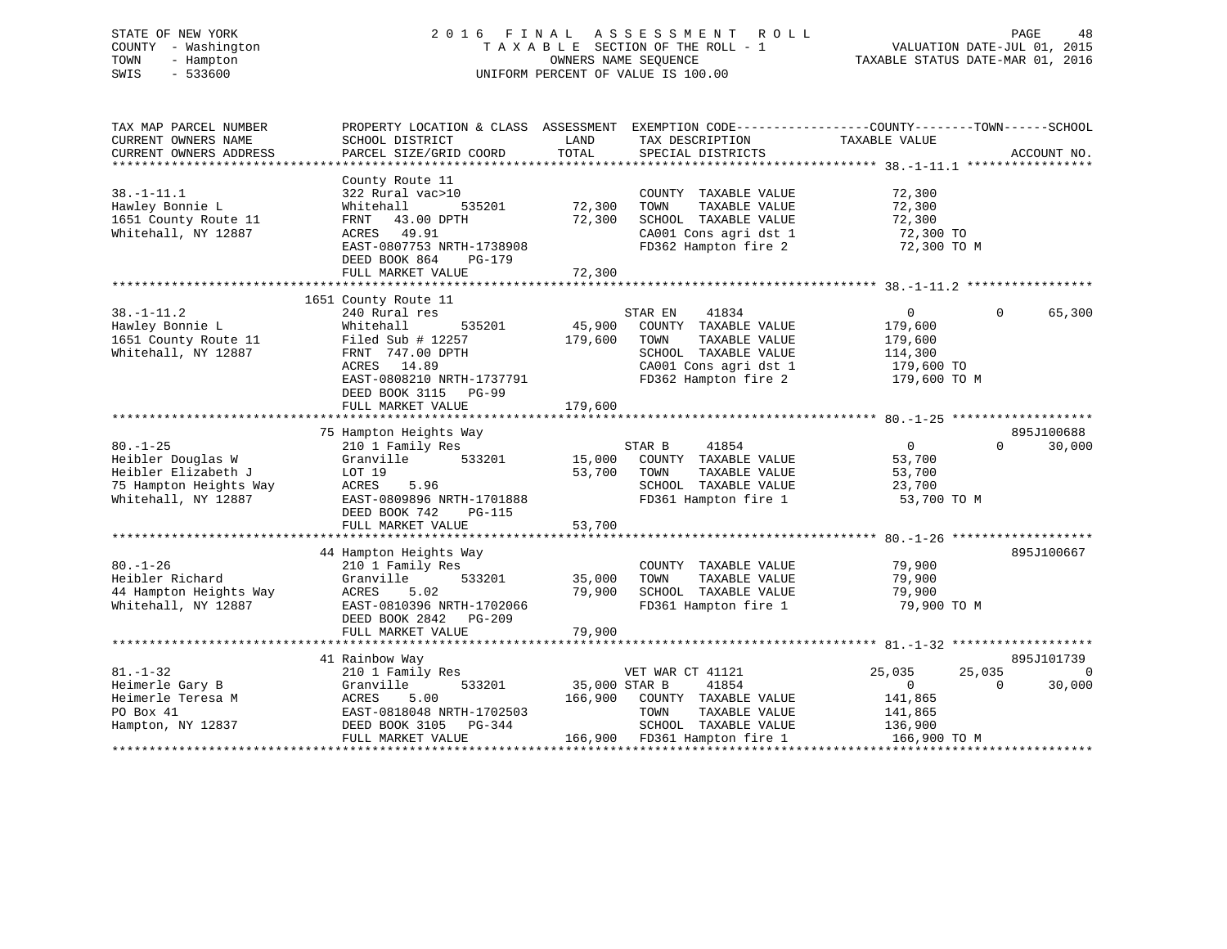# STATE OF NEW YORK 2 0 1 6 F I N A L A S S E S S M E N T R O L L PAGE 48 COUNTY - Washington T A X A B L E SECTION OF THE ROLL - 1 VALUATION DATE-JUL 01, 2015 TOWN - Hampton OWNERS NAME SEQUENCE TAXABLE STATUS DATE-MAR 01, 2016 SWIS - 533600 UNIFORM PERCENT OF VALUE IS 100.00

| TAX MAP PARCEL NUMBER<br>CURRENT OWNERS NAME<br>CURRENT OWNERS ADDRESS                                      | PROPERTY LOCATION & CLASS ASSESSMENT EXEMPTION CODE----------------COUNTY-------TOWN------SCHOOL<br>SCHOOL DISTRICT<br>PARCEL SIZE/GRID COORD                                | LAND<br>TOTAL              | TAX DESCRIPTION<br>SPECIAL DISTRICTS                                                                                                       | TAXABLE VALUE                                                                       | ACCOUNT NO.                        |
|-------------------------------------------------------------------------------------------------------------|------------------------------------------------------------------------------------------------------------------------------------------------------------------------------|----------------------------|--------------------------------------------------------------------------------------------------------------------------------------------|-------------------------------------------------------------------------------------|------------------------------------|
| $38. - 1 - 11.1$<br>Hawley Bonnie L<br>1651 County Route 11<br>Whitehall, NY 12887                          | County Route 11<br>322 Rural vac>10<br>535201<br>Whitehall<br>FRNT<br>43.00 DPTH<br>ACRES 49.91<br>EAST-0807753 NRTH-1738908<br>DEED BOOK 864<br>PG-179<br>FULL MARKET VALUE | 72,300<br>72,300<br>72,300 | COUNTY TAXABLE VALUE<br>TAXABLE VALUE<br>TOWN<br>SCHOOL TAXABLE VALUE<br>CA001 Cons agri dst 1<br>FD362 Hampton fire 2                     | 72,300<br>72,300<br>72,300<br>72,300 TO<br>72,300 TO M                              |                                    |
|                                                                                                             | 1651 County Route 11                                                                                                                                                         |                            |                                                                                                                                            |                                                                                     |                                    |
| $38. - 1 - 11.2$<br>Hawley Bonnie L<br>1651 County Route 11<br>Whitehall, NY 12887                          | 240 Rural res<br>535201<br>Whitehall<br>Filed Sub $\#$ 12257<br>FRNT 747.00 DPTH<br>ACRES 14.89<br>EAST-0808210 NRTH-1737791<br>DEED BOOK 3115 PG-99                         | 45,900<br>179,600          | STAR EN<br>41834<br>COUNTY TAXABLE VALUE<br>TOWN<br>TAXABLE VALUE<br>SCHOOL TAXABLE VALUE<br>CA001 Cons agri dst 1<br>FD362 Hampton fire 2 | $\overline{0}$<br>179,600<br>179,600<br>114,300<br>179,600 TO<br>179,600 TO M       | 65,300<br>$\Omega$                 |
|                                                                                                             | FULL MARKET VALUE                                                                                                                                                            | 179,600                    |                                                                                                                                            |                                                                                     |                                    |
|                                                                                                             | 75 Hampton Heights Way                                                                                                                                                       |                            |                                                                                                                                            |                                                                                     | 895J100688                         |
| $80. - 1 - 25$<br>Heibler Douglas W<br>Heibler Elizabeth J<br>75 Hampton Heights Way<br>Whitehall, NY 12887 | 210 1 Family Res<br>533201<br>Granville<br>LOT 19<br>ACRES<br>5.96<br>EAST-0809896 NRTH-1701888<br>DEED BOOK 742<br>PG-115                                                   | 15,000<br>53,700           | STAR B<br>41854<br>COUNTY TAXABLE VALUE<br>TAXABLE VALUE<br>TOWN<br>SCHOOL TAXABLE VALUE<br>FD361 Hampton fire 1                           | $\Omega$<br>53,700<br>53,700<br>23,700<br>53,700 TO M                               | 30,000<br>$\Omega$                 |
|                                                                                                             | FULL MARKET VALUE                                                                                                                                                            | 53,700                     |                                                                                                                                            |                                                                                     |                                    |
| $80. - 1 - 26$<br>Heibler Richard<br>44 Hampton Heights Way<br>Whitehall, NY 12887                          | 44 Hampton Heights Way<br>210 1 Family Res<br>533201<br>Granville<br>5.02<br>ACRES<br>EAST-0810396 NRTH-1702066<br>DEED BOOK 2842 PG-209<br>FULL MARKET VALUE                | 35,000<br>79,900<br>79,900 | COUNTY TAXABLE VALUE<br>TAXABLE VALUE<br>TOWN<br>SCHOOL TAXABLE VALUE<br>FD361 Hampton fire 1                                              | 79,900<br>79,900<br>79,900<br>79,900 TO M                                           | 895J100667                         |
|                                                                                                             |                                                                                                                                                                              |                            |                                                                                                                                            |                                                                                     |                                    |
|                                                                                                             | 41 Rainbow Way                                                                                                                                                               |                            |                                                                                                                                            |                                                                                     | 895J101739                         |
| $81. - 1 - 32$<br>Heimerle Gary B<br>Heimerle Teresa M<br>PO Box 41<br>Hampton, NY 12837                    | 210 1 Family Res<br>Granville<br>533201<br>ACRES<br>5.00<br>EAST-0818048 NRTH-1702503<br>DEED BOOK 3105 PG-344<br>FULL MARKET VALUE                                          | 35,000 STAR B<br>166,900   | VET WAR CT 41121<br>41854<br>COUNTY TAXABLE VALUE<br>TAXABLE VALUE<br>TOWN<br>SCHOOL TAXABLE VALUE<br>166,900 FD361 Hampton fire 1         | 25,035<br>25,035<br>$\overline{0}$<br>141,865<br>141,865<br>136,900<br>166,900 TO M | $\Omega$<br>30,000<br>$\mathbf{0}$ |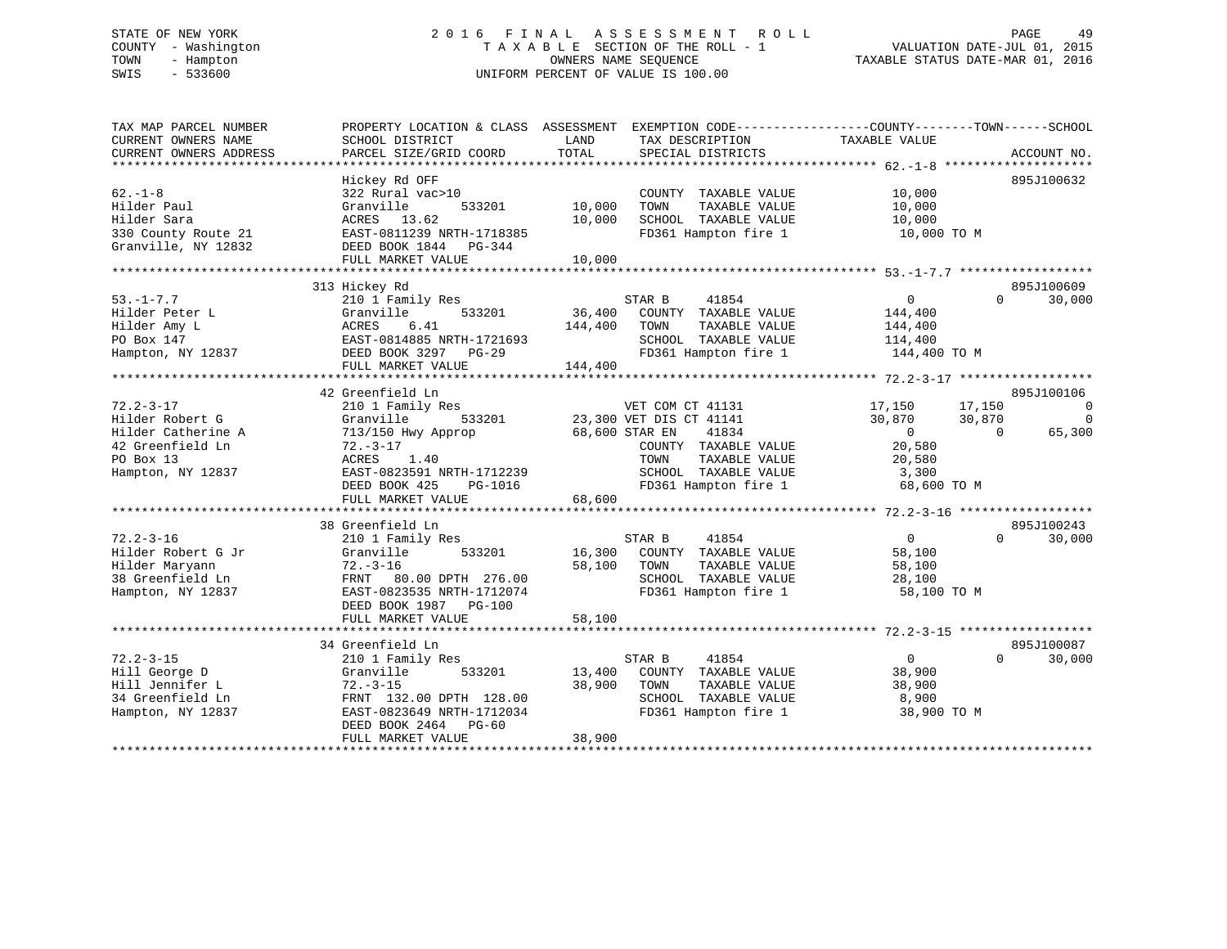# STATE OF NEW YORK 2 0 1 6 F I N A L A S S E S S M E N T R O L L PAGE 49 COUNTY - Washington T A X A B L E SECTION OF THE ROLL - 1 VALUATION DATE-JUL 01, 2015 TOWN - Hampton OWNERS NAME SEQUENCE TAXABLE STATUS DATE-MAR 01, 2016 SWIS - 533600 UNIFORM PERCENT OF VALUE IS 100.00

| TAX MAP PARCEL NUMBER<br>CURRENT OWNERS NAME<br>CURRENT OWNERS ADDRESS                                         | PROPERTY LOCATION & CLASS ASSESSMENT<br>SCHOOL DISTRICT<br>PARCEL SIZE/GRID COORD                                                                                                                  | LAND<br>TAX DESCRIPTION<br>TOTAL<br>SPECIAL DISTRICTS                                                                                                                             | EXEMPTION CODE-----------------COUNTY--------TOWN------SCHOOL<br>TAXABLE VALUE<br>ACCOUNT NO.                                                                                 |
|----------------------------------------------------------------------------------------------------------------|----------------------------------------------------------------------------------------------------------------------------------------------------------------------------------------------------|-----------------------------------------------------------------------------------------------------------------------------------------------------------------------------------|-------------------------------------------------------------------------------------------------------------------------------------------------------------------------------|
| $62 - 1 - 8$<br>Hilder Paul<br>Hilder Sara<br>330 County Route 21<br>Granville, NY 12832                       | Hickey Rd OFF<br>322 Rural vac>10<br>533201<br>Granville<br>ACRES 13.62<br>EAST-0811239 NRTH-1718385<br>DEED BOOK 1844 PG-344<br>FULL MARKET VALUE                                                 | COUNTY TAXABLE VALUE<br>10,000<br>TOWN<br>TAXABLE VALUE<br>10,000<br>SCHOOL TAXABLE VALUE<br>FD361 Hampton fire 1<br>10,000                                                       | 895J100632<br>10,000<br>10,000<br>10,000<br>10,000 TO M                                                                                                                       |
| $53. - 1 - 7.7$<br>Hilder Peter L<br>Hilder Amy L<br>PO Box 147<br>Hampton, NY 12837                           | 313 Hickey Rd<br>210 1 Family Res<br>Granville<br>533201<br>6.41<br>ACRES<br>EAST-0814885 NRTH-1721693<br>DEED BOOK 3297 PG-29<br>FULL MARKET VALUE                                                | STAR B<br>41854<br>36,400<br>COUNTY TAXABLE VALUE<br>144,400<br>TOWN<br>TAXABLE VALUE<br>SCHOOL TAXABLE VALUE<br>FD361 Hampton fire 1<br>144,400                                  | 895J100609<br>30,000<br>$\overline{0}$<br>$\Omega$<br>144,400<br>144,400<br>114,400<br>144,400 TO M                                                                           |
| $72.2 - 3 - 17$<br>Hilder Robert G<br>Hilder Catherine A<br>42 Greenfield Ln<br>PO Box 13<br>Hampton, NY 12837 | 42 Greenfield Ln<br>210 1 Family Res<br>Granville<br>533201<br>713/150 Hwy Approp<br>$72. - 3 - 17$<br>1.40<br>ACRES<br>EAST-0823591 NRTH-1712239<br>DEED BOOK 425<br>PG-1016<br>FULL MARKET VALUE | VET COM CT 41131<br>23,300 VET DIS CT 41141<br>68,600 STAR EN<br>41834<br>COUNTY TAXABLE VALUE<br>TOWN<br>TAXABLE VALUE<br>SCHOOL TAXABLE VALUE<br>FD361 Hampton fire 1<br>68,600 | 895J100106<br>17,150<br>17,150<br>$\overline{0}$<br>30,870<br>30,870<br>$\mathbf 0$<br>$\overline{0}$<br>$\overline{0}$<br>65,300<br>20,580<br>20,580<br>3,300<br>68,600 TO M |
| $72.2 - 3 - 16$<br>Hilder Robert G Jr<br>Hilder Maryann<br>38 Greenfield Ln<br>Hampton, NY 12837               | 38 Greenfield Ln<br>210 1 Family Res<br>Granville<br>533201<br>$72. - 3 - 16$<br>FRNT 80.00 DPTH 276.00<br>EAST-0823535 NRTH-1712074<br>DEED BOOK 1987 PG-100<br>FULL MARKET VALUE                 | STAR B<br>41854<br>16,300<br>COUNTY TAXABLE VALUE<br>58,100<br>TOWN<br>TAXABLE VALUE<br>SCHOOL TAXABLE VALUE<br>FD361 Hampton fire 1<br>58,100                                    | 895J100243<br>$\Omega$<br>30,000<br>$\Omega$<br>58,100<br>58,100<br>28,100<br>58,100 TO M                                                                                     |
| $72.2 - 3 - 15$<br>Hill George D<br>Hill Jennifer L<br>34 Greenfield Ln<br>Hampton, NY 12837                   | 34 Greenfield Ln<br>210 1 Family Res<br>Granville<br>533201<br>$72. - 3 - 15$<br>FRNT 132.00 DPTH 128.00<br>EAST-0823649 NRTH-1712034<br>DEED BOOK 2464 PG-60<br>FULL MARKET VALUE                 | STAR B<br>41854<br>13,400<br>COUNTY TAXABLE VALUE<br>38,900<br>TOWN<br>TAXABLE VALUE<br>SCHOOL TAXABLE VALUE<br>FD361 Hampton fire 1<br>38,900                                    | 895J100087<br>$\overline{0}$<br>$\Omega$<br>30,000<br>38,900<br>38,900<br>8,900<br>38,900 TO M                                                                                |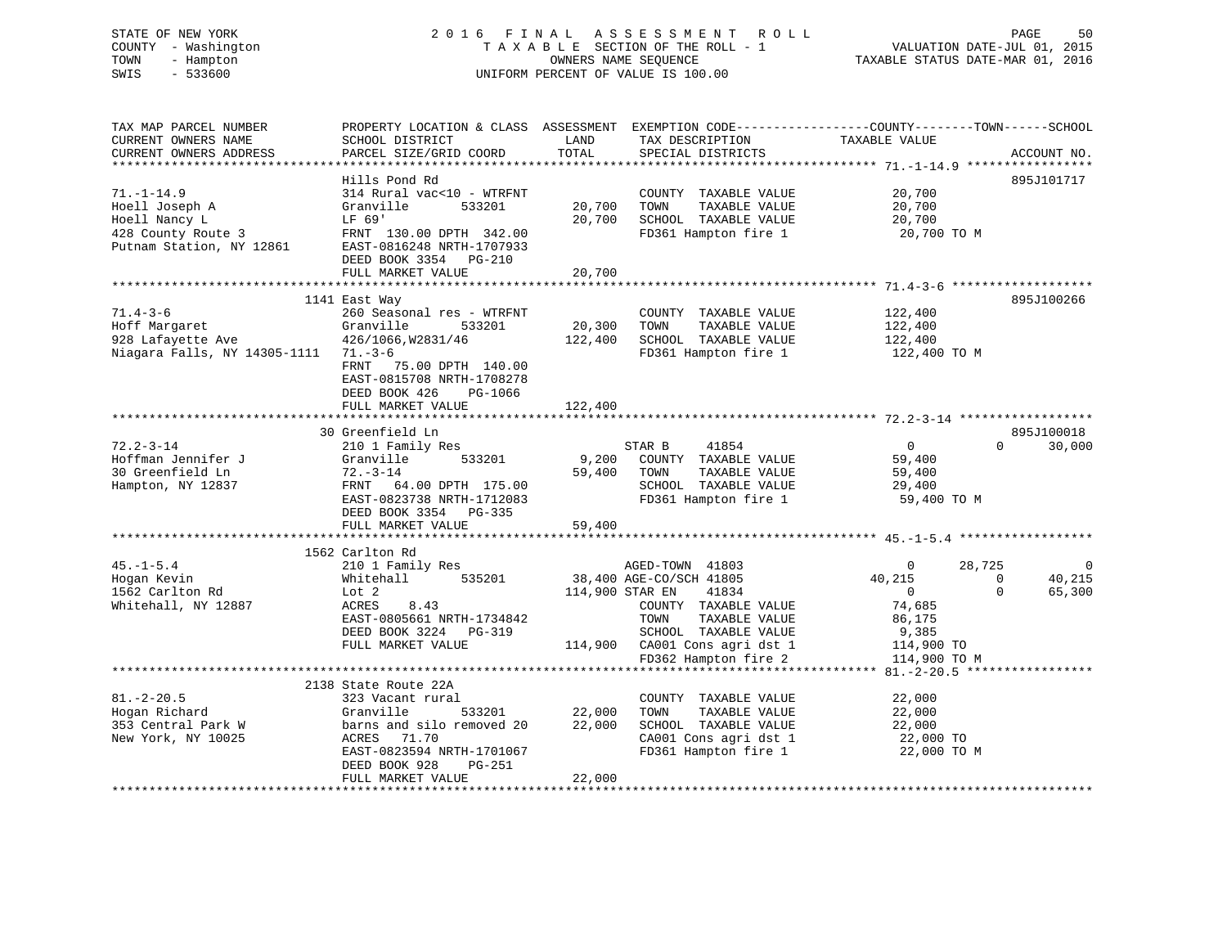# STATE OF NEW YORK 2 0 1 6 F I N A L A S S E S S M E N T R O L L PAGE 50 COUNTY - Washington T A X A B L E SECTION OF THE ROLL - 1 VALUATION DATE-JUL 01, 2015 TOWN - Hampton OWNERS NAME SEQUENCE TAXABLE STATUS DATE-MAR 01, 2016 SWIS - 533600 UNIFORM PERCENT OF VALUE IS 100.00

| TAX MAP PARCEL NUMBER                          | PROPERTY LOCATION & CLASS ASSESSMENT EXEMPTION CODE----------------COUNTY-------TOWN------SCHOOL |                                   |                                                                                            |                |          |                    |
|------------------------------------------------|--------------------------------------------------------------------------------------------------|-----------------------------------|--------------------------------------------------------------------------------------------|----------------|----------|--------------------|
| CURRENT OWNERS NAME                            | SCHOOL DISTRICT                                                                                  | LAND                              | TAX DESCRIPTION                                                                            | TAXABLE VALUE  |          |                    |
| CURRENT OWNERS ADDRESS                         | PARCEL SIZE/GRID COORD                                                                           | TOTAL                             | SPECIAL DISTRICTS                                                                          |                |          | ACCOUNT NO.        |
|                                                |                                                                                                  |                                   |                                                                                            |                |          |                    |
|                                                |                                                                                                  |                                   |                                                                                            |                |          |                    |
|                                                | Hills Pond Rd                                                                                    |                                   |                                                                                            |                |          | 895J101717         |
| $71. - 1 - 14.9$                               | 314 Rural vac<10 - WTRFNT                                                                        |                                   | COUNTY TAXABLE VALUE                                                                       | 20,700         |          |                    |
| Hoell Joseph A                                 | Granville<br>533201                                                                              | 20,700 TOWN                       | TAXABLE VALUE                                                                              | 20,700         |          |                    |
| Hoell Nancy L                                  | LF 69'                                                                                           |                                   | 20,700 SCHOOL TAXABLE VALUE                                                                | 20,700         |          |                    |
|                                                | FRNT 130.00 DPTH 342.00                                                                          |                                   | FD361 Hampton fire 1                                                                       | 20,700 TO M    |          |                    |
| 428 County Route 3<br>Putnam Station, NY 12861 | EAST-0816248 NRTH-1707933                                                                        |                                   |                                                                                            |                |          |                    |
|                                                |                                                                                                  |                                   |                                                                                            |                |          |                    |
|                                                | DEED BOOK 3354 PG-210                                                                            |                                   |                                                                                            |                |          |                    |
|                                                | FULL MARKET VALUE                                                                                | 20,700                            |                                                                                            |                |          |                    |
|                                                |                                                                                                  |                                   |                                                                                            |                |          |                    |
|                                                | 1141 East Way                                                                                    |                                   |                                                                                            |                |          | 895J100266         |
| $71.4 - 3 - 6$                                 | 260 Seasonal res - WTRFNT                                                                        |                                   | COUNTY TAXABLE VALUE                                                                       | 122,400        |          |                    |
|                                                | Granville<br>533201                                                                              | 20,300 TOWN                       |                                                                                            | 122,400        |          |                    |
| Hoff Margaret                                  |                                                                                                  |                                   | TAXABLE VALUE                                                                              |                |          |                    |
| 928 Lafayette Ave                              | 426/1066, W2831/46                                                                               |                                   | 122,400 SCHOOL TAXABLE VALUE                                                               | 122,400        |          |                    |
| Niagara Falls, NY 14305-1111 71.-3-6           |                                                                                                  |                                   | FD361 Hampton fire 1 122,400 TO M                                                          |                |          |                    |
|                                                | FRNT 75.00 DPTH 140.00                                                                           |                                   |                                                                                            |                |          |                    |
|                                                | EAST-0815708 NRTH-1708278                                                                        |                                   |                                                                                            |                |          |                    |
|                                                | DEED BOOK 426 PG-1066                                                                            |                                   |                                                                                            |                |          |                    |
|                                                |                                                                                                  |                                   |                                                                                            |                |          |                    |
|                                                | FULL MARKET VALUE                                                                                | 122,400                           |                                                                                            |                |          |                    |
|                                                |                                                                                                  |                                   |                                                                                            |                |          |                    |
|                                                | 30 Greenfield Ln                                                                                 |                                   |                                                                                            |                |          | 895J100018         |
| $72.2 - 3 - 14$                                | 210 1 Family Res                                                                                 |                                   | STAR B<br>41854                                                                            | $\overline{0}$ |          | $\Omega$<br>30,000 |
| Hoffman Jennifer J                             | 533201<br>Granville                                                                              |                                   | 9,200 COUNTY TAXABLE VALUE                                                                 | 59,400         |          |                    |
| 30 Greenfield Ln                               | 72.-3-14                                                                                         | 59,400 TOWN                       | TAXABLE VALUE                                                                              | 59,400         |          |                    |
|                                                |                                                                                                  |                                   |                                                                                            |                |          |                    |
| Hampton, NY 12837                              | FRNT 64.00 DPTH 175.00<br>EAST-0823738 NRTH-1712083                                              |                                   | SCHOOL TAXABLE VALUE                                                                       | 29,400         |          |                    |
|                                                |                                                                                                  |                                   | FD361 Hampton fire 1                                                                       | 59,400 TO M    |          |                    |
|                                                | DEED BOOK 3354 PG-335                                                                            |                                   |                                                                                            |                |          |                    |
|                                                | FULL MARKET VALUE                                                                                | 59,400                            |                                                                                            |                |          |                    |
|                                                |                                                                                                  |                                   |                                                                                            |                |          |                    |
|                                                |                                                                                                  |                                   |                                                                                            |                |          |                    |
|                                                | 1562 Carlton Rd                                                                                  |                                   |                                                                                            |                |          |                    |
| $45. - 1 - 5.4$                                | 210 1 Family Res                                                                                 |                                   | AGED-TOWN 41803                                                                            | $\overline{0}$ | 28,725   | $\overline{0}$     |
| Hogan Kevin                                    | Whitehall                                                                                        |                                   | 535201 38,400 AGE-CO/SCH 41805                                                             | 40,215         | $\Omega$ | 40,215             |
| 1562 Carlton Rd                                | Lot 2                                                                                            | 114,900 STAR EN                   | 41834                                                                                      | $\overline{0}$ | $\Omega$ | 65,300             |
| Whitehall, NY 12887                            | ACRES<br>8.43                                                                                    |                                   | COUNTY TAXABLE VALUE                                                                       | 74,685         |          |                    |
|                                                | EAST-0805661 NRTH-1734842                                                                        |                                   | TAXABLE VALUE<br>TOWN                                                                      | 86,175         |          |                    |
|                                                |                                                                                                  |                                   |                                                                                            |                |          |                    |
|                                                | DEED BOOK 3224 PG-319                                                                            |                                   | SCHOOL TAXABLE VALUE<br>$114,900$ CA001 Cons agri dst 1<br>$114,900$ CA001 Cons agri dst 1 | 9,385          |          |                    |
|                                                | FULL MARKET VALUE                                                                                |                                   |                                                                                            | 114,900 TO     |          |                    |
|                                                |                                                                                                  |                                   |                                                                                            | 114,900 TO M   |          |                    |
|                                                |                                                                                                  |                                   |                                                                                            |                |          |                    |
|                                                | 2138 State Route 22A                                                                             |                                   |                                                                                            |                |          |                    |
| $81. - 2 - 20.5$                               | 323 Vacant rural                                                                                 |                                   | COUNTY TAXABLE VALUE                                                                       | 22,000         |          |                    |
|                                                |                                                                                                  |                                   |                                                                                            |                |          |                    |
| Hogan Richard                                  | Granville                                                                                        | 533201 22,000<br>emoved 20 22,000 | TOWN<br>TAXABLE VALUE                                                                      | 22,000         |          |                    |
| 353 Central Park W                             | barns and silo removed 20                                                                        |                                   | SCHOOL TAXABLE VALUE                                                                       | 22,000         |          |                    |
| New York, NY 10025                             | ACRES 71.70                                                                                      |                                   | CA001 Cons agri dst 1                                                                      | 22,000 TO      |          |                    |
|                                                | EAST-0823594 NRTH-1701067                                                                        |                                   | FD361 Hampton fire 1                                                                       | 22,000 TO M    |          |                    |
|                                                | DEED BOOK 928<br>PG-251                                                                          |                                   |                                                                                            |                |          |                    |
|                                                |                                                                                                  | 22,000                            |                                                                                            |                |          |                    |
|                                                | FULL MARKET VALUE                                                                                |                                   |                                                                                            |                |          |                    |
|                                                |                                                                                                  |                                   |                                                                                            |                |          |                    |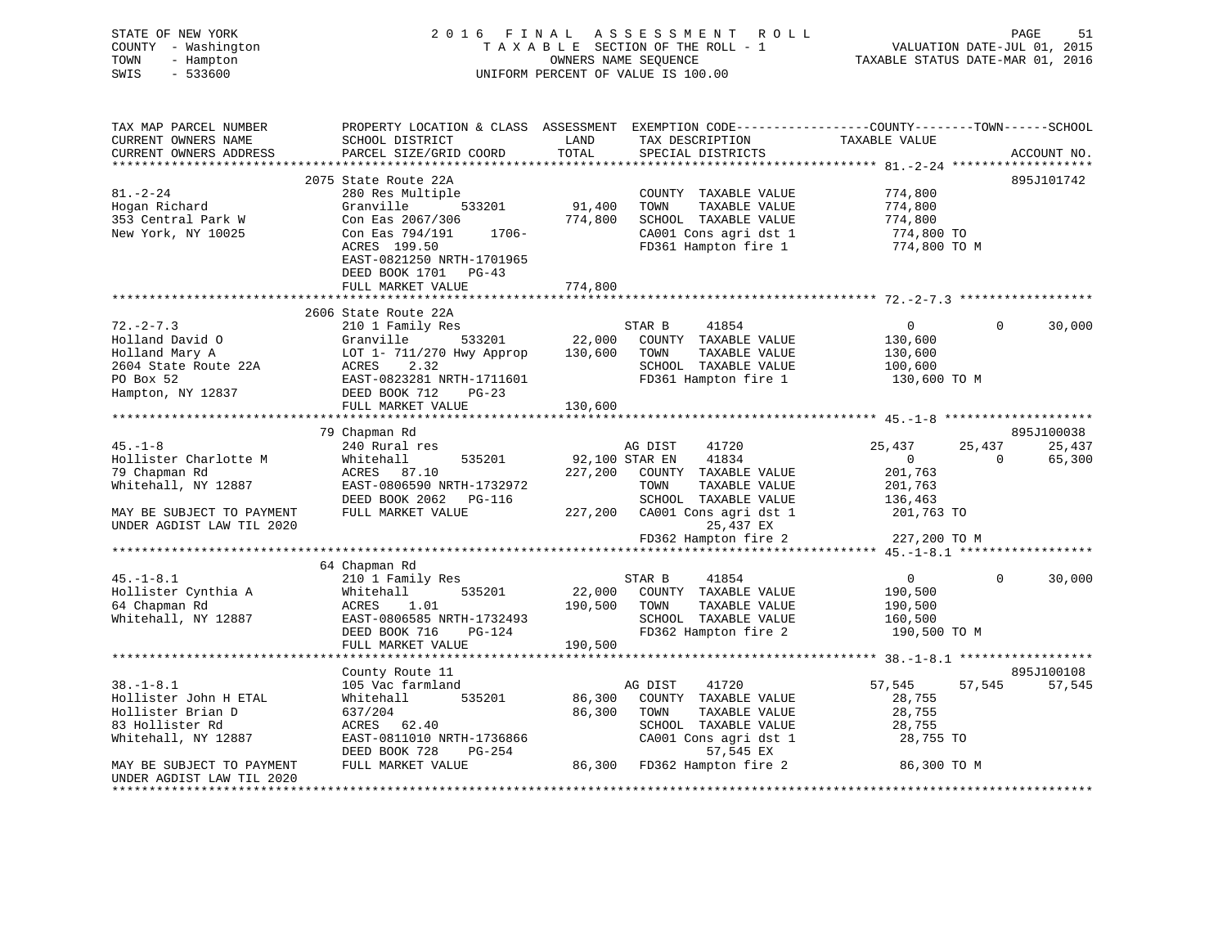| STATE OF NEW YORK<br>COUNTY - Washington<br>TOWN<br>- Hampton<br>$-533600$<br>SWIS                      |                                                                                                                                                                                                                                                            |                         | 2016 FINAL ASSESSMENT ROLL<br>T A X A B L E SECTION OF THE ROLL - 1<br>OWNERS NAME SEQUENCE<br>UNIFORM PERCENT OF VALUE IS 100.00       | کا PAGE<br>2015 VALUATION DATE-JUL<br>2016 TAXABLE STATUS DATE-MAR | PAGE        | 51                   |
|---------------------------------------------------------------------------------------------------------|------------------------------------------------------------------------------------------------------------------------------------------------------------------------------------------------------------------------------------------------------------|-------------------------|-----------------------------------------------------------------------------------------------------------------------------------------|--------------------------------------------------------------------|-------------|----------------------|
| TAX MAP PARCEL NUMBER<br>CURRENT OWNERS NAME<br>CURRENT OWNERS ADDRESS                                  | PROPERTY LOCATION & CLASS ASSESSMENT EXEMPTION CODE---------------COUNTY-------TOWN-----SCHOOL                                                                                                                                                             |                         | TAX DESCRIPTION TAXABLE VALUE<br>SPECIAL DISTRICTS                                                                                      |                                                                    |             | ACCOUNT NO.          |
|                                                                                                         | 2075 State Route 22A                                                                                                                                                                                                                                       |                         |                                                                                                                                         |                                                                    |             | 895J101742           |
| $81. - 2 - 24$<br>Hogan Richard<br>353 Central Park W<br>New York, NY 10025                             | 280 Res Multiple<br>Granville 533201<br>Con Eas 2067/306 774,800<br>Con Eas 794/191 1706-<br>20RES 199.50<br>ACRES 199.50<br>EAST-0821250 NRTH-1701965                                                                                                     | 91,400                  | COUNTY TAXABLE VALUE 774,800<br>TOWN<br>TAXABLE VALUE<br>SCHOOL TAXABLE VALUE<br>CA001 Cons agri dst 1<br>FD361 Hampton fire 1          | 774,800<br>774,800<br>774,800 TO<br>774,800 TO M                   |             |                      |
|                                                                                                         | DEED BOOK 1701 PG-43                                                                                                                                                                                                                                       |                         |                                                                                                                                         |                                                                    |             |                      |
|                                                                                                         | FULL MARKET VALUE                                                                                                                                                                                                                                          | 774,800                 |                                                                                                                                         |                                                                    |             |                      |
|                                                                                                         | 2606 State Route 22A                                                                                                                                                                                                                                       |                         |                                                                                                                                         |                                                                    |             |                      |
| $72. - 2 - 7.3$                                                                                         | 210 1 Family Res<br>X10 1 Family Res<br>Holland David 0 Granville 533201 22,000 COUNTY TAXABLE VALUE<br>Holland Mary A LOT 1-711/270 Hwy Approp 130,600 TOWN TAXABLE VALUE<br>2604 State Route 22A ACRES 2.32 SCHOOL TAXABLE VALUE<br>PO Box 52 EAST-08232 |                         | STAR B<br>41854                                                                                                                         | $\overline{0}$<br>130,600<br>130,600<br>100,600<br>$130,600$ TO M  | $\Omega$    | 30,000               |
|                                                                                                         |                                                                                                                                                                                                                                                            |                         |                                                                                                                                         |                                                                    |             |                      |
|                                                                                                         | FULL MARKET VALUE                                                                                                                                                                                                                                          | 130,600                 |                                                                                                                                         |                                                                    |             |                      |
|                                                                                                         |                                                                                                                                                                                                                                                            |                         |                                                                                                                                         |                                                                    |             |                      |
| $45. - 1 - 8$                                                                                           | 79 Chapman Rd<br>240 Rural res                                                                                                                                                                                                                             |                         | AG DIST<br>41720                                                                                                                        | 25,437                                                             |             | 895J100038<br>25,437 |
| Hollister Charlotte M<br>79 Chapman Rd<br>Whitehall, NY 12887                                           | Whitehall<br>ACRES 87.10                                                                                                                                                                                                                                   |                         | 535201 92,100 STAR EN 41834<br>227,200 COUNTY TAXABLE VALUE                                                                             | $\begin{smallmatrix}&&0\0&201\end{smallmatrix}$ ,763<br>201,763    | 25,437<br>0 | 65,300               |
| MAY BE SUBJECT TO PAYMENT<br>UNDER AGDIST LAW TIL 2020                                                  |                                                                                                                                                                                                                                                            |                         | 25,437 EX                                                                                                                               | 136,463<br>201,763 TO                                              |             |                      |
|                                                                                                         |                                                                                                                                                                                                                                                            |                         | FD362 Hampton fire 2 227,200 TO M                                                                                                       |                                                                    |             |                      |
|                                                                                                         | 64 Chapman Rd                                                                                                                                                                                                                                              |                         |                                                                                                                                         |                                                                    |             |                      |
| $45. - 1 - 8.1$<br>Hollister Cynthia A<br>64 Chapman Rd<br>Whitehall, NY 12887                          | 210 1 Family Res<br>Whitehall<br>ACRES<br>$\begin{tabular}{l l l l} ACRES & 1.01 & & 190,500 & TOWN \\ EAST-0806585 NRTH-1732493 & & SCHOC \\ DEED BOOK 716 & PG-124 & & FD362 \\ \end{tabular}$<br>FULL MARKET VALUE                                      | 190,500                 | STAR B<br>41854<br>$535201 \t\t 22,000 \t  \t 200WTY \t TAXABLE VALUE$<br>TAXABLE VALUE<br>SCHOOL TAXABLE VALUE<br>FD362 Hampton fire 2 | $\overline{0}$<br>190,500<br>190,500<br>160,500<br>190,500 TO M    | $\Omega$    | 30,000               |
|                                                                                                         |                                                                                                                                                                                                                                                            |                         |                                                                                                                                         |                                                                    |             |                      |
|                                                                                                         | County Route 11                                                                                                                                                                                                                                            |                         |                                                                                                                                         |                                                                    |             | 895J100108           |
| $38. - 1 - 8.1$<br>Hollister John H ETAL<br>Hollister Brian D<br>83 Hollister Rd<br>Whitehall, NY 12887 | 105 Vac farmland<br>Whitehall 535201<br>637/204<br>ACRES 62.40<br>EAST-0811010 NRTH-1736866<br>DEED BOOK 728 PG-254                                                                                                                                        | 86,300                  | AG DIST 41720<br>86,300 COUNTY TAXABLE VALUE<br>TOWN<br>TAXABLE VALUE<br>SCHOOL TAXABLE VALUE<br>CA001 Cons agri dst 1<br>57,545 EX     | 57,545<br>28,755<br>28,755<br>28,755<br>28,755 TO                  | 57,545      | 57,545               |
| MAY BE SUBJECT TO PAYMENT<br>UNDER AGDIST LAW TIL 2020                                                  | FULL MARKET VALUE                                                                                                                                                                                                                                          | *********************** | 86,300 FD362 Hampton fire 2 86,300 TO M                                                                                                 |                                                                    |             |                      |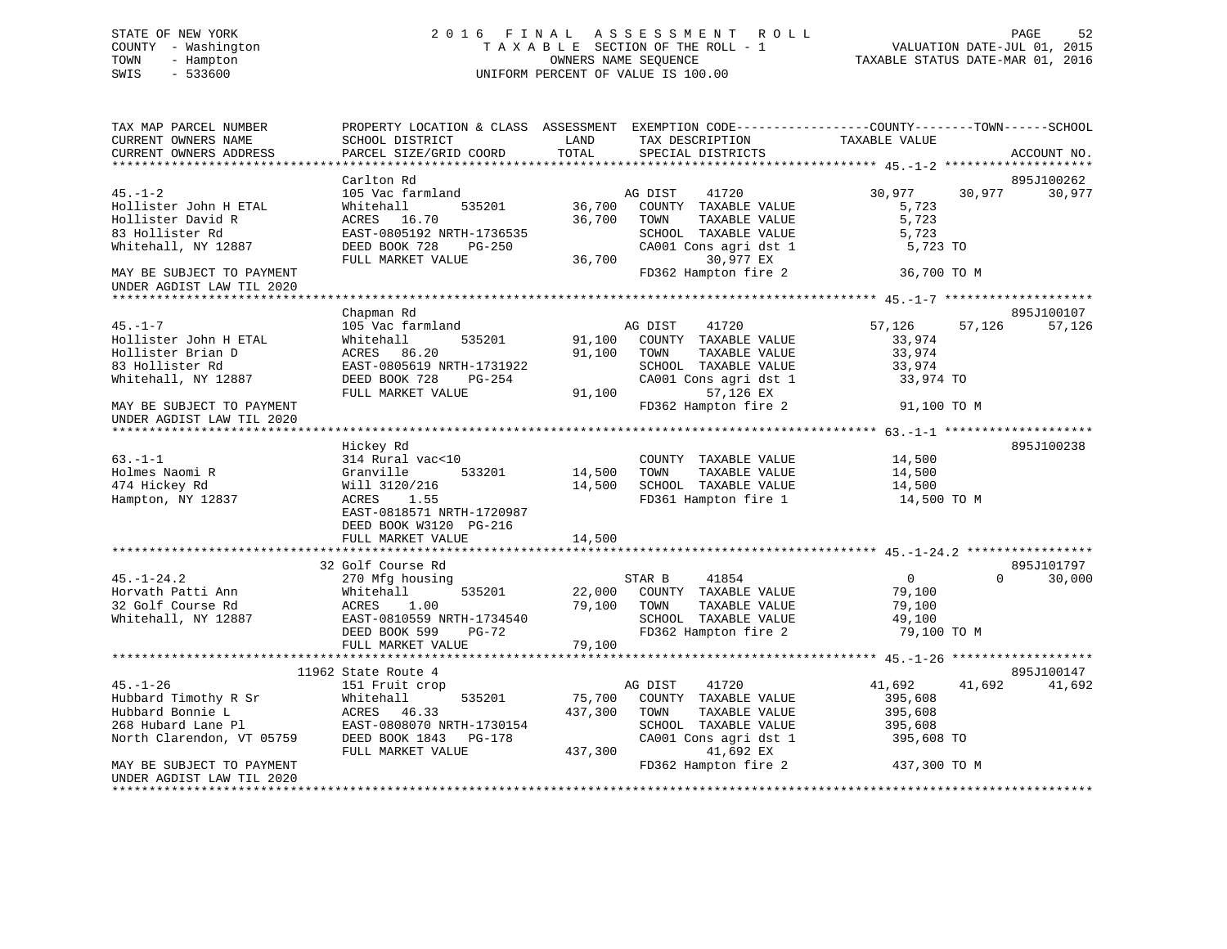# STATE OF NEW YORK 2 0 1 6 F I N A L A S S E S S M E N T R O L L PAGE 52 COUNTY - Washington T A X A B L E SECTION OF THE ROLL - 1 VALUATION DATE-JUL 01, 2015 TOWN - Hampton OWNERS NAME SEQUENCE TAXABLE STATUS DATE-MAR 01, 2016 SWIS - 533600 UNIFORM PERCENT OF VALUE IS 100.00

| TAX MAP PARCEL NUMBER<br>CURRENT OWNERS NAME<br>CURRENT OWNERS ADDRESS                                | PROPERTY LOCATION & CLASS ASSESSMENT EXEMPTION CODE-----------------COUNTY-------TOWN------SCHOOL<br>SCHOOL DISTRICT<br>PARCEL SIZE/GRID COORD           | LAND<br>TOTAL                | TAX DESCRIPTION<br>SPECIAL DISTRICTS                                                                                            | TAXABLE VALUE                                               | ACCOUNT NO.                      |
|-------------------------------------------------------------------------------------------------------|----------------------------------------------------------------------------------------------------------------------------------------------------------|------------------------------|---------------------------------------------------------------------------------------------------------------------------------|-------------------------------------------------------------|----------------------------------|
|                                                                                                       |                                                                                                                                                          |                              |                                                                                                                                 |                                                             |                                  |
|                                                                                                       | Carlton Rd                                                                                                                                               |                              |                                                                                                                                 |                                                             | 895J100262                       |
| $45. - 1 - 2$<br>Hollister John H ETAL<br>Hollister David R<br>83 Hollister Rd<br>Whitehall, NY 12887 | 105 Vac farmland<br>Whitehall<br>535201<br>ACRES 16.70<br>EAST-0805192 NRTH-1736535<br>DEED BOOK 728<br>PG-250                                           | 36,700<br>36,700             | 41720<br>AG DIST<br>COUNTY TAXABLE VALUE<br>TAXABLE VALUE<br>TOWN<br>SCHOOL TAXABLE VALUE<br>CA001 Cons agri dst 1              | 30,977<br>5,723<br>5,723<br>5,723<br>5,723 TO               | 30,977<br>30,977                 |
|                                                                                                       | FULL MARKET VALUE                                                                                                                                        | 36,700                       | 30,977 EX                                                                                                                       |                                                             |                                  |
| MAY BE SUBJECT TO PAYMENT<br>UNDER AGDIST LAW TIL 2020                                                |                                                                                                                                                          |                              | FD362 Hampton fire 2                                                                                                            | 36,700 TO M                                                 |                                  |
|                                                                                                       |                                                                                                                                                          |                              |                                                                                                                                 |                                                             |                                  |
| $45. - 1 - 7$<br>Hollister John H ETAL<br>Hollister Brian D<br>83 Hollister Rd<br>Whitehall, NY 12887 | Chapman Rd<br>105 Vac farmland<br>Whitehall<br>535201<br>ACRES 86.20<br>EAST-0805619 NRTH-1731922<br>DEED BOOK 728<br>PG-254<br>FULL MARKET VALUE        | 91,100<br>91,100<br>91,100   | AG DIST<br>41720<br>COUNTY TAXABLE VALUE<br>TOWN<br>TAXABLE VALUE<br>SCHOOL TAXABLE VALUE<br>CA001 Cons agri dst 1<br>57,126 EX | 57,126<br>33,974<br>33,974<br>33,974<br>33,974 TO           | 895J100107<br>57,126<br>57,126   |
| MAY BE SUBJECT TO PAYMENT<br>UNDER AGDIST LAW TIL 2020                                                |                                                                                                                                                          |                              | FD362 Hampton fire 2                                                                                                            | 91,100 TO M                                                 |                                  |
|                                                                                                       | Hickey Rd                                                                                                                                                |                              |                                                                                                                                 |                                                             | 895J100238                       |
| $63. -1 - 1$<br>Holmes Naomi R<br>474 Hickey Rd<br>Hampton, NY 12837                                  | 314 Rural vac<10<br>Granville<br>533201<br>Will 3120/216<br>ACRES<br>1.55<br>EAST-0818571 NRTH-1720987<br>DEED BOOK W3120 PG-216<br>FULL MARKET VALUE    | 14,500<br>14,500<br>14,500   | COUNTY TAXABLE VALUE<br>TOWN<br>TAXABLE VALUE<br>SCHOOL TAXABLE VALUE<br>FD361 Hampton fire 1                                   | 14,500<br>14,500<br>14,500<br>14,500 TO M                   |                                  |
|                                                                                                       |                                                                                                                                                          |                              |                                                                                                                                 |                                                             |                                  |
| $45. - 1 - 24.2$<br>Horvath Patti Ann<br>32 Golf Course Rd<br>Whitehall, NY 12887                     | 32 Golf Course Rd<br>270 Mfg housing<br>535201<br>Whitehall<br>ACRES<br>1.00<br>EAST-0810559 NRTH-1734540<br>DEED BOOK 599<br>PG-72<br>FULL MARKET VALUE | 22,000<br>79,100<br>79,100   | STAR B<br>41854<br>COUNTY TAXABLE VALUE<br>TOWN<br>TAXABLE VALUE<br>SCHOOL TAXABLE VALUE<br>FD362 Hampton fire 2                | $\overline{0}$<br>79,100<br>79,100<br>49,100<br>79,100 TO M | 895J101797<br>30,000<br>$\Omega$ |
|                                                                                                       |                                                                                                                                                          |                              |                                                                                                                                 |                                                             |                                  |
| $45. - 1 - 26$                                                                                        | 11962 State Route 4<br>151 Fruit crop                                                                                                                    |                              | AG DIST<br>41720                                                                                                                | 41,692                                                      | 895J100147<br>41,692<br>41,692   |
| Hubbard Timothy R Sr<br>Hubbard Bonnie L<br>268 Hubard Lane Pl<br>North Clarendon, VT 05759           | 535201<br>Whitehall<br>ACRES<br>46.33<br>EAST-0808070 NRTH-1730154<br>DEED BOOK 1843<br>PG-178<br>FULL MARKET VALUE                                      | 75,700<br>437,300<br>437,300 | COUNTY TAXABLE VALUE<br>TOWN<br>TAXABLE VALUE<br>SCHOOL TAXABLE VALUE<br>CA001 Cons agri dst 1<br>41,692 EX                     | 395,608<br>395,608<br>395,608<br>395,608 TO                 |                                  |
| MAY BE SUBJECT TO PAYMENT<br>UNDER AGDIST LAW TIL 2020<br>*******************                         |                                                                                                                                                          |                              | FD362 Hampton fire 2                                                                                                            | 437,300 TO M                                                |                                  |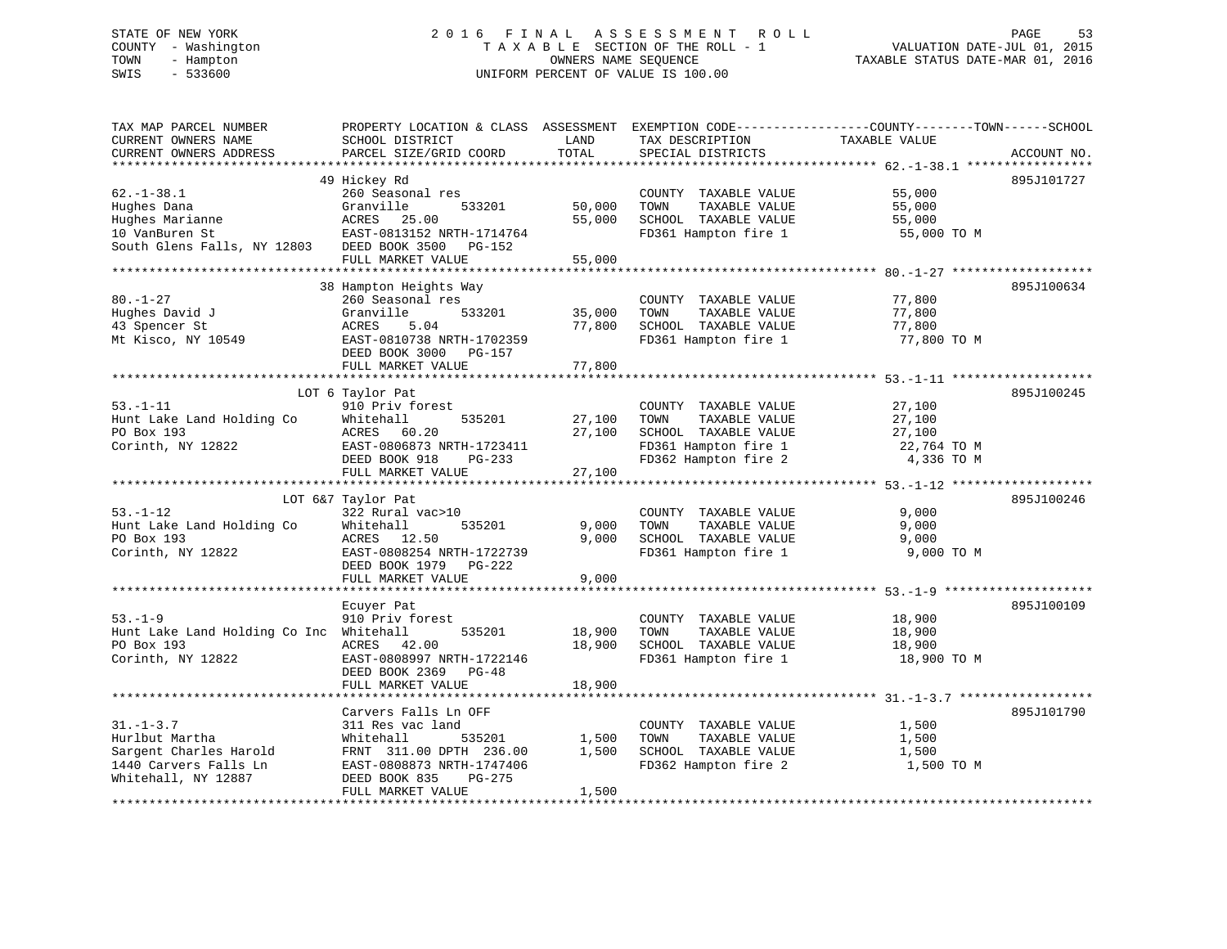# STATE OF NEW YORK 2 0 1 6 F I N A L A S S E S S M E N T R O L L PAGE 53 COUNTY - Washington T A X A B L E SECTION OF THE ROLL - 1 VALUATION DATE-JUL 01, 2015 TOWN - Hampton OWNERS NAME SEQUENCE TAXABLE STATUS DATE-MAR 01, 2016 SWIS - 533600 UNIFORM PERCENT OF VALUE IS 100.00

| TAX MAP PARCEL NUMBER<br>CURRENT OWNERS NAME<br>CURRENT OWNERS ADDRESS                                      | PROPERTY LOCATION & CLASS ASSESSMENT EXEMPTION CODE----------------COUNTY-------TOWN------SCHOOL<br>SCHOOL DISTRICT<br>PARCEL SIZE/GRID COORD                           | LAND<br>TOTAL           | TAX DESCRIPTION<br>SPECIAL DISTRICTS                                                                                  | TAXABLE VALUE                                           | ACCOUNT NO. |
|-------------------------------------------------------------------------------------------------------------|-------------------------------------------------------------------------------------------------------------------------------------------------------------------------|-------------------------|-----------------------------------------------------------------------------------------------------------------------|---------------------------------------------------------|-------------|
| $62. - 1 - 38.1$<br>Hughes Dana<br>Hughes Marianne<br>10 VanBuren St<br>South Glens Falls, NY 12803         | 49 Hickey Rd<br>260 Seasonal res<br>Granville<br>533201<br>ACRES 25.00<br>EAST-0813152 NRTH-1714764<br>DEED BOOK 3500 PG-152                                            | 50,000<br>55,000        | COUNTY TAXABLE VALUE<br>TOWN<br>TAXABLE VALUE<br>SCHOOL TAXABLE VALUE<br>FD361 Hampton fire 1                         | 55,000<br>55,000<br>55,000<br>55,000 TO M               | 895J101727  |
|                                                                                                             | FULL MARKET VALUE                                                                                                                                                       | 55,000                  |                                                                                                                       |                                                         |             |
| $80. - 1 - 27$<br>Hughes David J<br>43 Spencer St<br>Mt Kisco, NY 10549                                     | 38 Hampton Heights Way<br>260 Seasonal res<br>Granville<br>533201<br>ACRES<br>5.04<br>EAST-0810738 NRTH-1702359<br>DEED BOOK 3000 PG-157                                | 35,000<br>77,800        | COUNTY TAXABLE VALUE<br>TOWN<br>TAXABLE VALUE<br>SCHOOL TAXABLE VALUE<br>FD361 Hampton fire 1                         | 77,800<br>77,800<br>77,800<br>77,800 TO M               | 895J100634  |
|                                                                                                             | FULL MARKET VALUE                                                                                                                                                       | 77,800                  |                                                                                                                       |                                                         |             |
| $53. - 1 - 11$<br>Hunt Lake Land Holding Co<br>PO Box 193<br>Corinth, NY 12822                              | LOT 6 Taylor Pat<br>910 Priv forest<br>Whitehall<br>535201<br>ACRES 60.20<br>EAST-0806873 NRTH-1723411<br>DEED BOOK 918<br>PG-233                                       | 27,100<br>27,100        | COUNTY TAXABLE VALUE<br>TAXABLE VALUE<br>TOWN<br>SCHOOL TAXABLE VALUE<br>FD361 Hampton fire 1<br>FD362 Hampton fire 2 | 27,100<br>27,100<br>27,100<br>22,764 TO M<br>4,336 TO M | 895J100245  |
|                                                                                                             | FULL MARKET VALUE                                                                                                                                                       | 27,100                  |                                                                                                                       |                                                         |             |
|                                                                                                             |                                                                                                                                                                         |                         |                                                                                                                       |                                                         |             |
| $53. - 1 - 12$<br>Hunt Lake Land Holding Co<br>PO Box 193<br>Corinth, NY 12822                              | LOT 6&7 Taylor Pat<br>322 Rural vac>10<br>535201<br>Whitehall<br>ACRES 12.50<br>EAST-0808254 NRTH-1722739<br>DEED BOOK 1979 PG-222<br>FULL MARKET VALUE                 | 9,000<br>9,000<br>9,000 | COUNTY TAXABLE VALUE<br>TOWN<br>TAXABLE VALUE<br>SCHOOL TAXABLE VALUE<br>FD361 Hampton fire 1                         | 9,000<br>9,000<br>9,000<br>9,000 TO M                   | 895J100246  |
|                                                                                                             | Ecuyer Pat                                                                                                                                                              |                         |                                                                                                                       |                                                         | 895J100109  |
| $53. - 1 - 9$<br>Hunt Lake Land Holding Co Inc Whitehall<br>PO Box 193<br>Corinth, NY 12822                 | 910 Priv forest<br>535201<br>ACRES 42.00<br>EAST-0808997 NRTH-1722146<br>DEED BOOK 2369 PG-48                                                                           | 18,900<br>18,900        | COUNTY TAXABLE VALUE<br>TOWN<br>TAXABLE VALUE<br>SCHOOL TAXABLE VALUE<br>FD361 Hampton fire 1                         | 18,900<br>18,900<br>18,900<br>18,900 TO M               |             |
|                                                                                                             | FULL MARKET VALUE                                                                                                                                                       | 18,900                  |                                                                                                                       |                                                         |             |
| $31. - 1 - 3.7$<br>Hurlbut Martha<br>Sargent Charles Harold<br>1440 Carvers Falls Ln<br>Whitehall, NY 12887 | Carvers Falls Ln OFF<br>311 Res vac land<br>535201<br>Whitehall<br>FRNT 311.00 DPTH 236.00<br>EAST-0808873 NRTH-1747406<br>PG-275<br>DEED BOOK 835<br>FULL MARKET VALUE | 1,500<br>1,500<br>1,500 | COUNTY TAXABLE VALUE<br>TAXABLE VALUE<br>TOWN<br>SCHOOL TAXABLE VALUE<br>FD362 Hampton fire 2                         | 1,500<br>1,500<br>1,500<br>1,500 TO M                   | 895J101790  |
|                                                                                                             |                                                                                                                                                                         |                         |                                                                                                                       |                                                         |             |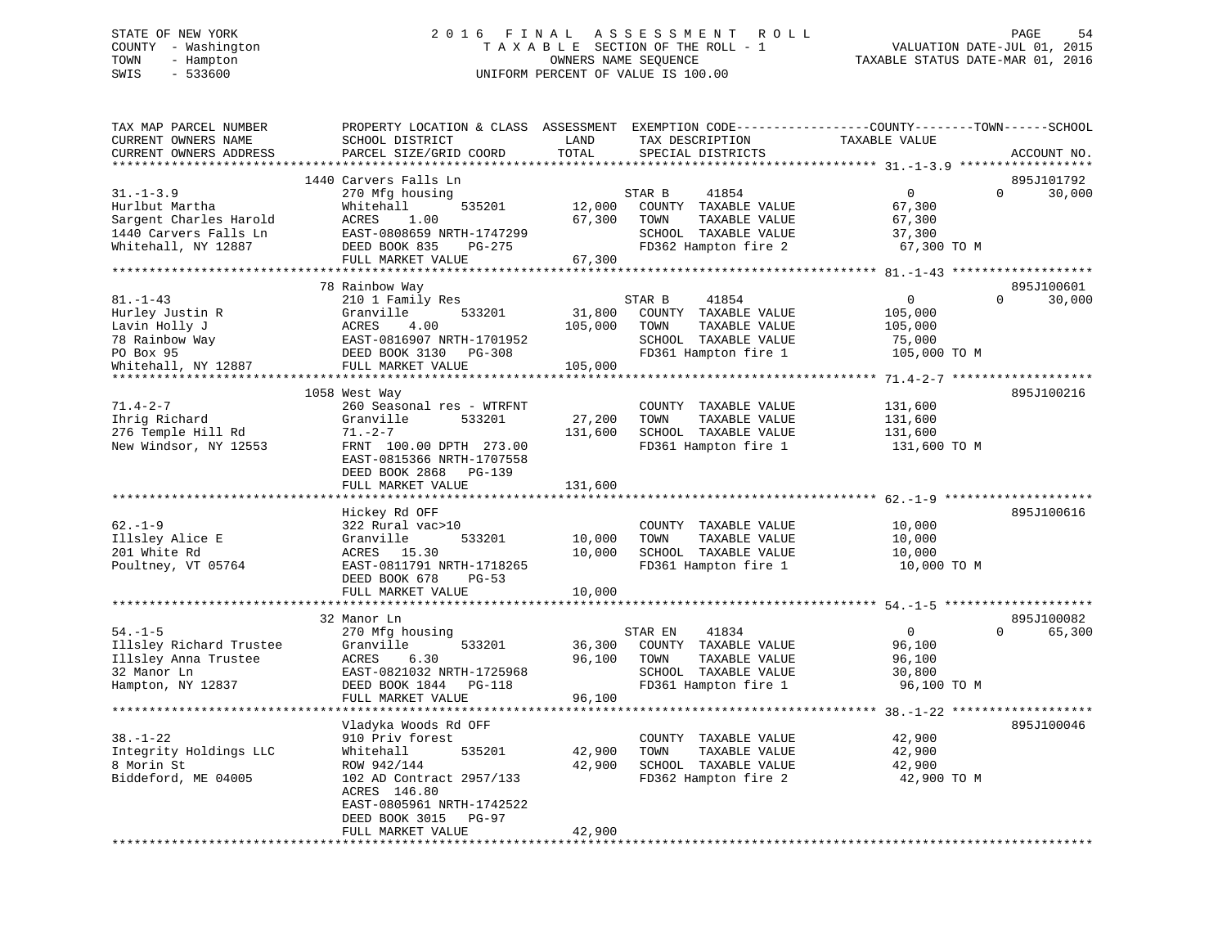# STATE OF NEW YORK 2 0 1 6 F I N A L A S S E S S M E N T R O L L PAGE 54 COUNTY - Washington T A X A B L E SECTION OF THE ROLL - 1 VALUATION DATE-JUL 01, 2015 TOWN - Hampton OWNERS NAME SEQUENCE TAXABLE STATUS DATE-MAR 01, 2016 SWIS - 533600 UNIFORM PERCENT OF VALUE IS 100.00

| TAX MAP PARCEL NUMBER<br>CURRENT OWNERS NAME | PROPERTY LOCATION & CLASS ASSESSMENT<br>SCHOOL DISTRICT | LAND          | EXEMPTION CODE-----------------COUNTY-------TOWN------SCHOOL<br>TAX DESCRIPTION | TAXABLE VALUE                          |          |             |
|----------------------------------------------|---------------------------------------------------------|---------------|---------------------------------------------------------------------------------|----------------------------------------|----------|-------------|
| CURRENT OWNERS ADDRESS                       | PARCEL SIZE/GRID COORD                                  | TOTAL         | SPECIAL DISTRICTS                                                               |                                        |          | ACCOUNT NO. |
| *************************                    |                                                         |               |                                                                                 |                                        |          |             |
|                                              | 1440 Carvers Falls Ln                                   |               |                                                                                 |                                        |          | 895J101792  |
| $31. - 1 - 3.9$                              | 270 Mfg housing                                         |               | 41854<br>STAR B                                                                 | $\Omega$                               | $\Omega$ | 30,000      |
| Hurlbut Martha                               | 535201<br>Whitehall                                     | 12,000        | COUNTY TAXABLE VALUE                                                            | 67,300                                 |          |             |
| Sargent Charles Harold                       | ACRES<br>1.00                                           | 67,300        | TOWN<br>TAXABLE VALUE                                                           | 67,300                                 |          |             |
| 1440 Carvers Falls Ln                        | EAST-0808659 NRTH-1747299                               |               | SCHOOL TAXABLE VALUE                                                            | 37,300                                 |          |             |
| Whitehall, NY 12887                          | DEED BOOK 835<br>$PG-275$<br>FULL MARKET VALUE          | 67,300        | FD362 Hampton fire 2                                                            | 67,300 TO M                            |          |             |
| *********************                        |                                                         |               |                                                                                 |                                        |          |             |
|                                              | 78 Rainbow Way                                          |               |                                                                                 |                                        |          | 895J100601  |
| $81. - 1 - 43$                               | 210 1 Family Res                                        |               | 41854<br>STAR B                                                                 | $\mathbf{0}$                           | $\Omega$ | 30,000      |
| Hurley Justin R                              | Granville<br>533201                                     | 31,800        | COUNTY TAXABLE VALUE                                                            | 105,000                                |          |             |
| Lavin Holly J                                | 4.00<br>ACRES                                           | 105,000       | TAXABLE VALUE<br>TOWN                                                           | 105,000                                |          |             |
| 78 Rainbow Way                               | EAST-0816907 NRTH-1701952                               |               | SCHOOL TAXABLE VALUE                                                            | 75,000                                 |          |             |
| PO Box 95                                    | DEED BOOK 3130 PG-308                                   |               | FD361 Hampton fire 1                                                            | 105,000 TO M                           |          |             |
| Whitehall, NY 12887                          | FULL MARKET VALUE                                       | 105,000       |                                                                                 |                                        |          |             |
| *******************                          | **************************                              |               |                                                                                 | ********* 71.4-2-7 ******************* |          |             |
|                                              | 1058 West Way                                           |               |                                                                                 |                                        |          | 895J100216  |
| $71.4 - 2 - 7$                               | 260 Seasonal res - WTRFNT                               |               | COUNTY TAXABLE VALUE                                                            | 131,600                                |          |             |
| Ihrig Richard                                | 533201<br>Granville                                     | 27,200        | TAXABLE VALUE<br>TOWN                                                           | 131,600                                |          |             |
| 276 Temple Hill Rd                           | $71. - 2 - 7$                                           | 131,600       | SCHOOL TAXABLE VALUE                                                            | 131,600                                |          |             |
| New Windsor, NY 12553                        | FRNT 100.00 DPTH 273.00                                 |               | FD361 Hampton fire 1                                                            | 131,600 TO M                           |          |             |
|                                              | EAST-0815366 NRTH-1707558                               |               |                                                                                 |                                        |          |             |
|                                              | DEED BOOK 2868<br>PG-139                                |               |                                                                                 |                                        |          |             |
|                                              | FULL MARKET VALUE                                       | 131,600       |                                                                                 |                                        |          |             |
|                                              |                                                         |               |                                                                                 | ********** 62.-1-9 ********            |          |             |
|                                              | Hickey Rd OFF                                           |               |                                                                                 |                                        |          | 895J100616  |
| $62. - 1 - 9$                                | 322 Rural vac>10                                        |               | COUNTY TAXABLE VALUE                                                            | 10,000                                 |          |             |
| Illsley Alice E                              | Granville<br>533201                                     | 10,000        | TAXABLE VALUE<br>TOWN                                                           | 10,000                                 |          |             |
| 201 White Rd                                 | ACRES<br>15.30                                          | 10,000        | SCHOOL TAXABLE VALUE                                                            | 10,000                                 |          |             |
| Poultney, VT 05764                           | EAST-0811791 NRTH-1718265                               |               | FD361 Hampton fire 1                                                            | 10,000 TO M                            |          |             |
|                                              | DEED BOOK 678<br>$PG-53$                                |               |                                                                                 |                                        |          |             |
|                                              | FULL MARKET VALUE                                       | 10,000        |                                                                                 |                                        |          |             |
|                                              | * * * * * * * * * * * * * * * * * * *                   | ************* | ******************************** 54. -1-5 ********                              |                                        |          |             |
|                                              | 32 Manor Ln                                             |               |                                                                                 |                                        |          | 895J100082  |
| $54. - 1 - 5$                                | 270 Mfg housing                                         |               | 41834<br>STAR EN                                                                | $\Omega$                               | $\Omega$ | 65,300      |
| Illsley Richard Trustee                      | Granville<br>533201                                     | 36,300        | COUNTY TAXABLE VALUE                                                            | 96,100                                 |          |             |
| Illsley Anna Trustee                         | ACRES<br>6.30                                           | 96,100        | TOWN<br>TAXABLE VALUE                                                           | 96,100                                 |          |             |
| 32 Manor Ln                                  | EAST-0821032 NRTH-1725968                               |               | SCHOOL TAXABLE VALUE                                                            | 30,800                                 |          |             |
| Hampton, NY 12837                            | DEED BOOK 1844<br>PG-118                                |               | FD361 Hampton fire 1                                                            | 96,100 TO M                            |          |             |
|                                              | FULL MARKET VALUE                                       | 96,100        |                                                                                 |                                        |          |             |
|                                              |                                                         |               |                                                                                 |                                        |          |             |
|                                              | Vladyka Woods Rd OFF                                    |               |                                                                                 |                                        |          | 895J100046  |
| $38. - 1 - 22$                               | 910 Priv forest                                         |               | COUNTY TAXABLE VALUE                                                            | 42,900                                 |          |             |
| Integrity Holdings LLC                       | Whitehall<br>535201                                     | 42,900        | TOWN<br>TAXABLE VALUE                                                           | 42,900                                 |          |             |
| 8 Morin St                                   | ROW 942/144                                             | 42,900        | SCHOOL TAXABLE VALUE                                                            | 42,900                                 |          |             |
| Biddeford, ME 04005                          | 102 AD Contract 2957/133                                |               | FD362 Hampton fire 2                                                            | 42,900 TO M                            |          |             |
|                                              | ACRES 146.80                                            |               |                                                                                 |                                        |          |             |
|                                              | EAST-0805961 NRTH-1742522                               |               |                                                                                 |                                        |          |             |
|                                              | DEED BOOK 3015<br><b>PG-97</b>                          |               |                                                                                 |                                        |          |             |
|                                              | FULL MARKET VALUE                                       | 42,900        |                                                                                 |                                        |          |             |
|                                              |                                                         |               | ******************************                                                  |                                        |          |             |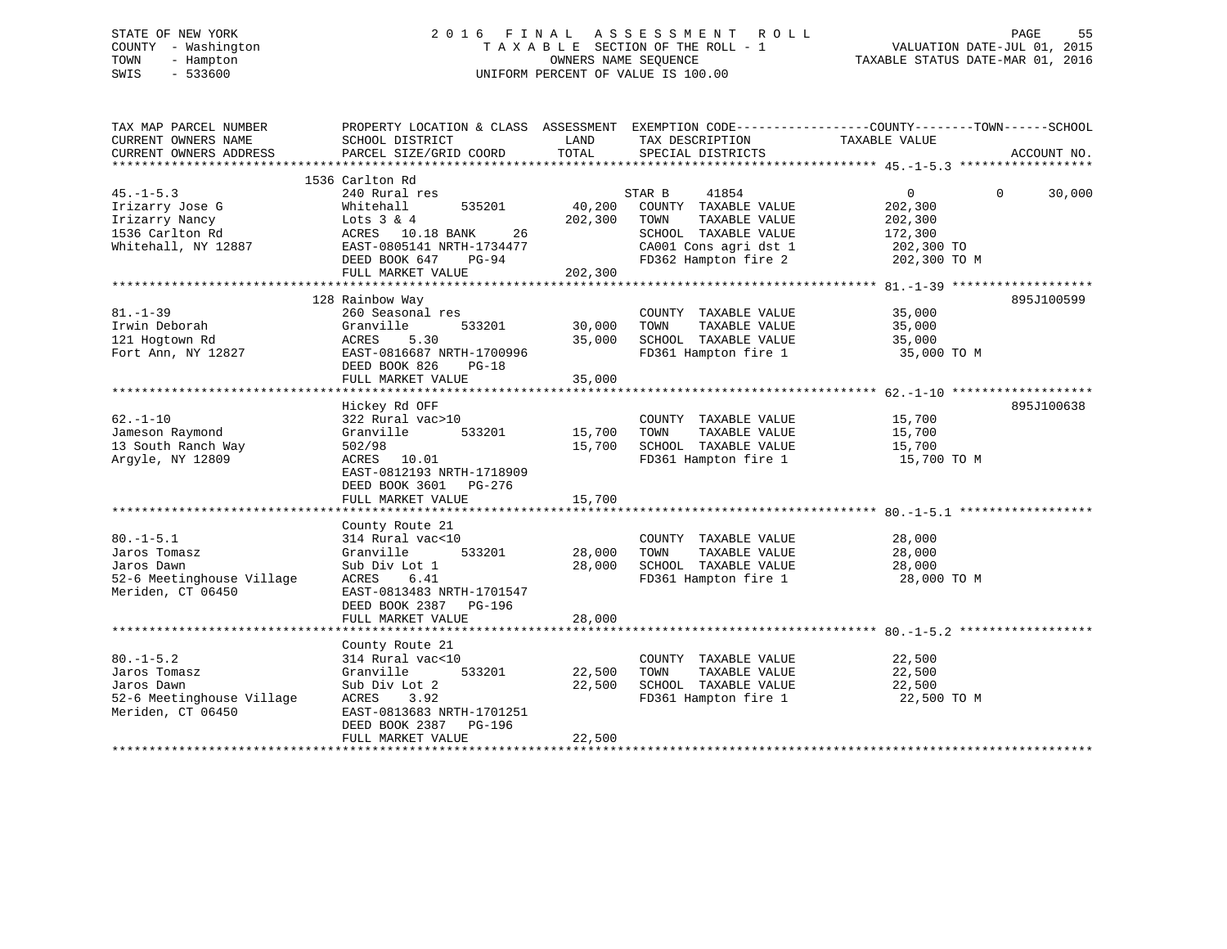# STATE OF NEW YORK 2 0 1 6 F I N A L A S S E S S M E N T R O L L PAGE 55 COUNTY - Washington T A X A B L E SECTION OF THE ROLL - 1 VALUATION DATE-JUL 01, 2015 TOWN - Hampton OWNERS NAME SEQUENCE TAXABLE STATUS DATE-MAR 01, 2016 SWIS - 533600 UNIFORM PERCENT OF VALUE IS 100.00

| TAX MAP PARCEL NUMBER<br>CURRENT OWNERS NAME<br>CURRENT OWNERS ADDRESS                         | PROPERTY LOCATION & CLASS ASSESSMENT EXEMPTION CODE----------------COUNTY-------TOWN------SCHOOL<br>SCHOOL DISTRICT<br>PARCEL SIZE/GRID COORD         | LAND<br>TOTAL    | TAX DESCRIPTION<br>SPECIAL DISTRICTS                                                          | TAXABLE VALUE                             |          | ACCOUNT NO. |
|------------------------------------------------------------------------------------------------|-------------------------------------------------------------------------------------------------------------------------------------------------------|------------------|-----------------------------------------------------------------------------------------------|-------------------------------------------|----------|-------------|
|                                                                                                |                                                                                                                                                       |                  |                                                                                               |                                           |          |             |
| $45. - 1 - 5.3$<br>Irizarry Jose G                                                             | 1536 Carlton Rd<br>240 Rural res<br>535201<br>Whitehall                                                                                               | 40,200           | STAR B<br>41854<br>COUNTY TAXABLE VALUE                                                       | $\overline{0}$<br>202,300                 | $\Omega$ | 30,000      |
| Irizarry Nancy<br>1536 Carlton Rd<br>Whitehall, NY 12887                                       | Lots $3 & 4$<br>ACRES 10.18 BANK<br>26<br>EAST-0805141 NRTH-1734477                                                                                   | 202,300          | TOWN<br>TAXABLE VALUE<br>SCHOOL TAXABLE VALUE<br>CA001 Cons agri dst 1                        | 202,300<br>172,300<br>202,300 TO          |          |             |
|                                                                                                | DEED BOOK 647<br>PG-94<br>FULL MARKET VALUE                                                                                                           | 202,300          | FD362 Hampton fire 2                                                                          | 202,300 TO M                              |          |             |
|                                                                                                |                                                                                                                                                       |                  |                                                                                               |                                           |          |             |
|                                                                                                | 128 Rainbow Way                                                                                                                                       |                  |                                                                                               |                                           |          | 895J100599  |
| $81. - 1 - 39$<br>Irwin Deborah<br>121 Hogtown Rd<br>Fort Ann, NY 12827                        | 260 Seasonal res<br>Granville<br>533201<br>ACRES<br>5.30<br>EAST-0816687 NRTH-1700996<br>DEED BOOK 826<br>$PG-18$                                     | 30,000<br>35,000 | COUNTY TAXABLE VALUE<br>TAXABLE VALUE<br>TOWN<br>SCHOOL TAXABLE VALUE<br>FD361 Hampton fire 1 | 35,000<br>35,000<br>35,000<br>35,000 TO M |          |             |
|                                                                                                | FULL MARKET VALUE                                                                                                                                     | 35,000           |                                                                                               |                                           |          |             |
|                                                                                                | Hickey Rd OFF                                                                                                                                         |                  |                                                                                               |                                           |          | 895J100638  |
| $62. - 1 - 10$<br>Jameson Raymond<br>13 South Ranch Way<br>Argyle, NY 12809                    | 322 Rural vac>10<br>Granville<br>533201<br>502/98<br>ACRES 10.01<br>EAST-0812193 NRTH-1718909<br>DEED BOOK 3601 PG-276                                | 15,700<br>15,700 | COUNTY TAXABLE VALUE<br>TAXABLE VALUE<br>TOWN<br>SCHOOL TAXABLE VALUE<br>FD361 Hampton fire 1 | 15,700<br>15,700<br>15,700<br>15,700 TO M |          |             |
|                                                                                                | FULL MARKET VALUE                                                                                                                                     | 15,700           |                                                                                               |                                           |          |             |
|                                                                                                | County Route 21                                                                                                                                       |                  |                                                                                               |                                           |          |             |
| $80. -1 - 5.1$<br>Jaros Tomasz<br>Jaros Dawn<br>52-6 Meetinghouse Village<br>Meriden, CT 06450 | 314 Rural vac<10<br>Granville<br>533201<br>Sub Div Lot 1<br>ACRES<br>6.41<br>EAST-0813483 NRTH-1701547<br>DEED BOOK 2387 PG-196                       | 28,000<br>28,000 | COUNTY TAXABLE VALUE<br>TOWN<br>TAXABLE VALUE<br>SCHOOL TAXABLE VALUE<br>FD361 Hampton fire 1 | 28,000<br>28,000<br>28,000<br>28,000 TO M |          |             |
|                                                                                                | FULL MARKET VALUE                                                                                                                                     | 28,000           |                                                                                               |                                           |          |             |
|                                                                                                |                                                                                                                                                       |                  |                                                                                               |                                           |          |             |
| $80. -1 - 5.2$<br>Jaros Tomasz<br>Jaros Dawn<br>52-6 Meetinghouse Village<br>Meriden, CT 06450 | County Route 21<br>314 Rural vac<10<br>Granville<br>533201<br>Sub Div Lot 2<br>ACRES<br>3.92<br>EAST-0813683 NRTH-1701251<br>DEED BOOK 2387<br>PG-196 | 22,500<br>22,500 | COUNTY TAXABLE VALUE<br>TOWN<br>TAXABLE VALUE<br>SCHOOL TAXABLE VALUE<br>FD361 Hampton fire 1 | 22,500<br>22,500<br>22,500<br>22,500 TO M |          |             |
|                                                                                                | FULL MARKET VALUE                                                                                                                                     | 22,500           |                                                                                               |                                           |          |             |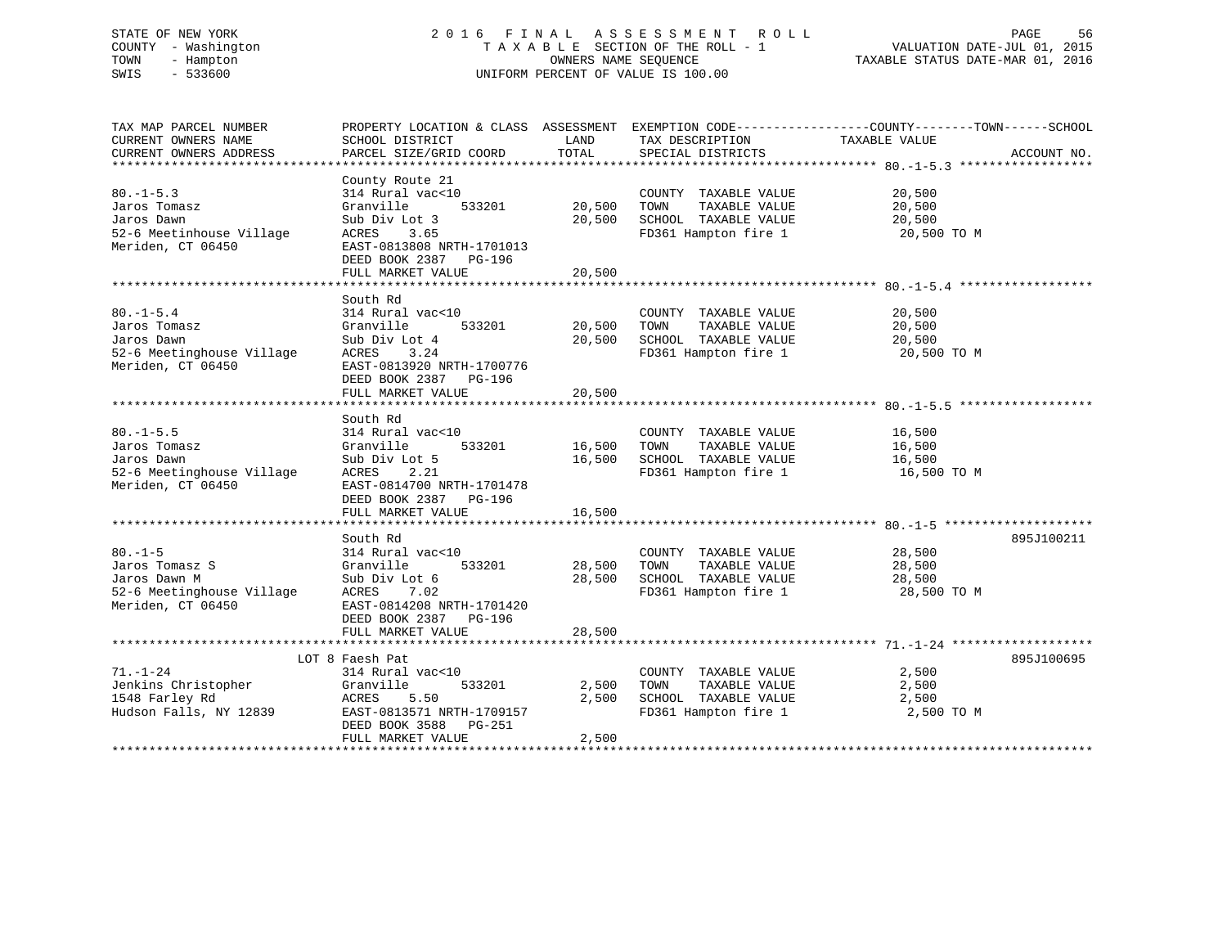# STATE OF NEW YORK 2 0 1 6 F I N A L A S S E S S M E N T R O L L PAGE 56 COUNTY - Washington T A X A B L E SECTION OF THE ROLL - 1 VALUATION DATE-JUL 01, 2015 TOWN - Hampton OWNERS NAME SEQUENCE TAXABLE STATUS DATE-MAR 01, 2016 SWIS - 533600 UNIFORM PERCENT OF VALUE IS 100.00

TAX MAP PARCEL NUMBER PROPERTY LOCATION & CLASS ASSESSMENT EXEMPTION CODE------------------COUNTY--------TOWN------SCHOOL CURRENT OWNERS NAME SCHOOL DISTRICT THE LAND TAX DESCRIPTION TAXABLE VALUE CURRENT OWNERS ADDRESS PARCEL SIZE/GRID COORD TOTAL SPECIAL DISTRICTS ACCOUNT NO. \*\*\*\*\*\*\*\*\*\*\*\*\*\*\*\*\*\*\*\*\*\*\*\*\*\*\*\*\*\*\*\*\*\*\*\*\*\*\*\*\*\*\*\*\*\*\*\*\*\*\*\*\*\*\*\*\*\*\*\*\*\*\*\*\*\*\*\*\*\*\*\*\*\*\*\*\*\*\*\*\*\*\*\*\*\*\*\*\*\*\*\*\*\*\*\*\*\*\*\*\*\*\* 80.-1-5.3 \*\*\*\*\*\*\*\*\*\*\*\*\*\*\*\*\*\* County Route 21 80.-1-5.3 314 Rural vac<10 COUNTY TAXABLE VALUE 20,500 Jaros Tomasz Granville 533201 20,500 TOWN TAXABLE VALUE 20,500 Jaros Dawn Sub Div Lot 3 20,500 SCHOOL TAXABLE VALUE 20,500 52-6 Meetinhouse Village ACRES 3.65 FD361 Hampton fire 1 20,500 TO M Meriden, CT 06450 **EAST-0813808 NRTH-1701013**  DEED BOOK 2387 PG-196FULL MARKET VALUE 20,500 \*\*\*\*\*\*\*\*\*\*\*\*\*\*\*\*\*\*\*\*\*\*\*\*\*\*\*\*\*\*\*\*\*\*\*\*\*\*\*\*\*\*\*\*\*\*\*\*\*\*\*\*\*\*\*\*\*\*\*\*\*\*\*\*\*\*\*\*\*\*\*\*\*\*\*\*\*\*\*\*\*\*\*\*\*\*\*\*\*\*\*\*\*\*\*\*\*\*\*\*\*\*\* 80.-1-5.4 \*\*\*\*\*\*\*\*\*\*\*\*\*\*\*\*\*\* South Rd80.-1-5.4 314 Rural vac<10 COUNTY TAXABLE VALUE 20,500 Jaros Tomasz Granville 533201 20,500 TOWN TAXABLE VALUE 20,500 Jaros Dawn Sub Div Lot 4 20,500 SCHOOL TAXABLE VALUE 20,500 52-6 Meetinghouse Village ACRES 3.24 FD361 Hampton fire 1 20,500 TO M Meriden, CT 06450 EAST-0813920 NRTH-1700776 DEED BOOK 2387 PG-196 FULL MARKET VALUE 20,500 \*\*\*\*\*\*\*\*\*\*\*\*\*\*\*\*\*\*\*\*\*\*\*\*\*\*\*\*\*\*\*\*\*\*\*\*\*\*\*\*\*\*\*\*\*\*\*\*\*\*\*\*\*\*\*\*\*\*\*\*\*\*\*\*\*\*\*\*\*\*\*\*\*\*\*\*\*\*\*\*\*\*\*\*\*\*\*\*\*\*\*\*\*\*\*\*\*\*\*\*\*\*\* 80.-1-5.5 \*\*\*\*\*\*\*\*\*\*\*\*\*\*\*\*\*\* South Rd80.-1-5.5 314 Rural vac<10 COUNTY TAXABLE VALUE 16,500 Jaros Tomasz Granville 533201 16,500 TOWN TAXABLE VALUE 16,500 Jaros Dawn Sub Div Lot 5 16,500 SCHOOL TAXABLE VALUE 16,500 52-6 Meetinghouse Village ACRES 2.21 FD361 Hampton fire 1 16,500 TO M Meriden, CT 06450 EAST-0814700 NRTH-1701478 DEED BOOK 2387 PG-196 FULL MARKET VALUE 16,500 \*\*\*\*\*\*\*\*\*\*\*\*\*\*\*\*\*\*\*\*\*\*\*\*\*\*\*\*\*\*\*\*\*\*\*\*\*\*\*\*\*\*\*\*\*\*\*\*\*\*\*\*\*\*\*\*\*\*\*\*\*\*\*\*\*\*\*\*\*\*\*\*\*\*\*\*\*\*\*\*\*\*\*\*\*\*\*\*\*\*\*\*\*\*\*\*\*\*\*\*\*\*\* 80.-1-5 \*\*\*\*\*\*\*\*\*\*\*\*\*\*\*\*\*\*\*\* South Rd 895J10021180.-1-5 314 Rural vac<10 COUNTY TAXABLE VALUE 28,500 Jaros Tomasz S Granville 533201 28,500 TOWN TAXABLE VALUE 28,500 Jaros Dawn M Sub Div Lot 6 28,500 SCHOOL TAXABLE VALUE 28,500 52-6 Meetinghouse Village ACRES 7.02 FD361 Hampton fire 1 28,500 TO M Meriden, CT 06450 EAST-0814208 NRTH-1701420 DEED BOOK 2387 PG-196 FULL MARKET VALUE 28,500 \*\*\*\*\*\*\*\*\*\*\*\*\*\*\*\*\*\*\*\*\*\*\*\*\*\*\*\*\*\*\*\*\*\*\*\*\*\*\*\*\*\*\*\*\*\*\*\*\*\*\*\*\*\*\*\*\*\*\*\*\*\*\*\*\*\*\*\*\*\*\*\*\*\*\*\*\*\*\*\*\*\*\*\*\*\*\*\*\*\*\*\*\*\*\*\*\*\*\*\*\*\*\* 71.-1-24 \*\*\*\*\*\*\*\*\*\*\*\*\*\*\*\*\*\*\*LOT 8 Faesh Pat 895J100695 71.-1-24 314 Rural vac<10 COUNTY TAXABLE VALUE 2,500 Jenkins Christopher Granville 533201 2,500 TOWN TAXABLE VALUE 2,500 1548 Farley Rd ACRES 5.50 2,500 SCHOOL TAXABLE VALUE 2,500 Hudson Falls, NY 12839 EAST-0813571 NRTH-1709157 FD361 Hampton fire 1 2,500 TO M DEED BOOK 3588 PG-251FULL MARKET VALUE 2,500 \*\*\*\*\*\*\*\*\*\*\*\*\*\*\*\*\*\*\*\*\*\*\*\*\*\*\*\*\*\*\*\*\*\*\*\*\*\*\*\*\*\*\*\*\*\*\*\*\*\*\*\*\*\*\*\*\*\*\*\*\*\*\*\*\*\*\*\*\*\*\*\*\*\*\*\*\*\*\*\*\*\*\*\*\*\*\*\*\*\*\*\*\*\*\*\*\*\*\*\*\*\*\*\*\*\*\*\*\*\*\*\*\*\*\*\*\*\*\*\*\*\*\*\*\*\*\*\*\*\*\*\*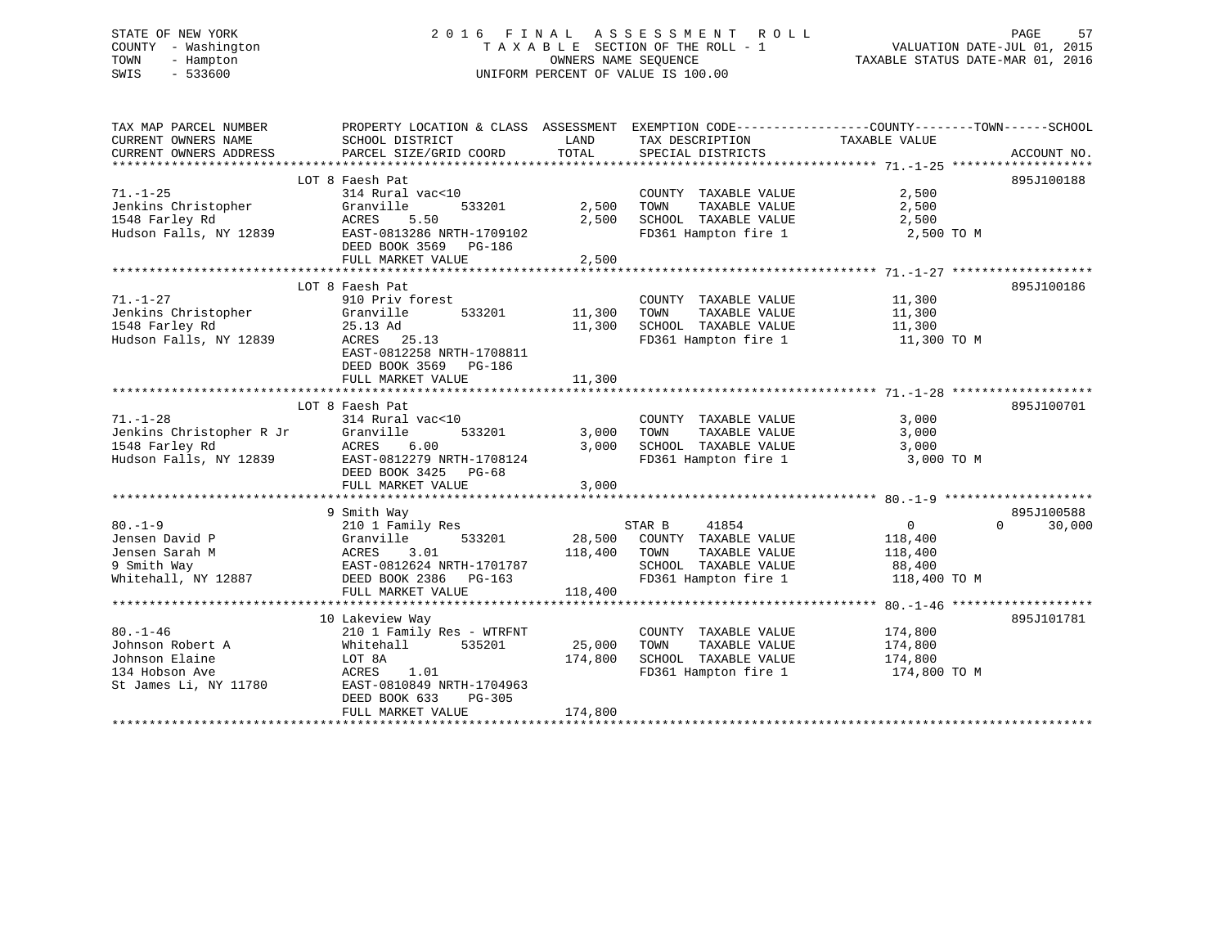#### STATE OF NEW YORK GOOD CONSULTED A LOTE OF TIN A LOTE ASSESSMENT ROLL COLL PAGE 57 COUNTY - Washington  $T A X A B L E$  SECTION OF THE ROLL - 1<br>TOWN - Hampton DWNERS NAME SEQUENCE TOWN - Hampton OWNERS NAME SEQUENCE TAXABLE STATUS DATE-MAR 01, 2016 SWIS - 533600 UNIFORM PERCENT OF VALUE IS 100.00

| TAX MAP PARCEL NUMBER    | PROPERTY LOCATION & CLASS ASSESSMENT EXEMPTION CODE----------------COUNTY-------TOWN------SCHOOL |         |                                 |                |                             |
|--------------------------|--------------------------------------------------------------------------------------------------|---------|---------------------------------|----------------|-----------------------------|
| CURRENT OWNERS NAME      | SCHOOL DISTRICT                                                                                  | LAND    | TAX DESCRIPTION                 | TAXABLE VALUE  |                             |
| CURRENT OWNERS ADDRESS   | PARCEL SIZE/GRID COORD                                                                           | TOTAL   | SPECIAL DISTRICTS               |                | ACCOUNT NO.                 |
|                          |                                                                                                  |         |                                 |                |                             |
|                          | LOT 8 Faesh Pat                                                                                  |         |                                 |                | 895J100188                  |
| $71. - 1 - 25$           | 314 Rural vac<10                                                                                 |         | COUNTY TAXABLE VALUE            | 2,500          |                             |
| Jenkins Christopher      | 533201<br>Granville                                                                              | 2,500   | TOWN<br>TAXABLE VALUE           | 2,500          |                             |
| 1548 Farley Rd           | 5.50<br>ACRES                                                                                    | 2,500   | SCHOOL TAXABLE VALUE            | 2,500          |                             |
| Hudson Falls, NY 12839   | EAST-0813286 NRTH-1709102                                                                        |         | FD361 Hampton fire 1 2,500 TO M |                |                             |
|                          | DEED BOOK 3569 PG-186                                                                            |         |                                 |                |                             |
|                          | FULL MARKET VALUE                                                                                | 2,500   |                                 |                |                             |
|                          |                                                                                                  |         |                                 |                |                             |
|                          | LOT 8 Faesh Pat                                                                                  |         |                                 |                | 895J100186                  |
| $71. - 1 - 27$           | 910 Priv forest                                                                                  |         | COUNTY TAXABLE VALUE            | 11,300         |                             |
| Jenkins Christopher      | Granville<br>533201                                                                              | 11,300  | TOWN<br>TAXABLE VALUE           | 11,300         |                             |
| 1548 Farley Rd           | 25.13 Ad                                                                                         | 11,300  | SCHOOL TAXABLE VALUE            | 11,300         |                             |
| Hudson Falls, NY 12839   | ACRES 25.13                                                                                      |         | FD361 Hampton fire 1            | 11,300 TO M    |                             |
|                          | EAST-0812258 NRTH-1708811                                                                        |         |                                 |                |                             |
|                          | DEED BOOK 3569 PG-186                                                                            |         |                                 |                |                             |
|                          |                                                                                                  |         |                                 |                |                             |
|                          | FULL MARKET VALUE                                                                                | 11,300  |                                 |                |                             |
|                          |                                                                                                  |         |                                 |                |                             |
|                          | LOT 8 Faesh Pat                                                                                  |         |                                 |                | 895J100701                  |
| $71. - 1 - 28$           | 314 Rural vac<10                                                                                 |         | COUNTY TAXABLE VALUE            | 3,000          |                             |
| Jenkins Christopher R Jr | Granville<br>533201                                                                              | 3,000   | TOWN<br>TAXABLE VALUE           | 3,000          |                             |
| 1548 Farley Rd           | ACRES<br>6.00                                                                                    | 3,000   | SCHOOL TAXABLE VALUE            | 3,000          |                             |
| Hudson Falls, NY 12839   | EAST-0812279 NRTH-1708124                                                                        |         | FD361 Hampton fire 1            | 3,000 TO M     |                             |
|                          | DEED BOOK 3425 PG-68                                                                             |         |                                 |                |                             |
|                          | FULL MARKET VALUE                                                                                | 3,000   |                                 |                |                             |
|                          |                                                                                                  |         |                                 |                |                             |
|                          | 9 Smith Way                                                                                      |         |                                 |                | 895J100588                  |
| $80. - 1 - 9$            | 210 1 Family Res                                                                                 |         | STAR B<br>41854                 | $\overline{0}$ | $0 \qquad \qquad$<br>30,000 |
| Jensen David P           | 533201<br>Granville                                                                              | 28,500  | COUNTY TAXABLE VALUE            | 118,400        |                             |
| Jensen Sarah M           | ACRES<br>3.01                                                                                    | 118,400 | TAXABLE VALUE<br>TOWN           | 118,400        |                             |
| 9 Smith Way              | EAST-0812624 NRTH-1701787                                                                        |         | SCHOOL TAXABLE VALUE            | 88,400         |                             |
| Whitehall, NY 12887      | DEED BOOK 2386 PG-163                                                                            |         | FD361 Hampton fire 1            | 118,400 TO M   |                             |
|                          | FULL MARKET VALUE                                                                                | 118,400 |                                 |                |                             |
|                          |                                                                                                  |         |                                 |                |                             |
|                          | 10 Lakeview Way                                                                                  |         |                                 |                | 895J101781                  |
| $80. - 1 - 46$           | 210 1 Family Res - WTRFNT                                                                        |         | COUNTY TAXABLE VALUE            | 174,800        |                             |
| Johnson Robert A         | 535201<br>Whitehall                                                                              | 25,000  | TOWN<br>TAXABLE VALUE           | 174,800        |                             |
| Johnson Elaine           | LOT 8A                                                                                           | 174,800 | SCHOOL TAXABLE VALUE            | 174,800        |                             |
| 134 Hobson Ave           | 1.01<br>ACRES                                                                                    |         | FD361 Hampton fire 1            | 174,800 TO M   |                             |
| St James Li, NY 11780    | EAST-0810849 NRTH-1704963                                                                        |         |                                 |                |                             |
|                          | DEED BOOK 633<br>$PG-305$                                                                        |         |                                 |                |                             |
|                          | FULL MARKET VALUE                                                                                | 174,800 |                                 |                |                             |
|                          |                                                                                                  |         |                                 |                |                             |
|                          |                                                                                                  |         |                                 |                |                             |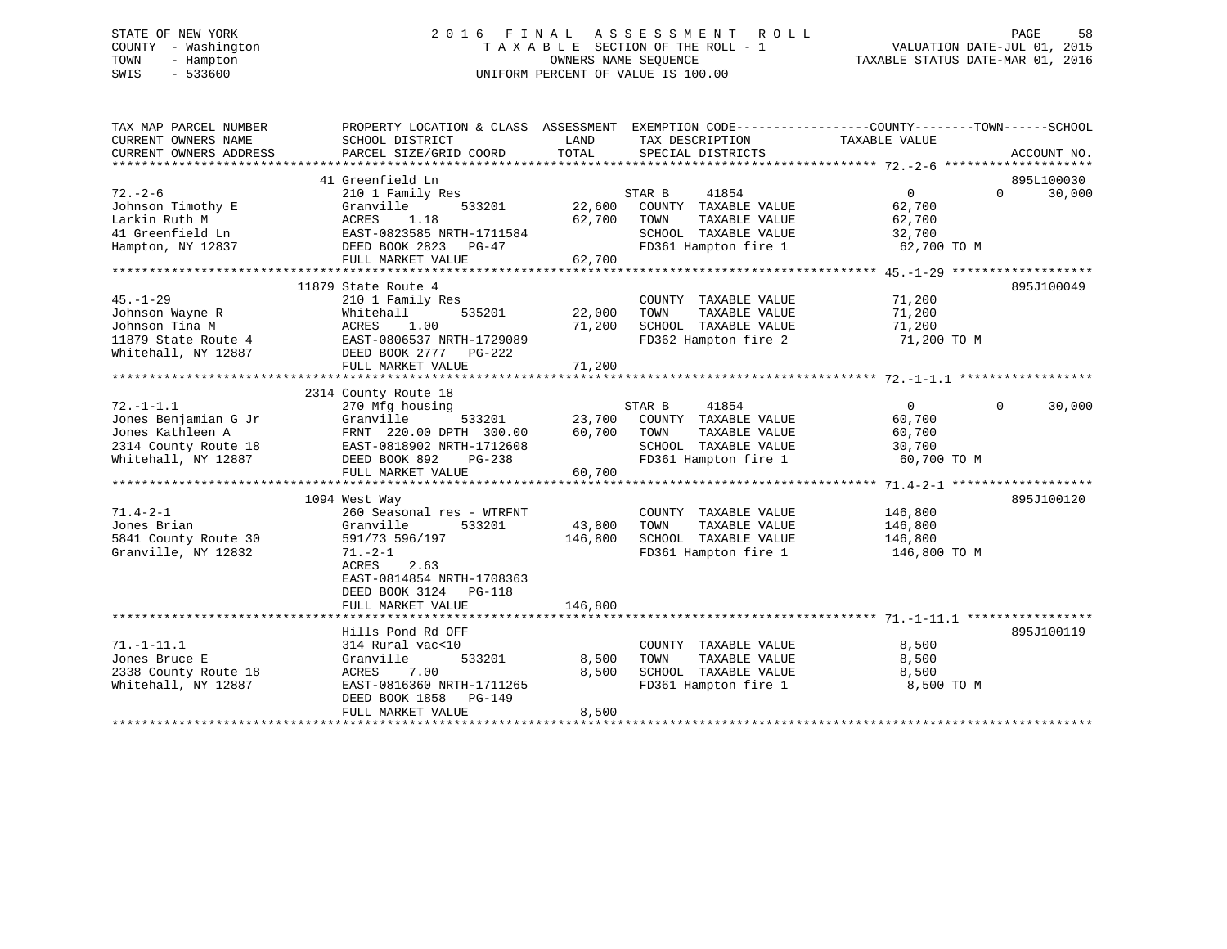# STATE OF NEW YORK 2 0 1 6 F I N A L A S S E S S M E N T R O L L PAGE 58 COUNTY - Washington T A X A B L E SECTION OF THE ROLL - 1 VALUATION DATE-JUL 01, 2015 TOWN - Hampton OWNERS NAME SEQUENCE TAXABLE STATUS DATE-MAR 01, 2016 SWIS - 533600 UNIFORM PERCENT OF VALUE IS 100.00

| TAX MAP PARCEL NUMBER<br>CURRENT OWNERS NAME | PROPERTY LOCATION & CLASS ASSESSMENT EXEMPTION CODE---------------COUNTY-------TOWN-----SCHOOL<br>SCHOOL DISTRICT | LAND    | TAX DESCRIPTION       | TAXABLE VALUE |                    |
|----------------------------------------------|-------------------------------------------------------------------------------------------------------------------|---------|-----------------------|---------------|--------------------|
| CURRENT OWNERS ADDRESS                       | PARCEL SIZE/GRID COORD                                                                                            | TOTAL   | SPECIAL DISTRICTS     |               | ACCOUNT NO.        |
|                                              | 41 Greenfield Ln                                                                                                  |         |                       |               | 895L100030         |
| $72. - 2 - 6$                                | 210 1 Family Res                                                                                                  |         | STAR B<br>41854       | $\Omega$      | $\Omega$<br>30,000 |
| Johnson Timothy E                            | Granville<br>533201                                                                                               | 22,600  | COUNTY TAXABLE VALUE  | 62,700        |                    |
| Larkin Ruth M                                | ACRES<br>1.18                                                                                                     | 62,700  | TOWN<br>TAXABLE VALUE | 62,700        |                    |
| 41 Greenfield Ln                             | EAST-0823585 NRTH-1711584                                                                                         |         | SCHOOL TAXABLE VALUE  | 32,700        |                    |
| Hampton, NY 12837                            | DEED BOOK 2823 PG-47                                                                                              |         | FD361 Hampton fire 1  | 62,700 TO M   |                    |
|                                              | FULL MARKET VALUE                                                                                                 | 62,700  |                       |               |                    |
|                                              |                                                                                                                   |         |                       |               |                    |
|                                              | 11879 State Route 4                                                                                               |         |                       |               | 895J100049         |
| $45. - 1 - 29$                               | 210 1 Family Res                                                                                                  |         | COUNTY TAXABLE VALUE  | 71,200        |                    |
| Johnson Wayne R                              | Whitehall<br>535201                                                                                               | 22,000  | TOWN<br>TAXABLE VALUE | 71,200        |                    |
| Johnson Tina M                               | 1.00<br>ACRES                                                                                                     | 71,200  | SCHOOL TAXABLE VALUE  | 71,200        |                    |
| 11879 State Route 4                          | EAST-0806537 NRTH-1729089                                                                                         |         | FD362 Hampton fire 2  | 71,200 TO M   |                    |
| Whitehall, NY 12887                          | DEED BOOK 2777 PG-222                                                                                             |         |                       |               |                    |
|                                              | FULL MARKET VALUE                                                                                                 | 71,200  |                       |               |                    |
|                                              |                                                                                                                   |         |                       |               |                    |
|                                              | 2314 County Route 18                                                                                              |         |                       |               |                    |
| $72. - 1 - 1.1$                              | 270 Mfg housing                                                                                                   |         | STAR B<br>41854       | $\Omega$      | 30,000<br>$\Omega$ |
| Jones Benjamian G Jr                         | Granville<br>533201                                                                                               | 23,700  | COUNTY TAXABLE VALUE  | 60,700        |                    |
| Jones Kathleen A                             | FRNT 220.00 DPTH 300.00                                                                                           | 60,700  | TOWN<br>TAXABLE VALUE | 60,700        |                    |
| 2314 County Route 18                         | EAST-0818902 NRTH-1712608                                                                                         |         | SCHOOL TAXABLE VALUE  | 30,700        |                    |
| Whitehall, NY 12887                          | DEED BOOK 892<br>PG-238                                                                                           |         | FD361 Hampton fire 1  | 60,700 TO M   |                    |
|                                              | FULL MARKET VALUE                                                                                                 | 60,700  |                       |               |                    |
|                                              |                                                                                                                   |         |                       |               |                    |
|                                              | 1094 West Way                                                                                                     |         |                       |               | 895J100120         |
| $71.4 - 2 - 1$                               | 260 Seasonal res - WTRFNT                                                                                         |         | COUNTY TAXABLE VALUE  | 146,800       |                    |
| Jones Brian                                  | 533201<br>Granville                                                                                               | 43,800  | TOWN<br>TAXABLE VALUE | 146,800       |                    |
| 5841 County Route 30                         | 591/73 596/197                                                                                                    | 146,800 | SCHOOL TAXABLE VALUE  | 146,800       |                    |
| Granville, NY 12832                          | $71. - 2 - 1$                                                                                                     |         | FD361 Hampton fire 1  | 146,800 TO M  |                    |
|                                              | ACRES<br>2.63                                                                                                     |         |                       |               |                    |
|                                              | EAST-0814854 NRTH-1708363                                                                                         |         |                       |               |                    |
|                                              | DEED BOOK 3124<br><b>PG-118</b>                                                                                   |         |                       |               |                    |
|                                              | FULL MARKET VALUE                                                                                                 | 146,800 |                       |               |                    |
|                                              |                                                                                                                   |         |                       |               |                    |
|                                              | Hills Pond Rd OFF                                                                                                 |         |                       |               | 895J100119         |
| $71. - 1 - 11.1$                             | 314 Rural vac<10                                                                                                  |         | COUNTY TAXABLE VALUE  | 8,500         |                    |
| Jones Bruce E                                | Granville<br>533201                                                                                               | 8,500   | TAXABLE VALUE<br>TOWN | 8,500         |                    |
| 2338 County Route 18                         | 7.00<br>ACRES                                                                                                     | 8,500   | SCHOOL TAXABLE VALUE  | 8,500         |                    |
| Whitehall, NY 12887                          | EAST-0816360 NRTH-1711265                                                                                         |         | FD361 Hampton fire 1  | 8,500 TO M    |                    |
|                                              | DEED BOOK 1858<br>PG-149                                                                                          |         |                       |               |                    |
|                                              | FULL MARKET VALUE                                                                                                 | 8,500   |                       |               |                    |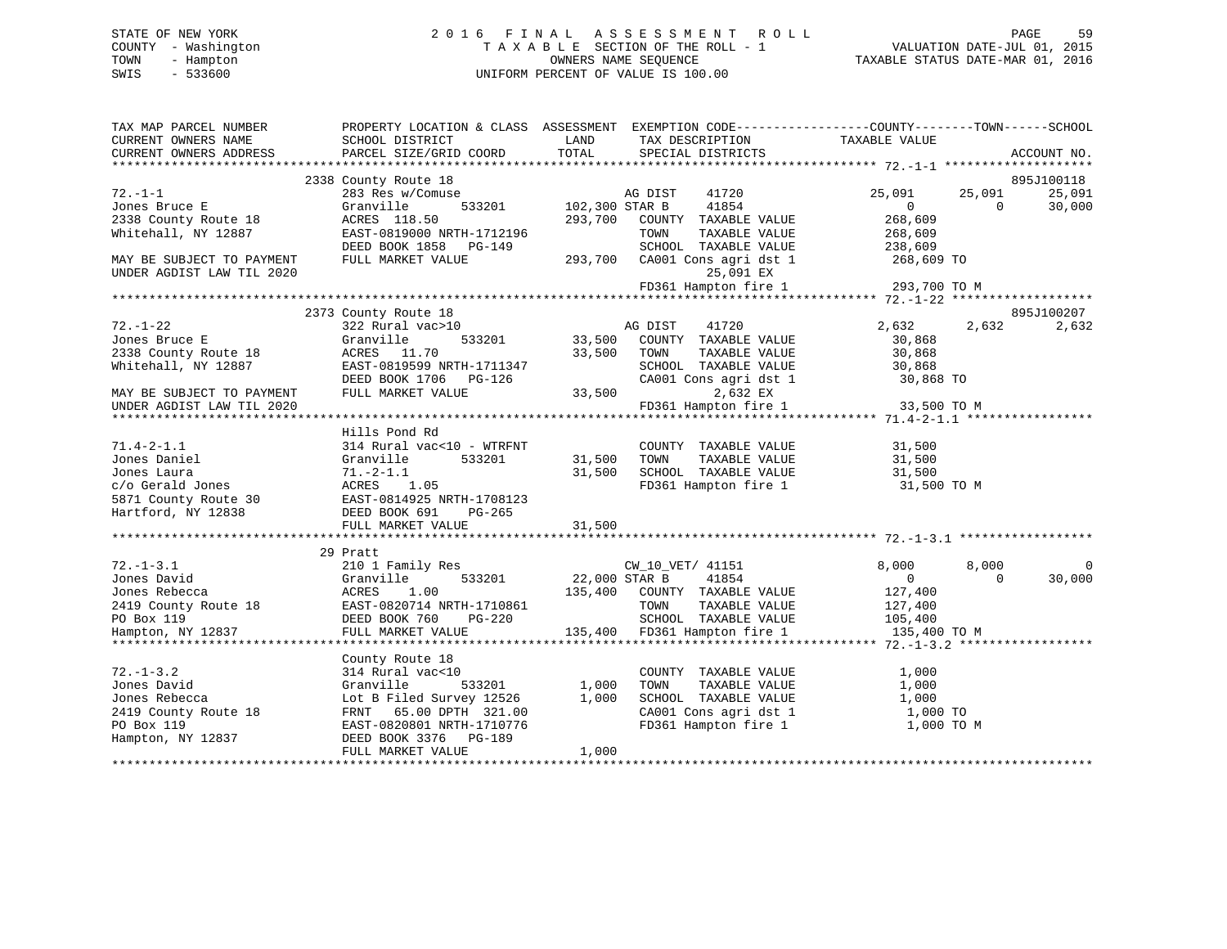# STATE OF NEW YORK 2 0 1 6 F I N A L A S S E S S M E N T R O L L PAGE 59 COUNTY - Washington T A X A B L E SECTION OF THE ROLL - 1 VALUATION DATE-JUL 01, 2015 TOWN - Hampton OWNERS NAME SEQUENCE TAXABLE STATUS DATE-MAR 01, 2016 SWIS - 533600 UNIFORM PERCENT OF VALUE IS 100.00

| TAX MAP PARCEL NUMBER<br>CURRENT OWNERS NAME<br>CURRENT OWNERS ADDRESS | PROPERTY LOCATION & CLASS ASSESSMENT EXEMPTION CODE---------------COUNTY-------TOWN------SCHOOL<br>SCHOOL DISTRICT<br>PARCEL SIZE/GRID COORD | LAND<br>TOTAL         | TAX DESCRIPTION<br>SPECIAL DISTRICTS          | TAXABLE VALUE  |            | ACCOUNT NO. |
|------------------------------------------------------------------------|----------------------------------------------------------------------------------------------------------------------------------------------|-----------------------|-----------------------------------------------|----------------|------------|-------------|
|                                                                        |                                                                                                                                              |                       |                                               |                |            |             |
|                                                                        | 2338 County Route 18                                                                                                                         |                       |                                               |                |            | 895J100118  |
| $72. - 1 - 1$                                                          | 283 Res w/Comuse                                                                                                                             |                       | 41720<br>AG DIST                              | 25,091         | 25,091     | 25,091      |
| Jones Bruce E                                                          | Granville                                                                                                                                    | 533201 102,300 STAR B | 41854                                         | $\overline{0}$ | $\Omega$   | 30,000      |
| 2338 County Route 18                                                   | ACRES 118.50                                                                                                                                 |                       | 293,700 COUNTY TAXABLE VALUE                  | 268,609        |            |             |
| Whitehall, NY 12887                                                    | EAST-0819000 NRTH-1712196                                                                                                                    |                       | TOWN<br>TAXABLE VALUE                         | 268,609        |            |             |
|                                                                        | DEED BOOK 1858 PG-149                                                                                                                        |                       | SCHOOL TAXABLE VALUE                          | 238,609        |            |             |
| MAY BE SUBJECT TO PAYMENT<br>UNDER AGDIST LAW TIL 2020                 | FULL MARKET VALUE                                                                                                                            |                       | 293,700 CA001 Cons agri dst 1<br>25,091 EX    | 268,609 TO     |            |             |
|                                                                        |                                                                                                                                              |                       | FD361 Hampton fire 1                          | 293,700 TO M   |            |             |
|                                                                        |                                                                                                                                              |                       |                                               |                |            |             |
|                                                                        | 2373 County Route 18                                                                                                                         |                       |                                               |                |            | 895J100207  |
| $72. - 1 - 22$                                                         | 322 Rural vac>10                                                                                                                             |                       | AG DIST<br>41720                              | 2,632          | 2,632      | 2,632       |
| Jones Bruce E                                                          | 533201<br>Granville                                                                                                                          | AC<br>33,500          | COUNTY TAXABLE VALUE                          | 30,868         |            |             |
| 2338 County Route 18                                                   | ACRES 11.70                                                                                                                                  | 33,500                | TOWN<br>TAXABLE VALUE                         | 30,868         |            |             |
| Whitehall, NY 12887                                                    | EAST-0819599 NRTH-1711347                                                                                                                    |                       | SCHOOL TAXABLE VALUE                          | 30,868         |            |             |
|                                                                        | DEED BOOK 1706 PG-126                                                                                                                        |                       | CA001 Cons agri dst 1                         | 30,868 TO      |            |             |
| MAY BE SUBJECT TO PAYMENT                                              | FULL MARKET VALUE                                                                                                                            | 33,500                | 2,632 EX                                      |                |            |             |
| UNDER AGDIST LAW TIL 2020                                              |                                                                                                                                              |                       | FD361 Hampton fire 1                          | 33,500 TO M    |            |             |
|                                                                        |                                                                                                                                              |                       |                                               |                |            |             |
|                                                                        |                                                                                                                                              |                       |                                               |                |            |             |
| $71.4 - 2 - 1.1$                                                       | Hills Pond Rd<br>314 Rural vac<10 - WTRFNT                                                                                                   |                       |                                               |                |            |             |
|                                                                        | Granville                                                                                                                                    | NT<br>31,500          | COUNTY TAXABLE VALUE<br>TAXABLE VALUE<br>TOWN | 31,500         |            |             |
| Jones Daniel                                                           | 533201                                                                                                                                       |                       |                                               | 31,500         |            |             |
| Jones Laura                                                            | $71. - 2 - 1.1$                                                                                                                              | 31,500                | SCHOOL TAXABLE VALUE<br>FD361 Hampton fire 1  | 31,500         |            |             |
| c/o Gerald Jones                                                       | ACRES<br>1.05                                                                                                                                |                       |                                               | 31,500 TO M    |            |             |
| 5871 County Route 30                                                   | EAST-0814925 NRTH-1708123                                                                                                                    |                       |                                               |                |            |             |
| Hartford, NY 12838                                                     | DEED BOOK 691<br>PG-265                                                                                                                      |                       |                                               |                |            |             |
|                                                                        | FULL MARKET VALUE                                                                                                                            | 31,500                |                                               |                |            |             |
|                                                                        |                                                                                                                                              |                       |                                               |                |            |             |
|                                                                        | 29 Pratt                                                                                                                                     |                       |                                               |                |            |             |
| $72. - 1 - 3.1$                                                        | 210 1 Family Res                                                                                                                             |                       | CW_10_VET/ 41151                              | 8,000          | 8,000      | 0           |
| Jones David                                                            | Granville<br>533201                                                                                                                          | $22,000$ STAR B       | 41854                                         | $\overline{0}$ | $\bigcirc$ | 30,000      |
| Jones Rebecca                                                          | 1.00<br>ACRES                                                                                                                                |                       | 135,400 COUNTY TAXABLE VALUE                  | 127,400        |            |             |
| 2419 County Route 18                                                   | EAST-0820714 NRTH-1710861<br>DEED BOOK 760 PG-220                                                                                            |                       | TOWN<br>TAXABLE VALUE                         | 127,400        |            |             |
| PO Box 119                                                             |                                                                                                                                              |                       | SCHOOL TAXABLE VALUE                          | 105,400        |            |             |
| Hampton, NY 12837                                                      | FULL MARKET VALUE                                                                                                                            |                       | 135,400 FD361 Hampton fire 1                  | 135,400 TO M   |            |             |
|                                                                        |                                                                                                                                              |                       |                                               |                |            |             |
|                                                                        | County Route 18                                                                                                                              |                       |                                               |                |            |             |
| $72. - 1 - 3.2$                                                        | 314 Rural vac<10                                                                                                                             |                       | COUNTY TAXABLE VALUE                          | 1,000          |            |             |
| Jones David                                                            | Granville<br>533201                                                                                                                          | 1,000                 | TOWN<br>TAXABLE VALUE                         | 1,000          |            |             |
| Jones Rebecca                                                          | Lot B Filed Survey 12526                                                                                                                     | 1,000                 | SCHOOL TAXABLE VALUE                          | 1,000          |            |             |
| 2419 County Route 18                                                   | FRNT 65.00 DPTH 321.00                                                                                                                       |                       | CA001 Cons agri dst 1 $1,000$ TO              |                |            |             |
| PO Box 119                                                             | EAST-0820801 NRTH-1710776                                                                                                                    |                       | FD361 Hampton fire 1                          | 1,000 TO M     |            |             |
| Hampton, NY 12837                                                      | DEED BOOK 3376 PG-189                                                                                                                        |                       |                                               |                |            |             |
|                                                                        | FULL MARKET VALUE                                                                                                                            | 1,000                 |                                               |                |            |             |
|                                                                        |                                                                                                                                              |                       |                                               |                |            |             |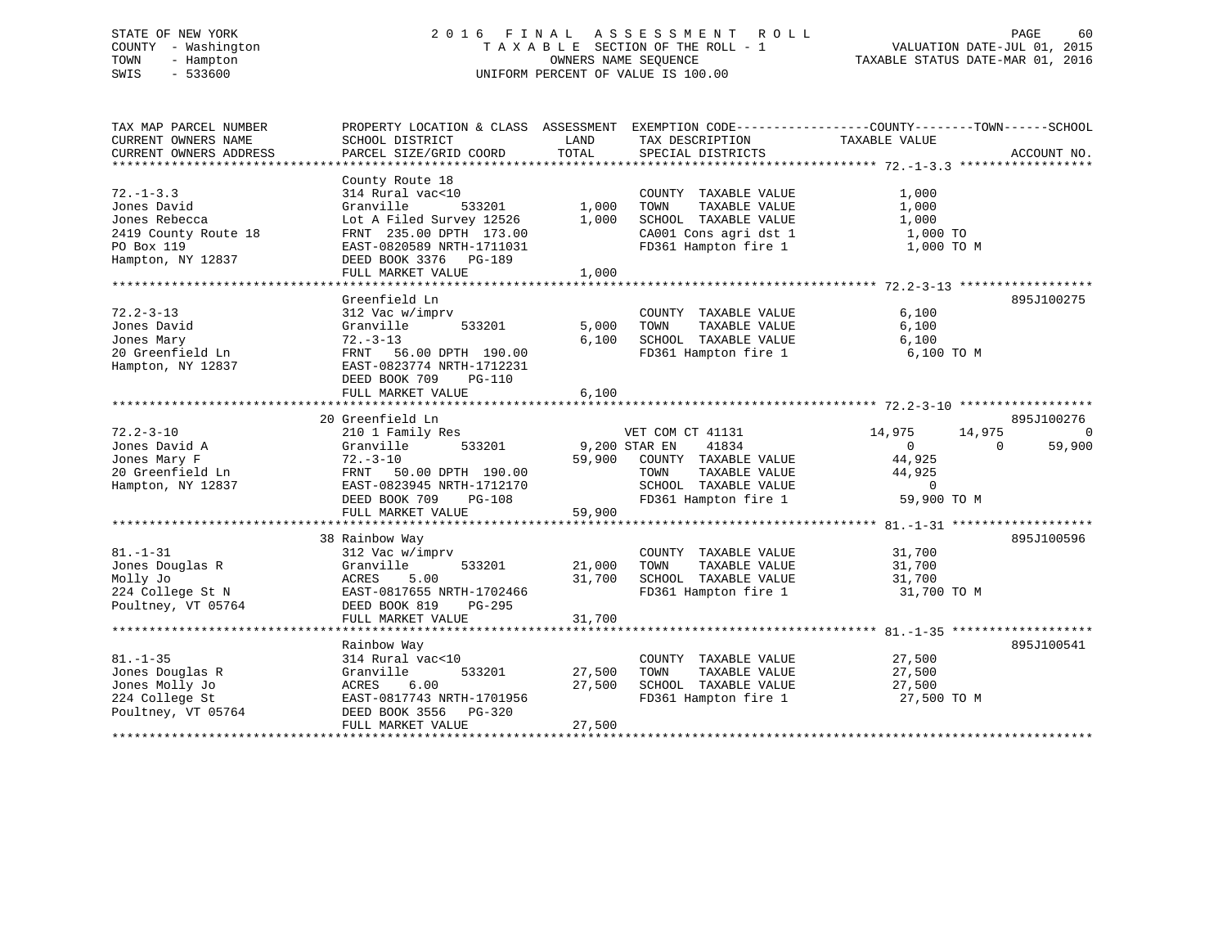# STATE OF NEW YORK 2 0 1 6 F I N A L A S S E S S M E N T R O L L PAGE 60 COUNTY - Washington T A X A B L E SECTION OF THE ROLL - 1 VALUATION DATE-JUL 01, 2015 TOWN - Hampton OWNERS NAME SEQUENCE TAXABLE STATUS DATE-MAR 01, 2016 SWIS - 533600 UNIFORM PERCENT OF VALUE IS 100.00

TAX MAP PARCEL NUMBER PROPERTY LOCATION & CLASS ASSESSMENT EXEMPTION CODE------------------COUNTY--------TOWN------SCHOOL CURRENT OWNERS NAME SCHOOL DISTRICT LAND TAX DESCRIPTION TAXABLE VALUECURRENT OWNERS ADDRESS PARCEL SIZE/GRID COORD TOTAL SPECIAL DISTRICTS ACCOUNT NO. \*\*\*\*\*\*\*\*\*\*\*\*\*\*\*\*\*\*\*\*\*\*\*\*\*\*\*\*\*\*\*\*\*\*\*\*\*\*\*\*\*\*\*\*\*\*\*\*\*\*\*\*\*\*\*\*\*\*\*\*\*\*\*\*\*\*\*\*\*\*\*\*\*\*\*\*\*\*\*\*\*\*\*\*\*\*\*\*\*\*\*\*\*\*\*\*\*\*\*\*\*\*\* 72.-1-3.3 \*\*\*\*\*\*\*\*\*\*\*\*\*\*\*\*\*\* County Route 18 72.-1-3.3 314 Rural vac<10 COUNTY TAXABLE VALUE 1,000 Jones David Granville 533201 1,000 TOWN TAXABLE VALUE 1,000 Jones Rebecca Lot A Filed Survey 12526 1,000 SCHOOL TAXABLE VALUE 1,000 2419 County Route 18 FRNT 235.00 DPTH 173.00 CA001 Cons agri dst 1 1,000 TO PO Box 119 EAST-0820589 NRTH-1711031 FD361 Hampton fire 1 1,000 TO M Hampton, NY 12837 DEED BOOK 3376 PG-189 FULL MARKET VALUE 1,000 \*\*\*\*\*\*\*\*\*\*\*\*\*\*\*\*\*\*\*\*\*\*\*\*\*\*\*\*\*\*\*\*\*\*\*\*\*\*\*\*\*\*\*\*\*\*\*\*\*\*\*\*\*\*\*\*\*\*\*\*\*\*\*\*\*\*\*\*\*\*\*\*\*\*\*\*\*\*\*\*\*\*\*\*\*\*\*\*\*\*\*\*\*\*\*\*\*\*\*\*\*\*\* 72.2-3-13 \*\*\*\*\*\*\*\*\*\*\*\*\*\*\*\*\*\*Greenfield Ln 895J100275 72.2-3-13 312 Vac w/imprv COUNTY TAXABLE VALUE 6,100 Jones David Granville 533201 5,000 TOWN TAXABLE VALUE 6,100 Jones Mary 72.-3-13 6,100 SCHOOL TAXABLE VALUE 6,100 20 Greenfield Ln FRNT 56.00 DPTH 190.00 FD361 Hampton fire 1 6,100 TO M Hampton, NY 12837 EAST-0823774 NRTH-1712231 DEED BOOK 709 PG-110 FULL MARKET VALUE 6,100 \*\*\*\*\*\*\*\*\*\*\*\*\*\*\*\*\*\*\*\*\*\*\*\*\*\*\*\*\*\*\*\*\*\*\*\*\*\*\*\*\*\*\*\*\*\*\*\*\*\*\*\*\*\*\*\*\*\*\*\*\*\*\*\*\*\*\*\*\*\*\*\*\*\*\*\*\*\*\*\*\*\*\*\*\*\*\*\*\*\*\*\*\*\*\*\*\*\*\*\*\*\*\* 72.2-3-10 \*\*\*\*\*\*\*\*\*\*\*\*\*\*\*\*\*\*895J100276 20 Greenfield Ln \$ 20 Greenfield Ln \$ 20 Greenfield Ln \$ 895J100276<br>72.2-3-10 210 1 Family Res \$ \$ \$ \$ \$ \$ \$ \$ \$ \$ \$ \$ \$ \$ \$ \$ \$ 4,975 \$ \$ \$ \$ \$ \$ \$ \$ \$ \$ \$ \$ \$ \$ \$ \$ \$ Jones David A Granville 533201 9,200 STAR EN 41834 0 0 59,900 Jones Mary F 72.-3-10 59,900 COUNTY TAXABLE VALUE 44,925 20 Greenfield Ln FRNT 50.00 DPTH 190.00 TOWN TAXABLE VALUE 44,925 Hampton, NY 12837 EAST-0823945 NRTH-1712170 SCHOOL TAXABLE VALUE 0 DEED BOOK 709 PG-108 FD361 Hampton fire 1 59,900 TO M FULL MARKET VALUE 59,900 \*\*\*\*\*\*\*\*\*\*\*\*\*\*\*\*\*\*\*\*\*\*\*\*\*\*\*\*\*\*\*\*\*\*\*\*\*\*\*\*\*\*\*\*\*\*\*\*\*\*\*\*\*\*\*\*\*\*\*\*\*\*\*\*\*\*\*\*\*\*\*\*\*\*\*\*\*\*\*\*\*\*\*\*\*\*\*\*\*\*\*\*\*\*\*\*\*\*\*\*\*\*\* 81.-1-31 \*\*\*\*\*\*\*\*\*\*\*\*\*\*\*\*\*\*\* 38 Rainbow Way 895J100596 81.-1-31 312 Vac w/imprv COUNTY TAXABLE VALUE 31,700 Jones Douglas R Granville 533201 21,000 TOWN TAXABLE VALUE 31,700 Molly Jo ACRES 5.00 31,700 SCHOOL TAXABLE VALUE 31,700 224 College St N EAST-0817655 NRTH-1702466 FD361 Hampton fire 1 31,700 TO M Poultney, VT 05764 DEED BOOK 819 PG-295 FULL MARKET VALUE 31,700 \*\*\*\*\*\*\*\*\*\*\*\*\*\*\*\*\*\*\*\*\*\*\*\*\*\*\*\*\*\*\*\*\*\*\*\*\*\*\*\*\*\*\*\*\*\*\*\*\*\*\*\*\*\*\*\*\*\*\*\*\*\*\*\*\*\*\*\*\*\*\*\*\*\*\*\*\*\*\*\*\*\*\*\*\*\*\*\*\*\*\*\*\*\*\*\*\*\*\*\*\*\*\* 81.-1-35 \*\*\*\*\*\*\*\*\*\*\*\*\*\*\*\*\*\*\* Rainbow Way 895J100541 81.-1-35 314 Rural vac<10 COUNTY TAXABLE VALUE 27,500 Jones Douglas R Granville 533201 27,500 TOWN TAXABLE VALUE 27,500 Jones Molly Jo ACRES 6.00 27,500 SCHOOL TAXABLE VALUE 27,500 224 College St EAST-0817743 NRTH-1701956 FD361 Hampton fire 1 27,500 TO M Poultney, VT 05764 DEED BOOK 3556 PG-320 FULL MARKET VALUE 27,500 \*\*\*\*\*\*\*\*\*\*\*\*\*\*\*\*\*\*\*\*\*\*\*\*\*\*\*\*\*\*\*\*\*\*\*\*\*\*\*\*\*\*\*\*\*\*\*\*\*\*\*\*\*\*\*\*\*\*\*\*\*\*\*\*\*\*\*\*\*\*\*\*\*\*\*\*\*\*\*\*\*\*\*\*\*\*\*\*\*\*\*\*\*\*\*\*\*\*\*\*\*\*\*\*\*\*\*\*\*\*\*\*\*\*\*\*\*\*\*\*\*\*\*\*\*\*\*\*\*\*\*\*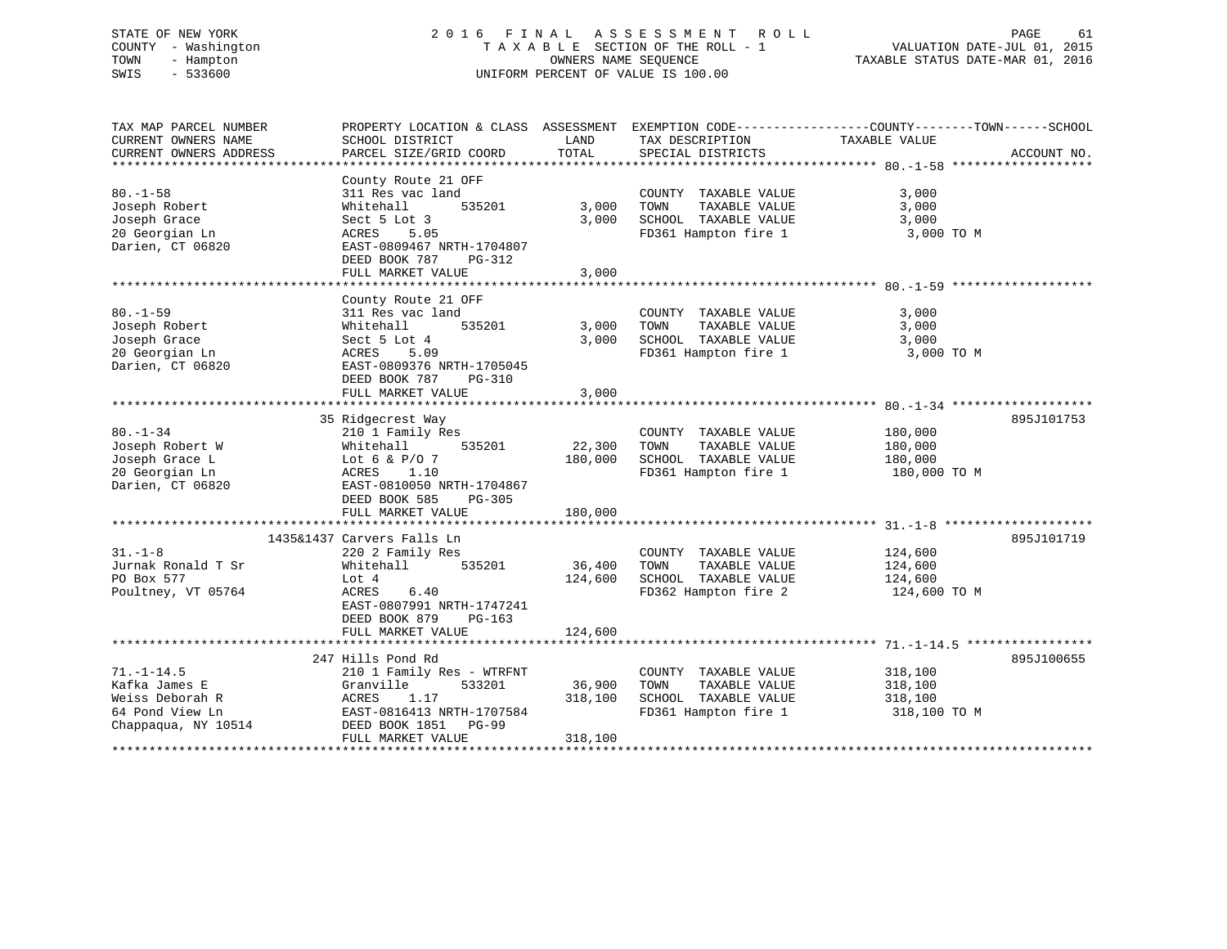# STATE OF NEW YORK 2 0 1 6 F I N A L A S S E S S M E N T R O L L PAGE 61 COUNTY - Washington T A X A B L E SECTION OF THE ROLL - 1 VALUATION DATE-JUL 01, 2015 TOWN - Hampton OWNERS NAME SEQUENCE TAXABLE STATUS DATE-MAR 01, 2016 SWIS - 533600 UNIFORM PERCENT OF VALUE IS 100.00

TAX MAP PARCEL NUMBER PROPERTY LOCATION & CLASS ASSESSMENT EXEMPTION CODE------------------COUNTY--------TOWN------SCHOOL CURRENT OWNERS NAME SCHOOL DISTRICT THE LAND TAX DESCRIPTION TAXABLE VALUE CURRENT OWNERS ADDRESS PARCEL SIZE/GRID COORD TOTAL SPECIAL DISTRICTS ACCOUNT NO. \*\*\*\*\*\*\*\*\*\*\*\*\*\*\*\*\*\*\*\*\*\*\*\*\*\*\*\*\*\*\*\*\*\*\*\*\*\*\*\*\*\*\*\*\*\*\*\*\*\*\*\*\*\*\*\*\*\*\*\*\*\*\*\*\*\*\*\*\*\*\*\*\*\*\*\*\*\*\*\*\*\*\*\*\*\*\*\*\*\*\*\*\*\*\*\*\*\*\*\*\*\*\* 80.-1-58 \*\*\*\*\*\*\*\*\*\*\*\*\*\*\*\*\*\*\* County Route 21 OFF 80.-1-58 311 Res vac land COUNTY TAXABLE VALUE 3,000 Joseph Robert Whitehall 535201 3,000 TOWN TAXABLE VALUE 3,000 Joseph Grace Sect 5 Lot 3 3,000 SCHOOL TAXABLE VALUE 3,000 20 Georgian Ln ACRES 5.05 FD361 Hampton fire 1 3,000 TO M Darien, CT 06820 EAST-0809467 NRTH-1704807 DEED BOOK 787 PG-312 FULL MARKET VALUE 3,000 \*\*\*\*\*\*\*\*\*\*\*\*\*\*\*\*\*\*\*\*\*\*\*\*\*\*\*\*\*\*\*\*\*\*\*\*\*\*\*\*\*\*\*\*\*\*\*\*\*\*\*\*\*\*\*\*\*\*\*\*\*\*\*\*\*\*\*\*\*\*\*\*\*\*\*\*\*\*\*\*\*\*\*\*\*\*\*\*\*\*\*\*\*\*\*\*\*\*\*\*\*\*\* 80.-1-59 \*\*\*\*\*\*\*\*\*\*\*\*\*\*\*\*\*\*\* County Route 21 OFF 80.-1-59 311 Res vac land COUNTY TAXABLE VALUE 3,000 Joseph Robert Whitehall 535201 3,000 TOWN TAXABLE VALUE 3,000 Joseph Grace Sect 5 Lot 4 3,000 SCHOOL TAXABLE VALUE 3,000 20 Georgian Ln ACRES 5.09 FD361 Hampton fire 1 3,000 TO M Darien, CT 06820 EAST-0809376 NRTH-1705045 DEED BOOK 787 PG-310 FULL MARKET VALUE 3,000 \*\*\*\*\*\*\*\*\*\*\*\*\*\*\*\*\*\*\*\*\*\*\*\*\*\*\*\*\*\*\*\*\*\*\*\*\*\*\*\*\*\*\*\*\*\*\*\*\*\*\*\*\*\*\*\*\*\*\*\*\*\*\*\*\*\*\*\*\*\*\*\*\*\*\*\*\*\*\*\*\*\*\*\*\*\*\*\*\*\*\*\*\*\*\*\*\*\*\*\*\*\*\* 80.-1-34 \*\*\*\*\*\*\*\*\*\*\*\*\*\*\*\*\*\*\* 35 Ridgecrest Way 895J101753 80.-1-34 210 1 Family Res COUNTY TAXABLE VALUE 180,000 Joseph Robert W Whitehall 535201 22,300 TOWN TAXABLE VALUE 180,000 Joseph Grace L Lot 6 & P/O 7 180,000 SCHOOL TAXABLE VALUE 180,000 20 Georgian Ln ACRES 1.10 FD361 Hampton fire 1 180,000 TO M Darien, CT 06820 EAST-0810050 NRTH-1704867 DEED BOOK 585 PG-305 FULL MARKET VALUE 180,000 \*\*\*\*\*\*\*\*\*\*\*\*\*\*\*\*\*\*\*\*\*\*\*\*\*\*\*\*\*\*\*\*\*\*\*\*\*\*\*\*\*\*\*\*\*\*\*\*\*\*\*\*\*\*\*\*\*\*\*\*\*\*\*\*\*\*\*\*\*\*\*\*\*\*\*\*\*\*\*\*\*\*\*\*\*\*\*\*\*\*\*\*\*\*\*\*\*\*\*\*\*\*\* 31.-1-8 \*\*\*\*\*\*\*\*\*\*\*\*\*\*\*\*\*\*\*\* 1435&1437 Carvers Falls Ln 895J10171931.-1-8 220 2 Family Res COUNTY TAXABLE VALUE 124,600 Jurnak Ronald T Sr Whitehall 535201 36,400 TOWN TAXABLE VALUE 124,600 PO Box 577 Lot 4 124,600 SCHOOL TAXABLE VALUE 124,600 Poultney, VT 05764 ACRES 6.40 FD362 Hampton fire 2 124,600 TO M EAST-0807991 NRTH-1747241 DEED BOOK 879 PG-163FULL MARKET VALUE 124,600 \*\*\*\*\*\*\*\*\*\*\*\*\*\*\*\*\*\*\*\*\*\*\*\*\*\*\*\*\*\*\*\*\*\*\*\*\*\*\*\*\*\*\*\*\*\*\*\*\*\*\*\*\*\*\*\*\*\*\*\*\*\*\*\*\*\*\*\*\*\*\*\*\*\*\*\*\*\*\*\*\*\*\*\*\*\*\*\*\*\*\*\*\*\*\*\*\*\*\*\*\*\*\* 71.-1-14.5 \*\*\*\*\*\*\*\*\*\*\*\*\*\*\*\*\* 247 Hills Pond Rd 895J10065571.-1-14.5 210 1 Family Res - WTRFNT COUNTY TAXABLE VALUE 318,100 Kafka James E Granville 533201 36,900 TOWN TAXABLE VALUE 318,100 Weiss Deborah R ACRES 1.17 318,100 SCHOOL TAXABLE VALUE 318,100 64 Pond View Ln EAST-0816413 NRTH-1707584 FD361 Hampton fire 1 318,100 TO M Chappaqua, NY 10514 DEED BOOK 1851 PG-99 FULL MARKET VALUE 318,100 \*\*\*\*\*\*\*\*\*\*\*\*\*\*\*\*\*\*\*\*\*\*\*\*\*\*\*\*\*\*\*\*\*\*\*\*\*\*\*\*\*\*\*\*\*\*\*\*\*\*\*\*\*\*\*\*\*\*\*\*\*\*\*\*\*\*\*\*\*\*\*\*\*\*\*\*\*\*\*\*\*\*\*\*\*\*\*\*\*\*\*\*\*\*\*\*\*\*\*\*\*\*\*\*\*\*\*\*\*\*\*\*\*\*\*\*\*\*\*\*\*\*\*\*\*\*\*\*\*\*\*\*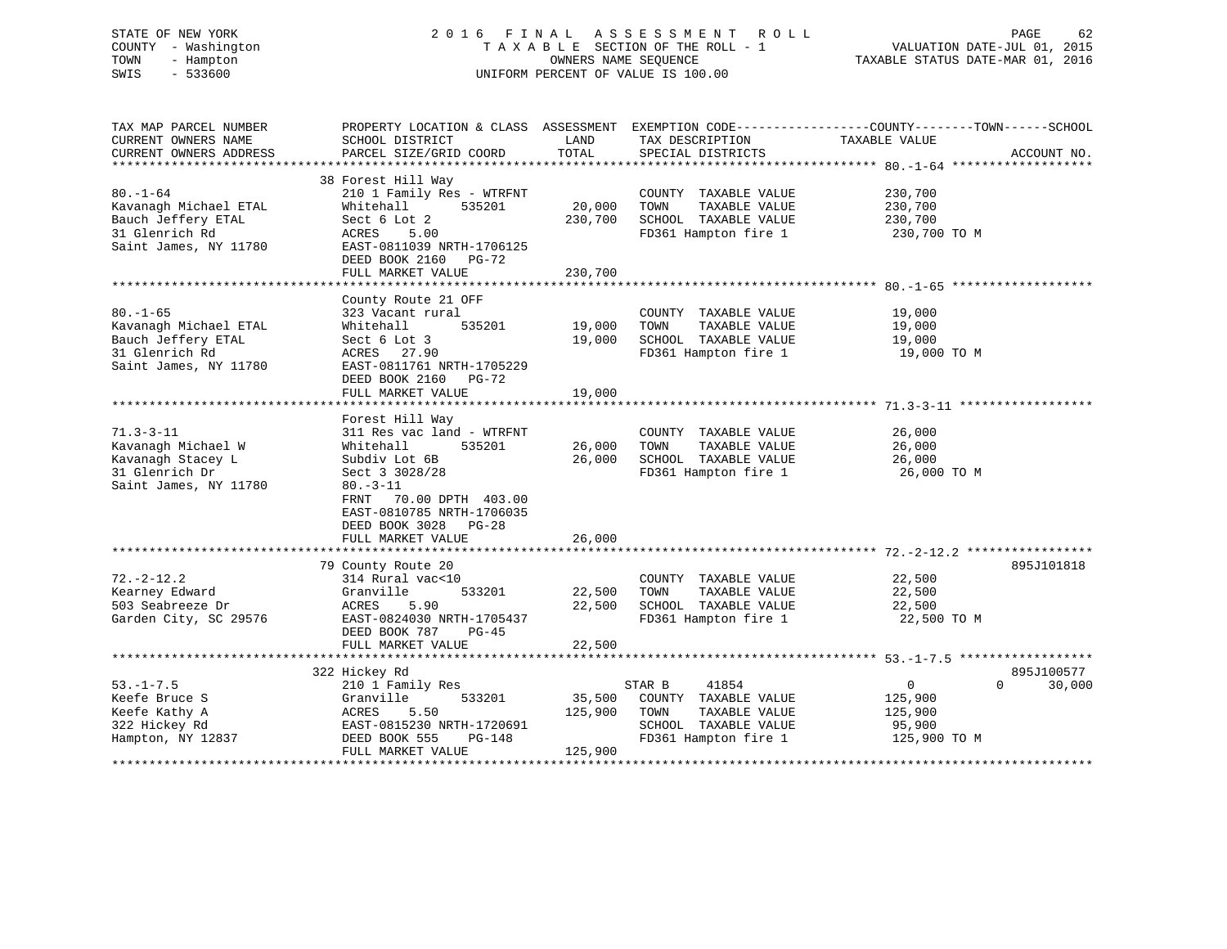### STATE OF NEW YORK 2 0 1 6 F I N A L A S S E S S M E N T R O L L PAGE 62 COUNTY - Washington T A X A B L E SECTION OF THE ROLL - 1 VALUATION DATE-JUL 01, 2015 TOWN - Hampton OWNERS NAME SEQUENCE TAXABLE STATUS DATE-MAR 01, 2016 SWIS - 533600 UNIFORM PERCENT OF VALUE IS 100.00

TAX MAP PARCEL NUMBER PROPERTY LOCATION & CLASS ASSESSMENT EXEMPTION CODE------------------COUNTY--------TOWN------SCHOOL CURRENT OWNERS NAME SCHOOL DISTRICT THE LAND TAX DESCRIPTION TAXABLE VALUE CURRENT OWNERS ADDRESS PARCEL SIZE/GRID COORD TOTAL SPECIAL DISTRICTS ACCOUNT NO. \*\*\*\*\*\*\*\*\*\*\*\*\*\*\*\*\*\*\*\*\*\*\*\*\*\*\*\*\*\*\*\*\*\*\*\*\*\*\*\*\*\*\*\*\*\*\*\*\*\*\*\*\*\*\*\*\*\*\*\*\*\*\*\*\*\*\*\*\*\*\*\*\*\*\*\*\*\*\*\*\*\*\*\*\*\*\*\*\*\*\*\*\*\*\*\*\*\*\*\*\*\*\* 80.-1-64 \*\*\*\*\*\*\*\*\*\*\*\*\*\*\*\*\*\*\* 38 Forest Hill Way 80.-1-64 210 1 Family Res - WTRFNT COUNTY TAXABLE VALUE 230,700 Kavanagh Michael ETAL Whitehall 535201 20,000 TOWN TAXABLE VALUE 230,700 Bauch Jeffery ETAL Sect 6 Lot 2 230,700 SCHOOL TAXABLE VALUE 230,700 31 Glenrich Rd ACRES 5.00 FD361 Hampton fire 1 230,700 TO M Saint James, NY 11780 EAST-0811039 NRTH-1706125 DEED BOOK 2160 PG-72FULL MARKET VALUE 230,700 \*\*\*\*\*\*\*\*\*\*\*\*\*\*\*\*\*\*\*\*\*\*\*\*\*\*\*\*\*\*\*\*\*\*\*\*\*\*\*\*\*\*\*\*\*\*\*\*\*\*\*\*\*\*\*\*\*\*\*\*\*\*\*\*\*\*\*\*\*\*\*\*\*\*\*\*\*\*\*\*\*\*\*\*\*\*\*\*\*\*\*\*\*\*\*\*\*\*\*\*\*\*\* 80.-1-65 \*\*\*\*\*\*\*\*\*\*\*\*\*\*\*\*\*\*\* County Route 21 OFF 80.-1-65 323 Vacant rural COUNTY TAXABLE VALUE 19,000 Kavanagh Michael ETAL Whitehall 535201 19,000 TOWN TAXABLE VALUE 19,000 Bauch Jeffery ETAL Sect 6 Lot 3 19,000 SCHOOL TAXABLE VALUE 19,000 31 Glenrich Rd ACRES 27.90 FD361 Hampton fire 1 19,000 TO M Saint James, NY 11780<br>
EAST-0811761 NRTH-1705229 DEED BOOK 2160 PG-72FULL MARKET VALUE 19,000 \*\*\*\*\*\*\*\*\*\*\*\*\*\*\*\*\*\*\*\*\*\*\*\*\*\*\*\*\*\*\*\*\*\*\*\*\*\*\*\*\*\*\*\*\*\*\*\*\*\*\*\*\*\*\*\*\*\*\*\*\*\*\*\*\*\*\*\*\*\*\*\*\*\*\*\*\*\*\*\*\*\*\*\*\*\*\*\*\*\*\*\*\*\*\*\*\*\*\*\*\*\*\* 71.3-3-11 \*\*\*\*\*\*\*\*\*\*\*\*\*\*\*\*\*\* Forest Hill Way 71.3-3-11 311 Res vac land - WTRFNT COUNTY TAXABLE VALUE 26,000 Kavanagh Michael W Whitehall 535201 26,000 TOWN TAXABLE VALUE 26,000 Kavanagh Stacey L Subdiv Lot 6B 26,000 SCHOOL TAXABLE VALUE 26,000 31 Glenrich Dr Sect 3 3028/28 FD361 Hampton fire 1 26,000 TO M Saint James, NY 11780 80.-3-11 FRNT 70.00 DPTH 403.00 EAST-0810785 NRTH-1706035 DEED BOOK 3028 PG-28 FULL MARKET VALUE 26,000 \*\*\*\*\*\*\*\*\*\*\*\*\*\*\*\*\*\*\*\*\*\*\*\*\*\*\*\*\*\*\*\*\*\*\*\*\*\*\*\*\*\*\*\*\*\*\*\*\*\*\*\*\*\*\*\*\*\*\*\*\*\*\*\*\*\*\*\*\*\*\*\*\*\*\*\*\*\*\*\*\*\*\*\*\*\*\*\*\*\*\*\*\*\*\*\*\*\*\*\*\*\*\* 72.-2-12.2 \*\*\*\*\*\*\*\*\*\*\*\*\*\*\*\*\* 79 County Route 20 895J101818 72.-2-12.2 314 Rural vac<10 COUNTY TAXABLE VALUE 22,500 Kearney Edward Granville 533201 22,500 TOWN TAXABLE VALUE 22,500 503 Seabreeze Dr ACRES 5.90 22,500 SCHOOL TAXABLE VALUE 22,500 Garden City, SC 29576 EAST-0824030 NRTH-1705437 FD361 Hampton fire 1 22,500 TO M DEED BOOK 787 PG-45FULL MARKET VALUE 22,500 \*\*\*\*\*\*\*\*\*\*\*\*\*\*\*\*\*\*\*\*\*\*\*\*\*\*\*\*\*\*\*\*\*\*\*\*\*\*\*\*\*\*\*\*\*\*\*\*\*\*\*\*\*\*\*\*\*\*\*\*\*\*\*\*\*\*\*\*\*\*\*\*\*\*\*\*\*\*\*\*\*\*\*\*\*\*\*\*\*\*\*\*\*\*\*\*\*\*\*\*\*\*\* 53.-1-7.5 \*\*\*\*\*\*\*\*\*\*\*\*\*\*\*\*\*\*895J100577 322 Hickey Rd 895J100577 53.-1-7.5 210 1 Family Res STAR B 41854 0 30,000 Keefe Bruce S Granville 533201 35,500 COUNTY TAXABLE VALUE 125,900 Keefe Kathy A ACRES 5.50 125,900 TOWN TAXABLE VALUE 125,900 322 Hickey Rd EAST-0815230 NRTH-1720691 SCHOOL TAXABLE VALUE 95,900 Hampton, NY 12837 DEED BOOK 555 PG-148 FD361 Hampton fire 1 125,900 TO M DEED BOOK 555 PG-148<br>FULL MARKET VALUE 125,900 \*\*\*\*\*\*\*\*\*\*\*\*\*\*\*\*\*\*\*\*\*\*\*\*\*\*\*\*\*\*\*\*\*\*\*\*\*\*\*\*\*\*\*\*\*\*\*\*\*\*\*\*\*\*\*\*\*\*\*\*\*\*\*\*\*\*\*\*\*\*\*\*\*\*\*\*\*\*\*\*\*\*\*\*\*\*\*\*\*\*\*\*\*\*\*\*\*\*\*\*\*\*\*\*\*\*\*\*\*\*\*\*\*\*\*\*\*\*\*\*\*\*\*\*\*\*\*\*\*\*\*\*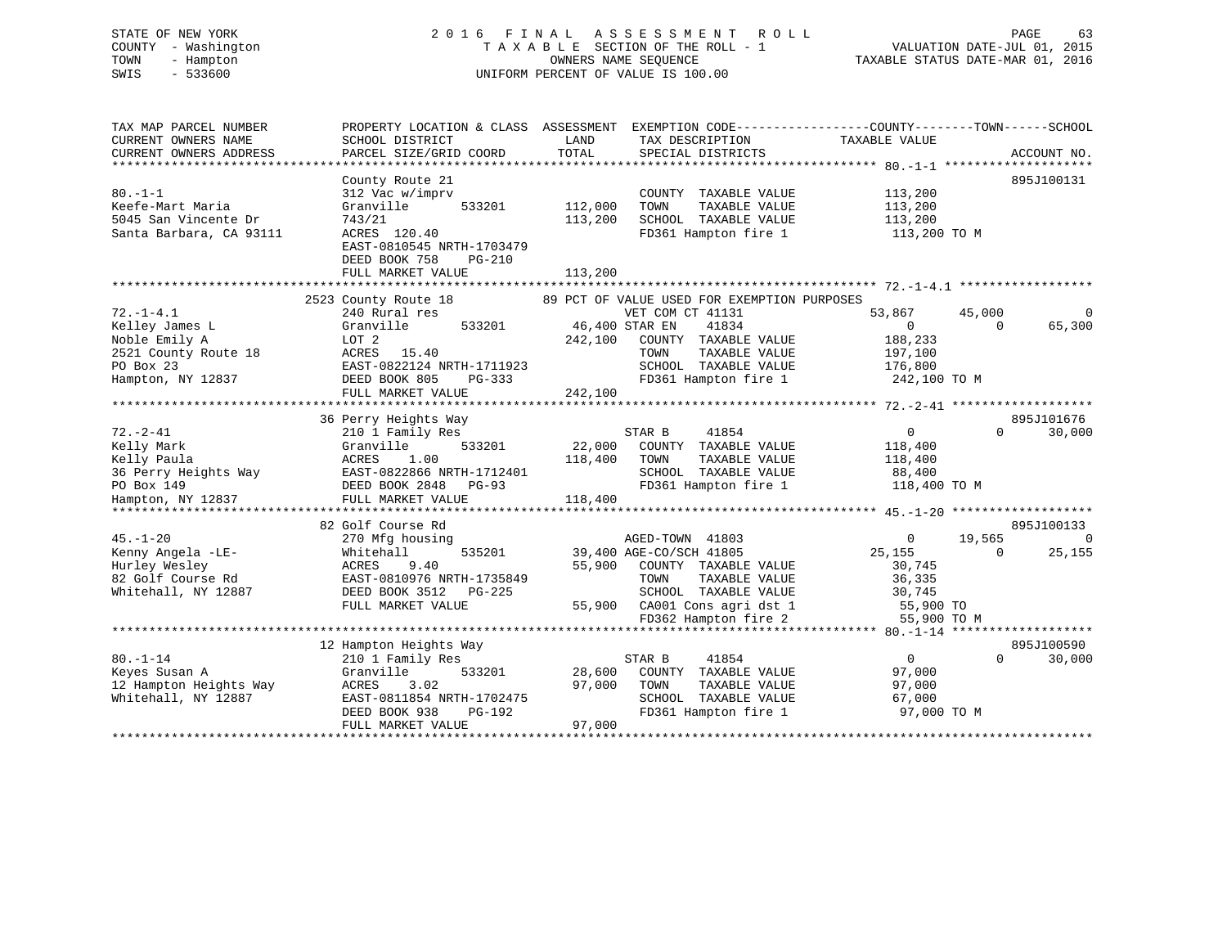# STATE OF NEW YORK 2 0 1 6 F I N A L A S S E S S M E N T R O L L PAGE 63 COUNTY - Washington T A X A B L E SECTION OF THE ROLL - 1 VALUATION DATE-JUL 01, 2015 TOWN - Hampton OWNERS NAME SEQUENCE TAXABLE STATUS DATE-MAR 01, 2016 SWIS - 533600 UNIFORM PERCENT OF VALUE IS 100.00

| TAX MAP PARCEL NUMBER<br>CURRENT OWNERS NAME<br>CURRENT OWNERS ADDRESS                                       | PROPERTY LOCATION & CLASS ASSESSMENT<br>SCHOOL DISTRICT<br>PARCEL SIZE/GRID COORD                                                                                    | LAND<br>TOTAL                 | EXEMPTION CODE-----------------COUNTY-------TOWN------SCHOOL<br>TAX DESCRIPTION<br>SPECIAL DISTRICTS                                                                                        | TAXABLE VALUE                                                                   | ACCOUNT NO.                                |          |
|--------------------------------------------------------------------------------------------------------------|----------------------------------------------------------------------------------------------------------------------------------------------------------------------|-------------------------------|---------------------------------------------------------------------------------------------------------------------------------------------------------------------------------------------|---------------------------------------------------------------------------------|--------------------------------------------|----------|
| $80. -1 - 1$<br>Keefe-Mart Maria<br>5045 San Vincente Dr<br>Santa Barbara, CA 93111                          | County Route 21<br>312 Vac w/imprv<br>Granville<br>533201<br>743/21<br>ACRES 120.40<br>EAST-0810545 NRTH-1703479<br>DEED BOOK 758<br>$PG-210$<br>FULL MARKET VALUE   | 112,000<br>113,200<br>113,200 | COUNTY TAXABLE VALUE<br>TOWN<br>TAXABLE VALUE<br>SCHOOL TAXABLE VALUE<br>FD361 Hampton fire 1                                                                                               | 113,200<br>113,200<br>113,200<br>113,200 TO M                                   | 895J100131                                 |          |
|                                                                                                              |                                                                                                                                                                      |                               |                                                                                                                                                                                             |                                                                                 |                                            |          |
| $72. - 1 - 4.1$<br>Kelley James L<br>Noble Emily A<br>2521 County Route 18<br>PO Box 23<br>Hampton, NY 12837 | 2523 County Route 18<br>240 Rural res<br>Granville<br>533201<br>LOT 2<br>ACRES<br>15.40<br>EAST-0822124 NRTH-1711923<br>DEED BOOK 805<br>PG-333<br>FULL MARKET VALUE | 242,100<br>242,100            | 89 PCT OF VALUE USED FOR EXEMPTION PURPOSES<br>VET COM CT 41131<br>41834<br>46,400 STAR EN<br>COUNTY TAXABLE VALUE<br>TOWN<br>TAXABLE VALUE<br>SCHOOL TAXABLE VALUE<br>FD361 Hampton fire 1 | 53,867<br>0<br>188,233<br>197,100<br>176,800<br>242,100 TO M                    | 45,000<br>65,300<br>$\Omega$               |          |
|                                                                                                              | 36 Perry Heights Way                                                                                                                                                 |                               |                                                                                                                                                                                             |                                                                                 | 895J101676                                 |          |
| $72. - 2 - 41$<br>Kelly Mark<br>Kelly Paula<br>36 Perry Heights Way<br>PO Box 149<br>Hampton, NY 12837       | 210 1 Family Res<br>533201<br>Granville<br>ACRES<br>1.00<br>EAST-0822866 NRTH-1712401<br>DEED BOOK 2848<br>$PG-93$<br>FULL MARKET VALUE                              | 22,000<br>118,400<br>118,400  | STAR B<br>41854<br>COUNTY TAXABLE VALUE<br>TOWN<br>TAXABLE VALUE<br>SCHOOL TAXABLE VALUE<br>FD361 Hampton fire 1                                                                            | $\overline{0}$<br>118,400<br>118,400<br>88,400<br>118,400 TO M                  | $\Omega$<br>30,000                         |          |
|                                                                                                              |                                                                                                                                                                      |                               |                                                                                                                                                                                             |                                                                                 |                                            |          |
| $45. - 1 - 20$<br>Kenny Angela -LE-<br>Hurley Wesley<br>82 Golf Course Rd<br>Whitehall, NY 12887             | 82 Golf Course Rd<br>270 Mfg housing<br>Whitehall<br>535201<br>ACRES<br>9.40<br>EAST-0810976 NRTH-1735849<br>DEED BOOK 3512<br>PG-225<br>FULL MARKET VALUE           | 55,900<br>55,900              | AGED-TOWN 41803<br>39,400 AGE-CO/SCH 41805<br>COUNTY TAXABLE VALUE<br>TAXABLE VALUE<br>TOWN<br>SCHOOL TAXABLE VALUE<br>CA001 Cons agri dst 1<br>FD362 Hampton fire 2                        | $\mathbf 0$<br>25,155<br>30,745<br>36,335<br>30,745<br>55,900 TO<br>55,900 TO M | 895J100133<br>19,565<br>25,155<br>$\Omega$ | $\Omega$ |
|                                                                                                              |                                                                                                                                                                      |                               |                                                                                                                                                                                             |                                                                                 |                                            |          |
| $80. -1 - 14$<br>Keyes Susan A<br>12 Hampton Heights Way<br>Whitehall, NY 12887                              | 12 Hampton Heights Way<br>210 1 Family Res<br>Granville<br>533201<br>3.02<br>ACRES<br>EAST-0811854 NRTH-1702475<br>DEED BOOK 938<br>PG-192<br>FULL MARKET VALUE      | 28,600<br>97,000<br>97,000    | STAR B<br>41854<br>COUNTY TAXABLE VALUE<br>TOWN<br>TAXABLE VALUE<br>SCHOOL TAXABLE VALUE<br>FD361 Hampton fire 1                                                                            | $\overline{0}$<br>97,000<br>97,000<br>67,000<br>97,000 TO M                     | 895J100590<br>$\Omega$<br>30,000           |          |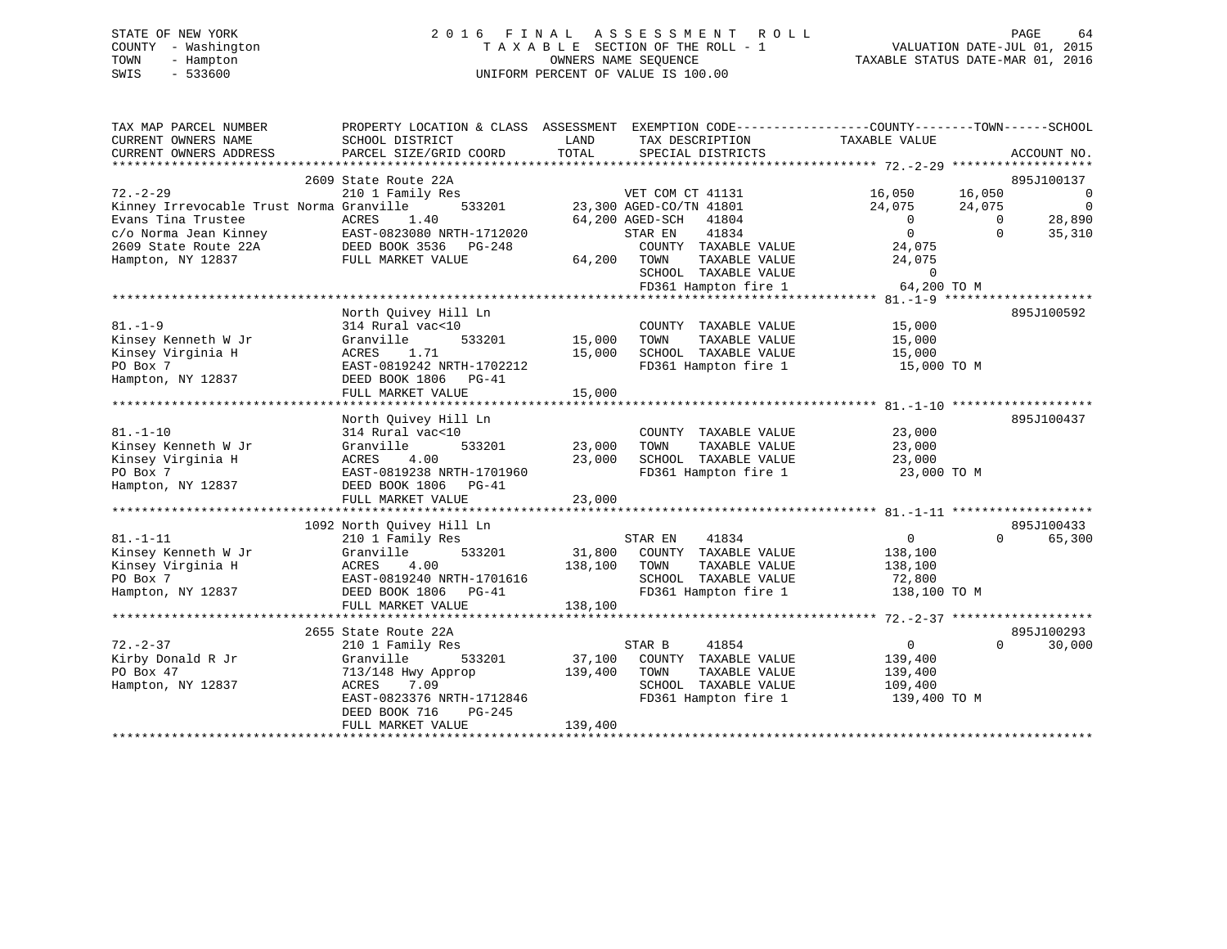# STATE OF NEW YORK 2 0 1 6 F I N A L A S S E S S M E N T R O L L PAGE 64 COUNTY - Washington T A X A B L E SECTION OF THE ROLL - 1 VALUATION DATE-JUL 01, 2015 TOWN - Hampton OWNERS NAME SEQUENCE TAXABLE STATUS DATE-MAR 01, 2016 SWIS - 533600 UNIFORM PERCENT OF VALUE IS 100.00

| TAX MAP PARCEL NUMBER<br>CURRENT OWNERS NAME | PROPERTY LOCATION & CLASS ASSESSMENT<br>SCHOOL DISTRICT | LAND    | EXEMPTION CODE-----------------COUNTY-------TOWN------SCHOOL<br>TAX DESCRIPTION | TAXABLE VALUE          |          |                |
|----------------------------------------------|---------------------------------------------------------|---------|---------------------------------------------------------------------------------|------------------------|----------|----------------|
| CURRENT OWNERS ADDRESS                       | PARCEL SIZE/GRID COORD                                  | TOTAL   | SPECIAL DISTRICTS                                                               |                        |          | ACCOUNT NO.    |
|                                              | 2609 State Route 22A                                    |         |                                                                                 |                        |          | 895J100137     |
| $72. - 2 - 29$                               | 210 1 Family Res                                        |         | VET COM CT 41131                                                                | 16,050                 | 16,050   | $\overline{0}$ |
| Kinney Irrevocable Trust Norma Granville     | 533201                                                  |         | 23,300 AGED-CO/TN 41801                                                         | 24,075                 | 24,075   | $\mathbf 0$    |
| Evans Tina Trustee                           | ACRES<br>1.40                                           |         | 64,200 AGED-SCH<br>41804                                                        | $\overline{0}$         | $\Omega$ | 28,890         |
| c/o Norma Jean Kinney                        | EAST-0823080 NRTH-1712020<br>DEED BOOK 3536             |         | 41834<br>STAR EN                                                                | $\overline{0}$         | $\Omega$ | 35,310         |
| 2609 State Route 22A                         | PG-248                                                  |         | COUNTY TAXABLE VALUE                                                            | 24,075                 |          |                |
| Hampton, NY 12837                            | FULL MARKET VALUE                                       | 64,200  | TAXABLE VALUE<br>TOWN<br>SCHOOL TAXABLE VALUE                                   | 24,075<br>$\mathbf 0$  |          |                |
|                                              |                                                         |         | FD361 Hampton fire 1                                                            | 64,200 TO M            |          |                |
|                                              |                                                         |         |                                                                                 |                        |          |                |
|                                              | North Quivey Hill Ln                                    |         |                                                                                 |                        |          | 895J100592     |
| $81. - 1 - 9$                                | 314 Rural vac<10                                        |         | COUNTY TAXABLE VALUE                                                            | 15,000                 |          |                |
| Kinsey Kenneth W Jr                          | 533201<br>Granville                                     | 15,000  | TOWN<br>TAXABLE VALUE                                                           | 15,000                 |          |                |
| Kinsey Virginia H                            | 1.71<br>ACRES                                           | 15,000  | SCHOOL TAXABLE VALUE                                                            | 15,000                 |          |                |
| PO Box 7                                     | EAST-0819242 NRTH-1702212                               |         | FD361 Hampton fire 1                                                            | 15,000 TO M            |          |                |
| Hampton, NY 12837                            | DEED BOOK 1806<br>$PG-41$                               |         |                                                                                 |                        |          |                |
|                                              | FULL MARKET VALUE                                       | 15,000  |                                                                                 |                        |          |                |
|                                              |                                                         |         |                                                                                 |                        |          |                |
|                                              | North Quivey Hill Ln                                    |         |                                                                                 |                        |          | 895J100437     |
| $81. - 1 - 10$                               | 314 Rural vac<10                                        |         | COUNTY TAXABLE VALUE                                                            | 23,000                 |          |                |
| Kinsey Kenneth W Jr                          | 533201<br>Granville                                     | 23,000  | TOWN<br>TAXABLE VALUE                                                           | 23,000                 |          |                |
| Kinsey Virginia H                            | 4.00<br>ACRES                                           | 23,000  | SCHOOL TAXABLE VALUE                                                            | 23,000                 |          |                |
| PO Box 7                                     | EAST-0819238 NRTH-1701960                               |         | FD361 Hampton fire 1                                                            | 23,000 TO M            |          |                |
| Hampton, NY 12837                            | DEED BOOK 1806 PG-41                                    |         |                                                                                 |                        |          |                |
|                                              | FULL MARKET VALUE                                       | 23,000  |                                                                                 |                        |          |                |
|                                              |                                                         |         |                                                                                 |                        |          |                |
|                                              | 1092 North Quivey Hill Ln                               |         |                                                                                 |                        |          | 895J100433     |
| $81. - 1 - 11$                               | 210 1 Family Res                                        |         | 41834<br>STAR EN                                                                | $\overline{0}$         | $\Omega$ | 65,300         |
| Kinsey Kenneth W Jr                          | 533201<br>Granville                                     |         | 31,800 COUNTY TAXABLE VALUE                                                     | 138,100                |          |                |
| Kinsey Virginia H<br>PO Box 7                | ACRES<br>4.00<br>EAST-0819240 NRTH-1701616              | 138,100 | TOWN<br>TAXABLE VALUE<br>SCHOOL TAXABLE VALUE                                   | 138,100                |          |                |
| Hampton, NY 12837                            |                                                         |         | FD361 Hampton fire 1                                                            | 72,800<br>138,100 TO M |          |                |
|                                              | DEED BOOK 1806 PG-41<br>FULL MARKET VALUE               | 138,100 |                                                                                 |                        |          |                |
|                                              |                                                         |         |                                                                                 |                        |          |                |
|                                              | 2655 State Route 22A                                    |         |                                                                                 |                        |          | 895J100293     |
| $72. - 2 - 37$                               | 210 1 Family Res                                        |         | STAR B<br>41854                                                                 | $\overline{0}$         | $\Omega$ | 30,000         |
| Kirby Donald R Jr                            | 533201<br>Granville                                     | 37,100  | COUNTY TAXABLE VALUE                                                            | 139,400                |          |                |
| PO Box 47                                    | 713/148 Hwy Approp                                      | 139,400 | TOWN<br>TAXABLE VALUE                                                           | 139,400                |          |                |
| Hampton, NY 12837                            | ACRES<br>7.09                                           |         | SCHOOL TAXABLE VALUE                                                            | 109,400                |          |                |
|                                              | EAST-0823376 NRTH-1712846                               |         | FD361 Hampton fire 1                                                            | 139,400 TO M           |          |                |
|                                              | DEED BOOK 716<br>PG-245                                 |         |                                                                                 |                        |          |                |
|                                              | FULL MARKET VALUE                                       | 139,400 |                                                                                 |                        |          |                |
|                                              |                                                         |         |                                                                                 |                        |          |                |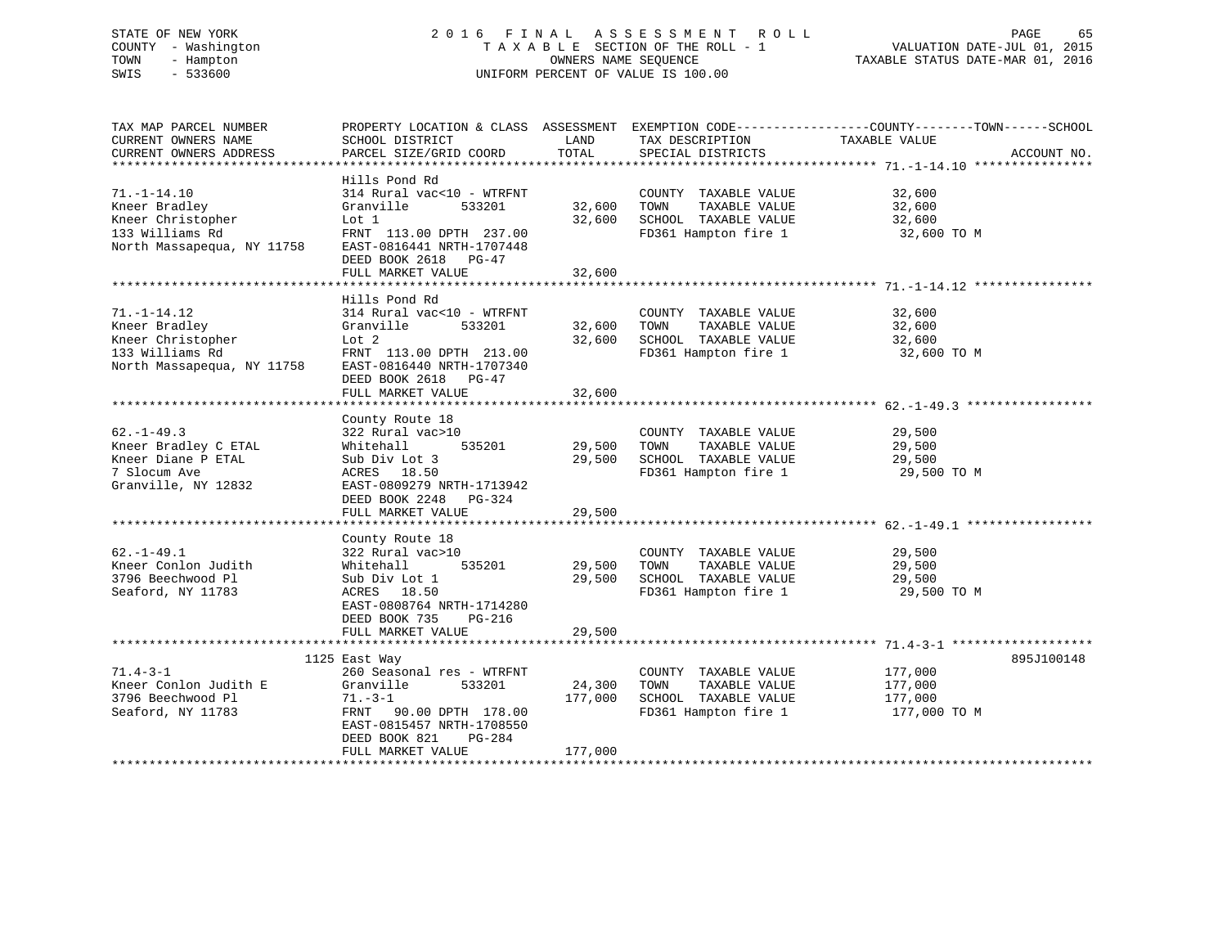# STATE OF NEW YORK 2 0 1 6 F I N A L A S S E S S M E N T R O L L PAGE 65 COUNTY - Washington T A X A B L E SECTION OF THE ROLL - 1 VALUATION DATE-JUL 01, 2015 TOWN - Hampton OWNERS NAME SEQUENCE TAXABLE STATUS DATE-MAR 01, 2016 SWIS - 533600 UNIFORM PERCENT OF VALUE IS 100.00

| TAX MAP PARCEL NUMBER      |                            |         |                       | PROPERTY LOCATION & CLASS ASSESSMENT EXEMPTION CODE----------------COUNTY-------TOWN------SCHOOL |             |
|----------------------------|----------------------------|---------|-----------------------|--------------------------------------------------------------------------------------------------|-------------|
| CURRENT OWNERS NAME        | SCHOOL DISTRICT            | LAND    | TAX DESCRIPTION       | TAXABLE VALUE                                                                                    |             |
| CURRENT OWNERS ADDRESS     | PARCEL SIZE/GRID COORD     | TOTAL   | SPECIAL DISTRICTS     |                                                                                                  | ACCOUNT NO. |
| *******************        |                            |         |                       |                                                                                                  |             |
|                            | Hills Pond Rd              |         |                       |                                                                                                  |             |
| $71. - 1 - 14.10$          | 314 Rural vac<10 - WTRFNT  |         | COUNTY TAXABLE VALUE  | 32,600                                                                                           |             |
| Kneer Bradley              | Granville<br>533201        | 32,600  | TOWN<br>TAXABLE VALUE | 32,600                                                                                           |             |
| Kneer Christopher          | Lot 1                      | 32,600  | SCHOOL TAXABLE VALUE  | 32,600                                                                                           |             |
| 133 Williams Rd            | FRNT 113.00 DPTH 237.00    |         | FD361 Hampton fire 1  | 32,600 TO M                                                                                      |             |
| North Massapequa, NY 11758 | EAST-0816441 NRTH-1707448  |         |                       |                                                                                                  |             |
|                            | DEED BOOK 2618<br>PG-47    |         |                       |                                                                                                  |             |
|                            | FULL MARKET VALUE          | 32,600  |                       |                                                                                                  |             |
|                            |                            |         |                       |                                                                                                  |             |
|                            | Hills Pond Rd              |         |                       |                                                                                                  |             |
| $71. - 1 - 14.12$          | 314 Rural vac<10 - WTRFNT  |         | COUNTY TAXABLE VALUE  | 32,600                                                                                           |             |
|                            |                            |         |                       |                                                                                                  |             |
| Kneer Bradley              | 533201<br>Granville        | 32,600  | TOWN<br>TAXABLE VALUE | 32,600                                                                                           |             |
| Kneer Christopher          | Lot 2                      | 32,600  | SCHOOL TAXABLE VALUE  | 32,600                                                                                           |             |
| 133 Williams Rd            | FRNT 113.00 DPTH 213.00    |         | FD361 Hampton fire 1  | 32,600 TO M                                                                                      |             |
| North Massapequa, NY 11758 | EAST-0816440 NRTH-1707340  |         |                       |                                                                                                  |             |
|                            | DEED BOOK 2618<br>$PG-47$  |         |                       |                                                                                                  |             |
|                            | FULL MARKET VALUE          | 32,600  |                       |                                                                                                  |             |
|                            |                            |         |                       |                                                                                                  |             |
|                            | County Route 18            |         |                       |                                                                                                  |             |
| $62. - 1 - 49.3$           | 322 Rural vac>10           |         | COUNTY TAXABLE VALUE  | 29,500                                                                                           |             |
| Kneer Bradley C ETAL       | 535201<br>Whitehall        | 29,500  | TAXABLE VALUE<br>TOWN | 29,500                                                                                           |             |
| Kneer Diane P ETAL         | Sub Div Lot 3              | 29,500  | SCHOOL TAXABLE VALUE  | 29,500                                                                                           |             |
| 7 Slocum Ave               | ACRES 18.50                |         | FD361 Hampton fire 1  | 29,500 TO M                                                                                      |             |
| Granville, NY 12832        | EAST-0809279 NRTH-1713942  |         |                       |                                                                                                  |             |
|                            | DEED BOOK 2248<br>$PG-324$ |         |                       |                                                                                                  |             |
|                            | FULL MARKET VALUE          | 29,500  |                       |                                                                                                  |             |
|                            |                            |         |                       |                                                                                                  |             |
|                            | County Route 18            |         |                       |                                                                                                  |             |
| $62. - 1 - 49.1$           | 322 Rural vac>10           |         | COUNTY TAXABLE VALUE  | 29,500                                                                                           |             |
| Kneer Conlon Judith        | 535201<br>Whitehall        | 29,500  | TAXABLE VALUE<br>TOWN | 29,500                                                                                           |             |
| 3796 Beechwood Pl          | Sub Div Lot 1              | 29,500  | SCHOOL TAXABLE VALUE  | 29,500                                                                                           |             |
| Seaford, NY 11783          | ACRES 18.50                |         | FD361 Hampton fire 1  | 29,500 TO M                                                                                      |             |
|                            | EAST-0808764 NRTH-1714280  |         |                       |                                                                                                  |             |
|                            | DEED BOOK 735<br>PG-216    |         |                       |                                                                                                  |             |
|                            | FULL MARKET VALUE          | 29,500  |                       |                                                                                                  |             |
|                            |                            |         |                       |                                                                                                  |             |
|                            | 1125 East Way              |         |                       |                                                                                                  | 895J100148  |
| $71.4 - 3 - 1$             | 260 Seasonal res - WTRFNT  |         | COUNTY TAXABLE VALUE  | 177,000                                                                                          |             |
| Kneer Conlon Judith E      | 533201                     | 24,300  | TAXABLE VALUE<br>TOWN | 177,000                                                                                          |             |
| 3796 Beechwood Pl          | Granville                  |         |                       |                                                                                                  |             |
|                            | $71. - 3 - 1$              | 177,000 | SCHOOL TAXABLE VALUE  | 177,000                                                                                          |             |
| Seaford, NY 11783          | FRNT 90.00 DPTH 178.00     |         | FD361 Hampton fire 1  | 177,000 TO M                                                                                     |             |
|                            | EAST-0815457 NRTH-1708550  |         |                       |                                                                                                  |             |
|                            | DEED BOOK 821<br>PG-284    |         |                       |                                                                                                  |             |
|                            | FULL MARKET VALUE          | 177,000 |                       |                                                                                                  |             |
|                            |                            |         |                       |                                                                                                  |             |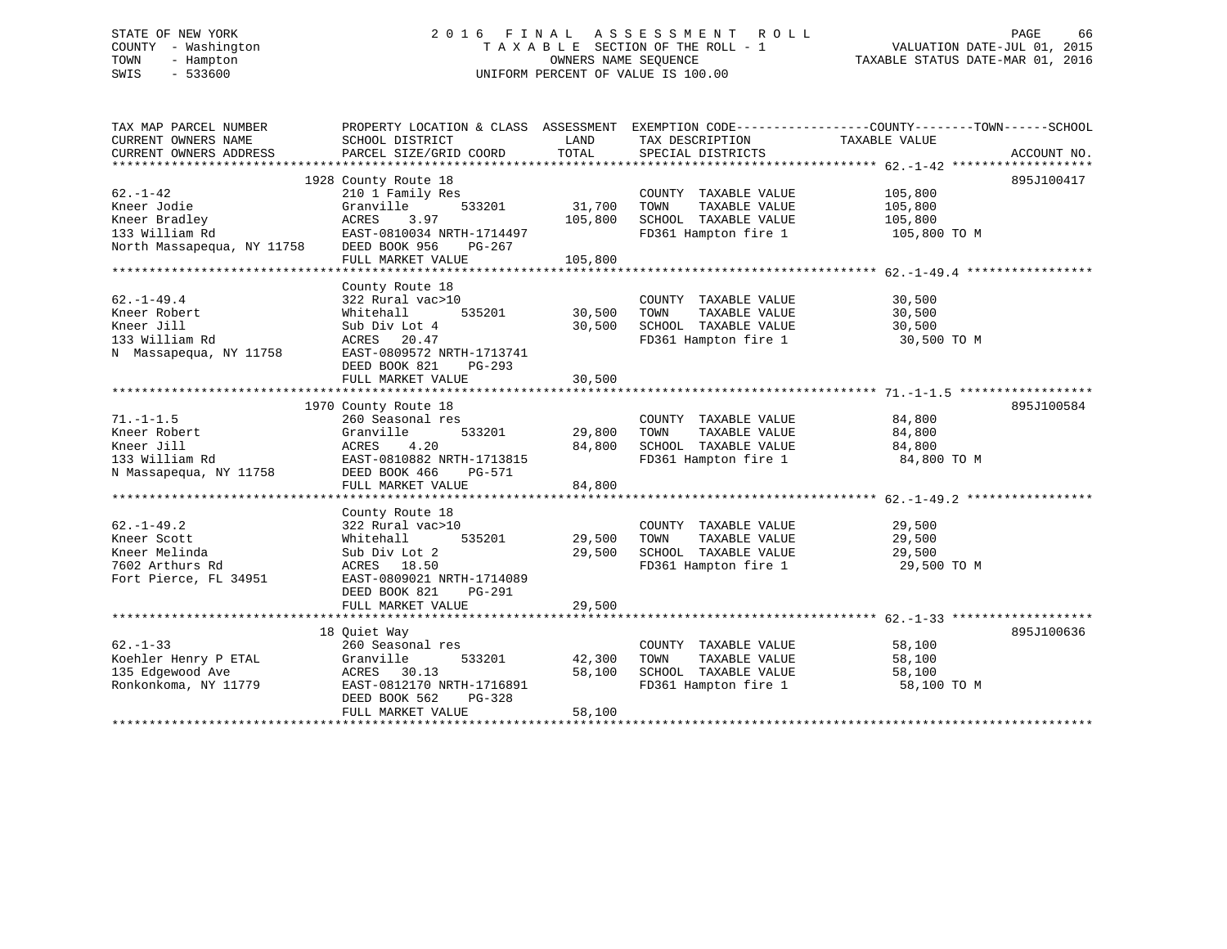# STATE OF NEW YORK 2 0 1 6 F I N A L A S S E S S M E N T R O L L PAGE 66 COUNTY - Washington T A X A B L E SECTION OF THE ROLL - 1 VALUATION DATE-JUL 01, 2015 TOWN - Hampton OWNERS NAME SEQUENCE TAXABLE STATUS DATE-MAR 01, 2016 SWIS - 533600 UNIFORM PERCENT OF VALUE IS 100.00

| TAX MAP PARCEL NUMBER  | PROPERTY LOCATION & CLASS ASSESSMENT EXEMPTION CODE---------------COUNTY-------TOWN-----SCHOOL |         |                                                   |               |             |
|------------------------|------------------------------------------------------------------------------------------------|---------|---------------------------------------------------|---------------|-------------|
| CURRENT OWNERS NAME    | SCHOOL DISTRICT                                                                                | LAND    | TAX DESCRIPTION                                   | TAXABLE VALUE |             |
| CURRENT OWNERS ADDRESS | PARCEL SIZE/GRID COORD                                                                         | TOTAL   | SPECIAL DISTRICTS                                 |               | ACCOUNT NO. |
|                        |                                                                                                |         |                                                   |               |             |
|                        | 1928 County Route 18                                                                           |         |                                                   |               | 895J100417  |
| $62. - 1 - 42$         | 210 1 Family Res                                                                               |         | COUNTY TAXABLE VALUE                              | 105,800       |             |
| Kneer Jodie            | 533201<br>Granville                                                                            | 31,700  | TAXABLE VALUE<br>TOWN                             | 105,800       |             |
|                        |                                                                                                | 105,800 | SCHOOL TAXABLE VALUE 105,800                      |               |             |
|                        | EAST-0810034 NRTH-1714497                                                                      |         | FD361 Hampton fire 1                              | 105,800 TO M  |             |
|                        | PG-267                                                                                         |         |                                                   |               |             |
|                        |                                                                                                |         |                                                   |               |             |
|                        |                                                                                                |         |                                                   |               |             |
|                        | County Route 18                                                                                |         |                                                   |               |             |
| $62. - 1 - 49.4$       | 322 Rural vac>10                                                                               |         | COUNTY TAXABLE VALUE                              | 30,500        |             |
| Kneer Robert           | 535201<br>Whitehall                                                                            | 30,500  | TAXABLE VALUE<br>TOWN                             | 30,500        |             |
| Kneer Jill             | Sub Div Lot 4                                                                                  | 30,500  | SCHOOL TAXABLE VALUE                              | 30,500        |             |
| 133 William Rd         | ACRES 20.47                                                                                    |         | FD361 Hampton fire 1                              | 30,500 TO M   |             |
| N Massapequa, NY 11758 | EAST-0809572 NRTH-1713741                                                                      |         |                                                   |               |             |
|                        | DEED BOOK 821<br>PG-293                                                                        |         |                                                   |               |             |
|                        | FULL MARKET VALUE                                                                              | 30,500  |                                                   |               |             |
|                        |                                                                                                |         |                                                   |               |             |
|                        | 1970 County Route 18                                                                           |         |                                                   |               | 895J100584  |
| $71. - 1 - 1.5$        | 260 Seasonal res                                                                               |         | COUNTY TAXABLE VALUE                              | 84,800        |             |
| Kneer Robert           | 533201<br>Granville                                                                            | 29,800  | TAXABLE VALUE<br>TOWN                             | 84,800        |             |
| Kneer Jill             | 4.20<br>ACRES                                                                                  | 84,800  |                                                   | 84,800        |             |
| 133 William Rd         | EAST-0810882 NRTH-1713815                                                                      |         | SCHOOL TAXABLE VALUE<br>FD361 Hampton fire 1      | 84,800 TO M   |             |
| N Massapequa, NY 11758 | DEED BOOK 466<br>PG-571                                                                        |         |                                                   |               |             |
|                        | FULL MARKET VALUE                                                                              | 84,800  |                                                   |               |             |
|                        |                                                                                                |         |                                                   |               |             |
|                        | County Route 18                                                                                |         |                                                   |               |             |
| $62. - 1 - 49.2$       | 322 Rural vac>10                                                                               |         | COUNTY TAXABLE VALUE                              | 29,500        |             |
| Kneer Scott            | 535201<br>Whitehall                                                                            | 29,500  | TAXABLE VALUE<br>TOWN                             | 29,500        |             |
| Kneer Melinda          | Sub Div Lot 2                                                                                  | 29,500  |                                                   | 29,500        |             |
| 7602 Arthurs Rd        | ACRES 18.50                                                                                    |         | SCHOOL TAXABLE VALUE<br>FD361 Hampton fire 1      | 29,500 TO M   |             |
| Fort Pierce, FL 34951  |                                                                                                |         |                                                   |               |             |
|                        | EAST-0809021 NRTH-1714089                                                                      |         |                                                   |               |             |
|                        | DEED BOOK 821<br>PG-291                                                                        |         |                                                   |               |             |
|                        | FULL MARKET VALUE                                                                              | 29,500  |                                                   |               |             |
|                        |                                                                                                |         |                                                   |               |             |
|                        | 18 Ouiet Way                                                                                   |         |                                                   |               | 895J100636  |
| $62 - 1 - 33$          | 260 Seasonal res                                                                               |         | COUNTY TAXABLE VALUE                              | 58,100        |             |
| Koehler Henry P ETAL   | 533201<br>Granville                                                                            | 42,300  | TOWN      TAXABLE VALUE<br>SCHOOL   TAXABLE VALUE | 58,100        |             |
| 135 Edgewood Ave       | ACRES 30.13                                                                                    | 58,100  |                                                   | 58,100        |             |
| Ronkonkoma, NY 11779   | EAST-0812170 NRTH-1716891                                                                      |         | FD361 Hampton fire 1                              | 58,100 TO M   |             |
|                        | DEED BOOK 562<br>PG-328                                                                        |         |                                                   |               |             |
|                        | FULL MARKET VALUE                                                                              | 58,100  |                                                   |               |             |
|                        |                                                                                                |         |                                                   |               |             |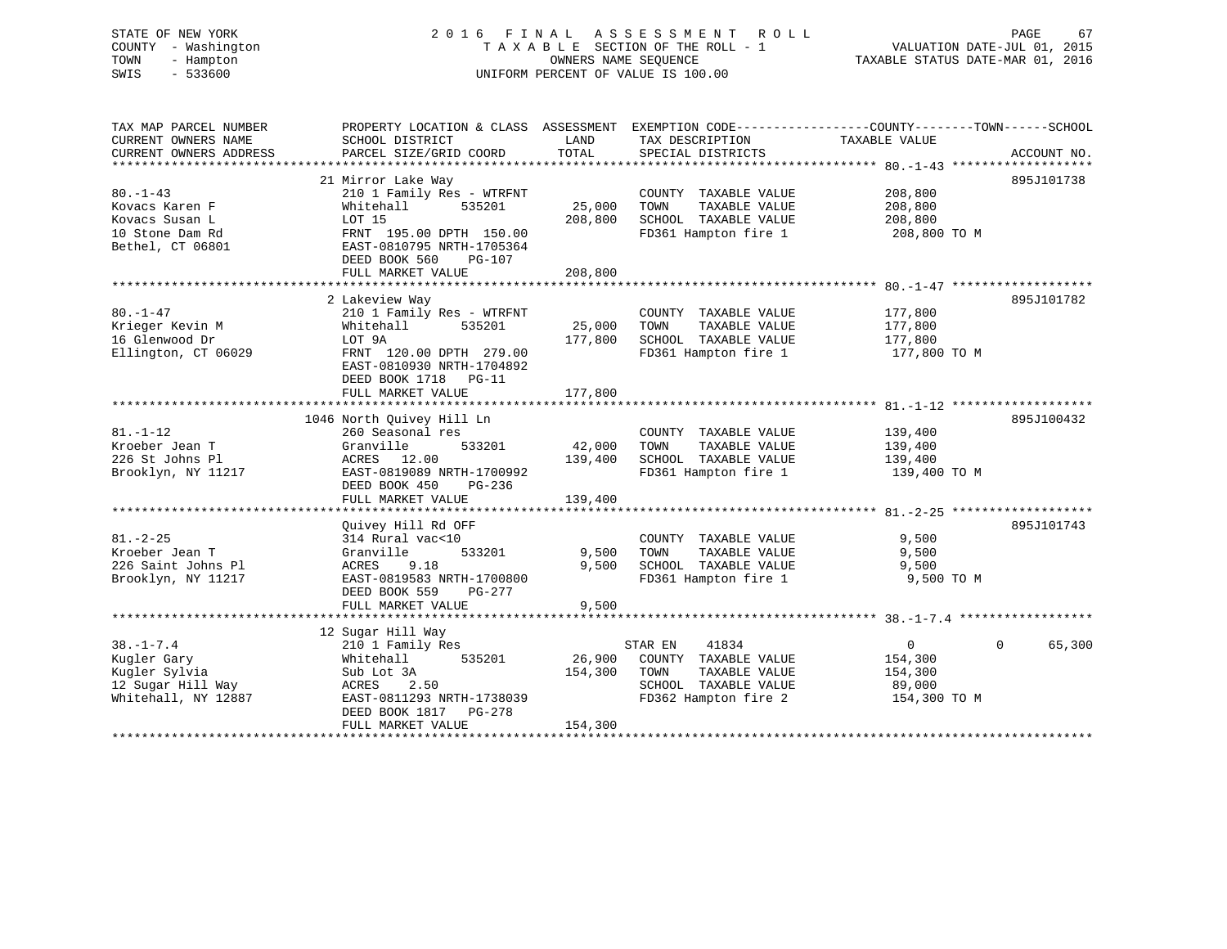# STATE OF NEW YORK 2 0 1 6 F I N A L A S S E S S M E N T R O L L PAGE 67 COUNTY - Washington T A X A B L E SECTION OF THE ROLL - 1 VALUATION DATE-JUL 01, 2015 TOWN - Hampton OWNERS NAME SEQUENCE TAXABLE STATUS DATE-MAR 01, 2016 SWIS - 533600 UNIFORM PERCENT OF VALUE IS 100.00

| TAX MAP PARCEL NUMBER  | PROPERTY LOCATION & CLASS ASSESSMENT EXEMPTION CODE----------------COUNTY-------TOWN------SCHOOL |         |                                   |               |             |
|------------------------|--------------------------------------------------------------------------------------------------|---------|-----------------------------------|---------------|-------------|
| CURRENT OWNERS NAME    | SCHOOL DISTRICT                                                                                  | LAND    | TAX DESCRIPTION                   | TAXABLE VALUE |             |
| CURRENT OWNERS ADDRESS | PARCEL SIZE/GRID COORD                                                                           | TOTAL   | SPECIAL DISTRICTS                 |               | ACCOUNT NO. |
|                        |                                                                                                  |         |                                   |               |             |
|                        | 21 Mirror Lake Way                                                                               |         |                                   |               | 895J101738  |
| $80. -1 - 43$          | 210 1 Family Res - WTRFNT                                                                        |         | COUNTY TAXABLE VALUE              | 208,800       |             |
| Kovacs Karen F         | Whitehall<br>535201                                                                              | 25,000  | TOWN<br>TAXABLE VALUE             | 208,800       |             |
| Kovacs Susan L         | LOT 15                                                                                           | 208,800 | SCHOOL TAXABLE VALUE              | 208,800       |             |
| 10 Stone Dam Rd        | FRNT 195.00 DPTH 150.00                                                                          |         | FD361 Hampton fire 1 208,800 TO M |               |             |
| Bethel, CT 06801       | EAST-0810795 NRTH-1705364                                                                        |         |                                   |               |             |
|                        | DEED BOOK 560<br>PG-107                                                                          |         |                                   |               |             |
|                        | FULL MARKET VALUE                                                                                | 208,800 |                                   |               |             |
|                        |                                                                                                  |         |                                   |               |             |
|                        |                                                                                                  |         |                                   |               | 895J101782  |
|                        | 2 Lakeview Way                                                                                   |         |                                   |               |             |
| $80. - 1 - 47$         | 210 1 Family Res - WTRFNT                                                                        |         | COUNTY TAXABLE VALUE              | 177,800       |             |
| Krieger Kevin M        | 535201<br>Whitehall                                                                              | 25,000  | TOWN<br>TAXABLE VALUE             | 177,800       |             |
| 16 Glenwood Dr         | LOT 9A                                                                                           | 177,800 | SCHOOL TAXABLE VALUE              | 177,800       |             |
| Ellington, CT 06029    | FRNT 120.00 DPTH 279.00                                                                          |         | FD361 Hampton fire 1              | 177,800 TO M  |             |
|                        | EAST-0810930 NRTH-1704892                                                                        |         |                                   |               |             |
|                        | DEED BOOK 1718 PG-11                                                                             |         |                                   |               |             |
|                        | FULL MARKET VALUE                                                                                | 177,800 |                                   |               |             |
|                        |                                                                                                  |         |                                   |               |             |
|                        | 1046 North Quivey Hill Ln                                                                        |         |                                   |               | 895J100432  |
| $81. - 1 - 12$         | 260 Seasonal res                                                                                 |         | COUNTY TAXABLE VALUE              | 139,400       |             |
| Kroeber Jean T         | 533201<br>Granville                                                                              | 42,000  | TAXABLE VALUE<br>TOWN             | 139,400       |             |
| 226 St Johns Pl        | ACRES 12.00                                                                                      | 139,400 | SCHOOL TAXABLE VALUE              | 139,400       |             |
| Brooklyn, NY 11217     | EAST-0819089 NRTH-1700992                                                                        |         | FD361 Hampton fire 1 139,400 TO M |               |             |
|                        | DEED BOOK 450<br>PG-236                                                                          |         |                                   |               |             |
|                        | FULL MARKET VALUE                                                                                | 139,400 |                                   |               |             |
|                        |                                                                                                  |         |                                   |               |             |
|                        | Ouivey Hill Rd OFF                                                                               |         |                                   |               | 895J101743  |
| $81. - 2 - 25$         | 314 Rural vac<10                                                                                 |         | COUNTY TAXABLE VALUE              | 9,500         |             |
| Kroeber Jean T         | 533201<br>Granville                                                                              | 9,500   | TAXABLE VALUE<br>TOWN             | 9,500         |             |
| 226 Saint Johns Pl     | 9.18<br>ACRES                                                                                    | 9,500   | SCHOOL TAXABLE VALUE              | 9,500         |             |
| Brooklyn, NY 11217     | EAST-0819583 NRTH-1700800                                                                        |         | FD361 Hampton fire 1              | 9,500 TO M    |             |
|                        | DEED BOOK 559<br>PG-277                                                                          |         |                                   |               |             |
|                        | FULL MARKET VALUE                                                                                | 9,500   |                                   |               |             |
|                        |                                                                                                  |         |                                   |               |             |
|                        | 12 Sugar Hill Way                                                                                |         |                                   |               |             |
| $38. - 1 - 7.4$        | 210 1 Family Res                                                                                 |         | 41834<br>STAR EN                  | 0<br>$\Omega$ | 65,300      |
| Kugler Gary            | 535201<br>Whitehall                                                                              | 26,900  | COUNTY TAXABLE VALUE              | 154,300       |             |
| Kugler Sylvia          |                                                                                                  | 154,300 | TOWN<br>TAXABLE VALUE             | 154,300       |             |
|                        | Sub Lot 3A                                                                                       |         |                                   |               |             |
| 12 Sugar Hill Way      | ACRES 2.50                                                                                       |         | SCHOOL TAXABLE VALUE              | 89,000        |             |
| Whitehall, NY 12887    | EAST-0811293 NRTH-1738039                                                                        |         | FD362 Hampton fire 2              | 154,300 TO M  |             |
|                        | DEED BOOK 1817 PG-278                                                                            |         |                                   |               |             |
|                        | FULL MARKET VALUE                                                                                | 154,300 |                                   |               |             |
|                        |                                                                                                  |         |                                   |               |             |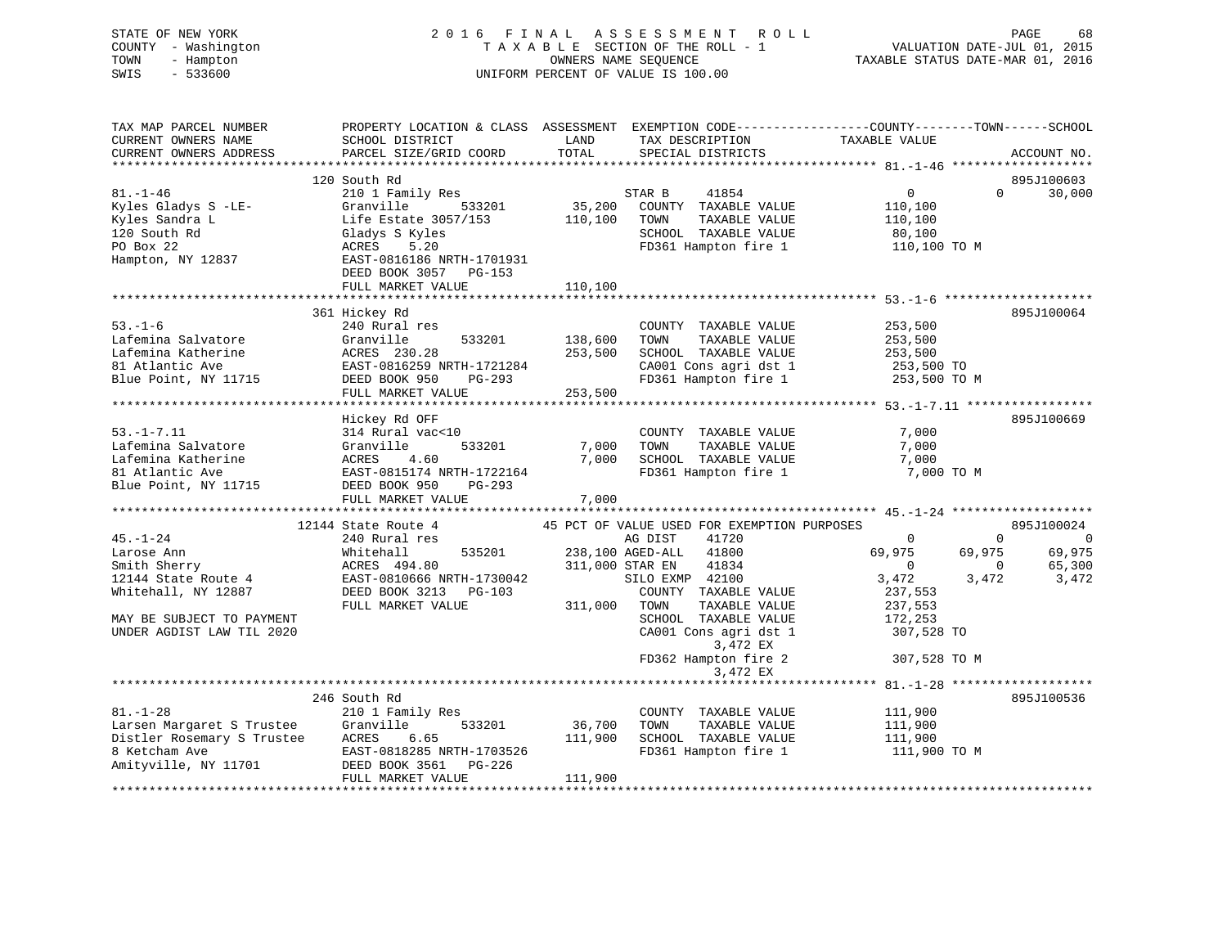| STATE OF NEW YORK<br>COUNTY - Washington<br>TOWN<br>- Hampton<br>SWIS<br>$-533600$                                                                                | 2016 FINAL ASSESSMENT<br>R O L L<br>TAXABLE SECTION OF THE ROLL - 1<br>OWNERS NAME SEQUENCE<br>UNIFORM PERCENT OF VALUE IS 100.00           |               |                                                    |                                                | PAGE<br>68<br>VALUATION DATE-JUL 01, 2015<br>TAXABLE STATUS DATE-MAR 01, 2016 |  |  |
|-------------------------------------------------------------------------------------------------------------------------------------------------------------------|---------------------------------------------------------------------------------------------------------------------------------------------|---------------|----------------------------------------------------|------------------------------------------------|-------------------------------------------------------------------------------|--|--|
| TAX MAP PARCEL NUMBER<br>CURRENT OWNERS NAME<br>CURRENT OWNERS ADDRESS                                                                                            | PROPERTY LOCATION & CLASS ASSESSMENT EXEMPTION CODE---------------COUNTY-------TOWN-----SCHOOL<br>SCHOOL DISTRICT<br>PARCEL SIZE/GRID COORD | LAND<br>TOTAL | TAX DESCRIPTION TAXABLE VALUE<br>SPECIAL DISTRICTS |                                                | ACCOUNT NO.                                                                   |  |  |
|                                                                                                                                                                   | 120 South Rd                                                                                                                                |               |                                                    |                                                | 895J100603                                                                    |  |  |
| $81. - 1 - 46$                                                                                                                                                    | 210 1 Family Res                                                                                                                            |               | STAR B<br>41854                                    | $\overline{0}$                                 | 30,000<br>$\mathbf{0}$                                                        |  |  |
| Kyles Gladys S -LE-                                                                                                                                               | 533201<br>Granville                                                                                                                         | 35,200        | COUNTY TAXABLE VALUE                               | 110,100                                        |                                                                               |  |  |
| Kyles Sandra L                                                                                                                                                    | Life Estate 3057/153                                                                                                                        | 110,100       | TOWN<br>TAXABLE VALUE                              | 110,100                                        |                                                                               |  |  |
| 120 South Rd                                                                                                                                                      | Gladys S Kyles                                                                                                                              |               | SCHOOL TAXABLE VALUE                               | 80,100                                         |                                                                               |  |  |
| PO Box 22                                                                                                                                                         | ACRES<br>5.20                                                                                                                               |               | FD361 Hampton fire 1                               | 110,100 TO M                                   |                                                                               |  |  |
| Hampton, NY 12837                                                                                                                                                 | EAST-0816186 NRTH-1701931<br>DEED BOOK 3057 PG-153                                                                                          |               |                                                    |                                                |                                                                               |  |  |
|                                                                                                                                                                   | FULL MARKET VALUE                                                                                                                           | 110,100       |                                                    |                                                |                                                                               |  |  |
|                                                                                                                                                                   |                                                                                                                                             |               |                                                    |                                                |                                                                               |  |  |
| $53. - 1 - 6$                                                                                                                                                     | 361 Hickey Rd                                                                                                                               |               |                                                    |                                                | 895J100064                                                                    |  |  |
| ACCRES 133201<br>Lafemina Katherine (1991)<br>141 Accres 230.28<br>141 Accres 230.28<br>141 Accres 230.28<br>142 Blue Point, NY 11715<br>142 DEED BOOK 950 PG-293 | 240 Rural res                                                                                                                               | 138,600       | COUNTY TAXABLE VALUE<br>TOWN<br>TAXABLE VALUE      | 253,500<br>253,500                             |                                                                               |  |  |
|                                                                                                                                                                   |                                                                                                                                             | 253,500       | SCHOOL TAXABLE VALUE                               | 253,500                                        |                                                                               |  |  |
|                                                                                                                                                                   |                                                                                                                                             |               | CA001 Cons agri dst 1                              | 253,500 TO                                     |                                                                               |  |  |
|                                                                                                                                                                   |                                                                                                                                             |               | FD361 Hampton fire 1                               | 253,500 TO M                                   |                                                                               |  |  |
|                                                                                                                                                                   | FULL MARKET VALUE                                                                                                                           | 253,500       |                                                    |                                                |                                                                               |  |  |
|                                                                                                                                                                   |                                                                                                                                             |               |                                                    |                                                |                                                                               |  |  |
|                                                                                                                                                                   | Hickey Rd OFF                                                                                                                               |               |                                                    |                                                | 895J100669                                                                    |  |  |
| $53. - 1 - 7.11$                                                                                                                                                  | 314 Rural vac<10                                                                                                                            |               | COUNTY TAXABLE VALUE                               | 7,000                                          |                                                                               |  |  |
| Lafemina Salvatore                                                                                                                                                | 533201<br>Granville                                                                                                                         | 7,000         | TOWN<br>TAXABLE VALUE                              | 7,000                                          |                                                                               |  |  |
| Lafemina Katherine                                                                                                                                                | ACRES<br>4.60                                                                                                                               | 7,000         | SCHOOL TAXABLE VALUE                               | 7,000                                          |                                                                               |  |  |
| 81 Atlantic Ave                                                                                                                                                   | EAST-0815174 NRTH-1722164                                                                                                                   |               | FD361 Hampton fire 1                               | 7,000 TO M                                     |                                                                               |  |  |
| Blue Point, NY 11715                                                                                                                                              | DEED BOOK 950<br>PG-293                                                                                                                     |               |                                                    |                                                |                                                                               |  |  |
|                                                                                                                                                                   | FULL MARKET VALUE                                                                                                                           | 7,000         |                                                    |                                                |                                                                               |  |  |
|                                                                                                                                                                   | 12144 State Route 4                                                                                                                         |               | 45 PCT OF VALUE USED FOR EXEMPTION PURPOSES        |                                                | 895J100024                                                                    |  |  |
| $45. - 1 - 24$                                                                                                                                                    | 240 Rural res                                                                                                                               |               | AG DIST<br>41720                                   | $\overline{0}$                                 | $\Omega$<br>$\overline{0}$                                                    |  |  |
| Larose Ann                                                                                                                                                        | 535201<br>Whitehall                                                                                                                         |               | 238,100 AGED-ALL<br>41800                          | 69,975                                         | 69,975<br>69,975                                                              |  |  |
| Smith Sherry                                                                                                                                                      | ACRES 494.80                                                                                                                                |               | 311,000 STAR EN<br>41834                           | $\overline{0}$                                 | 65,300<br>$\sim$ 0                                                            |  |  |
| 12144 State Route 4                                                                                                                                               | EAST-0810666 NRTH-1730042                                                                                                                   |               | SILO EXMP 42100                                    | 3,472                                          | 3,472<br>3,472                                                                |  |  |
| Whitehall, NY 12887                                                                                                                                               | DEED BOOK 3213 PG-103                                                                                                                       |               | COUNTY TAXABLE VALUE                               | 237,553                                        |                                                                               |  |  |
|                                                                                                                                                                   | FULL MARKET VALUE                                                                                                                           | 311,000 TOWN  | TAXABLE VALUE                                      | 237,553                                        |                                                                               |  |  |
| MAY BE SUBJECT TO PAYMENT                                                                                                                                         |                                                                                                                                             |               | SCHOOL TAXABLE VALUE                               | 172,253                                        |                                                                               |  |  |
| UNDER AGDIST LAW TIL 2020                                                                                                                                         |                                                                                                                                             |               | CA001 Cons agri dst 1                              | 307,528 TO                                     |                                                                               |  |  |
|                                                                                                                                                                   |                                                                                                                                             |               | 3,472 EX                                           |                                                |                                                                               |  |  |
|                                                                                                                                                                   |                                                                                                                                             |               | FD362 Hampton fire 2                               | 307,528 TO M                                   |                                                                               |  |  |
|                                                                                                                                                                   |                                                                                                                                             |               | 3,472 EX                                           |                                                |                                                                               |  |  |
|                                                                                                                                                                   |                                                                                                                                             |               |                                                    | **************** 81.-1-28 ******************** |                                                                               |  |  |
| $81. - 1 - 28$                                                                                                                                                    | 246 South Rd                                                                                                                                |               | COUNTY TAXABLE VALUE                               | 111,900                                        | 895J100536                                                                    |  |  |
|                                                                                                                                                                   | 210 1 Family Res<br>533201<br>Granville                                                                                                     | 36,700        | TOWN<br>TAXABLE VALUE                              | 111,900                                        |                                                                               |  |  |
| Larsen Margaret S Trustee<br>Distler Rosemary S Trustee                                                                                                           | ACRES<br>6.65                                                                                                                               | 111,900       | SCHOOL TAXABLE VALUE                               | 111,900                                        |                                                                               |  |  |
| 8 Ketcham Ave                                                                                                                                                     | EAST-0818285 NRTH-1703526                                                                                                                   |               | FD361 Hampton fire 1                               | 111,900 TO M                                   |                                                                               |  |  |
| Amityville, NY 11701                                                                                                                                              | DEED BOOK 3561<br>PG-226                                                                                                                    |               |                                                    |                                                |                                                                               |  |  |
|                                                                                                                                                                   | FULL MARKET VALUE                                                                                                                           | 111,900       |                                                    |                                                |                                                                               |  |  |
|                                                                                                                                                                   |                                                                                                                                             |               |                                                    |                                                |                                                                               |  |  |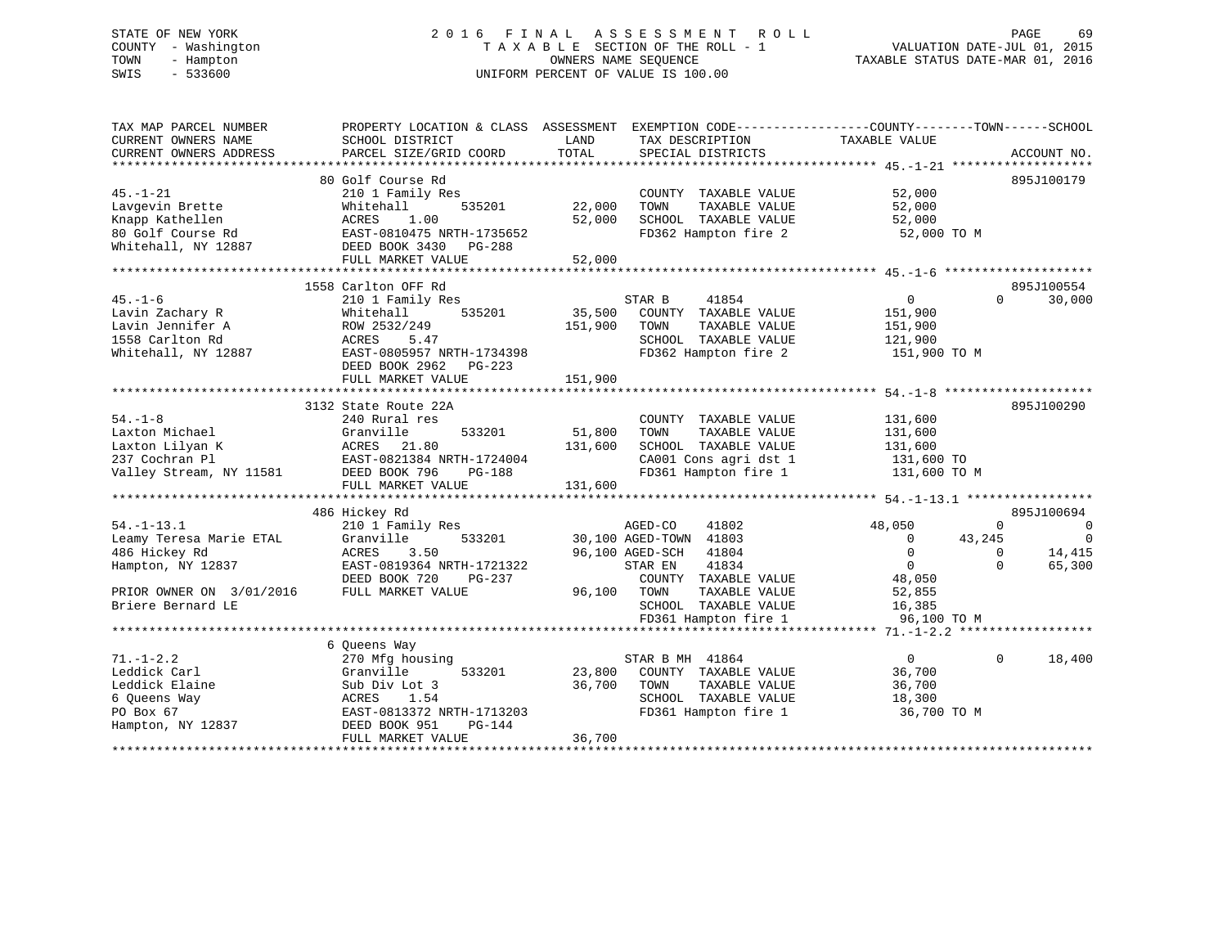# STATE OF NEW YORK 2 0 1 6 F I N A L A S S E S S M E N T R O L L PAGE 69 COUNTY - Washington T A X A B L E SECTION OF THE ROLL - 1 VALUATION DATE-JUL 01, 2015 TOWN - Hampton OWNERS NAME SEQUENCE TAXABLE STATUS DATE-MAR 01, 2016 SWIS - 533600 UNIFORM PERCENT OF VALUE IS 100.00

| TAX MAP PARCEL NUMBER    | PROPERTY LOCATION & CLASS ASSESSMENT          |         | EXEMPTION CODE-----------------COUNTY-------TOWN------SCHOOL |                    |                        |
|--------------------------|-----------------------------------------------|---------|--------------------------------------------------------------|--------------------|------------------------|
| CURRENT OWNERS NAME      | SCHOOL DISTRICT                               | LAND    | TAX DESCRIPTION                                              | TAXABLE VALUE      |                        |
| CURRENT OWNERS ADDRESS   | PARCEL SIZE/GRID COORD                        | TOTAL   | SPECIAL DISTRICTS                                            |                    | ACCOUNT NO.            |
|                          | 80 Golf Course Rd                             |         |                                                              |                    | 895J100179             |
| $45. - 1 - 21$           | 210 1 Family Res                              |         | COUNTY TAXABLE VALUE                                         | 52,000             |                        |
| Lavgevin Brette          | 535201<br>Whitehall                           | 22,000  | TOWN<br>TAXABLE VALUE                                        | 52,000             |                        |
| Knapp Kathellen          | ACRES<br>1.00                                 | 52,000  | SCHOOL TAXABLE VALUE                                         | 52,000             |                        |
| 80 Golf Course Rd        | EAST-0810475 NRTH-1735652                     |         | FD362 Hampton fire 2                                         | 52,000 TO M        |                        |
| Whitehall, NY 12887      |                                               |         |                                                              |                    |                        |
|                          | DEED BOOK 3430<br>PG-288<br>FULL MARKET VALUE | 52,000  |                                                              |                    |                        |
|                          |                                               |         |                                                              |                    |                        |
|                          | 1558 Carlton OFF Rd                           |         |                                                              |                    | 895J100554             |
| $45. - 1 - 6$            | 210 1 Family Res                              |         | STAR B<br>41854                                              | $\mathbf{0}$       | $\Omega$<br>30,000     |
| Lavin Zachary R          | Whitehall<br>535201                           | 35,500  | COUNTY TAXABLE VALUE                                         | 151,900            |                        |
| Lavin Jennifer A         | ROW 2532/249                                  | 151,900 | TOWN<br>TAXABLE VALUE                                        | 151,900            |                        |
| 1558 Carlton Rd          | ACRES<br>5.47                                 |         | SCHOOL TAXABLE VALUE                                         | 121,900            |                        |
| Whitehall, NY 12887      | EAST-0805957 NRTH-1734398                     |         | FD362 Hampton fire 2                                         | 151,900 TO M       |                        |
|                          | DEED BOOK 2962<br>PG-223                      |         |                                                              |                    |                        |
|                          | FULL MARKET VALUE                             | 151,900 |                                                              |                    |                        |
|                          |                                               |         |                                                              |                    |                        |
|                          | 3132 State Route 22A                          |         |                                                              |                    | 895J100290             |
| $54. - 1 - 8$            | 240 Rural res                                 |         | COUNTY TAXABLE VALUE                                         | 131,600            |                        |
| Laxton Michael           | Granville<br>533201                           | 51,800  | TOWN<br>TAXABLE VALUE                                        | 131,600            |                        |
| Laxton Lilyan K          | 21.80<br>ACRES                                | 131,600 | SCHOOL TAXABLE VALUE                                         | 131,600            |                        |
| 237 Cochran Pl           | EAST-0821384 NRTH-1724004                     |         | CA001 Cons agri dst 1                                        | 131,600 TO         |                        |
| Valley Stream, NY 11581  | DEED BOOK 796<br>PG-188                       |         | FD361 Hampton fire 1                                         | 131,600 TO M       |                        |
|                          | FULL MARKET VALUE                             | 131,600 |                                                              |                    |                        |
|                          |                                               |         |                                                              |                    |                        |
|                          | 486 Hickey Rd                                 |         |                                                              |                    | 895J100694             |
| $54. - 1 - 13.1$         | 210 1 Family Res                              |         | AGED-CO<br>41802                                             | 48,050             | $\Omega$<br>0          |
| Leamy Teresa Marie ETAL  | 533201<br>Granville                           |         | 30,100 AGED-TOWN 41803                                       | $\Omega$<br>43,245 | $\overline{0}$         |
| 486 Hickey Rd            | ACRES<br>3.50                                 |         | 96,100 AGED-SCH<br>41804                                     | $\mathbf 0$        | 14,415<br>$\Omega$     |
| Hampton, NY 12837        | EAST-0819364 NRTH-1721322                     |         | 41834<br>STAR EN                                             | $\overline{0}$     | 65,300<br>$\Omega$     |
|                          | DEED BOOK 720<br>PG-237                       |         | COUNTY TAXABLE VALUE                                         | 48,050             |                        |
| PRIOR OWNER ON 3/01/2016 | FULL MARKET VALUE                             | 96,100  | TOWN<br>TAXABLE VALUE                                        | 52,855             |                        |
| Briere Bernard LE        |                                               |         | SCHOOL TAXABLE VALUE                                         | 16,385             |                        |
|                          |                                               |         | FD361 Hampton fire 1                                         | 96,100 TO M        |                        |
|                          |                                               |         |                                                              |                    |                        |
|                          | 6 Queens Way                                  |         |                                                              |                    |                        |
| $71. - 1 - 2.2$          | 270 Mfg housing                               |         | STAR B MH 41864                                              | $\mathbf{0}$       | $\mathbf{0}$<br>18,400 |
| Leddick Carl             | 533201<br>Granville                           | 23,800  | COUNTY TAXABLE VALUE                                         | 36,700             |                        |
| Leddick Elaine           | Sub Div Lot 3                                 | 36,700  | TOWN<br>TAXABLE VALUE                                        | 36,700             |                        |
| 6 Queens Way             | ACRES<br>1.54                                 |         | SCHOOL TAXABLE VALUE                                         | 18,300             |                        |
| PO Box 67                | EAST-0813372 NRTH-1713203                     |         | FD361 Hampton fire 1                                         | 36,700 TO M        |                        |
| Hampton, NY 12837        | DEED BOOK 951<br>PG-144                       |         |                                                              |                    |                        |
|                          | FULL MARKET VALUE                             | 36,700  |                                                              |                    |                        |
|                          |                                               |         |                                                              |                    |                        |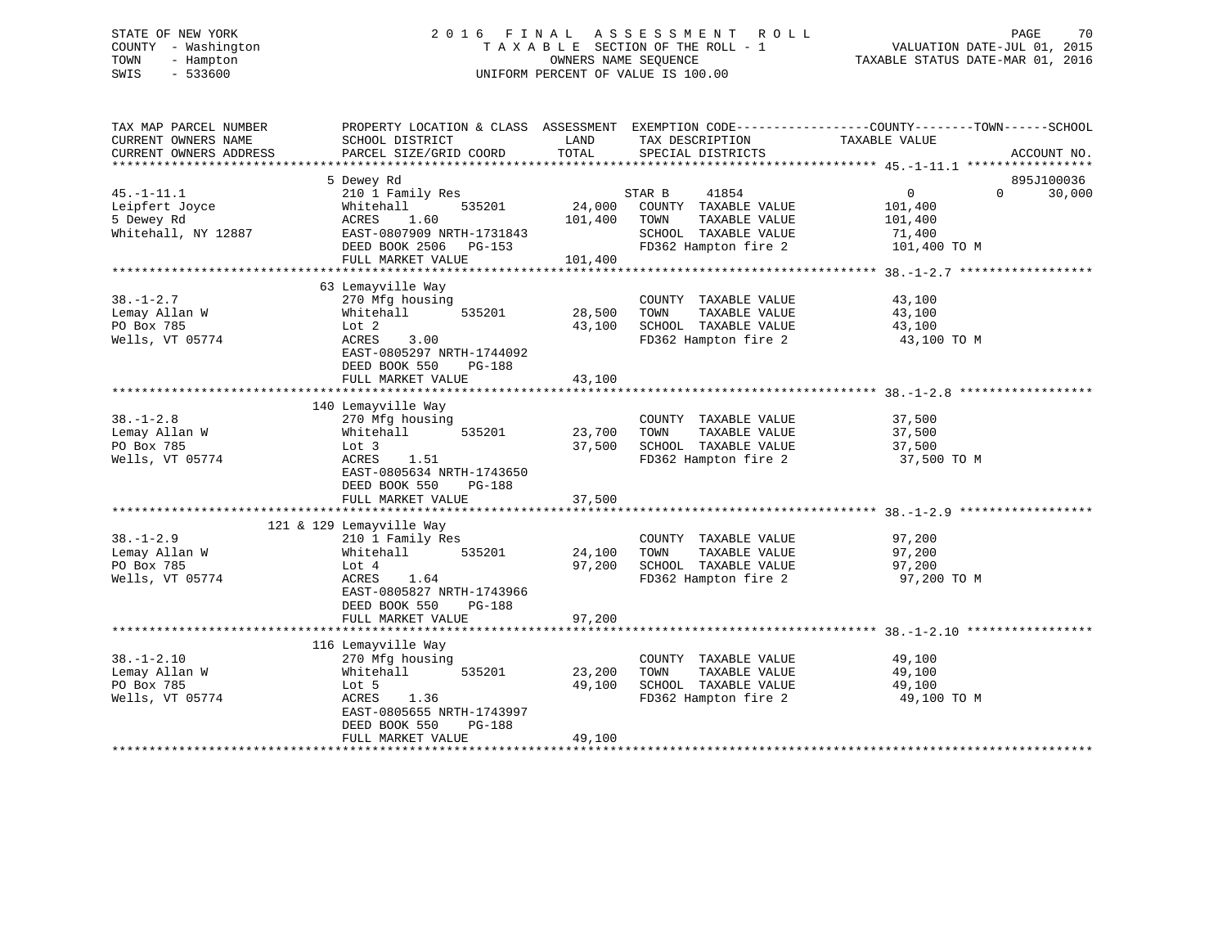# STATE OF NEW YORK 2 0 1 6 F I N A L A S S E S S M E N T R O L L PAGE 70 COUNTY - Washington T A X A B L E SECTION OF THE ROLL - 1 VALUATION DATE-JUL 01, 2015 TOWN - Hampton OWNERS NAME SEQUENCE TAXABLE STATUS DATE-MAR 01, 2016 SWIS - 533600 UNIFORM PERCENT OF VALUE IS 100.00

| TAX MAP PARCEL NUMBER<br>CURRENT OWNERS NAME<br>CURRENT OWNERS ADDRESS  | PROPERTY LOCATION & CLASS ASSESSMENT<br>SCHOOL DISTRICT<br>PARCEL SIZE/GRID COORD                                                                                          | LAND<br>TOTAL                | TAX DESCRIPTION<br>SPECIAL DISTRICTS                                                                             | EXEMPTION CODE-----------------COUNTY--------TOWN------SCHOOL<br>TAXABLE VALUE<br>ACCOUNT NO. |
|-------------------------------------------------------------------------|----------------------------------------------------------------------------------------------------------------------------------------------------------------------------|------------------------------|------------------------------------------------------------------------------------------------------------------|-----------------------------------------------------------------------------------------------|
| $45. - 1 - 11.1$<br>Leipfert Joyce<br>5 Dewey Rd<br>Whitehall, NY 12887 | 5 Dewey Rd<br>210 1 Family Res<br>Whitehall<br>535201<br>1.60<br>ACRES<br>EAST-0807909 NRTH-1731843<br>DEED BOOK 2506 PG-153<br>FULL MARKET VALUE                          | 24,000<br>101,400<br>101,400 | STAR B<br>41854<br>COUNTY TAXABLE VALUE<br>TOWN<br>TAXABLE VALUE<br>SCHOOL TAXABLE VALUE<br>FD362 Hampton fire 2 | 895J100036<br>0<br>$\Omega$<br>30,000<br>101,400<br>101,400<br>71,400<br>101,400 TO M         |
| $38. - 1 - 2.7$<br>Lemay Allan W<br>PO Box 785<br>Wells, VT 05774       | 63 Lemayville Way<br>270 Mfg housing<br>Whitehall<br>535201<br>Lot 2<br>ACRES<br>3.00<br>EAST-0805297 NRTH-1744092<br>DEED BOOK 550<br>PG-188<br>FULL MARKET VALUE         | 28,500<br>43,100<br>43,100   | COUNTY TAXABLE VALUE<br>TAXABLE VALUE<br>TOWN<br>SCHOOL TAXABLE VALUE<br>FD362 Hampton fire 2                    | 43,100<br>43,100<br>43,100<br>43,100 TO M                                                     |
| $38. - 1 - 2.8$<br>Lemay Allan W<br>PO Box 785<br>Wells, VT 05774       | 140 Lemayville Way<br>270 Mfg housing<br>535201<br>Whitehall<br>Lot 3<br>ACRES<br>1.51<br>EAST-0805634 NRTH-1743650<br>DEED BOOK 550<br>PG-188<br>FULL MARKET VALUE        | 23,700<br>37,500<br>37,500   | COUNTY TAXABLE VALUE<br>TAXABLE VALUE<br>TOWN<br>SCHOOL TAXABLE VALUE<br>FD362 Hampton fire 2                    | 37,500<br>37,500<br>37,500<br>37,500 TO M                                                     |
| $38. - 1 - 2.9$<br>Lemay Allan W<br>PO Box 785<br>Wells, VT 05774       | 121 & 129 Lemayville Way<br>210 1 Family Res<br>Whitehall<br>535201<br>Lot 4<br>ACRES<br>1.64<br>EAST-0805827 NRTH-1743966<br>DEED BOOK 550<br>PG-188<br>FULL MARKET VALUE | 24,100<br>97,200<br>97,200   | COUNTY TAXABLE VALUE<br>TOWN<br>TAXABLE VALUE<br>SCHOOL TAXABLE VALUE<br>FD362 Hampton fire 2                    | 97,200<br>97,200<br>97,200<br>97,200 TO M                                                     |
| $38. - 1 - 2.10$<br>Lemay Allan W<br>PO Box 785<br>Wells, VT 05774      | 116 Lemayville Way<br>270 Mfg housing<br>535201<br>Whitehall<br>Lot 5<br>ACRES<br>1.36<br>EAST-0805655 NRTH-1743997<br>DEED BOOK 550<br>PG-188<br>FULL MARKET VALUE        | 23,200<br>49,100<br>49,100   | COUNTY TAXABLE VALUE<br>TAXABLE VALUE<br>TOWN<br>SCHOOL TAXABLE VALUE<br>FD362 Hampton fire 2                    | 49,100<br>49,100<br>49,100<br>49,100 TO M                                                     |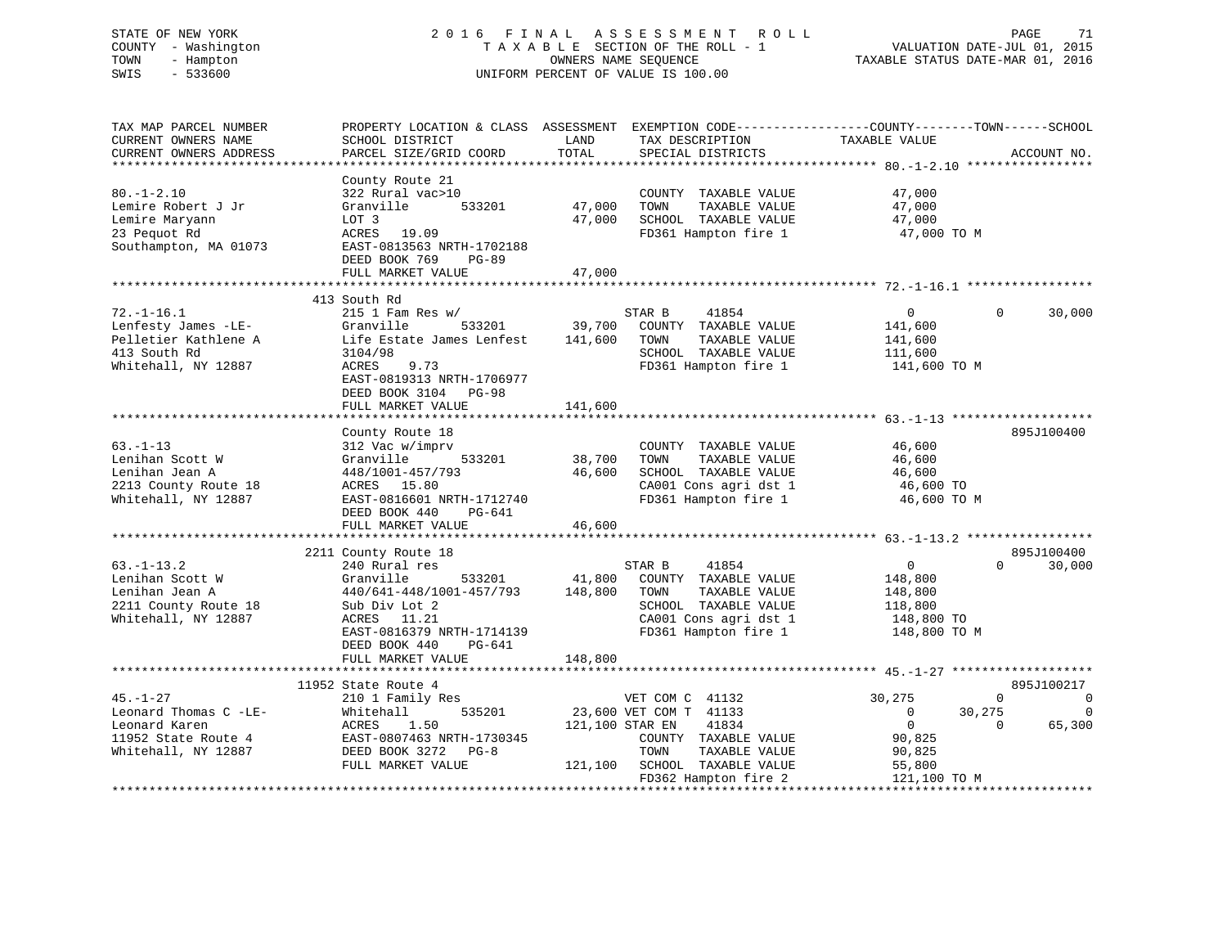# STATE OF NEW YORK 2 0 1 6 F I N A L A S S E S S M E N T R O L L PAGE 71 COUNTY - Washington T A X A B L E SECTION OF THE ROLL - 1 VALUATION DATE-JUL 01, 2015 TOWN - Hampton OWNERS NAME SEQUENCE TAXABLE STATUS DATE-MAR 01, 2016 SWIS - 533600 UNIFORM PERCENT OF VALUE IS 100.00

| TAX MAP PARCEL NUMBER    |                               |                                  | PROPERTY LOCATION & CLASS ASSESSMENT EXEMPTION CODE----------------COUNTY-------TOWN------SCHOOL |
|--------------------------|-------------------------------|----------------------------------|--------------------------------------------------------------------------------------------------|
| CURRENT OWNERS NAME      | SCHOOL DISTRICT               | LAND<br>TAX DESCRIPTION          | TAXABLE VALUE                                                                                    |
| CURRENT OWNERS ADDRESS   | PARCEL SIZE/GRID COORD        | TOTAL<br>SPECIAL DISTRICTS       | ACCOUNT NO.                                                                                      |
| ************************ |                               |                                  |                                                                                                  |
|                          | County Route 21               |                                  |                                                                                                  |
| $80. - 1 - 2.10$         | 322 Rural vac>10              | COUNTY TAXABLE VALUE             | 47,000                                                                                           |
| Lemire Robert J Jr       | 533201<br>Granville           | 47,000<br>TOWN<br>TAXABLE VALUE  | 47,000                                                                                           |
| Lemire Maryann           | LOT 3                         | 47,000<br>SCHOOL TAXABLE VALUE   | 47,000                                                                                           |
| 23 Pequot Rd             | ACRES 19.09                   | FD361 Hampton fire 1             | 47,000 TO M                                                                                      |
| Southampton, MA 01073    | EAST-0813563 NRTH-1702188     |                                  |                                                                                                  |
|                          | DEED BOOK 769<br><b>PG-89</b> |                                  |                                                                                                  |
|                          | FULL MARKET VALUE             | 47,000                           |                                                                                                  |
|                          |                               |                                  |                                                                                                  |
|                          | 413 South Rd                  |                                  |                                                                                                  |
| $72. - 1 - 16.1$         | $215$ 1 Fam Res w/            | STAR B<br>41854                  | $\mathbf{0}$<br>$\overline{0}$<br>30,000                                                         |
| Lenfesty James -LE-      | Granville<br>533201           | 39,700<br>COUNTY TAXABLE VALUE   | 141,600                                                                                          |
| Pelletier Kathlene A     | Life Estate James Lenfest     | 141,600<br>TOWN<br>TAXABLE VALUE | 141,600                                                                                          |
| 413 South Rd             | 3104/98                       | SCHOOL TAXABLE VALUE             | 111,600                                                                                          |
| Whitehall, NY 12887      | 9.73<br>ACRES                 | FD361 Hampton fire 1             | 141,600 TO M                                                                                     |
|                          | EAST-0819313 NRTH-1706977     |                                  |                                                                                                  |
|                          | DEED BOOK 3104 PG-98          |                                  |                                                                                                  |
|                          | FULL MARKET VALUE             | 141,600                          |                                                                                                  |
|                          |                               |                                  |                                                                                                  |
|                          | County Route 18               |                                  | 895J100400                                                                                       |
| $63. - 1 - 13$           | 312 Vac w/imprv               | COUNTY TAXABLE VALUE             | 46,600                                                                                           |
| Lenihan Scott W          | 533201<br>Granville           | 38,700<br>TOWN<br>TAXABLE VALUE  | 46,600                                                                                           |
| Lenihan Jean A           | 448/1001-457/793              | SCHOOL TAXABLE VALUE<br>46,600   | 46,600                                                                                           |
| 2213 County Route 18     | ACRES 15.80                   | CA001 Cons agri dst 1            | 46,600 TO                                                                                        |
| Whitehall, NY 12887      | EAST-0816601 NRTH-1712740     | FD361 Hampton fire 1             | 46,600 TO M                                                                                      |
|                          | DEED BOOK 440<br>PG-641       |                                  |                                                                                                  |
|                          | FULL MARKET VALUE             | 46,600                           |                                                                                                  |
|                          |                               |                                  |                                                                                                  |
|                          | 2211 County Route 18          |                                  | 895J100400                                                                                       |
| $63. - 1 - 13.2$         | 240 Rural res                 | 41854<br>STAR B                  | $\mathbf{0}$<br>$\Omega$<br>30,000                                                               |
| Lenihan Scott W          | 533201<br>Granville           | 41,800<br>COUNTY TAXABLE VALUE   | 148,800                                                                                          |
| Lenihan Jean A           | 440/641-448/1001-457/793      | 148,800<br>TOWN<br>TAXABLE VALUE | 148,800                                                                                          |
| 2211 County Route 18     | Sub Div Lot 2                 | SCHOOL TAXABLE VALUE             | 118,800                                                                                          |
| Whitehall, NY 12887      | 11.21<br>ACRES                | CA001 Cons agri dst 1            | 148,800 TO                                                                                       |
|                          | EAST-0816379 NRTH-1714139     | FD361 Hampton fire 1             | 148,800 TO M                                                                                     |
|                          | DEED BOOK 440<br>PG-641       |                                  |                                                                                                  |
|                          | FULL MARKET VALUE             | 148,800                          |                                                                                                  |
|                          | ***************************   |                                  |                                                                                                  |
|                          | 11952 State Route 4           |                                  | 895J100217                                                                                       |
| $45. - 1 - 27$           | 210 1 Family Res              | VET COM C 41132                  | 30,275<br>$\mathbf 0$<br>0                                                                       |
| Leonard Thomas C -LE-    | Whitehall<br>535201           | 23,600 VET COM T 41133           | $\overline{0}$<br>30,275<br>$\overline{0}$                                                       |
| Leonard Karen            | ACRES<br>1.50                 | 121,100 STAR EN<br>41834         | $\overline{0}$<br>65,300<br>$\Omega$                                                             |
| 11952 State Route 4      | EAST-0807463 NRTH-1730345     | COUNTY TAXABLE VALUE             | 90,825                                                                                           |
| Whitehall, NY 12887      | DEED BOOK 3272 PG-8           | TOWN<br>TAXABLE VALUE            | 90,825                                                                                           |
|                          | FULL MARKET VALUE             | 121,100 SCHOOL TAXABLE VALUE     | 55,800                                                                                           |
|                          |                               | FD362 Hampton fire 2             | 121,100 TO M                                                                                     |
|                          |                               |                                  |                                                                                                  |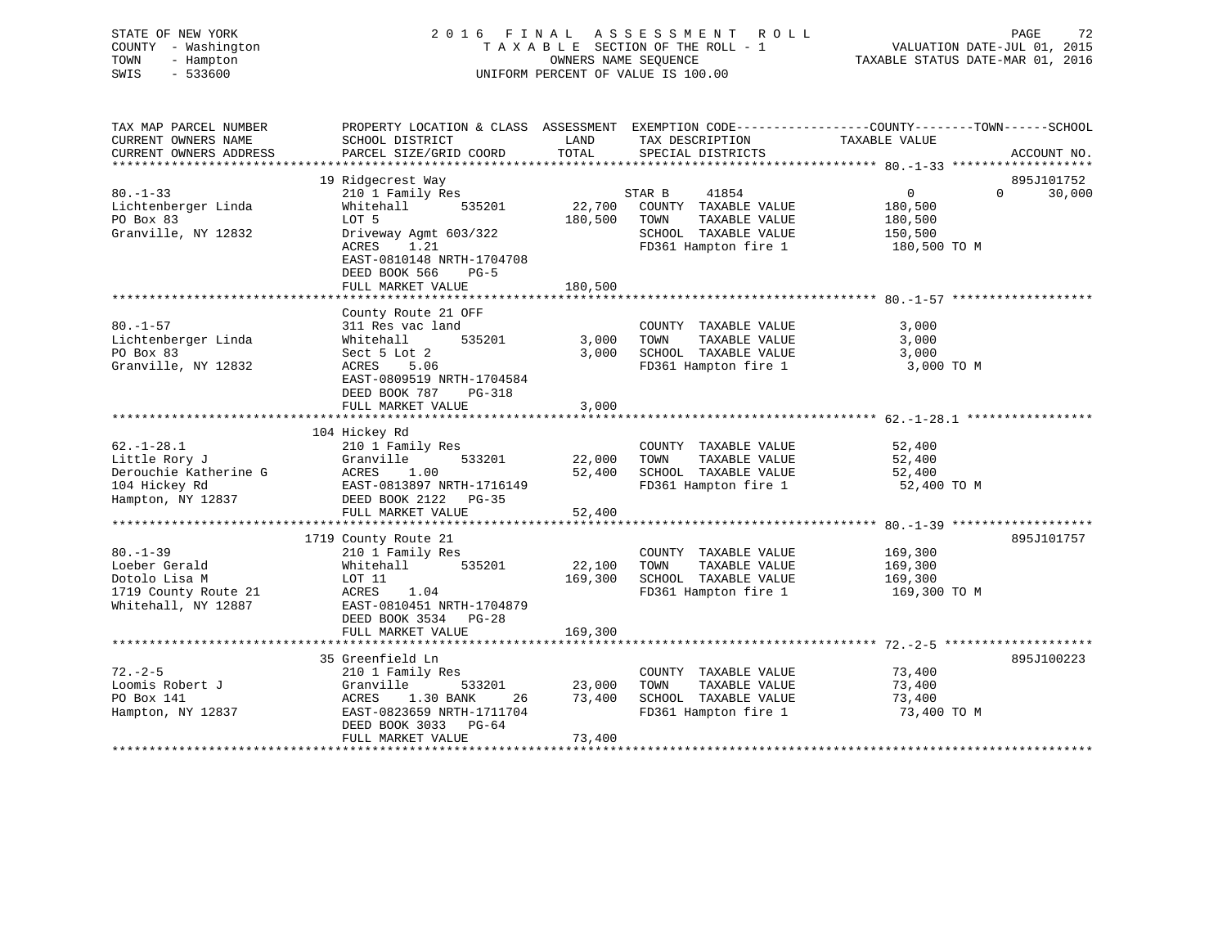# STATE OF NEW YORK 2 0 1 6 F I N A L A S S E S S M E N T R O L L PAGE 72 COUNTY - Washington T A X A B L E SECTION OF THE ROLL - 1 VALUATION DATE-JUL 01, 2015 TOWN - Hampton OWNERS NAME SEQUENCE TAXABLE STATUS DATE-MAR 01, 2016 SWIS - 533600 UNIFORM PERCENT OF VALUE IS 100.00

| TAX MAP PARCEL NUMBER<br>CURRENT OWNERS NAME<br>CURRENT OWNERS ADDRESS                           | PROPERTY LOCATION & CLASS ASSESSMENT EXEMPTION CODE---------------COUNTY-------TOWN-----SCHOOL<br>SCHOOL DISTRICT<br>PARCEL SIZE/GRID COORD                                                  | LAND<br>TOTAL                       | TAX DESCRIPTION<br>SPECIAL DISTRICTS                                                                             | TAXABLE VALUE                                                                                  | ACCOUNT NO.                      |
|--------------------------------------------------------------------------------------------------|----------------------------------------------------------------------------------------------------------------------------------------------------------------------------------------------|-------------------------------------|------------------------------------------------------------------------------------------------------------------|------------------------------------------------------------------------------------------------|----------------------------------|
| $80. - 1 - 33$<br>Lichtenberger Linda<br>PO Box 83<br>Granville, NY 12832                        | 19 Ridgecrest Way<br>210 1 Family Res<br>535201<br>Whitehall<br>LOT 5<br>Driveway Agmt 603/322<br>ACRES<br>1.21<br>EAST-0810148 NRTH-1704708<br>DEED BOOK 566<br>$PG-5$<br>FULL MARKET VALUE | 22,700<br>180,500<br>180,500        | 41854<br>STAR B<br>COUNTY TAXABLE VALUE<br>TOWN<br>TAXABLE VALUE<br>SCHOOL TAXABLE VALUE<br>FD361 Hampton fire 1 | $0 \qquad \qquad$<br>180,500<br>180,500<br>150,500<br>180,500 TO M                             | 895J101752<br>$\Omega$<br>30,000 |
| $80. - 1 - 57$<br>Lichtenberger Linda<br>PO Box 83<br>Granville, NY 12832                        | County Route 21 OFF<br>311 Res vac land<br>535201<br>Whitehall<br>Sect 5 Lot 2<br>ACRES<br>5.06<br>EAST-0809519 NRTH-1704584<br>DEED BOOK 787<br>PG-318<br>FULL MARKET VALUE                 | 3,000<br>3,000<br>3,000             | COUNTY TAXABLE VALUE<br>TAXABLE VALUE<br>TOWN<br>SCHOOL TAXABLE VALUE<br>FD361 Hampton fire 1                    | 3,000<br>3,000<br>3,000<br>3,000 TO M<br>************************************ 62.-1-28.1 ***** |                                  |
| $62. - 1 - 28.1$<br>Little Rory J<br>Derouchie Katherine G<br>104 Hickey Rd<br>Hampton, NY 12837 | 104 Hickey Rd<br>210 1 Family Res<br>Granville<br>533201<br>ACRES<br>1.00<br>EAST-0813897 NRTH-1716149<br>DEED BOOK 2122 PG-35<br>FULL MARKET VALUE                                          | 22,000<br>52,400<br>52,400          | COUNTY TAXABLE VALUE<br>TOWN<br>TAXABLE VALUE<br>SCHOOL TAXABLE VALUE<br>FD361 Hampton fire 1                    | 52,400<br>52,400<br>52,400<br>52,400 TO M                                                      |                                  |
| $80. - 1 - 39$<br>Loeber Gerald<br>Dotolo Lisa M<br>1719 County Route 21<br>Whitehall, NY 12887  | 1719 County Route 21<br>210 1 Family Res<br>535201<br>Whitehall<br>LOT 11<br>ACRES<br>1.04<br>EAST-0810451 NRTH-1704879<br>DEED BOOK 3534 PG-28<br>FULL MARKET VALUE                         | 22,100<br>169,300<br>169,300        | COUNTY TAXABLE VALUE<br>TOWN<br>TAXABLE VALUE<br>SCHOOL TAXABLE VALUE<br>FD361 Hampton fire 1                    | 169,300<br>169,300<br>169,300<br>169,300 TO M                                                  | 895J101757                       |
| $72. - 2 - 5$<br>Loomis Robert J<br>PO Box 141<br>Hampton, NY 12837                              | 35 Greenfield Ln<br>210 1 Family Res<br>Granville<br>533201<br>1.30 BANK<br>ACRES<br>EAST-0823659 NRTH-1711704<br>DEED BOOK 3033 PG-64<br>FULL MARKET VALUE                                  | 23,000<br>73,400<br>26 30<br>73,400 | COUNTY TAXABLE VALUE<br>TOWN<br>TAXABLE VALUE<br>SCHOOL TAXABLE VALUE<br>FD361 Hampton fire 1                    | 73,400<br>73,400<br>73,400<br>73,400 TO M                                                      | 895J100223                       |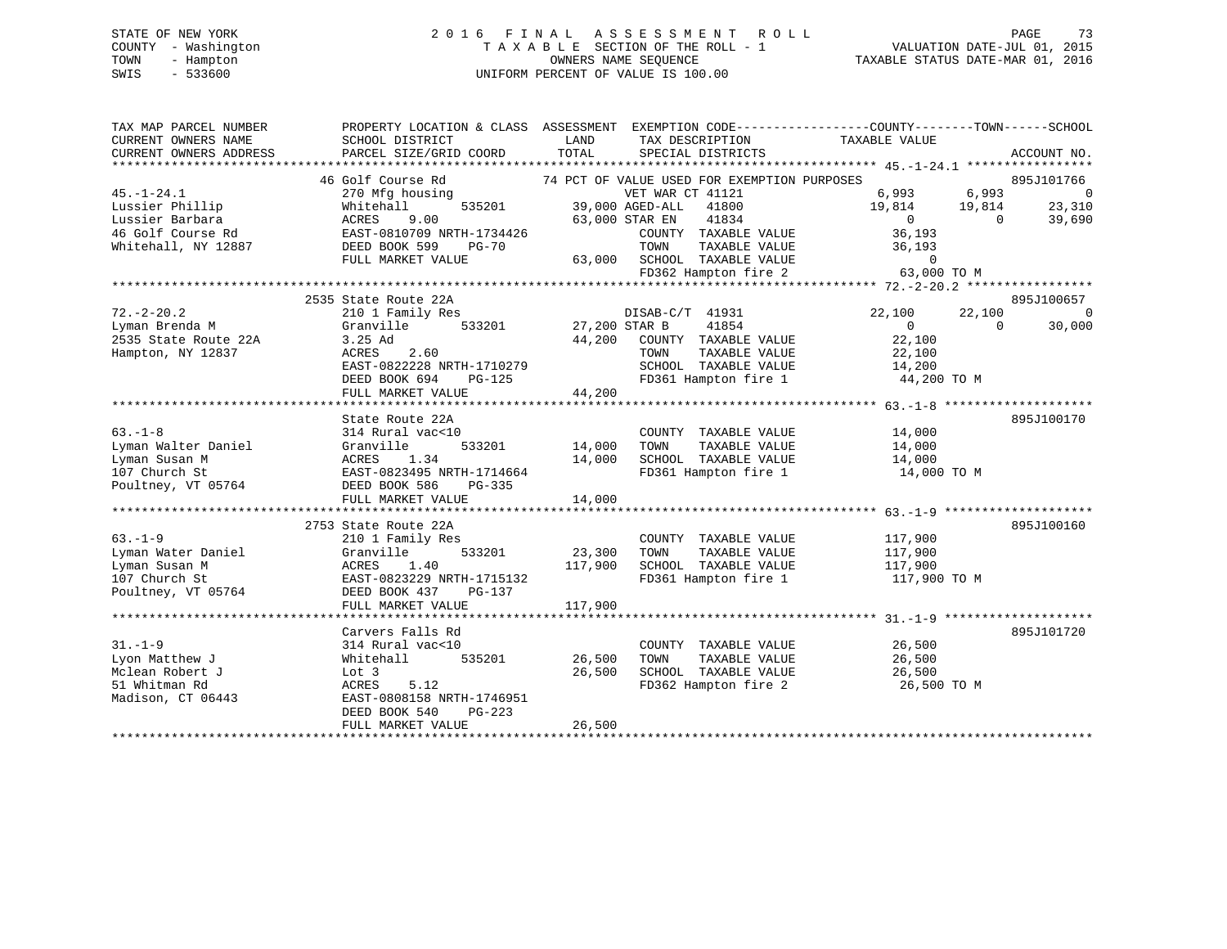# STATE OF NEW YORK 2 0 1 6 F I N A L A S S E S S M E N T R O L L PAGE 73 COUNTY - Washington T A X A B L E SECTION OF THE ROLL - 1 VALUATION DATE-JUL 01, 2015 TOWN - Hampton OWNERS NAME SEQUENCE TAXABLE STATUS DATE-MAR 01, 2016 SWIS - 533600 UNIFORM PERCENT OF VALUE IS 100.00

| TAX MAP PARCEL NUMBER                                                                                                                                                                                                                                                                                                                                                                                                                 | PROPERTY LOCATION & CLASS ASSESSMENT EXEMPTION CODE---------------COUNTY-------TOWN-----SCHOOL                                                                                                                                                 |        |                                                                                                                        |                                                |        |                |
|---------------------------------------------------------------------------------------------------------------------------------------------------------------------------------------------------------------------------------------------------------------------------------------------------------------------------------------------------------------------------------------------------------------------------------------|------------------------------------------------------------------------------------------------------------------------------------------------------------------------------------------------------------------------------------------------|--------|------------------------------------------------------------------------------------------------------------------------|------------------------------------------------|--------|----------------|
| CURRENT OWNERS NAME                                                                                                                                                                                                                                                                                                                                                                                                                   | LAND<br>SCHOOL DISTRICT                                                                                                                                                                                                                        |        | TAX DESCRIPTION                                                                                                        | TAXABLE VALUE                                  |        |                |
| CURRENT OWNERS ADDRESS                                                                                                                                                                                                                                                                                                                                                                                                                | PARCEL SIZE/GRID COORD                                                                                                                                                                                                                         | TOTAL  | SPECIAL DISTRICTS                                                                                                      |                                                |        | ACCOUNT NO.    |
|                                                                                                                                                                                                                                                                                                                                                                                                                                       |                                                                                                                                                                                                                                                |        |                                                                                                                        |                                                |        |                |
|                                                                                                                                                                                                                                                                                                                                                                                                                                       |                                                                                                                                                                                                                                                |        |                                                                                                                        |                                                |        |                |
| $45. - 1 - 24.1$                                                                                                                                                                                                                                                                                                                                                                                                                      |                                                                                                                                                                                                                                                |        |                                                                                                                        |                                                |        |                |
|                                                                                                                                                                                                                                                                                                                                                                                                                                       |                                                                                                                                                                                                                                                |        |                                                                                                                        |                                                |        |                |
|                                                                                                                                                                                                                                                                                                                                                                                                                                       |                                                                                                                                                                                                                                                |        |                                                                                                                        |                                                |        |                |
|                                                                                                                                                                                                                                                                                                                                                                                                                                       | 46 Golf Course Rd 270 Mfg housing<br>270 Mfg housing<br>270 Mfg housing<br>270 Mfg housing<br>270 Mfg housing<br>270 Mfg housing<br>275201 29,000 AGED-ALL<br>23,000 AGED-ALL<br>23,000 STAR EN 23,000 STAR EN 23,000 STAR EN 23,000 STAR EN 2 |        |                                                                                                                        |                                                |        |                |
|                                                                                                                                                                                                                                                                                                                                                                                                                                       |                                                                                                                                                                                                                                                |        |                                                                                                                        |                                                |        |                |
|                                                                                                                                                                                                                                                                                                                                                                                                                                       |                                                                                                                                                                                                                                                |        |                                                                                                                        |                                                |        |                |
|                                                                                                                                                                                                                                                                                                                                                                                                                                       |                                                                                                                                                                                                                                                |        |                                                                                                                        |                                                |        |                |
| $\begin{tabular}{lllllllllllllll} \text{Lussier Philip} & \text{whitehall} & \text{mhitehall} & \text{39,000 AGED-ALL} & \text{41800} & \text{--} & \text{--} & \text{--} \\ \text{Lussier Barbara} & \text{ACRES} & 9.00 & \text{AGED-ALL} & \text{41800} & \text{--} & \text{--} & \text{--} \\ \text{Lussier Barbara} & \text{ACRES} & 9.00 & \text{STAR EN} & 41834 & 0 \\ \text{46 Gold Course Rd} & \text{EAST-0810709 NRTH-17$ |                                                                                                                                                                                                                                                |        |                                                                                                                        |                                                |        |                |
|                                                                                                                                                                                                                                                                                                                                                                                                                                       | 2535 State Route 22A                                                                                                                                                                                                                           |        |                                                                                                                        |                                                |        | 895J100657     |
| 72.-2-20.2 2333339 2001 2001 2001.<br>Lyman Brenda M 310 1 Family Res 27,200 STAR B 41854                                                                                                                                                                                                                                                                                                                                             |                                                                                                                                                                                                                                                |        |                                                                                                                        | 22,100                                         | 22,100 | $\overline{0}$ |
|                                                                                                                                                                                                                                                                                                                                                                                                                                       |                                                                                                                                                                                                                                                |        |                                                                                                                        | $\begin{matrix}0&0\end{matrix}$                |        | 30,000         |
| 2535 State Route 22A                                                                                                                                                                                                                                                                                                                                                                                                                  |                                                                                                                                                                                                                                                |        | 44,200 COUNTY TAXABLE VALUE 22,100                                                                                     |                                                |        |                |
| Hampton, NY 12837                                                                                                                                                                                                                                                                                                                                                                                                                     | 3.25 Ad<br>ACRES 2.60<br>ACRES 2.60<br>EAST-0822228 NRTH-1710279<br>DEED BOOK 694 PG-125<br>FD361 Hampton fire 1 44,200<br>FD361 Hampton fire 1 44,200                                                                                         |        |                                                                                                                        |                                                |        |                |
|                                                                                                                                                                                                                                                                                                                                                                                                                                       |                                                                                                                                                                                                                                                |        |                                                                                                                        |                                                |        |                |
|                                                                                                                                                                                                                                                                                                                                                                                                                                       |                                                                                                                                                                                                                                                |        | FD361 Hampton fire 1 44,200 TO M                                                                                       |                                                |        |                |
|                                                                                                                                                                                                                                                                                                                                                                                                                                       |                                                                                                                                                                                                                                                |        |                                                                                                                        |                                                |        |                |
|                                                                                                                                                                                                                                                                                                                                                                                                                                       |                                                                                                                                                                                                                                                |        |                                                                                                                        |                                                |        |                |
|                                                                                                                                                                                                                                                                                                                                                                                                                                       | State Route 22A                                                                                                                                                                                                                                |        |                                                                                                                        |                                                |        | 895J100170     |
| $63. -1 - 8$                                                                                                                                                                                                                                                                                                                                                                                                                          | 314 Rural vac<10                                                                                                                                                                                                                               |        | COUNTY TAXABLE VALUE 14,000                                                                                            |                                                |        |                |
|                                                                                                                                                                                                                                                                                                                                                                                                                                       | $C < 10$<br>533201 14,000                                                                                                                                                                                                                      |        | TOWN                                                                                                                   |                                                |        |                |
| Lyman Walter Daniel<br>Lyman Susan M<br>107 Church St<br>107 Church St<br>107 Church St<br>107 Church St<br>107 Church St<br>107 Church St                                                                                                                                                                                                                                                                                            |                                                                                                                                                                                                                                                |        |                                                                                                                        | TAXABLE VALUE 14,000<br>TAXABLE VALUE 14,000   |        |                |
|                                                                                                                                                                                                                                                                                                                                                                                                                                       |                                                                                                                                                                                                                                                | 14,000 |                                                                                                                        |                                                |        |                |
| Poultney, VT 05764 DEED BOOK 586                                                                                                                                                                                                                                                                                                                                                                                                      | PG-335                                                                                                                                                                                                                                         |        |                                                                                                                        |                                                |        |                |
|                                                                                                                                                                                                                                                                                                                                                                                                                                       | FULL MARKET VALUE                                                                                                                                                                                                                              | 14,000 |                                                                                                                        |                                                |        |                |
|                                                                                                                                                                                                                                                                                                                                                                                                                                       |                                                                                                                                                                                                                                                |        |                                                                                                                        |                                                |        |                |
|                                                                                                                                                                                                                                                                                                                                                                                                                                       | 2753 State Route 22A                                                                                                                                                                                                                           |        |                                                                                                                        |                                                |        | 895J100160     |
| $63 - 1 - 9$                                                                                                                                                                                                                                                                                                                                                                                                                          | 210 1 Family Res                                                                                                                                                                                                                               |        | COUNTY TAXABLE VALUE 117,900                                                                                           |                                                |        |                |
|                                                                                                                                                                                                                                                                                                                                                                                                                                       |                                                                                                                                                                                                                                                |        |                                                                                                                        |                                                |        |                |
|                                                                                                                                                                                                                                                                                                                                                                                                                                       |                                                                                                                                                                                                                                                |        |                                                                                                                        | TAXABLE VALUE 117,900<br>TAXABLE VALUE 117,900 |        |                |
| b3.-1-9<br>Lyman Musan M<br>107 Church St<br>2001 Dynam Susan M<br>107 Church St<br>2011 Poultney, VT 05764<br>2012 Poultney, VT 05764<br>2012 POLITIC MARKET VALUE                                                                                                                                                                                                                                                                   |                                                                                                                                                                                                                                                |        | 23,300 TOWN TAXABLE VALUE<br>117,900 SCHOOL TAXABLE VALUE<br>FD361 Hampton fire 1<br>FD361 Hampton fire 1 117,900 TO M |                                                |        |                |
|                                                                                                                                                                                                                                                                                                                                                                                                                                       |                                                                                                                                                                                                                                                |        |                                                                                                                        |                                                |        |                |
|                                                                                                                                                                                                                                                                                                                                                                                                                                       |                                                                                                                                                                                                                                                |        |                                                                                                                        |                                                |        |                |
|                                                                                                                                                                                                                                                                                                                                                                                                                                       |                                                                                                                                                                                                                                                |        |                                                                                                                        |                                                |        |                |
|                                                                                                                                                                                                                                                                                                                                                                                                                                       | Carvers Falls Rd                                                                                                                                                                                                                               |        |                                                                                                                        |                                                |        | 895J101720     |
| $31. - 1 - 9$                                                                                                                                                                                                                                                                                                                                                                                                                         | 314 Rural vac<10                                                                                                                                                                                                                               |        | COUNTY TAXABLE VALUE 26,500                                                                                            |                                                |        |                |
| Lyon Matthew J                                                                                                                                                                                                                                                                                                                                                                                                                        | 535201 26,500<br>Whitehall                                                                                                                                                                                                                     |        |                                                                                                                        |                                                |        |                |
| Mclean Robert J                                                                                                                                                                                                                                                                                                                                                                                                                       | Lot 3                                                                                                                                                                                                                                          | 26,500 |                                                                                                                        |                                                |        |                |
| 51 Whitman Rd                                                                                                                                                                                                                                                                                                                                                                                                                         | ACRES<br>5.12                                                                                                                                                                                                                                  |        | FD362 Hampton fire 2 26,500 TO M                                                                                       |                                                |        |                |
| Madison, CT 06443                                                                                                                                                                                                                                                                                                                                                                                                                     | EAST-0808158 NRTH-1746951                                                                                                                                                                                                                      |        |                                                                                                                        |                                                |        |                |
|                                                                                                                                                                                                                                                                                                                                                                                                                                       | DEED BOOK 540<br>PG-223                                                                                                                                                                                                                        |        |                                                                                                                        |                                                |        |                |
|                                                                                                                                                                                                                                                                                                                                                                                                                                       | FULL MARKET VALUE                                                                                                                                                                                                                              | 26,500 |                                                                                                                        |                                                |        |                |
|                                                                                                                                                                                                                                                                                                                                                                                                                                       |                                                                                                                                                                                                                                                |        |                                                                                                                        |                                                |        |                |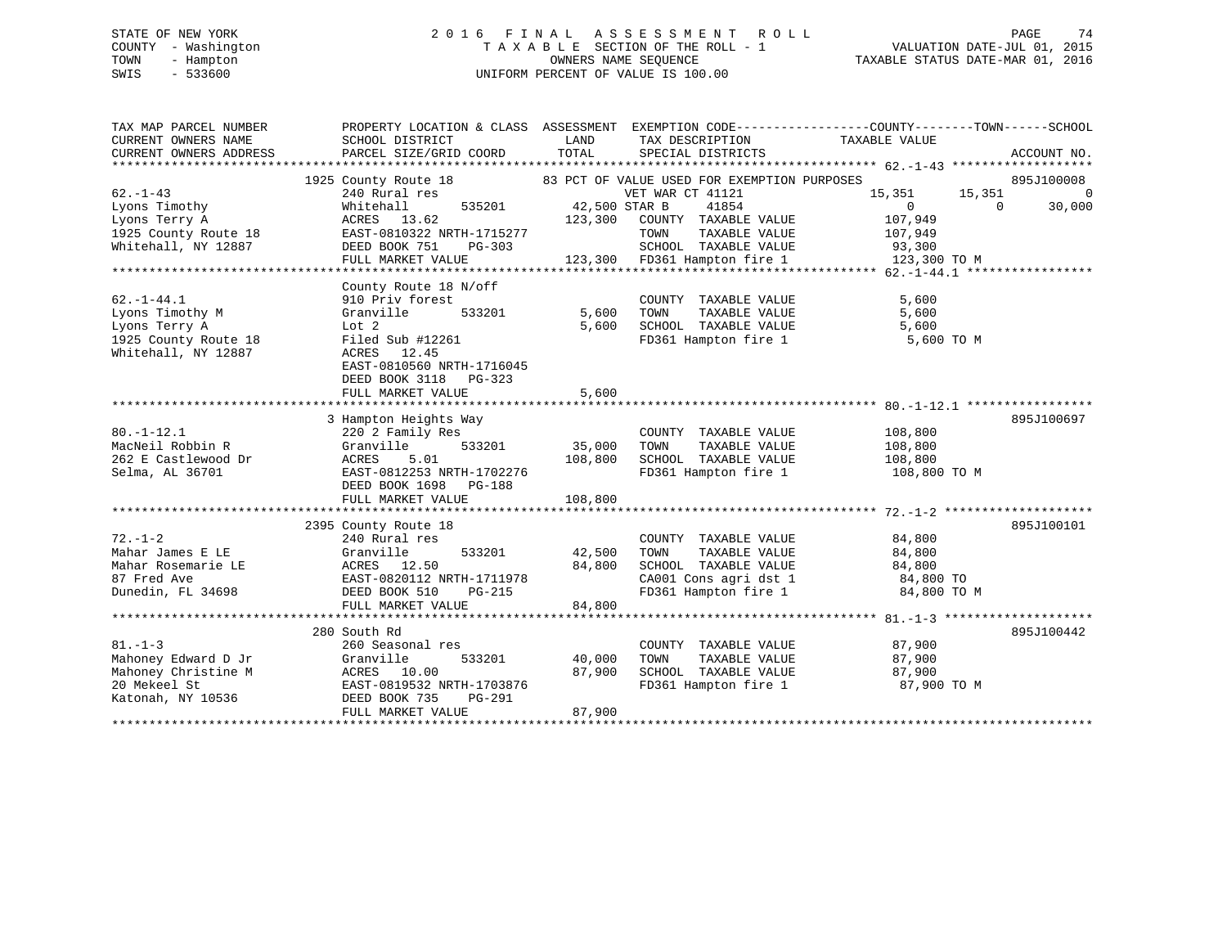# STATE OF NEW YORK 2 0 1 6 F I N A L A S S E S S M E N T R O L L PAGE 74 COUNTY - Washington T A X A B L E SECTION OF THE ROLL - 1 VALUATION DATE-JUL 01, 2015 TOWN - Hampton OWNERS NAME SEQUENCE TAXABLE STATUS DATE-MAR 01, 2016 SWIS - 533600 UNIFORM PERCENT OF VALUE IS 100.00

| TAX MAP PARCEL NUMBER<br>CURRENT OWNERS NAME<br>CURRENT OWNERS ADDRESS                              | PROPERTY LOCATION & CLASS ASSESSMENT EXEMPTION CODE---------------COUNTY-------TOWN-----SCHOOL<br>SCHOOL DISTRICT<br>PARCEL SIZE/GRID COORD                                                          | LAND<br>TOTAL                     | TAX DESCRIPTION<br>SPECIAL DISTRICTS                                                                                                                            | TAXABLE VALUE                                                                                        | ACCOUNT NO.                            |
|-----------------------------------------------------------------------------------------------------|------------------------------------------------------------------------------------------------------------------------------------------------------------------------------------------------------|-----------------------------------|-----------------------------------------------------------------------------------------------------------------------------------------------------------------|------------------------------------------------------------------------------------------------------|----------------------------------------|
| $62 - 1 - 43$<br>Lyons Timothy<br>Lyons Terry A<br>1925 County Route 18<br>Whitehall, NY 12887      | 1925 County Route 18 83 PCT OF VALUE USED FOR EXEMPTION PURPOSES<br>240 Rural res<br>535201<br>Whitehall<br>ACRES 13.62<br>EAST-0810322 NRTH-1715277<br>DEED BOOK 751<br>PG-303<br>FULL MARKET VALUE | 42,500 STAR B<br>123,300          | VET WAR CT 41121<br>41854<br>COUNTY TAXABLE VALUE<br>TOWN<br>TAXABLE VALUE<br>SCHOOL TAXABLE VALUE<br>123,300 FD361 Hampton fire 1                              | 15,351<br>15,351<br>$\overline{0}$<br>$\overline{0}$<br>107,949<br>107,949<br>93,300<br>123,300 TO M | 895J100008<br>$\overline{0}$<br>30,000 |
| $62. - 1 - 44.1$<br>Lyons Timothy M<br>Lyons Terry A<br>1925 County Route 18<br>Whitehall, NY 12887 | County Route 18 N/off<br>910 Priv forest<br>Granville<br>533201<br>Lot 2<br>Filed Sub #12261<br>ACRES 12.45<br>EAST-0810560 NRTH-1716045<br>DEED BOOK 3118 PG-323<br>FULL MARKET VALUE               | 5,600<br>5,600<br>5,600           | COUNTY TAXABLE VALUE<br>TOWN      TAXABLE  VALUE<br>SCHOOL   TAXABLE  VALUE                                                                                     | 5,600<br>5,600<br>5,600<br>FD361 Hampton fire 1 5,600 TO M                                           |                                        |
| $80. - 1 - 12.1$<br>MacNeil Robbin R<br>262 E Castlewood Dr<br>Selma, AL 36701                      | 3 Hampton Heights Way<br>220 2 Family Res<br>533201<br>Granville<br>ACRES<br>5.01<br>EAST-0812253 NRTH-1702276<br>DEED BOOK 1698 PG-188<br>FULL MARKET VALUE                                         | 35,000<br>108,800                 | COUNTY TAXABLE VALUE<br>TOWN<br>TAXABLE VALUE<br>108,800 SCHOOL TAXABLE VALUE<br>108,800 SCHOOL TAXABLE VALUE<br>FD361 Hampton fire 1                           | 108,800<br>108,800<br>108,800<br>108,800 TO M                                                        | 895J100697                             |
| $72. - 1 - 2$<br>Mahar James E LE<br>Mahar Rosemarie LE<br>87 Fred Ave<br>Dunedin, FL 34698         | 2395 County Route 18<br>240 Rural res<br>Granville<br>ACRES 12.50<br>EAST-0820112 NRTH-1711978<br>DEED BOOK 510<br>PG-215<br>FULL MARKET VALUE                                                       | 533201 42,500<br>84,800<br>84,800 | COUNTY TAXABLE VALUE<br>TOWN<br>TAXABLE VALUE<br>SCHOOL TAXABLE VALUE<br>SCHOOL TAXABLE VALUE 84,800<br>CA001 Cons agri dst 1 84,800 TO<br>FD361 Hampton fire 1 | 84,800<br>84,800<br>84,800<br>84,800 TO M                                                            | 895J100101                             |
| $81. - 1 - 3$<br>Mahoney Edward D Jr<br>Mahoney Christine M<br>20 Mekeel St<br>Katonah, NY 10536    | 280 South Rd<br>260 Seasonal res<br>533201<br>Granville<br>ACRES 10.00<br>EAST-0819532 NRTH-1703876<br>DEED BOOK 735<br>PG-291<br>FULL MARKET VALUE                                                  | 40,000<br>87,900<br>87,900        | COUNTY TAXABLE VALUE<br>TAXABLE VALUE<br>TOWN<br>SCHOOL TAXABLE VALUE<br>FD361 Hampton fire 1                                                                   | 87,900<br>87,900<br>87,900<br>87,900 TO M                                                            | 895J100442                             |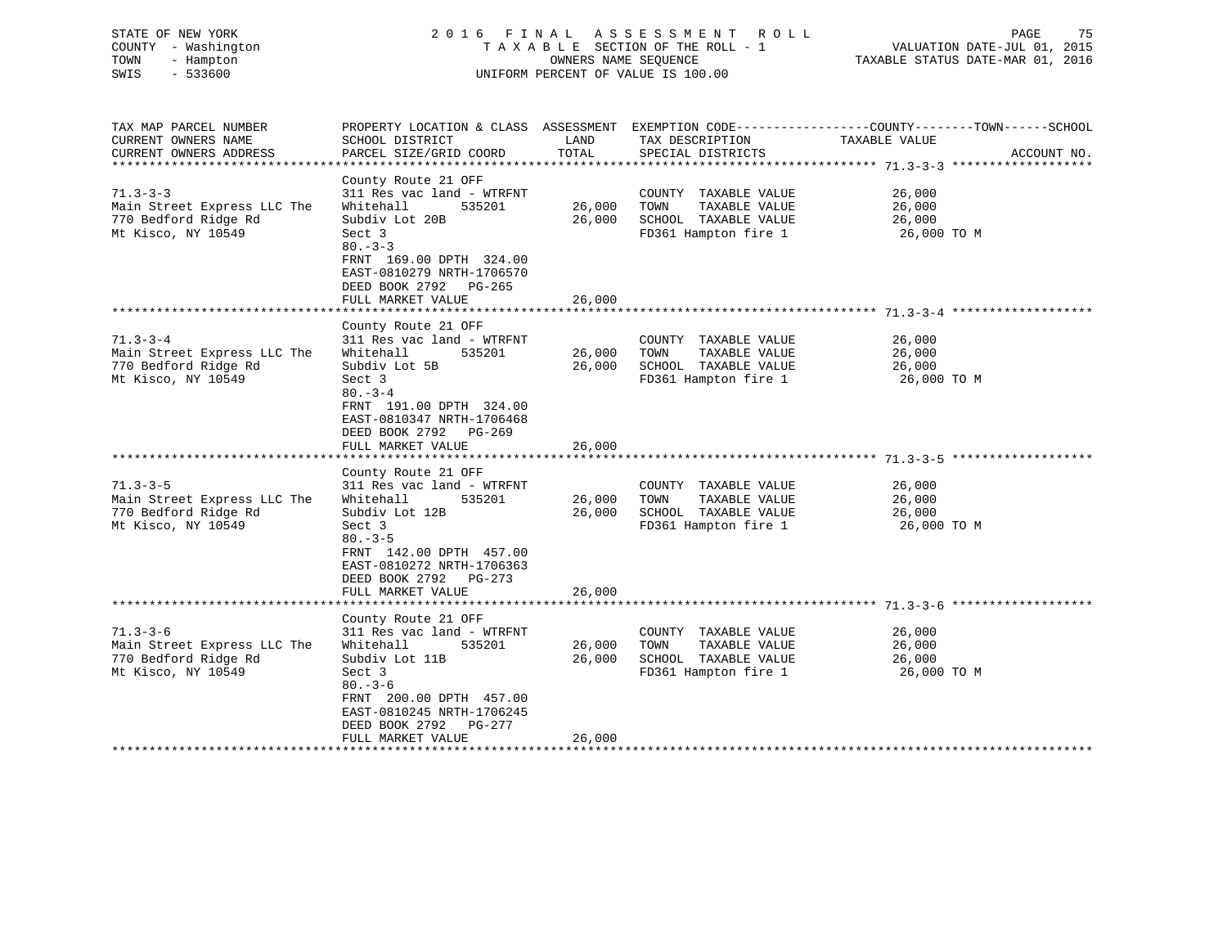| STATE OF NEW YORK<br>COUNTY - Washington<br>TOWN<br>- Hampton<br>$-533600$<br>SWIS          | 2016 FINAL                                                                                                                                                                                                                                         | OWNERS NAME SEOUENCE       | A S S E S S M E N T<br>R O L L<br>TAXABLE SECTION OF THE ROLL - 1<br>UNIFORM PERCENT OF VALUE IS 100.00 | PAGE<br>75<br>VALUATION DATE-JUL 01, 2015<br>TAXABLE STATUS DATE-MAR 01, 2016                                                                                                                |
|---------------------------------------------------------------------------------------------|----------------------------------------------------------------------------------------------------------------------------------------------------------------------------------------------------------------------------------------------------|----------------------------|---------------------------------------------------------------------------------------------------------|----------------------------------------------------------------------------------------------------------------------------------------------------------------------------------------------|
| TAX MAP PARCEL NUMBER<br>CURRENT OWNERS NAME<br>CURRENT OWNERS ADDRESS<br>****************  | SCHOOL DISTRICT<br>PARCEL SIZE/GRID COORD                                                                                                                                                                                                          | LAND<br>TOTAL              | TAX DESCRIPTION<br>SPECIAL DISTRICTS                                                                    | PROPERTY LOCATION & CLASS ASSESSMENT EXEMPTION CODE----------------COUNTY-------TOWN------SCHOOL<br>TAXABLE VALUE<br>ACCOUNT NO.<br>************************** 71.3-3-3 ******************** |
| $71.3 - 3 - 3$<br>Main Street Express LLC The<br>770 Bedford Ridge Rd<br>Mt Kisco, NY 10549 | County Route 21 OFF<br>311 Res vac land - WTRFNT<br>Whitehall<br>535201<br>Subdiv Lot 20B<br>Sect 3<br>$80 - 3 - 3$<br>FRNT 169.00 DPTH 324.00<br>EAST-0810279 NRTH-1706570<br>DEED BOOK 2792 PG-265<br>FULL MARKET VALUE                          | 26,000<br>26,000<br>26,000 | COUNTY TAXABLE VALUE<br>TOWN<br>TAXABLE VALUE<br>SCHOOL TAXABLE VALUE<br>FD361 Hampton fire 1           | 26,000<br>26,000<br>26,000<br>26,000 TO M                                                                                                                                                    |
|                                                                                             |                                                                                                                                                                                                                                                    |                            |                                                                                                         |                                                                                                                                                                                              |
| $71.3 - 3 - 4$<br>Main Street Express LLC The<br>770 Bedford Ridge Rd<br>Mt Kisco, NY 10549 | County Route 21 OFF<br>311 Res vac land - WTRFNT<br>Whitehall<br>535201<br>Subdiv Lot 5B<br>Sect 3<br>$80 - 3 - 4$<br>FRNT 191.00 DPTH 324.00<br>EAST-0810347 NRTH-1706468<br>DEED BOOK 2792<br>PG-269<br>FULL MARKET VALUE<br>County Route 21 OFF | 26,000<br>26,000<br>26,000 | COUNTY TAXABLE VALUE<br>TOWN<br>TAXABLE VALUE<br>SCHOOL TAXABLE VALUE<br>FD361 Hampton fire 1           | 26,000<br>26,000<br>26,000<br>26,000 TO M                                                                                                                                                    |
| $71.3 - 3 - 5$<br>Main Street Express LLC The<br>770 Bedford Ridge Rd<br>Mt Kisco, NY 10549 | 311 Res vac land - WTRFNT<br>Whitehall<br>535201<br>Subdiv Lot 12B<br>Sect 3<br>$80 - 3 - 5$<br>FRNT 142.00 DPTH 457.00<br>EAST-0810272 NRTH-1706363<br>DEED BOOK 2792<br>PG-273<br>FULL MARKET VALUE                                              | 26,000<br>26,000<br>26,000 | COUNTY TAXABLE VALUE<br>TAXABLE VALUE<br>TOWN<br>SCHOOL TAXABLE VALUE<br>FD361 Hampton fire 1           | 26,000<br>26,000<br>26,000<br>26,000 TO M                                                                                                                                                    |
|                                                                                             | *******************                                                                                                                                                                                                                                |                            | ******************************** 71.3-3-6                                                               |                                                                                                                                                                                              |
| $71.3 - 3 - 6$<br>Main Street Express LLC The<br>770 Bedford Ridge Rd<br>Mt Kisco, NY 10549 | County Route 21 OFF<br>311 Res vac land - WTRFNT<br>Whitehall<br>535201<br>Subdiv Lot 11B<br>Sect 3<br>$80. -3 - 6$<br>FRNT 200.00 DPTH 457.00<br>EAST-0810245 NRTH-1706245<br>PG-277<br>DEED BOOK 2792<br>FULL MARKET VALUE                       | 26,000<br>26,000<br>26,000 | COUNTY TAXABLE VALUE<br>TOWN<br>TAXABLE VALUE<br>SCHOOL TAXABLE VALUE<br>FD361 Hampton fire 1           | 26,000<br>26,000<br>26,000<br>26,000 ТО М                                                                                                                                                    |
| **********************                                                                      | ++++++++++++++++++++++++                                                                                                                                                                                                                           | <b>+++++++++++</b>         |                                                                                                         |                                                                                                                                                                                              |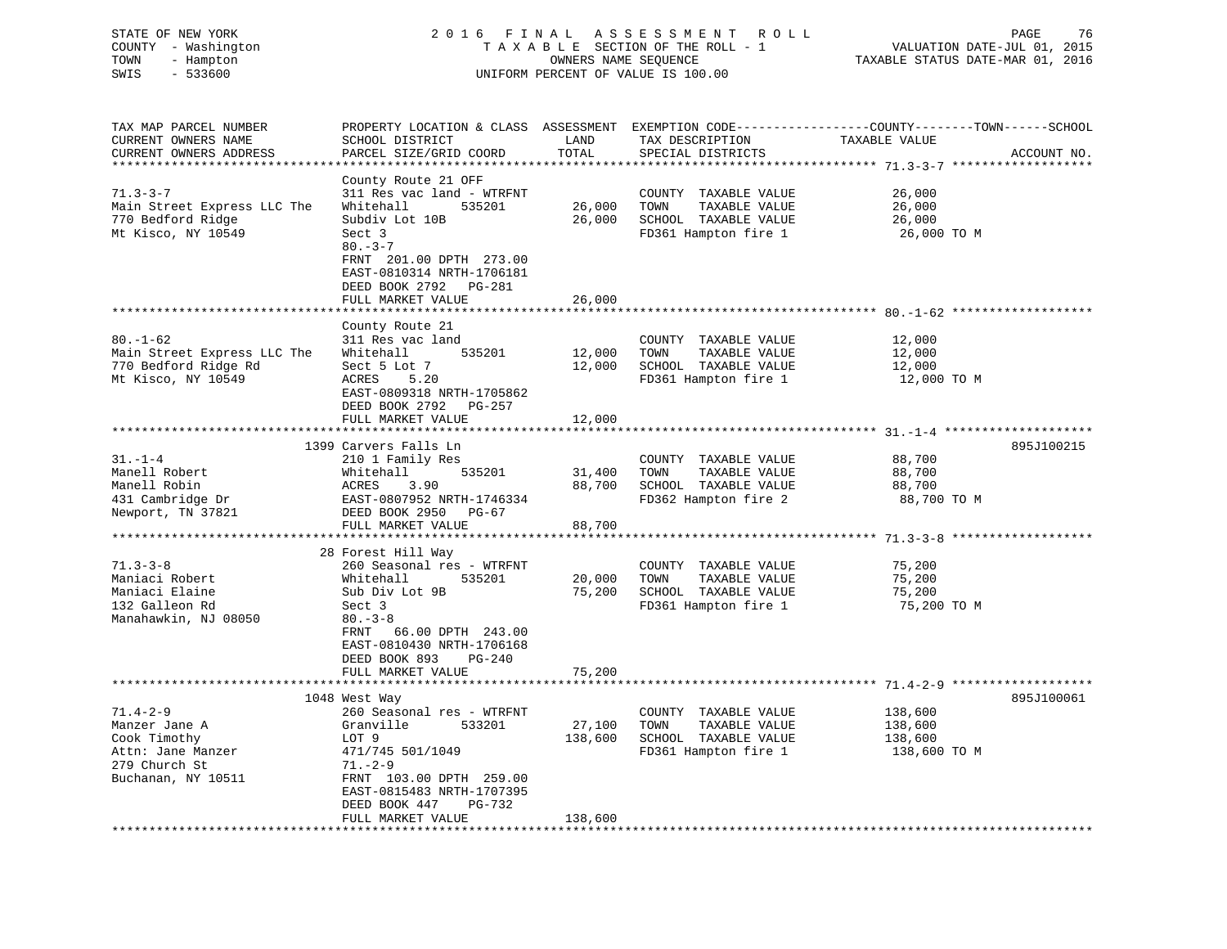| STATE OF NEW YORK   | 2016 FINAL ASSESSMENT ROLL         | -76<br>PAGE                      |
|---------------------|------------------------------------|----------------------------------|
| COUNTY - Washington | TAXABLE SECTION OF THE ROLL - 1    | VALUATION DATE-JUL 01, 2015      |
| TOWN<br>- Hampton   | OWNERS NAME SEOUENCE               | TAXABLE STATUS DATE-MAR 01, 2016 |
| SWIS<br>- 533600    | UNIFORM PERCENT OF VALUE IS 100.00 |                                  |
|                     |                                    |                                  |

| TAX MAP PARCEL NUMBER       | PROPERTY LOCATION & CLASS ASSESSMENT EXEMPTION CODE----------------COUNTY-------TOWN------SCHOOL |         |                       |               |             |
|-----------------------------|--------------------------------------------------------------------------------------------------|---------|-----------------------|---------------|-------------|
| CURRENT OWNERS NAME         | SCHOOL DISTRICT                                                                                  | LAND    | TAX DESCRIPTION       | TAXABLE VALUE |             |
| CURRENT OWNERS ADDRESS      | PARCEL SIZE/GRID COORD                                                                           | TOTAL   | SPECIAL DISTRICTS     |               | ACCOUNT NO. |
| ************************    |                                                                                                  |         |                       |               |             |
|                             | County Route 21 OFF                                                                              |         |                       |               |             |
| $71.3 - 3 - 7$              | 311 Res vac land - WTRFNT                                                                        |         | COUNTY TAXABLE VALUE  | 26,000        |             |
|                             |                                                                                                  |         |                       |               |             |
| Main Street Express LLC The | Whitehall<br>535201                                                                              | 26,000  | TOWN<br>TAXABLE VALUE | 26,000        |             |
| 770 Bedford Ridge           | Subdiv Lot 10B                                                                                   | 26,000  | SCHOOL TAXABLE VALUE  | 26,000        |             |
| Mt Kisco, NY 10549          | Sect 3                                                                                           |         | FD361 Hampton fire 1  | 26,000 TO M   |             |
|                             | $80 - 3 - 7$                                                                                     |         |                       |               |             |
|                             | FRNT 201.00 DPTH 273.00                                                                          |         |                       |               |             |
|                             | EAST-0810314 NRTH-1706181                                                                        |         |                       |               |             |
|                             | DEED BOOK 2792 PG-281                                                                            |         |                       |               |             |
|                             | FULL MARKET VALUE                                                                                | 26,000  |                       |               |             |
|                             |                                                                                                  |         |                       |               |             |
|                             | County Route 21                                                                                  |         |                       |               |             |
| $80. - 1 - 62$              | 311 Res vac land                                                                                 |         | COUNTY TAXABLE VALUE  | 12,000        |             |
| Main Street Express LLC The | 535201<br>Whitehall                                                                              | 12,000  | TOWN<br>TAXABLE VALUE | 12,000        |             |
| 770 Bedford Ridge Rd        | Sect 5 Lot 7                                                                                     | 12,000  | SCHOOL TAXABLE VALUE  | 12,000        |             |
| Mt Kisco, NY 10549          | ACRES<br>5.20                                                                                    |         | FD361 Hampton fire 1  | 12,000 TO M   |             |
|                             | EAST-0809318 NRTH-1705862                                                                        |         |                       |               |             |
|                             | DEED BOOK 2792 PG-257                                                                            |         |                       |               |             |
|                             |                                                                                                  |         |                       |               |             |
|                             | FULL MARKET VALUE                                                                                | 12,000  |                       |               |             |
|                             |                                                                                                  |         |                       |               |             |
|                             | 1399 Carvers Falls Ln                                                                            |         |                       |               | 895J100215  |
| $31. - 1 - 4$               | 210 1 Family Res                                                                                 |         | COUNTY TAXABLE VALUE  | 88,700        |             |
| Manell Robert               | 535201<br>Whitehall                                                                              | 31,400  | TAXABLE VALUE<br>TOWN | 88,700        |             |
| Manell Robin                | ACRES<br>3.90                                                                                    | 88,700  | SCHOOL TAXABLE VALUE  | 88,700        |             |
| 431 Cambridge Dr            | EAST-0807952 NRTH-1746334                                                                        |         | FD362 Hampton fire 2  | 88,700 TO M   |             |
| Newport, TN 37821           | DEED BOOK 2950 PG-67                                                                             |         |                       |               |             |
|                             | FULL MARKET VALUE                                                                                | 88,700  |                       |               |             |
|                             |                                                                                                  |         |                       |               |             |
|                             | 28 Forest Hill Way                                                                               |         |                       |               |             |
| $71.3 - 3 - 8$              | 260 Seasonal res - WTRFNT                                                                        |         | COUNTY TAXABLE VALUE  | 75,200        |             |
| Maniaci Robert              | Whitehall<br>535201                                                                              | 20,000  | TOWN<br>TAXABLE VALUE | 75,200        |             |
| Maniaci Elaine              | Sub Div Lot 9B                                                                                   | 75,200  | SCHOOL TAXABLE VALUE  | 75,200        |             |
| 132 Galleon Rd              | Sect 3                                                                                           |         | FD361 Hampton fire 1  | 75,200 TO M   |             |
| Manahawkin, NJ 08050        | $80 - 3 - 8$                                                                                     |         |                       |               |             |
|                             | FRNT<br>66.00 DPTH 243.00                                                                        |         |                       |               |             |
|                             | EAST-0810430 NRTH-1706168                                                                        |         |                       |               |             |
|                             | DEED BOOK 893<br>PG-240                                                                          |         |                       |               |             |
|                             | FULL MARKET VALUE                                                                                | 75,200  |                       |               |             |
|                             |                                                                                                  |         |                       |               |             |
|                             | 1048 West Way                                                                                    |         |                       |               | 895J100061  |
| $71.4 - 2 - 9$              | 260 Seasonal res - WTRFNT                                                                        |         | COUNTY TAXABLE VALUE  | 138,600       |             |
|                             |                                                                                                  |         |                       |               |             |
| Manzer Jane A               | Granville<br>533201                                                                              | 27,100  | TOWN<br>TAXABLE VALUE | 138,600       |             |
| Cook Timothy                | LOT 9                                                                                            | 138,600 | SCHOOL TAXABLE VALUE  | 138,600       |             |
| Attn: Jane Manzer           | 471/745 501/1049                                                                                 |         | FD361 Hampton fire 1  | 138,600 ТО М  |             |
| 279 Church St               | $71. - 2 - 9$                                                                                    |         |                       |               |             |
| Buchanan, NY 10511          | FRNT 103.00 DPTH 259.00                                                                          |         |                       |               |             |
|                             | EAST-0815483 NRTH-1707395                                                                        |         |                       |               |             |
|                             | DEED BOOK 447<br>PG-732                                                                          |         |                       |               |             |
|                             | FULL MARKET VALUE                                                                                | 138,600 |                       |               |             |
|                             |                                                                                                  |         |                       |               |             |

 $76$ <br>2015<br>2016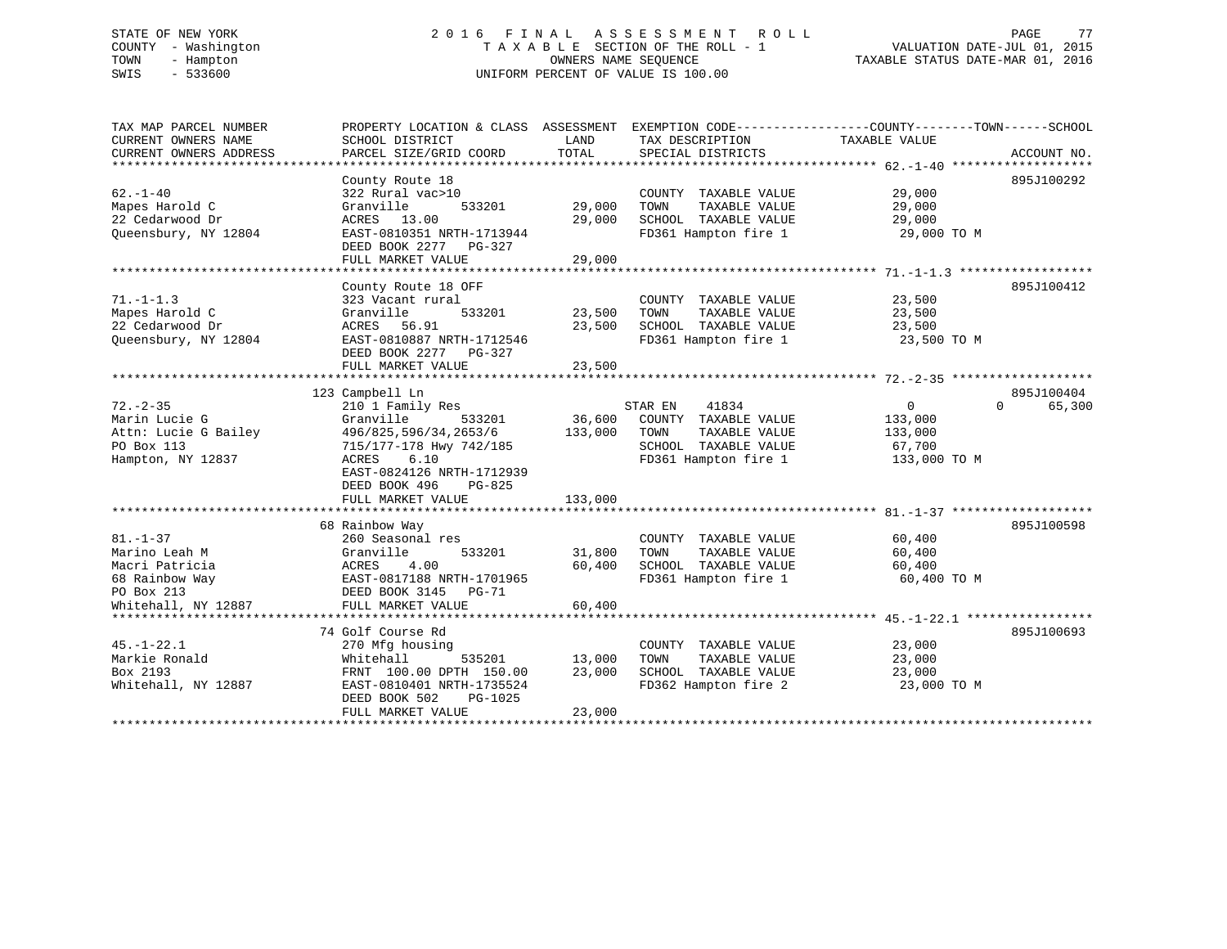# STATE OF NEW YORK 2 0 1 6 F I N A L A S S E S S M E N T R O L L PAGE 77 COUNTY - Washington T A X A B L E SECTION OF THE ROLL - 1 VALUATION DATE-JUL 01, 2015 TOWN - Hampton OWNERS NAME SEQUENCE TAXABLE STATUS DATE-MAR 01, 2016 SWIS - 533600 UNIFORM PERCENT OF VALUE IS 100.00

| TAX MAP PARCEL NUMBER  | PROPERTY LOCATION & CLASS ASSESSMENT |         | EXEMPTION CODE----------------COUNTY-------TOWN------SCHOOL |                |                    |
|------------------------|--------------------------------------|---------|-------------------------------------------------------------|----------------|--------------------|
| CURRENT OWNERS NAME    | SCHOOL DISTRICT                      | LAND    | TAX DESCRIPTION                                             | TAXABLE VALUE  |                    |
| CURRENT OWNERS ADDRESS | PARCEL SIZE/GRID COORD               | TOTAL   | SPECIAL DISTRICTS                                           |                | ACCOUNT NO.        |
|                        |                                      |         |                                                             |                |                    |
| $62. - 1 - 40$         | County Route 18                      |         |                                                             | 29,000         | 895J100292         |
|                        | 322 Rural vac>10                     |         | COUNTY TAXABLE VALUE                                        |                |                    |
| Mapes Harold C         | Granville<br>533201                  | 29,000  | TOWN<br>TAXABLE VALUE                                       | 29,000         |                    |
| 22 Cedarwood Dr        | ACRES 13.00                          | 29,000  | SCHOOL TAXABLE VALUE                                        | 29,000         |                    |
| Queensbury, NY 12804   | EAST-0810351 NRTH-1713944            |         | FD361 Hampton fire 1                                        | 29,000 TO M    |                    |
|                        | DEED BOOK 2277 PG-327                |         |                                                             |                |                    |
|                        | FULL MARKET VALUE                    | 29,000  |                                                             |                |                    |
|                        | County Route 18 OFF                  |         |                                                             |                | 895J100412         |
| $71. - 1 - 1.3$        | 323 Vacant rural                     |         | COUNTY TAXABLE VALUE                                        | 23,500         |                    |
| Mapes Harold C         | Granville<br>533201                  | 23,500  | TOWN<br>TAXABLE VALUE                                       | 23,500         |                    |
| 22 Cedarwood Dr        | 56.91<br>ACRES                       | 23,500  | SCHOOL TAXABLE VALUE                                        | 23,500         |                    |
| Queensbury, NY 12804   | EAST-0810887 NRTH-1712546            |         | FD361 Hampton fire 1                                        |                |                    |
|                        | DEED BOOK 2277                       |         |                                                             | 23,500 TO M    |                    |
|                        | PG-327<br>FULL MARKET VALUE          | 23,500  |                                                             |                |                    |
|                        |                                      |         |                                                             |                |                    |
|                        | 123 Campbell Ln                      |         |                                                             |                | 895J100404         |
| $72. - 2 - 35$         | 210 1 Family Res                     |         | STAR EN<br>41834                                            | $\overline{0}$ | $\Omega$<br>65,300 |
| Marin Lucie G          | Granville<br>533201                  | 36,600  | COUNTY TAXABLE VALUE                                        | 133,000        |                    |
| Attn: Lucie G Bailey   | 496/825, 596/34, 2653/6              | 133,000 | TOWN<br>TAXABLE VALUE                                       | 133,000        |                    |
| PO Box 113             | 715/177-178 Hwy 742/185              |         | SCHOOL TAXABLE VALUE                                        | 67,700         |                    |
| Hampton, NY 12837      | 6.10<br>ACRES                        |         | FD361 Hampton fire 1                                        | 133,000 TO M   |                    |
|                        | EAST-0824126 NRTH-1712939            |         |                                                             |                |                    |
|                        | DEED BOOK 496<br>PG-825              |         |                                                             |                |                    |
|                        | FULL MARKET VALUE                    | 133,000 |                                                             |                |                    |
|                        |                                      |         |                                                             |                |                    |
|                        | 68 Rainbow Way                       |         |                                                             |                | 895J100598         |
| $81. - 1 - 37$         | 260 Seasonal res                     |         | COUNTY TAXABLE VALUE                                        | 60,400         |                    |
| Marino Leah M          | 533201<br>Granville                  | 31,800  | TAXABLE VALUE<br>TOWN                                       | 60,400         |                    |
| Macri Patricia         | ACRES<br>4.00                        | 60,400  | SCHOOL TAXABLE VALUE                                        | 60,400         |                    |
| 68 Rainbow Way         | EAST-0817188 NRTH-1701965            |         | FD361 Hampton fire 1                                        | 60,400 TO M    |                    |
| PO Box 213             | DEED BOOK 3145 PG-71                 |         |                                                             |                |                    |
| Whitehall, NY 12887    | FULL MARKET VALUE                    | 60,400  |                                                             |                |                    |
|                        |                                      |         |                                                             |                |                    |
|                        | 74 Golf Course Rd                    |         |                                                             |                | 895J100693         |
| $45. - 1 - 22.1$       | 270 Mfg housing                      |         | COUNTY TAXABLE VALUE                                        | 23,000         |                    |
| Markie Ronald          | Whitehall<br>535201                  | 13,000  | TOWN<br>TAXABLE VALUE                                       | 23,000         |                    |
| Box 2193               | FRNT 100.00 DPTH 150.00              | 23,000  | SCHOOL TAXABLE VALUE                                        | 23,000         |                    |
| Whitehall, NY 12887    | EAST-0810401 NRTH-1735524            |         | FD362 Hampton fire 2                                        | 23,000 TO M    |                    |
|                        | DEED BOOK 502<br>PG-1025             |         |                                                             |                |                    |
|                        | FULL MARKET VALUE                    | 23,000  |                                                             |                |                    |
|                        |                                      |         |                                                             |                |                    |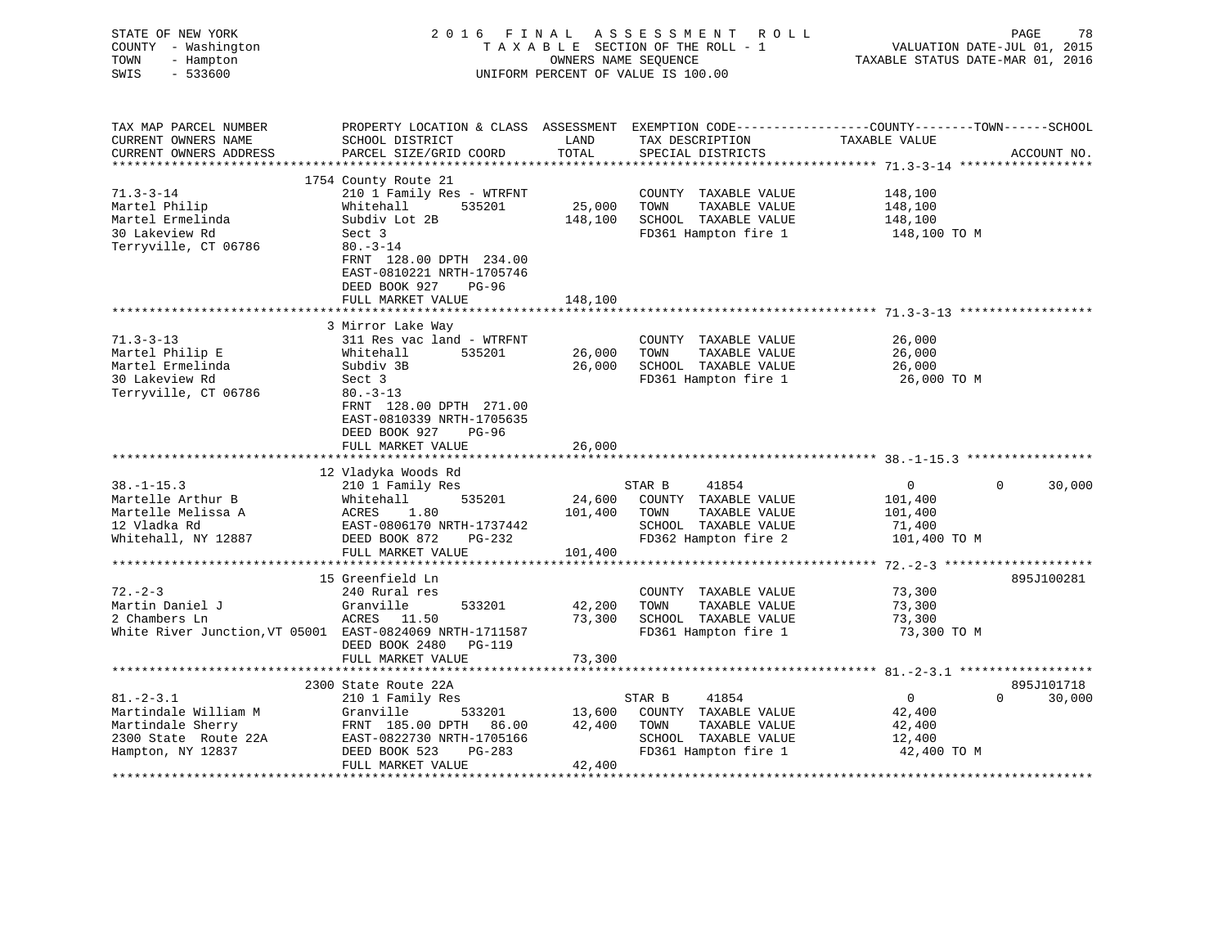| STATE OF NEW YORK<br>COUNTY - Washington<br>- Hampton<br>TOWN<br>SWIS<br>$-533600$ | 2016 FINAL                                                                                                                                    | OWNERS NAME SEQUENCE | ASSESSMENT ROLL<br>TAXABLE SECTION OF THE ROLL - 1<br>UNIFORM PERCENT OF VALUE IS 100.00 | VALUATION DATE-JUL 01, 2015<br>TAXABLE STATUS DATE-MAR 01, 2016 | PAGE<br>78  |
|------------------------------------------------------------------------------------|-----------------------------------------------------------------------------------------------------------------------------------------------|----------------------|------------------------------------------------------------------------------------------|-----------------------------------------------------------------|-------------|
| TAX MAP PARCEL NUMBER<br>CURRENT OWNERS NAME<br>CURRENT OWNERS ADDRESS             | PROPERTY LOCATION & CLASS ASSESSMENT EXEMPTION CODE----------------COUNTY-------TOWN------SCHOOL<br>SCHOOL DISTRICT<br>PARCEL SIZE/GRID COORD | LAND<br>TOTAL        | TAX DESCRIPTION TAXABLE VALUE<br>SPECIAL DISTRICTS                                       |                                                                 | ACCOUNT NO. |
|                                                                                    |                                                                                                                                               |                      |                                                                                          |                                                                 |             |
|                                                                                    | 1754 County Route 21                                                                                                                          |                      |                                                                                          |                                                                 |             |
| $71.3 - 3 - 14$                                                                    | 210 1 Family Res - WTRFNT                                                                                                                     |                      | COUNTY TAXABLE VALUE                                                                     | 148,100                                                         |             |
| Martel Philip                                                                      | Whitehall<br>535201                                                                                                                           | 25,000               | TOWN<br>TAXABLE VALUE                                                                    | 148,100                                                         |             |
| Martel Ermelinda<br>30 Lakeview Rd                                                 | Subdiv Lot 2B<br>Sect 3                                                                                                                       | 148,100              | SCHOOL TAXABLE VALUE<br>FD361 Hampton fire 1                                             | 148,100<br>148,100 TO M                                         |             |
| Terryville, CT 06786                                                               | $80 - 3 - 14$                                                                                                                                 |                      |                                                                                          |                                                                 |             |
|                                                                                    | FRNT 128.00 DPTH 234.00<br>EAST-0810221 NRTH-1705746<br>DEED BOOK 927<br>PG-96                                                                |                      |                                                                                          |                                                                 |             |
|                                                                                    | FULL MARKET VALUE                                                                                                                             | 148,100              |                                                                                          |                                                                 |             |
|                                                                                    |                                                                                                                                               |                      |                                                                                          |                                                                 |             |
| $71.3 - 3 - 13$                                                                    | 3 Mirror Lake Way<br>311 Res vac land - WTRFNT                                                                                                |                      | COUNTY TAXABLE VALUE                                                                     | 26,000                                                          |             |
| Martel Philip E                                                                    | 535201<br>Whitehall                                                                                                                           | 26,000               | TOWN<br>TAXABLE VALUE                                                                    | 26,000                                                          |             |
| Martel Ermelinda                                                                   | Subdiv 3B                                                                                                                                     | 26,000               | SCHOOL TAXABLE VALUE                                                                     | 26,000                                                          |             |
| 30 Lakeview Rd                                                                     | Sect 3                                                                                                                                        |                      | FD361 Hampton fire 1                                                                     | 26,000 TO M                                                     |             |
| Terryville, CT 06786                                                               | $80. -3 - 13$                                                                                                                                 |                      |                                                                                          |                                                                 |             |
|                                                                                    | FRNT 128.00 DPTH 271.00<br>EAST-0810339 NRTH-1705635<br>DEED BOOK 927<br>PG-96<br>FULL MARKET VALUE                                           | 26,000               |                                                                                          |                                                                 |             |
|                                                                                    |                                                                                                                                               |                      |                                                                                          |                                                                 |             |
|                                                                                    | 12 Vladyka Woods Rd                                                                                                                           |                      |                                                                                          |                                                                 |             |
| $38. - 1 - 15.3$                                                                   | 210 1 Family Res                                                                                                                              |                      | STAR B<br>41854                                                                          | $\Omega$<br>$\overline{0}$                                      | 30,000      |
| Martelle Arthur B                                                                  | Whitehall<br>535201<br>ACRES                                                                                                                  | 24,600               | COUNTY TAXABLE VALUE                                                                     | 101,400                                                         |             |
| Martelle Melissa A<br>12 Vladka Rd                                                 | 1.80<br>EAST-0806170 NRTH-1737442                                                                                                             | 101,400              | TOWN<br>TAXABLE VALUE<br>SCHOOL TAXABLE VALUE                                            | 101,400<br>71,400                                               |             |
| Whitehall, NY 12887                                                                | DEED BOOK 872<br>PG-232                                                                                                                       |                      | FD362 Hampton fire 2                                                                     | 101,400 TO M                                                    |             |
|                                                                                    | FULL MARKET VALUE                                                                                                                             | 101,400              |                                                                                          |                                                                 |             |
|                                                                                    |                                                                                                                                               |                      |                                                                                          | ***************** 72. -2-3 *********************                |             |
|                                                                                    | 15 Greenfield Ln                                                                                                                              |                      |                                                                                          |                                                                 | 895J100281  |
| $72. - 2 - 3$                                                                      | 240 Rural res                                                                                                                                 |                      | COUNTY TAXABLE VALUE                                                                     | 73,300                                                          |             |
| Martin Daniel J                                                                    | Granville<br>533201                                                                                                                           | 42,200               | TAXABLE VALUE<br>TOWN                                                                    | 73,300                                                          |             |
| 2 Chambers Ln                                                                      | ACRES 11.50                                                                                                                                   | 73,300               | SCHOOL TAXABLE VALUE                                                                     | 73,300                                                          |             |
| White River Junction, VT 05001 EAST-0824069 NRTH-1711587                           |                                                                                                                                               |                      | FD361 Hampton fire 1                                                                     | 73,300 TO M                                                     |             |
|                                                                                    | DEED BOOK 2480 PG-119                                                                                                                         |                      |                                                                                          |                                                                 |             |
|                                                                                    | FULL MARKET VALUE<br>********************                                                                                                     | 73,300               |                                                                                          |                                                                 |             |
|                                                                                    | 2300 State Route 22A                                                                                                                          |                      |                                                                                          |                                                                 | 895J101718  |
| $81. - 2 - 3.1$                                                                    | 210 1 Family Res                                                                                                                              |                      | STAR B<br>41854                                                                          | $\overline{0}$<br>$\Omega$                                      | 30,000      |
| Martindale William M                                                               | 533201<br>Granville                                                                                                                           | 13,600               | COUNTY TAXABLE VALUE                                                                     | 42,400                                                          |             |
| Martindale Sherry                                                                  | FRNT 185.00 DPTH 86.00                                                                                                                        | 42,400               | TOWN<br>TAXABLE VALUE                                                                    | 42,400                                                          |             |
| 2300 State Route 22A                                                               | EAST-0822730 NRTH-1705166                                                                                                                     |                      | SCHOOL TAXABLE VALUE                                                                     | 12,400                                                          |             |
| Hampton, NY 12837                                                                  | DEED BOOK 523<br>PG-283                                                                                                                       |                      | FD361 Hampton fire 1                                                                     | 42,400 TO M                                                     |             |
|                                                                                    | FULL MARKET VALUE                                                                                                                             | 42,400               |                                                                                          |                                                                 |             |
|                                                                                    |                                                                                                                                               |                      |                                                                                          |                                                                 |             |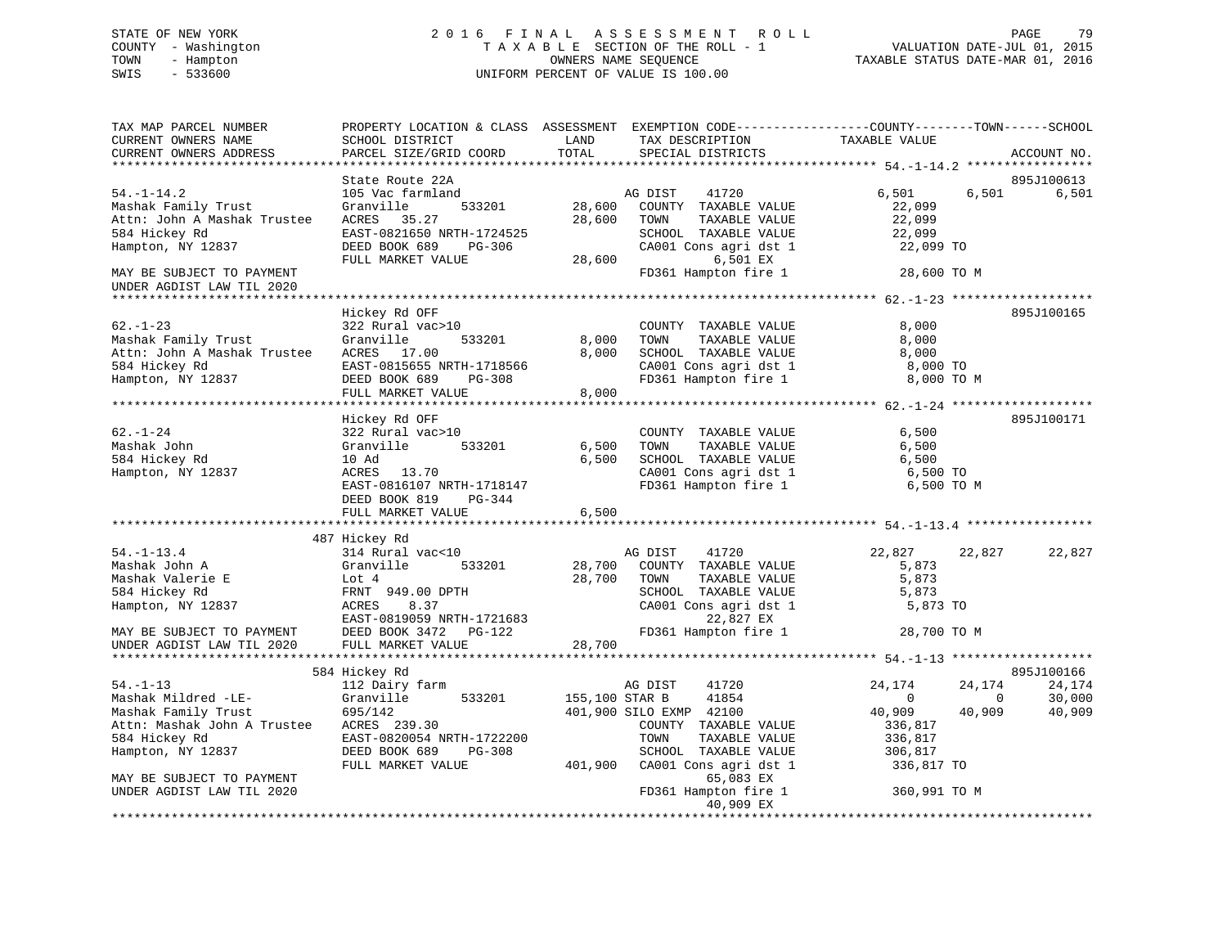# STATE OF NEW YORK 2 0 1 6 F I N A L A S S E S S M E N T R O L L PAGE 79 COUNTY - Washington T A X A B L E SECTION OF THE ROLL - 1 VALUATION DATE-JUL 01, 2015 TOWN - Hampton OWNERS NAME SEQUENCE TAXABLE STATUS DATE-MAR 01, 2016 SWIS - 533600 UNIFORM PERCENT OF VALUE IS 100.00

| TAX MAP PARCEL NUMBER<br>CURRENT OWNERS NAME<br>CURRENT OWNERS ADDRESS                                                                                | PROPERTY LOCATION & CLASS ASSESSMENT EXEMPTION CODE----------------COUNTY-------TOWN------SCHOOL<br>SCHOOL DISTRICT<br>PARCEL SIZE/GRID COORD                                     | LAND<br>TOTAL              | TAX DESCRIPTION<br>SPECIAL DISTRICTS                                                                                                                    | TAXABLE VALUE                                                                                                    | ACCOUNT NO.                |
|-------------------------------------------------------------------------------------------------------------------------------------------------------|-----------------------------------------------------------------------------------------------------------------------------------------------------------------------------------|----------------------------|---------------------------------------------------------------------------------------------------------------------------------------------------------|------------------------------------------------------------------------------------------------------------------|----------------------------|
|                                                                                                                                                       |                                                                                                                                                                                   |                            |                                                                                                                                                         |                                                                                                                  |                            |
| $54. - 1 - 14.2$<br>Mashak Family Trust<br>Attn: John A Mashak Trustee<br>584 Hickey Rd<br>Hampton, NY 12837                                          | State Route 22A<br>105 Vac farmland<br>-<br>533201<br>Granville<br>ACRES 35.27<br>EAST-0821650 NRTH-1724525<br>DEED BOOK 689<br>PG-306<br>FULL MARKET VALUE                       | 28,600<br>28,600<br>28,600 | 41720<br>AG DIST<br>COUNTY TAXABLE VALUE<br>TAXABLE VALUE<br>TOWN<br>SCHOOL TAXABLE VALUE<br>CA001 Cons agri dst 1<br>6,501 EX                          | 6,501<br>6,501<br>22,099<br>22,099<br>22,099<br>22,099 TO                                                        | 895J100613<br>6,501        |
| MAY BE SUBJECT TO PAYMENT<br>UNDER AGDIST LAW TIL 2020                                                                                                |                                                                                                                                                                                   |                            | FD361 Hampton fire 1                                                                                                                                    | 28,600 TO M                                                                                                      |                            |
|                                                                                                                                                       |                                                                                                                                                                                   |                            |                                                                                                                                                         |                                                                                                                  |                            |
| $62. - 1 - 23$<br>Mashak Family Trust<br>Attn: John A Mashak Trustee<br>584 Hickey Rd<br>Hampton, NY 12837                                            | Hickey Rd OFF<br>322 Rural vac>10<br>Granville<br>533201<br>ACRES 17.00<br>EAST-0815655 NRTH-1718566<br>DEED BOOK 689<br>PG-308<br>FULL MARKET VALUE                              | 8,000<br>8,000<br>8,000    | COUNTY TAXABLE VALUE<br>TAXABLE VALUE<br>TOWN<br>SCHOOL TAXABLE VALUE<br>CA001 Cons agri dst 1<br>FD361 Hampton fire 1                                  | 8,000<br>8,000<br>8,000<br>8,000 TO<br>8,000 TO M                                                                | 895J100165                 |
|                                                                                                                                                       | Hickey Rd OFF                                                                                                                                                                     |                            |                                                                                                                                                         |                                                                                                                  | 895J100171                 |
| $62. - 1 - 24$<br>Mashak John<br>584 Hickey Rd<br>Hampton, NY 12837                                                                                   | 322 Rural vac>10<br>533201<br>Granville<br>10 Ad<br>ACRES<br>13.70<br>EAST-0816107 NRTH-1718147<br>DEED BOOK 819<br>PG-344                                                        | 6,500<br>6,500             | COUNTY TAXABLE VALUE<br>TAXABLE VALUE<br>TOWN<br>SCHOOL TAXABLE VALUE<br>CA001 Cons agri dst 1<br>FD361 Hampton fire 1                                  | 6,500<br>6,500<br>6,500<br>6,500 TO<br>6,500 TO M                                                                |                            |
|                                                                                                                                                       | FULL MARKET VALUE                                                                                                                                                                 | 6,500                      |                                                                                                                                                         |                                                                                                                  |                            |
|                                                                                                                                                       |                                                                                                                                                                                   |                            |                                                                                                                                                         |                                                                                                                  |                            |
| $54. - 1 - 13.4$<br>Mashak John A<br>Mashak Valerie E<br>584 Hickey Rd<br>Hampton, NY 12837<br>MAY BE SUBJECT TO PAYMENT<br>UNDER AGDIST LAW TIL 2020 | 487 Hickey Rd<br>314 Rural vac<10<br>533201<br>Granville<br>Lot 4<br>FRNT 949.00 DPTH<br>ACRES<br>8.37<br>EAST-0819059 NRTH-1721683<br>DEED BOOK 3472 PG-122<br>FULL MARKET VALUE | 28,700<br>28,700<br>28,700 | AG DIST<br>41720<br>COUNTY TAXABLE VALUE<br>TAXABLE VALUE<br>TOWN<br>SCHOOL TAXABLE VALUE<br>CA001 Cons agri dst 1<br>22,827 EX<br>FD361 Hampton fire 1 | 22,827<br>22,827<br>5,873<br>5,873<br>5,873<br>5,873 TO<br>28,700 TO M                                           | 22,827                     |
|                                                                                                                                                       | 584 Hickey Rd                                                                                                                                                                     |                            |                                                                                                                                                         |                                                                                                                  | 895J100166                 |
| $54. - 1 - 13$<br>Mashak Mildred -LE-<br>Mashak Family Trust<br>Attn: Mashak John A Trustee<br>584 Hickey Rd<br>Hampton, NY 12837                     | 112 Dairy farm<br>533201<br>Granville<br>695/142<br>ACRES 239.30<br>EAST-0820054 NRTH-1722200<br>DEED BOOK 689<br>PG-308<br>FULL MARKET VALUE                                     | 155,100 STAR B<br>401,900  | 41720<br>AG DIST<br>41854<br>401,900 SILO EXMP 42100<br>COUNTY TAXABLE VALUE<br>TOWN<br>TAXABLE VALUE<br>SCHOOL TAXABLE VALUE<br>CA001 Cons agri dst 1  | 24,174<br>24,174<br>$\circ$<br>$\overline{0}$<br>40,909<br>40,909<br>336,817<br>336,817<br>306,817<br>336,817 TO | 24,174<br>30,000<br>40,909 |
| MAY BE SUBJECT TO PAYMENT<br>UNDER AGDIST LAW TIL 2020                                                                                                |                                                                                                                                                                                   |                            | 65,083 EX<br>FD361 Hampton fire 1<br>40,909 EX                                                                                                          | 360,991 TO M                                                                                                     |                            |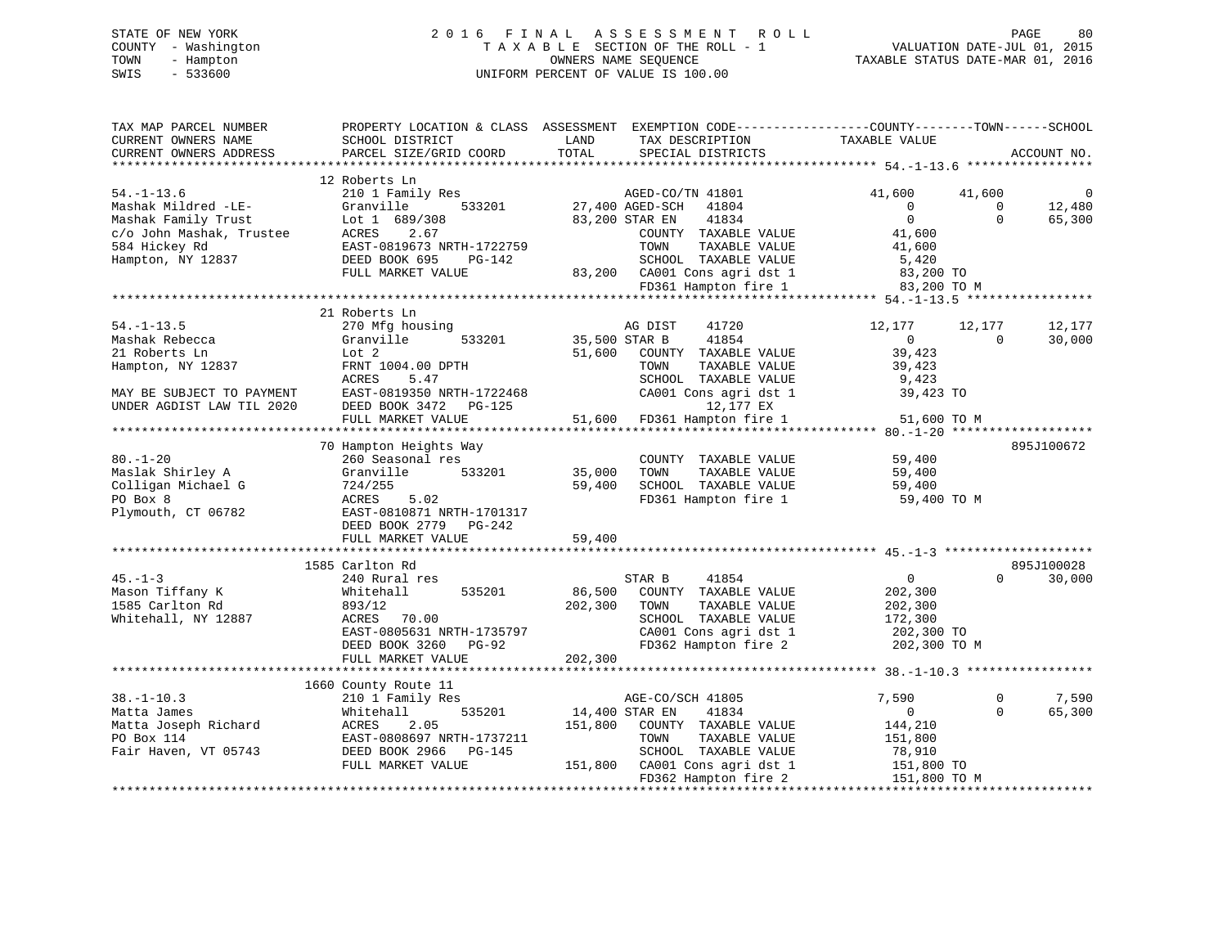# STATE OF NEW YORK 2 0 1 6 F I N A L A S S E S S M E N T R O L L PAGE 80 COUNTY - Washington T A X A B L E SECTION OF THE ROLL - 1 VALUATION DATE-JUL 01, 2015 TOWN - Hampton OWNERS NAME SEQUENCE TAXABLE STATUS DATE-MAR 01, 2016 SWIS - 533600 UNIFORM PERCENT OF VALUE IS 100.00

| TAX MAP PARCEL NUMBER     |                           | PROPERTY LOCATION & CLASS ASSESSMENT EXEMPTION CODE----------------COUNTY-------TOWN------SCHOOL |                                |             |
|---------------------------|---------------------------|--------------------------------------------------------------------------------------------------|--------------------------------|-------------|
| CURRENT OWNERS NAME       | SCHOOL DISTRICT           | LAND<br>TAX DESCRIPTION                                                                          | TAXABLE VALUE                  |             |
| CURRENT OWNERS ADDRESS    | PARCEL SIZE/GRID COORD    | TOTAL<br>SPECIAL DISTRICTS                                                                       |                                | ACCOUNT NO. |
|                           |                           |                                                                                                  |                                |             |
|                           | 12 Roberts Ln             |                                                                                                  |                                |             |
| $54. - 1 - 13.6$          | 210 1 Family Res          | AGED-CO/TN 41801                                                                                 | 41,600<br>41,600               | - 0         |
| Mashak Mildred -LE-       | 533201<br>Granville       | 27,400 AGED-SCH<br>41804                                                                         | $\overline{0}$<br>$\Omega$     | 12,480      |
| Mashak Family Trust       | Lot 1 689/308             | 41834<br>83,200 STAR EN                                                                          | $\Omega$<br>$\Omega$           | 65,300      |
| c/o John Mashak, Trustee  | 2.67<br>ACRES             | COUNTY TAXABLE VALUE                                                                             | 41,600                         |             |
| 584 Hickey Rd             | EAST-0819673 NRTH-1722759 | TOWN<br>TAXABLE VALUE                                                                            | 41,600                         |             |
| Hampton, NY 12837         | DEED BOOK 695<br>PG-142   | SCHOOL TAXABLE VALUE                                                                             | 5,420                          |             |
|                           | FULL MARKET VALUE         | 83,200 CA001 Cons agri dst 1                                                                     | 83,200 TO                      |             |
|                           |                           | FD361 Hampton fire 1                                                                             | 83,200 TO M                    |             |
|                           |                           |                                                                                                  |                                |             |
|                           | 21 Roberts Ln             |                                                                                                  |                                |             |
| $54. - 1 - 13.5$          | 270 Mfg housing           | AG DIST<br>41720                                                                                 | 12,177<br>12,177               | 12,177      |
| Mashak Rebecca            | Granville<br>533201       | 35,500 STAR B<br>41854                                                                           | $\overline{0}$<br>$\mathbf{0}$ | 30,000      |
| 21 Roberts Ln             | Lot 2                     | 51,600<br>COUNTY TAXABLE VALUE                                                                   | 39,423                         |             |
| Hampton, NY 12837         | FRNT 1004.00 DPTH         | TOWN<br>TAXABLE VALUE                                                                            | 39,423                         |             |
|                           | ACRES<br>5.47             | SCHOOL TAXABLE VALUE                                                                             | 9,423                          |             |
| MAY BE SUBJECT TO PAYMENT | EAST-0819350 NRTH-1722468 | CA001 Cons agri dst 1                                                                            | 39,423 TO                      |             |
| UNDER AGDIST LAW TIL 2020 | DEED BOOK 3472 PG-125     | 12,177 EX                                                                                        |                                |             |
|                           | FULL MARKET VALUE         | 51,600<br>FD361 Hampton fire 1                                                                   | 51,600 TO M                    |             |
|                           |                           |                                                                                                  |                                |             |
|                           | 70 Hampton Heights Way    |                                                                                                  |                                | 895J100672  |
| $80. - 1 - 20$            | 260 Seasonal res          | COUNTY TAXABLE VALUE                                                                             | 59,400                         |             |
| Maslak Shirley A          | Granville<br>533201       | 35,000<br>TAXABLE VALUE<br>TOWN                                                                  | 59,400                         |             |
| Colligan Michael G        | 724/255                   | 59,400<br>SCHOOL TAXABLE VALUE                                                                   | 59,400                         |             |
| PO Box 8                  | ACRES<br>5.02             | FD361 Hampton fire 1                                                                             |                                |             |
|                           |                           |                                                                                                  | 59,400 TO M                    |             |
| Plymouth, CT 06782        | EAST-0810871 NRTH-1701317 |                                                                                                  |                                |             |
|                           | DEED BOOK 2779 PG-242     |                                                                                                  |                                |             |
|                           | FULL MARKET VALUE         | 59,400                                                                                           |                                |             |
|                           | 1585 Carlton Rd           |                                                                                                  |                                | 895J100028  |
| $45. - 1 - 3$             |                           | 41854                                                                                            | $\overline{0}$<br>$\Omega$     |             |
|                           | 240 Rural res             | STAR B                                                                                           |                                | 30,000      |
| Mason Tiffany K           | 535201<br>Whitehall       | 86,500<br>COUNTY TAXABLE VALUE                                                                   | 202,300                        |             |
| 1585 Carlton Rd           | 893/12                    | TAXABLE VALUE<br>202,300<br>TOWN                                                                 | 202,300                        |             |
| Whitehall, NY 12887       | ACRES<br>70.00            | SCHOOL TAXABLE VALUE                                                                             | 172,300                        |             |
|                           | EAST-0805631 NRTH-1735797 | CA001 Cons agri dst 1                                                                            | 202,300 TO                     |             |
|                           | DEED BOOK 3260<br>PG-92   | FD362 Hampton fire 2                                                                             | 202,300 TO M                   |             |
|                           | FULL MARKET VALUE         | 202,300                                                                                          |                                |             |
|                           |                           |                                                                                                  |                                |             |
|                           | 1660 County Route 11      |                                                                                                  |                                |             |
| $38. - 1 - 10.3$          | 210 1 Family Res          | AGE-CO/SCH 41805                                                                                 | 7,590<br>$\Omega$              | 7,590       |
| Matta James               | Whitehall<br>535201       | 14,400 STAR EN<br>41834                                                                          | $\overline{0}$<br>$\mathbf 0$  | 65,300      |
| Matta Joseph Richard      | ACRES<br>2.05             | 151,800<br>COUNTY TAXABLE VALUE                                                                  | 144,210                        |             |
| PO Box 114                | EAST-0808697 NRTH-1737211 | TAXABLE VALUE<br>TOWN                                                                            | 151,800                        |             |
| Fair Haven, VT 05743      | DEED BOOK 2966 PG-145     | SCHOOL TAXABLE VALUE                                                                             | 78,910                         |             |
|                           | FULL MARKET VALUE         | 151,800 CA001 Cons agri dst 1                                                                    | 151,800 TO                     |             |
|                           |                           | FD362 Hampton fire 2                                                                             | 151,800 TO M                   |             |
|                           |                           |                                                                                                  |                                |             |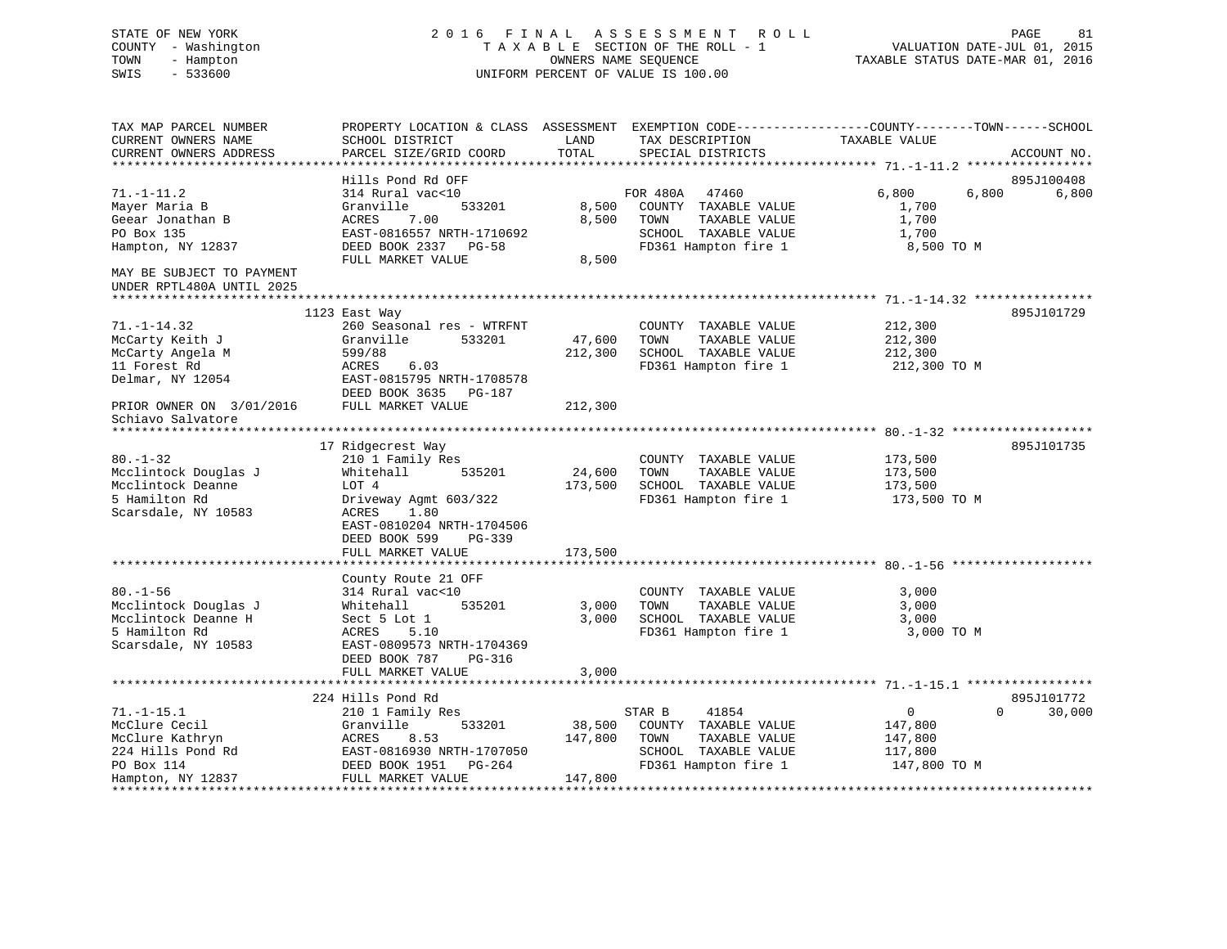# STATE OF NEW YORK 2 0 1 6 F I N A L A S S E S S M E N T R O L L PAGE 81 COUNTY - Washington T A X A B L E SECTION OF THE ROLL - 1 VALUATION DATE-JUL 01, 2015 TOWN - Hampton OWNERS NAME SEQUENCE TAXABLE STATUS DATE-MAR 01, 2016 SWIS - 533600 UNIFORM PERCENT OF VALUE IS 100.00

| TOTAL<br>CURRENT OWNERS ADDRESS<br>PARCEL SIZE/GRID COORD<br>SPECIAL DISTRICTS<br>ACCOUNT NO.<br>********************<br>*********************<br>Hills Pond Rd OFF<br>895J100408<br>6,800<br>6,800<br>$71. - 1 - 11.2$<br>314 Rural vac<10<br>FOR 480A<br>6,800<br>47460<br>8,500<br>1,700<br>Mayer Maria B<br>Granville<br>533201<br>COUNTY TAXABLE VALUE<br>8,500<br>1,700<br>Geear Jonathan B<br>ACRES<br>7.00<br>TOWN<br>TAXABLE VALUE<br>PO Box 135<br>EAST-0816557 NRTH-1710692<br>SCHOOL TAXABLE VALUE<br>1,700<br>Hampton, NY 12837<br>DEED BOOK 2337 PG-58<br>FD361 Hampton fire 1<br>8,500 TO M<br>FULL MARKET VALUE<br>8,500<br>MAY BE SUBJECT TO PAYMENT<br>UNDER RPTL480A UNTIL 2025<br>895J101729<br>1123 East Way<br>$71. - 1 - 14.32$<br>260 Seasonal res - WTRFNT<br>COUNTY TAXABLE VALUE<br>212,300<br>Granville<br>533201<br>47,600<br>TOWN<br>TAXABLE VALUE<br>212,300<br>McCarty Keith J<br>SCHOOL TAXABLE VALUE<br>McCarty Angela M<br>599/88<br>212,300<br>212,300<br>6.03<br>FD361 Hampton fire 1<br>11 Forest Rd<br>ACRES<br>212,300 TO M<br>Delmar, NY 12054<br>EAST-0815795 NRTH-1708578<br>DEED BOOK 3635 PG-187<br>212,300<br>PRIOR OWNER ON 3/01/2016<br>FULL MARKET VALUE<br>Schiavo Salvatore<br>17 Ridgecrest Way<br>895J101735<br>$80. - 1 - 32$<br>210 1 Family Res<br>COUNTY TAXABLE VALUE<br>173,500<br>Mcclintock Douglas J<br>24,600<br>TAXABLE VALUE<br>Whitehall<br>535201<br>TOWN<br>173,500<br>Mcclintock Deanne<br>LOT 4<br>173,500<br>SCHOOL TAXABLE VALUE<br>173,500<br>FD361 Hampton fire 1<br>5 Hamilton Rd<br>Driveway Agmt 603/322<br>173,500 TO M<br>Scarsdale, NY 10583<br>ACRES<br>1.80<br>EAST-0810204 NRTH-1704506<br>DEED BOOK 599<br>PG-339<br>FULL MARKET VALUE<br>173,500<br>***********<br>******************************** 80.-1-56 ******<br>************************<br>County Route 21 OFF<br>$80. - 1 - 56$<br>3,000<br>314 Rural vac<10<br>COUNTY TAXABLE VALUE<br>Mcclintock Douglas J<br>535201<br>3,000<br>TOWN<br>TAXABLE VALUE<br>3,000<br>Whitehall<br>Mcclintock Deanne H<br>3,000<br>Sect 5 Lot 1<br>SCHOOL TAXABLE VALUE<br>3,000<br>5 Hamilton Rd<br>FD361 Hampton fire 1<br>ACRES<br>5.10<br>3,000 TO M<br>Scarsdale, NY 10583<br>EAST-0809573 NRTH-1704369<br>DEED BOOK 787<br>PG-316<br>3,000<br>FULL MARKET VALUE<br>224 Hills Pond Rd<br>895J101772<br>$71. - 1 - 15.1$<br>210 1 Family Res<br>41854<br>$\mathbf{0}$<br>$\Omega$<br>30,000<br>STAR B<br>McClure Cecil<br>Granville<br>533201<br>38,500<br>COUNTY TAXABLE VALUE<br>147,800<br>McClure Kathryn<br>ACRES<br>8.53<br>147,800<br>TOWN<br>TAXABLE VALUE<br>147,800<br>224 Hills Pond Rd<br>EAST-0816930 NRTH-1707050<br>SCHOOL TAXABLE VALUE<br>117,800<br>FD361 Hampton fire 1<br>PO Box 114<br>DEED BOOK 1951<br>PG-264<br>147,800 TO M<br>FULL MARKET VALUE<br>147,800<br>Hampton, NY 12837 | TAX MAP PARCEL NUMBER | PROPERTY LOCATION & CLASS ASSESSMENT EXEMPTION CODE----------------COUNTY-------TOWN------SCHOOL |      |                 |               |  |
|--------------------------------------------------------------------------------------------------------------------------------------------------------------------------------------------------------------------------------------------------------------------------------------------------------------------------------------------------------------------------------------------------------------------------------------------------------------------------------------------------------------------------------------------------------------------------------------------------------------------------------------------------------------------------------------------------------------------------------------------------------------------------------------------------------------------------------------------------------------------------------------------------------------------------------------------------------------------------------------------------------------------------------------------------------------------------------------------------------------------------------------------------------------------------------------------------------------------------------------------------------------------------------------------------------------------------------------------------------------------------------------------------------------------------------------------------------------------------------------------------------------------------------------------------------------------------------------------------------------------------------------------------------------------------------------------------------------------------------------------------------------------------------------------------------------------------------------------------------------------------------------------------------------------------------------------------------------------------------------------------------------------------------------------------------------------------------------------------------------------------------------------------------------------------------------------------------------------------------------------------------------------------------------------------------------------------------------------------------------------------------------------------------------------------------------------------------------------------------------------------------------------------------------------------------------------------------------------------------------------------------------------------------------------------------------------------------------------------------------------------------------------------------------------------------------------------------------------|-----------------------|--------------------------------------------------------------------------------------------------|------|-----------------|---------------|--|
|                                                                                                                                                                                                                                                                                                                                                                                                                                                                                                                                                                                                                                                                                                                                                                                                                                                                                                                                                                                                                                                                                                                                                                                                                                                                                                                                                                                                                                                                                                                                                                                                                                                                                                                                                                                                                                                                                                                                                                                                                                                                                                                                                                                                                                                                                                                                                                                                                                                                                                                                                                                                                                                                                                                                                                                                                                            | CURRENT OWNERS NAME   | SCHOOL DISTRICT                                                                                  | LAND | TAX DESCRIPTION | TAXABLE VALUE |  |
|                                                                                                                                                                                                                                                                                                                                                                                                                                                                                                                                                                                                                                                                                                                                                                                                                                                                                                                                                                                                                                                                                                                                                                                                                                                                                                                                                                                                                                                                                                                                                                                                                                                                                                                                                                                                                                                                                                                                                                                                                                                                                                                                                                                                                                                                                                                                                                                                                                                                                                                                                                                                                                                                                                                                                                                                                                            |                       |                                                                                                  |      |                 |               |  |
|                                                                                                                                                                                                                                                                                                                                                                                                                                                                                                                                                                                                                                                                                                                                                                                                                                                                                                                                                                                                                                                                                                                                                                                                                                                                                                                                                                                                                                                                                                                                                                                                                                                                                                                                                                                                                                                                                                                                                                                                                                                                                                                                                                                                                                                                                                                                                                                                                                                                                                                                                                                                                                                                                                                                                                                                                                            |                       |                                                                                                  |      |                 |               |  |
|                                                                                                                                                                                                                                                                                                                                                                                                                                                                                                                                                                                                                                                                                                                                                                                                                                                                                                                                                                                                                                                                                                                                                                                                                                                                                                                                                                                                                                                                                                                                                                                                                                                                                                                                                                                                                                                                                                                                                                                                                                                                                                                                                                                                                                                                                                                                                                                                                                                                                                                                                                                                                                                                                                                                                                                                                                            |                       |                                                                                                  |      |                 |               |  |
|                                                                                                                                                                                                                                                                                                                                                                                                                                                                                                                                                                                                                                                                                                                                                                                                                                                                                                                                                                                                                                                                                                                                                                                                                                                                                                                                                                                                                                                                                                                                                                                                                                                                                                                                                                                                                                                                                                                                                                                                                                                                                                                                                                                                                                                                                                                                                                                                                                                                                                                                                                                                                                                                                                                                                                                                                                            |                       |                                                                                                  |      |                 |               |  |
|                                                                                                                                                                                                                                                                                                                                                                                                                                                                                                                                                                                                                                                                                                                                                                                                                                                                                                                                                                                                                                                                                                                                                                                                                                                                                                                                                                                                                                                                                                                                                                                                                                                                                                                                                                                                                                                                                                                                                                                                                                                                                                                                                                                                                                                                                                                                                                                                                                                                                                                                                                                                                                                                                                                                                                                                                                            |                       |                                                                                                  |      |                 |               |  |
|                                                                                                                                                                                                                                                                                                                                                                                                                                                                                                                                                                                                                                                                                                                                                                                                                                                                                                                                                                                                                                                                                                                                                                                                                                                                                                                                                                                                                                                                                                                                                                                                                                                                                                                                                                                                                                                                                                                                                                                                                                                                                                                                                                                                                                                                                                                                                                                                                                                                                                                                                                                                                                                                                                                                                                                                                                            |                       |                                                                                                  |      |                 |               |  |
|                                                                                                                                                                                                                                                                                                                                                                                                                                                                                                                                                                                                                                                                                                                                                                                                                                                                                                                                                                                                                                                                                                                                                                                                                                                                                                                                                                                                                                                                                                                                                                                                                                                                                                                                                                                                                                                                                                                                                                                                                                                                                                                                                                                                                                                                                                                                                                                                                                                                                                                                                                                                                                                                                                                                                                                                                                            |                       |                                                                                                  |      |                 |               |  |
|                                                                                                                                                                                                                                                                                                                                                                                                                                                                                                                                                                                                                                                                                                                                                                                                                                                                                                                                                                                                                                                                                                                                                                                                                                                                                                                                                                                                                                                                                                                                                                                                                                                                                                                                                                                                                                                                                                                                                                                                                                                                                                                                                                                                                                                                                                                                                                                                                                                                                                                                                                                                                                                                                                                                                                                                                                            |                       |                                                                                                  |      |                 |               |  |
|                                                                                                                                                                                                                                                                                                                                                                                                                                                                                                                                                                                                                                                                                                                                                                                                                                                                                                                                                                                                                                                                                                                                                                                                                                                                                                                                                                                                                                                                                                                                                                                                                                                                                                                                                                                                                                                                                                                                                                                                                                                                                                                                                                                                                                                                                                                                                                                                                                                                                                                                                                                                                                                                                                                                                                                                                                            |                       |                                                                                                  |      |                 |               |  |
|                                                                                                                                                                                                                                                                                                                                                                                                                                                                                                                                                                                                                                                                                                                                                                                                                                                                                                                                                                                                                                                                                                                                                                                                                                                                                                                                                                                                                                                                                                                                                                                                                                                                                                                                                                                                                                                                                                                                                                                                                                                                                                                                                                                                                                                                                                                                                                                                                                                                                                                                                                                                                                                                                                                                                                                                                                            |                       |                                                                                                  |      |                 |               |  |
|                                                                                                                                                                                                                                                                                                                                                                                                                                                                                                                                                                                                                                                                                                                                                                                                                                                                                                                                                                                                                                                                                                                                                                                                                                                                                                                                                                                                                                                                                                                                                                                                                                                                                                                                                                                                                                                                                                                                                                                                                                                                                                                                                                                                                                                                                                                                                                                                                                                                                                                                                                                                                                                                                                                                                                                                                                            |                       |                                                                                                  |      |                 |               |  |
|                                                                                                                                                                                                                                                                                                                                                                                                                                                                                                                                                                                                                                                                                                                                                                                                                                                                                                                                                                                                                                                                                                                                                                                                                                                                                                                                                                                                                                                                                                                                                                                                                                                                                                                                                                                                                                                                                                                                                                                                                                                                                                                                                                                                                                                                                                                                                                                                                                                                                                                                                                                                                                                                                                                                                                                                                                            |                       |                                                                                                  |      |                 |               |  |
|                                                                                                                                                                                                                                                                                                                                                                                                                                                                                                                                                                                                                                                                                                                                                                                                                                                                                                                                                                                                                                                                                                                                                                                                                                                                                                                                                                                                                                                                                                                                                                                                                                                                                                                                                                                                                                                                                                                                                                                                                                                                                                                                                                                                                                                                                                                                                                                                                                                                                                                                                                                                                                                                                                                                                                                                                                            |                       |                                                                                                  |      |                 |               |  |
|                                                                                                                                                                                                                                                                                                                                                                                                                                                                                                                                                                                                                                                                                                                                                                                                                                                                                                                                                                                                                                                                                                                                                                                                                                                                                                                                                                                                                                                                                                                                                                                                                                                                                                                                                                                                                                                                                                                                                                                                                                                                                                                                                                                                                                                                                                                                                                                                                                                                                                                                                                                                                                                                                                                                                                                                                                            |                       |                                                                                                  |      |                 |               |  |
|                                                                                                                                                                                                                                                                                                                                                                                                                                                                                                                                                                                                                                                                                                                                                                                                                                                                                                                                                                                                                                                                                                                                                                                                                                                                                                                                                                                                                                                                                                                                                                                                                                                                                                                                                                                                                                                                                                                                                                                                                                                                                                                                                                                                                                                                                                                                                                                                                                                                                                                                                                                                                                                                                                                                                                                                                                            |                       |                                                                                                  |      |                 |               |  |
|                                                                                                                                                                                                                                                                                                                                                                                                                                                                                                                                                                                                                                                                                                                                                                                                                                                                                                                                                                                                                                                                                                                                                                                                                                                                                                                                                                                                                                                                                                                                                                                                                                                                                                                                                                                                                                                                                                                                                                                                                                                                                                                                                                                                                                                                                                                                                                                                                                                                                                                                                                                                                                                                                                                                                                                                                                            |                       |                                                                                                  |      |                 |               |  |
|                                                                                                                                                                                                                                                                                                                                                                                                                                                                                                                                                                                                                                                                                                                                                                                                                                                                                                                                                                                                                                                                                                                                                                                                                                                                                                                                                                                                                                                                                                                                                                                                                                                                                                                                                                                                                                                                                                                                                                                                                                                                                                                                                                                                                                                                                                                                                                                                                                                                                                                                                                                                                                                                                                                                                                                                                                            |                       |                                                                                                  |      |                 |               |  |
|                                                                                                                                                                                                                                                                                                                                                                                                                                                                                                                                                                                                                                                                                                                                                                                                                                                                                                                                                                                                                                                                                                                                                                                                                                                                                                                                                                                                                                                                                                                                                                                                                                                                                                                                                                                                                                                                                                                                                                                                                                                                                                                                                                                                                                                                                                                                                                                                                                                                                                                                                                                                                                                                                                                                                                                                                                            |                       |                                                                                                  |      |                 |               |  |
|                                                                                                                                                                                                                                                                                                                                                                                                                                                                                                                                                                                                                                                                                                                                                                                                                                                                                                                                                                                                                                                                                                                                                                                                                                                                                                                                                                                                                                                                                                                                                                                                                                                                                                                                                                                                                                                                                                                                                                                                                                                                                                                                                                                                                                                                                                                                                                                                                                                                                                                                                                                                                                                                                                                                                                                                                                            |                       |                                                                                                  |      |                 |               |  |
|                                                                                                                                                                                                                                                                                                                                                                                                                                                                                                                                                                                                                                                                                                                                                                                                                                                                                                                                                                                                                                                                                                                                                                                                                                                                                                                                                                                                                                                                                                                                                                                                                                                                                                                                                                                                                                                                                                                                                                                                                                                                                                                                                                                                                                                                                                                                                                                                                                                                                                                                                                                                                                                                                                                                                                                                                                            |                       |                                                                                                  |      |                 |               |  |
|                                                                                                                                                                                                                                                                                                                                                                                                                                                                                                                                                                                                                                                                                                                                                                                                                                                                                                                                                                                                                                                                                                                                                                                                                                                                                                                                                                                                                                                                                                                                                                                                                                                                                                                                                                                                                                                                                                                                                                                                                                                                                                                                                                                                                                                                                                                                                                                                                                                                                                                                                                                                                                                                                                                                                                                                                                            |                       |                                                                                                  |      |                 |               |  |
|                                                                                                                                                                                                                                                                                                                                                                                                                                                                                                                                                                                                                                                                                                                                                                                                                                                                                                                                                                                                                                                                                                                                                                                                                                                                                                                                                                                                                                                                                                                                                                                                                                                                                                                                                                                                                                                                                                                                                                                                                                                                                                                                                                                                                                                                                                                                                                                                                                                                                                                                                                                                                                                                                                                                                                                                                                            |                       |                                                                                                  |      |                 |               |  |
|                                                                                                                                                                                                                                                                                                                                                                                                                                                                                                                                                                                                                                                                                                                                                                                                                                                                                                                                                                                                                                                                                                                                                                                                                                                                                                                                                                                                                                                                                                                                                                                                                                                                                                                                                                                                                                                                                                                                                                                                                                                                                                                                                                                                                                                                                                                                                                                                                                                                                                                                                                                                                                                                                                                                                                                                                                            |                       |                                                                                                  |      |                 |               |  |
|                                                                                                                                                                                                                                                                                                                                                                                                                                                                                                                                                                                                                                                                                                                                                                                                                                                                                                                                                                                                                                                                                                                                                                                                                                                                                                                                                                                                                                                                                                                                                                                                                                                                                                                                                                                                                                                                                                                                                                                                                                                                                                                                                                                                                                                                                                                                                                                                                                                                                                                                                                                                                                                                                                                                                                                                                                            |                       |                                                                                                  |      |                 |               |  |
|                                                                                                                                                                                                                                                                                                                                                                                                                                                                                                                                                                                                                                                                                                                                                                                                                                                                                                                                                                                                                                                                                                                                                                                                                                                                                                                                                                                                                                                                                                                                                                                                                                                                                                                                                                                                                                                                                                                                                                                                                                                                                                                                                                                                                                                                                                                                                                                                                                                                                                                                                                                                                                                                                                                                                                                                                                            |                       |                                                                                                  |      |                 |               |  |
|                                                                                                                                                                                                                                                                                                                                                                                                                                                                                                                                                                                                                                                                                                                                                                                                                                                                                                                                                                                                                                                                                                                                                                                                                                                                                                                                                                                                                                                                                                                                                                                                                                                                                                                                                                                                                                                                                                                                                                                                                                                                                                                                                                                                                                                                                                                                                                                                                                                                                                                                                                                                                                                                                                                                                                                                                                            |                       |                                                                                                  |      |                 |               |  |
|                                                                                                                                                                                                                                                                                                                                                                                                                                                                                                                                                                                                                                                                                                                                                                                                                                                                                                                                                                                                                                                                                                                                                                                                                                                                                                                                                                                                                                                                                                                                                                                                                                                                                                                                                                                                                                                                                                                                                                                                                                                                                                                                                                                                                                                                                                                                                                                                                                                                                                                                                                                                                                                                                                                                                                                                                                            |                       |                                                                                                  |      |                 |               |  |
|                                                                                                                                                                                                                                                                                                                                                                                                                                                                                                                                                                                                                                                                                                                                                                                                                                                                                                                                                                                                                                                                                                                                                                                                                                                                                                                                                                                                                                                                                                                                                                                                                                                                                                                                                                                                                                                                                                                                                                                                                                                                                                                                                                                                                                                                                                                                                                                                                                                                                                                                                                                                                                                                                                                                                                                                                                            |                       |                                                                                                  |      |                 |               |  |
|                                                                                                                                                                                                                                                                                                                                                                                                                                                                                                                                                                                                                                                                                                                                                                                                                                                                                                                                                                                                                                                                                                                                                                                                                                                                                                                                                                                                                                                                                                                                                                                                                                                                                                                                                                                                                                                                                                                                                                                                                                                                                                                                                                                                                                                                                                                                                                                                                                                                                                                                                                                                                                                                                                                                                                                                                                            |                       |                                                                                                  |      |                 |               |  |
|                                                                                                                                                                                                                                                                                                                                                                                                                                                                                                                                                                                                                                                                                                                                                                                                                                                                                                                                                                                                                                                                                                                                                                                                                                                                                                                                                                                                                                                                                                                                                                                                                                                                                                                                                                                                                                                                                                                                                                                                                                                                                                                                                                                                                                                                                                                                                                                                                                                                                                                                                                                                                                                                                                                                                                                                                                            |                       |                                                                                                  |      |                 |               |  |
|                                                                                                                                                                                                                                                                                                                                                                                                                                                                                                                                                                                                                                                                                                                                                                                                                                                                                                                                                                                                                                                                                                                                                                                                                                                                                                                                                                                                                                                                                                                                                                                                                                                                                                                                                                                                                                                                                                                                                                                                                                                                                                                                                                                                                                                                                                                                                                                                                                                                                                                                                                                                                                                                                                                                                                                                                                            |                       |                                                                                                  |      |                 |               |  |
|                                                                                                                                                                                                                                                                                                                                                                                                                                                                                                                                                                                                                                                                                                                                                                                                                                                                                                                                                                                                                                                                                                                                                                                                                                                                                                                                                                                                                                                                                                                                                                                                                                                                                                                                                                                                                                                                                                                                                                                                                                                                                                                                                                                                                                                                                                                                                                                                                                                                                                                                                                                                                                                                                                                                                                                                                                            |                       |                                                                                                  |      |                 |               |  |
|                                                                                                                                                                                                                                                                                                                                                                                                                                                                                                                                                                                                                                                                                                                                                                                                                                                                                                                                                                                                                                                                                                                                                                                                                                                                                                                                                                                                                                                                                                                                                                                                                                                                                                                                                                                                                                                                                                                                                                                                                                                                                                                                                                                                                                                                                                                                                                                                                                                                                                                                                                                                                                                                                                                                                                                                                                            |                       |                                                                                                  |      |                 |               |  |
|                                                                                                                                                                                                                                                                                                                                                                                                                                                                                                                                                                                                                                                                                                                                                                                                                                                                                                                                                                                                                                                                                                                                                                                                                                                                                                                                                                                                                                                                                                                                                                                                                                                                                                                                                                                                                                                                                                                                                                                                                                                                                                                                                                                                                                                                                                                                                                                                                                                                                                                                                                                                                                                                                                                                                                                                                                            |                       |                                                                                                  |      |                 |               |  |
|                                                                                                                                                                                                                                                                                                                                                                                                                                                                                                                                                                                                                                                                                                                                                                                                                                                                                                                                                                                                                                                                                                                                                                                                                                                                                                                                                                                                                                                                                                                                                                                                                                                                                                                                                                                                                                                                                                                                                                                                                                                                                                                                                                                                                                                                                                                                                                                                                                                                                                                                                                                                                                                                                                                                                                                                                                            |                       |                                                                                                  |      |                 |               |  |
|                                                                                                                                                                                                                                                                                                                                                                                                                                                                                                                                                                                                                                                                                                                                                                                                                                                                                                                                                                                                                                                                                                                                                                                                                                                                                                                                                                                                                                                                                                                                                                                                                                                                                                                                                                                                                                                                                                                                                                                                                                                                                                                                                                                                                                                                                                                                                                                                                                                                                                                                                                                                                                                                                                                                                                                                                                            |                       |                                                                                                  |      |                 |               |  |
|                                                                                                                                                                                                                                                                                                                                                                                                                                                                                                                                                                                                                                                                                                                                                                                                                                                                                                                                                                                                                                                                                                                                                                                                                                                                                                                                                                                                                                                                                                                                                                                                                                                                                                                                                                                                                                                                                                                                                                                                                                                                                                                                                                                                                                                                                                                                                                                                                                                                                                                                                                                                                                                                                                                                                                                                                                            |                       |                                                                                                  |      |                 |               |  |
|                                                                                                                                                                                                                                                                                                                                                                                                                                                                                                                                                                                                                                                                                                                                                                                                                                                                                                                                                                                                                                                                                                                                                                                                                                                                                                                                                                                                                                                                                                                                                                                                                                                                                                                                                                                                                                                                                                                                                                                                                                                                                                                                                                                                                                                                                                                                                                                                                                                                                                                                                                                                                                                                                                                                                                                                                                            |                       |                                                                                                  |      |                 |               |  |
|                                                                                                                                                                                                                                                                                                                                                                                                                                                                                                                                                                                                                                                                                                                                                                                                                                                                                                                                                                                                                                                                                                                                                                                                                                                                                                                                                                                                                                                                                                                                                                                                                                                                                                                                                                                                                                                                                                                                                                                                                                                                                                                                                                                                                                                                                                                                                                                                                                                                                                                                                                                                                                                                                                                                                                                                                                            |                       |                                                                                                  |      |                 |               |  |
|                                                                                                                                                                                                                                                                                                                                                                                                                                                                                                                                                                                                                                                                                                                                                                                                                                                                                                                                                                                                                                                                                                                                                                                                                                                                                                                                                                                                                                                                                                                                                                                                                                                                                                                                                                                                                                                                                                                                                                                                                                                                                                                                                                                                                                                                                                                                                                                                                                                                                                                                                                                                                                                                                                                                                                                                                                            |                       |                                                                                                  |      |                 |               |  |
|                                                                                                                                                                                                                                                                                                                                                                                                                                                                                                                                                                                                                                                                                                                                                                                                                                                                                                                                                                                                                                                                                                                                                                                                                                                                                                                                                                                                                                                                                                                                                                                                                                                                                                                                                                                                                                                                                                                                                                                                                                                                                                                                                                                                                                                                                                                                                                                                                                                                                                                                                                                                                                                                                                                                                                                                                                            |                       |                                                                                                  |      |                 |               |  |
|                                                                                                                                                                                                                                                                                                                                                                                                                                                                                                                                                                                                                                                                                                                                                                                                                                                                                                                                                                                                                                                                                                                                                                                                                                                                                                                                                                                                                                                                                                                                                                                                                                                                                                                                                                                                                                                                                                                                                                                                                                                                                                                                                                                                                                                                                                                                                                                                                                                                                                                                                                                                                                                                                                                                                                                                                                            |                       |                                                                                                  |      |                 |               |  |
|                                                                                                                                                                                                                                                                                                                                                                                                                                                                                                                                                                                                                                                                                                                                                                                                                                                                                                                                                                                                                                                                                                                                                                                                                                                                                                                                                                                                                                                                                                                                                                                                                                                                                                                                                                                                                                                                                                                                                                                                                                                                                                                                                                                                                                                                                                                                                                                                                                                                                                                                                                                                                                                                                                                                                                                                                                            |                       |                                                                                                  |      |                 |               |  |
|                                                                                                                                                                                                                                                                                                                                                                                                                                                                                                                                                                                                                                                                                                                                                                                                                                                                                                                                                                                                                                                                                                                                                                                                                                                                                                                                                                                                                                                                                                                                                                                                                                                                                                                                                                                                                                                                                                                                                                                                                                                                                                                                                                                                                                                                                                                                                                                                                                                                                                                                                                                                                                                                                                                                                                                                                                            |                       |                                                                                                  |      |                 |               |  |
|                                                                                                                                                                                                                                                                                                                                                                                                                                                                                                                                                                                                                                                                                                                                                                                                                                                                                                                                                                                                                                                                                                                                                                                                                                                                                                                                                                                                                                                                                                                                                                                                                                                                                                                                                                                                                                                                                                                                                                                                                                                                                                                                                                                                                                                                                                                                                                                                                                                                                                                                                                                                                                                                                                                                                                                                                                            |                       |                                                                                                  |      |                 |               |  |
|                                                                                                                                                                                                                                                                                                                                                                                                                                                                                                                                                                                                                                                                                                                                                                                                                                                                                                                                                                                                                                                                                                                                                                                                                                                                                                                                                                                                                                                                                                                                                                                                                                                                                                                                                                                                                                                                                                                                                                                                                                                                                                                                                                                                                                                                                                                                                                                                                                                                                                                                                                                                                                                                                                                                                                                                                                            |                       |                                                                                                  |      |                 |               |  |
|                                                                                                                                                                                                                                                                                                                                                                                                                                                                                                                                                                                                                                                                                                                                                                                                                                                                                                                                                                                                                                                                                                                                                                                                                                                                                                                                                                                                                                                                                                                                                                                                                                                                                                                                                                                                                                                                                                                                                                                                                                                                                                                                                                                                                                                                                                                                                                                                                                                                                                                                                                                                                                                                                                                                                                                                                                            |                       |                                                                                                  |      |                 |               |  |
|                                                                                                                                                                                                                                                                                                                                                                                                                                                                                                                                                                                                                                                                                                                                                                                                                                                                                                                                                                                                                                                                                                                                                                                                                                                                                                                                                                                                                                                                                                                                                                                                                                                                                                                                                                                                                                                                                                                                                                                                                                                                                                                                                                                                                                                                                                                                                                                                                                                                                                                                                                                                                                                                                                                                                                                                                                            |                       |                                                                                                  |      |                 |               |  |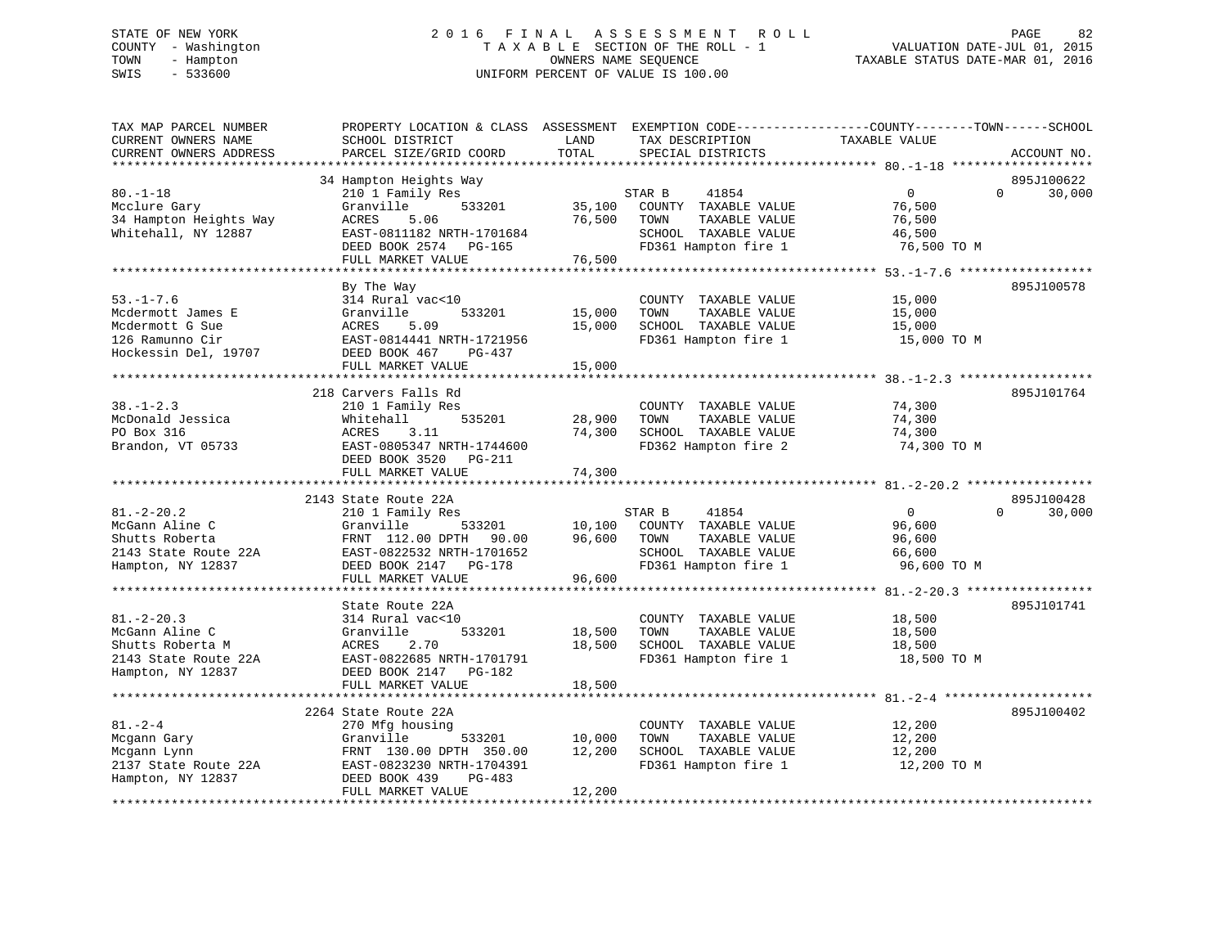# STATE OF NEW YORK 2 0 1 6 F I N A L A S S E S S M E N T R O L L PAGE 82 COUNTY - Washington T A X A B L E SECTION OF THE ROLL - 1 VALUATION DATE-JUL 01, 2015 TOWN - Hampton OWNERS NAME SEQUENCE TAXABLE STATUS DATE-MAR 01, 2016 SWIS - 533600 UNIFORM PERCENT OF VALUE IS 100.00

| TAX MAP PARCEL NUMBER<br>CURRENT OWNERS NAME<br>CURRENT OWNERS ADDRESS                              | PROPERTY LOCATION & CLASS ASSESSMENT EXEMPTION CODE---------------COUNTY-------TOWN------SCHOOL<br>SCHOOL DISTRICT<br>PARCEL SIZE/GRID COORD                               | LAND<br>TOTAL              | TAX DESCRIPTION<br>SPECIAL DISTRICTS                                                                             | TAXABLE VALUE                                            | ACCOUNT NO.                      |
|-----------------------------------------------------------------------------------------------------|----------------------------------------------------------------------------------------------------------------------------------------------------------------------------|----------------------------|------------------------------------------------------------------------------------------------------------------|----------------------------------------------------------|----------------------------------|
|                                                                                                     |                                                                                                                                                                            |                            |                                                                                                                  |                                                          |                                  |
| $80. - 1 - 18$<br>Mcclure Gary<br>34 Hampton Heights Way<br>Whitehall, NY 12887                     | 34 Hampton Heights Way<br>210 1 Family Res<br>Granville<br>533201<br>ACRES<br>5.06<br>EAST-0811182 NRTH-1701684<br>DEED BOOK 2574<br>PG-165<br>FULL MARKET VALUE           | 35,100<br>76,500<br>76,500 | STAR B<br>41854<br>COUNTY TAXABLE VALUE<br>TOWN<br>TAXABLE VALUE<br>SCHOOL TAXABLE VALUE<br>FD361 Hampton fire 1 | $\mathbf 0$<br>76,500<br>76,500<br>46,500<br>76,500 TO M | 895J100622<br>$\Omega$<br>30,000 |
|                                                                                                     |                                                                                                                                                                            |                            |                                                                                                                  |                                                          |                                  |
| $53. - 1 - 7.6$<br>Mcdermott James E<br>Mcdermott G Sue<br>126 Ramunno Cir<br>Hockessin Del, 19707  | By The Way<br>314 Rural vac<10<br>Granville<br>533201<br>5.09<br>ACRES<br>EAST-0814441 NRTH-1721956<br>DEED BOOK 467<br>$PG-437$                                           | 15,000<br>15,000           | COUNTY TAXABLE VALUE<br>TAXABLE VALUE<br>TOWN<br>SCHOOL TAXABLE VALUE<br>FD361 Hampton fire 1                    | 15,000<br>15,000<br>15,000<br>15,000 TO M                | 895J100578                       |
|                                                                                                     | FULL MARKET VALUE                                                                                                                                                          | 15,000                     |                                                                                                                  |                                                          |                                  |
| $38. - 1 - 2.3$<br>McDonald Jessica                                                                 | 218 Carvers Falls Rd<br>210 1 Family Res<br>535201                                                                                                                         |                            | COUNTY TAXABLE VALUE<br>TOWN                                                                                     | 74,300                                                   | 895J101764                       |
| PO Box 316<br>Brandon, VT 05733                                                                     | Whitehall<br>ACRES<br>3.11<br>EAST-0805347 NRTH-1744600<br>DEED BOOK 3520<br>PG-211                                                                                        | 28,900<br>74,300           | TAXABLE VALUE<br>SCHOOL TAXABLE VALUE<br>FD362 Hampton fire 2                                                    | 74,300<br>74,300<br>74,300 TO M                          |                                  |
|                                                                                                     | FULL MARKET VALUE                                                                                                                                                          | 74,300                     |                                                                                                                  |                                                          |                                  |
|                                                                                                     |                                                                                                                                                                            |                            |                                                                                                                  |                                                          |                                  |
| $81. - 2 - 20.2$<br>McGann Aline C<br>Shutts Roberta<br>2143 State Route 22A<br>Hampton, NY 12837   | 2143 State Route 22A<br>210 1 Family Res<br>Granville<br>533201<br>FRNT 112.00 DPTH<br>90.00<br>EAST-0822532 NRTH-1701652<br>DEED BOOK 2147<br>PG-178<br>FULL MARKET VALUE | 10,100<br>96,600<br>96,600 | STAR B<br>41854<br>COUNTY TAXABLE VALUE<br>TOWN<br>TAXABLE VALUE<br>SCHOOL TAXABLE VALUE<br>FD361 Hampton fire 1 | $\Omega$<br>96,600<br>96,600<br>66,600<br>96,600 TO M    | 895J100428<br>$\Omega$<br>30,000 |
|                                                                                                     | *****************************                                                                                                                                              |                            |                                                                                                                  |                                                          |                                  |
| $81. - 2 - 20.3$<br>McGann Aline C<br>Shutts Roberta M<br>2143 State Route 22A<br>Hampton, NY 12837 | State Route 22A<br>314 Rural vac<10<br>Granville<br>533201<br>ACRES<br>2.70<br>EAST-0822685 NRTH-1701791<br>DEED BOOK 2147<br>PG-182                                       | 18,500<br>18,500           | COUNTY TAXABLE VALUE<br>TOWN<br>TAXABLE VALUE<br>SCHOOL TAXABLE VALUE<br>FD361 Hampton fire 1                    | 18,500<br>18,500<br>18,500<br>18,500 TO M                | 895J101741                       |
|                                                                                                     | FULL MARKET VALUE<br>**************************                                                                                                                            | 18,500                     |                                                                                                                  |                                                          |                                  |
|                                                                                                     | 2264 State Route 22A                                                                                                                                                       |                            |                                                                                                                  |                                                          | 895J100402                       |
| $81. - 2 - 4$<br>Mcgann Gary<br>Mcgann Lynn<br>2137 State Route 22A<br>Hampton, NY 12837            | 270 Mfg housing<br>Granville<br>533201<br>FRNT 130.00 DPTH 350.00<br>EAST-0823230 NRTH-1704391<br>DEED BOOK 439<br>PG-483<br>FULL MARKET VALUE                             | 10,000<br>12,200<br>12,200 | COUNTY TAXABLE VALUE<br>TAXABLE VALUE<br>TOWN<br>SCHOOL TAXABLE VALUE<br>FD361 Hampton fire 1                    | 12,200<br>12,200<br>12,200<br>12,200 TO M                |                                  |
|                                                                                                     |                                                                                                                                                                            |                            |                                                                                                                  |                                                          |                                  |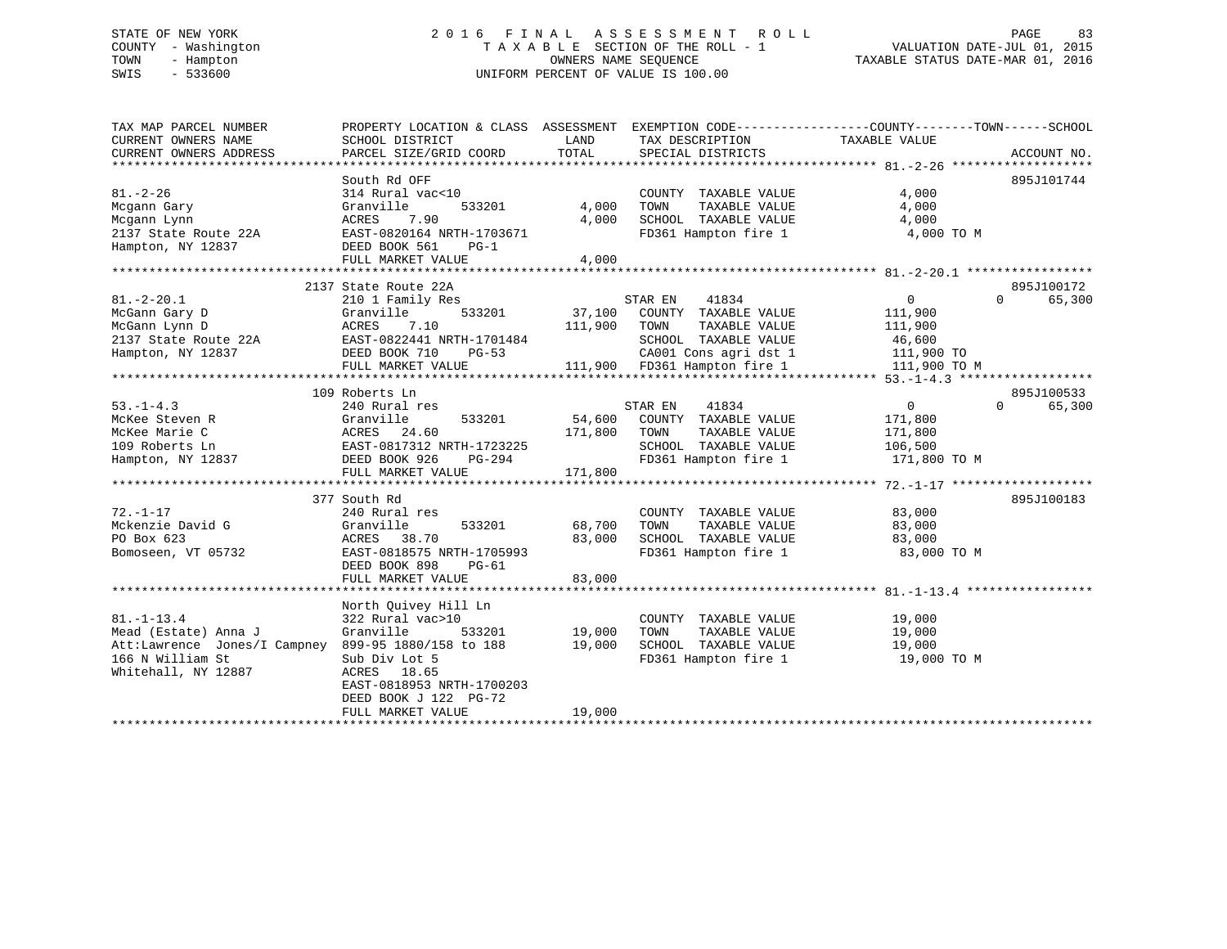# STATE OF NEW YORK 2 0 1 6 F I N A L A S S E S S M E N T R O L L PAGE 83 COUNTY - Washington T A X A B L E SECTION OF THE ROLL - 1 VALUATION DATE-JUL 01, 2015 TOWN - Hampton OWNERS NAME SEQUENCE TAXABLE STATUS DATE-MAR 01, 2016 SWIS - 533600 UNIFORM PERCENT OF VALUE IS 100.00

| TAX MAP PARCEL NUMBER<br>CURRENT OWNERS NAME        | PROPERTY LOCATION & CLASS ASSESSMENT EXEMPTION CODE----------------COUNTY-------TOWN-----SCHOOL<br>SCHOOL DISTRICT | LAND         | TAX DESCRIPTION                                       | TAXABLE VALUE        |                    |
|-----------------------------------------------------|--------------------------------------------------------------------------------------------------------------------|--------------|-------------------------------------------------------|----------------------|--------------------|
| CURRENT OWNERS ADDRESS                              | PARCEL SIZE/GRID COORD                                                                                             | TOTAL        | SPECIAL DISTRICTS                                     |                      | ACCOUNT NO.        |
|                                                     |                                                                                                                    |              |                                                       |                      |                    |
|                                                     | South Rd OFF                                                                                                       |              |                                                       |                      | 895J101744         |
| $81. - 2 - 26$                                      | 314 Rural vac<10                                                                                                   |              | COUNTY TAXABLE VALUE                                  | 4,000                |                    |
| Mcgann Gary                                         | 533201<br>Granville                                                                                                | 4,000        | IOWN TAXABLE VALUE<br>SCHOOL TAXABLE VALUE            | 4,000                |                    |
| Mcgann Lynn                                         | ACRES<br>7.90                                                                                                      | 4,000        |                                                       | 4,000                |                    |
| 2137 State Route 22A                                | EAST-0820164 NRTH-1703671                                                                                          |              | FD361 Hampton fire 1                                  | 4,000 TO M           |                    |
| Hampton, NY 12837                                   | DEED BOOK 561<br>$PG-1$                                                                                            |              |                                                       |                      |                    |
|                                                     | FULL MARKET VALUE                                                                                                  | 4,000        |                                                       |                      |                    |
|                                                     |                                                                                                                    |              |                                                       |                      |                    |
|                                                     | 2137 State Route 22A                                                                                               |              |                                                       |                      | 895J100172         |
| $81. - 2 - 20.1$                                    | 210 1 Family Res                                                                                                   |              | STAR EN<br>41834                                      | $\overline{0}$       | $\Omega$<br>65,300 |
| McGann Gary D                                       | 533201<br>Granville                                                                                                |              | 37,100 COUNTY TAXABLE VALUE                           | 111,900              |                    |
| McGann Lynn D                                       | ACRES<br>7.10                                                                                                      | 111,900 TOWN | TAXABLE VALUE                                         | 111,900              |                    |
| 2137 State Route 22A EAST-0822441 NRTH-1701484      |                                                                                                                    |              | SCHOOL TAXABLE VALUE                                  | 46,600<br>111,900 TO |                    |
| Hampton, NY 12837                                   | DEED BOOK 710<br>PG-53                                                                                             |              | CA001 Cons agri dst 1<br>111,900 FD361 Hampton fire 1 |                      |                    |
|                                                     | FULL MARKET VALUE                                                                                                  |              |                                                       | 111,900 TO M         |                    |
|                                                     |                                                                                                                    |              |                                                       |                      |                    |
|                                                     | 109 Roberts Ln                                                                                                     |              |                                                       |                      | 895J100533         |
| $53. - 1 - 4.3$                                     | 240 Rural res                                                                                                      |              | STAR EN<br>41834                                      | $\overline{0}$       | $\Omega$<br>65,300 |
| McKee Steven R                                      | Granville<br>533201                                                                                                | 54,600       | COUNTY TAXABLE VALUE                                  | 171,800              |                    |
| McKee Marie C                                       | ACRES<br>24.60                                                                                                     | 171,800      | TAXABLE VALUE<br>TOWN                                 | 171,800              |                    |
| 109 Roberts Ln                                      | EAST-0817312 NRTH-1723225<br>37 DEED BOOK 926 PG-294                                                               |              | SCHOOL TAXABLE VALUE                                  | 106,500              |                    |
| Hampton, NY 12837                                   | DEED BOOK 926<br>PG-294                                                                                            |              | FD361 Hampton fire 1                                  | 171,800 TO M         |                    |
|                                                     | FULL MARKET VALUE                                                                                                  | 171,800      |                                                       |                      |                    |
|                                                     |                                                                                                                    |              |                                                       |                      |                    |
|                                                     | 377 South Rd                                                                                                       |              |                                                       |                      | 895J100183         |
| $72. - 1 - 17$                                      | 240 Rural res                                                                                                      |              | COUNTY TAXABLE VALUE                                  | 83,000               |                    |
| Mckenzie David G                                    | 533201<br>Granville                                                                                                | 68,700       | TOWN      TAXABLE VALUE<br>SCHOOL   TAXABLE VALUE     | 83,000               |                    |
| PO Box 623                                          | ACRES<br>38.70                                                                                                     | 83,000       |                                                       | 83,000               |                    |
| Bomoseen, VT 05732                                  | EAST-0818575 NRTH-1705993                                                                                          |              | FD361 Hampton fire 1 83,000 TO M                      |                      |                    |
|                                                     | DEED BOOK 898<br>PG-61                                                                                             |              |                                                       |                      |                    |
|                                                     | FULL MARKET VALUE                                                                                                  | 83,000       |                                                       |                      |                    |
|                                                     |                                                                                                                    |              |                                                       |                      |                    |
|                                                     | North Quivey Hill Ln                                                                                               |              |                                                       |                      |                    |
| $81. - 1 - 13.4$                                    | 322 Rural vac>10                                                                                                   |              | COUNTY TAXABLE VALUE                                  | 19,000               |                    |
| Mead (Estate) Anna J                                | Granville<br>533201                                                                                                | 19,000       | TOWN<br>TAXABLE VALUE                                 | 19,000               |                    |
| Att:Lawrence Jones/I Campney 899-95 1880/158 to 188 |                                                                                                                    | 19,000       | SCHOOL TAXABLE VALUE                                  | 19,000               |                    |
| 166 N William St                                    | Sub Div Lot 5                                                                                                      |              | FD361 Hampton fire 1                                  | 19,000 TO M          |                    |
| Whitehall, NY 12887                                 | ACRES 18.65                                                                                                        |              |                                                       |                      |                    |
|                                                     | EAST-0818953 NRTH-1700203                                                                                          |              |                                                       |                      |                    |
|                                                     | DEED BOOK J 122 PG-72                                                                                              |              |                                                       |                      |                    |
|                                                     | FULL MARKET VALUE                                                                                                  | 19,000       |                                                       |                      |                    |
|                                                     |                                                                                                                    |              |                                                       |                      |                    |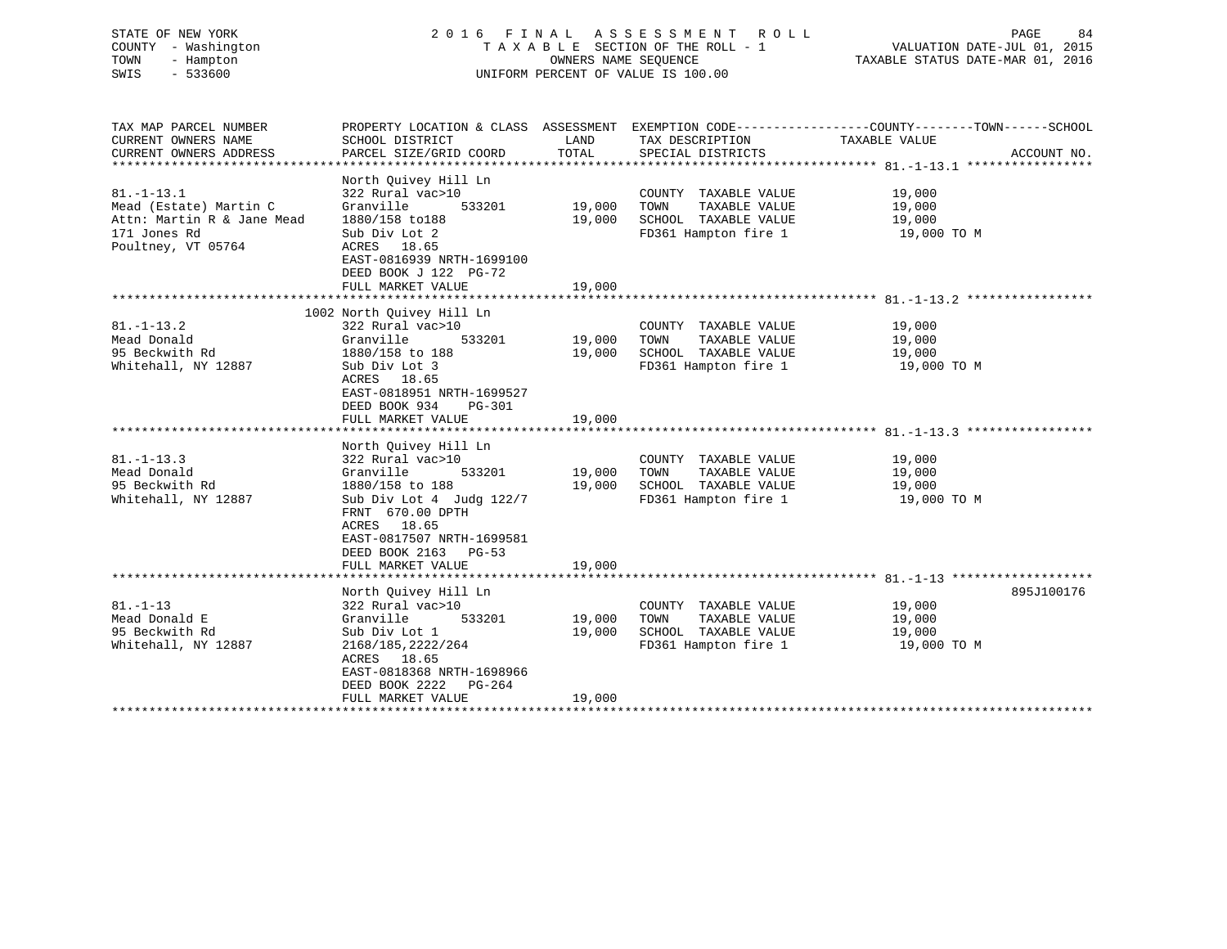# STATE OF NEW YORK 2 0 1 6 F I N A L A S S E S S M E N T R O L L PAGE 84 COUNTY - Washington T A X A B L E SECTION OF THE ROLL - 1 VALUATION DATE-JUL 01, 2015 TOWN - Hampton OWNERS NAME SEQUENCE TAXABLE STATUS DATE-MAR 01, 2016 SWIS - 533600 UNIFORM PERCENT OF VALUE IS 100.00

TAX MAP PARCEL NUMBER PROPERTY LOCATION & CLASS ASSESSMENT EXEMPTION CODE------------------COUNTY--------TOWN------SCHOOL

CURRENT OWNERS NAME SCHOOL DISTRICT LAND TAX DESCRIPTION TAXABLE VALUECURRENT OWNERS ADDRESS PARCEL SIZE/GRID COORD TOTAL SPECIAL DISTRICTS ACCOUNT NO. \*\*\*\*\*\*\*\*\*\*\*\*\*\*\*\*\*\*\*\*\*\*\*\*\*\*\*\*\*\*\*\*\*\*\*\*\*\*\*\*\*\*\*\*\*\*\*\*\*\*\*\*\*\*\*\*\*\*\*\*\*\*\*\*\*\*\*\*\*\*\*\*\*\*\*\*\*\*\*\*\*\*\*\*\*\*\*\*\*\*\*\*\*\*\*\*\*\*\*\*\*\*\* 81.-1-13.1 \*\*\*\*\*\*\*\*\*\*\*\*\*\*\*\*\* North Quivey Hill Ln 81.-1-13.1 322 Rural vac>10 COUNTY TAXABLE VALUE 19,000 Mead (Estate) Martin C Granville 533201 19,000 TOWN TAXABLE VALUE 19,000 Attn: Martin R & Jane Mead 1880/158 to188 19,000 SCHOOL TAXABLE VALUE 19,000 171 Jones Rd Sub Div Lot 2 FD361 Hampton fire 1 19,000 TO M Poultney, VT 05764 ACRES 18.65 EAST-0816939 NRTH-1699100 DEED BOOK J 122 PG-72FULL MARKET VALUE 19,000 \*\*\*\*\*\*\*\*\*\*\*\*\*\*\*\*\*\*\*\*\*\*\*\*\*\*\*\*\*\*\*\*\*\*\*\*\*\*\*\*\*\*\*\*\*\*\*\*\*\*\*\*\*\*\*\*\*\*\*\*\*\*\*\*\*\*\*\*\*\*\*\*\*\*\*\*\*\*\*\*\*\*\*\*\*\*\*\*\*\*\*\*\*\*\*\*\*\*\*\*\*\*\* 81.-1-13.2 \*\*\*\*\*\*\*\*\*\*\*\*\*\*\*\*\* 1002 North Quivey Hill Ln 81.-1-13.2 322 Rural vac>10 COUNTY TAXABLE VALUE 19,000 Mead Donald Granville 533201 19,000 TOWN TAXABLE VALUE 19,000 95 Beckwith Rd 1880/158 to 188 19,000 SCHOOL TAXABLE VALUE 19,000 Whitehall, NY 12887 Sub Div Lot 3 FD361 Hampton fire 1 19,000 TO M ACRES 18.65 EAST-0818951 NRTH-1699527 DEED BOOK 934 PG-301FULL MARKET VALUE 19,000 \*\*\*\*\*\*\*\*\*\*\*\*\*\*\*\*\*\*\*\*\*\*\*\*\*\*\*\*\*\*\*\*\*\*\*\*\*\*\*\*\*\*\*\*\*\*\*\*\*\*\*\*\*\*\*\*\*\*\*\*\*\*\*\*\*\*\*\*\*\*\*\*\*\*\*\*\*\*\*\*\*\*\*\*\*\*\*\*\*\*\*\*\*\*\*\*\*\*\*\*\*\*\* 81.-1-13.3 \*\*\*\*\*\*\*\*\*\*\*\*\*\*\*\*\* North Quivey Hill Ln 81.-1-13.3 322 Rural vac>10 COUNTY TAXABLE VALUE 19,000 Mead Donald Granville 533201 19,000 TOWN TAXABLE VALUE 19,000 95 Beckwith Rd 1880/158 to 188 19,000 SCHOOL TAXABLE VALUE 19,000 Whitehall, NY 12887 Sub Div Lot 4 Judg 122/7 FD361 Hampton fire 1 19,000 TO M FRNT 670.00 DPTH ACRES 18.65 EAST-0817507 NRTH-1699581 DEED BOOK 2163 PG-53FULL MARKET VALUE 19,000 \*\*\*\*\*\*\*\*\*\*\*\*\*\*\*\*\*\*\*\*\*\*\*\*\*\*\*\*\*\*\*\*\*\*\*\*\*\*\*\*\*\*\*\*\*\*\*\*\*\*\*\*\*\*\*\*\*\*\*\*\*\*\*\*\*\*\*\*\*\*\*\*\*\*\*\*\*\*\*\*\*\*\*\*\*\*\*\*\*\*\*\*\*\*\*\*\*\*\*\*\*\*\* 81.-1-13 \*\*\*\*\*\*\*\*\*\*\*\*\*\*\*\*\*\*\*North Quivey Hill Ln 895J100176 81.-1-13 322 Rural vac>10 COUNTY TAXABLE VALUE 19,000 Mead Donald E Granville 533201 19,000 TOWN TAXABLE VALUE 19,000 95 Beckwith Rd Sub Div Lot 1 19,000 SCHOOL TAXABLE VALUE 19,000 Whitehall, NY 12887 2168/185,2222/264 FD361 Hampton fire 1 39,000 TO M ACRES 18.65 EAST-0818368 NRTH-1698966 DEED BOOK 2222 PG-264FULL MARKET VALUE 19,000 \*\*\*\*\*\*\*\*\*\*\*\*\*\*\*\*\*\*\*\*\*\*\*\*\*\*\*\*\*\*\*\*\*\*\*\*\*\*\*\*\*\*\*\*\*\*\*\*\*\*\*\*\*\*\*\*\*\*\*\*\*\*\*\*\*\*\*\*\*\*\*\*\*\*\*\*\*\*\*\*\*\*\*\*\*\*\*\*\*\*\*\*\*\*\*\*\*\*\*\*\*\*\*\*\*\*\*\*\*\*\*\*\*\*\*\*\*\*\*\*\*\*\*\*\*\*\*\*\*\*\*\*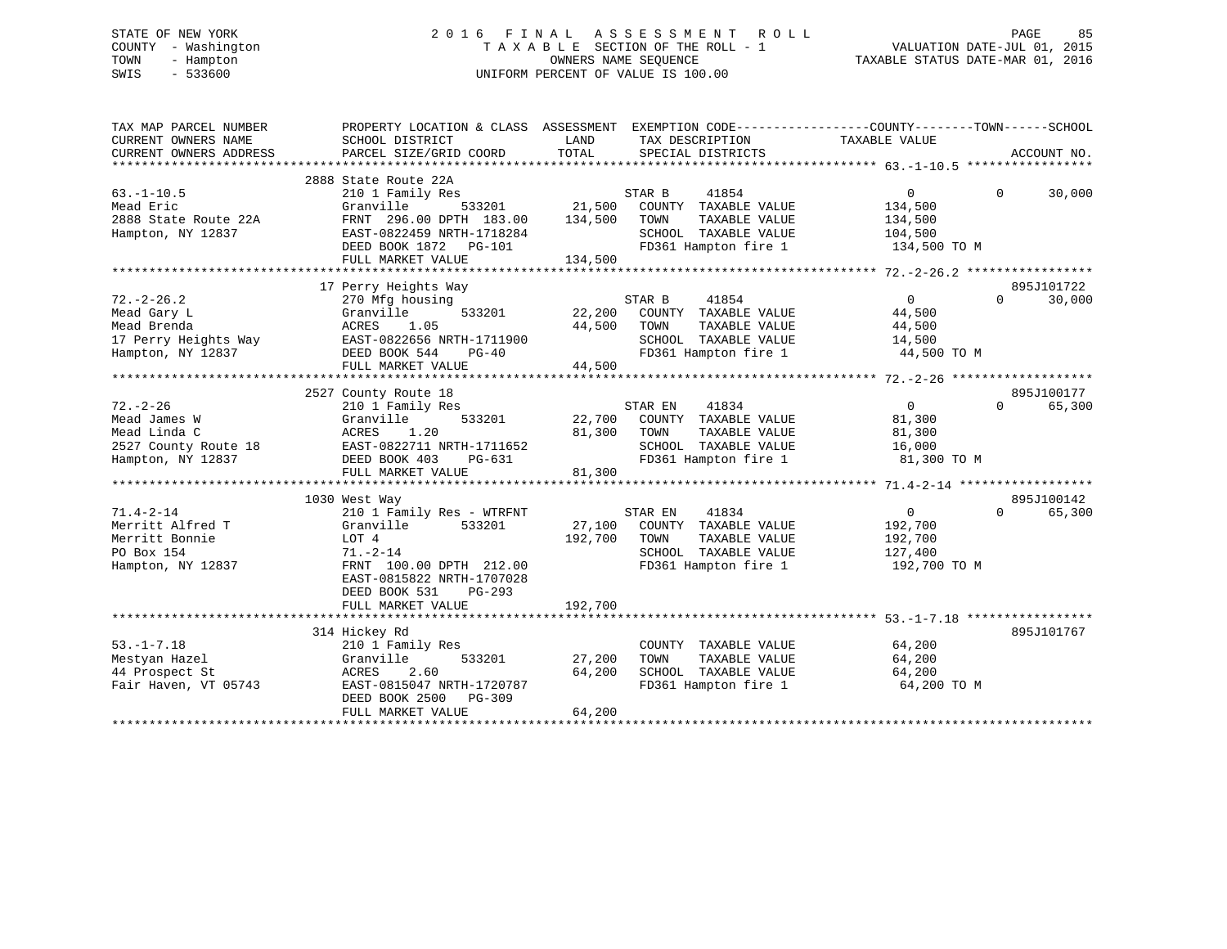# STATE OF NEW YORK 2 0 1 6 F I N A L A S S E S S M E N T R O L L PAGE 85 COUNTY - Washington T A X A B L E SECTION OF THE ROLL - 1 VALUATION DATE-JUL 01, 2015 TOWN - Hampton OWNERS NAME SEQUENCE TAXABLE STATUS DATE-MAR 01, 2016 SWIS - 533600 UNIFORM PERCENT OF VALUE IS 100.00

| TAX MAP PARCEL NUMBER<br>CURRENT OWNERS NAME<br>CURRENT OWNERS ADDRESS                      | PROPERTY LOCATION & CLASS ASSESSMENT EXEMPTION CODE---------------COUNTY-------TOWN------SCHOOL<br>SCHOOL DISTRICT<br>PARCEL SIZE/GRID COORD                                      | LAND<br>TOTAL              | TAX DESCRIPTION<br>SPECIAL DISTRICTS                                                                              | TAXABLE VALUE                                                   | ACCOUNT NO.                      |
|---------------------------------------------------------------------------------------------|-----------------------------------------------------------------------------------------------------------------------------------------------------------------------------------|----------------------------|-------------------------------------------------------------------------------------------------------------------|-----------------------------------------------------------------|----------------------------------|
|                                                                                             |                                                                                                                                                                                   |                            |                                                                                                                   |                                                                 |                                  |
| $63. - 1 - 10.5$<br>Mead Eric<br>2888 State Route 22A<br>Hampton, NY 12837                  | 2888 State Route 22A<br>210 1 Family Res<br>Granville<br>533201<br>FRNT 296.00 DPTH 183.00<br>EAST-0822459 NRTH-1718284<br>DEED BOOK 1872 PG-101                                  | 21,500<br>134,500          | STAR B<br>41854<br>COUNTY TAXABLE VALUE<br>TOWN<br>TAXABLE VALUE<br>SCHOOL TAXABLE VALUE<br>FD361 Hampton fire 1  | $\mathbf{0}$<br>134,500<br>134,500<br>104,500<br>134,500 TO M   | $\Omega$<br>30,000               |
|                                                                                             | FULL MARKET VALUE                                                                                                                                                                 | 134,500                    |                                                                                                                   |                                                                 |                                  |
|                                                                                             |                                                                                                                                                                                   |                            |                                                                                                                   |                                                                 |                                  |
| $72. - 2 - 26.2$<br>Mead Gary L<br>Mead Brenda<br>17 Perry Heights Way<br>Hampton, NY 12837 | 17 Perry Heights Way<br>270 Mfg housing<br>Granville<br>533201<br>1.05<br>ACRES<br>EAST-0822656 NRTH-1711900<br>DEED BOOK 544<br>PG-40<br>FULL MARKET VALUE                       | 22,200<br>44,500<br>44,500 | STAR B<br>41854<br>COUNTY TAXABLE VALUE<br>TOWN<br>TAXABLE VALUE<br>SCHOOL TAXABLE VALUE<br>FD361 Hampton fire 1  | $\overline{0}$<br>44,500<br>44,500<br>14,500<br>44,500 TO M     | 895J101722<br>$\Omega$<br>30,000 |
|                                                                                             |                                                                                                                                                                                   |                            |                                                                                                                   |                                                                 |                                  |
| $72. - 2 - 26$<br>Mead James W<br>Mead Linda C<br>2527 County Route 18<br>Hampton, NY 12837 | 2527 County Route 18<br>210 1 Family Res<br>533201<br>Granville<br>ACRES<br>1.20<br>EAST-0822711 NRTH-1711652<br>DEED BOOK 403<br>PG-631<br>FULL MARKET VALUE                     | 22,700<br>81,300<br>81,300 | STAR EN<br>41834<br>COUNTY TAXABLE VALUE<br>TAXABLE VALUE<br>TOWN<br>SCHOOL TAXABLE VALUE<br>FD361 Hampton fire 1 | $\overline{0}$<br>81,300<br>81,300<br>16,000<br>81,300 TO M     | 895J100177<br>$\Omega$<br>65,300 |
|                                                                                             |                                                                                                                                                                                   |                            |                                                                                                                   |                                                                 |                                  |
| $71.4 - 2 - 14$<br>Merritt Alfred T<br>Merritt Bonnie<br>PO Box 154<br>Hampton, NY 12837    | 1030 West Way<br>210 1 Family Res - WTRFNT<br>Granville<br>533201<br>LOT 4<br>$71. - 2 - 14$<br>FRNT 100.00 DPTH 212.00<br>EAST-0815822 NRTH-1707028<br>DEED BOOK 531<br>$PG-293$ | 27,100<br>192,700          | 41834<br>STAR EN<br>COUNTY TAXABLE VALUE<br>TOWN<br>TAXABLE VALUE<br>SCHOOL TAXABLE VALUE<br>FD361 Hampton fire 1 | $\overline{0}$<br>192,700<br>192,700<br>127,400<br>192,700 TO M | 895J100142<br>65,300<br>$\Omega$ |
|                                                                                             | FULL MARKET VALUE                                                                                                                                                                 | 192,700                    |                                                                                                                   |                                                                 |                                  |
|                                                                                             | 314 Hickey Rd                                                                                                                                                                     |                            |                                                                                                                   |                                                                 | 895J101767                       |
| $53. - 1 - 7.18$<br>Mestyan Hazel<br>44 Prospect St<br>Fair Haven, VT 05743                 | 210 1 Family Res<br>Granville<br>533201<br>2.60<br>ACRES<br>EAST-0815047 NRTH-1720787<br>DEED BOOK 2500 PG-309<br>FULL MARKET VALUE                                               | 27,200<br>64,200<br>64,200 | COUNTY TAXABLE VALUE<br>TOWN<br>TAXABLE VALUE<br>SCHOOL TAXABLE VALUE<br>FD361 Hampton fire 1                     | 64,200<br>64,200<br>64,200<br>64,200 TO M                       |                                  |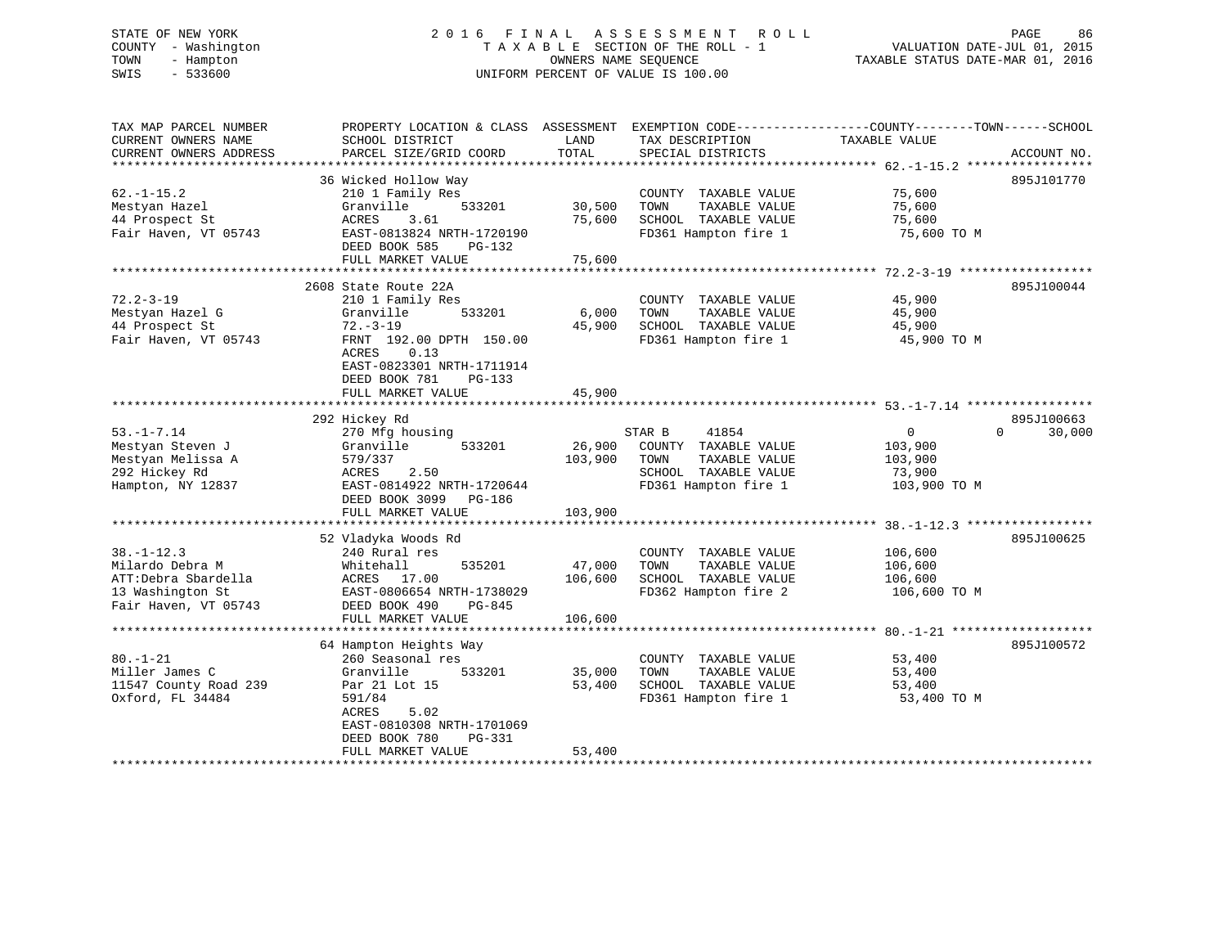# STATE OF NEW YORK 2 0 1 6 F I N A L A S S E S S M E N T R O L L PAGE 86 COUNTY - Washington T A X A B L E SECTION OF THE ROLL - 1 VALUATION DATE-JUL 01, 2015 TOWN - Hampton OWNERS NAME SEQUENCE TAXABLE STATUS DATE-MAR 01, 2016 SWIS - 533600 UNIFORM PERCENT OF VALUE IS 100.00

TAX MAP PARCEL NUMBER PROPERTY LOCATION & CLASS ASSESSMENT EXEMPTION CODE------------------COUNTY--------TOWN------SCHOOL CURRENT OWNERS NAME SCHOOL DISTRICT THE LAND TAX DESCRIPTION TAXABLE VALUE CURRENT OWNERS ADDRESS PARCEL SIZE/GRID COORD TOTAL SPECIAL DISTRICTS ACCOUNT NO. \*\*\*\*\*\*\*\*\*\*\*\*\*\*\*\*\*\*\*\*\*\*\*\*\*\*\*\*\*\*\*\*\*\*\*\*\*\*\*\*\*\*\*\*\*\*\*\*\*\*\*\*\*\*\*\*\*\*\*\*\*\*\*\*\*\*\*\*\*\*\*\*\*\*\*\*\*\*\*\*\*\*\*\*\*\*\*\*\*\*\*\*\*\*\*\*\*\*\*\*\*\*\* 62.-1-15.2 \*\*\*\*\*\*\*\*\*\*\*\*\*\*\*\*\* 36 Wicked Hollow Way 895J101770 62.-1-15.2 210 1 Family Res COUNTY TAXABLE VALUE 75,600 Mestyan Hazel Granville 533201 30,500 TOWN TAXABLE VALUE 75,600 44 Prospect St ACRES 3.61 75,600 SCHOOL TAXABLE VALUE 75,600 Fair Haven, VT 05743 EAST-0813824 NRTH-1720190 FD361 Hampton fire 1 75,600 TO M DEED BOOK 585 PG-132 FULL MARKET VALUE 75,600 \*\*\*\*\*\*\*\*\*\*\*\*\*\*\*\*\*\*\*\*\*\*\*\*\*\*\*\*\*\*\*\*\*\*\*\*\*\*\*\*\*\*\*\*\*\*\*\*\*\*\*\*\*\*\*\*\*\*\*\*\*\*\*\*\*\*\*\*\*\*\*\*\*\*\*\*\*\*\*\*\*\*\*\*\*\*\*\*\*\*\*\*\*\*\*\*\*\*\*\*\*\*\* 72.2-3-19 \*\*\*\*\*\*\*\*\*\*\*\*\*\*\*\*\*\* 2608 State Route 22A 895J10004472.2-3-19 210 1 Family Res COUNTY TAXABLE VALUE 45,900 Mestyan Hazel G Granville 533201 6,000 TOWN TAXABLE VALUE 45,900 44 Prospect St 72.-3-19 45,900 SCHOOL TAXABLE VALUE 45,900 Fair Haven, VT 05743 FRNT 192.00 DPTH 150.00 FD361 Hampton fire 1 45,900 TO M ACRES 0.13 EAST-0823301 NRTH-1711914 DEED BOOK 781 PG-133FULL MARKET VALUE 45,900 \*\*\*\*\*\*\*\*\*\*\*\*\*\*\*\*\*\*\*\*\*\*\*\*\*\*\*\*\*\*\*\*\*\*\*\*\*\*\*\*\*\*\*\*\*\*\*\*\*\*\*\*\*\*\*\*\*\*\*\*\*\*\*\*\*\*\*\*\*\*\*\*\*\*\*\*\*\*\*\*\*\*\*\*\*\*\*\*\*\*\*\*\*\*\*\*\*\*\*\*\*\*\* 53.-1-7.14 \*\*\*\*\*\*\*\*\*\*\*\*\*\*\*\*\* 292 Hickey Rd 895J100663 53.-1-7.14 270 Mfg housing STAR B 41854 0 0 30,000 Mestyan Steven J Granville 533201 26,900 COUNTY TAXABLE VALUE 103,900 Mestyan Melissa A 579/337 103,900 TOWN TAXABLE VALUE 103,900 292 Hickey Rd ACRES 2.50 SCHOOL TAXABLE VALUE 73,900 Hampton, NY 12837 EAST-0814922 NRTH-1720644 FD361 Hampton fire 1 103,900 TO M DEED BOOK 3099 PG-186 FULL MARKET VALUE 103,900 \*\*\*\*\*\*\*\*\*\*\*\*\*\*\*\*\*\*\*\*\*\*\*\*\*\*\*\*\*\*\*\*\*\*\*\*\*\*\*\*\*\*\*\*\*\*\*\*\*\*\*\*\*\*\*\*\*\*\*\*\*\*\*\*\*\*\*\*\*\*\*\*\*\*\*\*\*\*\*\*\*\*\*\*\*\*\*\*\*\*\*\*\*\*\*\*\*\*\*\*\*\*\* 38.-1-12.3 \*\*\*\*\*\*\*\*\*\*\*\*\*\*\*\*\* 52 Vladyka Woods Rd 895J100625 38.-1-12.3 240 Rural res COUNTY TAXABLE VALUE 106,600 Milardo Debra M Whitehall 535201 47,000 TOWN TAXABLE VALUE 106,600 ATT:Debra Sbardella ACRES 17.00 106,600 SCHOOL TAXABLE VALUE 106,600 13 Washington St EAST-0806654 NRTH-1738029 FD362 Hampton fire 2 106,600 TO M Fair Haven, VT 05743 DEED BOOK 490 PG-845 FULL MARKET VALUE 106,600 \*\*\*\*\*\*\*\*\*\*\*\*\*\*\*\*\*\*\*\*\*\*\*\*\*\*\*\*\*\*\*\*\*\*\*\*\*\*\*\*\*\*\*\*\*\*\*\*\*\*\*\*\*\*\*\*\*\*\*\*\*\*\*\*\*\*\*\*\*\*\*\*\*\*\*\*\*\*\*\*\*\*\*\*\*\*\*\*\*\*\*\*\*\*\*\*\*\*\*\*\*\*\* 80.-1-21 \*\*\*\*\*\*\*\*\*\*\*\*\*\*\*\*\*\*\* 64 Hampton Heights Way 895J100572 80.-1-21 260 Seasonal res COUNTY TAXABLE VALUE 53,400 Miller James C Granville 533201 35,000 TOWN TAXABLE VALUE 53,400 11547 County Road 239 Par 21 Lot 15 53,400 SCHOOL TAXABLE VALUE 53,400 Oxford, FL 34484 591/84 591/84 FD361 Hampton fire 1 53,400 TO M ACRES 5.02 EAST-0810308 NRTH-1701069 DEED BOOK 780 PG-331 FULL MARKET VALUE 53,400 \*\*\*\*\*\*\*\*\*\*\*\*\*\*\*\*\*\*\*\*\*\*\*\*\*\*\*\*\*\*\*\*\*\*\*\*\*\*\*\*\*\*\*\*\*\*\*\*\*\*\*\*\*\*\*\*\*\*\*\*\*\*\*\*\*\*\*\*\*\*\*\*\*\*\*\*\*\*\*\*\*\*\*\*\*\*\*\*\*\*\*\*\*\*\*\*\*\*\*\*\*\*\*\*\*\*\*\*\*\*\*\*\*\*\*\*\*\*\*\*\*\*\*\*\*\*\*\*\*\*\*\*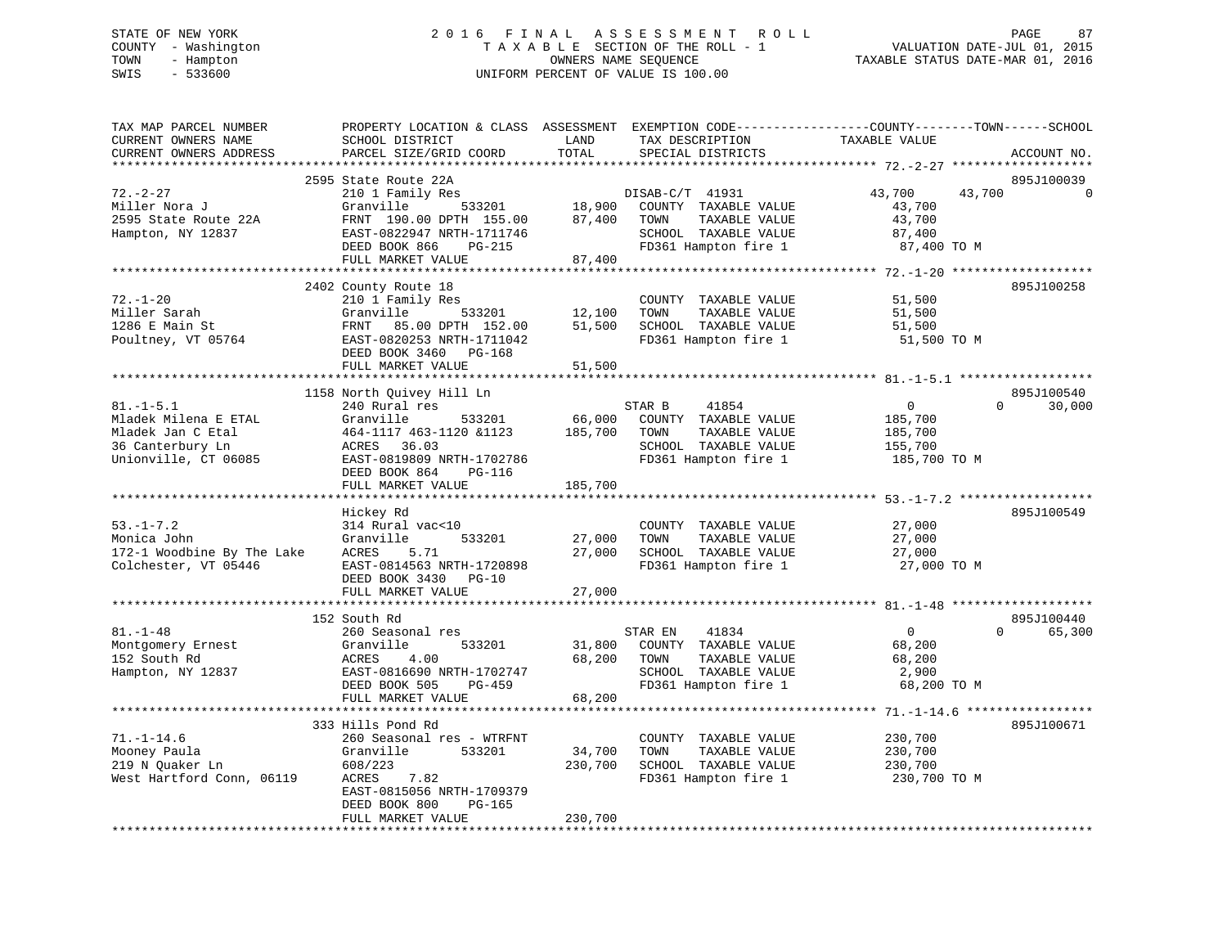# STATE OF NEW YORK 2 0 1 6 F I N A L A S S E S S M E N T R O L L PAGE 87 COUNTY - Washington T A X A B L E SECTION OF THE ROLL - 1 VALUATION DATE-JUL 01, 2015 TOWN - Hampton OWNERS NAME SEQUENCE TAXABLE STATUS DATE-MAR 01, 2016 SWIS - 533600 UNIFORM PERCENT OF VALUE IS 100.00

| TAX MAP PARCEL NUMBER<br>CURRENT OWNERS NAME<br>CURRENT OWNERS ADDRESS                                   | PROPERTY LOCATION & CLASS ASSESSMENT EXEMPTION CODE----------------COUNTY-------TOWN------SCHOOL<br>SCHOOL DISTRICT<br>PARCEL SIZE/GRID COORD                       | LAND<br>TOTAL     | TAX DESCRIPTION<br>SPECIAL DISTRICTS                                                                                           | TAXABLE VALUE                                                   | ACCOUNT NO.                    |
|----------------------------------------------------------------------------------------------------------|---------------------------------------------------------------------------------------------------------------------------------------------------------------------|-------------------|--------------------------------------------------------------------------------------------------------------------------------|-----------------------------------------------------------------|--------------------------------|
| ***********************                                                                                  |                                                                                                                                                                     |                   |                                                                                                                                |                                                                 |                                |
| $72. - 2 - 27$<br>Miller Nora J<br>2595 State Route 22A<br>Hampton, NY 12837                             | 2595 State Route 22A<br>210 1 Family Res<br>Granville<br>FRNT 190.00 DPTH 155.00<br>EAST-0822947 NRTH-1711746<br>DEED BOOK 866<br>PG-215<br>FULL MARKET VALUE       | 87,400<br>87,400  | DISAB-C/T 41931<br>533201 18,900 COUNTY TAXABLE VALUE<br>TOWN<br>TAXABLE VALUE<br>SCHOOL TAXABLE VALUE<br>FD361 Hampton fire 1 | 43,700<br>43,700<br>43,700<br>43,700<br>87,400<br>87,400 TO M   | 895J100039<br>$\Omega$         |
|                                                                                                          |                                                                                                                                                                     |                   |                                                                                                                                |                                                                 |                                |
| $72. - 1 - 20$<br>Miller Sarah<br>1286 E Main St<br>Poultney, VT 05764                                   | 2402 County Route 18<br>210 1 Family Res<br>533201<br>Granville<br>FRNT 85.00 DPTH 152.00<br>EAST-0820253 NRTH-1711042<br>DEED BOOK 3460 PG-168                     | 12,100<br>51,500  | COUNTY TAXABLE VALUE<br>TOWN<br>TAXABLE VALUE<br>SCHOOL TAXABLE VALUE<br>FD361 Hampton fire 1                                  | 51,500<br>51,500<br>51,500<br>51,500 TO M                       | 895J100258                     |
|                                                                                                          | FULL MARKET VALUE                                                                                                                                                   | 51,500            |                                                                                                                                |                                                                 |                                |
|                                                                                                          |                                                                                                                                                                     |                   |                                                                                                                                |                                                                 | 895J100540                     |
| $81. - 1 - 5.1$<br>Mladek Milena E ETAL<br>Mladek Jan C Etal<br>36 Canterbury Ln<br>Unionville, CT 06085 | 1158 North Quivey Hill Ln<br>240 Rural res<br>Granville<br>533201<br>464-1117 463-1120 &1123<br>ACRES 36.03<br>EAST-0819809 NRTH-1702786<br>DEED BOOK 864<br>PG-116 | 66,000<br>185,700 | STAR B<br>41854<br>COUNTY TAXABLE VALUE<br>TAXABLE VALUE<br>TOWN<br>SCHOOL TAXABLE VALUE<br>FD361 Hampton fire 1               | $\overline{0}$<br>185,700<br>185,700<br>155,700<br>185,700 TO M | $\Omega$<br>30,000             |
|                                                                                                          | FULL MARKET VALUE                                                                                                                                                   | 185,700           |                                                                                                                                |                                                                 |                                |
| $53. - 1 - 7.2$<br>Monica John<br>172-1 Woodbine By The Lake<br>Colchester, VT 05446                     | Hickey Rd<br>314 Rural vac<10<br>Granville<br>533201<br>5.71<br>ACRES<br>EAST-0814563 NRTH-1720898<br>DEED BOOK 3430 PG-10                                          | 27,000<br>27,000  | COUNTY TAXABLE VALUE<br>TOWN<br>TAXABLE VALUE<br>SCHOOL TAXABLE VALUE<br>FD361 Hampton fire 1                                  | 27,000<br>27,000<br>27,000<br>27,000 TO M                       | 895J100549                     |
|                                                                                                          | FULL MARKET VALUE                                                                                                                                                   | 27,000            |                                                                                                                                |                                                                 |                                |
| $81. - 1 - 48$                                                                                           | 152 South Rd<br>260 Seasonal res<br>Granville<br>533201                                                                                                             | 31,800            | STAR EN<br>41834<br>COUNTY TAXABLE VALUE                                                                                       | $\Omega$<br>68,200                                              | 895J100440<br>$\cap$<br>65,300 |
| Montgomery Ernest<br>152 South Rd<br>Hampton, NY 12837                                                   | ACRES<br>4.00<br>EAST-0816690 NRTH-1702747<br>DEED BOOK 505<br>PG-459<br>FULL MARKET VALUE                                                                          | 68,200<br>68,200  | TOWN<br>TAXABLE VALUE<br>SCHOOL TAXABLE VALUE<br>FD361 Hampton fire 1                                                          | 68,200<br>2,900<br>68,200 TO M                                  |                                |
|                                                                                                          | **************************                                                                                                                                          | ************      |                                                                                                                                | ************** 71.-1-14.6 *****************                     |                                |
| $71. - 1 - 14.6$<br>Mooney Paula<br>219 N Quaker Ln<br>West Hartford Conn, 06119                         | 333 Hills Pond Rd<br>260 Seasonal res - WTRFNT<br>Granville<br>533201<br>608/223<br>ACRES<br>7.82<br>EAST-0815056 NRTH-1709379<br>DEED BOOK 800<br>$PG-165$         | 34,700<br>230,700 | COUNTY TAXABLE VALUE<br>TOWN<br>TAXABLE VALUE<br>SCHOOL TAXABLE VALUE<br>FD361 Hampton fire 1                                  | 230,700<br>230,700<br>230,700<br>230,700 TO M                   | 895J100671                     |
|                                                                                                          | FULL MARKET VALUE                                                                                                                                                   | 230,700           |                                                                                                                                |                                                                 |                                |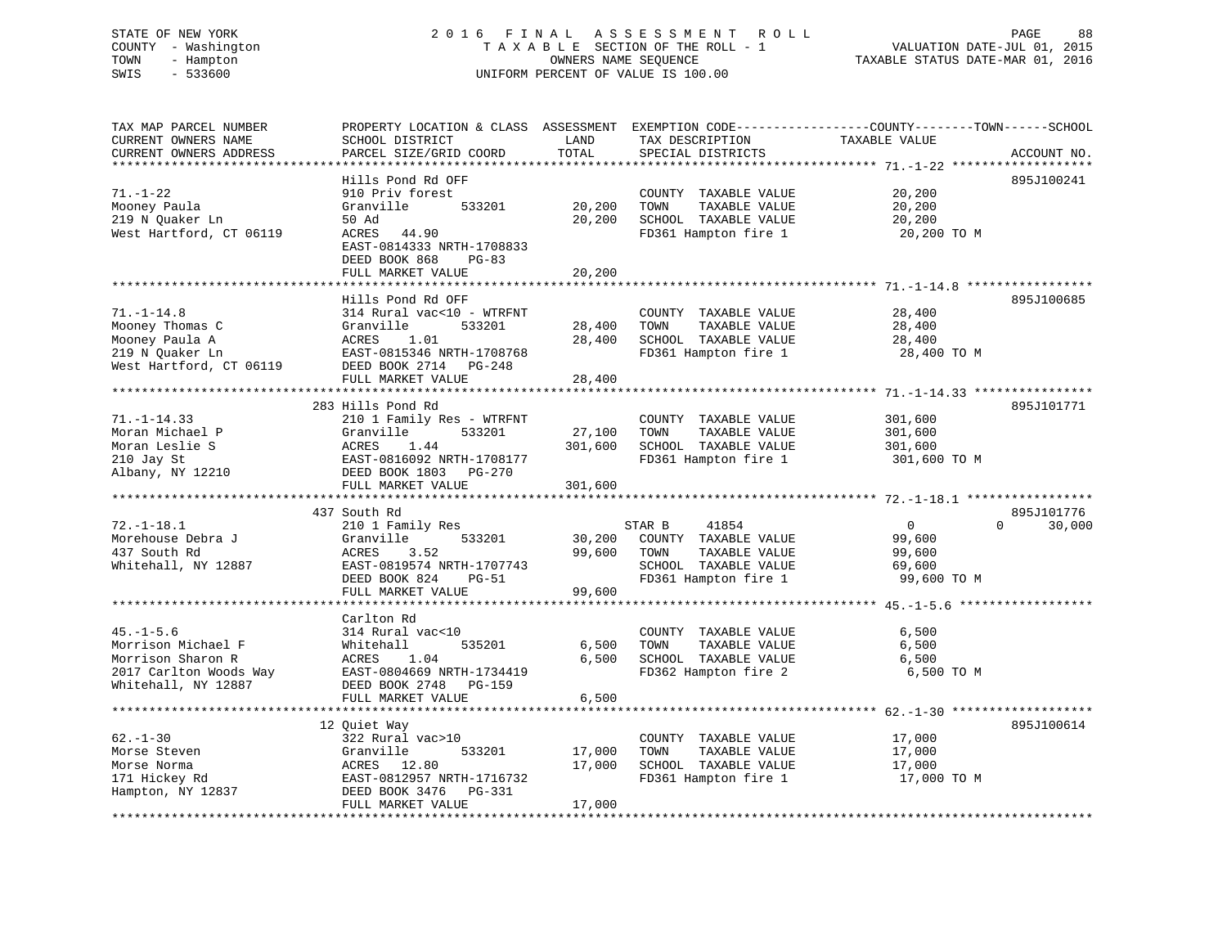# STATE OF NEW YORK 2 0 1 6 F I N A L A S S E S S M E N T R O L L PAGE 88 COUNTY - Washington T A X A B L E SECTION OF THE ROLL - 1 VALUATION DATE-JUL 01, 2015 TOWN - Hampton OWNERS NAME SEQUENCE TAXABLE STATUS DATE-MAR 01, 2016 SWIS - 533600 UNIFORM PERCENT OF VALUE IS 100.00

TAX MAP PARCEL NUMBER PROPERTY LOCATION & CLASS ASSESSMENT EXEMPTION CODE------------------COUNTY--------TOWN------SCHOOL CURRENT OWNERS NAME SCHOOL DISTRICT LAND TAX DESCRIPTION TAXABLE VALUE CURRENT OWNERS ADDRESS PARCEL SIZE/GRID COORD TOTAL SPECIAL DISTRICTS ACCOUNT NO. \*\*\*\*\*\*\*\*\*\*\*\*\*\*\*\*\*\*\*\*\*\*\*\*\*\*\*\*\*\*\*\*\*\*\*\*\*\*\*\*\*\*\*\*\*\*\*\*\*\*\*\*\*\*\*\*\*\*\*\*\*\*\*\*\*\*\*\*\*\*\*\*\*\*\*\*\*\*\*\*\*\*\*\*\*\*\*\*\*\*\*\*\*\*\*\*\*\*\*\*\*\*\* 71.-1-22 \*\*\*\*\*\*\*\*\*\*\*\*\*\*\*\*\*\*\* Hills Pond Rd OFF 895J10024171.-1-22 910 Priv forest COUNTY TAXABLE VALUE 20,200 Mooney Paula Granville 533201 20,200 TOWN TAXABLE VALUE 20,200 219 N Quaker Ln 50 Ad 20,200 SCHOOL TAXABLE VALUE 20,200 West Hartford, CT 06119 ACRES 44.90 FD361 Hampton fire 1 20,200 TO M EAST-0814333 NRTH-1708833 DEED BOOK 868 PG-83FULL MARKET VALUE 20,200 \*\*\*\*\*\*\*\*\*\*\*\*\*\*\*\*\*\*\*\*\*\*\*\*\*\*\*\*\*\*\*\*\*\*\*\*\*\*\*\*\*\*\*\*\*\*\*\*\*\*\*\*\*\*\*\*\*\*\*\*\*\*\*\*\*\*\*\*\*\*\*\*\*\*\*\*\*\*\*\*\*\*\*\*\*\*\*\*\*\*\*\*\*\*\*\*\*\*\*\*\*\*\* 71.-1-14.8 \*\*\*\*\*\*\*\*\*\*\*\*\*\*\*\*\* Hills Pond Rd OFF 895J10068571.-1-14.8 314 Rural vac<10 - WTRFNT COUNTY TAXABLE VALUE 28,400 Mooney Thomas C Granville 533201 28,400 TOWN TAXABLE VALUE 28,400 Mooney Paula A ACRES 1.01 28,400 SCHOOL TAXABLE VALUE 28,400 219 N Quaker Ln EAST-0815346 NRTH-1708768 FD361 Hampton fire 1 28,400 TO M West Hartford, CT 06119 DEED BOOK 2714 PG-248 FULL MARKET VALUE 28,400 \*\*\*\*\*\*\*\*\*\*\*\*\*\*\*\*\*\*\*\*\*\*\*\*\*\*\*\*\*\*\*\*\*\*\*\*\*\*\*\*\*\*\*\*\*\*\*\*\*\*\*\*\*\*\*\*\*\*\*\*\*\*\*\*\*\*\*\*\*\*\*\*\*\*\*\*\*\*\*\*\*\*\*\*\*\*\*\*\*\*\*\*\*\*\*\*\*\*\*\*\*\*\* 71.-1-14.33 \*\*\*\*\*\*\*\*\*\*\*\*\*\*\*\* 283 Hills Pond Rd 895J10177171.-1-14.33 210 1 Family Res - WTRFNT COUNTY TAXABLE VALUE 301,600 Moran Michael P Granville 533201 27,100 TOWN TAXABLE VALUE 301,600 Moran Leslie S ACRES 1.44 301,600 SCHOOL TAXABLE VALUE 301,600 210 Jay St EAST-0816092 NRTH-1708177 FD361 Hampton fire 1 301,600 TO M Albany, NY 12210 DEED BOOK 1803 PG-270 FULL MARKET VALUE 301,600 \*\*\*\*\*\*\*\*\*\*\*\*\*\*\*\*\*\*\*\*\*\*\*\*\*\*\*\*\*\*\*\*\*\*\*\*\*\*\*\*\*\*\*\*\*\*\*\*\*\*\*\*\*\*\*\*\*\*\*\*\*\*\*\*\*\*\*\*\*\*\*\*\*\*\*\*\*\*\*\*\*\*\*\*\*\*\*\*\*\*\*\*\*\*\*\*\*\*\*\*\*\*\* 72.-1-18.1 \*\*\*\*\*\*\*\*\*\*\*\*\*\*\*\*\* 437 South Rd 895J10177672.-1-18.1 210 1 Family Res STAR B 41854 0 0 30,000 Morehouse Debra J Granville 533201 30,200 COUNTY TAXABLE VALUE 99,600 437 South Rd ACRES 3.52 99,600 TOWN TAXABLE VALUE 99,600 Whitehall, NY 12887 EAST-0819574 NRTH-1707743 SCHOOL TAXABLE VALUE 69,600 DEED BOOK 824 PG-51 FD361 Hampton fire 1 99,600 TO M FULL MARKET VALUE 99,600 \*\*\*\*\*\*\*\*\*\*\*\*\*\*\*\*\*\*\*\*\*\*\*\*\*\*\*\*\*\*\*\*\*\*\*\*\*\*\*\*\*\*\*\*\*\*\*\*\*\*\*\*\*\*\*\*\*\*\*\*\*\*\*\*\*\*\*\*\*\*\*\*\*\*\*\*\*\*\*\*\*\*\*\*\*\*\*\*\*\*\*\*\*\*\*\*\*\*\*\*\*\*\* 45.-1-5.6 \*\*\*\*\*\*\*\*\*\*\*\*\*\*\*\*\*\* Carlton Rd 45.-1-5.6 314 Rural vac<10 COUNTY TAXABLE VALUE 6,500 Morrison Michael F Whitehall 535201 6,500 TOWN TAXABLE VALUE 6,500 Morrison Sharon R ACRES 1.04 6,500 SCHOOL TAXABLE VALUE 6,500 2017 Carlton Woods Way EAST-0804669 NRTH-1734419 FD362 Hampton fire 2 6,500 TO M Whitehall, NY 12887 DEED BOOK 2748 PG-159 FULL MARKET VALUE 6,500 \*\*\*\*\*\*\*\*\*\*\*\*\*\*\*\*\*\*\*\*\*\*\*\*\*\*\*\*\*\*\*\*\*\*\*\*\*\*\*\*\*\*\*\*\*\*\*\*\*\*\*\*\*\*\*\*\*\*\*\*\*\*\*\*\*\*\*\*\*\*\*\*\*\*\*\*\*\*\*\*\*\*\*\*\*\*\*\*\*\*\*\*\*\*\*\*\*\*\*\*\*\*\* 62.-1-30 \*\*\*\*\*\*\*\*\*\*\*\*\*\*\*\*\*\*\*895.T100614 12 Quiet Way 895J100614 62.-1-30 322 Rural vac>10 COUNTY TAXABLE VALUE 17,000 Morse Steven Granville 533201 17,000 TOWN TAXABLE VALUE 17,000 Morse Norma ACRES 12.80 17,000 SCHOOL TAXABLE VALUE 17,000 171 Hickey Rd EAST-0812957 NRTH-1716732 FD361 Hampton fire 1 17,000 TO M Hampton, NY 12837 DEED BOOK 3476 PG-331 FULL MARKET VALUE 17,000 \*\*\*\*\*\*\*\*\*\*\*\*\*\*\*\*\*\*\*\*\*\*\*\*\*\*\*\*\*\*\*\*\*\*\*\*\*\*\*\*\*\*\*\*\*\*\*\*\*\*\*\*\*\*\*\*\*\*\*\*\*\*\*\*\*\*\*\*\*\*\*\*\*\*\*\*\*\*\*\*\*\*\*\*\*\*\*\*\*\*\*\*\*\*\*\*\*\*\*\*\*\*\*\*\*\*\*\*\*\*\*\*\*\*\*\*\*\*\*\*\*\*\*\*\*\*\*\*\*\*\*\*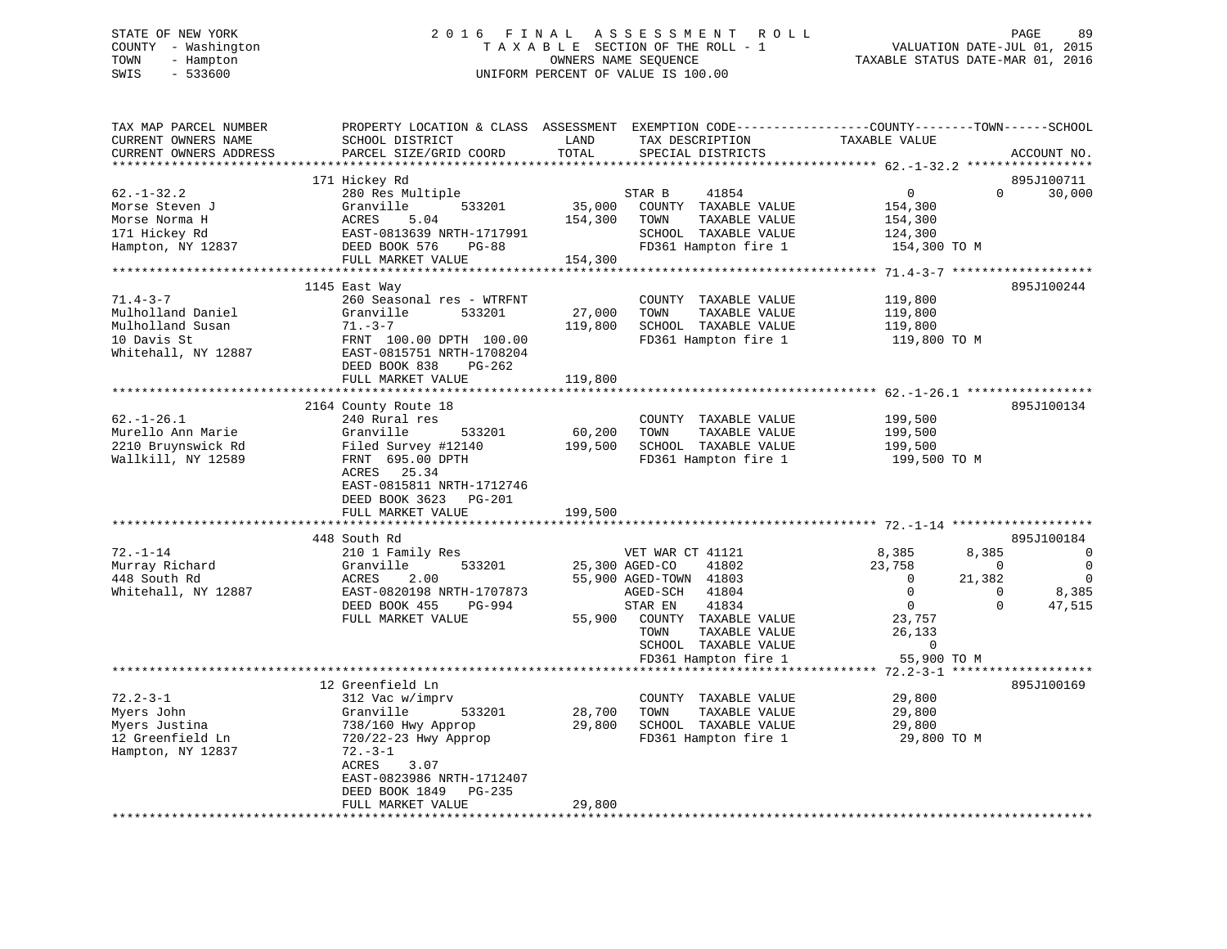# STATE OF NEW YORK 2 0 1 6 F I N A L A S S E S S M E N T R O L L PAGE 89 COUNTY - Washington T A X A B L E SECTION OF THE ROLL - 1 VALUATION DATE-JUL 01, 2015 TOWN - Hampton OWNERS NAME SEQUENCE TAXABLE STATUS DATE-MAR 01, 2016 SWIS - 533600 UNIFORM PERCENT OF VALUE IS 100.00

| TAX MAP PARCEL NUMBER             | PROPERTY LOCATION & CLASS ASSESSMENT       |                                  | EXEMPTION CODE-----------------COUNTY-------TOWN------SCHOOL  |
|-----------------------------------|--------------------------------------------|----------------------------------|---------------------------------------------------------------|
| CURRENT OWNERS NAME               | SCHOOL DISTRICT                            | LAND<br>TAX DESCRIPTION          | TAXABLE VALUE                                                 |
| CURRENT OWNERS ADDRESS            | PARCEL SIZE/GRID COORD                     | TOTAL<br>SPECIAL DISTRICTS       | ACCOUNT NO.                                                   |
| *******************               |                                            |                                  |                                                               |
|                                   | 171 Hickey Rd                              |                                  | 895J100711                                                    |
| $62. - 1 - 32.2$                  | 280 Res Multiple                           | STAR B<br>41854                  | $\mathbf 0$<br>$\Omega$<br>30,000                             |
| Morse Steven J                    | Granville<br>533201                        | 35,000<br>COUNTY TAXABLE VALUE   | 154,300                                                       |
| Morse Norma H                     | ACRES<br>5.04                              | 154,300<br>TAXABLE VALUE<br>TOWN | 154,300                                                       |
| 171 Hickey Rd                     | EAST-0813639 NRTH-1717991                  | SCHOOL TAXABLE VALUE             | 124,300                                                       |
| Hampton, NY 12837                 | DEED BOOK 576<br>PG-88                     | FD361 Hampton fire 1             | 154,300 TO M                                                  |
|                                   | FULL MARKET VALUE                          | 154,300                          |                                                               |
|                                   |                                            |                                  |                                                               |
|                                   | 1145 East Way                              |                                  | 895J100244                                                    |
| $71.4 - 3 - 7$                    | 260 Seasonal res - WTRFNT                  | COUNTY TAXABLE VALUE             | 119,800                                                       |
| Mulholland Daniel                 | Granville<br>533201                        | 27,000<br>TAXABLE VALUE<br>TOWN  | 119,800                                                       |
| Mulholland Susan                  | $71. - 3 - 7$                              | 119,800<br>SCHOOL TAXABLE VALUE  | 119,800                                                       |
| 10 Davis St                       | FRNT 100.00 DPTH 100.00                    | FD361 Hampton fire 1             | 119,800 TO M                                                  |
| Whitehall, NY 12887               | EAST-0815751 NRTH-1708204                  |                                  |                                                               |
|                                   | DEED BOOK 838<br>PG-262                    |                                  |                                                               |
|                                   | FULL MARKET VALUE                          | 119,800                          |                                                               |
|                                   | *********************                      | *********                        |                                                               |
|                                   | 2164 County Route 18                       |                                  | 895J100134                                                    |
| $62. - 1 - 26.1$                  | 240 Rural res                              | COUNTY TAXABLE VALUE             | 199,500                                                       |
| Murello Ann Marie                 | Granville<br>533201                        | 60,200<br>TOWN<br>TAXABLE VALUE  | 199,500                                                       |
| 2210 Bruynswick Rd                | Filed Survey #12140                        | 199,500<br>SCHOOL TAXABLE VALUE  | 199,500                                                       |
| Wallkill, NY 12589                | FRNT 695.00 DPTH                           | FD361 Hampton fire 1             | 199,500 TO M                                                  |
|                                   | 25.34<br>ACRES                             |                                  |                                                               |
|                                   | EAST-0815811 NRTH-1712746                  |                                  |                                                               |
|                                   | DEED BOOK 3623<br><b>PG-201</b>            |                                  |                                                               |
|                                   | FULL MARKET VALUE<br>********************* | 199,500<br>*********             |                                                               |
|                                   |                                            |                                  | 895J100184                                                    |
| $72. - 1 - 14$                    | 448 South Rd                               |                                  | 8,385<br>0                                                    |
|                                   | 210 1 Family Res<br>533201                 | VET WAR CT 41121                 | 8,385<br>$\mathbf 0$<br>$\Omega$                              |
| Murray Richard                    | Granville                                  | 25,300 AGED-CO<br>41802          | 23,758                                                        |
| 448 South Rd                      | ACRES<br>2.00                              | 55,900 AGED-TOWN 41803           | $\mathbf{0}$<br>21,382<br>$\mathbf 0$<br>$\Omega$<br>$\Omega$ |
| Whitehall, NY 12887               | EAST-0820198 NRTH-1707873                  | AGED-SCH<br>41804                | 8,385                                                         |
|                                   | DEED BOOK 455<br>PG-994                    | 41834<br>STAR EN                 | $\overline{0}$<br>$\Omega$<br>47,515                          |
|                                   | FULL MARKET VALUE                          | 55,900<br>COUNTY TAXABLE VALUE   | 23,757                                                        |
|                                   |                                            | TAXABLE VALUE<br>TOWN            | 26,133                                                        |
|                                   |                                            | SCHOOL TAXABLE VALUE             | $\mathbf 0$                                                   |
|                                   | *********************************          | FD361 Hampton fire 1             | 55,900 TO M<br>*************************** 72.2-3-1           |
|                                   | 12 Greenfield Ln                           |                                  | 895J100169                                                    |
| $72.2 - 3 - 1$                    | 312 Vac w/imprv                            | COUNTY TAXABLE VALUE             | 29,800                                                        |
| Myers John                        | Granville<br>533201                        | TAXABLE VALUE<br>28,700<br>TOWN  | 29,800                                                        |
|                                   |                                            | SCHOOL TAXABLE VALUE             |                                                               |
| Myers Justina<br>12 Greenfield Ln | 738/160 Hwy Approp                         | 29,800<br>FD361 Hampton fire 1   | 29,800                                                        |
|                                   | 720/22-23 Hwy Approp                       |                                  | 29,800 TO M                                                   |
| Hampton, NY 12837                 | $72. - 3 - 1$                              |                                  |                                                               |
|                                   | ACRES<br>3.07                              |                                  |                                                               |
|                                   | EAST-0823986 NRTH-1712407                  |                                  |                                                               |
|                                   | DEED BOOK 1849<br>PG-235                   |                                  |                                                               |
|                                   | FULL MARKET VALUE                          | 29,800                           |                                                               |
|                                   |                                            |                                  |                                                               |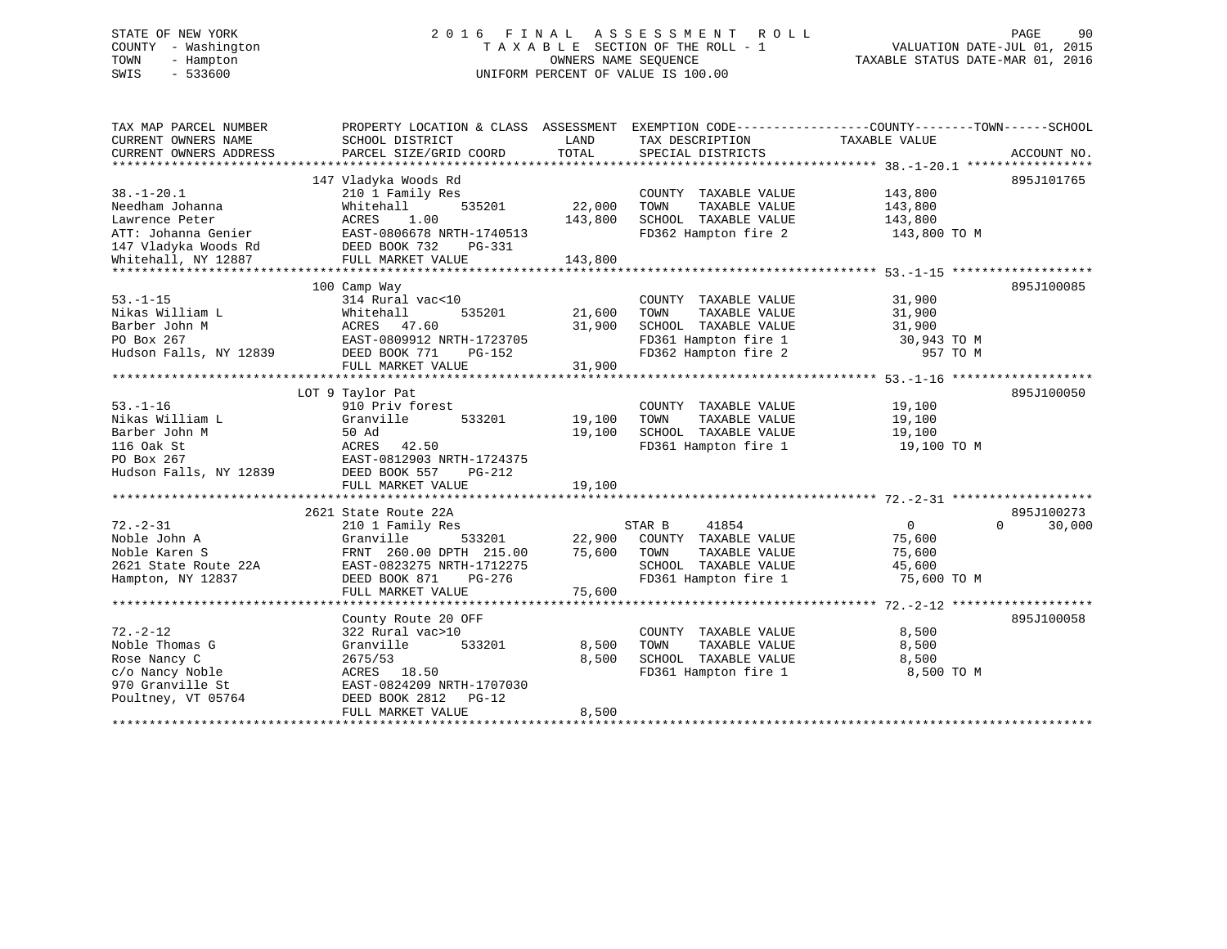# STATE OF NEW YORK 2 0 1 6 F I N A L A S S E S S M E N T R O L L PAGE 90 COUNTY - Washington T A X A B L E SECTION OF THE ROLL - 1 VALUATION DATE-JUL 01, 2015 TOWN - Hampton OWNERS NAME SEQUENCE TAXABLE STATUS DATE-MAR 01, 2016 SWIS - 533600 UNIFORM PERCENT OF VALUE IS 100.00

| TAX MAP PARCEL NUMBER<br>CURRENT OWNERS NAME<br>CURRENT OWNERS ADDRESS | PROPERTY LOCATION & CLASS ASSESSMENT EXEMPTION CODE----------------COUNTY-------TOWN-----SCHOOL<br>SCHOOL DISTRICT<br>PARCEL SIZE/GRID COORD | LAND<br>TOTAL | TAX DESCRIPTION<br>SPECIAL DISTRICTS | TAXABLE VALUE  | ACCOUNT NO.        |
|------------------------------------------------------------------------|----------------------------------------------------------------------------------------------------------------------------------------------|---------------|--------------------------------------|----------------|--------------------|
|                                                                        |                                                                                                                                              |               |                                      |                |                    |
|                                                                        | 147 Vladyka Woods Rd                                                                                                                         |               |                                      |                | 895J101765         |
| $38. - 1 - 20.1$                                                       | 210 1 Family Res                                                                                                                             |               | COUNTY TAXABLE VALUE                 | 143,800        |                    |
| Needham Johanna                                                        | 535201<br>Whitehall                                                                                                                          | 22,000        | TAXABLE VALUE<br>TOWN                | 143,800        |                    |
| Lawrence Peter                                                         | 1.00<br>ACRES                                                                                                                                | 143,800       | SCHOOL TAXABLE VALUE                 | 143,800        |                    |
| ATT: Johanna Genier                                                    | EAST-0806678 NRTH-1740513                                                                                                                    |               | FD362 Hampton fire 2                 | 143,800 TO M   |                    |
|                                                                        | DEED BOOK 732<br>PG-331                                                                                                                      |               |                                      |                |                    |
| ATT: Johanna -<br>147 Vladyka Woods Rd<br>Internall NY 12887           | FULL MARKET VALUE                                                                                                                            | 143,800       |                                      |                |                    |
|                                                                        |                                                                                                                                              |               |                                      |                |                    |
|                                                                        | 100 Camp Way                                                                                                                                 |               |                                      |                | 895J100085         |
| $53. - 1 - 15$                                                         | 314 Rural vac<10                                                                                                                             |               | COUNTY TAXABLE VALUE                 | 31,900         |                    |
| Nikas William L                                                        | Whitehall<br>535201                                                                                                                          | 21,600        | TAXABLE VALUE<br>TOWN                | 31,900         |                    |
| Barber John M                                                          | ACRES 47.60                                                                                                                                  | 31,900        | SCHOOL TAXABLE VALUE                 | 31,900         |                    |
| PO Box 267                                                             | EAST-0809912 NRTH-1723705                                                                                                                    |               | FD361 Hampton fire 1                 | 30,943 TO M    |                    |
| Hudson Falls, NY 12839                                                 | DEED BOOK 771<br>PG-152                                                                                                                      |               | FD362 Hampton fire 2                 | 957 TO M       |                    |
|                                                                        | FULL MARKET VALUE                                                                                                                            | 31,900        |                                      |                |                    |
|                                                                        |                                                                                                                                              |               |                                      |                |                    |
|                                                                        | LOT 9 Taylor Pat                                                                                                                             |               |                                      |                | 895J100050         |
| $53. - 1 - 16$                                                         | 910 Priv forest                                                                                                                              |               | COUNTY TAXABLE VALUE                 | 19,100         |                    |
| Nikas William L                                                        | Granville<br>533201                                                                                                                          | 19,100        | TAXABLE VALUE<br>TOWN                | 19,100         |                    |
| Barber John M                                                          | 50 Ad                                                                                                                                        | 19,100        | SCHOOL TAXABLE VALUE                 | 19,100         |                    |
| 116 Oak St                                                             | 42.50<br>ACRES                                                                                                                               |               | FD361 Hampton fire 1 19,100 TO M     |                |                    |
| PO Box 267                                                             | EAST-0812903 NRTH-1724375                                                                                                                    |               |                                      |                |                    |
| Hudson Falls, NY 12839                                                 | DEED BOOK 557<br>PG-212                                                                                                                      |               |                                      |                |                    |
|                                                                        | FULL MARKET VALUE                                                                                                                            | 19,100        |                                      |                |                    |
|                                                                        |                                                                                                                                              |               |                                      |                |                    |
|                                                                        | 2621 State Route 22A                                                                                                                         |               |                                      |                | 895J100273         |
| $72. - 2 - 31$                                                         | 210 1 Family Res                                                                                                                             |               | STAR B<br>41854                      | $\overline{0}$ | 30,000<br>$\Omega$ |
| Noble John A                                                           | 533201<br>Granville                                                                                                                          |               | 22,900 COUNTY TAXABLE VALUE          | 75,600         |                    |
| Noble Karen S                                                          | FRNT 260.00 DPTH 215.00                                                                                                                      | 75,600        | TAXABLE VALUE<br>TOWN                | 75,600         |                    |
| 2621 State Route 22A                                                   | EAST-0823275 NRTH-1712275                                                                                                                    |               | SCHOOL TAXABLE VALUE                 | 45,600         |                    |
| Hampton, NY 12837                                                      | DEED BOOK 871<br>PG-276                                                                                                                      |               | FD361 Hampton fire 1                 | 75,600 TO M    |                    |
|                                                                        | FULL MARKET VALUE                                                                                                                            | 75,600        |                                      |                |                    |
|                                                                        |                                                                                                                                              |               |                                      |                |                    |
|                                                                        | County Route 20 OFF                                                                                                                          |               |                                      |                | 895J100058         |
| $72. - 2 - 12$                                                         | 322 Rural vac>10                                                                                                                             |               | COUNTY TAXABLE VALUE                 | 8,500          |                    |
| Noble Thomas G                                                         | Granville<br>533201                                                                                                                          | 8,500         | TAXABLE VALUE<br>TOWN                | 8,500          |                    |
| Rose Nancy C                                                           | 2675/53                                                                                                                                      | 8,500         | SCHOOL TAXABLE VALUE                 | 8,500          |                    |
| c/o Nancy Noble                                                        | ACRES 18.50                                                                                                                                  |               | FD361 Hampton fire 1                 | 8,500 TO M     |                    |
| 970 Granville St                                                       | EAST-0824209 NRTH-1707030                                                                                                                    |               |                                      |                |                    |
| Poultney, VT 05764                                                     | DEED BOOK 2812<br>PG-12<br>FULL MARKET VALUE                                                                                                 | 8,500         |                                      |                |                    |
|                                                                        |                                                                                                                                              |               |                                      |                |                    |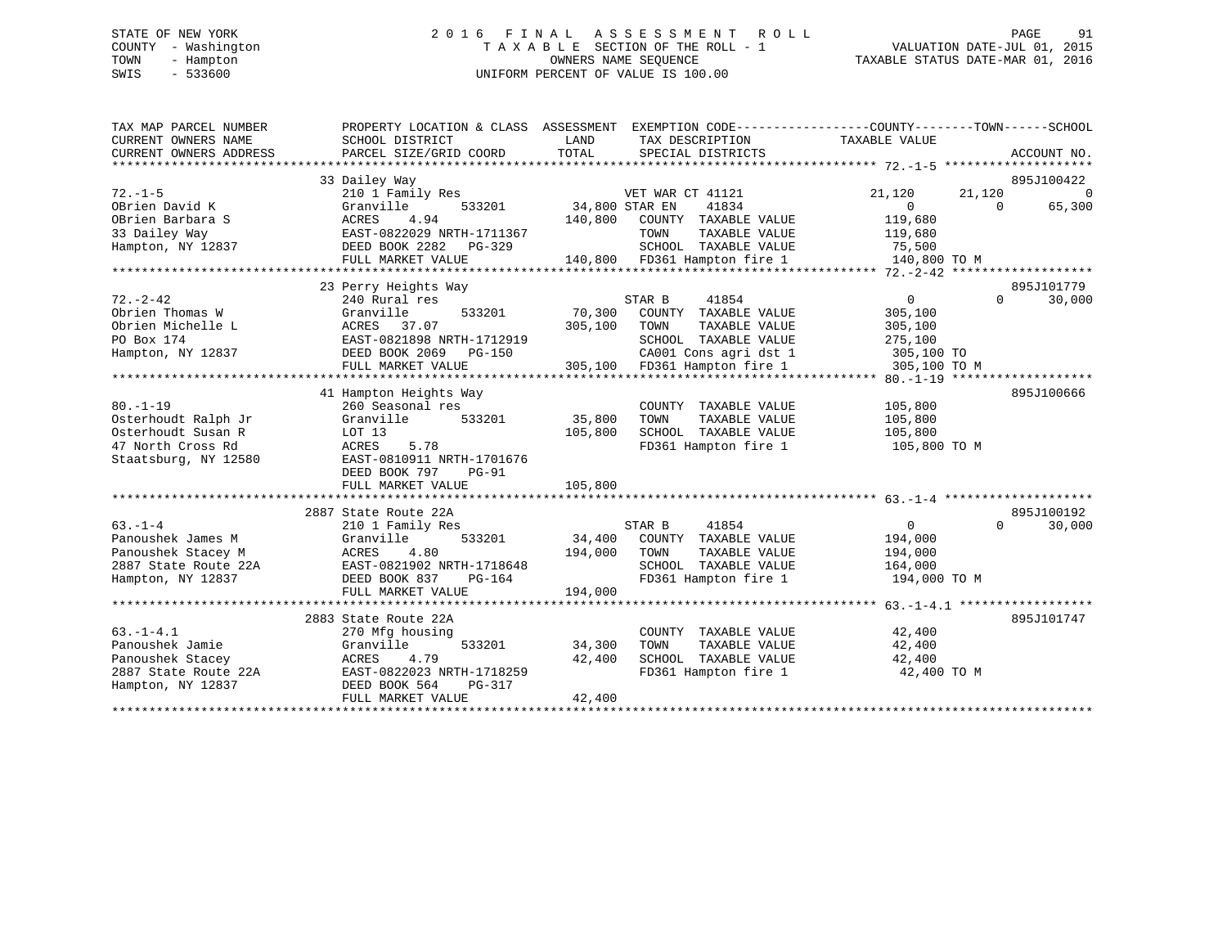# STATE OF NEW YORK 2 0 1 6 F I N A L A S S E S S M E N T R O L L PAGE 91 COUNTY - Washington T A X A B L E SECTION OF THE ROLL - 1 VALUATION DATE-JUL 01, 2015 TOWN - Hampton OWNERS NAME SEQUENCE TAXABLE STATUS DATE-MAR 01, 2016 SWIS - 533600 UNIFORM PERCENT OF VALUE IS 100.00

| TAX MAP PARCEL NUMBER                         | PROPERTY LOCATION & CLASS ASSESSMENT      |                | EXEMPTION CODE-----------------COUNTY-------TOWN------SCHOOL |                |                    |          |
|-----------------------------------------------|-------------------------------------------|----------------|--------------------------------------------------------------|----------------|--------------------|----------|
| CURRENT OWNERS NAME<br>CURRENT OWNERS ADDRESS | SCHOOL DISTRICT<br>PARCEL SIZE/GRID COORD | LAND<br>TOTAL  | TAX DESCRIPTION<br>SPECIAL DISTRICTS                         | TAXABLE VALUE  | ACCOUNT NO.        |          |
|                                               |                                           |                |                                                              |                |                    |          |
|                                               | 33 Dailey Way                             |                |                                                              |                | 895J100422         |          |
| $72. - 1 - 5$                                 | 210 1 Family Res                          |                | VET WAR CT 41121                                             | 21,120         | 21,120             | $\Omega$ |
| OBrien David K                                | Granville<br>533201                       | 34,800 STAR EN | 41834                                                        | $\Omega$       | 65,300<br>$\Omega$ |          |
| OBrien Barbara S                              | ACRES<br>4.94                             | 140,800        | COUNTY TAXABLE VALUE                                         | 119,680        |                    |          |
| 33 Dailey Way                                 | EAST-0822029 NRTH-1711367                 |                | TAXABLE VALUE<br>TOWN                                        | 119,680        |                    |          |
| Hampton, NY 12837                             | DEED BOOK 2282<br>PG-329                  |                | SCHOOL TAXABLE VALUE                                         | 75,500         |                    |          |
|                                               | FULL MARKET VALUE                         |                | SCHOOL TAXABLE VALUE<br>140,800 FD361 Hampton fire 1         | 140,800 TO M   |                    |          |
|                                               |                                           |                |                                                              |                |                    |          |
|                                               | 23 Perry Heights Way                      |                |                                                              |                | 895J101779         |          |
| $72. - 2 - 42$                                | 240 Rural res                             |                | STAR B<br>41854                                              | $\overline{0}$ | $\Omega$<br>30,000 |          |
| Obrien Thomas W                               | 533201<br>Granville                       | 70,300         | COUNTY TAXABLE VALUE                                         | 305,100        |                    |          |
| Obrien Michelle L                             | ACRES 37.07                               | 305,100        | TOWN<br>TAXABLE VALUE                                        | 305,100        |                    |          |
| PO Box 174                                    | EAST-0821898 NRTH-1712919                 |                | SCHOOL TAXABLE VALUE                                         | 275,100        |                    |          |
| Hampton, NY 12837                             | DEED BOOK 2069 PG-150                     |                | CA001 Cons agri dst 1                                        | 305,100 TO     |                    |          |
|                                               | FULL MARKET VALUE                         |                | 305,100 FD361 Hampton fire 1                                 | 305,100 TO M   |                    |          |
|                                               |                                           |                |                                                              |                |                    |          |
|                                               | 41 Hampton Heights Way                    |                |                                                              |                | 895J100666         |          |
| $80. - 1 - 19$                                | 260 Seasonal res                          |                | COUNTY TAXABLE VALUE                                         | 105,800        |                    |          |
| Osterhoudt Ralph Jr                           | 533201<br>Granville                       | 35,800         | TAXABLE VALUE<br>TOWN                                        | 105,800        |                    |          |
| Osterhoudt Susan R                            | LOT 13                                    | 105,800        | SCHOOL TAXABLE VALUE 105,800                                 |                |                    |          |
| 47 North Cross Rd                             | ACRES<br>5.78                             |                | FD361 Hampton fire 1                                         | 105,800 TO M   |                    |          |
| Staatsburg, NY 12580                          | EAST-0810911 NRTH-1701676                 |                |                                                              |                |                    |          |
|                                               | DEED BOOK 797<br><b>PG-91</b>             |                |                                                              |                |                    |          |
|                                               | FULL MARKET VALUE                         | 105,800        |                                                              |                |                    |          |
|                                               | 2887 State Route 22A                      |                |                                                              |                | 895J100192         |          |
| $63 - 1 - 4$                                  | 210 1 Family Res                          |                | 41854<br>STAR B                                              | $\overline{0}$ | 30,000<br>$\Omega$ |          |
| Panoushek James M                             | 533201<br>Granville                       |                | 34,400 COUNTY TAXABLE VALUE                                  | 194,000        |                    |          |
| Panoushek Stacey M                            | ACRES<br>4.80                             | 194,000        | TOWN<br>TAXABLE VALUE                                        | 194,000        |                    |          |
| 2887 State Route 22A                          | EAST-0821902 NRTH-1718648                 |                | SCHOOL TAXABLE VALUE                                         | 164,000        |                    |          |
| Hampton, NY 12837                             | DEED BOOK 837<br>PG-164                   |                | FD361 Hampton fire 1                                         | 194,000 TO M   |                    |          |
|                                               | FULL MARKET VALUE                         | 194,000        |                                                              |                |                    |          |
|                                               |                                           |                |                                                              |                |                    |          |
|                                               | 2883 State Route 22A                      |                |                                                              |                | 895J101747         |          |
| $63. -1 - 4.1$                                | 270 Mfg housing                           |                | COUNTY TAXABLE VALUE                                         | 42,400         |                    |          |
| Panoushek Jamie                               | 533201<br>Granville                       | 34,300         | TOWN<br>TAXABLE VALUE                                        | 42,400         |                    |          |
| Panoushek Stacey                              | ACRES<br>4.79                             | 42,400         | SCHOOL TAXABLE VALUE                                         | 42,400         |                    |          |
| 2887 State Route 22A                          | EAST-0822023 NRTH-1718259                 |                | FD361 Hampton fire 1                                         | 42,400 TO M    |                    |          |
| Hampton, NY 12837                             | DEED BOOK 564<br>PG-317                   |                |                                                              |                |                    |          |
|                                               | FULL MARKET VALUE                         | 42,400         |                                                              |                |                    |          |
|                                               |                                           |                |                                                              |                |                    |          |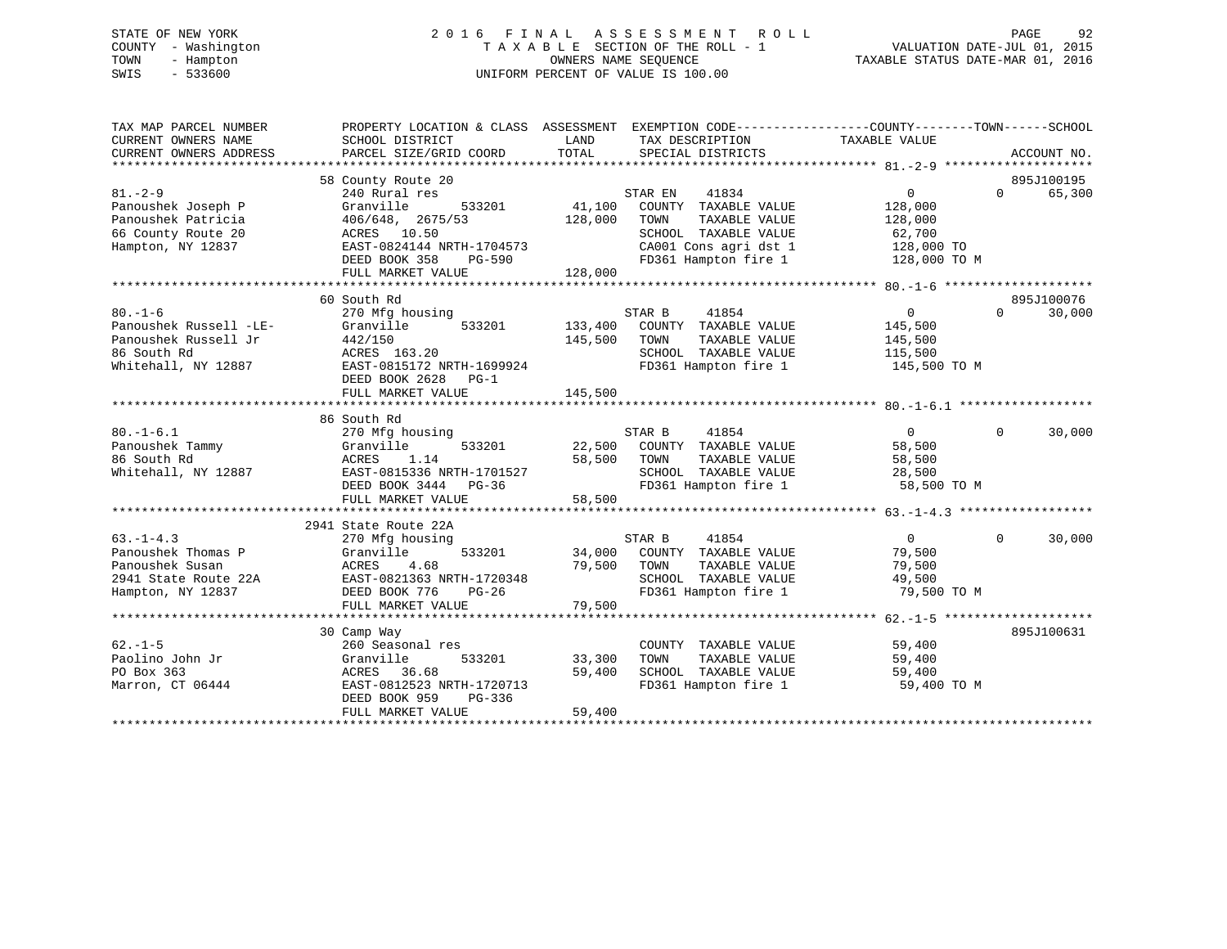# STATE OF NEW YORK 2 0 1 6 F I N A L A S S E S S M E N T R O L L PAGE 92 COUNTY - Washington T A X A B L E SECTION OF THE ROLL - 1 VALUATION DATE-JUL 01, 2015 TOWN - Hampton OWNERS NAME SEQUENCE TAXABLE STATUS DATE-MAR 01, 2016 SWIS - 533600 UNIFORM PERCENT OF VALUE IS 100.00

| TAX MAP PARCEL NUMBER<br>CURRENT OWNERS NAME<br>CURRENT OWNERS ADDRESS                                | PROPERTY LOCATION & CLASS ASSESSMENT EXEMPTION CODE---------------COUNTY-------TOWN-----SCHOOL<br>SCHOOL DISTRICT<br>PARCEL SIZE/GRID COORD                                | LAND<br>TOTAL                 | TAX DESCRIPTION<br>SPECIAL DISTRICTS                                                                                                       | TAXABLE VALUE                                                                | ACCOUNT NO.                      |
|-------------------------------------------------------------------------------------------------------|----------------------------------------------------------------------------------------------------------------------------------------------------------------------------|-------------------------------|--------------------------------------------------------------------------------------------------------------------------------------------|------------------------------------------------------------------------------|----------------------------------|
| $81. - 2 - 9$<br>Panoushek Joseph P<br>Panoushek Patricia<br>66 County Route 20<br>Hampton, NY 12837  | 58 County Route 20<br>240 Rural res<br>Granville<br>533201<br>406/648, 2675/53<br>ACRES 10.50<br>EAST-0824144 NRTH-1704573<br>DEED BOOK 358<br>PG-590<br>FULL MARKET VALUE | 41,100<br>128,000<br>128,000  | STAR EN<br>41834<br>COUNTY TAXABLE VALUE<br>TAXABLE VALUE<br>TOWN<br>SCHOOL TAXABLE VALUE<br>CA001 Cons agri dst 1<br>FD361 Hampton fire 1 | $\overline{0}$<br>128,000<br>128,000<br>62,700<br>128,000 TO<br>128,000 TO M | 895J100195<br>$\Omega$<br>65,300 |
|                                                                                                       |                                                                                                                                                                            |                               |                                                                                                                                            |                                                                              |                                  |
| $80. - 1 - 6$<br>Panoushek Russell -LE-<br>Panoushek Russell Jr<br>86 South Rd<br>Whitehall, NY 12887 | 60 South Rd<br>270 Mfg housing<br>Granville<br>533201<br>442/150<br>ACRES 163.20<br>EAST-0815172 NRTH-1699924<br>DEED BOOK 2628 PG-1<br>FULL MARKET VALUE                  | 133,400<br>145,500<br>145,500 | STAR B<br>41854<br>COUNTY TAXABLE VALUE<br>TOWN<br>TAXABLE VALUE<br>SCHOOL TAXABLE VALUE<br>FD361 Hampton fire 1                           | $\overline{0}$<br>145,500<br>145,500<br>115,500<br>145,500 TO M              | 895J100076<br>30,000<br>$\Omega$ |
|                                                                                                       |                                                                                                                                                                            |                               |                                                                                                                                            |                                                                              |                                  |
| $80. -1 - 6.1$<br>Panoushek Tammy<br>86 South Rd<br>Whitehall, NY 12887                               | 86 South Rd<br>270 Mfg housing<br>533201<br>Granville<br>ACRES<br>1.14<br>EAST-0815336 NRTH-1701527<br>DEED BOOK 3444 PG-36<br>FULL MARKET VALUE                           | 58,500 TOWN<br>58,500         | 41854<br>STAR B<br>22,500 COUNTY TAXABLE VALUE<br>TAXABLE VALUE<br>SCHOOL TAXABLE VALUE<br>FD361 Hampton fire 1                            | $\overline{0}$<br>58,500<br>58,500<br>28,500<br>58,500 TO M                  | 30,000<br>$\overline{0}$         |
|                                                                                                       |                                                                                                                                                                            |                               |                                                                                                                                            |                                                                              |                                  |
| $63. -1 - 4.3$<br>Panoushek Thomas P<br>Panoushek Susan<br>2941 State Route 22A<br>Hampton, NY 12837  | 2941 State Route 22A<br>270 Mfg housing<br>533201<br>Granville<br>ACRES<br>4.68<br>EAST-0821363 NRTH-1720348<br>DEED BOOK 776<br>PG-26<br>FULL MARKET VALUE                | 34,000<br>79,500<br>79,500    | STAR B<br>41854<br>COUNTY TAXABLE VALUE<br>TOWN<br>TAXABLE VALUE<br>SCHOOL TAXABLE VALUE<br>FD361 Hampton fire 1                           | $\overline{0}$<br>79,500<br>79,500<br>49,500<br>79,500 TO M                  | 30,000<br>$\Omega$               |
|                                                                                                       | ********************************                                                                                                                                           |                               | ***************************                                                                                                                | **************** 62.-1-5 ********************                                |                                  |
| $62. - 1 - 5$<br>Paolino John Jr<br>PO Box 363<br>Marron, CT 06444                                    | 30 Camp Way<br>260 Seasonal res<br>533201<br>Granville<br>ACRES<br>36.68<br>EAST-0812523 NRTH-1720713<br>DEED BOOK 959<br>PG-336<br>FULL MARKET VALUE                      | 33,300<br>59,400<br>59,400    | COUNTY TAXABLE VALUE<br>TOWN<br>TAXABLE VALUE<br>SCHOOL TAXABLE VALUE<br>FD361 Hampton fire 1                                              | 59,400<br>59,400<br>59,400<br>59,400 TO M                                    | 895J100631                       |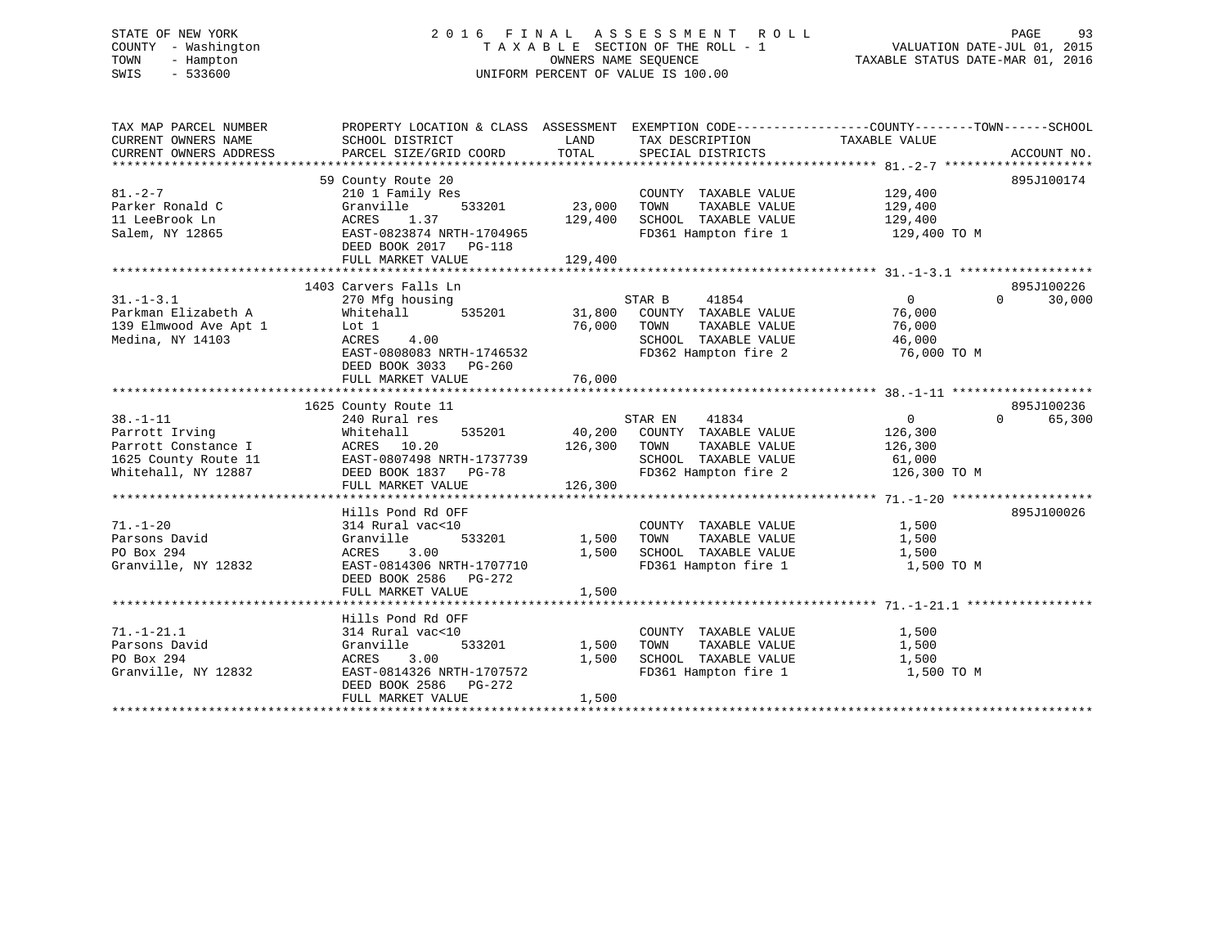# STATE OF NEW YORK 2 0 1 6 F I N A L A S S E S S M E N T R O L L PAGE 93 COUNTY - Washington T A X A B L E SECTION OF THE ROLL - 1 VALUATION DATE-JUL 01, 2015 TOWN - Hampton OWNERS NAME SEQUENCE TAXABLE STATUS DATE-MAR 01, 2016 SWIS - 533600 UNIFORM PERCENT OF VALUE IS 100.00

| TAX MAP PARCEL NUMBER<br>CURRENT OWNERS NAME<br>CURRENT OWNERS ADDRESS<br>*************************    | PROPERTY LOCATION & CLASS ASSESSMENT<br>SCHOOL DISTRICT<br>PARCEL SIZE/GRID COORD                                                                                    | LAND<br>TOTAL                | TAX DESCRIPTION<br>SPECIAL DISTRICTS                                                                              | EXEMPTION CODE----------------COUNTY-------TOWN-----SCHOOL<br>TAXABLE VALUE | ACCOUNT NO.                      |
|--------------------------------------------------------------------------------------------------------|----------------------------------------------------------------------------------------------------------------------------------------------------------------------|------------------------------|-------------------------------------------------------------------------------------------------------------------|-----------------------------------------------------------------------------|----------------------------------|
| $81. - 2 - 7$<br>Parker Ronald C<br>11 LeeBrook Ln<br>Salem, NY 12865                                  | 59 County Route 20<br>210 1 Family Res<br>533201<br>Granville<br>ACRES<br>1.37<br>EAST-0823874 NRTH-1704965<br>DEED BOOK 2017<br>PG-118<br>FULL MARKET VALUE         | 23,000<br>129,400<br>129,400 | COUNTY TAXABLE VALUE<br>TOWN<br>TAXABLE VALUE<br>SCHOOL TAXABLE VALUE<br>FD361 Hampton fire 1                     | 129,400<br>129,400<br>129,400<br>129,400 TO M                               | 895J100174                       |
| $31. - 1 - 3.1$<br>Parkman Elizabeth A<br>139 Elmwood Ave Apt 1<br>Medina, NY 14103                    | 1403 Carvers Falls Ln<br>270 Mfg housing<br>Whitehall<br>535201<br>Lot 1<br>ACRES<br>4.00<br>EAST-0808083 NRTH-1746532<br>DEED BOOK 3033 PG-260<br>FULL MARKET VALUE | 31,800<br>76,000<br>76,000   | STAR B<br>41854<br>COUNTY TAXABLE VALUE<br>TOWN<br>TAXABLE VALUE<br>SCHOOL TAXABLE VALUE<br>FD362 Hampton fire 2  | $\overline{0}$<br>76,000<br>76,000<br>46,000<br>76,000 TO M                 | 895J100226<br>$\Omega$<br>30,000 |
| $38. - 1 - 11$<br>Parrott Irving<br>Parrott Constance I<br>1625 County Route 11<br>Whitehall, NY 12887 | 1625 County Route 11<br>240 Rural res<br>535201<br>Whitehall<br>ACRES 10.20<br>EAST-0807498 NRTH-1737739<br>DEED BOOK 1837<br>$PG-78$<br>FULL MARKET VALUE           | 40,200<br>126,300<br>126,300 | STAR EN<br>41834<br>COUNTY TAXABLE VALUE<br>TOWN<br>TAXABLE VALUE<br>SCHOOL TAXABLE VALUE<br>FD362 Hampton fire 2 | $\overline{0}$<br>126,300<br>126,300<br>61,000<br>126,300 TO M              | 895J100236<br>$\Omega$<br>65,300 |
| $71. - 1 - 20$<br>Parsons David<br>PO Box 294<br>Granville, NY 12832                                   | Hills Pond Rd OFF<br>314 Rural vac<10<br>533201<br>Granville<br>ACRES<br>3.00<br>EAST-0814306 NRTH-1707710<br>DEED BOOK 2586 PG-272<br>FULL MARKET VALUE             | 1,500<br>1,500<br>1,500      | COUNTY TAXABLE VALUE<br>TAXABLE VALUE<br>TOWN<br>SCHOOL TAXABLE VALUE<br>FD361 Hampton fire 1                     | 1,500<br>1,500<br>1,500<br>1,500 TO M                                       | 895J100026                       |
| $71. - 1 - 21.1$<br>Parsons David<br>PO Box 294<br>Granville, NY 12832                                 | Hills Pond Rd OFF<br>314 Rural vac<10<br>Granville<br>533201<br>ACRES<br>3.00<br>EAST-0814326 NRTH-1707572<br>DEED BOOK 2586 PG-272<br>FULL MARKET VALUE             | 1,500<br>1,500<br>1,500      | COUNTY TAXABLE VALUE<br>TOWN<br>TAXABLE VALUE<br>SCHOOL TAXABLE VALUE<br>FD361 Hampton fire 1                     | 1,500<br>1,500<br>1,500<br>1,500 TO M                                       |                                  |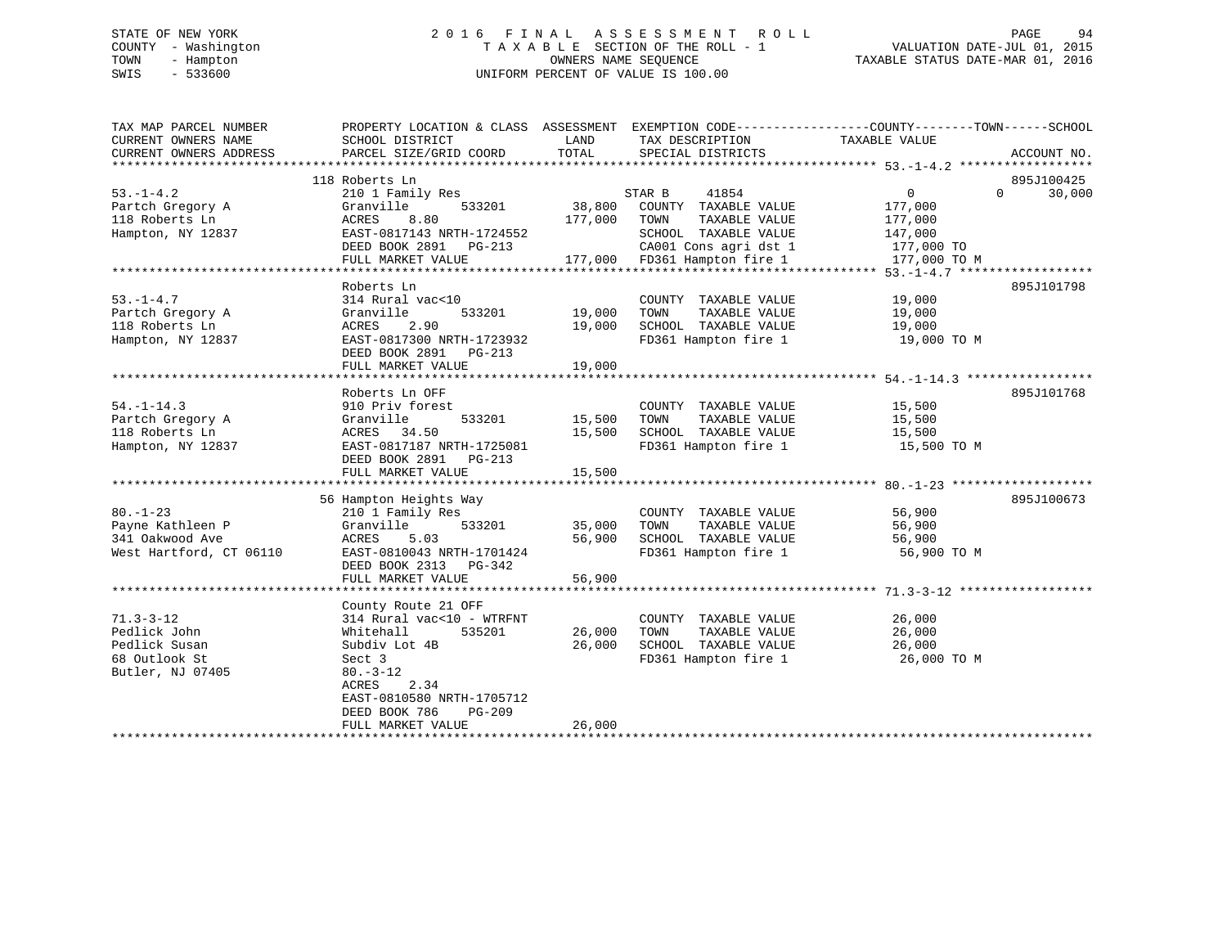# STATE OF NEW YORK 2 0 1 6 F I N A L A S S E S S M E N T R O L L PAGE 94 COUNTY - Washington T A X A B L E SECTION OF THE ROLL - 1 VALUATION DATE-JUL 01, 2015 TOWN - Hampton OWNERS NAME SEQUENCE TAXABLE STATUS DATE-MAR 01, 2016 SWIS - 533600 UNIFORM PERCENT OF VALUE IS 100.00

| TAX MAP PARCEL NUMBER   | PROPERTY LOCATION & CLASS ASSESSMENT EXEMPTION CODE---------------COUNTY-------TOWN-----SCHOOL |               |                                                                                                    |               |                    |
|-------------------------|------------------------------------------------------------------------------------------------|---------------|----------------------------------------------------------------------------------------------------|---------------|--------------------|
| CURRENT OWNERS NAME     | SCHOOL DISTRICT                                                                                | LAND          | TAX DESCRIPTION                                                                                    | TAXABLE VALUE |                    |
| CURRENT OWNERS ADDRESS  | PARCEL SIZE/GRID COORD                                                                         | TOTAL         | SPECIAL DISTRICTS                                                                                  |               | ACCOUNT NO.        |
|                         |                                                                                                |               |                                                                                                    |               |                    |
|                         | 118 Roberts Ln                                                                                 |               |                                                                                                    |               | 895J100425         |
| $53. -1 - 4.2$          | 210 1 Family Res                                                                               |               | STAR B<br>41854                                                                                    | 0             | 30,000<br>$\Omega$ |
| Partch Gregory A        | Granville<br>533201                                                                            |               | 38,800 COUNTY TAXABLE VALUE                                                                        | 177,000       |                    |
| 118 Roberts Ln          | ACRES<br>8.80                                                                                  |               | 177,000 TOWN<br>TAXABLE VALUE                                                                      | 177,000       |                    |
| Hampton, NY 12837       | EAST-0817143 NRTH-1724552                                                                      |               | SCHOOL TAXABLE VALUE                                                                               | 147,000       |                    |
|                         | DEED BOOK 2891 PG-213                                                                          |               | 2009-213 CA001 Cons agri dst 1<br>177,000 FD361 Hampton fire 1<br>CA001 Cons agri dst 1 177,000 TO |               |                    |
|                         | FULL MARKET VALUE                                                                              |               |                                                                                                    | 177,000 TO M  |                    |
|                         |                                                                                                |               |                                                                                                    |               |                    |
|                         | Roberts Ln                                                                                     |               |                                                                                                    |               | 895J101798         |
| $53. - 1 - 4.7$         | 314 Rural vac<10                                                                               |               | COUNTY TAXABLE VALUE                                                                               | 19,000        |                    |
| Partch Gregory A        | Granville                                                                                      | 533201 19,000 | TOWN<br>TAXABLE VALUE                                                                              | 19,000        |                    |
| 118 Roberts Ln          | ACRES<br>2.90                                                                                  | 19,000        | SCHOOL TAXABLE VALUE                                                                               | 19,000        |                    |
| Hampton, NY 12837       | EAST-0817300 NRTH-1723932                                                                      |               | FD361 Hampton fire 1 19,000 TO M                                                                   |               |                    |
|                         | DEED BOOK 2891 PG-213                                                                          |               |                                                                                                    |               |                    |
|                         | FULL MARKET VALUE                                                                              | 19,000        |                                                                                                    |               |                    |
|                         |                                                                                                |               |                                                                                                    |               |                    |
|                         | Roberts Ln OFF                                                                                 |               |                                                                                                    |               | 895J101768         |
| $54. - 1 - 14.3$        | 910 Priv forest                                                                                |               | COUNTY TAXABLE VALUE 15,500                                                                        |               |                    |
| Partch Gregory A        | Granville<br>533201                                                                            | 15,500        | TOWN      TAXABLE VALUE<br>SCHOOL   TAXABLE VALUE                                                  | 15,500        |                    |
| 118 Roberts Ln          | ACRES 34.50                                                                                    | 15,500        |                                                                                                    | 15,500        |                    |
| Hampton, NY 12837       | EAST-0817187 NRTH-1725081                                                                      |               | FD361 Hampton fire 1 15,500 TO M                                                                   |               |                    |
|                         | DEED BOOK 2891 PG-213                                                                          |               |                                                                                                    |               |                    |
|                         | FULL MARKET VALUE                                                                              | 15,500        |                                                                                                    |               |                    |
|                         |                                                                                                |               |                                                                                                    |               |                    |
|                         | 56 Hampton Heights Way                                                                         |               |                                                                                                    |               | 895J100673         |
| $80. - 1 - 23$          | 210 1 Family Res                                                                               |               | COUNTY TAXABLE VALUE                                                                               | 56,900        |                    |
| Payne Kathleen P        | Granville<br>533201                                                                            | 35,000 TOWN   | TAXABLE VALUE                                                                                      | 56,900        |                    |
| 341 Oakwood Ave         | 5.03<br>ACRES                                                                                  | 56,900        | SCHOOL TAXABLE VALUE                                                                               | 56,900        |                    |
| West Hartford, CT 06110 | EAST-0810043 NRTH-1701424                                                                      |               | FD361 Hampton fire 1                                                                               | 56,900 TO M   |                    |
|                         | DEED BOOK 2313 PG-342                                                                          |               |                                                                                                    |               |                    |
|                         | FULL MARKET VALUE                                                                              | 56,900        |                                                                                                    |               |                    |
|                         |                                                                                                |               |                                                                                                    |               |                    |
|                         | County Route 21 OFF                                                                            |               |                                                                                                    |               |                    |
| $71.3 - 3 - 12$         | 314 Rural vac<10 - WTRFNT                                                                      |               | COUNTY TAXABLE VALUE                                                                               | 26,000        |                    |
| Pedlick John            | 535201<br>Whitehall                                                                            | 26,000        | TOWN<br>TAXABLE VALUE                                                                              | 26,000        |                    |
| Pedlick Susan           | Subdiv Lot 4B                                                                                  | 26,000        | SCHOOL TAXABLE VALUE                                                                               | 26,000        |                    |
| 68 Outlook St           | Sect 3                                                                                         |               | FD361 Hampton fire 1                                                                               | 26,000 TO M   |                    |
| Butler, NJ 07405        | $80. - 3 - 12$                                                                                 |               |                                                                                                    |               |                    |
|                         | ACRES 2.34                                                                                     |               |                                                                                                    |               |                    |
|                         | EAST-0810580 NRTH-1705712                                                                      |               |                                                                                                    |               |                    |
|                         | DEED BOOK 786<br>PG-209                                                                        |               |                                                                                                    |               |                    |
|                         | FULL MARKET VALUE                                                                              | 26,000        |                                                                                                    |               |                    |
|                         |                                                                                                |               |                                                                                                    |               |                    |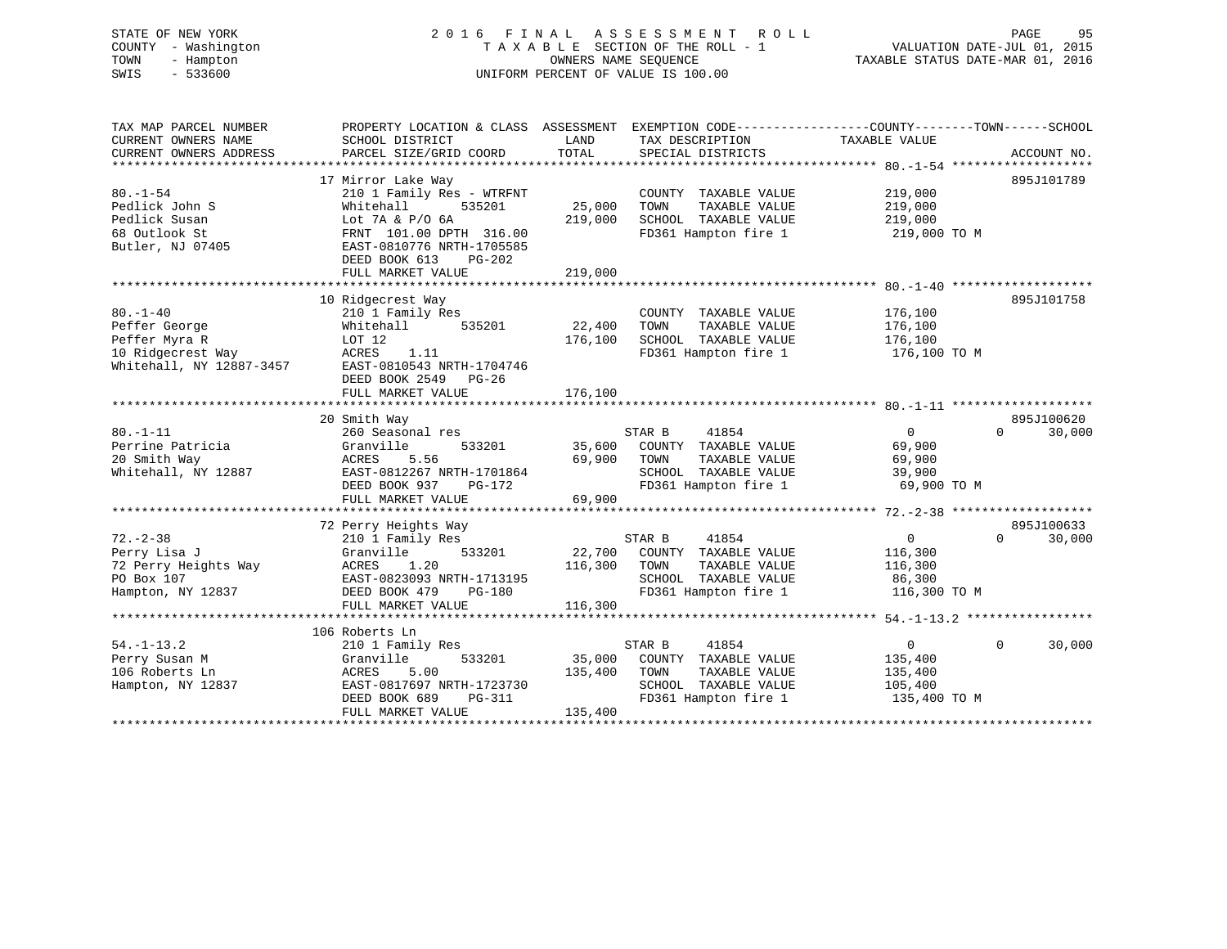# STATE OF NEW YORK 2 0 1 6 F I N A L A S S E S S M E N T R O L L PAGE 95 COUNTY - Washington T A X A B L E SECTION OF THE ROLL - 1 VALUATION DATE-JUL 01, 2015 TOWN - Hampton OWNERS NAME SEQUENCE TAXABLE STATUS DATE-MAR 01, 2016 SWIS - 533600 UNIFORM PERCENT OF VALUE IS 100.00

TAX MAP PARCEL NUMBER PROPERTY LOCATION & CLASS ASSESSMENT EXEMPTION CODE------------------COUNTY--------TOWN------SCHOOL CURRENT OWNERS NAME SCHOOL DISTRICT LAND TAX DESCRIPTION TAXABLE VALUE CURRENT OWNERS ADDRESS PARCEL SIZE/GRID COORD TOTAL SPECIAL DISTRICTS ACCOUNT NO. \*\*\*\*\*\*\*\*\*\*\*\*\*\*\*\*\*\*\*\*\*\*\*\*\*\*\*\*\*\*\*\*\*\*\*\*\*\*\*\*\*\*\*\*\*\*\*\*\*\*\*\*\*\*\*\*\*\*\*\*\*\*\*\*\*\*\*\*\*\*\*\*\*\*\*\*\*\*\*\*\*\*\*\*\*\*\*\*\*\*\*\*\*\*\*\*\*\*\*\*\*\*\* 80.-1-54 \*\*\*\*\*\*\*\*\*\*\*\*\*\*\*\*\*\*\* 17 Mirror Lake Way 895J101789 80.-1-54 210 1 Family Res - WTRFNT COUNTY TAXABLE VALUE 219,000 Pedlick John S Whitehall 535201 25,000 TOWN TAXABLE VALUE 219,000 Pedlick Susan Lot 7A & P/O 6A 219,000 SCHOOL TAXABLE VALUE 219,000 68 Outlook St FRNT 101.00 DPTH 316.00 FD361 Hampton fire 1 219,000 TO M Butler, NJ 07405 EAST-0810776 NRTH-1705585 DEED BOOK 613 PG-202FULL MARKET VALUE 219,000 \*\*\*\*\*\*\*\*\*\*\*\*\*\*\*\*\*\*\*\*\*\*\*\*\*\*\*\*\*\*\*\*\*\*\*\*\*\*\*\*\*\*\*\*\*\*\*\*\*\*\*\*\*\*\*\*\*\*\*\*\*\*\*\*\*\*\*\*\*\*\*\*\*\*\*\*\*\*\*\*\*\*\*\*\*\*\*\*\*\*\*\*\*\*\*\*\*\*\*\*\*\*\* 80.-1-40 \*\*\*\*\*\*\*\*\*\*\*\*\*\*\*\*\*\*\* 10 Ridgecrest Way 895J101758 80.-1-40 210 1 Family Res COUNTY TAXABLE VALUE 176,100 Peffer George Whitehall 535201 22,400 TOWN TAXABLE VALUE 176,100 Peffer Myra R LOT 12 176,100 SCHOOL TAXABLE VALUE 176,100 10 Ridgecrest Way ACRES 1.11 FD361 Hampton fire 1 176,100 TO M Whitehall, NY 12887-3457 EAST-0810543 NRTH-1704746 DEED BOOK 2549 PG-26FULL MARKET VALUE 176,100 \*\*\*\*\*\*\*\*\*\*\*\*\*\*\*\*\*\*\*\*\*\*\*\*\*\*\*\*\*\*\*\*\*\*\*\*\*\*\*\*\*\*\*\*\*\*\*\*\*\*\*\*\*\*\*\*\*\*\*\*\*\*\*\*\*\*\*\*\*\*\*\*\*\*\*\*\*\*\*\*\*\*\*\*\*\*\*\*\*\*\*\*\*\*\*\*\*\*\*\*\*\*\* 80.-1-11 \*\*\*\*\*\*\*\*\*\*\*\*\*\*\*\*\*\*\* 20 Smith Way 895J100620 80.-1-11 260 Seasonal res STAR B 41854 0 0 30,000 Perrine Patricia Granville 533201 35,600 COUNTY TAXABLE VALUE 69,900 20 Smith Way ACRES 5.56 69,900 TOWN TAXABLE VALUE 69,900 Whitehall, NY 12887 EAST-0812267 NRTH-1701864 SCHOOL TAXABLE VALUE 39,900 DEED BOOK 937 PG-172 FD361 Hampton fire 1 69,900 TO M FULL MARKET VALUE 69,900 \*\*\*\*\*\*\*\*\*\*\*\*\*\*\*\*\*\*\*\*\*\*\*\*\*\*\*\*\*\*\*\*\*\*\*\*\*\*\*\*\*\*\*\*\*\*\*\*\*\*\*\*\*\*\*\*\*\*\*\*\*\*\*\*\*\*\*\*\*\*\*\*\*\*\*\*\*\*\*\*\*\*\*\*\*\*\*\*\*\*\*\*\*\*\*\*\*\*\*\*\*\*\* 72.-2-38 \*\*\*\*\*\*\*\*\*\*\*\*\*\*\*\*\*\*\* 72 Perry Heights Way 895J100633 72.-2-38 210 1 Family Res STAR B 41854 0 0 30,000 Perry Lisa J Granville 533201 22,700 COUNTY TAXABLE VALUE 116,300 72 Perry Heights Way ACRES 1.20 116,300 TOWN TAXABLE VALUE 116,300 PO Box 107 EAST-0823093 NRTH-1713195 SCHOOL TAXABLE VALUE 86,300 Hampton, NY 12837 DEED BOOK 479 PG-180 FD361 Hampton fire 1 116,300 TO M FULL MARKET VALUE 116,300 \*\*\*\*\*\*\*\*\*\*\*\*\*\*\*\*\*\*\*\*\*\*\*\*\*\*\*\*\*\*\*\*\*\*\*\*\*\*\*\*\*\*\*\*\*\*\*\*\*\*\*\*\*\*\*\*\*\*\*\*\*\*\*\*\*\*\*\*\*\*\*\*\*\*\*\*\*\*\*\*\*\*\*\*\*\*\*\*\*\*\*\*\*\*\*\*\*\*\*\*\*\*\* 54.-1-13.2 \*\*\*\*\*\*\*\*\*\*\*\*\*\*\*\*\* 106 Roberts Ln210 1 Family Res 54.-1-13.2 210 1 Family Res STAR B 41854 0 0 30,000 Perry Susan M Granville 533201 35,000 COUNTY TAXABLE VALUE 135,400 106 Roberts Ln ACRES 5.00 135,400 TOWN TAXABLE VALUE 135,400 Hampton, NY 12837 EAST-0817697 NRTH-1723730 SCHOOL TAXABLE VALUE 105,400 DEED BOOK 689 PG-311 FD361 Hampton fire 1 135,400 TO M DEED BOOK 689 PG-311 FI<br>FULL MARKET VALUE 135,400 \*\*\*\*\*\*\*\*\*\*\*\*\*\*\*\*\*\*\*\*\*\*\*\*\*\*\*\*\*\*\*\*\*\*\*\*\*\*\*\*\*\*\*\*\*\*\*\*\*\*\*\*\*\*\*\*\*\*\*\*\*\*\*\*\*\*\*\*\*\*\*\*\*\*\*\*\*\*\*\*\*\*\*\*\*\*\*\*\*\*\*\*\*\*\*\*\*\*\*\*\*\*\*\*\*\*\*\*\*\*\*\*\*\*\*\*\*\*\*\*\*\*\*\*\*\*\*\*\*\*\*\*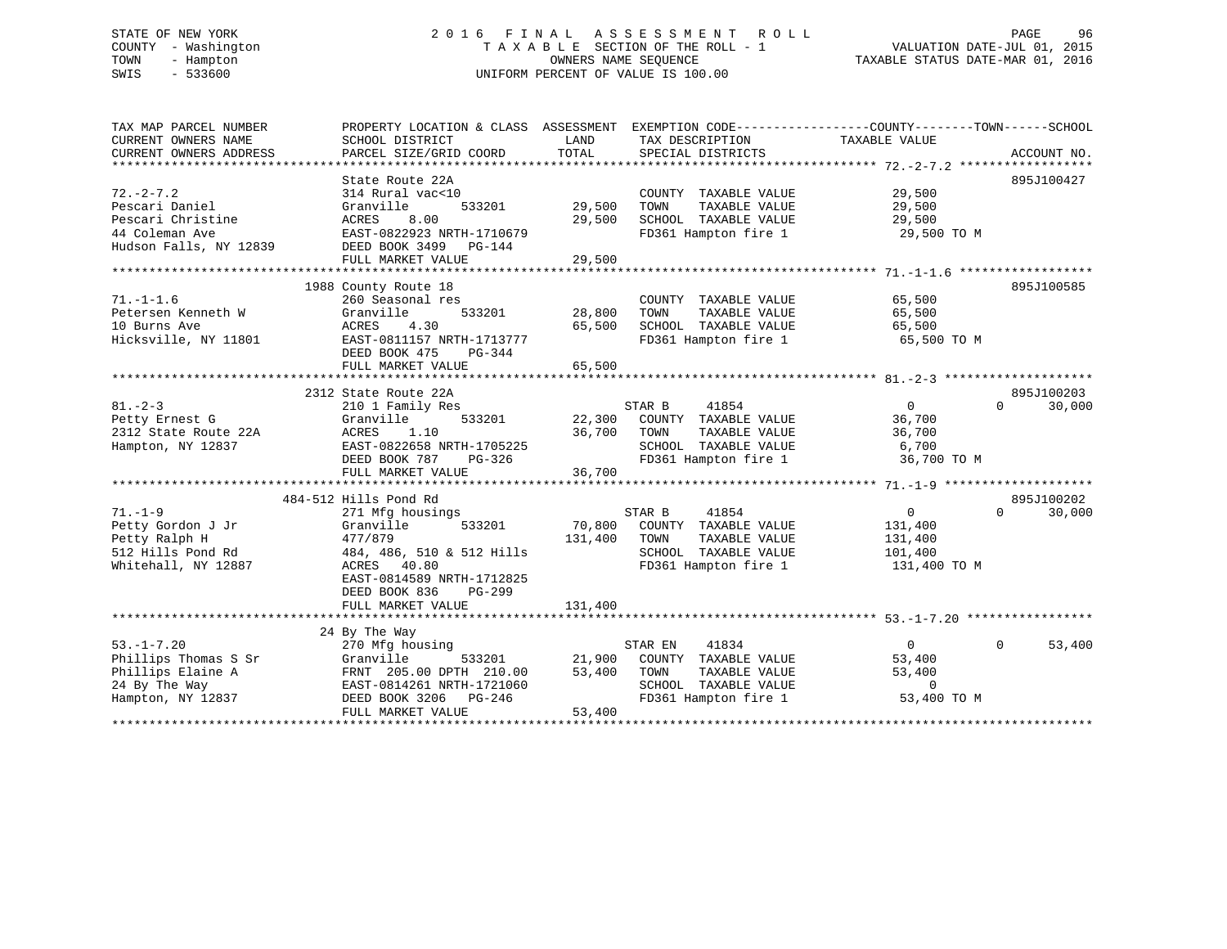# STATE OF NEW YORK 2 0 1 6 F I N A L A S S E S S M E N T R O L L PAGE 96 COUNTY - Washington T A X A B L E SECTION OF THE ROLL - 1 VALUATION DATE-JUL 01, 2015 TOWN - Hampton OWNERS NAME SEQUENCE TAXABLE STATUS DATE-MAR 01, 2016 SWIS - 533600 UNIFORM PERCENT OF VALUE IS 100.00

| TAX MAP PARCEL NUMBER              | PROPERTY LOCATION & CLASS ASSESSMENT EXEMPTION CODE----------------COUNTY-------TOWN-----SCHOOL |         |                                               |                    |                    |
|------------------------------------|-------------------------------------------------------------------------------------------------|---------|-----------------------------------------------|--------------------|--------------------|
| CURRENT OWNERS NAME                | SCHOOL DISTRICT                                                                                 | LAND    | TAX DESCRIPTION                               | TAXABLE VALUE      |                    |
| CURRENT OWNERS ADDRESS             | PARCEL SIZE/GRID COORD                                                                          | TOTAL   | SPECIAL DISTRICTS                             |                    | ACCOUNT NO.        |
|                                    |                                                                                                 |         |                                               |                    |                    |
|                                    | State Route 22A                                                                                 |         |                                               |                    | 895J100427         |
| $72. - 2 - 7.2$                    | 314 Rural vac<10                                                                                |         | COUNTY TAXABLE VALUE                          | 29,500             |                    |
| Pescari Daniel                     | Granville<br>533201                                                                             | 29,500  | TAXABLE VALUE<br>TOWN                         | 29,500             |                    |
| Pescari Christine                  | ACRES<br>8.00                                                                                   | 29,500  | SCHOOL TAXABLE VALUE                          | 29,500             |                    |
| 44 Coleman Ave                     | EAST-0822923 NRTH-1710679                                                                       |         | FD361 Hampton fire 1                          | 29,500 TO M        |                    |
| Hudson Falls, NY 12839             | DEED BOOK 3499 PG-144                                                                           |         |                                               |                    |                    |
|                                    | FULL MARKET VALUE                                                                               | 29,500  |                                               |                    |                    |
|                                    |                                                                                                 |         |                                               |                    |                    |
|                                    | 1988 County Route 18                                                                            |         |                                               |                    | 895J100585         |
| $71. - 1 - 1.6$                    | 260 Seasonal res                                                                                |         | COUNTY TAXABLE VALUE                          | 65,500             |                    |
| Petersen Kenneth W                 | Granville<br>533201                                                                             | 28,800  | TOWN<br>TAXABLE VALUE                         | 65,500             |                    |
| 10 Burns Ave                       | 4.30<br>ACRES                                                                                   | 65,500  | SCHOOL TAXABLE VALUE                          | 65,500             |                    |
| Hicksville, NY 11801               | EAST-0811157 NRTH-1713777                                                                       |         | FD361 Hampton fire 1                          | 65,500 TO M        |                    |
|                                    | DEED BOOK 475<br>PG-344                                                                         |         |                                               |                    |                    |
|                                    | FULL MARKET VALUE                                                                               | 65,500  |                                               |                    |                    |
|                                    |                                                                                                 |         |                                               |                    |                    |
|                                    | 2312 State Route 22A                                                                            |         |                                               |                    | 895J100203         |
| $81 - 2 - 3$                       | 210 1 Family Res                                                                                |         | STAR B<br>41854                               | $\overline{0}$     | $\Omega$<br>30,000 |
| Petty Ernest G                     | 533201<br>Granville                                                                             | 22,300  | COUNTY TAXABLE VALUE                          | 36,700             |                    |
| 2312 State Route 22A               | ACRES<br>1.10                                                                                   | 36,700  | TOWN<br>TAXABLE VALUE                         | 36,700             |                    |
| Hampton, NY 12837                  | EAST-0822658 NRTH-1705225                                                                       |         | SCHOOL TAXABLE VALUE                          | 6,700              |                    |
|                                    | DEED BOOK 787<br>PG-326                                                                         |         | FD361 Hampton fire 1                          | 36,700 TO M        |                    |
|                                    | FULL MARKET VALUE                                                                               | 36,700  |                                               |                    |                    |
|                                    | 484-512 Hills Pond Rd                                                                           |         |                                               |                    | 895J100202         |
| $71. - 1 - 9$                      | 271 Mfg housings                                                                                |         | 41854<br>STAR B                               | 0                  | $\Omega$<br>30,000 |
|                                    | 533201                                                                                          | 70,800  |                                               |                    |                    |
| Petty Gordon J Jr                  | Granville                                                                                       |         | COUNTY TAXABLE VALUE                          | 131,400            |                    |
| Petty Ralph H<br>512 Hills Pond Rd | 477/879<br>484, 486, 510 & 512 Hills                                                            | 131,400 | TAXABLE VALUE<br>TOWN<br>SCHOOL TAXABLE VALUE | 131,400<br>101,400 |                    |
| Whitehall, NY 12887                | ACRES 40.80                                                                                     |         | FD361 Hampton fire 1                          | 131,400 TO M       |                    |
|                                    | EAST-0814589 NRTH-1712825                                                                       |         |                                               |                    |                    |
|                                    | DEED BOOK 836<br>$PG-299$                                                                       |         |                                               |                    |                    |
|                                    | FULL MARKET VALUE                                                                               | 131,400 |                                               |                    |                    |
|                                    |                                                                                                 |         |                                               |                    |                    |
|                                    | 24 By The Way                                                                                   |         |                                               |                    |                    |
| $53. -1 - 7.20$                    | 270 Mfg housing                                                                                 |         | 41834<br>STAR EN                              | $\overline{0}$     | $\Omega$<br>53,400 |
| Phillips Thomas S Sr               | Granville<br>533201                                                                             | 21,900  | COUNTY TAXABLE VALUE                          | 53,400             |                    |
| Phillips Elaine A                  | FRNT 205.00 DPTH 210.00                                                                         | 53,400  | TOWN<br>TAXABLE VALUE                         | 53,400             |                    |
| 24 By The Way                      | EAST-0814261 NRTH-1721060                                                                       |         | SCHOOL TAXABLE VALUE                          | $\mathbf 0$        |                    |
| Hampton, NY 12837                  | DEED BOOK 3206 PG-246                                                                           |         | FD361 Hampton fire 1                          | 53,400 TO M        |                    |
|                                    | FULL MARKET VALUE                                                                               | 53,400  |                                               |                    |                    |
|                                    |                                                                                                 |         |                                               |                    |                    |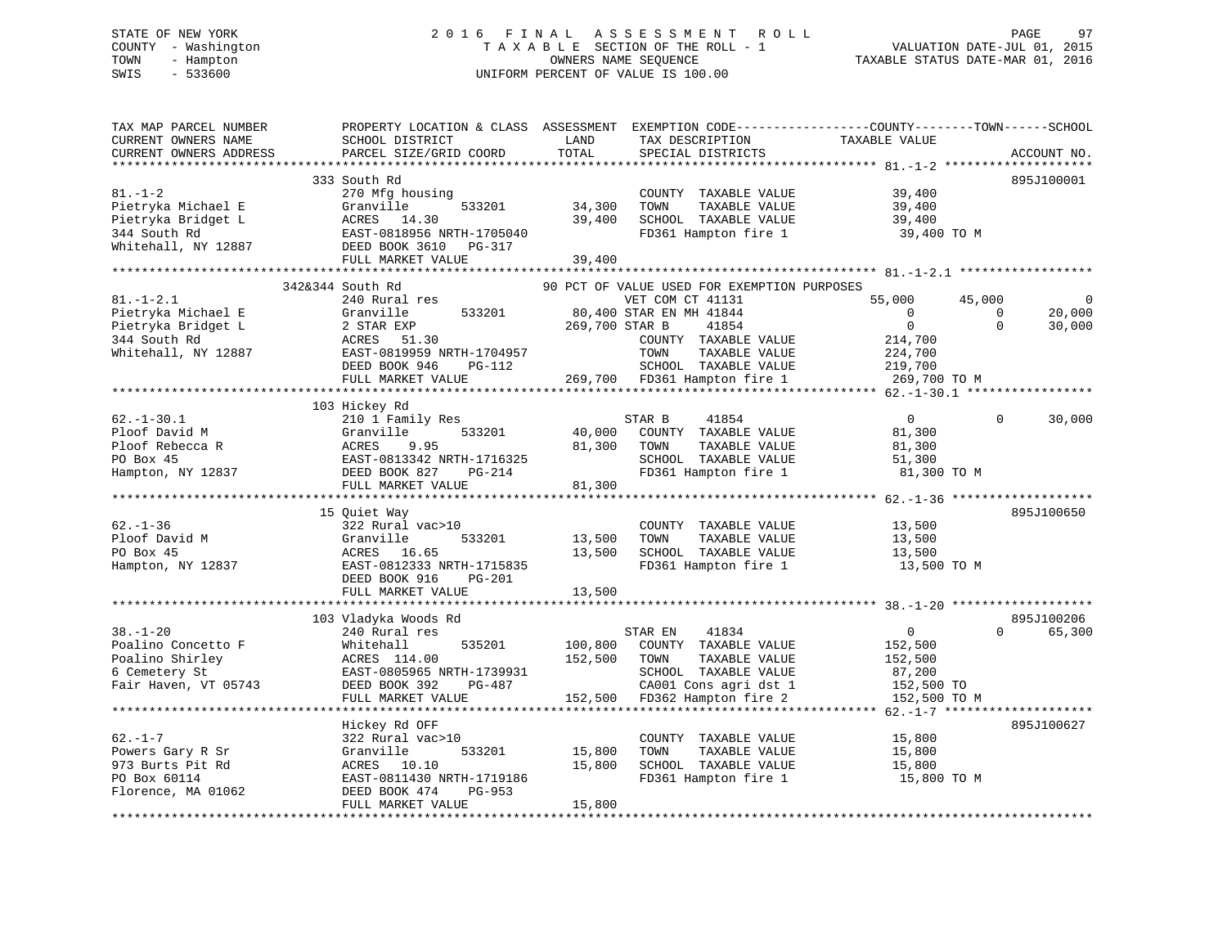# STATE OF NEW YORK 2 0 1 6 F I N A L A S S E S S M E N T R O L L PAGE 97 COUNTY - Washington T A X A B L E SECTION OF THE ROLL - 1 VALUATION DATE-JUL 01, 2015 TOWN - Hampton OWNERS NAME SEQUENCE TAXABLE STATUS DATE-MAR 01, 2016 SWIS - 533600 UNIFORM PERCENT OF VALUE IS 100.00

| TAX MAP PARCEL NUMBER<br>CURRENT OWNERS NAME<br>CURRENT OWNERS ADDRESS                             | PROPERTY LOCATION & CLASS ASSESSMENT<br>SCHOOL DISTRICT<br>PARCEL SIZE/GRID COORD                                                                                          | LAND<br>TOTAL              | EXEMPTION CODE----------------COUNTY-------TOWN------SCHOOL<br>TAX DESCRIPTION<br>SPECIAL DISTRICTS                                                   | TAXABLE VALUE                                                                                                   |                                | ACCOUNT NO.          |
|----------------------------------------------------------------------------------------------------|----------------------------------------------------------------------------------------------------------------------------------------------------------------------------|----------------------------|-------------------------------------------------------------------------------------------------------------------------------------------------------|-----------------------------------------------------------------------------------------------------------------|--------------------------------|----------------------|
|                                                                                                    |                                                                                                                                                                            | **********                 |                                                                                                                                                       |                                                                                                                 |                                | ************         |
| $81. - 1 - 2$<br>Pietryka Michael E<br>Pietryka Bridget L<br>344 South Rd<br>Whitehall, NY 12887   | 333 South Rd<br>270 Mfg housing<br>533201<br>Granville<br>ACRES 14.30<br>EAST-0818956 NRTH-1705040<br>DEED BOOK 3610 PG-317<br>FULL MARKET VALUE                           | 34,300<br>39,400<br>39,400 | COUNTY TAXABLE VALUE<br>TAXABLE VALUE<br>TOWN<br>SCHOOL TAXABLE VALUE<br>FD361 Hampton fire 1                                                         | 39,400<br>39,400<br>39,400<br>39,400 TO M                                                                       |                                | 895J100001           |
|                                                                                                    | 342&344 South Rd                                                                                                                                                           |                            | 90 PCT OF VALUE USED FOR EXEMPTION PURPOSES                                                                                                           |                                                                                                                 |                                |                      |
| $81. - 1 - 2.1$<br>Pietryka Michael E<br>Pietryka Bridget L<br>344 South Rd<br>Whitehall, NY 12887 | 240 Rural res<br>Granville<br>533201<br>2 STAR EXP<br>ACRES<br>51.30<br>EAST-0819959 NRTH-1704957<br>DEED BOOK 946<br>PG-112<br>FULL MARKET VALUE<br>********************* | 269,700 STAR B<br>269,700  | VET COM CT 41131<br>80,400 STAR EN MH 41844<br>41854<br>COUNTY TAXABLE VALUE<br>TOWN<br>TAXABLE VALUE<br>SCHOOL TAXABLE VALUE<br>FD361 Hampton fire 1 | 55,000<br>$\mathbf 0$<br>$\Omega$<br>214,700<br>224,700<br>219,700<br>269,700 TO M<br>****** $62,-1-30.1$ ***** | 45,000<br>$\Omega$<br>$\Omega$ | 20,000<br>30,000     |
|                                                                                                    | 103 Hickey Rd                                                                                                                                                              |                            |                                                                                                                                                       |                                                                                                                 |                                |                      |
| $62. - 1 - 30.1$<br>Ploof David M<br>Ploof Rebecca R<br>PO Box 45<br>Hampton, NY 12837             | 210 1 Family Res<br>Granville<br>533201<br>ACRES<br>9.95<br>EAST-0813342 NRTH-1716325<br>DEED BOOK 827<br>PG-214                                                           | 40,000<br>81,300           | STAR B<br>41854<br>COUNTY TAXABLE VALUE<br>TAXABLE VALUE<br>TOWN<br>SCHOOL TAXABLE VALUE<br>FD361 Hampton fire 1                                      | $\mathbf{0}$<br>81,300<br>81,300<br>51,300<br>81,300 TO M                                                       | $\Omega$                       | 30,000               |
|                                                                                                    | FULL MARKET VALUE                                                                                                                                                          | 81,300                     |                                                                                                                                                       |                                                                                                                 |                                |                      |
|                                                                                                    |                                                                                                                                                                            |                            |                                                                                                                                                       |                                                                                                                 |                                |                      |
| $62. - 1 - 36$<br>Ploof David M<br>PO Box 45<br>Hampton, NY 12837                                  | 15 Quiet Way<br>322 Rural vac>10<br>Granville<br>533201<br>ACRES 16.65<br>EAST-0812333 NRTH-1715835<br>DEED BOOK 916<br>PG-201<br>FULL MARKET VALUE                        | 13,500<br>13,500<br>13,500 | COUNTY TAXABLE VALUE<br>TOWN<br>TAXABLE VALUE<br>SCHOOL TAXABLE VALUE<br>FD361 Hampton fire 1                                                         | 13,500<br>13,500<br>13,500<br>13,500 TO M                                                                       |                                | 895J100650           |
|                                                                                                    |                                                                                                                                                                            |                            |                                                                                                                                                       |                                                                                                                 |                                |                      |
| $38. - 1 - 20$<br>Poalino Concetto F<br>Poalino Shirley<br>6 Cemetery St<br>Fair Haven, VT 05743   | 103 Vladyka Woods Rd<br>240 Rural res<br>Whitehall<br>535201<br>ACRES 114.00<br>EAST-0805965 NRTH-1739931<br>DEED BOOK 392<br>PG-487                                       | 100,800<br>152,500         | 41834<br>STAR EN<br>COUNTY TAXABLE VALUE<br>TAXABLE VALUE<br>TOWN<br>SCHOOL TAXABLE VALUE<br>CA001 Cons agri dst 1                                    | $\overline{0}$<br>152,500<br>152,500<br>87,200<br>152,500 TO                                                    | $\Omega$                       | 895J100206<br>65,300 |
|                                                                                                    | FULL MARKET VALUE<br>******************                                                                                                                                    | 152,500                    | FD362 Hampton fire 2                                                                                                                                  | 152,500 TO M<br>****** $62. -1 - 7$ ******                                                                      |                                | ************         |
| $62. - 1 - 7$<br>Powers Gary R Sr<br>973 Burts Pit Rd<br>PO Box 60114<br>Florence, MA 01062        | Hickey Rd OFF<br>322 Rural vac>10<br>Granville<br>533201<br>ACRES<br>10.10<br>EAST-0811430 NRTH-1719186<br>DEED BOOK 474<br>PG-953<br>FULL MARKET VALUE                    | 15,800<br>15,800<br>15,800 | COUNTY TAXABLE VALUE<br>TAXABLE VALUE<br>TOWN<br>SCHOOL TAXABLE VALUE<br>FD361 Hampton fire 1                                                         | 15,800<br>15,800<br>15,800<br>15,800 TO M                                                                       |                                | 895J100627           |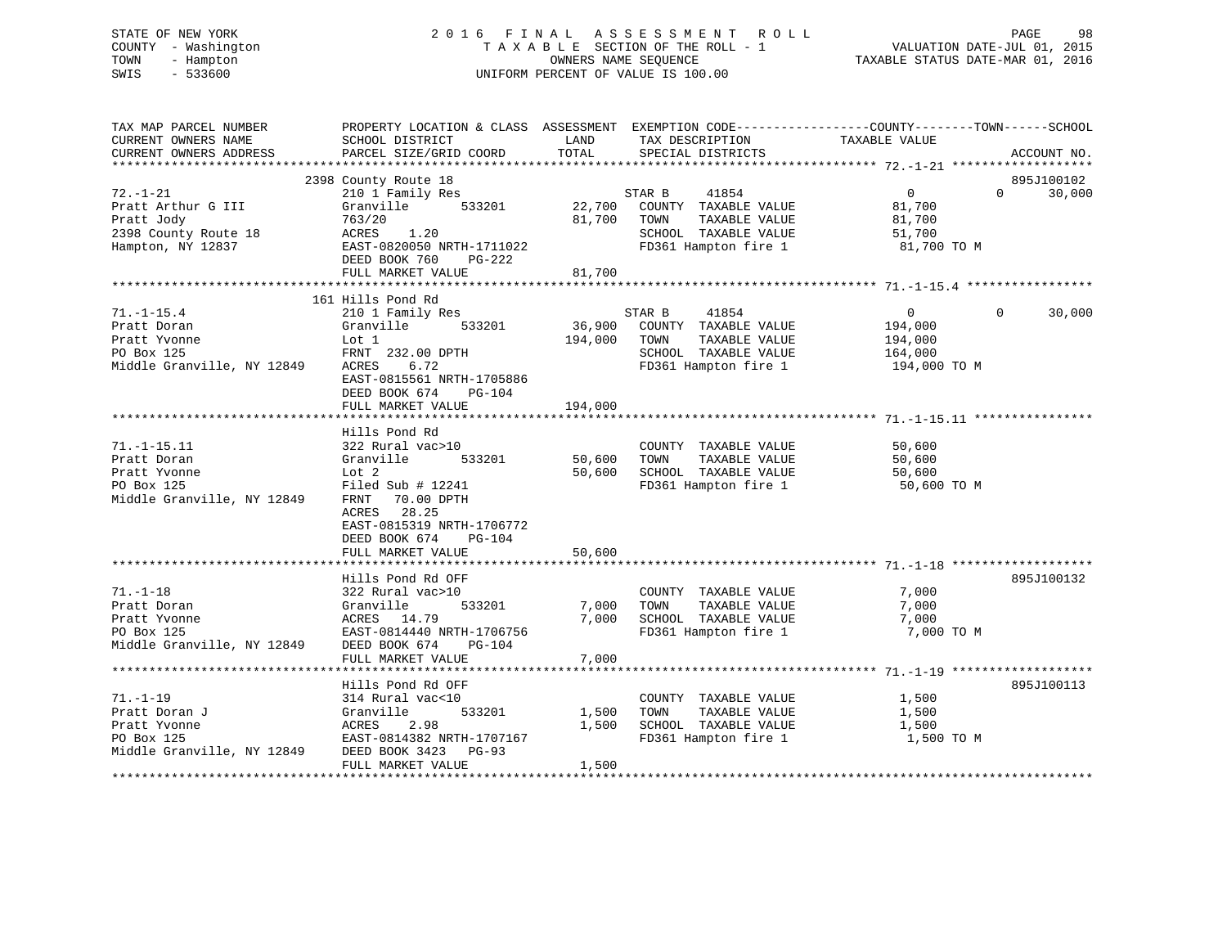# STATE OF NEW YORK 2 0 1 6 F I N A L A S S E S S M E N T R O L L PAGE 98 COUNTY - Washington T A X A B L E SECTION OF THE ROLL - 1 VALUATION DATE-JUL 01, 2015 TOWN - Hampton OWNERS NAME SEQUENCE TAXABLE STATUS DATE-MAR 01, 2016 SWIS - 533600 UNIFORM PERCENT OF VALUE IS 100.00

| TAX MAP PARCEL NUMBER                           | PROPERTY LOCATION & CLASS ASSESSMENT EXEMPTION CODE---------------COUNTY-------TOWN------SCHOOL |         |                              |                         |                        |
|-------------------------------------------------|-------------------------------------------------------------------------------------------------|---------|------------------------------|-------------------------|------------------------|
| CURRENT OWNERS NAME                             | SCHOOL DISTRICT                                                                                 | LAND    | TAX DESCRIPTION              | TAXABLE VALUE           |                        |
| CURRENT OWNERS ADDRESS                          | PARCEL SIZE/GRID COORD                                                                          | TOTAL   | SPECIAL DISTRICTS            |                         | ACCOUNT NO.            |
|                                                 |                                                                                                 |         |                              |                         |                        |
|                                                 | 2398 County Route 18                                                                            |         |                              |                         | 895J100102             |
| $72. - 1 - 21$                                  | 210 1 Family Res                                                                                |         | 41854<br>STAR B              | $\overline{0}$          | 30,000<br>$\Omega$     |
| Pratt Arthur G III                              | 533201<br>Granville                                                                             |         | 22,700 COUNTY TAXABLE VALUE  | 81,700                  |                        |
| Pratt Jody                                      | 763/20                                                                                          |         | 81,700 TOWN<br>TAXABLE VALUE | 81,700                  |                        |
| 2398 County Route 18                            | ACRES 1.20                                                                                      |         | SCHOOL TAXABLE VALUE         | 51,700                  |                        |
| Hampton, NY 12837                               | EAST-0820050 NRTH-1711022                                                                       |         | FD361 Hampton fire 1         | 81,700 TO M             |                        |
|                                                 | DEED BOOK 760<br>PG-222                                                                         |         |                              |                         |                        |
|                                                 | FULL MARKET VALUE                                                                               | 81,700  |                              |                         |                        |
|                                                 |                                                                                                 |         |                              |                         |                        |
|                                                 | 161 Hills Pond Rd                                                                               |         |                              |                         |                        |
| $71. - 1 - 15.4$                                | 210 1 Family Res                                                                                |         | 41854<br>STAR B              | $\overline{0}$          | 30,000<br>$\mathbf{0}$ |
| Pratt Doran                                     | 533201<br>Granville                                                                             |         | 36,900 COUNTY TAXABLE VALUE  | 194,000                 |                        |
| Pratt Yvonne                                    | Lot 1                                                                                           | 194,000 | TOWN<br>TAXABLE VALUE        | 194,000                 |                        |
| PO Box 125                                      | FRNT 232.00 DPTH                                                                                |         | SCHOOL TAXABLE VALUE         |                         |                        |
| Middle Granville, NY 12849                      | ACRES<br>6.72                                                                                   |         | FD361 Hampton fire 1         | 164,000<br>194,000 TO M |                        |
|                                                 |                                                                                                 |         |                              |                         |                        |
|                                                 | EAST-0815561 NRTH-1705886                                                                       |         |                              |                         |                        |
|                                                 | DEED BOOK 674<br><b>PG-104</b>                                                                  |         |                              |                         |                        |
|                                                 | FULL MARKET VALUE                                                                               | 194,000 |                              |                         |                        |
|                                                 |                                                                                                 |         |                              |                         |                        |
|                                                 | Hills Pond Rd                                                                                   |         |                              |                         |                        |
| $71. - 1 - 15.11$                               | 322 Rural vac>10                                                                                |         | COUNTY TAXABLE VALUE         | 50,600                  |                        |
| Pratt Doran                                     | 533201<br>Granville                                                                             | 50,600  | TOWN<br>TAXABLE VALUE        | 50,600                  |                        |
| Pratt Yvonne                                    | Lot 2                                                                                           | 50,600  | SCHOOL TAXABLE VALUE         | 50,600                  |                        |
| PO Box 125                                      | Filed Sub # 12241                                                                               |         | FD361 Hampton fire 1         | 50,600 TO M             |                        |
| Middle Granville, NY 12849 FRNT 70.00 DPTH      |                                                                                                 |         |                              |                         |                        |
|                                                 | ACRES 28.25                                                                                     |         |                              |                         |                        |
|                                                 | EAST-0815319 NRTH-1706772                                                                       |         |                              |                         |                        |
|                                                 | DEED BOOK 674<br>PG-104                                                                         |         |                              |                         |                        |
|                                                 | FULL MARKET VALUE                                                                               | 50,600  |                              |                         |                        |
|                                                 |                                                                                                 |         |                              |                         |                        |
|                                                 | Hills Pond Rd OFF                                                                               |         |                              |                         | 895J100132             |
| $71. - 1 - 18$                                  | 322 Rural vac>10                                                                                |         | COUNTY TAXABLE VALUE         | 7,000                   |                        |
| Pratt Doran                                     | Granville<br>533201                                                                             | 7,000   | TAXABLE VALUE<br>TOWN        | 7,000                   |                        |
| Pratt Yvonne                                    | ACRES 14.79                                                                                     | 7,000   | SCHOOL TAXABLE VALUE         | 7,000                   |                        |
| PO Box 125                                      | EAST-0814440 NRTH-1706756                                                                       |         | FD361 Hampton fire 1         | 7,000 TO M              |                        |
| Middle Granville, NY 12849 DEED BOOK 674        | PG-104                                                                                          |         |                              |                         |                        |
|                                                 | FULL MARKET VALUE                                                                               | 7,000   |                              |                         |                        |
|                                                 |                                                                                                 |         |                              |                         |                        |
|                                                 | Hills Pond Rd OFF                                                                               |         |                              |                         | 895J100113             |
| $71. - 1 - 19$                                  | 314 Rural vac<10                                                                                |         | COUNTY TAXABLE VALUE         | 1,500                   |                        |
| Pratt Doran J                                   | Granville<br>533201                                                                             | 1,500   | TOWN<br>TAXABLE VALUE        | 1,500                   |                        |
| Pratt Yvonne                                    | ACRES<br>2.98                                                                                   | 1,500   | SCHOOL TAXABLE VALUE         | 1,500                   |                        |
| PO Box 125                                      | EAST-0814382 NRTH-1707167                                                                       |         | FD361 Hampton fire 1         | 1,500 TO M              |                        |
| Middle Granville, NY 12849 DEED BOOK 3423 PG-93 |                                                                                                 |         |                              |                         |                        |
|                                                 | FULL MARKET VALUE                                                                               | 1,500   |                              |                         |                        |
|                                                 |                                                                                                 |         |                              |                         |                        |
|                                                 |                                                                                                 |         |                              |                         |                        |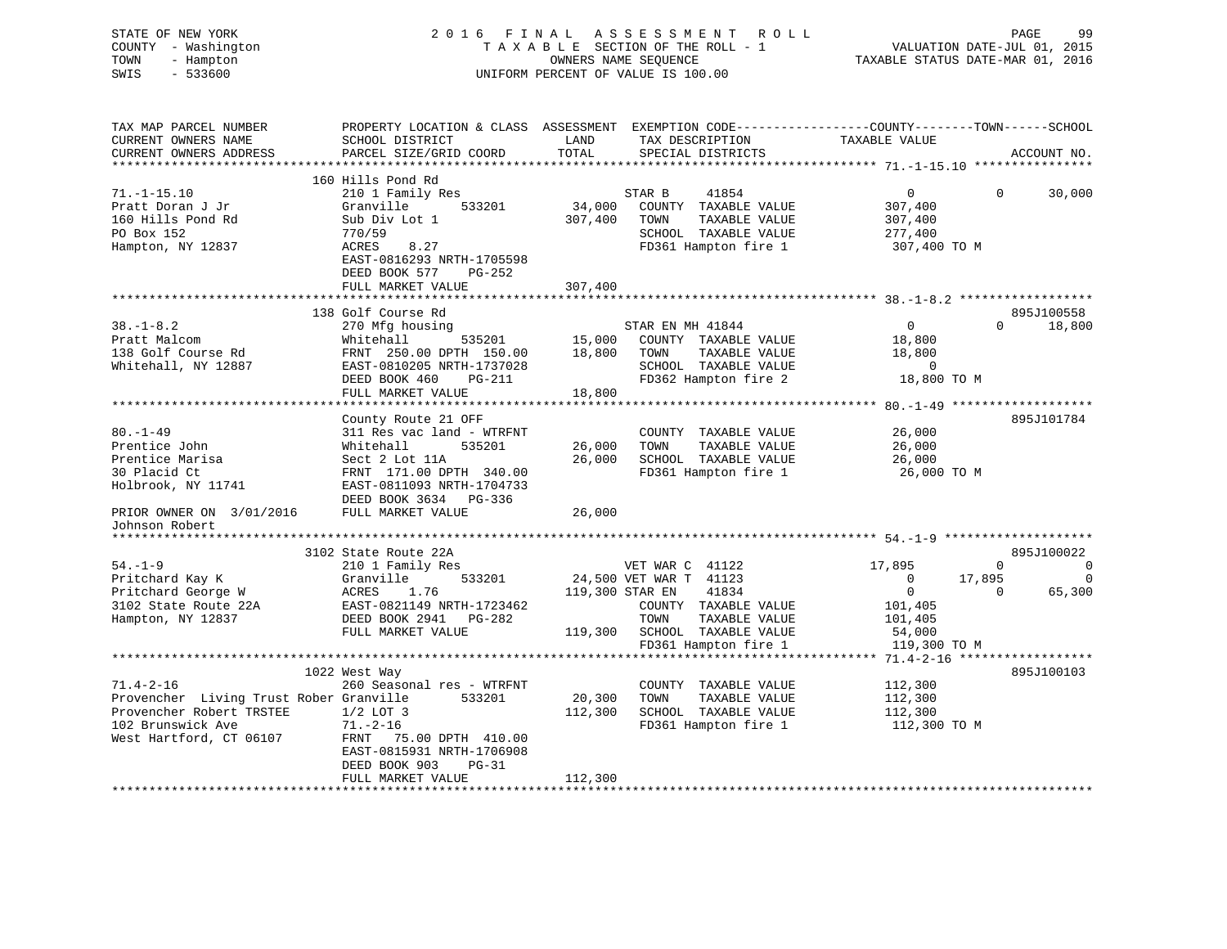| STATE OF NEW YORK<br>COUNTY - Washington<br>- Hampton<br>TOWN<br>SWIS<br>$-533600$ | 2016 FINAL                                                                                                                                    |                   | A S S E S S M E N T<br><b>ROLL</b><br>TAXABLE SECTION OF THE ROLL - 1<br>OWNERS NAME SEQUENCE<br>UNIFORM PERCENT OF VALUE IS 100.00 | TAXABLE STATUS DATE-MAR 01, 2016 | PAGE<br>VALUATION DATE-JUL 01, 2015 | 99                                         |
|------------------------------------------------------------------------------------|-----------------------------------------------------------------------------------------------------------------------------------------------|-------------------|-------------------------------------------------------------------------------------------------------------------------------------|----------------------------------|-------------------------------------|--------------------------------------------|
| TAX MAP PARCEL NUMBER<br>CURRENT OWNERS NAME<br>CURRENT OWNERS ADDRESS             | PROPERTY LOCATION & CLASS ASSESSMENT EXEMPTION CODE----------------COUNTY-------TOWN------SCHOOL<br>SCHOOL DISTRICT<br>PARCEL SIZE/GRID COORD | LAND<br>TOTAL     | TAX DESCRIPTION<br>SPECIAL DISTRICTS                                                                                                | TAXABLE VALUE                    |                                     | ACCOUNT NO.                                |
|                                                                                    |                                                                                                                                               |                   |                                                                                                                                     |                                  |                                     |                                            |
| $71. - 1 - 15.10$                                                                  | 160 Hills Pond Rd                                                                                                                             |                   |                                                                                                                                     |                                  | $\mathbf{0}$                        | 30,000                                     |
| Pratt Doran J Jr                                                                   | 210 1 Family Res<br>533201<br>Granville                                                                                                       | 34,000            | STAR B<br>41854<br>COUNTY TAXABLE VALUE                                                                                             | $\overline{0}$<br>307,400        |                                     |                                            |
| 160 Hills Pond Rd                                                                  | Sub Div Lot 1                                                                                                                                 | 307,400           | TAXABLE VALUE<br>TOWN                                                                                                               | 307,400                          |                                     |                                            |
| PO Box 152                                                                         | 770/59                                                                                                                                        |                   | SCHOOL TAXABLE VALUE                                                                                                                | 277,400                          |                                     |                                            |
| Hampton, NY 12837                                                                  | ACRES<br>8.27<br>EAST-0816293 NRTH-1705598<br>DEED BOOK 577<br>PG-252                                                                         |                   | FD361 Hampton fire 1                                                                                                                | 307,400 TO M                     |                                     |                                            |
|                                                                                    | FULL MARKET VALUE                                                                                                                             | 307,400           |                                                                                                                                     |                                  |                                     |                                            |
|                                                                                    |                                                                                                                                               |                   |                                                                                                                                     |                                  |                                     |                                            |
| $38. - 1 - 8.2$                                                                    | 138 Golf Course Rd<br>270 Mfg housing                                                                                                         |                   | STAR EN MH 41844                                                                                                                    | $\overline{0}$                   | $\Omega$                            | 895J100558<br>18,800                       |
| Pratt Malcom                                                                       | 535201<br>Whitehall                                                                                                                           | 15,000            | COUNTY TAXABLE VALUE                                                                                                                | 18,800                           |                                     |                                            |
| 138 Golf Course Rd                                                                 | FRNT 250.00 DPTH 150.00                                                                                                                       | 18,800            | TOWN<br>TAXABLE VALUE                                                                                                               | 18,800                           |                                     |                                            |
| Whitehall, NY 12887                                                                | EAST-0810205 NRTH-1737028                                                                                                                     |                   | SCHOOL TAXABLE VALUE                                                                                                                | $\overline{0}$                   |                                     |                                            |
|                                                                                    | DEED BOOK 460<br>PG-211                                                                                                                       |                   | FD362 Hampton fire 2                                                                                                                | 18,800 TO M                      |                                     |                                            |
|                                                                                    | FULL MARKET VALUE                                                                                                                             | 18,800            |                                                                                                                                     |                                  |                                     |                                            |
|                                                                                    |                                                                                                                                               |                   |                                                                                                                                     |                                  |                                     | 895J101784                                 |
| $80. - 1 - 49$                                                                     | County Route 21 OFF<br>311 Res vac land - WTRFNT                                                                                              |                   | COUNTY TAXABLE VALUE                                                                                                                | 26,000                           |                                     |                                            |
| Prentice John                                                                      | Whitehall<br>535201                                                                                                                           | 26,000            | TOWN<br>TAXABLE VALUE                                                                                                               | 26,000                           |                                     |                                            |
| Prentice Marisa                                                                    | Sect 2 Lot 11A                                                                                                                                | 26,000            | SCHOOL TAXABLE VALUE                                                                                                                | 26,000                           |                                     |                                            |
| 30 Placid Ct                                                                       | FRNT 171.00 DPTH 340.00                                                                                                                       |                   | FD361 Hampton fire 1                                                                                                                | 26,000 TO M                      |                                     |                                            |
| Holbrook, NY 11741                                                                 | EAST-0811093 NRTH-1704733<br>DEED BOOK 3634 PG-336                                                                                            |                   |                                                                                                                                     |                                  |                                     |                                            |
| PRIOR OWNER ON 3/01/2016<br>Johnson Robert                                         | FULL MARKET VALUE                                                                                                                             | 26,000            |                                                                                                                                     |                                  |                                     |                                            |
|                                                                                    |                                                                                                                                               |                   |                                                                                                                                     |                                  |                                     |                                            |
|                                                                                    | 3102 State Route 22A                                                                                                                          |                   |                                                                                                                                     |                                  |                                     | 895J100022                                 |
| $54. - 1 - 9$<br>Pritchard Kay K                                                   | 210 1 Family Res<br>Granville<br>533201                                                                                                       |                   | VET WAR C 41122<br>24,500 VET WAR T 41123                                                                                           | 17,895<br>$\Omega$               | $\mathbf{0}$<br>17,895              | $\overline{\phantom{0}}$<br>$\overline{0}$ |
| Pritchard George W                                                                 | ACRES<br>1.76                                                                                                                                 | 119,300 STAR EN   | 41834                                                                                                                               | $\overline{0}$                   | $\Omega$                            | 65,300                                     |
| 3102 State Route 22A                                                               | EAST-0821149 NRTH-1723462                                                                                                                     |                   | COUNTY TAXABLE VALUE                                                                                                                | 101,405                          |                                     |                                            |
| Hampton, NY 12837                                                                  | DEED BOOK 2941 PG-282                                                                                                                         |                   | TOWN<br>TAXABLE VALUE                                                                                                               | 101,405                          |                                     |                                            |
|                                                                                    | FULL MARKET VALUE                                                                                                                             | 119,300           | SCHOOL TAXABLE VALUE                                                                                                                | 54,000                           |                                     |                                            |
|                                                                                    |                                                                                                                                               |                   | FD361 Hampton fire 1                                                                                                                | 119,300 TO M                     |                                     |                                            |
|                                                                                    |                                                                                                                                               |                   |                                                                                                                                     |                                  |                                     |                                            |
|                                                                                    | 1022 West Way                                                                                                                                 |                   |                                                                                                                                     |                                  |                                     | 895J100103                                 |
| $71.4 - 2 - 16$                                                                    | 260 Seasonal res - WTRFNT                                                                                                                     |                   | COUNTY TAXABLE VALUE<br>TOWN                                                                                                        | 112,300                          |                                     |                                            |
| Provencher Living Trust Rober Granville<br>Provencher Robert TRSTEE                | 533201<br>$1/2$ LOT 3                                                                                                                         | 20,300<br>112,300 | TAXABLE VALUE<br>SCHOOL TAXABLE VALUE                                                                                               | 112,300<br>112,300               |                                     |                                            |
| 102 Brunswick Ave                                                                  | $71. - 2 - 16$                                                                                                                                |                   | FD361 Hampton fire 1                                                                                                                | 112,300 TO M                     |                                     |                                            |
| West Hartford, CT 06107                                                            | FRNT 75.00 DPTH 410.00                                                                                                                        |                   |                                                                                                                                     |                                  |                                     |                                            |
|                                                                                    | EAST-0815931 NRTH-1706908                                                                                                                     |                   |                                                                                                                                     |                                  |                                     |                                            |
|                                                                                    | DEED BOOK 903<br>$PG-31$                                                                                                                      |                   |                                                                                                                                     |                                  |                                     |                                            |
|                                                                                    | FULL MARKET VALUE                                                                                                                             | 112,300           |                                                                                                                                     |                                  |                                     |                                            |
|                                                                                    |                                                                                                                                               |                   |                                                                                                                                     |                                  |                                     |                                            |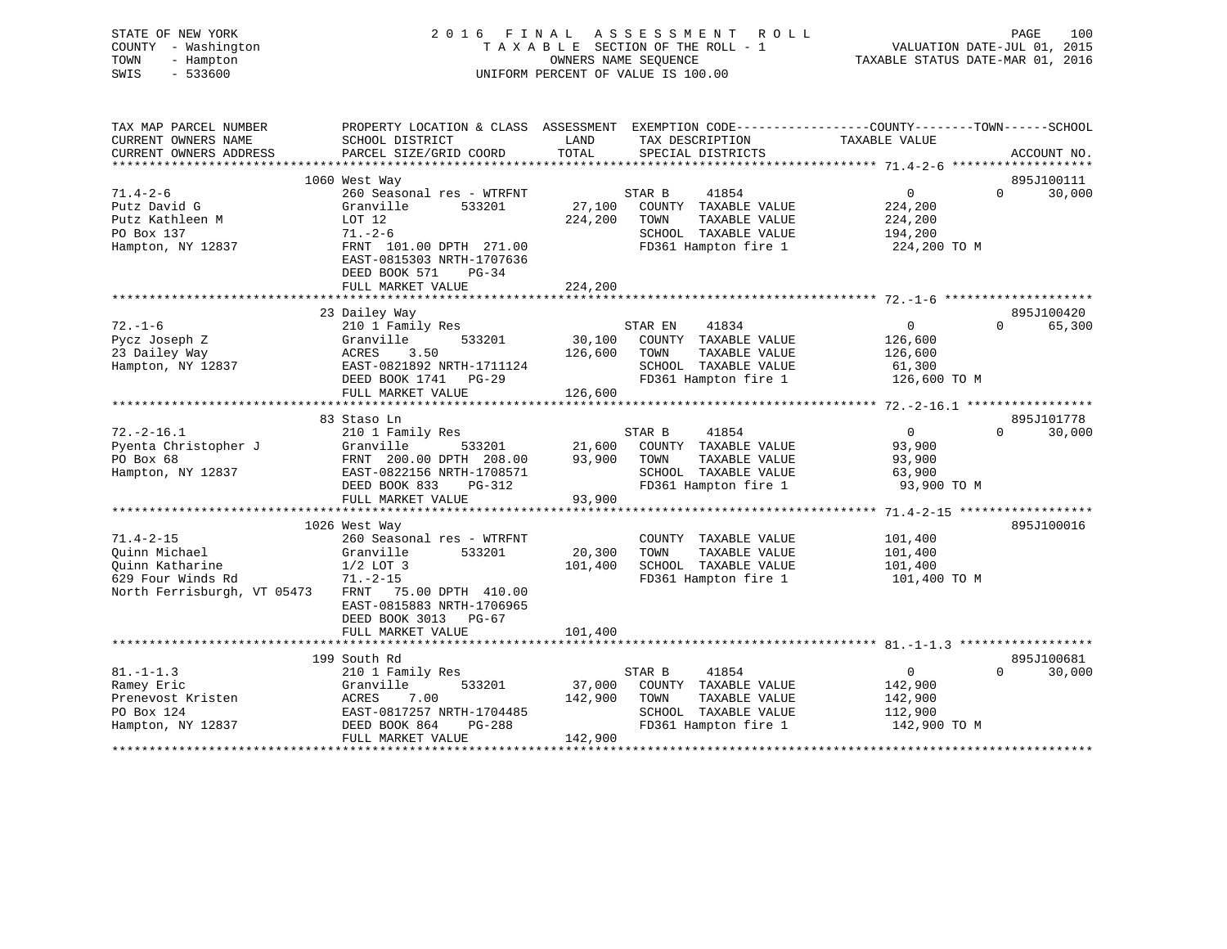STATE OF NEW YORK 2 0 1 6 F I N A L A S S E S S M E N T R O L L PAGE 100 COUNTY - Washington T A X A B L E SECTION OF THE ROLL - 1 VALUATION DATE-JUL 01, 2015 TOWN - Hampton OWNERS NAME SEQUENCE TAXABLE STATUS DATE-MAR 01, 2016 SWIS - 533600 UNIFORM PERCENT OF VALUE IS 100.00

| TAX MAP PARCEL NUMBER       | PROPERTY LOCATION & CLASS ASSESSMENT EXEMPTION CODE---------------COUNTY-------TOWN------SCHOOL |                               |                             |                   |                        |
|-----------------------------|-------------------------------------------------------------------------------------------------|-------------------------------|-----------------------------|-------------------|------------------------|
| CURRENT OWNERS NAME         | SCHOOL DISTRICT                                                                                 | LAND                          | TAX DESCRIPTION             | TAXABLE VALUE     |                        |
| CURRENT OWNERS ADDRESS      | PARCEL SIZE/GRID COORD                                                                          | TOTAL                         | SPECIAL DISTRICTS           |                   | ACCOUNT NO.            |
|                             |                                                                                                 |                               |                             |                   |                        |
|                             | 1060 West Way                                                                                   |                               |                             |                   | 895J100111<br>$\Omega$ |
| $71.4 - 2 - 6$              | 260 Seasonal res - WTRFNT                                                                       |                               | STAR B<br>41854             | $\mathbf{0}$      | 30,000                 |
| Putz David G                | Granville<br>533201                                                                             |                               | 27,100 COUNTY TAXABLE VALUE | 224,200           |                        |
| Putz Kathleen M             | LOT 12                                                                                          | 224,200                       | TOWN<br>TAXABLE VALUE       | 224,200           |                        |
| PO Box 137                  | $71. - 2 - 6$                                                                                   |                               | SCHOOL TAXABLE VALUE        | 194,200           |                        |
| Hampton, NY 12837           | FRNT 101.00 DPTH 271.00                                                                         |                               | FD361 Hampton fire 1        | 224,200 TO M      |                        |
|                             | EAST-0815303 NRTH-1707636                                                                       |                               |                             |                   |                        |
|                             | DEED BOOK 571<br>$PG-34$                                                                        |                               |                             |                   |                        |
|                             | FULL MARKET VALUE                                                                               | 224,200                       |                             |                   |                        |
|                             |                                                                                                 |                               |                             |                   |                        |
|                             | 23 Dailey Way                                                                                   |                               |                             |                   | 895J100420             |
| $72. - 1 - 6$               | 210 1 Family Res                                                                                |                               | STAR EN<br>41834            | $0 \qquad \qquad$ | 65,300<br>$\Omega$     |
| Pycz Joseph Z               | 533201<br>Granville                                                                             |                               | 30,100 COUNTY TAXABLE VALUE | 126,600           |                        |
| 23 Dailey Way               | ACRES<br>3.50                                                                                   | 126,600                       | TOWN<br>TAXABLE VALUE       | 126,600           |                        |
| Hampton, NY 12837           | EAST-0821892 NRTH-1711124                                                                       |                               | SCHOOL TAXABLE VALUE        | 61,300            |                        |
|                             | DEED BOOK 1741 PG-29                                                                            |                               | FD361 Hampton fire 1        | 126,600 TO M      |                        |
|                             | FULL MARKET VALUE                                                                               | 126,600                       |                             |                   |                        |
|                             |                                                                                                 |                               |                             |                   |                        |
|                             | 83 Staso Ln                                                                                     |                               |                             |                   | 895J101778             |
| $72. - 2 - 16.1$            | 210 1 Family Res                                                                                |                               | STAR B<br>41854             | $\overline{0}$    | 30,000<br>$\Omega$     |
| Pyenta Christopher J        | Granville<br>533201                                                                             |                               | 21,600 COUNTY TAXABLE VALUE | 93,900            |                        |
| PO Box 68                   | FRNT 200.00 DPTH 208.00                                                                         |                               | TAXABLE VALUE               | 93,900            |                        |
| Hampton, NY 12837           | EAST-0822156 NRTH-1708571                                                                       | 93,900 TOWN<br>SCHOO<br>FD361 | SCHOOL TAXABLE VALUE        | 63,900            |                        |
|                             | DEED BOOK 833<br>PG-312                                                                         |                               | FD361 Hampton fire 1        | 93,900 TO M       |                        |
|                             | FULL MARKET VALUE                                                                               | 93,900                        |                             |                   |                        |
|                             |                                                                                                 |                               |                             |                   |                        |
|                             | 1026 West Way                                                                                   |                               |                             |                   | 895J100016             |
| $71.4 - 2 - 15$             | 260 Seasonal res - WTRFNT                                                                       |                               | COUNTY TAXABLE VALUE        | 101,400           |                        |
| Quinn Michael               | Granville<br>533201                                                                             | 20,300                        | TAXABLE VALUE<br>TOWN       | 101,400           |                        |
| Quinn Katharine             | $1/2$ LOT 3                                                                                     | 101,400                       | SCHOOL TAXABLE VALUE        | 101,400           |                        |
| 629 Four Winds Rd           | $71. - 2 - 15$                                                                                  |                               | FD361 Hampton fire 1        | 101,400 TO M      |                        |
| North Ferrisburgh, VT 05473 | FRNT 75.00 DPTH 410.00                                                                          |                               |                             |                   |                        |
|                             | EAST-0815883 NRTH-1706965                                                                       |                               |                             |                   |                        |
|                             | DEED BOOK 3013 PG-67                                                                            |                               |                             |                   |                        |
|                             | FULL MARKET VALUE                                                                               | 101,400                       |                             |                   |                        |
|                             |                                                                                                 |                               |                             |                   |                        |
|                             | 199 South Rd                                                                                    |                               |                             |                   | 895J100681             |
| $81. - 1 - 1.3$             | 210 1 Family Res                                                                                |                               | STAR B<br>41854             | 0                 | 30,000<br>$\Omega$     |
| Ramey Eric                  | 533201<br>Granville                                                                             |                               | 37,000 COUNTY TAXABLE VALUE | 142,900           |                        |
| Prenevost Kristen           | 7.00<br>ACRES                                                                                   | 142,900                       | TAXABLE VALUE<br>TOWN       | 142,900           |                        |
| PO Box 124                  | EAST-0817257 NRTH-1704485                                                                       |                               | SCHOOL TAXABLE VALUE        | 112,900           |                        |
| Hampton, NY 12837           | DEED BOOK 864<br>PG-288                                                                         |                               | FD361 Hampton fire 1        | 142,900 TO M      |                        |
|                             | FULL MARKET VALUE                                                                               | 142,900                       |                             |                   |                        |
|                             |                                                                                                 |                               |                             |                   |                        |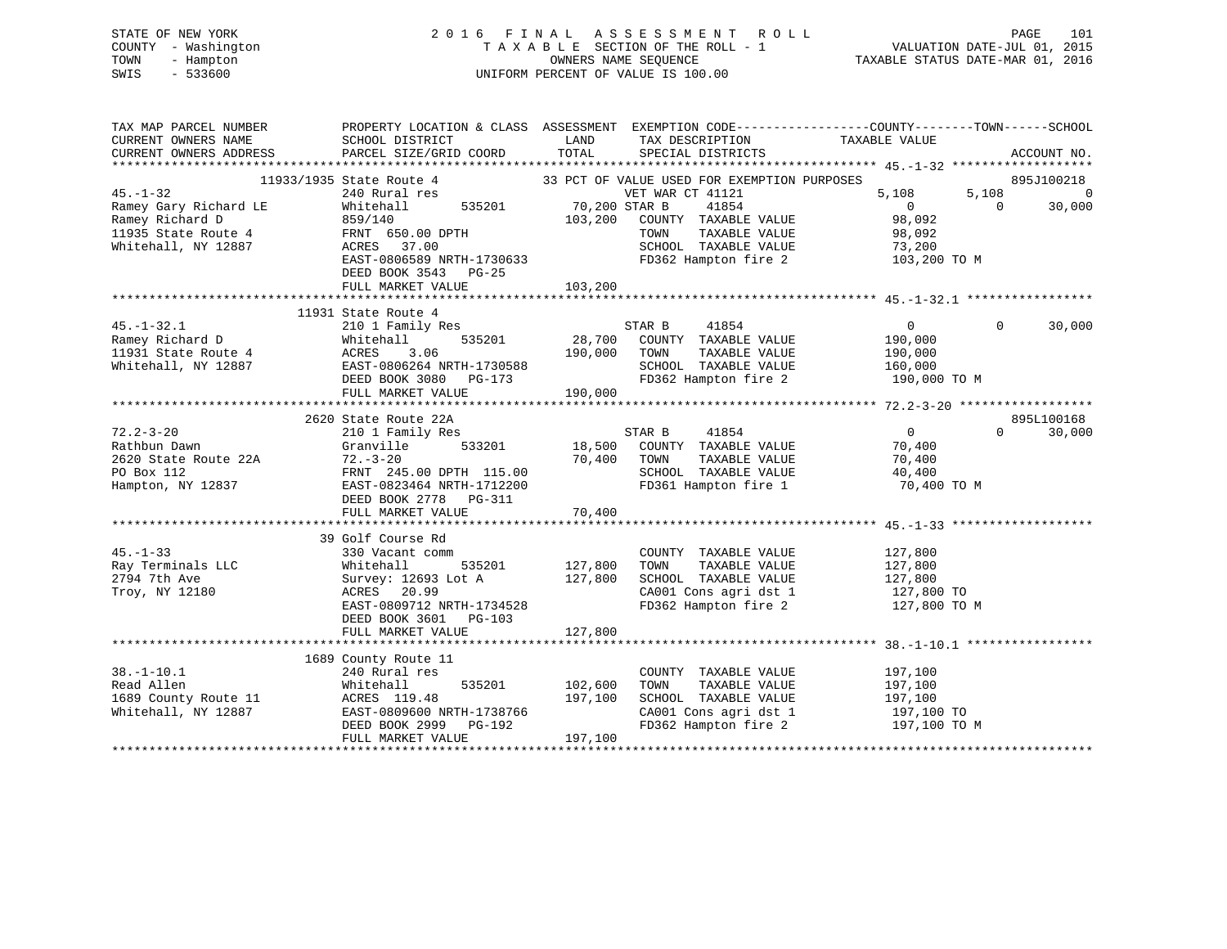# STATE OF NEW YORK 2 0 1 6 F I N A L A S S E S S M E N T R O L L PAGE 101 COUNTY - Washington T A X A B L E SECTION OF THE ROLL - 1 VALUATION DATE-JUL 01, 2015 TOWN - Hampton OWNERS NAME SEQUENCE TAXABLE STATUS DATE-MAR 01, 2016 SWIS - 533600 UNIFORM PERCENT OF VALUE IS 100.00

| TAX MAP PARCEL NUMBER                         | PROPERTY LOCATION & CLASS ASSESSMENT EXEMPTION CODE----------------COUNTY-------TOWN------SCHOOL                                                                                                                                              |         |                                                                                                             |                                                                                                                               |               |            |
|-----------------------------------------------|-----------------------------------------------------------------------------------------------------------------------------------------------------------------------------------------------------------------------------------------------|---------|-------------------------------------------------------------------------------------------------------------|-------------------------------------------------------------------------------------------------------------------------------|---------------|------------|
|                                               |                                                                                                                                                                                                                                               |         |                                                                                                             |                                                                                                                               |               |            |
|                                               |                                                                                                                                                                                                                                               |         |                                                                                                             |                                                                                                                               |               |            |
|                                               | 11933/1935 State Route 4 33 PCT OF VALUE USED FOR EXEMPTION PURPOSES                                                                                                                                                                          |         |                                                                                                             |                                                                                                                               |               | 895J100218 |
|                                               | 240 Rural res                                                                                                                                                                                                                                 |         |                                                                                                             | $\begin{array}{cccc} 5 \, , 108 & \qquad & 5 \, , 108 & \qquad & 0 \\ & & 0 & \qquad & 0 & \qquad 30 \, , 000 \\ \end{array}$ |               |            |
|                                               |                                                                                                                                                                                                                                               |         |                                                                                                             |                                                                                                                               |               |            |
|                                               |                                                                                                                                                                                                                                               |         |                                                                                                             | 98,092                                                                                                                        |               |            |
|                                               |                                                                                                                                                                                                                                               |         |                                                                                                             | 98,092<br>73,200                                                                                                              |               |            |
|                                               | 45.-1-32<br>Ramey Gary Richard LE Whitehall 535201 70,200 STAR B 41854<br>Ramey Richard D 859/140 103,200 COUNTY TAXABLE VALUE<br>1935 State Route 4 FRNT 650.00 DPTH TOWN TAXABLE VALUE<br>Whitehall, NY 12887 ACRES 37.00 EAT-08065         |         |                                                                                                             | 103,200 TO M                                                                                                                  |               |            |
|                                               | DEED BOOK 3543 PG-25                                                                                                                                                                                                                          |         |                                                                                                             |                                                                                                                               |               |            |
|                                               |                                                                                                                                                                                                                                               |         |                                                                                                             |                                                                                                                               |               |            |
|                                               |                                                                                                                                                                                                                                               |         |                                                                                                             |                                                                                                                               |               |            |
|                                               | 11931 State Route 4                                                                                                                                                                                                                           |         |                                                                                                             |                                                                                                                               |               |            |
|                                               | 45.-1-32.1 210 1 Family Res STAR B 41854<br>Ramey Richard D Whitehall 535201 28,700 COUNTY TAXABLE VALUE                                                                                                                                      |         |                                                                                                             | $\overline{0}$                                                                                                                | $\Omega$      | 30,000     |
|                                               |                                                                                                                                                                                                                                               |         |                                                                                                             | 190,000                                                                                                                       |               |            |
|                                               |                                                                                                                                                                                                                                               |         | TAXABLE VALUE                                                                                               | 190,000                                                                                                                       |               |            |
|                                               | 11931 State Route 4 MORES 3.06 190,000 TOWN<br>Whitehall, NY 12887 EAST-0806264 NRTH-1730588 SCHOOL                                                                                                                                           |         | SCHOOL TAXABLE VALUE                                                                                        | 160,000                                                                                                                       |               |            |
|                                               |                                                                                                                                                                                                                                               |         | FD362 Hampton fire 2 190,000 TO M                                                                           |                                                                                                                               |               |            |
|                                               | EASI-0806264 NRTH-1730588<br>DEED BOOK 3080 PG-173<br>FULL MARKET VALUE 190,000                                                                                                                                                               |         |                                                                                                             |                                                                                                                               |               |            |
|                                               |                                                                                                                                                                                                                                               |         |                                                                                                             |                                                                                                                               |               | 895L100168 |
| $72.2 - 3 - 20$                               |                                                                                                                                                                                                                                               |         |                                                                                                             | $\overline{0}$                                                                                                                | $0 \t 30,000$ |            |
|                                               | Rathbun Dawn Cranville 533201 18,500 COUNTY TAXABLE VALUE                                                                                                                                                                                     |         |                                                                                                             | 70,400                                                                                                                        |               |            |
|                                               |                                                                                                                                                                                                                                               |         |                                                                                                             | 70,400                                                                                                                        |               |            |
|                                               |                                                                                                                                                                                                                                               |         | SCHOOL TAXABLE VALUE                                                                                        | 40,400                                                                                                                        |               |            |
|                                               | 2620 State Route 22A<br>PO Box 112<br>Hampton, NY 12837<br>Hampton, NY 12837<br>PO BOX 12<br>PO BOX 12837<br>PO BOX 12837<br>PO BOX 12837<br>PO BOX 12837<br>PO BOX 12837<br>PO BOX 12837<br>PO BOX 12837<br>PO BOX 12837<br>PO BOX 12837<br> |         | FD361 Hampton fire 1                                                                                        | 70,400 TO M                                                                                                                   |               |            |
|                                               | DEED BOOK 2778 PG-311                                                                                                                                                                                                                         |         |                                                                                                             |                                                                                                                               |               |            |
|                                               |                                                                                                                                                                                                                                               |         |                                                                                                             |                                                                                                                               |               |            |
|                                               |                                                                                                                                                                                                                                               |         |                                                                                                             |                                                                                                                               |               |            |
|                                               | 39 Golf Course Rd<br>330 Vacant comm                                                                                                                                                                                                          |         |                                                                                                             |                                                                                                                               |               |            |
| $45. - 1 - 33$<br>Ray Terminals LLC Whitehall |                                                                                                                                                                                                                                               |         | COUNTY TAXABLE VALUE 127,800<br>535201 127,800 TOWN TAXABLE VALUE                                           |                                                                                                                               |               |            |
| 2794 7th Ave                                  |                                                                                                                                                                                                                                               |         |                                                                                                             | 127,800                                                                                                                       |               |            |
| Troy, NY 12180                                | Survey: 12693 Lot A 127,800<br>ACRES 20.99<br>ACRES 20.99                                                                                                                                                                                     |         |                                                                                                             |                                                                                                                               |               |            |
|                                               | EAST-0809712 NRTH-1734528                                                                                                                                                                                                                     |         | SCHOOL TAXABLE VALUE $127,800$<br>CA001 Cons agri dst 1 $127,800$ TO<br>FD362 Hampton fire 2 $127,800$ TO M |                                                                                                                               |               |            |
|                                               | DEED BOOK 3601 PG-103                                                                                                                                                                                                                         |         |                                                                                                             |                                                                                                                               |               |            |
|                                               | FULL MARKET VALUE 127,800                                                                                                                                                                                                                     |         |                                                                                                             |                                                                                                                               |               |            |
|                                               |                                                                                                                                                                                                                                               |         |                                                                                                             |                                                                                                                               |               |            |
|                                               | 1689 County Route 11                                                                                                                                                                                                                          |         |                                                                                                             |                                                                                                                               |               |            |
| $38. -1 - 10.1$                               | 240 Rural res                                                                                                                                                                                                                                 |         | COUNTY TAXABLE VALUE                                                                                        | 197,100                                                                                                                       |               |            |
| Read Allen                                    | $535201$ $102,600$<br>Whitehall                                                                                                                                                                                                               |         | TOWN TAXABLE VALUE                                                                                          | 197,100                                                                                                                       |               |            |
|                                               | 1689 County Route 11 MCRES 119.48 197,100                                                                                                                                                                                                     |         | SCHOOL TAXABLE VALUE                                                                                        | 197,100                                                                                                                       |               |            |
|                                               | Whitehall, NY 12887 EAST-0809600 NRTH-1738766                                                                                                                                                                                                 |         | CA001 Cons agri dst 1<br>FD362 Hampton fire 2                                                               | $197,100$ TO                                                                                                                  |               |            |
|                                               |                                                                                                                                                                                                                                               |         |                                                                                                             | 197,100 TO M                                                                                                                  |               |            |
|                                               | FULL MARKET VALUE                                                                                                                                                                                                                             | 197,100 |                                                                                                             |                                                                                                                               |               |            |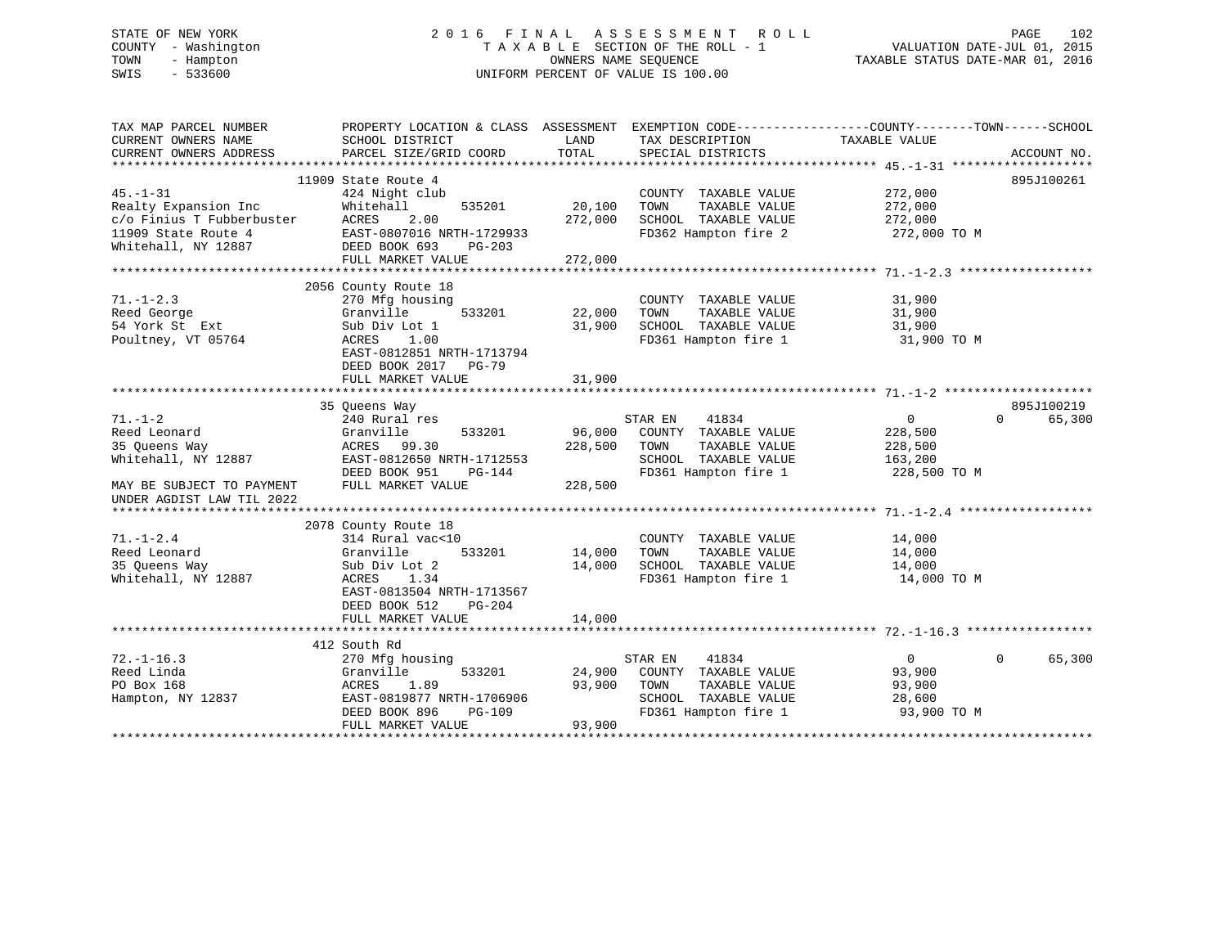## STATE OF NEW YORK 2016 FINAL ASSESSMENT ROLL PAGE 102 COUNTY - Washington  $\begin{array}{ccc} 1 & 0 & 0 \\ -1 & 0 & 0 \end{array}$  T A X A B L E SECTION OF THE ROLL - 1 TOWN - Hampton OWNERS NAME SEQUENCE TAXABLE STATUS DATE-MAR 01, 2016 SWIS - 533600 UNIFORM PERCENT OF VALUE IS 100.00

| TAX MAP PARCEL NUMBER<br>CURRENT OWNERS NAME     | PROPERTY LOCATION & CLASS ASSESSMENT EXEMPTION CODE---------------COUNTY-------TOWN------SCHOOL<br>SCHOOL DISTRICT | LAND    | TAX DESCRIPTION                               | TAXABLE VALUE              |             |
|--------------------------------------------------|--------------------------------------------------------------------------------------------------------------------|---------|-----------------------------------------------|----------------------------|-------------|
| CURRENT OWNERS ADDRESS                           | PARCEL SIZE/GRID COORD                                                                                             | TOTAL   | SPECIAL DISTRICTS                             |                            | ACCOUNT NO. |
| * * * * * * * * * * * * * * * * * *              |                                                                                                                    |         |                                               |                            |             |
|                                                  | 11909 State Route 4                                                                                                |         |                                               |                            | 895J100261  |
| $45. - 1 - 31$                                   | 424 Night club                                                                                                     |         | COUNTY TAXABLE VALUE                          | 272,000                    |             |
| Realty Expansion Inc                             | Whitehall<br>535201                                                                                                | 20,100  | TOWN<br>TAXABLE VALUE                         | 272,000                    |             |
| c/o Finius T Fubberbuster                        | ACRES<br>2.00                                                                                                      | 272,000 | SCHOOL TAXABLE VALUE                          | 272,000                    |             |
| 11909 State Route 4                              | EAST-0807016 NRTH-1729933                                                                                          |         | FD362 Hampton fire 2                          | 272,000 TO M               |             |
| Whitehall, NY 12887                              | DEED BOOK 693<br>PG-203                                                                                            |         |                                               |                            |             |
|                                                  | FULL MARKET VALUE                                                                                                  | 272,000 |                                               |                            |             |
|                                                  |                                                                                                                    |         |                                               |                            |             |
|                                                  | 2056 County Route 18                                                                                               |         |                                               |                            |             |
| $71. - 1 - 2.3$                                  | 270 Mfg housing                                                                                                    |         | COUNTY TAXABLE VALUE                          | 31,900                     |             |
| Reed George                                      | 533201<br>Granville                                                                                                | 22,000  | TAXABLE VALUE<br>TOWN                         | 31,900                     |             |
| 54 York St Ext                                   | Sub Div Lot 1                                                                                                      | 31,900  | SCHOOL TAXABLE VALUE                          | 31,900                     |             |
| Poultney, VT 05764                               | ACRES<br>1.00                                                                                                      |         | FD361 Hampton fire 1                          | 31,900 TO M                |             |
|                                                  | EAST-0812851 NRTH-1713794                                                                                          |         |                                               |                            |             |
|                                                  | DEED BOOK 2017 PG-79                                                                                               |         |                                               |                            |             |
|                                                  | FULL MARKET VALUE                                                                                                  | 31,900  |                                               |                            |             |
|                                                  |                                                                                                                    |         |                                               |                            |             |
|                                                  | 35 Oueens Way                                                                                                      |         |                                               |                            | 895J100219  |
| $71. - 1 - 2$                                    | 240 Rural res                                                                                                      |         | 41834<br>STAR EN                              | $\mathsf{O}$<br>$\Omega$   | 65,300      |
| Reed Leonard                                     | Granville<br>533201                                                                                                | 96,000  | COUNTY TAXABLE VALUE                          | 228,500                    |             |
| 35 Queens Way                                    | ACRES 99.30                                                                                                        | 228,500 | TOWN<br>TAXABLE VALUE                         | 228,500                    |             |
| Whitehall, NY 12887                              | EAST-0812650 NRTH-1712553                                                                                          |         | SCHOOL TAXABLE VALUE                          | 163,200                    |             |
|                                                  | DEED BOOK 951<br>PG-144                                                                                            |         | FD361 Hampton fire 1                          | 228,500 TO M               |             |
|                                                  |                                                                                                                    | 228,500 |                                               |                            |             |
| MAY BE SUBJECT TO PAYMENT                        | FULL MARKET VALUE                                                                                                  |         |                                               |                            |             |
| UNDER AGDIST LAW TIL 2022<br>******************* |                                                                                                                    |         |                                               |                            |             |
|                                                  |                                                                                                                    |         |                                               |                            |             |
|                                                  | 2078 County Route 18<br>314 Rural vac<10                                                                           |         |                                               |                            |             |
| $71. - 1 - 2.4$<br>Reed Leonard                  | Granville<br>533201                                                                                                |         | COUNTY TAXABLE VALUE<br>TOWN<br>TAXABLE VALUE | 14,000                     |             |
|                                                  |                                                                                                                    | 14,000  |                                               | 14,000                     |             |
| 35 Oueens Way                                    | Sub Div Lot 2                                                                                                      | 14,000  | SCHOOL TAXABLE VALUE                          | 14,000                     |             |
| Whitehall, NY 12887                              | ACRES<br>1.34                                                                                                      |         | FD361 Hampton fire 1                          | 14,000 TO M                |             |
|                                                  | EAST-0813504 NRTH-1713567                                                                                          |         |                                               |                            |             |
|                                                  | DEED BOOK 512<br>PG-204                                                                                            |         |                                               |                            |             |
|                                                  | FULL MARKET VALUE                                                                                                  | 14,000  |                                               |                            |             |
|                                                  |                                                                                                                    |         |                                               |                            |             |
|                                                  | 412 South Rd                                                                                                       |         |                                               |                            |             |
| $72. - 1 - 16.3$                                 | 270 Mfg housing                                                                                                    |         | 41834<br>STAR EN                              | $\overline{0}$<br>$\Omega$ | 65,300      |
| Reed Linda                                       | 533201<br>Granville                                                                                                | 24,900  | COUNTY TAXABLE VALUE                          | 93,900                     |             |
| PO Box 168                                       | ACRES<br>1.89                                                                                                      | 93,900  | TOWN<br>TAXABLE VALUE                         | 93,900                     |             |
| Hampton, NY 12837                                | EAST-0819877 NRTH-1706906                                                                                          |         | SCHOOL TAXABLE VALUE                          | 28,600                     |             |
|                                                  | DEED BOOK 896<br>PG-109                                                                                            |         | FD361 Hampton fire 1                          | 93,900 TO M                |             |
|                                                  | FULL MARKET VALUE                                                                                                  | 93,900  |                                               |                            |             |
|                                                  |                                                                                                                    |         |                                               |                            |             |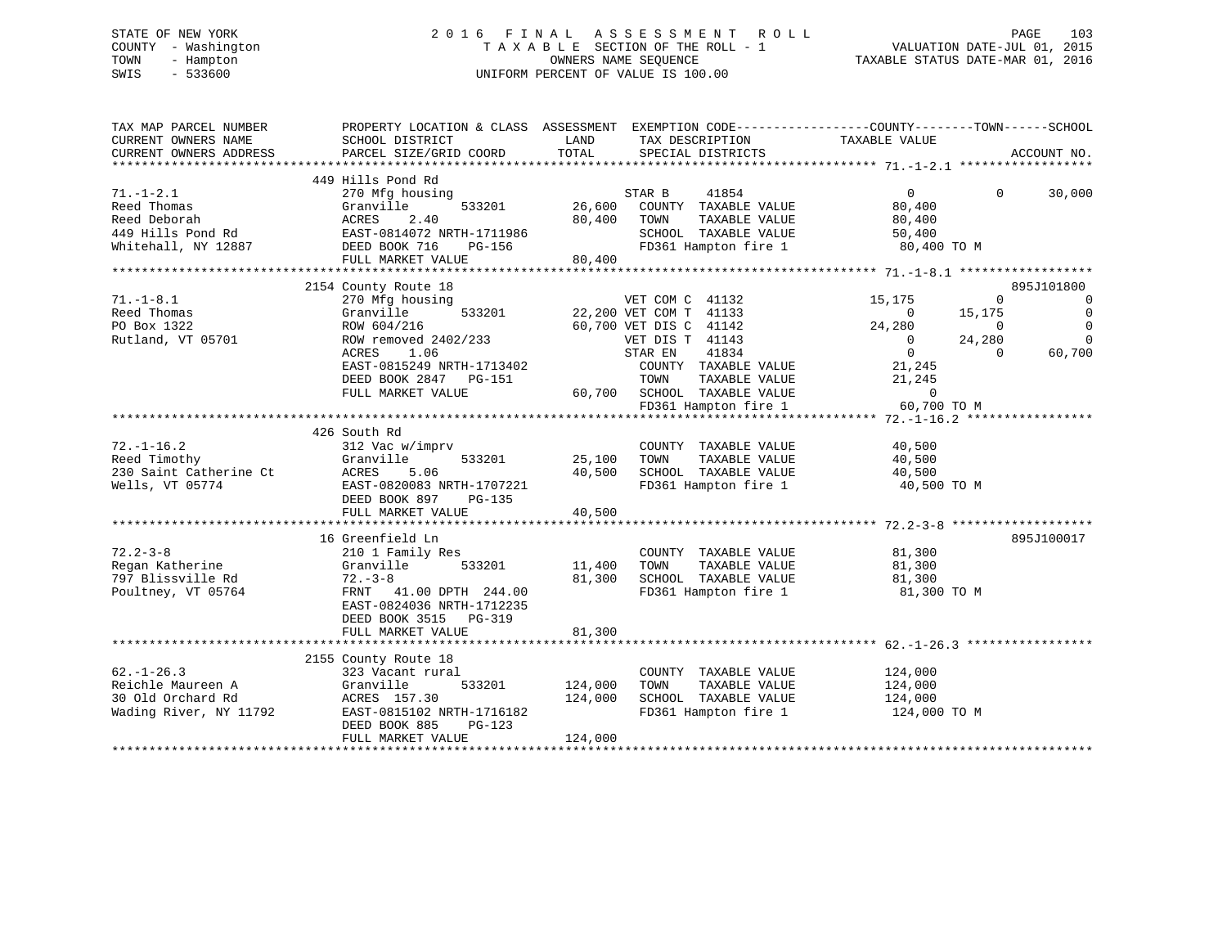# STATE OF NEW YORK 2 0 1 6 F I N A L A S S E S S M E N T R O L L PAGE 103 COUNTY - Washington T A X A B L E SECTION OF THE ROLL - 1 VALUATION DATE-JUL 01, 2015 TOWN - Hampton OWNERS NAME SEQUENCE TAXABLE STATUS DATE-MAR 01, 2016 SWIS - 533600 UNIFORM PERCENT OF VALUE IS 100.00

| TAX MAP PARCEL NUMBER  | PROPERTY LOCATION & CLASS ASSESSMENT |         | EXEMPTION CODE-----------------COUNTY-------TOWN------SCHOOL |                          |                      |
|------------------------|--------------------------------------|---------|--------------------------------------------------------------|--------------------------|----------------------|
| CURRENT OWNERS NAME    | SCHOOL DISTRICT                      | LAND    | TAX DESCRIPTION                                              | TAXABLE VALUE            |                      |
| CURRENT OWNERS ADDRESS | PARCEL SIZE/GRID COORD               | TOTAL   | SPECIAL DISTRICTS                                            |                          | ACCOUNT NO.          |
|                        |                                      |         |                                                              |                          |                      |
|                        | 449 Hills Pond Rd                    |         |                                                              |                          |                      |
| $71. - 1 - 2.1$        | 270 Mfg housing                      |         | 41854<br>STAR B                                              | $0 \qquad \qquad$        | $\Omega$<br>30,000   |
| Reed Thomas            | 533201<br>Granville                  | 26,600  | COUNTY TAXABLE VALUE                                         | 80,400                   |                      |
| Reed Deborah           | 2.40<br>ACRES                        | 80,400  | TOWN<br>TAXABLE VALUE                                        | 80,400                   |                      |
| 449 Hills Pond Rd      | EAST-0814072 NRTH-1711986            |         | SCHOOL TAXABLE VALUE                                         | 50,400                   |                      |
| Whitehall, NY 12887    | DEED BOOK 716<br><b>PG-156</b>       |         | FD361 Hampton fire 1                                         | 80,400 TO M              |                      |
|                        | FULL MARKET VALUE                    | 80,400  |                                                              |                          |                      |
|                        |                                      |         |                                                              |                          |                      |
|                        | 2154 County Route 18                 |         |                                                              |                          | 895J101800           |
| $71. - 1 - 8.1$        | 270 Mfg housing                      |         | VET COM C 41132                                              | 15,175                   | $\Omega$<br>$\Omega$ |
| Reed Thomas            | 533201<br>Granville                  |         | 22,200 VET COM T 41133                                       | $\Omega$<br>15,175       | $\Omega$             |
| PO Box 1322            | ROW 604/216                          |         | 60,700 VET DIS C 41142                                       | 24,280                   | $\Omega$<br>$\Omega$ |
| Rutland, VT 05701      | ROW removed 2402/233                 |         | VET DIS T 41143                                              | 24,280<br>$\overline{0}$ | $\Omega$             |
|                        |                                      |         |                                                              |                          | $\Omega$             |
|                        | ACRES<br>1.06                        |         | 41834<br>STAR EN                                             | $\overline{0}$           | 60,700               |
|                        | EAST-0815249 NRTH-1713402            |         | COUNTY TAXABLE VALUE                                         | 21,245                   |                      |
|                        | DEED BOOK 2847<br>PG-151             |         | TOWN<br>TAXABLE VALUE                                        | 21,245                   |                      |
|                        | FULL MARKET VALUE                    | 60,700  | SCHOOL TAXABLE VALUE                                         | $\overline{0}$           |                      |
|                        |                                      |         | FD361 Hampton fire 1                                         | 60,700 TO M              |                      |
|                        |                                      |         |                                                              |                          |                      |
|                        | 426 South Rd                         |         |                                                              |                          |                      |
| $72. - 1 - 16.2$       | 312 Vac w/imprv                      |         | COUNTY TAXABLE VALUE                                         | 40,500                   |                      |
| Reed Timothy           | Granville<br>533201                  | 25,100  | TOWN<br>TAXABLE VALUE                                        | 40,500                   |                      |
| 230 Saint Catherine Ct | ACRES<br>5.06                        | 40,500  | SCHOOL TAXABLE VALUE                                         | 40,500                   |                      |
| Wells, VT 05774        | EAST-0820083 NRTH-1707221            |         | FD361 Hampton fire 1                                         | 40,500 TO M              |                      |
|                        | DEED BOOK 897<br>PG-135              |         |                                                              |                          |                      |
|                        | FULL MARKET VALUE                    | 40,500  |                                                              |                          |                      |
|                        |                                      |         |                                                              |                          |                      |
|                        |                                      |         |                                                              |                          |                      |
|                        | 16 Greenfield Ln                     |         |                                                              |                          | 895J100017           |
| $72.2 - 3 - 8$         | 210 1 Family Res                     |         | COUNTY TAXABLE VALUE                                         | 81,300                   |                      |
| Regan Katherine        | Granville<br>533201                  | 11,400  | TAXABLE VALUE<br>TOWN                                        | 81,300                   |                      |
| 797 Blissville Rd      | $72 - 3 - 8$                         | 81,300  | SCHOOL TAXABLE VALUE                                         | 81,300                   |                      |
| Poultney, VT 05764     | FRNT 41.00 DPTH 244.00               |         | FD361 Hampton fire 1                                         | 81,300 TO M              |                      |
|                        | EAST-0824036 NRTH-1712235            |         |                                                              |                          |                      |
|                        | DEED BOOK 3515 PG-319                |         |                                                              |                          |                      |
|                        | FULL MARKET VALUE                    | 81,300  |                                                              |                          |                      |
|                        |                                      |         |                                                              |                          |                      |
|                        | 2155 County Route 18                 |         |                                                              |                          |                      |
| $62. - 1 - 26.3$       | 323 Vacant rural                     |         | COUNTY TAXABLE VALUE                                         | 124,000                  |                      |
| Reichle Maureen A      | Granville<br>533201                  | 124,000 | TAXABLE VALUE<br>TOWN                                        | 124,000                  |                      |
| 30 Old Orchard Rd      | ACRES 157.30                         | 124,000 | SCHOOL TAXABLE VALUE                                         | 124,000                  |                      |
| Wading River, NY 11792 | EAST-0815102 NRTH-1716182            |         | FD361 Hampton fire 1                                         | 124,000 TO M             |                      |
|                        | $PG-123$                             |         |                                                              |                          |                      |
|                        | DEED BOOK 885                        |         |                                                              |                          |                      |
|                        | FULL MARKET VALUE                    | 124,000 |                                                              |                          |                      |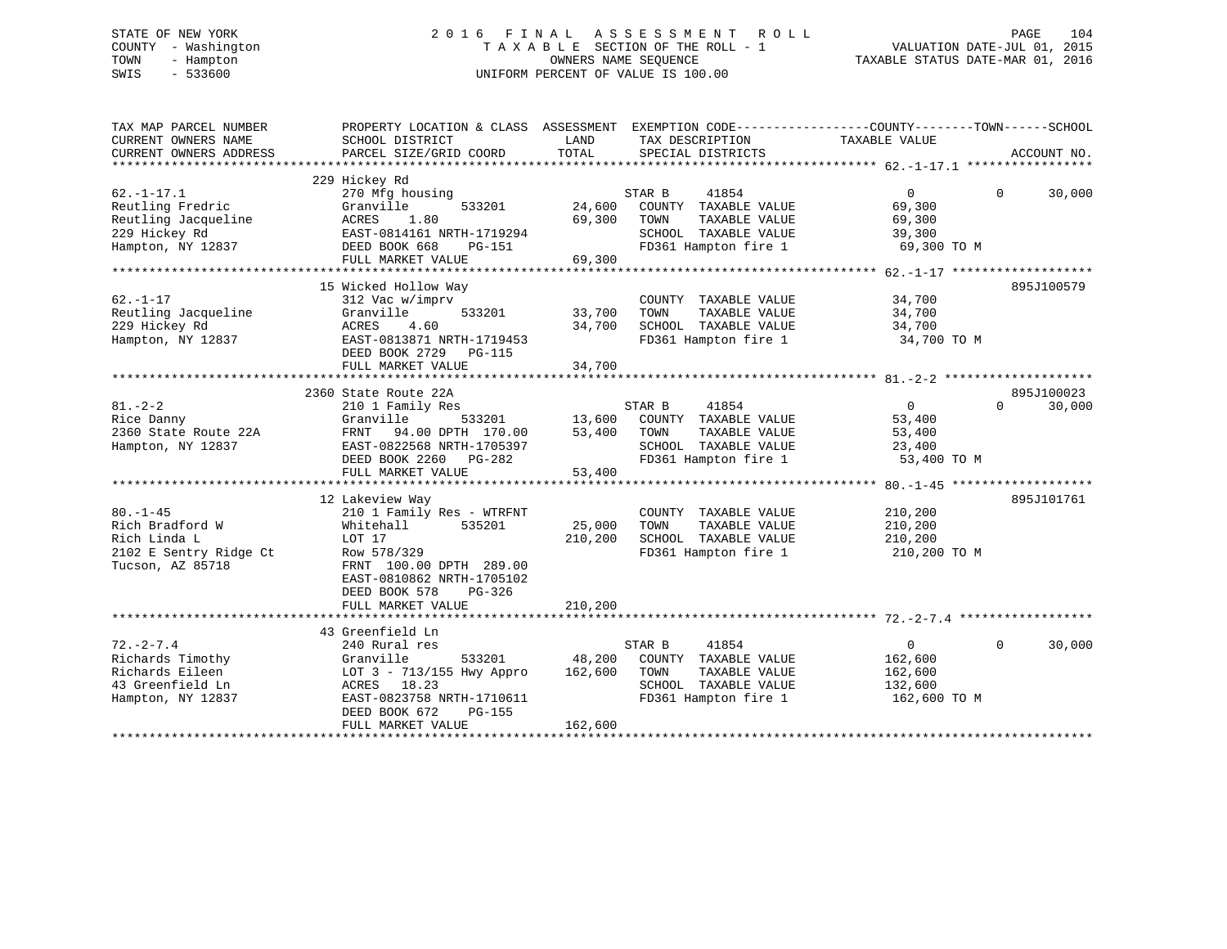# STATE OF NEW YORK 2 0 1 6 F I N A L A S S E S S M E N T R O L L PAGE 104 COUNTY - Washington T A X A B L E SECTION OF THE ROLL - 1 VALUATION DATE-JUL 01, 2015 TOWN - Hampton OWNERS NAME SEQUENCE TAXABLE STATUS DATE-MAR 01, 2016 SWIS - 533600 UNIFORM PERCENT OF VALUE IS 100.00

| TAX MAP PARCEL NUMBER<br>CURRENT OWNERS NAME<br>CURRENT OWNERS ADDRESS | PROPERTY LOCATION & CLASS ASSESSMENT EXEMPTION CODE----------------COUNTY-------TOWN-----SCHOOL<br>SCHOOL DISTRICT<br>PARCEL SIZE/GRID COORD | LAND<br>TOTAL | TAX DESCRIPTION<br>SPECIAL DISTRICTS | TAXABLE VALUE  | ACCOUNT NO.        |
|------------------------------------------------------------------------|----------------------------------------------------------------------------------------------------------------------------------------------|---------------|--------------------------------------|----------------|--------------------|
|                                                                        |                                                                                                                                              |               |                                      |                |                    |
| $62. -1 - 17.1$                                                        | 229 Hickey Rd<br>270 Mfg housing                                                                                                             |               | STAR B<br>41854                      | $\overline{0}$ | $\Omega$<br>30,000 |
| Reutling Fredric                                                       | 533201<br>Granville                                                                                                                          |               | 24,600 COUNTY TAXABLE VALUE          | 69,300         |                    |
| Reutling Jacqueline                                                    | ACRES<br>1.80                                                                                                                                | 69,300        | TOWN<br>TAXABLE VALUE                | 69,300         |                    |
| 229 Hickey Rd                                                          | EAST-0814161 NRTH-1719294                                                                                                                    |               | SCHOOL TAXABLE VALUE                 | 39,300         |                    |
| Hampton, NY 12837                                                      | DEED BOOK 668<br>PG-151                                                                                                                      |               |                                      |                |                    |
|                                                                        | FULL MARKET VALUE                                                                                                                            | 69,300        |                                      |                |                    |
|                                                                        |                                                                                                                                              |               |                                      |                |                    |
|                                                                        | 15 Wicked Hollow Way                                                                                                                         |               |                                      |                | 895J100579         |
| $62. - 1 - 17$                                                         | 312 Vac w/imprv                                                                                                                              |               | COUNTY TAXABLE VALUE                 | 34,700         |                    |
| Reutling Jacqueline                                                    | Granville<br>533201                                                                                                                          | 33,700        | TAXABLE VALUE<br>TOWN                | 34,700         |                    |
| 229 Hickey Rd                                                          | ACRES<br>4.60                                                                                                                                | 34,700        | SCHOOL TAXABLE VALUE                 | 34,700         |                    |
| Hampton, NY 12837                                                      | EAST-0813871 NRTH-1719453                                                                                                                    |               | FD361 Hampton fire 1                 | 34,700 TO M    |                    |
|                                                                        | DEED BOOK 2729<br>PG-115                                                                                                                     |               |                                      |                |                    |
|                                                                        | FULL MARKET VALUE                                                                                                                            | 34,700        |                                      |                |                    |
|                                                                        |                                                                                                                                              |               |                                      |                |                    |
|                                                                        | 2360 State Route 22A                                                                                                                         |               |                                      |                | 895J100023         |
| $81. - 2 - 2$                                                          | 210 1 Family Res                                                                                                                             |               | STAR B<br>41854                      | $\overline{0}$ | $\Omega$<br>30,000 |
| Rice Danny                                                             | Granville                                                                                                                                    |               | 533201 13,600 COUNTY TAXABLE VALUE   | 53,400         |                    |
| 2360 State Route 22A                                                   | FRNT 94.00 DPTH 170.00                                                                                                                       | $53,400$ TOWN | TAXABLE VALUE                        | 53,400         |                    |
| Hampton, NY 12837                                                      | EAST-0822568 NRTH-1705397                                                                                                                    |               | SCHOOL TAXABLE VALUE 23,400          |                |                    |
|                                                                        | DEED BOOK 2260 PG-282                                                                                                                        | 53,400        | FD361 Hampton fire 1 53,400 TO M     |                |                    |
|                                                                        | FULL MARKET VALUE                                                                                                                            | 53,400        |                                      |                |                    |
|                                                                        |                                                                                                                                              |               |                                      |                |                    |
|                                                                        | 12 Lakeview Way                                                                                                                              |               |                                      |                | 895J101761         |
| $80. - 1 - 45$                                                         | 210 1 Family Res - WTRFNT                                                                                                                    |               | COUNTY TAXABLE VALUE                 | 210,200        |                    |
| Rich Bradford W                                                        | Whitehall<br>535201                                                                                                                          | 25,000        | TOWN<br>TAXABLE VALUE                | 210,200        |                    |
| Rich Linda L                                                           | LOT 17                                                                                                                                       | 210,200       | SCHOOL TAXABLE VALUE                 | 210,200        |                    |
| 2102 E Sentry Ridge Ct                                                 | Row 578/329                                                                                                                                  |               | FD361 Hampton fire 1 210,200 TO M    |                |                    |
| Tucson, AZ 85718                                                       | FRNT 100.00 DPTH 289.00                                                                                                                      |               |                                      |                |                    |
|                                                                        | EAST-0810862 NRTH-1705102                                                                                                                    |               |                                      |                |                    |
|                                                                        | DEED BOOK 578<br>$PG-326$                                                                                                                    |               |                                      |                |                    |
|                                                                        | FULL MARKET VALUE                                                                                                                            | 210,200       |                                      |                |                    |
|                                                                        |                                                                                                                                              |               |                                      |                |                    |
|                                                                        | 43 Greenfield Ln                                                                                                                             |               |                                      |                |                    |
| $72. - 2 - 7.4$                                                        | 240 Rural res                                                                                                                                |               | STAR B<br>41854                      | $\overline{0}$ | 30,000<br>$\Omega$ |
| Richards Timothy                                                       | Granville                                                                                                                                    | 533201 48,200 | COUNTY TAXABLE VALUE                 | 162,600        |                    |
| Richards Eileen                                                        | LOT 3 - 713/155 Hwy Appro                                                                                                                    | 162,600       | TAXABLE VALUE<br>TOWN                | 162,600        |                    |
| 43 Greenfield Ln                                                       | ACRES 18.23                                                                                                                                  |               | SCHOOL TAXABLE VALUE                 | 132,600        |                    |
| Hampton, NY 12837                                                      | EAST-0823758 NRTH-1710611                                                                                                                    |               | FD361 Hampton fire 1                 | 162,600 TO M   |                    |
|                                                                        | DEED BOOK 672<br>PG-155                                                                                                                      |               |                                      |                |                    |
|                                                                        | FULL MARKET VALUE                                                                                                                            | 162,600       |                                      |                |                    |
|                                                                        |                                                                                                                                              |               |                                      |                |                    |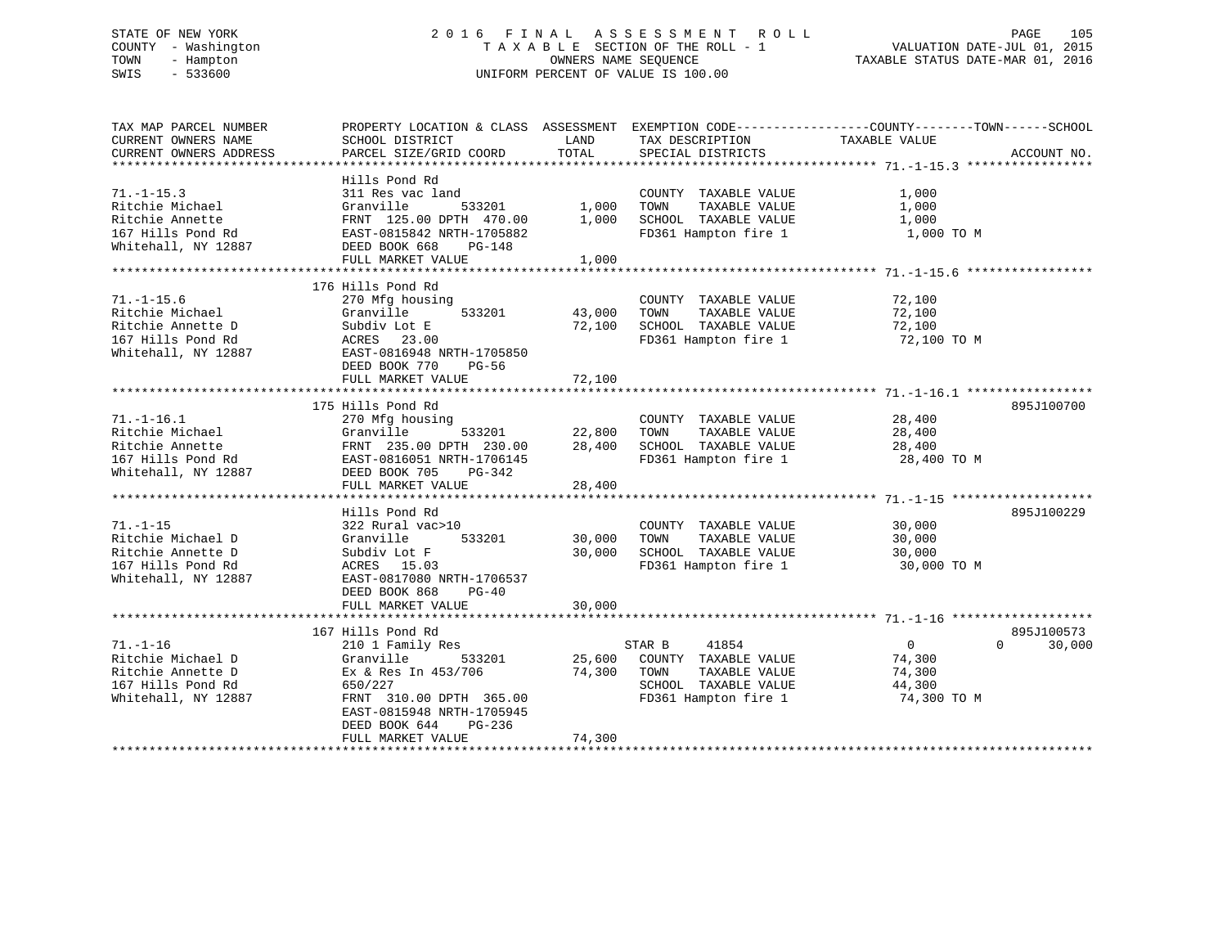# STATE OF NEW YORK 2 0 1 6 F I N A L A S S E S S M E N T R O L L PAGE 105 COUNTY - Washington T A X A B L E SECTION OF THE ROLL - 1 VALUATION DATE-JUL 01, 2015 TOWN - Hampton OWNERS NAME SEQUENCE TAXABLE STATUS DATE-MAR 01, 2016 SWIS - 533600 UNIFORM PERCENT OF VALUE IS 100.00

| TAX MAP PARCEL NUMBER  | PROPERTY LOCATION & CLASS ASSESSMENT EXEMPTION CODE----------------COUNTY-------TOWN-----SCHOOL |        |                             |                |                    |
|------------------------|-------------------------------------------------------------------------------------------------|--------|-----------------------------|----------------|--------------------|
| CURRENT OWNERS NAME    | SCHOOL DISTRICT                                                                                 | LAND   | TAX DESCRIPTION             | TAXABLE VALUE  |                    |
| CURRENT OWNERS ADDRESS | PARCEL SIZE/GRID COORD                                                                          | TOTAL  | SPECIAL DISTRICTS           |                | ACCOUNT NO.        |
|                        |                                                                                                 |        |                             |                |                    |
|                        | Hills Pond Rd                                                                                   |        |                             |                |                    |
| $71. - 1 - 15.3$       | 311 Res vac land                                                                                |        | COUNTY TAXABLE VALUE        | 1,000          |                    |
| Ritchie Michael        | 533201<br>Granville                                                                             | 1,000  | TOWN<br>TAXABLE VALUE       | 1,000          |                    |
| Ritchie Annette        | FRNT 125.00 DPTH 470.00                                                                         | 1,000  | SCHOOL TAXABLE VALUE        | 1,000          |                    |
| 167 Hills Pond Rd      | EAST-0815842 NRTH-1705882                                                                       |        | FD361 Hampton fire 1        | 1,000 TO M     |                    |
| Whitehall, NY 12887    | DEED BOOK 668<br>$PG-148$                                                                       |        |                             |                |                    |
|                        | FULL MARKET VALUE                                                                               | 1,000  |                             |                |                    |
|                        |                                                                                                 |        |                             |                |                    |
|                        | 176 Hills Pond Rd                                                                               |        |                             |                |                    |
| $71. - 1 - 15.6$       | 270 Mfg housing                                                                                 |        | COUNTY TAXABLE VALUE        | 72,100         |                    |
| Ritchie Michael        | 533201<br>Granville                                                                             | 43,000 | TAXABLE VALUE<br>TOWN       | 72,100         |                    |
| Ritchie Annette D      | Subdiv Lot E                                                                                    | 72,100 | SCHOOL TAXABLE VALUE        | 72,100         |                    |
| 167 Hills Pond Rd      | ACRES<br>23.00                                                                                  |        | FD361 Hampton fire 1        | 72,100 TO M    |                    |
| Whitehall, NY 12887    | EAST-0816948 NRTH-1705850                                                                       |        |                             |                |                    |
|                        | DEED BOOK 770<br>$PG-56$                                                                        |        |                             |                |                    |
|                        | FULL MARKET VALUE                                                                               | 72,100 |                             |                |                    |
|                        |                                                                                                 |        |                             |                |                    |
|                        | 175 Hills Pond Rd                                                                               |        |                             |                | 895J100700         |
| $71. - 1 - 16.1$       | 270 Mfg housing                                                                                 |        | COUNTY TAXABLE VALUE        | 28,400         |                    |
| Ritchie Michael        | Granville<br>533201                                                                             | 22,800 | TAXABLE VALUE<br>TOWN       | 28,400         |                    |
| Ritchie Annette        |                                                                                                 | 28,400 | SCHOOL TAXABLE VALUE        | 28,400         |                    |
| 167 Hills Pond Rd      | FRNT 235.00 D.1.<br>EAST-0816051 NRTH-1706145<br>EAST-0816051 PG-342                            |        | FD361 Hampton fire 1        | 28,400 TO M    |                    |
| Whitehall, NY 12887    | DEED BOOK 705<br>PG-342                                                                         |        |                             |                |                    |
|                        | FULL MARKET VALUE                                                                               | 28,400 |                             |                |                    |
|                        |                                                                                                 |        |                             |                |                    |
|                        | Hills Pond Rd                                                                                   |        |                             |                | 895J100229         |
| $71. - 1 - 15$         | 322 Rural vac>10                                                                                |        | COUNTY TAXABLE VALUE        | 30,000         |                    |
| Ritchie Michael D      | Granville<br>533201                                                                             | 30,000 | TOWN<br>TAXABLE VALUE       | 30,000         |                    |
| Ritchie Annette D      | Subdiv Lot F                                                                                    | 30,000 | SCHOOL TAXABLE VALUE        | 30,000         |                    |
| 167 Hills Pond Rd      | ACRES 15.03                                                                                     |        | FD361 Hampton fire 1        | 30,000 TO M    |                    |
| Whitehall, NY 12887    | EAST-0817080 NRTH-1706537                                                                       |        |                             |                |                    |
|                        | DEED BOOK 868<br>$PG-40$                                                                        |        |                             |                |                    |
|                        | FULL MARKET VALUE                                                                               | 30,000 |                             |                |                    |
|                        |                                                                                                 |        |                             |                |                    |
|                        | 167 Hills Pond Rd                                                                               |        |                             |                | 895J100573         |
| $71. - 1 - 16$         | 210 1 Family Res                                                                                |        | STAR B<br>41854             | $\overline{0}$ | 30,000<br>$\Omega$ |
| Ritchie Michael D      | 533201<br>Granville                                                                             |        | 25,600 COUNTY TAXABLE VALUE | 74,300         |                    |
| Ritchie Annette D      | Ex & Res In 453/706                                                                             | 74,300 | TOWN<br>TAXABLE VALUE       | 74,300         |                    |
| 167 Hills Pond Rd      | 650/227                                                                                         |        | SCHOOL TAXABLE VALUE        | 44,300         |                    |
| Whitehall, NY 12887    | FRNT 310.00 DPTH 365.00                                                                         |        | FD361 Hampton fire 1        | 74,300 TO M    |                    |
|                        | EAST-0815948 NRTH-1705945                                                                       |        |                             |                |                    |
|                        | DEED BOOK 644<br>PG-236                                                                         |        |                             |                |                    |
|                        | FULL MARKET VALUE                                                                               | 74,300 |                             |                |                    |
|                        |                                                                                                 |        |                             |                |                    |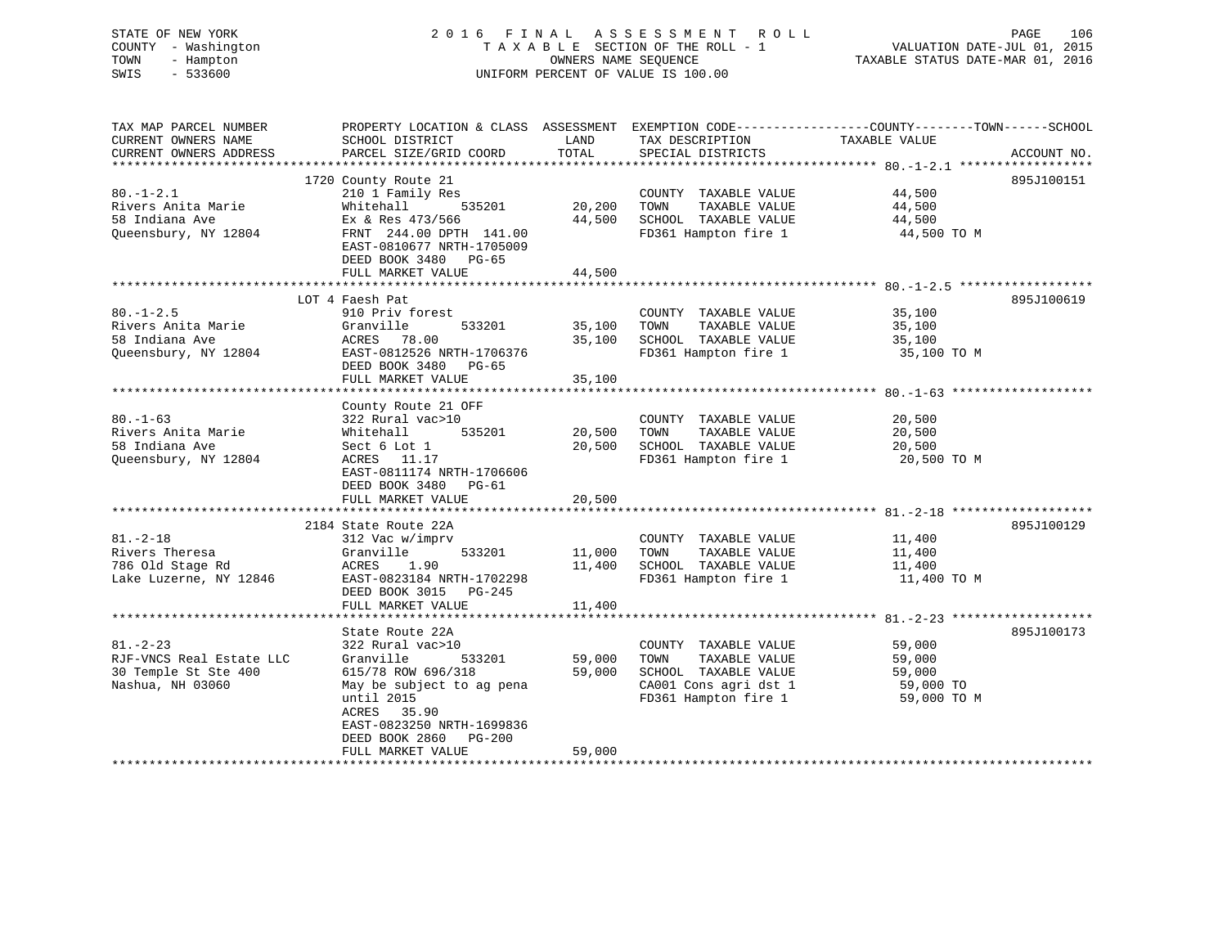| STATE OF NEW YORK<br>COUNTY - Washington<br>- Hampton<br>TOWN<br>$-533600$<br>SWIS                  |                                                                                                                                                                                                                                 | OWNERS NAME SEQUENCE       | 2016 FINAL ASSESSMENT ROLL<br>TAXABLE SECTION OF THE ROLL - 1<br>UNIFORM PERCENT OF VALUE IS 100.00                    | PAGE<br>106<br>VALUATION DATE-JUL 01, 2015<br>TAXABLE STATUS DATE-MAR 01, 2016                                                   |
|-----------------------------------------------------------------------------------------------------|---------------------------------------------------------------------------------------------------------------------------------------------------------------------------------------------------------------------------------|----------------------------|------------------------------------------------------------------------------------------------------------------------|----------------------------------------------------------------------------------------------------------------------------------|
| TAX MAP PARCEL NUMBER<br>CURRENT OWNERS NAME<br>CURRENT OWNERS ADDRESS<br>************************* | SCHOOL DISTRICT<br>PARCEL SIZE/GRID COORD                                                                                                                                                                                       | LAND<br>TOTAL              | TAX DESCRIPTION<br>SPECIAL DISTRICTS                                                                                   | PROPERTY LOCATION & CLASS ASSESSMENT EXEMPTION CODE----------------COUNTY-------TOWN------SCHOOL<br>TAXABLE VALUE<br>ACCOUNT NO. |
| $80. - 1 - 2.1$<br>Rivers Anita Marie<br>58 Indiana Ave<br>Queensbury, NY 12804                     | 1720 County Route 21<br>210 1 Family Res<br>Whitehall<br>535201<br>Ex & Res 473/566<br>FRNT 244.00 DPTH 141.00<br>EAST-0810677 NRTH-1705009<br>DEED BOOK 3480 PG-65<br>FULL MARKET VALUE                                        | 20,200<br>44,500<br>44,500 | COUNTY TAXABLE VALUE<br>TAXABLE VALUE<br>TOWN<br>SCHOOL TAXABLE VALUE<br>FD361 Hampton fire 1                          | 895J100151<br>44,500<br>44,500<br>44,500<br>44,500 TO M                                                                          |
|                                                                                                     |                                                                                                                                                                                                                                 |                            |                                                                                                                        |                                                                                                                                  |
| $80. - 1 - 2.5$<br>Rivers Anita Marie<br>58 Indiana Ave<br>Queensbury, NY 12804                     | LOT 4 Faesh Pat<br>910 Priv forest<br>Granville<br>533201<br>ACRES 78.00<br>EAST-0812526 NRTH-1706376<br>DEED BOOK 3480<br>PG-65<br>FULL MARKET VALUE                                                                           | 35,100<br>35,100<br>35,100 | COUNTY TAXABLE VALUE<br>TAXABLE VALUE<br>TOWN<br>SCHOOL TAXABLE VALUE<br>FD361 Hampton fire 1                          | 895J100619<br>35,100<br>35,100<br>35,100<br>35,100 TO M                                                                          |
|                                                                                                     |                                                                                                                                                                                                                                 |                            |                                                                                                                        |                                                                                                                                  |
| $80. - 1 - 63$<br>Rivers Anita Marie<br>58 Indiana Ave<br>Queensbury, NY 12804                      | County Route 21 OFF<br>322 Rural vac>10<br>Whitehall<br>535201<br>Sect 6 Lot 1<br>ACRES 11.17<br>EAST-0811174 NRTH-1706606<br>DEED BOOK 3480<br>$PG-61$<br>FULL MARKET VALUE                                                    | 20,500<br>20,500<br>20,500 | COUNTY TAXABLE VALUE<br>TAXABLE VALUE<br>TOWN<br>SCHOOL TAXABLE VALUE<br>FD361 Hampton fire 1                          | 20,500<br>20,500<br>20,500<br>20,500 TO M                                                                                        |
|                                                                                                     |                                                                                                                                                                                                                                 |                            |                                                                                                                        |                                                                                                                                  |
| $81. - 2 - 18$<br>Rivers Theresa<br>786 Old Stage Rd<br>Lake Luzerne, NY 12846                      | 2184 State Route 22A<br>312 Vac w/imprv<br>Granville<br>533201<br>ACRES<br>1.90<br>EAST-0823184 NRTH-1702298<br>DEED BOOK 3015 PG-245<br>FULL MARKET VALUE                                                                      | 11,000<br>11,400<br>11,400 | COUNTY TAXABLE VALUE<br>TAXABLE VALUE<br>TOWN<br>SCHOOL TAXABLE VALUE<br>FD361 Hampton fire 1                          | 895J100129<br>11,400<br>11,400<br>11,400<br>11,400 TO M                                                                          |
|                                                                                                     |                                                                                                                                                                                                                                 |                            |                                                                                                                        |                                                                                                                                  |
| $81. - 2 - 23$<br>RJF-VNCS Real Estate LLC<br>30 Temple St Ste 400<br>Nashua, NH 03060              | State Route 22A<br>322 Rural vac>10<br>Granville<br>533201<br>615/78 ROW 696/318<br>May be subject to ag pena<br>until 2015<br>ACRES 35.90<br>EAST-0823250 NRTH-1699836<br>DEED BOOK 2860<br><b>PG-200</b><br>FULL MARKET VALUE | 59,000<br>59,000<br>59,000 | COUNTY TAXABLE VALUE<br>TOWN<br>TAXABLE VALUE<br>SCHOOL TAXABLE VALUE<br>CA001 Cons agri dst 1<br>FD361 Hampton fire 1 | 895J100173<br>59,000<br>59,000<br>59,000<br>59,000 TO<br>59,000 TO M                                                             |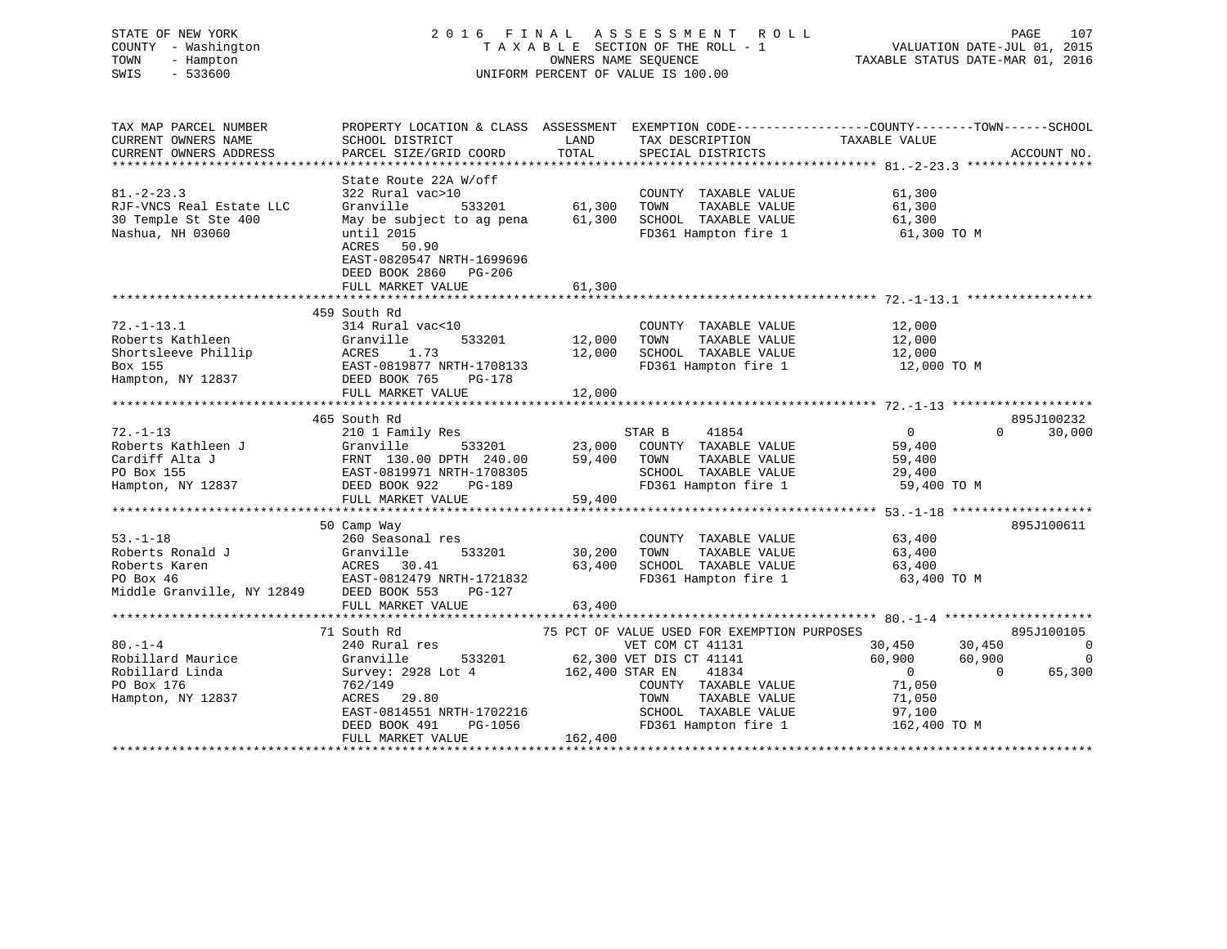# STATE OF NEW YORK 2 0 1 6 F I N A L A S S E S S M E N T R O L L PAGE 107 COUNTY - Washington T A X A B L E SECTION OF THE ROLL - 1 VALUATION DATE-JUL 01, 2015 TOWN - Hampton OWNERS NAME SEQUENCE TAXABLE STATUS DATE-MAR 01, 2016 SWIS - 533600 UNIFORM PERCENT OF VALUE IS 100.00

TAX MAP PARCEL NUMBER PROPERTY LOCATION & CLASS ASSESSMENT EXEMPTION CODE------------------COUNTY--------TOWN------SCHOOL CURRENT OWNERS NAME SCHOOL DISTRICT THE LAND TAX DESCRIPTION TAXABLE VALUE CURRENT OWNERS ADDRESS PARCEL SIZE/GRID COORD TOTAL SPECIAL DISTRICTS ACCOUNT NO. \*\*\*\*\*\*\*\*\*\*\*\*\*\*\*\*\*\*\*\*\*\*\*\*\*\*\*\*\*\*\*\*\*\*\*\*\*\*\*\*\*\*\*\*\*\*\*\*\*\*\*\*\*\*\*\*\*\*\*\*\*\*\*\*\*\*\*\*\*\*\*\*\*\*\*\*\*\*\*\*\*\*\*\*\*\*\*\*\*\*\*\*\*\*\*\*\*\*\*\*\*\*\* 81.-2-23.3 \*\*\*\*\*\*\*\*\*\*\*\*\*\*\*\*\* State Route 22A W/off 81.-2-23.3 322 Rural vac>10 COUNTY TAXABLE VALUE 61,300 RJF-VNCS Real Estate LLC Granville 533201 61,300 TOWN TAXABLE VALUE 61,300 30 Temple St Ste 400 May be subject to ag pena 61,300 SCHOOL TAXABLE VALUE 61,300 Nashua, NH 03060 until 2015<br>
Mashua, NH 03060 until 2015<br>  $\frac{1}{2}$  FD361 Hampton fire 1 61,300 TO M ACRES 50.90 EAST-0820547 NRTH-1699696 DEED BOOK 2860 PG-206FULL MARKET VALUE 61,300 \*\*\*\*\*\*\*\*\*\*\*\*\*\*\*\*\*\*\*\*\*\*\*\*\*\*\*\*\*\*\*\*\*\*\*\*\*\*\*\*\*\*\*\*\*\*\*\*\*\*\*\*\*\*\*\*\*\*\*\*\*\*\*\*\*\*\*\*\*\*\*\*\*\*\*\*\*\*\*\*\*\*\*\*\*\*\*\*\*\*\*\*\*\*\*\*\*\*\*\*\*\*\* 72.-1-13.1 \*\*\*\*\*\*\*\*\*\*\*\*\*\*\*\*\* 459 South Rd 72.-1-13.1 314 Rural vac<10 COUNTY TAXABLE VALUE 12,000 Roberts Kathleen Granville 533201 12,000 TOWN TAXABLE VALUE 12,000 Shortsleeve Phillip ACRES 1.73 12,000 SCHOOL TAXABLE VALUE 12,000 Box 155 EAST-0819877 NRTH-1708133 FD361 Hampton fire 1 12,000 TO M Hampton, NY 12837 DEED BOOK 765 PG-178 FULL MARKET VALUE 12,000 \*\*\*\*\*\*\*\*\*\*\*\*\*\*\*\*\*\*\*\*\*\*\*\*\*\*\*\*\*\*\*\*\*\*\*\*\*\*\*\*\*\*\*\*\*\*\*\*\*\*\*\*\*\*\*\*\*\*\*\*\*\*\*\*\*\*\*\*\*\*\*\*\*\*\*\*\*\*\*\*\*\*\*\*\*\*\*\*\*\*\*\*\*\*\*\*\*\*\*\*\*\*\* 72.-1-13 \*\*\*\*\*\*\*\*\*\*\*\*\*\*\*\*\*\*\* 465 South Rd 895J10023272.-1-13 210 1 Family Res STAR B 41854 0 0 30,000 Roberts Kathleen J Granville 533201 23,000 COUNTY TAXABLE VALUE 59,400 Cardiff Alta J FRNT 130.00 DPTH 240.00 59,400 TOWN TAXABLE VALUE 59,400 PO Box 155 EAST-0819971 NRTH-1708305 SCHOOL TAXABLE VALUE 29,400 Hampton, NY 12837 DEED BOOK 922 PG-189 FD361 Hampton fire 1 59,400 TO M FULL MARKET VALUE<br>Hampton, NY 12837 DEED BOOK 922 PG-189<br>FULL MARKET VALUE 59,400 \*\*\*\*\*\*\*\*\*\*\*\*\*\*\*\*\*\*\*\*\*\*\*\*\*\*\*\*\*\*\*\*\*\*\*\*\*\*\*\*\*\*\*\*\*\*\*\*\*\*\*\*\*\*\*\*\*\*\*\*\*\*\*\*\*\*\*\*\*\*\*\*\*\*\*\*\*\*\*\*\*\*\*\*\*\*\*\*\*\*\*\*\*\*\*\*\*\*\*\*\*\*\* 53.-1-18 \*\*\*\*\*\*\*\*\*\*\*\*\*\*\*\*\*\*\* 50 Camp Way 895J100611 53.-1-18 260 Seasonal res COUNTY TAXABLE VALUE 63,400 Roberts Ronald J Granville 533201 30,200 TOWN TAXABLE VALUE 63,400 Roberts Karen ACRES 30.41 63,400 SCHOOL TAXABLE VALUE 63,400 PO Box 46 EAST-0812479 NRTH-1721832 FD361 Hampton fire 1 63,400 TO M Middle Granville, NY 12849 DEED BOOK 553 PG-127 FULL MARKET VALUE 63,400 \*\*\*\*\*\*\*\*\*\*\*\*\*\*\*\*\*\*\*\*\*\*\*\*\*\*\*\*\*\*\*\*\*\*\*\*\*\*\*\*\*\*\*\*\*\*\*\*\*\*\*\*\*\*\*\*\*\*\*\*\*\*\*\*\*\*\*\*\*\*\*\*\*\*\*\*\*\*\*\*\*\*\*\*\*\*\*\*\*\*\*\*\*\*\*\*\*\*\*\*\*\*\* 80.-1-4 \*\*\*\*\*\*\*\*\*\*\*\*\*\*\*\*\*\*\*\* 71 South Rd 75 PCT OF VALUE USED FOR EXEMPTION PURPOSES 895J10010580.-1-4 240 Rural res VET COM CT 41131 30,450 30,450 0 Robillard Maurice Granville 533201 62,300 VET DIS CT 41141 60,900 60,900 0 Robillard Linda Survey: 2928 Lot 4 162,400 STAR EN 41834 0 0 65,300 PO Box 176 762/149 COUNTY TAXABLE VALUE 71,050 Hampton, NY 12837 ACRES 29.80 TOWN TAXABLE VALUE 71,050 EAST-0814551 NRTH-1702216 SCHOOL TAXABLE VALUE 97,100 DEED BOOK 491 PG-1056 FD361 Hampton fire 1 162,400 TO M DEED BOOK 491 PG-1056<br>FULL MARKET VALUE 162,400 \*\*\*\*\*\*\*\*\*\*\*\*\*\*\*\*\*\*\*\*\*\*\*\*\*\*\*\*\*\*\*\*\*\*\*\*\*\*\*\*\*\*\*\*\*\*\*\*\*\*\*\*\*\*\*\*\*\*\*\*\*\*\*\*\*\*\*\*\*\*\*\*\*\*\*\*\*\*\*\*\*\*\*\*\*\*\*\*\*\*\*\*\*\*\*\*\*\*\*\*\*\*\*\*\*\*\*\*\*\*\*\*\*\*\*\*\*\*\*\*\*\*\*\*\*\*\*\*\*\*\*\*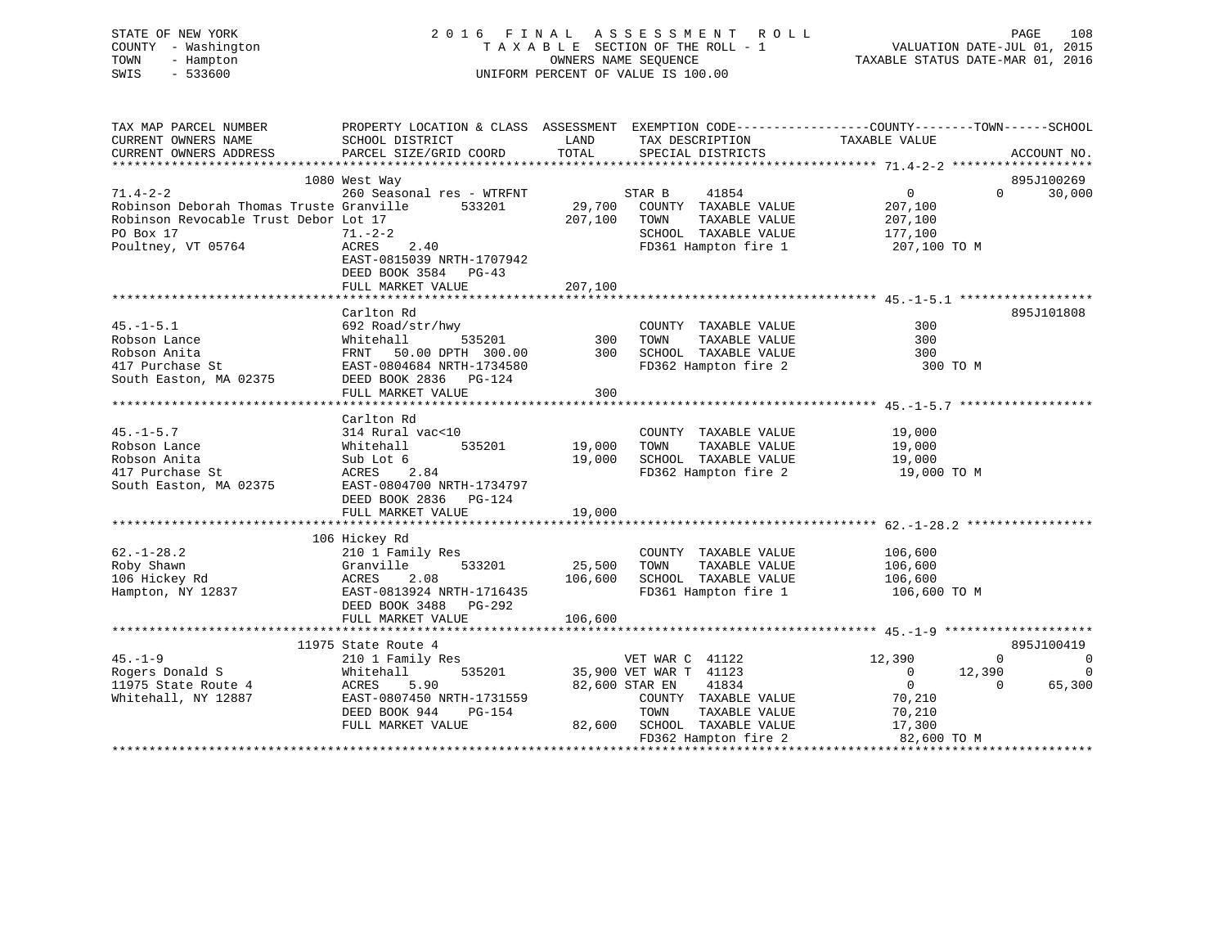| STATE OF NEW YORK<br>- Washington<br>COUNTY<br>TOWN<br>- Hampton<br>SWIS<br>$-533600$ |                                                                                               |         | 2016 FINAL ASSESSMENT ROLL<br>TAXABLE SECTION OF THE ROLL - 1<br>UNIFORM PERCENT OF VALUE IS 100.00 | VALUATION DATE-JUL 01, 2015<br>OWNERS NAME SEQUENCE TAXABLE STATUS DATE-MAR 01, 2016 | 108<br>PAGE        |
|---------------------------------------------------------------------------------------|-----------------------------------------------------------------------------------------------|---------|-----------------------------------------------------------------------------------------------------|--------------------------------------------------------------------------------------|--------------------|
| TAX MAP PARCEL NUMBER                                                                 | PROPERTY LOCATION & CLASS ASSESSMENT                                                          |         |                                                                                                     | EXEMPTION CODE-----------------COUNTY-------TOWN------SCHOOL                         |                    |
| CURRENT OWNERS NAME                                                                   | SCHOOL DISTRICT                     LAND        TAX DESCRIPTION                 TAXABLE VALUE |         |                                                                                                     |                                                                                      |                    |
| CURRENT OWNERS ADDRESS PARCEL SIZE/GRID COORD TOTAL SPECIAL DISTRICTS                 |                                                                                               |         |                                                                                                     |                                                                                      | ACCOUNT NO.        |
|                                                                                       |                                                                                               |         |                                                                                                     |                                                                                      |                    |
|                                                                                       | 1080 West Way                                                                                 |         |                                                                                                     |                                                                                      | 895J100269         |
| 71.4-2-2 260 Seasonal res - WTRFNT STAR B                                             |                                                                                               |         | 41854                                                                                               | $\sim$ 0                                                                             | 30,000<br>$\Omega$ |
| Robinson Deborah Thomas Truste Granville 533201 29,700 COUNTY                         |                                                                                               |         |                                                                                                     | TAXABLE VALUE<br>207,100                                                             |                    |
| Robinson Revocable Trust Debor Lot 17                                                 | 207,100                                                                                       |         | TOWN<br>TAXABLE VALUE                                                                               | 207,100                                                                              |                    |
| $71 - 2 - 2$<br>PO Box 17                                                             |                                                                                               |         | SCHOOL                                                                                              | 177,100<br>TAXABLE VALUE                                                             |                    |
| Poultney, VT 05764                                                                    | 71.-2-2<br>ACRES 2.40                                                                         |         | FD361 Hampton fire 1                                                                                | 207,100 TO M                                                                         |                    |
|                                                                                       | EAST-0815039 NRTH-1707942                                                                     |         |                                                                                                     |                                                                                      |                    |
|                                                                                       | DEED BOOK 3584 PG-43                                                                          |         |                                                                                                     |                                                                                      |                    |
|                                                                                       | FULL MARKET VALUE                                                                             | 207,100 |                                                                                                     |                                                                                      |                    |
|                                                                                       |                                                                                               |         |                                                                                                     |                                                                                      |                    |

|                        | Carlton Rd                |         |                         |                            | 895J101808     |
|------------------------|---------------------------|---------|-------------------------|----------------------------|----------------|
| $45. - 1 - 5.1$        | 692 Road/str/hwy          |         | COUNTY<br>TAXABLE VALUE | 300                        |                |
| Robson Lance           | 535201<br>Whitehall       | 300     | TAXABLE VALUE<br>TOWN   | 300                        |                |
| Robson Anita           | 50.00 DPTH 300.00<br>FRNT | 300     | SCHOOL TAXABLE VALUE    | 300                        |                |
| 417 Purchase St        | EAST-0804684 NRTH-1734580 |         | FD362 Hampton fire 2    | 300 TO M                   |                |
| South Easton, MA 02375 | DEED BOOK 2836 PG-124     |         |                         |                            |                |
|                        | FULL MARKET VALUE         | 300     |                         |                            |                |
|                        |                           |         |                         |                            |                |
|                        | Carlton Rd                |         |                         |                            |                |
| $45. - 1 - 5.7$        | 314 Rural vac<10          |         | COUNTY TAXABLE VALUE    | 19,000                     |                |
| Robson Lance           | Whitehall<br>535201       | 19,000  | TAXABLE VALUE<br>TOWN   | 19,000                     |                |
| Robson Anita           | Sub Lot 6                 | 19,000  | SCHOOL TAXABLE VALUE    | 19,000                     |                |
| 417 Purchase St        | ACRES 2.84                |         | FD362 Hampton fire 2    | 19,000 TO M                |                |
| South Easton, MA 02375 | EAST-0804700 NRTH-1734797 |         |                         |                            |                |
|                        | DEED BOOK 2836<br>PG-124  |         |                         |                            |                |
|                        | FULL MARKET VALUE         | 19,000  |                         |                            |                |
|                        |                           |         |                         |                            |                |
|                        | 106 Hickey Rd             |         |                         |                            |                |
| $62. - 1 - 28.2$       | 210 1 Family Res          |         | COUNTY TAXABLE VALUE    | 106,600                    |                |
| Roby Shawn             | Granville<br>533201       | 25,500  | TOWN<br>TAXABLE VALUE   | 106,600                    |                |
| 106 Hickey Rd          | ACRES<br>2.08             | 106,600 | SCHOOL TAXABLE VALUE    | 106,600                    |                |
| Hampton, NY 12837      | EAST-0813924 NRTH-1716435 |         | FD361 Hampton fire 1    | 106,600 TO M               |                |
|                        | DEED BOOK 3488 PG-292     |         |                         |                            |                |
|                        | FULL MARKET VALUE         | 106,600 |                         |                            |                |
|                        |                           |         |                         |                            |                |
|                        | 11975 State Route 4       |         |                         |                            | 895J100419     |
| $45. - 1 - 9$          | 210 1 Family Res          |         | VET WAR C 41122         | 12,390<br>$\Omega$         | $\overline{0}$ |
| Rogers Donald S        | Whitehall<br>535201       |         | 35,900 VET WAR T 41123  | 12,390<br>$\Omega$         | $\Omega$       |
| 11975 State Route 4    | 5.90<br>ACRES             |         | 82,600 STAR EN<br>41834 | $\overline{0}$<br>$\Omega$ | 65,300         |
| Whitehall, NY 12887    | EAST-0807450 NRTH-1731559 |         | COUNTY TAXABLE VALUE    | 70,210                     |                |
|                        | DEED BOOK 944<br>PG-154   |         | TOWN<br>TAXABLE VALUE   | 70,210                     |                |
|                        | FULL MARKET VALUE         | 82,600  | TAXABLE VALUE<br>SCHOOL | 17,300                     |                |
|                        |                           |         | FD362 Hampton fire 2    | 82,600 TO M                |                |
|                        |                           |         |                         |                            |                |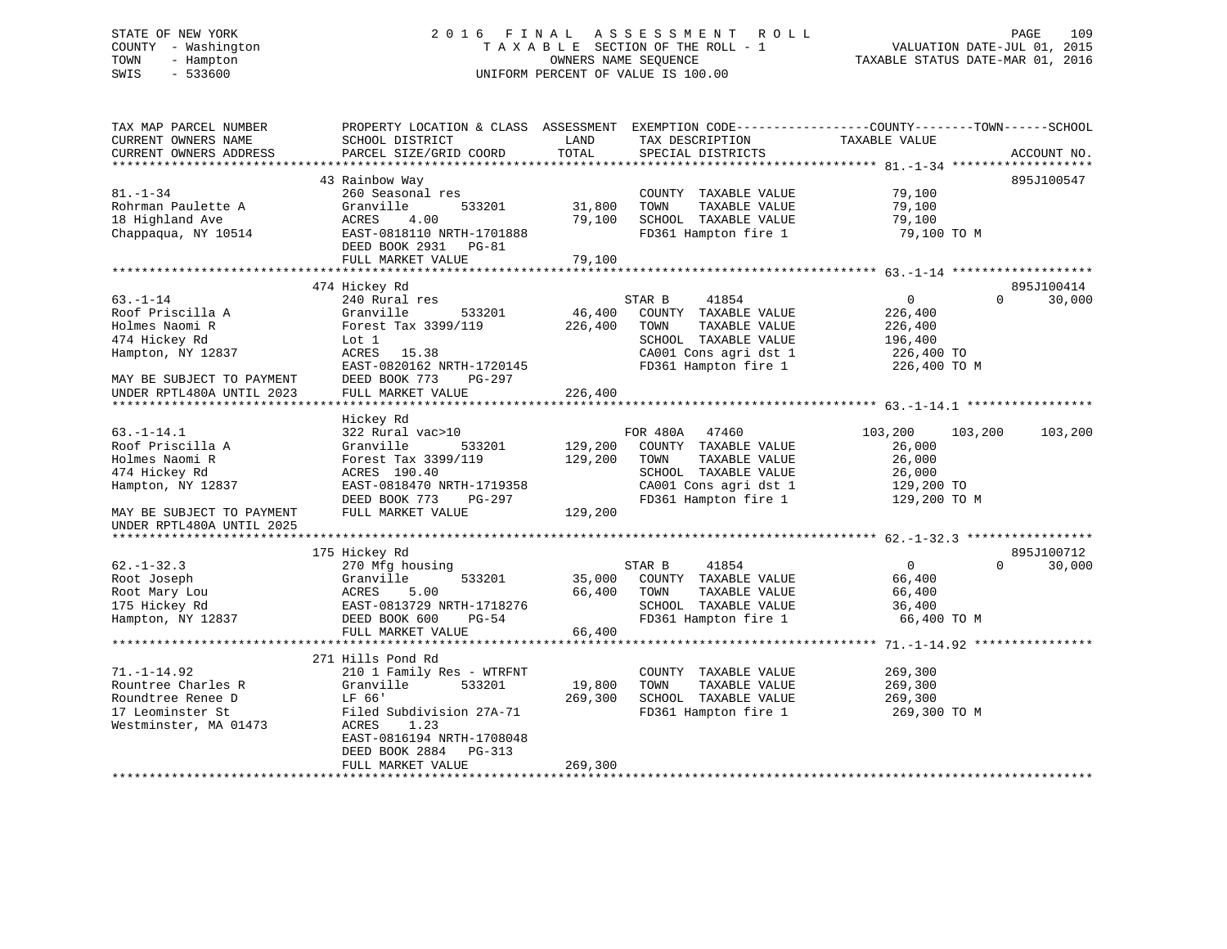# STATE OF NEW YORK 2 0 1 6 F I N A L A S S E S S M E N T R O L L PAGE 109 COUNTY - Washington T A X A B L E SECTION OF THE ROLL - 1 VALUATION DATE-JUL 01, 2015 TOWN - Hampton OWNERS NAME SEQUENCE TAXABLE STATUS DATE-MAR 01, 2016 SWIS - 533600 UNIFORM PERCENT OF VALUE IS 100.00

| TAX MAP PARCEL NUMBER                                  | PROPERTY LOCATION & CLASS ASSESSMENT                 |                           | EXEMPTION CODE-----------------COUNTY-------TOWN------SCHOOL |                |          |             |
|--------------------------------------------------------|------------------------------------------------------|---------------------------|--------------------------------------------------------------|----------------|----------|-------------|
| CURRENT OWNERS NAME                                    | SCHOOL DISTRICT                                      | LAND                      | TAX DESCRIPTION                                              | TAXABLE VALUE  |          |             |
| CURRENT OWNERS ADDRESS                                 | PARCEL SIZE/GRID COORD                               | TOTAL                     | SPECIAL DISTRICTS                                            |                |          | ACCOUNT NO. |
|                                                        |                                                      |                           |                                                              |                |          |             |
|                                                        | 43 Rainbow Way                                       |                           |                                                              |                |          | 895J100547  |
| $81. - 1 - 34$                                         | 260 Seasonal res                                     |                           | COUNTY TAXABLE VALUE                                         | 79,100         |          |             |
| Rohrman Paulette A                                     | Granville<br>533201                                  | 31,800                    | TOWN<br>TAXABLE VALUE                                        | 79,100         |          |             |
| 18 Highland Ave                                        | ACRES<br>4.00                                        | 79,100                    | SCHOOL TAXABLE VALUE                                         | 79,100         |          |             |
| Chappaqua, NY 10514                                    | EAST-0818110 NRTH-1701888<br>DEED BOOK 2931<br>PG-81 |                           | FD361 Hampton fire 1                                         | 79,100 TO M    |          |             |
|                                                        | FULL MARKET VALUE                                    | 79,100                    |                                                              |                |          |             |
|                                                        |                                                      | * * * * * * * * * * * * * |                                                              |                |          |             |
|                                                        | 474 Hickey Rd                                        |                           |                                                              |                |          | 895J100414  |
| $63. - 1 - 14$                                         | 240 Rural res                                        |                           | STAR B<br>41854                                              | $\overline{0}$ | $\Omega$ | 30,000      |
| Roof Priscilla A                                       | 533201<br>Granville                                  | 46,400                    | COUNTY TAXABLE VALUE                                         | 226,400        |          |             |
| Holmes Naomi R                                         | Forest Tax 3399/119                                  | 226,400                   | TAXABLE VALUE<br>TOWN                                        | 226,400        |          |             |
| 474 Hickey Rd                                          | Lot 1                                                |                           | SCHOOL TAXABLE VALUE                                         | 196,400        |          |             |
| Hampton, NY 12837                                      | ACRES 15.38                                          |                           | CA001 Cons agri dst 1                                        | 226,400 TO     |          |             |
|                                                        | EAST-0820162 NRTH-1720145                            |                           | FD361 Hampton fire 1                                         | 226,400 TO M   |          |             |
| MAY BE SUBJECT TO PAYMENT                              | DEED BOOK 773<br>PG-297                              |                           |                                                              |                |          |             |
| UNDER RPTL480A UNTIL 2023                              | FULL MARKET VALUE                                    | 226,400                   |                                                              |                |          |             |
|                                                        |                                                      |                           |                                                              |                |          |             |
|                                                        | Hickey Rd                                            |                           |                                                              |                |          |             |
| $63. -1 - 14.1$                                        | 322 Rural vac>10                                     |                           | FOR 480A<br>47460                                            | 103,200        | 103,200  | 103,200     |
| Roof Priscilla A                                       | Granville<br>533201                                  | 129,200                   | COUNTY TAXABLE VALUE                                         | 26,000         |          |             |
| Holmes Naomi R                                         | Forest Tax 3399/119                                  | 129,200                   | TOWN<br>TAXABLE VALUE                                        | 26,000         |          |             |
|                                                        | ACRES 190.40                                         |                           | SCHOOL TAXABLE VALUE                                         |                |          |             |
| 474 Hickey Rd                                          |                                                      |                           |                                                              | 26,000         |          |             |
| Hampton, NY 12837                                      | EAST-0818470 NRTH-1719358                            |                           | CA001 Cons agri dst 1                                        | 129,200 TO     |          |             |
|                                                        | DEED BOOK 773<br>PG-297                              |                           | FD361 Hampton fire 1                                         | 129,200 TO M   |          |             |
| MAY BE SUBJECT TO PAYMENT<br>UNDER RPTL480A UNTIL 2025 | FULL MARKET VALUE                                    | 129,200                   |                                                              |                |          |             |
| **********************                                 |                                                      |                           |                                                              |                |          |             |
|                                                        | 175 Hickey Rd                                        |                           |                                                              |                |          | 895J100712  |
| $62. - 1 - 32.3$                                       | 270 Mfg housing                                      |                           | 41854<br>STAR B                                              | $\overline{0}$ | $\Omega$ | 30,000      |
| Root Joseph                                            | Granville<br>533201                                  | 35,000                    | COUNTY TAXABLE VALUE                                         | 66,400         |          |             |
| Root Mary Lou                                          | ACRES<br>5.00                                        | 66,400                    | TAXABLE VALUE<br>TOWN                                        | 66,400         |          |             |
| 175 Hickey Rd                                          | EAST-0813729 NRTH-1718276                            |                           | SCHOOL TAXABLE VALUE                                         | 36,400         |          |             |
| Hampton, NY 12837                                      | DEED BOOK 600<br>PG-54                               |                           | FD361 Hampton fire 1                                         | 66,400 TO M    |          |             |
|                                                        |                                                      |                           |                                                              |                |          |             |
|                                                        | FULL MARKET VALUE                                    | 66,400<br>**************  |                                                              |                |          |             |
|                                                        | 271 Hills Pond Rd                                    |                           |                                                              |                |          |             |
|                                                        |                                                      |                           |                                                              |                |          |             |
| $71. - 1 - 14.92$                                      | 210 1 Family Res - WTRFNT                            |                           | COUNTY TAXABLE VALUE                                         | 269,300        |          |             |
| Rountree Charles R                                     | Granville<br>533201                                  | 19,800                    | TOWN<br>TAXABLE VALUE                                        | 269,300        |          |             |
| Roundtree Renee D                                      | LF 66'                                               | 269,300                   | SCHOOL TAXABLE VALUE                                         | 269,300        |          |             |
| 17 Leominster St                                       | Filed Subdivision 27A-71                             |                           | FD361 Hampton fire 1                                         | 269,300 ТО М   |          |             |
| Westminster, MA 01473                                  | ACRES<br>1.23                                        |                           |                                                              |                |          |             |
|                                                        | EAST-0816194 NRTH-1708048                            |                           |                                                              |                |          |             |
|                                                        | DEED BOOK 2884<br>PG-313                             |                           |                                                              |                |          |             |
|                                                        | FULL MARKET VALUE                                    | 269,300                   |                                                              |                |          |             |
|                                                        |                                                      |                           |                                                              |                |          |             |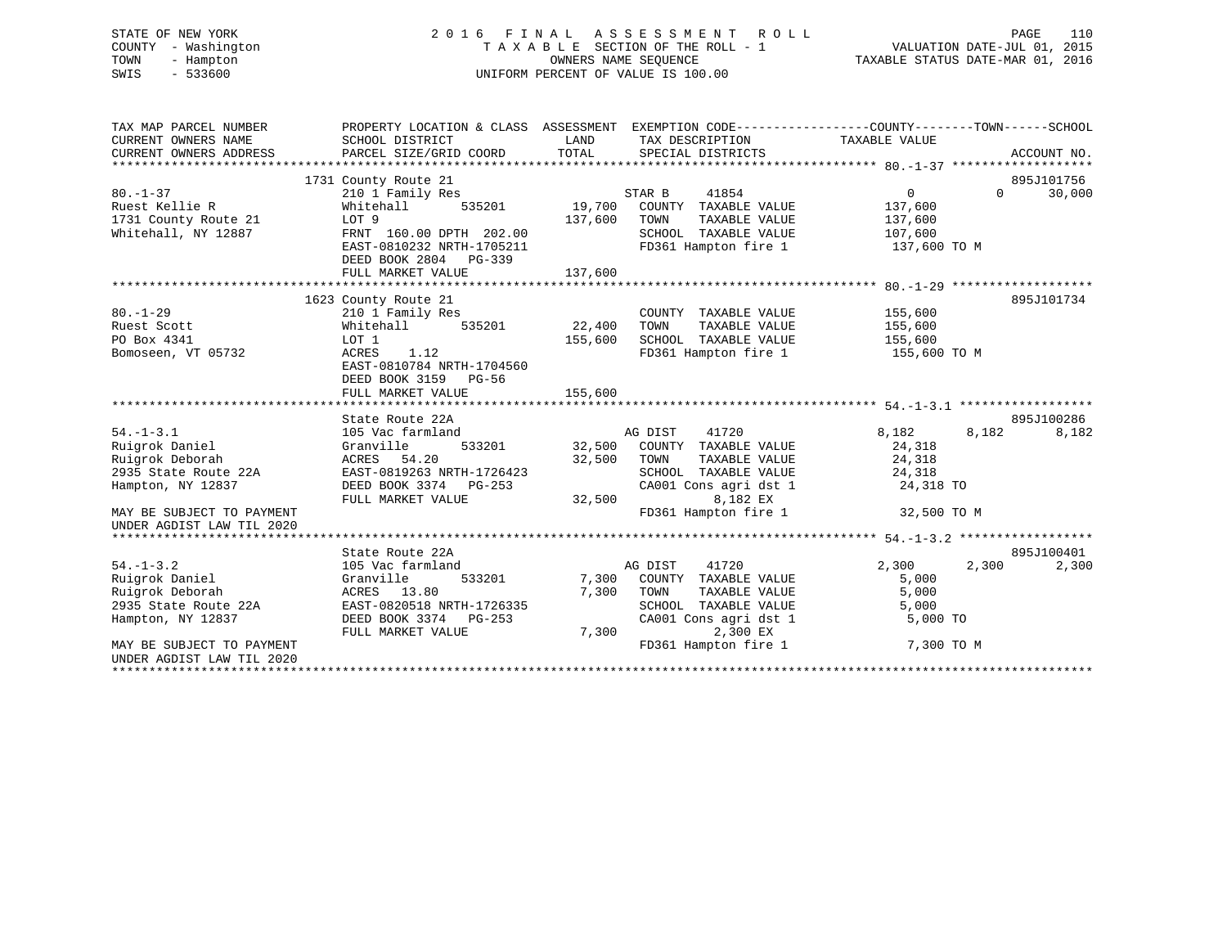# STATE OF NEW YORK 2 0 1 6 F I N A L A S S E S S M E N T R O L L PAGE 110 COUNTY - Washington T A X A B L E SECTION OF THE ROLL - 1 VALUATION DATE-JUL 01, 2015 TOWN - Hampton OWNERS NAME SEQUENCE TAXABLE STATUS DATE-MAR 01, 2016 SWIS - 533600 UNIFORM PERCENT OF VALUE IS 100.00

| TAX MAP PARCEL NUMBER<br>CURRENT OWNERS NAME<br>CURRENT OWNERS ADDRESS                            | PROPERTY LOCATION & CLASS ASSESSMENT EXEMPTION CODE---------------COUNTY-------TOWN-----SCHOOL<br>SCHOOL DISTRICT<br>PARCEL SIZE/GRID COORD    | LAND<br>TOTAL     | TAX DESCRIPTION TAXABLE VALUE<br>SPECIAL DISTRICTS                                                                                    |                                                  |          | ACCOUNT NO. |
|---------------------------------------------------------------------------------------------------|------------------------------------------------------------------------------------------------------------------------------------------------|-------------------|---------------------------------------------------------------------------------------------------------------------------------------|--------------------------------------------------|----------|-------------|
|                                                                                                   | 1731 County Route 21                                                                                                                           |                   |                                                                                                                                       |                                                  |          | 895J101756  |
| $80. - 1 - 37$<br>Ruest Kellie R                                                                  | 210 1 Family Res<br>Whitehall<br>535201                                                                                                        | 19,700            | STAR B<br>41854<br>COUNTY TAXABLE VALUE                                                                                               | $\overline{0}$<br>137,600                        | $\Omega$ | 30,000      |
| 1731 County Route 21<br>Whitehall, NY 12887                                                       | LOT 9<br>FRNT 160.00 DPTH 202.00<br>EAST-0810232 NRTH-1705211<br>DEED BOOK 2804 PG-339                                                         | 137,600           | TAXABLE VALUE<br>TOWN<br>SCHOOL TAXABLE VALUE<br>FD361 Hampton fire 1                                                                 | 137,600<br>107,600<br>137,600 TO M               |          |             |
|                                                                                                   | FULL MARKET VALUE                                                                                                                              | 137,600           |                                                                                                                                       |                                                  |          |             |
|                                                                                                   |                                                                                                                                                |                   |                                                                                                                                       |                                                  |          |             |
| $80. - 1 - 29$<br>Ruest Scott<br>PO Box 4341<br>Bomoseen, VT 05732                                | 1623 County Route 21<br>210 1 Family Res<br>535201<br>Whitehall<br>LOT 1<br>ACRES<br>1.12<br>EAST-0810784 NRTH-1704560<br>DEED BOOK 3159 PG-56 | 22,400<br>155,600 | COUNTY TAXABLE VALUE<br>TOWN<br>TAXABLE VALUE<br>SCHOOL TAXABLE VALUE<br>FD361 Hampton fire 1                                         | 155,600<br>155,600<br>155,600<br>155,600 TO M    |          | 895J101734  |
|                                                                                                   | FULL MARKET VALUE                                                                                                                              | 155,600           |                                                                                                                                       |                                                  |          |             |
|                                                                                                   | State Route 22A                                                                                                                                |                   |                                                                                                                                       |                                                  |          | 895J100286  |
| $54. - 1 - 3.1$<br>Ruigrok Daniel<br>Ruigrok Deborah<br>2935 State Route 22A<br>Hampton, NY 12837 | 105 Vac farmland<br>533201<br>Granville<br>ACRES 54.20<br>EAST-0819263 NRTH-1726423<br>DEED BOOK 3374 PG-253<br>FULL MARKET VALUE              | 32,500<br>32,500  | AG DIST<br>41720<br>32,500 COUNTY TAXABLE VALUE<br>TOWN<br>TAXABLE VALUE<br>SCHOOL TAXABLE VALUE<br>CA001 Cons agri dst 1<br>8,182 EX | 8,182<br>24,318<br>24,318<br>24,318<br>24,318 TO | 8,182    | 8,182       |
| MAY BE SUBJECT TO PAYMENT<br>UNDER AGDIST LAW TIL 2020                                            |                                                                                                                                                |                   | FD361 Hampton fire 1                                                                                                                  | 32,500 TO M                                      |          |             |
|                                                                                                   |                                                                                                                                                |                   |                                                                                                                                       |                                                  |          |             |
|                                                                                                   | State Route 22A                                                                                                                                |                   |                                                                                                                                       |                                                  |          | 895J100401  |
| $54. - 1 - 3.2$<br>Ruigrok Daniel<br>Ruigrok Deborah<br>2935 State Route 22A<br>Hampton, NY 12837 | 105 Vac farmland<br>533201<br>Granville<br>ACRES 13.80<br>EAST-0820518 NRTH-1726335<br>DEED BOOK 3374 PG-253<br>FULL MARKET VALUE              | 7,300<br>7,300    | 41720<br>AG DIST<br>7,300 COUNTY TAXABLE VALUE<br>TOWN<br>TAXABLE VALUE<br>SCHOOL TAXABLE VALUE<br>CA001 Cons agri dst 1<br>2,300 EX  | 2,300<br>5,000<br>5,000<br>5,000<br>5,000 TO     | 2,300    | 2,300       |
| MAY BE SUBJECT TO PAYMENT<br>UNDER AGDIST LAW TIL 2020                                            |                                                                                                                                                |                   | FD361 Hampton fire 1                                                                                                                  | 7,300 TO M                                       |          |             |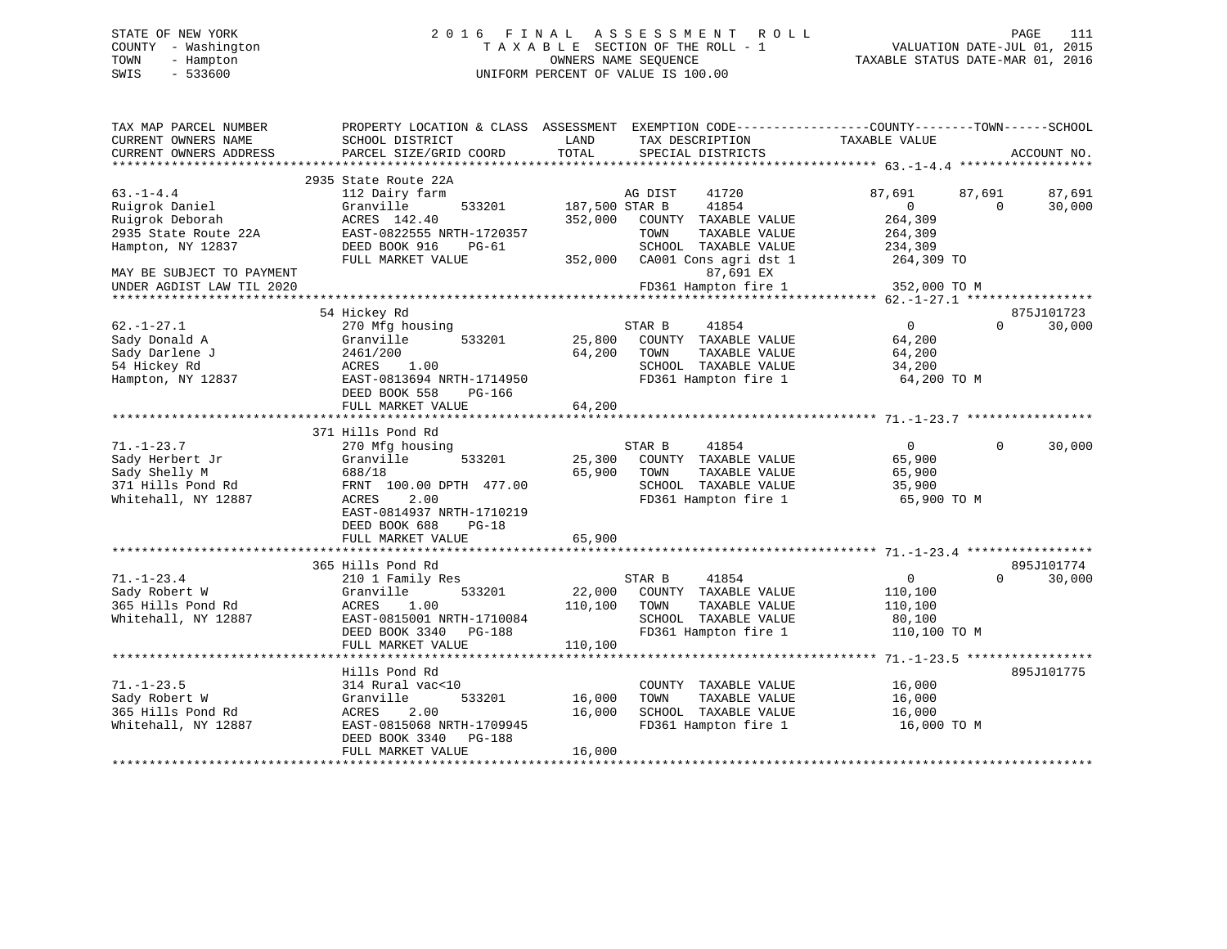# STATE OF NEW YORK 2 0 1 6 F I N A L A S S E S S M E N T R O L L PAGE 111 COUNTY - Washington T A X A B L E SECTION OF THE ROLL - 1 VALUATION DATE-JUL 01, 2015 TOWN - Hampton OWNERS NAME SEQUENCE TAXABLE STATUS DATE-MAR 01, 2016 SWIS - 533600 UNIFORM PERCENT OF VALUE IS 100.00

| TAX MAP PARCEL NUMBER<br>CURRENT OWNERS NAME | PROPERTY LOCATION & CLASS ASSESSMENT<br>SCHOOL DISTRICT | LAND           | TAX DESCRIPTION                               | EXEMPTION CODE-----------------COUNTY-------TOWN------SCHOOL<br>TAXABLE VALUE |                    |
|----------------------------------------------|---------------------------------------------------------|----------------|-----------------------------------------------|-------------------------------------------------------------------------------|--------------------|
| CURRENT OWNERS ADDRESS                       | PARCEL SIZE/GRID COORD                                  | TOTAL          | SPECIAL DISTRICTS                             |                                                                               | ACCOUNT NO.        |
|                                              | 2935 State Route 22A                                    |                |                                               |                                                                               |                    |
| $63. - 1 - 4.4$                              | 112 Dairy farm                                          |                | AG DIST<br>41720                              | 87,691<br>87,691                                                              | 87,691             |
| Ruigrok Daniel                               | Granville<br>533201                                     | 187,500 STAR B | 41854                                         | $\Omega$                                                                      | 30,000<br>$\Omega$ |
| Ruigrok Deborah                              | ACRES 142.40                                            | 352,000        | COUNTY TAXABLE VALUE                          | 264,309                                                                       |                    |
| 2935 State Route 22A                         | EAST-0822555 NRTH-1720357                               |                | TAXABLE VALUE<br>TOWN                         | 264,309                                                                       |                    |
| Hampton, NY 12837                            | DEED BOOK 916<br>PG-61                                  |                | SCHOOL TAXABLE VALUE                          | 234,309                                                                       |                    |
|                                              | FULL MARKET VALUE                                       | 352,000        | CA001 Cons agri dst 1                         | 264,309 TO                                                                    |                    |
| MAY BE SUBJECT TO PAYMENT                    |                                                         |                | 87,691 EX                                     |                                                                               |                    |
| UNDER AGDIST LAW TIL 2020                    |                                                         |                | FD361 Hampton fire 1                          | 352,000 TO M                                                                  |                    |
| *********************                        |                                                         |                |                                               |                                                                               |                    |
|                                              | 54 Hickey Rd                                            |                |                                               |                                                                               | 875J101723         |
| $62. - 1 - 27.1$                             | 270 Mfg housing                                         |                | STAR B<br>41854                               | $\overline{0}$                                                                | $\Omega$<br>30,000 |
| Sady Donald A                                | Granville<br>533201                                     | 25,800         | COUNTY TAXABLE VALUE                          | 64,200                                                                        |                    |
| Sady Darlene J                               | 2461/200                                                | 64,200         | TAXABLE VALUE<br>TOWN                         | 64,200                                                                        |                    |
| 54 Hickey Rd                                 | ACRES<br>1.00                                           |                | SCHOOL TAXABLE VALUE                          | 34,200                                                                        |                    |
| Hampton, NY 12837                            | EAST-0813694 NRTH-1714950                               |                | FD361 Hampton fire 1                          | 64,200 TO M                                                                   |                    |
|                                              | DEED BOOK 558<br>PG-166                                 |                |                                               |                                                                               |                    |
|                                              | FULL MARKET VALUE<br>***************************        | 64,200         |                                               |                                                                               |                    |
|                                              | 371 Hills Pond Rd                                       |                |                                               |                                                                               |                    |
| $71. - 1 - 23.7$                             | 270 Mfg housing                                         |                | 41854<br>STAR B                               | $\overline{0}$                                                                | $\Omega$<br>30,000 |
| Sady Herbert Jr                              | 533201<br>Granville                                     | 25,300         | COUNTY TAXABLE VALUE                          | 65,900                                                                        |                    |
| Sady Shelly M                                | 688/18                                                  | 65,900         | TOWN<br>TAXABLE VALUE                         | 65,900                                                                        |                    |
| 371 Hills Pond Rd                            | FRNT 100.00 DPTH 477.00                                 |                | SCHOOL TAXABLE VALUE                          | 35,900                                                                        |                    |
| Whitehall, NY 12887                          | 2.00<br>ACRES                                           |                | FD361 Hampton fire 1                          | 65,900 TO M                                                                   |                    |
|                                              | EAST-0814937 NRTH-1710219                               |                |                                               |                                                                               |                    |
|                                              | DEED BOOK 688<br>$PG-18$                                |                |                                               |                                                                               |                    |
|                                              | FULL MARKET VALUE                                       | 65,900         |                                               |                                                                               |                    |
|                                              |                                                         |                |                                               |                                                                               |                    |
|                                              | 365 Hills Pond Rd                                       |                |                                               |                                                                               | 895J101774         |
| $71. - 1 - 23.4$                             | 210 1 Family Res                                        |                | 41854<br>STAR B                               | $\overline{0}$                                                                | 30,000<br>$\Omega$ |
| Sady Robert W                                | Granville<br>533201                                     | 22,000         | COUNTY TAXABLE VALUE                          | 110,100                                                                       |                    |
| 365 Hills Pond Rd                            | ACRES<br>1.00                                           | 110,100        | TOWN<br>TAXABLE VALUE                         | 110,100                                                                       |                    |
| Whitehall, NY 12887                          | EAST-0815001 NRTH-1710084                               |                | SCHOOL TAXABLE VALUE                          | 80,100                                                                        |                    |
|                                              | DEED BOOK 3340 PG-188                                   |                | FD361 Hampton fire 1                          | 110,100 TO M                                                                  |                    |
|                                              | FULL MARKET VALUE<br>**************************         | 110,100        |                                               |                                                                               |                    |
|                                              |                                                         |                |                                               |                                                                               |                    |
|                                              | Hills Pond Rd                                           |                |                                               |                                                                               | 895J101775         |
| $71. - 1 - 23.5$<br>Sady Robert W            | 314 Rural vac<10<br>533201                              |                | COUNTY TAXABLE VALUE<br>TAXABLE VALUE<br>TOWN | 16,000                                                                        |                    |
|                                              | Granville                                               | 16,000         | SCHOOL TAXABLE VALUE                          | 16,000                                                                        |                    |
| 365 Hills Pond Rd<br>Whitehall, NY 12887     | ACRES<br>2.00<br>EAST-0815068 NRTH-1709945              | 16,000         | FD361 Hampton fire 1                          | 16,000<br>16,000 TO M                                                         |                    |
|                                              | DEED BOOK 3340<br><b>PG-188</b>                         |                |                                               |                                                                               |                    |
|                                              | FULL MARKET VALUE                                       | 16,000         |                                               |                                                                               |                    |
|                                              | **********************                                  |                |                                               |                                                                               |                    |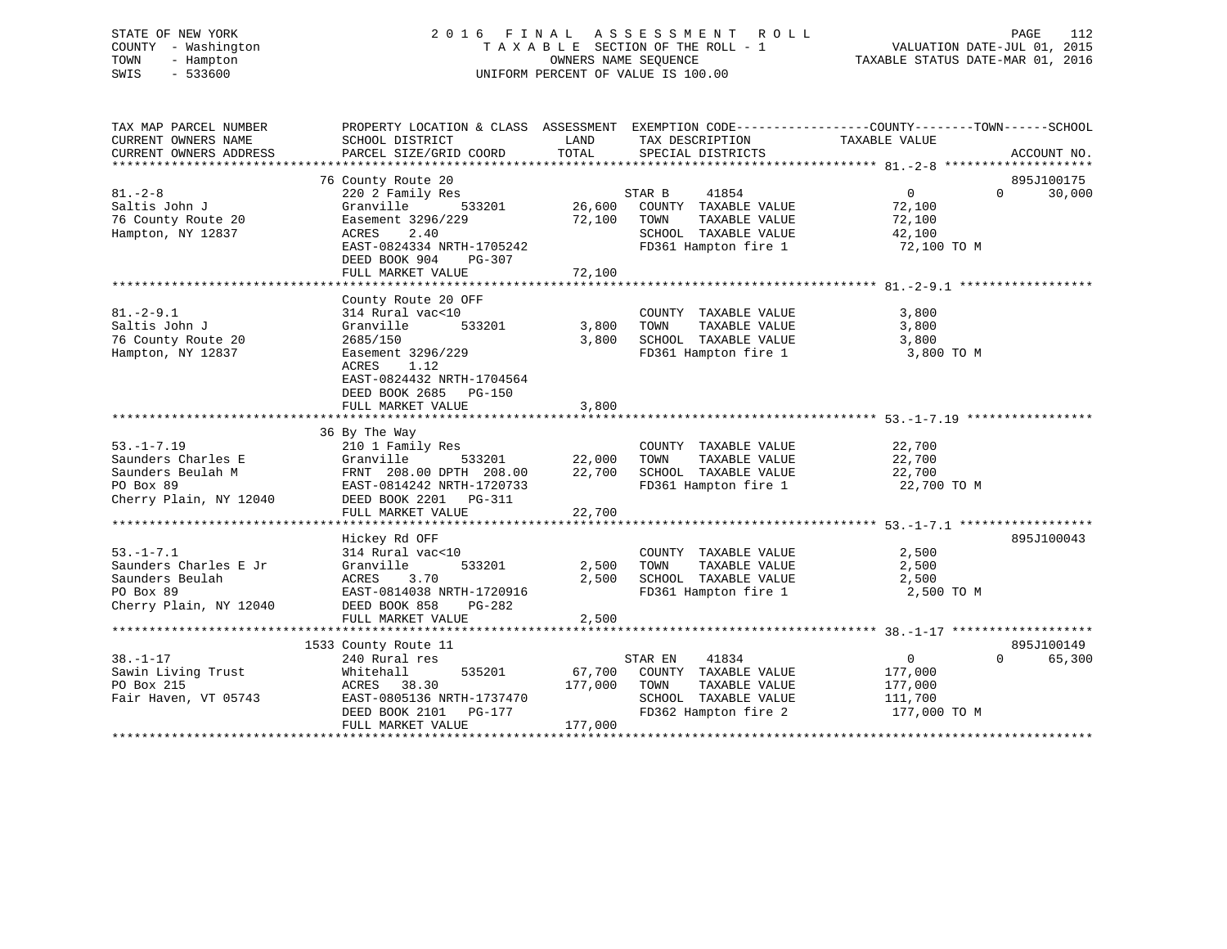# STATE OF NEW YORK 2 0 1 6 F I N A L A S S E S S M E N T R O L L PAGE 112 COUNTY - Washington T A X A B L E SECTION OF THE ROLL - 1 VALUATION DATE-JUL 01, 2015 TOWN - Hampton OWNERS NAME SEQUENCE TAXABLE STATUS DATE-MAR 01, 2016 SWIS - 533600 UNIFORM PERCENT OF VALUE IS 100.00

| TAX MAP PARCEL NUMBER<br>CURRENT OWNERS NAME<br>CURRENT OWNERS ADDRESS                             | PROPERTY LOCATION & CLASS ASSESSMENT<br>SCHOOL DISTRICT<br>PARCEL SIZE/GRID COORD                                                                                                           | LAND<br>TOTAL                | TAX DESCRIPTION<br>SPECIAL DISTRICTS                                                                              | EXEMPTION CODE-----------------COUNTY-------TOWN------SCHOOL<br>TAXABLE VALUE | ACCOUNT NO.                      |
|----------------------------------------------------------------------------------------------------|---------------------------------------------------------------------------------------------------------------------------------------------------------------------------------------------|------------------------------|-------------------------------------------------------------------------------------------------------------------|-------------------------------------------------------------------------------|----------------------------------|
| $81. - 2 - 8$<br>Saltis John J<br>76 County Route 20<br>Hampton, NY 12837                          | 76 County Route 20<br>220 2 Family Res<br>Granville<br>533201<br>Easement 3296/229<br>2.40<br>ACRES<br>EAST-0824334 NRTH-1705242<br>DEED BOOK 904<br>PG-307                                 | 26,600<br>72,100             | STAR B<br>41854<br>COUNTY TAXABLE VALUE<br>TOWN<br>TAXABLE VALUE<br>SCHOOL TAXABLE VALUE<br>FD361 Hampton fire 1  | $\overline{0}$<br>72,100<br>72,100<br>42,100<br>72,100 TO M                   | 895J100175<br>30,000<br>$\Omega$ |
|                                                                                                    | FULL MARKET VALUE                                                                                                                                                                           | 72,100                       |                                                                                                                   |                                                                               |                                  |
| $81. - 2 - 9.1$<br>Saltis John J<br>76 County Route 20<br>Hampton, NY 12837                        | County Route 20 OFF<br>314 Rural vac<10<br>533201<br>Granville<br>2685/150<br>Easement 3296/229<br>1.12<br>ACRES<br>EAST-0824432 NRTH-1704564<br>DEED BOOK 2685 PG-150<br>FULL MARKET VALUE | 3,800<br>3,800<br>3,800      | COUNTY TAXABLE VALUE<br>TOWN<br>TAXABLE VALUE<br>SCHOOL TAXABLE VALUE<br>FD361 Hampton fire 1                     | 3,800<br>3,800<br>3,800<br>3,800 TO M                                         |                                  |
|                                                                                                    |                                                                                                                                                                                             |                              |                                                                                                                   |                                                                               |                                  |
| $53. -1 - 7.19$<br>Saunders Charles E<br>Saunders Beulah M<br>PO Box 89<br>Cherry Plain, NY 12040  | 36 By The Way<br>210 1 Family Res<br>Granville<br>533201<br>FRNT 208.00 DPTH 208.00<br>EAST-0814242 NRTH-1720733<br>DEED BOOK 2201 PG-311<br>FULL MARKET VALUE                              | 22,000<br>22,700<br>22,700   | COUNTY TAXABLE VALUE<br>TAXABLE VALUE<br>TOWN<br>SCHOOL TAXABLE VALUE<br>FD361 Hampton fire 1                     | 22,700<br>22,700<br>22,700<br>22,700 TO M                                     |                                  |
|                                                                                                    | Hickey Rd OFF                                                                                                                                                                               |                              |                                                                                                                   |                                                                               | 895J100043                       |
| $53. - 1 - 7.1$<br>Saunders Charles E Jr<br>Saunders Beulah<br>PO Box 89<br>Cherry Plain, NY 12040 | 314 Rural vac<10<br>Granville<br>533201<br>ACRES<br>3.70<br>EAST-0814038 NRTH-1720916<br>DEED BOOK 858<br>PG-282<br>FULL MARKET VALUE                                                       | 2,500<br>2,500<br>2,500      | COUNTY TAXABLE VALUE<br>TOWN<br>TAXABLE VALUE<br>SCHOOL TAXABLE VALUE 2,500<br>FD361 Hampton fire 1               | 2,500<br>2,500<br>2,500 TO M                                                  |                                  |
|                                                                                                    |                                                                                                                                                                                             |                              |                                                                                                                   |                                                                               |                                  |
| $38. - 1 - 17$<br>Sawin Living Trust<br>PO Box 215<br>Fair Haven, VT 05743                         | 1533 County Route 11<br>240 Rural res<br>535201<br>Whitehall<br>ACRES 38.30<br>EAST-0805136 NRTH-1737470<br>DEED BOOK 2101<br>PG-177<br>FULL MARKET VALUE                                   | 67,700<br>177,000<br>177,000 | STAR EN<br>41834<br>COUNTY TAXABLE VALUE<br>TAXABLE VALUE<br>TOWN<br>SCHOOL TAXABLE VALUE<br>FD362 Hampton fire 2 | $\overline{0}$<br>177,000<br>177,000<br>111,700<br>177,000 TO M               | 895J100149<br>$\Omega$<br>65,300 |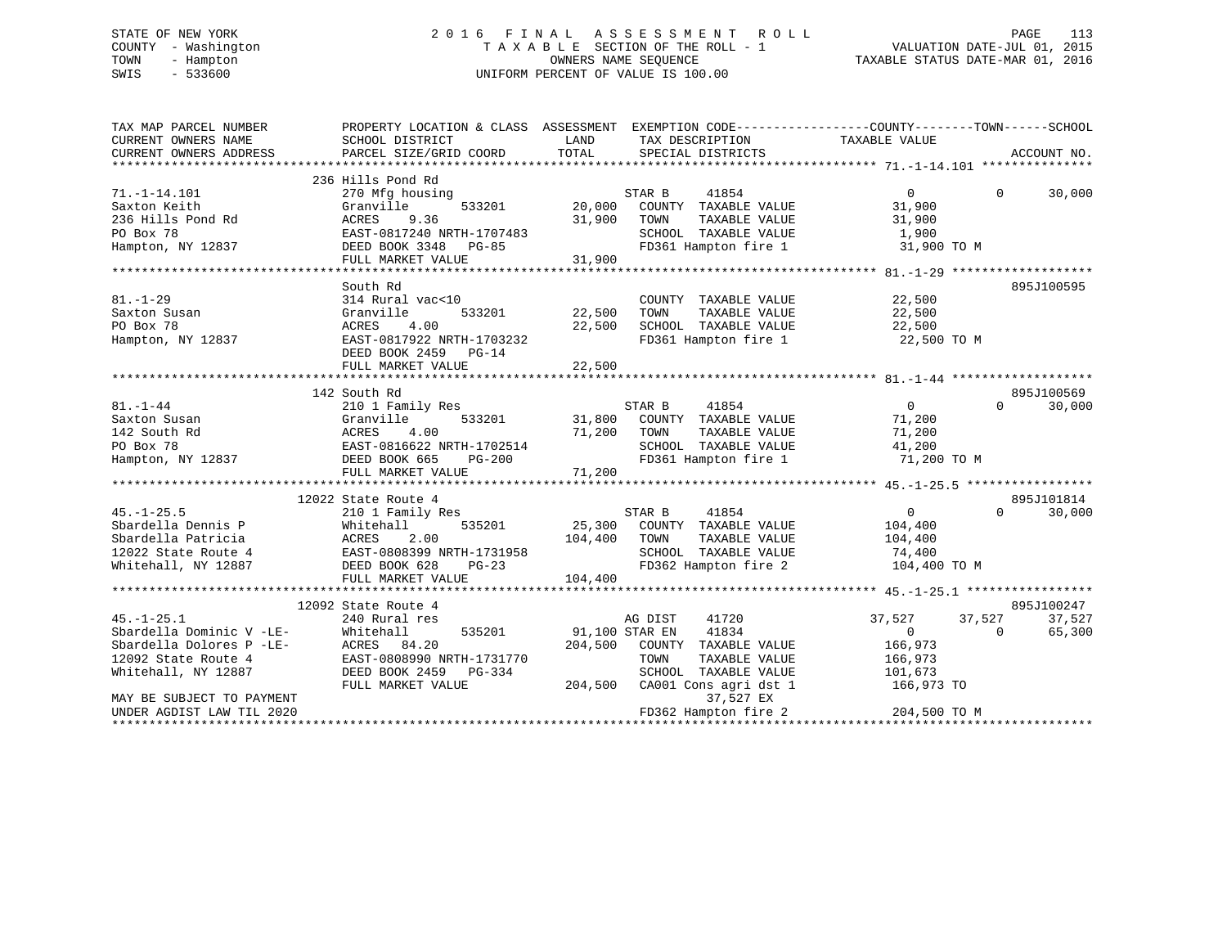# STATE OF NEW YORK 2 0 1 6 F I N A L A S S E S S M E N T R O L L PAGE 113 COUNTY - Washington T A X A B L E SECTION OF THE ROLL - 1 VALUATION DATE-JUL 01, 2015 TOWN - Hampton OWNERS NAME SEQUENCE TAXABLE STATUS DATE-MAR 01, 2016 SWIS - 533600 UNIFORM PERCENT OF VALUE IS 100.00

| TAX MAP PARCEL NUMBER<br>CURRENT OWNERS NAME<br>CURRENT OWNERS ADDRESS | PROPERTY LOCATION & CLASS ASSESSMENT<br>SCHOOL DISTRICT<br>PARCEL SIZE/GRID COORD | LAND<br>TOTAL  | EXEMPTION CODE-----------------COUNTY-------TOWN------SCHOOL<br>TAX DESCRIPTION<br>SPECIAL DISTRICTS | TAXABLE VALUE     | ACCOUNT NO.        |
|------------------------------------------------------------------------|-----------------------------------------------------------------------------------|----------------|------------------------------------------------------------------------------------------------------|-------------------|--------------------|
|                                                                        |                                                                                   |                |                                                                                                      |                   |                    |
|                                                                        | 236 Hills Pond Rd                                                                 |                |                                                                                                      |                   |                    |
| $71. - 1 - 14.101$                                                     | 270 Mfg housing                                                                   |                | STAR B<br>41854                                                                                      | $\Omega$          | $\Omega$<br>30,000 |
| Saxton Keith                                                           | Granville<br>533201                                                               | 20,000         | COUNTY TAXABLE VALUE                                                                                 | 31,900            |                    |
| 236 Hills Pond Rd                                                      | ACRES<br>9.36                                                                     | 31,900         | TAXABLE VALUE<br>TOWN                                                                                | 31,900            |                    |
| PO Box 78                                                              | EAST-0817240 NRTH-1707483                                                         |                | SCHOOL TAXABLE VALUE                                                                                 | 1,900             |                    |
| Hampton, NY 12837                                                      | DEED BOOK 3348 PG-85                                                              |                | FD361 Hampton fire 1                                                                                 | 31,900 TO M       |                    |
|                                                                        | FULL MARKET VALUE                                                                 | 31,900         |                                                                                                      |                   |                    |
|                                                                        |                                                                                   |                |                                                                                                      |                   |                    |
|                                                                        | South Rd                                                                          |                |                                                                                                      |                   | 895J100595         |
| $81. - 1 - 29$                                                         | 314 Rural vac<10                                                                  |                | COUNTY TAXABLE VALUE                                                                                 | 22,500            |                    |
| Saxton Susan                                                           | 533201<br>Granville                                                               | 22,500         | TOWN<br>TAXABLE VALUE                                                                                | 22,500            |                    |
| PO Box 78                                                              | 4.00<br>ACRES                                                                     | 22,500         | SCHOOL TAXABLE VALUE                                                                                 | 22,500            |                    |
| Hampton, NY 12837                                                      | EAST-0817922 NRTH-1703232                                                         |                | FD361 Hampton fire 1                                                                                 | 22,500 TO M       |                    |
|                                                                        | DEED BOOK 2459 PG-14                                                              |                |                                                                                                      |                   |                    |
|                                                                        | FULL MARKET VALUE                                                                 | 22,500         |                                                                                                      |                   |                    |
|                                                                        |                                                                                   |                |                                                                                                      |                   |                    |
|                                                                        | 142 South Rd                                                                      |                |                                                                                                      |                   | 895J100569         |
| $81. - 1 - 44$                                                         | 210 1 Family Res                                                                  |                | STAR B<br>41854                                                                                      | $\overline{0}$    | 30,000<br>$\Omega$ |
| Saxton Susan                                                           | 533201<br>Granville                                                               | 31,800         | COUNTY TAXABLE VALUE                                                                                 | 71,200            |                    |
| 142 South Rd                                                           | ACRES<br>4.00                                                                     | 71,200         | TOWN<br>TAXABLE VALUE                                                                                | 71,200            |                    |
| PO Box 78                                                              | EAST-0816622 NRTH-1702514                                                         |                | SCHOOL TAXABLE VALUE                                                                                 | 41,200            |                    |
| Hampton, NY 12837                                                      | DEED BOOK 665<br><b>PG-200</b>                                                    |                | FD361 Hampton fire 1                                                                                 | 71,200 TO M       |                    |
|                                                                        | FULL MARKET VALUE                                                                 | 71,200         |                                                                                                      |                   |                    |
|                                                                        |                                                                                   |                |                                                                                                      |                   | 895J101814         |
|                                                                        | 12022 State Route 4                                                               |                | STAR B<br>41854                                                                                      |                   | $\Omega$           |
| $45. - 1 - 25.5$                                                       | 210 1 Family Res                                                                  |                |                                                                                                      | $\overline{0}$    | 30,000             |
| Sbardella Dennis P<br>Sbardella Patricia                               | 535201<br>Whitehall<br>ACRES<br>2.00                                              | 25,300         | COUNTY TAXABLE VALUE<br>TOWN<br>TAXABLE VALUE                                                        | 104,400           |                    |
| 12022 State Route 4                                                    | EAST-0808399 NRTH-1731958                                                         | 104,400        | SCHOOL TAXABLE VALUE                                                                                 | 104,400<br>74,400 |                    |
| Whitehall, NY 12887                                                    | DEED BOOK 628<br>$PG-23$                                                          |                | FD362 Hampton fire 2                                                                                 | 104,400 TO M      |                    |
|                                                                        | FULL MARKET VALUE                                                                 | 104,400        |                                                                                                      |                   |                    |
|                                                                        |                                                                                   |                |                                                                                                      |                   |                    |
|                                                                        | 12092 State Route 4                                                               |                |                                                                                                      |                   | 895J100247         |
| $45. - 1 - 25.1$                                                       | 240 Rural res                                                                     |                | AG DIST<br>41720                                                                                     | 37,527<br>37,527  | 37,527             |
| Sbardella Dominic V -LE-                                               | Whitehall<br>535201                                                               | 91,100 STAR EN | 41834                                                                                                | $\overline{0}$    | 65,300<br>$\Omega$ |
| Sbardella Dolores P -LE-                                               | ACRES 84.20                                                                       | 204,500        | COUNTY TAXABLE VALUE                                                                                 | 166,973           |                    |
| 12092 State Route 4                                                    | EAST-0808990 NRTH-1731770                                                         |                | TOWN<br>TAXABLE VALUE                                                                                | 166,973           |                    |
| Whitehall, NY 12887                                                    | DEED BOOK 2459<br>PG-334                                                          |                | SCHOOL TAXABLE VALUE                                                                                 | 101,673           |                    |
|                                                                        | FULL MARKET VALUE                                                                 | 204,500        | CA001 Cons agri dst 1                                                                                | 166,973 TO        |                    |
| MAY BE SUBJECT TO PAYMENT                                              |                                                                                   |                | 37,527 EX                                                                                            |                   |                    |
| UNDER AGDIST LAW TIL 2020                                              |                                                                                   |                | FD362 Hampton fire 2                                                                                 | 204,500 TO M      |                    |
|                                                                        |                                                                                   |                |                                                                                                      |                   |                    |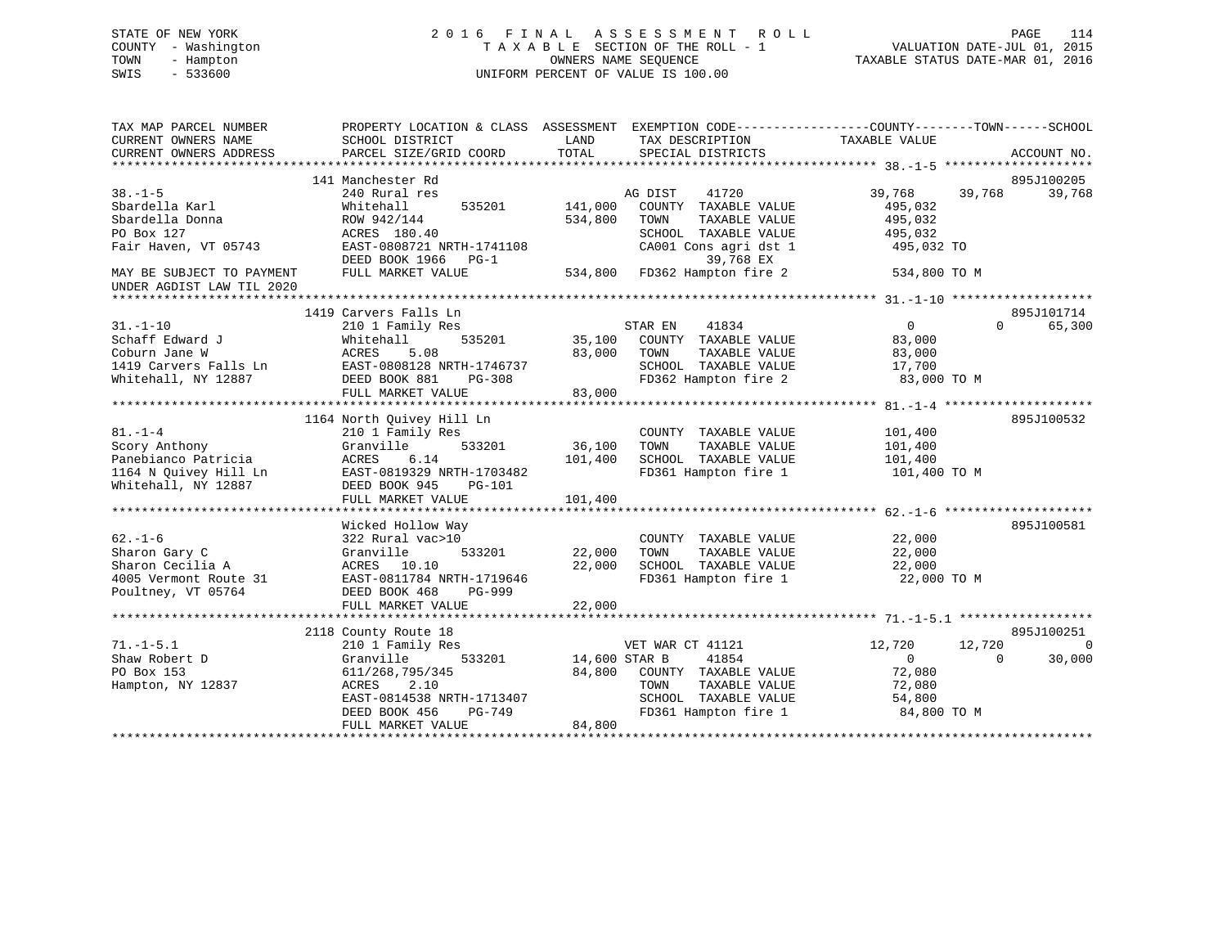# STATE OF NEW YORK 2 0 1 6 F I N A L A S S E S S M E N T R O L L PAGE 114 COUNTY - Washington T A X A B L E SECTION OF THE ROLL - 1 VALUATION DATE-JUL 01, 2015 TOWN - Hampton OWNERS NAME SEQUENCE TAXABLE STATUS DATE-MAR 01, 2016 SWIS - 533600 UNIFORM PERCENT OF VALUE IS 100.00

| TAX MAP PARCEL NUMBER<br>CURRENT OWNERS NAME<br>CURRENT OWNERS ADDRESS                                | PROPERTY LOCATION & CLASS ASSESSMENT EXEMPTION CODE----------------COUNTY-------TOWN------SCHOOL<br>SCHOOL DISTRICT<br>PARCEL SIZE/GRID COORD                                    | LAND<br>TOTAL                     | TAX DESCRIPTION TAXABLE VALUE<br>SPECIAL DISTRICTS                                                                              |                                                                       |                    | ACCOUNT NO.                      |
|-------------------------------------------------------------------------------------------------------|----------------------------------------------------------------------------------------------------------------------------------------------------------------------------------|-----------------------------------|---------------------------------------------------------------------------------------------------------------------------------|-----------------------------------------------------------------------|--------------------|----------------------------------|
| $38. - 1 - 5$<br>Sbardella Karl<br>Sbardella Donna<br>PO Box 127<br>Fair Haven, VT 05743              | 141 Manchester Rd<br>240 Rural res<br>Whitehall<br>535201<br>ROW 942/144<br>ACRES 180.40<br>EAST-0808721 NRTH-1741108<br>DEED BOOK 1966 PG-1                                     | 141,000<br>534,800                | AG DIST<br>41720<br>COUNTY TAXABLE VALUE<br>TOWN<br>TAXABLE VALUE<br>SCHOOL TAXABLE VALUE<br>CA001 Cons agri dst 1<br>39,768 EX | 39,768<br>495,032<br>495,032<br>495,032<br>495,032 TO                 | 39,768             | 895J100205<br>39,768             |
| MAY BE SUBJECT TO PAYMENT<br>UNDER AGDIST LAW TIL 2020                                                | FULL MARKET VALUE                                                                                                                                                                |                                   | 534,800 FD362 Hampton fire 2                                                                                                    | 534,800 TO M                                                          |                    |                                  |
| $31. - 1 - 10$<br>Schaff Edward J<br>Coburn Jane W<br>1419 Carvers Falls Ln<br>Whitehall, NY 12887    | 1419 Carvers Falls Ln<br>210 1 Family Res<br>Whitehall<br>535201<br>5.08<br>ACRES<br>EAST-0808128 NRTH-1746737<br>DEED BOOK 881<br>PG-308<br>FULL MARKET VALUE                   | 35,100<br>83,000<br>83,000        | STAR EN<br>41834<br>COUNTY TAXABLE VALUE<br>TAXABLE VALUE<br>TOWN<br>SCHOOL TAXABLE VALUE<br>FD362 Hampton fire 2               | $\overline{0}$<br>83,000<br>83,000<br>17,700<br>83,000 TO M           | $\Omega$           | 895J101714<br>65,300             |
| $81. - 1 - 4$<br>Scory Anthony<br>Panebianco Patricia<br>1164 N Ouivey Hill Ln<br>Whitehall, NY 12887 | 1164 North Quivey Hill Ln<br>210 1 Family Res<br>533201<br>Granville<br>ACRES<br>6.14<br>EAST-0819329 NRTH-1703482<br>DEED BOOK 945<br><b>PG-101</b><br>FULL MARKET VALUE        | 36,100<br>101,400<br>101,400      | COUNTY TAXABLE VALUE<br>TAXABLE VALUE<br>TOWN<br>SCHOOL TAXABLE VALUE<br>FD361 Hampton fire 1                                   | 101,400<br>101,400<br>101,400<br>101,400 TO M                         |                    | 895J100532                       |
| $62. - 1 - 6$<br>Sharon Gary C<br>Sharon Cecilia A<br>4005 Vermont Route 31<br>Poultney, VT 05764     | Wicked Hollow Way<br>322 Rural vac>10<br>533201<br>Granville<br>ACRES 10.10<br>EAST-0811784 NRTH-1719646<br>DEED BOOK 468<br>PG-999<br>FULL MARKET VALUE                         | 22,000<br>22,000<br>22,000        | COUNTY TAXABLE VALUE<br>TOWN<br>TAXABLE VALUE<br>SCHOOL TAXABLE VALUE<br>FD361 Hampton fire 1                                   | 22,000<br>22,000<br>22,000<br>22,000 TO M                             |                    | 895J100581                       |
| $71. - 1 - 5.1$<br>Shaw Robert D<br>PO Box 153<br>Hampton, NY 12837                                   | 2118 County Route 18<br>210 1 Family Res<br>533201<br>Granville<br>611/268,795/345<br>ACRES<br>2.10<br>EAST-0814538 NRTH-1713407<br>DEED BOOK 456<br>PG-749<br>FULL MARKET VALUE | 14,600 STAR B<br>84,800<br>84,800 | VET WAR CT 41121<br>41854<br>COUNTY TAXABLE VALUE<br>TOWN<br>TAXABLE VALUE<br>SCHOOL TAXABLE VALUE<br>FD361 Hampton fire 1      | 12,720<br>$\overline{0}$<br>72,080<br>72,080<br>54,800<br>84,800 TO M | 12,720<br>$\Omega$ | 895J100251<br>$\Omega$<br>30,000 |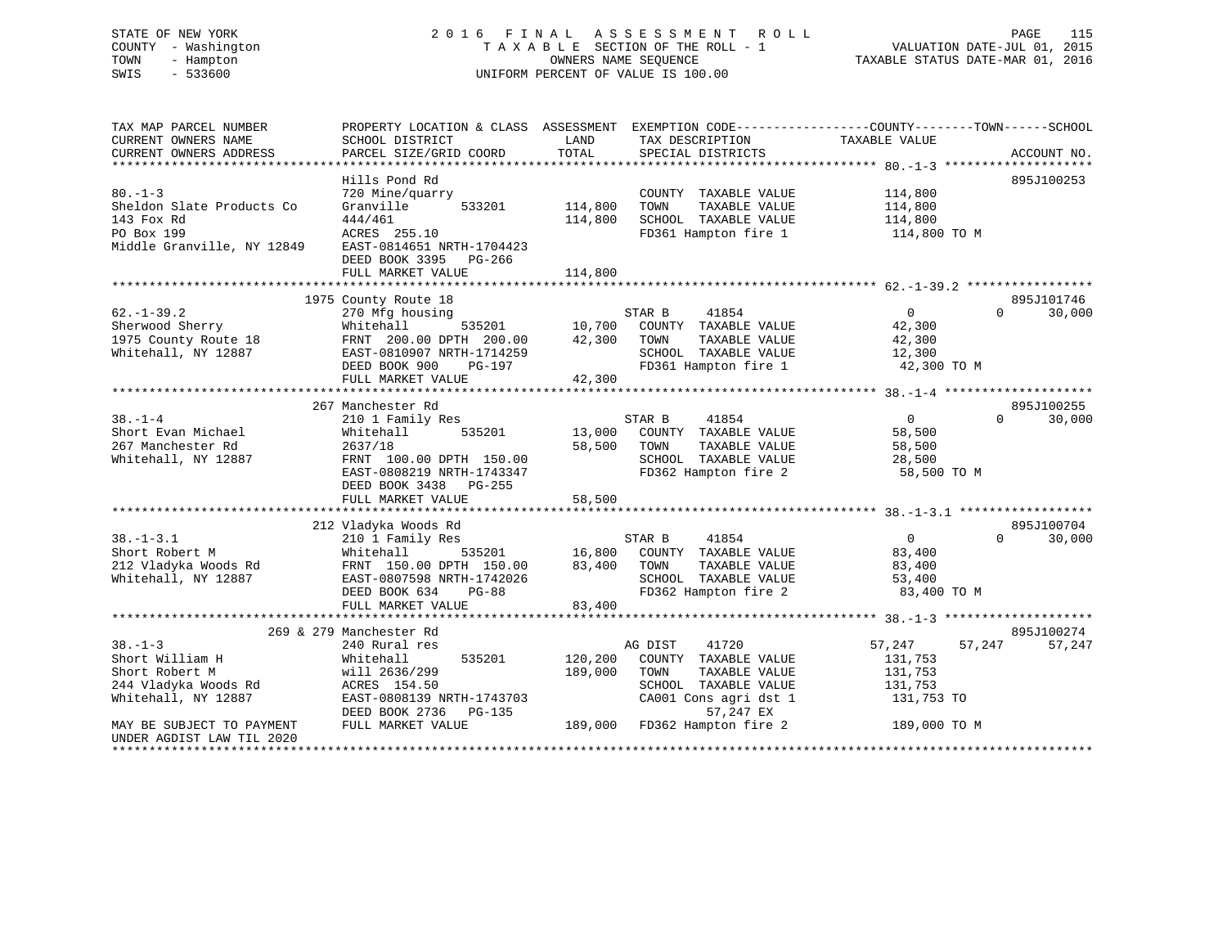# STATE OF NEW YORK 2 0 1 6 F I N A L A S S E S S M E N T R O L L PAGE 115 COUNTY - Washington T A X A B L E SECTION OF THE ROLL - 1 VALUATION DATE-JUL 01, 2015 TOWN - Hampton OWNERS NAME SEQUENCE TAXABLE STATUS DATE-MAR 01, 2016 SWIS - 533600 UNIFORM PERCENT OF VALUE IS 100.00

| TAX MAP PARCEL NUMBER<br>CURRENT OWNERS NAME<br>CURRENT OWNERS ADDRESS | SCHOOL DISTRICT<br>PARCEL SIZE/GRID COORD          | LAND<br>TOTAL | TAX DESCRIPTION<br>SPECIAL DISTRICTS | PROPERTY LOCATION & CLASS ASSESSMENT EXEMPTION CODE----------------COUNTY-------TOWN------SCHOOL<br>TAXABLE VALUE | ACCOUNT NO. |
|------------------------------------------------------------------------|----------------------------------------------------|---------------|--------------------------------------|-------------------------------------------------------------------------------------------------------------------|-------------|
|                                                                        |                                                    |               |                                      |                                                                                                                   |             |
|                                                                        | Hills Pond Rd                                      |               |                                      |                                                                                                                   | 895J100253  |
| $80. -1 - 3$                                                           | 720 Mine/quarry                                    |               | COUNTY TAXABLE VALUE                 | 114,800                                                                                                           |             |
| Sheldon Slate Products Co                                              | Granville<br>533201                                | 114,800       | TOWN<br>TAXABLE VALUE                | 114,800                                                                                                           |             |
| 143 Fox Rd                                                             | 444/461                                            | 114,800       | SCHOOL TAXABLE VALUE                 | 114,800                                                                                                           |             |
| PO Box 199                                                             | ACRES 255.10                                       |               | FD361 Hampton fire 1                 | 114,800 TO M                                                                                                      |             |
| Middle Granville, NY 12849                                             | EAST-0814651 NRTH-1704423<br>DEED BOOK 3395 PG-266 |               |                                      |                                                                                                                   |             |
|                                                                        | FULL MARKET VALUE                                  | 114,800       |                                      |                                                                                                                   |             |
|                                                                        |                                                    |               |                                      |                                                                                                                   | 895J101746  |
| $62. - 1 - 39.2$                                                       | 1975 County Route 18                               |               | STAR B<br>41854                      | $\overline{0}$<br>$\Omega$                                                                                        | 30,000      |
| Sherwood Sherry                                                        | 270 Mfg housing<br>Whitehall<br>535201             | 10,700        | COUNTY TAXABLE VALUE                 | 42,300                                                                                                            |             |
| 1975 County Route 18                                                   | FRNT 200.00 DPTH 200.00                            | 42,300        | TOWN<br>TAXABLE VALUE                | 42,300                                                                                                            |             |
| Whitehall, NY 12887                                                    | EAST-0810907 NRTH-1714259                          |               | SCHOOL TAXABLE VALUE                 |                                                                                                                   |             |
|                                                                        |                                                    |               |                                      | 12,300                                                                                                            |             |
|                                                                        | DEED BOOK 900<br>PG-197                            |               | FD361 Hampton fire 1                 | 42,300 TO M                                                                                                       |             |
|                                                                        | FULL MARKET VALUE                                  | 42,300        |                                      |                                                                                                                   |             |
|                                                                        | 267 Manchester Rd                                  |               |                                      |                                                                                                                   | 895J100255  |
| $38. - 1 - 4$                                                          | 210 1 Family Res                                   |               | 41854<br>STAR B                      | $\overline{0}$<br>$\Omega$                                                                                        | 30,000      |
| Short Evan Michael                                                     | 535201<br>Whitehall                                | 13,000        | COUNTY TAXABLE VALUE                 | 58,500                                                                                                            |             |
| 267 Manchester Rd                                                      | 2637/18                                            | 58,500        | TOWN<br>TAXABLE VALUE                | 58,500                                                                                                            |             |
| Whitehall, NY 12887                                                    | FRNT 100.00 DPTH 150.00                            |               | SCHOOL TAXABLE VALUE                 | 28,500                                                                                                            |             |
|                                                                        | EAST-0808219 NRTH-1743347                          |               | FD362 Hampton fire 2                 | 58,500 TO M                                                                                                       |             |
|                                                                        | DEED BOOK 3438 PG-255                              |               |                                      |                                                                                                                   |             |
|                                                                        | FULL MARKET VALUE                                  | 58,500        |                                      |                                                                                                                   |             |
|                                                                        |                                                    |               |                                      |                                                                                                                   |             |
|                                                                        | 212 Vladyka Woods Rd                               |               |                                      |                                                                                                                   | 895J100704  |
| $38. - 1 - 3.1$                                                        | 210 1 Family Res                                   |               | 41854<br>STAR B                      | $\Omega$<br>$\overline{0}$                                                                                        | 30,000      |
| Short Robert M                                                         | 535201<br>Whitehall                                | 16,800        | COUNTY TAXABLE VALUE                 | 83,400                                                                                                            |             |
| 212 Vladyka Woods Rd                                                   | FRNT 150.00 DPTH 150.00                            | 83,400        | TOWN<br>TAXABLE VALUE                | 83,400                                                                                                            |             |
| Whitehall, NY 12887                                                    | EAST-0807598 NRTH-1742026                          |               | SCHOOL TAXABLE VALUE                 | 53,400                                                                                                            |             |
|                                                                        | DEED BOOK 634<br>$PG-88$                           |               | FD362 Hampton fire 2                 | 83,400 TO M                                                                                                       |             |
|                                                                        | FULL MARKET VALUE                                  | 83,400        |                                      |                                                                                                                   |             |
|                                                                        |                                                    |               |                                      |                                                                                                                   |             |
|                                                                        | 269 & 279 Manchester Rd                            |               |                                      |                                                                                                                   | 895J100274  |
| $38. - 1 - 3$                                                          | 240 Rural res                                      |               | 41720<br>AG DIST                     | 57,247<br>57,247                                                                                                  | 57,247      |
| Short William H                                                        | 535201<br>Whitehall                                | 120,200       | COUNTY TAXABLE VALUE                 | 131,753                                                                                                           |             |
| Short Robert M                                                         | will 2636/299                                      | 189,000       | TOWN<br>TAXABLE VALUE                | 131,753                                                                                                           |             |
| 244 Vladyka Woods Rd                                                   | ACRES 154.50                                       |               | SCHOOL TAXABLE VALUE                 | 131,753                                                                                                           |             |
| Whitehall, NY 12887                                                    | EAST-0808139 NRTH-1743703                          |               | CA001 Cons agri dst 1                | 131,753 TO                                                                                                        |             |
|                                                                        | DEED BOOK 2736<br>PG-135                           |               | 57,247 EX                            |                                                                                                                   |             |
| MAY BE SUBJECT TO PAYMENT                                              | FULL MARKET VALUE                                  | 189,000       | FD362 Hampton fire 2                 | 189,000 TO M                                                                                                      |             |
| UNDER AGDIST LAW TIL 2020                                              |                                                    |               |                                      |                                                                                                                   |             |
|                                                                        |                                                    |               |                                      |                                                                                                                   |             |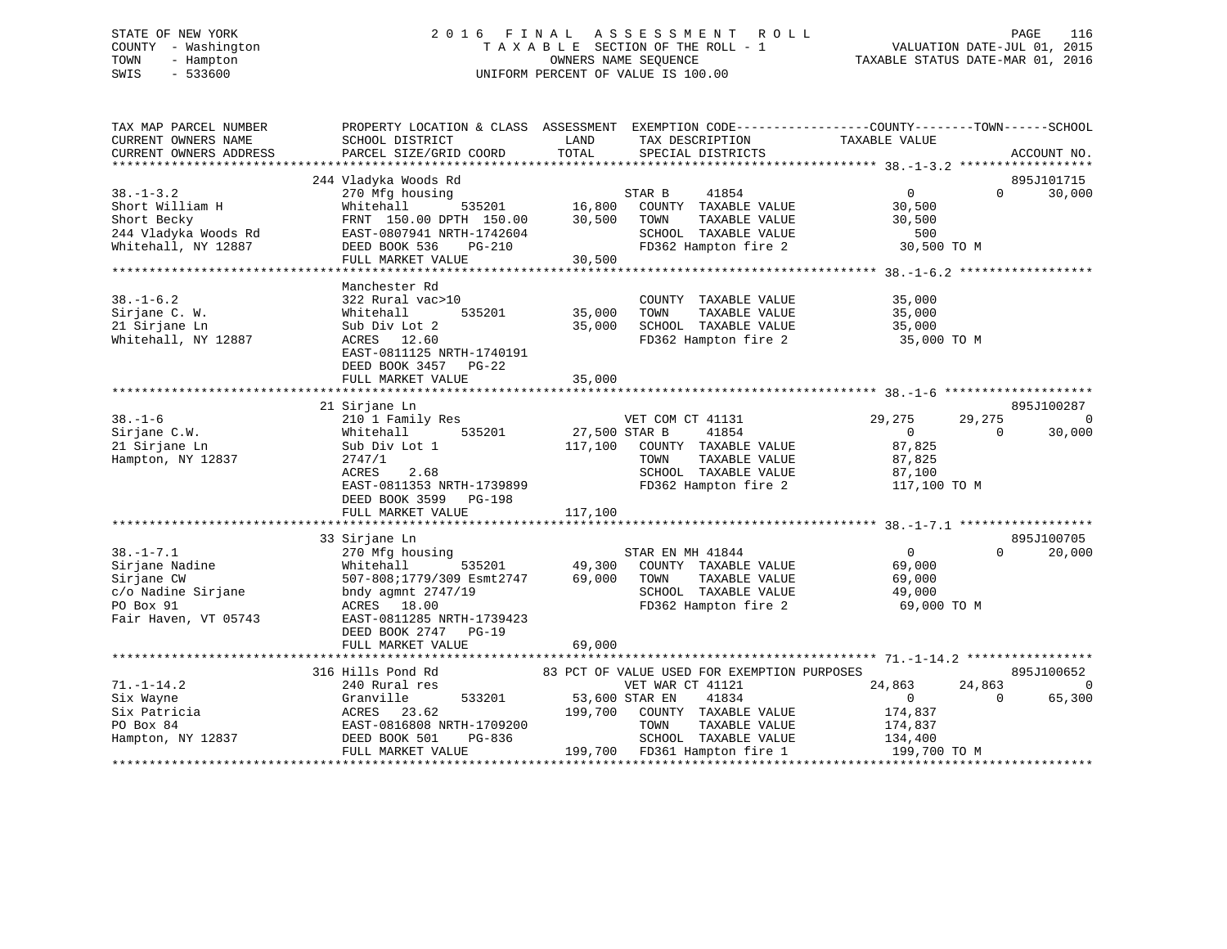#### STATE OF NEW YORK 2016 FINAL ASSESSMENT ROLL PAGE 116 COUNTY - Washington T A X A B L E SECTION OF THE ROLL - 1 TOWN - Hampton OWNERS NAME SEQUENCE TAXABLE STATUS DATE-MAR 01, 2016 SWIS - 533600 UNIFORM PERCENT OF VALUE IS 100.00

| TAX MAP PARCEL NUMBER                       | PROPERTY LOCATION & CLASS ASSESSMENT EXEMPTION CODE----------------COUNTY-------TOWN-----SCHOOL |               |                                              |                       |          |                |
|---------------------------------------------|-------------------------------------------------------------------------------------------------|---------------|----------------------------------------------|-----------------------|----------|----------------|
| CURRENT OWNERS NAME                         | SCHOOL DISTRICT                                                                                 | LAND          | TAX DESCRIPTION                              | TAXABLE VALUE         |          |                |
| CURRENT OWNERS ADDRESS                      | PARCEL SIZE/GRID COORD                                                                          | TOTAL         | SPECIAL DISTRICTS                            |                       |          | ACCOUNT NO.    |
|                                             |                                                                                                 |               |                                              |                       |          |                |
|                                             | 244 Vladyka Woods Rd                                                                            |               |                                              |                       |          | 895J101715     |
| $38. - 1 - 3.2$                             | 270 Mfg housing                                                                                 |               | 41854<br>STAR B                              | $\overline{0}$        | $\Omega$ | 30,000         |
| Short William H                             | Whitehall                                                                                       |               |                                              | 30,500                |          |                |
| Short Becky                                 | FRNT 150.00 DPTH 150.00                                                                         |               | TAXABLE VALUE                                | 30,500                |          |                |
| 244 Vladyka Woods Rd<br>Whitehall, NY 12887 | EAST-0807941 NRTH-1742604                                                                       |               | SCHOOL TAXABLE VALUE                         | 500                   |          |                |
|                                             | DEED BOOK 536<br>PG-210                                                                         |               | FD362 Hampton fire 2                         | 30,500 TO M           |          |                |
|                                             | FULL MARKET VALUE                                                                               | 30,500        |                                              |                       |          |                |
|                                             |                                                                                                 |               |                                              |                       |          |                |
|                                             | Manchester Rd                                                                                   |               |                                              |                       |          |                |
| $38. - 1 - 6.2$                             | 322 Rural vac>10                                                                                |               | COUNTY TAXABLE VALUE                         | 35,000                |          |                |
| Sirjane C. W.                               | 535201<br>Whitehall                                                                             | 35,000        | TOWN<br>TAXABLE VALUE                        | 35,000                |          |                |
| 21 Sirjane Ln                               | Sub Div Lot 2                                                                                   | 35,000        | SCHOOL TAXABLE VALUE<br>FD362 Hampton fire 2 | 35,000<br>35,000 TO M |          |                |
| Whitehall, NY 12887                         | ACRES 12.60                                                                                     |               |                                              |                       |          |                |
|                                             | EAST-0811125 NRTH-1740191                                                                       |               |                                              |                       |          |                |
|                                             | DEED BOOK 3457<br>$PG-22$                                                                       |               |                                              |                       |          |                |
|                                             | FULL MARKET VALUE                                                                               | 35,000        |                                              |                       |          |                |
|                                             |                                                                                                 |               |                                              |                       |          |                |
|                                             | 21 Sirjane Ln                                                                                   |               |                                              |                       |          | 895J100287     |
| $38. - 1 - 6$                               | 210 1 Family Res                                                                                |               | VET COM CT 41131                             | 29,275                | 29,275   | $\overline{0}$ |
| Sirjane C.W.                                | 535201<br>Whitehall                                                                             | 27,500 STAR B | 41854                                        | $\overline{0}$        | $\Omega$ | 30,000         |
| 21 Sirjane Ln                               | Sub Div Lot 1                                                                                   |               | 117,100 COUNTY TAXABLE VALUE                 | 87,825                |          |                |
| Hampton, NY 12837                           | 2747/1                                                                                          |               | TAXABLE VALUE<br>TOWN                        | 87,825                |          |                |
|                                             | ACRES<br>2.68                                                                                   |               | SCHOOL TAXABLE VALUE                         | 87,100                |          |                |
|                                             | EAST-0811353 NRTH-1739899                                                                       |               | FD362 Hampton fire 2                         | 117,100 TO M          |          |                |
|                                             | DEED BOOK 3599 PG-198                                                                           |               |                                              |                       |          |                |
|                                             | FULL MARKET VALUE                                                                               | 117,100       |                                              |                       |          |                |
|                                             |                                                                                                 |               |                                              |                       |          |                |
|                                             | 33 Sirjane Ln                                                                                   |               |                                              |                       |          | 895J100705     |
| $38. - 1 - 7.1$                             | 270 Mfg housing                                                                                 |               | STAR EN MH 41844                             | $\overline{0}$        | $\Omega$ | 20,000         |
| Sirjane Nadine                              | Whitehall                                                                                       | 535201 49,300 | COUNTY TAXABLE VALUE                         | 69,000                |          |                |
| Sirjane CW                                  | 507-808;1779/309 Esmt2747                                                                       | 69,000        | TAXABLE VALUE<br>TOWN                        | 69,000                |          |                |
| c/o Nadine Sirjane                          | bndy agmnt $2747/19$                                                                            |               | SCHOOL TAXABLE VALUE                         | 49,000                |          |                |
| PO Box 91                                   | ACRES 18.00                                                                                     |               | FD362 Hampton fire 2                         | 69,000 TO M           |          |                |
| Fair Haven, VT 05743                        | EAST-0811285 NRTH-1739423                                                                       |               |                                              |                       |          |                |
|                                             | DEED BOOK 2747 PG-19                                                                            |               |                                              |                       |          |                |
|                                             | FULL MARKET VALUE                                                                               | 69,000        |                                              |                       |          |                |
|                                             |                                                                                                 |               |                                              |                       |          |                |
|                                             | 316 Hills Pond Rd 63 PCT OF VALUE USED FOR EXEMPTION PURPOSES                                   |               |                                              |                       |          | 895J100652     |
| $71. - 1 - 14.2$                            | 240 Rural res                                                                                   |               | VET WAR CT 41121                             | 24,863                | 24,863   | $\Omega$       |
| Six Wayne                                   | 533201<br>Granville                                                                             |               | 53,600 STAR EN<br>41834                      | $\overline{0}$        | $\Omega$ | 65,300         |
| Six Patricia                                | ACRES 23.62                                                                                     |               | 199,700 COUNTY TAXABLE VALUE                 | 174,837               |          |                |
| PO Box 84                                   | EAST-0816808 NRTH-1709200                                                                       |               | TAXABLE VALUE<br>TOWN                        | 174,837               |          |                |
| Hampton, NY 12837                           | DEED BOOK 501<br>PG-836                                                                         |               | SCHOOL TAXABLE VALUE                         | 134,400               |          |                |
|                                             | FULL MARKET VALUE                                                                               |               | 199,700 FD361 Hampton fire 1                 | 199,700 TO M          |          |                |
|                                             |                                                                                                 |               |                                              |                       |          |                |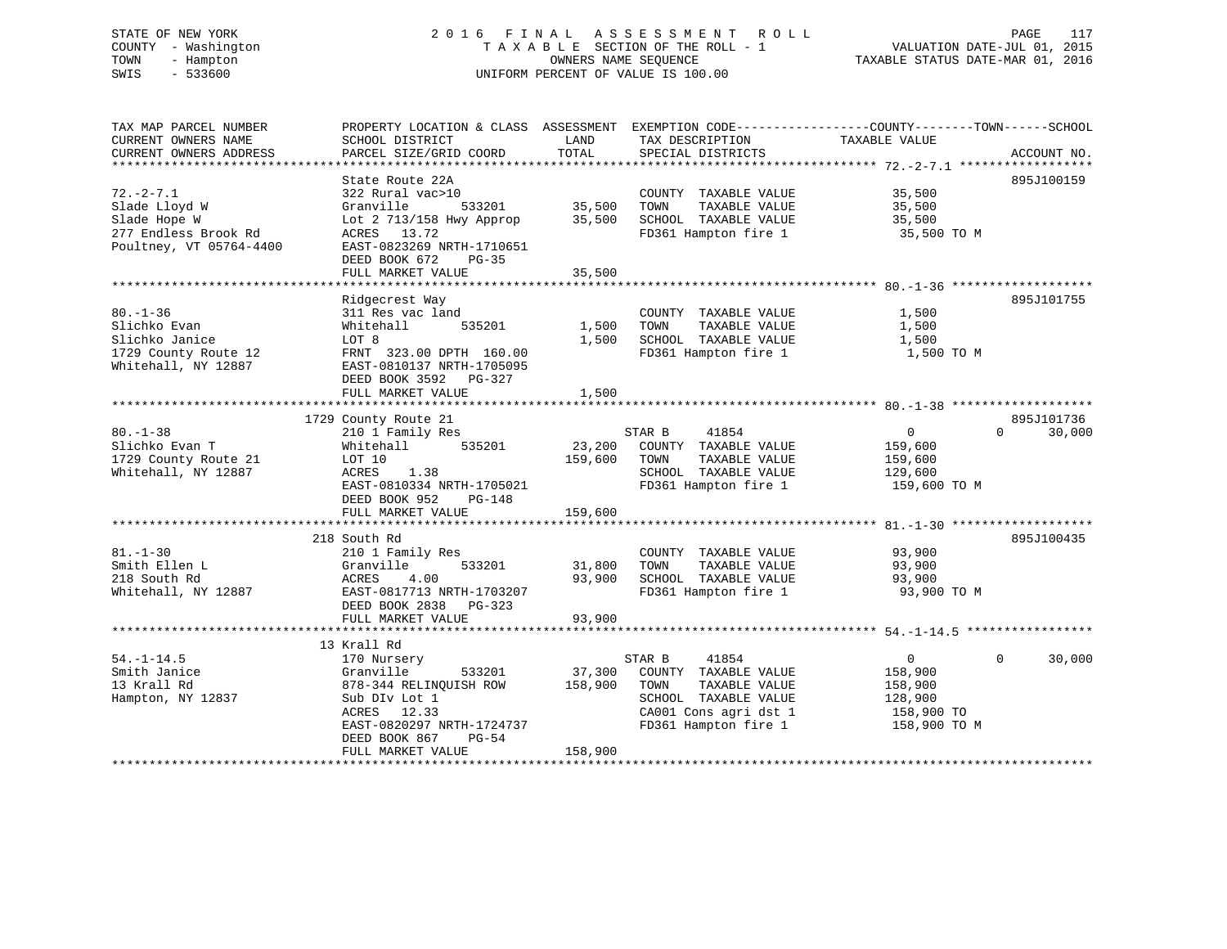# STATE OF NEW YORK 2 0 1 6 F I N A L A S S E S S M E N T R O L L PAGE 117 COUNTY - Washington T A X A B L E SECTION OF THE ROLL - 1 VALUATION DATE-JUL 01, 2015 TOWN - Hampton OWNERS NAME SEQUENCE TAXABLE STATUS DATE-MAR 01, 2016 SWIS - 533600 UNIFORM PERCENT OF VALUE IS 100.00

| TAX MAP PARCEL NUMBER<br>CURRENT OWNERS NAME<br>CURRENT OWNERS ADDRESS | SCHOOL DISTRICT<br>PARCEL SIZE/GRID COORD | LAND<br>TOTAL | TAX DESCRIPTION<br>SPECIAL DISTRICTS | PROPERTY LOCATION & CLASS ASSESSMENT EXEMPTION CODE---------------COUNTY-------TOWN------SCHOOL<br>TAXABLE VALUE | ACCOUNT NO. |
|------------------------------------------------------------------------|-------------------------------------------|---------------|--------------------------------------|------------------------------------------------------------------------------------------------------------------|-------------|
|                                                                        |                                           |               |                                      |                                                                                                                  |             |
|                                                                        | State Route 22A                           |               |                                      |                                                                                                                  | 895J100159  |
| $72. - 2 - 7.1$                                                        | 322 Rural vac>10                          |               | COUNTY TAXABLE VALUE                 | 35,500                                                                                                           |             |
| Slade Lloyd W                                                          | 533201<br>Granville                       | 35,500        | TOWN<br>TAXABLE VALUE                | 35,500                                                                                                           |             |
| Slade Hope W                                                           | Lot 2 713/158 Hwy Approp                  | 35,500        | SCHOOL TAXABLE VALUE                 | 35,500                                                                                                           |             |
| 277 Endless Brook Rd<br>Poultney, VT 05764-4400                        | ACRES 13.72<br>EAST-0823269 NRTH-1710651  |               | FD361 Hampton fire 1                 | 35,500 TO M                                                                                                      |             |
|                                                                        | DEED BOOK 672<br>$PG-35$                  |               |                                      |                                                                                                                  |             |
|                                                                        | FULL MARKET VALUE                         | 35,500        |                                      |                                                                                                                  |             |
|                                                                        |                                           |               |                                      |                                                                                                                  |             |
|                                                                        | Ridgecrest Way                            |               |                                      |                                                                                                                  | 895J101755  |
| $80. - 1 - 36$                                                         | 311 Res vac land                          |               | COUNTY TAXABLE VALUE                 | 1,500                                                                                                            |             |
| Slichko Evan                                                           | Whitehall<br>535201                       | 1,500         | TOWN<br>TAXABLE VALUE                | 1,500                                                                                                            |             |
| Slichko Janice                                                         | LOT 8                                     | 1,500         | SCHOOL TAXABLE VALUE                 | 1,500                                                                                                            |             |
| 1729 County Route 12                                                   | FRNT 323.00 DPTH 160.00                   |               | FD361 Hampton fire 1                 | 1,500 TO M                                                                                                       |             |
| Whitehall, NY 12887                                                    | EAST-0810137 NRTH-1705095                 |               |                                      |                                                                                                                  |             |
|                                                                        | DEED BOOK 3592 PG-327                     |               |                                      |                                                                                                                  |             |
|                                                                        | FULL MARKET VALUE                         | 1,500         |                                      |                                                                                                                  |             |
|                                                                        |                                           |               |                                      |                                                                                                                  |             |
|                                                                        | 1729 County Route 21                      |               |                                      |                                                                                                                  | 895J101736  |
| $80. - 1 - 38$                                                         | 210 1 Family Res                          |               | STAR B<br>41854                      | $0 \qquad \qquad$<br>$\Omega$                                                                                    | 30,000      |
| Slichko Evan T                                                         | 535201<br>Whitehall                       | 23,200        | COUNTY TAXABLE VALUE                 | 159,600                                                                                                          |             |
| 1729 County Route 21                                                   | LOT 10                                    | 159,600       | TOWN<br>TAXABLE VALUE                | 159,600                                                                                                          |             |
| Whitehall, NY 12887                                                    | 1.38<br>ACRES                             |               | SCHOOL TAXABLE VALUE                 | 129,600                                                                                                          |             |
|                                                                        | EAST-0810334 NRTH-1705021                 |               | FD361 Hampton fire 1                 | 159,600 TO M                                                                                                     |             |
|                                                                        | DEED BOOK 952<br>PG-148                   |               |                                      |                                                                                                                  |             |
|                                                                        | FULL MARKET VALUE                         | 159,600       |                                      |                                                                                                                  |             |
|                                                                        |                                           |               |                                      |                                                                                                                  | 895J100435  |
| $81. - 1 - 30$                                                         | 218 South Rd<br>210 1 Family Res          |               | COUNTY TAXABLE VALUE                 | 93,900                                                                                                           |             |
| Smith Ellen L                                                          | Granville<br>533201                       | 31,800        | TAXABLE VALUE<br>TOWN                | 93,900                                                                                                           |             |
| 218 South Rd                                                           | ACRES<br>4.00                             | 93,900        | SCHOOL TAXABLE VALUE                 | 93,900                                                                                                           |             |
| Whitehall, NY 12887                                                    | EAST-0817713 NRTH-1703207                 |               | FD361 Hampton fire 1                 | 93,900 TO M                                                                                                      |             |
|                                                                        | DEED BOOK 2838<br>PG-323                  |               |                                      |                                                                                                                  |             |
|                                                                        | FULL MARKET VALUE                         | 93,900        |                                      |                                                                                                                  |             |
|                                                                        |                                           |               |                                      |                                                                                                                  |             |
|                                                                        | 13 Krall Rd                               |               |                                      |                                                                                                                  |             |
| $54. - 1 - 14.5$                                                       | 170 Nursery                               |               | STAR B<br>41854                      | $\overline{0}$<br>$\Omega$                                                                                       | 30,000      |
| Smith Janice                                                           | Granville<br>533201                       | 37,300        | COUNTY TAXABLE VALUE                 | 158,900                                                                                                          |             |
| 13 Krall Rd                                                            | 878-344 RELINQUISH ROW                    | 158,900       | TOWN<br>TAXABLE VALUE                | 158,900                                                                                                          |             |
| Hampton, NY 12837                                                      | Sub DIv Lot 1                             |               | SCHOOL TAXABLE VALUE                 | 128,900                                                                                                          |             |
|                                                                        | ACRES 12.33                               |               | CA001 Cons agri dst 1                | 158,900 TO                                                                                                       |             |
|                                                                        | EAST-0820297 NRTH-1724737                 |               | FD361 Hampton fire 1                 | 158,900 TO M                                                                                                     |             |
|                                                                        | DEED BOOK 867<br>$PG-54$                  |               |                                      |                                                                                                                  |             |
|                                                                        | FULL MARKET VALUE                         | 158,900       |                                      |                                                                                                                  |             |
|                                                                        |                                           |               |                                      |                                                                                                                  |             |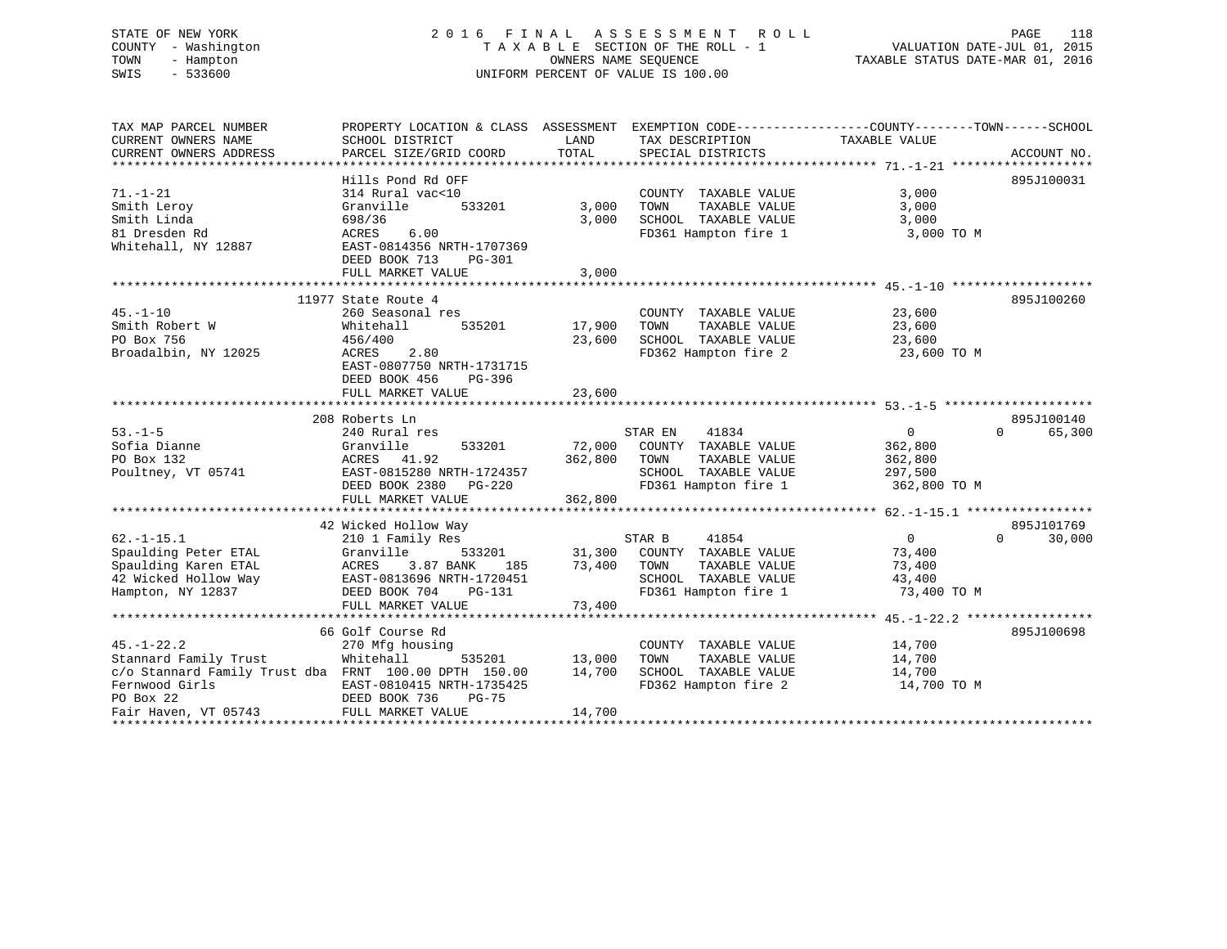# STATE OF NEW YORK 2 0 1 6 F I N A L A S S E S S M E N T R O L L PAGE 118 COUNTY - Washington T A X A B L E SECTION OF THE ROLL - 1 VALUATION DATE-JUL 01, 2015 TOWN - Hampton OWNERS NAME SEQUENCE TAXABLE STATUS DATE-MAR 01, 2016 SWIS - 533600 UNIFORM PERCENT OF VALUE IS 100.00

| TAX MAP PARCEL NUMBER                                 | PROPERTY LOCATION & CLASS ASSESSMENT |         |                             |                |                    |
|-------------------------------------------------------|--------------------------------------|---------|-----------------------------|----------------|--------------------|
| CURRENT OWNERS NAME                                   | SCHOOL DISTRICT                      | LAND    | TAX DESCRIPTION             | TAXABLE VALUE  |                    |
| CURRENT OWNERS ADDRESS                                | PARCEL SIZE/GRID COORD               | TOTAL   | SPECIAL DISTRICTS           |                | ACCOUNT NO.        |
|                                                       |                                      |         |                             |                |                    |
|                                                       | Hills Pond Rd OFF                    |         |                             |                | 895J100031         |
| $71. - 1 - 21$                                        | 314 Rural vac<10                     |         | COUNTY TAXABLE VALUE        | 3,000          |                    |
| Smith Leroy                                           | Granville<br>533201                  | 3,000   | TOWN<br>TAXABLE VALUE       | 3,000          |                    |
| Smith Linda                                           | 698/36                               | 3,000   | SCHOOL TAXABLE VALUE        | 3,000          |                    |
| 81 Dresden Rd                                         | ACRES<br>6.00                        |         | FD361 Hampton fire 1        | 3,000 TO M     |                    |
| Whitehall, NY 12887                                   | EAST-0814356 NRTH-1707369            |         |                             |                |                    |
|                                                       | DEED BOOK 713<br><b>PG-301</b>       |         |                             |                |                    |
|                                                       | FULL MARKET VALUE                    | 3,000   |                             |                |                    |
|                                                       |                                      |         |                             |                |                    |
|                                                       | 11977 State Route 4                  |         |                             |                | 895J100260         |
| $45. - 1 - 10$                                        | 260 Seasonal res                     |         | COUNTY TAXABLE VALUE        | 23,600         |                    |
| Smith Robert W                                        | 535201                               | 17,900  | TAXABLE VALUE<br>TOWN       |                |                    |
|                                                       | Whitehall                            |         |                             | 23,600         |                    |
| PO Box 756                                            | 456/400                              | 23,600  | SCHOOL TAXABLE VALUE        | 23,600         |                    |
| Broadalbin, NY 12025                                  | 2.80<br>ACRES                        |         | FD362 Hampton fire 2        | 23,600 TO M    |                    |
|                                                       | EAST-0807750 NRTH-1731715            |         |                             |                |                    |
|                                                       | DEED BOOK 456<br>PG-396              |         |                             |                |                    |
|                                                       | FULL MARKET VALUE                    | 23,600  |                             |                |                    |
|                                                       |                                      |         |                             |                |                    |
|                                                       | 208 Roberts Ln                       |         |                             |                | 895J100140         |
| $53. -1 - 5$                                          | 240 Rural res                        |         | 41834<br>STAR EN            | $\overline{0}$ | $\Omega$<br>65,300 |
| Sofia Dianne                                          | Granville<br>533201                  |         | 72,000 COUNTY TAXABLE VALUE | 362,800        |                    |
| PO Box 132                                            | ACRES 41.92                          | 362,800 | TOWN<br>TAXABLE VALUE       | 362,800        |                    |
| Poultney, VT 05741                                    | EAST-0815280 NRTH-1724357            |         | SCHOOL TAXABLE VALUE        | 297,500        |                    |
|                                                       | DEED BOOK 2380 PG-220                |         | FD361 Hampton fire 1        | 362,800 TO M   |                    |
|                                                       | FULL MARKET VALUE                    | 362,800 |                             |                |                    |
|                                                       |                                      |         |                             |                |                    |
|                                                       | 42 Wicked Hollow Way                 |         |                             |                | 895J101769         |
| $62. -1 - 15.1$                                       | 210 1 Family Res                     |         | 41854<br>STAR B             | $\overline{0}$ | $\Omega$<br>30,000 |
| Spaulding Peter ETAL                                  | Granville<br>533201                  |         | 31,300 COUNTY TAXABLE VALUE | 73,400         |                    |
| Spaulding Karen ETAL                                  | ACRES<br>3.87 BANK<br>185            | 73,400  | TOWN<br>TAXABLE VALUE       | 73,400         |                    |
| 42 Wicked Hollow Way                                  | EAST-0813696 NRTH-1720451            |         | SCHOOL TAXABLE VALUE        | 43,400         |                    |
| Hampton, NY 12837                                     | DEED BOOK 704<br>PG-131              |         | FD361 Hampton fire 1        | 73,400 TO M    |                    |
|                                                       | FULL MARKET VALUE                    | 73,400  |                             |                |                    |
|                                                       |                                      |         |                             |                |                    |
|                                                       | 66 Golf Course Rd                    |         |                             |                | 895J100698         |
| $45. - 1 - 22.2$                                      | 270 Mfg housing                      |         | COUNTY TAXABLE VALUE        | 14,700         |                    |
| Stannard Family Trust                                 | Whitehall<br>535201                  | 13,000  | TOWN<br>TAXABLE VALUE       | 14,700         |                    |
| c/o Stannard Family Trust dba FRNT 100.00 DPTH 150.00 |                                      | 14,700  | SCHOOL TAXABLE VALUE        | 14,700         |                    |
| Fernwood Girls                                        | EAST-0810415 NRTH-1735425            |         | FD362 Hampton fire 2        | 14,700 TO M    |                    |
| PO Box 22                                             | DEED BOOK 736<br>$PG-75$             |         |                             |                |                    |
| Fair Haven, VT 05743                                  | FULL MARKET VALUE                    | 14,700  |                             |                |                    |
|                                                       |                                      |         |                             |                |                    |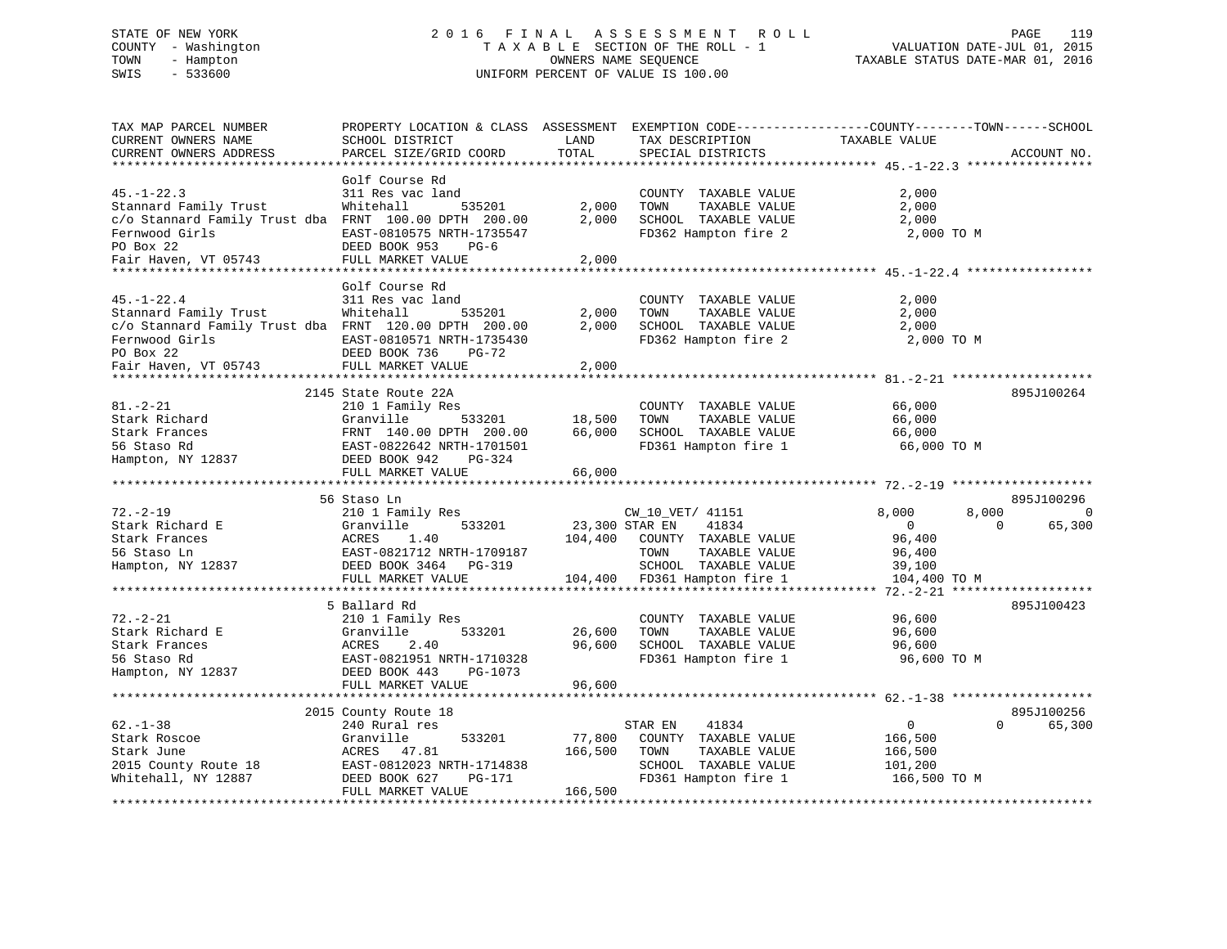# STATE OF NEW YORK 2 0 1 6 F I N A L A S S E S S M E N T R O L L PAGE 119 COUNTY - Washington T A X A B L E SECTION OF THE ROLL - 1 VALUATION DATE-JUL 01, 2015 TOWN - Hampton OWNERS NAME SEQUENCE TAXABLE STATUS DATE-MAR 01, 2016 SWIS - 533600 UNIFORM PERCENT OF VALUE IS 100.00UNIFORM PERCENT OF VALUE IS 100.00

| TAX MAP PARCEL NUMBER<br>CURRENT OWNERS NAME<br>CURRENT OWNERS ADDRESS                                               | PROPERTY LOCATION & CLASS ASSESSMENT<br>SCHOOL DISTRICT<br>PARCEL SIZE/GRID COORD | LAND<br>TOTAL  | TAX DESCRIPTION<br>SPECIAL DISTRICTS                                                          | EXEMPTION CODE-----------------COUNTY-------TOWN------SCHOOL<br>TAXABLE VALUE | ACCOUNT NO.         |
|----------------------------------------------------------------------------------------------------------------------|-----------------------------------------------------------------------------------|----------------|-----------------------------------------------------------------------------------------------|-------------------------------------------------------------------------------|---------------------|
| **************************                                                                                           |                                                                                   |                |                                                                                               |                                                                               |                     |
| $45. - 1 - 22.3$<br>Stannard Family Trust                                                                            | Golf Course Rd<br>311 Res vac land<br>Whitehall<br>535201                         | 2,000          | COUNTY TAXABLE VALUE<br>TOWN<br>TAXABLE VALUE                                                 | 2,000<br>2,000                                                                |                     |
| c/o Stannard Family Trust dba FRNT 100.00 DPTH 200.00<br>Fernwood Girls<br>PO Box 22<br>Fair Haven, VT 05743         | EAST-0810575 NRTH-1735547<br>DEED BOOK 953<br>$PG-6$<br>FULL MARKET VALUE         | 2,000<br>2,000 | SCHOOL TAXABLE VALUE<br>FD362 Hampton fire 2                                                  | 2,000<br>2,000 TO M                                                           |                     |
| ************                                                                                                         | ****************************                                                      |                |                                                                                               |                                                                               |                     |
|                                                                                                                      | Golf Course Rd                                                                    |                |                                                                                               |                                                                               |                     |
| $45. - 1 - 22.4$<br>Stannard Family Trust<br>c/o Stannard Family Trust dba FRNT 120.00 DPTH 200.00<br>Fernwood Girls | 311 Res vac land<br>Whitehall<br>535201<br>EAST-0810571 NRTH-1735430              | 2,000<br>2,000 | COUNTY TAXABLE VALUE<br>TOWN<br>TAXABLE VALUE<br>SCHOOL TAXABLE VALUE<br>FD362 Hampton fire 2 | 2,000<br>2,000<br>2,000<br>2,000 TO M                                         |                     |
| PO Box 22<br>Fair Haven, VT 05743                                                                                    | DEED BOOK 736<br><b>PG-72</b><br>FULL MARKET VALUE                                | 2,000          |                                                                                               |                                                                               |                     |
|                                                                                                                      | *******************************                                                   |                |                                                                                               | ************************ 81.-2-21                                             |                     |
|                                                                                                                      | 2145 State Route 22A                                                              |                |                                                                                               |                                                                               | 895J100264          |
| $81. - 2 - 21$                                                                                                       | 210 1 Family Res                                                                  |                | COUNTY TAXABLE VALUE                                                                          | 66,000                                                                        |                     |
| Stark Richard                                                                                                        | Granville<br>533201                                                               | 18,500         | TAXABLE VALUE<br>TOWN                                                                         | 66,000                                                                        |                     |
| Stark Frances                                                                                                        | FRNT 140.00 DPTH 200.00                                                           | 66,000         | SCHOOL TAXABLE VALUE                                                                          | 66,000                                                                        |                     |
| 56 Staso Rd                                                                                                          | EAST-0822642 NRTH-1701501                                                         |                | FD361 Hampton fire 1                                                                          | 66,000 TO M                                                                   |                     |
| Hampton, NY 12837                                                                                                    | DEED BOOK 942<br>PG-324                                                           |                |                                                                                               |                                                                               |                     |
|                                                                                                                      | FULL MARKET VALUE                                                                 | 66,000         |                                                                                               |                                                                               |                     |
|                                                                                                                      | 56 Staso Ln                                                                       |                |                                                                                               |                                                                               | 895J100296          |
| $72. - 2 - 19$                                                                                                       | 210 1 Family Res                                                                  |                | CW_10_VET/ 41151                                                                              | 8,000<br>8,000                                                                | $\mathbf 0$         |
| Stark Richard E                                                                                                      | Granville<br>533201                                                               |                | 41834<br>23,300 STAR EN                                                                       | $\overline{0}$                                                                | 65,300<br>$\Omega$  |
| Stark Frances                                                                                                        | ACRES<br>1.40                                                                     | 104,400        | COUNTY TAXABLE VALUE                                                                          | 96,400                                                                        |                     |
| 56 Staso Ln                                                                                                          | EAST-0821712 NRTH-1709187                                                         |                | TAXABLE VALUE<br>TOWN                                                                         | 96,400                                                                        |                     |
| Hampton, NY 12837                                                                                                    | DEED BOOK 3464 PG-319                                                             |                | SCHOOL TAXABLE VALUE                                                                          | 39,100                                                                        |                     |
|                                                                                                                      | FULL MARKET VALUE                                                                 | 104,400        | FD361 Hampton fire 1                                                                          | 104,400 TO M                                                                  |                     |
|                                                                                                                      | *********************                                                             |                | **********************************                                                            | $72. - 2 - 21$                                                                | ******************* |
|                                                                                                                      | 5 Ballard Rd                                                                      |                |                                                                                               |                                                                               | 895J100423          |
| $72. - 2 - 21$                                                                                                       | 210 1 Family Res                                                                  |                | COUNTY TAXABLE VALUE                                                                          | 96,600                                                                        |                     |
| Stark Richard E                                                                                                      | Granville<br>533201                                                               | 26,600         | TOWN<br>TAXABLE VALUE                                                                         | 96,600                                                                        |                     |
| Stark Frances                                                                                                        | ACRES<br>2.40                                                                     | 96,600         | SCHOOL TAXABLE VALUE                                                                          | 96,600                                                                        |                     |
| 56 Staso Rd                                                                                                          | EAST-0821951 NRTH-1710328                                                         |                | FD361 Hampton fire 1                                                                          | 96,600 TO M                                                                   |                     |
| Hampton, NY 12837                                                                                                    | DEED BOOK 443<br>PG-1073                                                          |                |                                                                                               |                                                                               |                     |
|                                                                                                                      | FULL MARKET VALUE                                                                 | 96,600         |                                                                                               |                                                                               |                     |
|                                                                                                                      | ***********************                                                           | ************   |                                                                                               | ************************ 62.-1-38 **************                              |                     |
|                                                                                                                      | 2015 County Route 18                                                              |                |                                                                                               |                                                                               | 895J100256          |
| $62. - 1 - 38$                                                                                                       | 240 Rural res                                                                     |                | 41834<br>STAR EN                                                                              | $\mathbf{0}$                                                                  | $\Omega$<br>65,300  |
| Stark Roscoe                                                                                                         | Granville<br>533201                                                               | 77,800         | COUNTY TAXABLE VALUE                                                                          | 166,500                                                                       |                     |
| Stark June                                                                                                           | ACRES<br>47.81                                                                    | 166,500        | TAXABLE VALUE<br>TOWN                                                                         | 166,500                                                                       |                     |
| 2015 County Route 18                                                                                                 | EAST-0812023 NRTH-1714838                                                         |                | SCHOOL TAXABLE VALUE                                                                          | 101,200                                                                       |                     |
| Whitehall, NY 12887                                                                                                  | DEED BOOK 627<br>PG-171<br>FULL MARKET VALUE                                      | 166,500        | FD361 Hampton fire 1                                                                          | 166,500 TO M                                                                  |                     |
|                                                                                                                      |                                                                                   |                |                                                                                               |                                                                               |                     |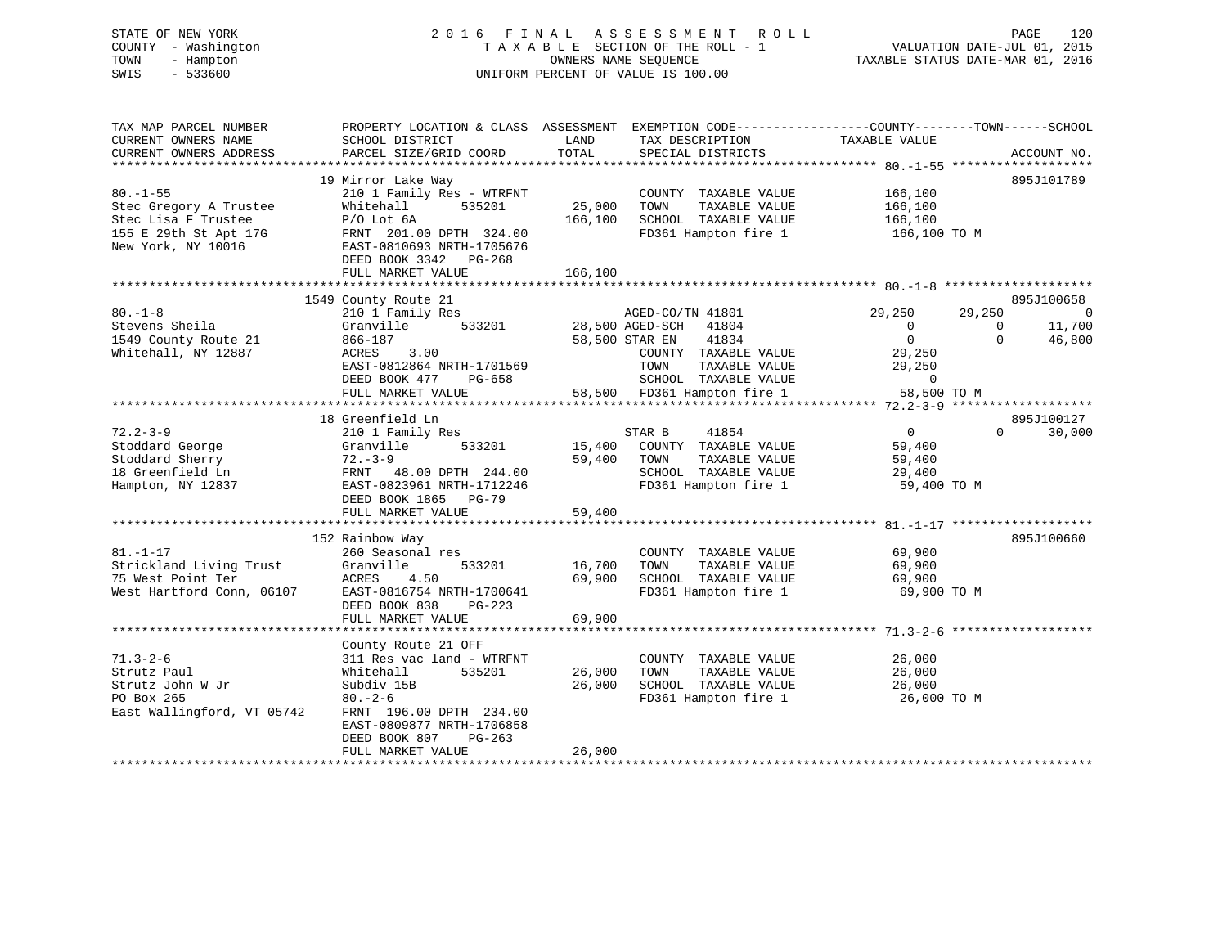# STATE OF NEW YORK 2 0 1 6 F I N A L A S S E S S M E N T R O L L PAGE 120 COUNTY - Washington T A X A B L E SECTION OF THE ROLL - 1 VALUATION DATE-JUL 01, 2015 TOWN - Hampton OWNERS NAME SEQUENCE TAXABLE STATUS DATE-MAR 01, 2016 SWIS - 533600 UNIFORM PERCENT OF VALUE IS 100.00

| TAX MAP PARCEL NUMBER<br>CURRENT OWNERS NAME                    | PROPERTY LOCATION & CLASS ASSESSMENT EXEMPTION CODE----------------COUNTY-------TOWN-----SCHOOL<br>SCHOOL DISTRICT | LAND              | TAX DESCRIPTION                                                                               | TAXABLE VALUE                             |                    |                          |
|-----------------------------------------------------------------|--------------------------------------------------------------------------------------------------------------------|-------------------|-----------------------------------------------------------------------------------------------|-------------------------------------------|--------------------|--------------------------|
| CURRENT OWNERS ADDRESS                                          | PARCEL SIZE/GRID COORD                                                                                             | TOTAL             | SPECIAL DISTRICTS                                                                             |                                           |                    | ACCOUNT NO.              |
| $80. - 1 - 55$                                                  | 19 Mirror Lake Way<br>210 1 Family Res - WTRFNT                                                                    |                   | COUNTY TAXABLE VALUE                                                                          | 166,100                                   |                    | 895J101789               |
| Stec Gregory A Trustee<br>Stec Lisa F Trustee                   | Whitehall<br>535201<br>$P/O$ Lot $6A$                                                                              | 25,000<br>166,100 | TOWN<br>TAXABLE VALUE<br>SCHOOL TAXABLE VALUE                                                 | 166,100<br>166,100                        |                    |                          |
| 155 E 29th St Apt 17G<br>New York, NY 10016                     | FRNT 201.00 DPTH 324.00<br>EAST-0810693 NRTH-1705676<br>DEED BOOK 3342 PG-268                                      |                   | FD361 Hampton fire 1                                                                          | 166,100 TO M                              |                    |                          |
|                                                                 | FULL MARKET VALUE                                                                                                  | 166,100           |                                                                                               |                                           |                    |                          |
|                                                                 | 1549 County Route 21                                                                                               |                   |                                                                                               |                                           |                    | 895J100658               |
| $80. -1 - 8$<br>Stevens Sheila                                  | 210 1 Family Res<br>533201<br>Granville                                                                            |                   | AGED-CO/TN 41801<br>28,500 AGED-SCH<br>41804                                                  | 29,250<br>$\Omega$                        | 29,250<br>$\Omega$ | $\overline{0}$<br>11,700 |
| 1549 County Route 21<br>Whitehall, NY 12887                     | 866-187<br>3.00<br>ACRES                                                                                           | 58,500 STAR EN    | 41834<br>COUNTY TAXABLE VALUE                                                                 | $\overline{0}$<br>29,250                  | $\Omega$           | 46,800                   |
|                                                                 | EAST-0812864 NRTH-1701569<br>DEED BOOK 477<br>PG-658<br>FULL MARKET VALUE                                          |                   | TAXABLE VALUE<br>TOWN<br>SCHOOL TAXABLE VALUE<br>58,500 FD361 Hampton fire 1                  | 29,250<br>$\mathbf{0}$<br>58,500 TO M     |                    |                          |
|                                                                 |                                                                                                                    |                   |                                                                                               |                                           |                    |                          |
|                                                                 | 18 Greenfield Ln                                                                                                   |                   |                                                                                               |                                           |                    | 895J100127               |
| $72.2 - 3 - 9$<br>Stoddard George<br>Stoddard Sherry            | 210 1 Family Res<br>Granville<br>533201<br>$72 - 3 - 9$                                                            | 15,400<br>59,400  | 41854<br>STAR B<br>COUNTY TAXABLE VALUE<br>TOWN<br>TAXABLE VALUE                              | $\overline{0}$<br>59,400<br>59,400        | $\Omega$           | 30,000                   |
| 18 Greenfield Ln<br>Hampton, NY 12837                           | FRNT 48.00 DPTH 244.00<br>EAST-0823961 NRTH-1712246                                                                |                   | SCHOOL TAXABLE VALUE<br>FD361 Hampton fire 1                                                  | 29,400<br>59,400 TO M                     |                    |                          |
|                                                                 | DEED BOOK 1865 PG-79<br>FULL MARKET VALUE                                                                          | 59,400            |                                                                                               |                                           |                    |                          |
|                                                                 |                                                                                                                    |                   |                                                                                               |                                           |                    |                          |
| $81. - 1 - 17$                                                  | 152 Rainbow Way<br>260 Seasonal res                                                                                |                   | COUNTY TAXABLE VALUE                                                                          | 69,900                                    |                    | 895J100660               |
| Strickland Living Trust<br>75 West Point Ter                    | Granville<br>533201<br>ACRES<br>4.50                                                                               | 16,700<br>69,900  | TOWN<br>TAXABLE VALUE<br>SCHOOL TAXABLE VALUE                                                 | 69,900<br>69,900                          |                    |                          |
| West Hartford Conn, 06107                                       | EAST-0816754 NRTH-1700641<br>DEED BOOK 838<br>$PG-223$                                                             |                   | FD361 Hampton fire 1                                                                          | 69,900 TO M                               |                    |                          |
|                                                                 | FULL MARKET VALUE                                                                                                  | 69,900            |                                                                                               |                                           |                    |                          |
|                                                                 | County Route 21 OFF                                                                                                |                   |                                                                                               |                                           |                    |                          |
| $71.3 - 2 - 6$<br>Strutz Paul<br>Strutz John W Jr<br>PO Box 265 | 311 Res vac land - WTRFNT<br>535201<br>Whitehall<br>Subdiv 15B<br>$80 - 2 - 6$                                     | 26,000<br>26,000  | COUNTY TAXABLE VALUE<br>TOWN<br>TAXABLE VALUE<br>SCHOOL TAXABLE VALUE<br>FD361 Hampton fire 1 | 26,000<br>26,000<br>26,000<br>26,000 TO M |                    |                          |
| East Wallingford, VT 05742                                      | FRNT 196.00 DPTH 234.00<br>EAST-0809877 NRTH-1706858<br>DEED BOOK 807<br>$PG-263$                                  |                   |                                                                                               |                                           |                    |                          |
|                                                                 | FULL MARKET VALUE                                                                                                  | 26,000            |                                                                                               |                                           |                    |                          |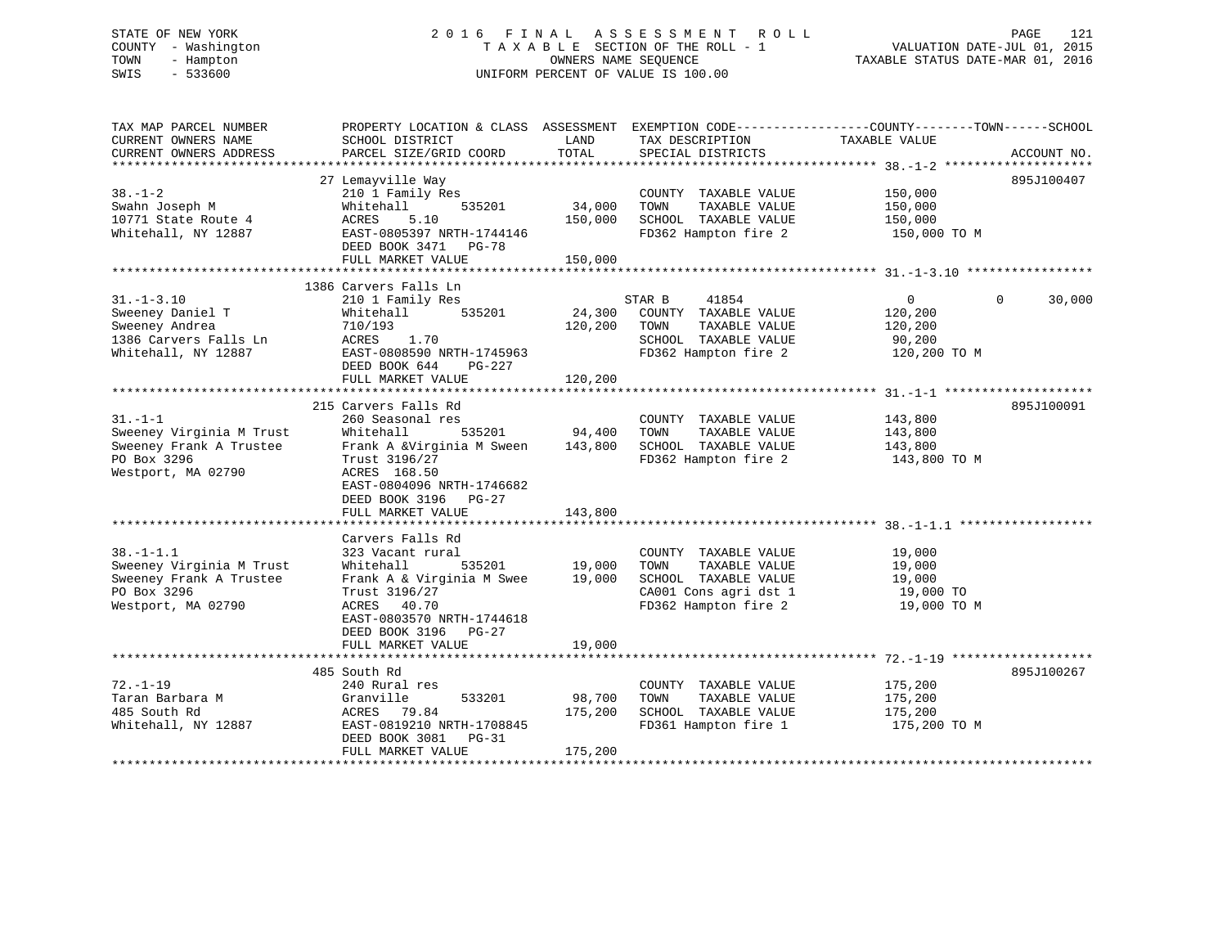# STATE OF NEW YORK 2 0 1 6 F I N A L A S S E S S M E N T R O L L PAGE 121 COUNTY - Washington T A X A B L E SECTION OF THE ROLL - 1 VALUATION DATE-JUL 01, 2015 TOWN - Hampton OWNERS NAME SEQUENCE TAXABLE STATUS DATE-MAR 01, 2016 SWIS - 533600 UNIFORM PERCENT OF VALUE IS 100.00

| TAX MAP PARCEL NUMBER<br>CURRENT OWNERS NAME<br>CURRENT OWNERS ADDRESS                                      | PROPERTY LOCATION & CLASS ASSESSMENT EXEMPTION CODE---------------COUNTY-------TOWN-----SCHOOL<br>SCHOOL DISTRICT<br>PARCEL SIZE/GRID COORD                                                                                 | LAND<br>TOTAL                | TAX DESCRIPTION<br>SPECIAL DISTRICTS                                                                                   | TAXABLE VALUE                                                  | ACCOUNT NO.        |
|-------------------------------------------------------------------------------------------------------------|-----------------------------------------------------------------------------------------------------------------------------------------------------------------------------------------------------------------------------|------------------------------|------------------------------------------------------------------------------------------------------------------------|----------------------------------------------------------------|--------------------|
| $38. - 1 - 2$<br>Swahn Joseph M<br>10771 State Route 4<br>Whitehall, NY 12887                               | 27 Lemayville Way<br>210 1 Family Res<br>535201<br>Whitehall<br>ACRES<br>5.10<br>EAST-0805397 NRTH-1744146<br>DEED BOOK 3471 PG-78<br>FULL MARKET VALUE                                                                     | 34,000<br>150,000<br>150,000 | COUNTY TAXABLE VALUE<br>TOWN<br>TAXABLE VALUE<br>SCHOOL TAXABLE VALUE<br>FD362 Hampton fire 2                          | 150,000<br>150,000<br>150,000<br>150,000 TO M                  | 895J100407         |
| $31. - 1 - 3.10$<br>Sweeney Daniel T<br>Sweeney Andrea<br>1386 Carvers Falls Ln<br>Whitehall, NY 12887      | 1386 Carvers Falls Ln<br>210 1 Family Res<br>535201<br>Whitehall<br>710/193<br>ACRES 1.70<br>EAST-0808590 NRTH-1745963<br>DEED BOOK 644<br>PG-227<br>FULL MARKET VALUE                                                      | 24,300<br>120,200<br>120,200 | STAR B<br>41854<br>COUNTY TAXABLE VALUE<br>TAXABLE VALUE<br>TOWN<br>SCHOOL TAXABLE VALUE<br>FD362 Hampton fire 2       | $\overline{0}$<br>120,200<br>120,200<br>90,200<br>120,200 TO M | 30,000<br>$\Omega$ |
| $31 - 1 - 1$<br>Sweeney Virginia M Trust<br>Sweeney Frank A Trustee<br>PO Box 3296<br>Westport, MA 02790    | 215 Carvers Falls Rd<br>260 Seasonal res<br>535201 94,400<br>Whitehall<br>Frank A &Virginia M Sween 143,800<br>Trust 3196/27<br>ACRES 168.50<br>EAST-0804096 NRTH-1746682<br>DEED BOOK 3196<br>$PG-27$<br>FULL MARKET VALUE | 143,800                      | COUNTY TAXABLE VALUE<br>TOWN<br>TAXABLE VALUE<br>SCHOOL TAXABLE VALUE<br>FD362 Hampton fire 2                          | 143,800<br>143,800<br>143,800<br>143,800 TO M                  | 895J100091         |
| $38. - 1 - 1.1$<br>Sweeney Virginia M Trust<br>Sweeney Frank A Trustee<br>PO Box 3296<br>Westport, MA 02790 | Carvers Falls Rd<br>323 Vacant rural<br>535201<br>Whitehall<br>Frank A & Virginia M Swee<br>Trust 3196/27<br>ACRES 40.70<br>EAST-0803570 NRTH-1744618<br>DEED BOOK 3196<br>$PG-27$<br>FULL MARKET VALUE                     | 19,000<br>19,000<br>19,000   | COUNTY TAXABLE VALUE<br>TOWN<br>TAXABLE VALUE<br>SCHOOL TAXABLE VALUE<br>CA001 Cons agri dst 1<br>FD362 Hampton fire 2 | 19,000<br>19,000<br>19,000<br>19,000 TO<br>19,000 TO M         |                    |
|                                                                                                             | 485 South Rd                                                                                                                                                                                                                |                              |                                                                                                                        |                                                                | 895J100267         |
| $72. - 1 - 19$<br>Taran Barbara M<br>485 South Rd<br>Whitehall, NY 12887                                    | 240 Rural res<br>Granville<br>533201<br>79.84<br>ACRES<br>EAST-0819210 NRTH-1708845<br>DEED BOOK 3081<br>$PG-31$<br>FULL MARKET VALUE                                                                                       | 98,700<br>175,200<br>175,200 | COUNTY TAXABLE VALUE<br>TAXABLE VALUE<br>TOWN<br>SCHOOL TAXABLE VALUE<br>FD361 Hampton fire 1                          | 175,200<br>175,200<br>175,200<br>175,200 TO M                  |                    |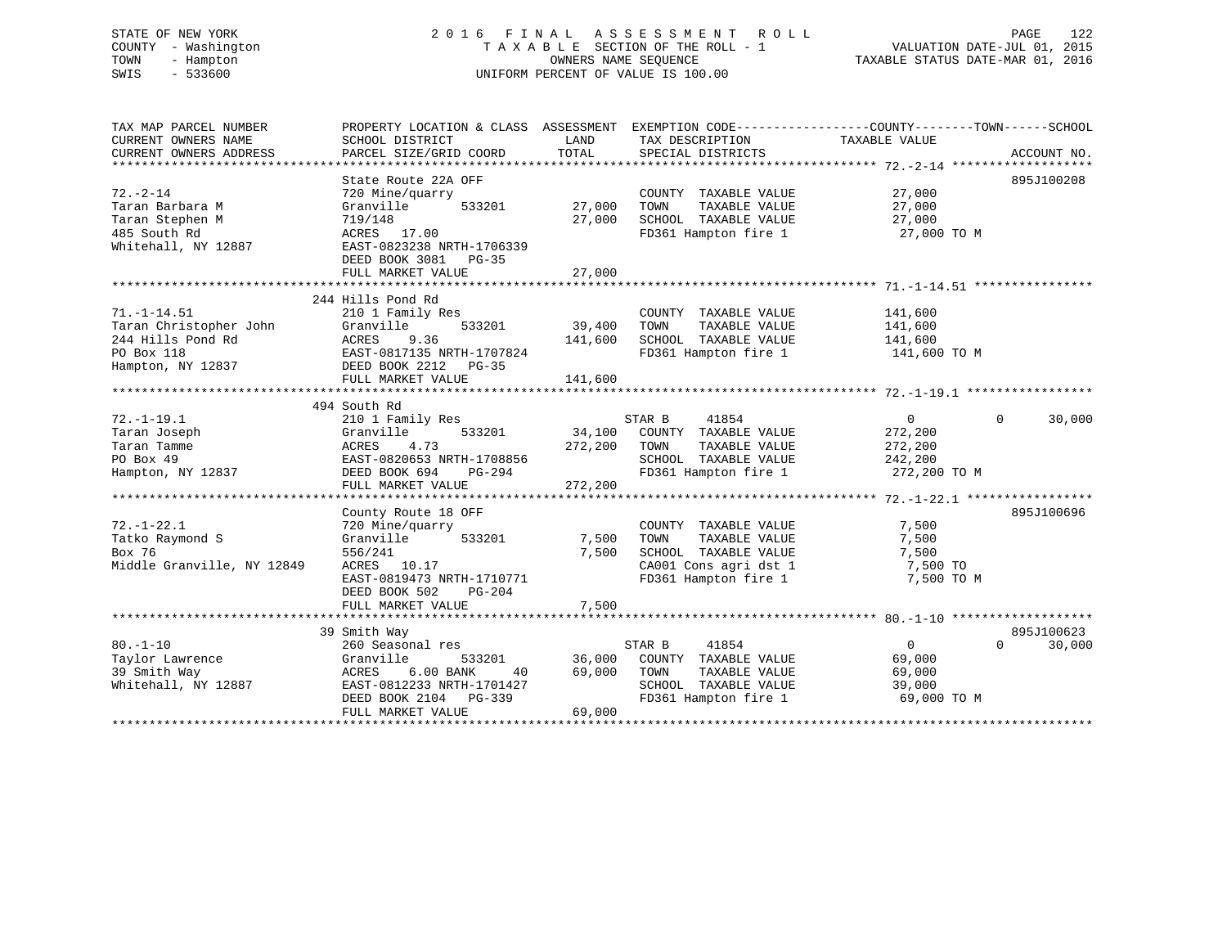# STATE OF NEW YORK 2 0 1 6 F I N A L A S S E S S M E N T R O L L PAGE 122 COUNTY - Washington T A X A B L E SECTION OF THE ROLL - 1 VALUATION DATE-JUL 01, 2015 TOWN - Hampton OWNERS NAME SEQUENCE TAXABLE STATUS DATE-MAR 01, 2016 SWIS - 533600 UNIFORM PERCENT OF VALUE IS 100.00

| TAX MAP PARCEL NUMBER<br>CURRENT OWNERS NAME<br>CURRENT OWNERS ADDRESS | PROPERTY LOCATION & CLASS ASSESSMENT<br>SCHOOL DISTRICT<br>PARCEL SIZE/GRID COORD | LAND<br>TOTAL | TAX DESCRIPTION<br>SPECIAL DISTRICTS | EXEMPTION CODE-----------------COUNTY-------TOWN------SCHOOL<br>TAXABLE VALUE | ACCOUNT NO.        |
|------------------------------------------------------------------------|-----------------------------------------------------------------------------------|---------------|--------------------------------------|-------------------------------------------------------------------------------|--------------------|
|                                                                        |                                                                                   |               |                                      |                                                                               |                    |
|                                                                        | State Route 22A OFF                                                               |               |                                      |                                                                               | 895J100208         |
| $72. - 2 - 14$                                                         | 720 Mine/quarry                                                                   |               | COUNTY TAXABLE VALUE                 | 27,000                                                                        |                    |
| Taran Barbara M                                                        | Granville<br>533201                                                               | 27,000        | TOWN<br>TAXABLE VALUE                | 27,000                                                                        |                    |
| Taran Stephen M                                                        | 719/148                                                                           | 27,000        | SCHOOL TAXABLE VALUE                 | 27,000                                                                        |                    |
| 485 South Rd                                                           | ACRES 17.00                                                                       |               | FD361 Hampton fire 1                 | 27,000 TO M                                                                   |                    |
| Whitehall, NY 12887                                                    | EAST-0823238 NRTH-1706339<br>DEED BOOK 3081 PG-35                                 |               |                                      |                                                                               |                    |
|                                                                        | FULL MARKET VALUE                                                                 | 27,000        |                                      |                                                                               |                    |
|                                                                        |                                                                                   |               |                                      |                                                                               |                    |
|                                                                        | 244 Hills Pond Rd                                                                 |               |                                      |                                                                               |                    |
| $71. -1 - 14.51$                                                       | 210 1 Family Res                                                                  |               | COUNTY TAXABLE VALUE                 | 141,600                                                                       |                    |
| Taran Christopher John                                                 | 533201<br>Granville                                                               | 39,400        | TAXABLE VALUE<br>TOWN                | 141,600                                                                       |                    |
| 244 Hills Pond Rd                                                      | ACRES<br>9.36                                                                     | 141,600       | SCHOOL TAXABLE VALUE                 | 141,600                                                                       |                    |
| PO Box 118                                                             | EAST-0817135 NRTH-1707824                                                         |               | FD361 Hampton fire 1                 | 141,600 TO M                                                                  |                    |
| Hampton, NY 12837                                                      | DEED BOOK 2212 PG-35                                                              |               |                                      |                                                                               |                    |
|                                                                        | FULL MARKET VALUE                                                                 | 141,600       |                                      |                                                                               |                    |
|                                                                        |                                                                                   |               |                                      |                                                                               |                    |
|                                                                        | 494 South Rd                                                                      |               |                                      |                                                                               |                    |
| $72. - 1 - 19.1$                                                       | 210 1 Family Res                                                                  |               | STAR B<br>41854                      | $\overline{0}$                                                                | 30,000<br>$\Omega$ |
| Taran Joseph                                                           | Granville<br>533201                                                               |               | 34,100 COUNTY TAXABLE VALUE          | 272,200                                                                       |                    |
| Taran Tamme                                                            | ACRES<br>4.73                                                                     | 272,200       | TOWN<br>TAXABLE VALUE                | 272,200                                                                       |                    |
| PO Box 49                                                              | EAST-0820653 NRTH-1708856                                                         |               | SCHOOL TAXABLE VALUE                 | 242,200                                                                       |                    |
| Hampton, NY 12837                                                      | PG-294<br>DEED BOOK 694                                                           |               | FD361 Hampton fire 1                 | 272,200 TO M                                                                  |                    |
|                                                                        | FULL MARKET VALUE                                                                 | 272,200       |                                      |                                                                               |                    |
|                                                                        |                                                                                   |               |                                      |                                                                               |                    |
|                                                                        | County Route 18 OFF                                                               |               |                                      |                                                                               | 895J100696         |
| $72. - 1 - 22.1$                                                       | 720 Mine/quarry                                                                   |               | COUNTY TAXABLE VALUE                 | 7,500                                                                         |                    |
| Tatko Raymond S                                                        | 533201<br>Granville                                                               | 7,500         | TAXABLE VALUE<br>TOWN                | 7,500                                                                         |                    |
| Box 76                                                                 | 556/241                                                                           | 7,500         | SCHOOL TAXABLE VALUE                 | 7,500                                                                         |                    |
| Middle Granville, NY 12849                                             | ACRES 10.17                                                                       |               | CA001 Cons agri dst 1                | 7,500 TO                                                                      |                    |
|                                                                        | EAST-0819473 NRTH-1710771                                                         |               | FD361 Hampton fire 1                 | 7,500 TO M                                                                    |                    |
|                                                                        | DEED BOOK 502<br>$PG-204$                                                         |               |                                      |                                                                               |                    |
|                                                                        | FULL MARKET VALUE                                                                 | 7,500         |                                      |                                                                               |                    |
|                                                                        |                                                                                   |               |                                      |                                                                               |                    |
|                                                                        | 39 Smith Way                                                                      |               |                                      |                                                                               | 895J100623         |
| $80. - 1 - 10$                                                         | 260 Seasonal res                                                                  |               | STAR B<br>41854                      | $\Omega$                                                                      | 30,000<br>$\Omega$ |
| Taylor Lawrence                                                        | Granville<br>533201                                                               | 36,000        | COUNTY TAXABLE VALUE                 | 69,000                                                                        |                    |
| 39 Smith Way                                                           | 6.00 BANK<br>ACRES<br>40                                                          | 69,000        | TOWN<br>TAXABLE VALUE                | 69,000                                                                        |                    |
| Whitehall, NY 12887                                                    | EAST-0812233 NRTH-1701427                                                         |               | SCHOOL TAXABLE VALUE                 | 39,000                                                                        |                    |
|                                                                        | DEED BOOK 2104 PG-339                                                             |               | FD361 Hampton fire 1                 | 69,000 TO M                                                                   |                    |
|                                                                        | FULL MARKET VALUE                                                                 | 69,000        |                                      |                                                                               |                    |
|                                                                        |                                                                                   |               |                                      |                                                                               |                    |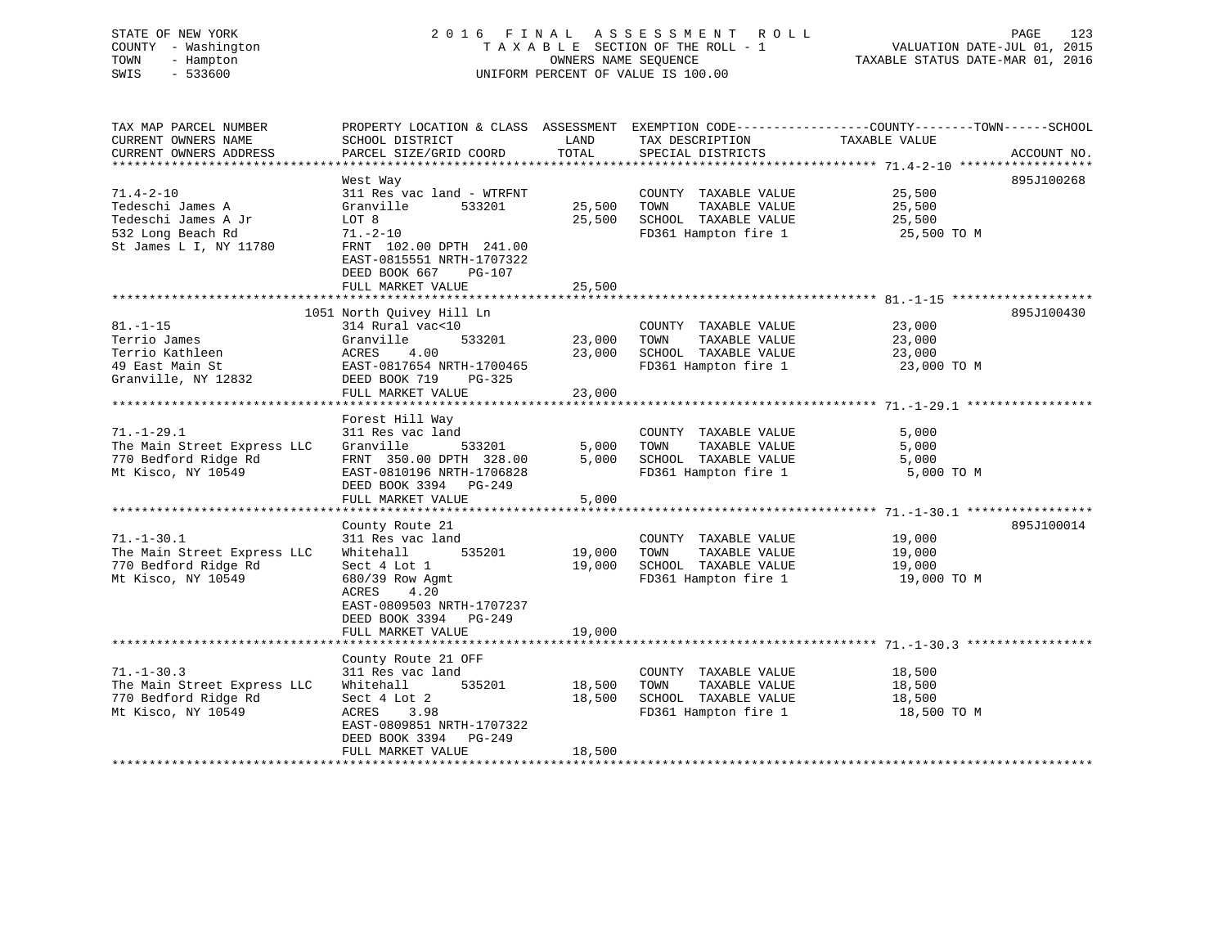# STATE OF NEW YORK 2 0 1 6 F I N A L A S S E S S M E N T R O L L PAGE 123 COUNTY - Washington T A X A B L E SECTION OF THE ROLL - 1 VALUATION DATE-JUL 01, 2015 TOWN - Hampton OWNERS NAME SEQUENCE TAXABLE STATUS DATE-MAR 01, 2016 SWIS - 533600 UNIFORM PERCENT OF VALUE IS 100.00

| TAX MAP PARCEL NUMBER<br>CURRENT OWNERS NAME<br>CURRENT OWNERS ADDRESS | SCHOOL DISTRICT<br>PARCEL SIZE/GRID COORD                                                         | LAND<br>TOTAL | TAX DESCRIPTION<br>SPECIAL DISTRICTS | PROPERTY LOCATION & CLASS ASSESSMENT EXEMPTION CODE----------------COUNTY-------TOWN------SCHOOL<br>TAXABLE VALUE<br>ACCOUNT NO. |
|------------------------------------------------------------------------|---------------------------------------------------------------------------------------------------|---------------|--------------------------------------|----------------------------------------------------------------------------------------------------------------------------------|
|                                                                        |                                                                                                   |               |                                      |                                                                                                                                  |
|                                                                        | West Way                                                                                          |               |                                      | 895J100268                                                                                                                       |
| $71.4 - 2 - 10$                                                        | 311 Res vac land - WTRFNT                                                                         |               | COUNTY TAXABLE VALUE                 | 25,500                                                                                                                           |
| Tedeschi James A                                                       | Granville<br>533201                                                                               | 25,500        | TOWN<br>TAXABLE VALUE                | 25,500                                                                                                                           |
| Tedeschi James A Jr                                                    | LOT 8                                                                                             | 25,500        | SCHOOL TAXABLE VALUE                 | 25,500                                                                                                                           |
| 532 Long Beach Rd<br>St James L I, NY 11780                            | $71. - 2 - 10$<br>FRNT 102.00 DPTH 241.00<br>EAST-0815551 NRTH-1707322<br>DEED BOOK 667<br>PG-107 |               | FD361 Hampton fire 1                 | 25,500 TO M                                                                                                                      |
|                                                                        | FULL MARKET VALUE                                                                                 | 25,500        |                                      |                                                                                                                                  |
|                                                                        |                                                                                                   |               |                                      |                                                                                                                                  |
| $81. - 1 - 15$                                                         | 1051 North Quivey Hill Ln<br>314 Rural vac<10                                                     |               | COUNTY TAXABLE VALUE                 | 895J100430<br>23,000                                                                                                             |
| Terrio James                                                           | Granville<br>533201                                                                               | 23,000        | TOWN<br>TAXABLE VALUE                | 23,000                                                                                                                           |
| Terrio Kathleen                                                        | ACRES<br>4.00                                                                                     | 23,000        | SCHOOL TAXABLE VALUE                 | 23,000                                                                                                                           |
| 49 East Main St                                                        | EAST-0817654 NRTH-1700465                                                                         |               | FD361 Hampton fire 1                 | 23,000 TO M                                                                                                                      |
| Granville, NY 12832                                                    | DEED BOOK 719<br>PG-325                                                                           |               |                                      |                                                                                                                                  |
|                                                                        | FULL MARKET VALUE                                                                                 | 23,000        |                                      |                                                                                                                                  |
|                                                                        |                                                                                                   |               |                                      |                                                                                                                                  |
|                                                                        | Forest Hill Way                                                                                   |               |                                      |                                                                                                                                  |
| $71. - 1 - 29.1$                                                       | 311 Res vac land                                                                                  |               | COUNTY TAXABLE VALUE                 | 5,000                                                                                                                            |
| The Main Street Express LLC                                            | Granville<br>533201                                                                               | 5,000         | TOWN<br>TAXABLE VALUE                | 5,000                                                                                                                            |
| 770 Bedford Ridge Rd                                                   | FRNT 350.00 DPTH 328.00                                                                           | 5.000         | SCHOOL TAXABLE VALUE                 | 5,000                                                                                                                            |
| Mt Kisco, NY 10549                                                     | EAST-0810196 NRTH-1706828                                                                         |               | FD361 Hampton fire 1                 | 5,000 TO M                                                                                                                       |
|                                                                        | DEED BOOK 3394 PG-249                                                                             |               |                                      |                                                                                                                                  |
|                                                                        | FULL MARKET VALUE                                                                                 | 5,000         |                                      |                                                                                                                                  |
|                                                                        |                                                                                                   |               |                                      |                                                                                                                                  |
|                                                                        | County Route 21                                                                                   |               |                                      | 895J100014                                                                                                                       |
| $71. - 1 - 30.1$                                                       | 311 Res vac land                                                                                  |               | COUNTY TAXABLE VALUE                 | 19,000                                                                                                                           |
| The Main Street Express LLC                                            | Whitehall<br>535201                                                                               | 19,000        | TOWN<br>TAXABLE VALUE                | 19,000                                                                                                                           |
| 770 Bedford Ridge Rd                                                   | Sect 4 Lot 1                                                                                      | 19,000        | SCHOOL TAXABLE VALUE                 | 19,000                                                                                                                           |
| Mt Kisco, NY 10549                                                     | 680/39 Row Agmt<br>ACRES<br>4.20<br>EAST-0809503 NRTH-1707237<br>DEED BOOK 3394 PG-249            |               | FD361 Hampton fire 1                 | 19,000 TO M                                                                                                                      |
|                                                                        | FULL MARKET VALUE                                                                                 | 19,000        |                                      |                                                                                                                                  |
|                                                                        |                                                                                                   |               |                                      |                                                                                                                                  |
|                                                                        | County Route 21 OFF                                                                               |               |                                      |                                                                                                                                  |
| $71. - 1 - 30.3$                                                       | 311 Res vac land                                                                                  |               | COUNTY TAXABLE VALUE                 | 18,500                                                                                                                           |
| The Main Street Express LLC                                            | 535201<br>Whitehall                                                                               | 18,500        | TOWN<br>TAXABLE VALUE                | 18,500                                                                                                                           |
| 770 Bedford Ridge Rd                                                   | Sect 4 Lot 2                                                                                      | 18,500        | SCHOOL TAXABLE VALUE                 | 18,500                                                                                                                           |
| Mt Kisco, NY 10549                                                     | ACRES<br>3.98                                                                                     |               | FD361 Hampton fire 1                 | 18,500 TO M                                                                                                                      |
|                                                                        | EAST-0809851 NRTH-1707322                                                                         |               |                                      |                                                                                                                                  |
|                                                                        | DEED BOOK 3394<br>PG-249                                                                          |               |                                      |                                                                                                                                  |
|                                                                        | FULL MARKET VALUE                                                                                 | 18,500        |                                      |                                                                                                                                  |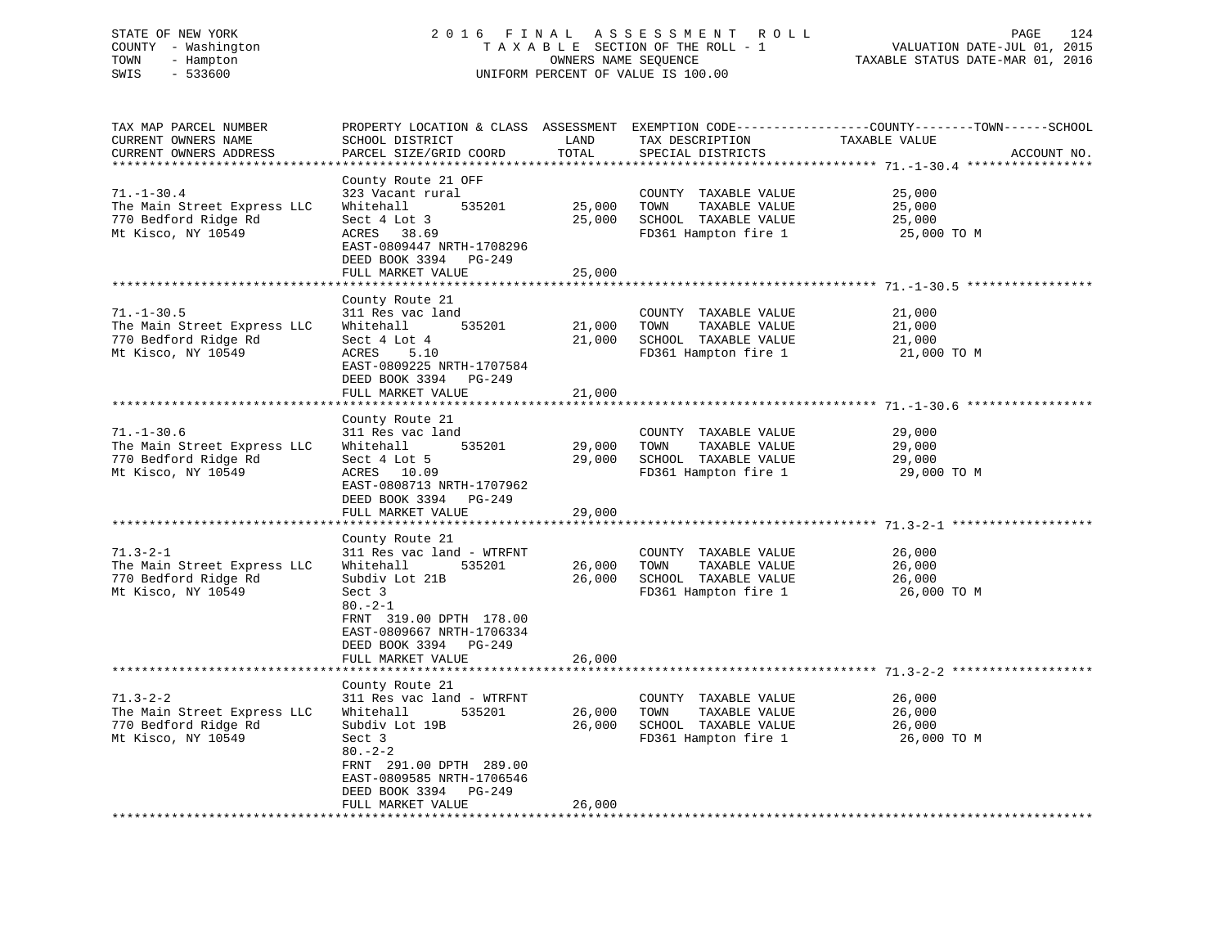# STATE OF NEW YORK 2 0 1 6 F I N A L A S S E S S M E N T R O L L PAGE 124 COUNTY - Washington T A X A B L E SECTION OF THE ROLL - 1 VALUATION DATE-JUL 01, 2015 TOWN - Hampton OWNERS NAME SEQUENCE TAXABLE STATUS DATE-MAR 01, 2016 SWIS - 533600 UNIFORM PERCENT OF VALUE IS 100.00

| TAX MAP PARCEL NUMBER<br>CURRENT OWNERS NAME<br>CURRENT OWNERS ADDRESS                        | PROPERTY LOCATION & CLASS ASSESSMENT<br>SCHOOL DISTRICT<br>PARCEL SIZE/GRID COORD<br>****************                                                                                                                 | LAND<br>TOTAL<br>********** | TAX DESCRIPTION<br>SPECIAL DISTRICTS                                                          | EXEMPTION CODE-----------------COUNTY-------TOWN------SCHOOL<br>TAXABLE VALUE<br>ACCOUNT NO.      |
|-----------------------------------------------------------------------------------------------|-----------------------------------------------------------------------------------------------------------------------------------------------------------------------------------------------------------------------|-----------------------------|-----------------------------------------------------------------------------------------------|---------------------------------------------------------------------------------------------------|
| $71. - 1 - 30.4$<br>The Main Street Express LLC<br>770 Bedford Ridge Rd<br>Mt Kisco, NY 10549 | County Route 21 OFF<br>323 Vacant rural<br>Whitehall<br>535201<br>Sect 4 Lot 3<br>ACRES 38.69<br>EAST-0809447 NRTH-1708296<br>DEED BOOK 3394 PG-249<br>FULL MARKET VALUE                                              | 25,000<br>25,000<br>25,000  | COUNTY TAXABLE VALUE<br>TAXABLE VALUE<br>TOWN<br>SCHOOL TAXABLE VALUE<br>FD361 Hampton fire 1 | 25,000<br>25,000<br>25,000<br>25,000 TO M                                                         |
| $71. - 1 - 30.5$<br>The Main Street Express LLC<br>770 Bedford Ridge Rd<br>Mt Kisco, NY 10549 | *************************<br>County Route 21<br>311 Res vac land<br>535201<br>Whitehall<br>Sect 4 Lot 4<br>ACRES<br>5.10<br>EAST-0809225 NRTH-1707584<br>DEED BOOK 3394 PG-249<br>FULL MARKET VALUE                   | 21,000<br>21,000<br>21,000  | COUNTY TAXABLE VALUE<br>TAXABLE VALUE<br>TOWN<br>SCHOOL TAXABLE VALUE<br>FD361 Hampton fire 1 | 21,000<br>21,000<br>21,000<br>21,000 TO M                                                         |
| $71. - 1 - 30.6$<br>The Main Street Express LLC<br>770 Bedford Ridge Rd<br>Mt Kisco, NY 10549 | County Route 21<br>311 Res vac land<br>Whitehall<br>535201<br>Sect 4 Lot 5<br>ACRES 10.09<br>EAST-0808713 NRTH-1707962<br>DEED BOOK 3394<br>PG-249<br>FULL MARKET VALUE                                               | 29,000<br>29,000<br>29,000  | COUNTY TAXABLE VALUE<br>TOWN<br>TAXABLE VALUE<br>SCHOOL TAXABLE VALUE<br>FD361 Hampton fire 1 | 29,000<br>29,000<br>29,000<br>29,000 TO M                                                         |
| $71.3 - 2 - 1$<br>The Main Street Express LLC<br>770 Bedford Ridge Rd<br>Mt Kisco, NY 10549   | County Route 21<br>311 Res vac land - WTRFNT<br>Whitehall<br>535201<br>Subdiv Lot 21B<br>Sect 3<br>$80 - 2 - 1$<br>FRNT 319.00 DPTH 178.00<br>EAST-0809667 NRTH-1706334<br>DEED BOOK 3394 PG-249<br>FULL MARKET VALUE | 26,000<br>26,000<br>26,000  | COUNTY TAXABLE VALUE<br>TAXABLE VALUE<br>TOWN<br>SCHOOL TAXABLE VALUE<br>FD361 Hampton fire 1 | *********************************** 71.3-2-1 *******<br>26,000<br>26,000<br>26,000<br>26,000 TO M |
|                                                                                               | County Route 21                                                                                                                                                                                                       |                             |                                                                                               |                                                                                                   |
| $71.3 - 2 - 2$<br>The Main Street Express LLC<br>770 Bedford Ridge Rd<br>Mt Kisco, NY 10549   | 311 Res vac land - WTRFNT<br>535201<br>Whitehall<br>Subdiv Lot 19B<br>Sect 3<br>$80. - 2 - 2$<br>FRNT 291.00 DPTH 289.00<br>EAST-0809585 NRTH-1706546<br>DEED BOOK 3394 PG-249<br>FULL MARKET VALUE                   | 26,000<br>26,000<br>26,000  | COUNTY TAXABLE VALUE<br>TAXABLE VALUE<br>TOWN<br>SCHOOL TAXABLE VALUE<br>FD361 Hampton fire 1 | 26,000<br>26,000<br>26,000<br>26,000 TO M                                                         |
|                                                                                               | **********************                                                                                                                                                                                                |                             |                                                                                               |                                                                                                   |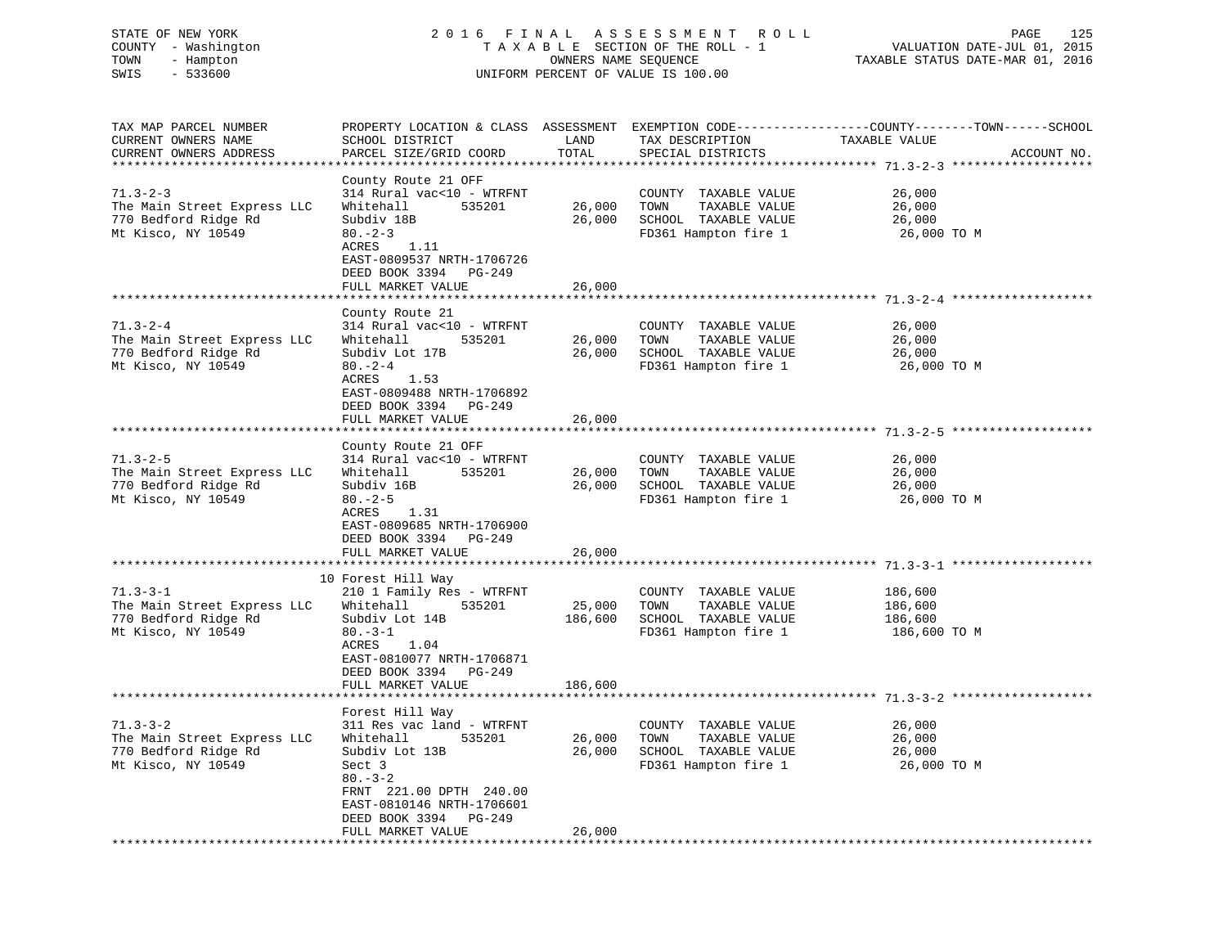# STATE OF NEW YORK 2 0 1 6 F I N A L A S S E S S M E N T R O L L PAGE 125 COUNTY - Washington T A X A B L E SECTION OF THE ROLL - 1 VALUATION DATE-JUL 01, 2015 TOWN - Hampton OWNERS NAME SEQUENCE TAXABLE STATUS DATE-MAR 01, 2016 SWIS - 533600 UNIFORM PERCENT OF VALUE IS 100.00

| TAX MAP PARCEL NUMBER<br>CURRENT OWNERS NAME<br>CURRENT OWNERS ADDRESS | PROPERTY LOCATION & CLASS ASSESSMENT EXEMPTION CODE----------------COUNTY-------TOWN-----SCHOOL<br>SCHOOL DISTRICT<br>PARCEL SIZE/GRID COORD | LAND<br>TOTAL    | TAX DESCRIPTION<br>SPECIAL DISTRICTS                                  | TAXABLE VALUE              | ACCOUNT NO. |
|------------------------------------------------------------------------|----------------------------------------------------------------------------------------------------------------------------------------------|------------------|-----------------------------------------------------------------------|----------------------------|-------------|
| ***********************                                                |                                                                                                                                              |                  |                                                                       |                            |             |
| $71.3 - 2 - 3$<br>The Main Street Express LLC<br>770 Bedford Ridge Rd  | County Route 21 OFF<br>314 Rural vac<10 - WTRFNT<br>Whitehall<br>535201<br>Subdiv 18B                                                        | 26,000<br>26,000 | COUNTY TAXABLE VALUE<br>TAXABLE VALUE<br>TOWN<br>SCHOOL TAXABLE VALUE | 26,000<br>26,000<br>26,000 |             |
| Mt Kisco, NY 10549                                                     | $80 - 2 - 3$<br>ACRES 1.11<br>EAST-0809537 NRTH-1706726<br>DEED BOOK 3394 PG-249                                                             |                  | FD361 Hampton fire 1                                                  | 26,000 TO M                |             |
|                                                                        | FULL MARKET VALUE                                                                                                                            | 26,000           |                                                                       |                            |             |
|                                                                        | County Route 21                                                                                                                              |                  |                                                                       |                            |             |
| $71.3 - 2 - 4$                                                         | 314 Rural vac<10 - WTRFNT                                                                                                                    |                  | COUNTY TAXABLE VALUE                                                  | 26,000                     |             |
| The Main Street Express LLC                                            | Whitehall<br>535201                                                                                                                          | 26,000           | TOWN<br>TAXABLE VALUE                                                 | 26,000                     |             |
| 770 Bedford Ridge Rd                                                   | Subdiv Lot 17B                                                                                                                               | 26,000           | SCHOOL TAXABLE VALUE                                                  | 26,000                     |             |
| Mt Kisco, NY 10549                                                     | $80 - 2 - 4$<br>ACRES<br>1.53<br>EAST-0809488 NRTH-1706892<br>DEED BOOK 3394 PG-249                                                          |                  | FD361 Hampton fire 1                                                  | 26,000 TO M                |             |
|                                                                        | FULL MARKET VALUE                                                                                                                            | 26,000           |                                                                       |                            |             |
|                                                                        |                                                                                                                                              |                  |                                                                       |                            |             |
|                                                                        | County Route 21 OFF                                                                                                                          |                  |                                                                       |                            |             |
| $71.3 - 2 - 5$                                                         | 314 Rural vac<10 - WTRFNT                                                                                                                    |                  | COUNTY TAXABLE VALUE                                                  | 26,000                     |             |
| The Main Street Express LLC                                            | 535201<br>Whitehall                                                                                                                          | 26,000           | TOWN<br>TAXABLE VALUE                                                 | 26,000                     |             |
| 770 Bedford Ridge Rd<br>Mt Kisco, NY 10549                             | Subdiv 16B<br>$80 - 2 - 5$                                                                                                                   | 26,000           | SCHOOL TAXABLE VALUE<br>FD361 Hampton fire 1                          | 26,000<br>26,000 TO M      |             |
|                                                                        | ACRES<br>1.31<br>EAST-0809685 NRTH-1706900<br>DEED BOOK 3394 PG-249<br>FULL MARKET VALUE                                                     | 26,000           |                                                                       |                            |             |
|                                                                        |                                                                                                                                              |                  |                                                                       |                            |             |
|                                                                        | 10 Forest Hill Way                                                                                                                           |                  |                                                                       |                            |             |
| $71.3 - 3 - 1$                                                         | 210 1 Family Res - WTRFNT                                                                                                                    |                  | COUNTY TAXABLE VALUE                                                  | 186,600                    |             |
| The Main Street Express LLC                                            | Whitehall<br>535201                                                                                                                          | 25,000           | TOWN<br>TAXABLE VALUE                                                 | 186,600                    |             |
| 770 Bedford Ridge Rd                                                   | Subdiv Lot 14B                                                                                                                               | 186,600          | SCHOOL TAXABLE VALUE                                                  | 186,600                    |             |
| Mt Kisco, NY 10549                                                     | $80 - 3 - 1$<br>ACRES<br>1.04<br>EAST-0810077 NRTH-1706871<br>DEED BOOK 3394<br>PG-249                                                       |                  | FD361 Hampton fire 1                                                  | 186,600 TO M               |             |
|                                                                        | FULL MARKET VALUE                                                                                                                            | 186,600          |                                                                       |                            |             |
|                                                                        |                                                                                                                                              |                  |                                                                       |                            |             |
| $71.3 - 3 - 2$                                                         | Forest Hill Way<br>311 Res vac land - WTRFNT                                                                                                 |                  | COUNTY TAXABLE VALUE                                                  | 26,000                     |             |
| The Main Street Express LLC                                            | Whitehall<br>535201                                                                                                                          | 26,000           | TOWN<br>TAXABLE VALUE                                                 | 26,000                     |             |
| 770 Bedford Ridge Rd                                                   | Subdiv Lot 13B                                                                                                                               | 26,000           | SCHOOL TAXABLE VALUE                                                  | 26,000                     |             |
| Mt Kisco, NY 10549                                                     | Sect 3                                                                                                                                       |                  | FD361 Hampton fire 1                                                  | 26,000 TO M                |             |
|                                                                        | $80 - 3 - 2$                                                                                                                                 |                  |                                                                       |                            |             |
|                                                                        | FRNT 221.00 DPTH 240.00                                                                                                                      |                  |                                                                       |                            |             |
|                                                                        | EAST-0810146 NRTH-1706601                                                                                                                    |                  |                                                                       |                            |             |
|                                                                        | PG-249<br>DEED BOOK 3394                                                                                                                     |                  |                                                                       |                            |             |
|                                                                        | FULL MARKET VALUE                                                                                                                            | 26,000           |                                                                       |                            |             |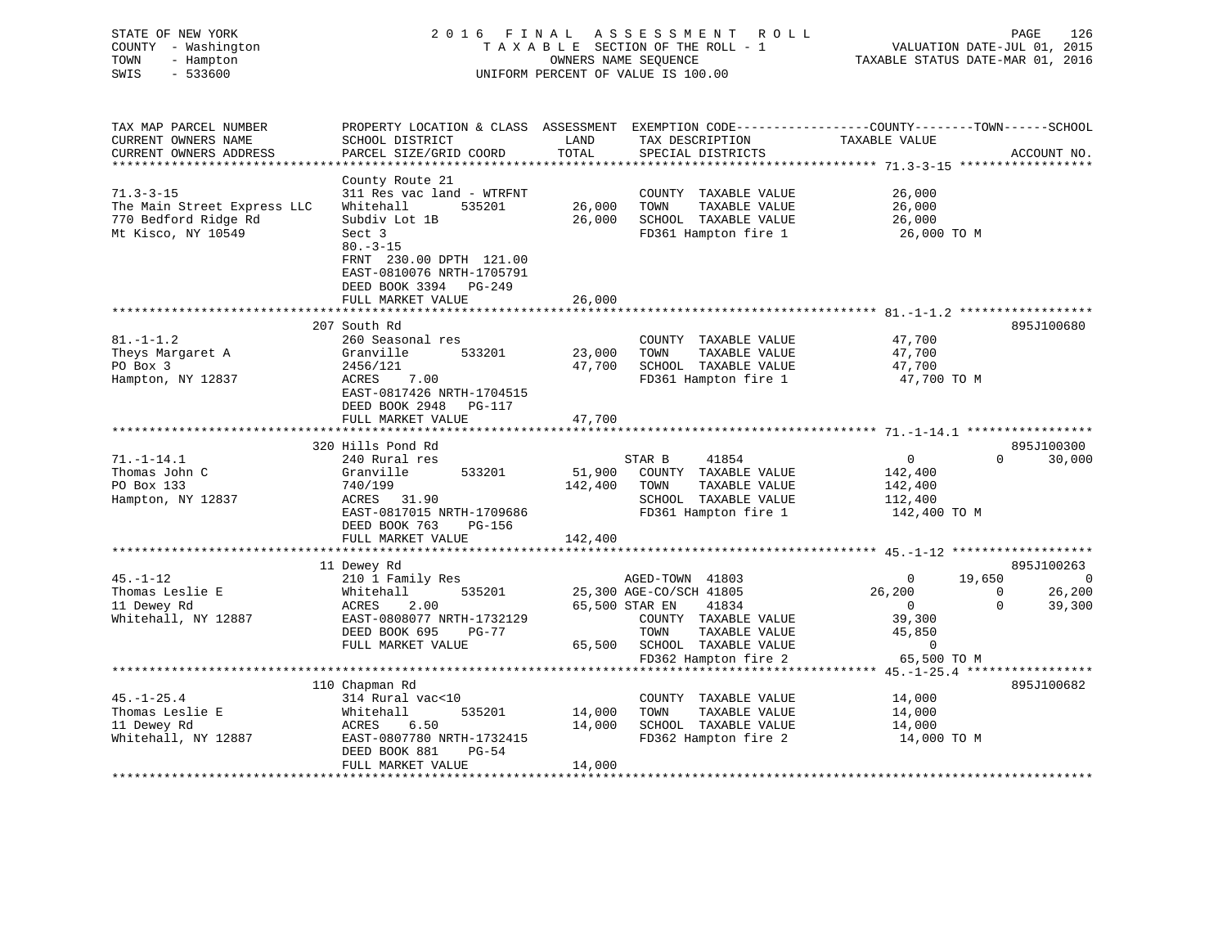| STATE OF NEW YORK<br>COUNTY - Washington<br>TOWN<br>- Hampton<br>SWIS<br>$-533600$ |                                                                                                                    |         | 2016 FINAL ASSESSMENT ROLL<br>TAXABLE SECTION OF THE ROLL - 1<br>OWNERS NAME SEQUENCE<br>UNIFORM PERCENT OF VALUE IS 100.00 | VALUATION DATE-JUL 01, 2015<br>TAXABLE STATUS DATE-MAR 01, 2016 | PAGE<br>126                 |
|------------------------------------------------------------------------------------|--------------------------------------------------------------------------------------------------------------------|---------|-----------------------------------------------------------------------------------------------------------------------------|-----------------------------------------------------------------|-----------------------------|
| TAX MAP PARCEL NUMBER<br>CURRENT OWNERS NAME                                       | PROPERTY LOCATION & CLASS ASSESSMENT EXEMPTION CODE----------------COUNTY-------TOWN-----SCHOOL<br>SCHOOL DISTRICT | LAND    | TAX DESCRIPTION                                                                                                             | TAXABLE VALUE                                                   |                             |
| CURRENT OWNERS ADDRESS                                                             | PARCEL SIZE/GRID COORD                                                                                             | TOTAL   | SPECIAL DISTRICTS                                                                                                           |                                                                 | ACCOUNT NO.                 |
| ***********************                                                            |                                                                                                                    |         |                                                                                                                             |                                                                 |                             |
|                                                                                    | County Route 21                                                                                                    |         |                                                                                                                             |                                                                 |                             |
| $71.3 - 3 - 15$                                                                    | 311 Res vac land - WTRFNT                                                                                          |         | COUNTY TAXABLE VALUE                                                                                                        | 26,000                                                          |                             |
| The Main Street Express LLC                                                        | Whitehall<br>535201                                                                                                | 26,000  | TOWN<br>TAXABLE VALUE                                                                                                       | 26,000                                                          |                             |
| 770 Bedford Ridge Rd<br>Mt Kisco, NY 10549                                         | Subdiv Lot 1B<br>Sect 3                                                                                            | 26,000  | SCHOOL TAXABLE VALUE<br>FD361 Hampton fire 1                                                                                | 26,000<br>26,000 TO M                                           |                             |
|                                                                                    | $80. - 3 - 15$<br>FRNT 230.00 DPTH 121.00<br>EAST-0810076 NRTH-1705791<br>DEED BOOK 3394 PG-249                    |         |                                                                                                                             |                                                                 |                             |
|                                                                                    | FULL MARKET VALUE                                                                                                  | 26,000  |                                                                                                                             |                                                                 |                             |
|                                                                                    |                                                                                                                    |         |                                                                                                                             |                                                                 |                             |
|                                                                                    | 207 South Rd                                                                                                       |         |                                                                                                                             |                                                                 | 895J100680                  |
| $81. - 1 - 1.2$                                                                    | 260 Seasonal res                                                                                                   |         | COUNTY TAXABLE VALUE                                                                                                        | 47,700                                                          |                             |
| Theys Margaret A                                                                   | 533201<br>Granville                                                                                                | 23,000  | TAXABLE VALUE<br>TOWN                                                                                                       | 47,700                                                          |                             |
| PO Box 3                                                                           | 2456/121                                                                                                           | 47,700  | SCHOOL TAXABLE VALUE                                                                                                        | 47,700                                                          |                             |
| Hampton, NY 12837                                                                  | ACRES<br>7.00<br>EAST-0817426 NRTH-1704515<br>DEED BOOK 2948 PG-117                                                |         | FD361 Hampton fire 1                                                                                                        | 47,700 TO M                                                     |                             |
|                                                                                    | FULL MARKET VALUE<br>************************                                                                      | 47,700  |                                                                                                                             |                                                                 |                             |
|                                                                                    | 320 Hills Pond Rd                                                                                                  |         |                                                                                                                             |                                                                 | 895J100300                  |
| $71. - 1 - 14.1$                                                                   | 240 Rural res                                                                                                      |         | STAR B<br>41854                                                                                                             | $\overline{0}$                                                  | 30,000<br>$0 \qquad \qquad$ |
| Thomas John C                                                                      | Granville<br>533201                                                                                                | 51,900  | COUNTY TAXABLE VALUE                                                                                                        | 142,400                                                         |                             |
| PO Box 133                                                                         | 740/199                                                                                                            | 142,400 | TOWN<br>TAXABLE VALUE                                                                                                       | 142,400                                                         |                             |
| Hampton, NY 12837                                                                  | ACRES 31.90                                                                                                        |         | SCHOOL TAXABLE VALUE                                                                                                        | 112,400                                                         |                             |
|                                                                                    | EAST-0817015 NRTH-1709686<br>DEED BOOK 763<br>PG-156                                                               |         | FD361 Hampton fire 1                                                                                                        | 142,400 TO M                                                    |                             |
|                                                                                    | FULL MARKET VALUE                                                                                                  | 142,400 |                                                                                                                             |                                                                 |                             |
|                                                                                    |                                                                                                                    |         |                                                                                                                             |                                                                 |                             |
|                                                                                    | 11 Dewey Rd                                                                                                        |         |                                                                                                                             |                                                                 | 895J100263<br>$\bigcirc$    |
| $45. - 1 - 12$<br>Thomas Leslie E                                                  | 210 1 Family Res<br>535201<br>Whitehall                                                                            |         | AGED-TOWN 41803<br>25,300 AGE-CO/SCH 41805                                                                                  | 19,650<br>$\overline{0}$<br>26,200<br>$\overline{0}$            | 26,200                      |
| 11 Dewey Rd                                                                        | 2.00<br>ACRES                                                                                                      |         | 65,500 STAR EN<br>41834                                                                                                     | $\overline{0}$                                                  | $\mathbf{0}$<br>39,300      |
| Whitehall, NY 12887                                                                | EAST-0808077 NRTH-1732129                                                                                          |         | COUNTY TAXABLE VALUE                                                                                                        | 39,300                                                          |                             |
|                                                                                    | DEED BOOK 695<br>PG-77                                                                                             |         | TOWN<br>TAXABLE VALUE                                                                                                       | 45,850                                                          |                             |
|                                                                                    | FULL MARKET VALUE                                                                                                  | 65,500  | SCHOOL TAXABLE VALUE                                                                                                        | $\overline{0}$                                                  |                             |
|                                                                                    |                                                                                                                    |         | FD362 Hampton fire 2                                                                                                        | 65,500 TO M                                                     |                             |
|                                                                                    | ************************                                                                                           |         |                                                                                                                             |                                                                 |                             |
|                                                                                    | 110 Chapman Rd                                                                                                     |         |                                                                                                                             |                                                                 | 895J100682                  |
| $45. - 1 - 25.4$                                                                   | 314 Rural vac<10                                                                                                   |         | COUNTY TAXABLE VALUE                                                                                                        | 14,000                                                          |                             |
| Thomas Leslie E                                                                    | 535201<br>Whitehall                                                                                                | 14,000  | TOWN<br>TAXABLE VALUE                                                                                                       | 14,000                                                          |                             |
| 11 Dewey Rd                                                                        | ACRES<br>6.50                                                                                                      | 14,000  | SCHOOL TAXABLE VALUE                                                                                                        | 14,000                                                          |                             |
| Whitehall, NY 12887                                                                | EAST-0807780 NRTH-1732415<br>DEED BOOK 881<br>PG-54                                                                |         | FD362 Hampton fire 2                                                                                                        | 14,000 TO M                                                     |                             |
|                                                                                    | FULL MARKET VALUE                                                                                                  | 14,000  |                                                                                                                             |                                                                 |                             |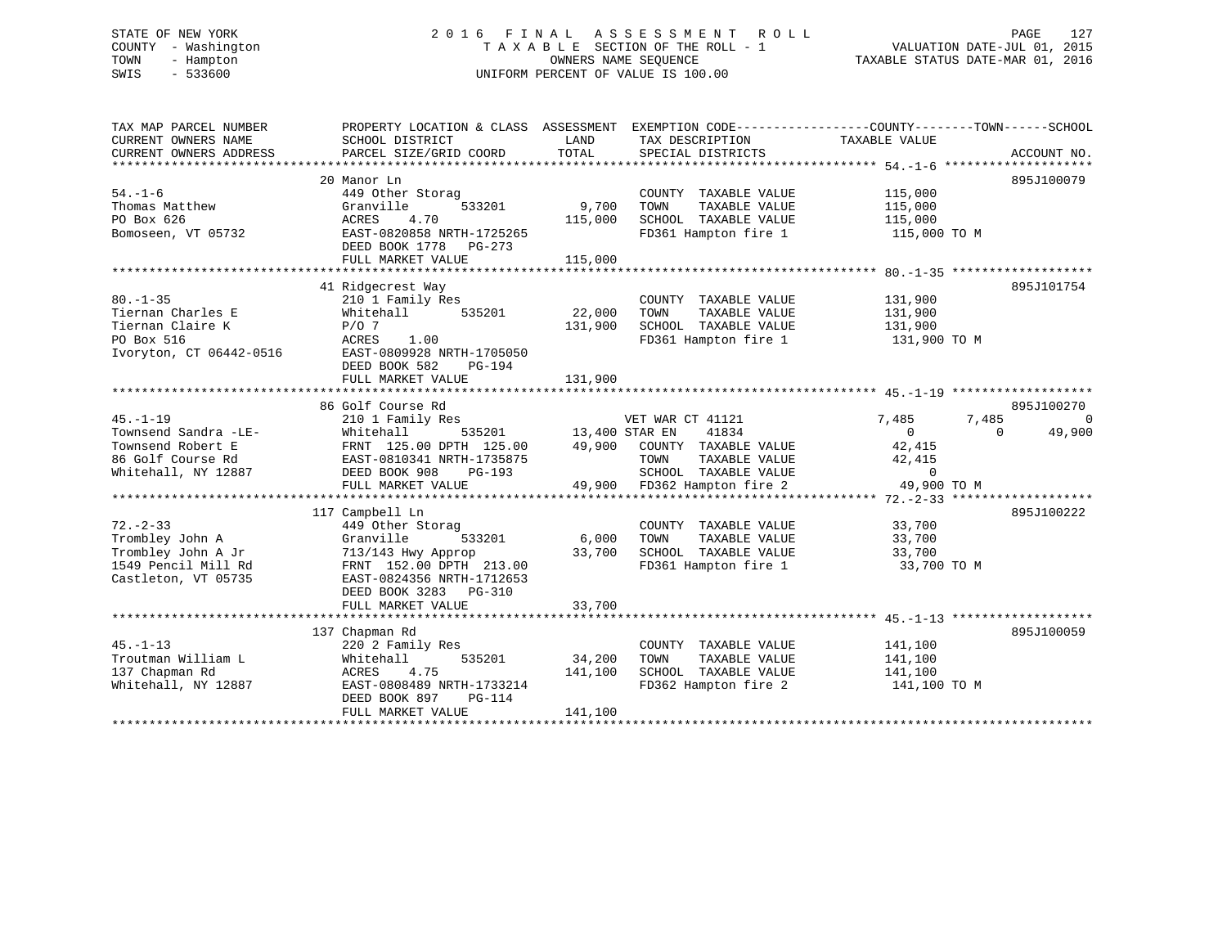# STATE OF NEW YORK 2 0 1 6 F I N A L A S S E S S M E N T R O L L PAGE 127 COUNTY - Washington T A X A B L E SECTION OF THE ROLL - 1 VALUATION DATE-JUL 01, 2015 TOWN - Hampton OWNERS NAME SEQUENCE TAXABLE STATUS DATE-MAR 01, 2016 SWIS - 533600 UNIFORM PERCENT OF VALUE IS 100.00

| TAX MAP PARCEL NUMBER   | PROPERTY LOCATION & CLASS ASSESSMENT EXEMPTION CODE----------------COUNTY-------TOWN------SCHOOL |                       |                                       |                  |                    |
|-------------------------|--------------------------------------------------------------------------------------------------|-----------------------|---------------------------------------|------------------|--------------------|
| CURRENT OWNERS NAME     | SCHOOL DISTRICT                                                                                  | LAND                  | TAX DESCRIPTION                       | TAXABLE VALUE    |                    |
| CURRENT OWNERS ADDRESS  | PARCEL SIZE/GRID COORD                                                                           | TOTAL                 | SPECIAL DISTRICTS                     |                  | ACCOUNT NO.        |
|                         |                                                                                                  |                       |                                       |                  |                    |
|                         | 20 Manor Ln                                                                                      |                       |                                       |                  | 895J100079         |
| $54. - 1 - 6$           | 449 Other Storag                                                                                 |                       | COUNTY TAXABLE VALUE                  | 115,000          |                    |
| Thomas Matthew          | 533201<br>Granville                                                                              | 9,700                 | TAXABLE VALUE<br>TOWN                 | 115,000          |                    |
| PO Box 626              | 4.70<br>ACRES                                                                                    | 115,000               | SCHOOL TAXABLE VALUE                  | 115,000          |                    |
| Bomoseen, VT 05732      | EAST-0820858 NRTH-1725265                                                                        |                       | FD361 Hampton fire 1                  | 115,000 TO M     |                    |
|                         | DEED BOOK 1778 PG-273                                                                            |                       |                                       |                  |                    |
|                         | FULL MARKET VALUE                                                                                | 115,000               |                                       |                  |                    |
|                         |                                                                                                  |                       |                                       |                  |                    |
|                         | 41 Ridgecrest Way                                                                                |                       |                                       |                  | 895J101754         |
| $80. -1 - 35$           | 210 1 Family Res                                                                                 |                       | COUNTY TAXABLE VALUE                  | 131,900          |                    |
| Tiernan Charles E       | 535201<br>Whitehall                                                                              | 22,000                | TOWN<br>TAXABLE VALUE                 | 131,900          |                    |
| Tiernan Claire K        | $P/O$ 7                                                                                          | 131,900               | SCHOOL TAXABLE VALUE                  | 131,900          |                    |
| PO Box 516              | 1.00<br>ACRES                                                                                    |                       | FD361 Hampton fire 1                  | 131,900 TO M     |                    |
| Ivoryton, CT 06442-0516 | EAST-0809928 NRTH-1705050                                                                        |                       |                                       |                  |                    |
|                         | DEED BOOK 582<br>PG-194                                                                          |                       |                                       |                  |                    |
|                         | FULL MARKET VALUE                                                                                | 131,900               |                                       |                  |                    |
|                         |                                                                                                  |                       |                                       |                  |                    |
|                         | 86 Golf Course Rd                                                                                |                       |                                       |                  | 895J100270         |
| $45. - 1 - 19$          | 210 1 Family Res                                                                                 |                       | VET WAR CT 41121                      | 7,485<br>7,485   | $\overline{0}$     |
| Townsend Sandra -LE-    | Whitehall                                                                                        | 535201 13,400 STAR EN | 41834                                 | $\overline{0}$   | 49,900<br>$\Omega$ |
| Townsend Robert E       | FRNT 125.00 DPTH 125.00                                                                          |                       | 49,900 COUNTY TAXABLE VALUE           | 42,415           |                    |
| 86 Golf Course Rd       | EAST-0810341 NRTH-1735875                                                                        |                       | TAXABLE VALUE<br>TOWN                 | 42,415           |                    |
| Whitehall, NY 12887     | DEED BOOK 908<br>PG-193                                                                          |                       | SCHOOL TAXABLE VALUE                  | $\mathbf 0$      |                    |
|                         | FULL MARKET VALUE                                                                                |                       | 49,900 FD362 Hampton fire 2           | 49,900 TO M      |                    |
|                         |                                                                                                  |                       |                                       |                  | 895J100222         |
| $72. - 2 - 33$          | 117 Campbell Ln                                                                                  |                       |                                       |                  |                    |
| Trombley John A         | 449 Other Storag<br>533201                                                                       | 6,000                 | COUNTY TAXABLE VALUE<br>TAXABLE VALUE | 33,700           |                    |
| Trombley John A Jr      | Granville<br>713/143 Hwy Approp                                                                  | 33,700                | TOWN<br>SCHOOL TAXABLE VALUE          | 33,700<br>33,700 |                    |
| 1549 Pencil Mill Rd     | FRNT 152.00 DPTH 213.00                                                                          |                       | FD361 Hampton fire 1                  | 33,700 TO M      |                    |
| Castleton, VT 05735     | EAST-0824356 NRTH-1712653                                                                        |                       |                                       |                  |                    |
|                         | DEED BOOK 3283 PG-310                                                                            |                       |                                       |                  |                    |
|                         | FULL MARKET VALUE                                                                                | 33,700                |                                       |                  |                    |
|                         |                                                                                                  |                       |                                       |                  |                    |
|                         | 137 Chapman Rd                                                                                   |                       |                                       |                  | 895J100059         |
| $45. - 1 - 13$          | 220 2 Family Res                                                                                 |                       | COUNTY TAXABLE VALUE                  | 141,100          |                    |
| Troutman William L      | 535201<br>Whitehall                                                                              | 34,200                | TOWN<br>TAXABLE VALUE                 | 141,100          |                    |
| 137 Chapman Rd          | ACRES 4.75                                                                                       | 141,100               | SCHOOL TAXABLE VALUE                  | 141,100          |                    |
| Whitehall, NY 12887     | EAST-0808489 NRTH-1733214                                                                        |                       | FD362 Hampton fire 2                  | 141,100 TO M     |                    |
|                         | DEED BOOK 897<br>PG-114                                                                          |                       |                                       |                  |                    |
|                         | FULL MARKET VALUE                                                                                | 141,100               |                                       |                  |                    |
|                         |                                                                                                  |                       |                                       |                  |                    |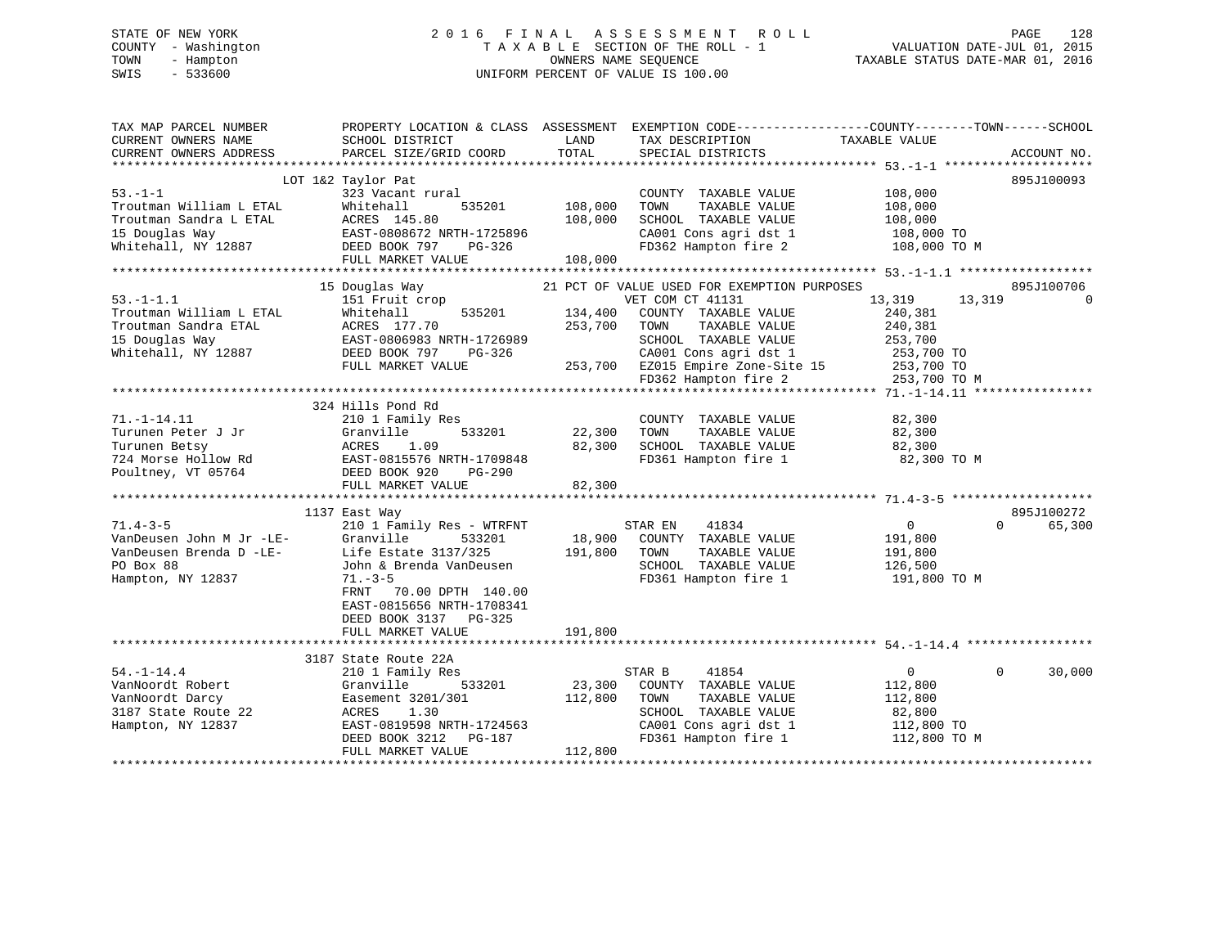# STATE OF NEW YORK 2 0 1 6 F I N A L A S S E S S M E N T R O L L PAGE 128 COUNTY - Washington T A X A B L E SECTION OF THE ROLL - 1 VALUATION DATE-JUL 01, 2015 TOWN - Hampton OWNERS NAME SEQUENCE TAXABLE STATUS DATE-MAR 01, 2016 SWIS - 533600 UNIFORM PERCENT OF VALUE IS 100.00

| TAX MAP PARCEL NUMBER<br>CURRENT OWNERS NAME<br>CURRENT OWNERS ADDRESS | SCHOOL DISTRICT<br>PARCEL SIZE/GRID COORD                    | LAND<br>TOTAL | PROPERTY LOCATION & CLASS ASSESSMENT EXEMPTION CODE----------------COUNTY-------TOWN-----SCHOOL<br>TAX DESCRIPTION<br>SPECIAL DISTRICTS | TAXABLE VALUE     | ACCOUNT NO.        |
|------------------------------------------------------------------------|--------------------------------------------------------------|---------------|-----------------------------------------------------------------------------------------------------------------------------------------|-------------------|--------------------|
|                                                                        |                                                              |               |                                                                                                                                         |                   |                    |
|                                                                        | LOT 1&2 Taylor Pat                                           |               |                                                                                                                                         |                   | 895J100093         |
| $53. - 1 - 1$                                                          | 323 Vacant rural                                             |               | COUNTY TAXABLE VALUE                                                                                                                    | 108,000           |                    |
| Troutman William L ETAL                                                | Whitehall<br>535201                                          | 108,000       | TOWN<br>TAXABLE VALUE                                                                                                                   | 108,000           |                    |
| Troutman Sandra L ETAL                                                 |                                                              | 108,000       | SCHOOL TAXABLE VALUE                                                                                                                    | 108,000           |                    |
| 15 Douglas Way                                                         |                                                              |               | CA001 Cons agri dst 1                                                                                                                   | 108,000 TO        |                    |
| Whitehall, NY 12887                                                    | ETAL<br>EAST-0808672 NRTH-1725896<br>77 DEED BOOK 797 PG-326 |               | FD362 Hampton fire 2                                                                                                                    | 108,000 TO M      |                    |
|                                                                        | FULL MARKET VALUE                                            | 108,000       |                                                                                                                                         |                   |                    |
|                                                                        |                                                              |               |                                                                                                                                         |                   |                    |
|                                                                        | 15 Douglas Way                                               |               | 21 PCT OF VALUE USED FOR EXEMPTION PURPOSES                                                                                             |                   | 895J100706         |
| $53. -1 - 1.1$                                                         | 151 Fruit crop                                               |               | VET COM CT 41131                                                                                                                        | 13,319<br>13,319  | $\Omega$           |
| Troutman William L ETAL                                                | 535201<br>Whitehall                                          | 134,400       | COUNTY TAXABLE VALUE                                                                                                                    | 240,381           |                    |
| Troutman Sandra ETAL                                                   | ACRES 177.70                                                 | 253,700       | TAXABLE VALUE<br>TOWN                                                                                                                   | 240,381           |                    |
| 15 Douglas Way                                                         | EAST-0806983 NRTH-1726989                                    |               | SCHOOL TAXABLE VALUE                                                                                                                    | 253,700           |                    |
| Whitehall, NY 12887                                                    | DEED BOOK 797<br>PG-326                                      |               | CA001 Cons agri dst 1<br>253,700 EZ015 Empire Zone-Site 15                                                                              | 253,700 TO        |                    |
|                                                                        | FULL MARKET VALUE                                            |               |                                                                                                                                         | $253,700$ TO      |                    |
|                                                                        |                                                              |               | FD362 Hampton fire 2                                                                                                                    | 253,700 TO M      |                    |
|                                                                        |                                                              |               |                                                                                                                                         |                   |                    |
|                                                                        | 324 Hills Pond Rd                                            |               |                                                                                                                                         |                   |                    |
| $71. - 1 - 14.11$                                                      | 210 1 Family Res                                             |               | COUNTY TAXABLE VALUE                                                                                                                    | 82,300            |                    |
| Turunen Peter J Jr                                                     | Granville<br>533201                                          | 22,300        | TOWN<br>TAXABLE VALUE                                                                                                                   | 82,300            |                    |
| Turunen Betsy                                                          | ACRES 1.09<br>ACRES 1.09<br>EAST-0815576 NRTH-1709848        | 82,300        | SCHOOL TAXABLE VALUE                                                                                                                    | 82,300            |                    |
| 724 Morse Hollow Rd                                                    |                                                              |               | FD361 Hampton fire 1                                                                                                                    | 82,300 TO M       |                    |
| Poultney, VT 05764                                                     | DEED BOOK 920<br>PG-290                                      |               |                                                                                                                                         |                   |                    |
|                                                                        | FULL MARKET VALUE                                            | 82,300        |                                                                                                                                         |                   |                    |
|                                                                        |                                                              |               |                                                                                                                                         |                   |                    |
|                                                                        | 1137 East Way                                                |               |                                                                                                                                         |                   | 895J100272         |
| $71.4 - 3 - 5$                                                         | 210 1 Family Res - WTRFNT                                    |               | 41834<br>STAR EN                                                                                                                        | 0                 | $\Omega$<br>65,300 |
| VanDeusen John M Jr -LE-                                               | Granville<br>533201                                          |               | 18,900 COUNTY TAXABLE VALUE                                                                                                             | 191,800           |                    |
| VanDeusen Brenda D -LE-                                                | Life Estate 3137/325                                         | 191,800 TOWN  | TAXABLE VALUE                                                                                                                           | 191,800           |                    |
| PO Box 88                                                              | John & Brenda VanDeusen                                      |               | SCHOOL TAXABLE VALUE                                                                                                                    | 126,500           |                    |
| Hampton, NY 12837                                                      | $71. - 3 - 5$                                                |               | FD361 Hampton fire 1                                                                                                                    | 191,800 TO M      |                    |
|                                                                        | FRNT<br>70.00 DPTH 140.00                                    |               |                                                                                                                                         |                   |                    |
|                                                                        | EAST-0815656 NRTH-1708341                                    |               |                                                                                                                                         |                   |                    |
|                                                                        | DEED BOOK 3137 PG-325                                        |               |                                                                                                                                         |                   |                    |
|                                                                        | FULL MARKET VALUE                                            | 191,800       |                                                                                                                                         |                   |                    |
|                                                                        |                                                              |               |                                                                                                                                         |                   |                    |
|                                                                        | 3187 State Route 22A                                         |               |                                                                                                                                         |                   | $\Omega$           |
| $54. - 1 - 14.4$                                                       | 210 1 Family Res                                             | 23,300        | STAR B<br>41854                                                                                                                         | $0 \qquad \qquad$ | 30,000             |
| VanNoordt Robert                                                       | 533201<br>Granville                                          |               | COUNTY TAXABLE VALUE                                                                                                                    | 112,800           |                    |
| VanNoordt Darcy                                                        | Easement 3201/301                                            | 112,800       | TAXABLE VALUE<br>TOWN                                                                                                                   | 112,800           |                    |
| 3187 State Route 22                                                    | 1.30<br>ACRES                                                |               | SCHOOL TAXABLE VALUE                                                                                                                    | 82,800            |                    |
| Hampton, NY 12837                                                      | EAST-0819598 NRTH-1724563                                    |               | CA001 Cons agri dst 1                                                                                                                   | 112,800 TO        |                    |
|                                                                        | DEED BOOK 3212<br>PG-187                                     |               | FD361 Hampton fire 1                                                                                                                    | 112,800 TO M      |                    |
|                                                                        | FULL MARKET VALUE                                            | 112,800       |                                                                                                                                         |                   |                    |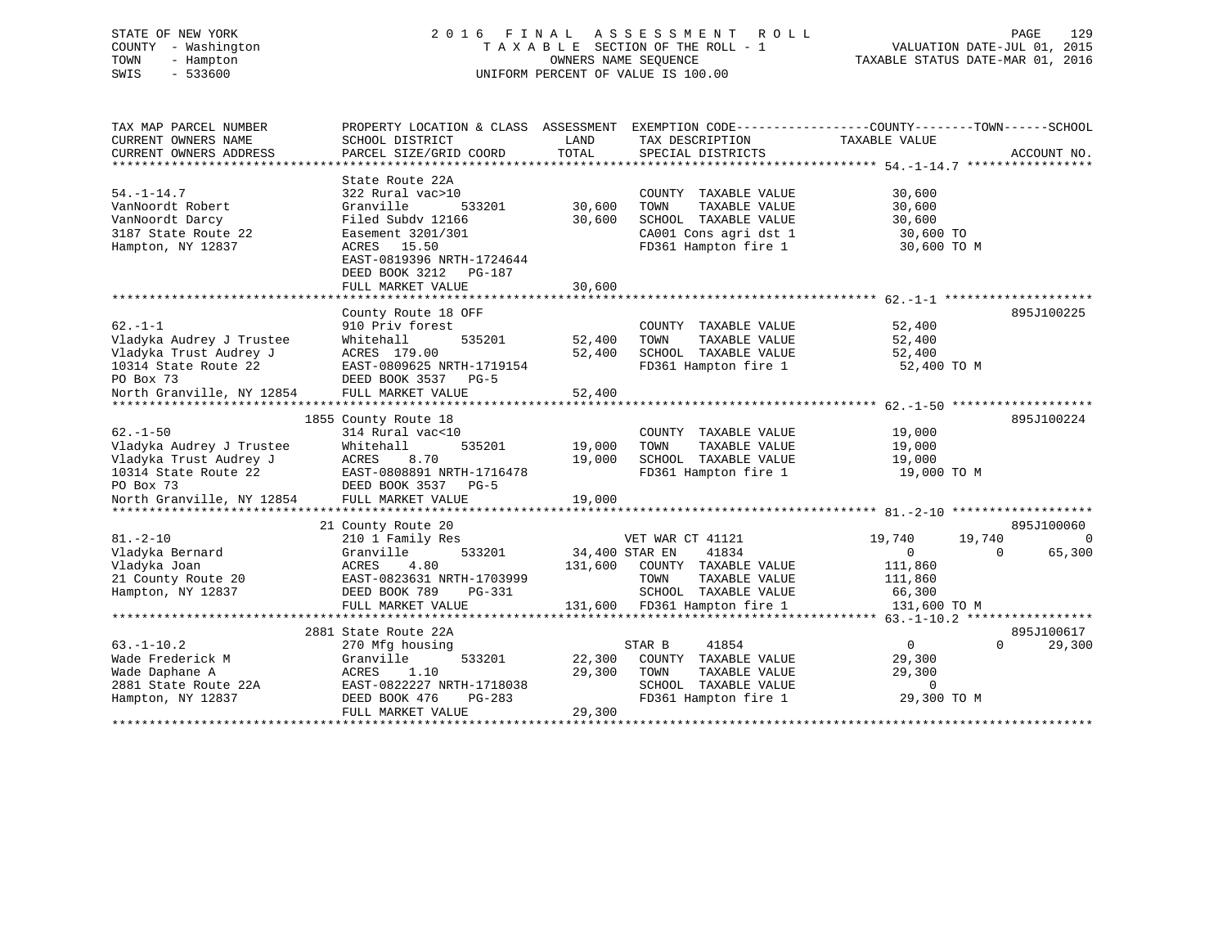# STATE OF NEW YORK 2 0 1 6 F I N A L A S S E S S M E N T R O L L PAGE 129 COUNTY - Washington T A X A B L E SECTION OF THE ROLL - 1 VALUATION DATE-JUL 01, 2015 TOWN - Hampton OWNERS NAME SEQUENCE TAXABLE STATUS DATE-MAR 01, 2016 SWIS - 533600 UNIFORM PERCENT OF VALUE IS 100.00

| TAX MAP PARCEL NUMBER     | PROPERTY LOCATION & CLASS ASSESSMENT |                | EXEMPTION CODE-----------------COUNTY-------TOWN------SCHOOL |                |                    |
|---------------------------|--------------------------------------|----------------|--------------------------------------------------------------|----------------|--------------------|
| CURRENT OWNERS NAME       | SCHOOL DISTRICT                      | LAND           | TAX DESCRIPTION                                              | TAXABLE VALUE  |                    |
| CURRENT OWNERS ADDRESS    | PARCEL SIZE/GRID COORD               | TOTAL          | SPECIAL DISTRICTS                                            |                | ACCOUNT NO.        |
|                           |                                      |                |                                                              |                |                    |
|                           | State Route 22A                      |                |                                                              |                |                    |
| $54. -1 - 14.7$           | 322 Rural vac>10                     |                | COUNTY TAXABLE VALUE                                         | 30,600         |                    |
| VanNoordt Robert          | Granville<br>533201                  | 30,600         | TOWN<br>TAXABLE VALUE                                        | 30,600         |                    |
| VanNoordt Darcy           | Filed Subdy 12166                    | 30,600         | SCHOOL TAXABLE VALUE                                         | 30,600         |                    |
| 3187 State Route 22       | Easement 3201/301                    |                | CA001 Cons agri dst 1                                        | 30,600 TO      |                    |
| Hampton, NY 12837         | ACRES<br>15.50                       |                | FD361 Hampton fire 1                                         | 30,600 TO M    |                    |
|                           | EAST-0819396 NRTH-1724644            |                |                                                              |                |                    |
|                           | DEED BOOK 3212 PG-187                |                |                                                              |                |                    |
|                           | FULL MARKET VALUE                    | 30,600         |                                                              |                |                    |
|                           |                                      |                |                                                              |                |                    |
|                           | County Route 18 OFF                  |                |                                                              |                | 895J100225         |
| $62. -1 - 1$              | 910 Priv forest                      |                | COUNTY TAXABLE VALUE                                         | 52,400         |                    |
| Vladyka Audrey J Trustee  | Whitehall<br>535201                  | 52,400         | TAXABLE VALUE<br>TOWN                                        | 52,400         |                    |
| Vladyka Trust Audrey J    | ACRES 179.00                         | 52,400         | SCHOOL TAXABLE VALUE                                         | 52,400         |                    |
| 10314 State Route 22      | EAST-0809625 NRTH-1719154            |                | FD361 Hampton fire 1                                         | 52,400 TO M    |                    |
| PO Box 73                 | DEED BOOK 3537<br>$PG-5$             |                |                                                              |                |                    |
| North Granville, NY 12854 | FULL MARKET VALUE                    | 52,400         |                                                              |                |                    |
|                           |                                      |                |                                                              |                |                    |
|                           | 1855 County Route 18                 |                |                                                              |                | 895J100224         |
| $62. - 1 - 50$            | 314 Rural vac<10                     |                | COUNTY TAXABLE VALUE                                         | 19,000         |                    |
| Vladyka Audrey J Trustee  | 535201<br>Whitehall                  | 19,000         | TOWN<br>TAXABLE VALUE                                        | 19,000         |                    |
| Vladyka Trust Audrey J    | ACRES<br>8.70                        | 19,000         | SCHOOL TAXABLE VALUE                                         | 19,000         |                    |
| 10314 State Route 22      | EAST-0808891 NRTH-1716478            |                | FD361 Hampton fire 1                                         | 19,000 TO M    |                    |
| PO Box 73                 | DEED BOOK 3537 PG-5                  |                |                                                              |                |                    |
| North Granville, NY 12854 | FULL MARKET VALUE                    | 19,000         |                                                              |                |                    |
|                           |                                      |                |                                                              |                |                    |
|                           | 21 County Route 20                   |                |                                                              |                | 895J100060         |
| $81. - 2 - 10$            | 210 1 Family Res                     |                | VET WAR CT 41121                                             | 19,740         | $\Omega$<br>19,740 |
| Vladyka Bernard           | 533201<br>Granville                  | 34,400 STAR EN | 41834                                                        | $\mathbf{0}$   | 65,300<br>$\Omega$ |
| Vladyka Joan              | ACRES<br>4.80                        | 131,600        | COUNTY TAXABLE VALUE                                         | 111,860        |                    |
| 21 County Route 20        | EAST-0823631 NRTH-1703999            |                | TOWN<br>TAXABLE VALUE                                        | 111,860        |                    |
| Hampton, NY 12837         | DEED BOOK 789<br>PG-331              |                | SCHOOL TAXABLE VALUE                                         | 66,300         |                    |
|                           | FULL MARKET VALUE                    |                | 131,600 FD361 Hampton fire 1                                 | 131,600 TO M   |                    |
|                           |                                      |                |                                                              |                |                    |
|                           | 2881 State Route 22A                 |                |                                                              |                | 895J100617         |
| $63. - 1 - 10.2$          | 270 Mfg housing                      |                | 41854<br>STAR B                                              | $\overline{0}$ | $\Omega$<br>29,300 |
| Wade Frederick M          | Granville<br>533201                  | 22,300         | COUNTY TAXABLE VALUE                                         | 29,300         |                    |
| Wade Daphane A            | ACRES<br>1.10                        | 29,300         | TOWN<br>TAXABLE VALUE                                        | 29,300         |                    |
| 2881 State Route 22A      | EAST-0822227 NRTH-1718038            |                | SCHOOL TAXABLE VALUE                                         | $\mathbf 0$    |                    |
| Hampton, NY 12837         | DEED BOOK 476<br>PG-283              |                | FD361 Hampton fire 1                                         | 29,300 TO M    |                    |
|                           | FULL MARKET VALUE                    | 29,300         |                                                              |                |                    |
|                           |                                      |                |                                                              |                |                    |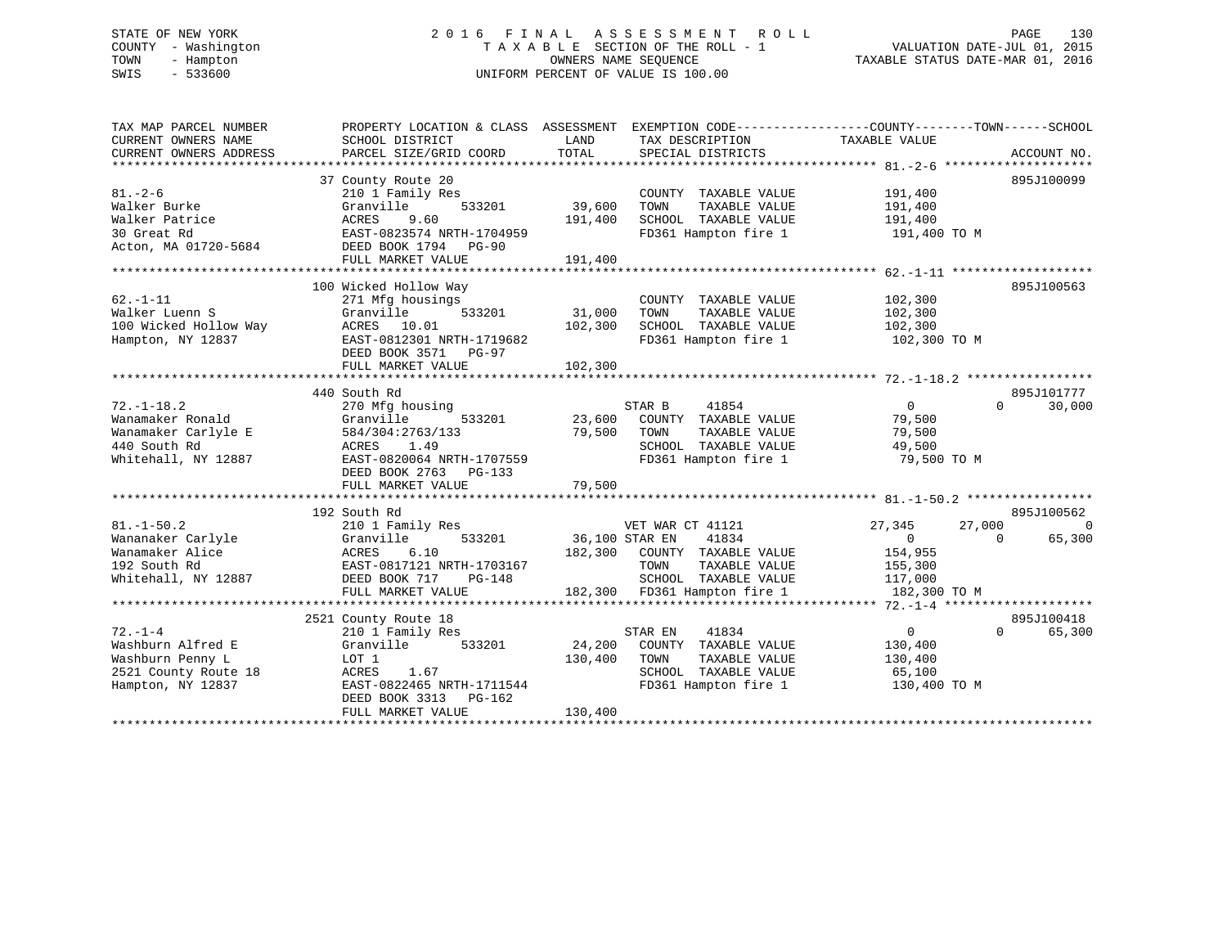# STATE OF NEW YORK 2 0 1 6 F I N A L A S S E S S M E N T R O L L PAGE 130 COUNTY - Washington T A X A B L E SECTION OF THE ROLL - 1 VALUATION DATE-JUL 01, 2015 TOWN - Hampton OWNERS NAME SEQUENCE TAXABLE STATUS DATE-MAR 01, 2016 SWIS - 533600 UNIFORM PERCENT OF VALUE IS 100.00

| TAX MAP PARCEL NUMBER<br>CURRENT OWNERS NAME<br>CURRENT OWNERS ADDRESS | PROPERTY LOCATION & CLASS ASSESSMENT<br>SCHOOL DISTRICT<br>PARCEL SIZE/GRID COORD | LAND<br>TOTAL  | EXEMPTION CODE-----------------COUNTY-------TOWN------SCHOOL<br>TAX DESCRIPTION<br>SPECIAL DISTRICTS | TAXABLE VALUE    | ACCOUNT NO.        |
|------------------------------------------------------------------------|-----------------------------------------------------------------------------------|----------------|------------------------------------------------------------------------------------------------------|------------------|--------------------|
|                                                                        |                                                                                   |                |                                                                                                      |                  |                    |
|                                                                        | 37 County Route 20                                                                |                |                                                                                                      |                  | 895J100099         |
| $81. - 2 - 6$                                                          | 210 1 Family Res                                                                  |                | COUNTY TAXABLE VALUE                                                                                 | 191,400          |                    |
| Walker Burke                                                           | 533201<br>Granville                                                               | 39,600         | TAXABLE VALUE<br>TOWN                                                                                | 191,400          |                    |
| Walker Patrice                                                         | ACRES<br>9.60                                                                     | 191,400        | SCHOOL TAXABLE VALUE                                                                                 | 191,400          |                    |
| 30 Great Rd                                                            | EAST-0823574 NRTH-1704959                                                         |                | FD361 Hampton fire 1                                                                                 | 191,400 TO M     |                    |
| Acton, MA 01720-5684                                                   | DEED BOOK 1794 PG-90                                                              |                |                                                                                                      |                  |                    |
|                                                                        | FULL MARKET VALUE                                                                 | 191,400        |                                                                                                      |                  |                    |
|                                                                        |                                                                                   |                |                                                                                                      |                  |                    |
|                                                                        | 100 Wicked Hollow Way                                                             |                |                                                                                                      |                  | 895J100563         |
| $62. -1 - 11$                                                          | 271 Mfg housings                                                                  |                | COUNTY TAXABLE VALUE                                                                                 | 102,300          |                    |
| Walker Luenn S                                                         | Granville<br>533201                                                               | 31,000         | TOWN<br>TAXABLE VALUE                                                                                | 102,300          |                    |
| 100 Wicked Hollow Way                                                  | ACRES 10.01                                                                       | 102,300        | SCHOOL TAXABLE VALUE                                                                                 | 102,300          |                    |
| Hampton, NY 12837                                                      | EAST-0812301 NRTH-1719682                                                         |                | FD361 Hampton fire 1                                                                                 | 102,300 TO M     |                    |
|                                                                        | DEED BOOK 3571<br>PG-97                                                           |                |                                                                                                      |                  |                    |
|                                                                        | FULL MARKET VALUE                                                                 | 102,300        |                                                                                                      |                  |                    |
|                                                                        |                                                                                   |                |                                                                                                      |                  |                    |
|                                                                        | 440 South Rd                                                                      |                |                                                                                                      |                  | 895J101777         |
| $72. - 1 - 18.2$                                                       | 270 Mfg housing                                                                   |                | STAR B<br>41854                                                                                      | $\overline{0}$   | $\Omega$<br>30,000 |
| Wanamaker Ronald                                                       | Granville<br>533201                                                               | 23,600         | COUNTY TAXABLE VALUE                                                                                 | 79,500           |                    |
| Wanamaker Carlyle E                                                    | 584/304:2763/133                                                                  | 79,500         | TAXABLE VALUE<br>TOWN                                                                                | 79,500           |                    |
| 440 South Rd                                                           | ACRES<br>1.49                                                                     |                | SCHOOL TAXABLE VALUE                                                                                 | 49,500           |                    |
| Whitehall, NY 12887                                                    | EAST-0820064 NRTH-1707559                                                         |                | FD361 Hampton fire 1                                                                                 | 79,500 TO M      |                    |
|                                                                        | DEED BOOK 2763<br>$PG-133$                                                        |                |                                                                                                      |                  |                    |
|                                                                        | FULL MARKET VALUE                                                                 | 79,500         |                                                                                                      |                  |                    |
|                                                                        |                                                                                   |                |                                                                                                      |                  |                    |
|                                                                        | 192 South Rd                                                                      |                |                                                                                                      |                  | 895J100562         |
| $81. - 1 - 50.2$                                                       | 210 1 Family Res                                                                  |                | VET WAR CT 41121                                                                                     | 27,345<br>27,000 | $\Omega$           |
| Wananaker Carlyle                                                      | Granville<br>533201                                                               | 36,100 STAR EN | 41834                                                                                                | $\overline{0}$   | 65,300<br>$\Omega$ |
| Wanamaker Alice                                                        | ACRES<br>6.10                                                                     |                | 182,300 COUNTY TAXABLE VALUE                                                                         | 154,955          |                    |
| 192 South Rd                                                           | EAST-0817121 NRTH-1703167                                                         |                | TAXABLE VALUE<br>TOWN                                                                                | 155,300          |                    |
| Whitehall, NY 12887                                                    | DEED BOOK 717<br>PG-148                                                           |                | SCHOOL TAXABLE VALUE                                                                                 | 117,000          |                    |
|                                                                        | FULL MARKET VALUE                                                                 |                | 182,300 FD361 Hampton fire 1                                                                         | 182,300 TO M     |                    |
|                                                                        |                                                                                   |                |                                                                                                      |                  |                    |
|                                                                        | 2521 County Route 18                                                              |                |                                                                                                      |                  | 895J100418         |
| $72. - 1 - 4$                                                          | 210 1 Family Res                                                                  |                | STAR EN<br>41834                                                                                     | 0                | 65,300<br>$\Omega$ |
| Washburn Alfred E                                                      | Granville<br>533201                                                               | 24,200         | COUNTY TAXABLE VALUE                                                                                 | 130,400          |                    |
| Washburn Penny L                                                       | LOT 1                                                                             | 130,400        | TOWN<br>TAXABLE VALUE                                                                                | 130,400          |                    |
| 2521 County Route 18                                                   | ACRES<br>1.67                                                                     |                | SCHOOL TAXABLE VALUE                                                                                 | 65,100           |                    |
| Hampton, NY 12837                                                      | EAST-0822465 NRTH-1711544                                                         |                | FD361 Hampton fire 1                                                                                 | 130,400 TO M     |                    |
|                                                                        | DEED BOOK 3313<br>PG-162                                                          |                |                                                                                                      |                  |                    |
|                                                                        | FULL MARKET VALUE                                                                 | 130,400        |                                                                                                      |                  |                    |
|                                                                        |                                                                                   |                |                                                                                                      |                  |                    |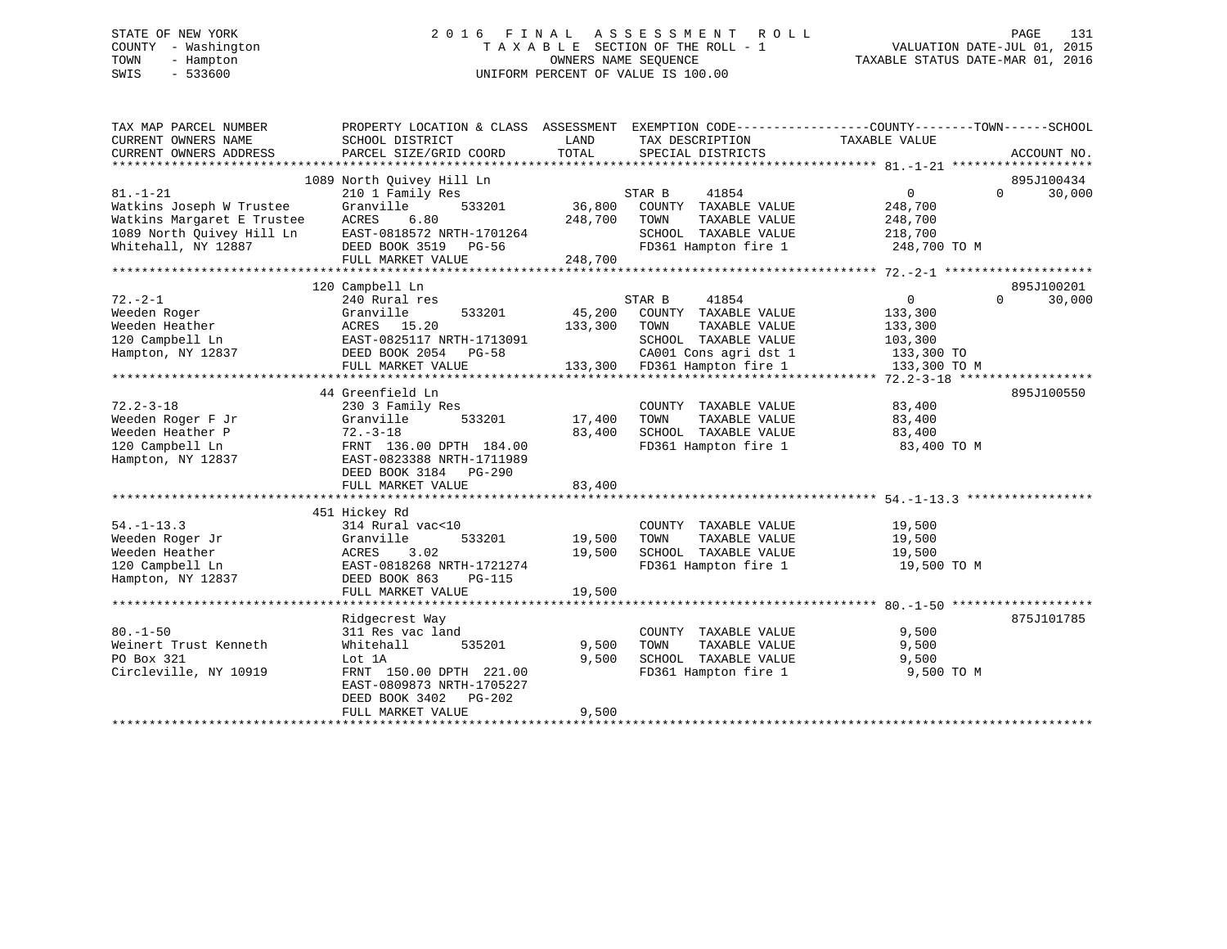# STATE OF NEW YORK 2 0 1 6 F I N A L A S S E S S M E N T R O L L PAGE 131 COUNTY - Washington T A X A B L E SECTION OF THE ROLL - 1 VALUATION DATE-JUL 01, 2015 TOWN - Hampton OWNERS NAME SEQUENCE TAXABLE STATUS DATE-MAR 01, 2016 SWIS - 533600 UNIFORM PERCENT OF VALUE IS 100.00

| TAX MAP PARCEL NUMBER<br>CURRENT OWNERS NAME<br>CURRENT OWNERS ADDRESS | PROPERTY LOCATION & CLASS ASSESSMENT EXEMPTION CODE----------------COUNTY-------TOWN-----SCHOOL<br>SCHOOL DISTRICT<br>PARCEL SIZE/GRID COORD | LAND<br>TOTAL | TAX DESCRIPTION<br>SPECIAL DISTRICTS | TAXABLE VALUE  | ACCOUNT NO.        |
|------------------------------------------------------------------------|----------------------------------------------------------------------------------------------------------------------------------------------|---------------|--------------------------------------|----------------|--------------------|
|                                                                        |                                                                                                                                              |               |                                      |                |                    |
|                                                                        | 1089 North Quivey Hill Ln                                                                                                                    |               |                                      |                | 895J100434         |
| $81. - 1 - 21$                                                         | 210 1 Family Res                                                                                                                             |               | STAR B<br>41854                      | $\mathbf{0}$   | 30,000<br>$\Omega$ |
| Watkins Joseph W Trustee                                               | 533201<br>Granville                                                                                                                          | 36,800        | COUNTY TAXABLE VALUE                 | 248,700        |                    |
| Watkins Margaret E Trustee                                             | ACRES<br>6.80                                                                                                                                | 248,700       | TAXABLE VALUE<br>TOWN                | 248,700        |                    |
| 1089 North Quivey Hill Ln                                              | EAST-0818572 NRTH-1701264                                                                                                                    |               | SCHOOL TAXABLE VALUE                 | 218,700        |                    |
| Whitehall, NY 12887                                                    | DEED BOOK 3519 PG-56                                                                                                                         |               | FD361 Hampton fire 1                 | 248,700 TO M   |                    |
|                                                                        | FULL MARKET VALUE                                                                                                                            | 248,700       |                                      |                |                    |
|                                                                        |                                                                                                                                              |               |                                      |                |                    |
|                                                                        | 120 Campbell Ln                                                                                                                              |               |                                      |                | 895J100201         |
| $72. - 2 - 1$                                                          | 240 Rural res                                                                                                                                |               | STAR B<br>41854                      | $\overline{0}$ | $\Omega$<br>30,000 |
| Weeden Roger                                                           | Granville<br>533201                                                                                                                          | 45,200        | COUNTY TAXABLE VALUE                 | 133,300        |                    |
| Weeden Heather                                                         | ACRES 15.20                                                                                                                                  | 133,300       | TOWN<br>TAXABLE VALUE                | 133,300        |                    |
| 120 Campbell Ln                                                        | EAST-0825117 NRTH-1713091                                                                                                                    |               | SCHOOL TAXABLE VALUE                 | 103,300        |                    |
| Hampton, NY 12837                                                      | DEED BOOK 2054 PG-58                                                                                                                         |               | CA001 Cons agri dst 1                | 133,300 TO     |                    |
|                                                                        | FULL MARKET VALUE                                                                                                                            |               | 133,300 FD361 Hampton fire 1         | 133,300 TO M   |                    |
|                                                                        |                                                                                                                                              |               |                                      |                |                    |
|                                                                        | 44 Greenfield Ln                                                                                                                             |               |                                      |                | 895J100550         |
| $72.2 - 3 - 18$                                                        | 230 3 Family Res                                                                                                                             |               | COUNTY TAXABLE VALUE                 | 83,400         |                    |
| Weeden Roger F Jr                                                      | Granville<br>533201                                                                                                                          | 17,400        | TAXABLE VALUE<br>TOWN                | 83,400         |                    |
| Weeden Heather P                                                       | $72. - 3 - 18$                                                                                                                               | 83,400        | SCHOOL TAXABLE VALUE                 | 83,400         |                    |
| 120 Campbell Ln                                                        | FRNT 136.00 DPTH 184.00                                                                                                                      |               | FD361 Hampton fire 1                 | 83,400 TO M    |                    |
| Hampton, NY 12837                                                      | EAST-0823388 NRTH-1711989                                                                                                                    |               |                                      |                |                    |
|                                                                        | DEED BOOK 3184 PG-290                                                                                                                        |               |                                      |                |                    |
|                                                                        | FULL MARKET VALUE                                                                                                                            | 83,400        |                                      |                |                    |
|                                                                        |                                                                                                                                              |               |                                      |                |                    |
|                                                                        | 451 Hickey Rd                                                                                                                                |               |                                      |                |                    |
| $54. - 1 - 13.3$                                                       | 314 Rural vac<10                                                                                                                             |               | COUNTY TAXABLE VALUE                 | 19,500         |                    |
| Weeden Roger Jr                                                        | Granville<br>533201                                                                                                                          | 19,500        | TOWN<br>TAXABLE VALUE                | 19,500         |                    |
| Weeden Heather                                                         | ACRES<br>3.02                                                                                                                                | 19,500        | SCHOOL TAXABLE VALUE                 | 19,500         |                    |
| 120 Campbell Ln                                                        | EAST-0818268 NRTH-1721274                                                                                                                    |               | FD361 Hampton fire 1                 | 19,500 TO M    |                    |
| Hampton, NY 12837                                                      | DEED BOOK 863<br><b>PG-115</b>                                                                                                               |               |                                      |                |                    |
|                                                                        | FULL MARKET VALUE                                                                                                                            | 19,500        |                                      |                |                    |
|                                                                        |                                                                                                                                              |               |                                      |                |                    |
|                                                                        | Ridgecrest Way                                                                                                                               |               |                                      |                | 875J101785         |
| $80. - 1 - 50$                                                         | 311 Res vac land                                                                                                                             |               | COUNTY TAXABLE VALUE                 | 9,500          |                    |
| Weinert Trust Kenneth                                                  | Whitehall<br>535201                                                                                                                          | 9,500         | TAXABLE VALUE<br>TOWN                | 9,500          |                    |
| PO Box 321                                                             | Lot 1A                                                                                                                                       | 9,500         | SCHOOL TAXABLE VALUE                 | 9,500          |                    |
| Circleville, NY 10919                                                  | FRNT 150.00 DPTH 221.00                                                                                                                      |               | FD361 Hampton fire 1                 | 9,500 TO M     |                    |
|                                                                        | EAST-0809873 NRTH-1705227                                                                                                                    |               |                                      |                |                    |
|                                                                        | DEED BOOK 3402<br>PG-202                                                                                                                     |               |                                      |                |                    |
|                                                                        | FULL MARKET VALUE                                                                                                                            | 9,500         |                                      |                |                    |
|                                                                        |                                                                                                                                              |               |                                      |                |                    |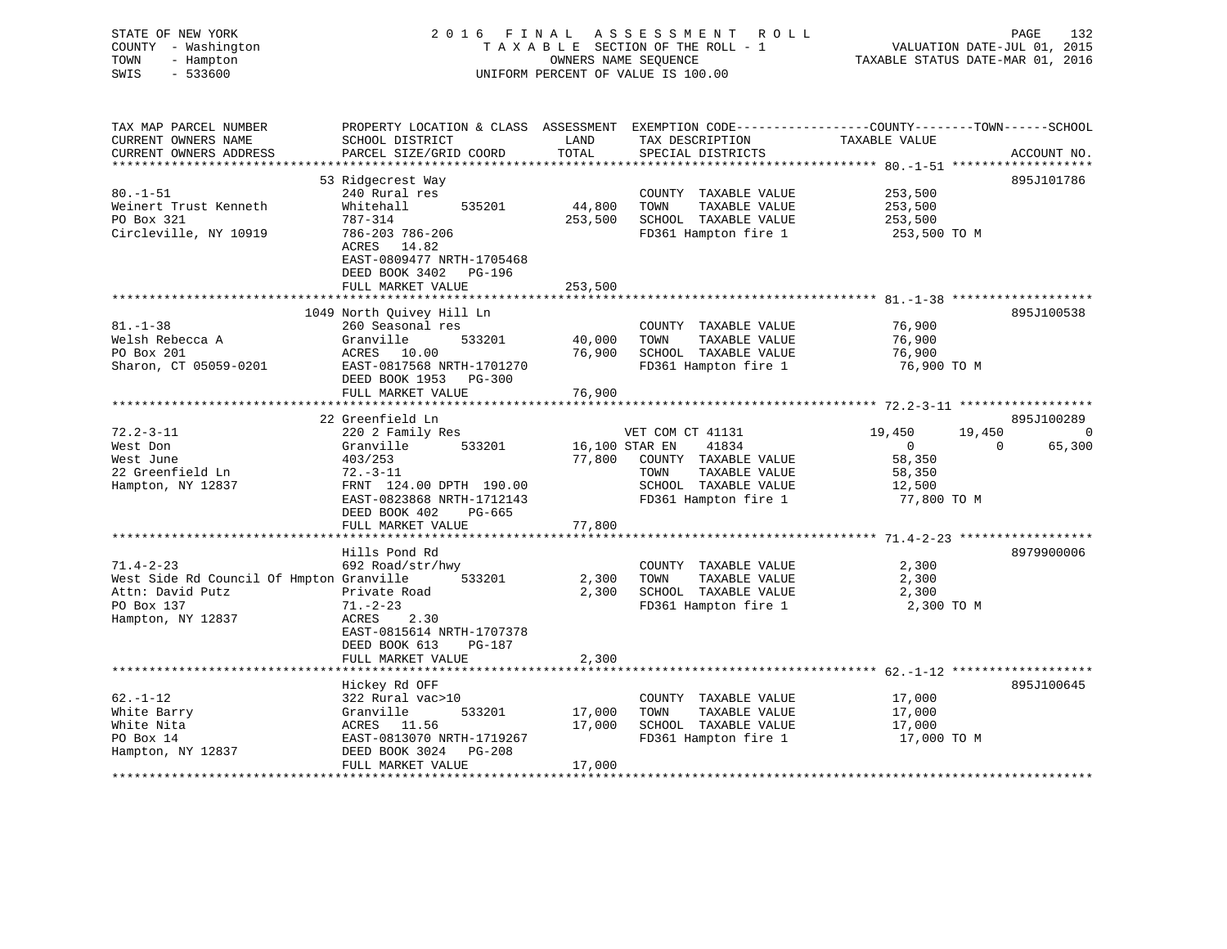| COUNTY - Washington<br>TOWN<br>- Hampton<br>SWIS<br>$-533600$          |                                                                                      |                      | 2016 FINAL ASSESSMENT ROLL<br>TAXABLE SECTION OF THE ROLL - 1<br>OWNERS NAME SEQUENCE<br>UNIFORM PERCENT OF VALUE IS 100.00 | PAGE 132<br>VALUATION DATE-JUL 01, 2015<br>TAXABLE STATUS DATE WATER 100                                                       |
|------------------------------------------------------------------------|--------------------------------------------------------------------------------------|----------------------|-----------------------------------------------------------------------------------------------------------------------------|--------------------------------------------------------------------------------------------------------------------------------|
| TAX MAP PARCEL NUMBER<br>CURRENT OWNERS NAME<br>CURRENT OWNERS ADDRESS | SCHOOL DISTRICT<br>PARCEL SIZE/GRID COORD                                            | LAND<br><b>TOTAL</b> | TAX DESCRIPTION<br>SPECIAL DISTRICTS                                                                                        | PROPERTY LOCATION & CLASS ASSESSMENT EXEMPTION CODE---------------COUNTY-------TOWN-----SCHOOL<br>TAXABLE VALUE<br>ACCOUNT NO. |
|                                                                        |                                                                                      |                      |                                                                                                                             |                                                                                                                                |
|                                                                        | 53 Ridgecrest Way                                                                    |                      |                                                                                                                             | 895J101786                                                                                                                     |
| $80. - 1 - 51$<br>Weinert Trust Kenneth                                | 240 Rural res<br>Whitehall<br>535201                                                 | 44,800               | COUNTY TAXABLE VALUE<br>TOWN<br>TAXABLE VALUE                                                                               | 253,500<br>253,500                                                                                                             |
| PO Box 321                                                             | 787-314                                                                              |                      | 253,500 SCHOOL TAXABLE VALUE                                                                                                | 253,500                                                                                                                        |
| Circleville, NY 10919                                                  | 786-203 786-206<br>ACRES 14.82<br>EAST-0809477 NRTH-1705468<br>DEED BOOK 3402 PG-196 |                      | FD361 Hampton fire 1                                                                                                        | 253,500 TO M                                                                                                                   |
|                                                                        | FULL MARKET VALUE                                                                    | 253,500              |                                                                                                                             |                                                                                                                                |
|                                                                        |                                                                                      |                      |                                                                                                                             |                                                                                                                                |
| $81. - 1 - 38$                                                         | 1049 North Quivey Hill Ln<br>260 Seasonal res                                        |                      |                                                                                                                             | 895J100538<br>76,900                                                                                                           |
| Welsh Rebecca A                                                        | Granville<br>533201                                                                  | 40,000               | COUNTY TAXABLE VALUE<br>TOWN<br>TAXABLE VALUE                                                                               | 76,900                                                                                                                         |
| PO Box 201                                                             | ACRES 10.00                                                                          | 76,900               | SCHOOL TAXABLE VALUE                                                                                                        | 76,900                                                                                                                         |
| Sharon, CT 05059-0201                                                  | EAST-0817568 NRTH-1701270                                                            |                      | FD361 Hampton fire 1                                                                                                        | 76,900 TO M                                                                                                                    |
|                                                                        | DEED BOOK 1953 PG-300                                                                |                      |                                                                                                                             |                                                                                                                                |
|                                                                        | FULL MARKET VALUE                                                                    | 76,900               |                                                                                                                             |                                                                                                                                |
|                                                                        |                                                                                      |                      |                                                                                                                             |                                                                                                                                |
|                                                                        | 22 Greenfield Ln                                                                     |                      |                                                                                                                             | 895J100289                                                                                                                     |
| $72.2 - 3 - 11$                                                        | 220 2 Family Res                                                                     |                      | VET COM CT 41131                                                                                                            | 19,450<br>19,450 0                                                                                                             |
|                                                                        |                                                                                      |                      |                                                                                                                             |                                                                                                                                |
| West Don                                                               | Granville 533201                                                                     |                      | 16,100 STAR EN 41834                                                                                                        | 65,300<br>$\overline{0}$<br>$\Omega$                                                                                           |
| West June                                                              | 403/253                                                                              | 77,800               | COUNTY TAXABLE VALUE                                                                                                        | 58,350                                                                                                                         |
| 22 Greenfield Ln                                                       | $72.-3-11$                                                                           |                      | TOWN<br>TAXABLE VALUE                                                                                                       | 58,350                                                                                                                         |
| Hampton, NY 12837                                                      | FRNT 124.00 DPTH 190.00                                                              |                      | SCHOOL TAXABLE VALUE                                                                                                        | 12,500                                                                                                                         |
|                                                                        | EAST-0823868 NRTH-1712143                                                            |                      | FD361 Hampton fire 1                                                                                                        | 77,800 TO M                                                                                                                    |
|                                                                        | DEED BOOK 402<br>PG-665                                                              |                      |                                                                                                                             |                                                                                                                                |
|                                                                        | FULL MARKET VALUE                                                                    | 77,800               |                                                                                                                             |                                                                                                                                |
|                                                                        | Hills Pond Rd                                                                        |                      |                                                                                                                             | 8979900006                                                                                                                     |
| $71.4 - 2 - 23$                                                        | 692 Road/str/hwy                                                                     |                      | COUNTY TAXABLE VALUE                                                                                                        | 2,300                                                                                                                          |
| West Side Rd Council Of Hmpton Granville                               | 533201                                                                               | 2,300                | TOWN<br>TAXABLE VALUE                                                                                                       | 2,300                                                                                                                          |
| Attn: David Putz                                                       | Private Road                                                                         |                      | 2,300 SCHOOL TAXABLE VALUE                                                                                                  | 2,300                                                                                                                          |
| PO Box 137                                                             | $71. - 2 - 23$                                                                       |                      | FD361 Hampton fire 1                                                                                                        | 2,300 TO M                                                                                                                     |
| Hampton, NY 12837                                                      | ACRES 2.30<br>EAST-0815614 NRTH-1707378<br>DEED BOOK 613<br>PG-187                   |                      |                                                                                                                             |                                                                                                                                |
|                                                                        | FULL MARKET VALUE<br>**************************                                      | 2,300                |                                                                                                                             |                                                                                                                                |
|                                                                        |                                                                                      |                      |                                                                                                                             |                                                                                                                                |
|                                                                        | Hickey Rd OFF                                                                        |                      |                                                                                                                             | 895J100645                                                                                                                     |
| $62. - 1 - 12$                                                         | 322 Rural vac>10                                                                     |                      | COUNTY TAXABLE VALUE                                                                                                        | 17,000                                                                                                                         |
| White Barry                                                            | Granville<br>533201                                                                  | 17,000               | TOWN<br>TAXABLE VALUE                                                                                                       | 17,000                                                                                                                         |
| White Nita<br>PO Box 14                                                | ACRES 11.56<br>EAST-0813070 NRTH-1719267                                             | 17,000               | SCHOOL TAXABLE VALUE<br>FD361 Hampton fire 1                                                                                | 17,000<br>17,000 TO M                                                                                                          |
| Hampton, NY 12837                                                      | DEED BOOK 3024 PG-208                                                                |                      |                                                                                                                             |                                                                                                                                |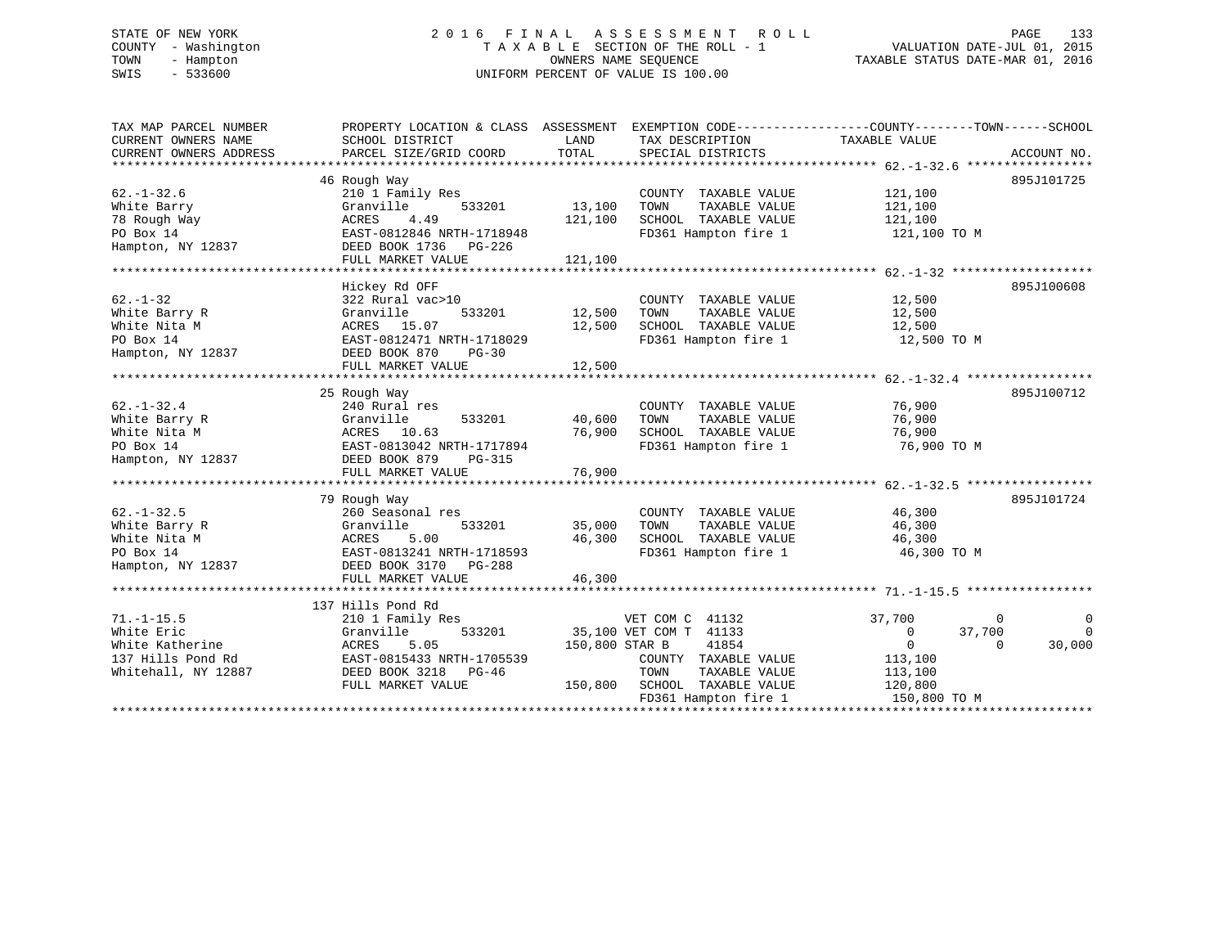# STATE OF NEW YORK 2 0 1 6 F I N A L A S S E S S M E N T R O L L PAGE 133 COUNTY - Washington T A X A B L E SECTION OF THE ROLL - 1 VALUATION DATE-JUL 01, 2015 TOWN - Hampton OWNERS NAME SEQUENCE TAXABLE STATUS DATE-MAR 01, 2016 SWIS - 533600 UNIFORM PERCENT OF VALUE IS 100.00

| TAX MAP PARCEL NUMBER<br>CURRENT OWNERS NAME<br>CURRENT OWNERS ADDRESS                        | PROPERTY LOCATION & CLASS ASSESSMENT<br>SCHOOL DISTRICT<br>PARCEL SIZE/GRID COORD                                                                             | LAND<br>TOTAL                | TAX DESCRIPTION<br>SPECIAL DISTRICTS                                                                                                                | EXEMPTION CODE----------------COUNTY-------TOWN------SCHOOL<br>TAXABLE VALUE                                                  | ACCOUNT NO.             |
|-----------------------------------------------------------------------------------------------|---------------------------------------------------------------------------------------------------------------------------------------------------------------|------------------------------|-----------------------------------------------------------------------------------------------------------------------------------------------------|-------------------------------------------------------------------------------------------------------------------------------|-------------------------|
| $62. - 1 - 32.6$<br>White Barry<br>78 Rough Way<br>PO Box 14<br>Hampton, NY 12837             | 46 Rough Way<br>210 1 Family Res<br>Granville<br>533201<br><b>ACRES</b><br>4.49<br>EAST-0812846 NRTH-1718948<br>DEED BOOK 1736<br>PG-226<br>FULL MARKET VALUE | 13,100<br>121,100<br>121,100 | COUNTY TAXABLE VALUE<br>TAXABLE VALUE<br>TOWN<br>SCHOOL TAXABLE VALUE<br>FD361 Hampton fire 1                                                       | 121,100<br>121,100<br>121,100<br>121,100 TO M                                                                                 | 895J101725              |
| $62 - 1 - 32$<br>White Barry R<br>White Nita M<br>PO Box 14<br>Hampton, NY 12837              | Hickey Rd OFF<br>322 Rural vac>10<br>533201<br>Granville<br>ACRES 15.07<br>EAST-0812471 NRTH-1718029<br>DEED BOOK 870<br>$PG-30$<br>FULL MARKET VALUE         | 12,500<br>12,500<br>12,500   | COUNTY TAXABLE VALUE<br>TOWN<br>TAXABLE VALUE<br>SCHOOL TAXABLE VALUE<br>FD361 Hampton fire 1                                                       | 12,500<br>12,500<br>12,500<br>12,500 TO M                                                                                     | 895J100608              |
| $62. - 1 - 32.4$<br>White Barry R<br>White Nita M<br>PO Box 14<br>Hampton, NY 12837           | 25 Rough Way<br>240 Rural res<br>Granville<br>533201<br>ACRES<br>10.63<br>EAST-0813042 NRTH-1717894<br>DEED BOOK 879<br>PG-315<br>FULL MARKET VALUE           | 40,600<br>76,900<br>76,900   | COUNTY TAXABLE VALUE<br>TAXABLE VALUE<br>TOWN<br>SCHOOL TAXABLE VALUE<br>FD361 Hampton fire 1                                                       | 76,900<br>76,900<br>76,900<br>76,900 TO M                                                                                     | 895J100712              |
| $62. - 1 - 32.5$<br>White Barry R<br>White Nita M<br>PO Box 14<br>Hampton, NY 12837           | 79 Rough Way<br>260 Seasonal res<br>Granville<br>533201<br>ACRES<br>5.00<br>EAST-0813241 NRTH-1718593<br>DEED BOOK 3170 PG-288<br>FULL MARKET VALUE           | 35,000<br>46,300<br>46,300   | COUNTY TAXABLE VALUE<br>TOWN<br>TAXABLE VALUE<br>SCHOOL TAXABLE VALUE<br>FD361 Hampton fire 1                                                       | 46,300<br>46,300<br>46,300<br>46,300 TO M                                                                                     | 895J101724              |
| $71. - 1 - 15.5$<br>White Eric<br>White Katherine<br>137 Hills Pond Rd<br>Whitehall, NY 12887 | 137 Hills Pond Rd<br>210 1 Family Res<br>533201<br>Granville<br>5.05<br>ACRES<br>EAST-0815433 NRTH-1705539<br>DEED BOOK 3218 PG-46<br>FULL MARKET VALUE       | 150,800 STAR B<br>150,800    | VET COM C 41132<br>35,100 VET COM T 41133<br>41854<br>COUNTY TAXABLE VALUE<br>TOWN<br>TAXABLE VALUE<br>SCHOOL TAXABLE VALUE<br>FD361 Hampton fire 1 | 37,700<br>$\mathbf{0}$<br>37,700<br>$\mathbf{0}$<br>$\mathbf{0}$<br>$\Omega$<br>113,100<br>113,100<br>120,800<br>150,800 TO M | 0<br>$\Omega$<br>30,000 |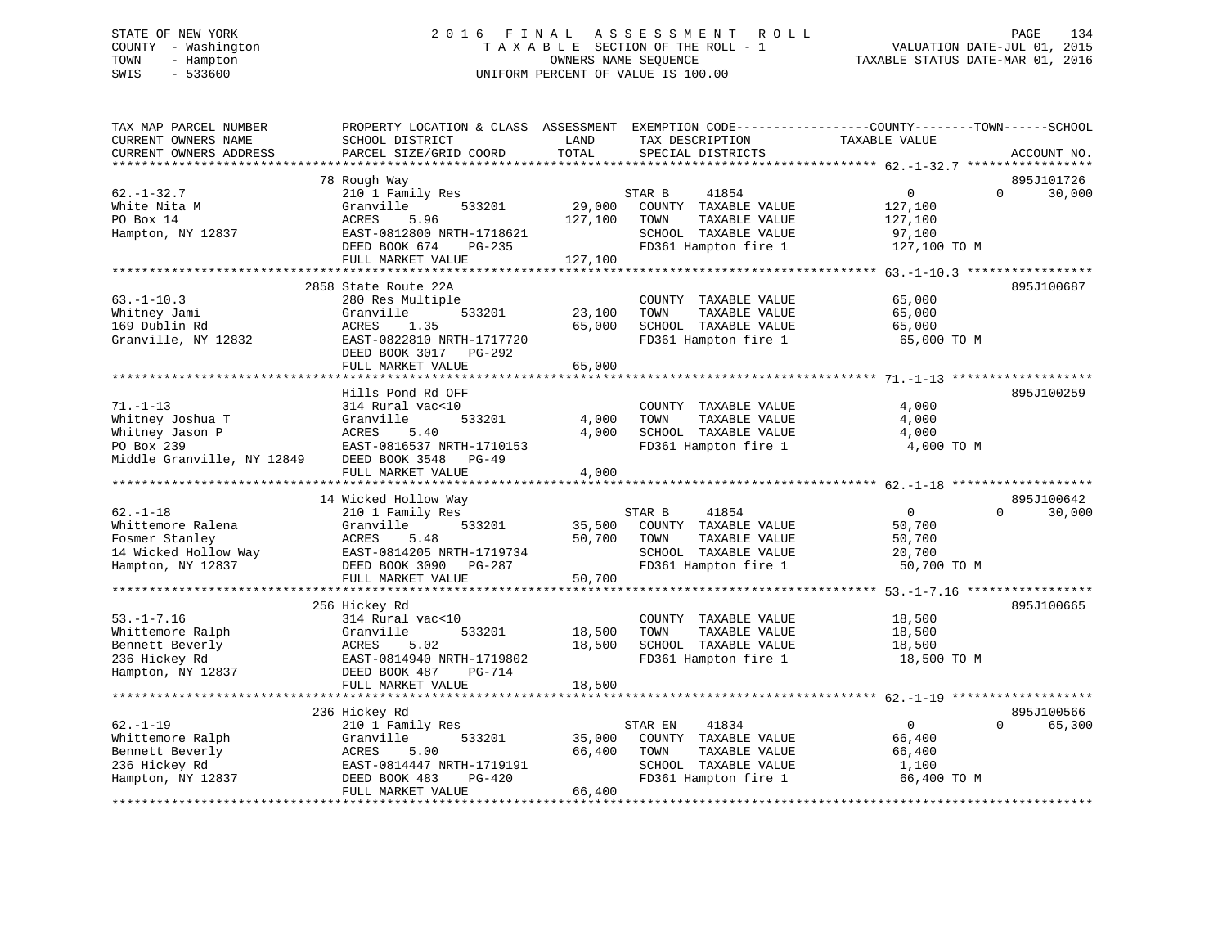# STATE OF NEW YORK 2 0 1 6 F I N A L A S S E S S M E N T R O L L PAGE 134 COUNTY - Washington T A X A B L E SECTION OF THE ROLL - 1 VALUATION DATE-JUL 01, 2015 TOWN - Hampton OWNERS NAME SEQUENCE TAXABLE STATUS DATE-MAR 01, 2016 SWIS - 533600 UNIFORM PERCENT OF VALUE IS 100.00

| TAX MAP PARCEL NUMBER<br>CURRENT OWNERS NAME<br>CURRENT OWNERS ADDRESS                             | PROPERTY LOCATION & CLASS ASSESSMENT<br>SCHOOL DISTRICT<br>PARCEL SIZE/GRID COORD                                                                           | LAND<br>TOTAL                | EXEMPTION CODE-----------------COUNTY-------TOWN------SCHOOL<br>TAX DESCRIPTION<br>SPECIAL DISTRICTS              | TAXABLE VALUE                                               | ACCOUNT NO.                      |
|----------------------------------------------------------------------------------------------------|-------------------------------------------------------------------------------------------------------------------------------------------------------------|------------------------------|-------------------------------------------------------------------------------------------------------------------|-------------------------------------------------------------|----------------------------------|
|                                                                                                    |                                                                                                                                                             |                              |                                                                                                                   |                                                             |                                  |
| $62. - 1 - 32.7$<br>White Nita M<br>PO Box 14<br>Hampton, NY 12837                                 | 78 Rough Way<br>210 1 Family Res<br>Granville<br>533201<br>ACRES<br>5.96<br>EAST-0812800 NRTH-1718621<br>DEED BOOK 674<br>PG-235<br>FULL MARKET VALUE       | 29,000<br>127,100<br>127,100 | STAR B<br>41854<br>COUNTY TAXABLE VALUE<br>TAXABLE VALUE<br>TOWN<br>SCHOOL TAXABLE VALUE<br>FD361 Hampton fire 1  | $\mathbf 0$<br>127,100<br>127,100<br>97,100<br>127,100 TO M | 895J101726<br>$\Omega$<br>30,000 |
|                                                                                                    |                                                                                                                                                             |                              |                                                                                                                   |                                                             |                                  |
| $63. -1 - 10.3$<br>Whitney Jami<br>169 Dublin Rd<br>Granville, NY 12832                            | 2858 State Route 22A<br>280 Res Multiple<br>Granville<br>533201<br>ACRES<br>1.35<br>EAST-0822810 NRTH-1717720<br>DEED BOOK 3017 PG-292<br>FULL MARKET VALUE | 23,100<br>65,000<br>65,000   | COUNTY TAXABLE VALUE<br>TOWN<br>TAXABLE VALUE<br>SCHOOL TAXABLE VALUE<br>FD361 Hampton fire 1                     | 65,000<br>65,000<br>65,000<br>65,000 TO M                   | 895J100687                       |
|                                                                                                    |                                                                                                                                                             |                              |                                                                                                                   |                                                             |                                  |
| $71. - 1 - 13$<br>Whitney Joshua T<br>Whitney Jason P<br>PO Box 239<br>Middle Granville, NY 12849  | Hills Pond Rd OFF<br>314 Rural vac<10<br>Granville<br>533201<br>ACRES<br>5.40<br>EAST-0816537 NRTH-1710153<br>DEED BOOK 3548 PG-49<br>FULL MARKET VALUE     | 4,000<br>4,000<br>4,000      | COUNTY TAXABLE VALUE<br>TAXABLE VALUE<br>TOWN<br>SCHOOL TAXABLE VALUE<br>FD361 Hampton fire 1                     | 4,000<br>4,000<br>4,000<br>4,000 TO M                       | 895J100259                       |
|                                                                                                    |                                                                                                                                                             |                              |                                                                                                                   |                                                             |                                  |
|                                                                                                    | 14 Wicked Hollow Way                                                                                                                                        |                              |                                                                                                                   |                                                             | 895J100642                       |
| $62. - 1 - 18$<br>Whittemore Ralena<br>Fosmer Stanley<br>14 Wicked Hollow Way<br>Hampton, NY 12837 | 210 1 Family Res<br>Granville<br>533201<br>ACRES<br>5.48<br>EAST-0814205 NRTH-1719734<br>DEED BOOK 3090 PG-287<br>FULL MARKET VALUE                         | 35,500<br>50,700<br>50,700   | STAR B<br>41854<br>COUNTY TAXABLE VALUE<br>TOWN<br>TAXABLE VALUE<br>SCHOOL TAXABLE VALUE<br>FD361 Hampton fire 1  | $\overline{0}$<br>50,700<br>50,700<br>20,700<br>50,700 TO M | 30,000<br>$\Omega$               |
|                                                                                                    |                                                                                                                                                             |                              |                                                                                                                   |                                                             |                                  |
| $53. - 1 - 7.16$<br>Whittemore Ralph<br>Bennett Beverly<br>236 Hickey Rd<br>Hampton, NY 12837      | 256 Hickey Rd<br>314 Rural vac<10<br>Granville<br>533201<br>5.02<br>ACRES<br>EAST-0814940 NRTH-1719802<br>DEED BOOK 487<br>PG-714                           | 18,500<br>18,500             | COUNTY TAXABLE VALUE<br>TAXABLE VALUE<br>TOWN<br>SCHOOL TAXABLE VALUE<br>FD361 Hampton fire 1                     | 18,500<br>18,500<br>18,500<br>18,500 TO M                   | 895J100665                       |
|                                                                                                    | FULL MARKET VALUE                                                                                                                                           | 18,500                       |                                                                                                                   |                                                             |                                  |
|                                                                                                    |                                                                                                                                                             |                              |                                                                                                                   |                                                             |                                  |
| $62. - 1 - 19$<br>Whittemore Ralph<br>Bennett Beverly<br>236 Hickey Rd<br>Hampton, NY 12837        | 236 Hickey Rd<br>210 1 Family Res<br>Granville<br>533201<br>ACRES<br>5.00<br>EAST-0814447 NRTH-1719191<br>DEED BOOK 483<br>PG-420<br>FULL MARKET VALUE      | 35,000<br>66,400<br>66,400   | STAR EN<br>41834<br>COUNTY TAXABLE VALUE<br>TAXABLE VALUE<br>TOWN<br>SCHOOL TAXABLE VALUE<br>FD361 Hampton fire 1 | $\overline{0}$<br>66,400<br>66,400<br>1,100<br>66,400 TO M  | 895J100566<br>$\Omega$<br>65,300 |
|                                                                                                    |                                                                                                                                                             |                              |                                                                                                                   |                                                             |                                  |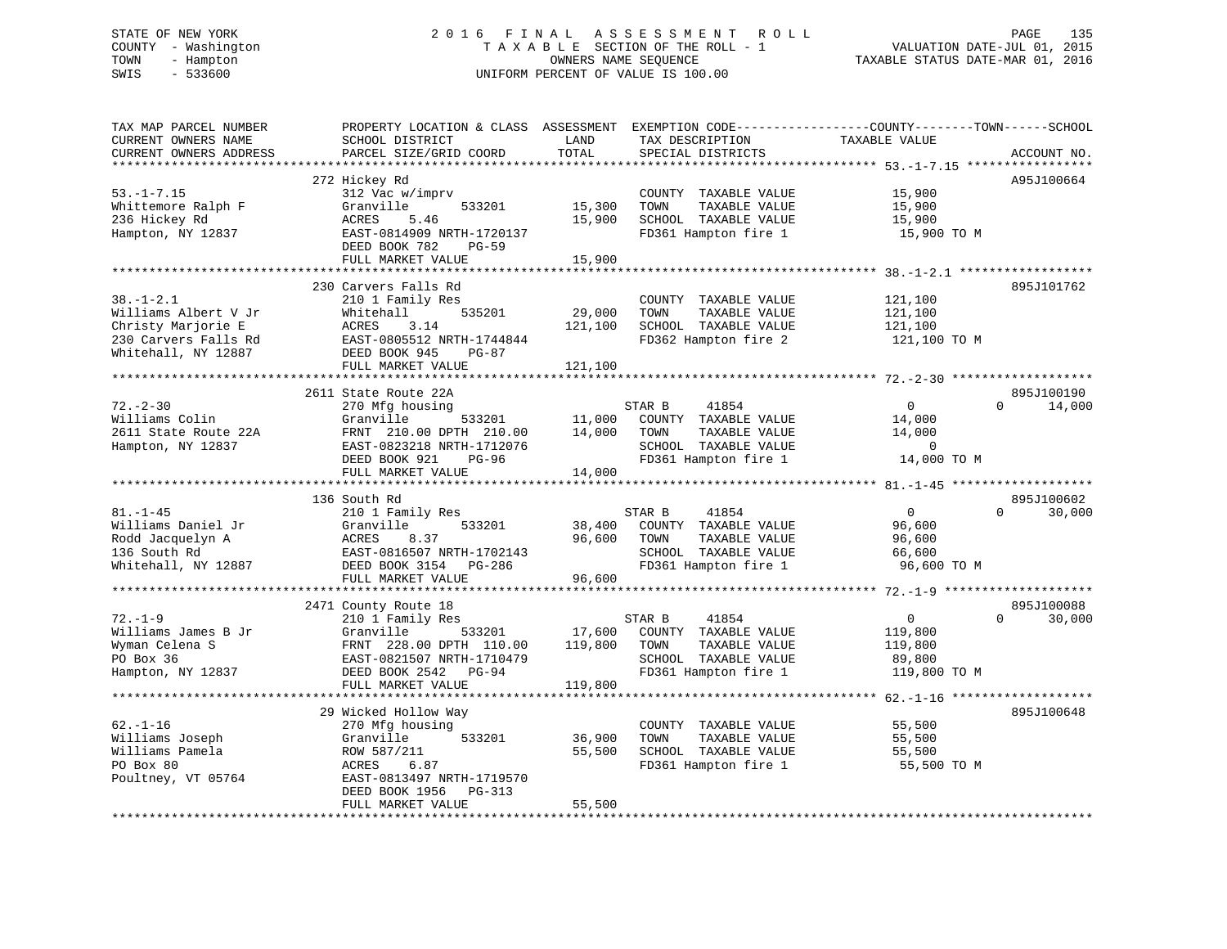# STATE OF NEW YORK 2 0 1 6 F I N A L A S S E S S M E N T R O L L PAGE 135 COUNTY - Washington T A X A B L E SECTION OF THE ROLL - 1 VALUATION DATE-JUL 01, 2015 TOWN - Hampton OWNERS NAME SEQUENCE TAXABLE STATUS DATE-MAR 01, 2016 SWIS - 533600 UNIFORM PERCENT OF VALUE IS 100.00

| TAX MAP PARCEL NUMBER<br>CURRENT OWNERS NAME<br>CURRENT OWNERS ADDRESS | PROPERTY LOCATION & CLASS ASSESSMENT<br>SCHOOL DISTRICT<br>PARCEL SIZE/GRID COORD | LAND<br>TOTAL | TAX DESCRIPTION<br>SPECIAL DISTRICTS | EXEMPTION CODE-----------------COUNTY-------TOWN------SCHOOL<br>TAXABLE VALUE | ACCOUNT NO.        |
|------------------------------------------------------------------------|-----------------------------------------------------------------------------------|---------------|--------------------------------------|-------------------------------------------------------------------------------|--------------------|
| **********************                                                 |                                                                                   |               |                                      |                                                                               |                    |
|                                                                        | 272 Hickey Rd                                                                     |               |                                      |                                                                               | A95J100664         |
| $53. -1 - 7.15$                                                        | 312 Vac w/imprv                                                                   |               | COUNTY TAXABLE VALUE                 | 15,900                                                                        |                    |
| Whittemore Ralph F                                                     | Granville<br>533201                                                               | 15,300        | TOWN<br>TAXABLE VALUE                | 15,900                                                                        |                    |
| 236 Hickey Rd                                                          | ACRES<br>5.46                                                                     | 15,900        | SCHOOL TAXABLE VALUE                 | 15,900                                                                        |                    |
| Hampton, NY 12837                                                      | EAST-0814909 NRTH-1720137                                                         |               | FD361 Hampton fire 1                 | 15,900 TO M                                                                   |                    |
|                                                                        | DEED BOOK 782<br>$PG-59$                                                          |               |                                      |                                                                               |                    |
|                                                                        | FULL MARKET VALUE                                                                 | 15,900        |                                      |                                                                               |                    |
|                                                                        |                                                                                   |               |                                      |                                                                               |                    |
|                                                                        | 230 Carvers Falls Rd                                                              |               |                                      |                                                                               | 895J101762         |
| $38. - 1 - 2.1$                                                        | 210 1 Family Res                                                                  |               | COUNTY TAXABLE VALUE                 | 121,100                                                                       |                    |
| Williams Albert V Jr                                                   | Whitehall<br>535201                                                               | 29,000        | TOWN<br>TAXABLE VALUE                | 121,100                                                                       |                    |
| Christy Marjorie E                                                     | <b>ACRES</b><br>3.14                                                              | 121,100       | SCHOOL TAXABLE VALUE                 | 121,100                                                                       |                    |
| 230 Carvers Falls Rd                                                   | EAST-0805512 NRTH-1744844                                                         |               | FD362 Hampton fire 2                 | 121,100 TO M                                                                  |                    |
| Whitehall, NY 12887                                                    | DEED BOOK 945<br>$PG-87$                                                          |               |                                      |                                                                               |                    |
| *********************                                                  | FULL MARKET VALUE                                                                 | 121,100       |                                      |                                                                               |                    |
|                                                                        |                                                                                   |               |                                      |                                                                               |                    |
|                                                                        | 2611 State Route 22A                                                              |               |                                      |                                                                               | 895J100190         |
| $72. - 2 - 30$                                                         | 270 Mfg housing                                                                   |               | STAR B<br>41854                      | $\mathsf{O}$                                                                  | 14,000<br>$\Omega$ |
| Williams Colin                                                         | Granville<br>533201                                                               | 11,000        | COUNTY TAXABLE VALUE                 | 14,000                                                                        |                    |
| 2611 State Route 22A                                                   | FRNT 210.00 DPTH 210.00                                                           | 14,000        | TOWN<br>TAXABLE VALUE                | 14,000                                                                        |                    |
| Hampton, NY 12837                                                      | EAST-0823218 NRTH-1712076                                                         |               | SCHOOL TAXABLE VALUE                 | 0<br>14,000 TO M                                                              |                    |
|                                                                        | DEED BOOK 921<br>$PG-96$<br>FULL MARKET VALUE                                     | 14,000        | FD361 Hampton fire 1                 |                                                                               |                    |
|                                                                        | **********************                                                            | **********    |                                      |                                                                               |                    |
|                                                                        | 136 South Rd                                                                      |               |                                      |                                                                               | 895J100602         |
| $81. - 1 - 45$                                                         | 210 1 Family Res                                                                  |               | STAR B<br>41854                      | $\mathbf{0}$                                                                  | $\Omega$<br>30,000 |
| Williams Daniel Jr                                                     | Granville<br>533201                                                               | 38,400        | COUNTY TAXABLE VALUE                 | 96,600                                                                        |                    |
| Rodd Jacquelyn A                                                       | ACRES<br>8.37                                                                     | 96,600        | TOWN<br>TAXABLE VALUE                | 96,600                                                                        |                    |
| 136 South Rd                                                           | EAST-0816507 NRTH-1702143                                                         |               | SCHOOL TAXABLE VALUE                 | 66,600                                                                        |                    |
| Whitehall, NY 12887                                                    | DEED BOOK 3154 PG-286                                                             |               | FD361 Hampton fire 1                 | 96,600 TO M                                                                   |                    |
|                                                                        | FULL MARKET VALUE                                                                 | 96,600        |                                      |                                                                               |                    |
|                                                                        |                                                                                   |               |                                      |                                                                               |                    |
|                                                                        | 2471 County Route 18                                                              |               |                                      |                                                                               | 895J100088         |
| $72. - 1 - 9$                                                          | 210 1 Family Res                                                                  |               | STAR B<br>41854                      | $\mathsf 0$                                                                   | $\Omega$<br>30,000 |
| Williams James B Jr                                                    | Granville<br>533201                                                               | 17,600        | COUNTY TAXABLE VALUE                 | 119,800                                                                       |                    |
| Wyman Celena S                                                         | FRNT 228.00 DPTH 110.00                                                           | 119,800       | TOWN<br>TAXABLE VALUE                | 119,800                                                                       |                    |
| PO Box 36                                                              | EAST-0821507 NRTH-1710479                                                         |               | SCHOOL TAXABLE VALUE                 | 89,800                                                                        |                    |
| Hampton, NY 12837                                                      | DEED BOOK 2542 PG-94                                                              |               | FD361 Hampton fire 1                 | 119,800 TO M                                                                  |                    |
|                                                                        | FULL MARKET VALUE                                                                 | 119,800       |                                      |                                                                               |                    |
|                                                                        |                                                                                   |               |                                      | $62 - 1 - 16$                                                                 |                    |
|                                                                        | 29 Wicked Hollow Way                                                              |               |                                      |                                                                               | 895J100648         |
| $62. - 1 - 16$                                                         | 270 Mfg housing                                                                   |               | COUNTY TAXABLE VALUE                 | 55,500                                                                        |                    |
| Williams Joseph                                                        | 533201<br>Granville                                                               | 36,900        | TOWN<br>TAXABLE VALUE                | 55,500                                                                        |                    |
| Williams Pamela                                                        | ROW 587/211                                                                       | 55,500        | SCHOOL TAXABLE VALUE                 | 55,500                                                                        |                    |
| PO Box 80                                                              | ACRES<br>6.87                                                                     |               | FD361 Hampton fire 1                 | 55,500 TO M                                                                   |                    |
| Poultney, VT 05764                                                     | EAST-0813497 NRTH-1719570                                                         |               |                                      |                                                                               |                    |
|                                                                        | DEED BOOK 1956<br>PG-313                                                          |               |                                      |                                                                               |                    |
|                                                                        | FULL MARKET VALUE                                                                 | 55,500        |                                      |                                                                               |                    |
|                                                                        |                                                                                   |               |                                      |                                                                               |                    |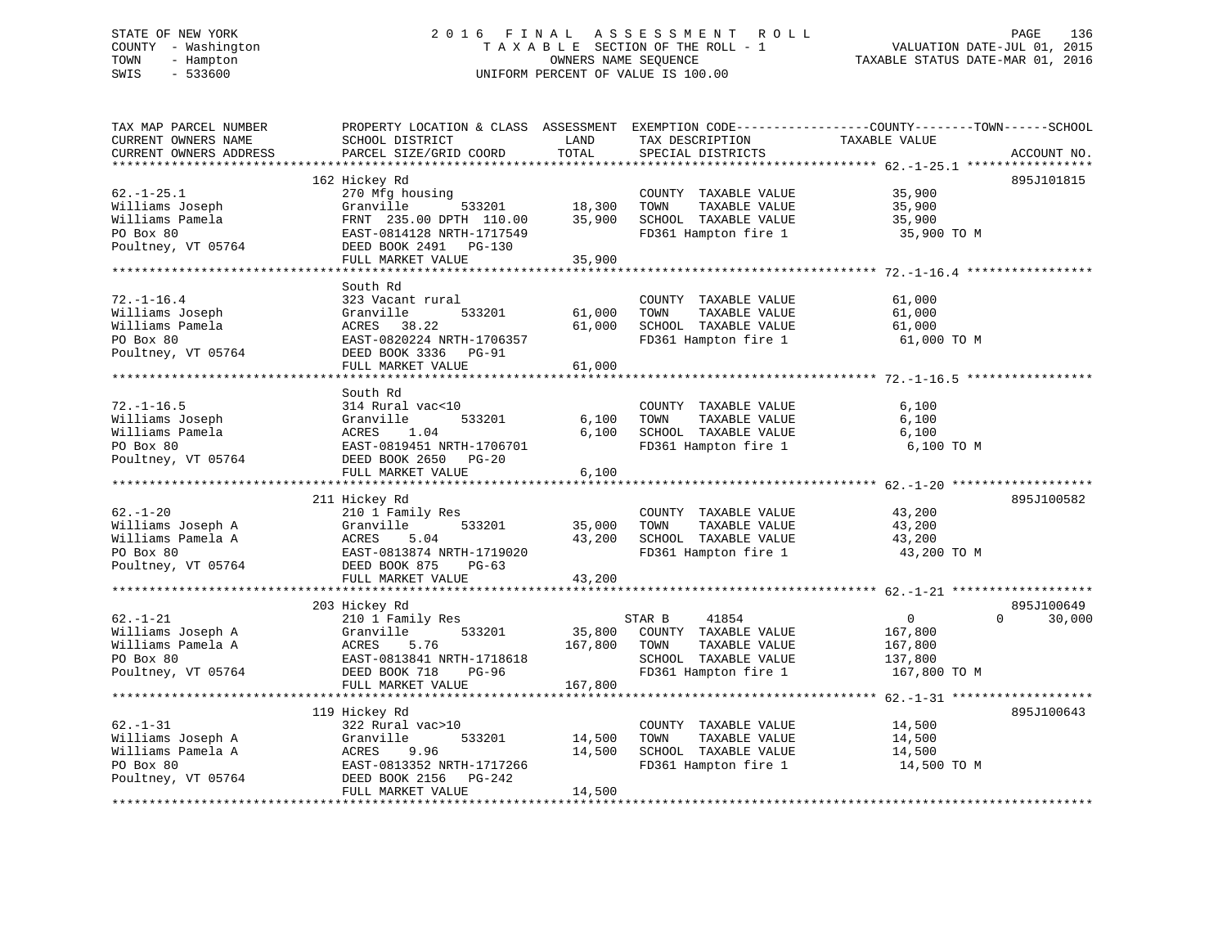# STATE OF NEW YORK 2 0 1 6 F I N A L A S S E S S M E N T R O L L PAGE 136 COUNTY - Washington T A X A B L E SECTION OF THE ROLL - 1 VALUATION DATE-JUL 01, 2015 TOWN - Hampton OWNERS NAME SEQUENCE TAXABLE STATUS DATE-MAR 01, 2016 SWIS - 533600 UNIFORM PERCENT OF VALUE IS 100.00

| TAX MAP PARCEL NUMBER<br>CURRENT OWNERS NAME | PROPERTY LOCATION & CLASS ASSESSMENT EXEMPTION CODE----------------COUNTY-------TOWN-----SCHOOL<br>SCHOOL DISTRICT | LAND    | TAX DESCRIPTION       | TAXABLE VALUE              |             |
|----------------------------------------------|--------------------------------------------------------------------------------------------------------------------|---------|-----------------------|----------------------------|-------------|
| CURRENT OWNERS ADDRESS                       | PARCEL SIZE/GRID COORD                                                                                             | TOTAL   | SPECIAL DISTRICTS     |                            | ACCOUNT NO. |
|                                              |                                                                                                                    |         |                       |                            |             |
|                                              | 162 Hickey Rd                                                                                                      |         |                       |                            | 895J101815  |
| $62. - 1 - 25.1$                             | 270 Mfg housing                                                                                                    |         | COUNTY TAXABLE VALUE  | 35,900                     |             |
| Williams Joseph                              | 533201<br>Granville                                                                                                | 18,300  | TOWN<br>TAXABLE VALUE | 35,900                     |             |
| Williams Pamela                              | FRNT 235.00 DPTH 110.00                                                                                            | 35,900  | SCHOOL TAXABLE VALUE  | 35,900                     |             |
| PO Box 80                                    | EAST-0814128 NRTH-1717549                                                                                          |         | FD361 Hampton fire 1  | 35,900 TO M                |             |
| Poultney, VT 05764                           | DEED BOOK 2491 PG-130                                                                                              |         |                       |                            |             |
|                                              | FULL MARKET VALUE                                                                                                  | 35,900  |                       |                            |             |
|                                              |                                                                                                                    |         |                       |                            |             |
|                                              | South Rd                                                                                                           |         |                       |                            |             |
| $72. - 1 - 16.4$                             | 323 Vacant rural                                                                                                   |         | COUNTY TAXABLE VALUE  | 61,000                     |             |
| Williams Joseph                              | 533201<br>Granville                                                                                                | 61,000  | TAXABLE VALUE<br>TOWN | 61,000                     |             |
| Williams Pamela                              | ACRES 38.22                                                                                                        | 61,000  | SCHOOL TAXABLE VALUE  | 61,000                     |             |
| PO Box 80                                    | EAST-0820224 NRTH-1706357                                                                                          |         | FD361 Hampton fire 1  | 61,000 TO M                |             |
| Poultney, VT 05764                           | DEED BOOK 3336 PG-91                                                                                               |         |                       |                            |             |
|                                              | FULL MARKET VALUE                                                                                                  | 61,000  |                       |                            |             |
|                                              |                                                                                                                    |         |                       |                            |             |
|                                              | South Rd                                                                                                           |         |                       |                            |             |
| $72. - 1 - 16.5$                             | 314 Rural vac<10                                                                                                   |         | COUNTY TAXABLE VALUE  | 6,100                      |             |
| Williams Joseph                              | 533201<br>Granville                                                                                                | 6,100   | TOWN<br>TAXABLE VALUE | 6,100                      |             |
| Williams Pamela                              | ACRES<br>1.04<br>EAST-0819451 NRTH-1706701                                                                         | 6,100   | SCHOOL TAXABLE VALUE  | 6,100<br>6,100 TO M        |             |
| PO Box 80                                    |                                                                                                                    |         | FD361 Hampton fire 1  |                            |             |
| Poultney, VT 05764                           | DEED BOOK 2650 PG-20<br>FULL MARKET VALUE                                                                          |         |                       |                            |             |
|                                              |                                                                                                                    | 6,100   |                       |                            |             |
|                                              | 211 Hickey Rd                                                                                                      |         |                       |                            | 895J100582  |
| $62. - 1 - 20$                               | 210 1 Family Res                                                                                                   |         | COUNTY TAXABLE VALUE  | 43,200                     |             |
| Williams Joseph A                            | 533201<br>Granville                                                                                                | 35,000  | TAXABLE VALUE<br>TOWN | 43,200                     |             |
| Williams Pamela A                            | 5.04<br>ACRES                                                                                                      | 43,200  | SCHOOL TAXABLE VALUE  | 43,200                     |             |
| PO Box 80                                    | EAST-0813874 NRTH-1719020                                                                                          |         | FD361 Hampton fire 1  | 43,200 TO M                |             |
| Poultney, VT 05764                           | DEED BOOK 875<br>$PG-63$                                                                                           |         |                       |                            |             |
|                                              | FULL MARKET VALUE                                                                                                  | 43,200  |                       |                            |             |
|                                              |                                                                                                                    |         |                       |                            |             |
|                                              | 203 Hickey Rd                                                                                                      |         |                       |                            | 895J100649  |
| $62. - 1 - 21$                               | 210 1 Family Res                                                                                                   |         | STAR B<br>41854       | $\overline{0}$<br>$\Omega$ | 30,000      |
| Williams Joseph A                            | Granville<br>533201                                                                                                | 35,800  | COUNTY TAXABLE VALUE  | 167,800                    |             |
| Williams Pamela A                            | 5.76<br>ACRES                                                                                                      | 167,800 | TAXABLE VALUE<br>TOWN | 167,800                    |             |
| PO Box 80                                    | EAST-0813841 NRTH-1718618                                                                                          |         | SCHOOL TAXABLE VALUE  | 137,800                    |             |
| Poultney, VT 05764                           | DEED BOOK 718<br>PG-96                                                                                             |         | FD361 Hampton fire 1  | 167,800 TO M               |             |
|                                              | FULL MARKET VALUE                                                                                                  | 167,800 |                       |                            |             |
|                                              |                                                                                                                    |         |                       |                            |             |
|                                              | 119 Hickey Rd                                                                                                      |         |                       |                            | 895J100643  |
| $62. - 1 - 31$                               | 322 Rural vac>10                                                                                                   |         | COUNTY TAXABLE VALUE  | 14,500                     |             |
| Williams Joseph A                            | Granville<br>533201                                                                                                | 14,500  | TOWN<br>TAXABLE VALUE | 14,500                     |             |
| Williams Pamela A                            | 9.96<br>ACRES                                                                                                      | 14,500  | SCHOOL TAXABLE VALUE  | 14,500                     |             |
| PO Box 80                                    | EAST-0813352 NRTH-1717266                                                                                          |         | FD361 Hampton fire 1  | 14,500 TO M                |             |
| Poultney, VT 05764                           | DEED BOOK 2156<br>PG-242                                                                                           |         |                       |                            |             |
|                                              | FULL MARKET VALUE                                                                                                  | 14,500  |                       |                            |             |
|                                              |                                                                                                                    |         |                       |                            |             |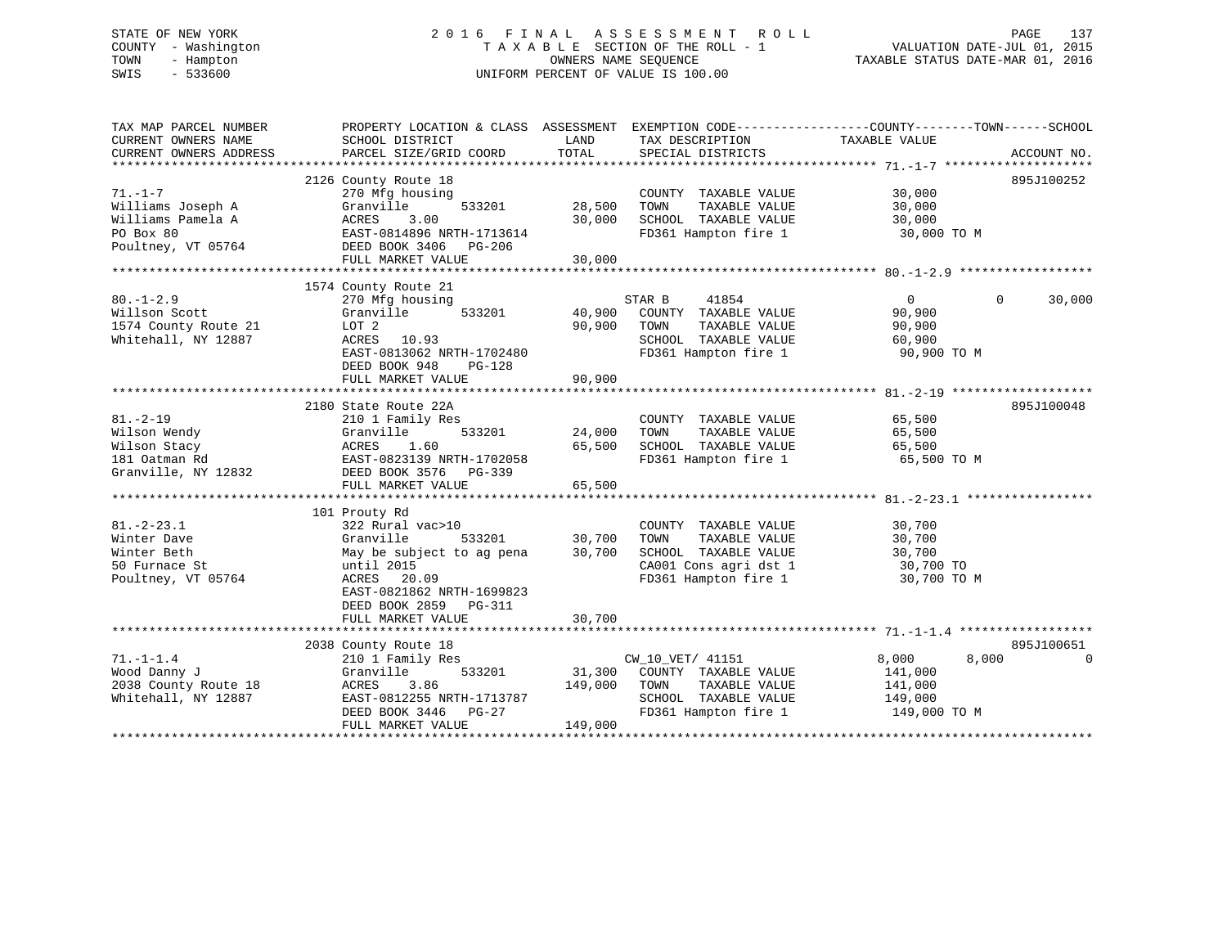# STATE OF NEW YORK 2 0 1 6 F I N A L A S S E S S M E N T R O L L PAGE 137 COUNTY - Washington T A X A B L E SECTION OF THE ROLL - 1 VALUATION DATE-JUL 01, 2015 TOWN - Hampton OWNERS NAME SEQUENCE TAXABLE STATUS DATE-MAR 01, 2016 SWIS - 533600 UNIFORM PERCENT OF VALUE IS 100.00

| TAX MAP PARCEL NUMBER<br>CURRENT OWNERS NAME<br>CURRENT OWNERS ADDRESS                     | PROPERTY LOCATION & CLASS ASSESSMENT EXEMPTION CODE---------------COUNTY-------TOWN------SCHOOL<br>SCHOOL DISTRICT<br>PARCEL SIZE/GRID COORD                                                  | LAND<br>TOTAL              | TAX DESCRIPTION TAXABLE VALUE<br>SPECIAL DISTRICTS                                                                       |                                                                               | ACCOUNT NO.            |
|--------------------------------------------------------------------------------------------|-----------------------------------------------------------------------------------------------------------------------------------------------------------------------------------------------|----------------------------|--------------------------------------------------------------------------------------------------------------------------|-------------------------------------------------------------------------------|------------------------|
| $71. - 1 - 7$<br>Williams Joseph A<br>Williams Pamela A<br>PO Box 80<br>Poultney, VT 05764 | 2126 County Route 18<br>270 Mfg housing<br>Granville<br>533201<br>ACRES<br>3.00<br>EAST-0814896 NRTH-1713614<br>DEED BOOK 3406 PG-206<br>FULL MARKET VALUE                                    | 28,500<br>30,000<br>30,000 | COUNTY TAXABLE VALUE<br>TOWN<br>TAXABLE VALUE<br>SCHOOL TAXABLE VALUE<br>FD361 Hampton fire 1                            | 30,000<br>30,000<br>30,000<br>30,000 TO M                                     | 895J100252             |
| $80. - 1 - 2.9$<br>Willson Scott<br>1574 County Route 21<br>Whitehall, NY 12887            | 1574 County Route 21<br>270 Mfg housing<br>Granville<br>533201<br>LOT 2<br>ACRES 10.93<br>EAST-0813062 NRTH-1702480<br>DEED BOOK 948<br>PG-128<br>FULL MARKET VALUE                           | 40,900<br>90,900<br>90,900 | STAR B<br>41854<br>COUNTY TAXABLE VALUE<br>TOWN<br>TAXABLE VALUE<br>SCHOOL TAXABLE VALUE<br>FD361 Hampton fire 1         | $0 \qquad \qquad$<br>$\mathbf 0$<br>90,900<br>90,900<br>60,900<br>90,900 TO M | 30,000                 |
| $81. - 2 - 19$<br>Wilson Wendy<br>Wilson Stacy<br>181 Oatman Rd<br>Granville, NY 12832     | 2180 State Route 22A<br>210 1 Family Res<br>533201<br>Granville<br>ACRES<br>1.60<br>EAST-0823139 NRTH-1702058<br>DEED BOOK 3576 PG-339<br>FULL MARKET VALUE                                   | 24,000<br>65,500<br>65,500 | COUNTY TAXABLE VALUE<br>TAXABLE VALUE<br>TOWN<br>SCHOOL TAXABLE VALUE<br>FD361 Hampton fire 1 65,500 TO M                | 65,500<br>65,500<br>65,500                                                    | 895J100048             |
| $81. - 2 - 23.1$<br>Winter Dave<br>Winter Beth<br>50 Furnace St<br>Poultney, VT 05764      | 101 Prouty Rd<br>322 Rural vac>10<br>533201<br>Granville<br>May be subject to ag pena<br>until 2015<br>ACRES 20.09<br>EAST-0821862 NRTH-1699823<br>DEED BOOK 2859 PG-311<br>FULL MARKET VALUE | 30,700<br>30,700<br>30,700 | COUNTY TAXABLE VALUE<br>TAXABLE VALUE<br>TOWN<br>SCHOOL TAXABLE VALUE<br>CA001 Cons agri dst 1<br>FD361 Hampton fire 1   | 30,700<br>30,700<br>30,700<br>30,700 TO<br>30,700 TO M                        |                        |
| $71. - 1 - 1.4$<br>Wood Danny J<br>2038 County Route 18<br>Whitehall, NY 12887             | 2038 County Route 18<br>210 1 Family Res<br>533201<br>Granville<br>ACRES<br>3.86<br>EAST-0812255 NRTH-1713787<br>DEED BOOK 3446 PG-27<br>FULL MARKET VALUE                                    | 149,000<br>149,000         | CW_10_VET/ 41151<br>31,300 COUNTY TAXABLE VALUE<br>TOWN<br>TAXABLE VALUE<br>SCHOOL TAXABLE VALUE<br>FD361 Hampton fire 1 | 8,000<br>8,000<br>141,000<br>141,000<br>149,000<br>149,000 TO M               | 895J100651<br>$\Omega$ |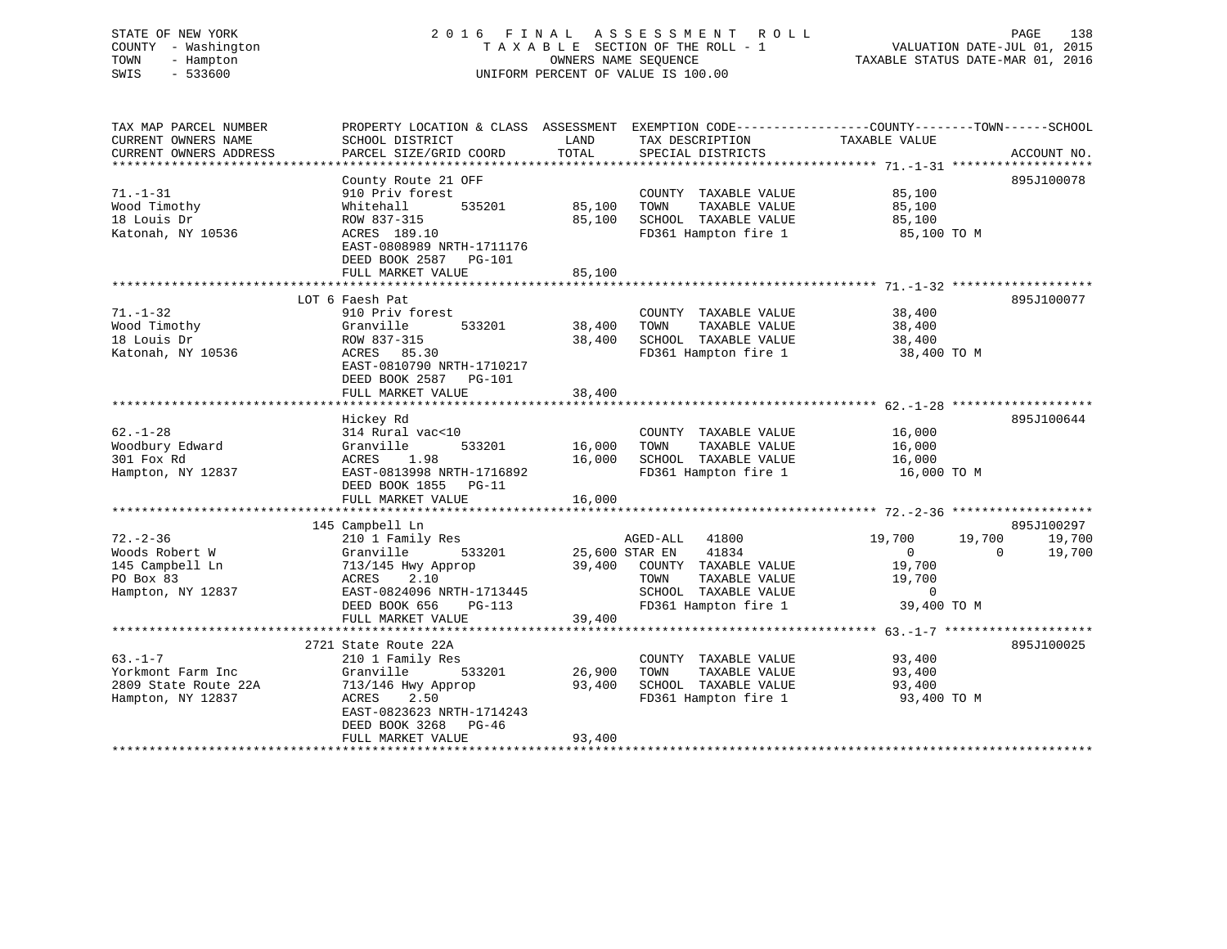# STATE OF NEW YORK 2 0 1 6 F I N A L A S S E S S M E N T R O L L PAGE 138 COUNTY - Washington T A X A B L E SECTION OF THE ROLL - 1 VALUATION DATE-JUL 01, 2015 TOWN - Hampton OWNERS NAME SEQUENCE TAXABLE STATUS DATE-MAR 01, 2016 SWIS - 533600 UNIFORM PERCENT OF VALUE IS 100.00

| TAX MAP PARCEL NUMBER<br>CURRENT OWNERS NAME<br>CURRENT OWNERS ADDRESS                | PROPERTY LOCATION & CLASS ASSESSMENT<br>SCHOOL DISTRICT<br>PARCEL SIZE/GRID COORD                                                                         | LAND<br>TOTAL              | EXEMPTION CODE-----------------COUNTY-------TOWN------SCHOOL<br>TAX DESCRIPTION<br>SPECIAL DISTRICTS                     | TAXABLE VALUE                                                              | ACCOUNT NO.                                          |
|---------------------------------------------------------------------------------------|-----------------------------------------------------------------------------------------------------------------------------------------------------------|----------------------------|--------------------------------------------------------------------------------------------------------------------------|----------------------------------------------------------------------------|------------------------------------------------------|
| $71. - 1 - 31$                                                                        | County Route 21 OFF<br>910 Priv forest                                                                                                                    |                            | COUNTY TAXABLE VALUE                                                                                                     | 85,100                                                                     | 895J100078                                           |
| Wood Timothy<br>18 Louis Dr<br>Katonah, NY 10536                                      | 535201<br>Whitehall<br>ROW 837-315<br>ACRES 189.10<br>EAST-0808989 NRTH-1711176<br>DEED BOOK 2587 PG-101                                                  | 85,100<br>85,100           | TOWN<br>TAXABLE VALUE<br>SCHOOL TAXABLE VALUE<br>FD361 Hampton fire 1                                                    | 85,100<br>85,100<br>85,100 TO M                                            |                                                      |
|                                                                                       | FULL MARKET VALUE                                                                                                                                         | 85,100                     |                                                                                                                          |                                                                            |                                                      |
|                                                                                       | LOT 6 Faesh Pat                                                                                                                                           |                            |                                                                                                                          |                                                                            | 895J100077                                           |
| $71. - 1 - 32$<br>Wood Timothy<br>18 Louis Dr<br>Katonah, NY 10536                    | 910 Priv forest<br>533201<br>Granville<br>ROW 837-315<br>85.30<br>ACRES                                                                                   | 38,400<br>38,400           | COUNTY TAXABLE VALUE<br>TAXABLE VALUE<br>TOWN<br>SCHOOL TAXABLE VALUE<br>FD361 Hampton fire 1                            | 38,400<br>38,400<br>38,400<br>38,400 TO M                                  |                                                      |
|                                                                                       | EAST-0810790 NRTH-1710217<br>DEED BOOK 2587 PG-101<br>FULL MARKET VALUE                                                                                   | 38,400                     |                                                                                                                          |                                                                            |                                                      |
|                                                                                       | Hickey Rd                                                                                                                                                 |                            |                                                                                                                          |                                                                            | 895J100644                                           |
| $62. - 1 - 28$<br>Woodbury Edward<br>301 Fox Rd<br>Hampton, NY 12837                  | 314 Rural vac<10<br>533201<br>Granville<br>1.98<br>ACRES<br>EAST-0813998 NRTH-1716892<br>DEED BOOK 1855 PG-11<br>FULL MARKET VALUE                        | 16,000<br>16,000<br>16,000 | COUNTY TAXABLE VALUE<br>TAXABLE VALUE<br>TOWN<br>SCHOOL TAXABLE VALUE<br>FD361 Hampton fire 1                            | 16,000<br>16,000<br>16,000<br>16,000 TO M                                  |                                                      |
|                                                                                       |                                                                                                                                                           |                            |                                                                                                                          |                                                                            |                                                      |
| $72. - 2 - 36$<br>Woods Robert W<br>145 Campbell Ln<br>PO Box 83<br>Hampton, NY 12837 | 145 Campbell Ln<br>210 1 Family Res<br>Granville<br>533201<br>713/145 Hwy Approp<br>ACRES<br>2.10<br>EAST-0824096 NRTH-1713445<br>DEED BOOK 656<br>PG-113 | 25,600 STAR EN<br>39,400   | AGED-ALL 41800<br>41834<br>COUNTY TAXABLE VALUE<br>TAXABLE VALUE<br>TOWN<br>SCHOOL TAXABLE VALUE<br>FD361 Hampton fire 1 | 19,700<br>$\overline{0}$<br>19,700<br>19,700<br>$\mathbf 0$<br>39,400 TO M | 895J100297<br>19,700<br>19,700<br>$\Omega$<br>19,700 |
|                                                                                       | FULL MARKET VALUE                                                                                                                                         | 39,400                     |                                                                                                                          |                                                                            |                                                      |
|                                                                                       | 2721 State Route 22A                                                                                                                                      |                            |                                                                                                                          |                                                                            | 895J100025                                           |
| $63. - 1 - 7$<br>Yorkmont Farm Inc<br>2809 State Route 22A<br>Hampton, NY 12837       | 210 1 Family Res<br>533201<br>Granville<br>713/146 Hwy Approp<br>ACRES<br>2.50<br>EAST-0823623 NRTH-1714243<br>DEED BOOK 3268<br>PG-46                    | 26,900<br>93,400           | COUNTY TAXABLE VALUE<br>TOWN<br>TAXABLE VALUE<br>SCHOOL TAXABLE VALUE<br>FD361 Hampton fire 1                            | 93,400<br>93,400<br>93,400<br>93,400 TO M                                  |                                                      |
|                                                                                       | FULL MARKET VALUE                                                                                                                                         | 93,400                     |                                                                                                                          |                                                                            |                                                      |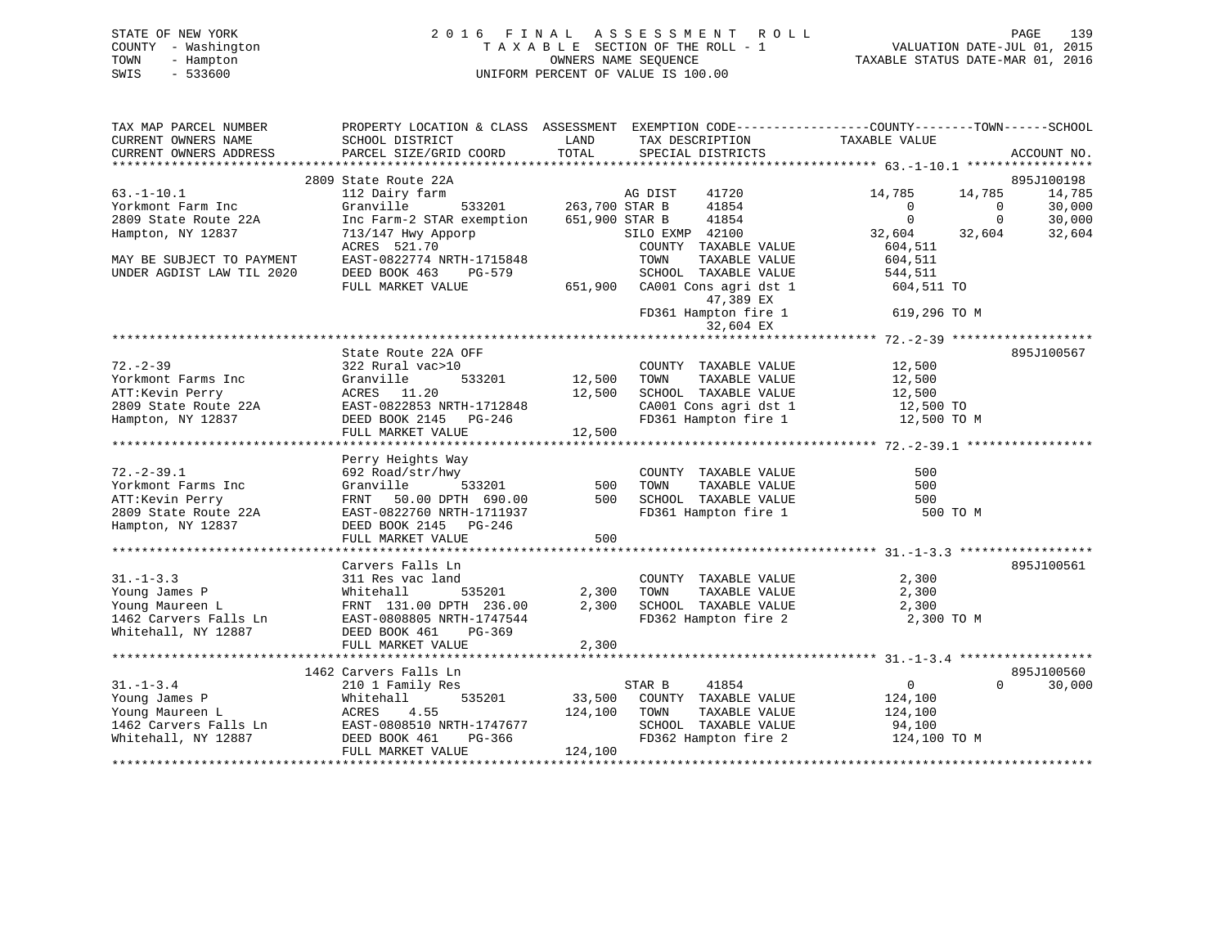# STATE OF NEW YORK 2 0 1 6 F I N A L A S S E S S M E N T R O L L PAGE 139 COUNTY - Washington T A X A B L E SECTION OF THE ROLL - 1 VALUATION DATE-JUL 01, 2015 TOWN - Hampton OWNERS NAME SEQUENCE TAXABLE STATUS DATE-MAR 01, 2016 SWIS - 533600 UNIFORM PERCENT OF VALUE IS 100.00

| TAX MAP PARCEL NUMBER<br>CURRENT OWNERS NAME                                                       | PROPERTY LOCATION & CLASS ASSESSMENT EXEMPTION CODE---------------COUNTY-------TOWN-----SCHOOL<br>SCHOOL DISTRICT | LAND                  | TAX DESCRIPTION                                | TAXABLE VALUE  |            |             |
|----------------------------------------------------------------------------------------------------|-------------------------------------------------------------------------------------------------------------------|-----------------------|------------------------------------------------|----------------|------------|-------------|
| CURRENT OWNERS ADDRESS                                                                             | PARCEL SIZE/GRID COORD                                                                                            | TOTAL                 | SPECIAL DISTRICTS                              |                |            | ACCOUNT NO. |
|                                                                                                    | 2809 State Route 22A                                                                                              |                       |                                                |                |            | 895J100198  |
| $63. -1 - 10.1$                                                                                    | 112 Dairy farm                                                                                                    |                       | AG DIST<br>41720                               | 14,785         | 14,785     | 14,785      |
| Yorkmont Farm Inc                                                                                  | Granville                                                                                                         | 533201 263,700 STAR B | 41854                                          | $\Omega$       | $\bigcirc$ | 30,000      |
| 2809 State Route 22A                                                                               | Inc Farm-2 STAR exemption                                                                                         | 651,900 STAR B        | 41854                                          | $\Omega$       | $\Omega$   | 30,000      |
| Hampton, NY 12837                                                                                  | 713/147 Hwy Apporp                                                                                                |                       | SILO EXMP 42100                                | 32,604         | 32,604     | 32,604      |
|                                                                                                    | ACRES 521.70                                                                                                      |                       | COUNTY TAXABLE VALUE                           | 604,511        |            |             |
| MAY BE SUBJECT TO PAYMENT                                                                          | EAST-0822774 NRTH-1715848                                                                                         |                       | TAXABLE VALUE<br>TOWN                          | 604,511        |            |             |
| UNDER AGDIST LAW TIL 2020                                                                          | DEED BOOK 463<br>PG-579                                                                                           |                       | SCHOOL TAXABLE VALUE                           | 544,511        |            |             |
|                                                                                                    | FULL MARKET VALUE                                                                                                 | 651,900               | CA001 Cons agri dst 1<br>47,389 EX             | 604,511 TO     |            |             |
|                                                                                                    |                                                                                                                   |                       | FD361 Hampton fire 1<br>32,604 EX              | 619,296 TO M   |            |             |
|                                                                                                    |                                                                                                                   |                       |                                                |                |            |             |
|                                                                                                    | State Route 22A OFF                                                                                               |                       |                                                |                |            | 895J100567  |
| $72. - 2 - 39$                                                                                     | 322 Rural vac>10                                                                                                  |                       | COUNTY TAXABLE VALUE                           | 12,500         |            |             |
| Yorkmont Farms Inc                                                                                 | 533201<br>Granville                                                                                               | 12,500                | TOWN<br>TAXABLE VALUE                          | 12,500         |            |             |
| ATT:Kevin Perry                                                                                    | ACRES 11.20                                                                                                       | 12,500                | SCHOOL TAXABLE VALUE                           | 12,500         |            |             |
| 2809 State Route 22A                                                                               | EAST-0822853 NRTH-1712848                                                                                         |                       | CA001 Cons agri dst 1                          | 12,500 TO      |            |             |
| Hampton, NY 12837                                                                                  | DEED BOOK 2145 PG-246                                                                                             |                       | FD361 Hampton fire 1                           | 12,500 TO M    |            |             |
|                                                                                                    | FULL MARKET VALUE                                                                                                 | 12,500                |                                                |                |            |             |
|                                                                                                    | Perry Heights Way                                                                                                 |                       |                                                |                |            |             |
| $72. - 2 - 39.1$                                                                                   | 692 Road/str/hwy                                                                                                  |                       | COUNTY TAXABLE VALUE                           | 500            |            |             |
| Yorkmont Farms Inc                                                                                 | Granville                                                                                                         | 533201 500            | TAXABLE VALUE<br>TOWN                          | 500            |            |             |
| ATT:Kevin Perry                                                                                    | FRNT 50.00 DPTH 690.00                                                                                            | 500                   |                                                | 500            |            |             |
| 2809 State Route 22A                                                                               | EAST-0822760 NRTH-1711937                                                                                         |                       | SCHOOL TAXABLE VALUE<br>FD361 Hampton fire 1   | 500 TO M       |            |             |
| Hampton, NY 12837                                                                                  | DEED BOOK 2145 PG-246                                                                                             |                       |                                                |                |            |             |
|                                                                                                    | FULL MARKET VALUE                                                                                                 | 500                   |                                                |                |            |             |
|                                                                                                    |                                                                                                                   |                       |                                                |                |            |             |
|                                                                                                    | Carvers Falls Ln                                                                                                  |                       |                                                |                |            | 895J100561  |
| $31. - 1 - 3.3$                                                                                    | 311 Res vac land                                                                                                  |                       | COUNTY TAXABLE VALUE                           | 2,300          |            |             |
| Young James P                                                                                      | 535201<br>Whitehall                                                                                               |                       | 2,300 TOWN<br>TAXABLE VALUE                    | 2,300          |            |             |
| Young Maureen L<br>1462 Carvers Falls Ln<br>1462 Carvers Falls Ln<br>167 EAST-0808805 NRTH-1747544 |                                                                                                                   | 2,300                 | SCHOOL TAXABLE VALUE                           | 2,300          |            |             |
|                                                                                                    | EAST-0808805 NRTH-1747544                                                                                         |                       | FD362 Hampton fire 2                           | 2,300 TO M     |            |             |
| Whitehall, NY 12887                                                                                | DEED BOOK 461<br>PG-369                                                                                           |                       |                                                |                |            |             |
|                                                                                                    | FULL MARKET VALUE                                                                                                 | 2,300                 |                                                |                |            |             |
|                                                                                                    | 1462 Carvers Falls Ln                                                                                             |                       |                                                |                |            | 895J100560  |
| $31. - 1 - 3.4$                                                                                    | 210 1 Family Res                                                                                                  |                       | STAR B<br>41854                                | $\overline{0}$ | $\Omega$   | 30,000      |
| Young James P                                                                                      | 535201<br>Whitehall                                                                                               | 33,500                | COUNTY TAXABLE VALUE                           | 124,100        |            |             |
| Young Maureen L                                                                                    | ACRES<br>4.55                                                                                                     | 124,100               | TOWN<br>TAXABLE VALUE                          | 124,100        |            |             |
|                                                                                                    | EAST-0808510 NRTH-1747677                                                                                         |                       | SCHOOL TAXABLE VALUE                           | 94,100         |            |             |
| Young Maureen<br>1462 Carvers Falls Ln<br>19887                                                    | DEED BOOK 461<br>PG-366                                                                                           |                       | raabur YALUE VALUE دون<br>FD362 Hampton fire 2 | 124,100 TO M   |            |             |
|                                                                                                    | FULL MARKET VALUE                                                                                                 | 124,100               |                                                |                |            |             |
|                                                                                                    |                                                                                                                   |                       |                                                |                |            |             |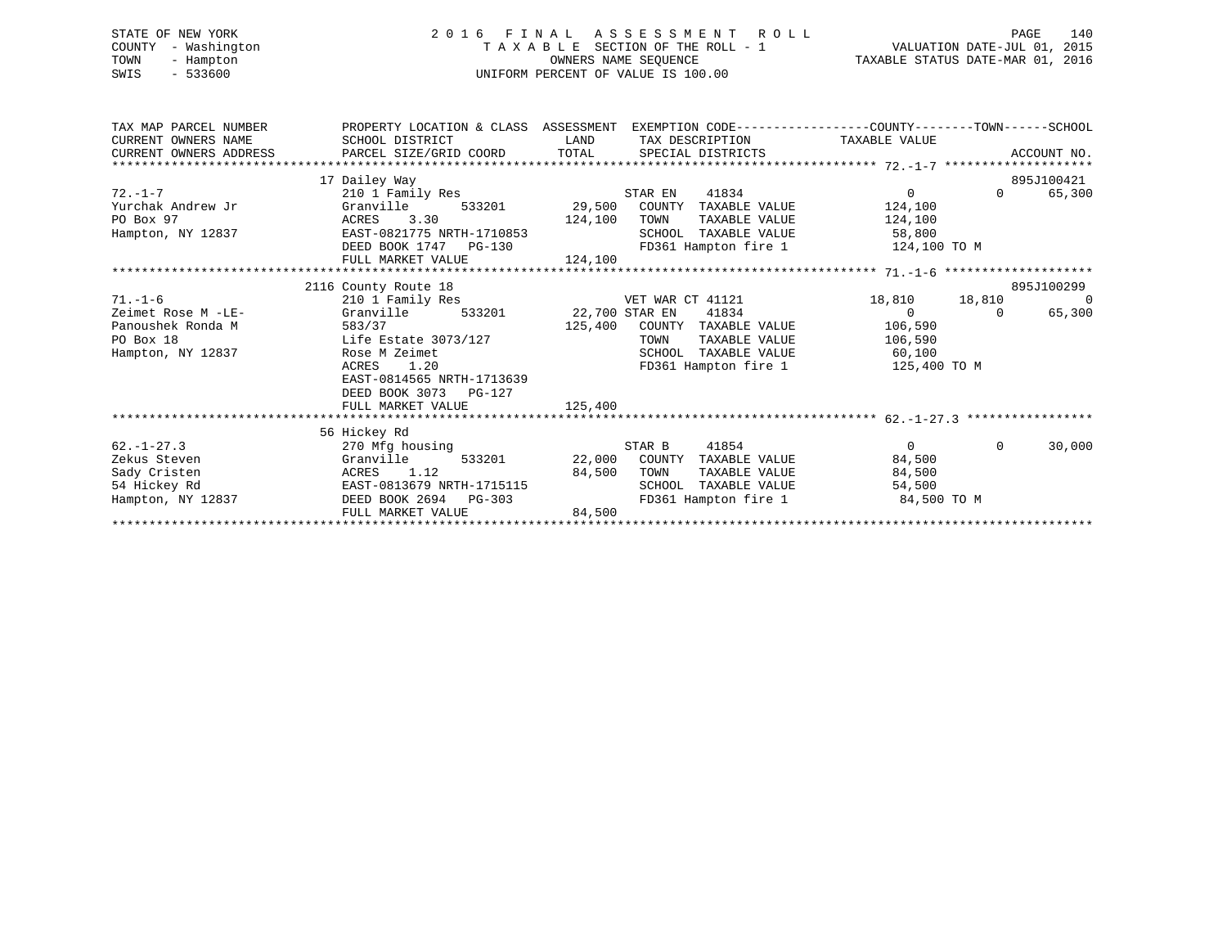# STATE OF NEW YORK 2 0 1 6 F I N A L A S S E S S M E N T R O L L PAGE 140 COUNTY - Washington T A X A B L E SECTION OF THE ROLL - 1 VALUATION DATE-JUL 01, 2015 TOWN - Hampton OWNERS NAME SEQUENCE TAXABLE STATUS DATE-MAR 01, 2016 SWIS - 533600 UNIFORM PERCENT OF VALUE IS 100.00

| TAX MAP PARCEL NUMBER                                                                                                                                                                                                                                                                                                                                                                                                                                        | PROPERTY LOCATION & CLASS ASSESSMENT EXEMPTION CODE----------------COUNTY-------TOWN------SCHOOL |                       |                                    |                       |                       |
|--------------------------------------------------------------------------------------------------------------------------------------------------------------------------------------------------------------------------------------------------------------------------------------------------------------------------------------------------------------------------------------------------------------------------------------------------------------|--------------------------------------------------------------------------------------------------|-----------------------|------------------------------------|-----------------------|-----------------------|
| CURRENT OWNERS NAME                                                                                                                                                                                                                                                                                                                                                                                                                                          | SCHOOL DISTRICT                                                                                  | LAND                  | TAX DESCRIPTION TAXABLE VALUE      |                       |                       |
| $\begin{minipage}{0.5cm} \begin{minipage}{0.5cm} \begin{minipage}{0.5cm} \begin{minipage}{0.5cm} \begin{minipage}{0.5cm} \begin{minipage}{0.5cm} \begin{minipage}{0.5cm} \begin{minipage}{0.5cm} \begin{minipage}{0.5cm} \begin{minipage}{0.5cm} \begin{minipage}{0.5cm} \begin{minipage}{0.5cm} \begin{minipage}{0.5cm} \begin{minipage}{0.5cm} \begin{minipage}{0.5cm} \begin{minipage}{0.5cm} \begin{minipage}{0.5cm} \begin{minipage}{0.5cm} \begin{min$ |                                                                                                  |                       |                                    |                       |                       |
|                                                                                                                                                                                                                                                                                                                                                                                                                                                              |                                                                                                  |                       |                                    |                       |                       |
|                                                                                                                                                                                                                                                                                                                                                                                                                                                              | 17 Dailey Way                                                                                    |                       |                                    |                       | 895J100421            |
| $72. - 1 - 7$                                                                                                                                                                                                                                                                                                                                                                                                                                                | 210 1 Family Res                                                                                 |                       | 41834<br>STAR EN                   | $\Omega$              | $\Omega$<br>65,300    |
| Yurchak Andrew Jr                                                                                                                                                                                                                                                                                                                                                                                                                                            | Granville                                                                                        |                       | 533201 29,500 COUNTY TAXABLE VALUE | 124,100               |                       |
| PO Box 97                                                                                                                                                                                                                                                                                                                                                                                                                                                    | ACRES 3.30                                                                                       | 124,100               | TOWN                               | TAXABLE VALUE 124,100 |                       |
| Hampton, NY 12837                                                                                                                                                                                                                                                                                                                                                                                                                                            | EAST-0821775 NRTH-1710853                                                                        |                       | SCHOOL TAXABLE VALUE 58,800        |                       |                       |
|                                                                                                                                                                                                                                                                                                                                                                                                                                                              | DEED BOOK 1747 PG-130                                                                            |                       | FD361 Hampton fire 1 124,100 TO M  |                       |                       |
|                                                                                                                                                                                                                                                                                                                                                                                                                                                              | FULL MARKET VALUE                                                                                | 124,100               |                                    |                       |                       |
|                                                                                                                                                                                                                                                                                                                                                                                                                                                              |                                                                                                  |                       |                                    |                       |                       |
|                                                                                                                                                                                                                                                                                                                                                                                                                                                              | 2116 County Route 18                                                                             |                       |                                    |                       | 895J100299            |
| $71. - 1 - 6$                                                                                                                                                                                                                                                                                                                                                                                                                                                | 210 1 Family Res                                                                                 |                       | VET WAR CT 41121                   | 18,810 18,810         | $\overline{0}$        |
| Zeimet Rose M -LE-                                                                                                                                                                                                                                                                                                                                                                                                                                           | Granville                                                                                        | 533201 22,700 STAR EN | 41834                              | $\overline{0}$        | 65,300<br>$\Omega$    |
| Panoushek Ronda M                                                                                                                                                                                                                                                                                                                                                                                                                                            | 583/37                                                                                           |                       | 125,400 COUNTY TAXABLE VALUE       | 106,590               |                       |
| PO Box 18                                                                                                                                                                                                                                                                                                                                                                                                                                                    | Life Estate 3073/127                                                                             |                       | TOWN<br>TAXABLE VALUE              | 106,590               |                       |
| Hampton, NY 12837                                                                                                                                                                                                                                                                                                                                                                                                                                            | Rose M Zeimet                                                                                    |                       | SCHOOL                             | TAXABLE VALUE 60,100  |                       |
|                                                                                                                                                                                                                                                                                                                                                                                                                                                              | ACRES<br>1.20                                                                                    |                       | FD361 Hampton fire 1               | 125,400 TO M          |                       |
|                                                                                                                                                                                                                                                                                                                                                                                                                                                              | EAST-0814565 NRTH-1713639                                                                        |                       |                                    |                       |                       |
|                                                                                                                                                                                                                                                                                                                                                                                                                                                              | DEED BOOK 3073 PG-127                                                                            |                       |                                    |                       |                       |
|                                                                                                                                                                                                                                                                                                                                                                                                                                                              | FULL MARKET VALUE                                                                                | 125,400               |                                    |                       |                       |
|                                                                                                                                                                                                                                                                                                                                                                                                                                                              |                                                                                                  |                       |                                    |                       |                       |
|                                                                                                                                                                                                                                                                                                                                                                                                                                                              | 56 Hickey Rd                                                                                     |                       |                                    |                       |                       |
| $62. - 1 - 27.3$                                                                                                                                                                                                                                                                                                                                                                                                                                             | 270 Mfg housing                                                                                  |                       | 41854<br>STAR B                    | $0 \qquad \qquad$     | $\mathbf 0$<br>30,000 |
| Zekus Steven<br>Granville                                                                                                                                                                                                                                                                                                                                                                                                                                    | 533201                                                                                           |                       | 22,000 COUNTY<br>TAXABLE VALUE     | 84,500                |                       |
| Sady Cristen                                                                                                                                                                                                                                                                                                                                                                                                                                                 | ACRES 1.12                                                                                       | 84,500                | TOWN<br>TAXABLE VALUE              | 84,500                |                       |
| 54 Hickey Rd                                                                                                                                                                                                                                                                                                                                                                                                                                                 | EAST-0813679 NRTH-1715115                                                                        |                       | TAXABLE VALUE<br>SCHOOL            | 54,500                |                       |
| Hampton, NY 12837                                                                                                                                                                                                                                                                                                                                                                                                                                            | DEED BOOK 2694 PG-303                                                                            |                       | FD361 Hampton fire 1               | 84,500 TO M           |                       |
|                                                                                                                                                                                                                                                                                                                                                                                                                                                              | FULL MARKET VALUE                                                                                | 84,500                |                                    |                       |                       |
|                                                                                                                                                                                                                                                                                                                                                                                                                                                              |                                                                                                  |                       |                                    |                       |                       |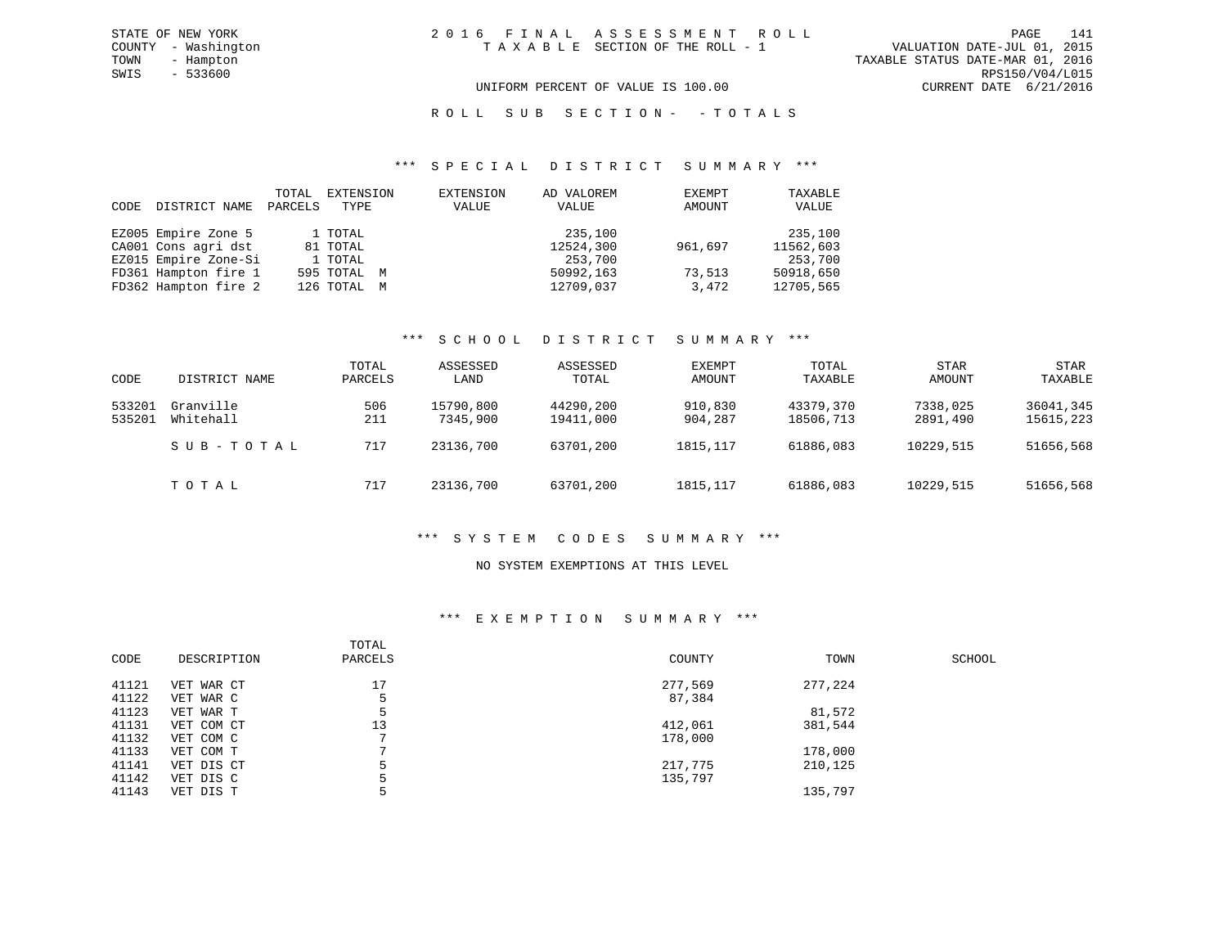#### ROLL SUB SECTION - - TOTALS

#### \*\*\* S P E C I A L D I S T R I C T S U M M A R Y \*\*\*

| CODE | DISTRICT NAME        | TOTAL<br>PARCELS | EXTENSION<br>TYPE | EXTENSION<br>VALUE | AD VALOREM<br>VALUE | EXEMPT<br>AMOUNT | TAXABLE<br>VALUE |
|------|----------------------|------------------|-------------------|--------------------|---------------------|------------------|------------------|
|      | EZ005 Empire Zone 5  |                  | 1 TOTAL           |                    | 235,100             |                  | 235,100          |
|      | CA001 Cons agri dst  |                  | 81 TOTAL          |                    | 12524,300           | 961,697          | 11562,603        |
|      | EZ015 Empire Zone-Si |                  | 1 TOTAL           |                    | 253,700             |                  | 253,700          |
|      | FD361 Hampton fire 1 |                  | 595 TOTAL M       |                    | 50992,163           | 73,513           | 50918,650        |
|      | FD362 Hampton fire 2 |                  | 126 TOTAL M       |                    | 12709,037           | 3,472            | 12705,565        |

#### \*\*\* S C H O O L D I S T R I C T S U M M A R Y \*\*\*

| CODE             | DISTRICT NAME          | TOTAL<br>PARCELS | ASSESSED<br>LAND      | ASSESSED<br>TOTAL      | EXEMPT<br>AMOUNT   | TOTAL<br>TAXABLE       | <b>STAR</b><br>AMOUNT | <b>STAR</b><br>TAXABLE |
|------------------|------------------------|------------------|-----------------------|------------------------|--------------------|------------------------|-----------------------|------------------------|
| 533201<br>535201 | Granville<br>Whitehall | 506<br>211       | 15790,800<br>7345,900 | 44290,200<br>19411,000 | 910,830<br>904,287 | 43379,370<br>18506,713 | 7338,025<br>2891,490  | 36041,345<br>15615,223 |
|                  | SUB-TOTAL              | 717              | 23136,700             | 63701,200              | 1815, 117          | 61886,083              | 10229,515             | 51656,568              |
|                  | тотаь                  | 717              | 23136,700             | 63701,200              | 1815, 117          | 61886,083              | 10229,515             | 51656,568              |

#### \*\*\* S Y S T E M C O D E S S U M M A R Y \*\*\*

#### NO SYSTEM EXEMPTIONS AT THIS LEVEL

#### \*\*\* E X E M P T I O N S U M M A R Y \*\*\*

| CODE  | DESCRIPTION | TOTAL<br>PARCELS | COUNTY  | TOWN    | SCHOOL |
|-------|-------------|------------------|---------|---------|--------|
| 41121 | VET WAR CT  | 17               | 277,569 | 277,224 |        |
| 41122 | VET WAR C   | 5                | 87,384  |         |        |
| 41123 | VET WAR T   | ל                |         | 81,572  |        |
| 41131 | VET COM CT  | 13               | 412,061 | 381,544 |        |
| 41132 | VET COM C   |                  | 178,000 |         |        |
| 41133 | VET COM T   |                  |         | 178,000 |        |
| 41141 | VET DIS CT  | 5                | 217,775 | 210,125 |        |
| 41142 | VET DIS C   |                  | 135,797 |         |        |
| 41143 | VET DIS T   |                  |         | 135,797 |        |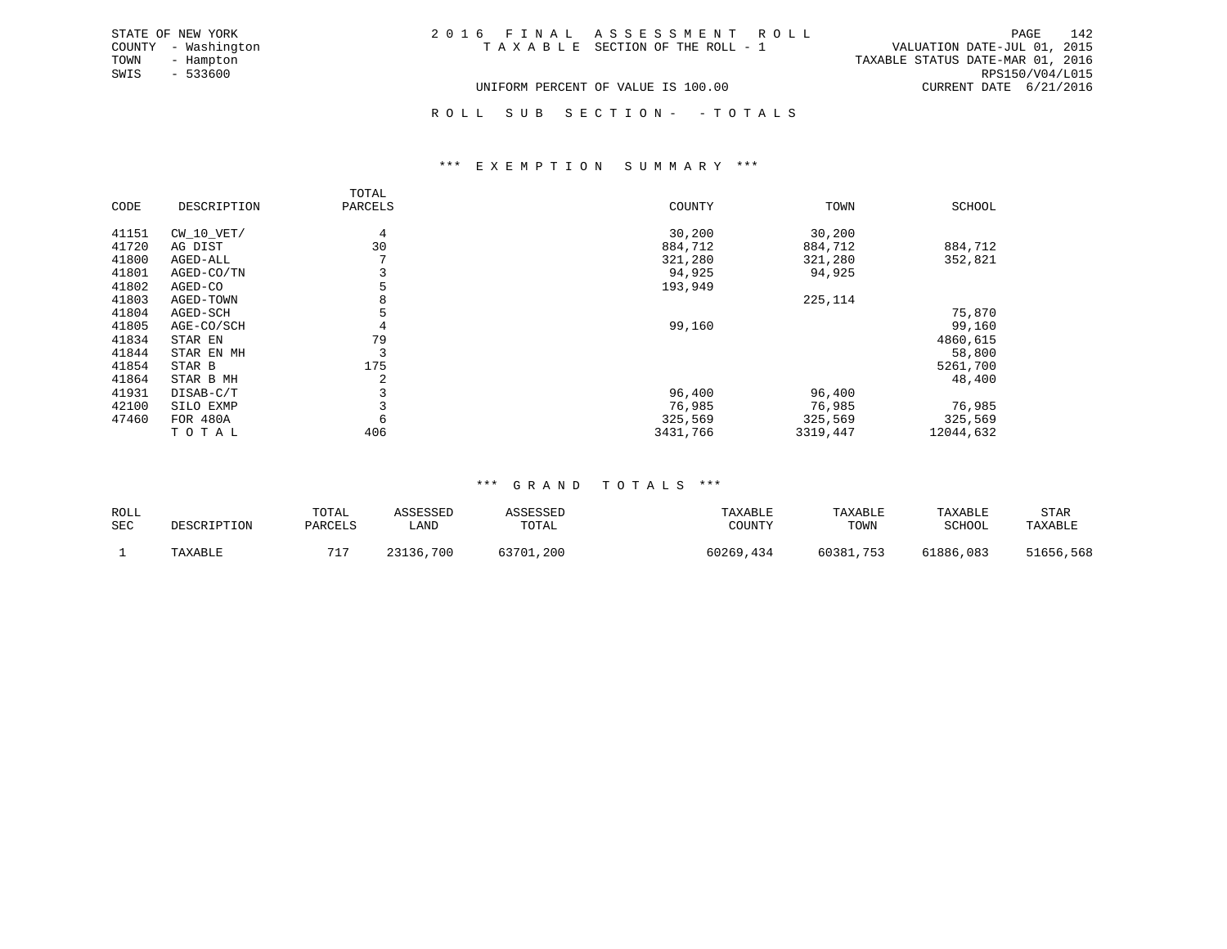| STATE OF NEW YORK   | 2016 FINAL ASSESSMENT ROLL         | 142<br>PAGE                      |
|---------------------|------------------------------------|----------------------------------|
| COUNTY - Washington | TAXABLE SECTION OF THE ROLL - 1    | VALUATION DATE-JUL 01, 2015      |
| TOWN<br>- Hampton   |                                    | TAXABLE STATUS DATE-MAR 01, 2016 |
| SWIS<br>- 533600    |                                    | RPS150/V04/L015                  |
|                     | UNIFORM PERCENT OF VALUE IS 100.00 | CURRENT DATE 6/21/2016           |

ROLL SUB SECTION - - TOTALS

#### \*\*\* E X E M P T I O N S U M M A R Y \*\*\*

|       |                 | TOTAL   |          |          |           |
|-------|-----------------|---------|----------|----------|-----------|
| CODE  | DESCRIPTION     | PARCELS | COUNTY   | TOWN     | SCHOOL    |
| 41151 | CW 10 VET/      | 4       | 30,200   | 30,200   |           |
| 41720 | AG DIST         | 30      | 884,712  | 884,712  | 884,712   |
| 41800 | AGED-ALL        |         | 321,280  | 321,280  | 352,821   |
| 41801 | AGED-CO/TN      |         | 94,925   | 94,925   |           |
| 41802 | AGED-CO         |         | 193,949  |          |           |
| 41803 | AGED-TOWN       | 8       |          | 225,114  |           |
| 41804 | AGED-SCH        |         |          |          | 75,870    |
| 41805 | AGE-CO/SCH      |         | 99,160   |          | 99,160    |
| 41834 | STAR EN         | 79      |          |          | 4860,615  |
| 41844 | STAR EN MH      | 3       |          |          | 58,800    |
| 41854 | STAR B          | 175     |          |          | 5261,700  |
| 41864 | STAR B MH       | 2       |          |          | 48,400    |
| 41931 | DISAB-C/T       |         | 96,400   | 96,400   |           |
| 42100 | SILO EXMP       |         | 76,985   | 76,985   | 76,985    |
| 47460 | <b>FOR 480A</b> | 6       | 325,569  | 325,569  | 325,569   |
|       | TOTAL           | 406     | 3431,766 | 3319,447 | 12044,632 |

#### \*\*\* G R A N D T O T A L S \*\*\*

| ROLL<br><b>SEC</b> | DESCRIPTION | TOTAI<br>PARCELS | COPOCPT<br>∟AND | SSESSED<br>TOTAL | TAXABLE<br>COUNTY | TAXABLE<br>TOWN | TAXABLE<br>SCHOOL | STAR<br>of the contract of the contract of the<br><b>TAXARLE</b> |
|--------------------|-------------|------------------|-----------------|------------------|-------------------|-----------------|-------------------|------------------------------------------------------------------|
|                    | TAXABLE     | 717              | ,700<br>23136   | 53701,200        | 60269<br>, 434    | 60381<br>753    | 61886,083         | 51656,568                                                        |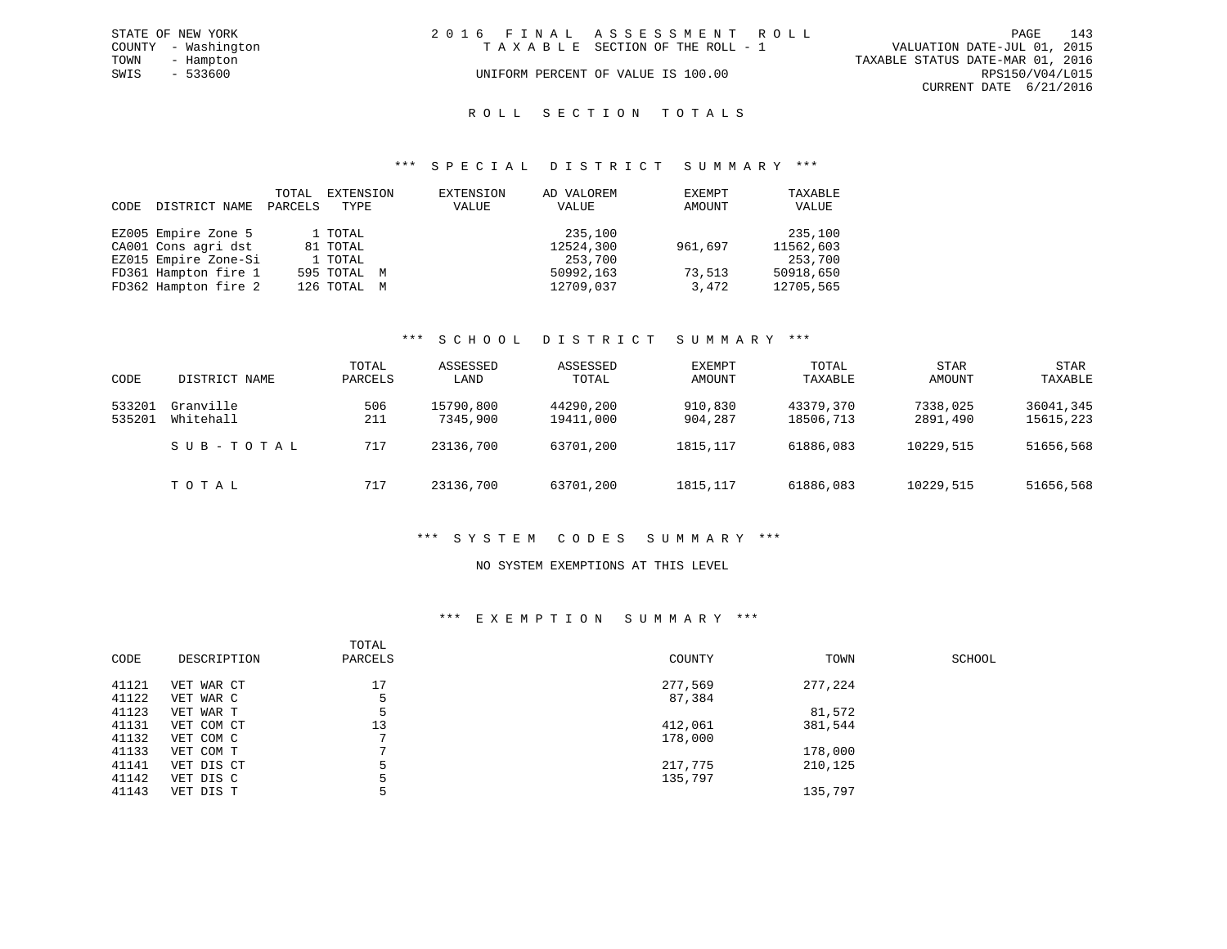|      | STATE OF NEW YORK   | 2016 FINAL ASSESSMENT ROLL |                                    |                                  | PAGE                   | 143 |
|------|---------------------|----------------------------|------------------------------------|----------------------------------|------------------------|-----|
|      | COUNTY - Washington |                            | TAXABLE SECTION OF THE ROLL - 1    | VALUATION DATE-JUL 01, 2015      |                        |     |
| TOWN | - Hampton           |                            |                                    | TAXABLE STATUS DATE-MAR 01, 2016 |                        |     |
| SWIS | $-533600$           |                            | UNIFORM PERCENT OF VALUE IS 100.00 |                                  | RPS150/V04/L015        |     |
|      |                     |                            |                                    |                                  | CURRENT DATE 6/21/2016 |     |
|      |                     |                            |                                    |                                  |                        |     |

#### ROLL SECTION TOTALS

#### \*\*\* S P E C I A L D I S T R I C T S U M M A R Y \*\*\*

| CODE | DISTRICT NAME        | TOTAL<br>PARCELS | EXTENSION<br>TYPE | EXTENSION<br>VALUE | AD VALOREM<br>VALUE | EXEMPT<br>AMOUNT | TAXABLE<br>VALUE |
|------|----------------------|------------------|-------------------|--------------------|---------------------|------------------|------------------|
|      | EZ005 Empire Zone 5  |                  | 1 TOTAL           |                    | 235,100             |                  | 235,100          |
|      | CA001 Cons agri dst  |                  | 81 TOTAL          |                    | 12524,300           | 961,697          | 11562,603        |
|      | EZ015 Empire Zone-Si |                  | 1 TOTAL           |                    | 253,700             |                  | 253,700          |
|      | FD361 Hampton fire 1 |                  | 595 TOTAL M       |                    | 50992,163           | 73,513           | 50918,650        |
|      | FD362 Hampton fire 2 |                  | 126 TOTAL M       |                    | 12709,037           | 3,472            | 12705,565        |

#### \*\*\* S C H O O L D I S T R I C T S U M M A R Y \*\*\*

| CODE             | DISTRICT NAME          | TOTAL<br>PARCELS | ASSESSED<br>LAND      | ASSESSED<br>TOTAL      | EXEMPT<br>AMOUNT   | TOTAL<br>TAXABLE       | <b>STAR</b><br>AMOUNT | <b>STAR</b><br>TAXABLE |
|------------------|------------------------|------------------|-----------------------|------------------------|--------------------|------------------------|-----------------------|------------------------|
| 533201<br>535201 | Granville<br>Whitehall | 506<br>211       | 15790,800<br>7345,900 | 44290,200<br>19411,000 | 910,830<br>904,287 | 43379,370<br>18506,713 | 7338,025<br>2891,490  | 36041,345<br>15615,223 |
|                  | SUB-TOTAL              | 717              | 23136,700             | 63701,200              | 1815, 117          | 61886,083              | 10229,515             | 51656,568              |
|                  | TOTAL                  | 717              | 23136,700             | 63701,200              | 1815, 117          | 61886,083              | 10229,515             | 51656,568              |

#### \*\*\* S Y S T E M C O D E S S U M M A R Y \*\*\*

#### NO SYSTEM EXEMPTIONS AT THIS LEVEL

#### \*\*\* E X E M P T I O N S U M M A R Y \*\*\*

| CODE  | DESCRIPTION | TOTAL<br>PARCELS | COUNTY  | TOWN    | SCHOOL |
|-------|-------------|------------------|---------|---------|--------|
| 41121 | VET WAR CT  | 17               | 277,569 | 277,224 |        |
| 41122 | VET WAR C   | 5                | 87,384  |         |        |
| 41123 | VET WAR T   |                  |         | 81,572  |        |
| 41131 | VET COM CT  | 13               | 412,061 | 381,544 |        |
| 41132 | VET COM C   |                  | 178,000 |         |        |
| 41133 | VET COM T   |                  |         | 178,000 |        |
| 41141 | VET DIS CT  | 5                | 217,775 | 210,125 |        |
| 41142 | VET DIS C   |                  | 135,797 |         |        |
| 41143 | VET DIS T   |                  |         | 135,797 |        |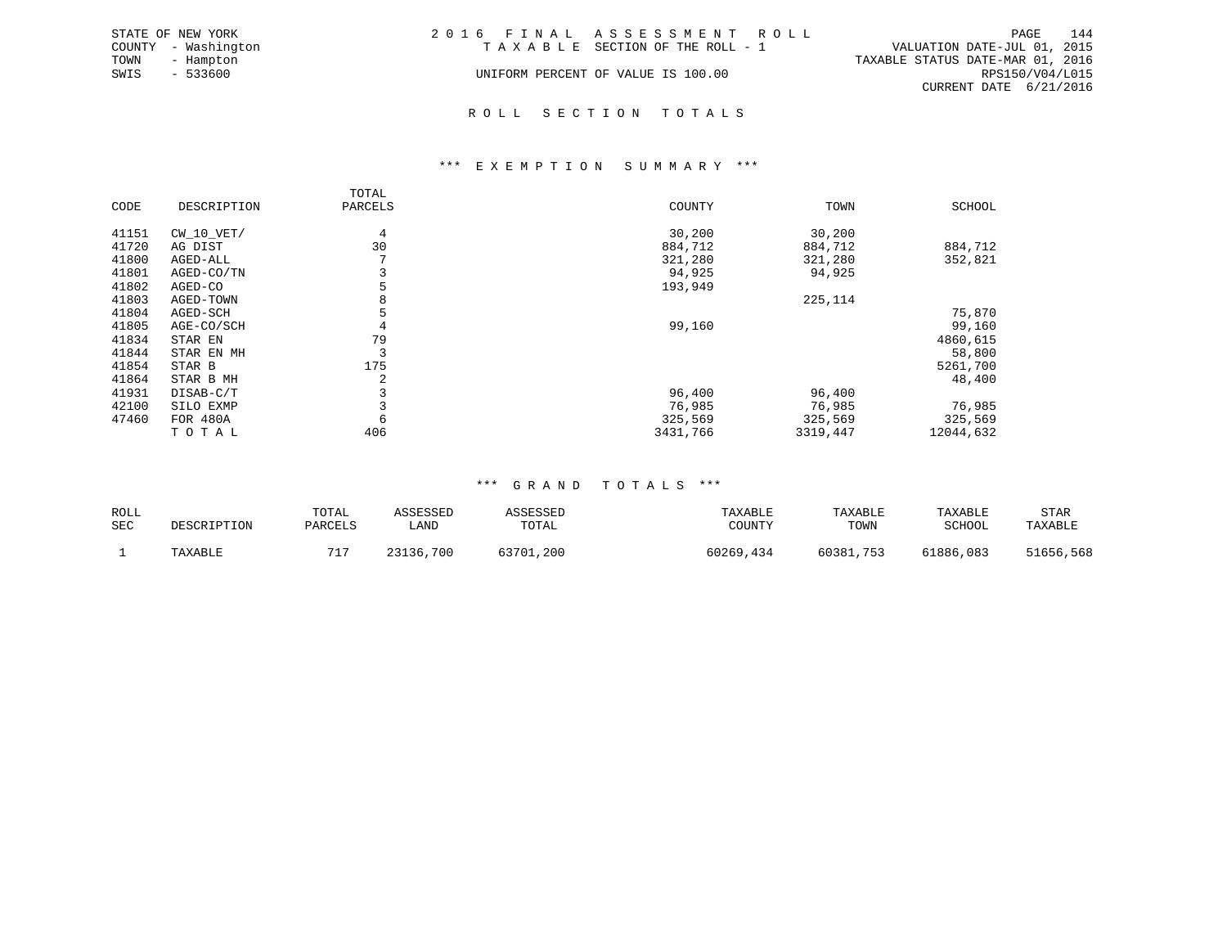|      | STATE OF NEW YORK   | 2016 FINAL ASSESSMENT ROLL         |                                  |                        | PAGE | 144 |
|------|---------------------|------------------------------------|----------------------------------|------------------------|------|-----|
|      | COUNTY - Washington | TAXABLE SECTION OF THE ROLL - 1    | VALUATION DATE-JUL 01, 2015      |                        |      |     |
| TOWN | - Hampton           |                                    | TAXABLE STATUS DATE-MAR 01, 2016 |                        |      |     |
| SWIS | $-533600$           | UNIFORM PERCENT OF VALUE IS 100.00 |                                  | RPS150/V04/L015        |      |     |
|      |                     |                                    |                                  | CURRENT DATE 6/21/2016 |      |     |
|      |                     |                                    |                                  |                        |      |     |

#### R O L L S E C T I O N T O T A L S

#### \*\*\* E X E M P T I O N S U M M A R Y \*\*\*

|       |                 | TOTAL   |          |          |               |
|-------|-----------------|---------|----------|----------|---------------|
| CODE  | DESCRIPTION     | PARCELS | COUNTY   | TOWN     | <b>SCHOOL</b> |
| 41151 | $CW_10_VET/$    | 4       | 30,200   | 30,200   |               |
| 41720 | AG DIST         | 30      | 884,712  | 884,712  | 884,712       |
| 41800 | AGED-ALL        |         | 321,280  | 321,280  | 352,821       |
| 41801 | AGED-CO/TN      | 3       | 94,925   | 94,925   |               |
| 41802 | AGED-CO         | 5       | 193,949  |          |               |
| 41803 | AGED-TOWN       | 8       |          | 225,114  |               |
| 41804 | AGED-SCH        |         |          |          | 75,870        |
| 41805 | AGE-CO/SCH      | 4       | 99,160   |          | 99,160        |
| 41834 | STAR EN         | 79      |          |          | 4860,615      |
| 41844 | STAR EN MH      | 3       |          |          | 58,800        |
| 41854 | STAR B          | 175     |          |          | 5261,700      |
| 41864 | STAR B MH       | 2       |          |          | 48,400        |
| 41931 | DISAB-C/T       | 3       | 96,400   | 96,400   |               |
| 42100 | SILO EXMP       |         | 76,985   | 76,985   | 76,985        |
| 47460 | <b>FOR 480A</b> | 6       | 325,569  | 325,569  | 325,569       |
|       | TOTAL           | 406     | 3431,766 | 3319,447 | 12044,632     |

#### \*\*\* G R A N D T O T A L S \*\*\*

| ROLL<br>SEC | DESCRIPTION | TOTAL<br>PARCELS | CCFCCFD<br>LAND | TOTAL         | TAXABLE      | TAXABLE<br>TOWN     | TAXABLE<br>SCHOOL | STAR<br><b>TAXARLE</b> |
|-------------|-------------|------------------|-----------------|---------------|--------------|---------------------|-------------------|------------------------|
|             | TAXABLE     | 715              | ,700<br>23136.  | 53701<br>.200 | 0269ز<br>434 | 60387<br>753<br>۔ ب | 61886,083         | 51656,568              |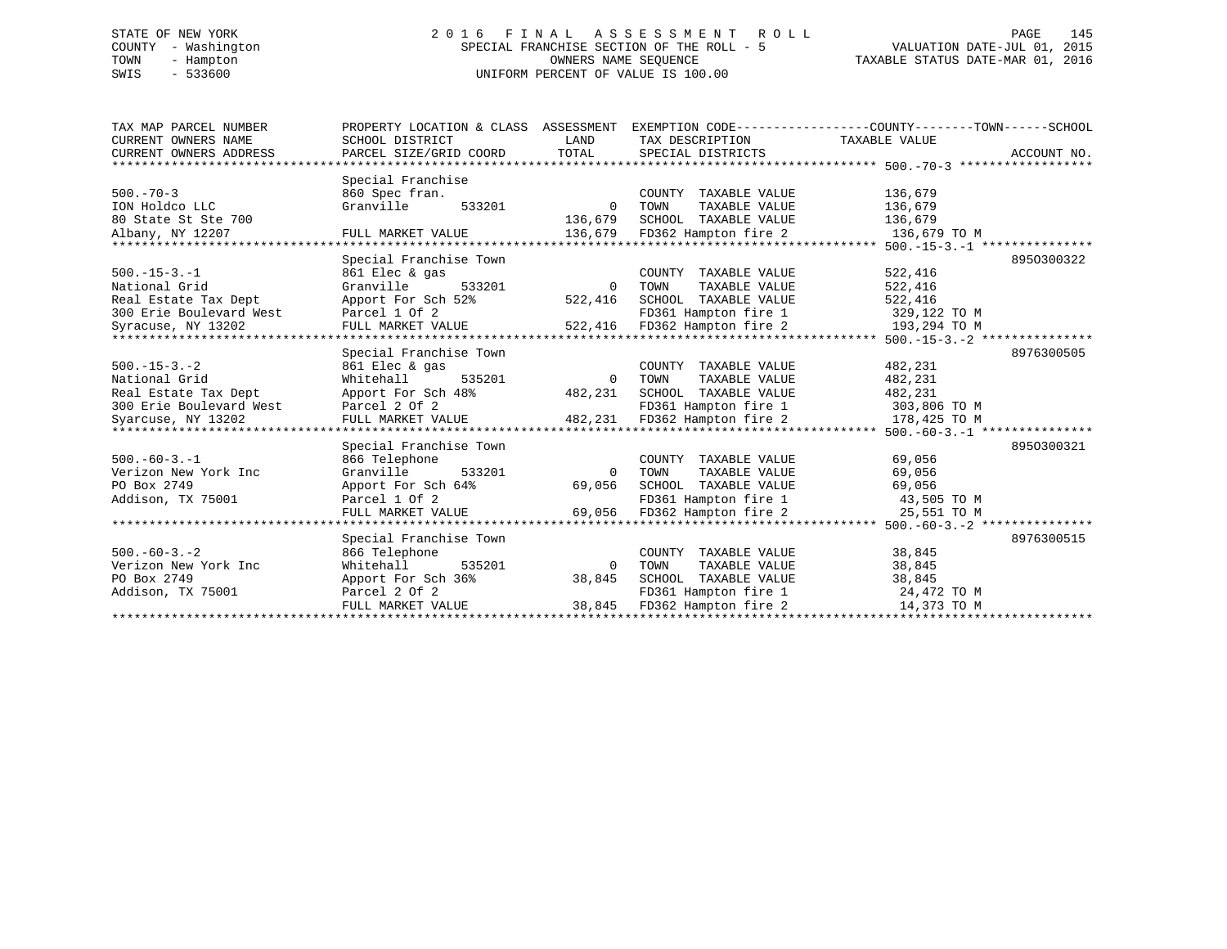# STATE OF NEW YORK 2 0 1 6 F I N A L A S S E S S M E N T R O L L PAGE 145 COUNTY - Washington SPECIAL FRANCHISE SECTION OF THE ROLL - 5 VALUATION DATE-JUL 01, 2015 TOWN - Hampton OWNERS NAME SEQUENCE TAXABLE STATUS DATE-MAR 01, 2016 SWIS - 533600 UNIFORM PERCENT OF VALUE IS 100.00

| TAX MAP PARCEL NUMBER      | PROPERTY LOCATION & CLASS ASSESSMENT |          |                       | EXEMPTION CODE-----------------COUNTY-------TOWN------SCHOOL        |
|----------------------------|--------------------------------------|----------|-----------------------|---------------------------------------------------------------------|
| CURRENT OWNERS NAME        | SCHOOL DISTRICT                      | LAND     | TAX DESCRIPTION       | TAXABLE VALUE                                                       |
| CURRENT OWNERS ADDRESS     | PARCEL SIZE/GRID COORD               | TOTAL    | SPECIAL DISTRICTS     | ACCOUNT NO.                                                         |
| ************************** |                                      |          |                       |                                                                     |
|                            | Special Franchise                    |          |                       |                                                                     |
| $500. - 70 - 3$            | 860 Spec fran.                       |          | COUNTY TAXABLE VALUE  | 136,679                                                             |
| ION Holdco LLC             | Granville<br>533201                  | $\Omega$ | TOWN<br>TAXABLE VALUE | 136,679                                                             |
| 80 State St Ste 700        |                                      | 136,679  | SCHOOL TAXABLE VALUE  | 136,679                                                             |
| Albany, NY 12207           | FULL MARKET VALUE                    | 136,679  | FD362 Hampton fire 2  | 136,679 TO M                                                        |
|                            |                                      |          |                       | ************************************** 500.-15-3.-1 *************** |
|                            | Special Franchise Town               |          |                       | 8950300322                                                          |
| $500.-15-3.-1$             | 861 Elec & gas                       |          | COUNTY TAXABLE VALUE  | 522,416                                                             |
| National Grid              | Granville<br>533201                  | $\Omega$ | TAXABLE VALUE<br>TOWN | 522,416                                                             |
| Real Estate Tax Dept       | Apport For Sch 52%                   | 522,416  | SCHOOL TAXABLE VALUE  | 522,416                                                             |
| 300 Erie Boulevard West    | Parcel 1 Of 2                        |          | FD361 Hampton fire 1  | 329,122 TO M                                                        |
| Syracuse, NY 13202         | FULL MARKET VALUE                    | 522,416  | FD362 Hampton fire 2  | 193,294 TO M                                                        |
|                            |                                      |          |                       |                                                                     |
|                            | Special Franchise Town               |          |                       | 8976300505                                                          |
| $500. -15 - 3. -2$         | 861 Elec & gas                       |          | COUNTY TAXABLE VALUE  | 482,231                                                             |
| National Grid              | Whitehall<br>535201                  | $\Omega$ | TAXABLE VALUE<br>TOWN | 482,231                                                             |
| Real Estate Tax Dept       | Apport For Sch 48%                   | 482,231  | SCHOOL TAXABLE VALUE  | 482,231                                                             |
| 300 Erie Boulevard West    | Parcel 2 Of 2                        |          | FD361 Hampton fire 1  | 303,806 TO M                                                        |
| Syarcuse, NY 13202         | FULL MARKET VALUE                    | 482,231  | FD362 Hampton fire 2  | 178,425 TO M                                                        |
|                            | ******************                   |          |                       | ********* 500.-60-3.-1 ***************                              |
|                            | Special Franchise Town               |          |                       | 8950300321                                                          |
| $500. -60 - 3. -1$         | 866 Telephone                        |          | COUNTY TAXABLE VALUE  | 69,056                                                              |
| Verizon New York Inc       | Granville<br>533201                  | $\Omega$ | TOWN<br>TAXABLE VALUE | 69,056                                                              |
| PO Box 2749                | Apport For Sch 64%                   | 69,056   | SCHOOL TAXABLE VALUE  | 69,056                                                              |
| Addison, TX 75001          | Parcel 1 Of 2                        |          | FD361 Hampton fire 1  | 43,505 TO M                                                         |
|                            | FULL MARKET VALUE                    | 69,056   | FD362 Hampton fire 2  | 25,551 TO M                                                         |
|                            |                                      |          |                       | *********** 500.-60-3.-2 ***************                            |
|                            | Special Franchise Town               |          |                       | 8976300515                                                          |
| $500. -60 - 3. - 2$        | 866 Telephone                        |          | COUNTY TAXABLE VALUE  | 38,845                                                              |
| Verizon New York Inc       | Whitehall<br>535201                  | $\Omega$ | TOWN<br>TAXABLE VALUE | 38,845                                                              |
| PO Box 2749                | Apport For Sch 36%                   | 38,845   | SCHOOL TAXABLE VALUE  | 38,845                                                              |
| Addison, TX 75001          | Parcel 2 Of 2                        |          | FD361 Hampton fire 1  | 24,472 TO M                                                         |
|                            | FULL MARKET VALUE                    | 38,845   | FD362 Hampton fire 2  | 14,373 TO M                                                         |
|                            |                                      |          |                       |                                                                     |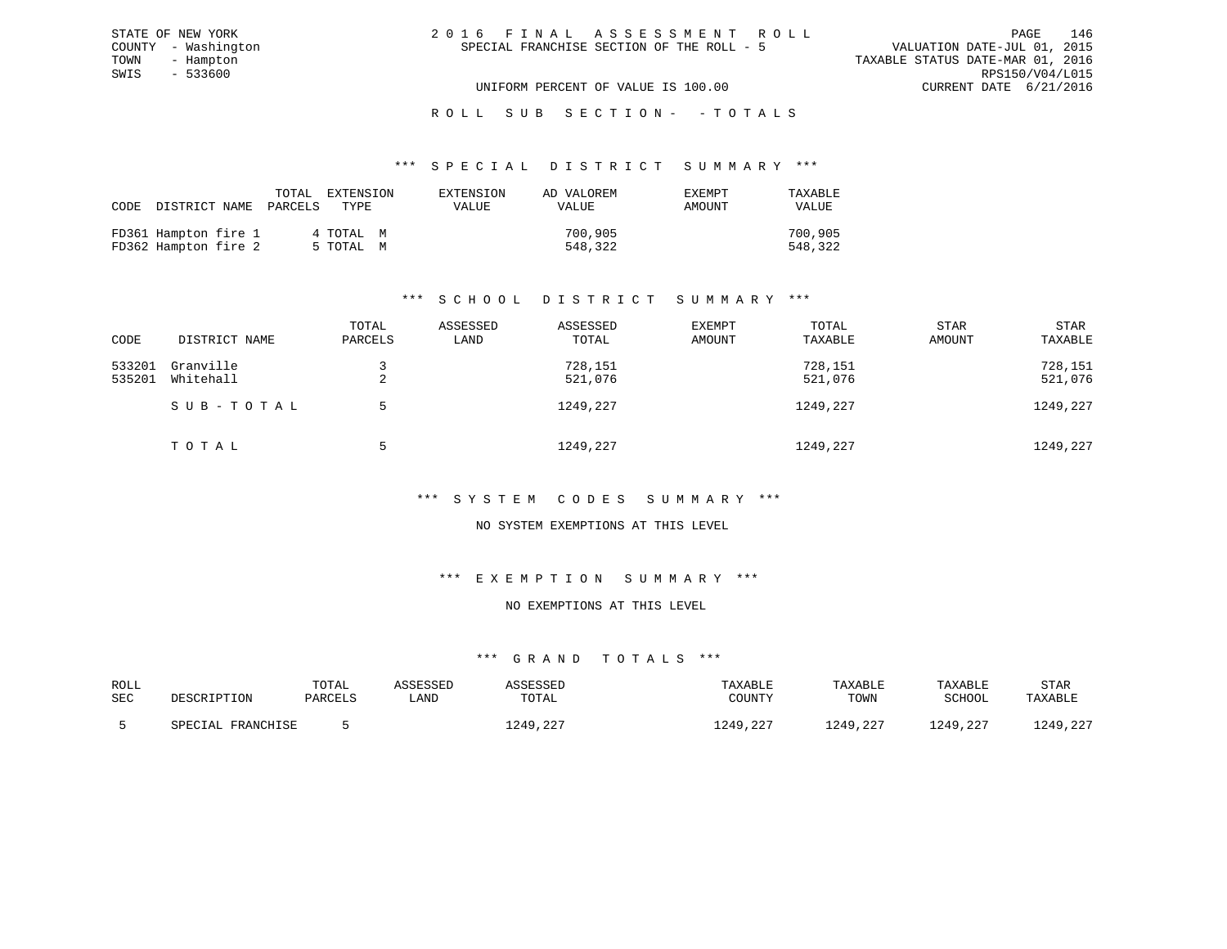| 2016 FINAL ASSESSMENT ROLL                | 146<br>PAGE                      |
|-------------------------------------------|----------------------------------|
| SPECIAL FRANCHISE SECTION OF THE ROLL - 5 | VALUATION DATE-JUL 01, 2015      |
|                                           | TAXABLE STATUS DATE-MAR 01, 2016 |
|                                           | RPS150/V04/L015                  |
| UNIFORM PERCENT OF VALUE IS 100.00        | CURRENT DATE 6/21/2016           |

#### \*\*\* S P E C I A L D I S T R I C T S U M M A R Y \*\*\*

| CODE DISTRICT NAME PARCELS                   | TOTAL | EXTENSION<br>TYPE      | EXTENSION<br>VALUE | AD VALOREM<br>VALUE | <b>EXEMPT</b><br>AMOUNT | TAXABLE<br><b>VALUE</b> |
|----------------------------------------------|-------|------------------------|--------------------|---------------------|-------------------------|-------------------------|
| FD361 Hampton fire 1<br>FD362 Hampton fire 2 |       | 4 ТОТАЬ М<br>5 TOTAL M |                    | 700,905<br>548,322  |                         | 700,905<br>548,322      |

STATE OF NEW YORK COUNTY - Washington TOWN - Hampton  $SWIS$  - 533600

# \*\*\* S C H O O L D I S T R I C T S U M M A R Y \*\*\*

| CODE             | DISTRICT NAME          | TOTAL<br>PARCELS | ASSESSED<br>LAND | ASSESSED<br>TOTAL  | EXEMPT<br>AMOUNT | TOTAL<br>TAXABLE   | <b>STAR</b><br>AMOUNT | <b>STAR</b><br>TAXABLE |
|------------------|------------------------|------------------|------------------|--------------------|------------------|--------------------|-----------------------|------------------------|
| 533201<br>535201 | Granville<br>Whitehall | ▵                |                  | 728,151<br>521,076 |                  | 728,151<br>521,076 |                       | 728,151<br>521,076     |
|                  | SUB-TOTAL              | .5               |                  | 1249,227           |                  | 1249,227           |                       | 1249,227               |
|                  | TOTAL                  |                  |                  | 1249,227           |                  | 1249,227           |                       | 1249,227               |

#### \*\*\* S Y S T E M C O D E S S U M M A R Y \*\*\*

#### NO SYSTEM EXEMPTIONS AT THIS LEVEL

#### \*\*\* E X E M P T I O N S U M M A R Y \*\*\*

## NO EXEMPTIONS AT THIS LEVEL

| ROLL |                   | TOTAL   | ASSESSED | ASSESSED             | TAXABLE  | TAXABLE  | TAXABLE  | <b>STAR</b> |
|------|-------------------|---------|----------|----------------------|----------|----------|----------|-------------|
| SEC  | DESCRIPTION       | PARCELS | úAND     | TOTAL                | COUNTY   | TOWN     | SCHOOL   | TAXABLE     |
|      | SPECIAL FRANCHISE |         |          | ר מ<br>1249<br>. 44. | 1249,227 | 1249,227 | 1249,227 | 1249,227    |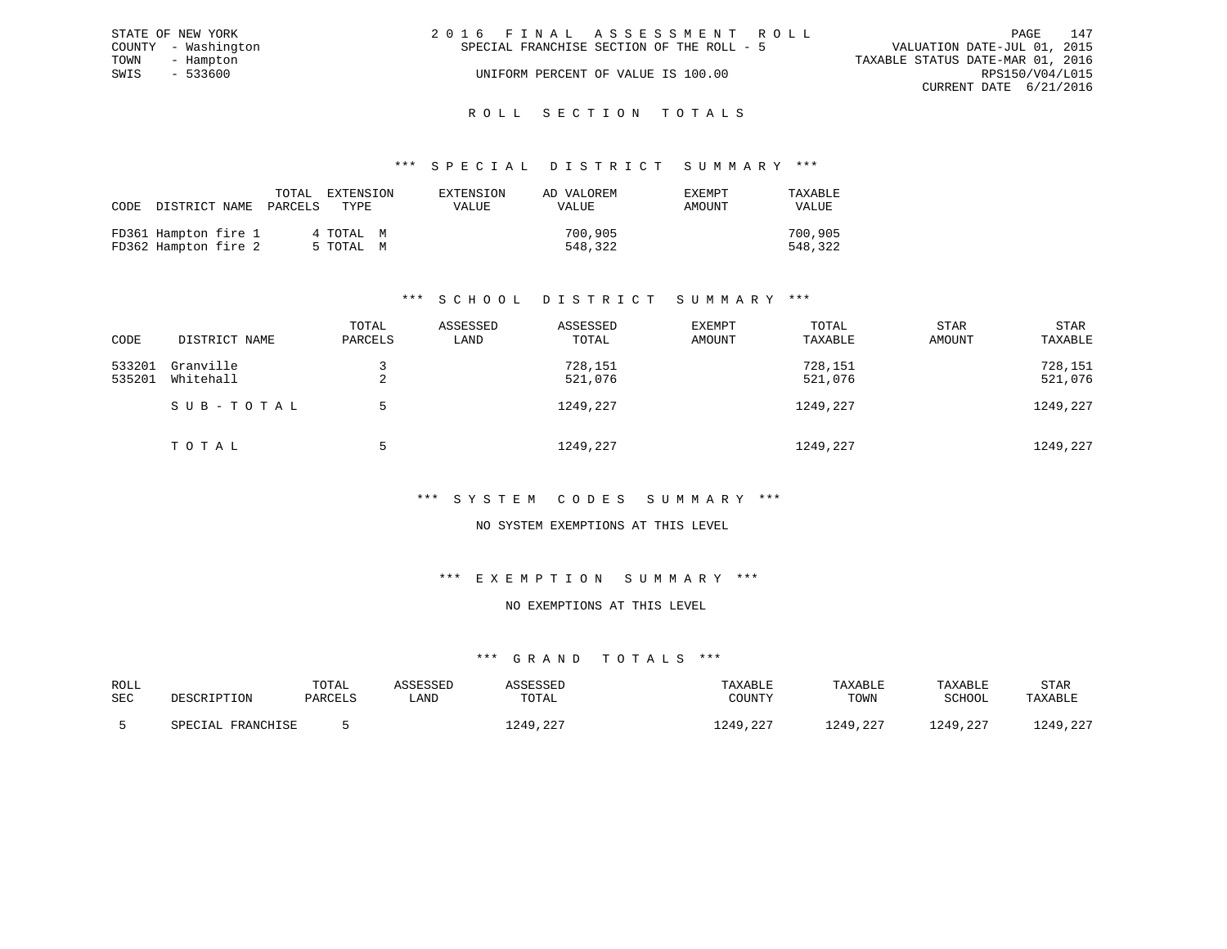|      | STATE OF NEW YORK   | 2016 FINAL ASSESSMENT ROLL                | PAGE                             | 147 |
|------|---------------------|-------------------------------------------|----------------------------------|-----|
|      | COUNTY - Washington | SPECIAL FRANCHISE SECTION OF THE ROLL - 5 | VALUATION DATE-JUL 01, 2015      |     |
| TOWN | - Hampton           |                                           | TAXABLE STATUS DATE-MAR 01, 2016 |     |
| SWIS | - 533600            | UNIFORM PERCENT OF VALUE IS 100.00        | RPS150/V04/L015                  |     |
|      |                     |                                           | CURRENT DATE 6/21/2016           |     |
|      |                     |                                           |                                  |     |

# ROLL SECTION TOTALS

#### \*\*\* S P E C I A L D I S T R I C T S U M M A R Y \*\*\*

| CODE |                                              | TOTAL<br>DISTRICT NAME PARCELS | EXTENSION<br>TYPE      | EXTENSION<br><b>VALUE</b> | AD VALOREM<br>VALUE | EXEMPT<br>AMOUNT | TAXABLE<br>VALUE   |
|------|----------------------------------------------|--------------------------------|------------------------|---------------------------|---------------------|------------------|--------------------|
|      | FD361 Hampton fire 1<br>FD362 Hampton fire 2 |                                | 4 TOTAL M<br>5 TOTAL M |                           | 700,905<br>548,322  |                  | 700,905<br>548,322 |

# \*\*\* S C H O O L D I S T R I C T S U M M A R Y \*\*\*

| CODE             | DISTRICT NAME          | TOTAL<br>PARCELS | ASSESSED<br>LAND | ASSESSED<br>TOTAL  | EXEMPT<br>AMOUNT | TOTAL<br>TAXABLE   | <b>STAR</b><br>AMOUNT | <b>STAR</b><br>TAXABLE |
|------------------|------------------------|------------------|------------------|--------------------|------------------|--------------------|-----------------------|------------------------|
| 533201<br>535201 | Granville<br>Whitehall | ▵                |                  | 728,151<br>521,076 |                  | 728,151<br>521,076 |                       | 728,151<br>521,076     |
|                  | SUB-TOTAL              | .5               |                  | 1249,227           |                  | 1249,227           |                       | 1249,227               |
|                  | TOTAL                  |                  |                  | 1249,227           |                  | 1249,227           |                       | 1249,227               |

#### \*\*\* S Y S T E M C O D E S S U M M A R Y \*\*\*

#### NO SYSTEM EXEMPTIONS AT THIS LEVEL

#### \*\*\* E X E M P T I O N S U M M A R Y \*\*\*

### NO EXEMPTIONS AT THIS LEVEL

| ROLL |                   | TOTAL   | ASSESSED | ASSESSED             | TAXABLE  | TAXABLE  | TAXABLE  | <b>STAR</b> |
|------|-------------------|---------|----------|----------------------|----------|----------|----------|-------------|
| SEC  | DESCRIPTION       | PARCELS | úAND     | TOTAL                | COUNTY   | TOWN     | SCHOOL   | TAXABLE     |
|      | SPECIAL FRANCHISE |         |          | ר מ<br>1249<br>. 44. | 1249,227 | 1249,227 | 1249,227 | 1249,227    |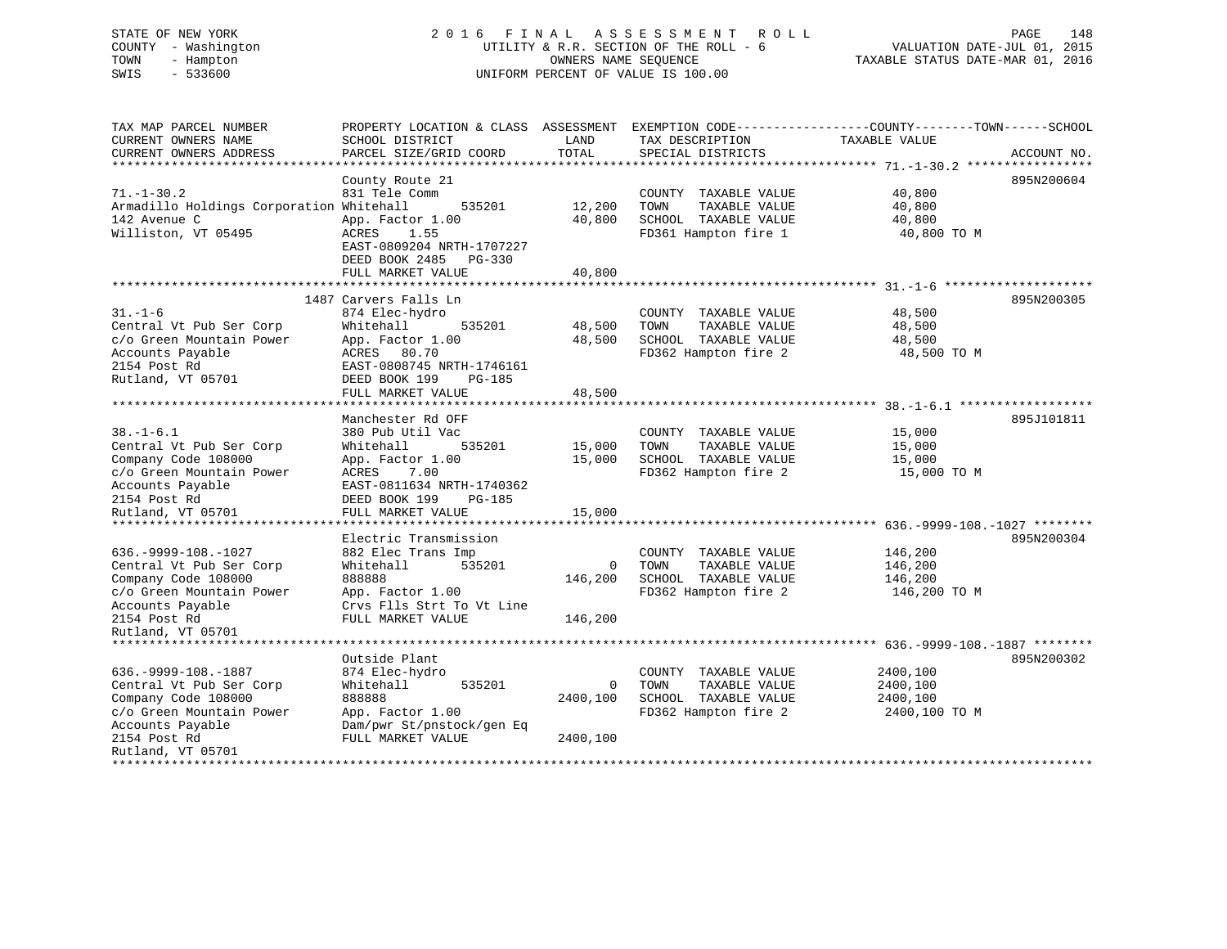## STATE OF NEW YORK 2016 FINAL ASSESSMENT ROLL PAGE 148 COUNTY - Washington UTILITY & R.R. SECTION OF THE ROLL - 6 VALUATION DATE-JUL 01, 2015 TOWN - Hampton OWNERS NAME SEQUENCE TAXABLE STATUS DATE-MAR 01, 2016 SWIS - 533600 UNIFORM PERCENT OF VALUE IS 100.00

| TAX MAP PARCEL NUMBER<br>CURRENT OWNERS NAME<br>CURRENT OWNERS ADDRESS                                                                                                                                                 | PROPERTY LOCATION & CLASS ASSESSMENT<br>SCHOOL DISTRICT<br>PARCEL SIZE/GRID COORD                                                                                              | LAND<br>TOTAL              | TAX DESCRIPTION<br>SPECIAL DISTRICTS                                                          | EXEMPTION CODE-----------------COUNTY-------TOWN------SCHOOL<br>TAXABLE VALUE | ACCOUNT NO. |
|------------------------------------------------------------------------------------------------------------------------------------------------------------------------------------------------------------------------|--------------------------------------------------------------------------------------------------------------------------------------------------------------------------------|----------------------------|-----------------------------------------------------------------------------------------------|-------------------------------------------------------------------------------|-------------|
| $71. - 1 - 30.2$<br>Armadillo Holdings Corporation Whitehall<br>142 Avenue C<br>Williston, VT 05495                                                                                                                    | County Route 21<br>831 Tele Comm<br>535201<br>App. Factor 1.00<br>ACRES<br>1.55<br>EAST-0809204 NRTH-1707227<br>DEED BOOK 2485<br>$PG-330$<br>FULL MARKET VALUE                | 12,200<br>40,800<br>40,800 | COUNTY TAXABLE VALUE<br>TOWN<br>TAXABLE VALUE<br>SCHOOL TAXABLE VALUE<br>FD361 Hampton fire 1 | 40,800<br>40,800<br>40,800<br>40,800 TO M                                     | 895N200604  |
| $31. - 1 - 6$<br>Central Vt Pub Ser Corp<br>c/o Green Mountain Power<br>Accounts Payable<br>2154 Post Rd<br>Rutland, VT 05701                                                                                          | 1487 Carvers Falls Ln<br>874 Elec-hydro<br>535201<br>Whitehall<br>App. Factor 1.00<br>ACRES 80.70<br>EAST-0808745 NRTH-1746161<br>DEED BOOK 199<br>PG-185<br>FULL MARKET VALUE | 48,500<br>48,500<br>48,500 | COUNTY TAXABLE VALUE<br>TAXABLE VALUE<br>TOWN<br>SCHOOL TAXABLE VALUE<br>FD362 Hampton fire 2 | 48,500<br>48,500<br>48,500<br>48,500 TO M                                     | 895N200305  |
| $38. - 1 - 6.1$<br>Central Vt Pub Ser Corp<br>Company Code 108000<br>c/o Green Mountain Power<br>Accounts Payable<br>2154 Post Rd<br>Rutland, VT 05701                                                                 | Manchester Rd OFF<br>380 Pub Util Vac<br>535201<br>Whitehall<br>App. Factor 1.00<br>ACRES<br>7.00<br>EAST-0811634 NRTH-1740362<br>DEED BOOK 199<br>PG-185<br>FULL MARKET VALUE | 15,000<br>15,000<br>15,000 | COUNTY TAXABLE VALUE<br>TOWN<br>TAXABLE VALUE<br>SCHOOL TAXABLE VALUE<br>FD362 Hampton fire 2 | 15,000<br>15,000<br>15,000<br>15,000 TO M                                     | 895J101811  |
| $636. -9999 - 108. - 1027$<br>Central Vt Pub Ser Corp<br>Company Code 108000<br>c/o Green Mountain Power<br>Accounts Payable<br>2154 Post Rd<br>Rutland, VT 05701                                                      | Electric Transmission<br>882 Elec Trans Imp<br>Whitehall<br>535201<br>888888<br>App. Factor 1.00<br>Crvs Flls Strt To Vt Line<br>FULL MARKET VALUE                             | 0<br>146,200<br>146,200    | COUNTY TAXABLE VALUE<br>TOWN<br>TAXABLE VALUE<br>SCHOOL TAXABLE VALUE<br>FD362 Hampton fire 2 | 146,200<br>146,200<br>146,200<br>146,200 TO M                                 | 895N200304  |
| ******************************<br>$636. -9999 - 108. - 1887$<br>Central Vt Pub Ser Corp<br>Company Code 108000<br>c/o Green Mountain Power<br>Accounts Payable<br>2154 Post Rd<br>Rutland, VT 05701<br>*************** | Outside Plant<br>874 Elec-hydro<br>535201<br>Whitehall<br>888888<br>App. Factor 1.00<br>Dam/pwr St/pnstock/gen Eq<br>FULL MARKET VALUE                                         | 0<br>2400,100<br>2400,100  | COUNTY TAXABLE VALUE<br>TAXABLE VALUE<br>TOWN<br>SCHOOL TAXABLE VALUE<br>FD362 Hampton fire 2 | 2400,100<br>2400,100<br>2400,100<br>2400,100 TO M                             | 895N200302  |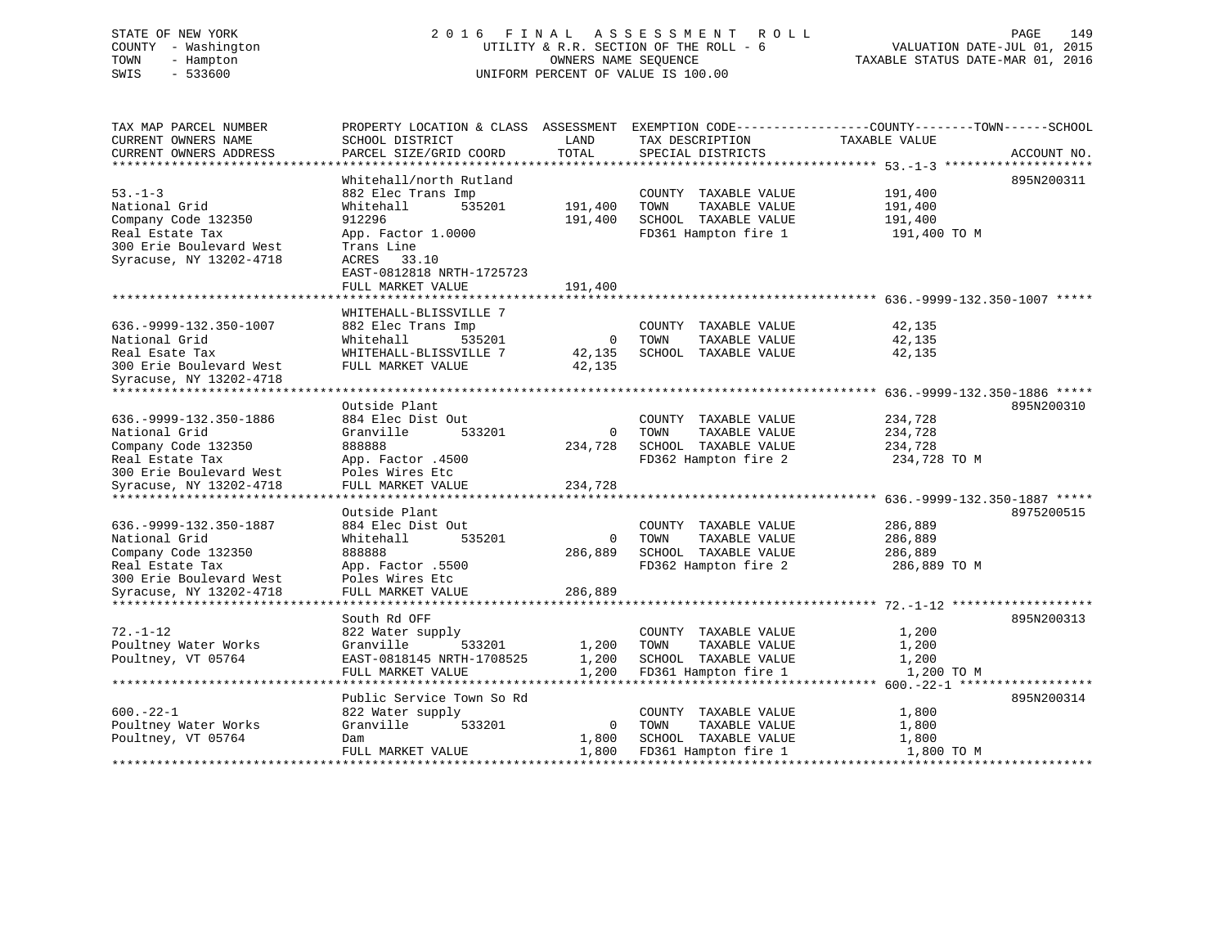# STATE OF NEW YORK 2 0 1 6 F I N A L A S S E S S M E N T R O L L PAGE 149 COUNTY - Washington UTILITY & R.R. SECTION OF THE ROLL - 6 VALUATION DATE-JUL 01, 2015 TOWN - Hampton OWNERS NAME SEQUENCE TAXABLE STATUS DATE-MAR 01, 2016 SWIS - 533600 UNIFORM PERCENT OF VALUE IS 100.00

TAX MAP PARCEL NUMBER PROPERTY LOCATION & CLASS ASSESSMENT EXEMPTION CODE------------------COUNTY--------TOWN------SCHOOL

CURRENT OWNERS NAME SCHOOL DISTRICT LAND TAX DESCRIPTION TAXABLE VALUECURRENT OWNERS ADDRESS PARCEL SIZE/GRID COORD TOTAL SPECIAL DISTRICTS ACCOUNT NO. \*\*\*\*\*\*\*\*\*\*\*\*\*\*\*\*\*\*\*\*\*\*\*\*\*\*\*\*\*\*\*\*\*\*\*\*\*\*\*\*\*\*\*\*\*\*\*\*\*\*\*\*\*\*\*\*\*\*\*\*\*\*\*\*\*\*\*\*\*\*\*\*\*\*\*\*\*\*\*\*\*\*\*\*\*\*\*\*\*\*\*\*\*\*\*\*\*\*\*\*\*\*\* 53.-1-3 \*\*\*\*\*\*\*\*\*\*\*\*\*\*\*\*\*\*\*\* Whitehall/north Rutland 895N200311 53.-1-3 882 Elec Trans Imp COUNTY TAXABLE VALUE 191,400 National Grid Whitehall 535201 191,400 TOWN TAXABLE VALUE 191,400 Company Code 132350 912296 191,400 SCHOOL TAXABLE VALUE 191,400 Real Estate Tax App. Factor 1.0000 FD361 Hampton fire 1 191,400 TO M 300 Erie Boulevard West Trans Line Syracuse, NY 13202-4718 ACRES 33.10 EAST-0812818 NRTH-1725723FULL MARKET VALUE 191,400 \*\*\*\*\*\*\*\*\*\*\*\*\*\*\*\*\*\*\*\*\*\*\*\*\*\*\*\*\*\*\*\*\*\*\*\*\*\*\*\*\*\*\*\*\*\*\*\*\*\*\*\*\*\*\*\*\*\*\*\*\*\*\*\*\*\*\*\*\*\*\*\*\*\*\*\*\*\*\*\*\*\*\*\*\*\*\*\*\*\*\*\*\*\*\*\*\*\*\*\*\*\*\* 636.-9999-132.350-1007 \*\*\*\*\* WHITEHALL-BLISSVILLE 7636.-9999-132.350-1007 882 Elec Trans Imp COUNTY TAXABLE VALUE 42,135 National Grid Whitehall 535201 0 TOWN TAXABLE VALUE 42,135 Real Esate Tax WHITEHALL-BLISSVILLE 7 42,135 SCHOOL TAXABLE VALUE 42,135 300 Erie Boulevard West FULL MARKET VALUE 42,135 Syracuse, NY 13202-4718 \*\*\*\*\*\*\*\*\*\*\*\*\*\*\*\*\*\*\*\*\*\*\*\*\*\*\*\*\*\*\*\*\*\*\*\*\*\*\*\*\*\*\*\*\*\*\*\*\*\*\*\*\*\*\*\*\*\*\*\*\*\*\*\*\*\*\*\*\*\*\*\*\*\*\*\*\*\*\*\*\*\*\*\*\*\*\*\*\*\*\*\*\*\*\*\*\*\*\*\*\*\*\* 636.-9999-132.350-1886 \*\*\*\*\* Outside Plant 895N200310636.-9999-132.350-1886 884 Elec Dist Out COUNTY TAXABLE VALUE 234,728 National Grid Granville 533201 0 TOWN TAXABLE VALUE 234,728 Company Code 132350 888888 234,728 SCHOOL TAXABLE VALUE 234,728 Real Estate Tax App. Factor .4500 FD362 Hampton fire 2 234,728 TO M 300 Erie Boulevard West Poles Wires Etc Syracuse, NY 13202-4718 FULL MARKET VALUE 234,728 \*\*\*\*\*\*\*\*\*\*\*\*\*\*\*\*\*\*\*\*\*\*\*\*\*\*\*\*\*\*\*\*\*\*\*\*\*\*\*\*\*\*\*\*\*\*\*\*\*\*\*\*\*\*\*\*\*\*\*\*\*\*\*\*\*\*\*\*\*\*\*\*\*\*\*\*\*\*\*\*\*\*\*\*\*\*\*\*\*\*\*\*\*\*\*\*\*\*\*\*\*\*\* 636.-9999-132.350-1887 \*\*\*\*\* Outside Plant 8975200515636.-9999-132.350-1887 884 Elec Dist Out COUNTY TAXABLE VALUE 286,889 National Grid Whitehall 535201 0 TOWN TAXABLE VALUE 286,889 Company Code 132350 888888 286,889 SCHOOL TAXABLE VALUE 286,889 Real Estate Tax App. Factor .5500 FD362 Hampton fire 2 286,889 TO M 300 Erie Boulevard West Poles Wires Etc Syracuse, NY 13202-4718 FULL MARKET VALUE 286,889 \*\*\*\*\*\*\*\*\*\*\*\*\*\*\*\*\*\*\*\*\*\*\*\*\*\*\*\*\*\*\*\*\*\*\*\*\*\*\*\*\*\*\*\*\*\*\*\*\*\*\*\*\*\*\*\*\*\*\*\*\*\*\*\*\*\*\*\*\*\*\*\*\*\*\*\*\*\*\*\*\*\*\*\*\*\*\*\*\*\*\*\*\*\*\*\*\*\*\*\*\*\*\* 72.-1-12 \*\*\*\*\*\*\*\*\*\*\*\*\*\*\*\*\*\*\* South Rd OFF 895N20031372.-1-12 822 Water supply COUNTY TAXABLE VALUE 1,200 Poultney Water Works Granville 533201 1,200 TOWN TAXABLE VALUE 1,200 Poultney, VT 05764 EAST-0818145 NRTH-1708525 1,200 SCHOOL TAXABLE VALUE 1,200 FULL MARKET VALUE 1,200 FD361 Hampton fire 1 1,200 TO M \*\*\*\*\*\*\*\*\*\*\*\*\*\*\*\*\*\*\*\*\*\*\*\*\*\*\*\*\*\*\*\*\*\*\*\*\*\*\*\*\*\*\*\*\*\*\*\*\*\*\*\*\*\*\*\*\*\*\*\*\*\*\*\*\*\*\*\*\*\*\*\*\*\*\*\*\*\*\*\*\*\*\*\*\*\*\*\*\*\*\*\*\*\*\*\*\*\*\*\*\*\*\* 600.-22-1 \*\*\*\*\*\*\*\*\*\*\*\*\*\*\*\*\*\*Public Service Town So Rd 895N200314 600.-22-1 822 Water supply COUNTY TAXABLE VALUE 1,800 Poultney Water Works Granville 533201 0 TOWN TAXABLE VALUE 1,800 Poultney, VT 05764 Dam 1,800 SCHOOL TAXABLE VALUE 1,800 FULL MARKET VALUE 1,800 FD361 Hampton fire 1 1,800 TO M \*\*\*\*\*\*\*\*\*\*\*\*\*\*\*\*\*\*\*\*\*\*\*\*\*\*\*\*\*\*\*\*\*\*\*\*\*\*\*\*\*\*\*\*\*\*\*\*\*\*\*\*\*\*\*\*\*\*\*\*\*\*\*\*\*\*\*\*\*\*\*\*\*\*\*\*\*\*\*\*\*\*\*\*\*\*\*\*\*\*\*\*\*\*\*\*\*\*\*\*\*\*\*\*\*\*\*\*\*\*\*\*\*\*\*\*\*\*\*\*\*\*\*\*\*\*\*\*\*\*\*\*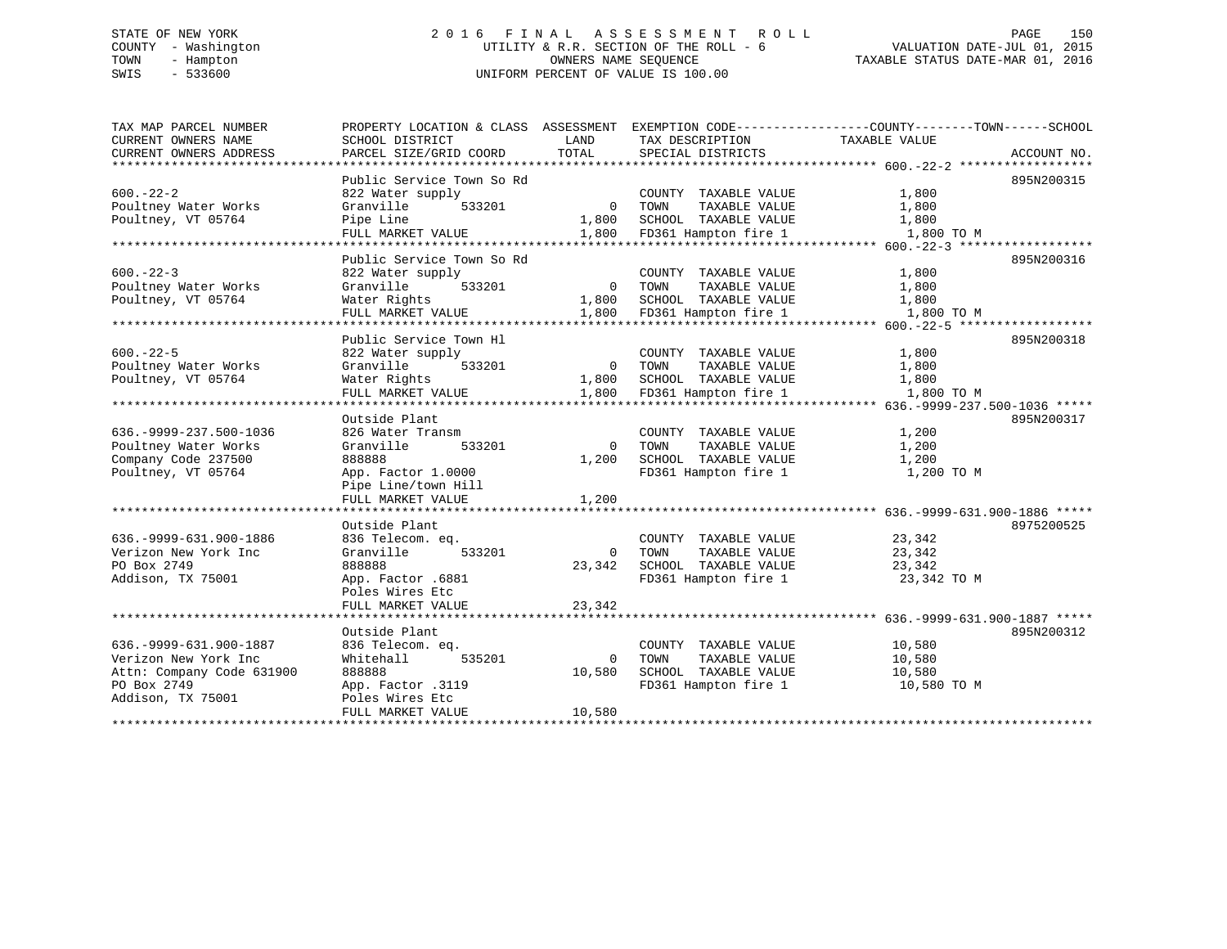# STATE OF NEW YORK 2 0 1 6 F I N A L A S S E S S M E N T R O L L PAGE 150 COUNTY - Washington UTILITY & R.R. SECTION OF THE ROLL - 6 VALUATION DATE-JUL 01, 2015 TOWN - Hampton OWNERS NAME SEQUENCE TAXABLE STATUS DATE-MAR 01, 2016 SWIS - 533600 UNIFORM PERCENT OF VALUE IS 100.00

| TAX MAP PARCEL NUMBER         | PROPERTY LOCATION & CLASS ASSESSMENT EXEMPTION CODE----------------COUNTY-------TOWN-----SCHOOL |                       |                                               |                |             |
|-------------------------------|-------------------------------------------------------------------------------------------------|-----------------------|-----------------------------------------------|----------------|-------------|
| CURRENT OWNERS NAME           | SCHOOL DISTRICT                                                                                 | LAND                  | TAX DESCRIPTION                               | TAXABLE VALUE  |             |
| CURRENT OWNERS ADDRESS        | PARCEL SIZE/GRID COORD                                                                          | TOTAL                 | SPECIAL DISTRICTS                             |                | ACCOUNT NO. |
|                               |                                                                                                 |                       |                                               |                |             |
|                               | Public Service Town So Rd                                                                       |                       |                                               |                | 895N200315  |
| $600 - 22 - 2$                | 822 Water supply                                                                                |                       | COUNTY TAXABLE VALUE                          | 1,800          |             |
| Poultney Water Works          | Granville<br>533201                                                                             | $\overline{0}$        | TAXABLE VALUE<br>TOWN                         | 1,800          |             |
| Poultney, VT 05764            | Pipe Line                                                                                       | 1,800                 | SCHOOL TAXABLE VALUE                          | 1,800          |             |
|                               | FULL MARKET VALUE                                                                               | 1,800                 | FD361 Hampton fire 1                          | 1,800 TO M     |             |
|                               |                                                                                                 |                       |                                               |                |             |
|                               | Public Service Town So Rd                                                                       |                       |                                               |                | 895N200316  |
| $600 - 22 - 3$                | 822 Water supply                                                                                |                       | COUNTY TAXABLE VALUE                          | 1,800          |             |
| Poultney Water Works          | Granville<br>533201                                                                             |                       | 0 TOWN<br>TAXABLE VALUE                       | 1,800          |             |
| Poultney, VT 05764            | Water Rights                                                                                    | 1,800                 | SCHOOL TAXABLE VALUE                          | 1,800          |             |
|                               | FULL MARKET VALUE                                                                               | 1,800                 | FD361 Hampton fire 1                          | 1,800 TO M     |             |
|                               |                                                                                                 |                       |                                               |                | 895N200318  |
| $600 - 22 - 5$                | Public Service Town Hl                                                                          |                       |                                               |                |             |
|                               | 822 Water supply                                                                                |                       | COUNTY TAXABLE VALUE                          | 1,800          |             |
| Poultney Water Works          | Granville<br>533201                                                                             | $\overline{0}$        | TOWN<br>TAXABLE VALUE                         | 1,800          |             |
| Poultney, VT 05764            | Water Rights                                                                                    | 1,800                 | SCHOOL TAXABLE VALUE                          | 1,800          |             |
|                               | FULL MARKET VALUE                                                                               | 1,800                 | FD361 Hampton fire 1                          | 1,800 TO M     |             |
|                               | Outside Plant                                                                                   |                       |                                               |                | 895N200317  |
| 636. - 9999 - 237. 500 - 1036 | 826 Water Transm                                                                                |                       |                                               |                |             |
| Poultney Water Works          | Granville<br>533201                                                                             | $\Omega$              | COUNTY TAXABLE VALUE<br>TOWN<br>TAXABLE VALUE | 1,200<br>1,200 |             |
| Company Code 237500           | 888888                                                                                          | 1,200                 | SCHOOL TAXABLE VALUE                          | 1,200          |             |
| Poultney, VT 05764            | App. Factor 1.0000                                                                              |                       | FD361 Hampton fire 1                          | 1,200 TO M     |             |
|                               | Pipe Line/town Hill                                                                             |                       |                                               |                |             |
|                               | FULL MARKET VALUE                                                                               | 1,200                 |                                               |                |             |
|                               |                                                                                                 |                       |                                               |                |             |
|                               | Outside Plant                                                                                   |                       |                                               |                | 8975200525  |
| 636. - 9999 - 631. 900 - 1886 | 836 Telecom. eq.                                                                                |                       | COUNTY TAXABLE VALUE                          | 23,342         |             |
| Verizon New York Inc          | 533201<br>Granville                                                                             | $\overline{0}$        | TOWN<br>TAXABLE VALUE                         | 23,342         |             |
| PO Box 2749                   | 888888                                                                                          | 23,342                | SCHOOL TAXABLE VALUE                          | 23,342         |             |
| Addison, TX 75001             | App. Factor .6881                                                                               |                       | FD361 Hampton fire 1                          | 23,342 TO M    |             |
|                               | Poles Wires Etc                                                                                 |                       |                                               |                |             |
|                               | FULL MARKET VALUE                                                                               | 23,342                |                                               |                |             |
|                               |                                                                                                 | * * * * * * * * * * * |                                               |                |             |
|                               | Outside Plant                                                                                   |                       |                                               |                | 895N200312  |
| 636. - 9999 - 631. 900 - 1887 | 836 Telecom. eq.                                                                                |                       | COUNTY TAXABLE VALUE                          | 10,580         |             |
| Verizon New York Inc          | 535201<br>Whitehall                                                                             | 0                     | TOWN<br>TAXABLE VALUE                         | 10,580         |             |
| Attn: Company Code 631900     | 888888                                                                                          | 10,580                | SCHOOL TAXABLE VALUE                          | 10,580         |             |
| PO Box 2749                   | App. Factor .3119                                                                               |                       | FD361 Hampton fire 1                          | 10,580 TO M    |             |
| Addison, TX 75001             | Poles Wires Etc                                                                                 |                       |                                               |                |             |
|                               | FULL MARKET VALUE                                                                               | 10,580                |                                               |                |             |
|                               |                                                                                                 |                       |                                               |                |             |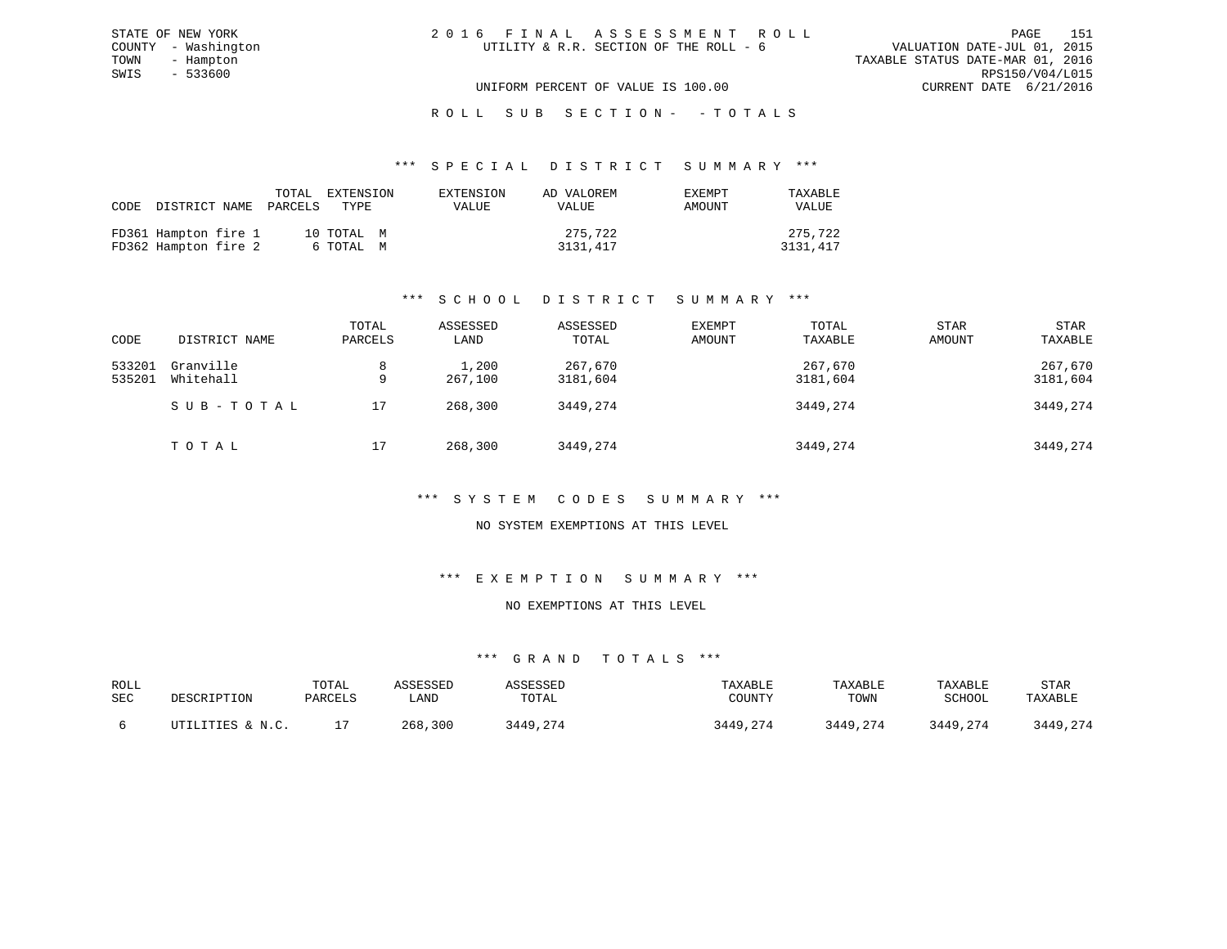| 2016 FINAL ASSESSMENT ROLL             |                                  | PAGE            | 151 |
|----------------------------------------|----------------------------------|-----------------|-----|
| UTILITY & R.R. SECTION OF THE ROLL - 6 | VALUATION DATE-JUL 01, 2015      |                 |     |
|                                        | TAXABLE STATUS DATE-MAR 01, 2016 |                 |     |
|                                        |                                  | RPS150/V04/L015 |     |
| UNIFORM PERCENT OF VALUE IS 100.00     | CURRENT DATE 6/21/2016           |                 |     |

# ROLL SUB SECTION - - TOTALS

#### \*\*\* S P E C I A L D I S T R I C T S U M M A R Y \*\*\*

| FD361 Hampton fire 1<br>275,722<br>10 TOTAL M | CODE DISTRICT NAME PARCELS TYPE |  | TOTAL EXTENSION | EXTENSION<br>VALUE | AD VALOREM<br>VALUE | EXEMPT<br>AMOUNT | TAXABLE<br><b>VALUE</b> |
|-----------------------------------------------|---------------------------------|--|-----------------|--------------------|---------------------|------------------|-------------------------|
| FD362 Hampton fire 2<br>3131,417<br>6 ТОТАЬ М |                                 |  |                 |                    |                     |                  | 275,722<br>3131,417     |

# \*\*\* S C H O O L D I S T R I C T S U M M A R Y \*\*\*

| CODE             | DISTRICT NAME          | TOTAL<br>PARCELS | ASSESSED<br>LAND | ASSESSED<br>TOTAL   | EXEMPT<br>AMOUNT | TOTAL<br>TAXABLE    | <b>STAR</b><br>AMOUNT | <b>STAR</b><br>TAXABLE |
|------------------|------------------------|------------------|------------------|---------------------|------------------|---------------------|-----------------------|------------------------|
| 533201<br>535201 | Granville<br>Whitehall | 8<br>9           | 1,200<br>267,100 | 267,670<br>3181,604 |                  | 267,670<br>3181,604 |                       | 267,670<br>3181,604    |
|                  | SUB-TOTAL              | 17               | 268,300          | 3449,274            |                  | 3449,274            |                       | 3449,274               |
|                  | TOTAL                  | 17               | 268,300          | 3449,274            |                  | 3449,274            |                       | 3449,274               |

#### \*\*\* S Y S T E M C O D E S S U M M A R Y \*\*\*

#### NO SYSTEM EXEMPTIONS AT THIS LEVEL

#### \*\*\* E X E M P T I O N S U M M A R Y \*\*\*

## NO EXEMPTIONS AT THIS LEVEL

| ROLL<br>SEC | DESCRIPTION      | TOTAL<br>PARCELS | \SSESSED<br>∟AND | SSESSED<br>TOTAL | TAXABLE<br>COUNTY | TAXABLE<br>TOWN | TAXABLE<br>SCHOOL | STAR<br>TAXABLE  |
|-------------|------------------|------------------|------------------|------------------|-------------------|-----------------|-------------------|------------------|
|             | UTILITIES & N.C. |                  | 300<br>268       | 2449             | 3449,274          | 3449,274        | 3449<br>3449,274  | 3449,274<br>3449 |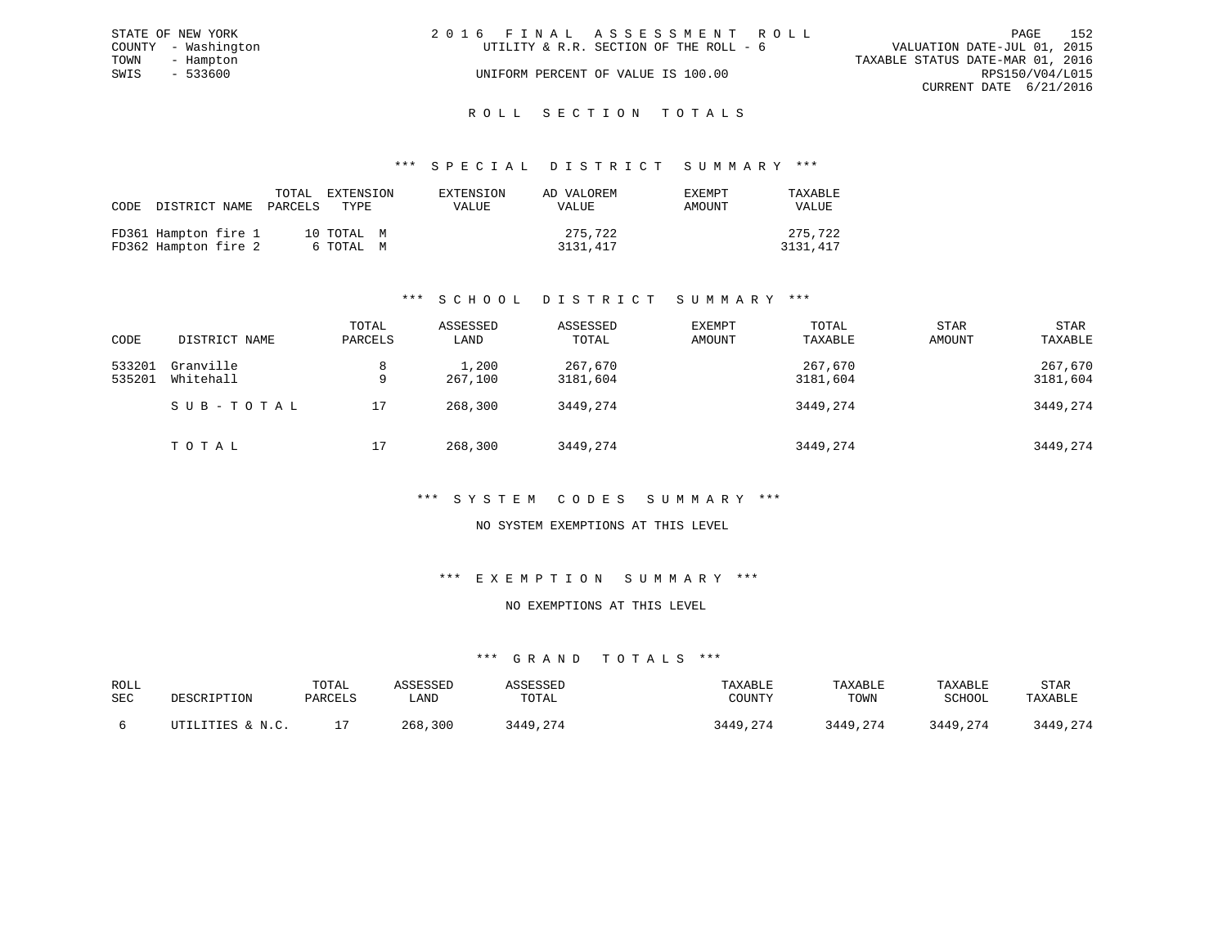|      | STATE OF NEW YORK   | 2016 FINAL ASSESSMENT ROLL                                            | PAGE            | 152 |
|------|---------------------|-----------------------------------------------------------------------|-----------------|-----|
|      | COUNTY - Washington | VALUATION DATE-JUL 01, 2015<br>UTILITY & R.R. SECTION OF THE ROLL - 6 |                 |     |
|      | TOWN - Hampton      | TAXABLE STATUS DATE-MAR 01, 2016                                      |                 |     |
| SWIS | $-533600$           | UNIFORM PERCENT OF VALUE IS 100.00                                    | RPS150/V04/L015 |     |
|      |                     | CURRENT DATE 6/21/2016                                                |                 |     |
|      |                     |                                                                       |                 |     |

# ROLL SECTION TOTALS

#### \*\*\* S P E C I A L D I S T R I C T S U M M A R Y \*\*\*

| CODE DISTRICT NAME                           | TOTAL<br>PARCELS | EXTENSION<br>TYPE       | EXTENSION<br>VALUE | AD VALOREM<br><b>VALUE</b> | EXEMPT<br>AMOUNT | TAXABLE<br><b>VALUE</b> |
|----------------------------------------------|------------------|-------------------------|--------------------|----------------------------|------------------|-------------------------|
| FD361 Hampton fire 1<br>FD362 Hampton fire 2 |                  | 10 TOTAL M<br>6 ТОТАL М |                    | 275,722<br>3131,417        |                  | 275,722<br>3131,417     |

# \*\*\* S C H O O L D I S T R I C T S U M M A R Y \*\*\*

| CODE             | DISTRICT NAME          | TOTAL<br>PARCELS | ASSESSED<br>LAND | ASSESSED<br>TOTAL   | EXEMPT<br>AMOUNT | TOTAL<br>TAXABLE    | <b>STAR</b><br>AMOUNT | STAR<br>TAXABLE     |
|------------------|------------------------|------------------|------------------|---------------------|------------------|---------------------|-----------------------|---------------------|
| 533201<br>535201 | Granville<br>Whitehall | 8<br>9           | 1,200<br>267,100 | 267,670<br>3181,604 |                  | 267,670<br>3181,604 |                       | 267,670<br>3181,604 |
|                  | SUB-TOTAL              | 17               | 268,300          | 3449,274            |                  | 3449,274            |                       | 3449,274            |
|                  | TOTAL                  | 17               | 268,300          | 3449,274            |                  | 3449,274            |                       | 3449,274            |

#### \*\*\* S Y S T E M C O D E S S U M M A R Y \*\*\*

#### NO SYSTEM EXEMPTIONS AT THIS LEVEL

#### \*\*\* E X E M P T I O N S U M M A R Y \*\*\*

### NO EXEMPTIONS AT THIS LEVEL

| ROLL<br>SEC | <b>DESCRIPTION</b> | TOTAL<br>PARCELS | . AND       | TOTAL | TAXABLE<br>COUNT! | TAXABLE<br>TOWN | TAXABLE<br>SCHOOL | STAR<br>TAXABLE |
|-------------|--------------------|------------------|-------------|-------|-------------------|-----------------|-------------------|-----------------|
|             | ITTILITIES & N C   |                  | .300<br>268 | 7440  | 3449,274          | 3449,274        | 3449,274          | 3449,274        |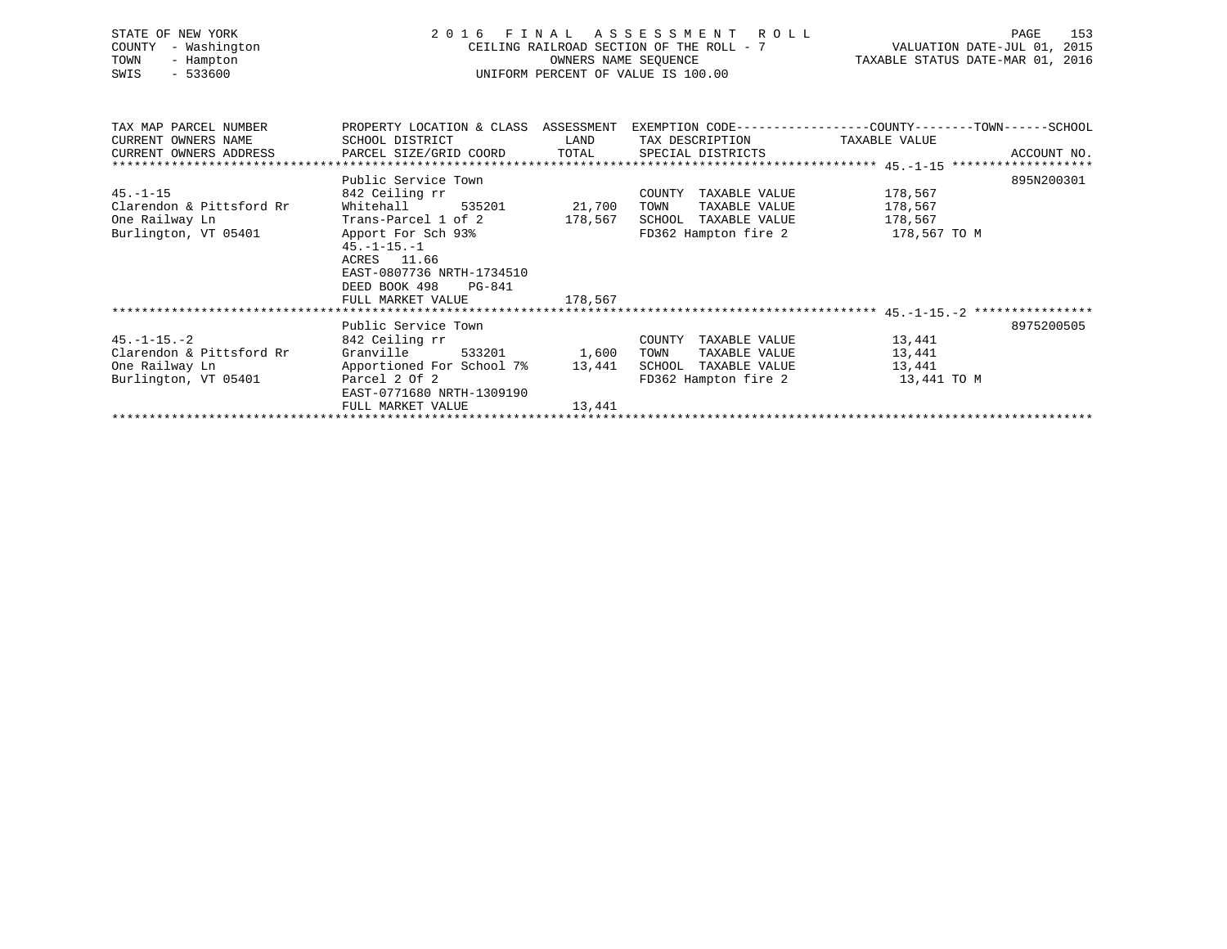| STATE OF NEW YORK<br>COUNTY<br>- Washington<br>TOWN<br>- Hampton<br>$-533600$<br>SWIS | FINAL ASSESSMENT ROLL<br>2016<br>CEILING RAILROAD SECTION OF THE ROLL - 7<br>UNIFORM PERCENT OF VALUE IS 100.00 | 153<br>PAGE<br>VALUATION DATE-JUL 01, 2015<br>TAXABLE STATUS DATE-MAR 01, 2016 |                                               |                                                                                                                 |
|---------------------------------------------------------------------------------------|-----------------------------------------------------------------------------------------------------------------|--------------------------------------------------------------------------------|-----------------------------------------------|-----------------------------------------------------------------------------------------------------------------|
| TAX MAP PARCEL NUMBER<br>CURRENT OWNERS NAME                                          | SCHOOL DISTRICT                                                                                                 | LAND                                                                           | TAX DESCRIPTION                               | PROPERTY LOCATION & CLASS ASSESSMENT EXEMPTION CODE---------------COUNTY-------TOWN-----SCHOOL<br>TAXABLE VALUE |
| CURRENT OWNERS ADDRESS                                                                | PARCEL SIZE/GRID COORD TOTAL                                                                                    |                                                                                | SPECIAL DISTRICTS                             | ACCOUNT NO.                                                                                                     |
|                                                                                       |                                                                                                                 |                                                                                |                                               |                                                                                                                 |
|                                                                                       | Public Service Town                                                                                             |                                                                                |                                               | 895N200301                                                                                                      |
| $45. - 1 - 15$                                                                        | 842 Ceiling rr                                                                                                  |                                                                                | COUNTY TAXABLE VALUE                          | 178,567                                                                                                         |
| Clarendon & Pittsford Rr                                                              | Whitehall<br>535201                                                                                             | 21,700                                                                         | TOWN<br>TAXABLE VALUE                         | 178,567                                                                                                         |
| One Railway Ln                                                                        | Trans-Parcel 1 of 2                                                                                             | 178,567                                                                        | SCHOOL TAXABLE VALUE                          | 178,567                                                                                                         |
| Burlington, VT 05401                                                                  | Apport For Sch 93%<br>$45. -1 - 15. - 1$<br>ACRES 11.66<br>EAST-0807736 NRTH-1734510<br>DEED BOOK 498<br>PG-841 |                                                                                | FD362 Hampton fire 2 178,567 TO M             |                                                                                                                 |
|                                                                                       | FULL MARKET VALUE                                                                                               | 178,567                                                                        |                                               |                                                                                                                 |
|                                                                                       |                                                                                                                 |                                                                                |                                               |                                                                                                                 |
| $45. -1 - 15. -2$                                                                     | Public Service Town                                                                                             |                                                                                |                                               | 8975200505                                                                                                      |
| Clarendon & Pittsford Rr                                                              | 842 Ceiling rr<br>Granville<br>533201                                                                           | 1,600                                                                          | COUNTY TAXABLE VALUE<br>TAXABLE VALUE<br>TOWN | 13,441<br>13,441                                                                                                |
| One Railway Ln                                                                        | Apportioned For School 7%                                                                                       | 13,441                                                                         | SCHOOL TAXABLE VALUE                          | 13,441                                                                                                          |
| Burlington, VT 05401                                                                  | Parcel 2 Of 2<br>EAST-0771680 NRTH-1309190                                                                      |                                                                                | FD362 Hampton fire 2                          | 13,441 TO M                                                                                                     |
|                                                                                       | FULL MARKET VALUE                                                                                               | 13,441                                                                         |                                               |                                                                                                                 |
|                                                                                       |                                                                                                                 |                                                                                |                                               |                                                                                                                 |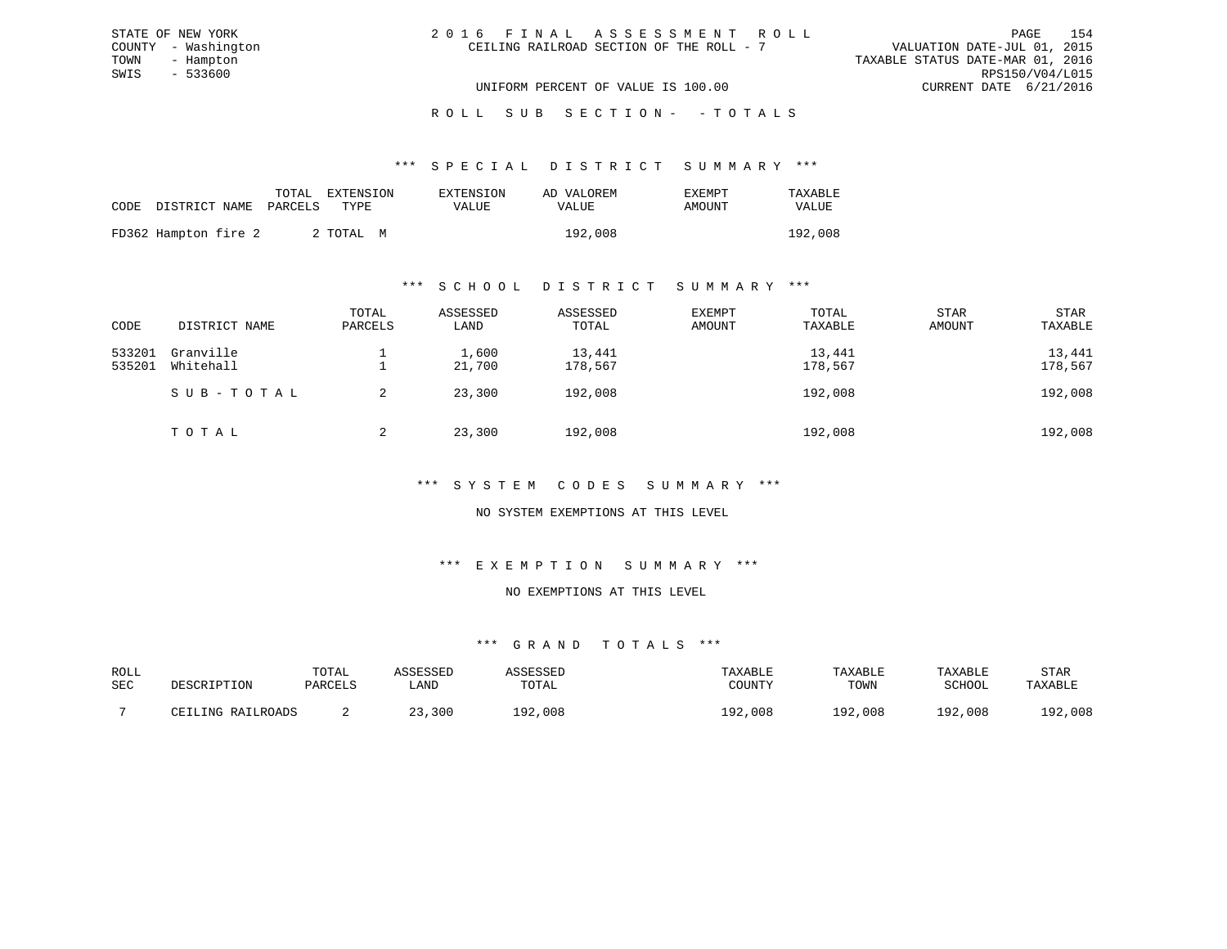| 2016 FINAL ASSESSMENT ROLL |                                          |                                  | PAGE                   | 154 |
|----------------------------|------------------------------------------|----------------------------------|------------------------|-----|
|                            | CEILING RAILROAD SECTION OF THE ROLL - 7 | VALUATION DATE-JUL 01, 2015      |                        |     |
|                            |                                          | TAXABLE STATUS DATE-MAR 01, 2016 |                        |     |
|                            |                                          |                                  | RPS150/V04/L015        |     |
|                            | UNIFORM PERCENT OF VALUE IS 100.00       |                                  | CURRENT DATE 6/21/2016 |     |

# ROLL SUB SECTION - - TOTALS

#### \*\*\* S P E C I A L D I S T R I C T S U M M A R Y \*\*\*

|                            | TOTAL EXTENSION | EXTENSION | AD VALOREM | EXEMPT | TAXABLE      |
|----------------------------|-----------------|-----------|------------|--------|--------------|
| CODE DISTRICT NAME PARCELS | TYPE.           | VALUE     | VALUE      | AMOUNT | <b>VALUE</b> |
| FD362 Hampton fire 2       | 2 TOTAL M       |           | 192,008    |        | 192,008      |

#### \*\*\* S C H O O L D I S T R I C T S U M M A R Y \*\*\*

| CODE             | DISTRICT NAME          | TOTAL<br>PARCELS | ASSESSED<br>LAND | ASSESSED<br>TOTAL | EXEMPT<br>AMOUNT | TOTAL<br>TAXABLE  | <b>STAR</b><br>AMOUNT | STAR<br>TAXABLE   |
|------------------|------------------------|------------------|------------------|-------------------|------------------|-------------------|-----------------------|-------------------|
| 533201<br>535201 | Granville<br>Whitehall |                  | 1,600<br>21,700  | 13,441<br>178,567 |                  | 13,441<br>178,567 |                       | 13,441<br>178,567 |
|                  | SUB-TOTAL              |                  | 23,300           | 192,008           |                  | 192,008           |                       | 192,008           |
|                  | TOTAL                  | 2                | 23,300           | 192,008           |                  | 192,008           |                       | 192,008           |

## \*\*\* S Y S T E M C O D E S S U M M A R Y \*\*\*

## NO SYSTEM EXEMPTIONS AT THIS LEVEL

### \*\*\* E X E M P T I O N S U M M A R Y \*\*\*

#### NO EXEMPTIONS AT THIS LEVEL

| ROLL |                   | TOTAL   | .ccrccrr |              | TAXABLE    | TAXABLE | TAXABLE | STAR    |
|------|-------------------|---------|----------|--------------|------------|---------|---------|---------|
| SEC  | DESCRIPTION       | PARCELS | ∟AND     | TOTAL        | COUNTY     | TOWN    | SCHOOL  | TAXABLE |
|      | CEILING RAILROADS |         | ,300     | ,008<br>ר חו | ,008<br>റി | L92,008 | 192,008 | 192,008 |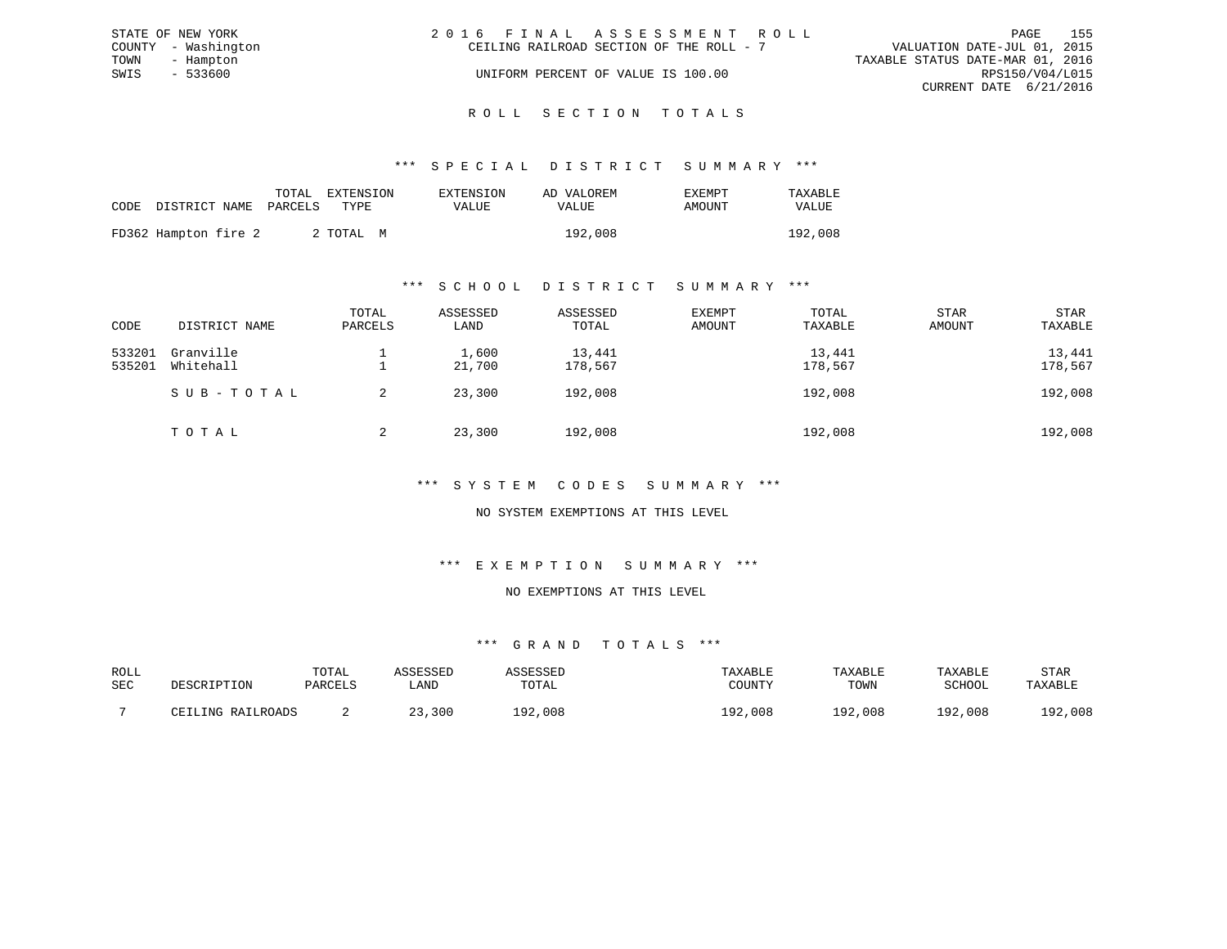| STATE OF NEW YORK   | 2016 FINAL ASSESSMENT ROLL               | 155<br>PAGE                      |
|---------------------|------------------------------------------|----------------------------------|
| COUNTY - Washington | CEILING RAILROAD SECTION OF THE ROLL - 7 | VALUATION DATE-JUL 01, 2015      |
| TOWN<br>- Hampton   |                                          | TAXABLE STATUS DATE-MAR 01, 2016 |
| $-533600$<br>SWIS   | UNIFORM PERCENT OF VALUE IS 100.00       | RPS150/V04/L015                  |
|                     |                                          | CURRENT DATE 6/21/2016           |
|                     |                                          |                                  |

#### R O L L S E C T I O N T O T A L S

#### \*\*\* S P E C I A L D I S T R I C T S U M M A R Y \*\*\*

|                            | TOTAL | EXTENSION | EXTENSION | AD VALOREM | <b>EXEMPT</b> | TAXABLE |
|----------------------------|-------|-----------|-----------|------------|---------------|---------|
| CODE DISTRICT NAME PARCELS |       | TYPE.     | VALUE     | VALUE      | AMOUNT        | VALUE   |
| FD362 Hampton fire 2       |       | 2 ТОТАЬ М |           | 192,008    |               | 192,008 |

#### \*\*\* S C H O O L D I S T R I C T S U M M A R Y \*\*\*

| CODE             | DISTRICT NAME          | TOTAL<br>PARCELS | ASSESSED<br>LAND | ASSESSED<br>TOTAL | EXEMPT<br>AMOUNT | TOTAL<br>TAXABLE  | STAR<br>AMOUNT | STAR<br>TAXABLE   |
|------------------|------------------------|------------------|------------------|-------------------|------------------|-------------------|----------------|-------------------|
| 533201<br>535201 | Granville<br>Whitehall |                  | 1,600<br>21,700  | 13,441<br>178,567 |                  | 13,441<br>178,567 |                | 13,441<br>178,567 |
|                  | SUB-TOTAL              | 2                | 23,300           | 192,008           |                  | 192,008           |                | 192,008           |
|                  | TOTAL                  | 2                | 23,300           | 192,008           |                  | 192,008           |                | 192,008           |

### \*\*\* S Y S T E M C O D E S S U M M A R Y \*\*\*

## NO SYSTEM EXEMPTIONS AT THIS LEVEL

# \*\*\* E X E M P T I O N S U M M A R Y \*\*\*

#### NO EXEMPTIONS AT THIS LEVEL

| ROLL |                   | TOTAL   | CCFCCFD |         | TAXABLE    | TAXABLE      | TAXABLE       | STAR    |
|------|-------------------|---------|---------|---------|------------|--------------|---------------|---------|
| SEC  | DESCRIPTION       | PARCELS | LAND    | TOTAL   | COUNTY     | TOWN         | SCHOOL        | TAXABLE |
|      |                   |         |         |         |            |              |               |         |
|      | CEILING RAILROADS |         | 23,300  | 192,008 | ,008<br>ററ | ר מו<br>,008 | 1 ຊ ງ<br>,008 | 192,008 |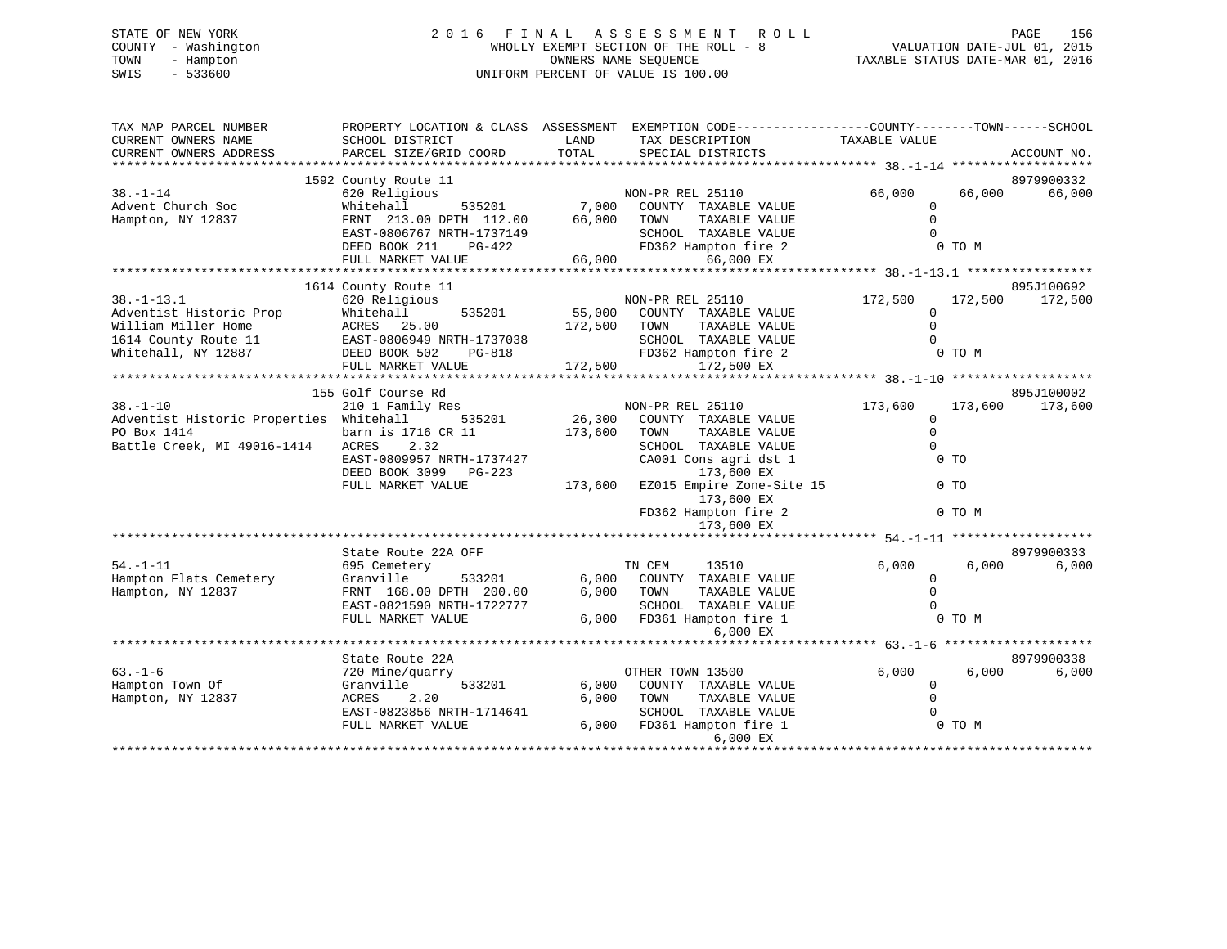# STATE OF NEW YORK 2 0 1 6 F I N A L A S S E S S M E N T R O L L PAGE 156 COUNTY - Washington WHOLLY EXEMPT SECTION OF THE ROLL - 8 VALUATION DATE-JUL 01, 2015 TOWN - Hampton OWNERS NAME SEQUENCE TAXABLE STATUS DATE-MAR 01, 2016 SWIS - 533600 UNIFORM PERCENT OF VALUE IS 100.00

| TAX MAP PARCEL NUMBER<br>CURRENT OWNERS NAME<br>CURRENT OWNERS ADDRESS | PROPERTY LOCATION & CLASS ASSESSMENT<br>SCHOOL DISTRICT<br>PARCEL SIZE/GRID COORD | LAND<br>TOTAL | EXEMPTION CODE-----------------COUNTY-------TOWN------SCHOOL<br>TAX DESCRIPTION<br>SPECIAL DISTRICTS | TAXABLE VALUE                    |                | ACCOUNT NO. |
|------------------------------------------------------------------------|-----------------------------------------------------------------------------------|---------------|------------------------------------------------------------------------------------------------------|----------------------------------|----------------|-------------|
|                                                                        |                                                                                   |               |                                                                                                      |                                  |                |             |
|                                                                        | 1592 County Route 11                                                              |               |                                                                                                      |                                  |                | 8979900332  |
| $38. - 1 - 14$                                                         | 620 Religious                                                                     |               | NON-PR REL 25110                                                                                     | 66,000                           | 66,000         | 66,000      |
| Advent Church Soc                                                      | 535201<br>Whitehall                                                               | 7,000         | COUNTY TAXABLE VALUE                                                                                 | $\Omega$                         |                |             |
| Hampton, NY 12837                                                      | FRNT 213.00 DPTH 112.00                                                           | 66,000        | TOWN<br>TAXABLE VALUE                                                                                | $\Omega$                         |                |             |
|                                                                        | EAST-0806767 NRTH-1737149                                                         |               | SCHOOL TAXABLE VALUE                                                                                 | $\Omega$                         |                |             |
|                                                                        | DEED BOOK 211<br>PG-422                                                           |               | FD362 Hampton fire 2                                                                                 |                                  | 0 TO M         |             |
|                                                                        | FULL MARKET VALUE                                                                 | 66,000        | 66,000 EX                                                                                            |                                  |                |             |
|                                                                        |                                                                                   |               |                                                                                                      |                                  |                |             |
|                                                                        | 1614 County Route 11                                                              |               |                                                                                                      |                                  |                | 895J100692  |
| $38. - 1 - 13.1$                                                       | 620 Religious                                                                     |               | NON-PR REL 25110                                                                                     | 172,500                          | 172,500        | 172,500     |
| Adventist Historic Prop                                                | 535201<br>Whitehall                                                               | 55,000        | COUNTY TAXABLE VALUE                                                                                 | 0                                |                |             |
| William Miller Home                                                    | ACRES 25.00                                                                       | 172,500       | TOWN<br>TAXABLE VALUE                                                                                | $\Omega$                         |                |             |
| 1614 County Route 11                                                   | EAST-0806949 NRTH-1737038                                                         |               | SCHOOL TAXABLE VALUE                                                                                 | $\Omega$                         |                |             |
| Whitehall, NY 12887                                                    | DEED BOOK 502<br>PG-818                                                           |               | FD362 Hampton fire 2                                                                                 |                                  | 0 TO M         |             |
|                                                                        | FULL MARKET VALUE                                                                 | 172,500       | 172,500 EX                                                                                           |                                  |                |             |
|                                                                        |                                                                                   |               |                                                                                                      |                                  |                |             |
|                                                                        | 155 Golf Course Rd                                                                |               |                                                                                                      |                                  |                | 895J100002  |
| $38. - 1 - 10$                                                         | 210 1 Family Res                                                                  |               | NON-PR REL 25110                                                                                     | 173,600                          | 173,600        | 173,600     |
| Adventist Historic Properties Whitehall                                | 535201                                                                            | 26, 300       | COUNTY TAXABLE VALUE                                                                                 | $\mathbf 0$                      |                |             |
| PO Box 1414                                                            | barn is 1716 CR 11                                                                | 173,600       | TOWN<br>TAXABLE VALUE                                                                                | $\mathbf 0$                      |                |             |
| Battle Creek, MI 49016-1414                                            | ACRES<br>2.32                                                                     |               | SCHOOL TAXABLE VALUE                                                                                 | $\mathbf 0$                      |                |             |
|                                                                        | EAST-0809957 NRTH-1737427                                                         |               | CA001 Cons agri dst 1                                                                                |                                  | 0 <sub>T</sub> |             |
|                                                                        | DEED BOOK 3099 PG-223                                                             |               | 173,600 EX                                                                                           |                                  |                |             |
|                                                                        | FULL MARKET VALUE                                                                 | 173,600       | EZ015 Empire Zone-Site 15                                                                            |                                  | $0$ TO         |             |
|                                                                        |                                                                                   |               | 173,600 EX                                                                                           |                                  |                |             |
|                                                                        |                                                                                   |               | FD362 Hampton fire 2                                                                                 |                                  | 0 TO M         |             |
|                                                                        |                                                                                   |               | 173,600 EX                                                                                           |                                  |                |             |
|                                                                        |                                                                                   |               |                                                                                                      |                                  |                |             |
|                                                                        | State Route 22A OFF                                                               |               |                                                                                                      |                                  |                | 8979900333  |
| $54. - 1 - 11$                                                         | 695 Cemetery                                                                      |               | TN CEM<br>13510                                                                                      | 6,000                            | 6,000          | 6,000       |
| Hampton Flats Cemetery                                                 | Granville<br>533201                                                               | 6,000         | COUNTY TAXABLE VALUE                                                                                 | $\Omega$                         |                |             |
| Hampton, NY 12837                                                      | FRNT 168.00 DPTH 200.00                                                           | 6,000         | TOWN<br>TAXABLE VALUE                                                                                | $\mathbf 0$                      |                |             |
|                                                                        | EAST-0821590 NRTH-1722777                                                         |               | SCHOOL TAXABLE VALUE                                                                                 | $\Omega$                         |                |             |
|                                                                        | FULL MARKET VALUE                                                                 | 6,000         | FD361 Hampton fire 1                                                                                 |                                  | 0 TO M         |             |
|                                                                        |                                                                                   |               | 6,000 EX                                                                                             |                                  |                |             |
|                                                                        |                                                                                   |               |                                                                                                      | ********** 63.-1-6 ************* |                |             |
|                                                                        | State Route 22A                                                                   |               |                                                                                                      |                                  |                | 8979900338  |
| $63. - 1 - 6$                                                          | 720 Mine/quarry                                                                   |               | OTHER TOWN 13500                                                                                     | 6,000                            | 6,000          | 6,000       |
| Hampton Town Of                                                        | 533201<br>Granville                                                               | 6,000         | COUNTY TAXABLE VALUE                                                                                 | 0                                |                |             |
| Hampton, NY 12837                                                      | ACRES<br>2.20                                                                     | 6,000         | TOWN<br>TAXABLE VALUE                                                                                | $\Omega$                         |                |             |
|                                                                        | EAST-0823856 NRTH-1714641                                                         |               | SCHOOL TAXABLE VALUE                                                                                 |                                  |                |             |
|                                                                        | FULL MARKET VALUE                                                                 | 6,000         | FD361 Hampton fire 1                                                                                 |                                  | 0 TO M         |             |
|                                                                        |                                                                                   |               | 6,000 EX                                                                                             |                                  |                |             |
|                                                                        |                                                                                   |               |                                                                                                      |                                  |                |             |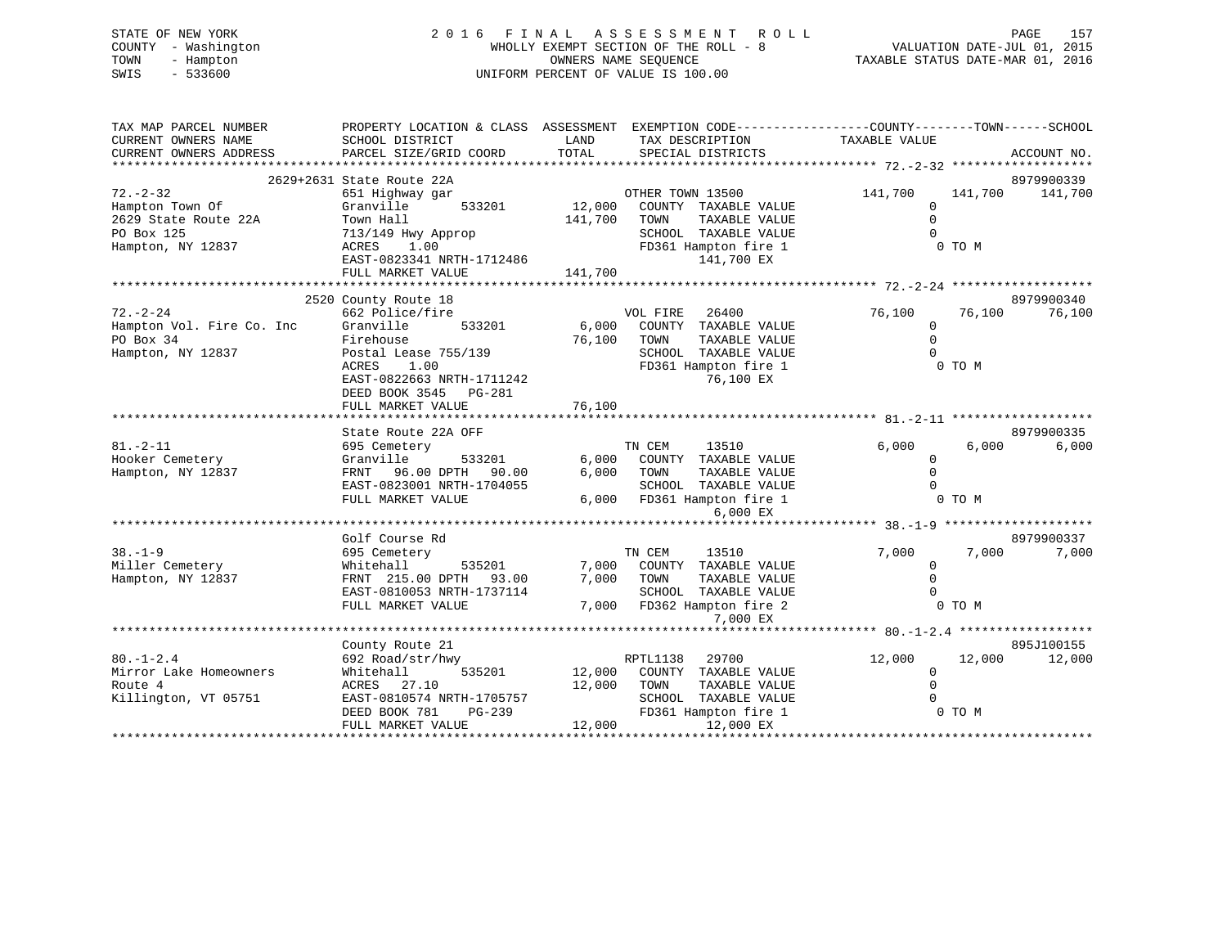|      | STATE OF NEW YORK   | 2016 FINAL ASSESSMENT ROLL            | PAGE                             | 157 |
|------|---------------------|---------------------------------------|----------------------------------|-----|
|      | COUNTY - Washington | WHOLLY EXEMPT SECTION OF THE ROLL - 8 | VALUATION DATE-JUL 01, 2015      |     |
| TOWN | - Hampton           | OWNERS NAME SEOUENCE                  | TAXABLE STATUS DATE-MAR 01, 2016 |     |
| SWIS | $-533600$           | UNIFORM PERCENT OF VALUE IS 100.00    |                                  |     |
|      |                     |                                       |                                  |     |
|      |                     |                                       |                                  |     |

| TAX MAP PARCEL NUMBER<br>CURRENT OWNERS NAME<br>CURRENT OWNERS ADDRESS                       | PROPERTY LOCATION & CLASS ASSESSMENT<br>SCHOOL DISTRICT<br>PARCEL SIZE/GRID COORD                                                                                         | LAND<br>TOTAL                | EXEMPTION CODE-----------------COUNTY-------TOWN------SCHOOL<br>TAX DESCRIPTION<br>SPECIAL DISTRICTS                              | TAXABLE VALUE                                  |                   | ACCOUNT NO.           |
|----------------------------------------------------------------------------------------------|---------------------------------------------------------------------------------------------------------------------------------------------------------------------------|------------------------------|-----------------------------------------------------------------------------------------------------------------------------------|------------------------------------------------|-------------------|-----------------------|
| $72. - 2 - 32$<br>Hampton Town Of<br>2629 State Route 22A<br>PO Box 125<br>Hampton, NY 12837 | 2629+2631 State Route 22A<br>651 Highway gar<br>Granville<br>533201<br>Town Hall<br>713/149 Hwy Approp<br>ACRES<br>1.00<br>EAST-0823341 NRTH-1712486<br>FULL MARKET VALUE | 12,000<br>141,700<br>141,700 | OTHER TOWN 13500<br>COUNTY TAXABLE VALUE<br>TOWN<br>TAXABLE VALUE<br>SCHOOL TAXABLE VALUE<br>FD361 Hampton fire 1<br>141,700 EX   | 141,700<br>$\mathbf 0$<br>$\Omega$<br>$\Omega$ | 141,700<br>0 TO M | 8979900339<br>141,700 |
| $72. - 2 - 24$                                                                               | 2520 County Route 18<br>662 Police/fire                                                                                                                                   |                              |                                                                                                                                   | 76,100                                         | 76,100            | 8979900340<br>76,100  |
| Hampton Vol. Fire Co. Inc<br>PO Box 34<br>Hampton, NY 12837                                  | Granville<br>533201<br>Firehouse<br>Postal Lease 755/139<br><b>ACRES</b><br>1.00<br>EAST-0822663 NRTH-1711242<br>DEED BOOK 3545<br>PG-281<br>FULL MARKET VALUE            | 6,000<br>76,100<br>76,100    | VOL FIRE<br>26400<br>COUNTY TAXABLE VALUE<br>TAXABLE VALUE<br>TOWN<br>SCHOOL TAXABLE VALUE<br>FD361 Hampton fire 1<br>76,100 EX   | $\Omega$<br>$\mathbf 0$<br>$\Omega$            | 0 TO M            |                       |
|                                                                                              | State Route 22A OFF                                                                                                                                                       |                              |                                                                                                                                   |                                                |                   | 8979900335            |
| $81. - 2 - 11$<br>Hooker Cemetery<br>Hampton, NY 12837                                       | 695 Cemetery<br>Granville<br>533201<br>96.00 DPTH<br>FRNT<br>90.00<br>EAST-0823001 NRTH-1704055<br>FULL MARKET VALUE                                                      | 6,000<br>6,000<br>6,000      | TN CEM<br>13510<br>COUNTY<br>TAXABLE VALUE<br>TAXABLE VALUE<br>TOWN<br>SCHOOL TAXABLE VALUE<br>FD361 Hampton fire 1<br>$6.000$ EX | 6,000<br>$\mathbf 0$<br>0<br>$\Omega$          | 6,000<br>0 TO M   | 6,000                 |
|                                                                                              | Golf Course Rd                                                                                                                                                            |                              |                                                                                                                                   |                                                |                   | 8979900337            |
| $38. - 1 - 9$<br>Miller Cemetery<br>Hampton, NY 12837                                        | 695 Cemetery<br>Whitehall<br>535201<br>FRNT 215.00 DPTH<br>93.00<br>EAST-0810053 NRTH-1737114<br>FULL MARKET VALUE                                                        | 7,000<br>7,000<br>7,000      | TN CEM<br>13510<br>COUNTY TAXABLE VALUE<br>TOWN<br>TAXABLE VALUE<br>SCHOOL<br>TAXABLE VALUE<br>FD362 Hampton fire 2<br>7,000 EX   | 7,000<br>$\mathbf 0$<br>$\Omega$<br>$\Omega$   | 7,000<br>0 TO M   | 7,000                 |
|                                                                                              |                                                                                                                                                                           |                              |                                                                                                                                   |                                                |                   |                       |
| $80. - 1 - 2.4$<br>Mirror Lake Homeowners<br>Route 4<br>Killington, VT 05751                 | County Route 21<br>692 Road/str/hwy<br>Whitehall<br>535201<br>ACRES<br>27.10<br>EAST-0810574 NRTH-1705757<br>DEED BOOK 781<br>$PG-239$<br>FULL MARKET VALUE               | 12,000<br>12,000<br>12,000   | RPTL1138<br>29700<br>COUNTY TAXABLE VALUE<br>TOWN<br>TAXABLE VALUE<br>SCHOOL TAXABLE VALUE<br>FD361 Hampton fire 1<br>12,000 EX   | 12,000<br>$\mathbf 0$<br>$\Omega$              | 12,000<br>0 TO M  | 895J100155<br>12,000  |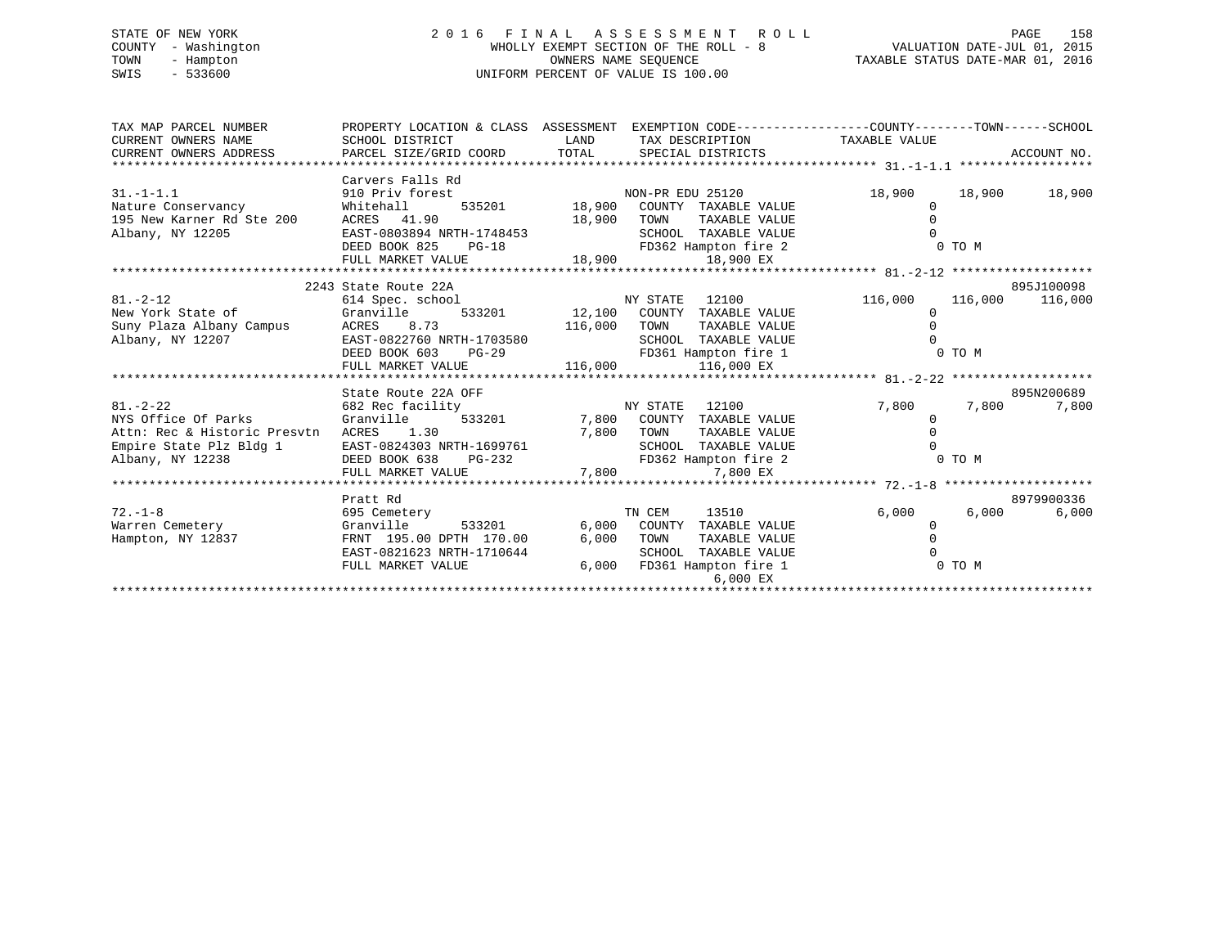# STATE OF NEW YORK 2 0 1 6 F I N A L A S S E S S M E N T R O L L PAGE 158 COUNTY - Washington WHOLLY EXEMPT SECTION OF THE ROLL - 8 VALUATION DATE-JUL 01, 2015 TOWN - Hampton OWNERS NAME SEQUENCE TAXABLE STATUS DATE-MAR 01, 2016 SWIS - 533600 UNIFORM PERCENT OF VALUE IS 100.00

| TAX MAP PARCEL NUMBER<br>CURRENT OWNERS NAME<br>CURRENT OWNERS ADDRESS                                               | PROPERTY LOCATION & CLASS ASSESSMENT EXEMPTION CODE---------------COUNTY-------TOWN-----SCHOOL<br>SCHOOL DISTRICT<br>PARCEL SIZE/GRID COORD TOTAL | <b>LAND</b>              | TAX DESCRIPTION TAXABLE VALUE<br>SPECIAL DISTRICTS                                                                               |                                                 |        | ACCOUNT NO.                   |
|----------------------------------------------------------------------------------------------------------------------|---------------------------------------------------------------------------------------------------------------------------------------------------|--------------------------|----------------------------------------------------------------------------------------------------------------------------------|-------------------------------------------------|--------|-------------------------------|
|                                                                                                                      |                                                                                                                                                   |                          |                                                                                                                                  |                                                 |        |                               |
| $31. -1 - 1.1$<br>Nature Conservancy 6 Mhitehall<br>195 New Karner Rd Ste 200<br>Albany, NY 12205                    | Carvers Falls Rd<br>910 Priv forest<br>ACRES 41.90<br>EAST-0803894 NRTH-1748453<br>DEED BOOK 825<br>$PG-18$                                       | 18,900 TOWN              | TAXABLE VALUE<br>SCHOOL TAXABLE VALUE<br>FD362 Hampton fire 2                                                                    | 18,900<br>$\Omega$<br>$\Omega$<br><b>O TO M</b> | 18,900 | 18,900                        |
|                                                                                                                      | FULL MARKET VALUE                                                                                                                                 |                          | $18,900$ $18,900$ $18,900$ $EX$                                                                                                  |                                                 |        |                               |
|                                                                                                                      |                                                                                                                                                   |                          |                                                                                                                                  |                                                 |        |                               |
| $81. - 2 - 12$<br>New York State of<br>Suny Plaza Albany Campus<br>Albany, NY 12207                                  | 2243 State Route 22A<br>614 Spec. school<br>Granville<br>ACRES 8.73<br>EAST-0822760 NRTH-1703580<br>DEED BOOK 603<br>$PG-29$                      | NY STATE<br>116,000 TOWN | 12100<br>533201 12,100 COUNTY TAXABLE VALUE<br>TAXABLE VALUE<br>SCHOOL TAXABLE VALUE<br>FD361 Hampton fire 1                     | 116,000<br>$\Omega$<br>$\Omega$                 | 0 TO M | 895J100098<br>116,000 116,000 |
|                                                                                                                      | FULL MARKET VALUE                                                                                                                                 | 116,000                  | 116,000 EX                                                                                                                       |                                                 |        |                               |
|                                                                                                                      | State Route 22A OFF                                                                                                                               | NY STATE                 |                                                                                                                                  |                                                 |        | 895N200689                    |
| $81. - 2 - 22$<br>NYS Office Of Parks<br>Attn: Rec & Historic Presvtn<br>Empire State Plz Bldg 1<br>Albany, NY 12238 | 682 Rec facility<br>Granville<br>EAST-0824303 NRTH-1699761<br>DEED BOOK 638 NRTH-069761 SCHOOL<br>DEED BOOK 638 PG-232<br>FULL MARKET VALUE       | 7,800                    | 12100<br>533201 7,800 COUNTY TAXABLE VALUE<br>TAXABLE VALUE<br>SCHOOL TAXABLE VALUE<br>FD362 Hampton fire 2<br>7,800 EX          | 7,800<br>0<br>$\Omega$<br>$0$ TO M              | 7,800  | 7,800                         |
|                                                                                                                      |                                                                                                                                                   |                          |                                                                                                                                  |                                                 |        |                               |
| $72. - 1 - 8$<br>Warren Cemetery<br>Hampton, NY 12837                                                                | Pratt Rd<br>695 Cemetery<br>Granville 533201<br>FRNT 195.00 DPTH 170.00<br>EAST-0821623 NRTH-1710644<br>FULL MARKET VALUE                         | 6,000 TOWN               | TN CEM<br>13510<br>6,000 COUNTY TAXABLE VALUE<br>TAXABLE VALUE<br>SCHOOL TAXABLE VALUE<br>6,000 FD361 Hampton fire 1<br>6,000 EX | 6,000<br>$\mathbf{0}$<br>$\Omega$<br>$0$ TO M   | 6,000  | 8979900336<br>6,000           |
|                                                                                                                      |                                                                                                                                                   |                          |                                                                                                                                  |                                                 |        |                               |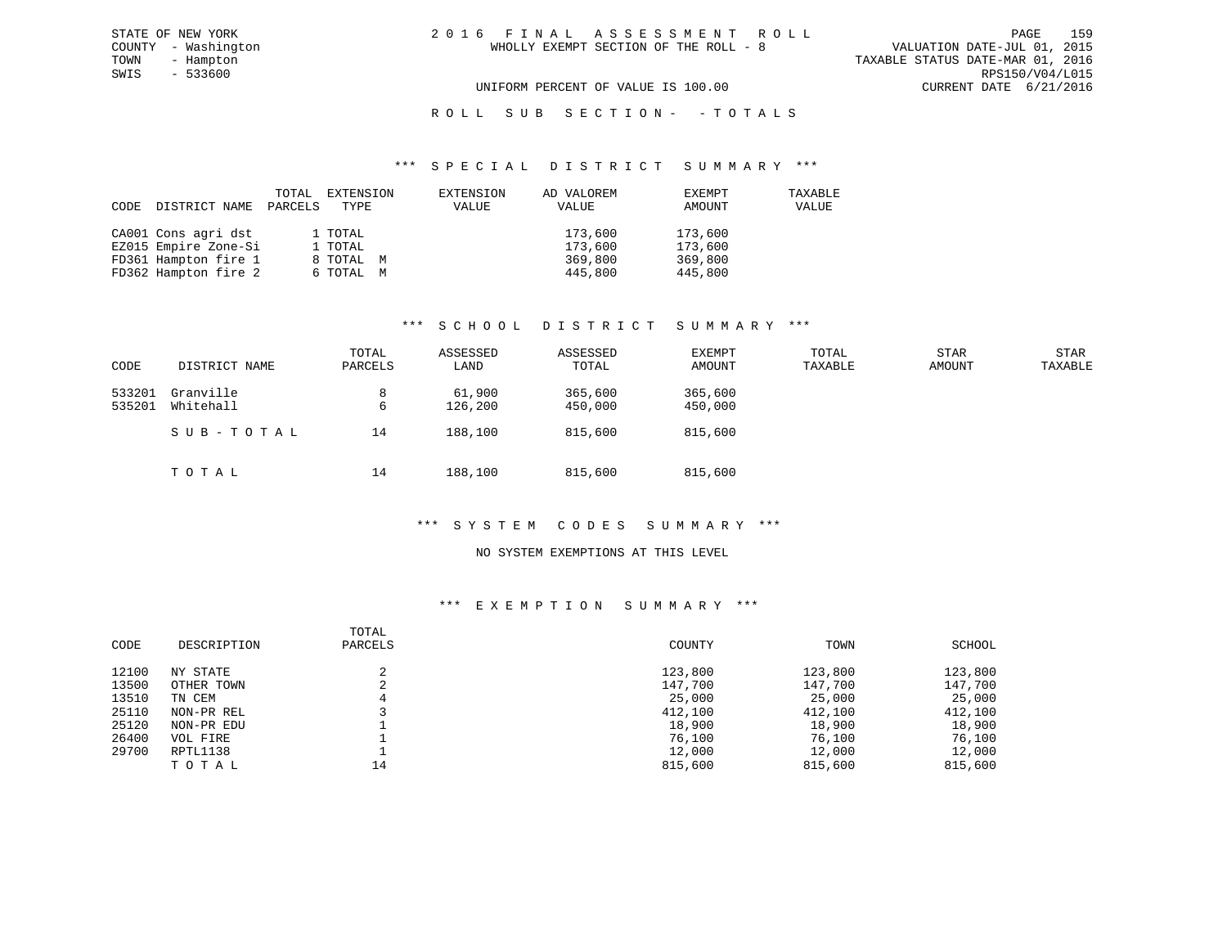# ROLL SUB SECTION - - TOTALS

#### \*\*\* S P E C I A L D I S T R I C T S U M M A R Y \*\*\*

| CODE | DISTRICT NAME        | TOTAL<br>PARCELS | EXTENSION<br>TYPE | EXTENSION<br>VALUE | AD VALOREM<br>VALUE | EXEMPT<br>AMOUNT | TAXABLE<br>VALUE |
|------|----------------------|------------------|-------------------|--------------------|---------------------|------------------|------------------|
|      | CA001 Cons agri dst  |                  | 1 TOTAL           |                    | 173,600             | 173,600          |                  |
|      | EZ015 Empire Zone-Si |                  | 1 TOTAL           |                    | 173,600             | 173,600          |                  |
|      | FD361 Hampton fire 1 |                  | 8 TOTAL M         |                    | 369,800             | 369,800          |                  |
|      | FD362 Hampton fire 2 |                  | 6 TOTAL M         |                    | 445,800             | 445,800          |                  |

# \*\*\* S C H O O L D I S T R I C T S U M M A R Y \*\*\*

| CODE             | DISTRICT NAME          | TOTAL<br>PARCELS | ASSESSED<br>LAND  | ASSESSED<br>TOTAL  | EXEMPT<br>AMOUNT   | TOTAL<br>TAXABLE | <b>STAR</b><br>AMOUNT | STAR<br>TAXABLE |
|------------------|------------------------|------------------|-------------------|--------------------|--------------------|------------------|-----------------------|-----------------|
| 533201<br>535201 | Granville<br>Whitehall | 8<br>6           | 61,900<br>126,200 | 365,600<br>450,000 | 365,600<br>450,000 |                  |                       |                 |
|                  | SUB-TOTAL              | 14               | 188,100           | 815,600            | 815,600            |                  |                       |                 |
|                  | TOTAL                  | 14               | 188,100           | 815,600            | 815,600            |                  |                       |                 |

## \*\*\* S Y S T E M C O D E S S U M M A R Y \*\*\*

#### NO SYSTEM EXEMPTIONS AT THIS LEVEL

# \*\*\* E X E M P T I O N S U M M A R Y \*\*\*

| CODE  | DESCRIPTION | TOTAL<br>PARCELS | COUNTY  | TOWN    | SCHOOL  |
|-------|-------------|------------------|---------|---------|---------|
| 12100 | NY STATE    |                  | 123,800 | 123,800 | 123,800 |
| 13500 | OTHER TOWN  |                  | 147,700 | 147,700 | 147,700 |
| 13510 | TN CEM      |                  | 25,000  | 25,000  | 25,000  |
| 25110 | NON-PR REL  |                  | 412,100 | 412,100 | 412,100 |
| 25120 | NON-PR EDU  |                  | 18,900  | 18,900  | 18,900  |
| 26400 | VOL FIRE    |                  | 76,100  | 76,100  | 76,100  |
| 29700 | RPTL1138    |                  | 12,000  | 12,000  | 12,000  |
|       | TOTAL       | 14               | 815,600 | 815,600 | 815,600 |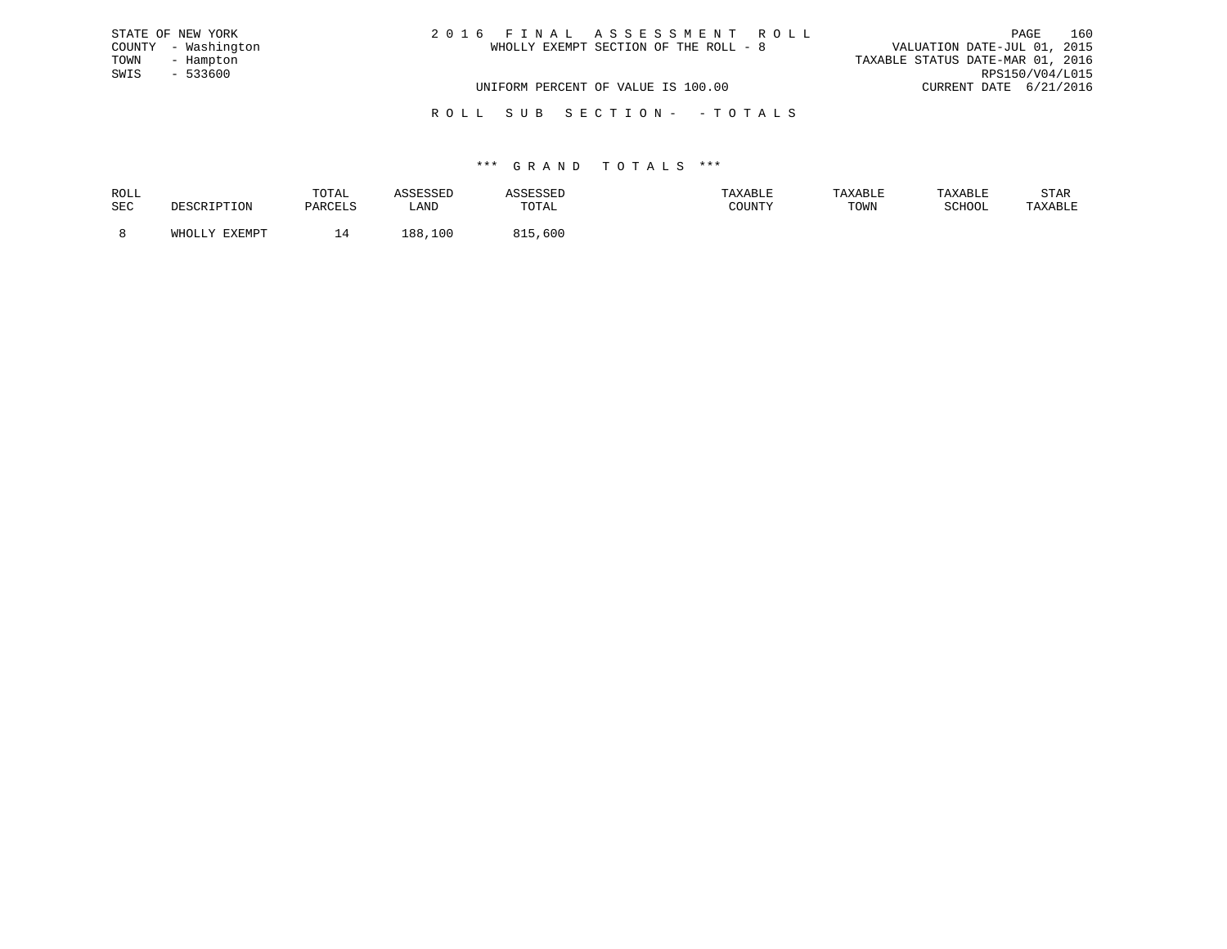| STATE OF NEW YORK   | 2016 FINAL ASSESSMENT ROLL            | 160<br>PAGE                      |
|---------------------|---------------------------------------|----------------------------------|
| COUNTY - Washington | WHOLLY EXEMPT SECTION OF THE ROLL - 8 | VALUATION DATE-JUL 01, 2015      |
| TOWN<br>- Hampton   |                                       | TAXABLE STATUS DATE-MAR 01, 2016 |
| SWIS<br>- 533600    |                                       | RPS150/V04/L015                  |
|                     | UNIFORM PERCENT OF VALUE IS 100.00    | CURRENT DATE 6/21/2016           |
|                     |                                       |                                  |

R O L L S U B S E C T I O N - - T O T A L S

| ROLL       |               | TOTAL   | 고모모파                  | <i><b>\SSESSED</b></i> | AXABL: | TAXABLE | TAXABLE       | STAR    |
|------------|---------------|---------|-----------------------|------------------------|--------|---------|---------------|---------|
| <b>SEC</b> |               | PARCELS | <b>AATT</b><br>⊔HIN D | TOTAL                  | COUNTY | TOWN    | <b>SCHOOL</b> | TAXABLE |
|            | WHOLLY FYFMDT |         |                       |                        |        |         |               |         |
|            |               |         | 188<br>100            | ,600                   |        |         |               |         |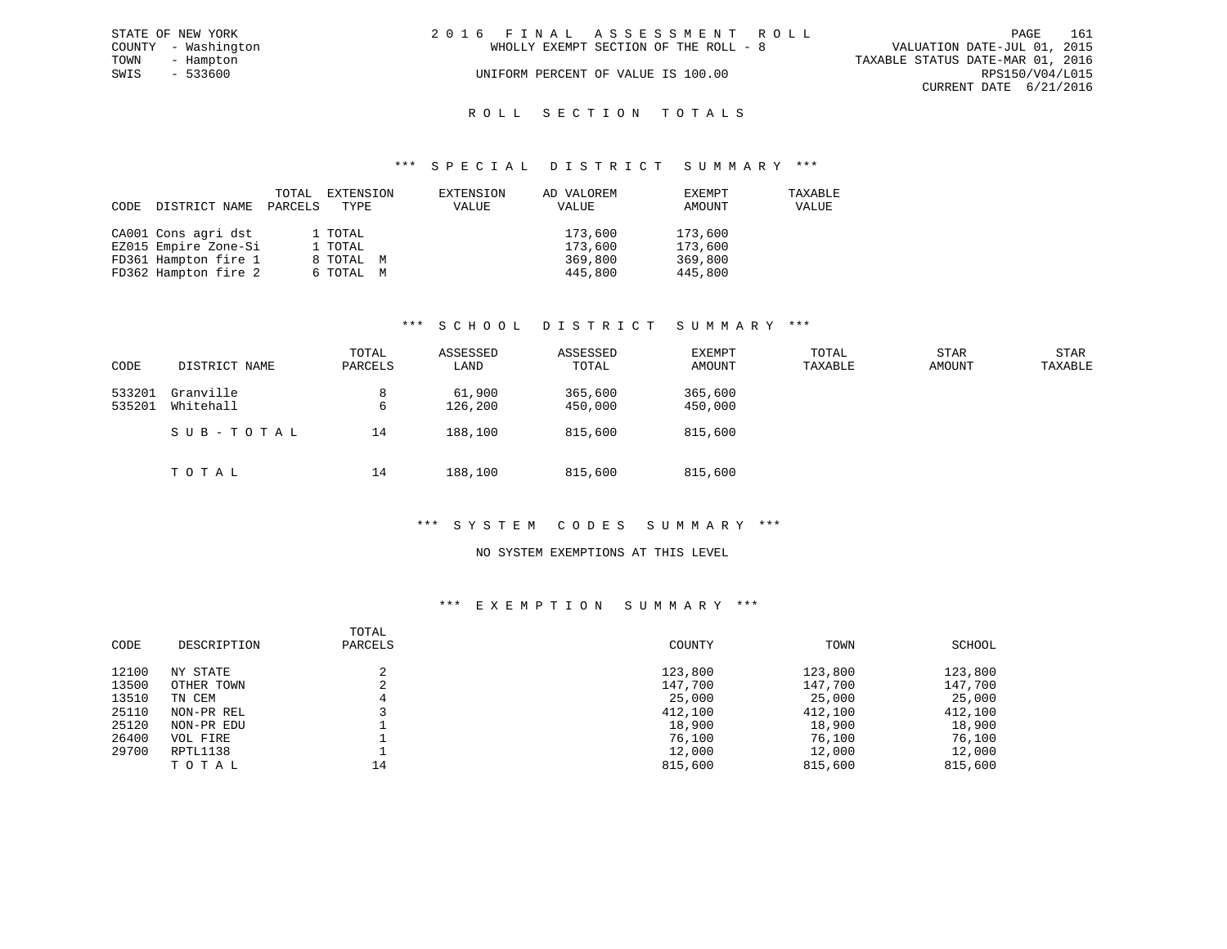|      | STATE OF NEW YORK   | 2016 FINAL ASSESSMENT ROLL                                           | PAGE            | 161 |
|------|---------------------|----------------------------------------------------------------------|-----------------|-----|
|      | COUNTY - Washington | VALUATION DATE-JUL 01, 2015<br>WHOLLY EXEMPT SECTION OF THE ROLL - 8 |                 |     |
| TOWN | - Hampton           | TAXABLE STATUS DATE-MAR 01, 2016                                     |                 |     |
| SWIS | - 533600            | UNIFORM PERCENT OF VALUE IS 100.00                                   | RPS150/V04/L015 |     |
|      |                     | CURRENT DATE 6/21/2016                                               |                 |     |
|      |                     |                                                                      |                 |     |

# ROLL SECTION TOTALS

#### \*\*\* S P E C I A L D I S T R I C T S U M M A R Y \*\*\*

| CODE | DISTRICT NAME        | TOTAL<br>PARCELS | EXTENSION<br>TYPE | EXTENSION<br>VALUE | AD VALOREM<br>VALUE | EXEMPT<br>AMOUNT | TAXABLE<br>VALUE |
|------|----------------------|------------------|-------------------|--------------------|---------------------|------------------|------------------|
|      | CA001 Cons agri dst  |                  | 1 TOTAL           |                    | 173,600             | 173,600          |                  |
|      | EZ015 Empire Zone-Si |                  | 1 TOTAL           |                    | 173,600             | 173,600          |                  |
|      | FD361 Hampton fire 1 |                  | 8 TOTAL M         |                    | 369,800             | 369,800          |                  |
|      | FD362 Hampton fire 2 |                  | 6 TOTAL M         |                    | 445,800             | 445,800          |                  |

### \*\*\* S C H O O L D I S T R I C T S U M M A R Y \*\*\*

| CODE             | DISTRICT NAME          | TOTAL<br>PARCELS | ASSESSED<br>LAND  | ASSESSED<br>TOTAL  | <b>EXEMPT</b><br>AMOUNT | TOTAL<br>TAXABLE | <b>STAR</b><br>AMOUNT | <b>STAR</b><br>TAXABLE |
|------------------|------------------------|------------------|-------------------|--------------------|-------------------------|------------------|-----------------------|------------------------|
| 533201<br>535201 | Granville<br>Whitehall | 8<br>6           | 61,900<br>126,200 | 365,600<br>450,000 | 365,600<br>450,000      |                  |                       |                        |
|                  | SUB-TOTAL              | 14               | 188,100           | 815,600            | 815,600                 |                  |                       |                        |
|                  | TOTAL                  | 14               | 188,100           | 815,600            | 815,600                 |                  |                       |                        |

#### \*\*\* S Y S T E M C O D E S S U M M A R Y \*\*\*

#### NO SYSTEM EXEMPTIONS AT THIS LEVEL

# \*\*\* E X E M P T I O N S U M M A R Y \*\*\*

| CODE  | DESCRIPTION | TOTAL<br>PARCELS | COUNTY  | TOWN    | SCHOOL  |
|-------|-------------|------------------|---------|---------|---------|
| 12100 | NY STATE    |                  | 123,800 | 123,800 | 123,800 |
| 13500 | OTHER TOWN  | z.               | 147,700 | 147,700 | 147,700 |
| 13510 | TN CEM      |                  | 25,000  | 25,000  | 25,000  |
| 25110 | NON-PR REL  |                  | 412,100 | 412,100 | 412,100 |
| 25120 | NON-PR EDU  |                  | 18,900  | 18,900  | 18,900  |
| 26400 | VOL FIRE    |                  | 76,100  | 76,100  | 76,100  |
| 29700 | RPTL1138    |                  | 12,000  | 12,000  | 12,000  |
|       | TOTAL       | 14               | 815,600 | 815,600 | 815,600 |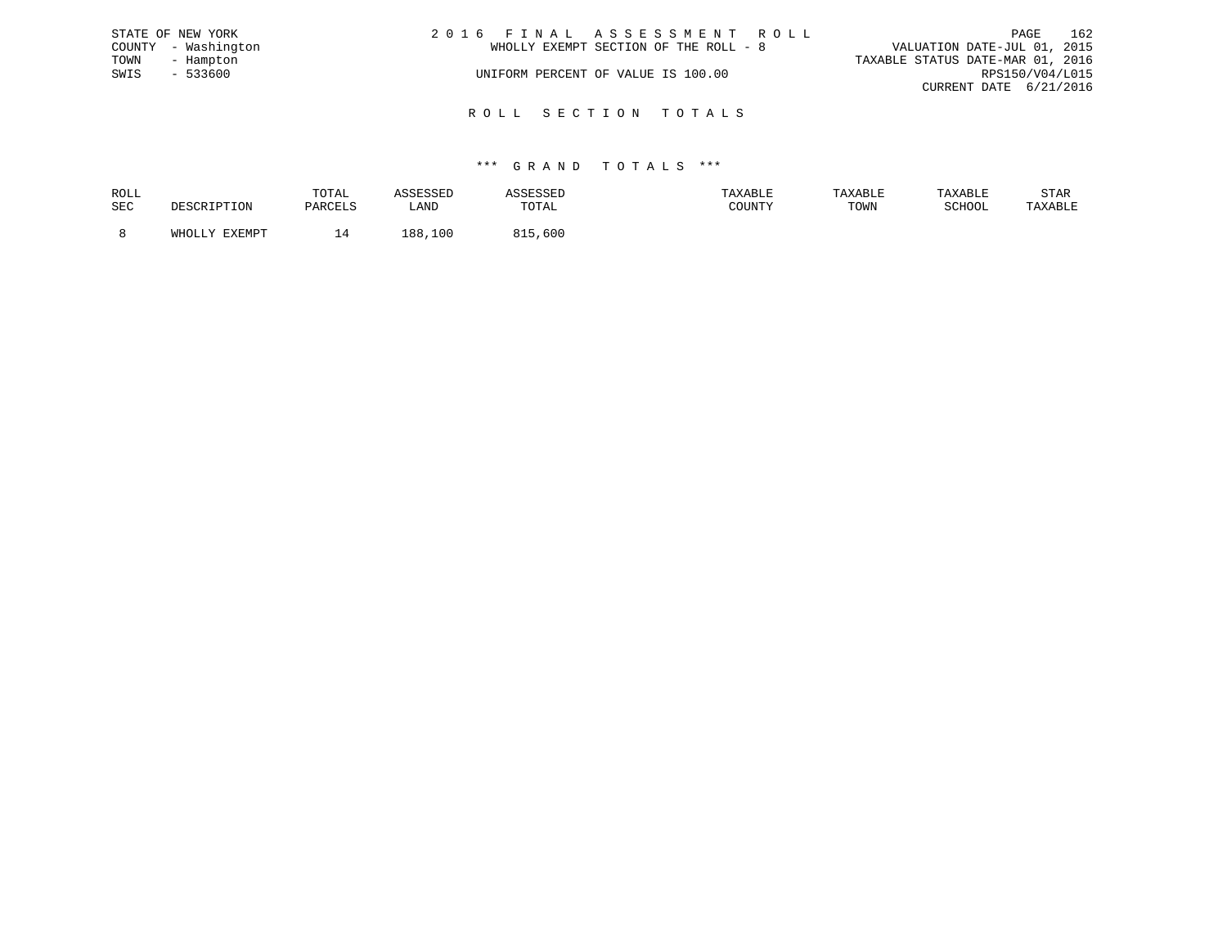|      | STATE OF NEW YORK   | 2016 FINAL ASSESSMENT ROLL            | PAGE                             | 162 |
|------|---------------------|---------------------------------------|----------------------------------|-----|
|      | COUNTY - Washington | WHOLLY EXEMPT SECTION OF THE ROLL - 8 | VALUATION DATE-JUL 01, 2015      |     |
| TOWN | - Hampton           |                                       | TAXABLE STATUS DATE-MAR 01, 2016 |     |
| SWIS | $-533600$           | UNIFORM PERCENT OF VALUE IS 100.00    | RPS150/V04/L015                  |     |
|      |                     |                                       | CURRENT DATE 6/21/2016           |     |
|      |                     |                                       |                                  |     |

R O L L S E C T I O N T O T A L S

| ROLL |                                      | TOTAL   | the company of the company of the company of the company of the company of the company of the company of the company of the company of the company of the company of the company of the company of the company of the company |       | TAXABLF | <b>TAXABL.</b> |        | STAR    |
|------|--------------------------------------|---------|-------------------------------------------------------------------------------------------------------------------------------------------------------------------------------------------------------------------------------|-------|---------|----------------|--------|---------|
| SEC  | ח הר<br>.                            | DARCT.S | _AND                                                                                                                                                                                                                          | TOTAL | ATINTHI | TOWN           | SCHOOL | 'AXABLE |
|      | <b>DVDMDR</b><br>$5.777 \wedge 7.77$ |         | 1 R R<br>100                                                                                                                                                                                                                  | 600   |         |                |        |         |
|      |                                      |         |                                                                                                                                                                                                                               |       |         |                |        |         |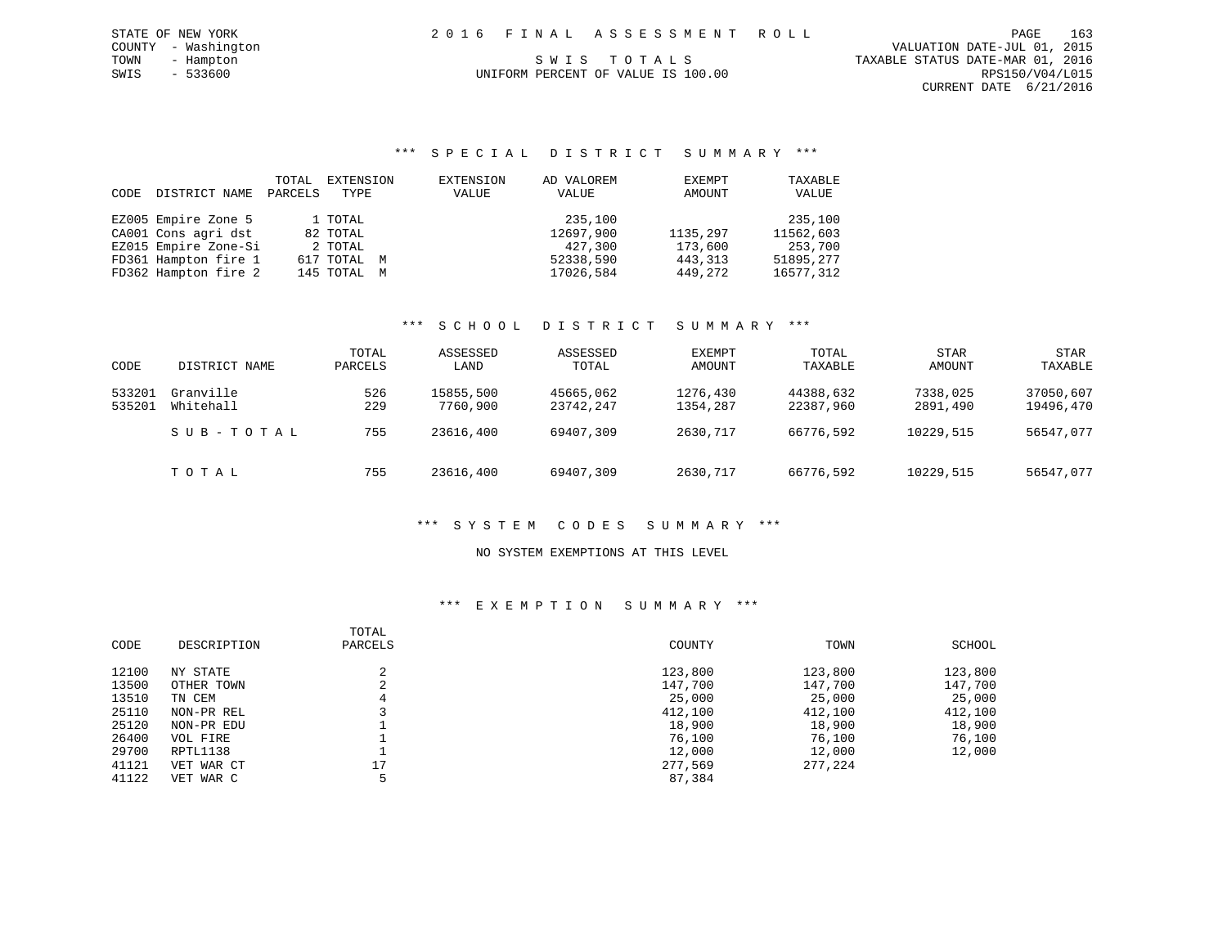| 2016 FINAL ASSESSMENT ROLL         | 163<br>PAGE                      |
|------------------------------------|----------------------------------|
|                                    | VALUATION DATE-JUL 01, 2015      |
| SWIS TOTALS                        | TAXABLE STATUS DATE-MAR 01, 2016 |
| UNIFORM PERCENT OF VALUE IS 100.00 | RPS150/V04/L015                  |
|                                    | CURRENT DATE 6/21/2016           |

#### \*\*\* S P E C I A L D I S T R I C T S U M M A R Y \*\*\*

| CODE | DISTRICT NAME        | TOTAL<br>PARCELS | EXTENSION<br>TYPE | EXTENSION<br>VALUE | AD VALOREM<br>VALUE | EXEMPT<br>AMOUNT | TAXABLE<br>VALUE |
|------|----------------------|------------------|-------------------|--------------------|---------------------|------------------|------------------|
|      | EZ005 Empire Zone 5  |                  | 1 TOTAL           |                    | 235,100             |                  | 235,100          |
|      | CA001 Cons agri dst  |                  | 82 TOTAL          |                    | 12697,900           | 1135,297         | 11562,603        |
|      | EZ015 Empire Zone-Si |                  | 2 TOTAL           |                    | 427,300             | 173,600          | 253,700          |
|      | FD361 Hampton fire 1 |                  | 617 TOTAL M       |                    | 52338,590           | 443,313          | 51895,277        |
|      | FD362 Hampton fire 2 |                  | 145 TOTAL M       |                    | 17026,584           | 449,272          | 16577,312        |

STATE OF NEW YORK COUNTY - Washington TOWN - Hampton  $SWIS - 533600$ 

# \*\*\* S C H O O L D I S T R I C T S U M M A R Y \*\*\*

| CODE             | DISTRICT NAME          | TOTAL<br>PARCELS | ASSESSED<br>LAND      | ASSESSED<br>TOTAL      | EXEMPT<br>AMOUNT     | TOTAL<br>TAXABLE       | <b>STAR</b><br>AMOUNT | STAR<br>TAXABLE        |
|------------------|------------------------|------------------|-----------------------|------------------------|----------------------|------------------------|-----------------------|------------------------|
| 533201<br>535201 | Granville<br>Whitehall | 526<br>229       | 15855,500<br>7760,900 | 45665,062<br>23742,247 | 1276,430<br>1354,287 | 44388,632<br>22387,960 | 7338,025<br>2891,490  | 37050,607<br>19496,470 |
|                  | SUB-TOTAL              | 755              | 23616,400             | 69407,309              | 2630,717             | 66776,592              | 10229,515             | 56547,077              |
|                  | TOTAL                  | 755              | 23616,400             | 69407,309              | 2630,717             | 66776,592              | 10229,515             | 56547,077              |

#### \*\*\* S Y S T E M C O D E S S U M M A R Y \*\*\*

#### NO SYSTEM EXEMPTIONS AT THIS LEVEL

### \*\*\* E X E M P T I O N S U M M A R Y \*\*\*

| CODE  | DESCRIPTION | TOTAL<br>PARCELS | COUNTY  | TOWN    | SCHOOL  |
|-------|-------------|------------------|---------|---------|---------|
| 12100 | NY STATE    | $\sim$           | 123,800 | 123,800 | 123,800 |
| 13500 | OTHER TOWN  |                  | 147,700 | 147,700 | 147,700 |
| 13510 | TN CEM      |                  | 25,000  | 25,000  | 25,000  |
| 25110 | NON-PR REL  |                  | 412,100 | 412,100 | 412,100 |
| 25120 | NON-PR EDU  |                  | 18,900  | 18,900  | 18,900  |
| 26400 | VOL FIRE    |                  | 76,100  | 76,100  | 76,100  |
| 29700 | RPTL1138    |                  | 12,000  | 12,000  | 12,000  |
| 41121 | VET WAR CT  | 17               | 277,569 | 277,224 |         |
| 41122 | VET WAR C   |                  | 87,384  |         |         |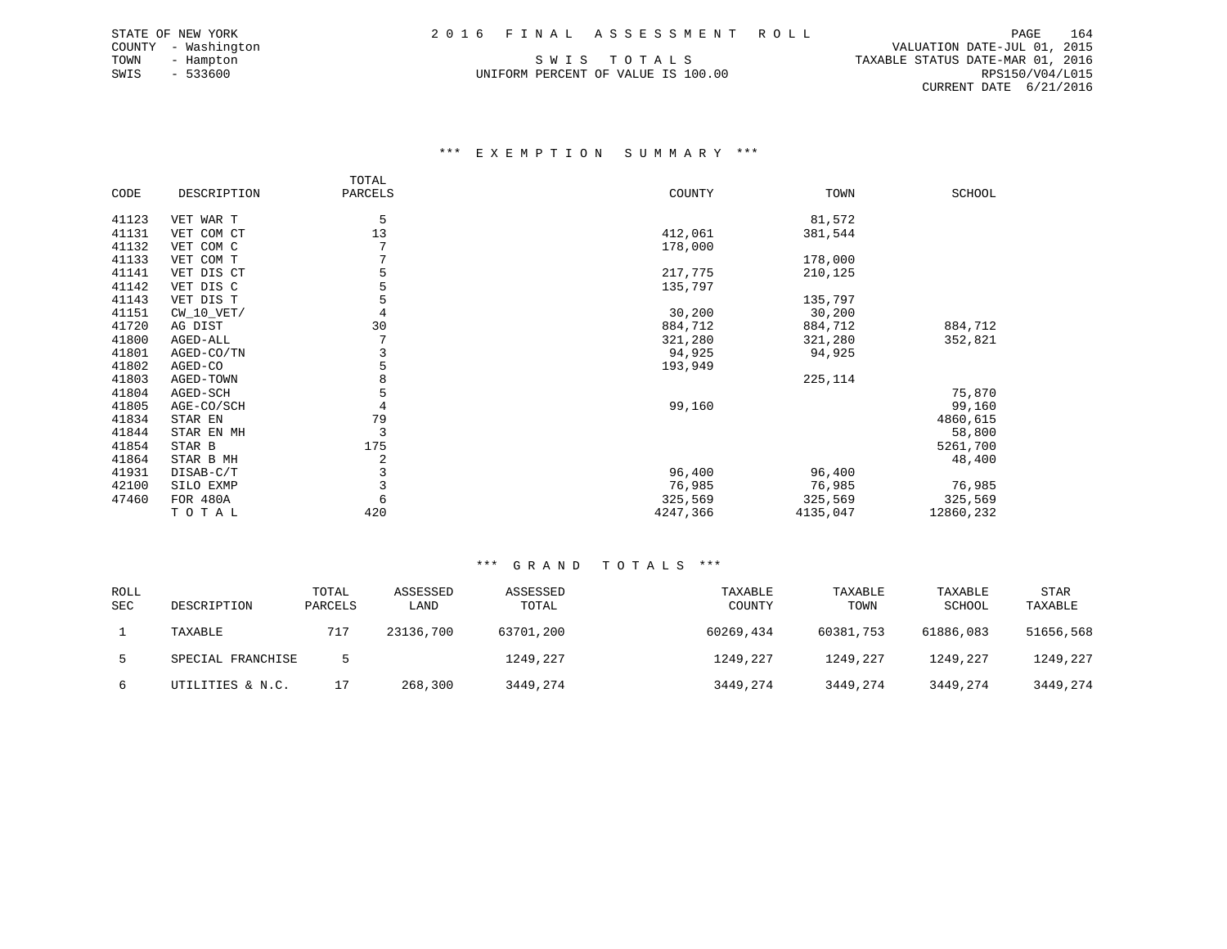TOWN - Hampton S W I S T O T A L S TAXABLE STATUS DATE-MAR 01, 2016 UNIFORM PERCENT OF VALUE IS 100.00

 COUNTY - Washington VALUATION DATE-JUL 01, 2015 CURRENT DATE 6/21/2016

#### \*\*\* E X E M P T I O N S U M M A R Y \*\*\*

|       |              | TOTAL   |          |          |           |
|-------|--------------|---------|----------|----------|-----------|
| CODE  | DESCRIPTION  | PARCELS | COUNTY   | TOWN     | SCHOOL    |
|       |              |         |          |          |           |
| 41123 | VET WAR T    | 5       |          | 81,572   |           |
| 41131 | VET COM CT   | 13      | 412,061  | 381,544  |           |
| 41132 | VET COM C    |         | 178,000  |          |           |
| 41133 | VET COM T    |         |          | 178,000  |           |
| 41141 | VET DIS CT   | 5       | 217,775  | 210,125  |           |
| 41142 | VET DIS C    |         | 135,797  |          |           |
| 41143 | VET DIS T    | 5       |          | 135,797  |           |
| 41151 | $CW_10_VET/$ |         | 30,200   | 30,200   |           |
| 41720 | AG DIST      | 30      | 884,712  | 884,712  | 884,712   |
| 41800 | AGED-ALL     |         | 321,280  | 321,280  | 352,821   |
| 41801 | AGED-CO/TN   |         | 94,925   | 94,925   |           |
| 41802 | AGED-CO      | 5       | 193,949  |          |           |
| 41803 | AGED-TOWN    |         |          | 225, 114 |           |
| 41804 | AGED-SCH     | 5       |          |          | 75,870    |
| 41805 | AGE-CO/SCH   |         | 99,160   |          | 99,160    |
| 41834 | STAR EN      | 79      |          |          | 4860,615  |
| 41844 | STAR EN MH   | 3       |          |          | 58,800    |
| 41854 | STAR B       | 175     |          |          | 5261,700  |
| 41864 | STAR B MH    | 2       |          |          | 48,400    |
| 41931 | DISAB-C/T    |         | 96,400   | 96,400   |           |
| 42100 | SILO EXMP    |         | 76,985   | 76,985   | 76,985    |
| 47460 | FOR 480A     | 6       | 325,569  | 325,569  | 325,569   |
|       | TOTAL        | 420     | 4247,366 | 4135,047 | 12860,232 |

| <b>ROLL</b><br><b>SEC</b> | DESCRIPTION       | TOTAL<br>PARCELS | ASSESSED<br>LAND | ASSESSED<br>TOTAL | TAXABLE<br>COUNTY | TAXABLE<br>TOWN | TAXABLE<br>SCHOOL | <b>STAR</b><br>TAXABLE |
|---------------------------|-------------------|------------------|------------------|-------------------|-------------------|-----------------|-------------------|------------------------|
|                           | TAXABLE           | 717              | 23136,700        | 63701,200         | 60269,434         | 60381,753       | 61886,083         | 51656,568              |
|                           | SPECIAL FRANCHISE |                  |                  | 1249,227          | 1249,227          | 1249,227        | 1249,227          | 1249,227               |
| 6                         | UTILITIES & N.C.  |                  | 268,300          | 3449,274          | 3449,274          | 3449,274        | 3449,274          | 3449,274               |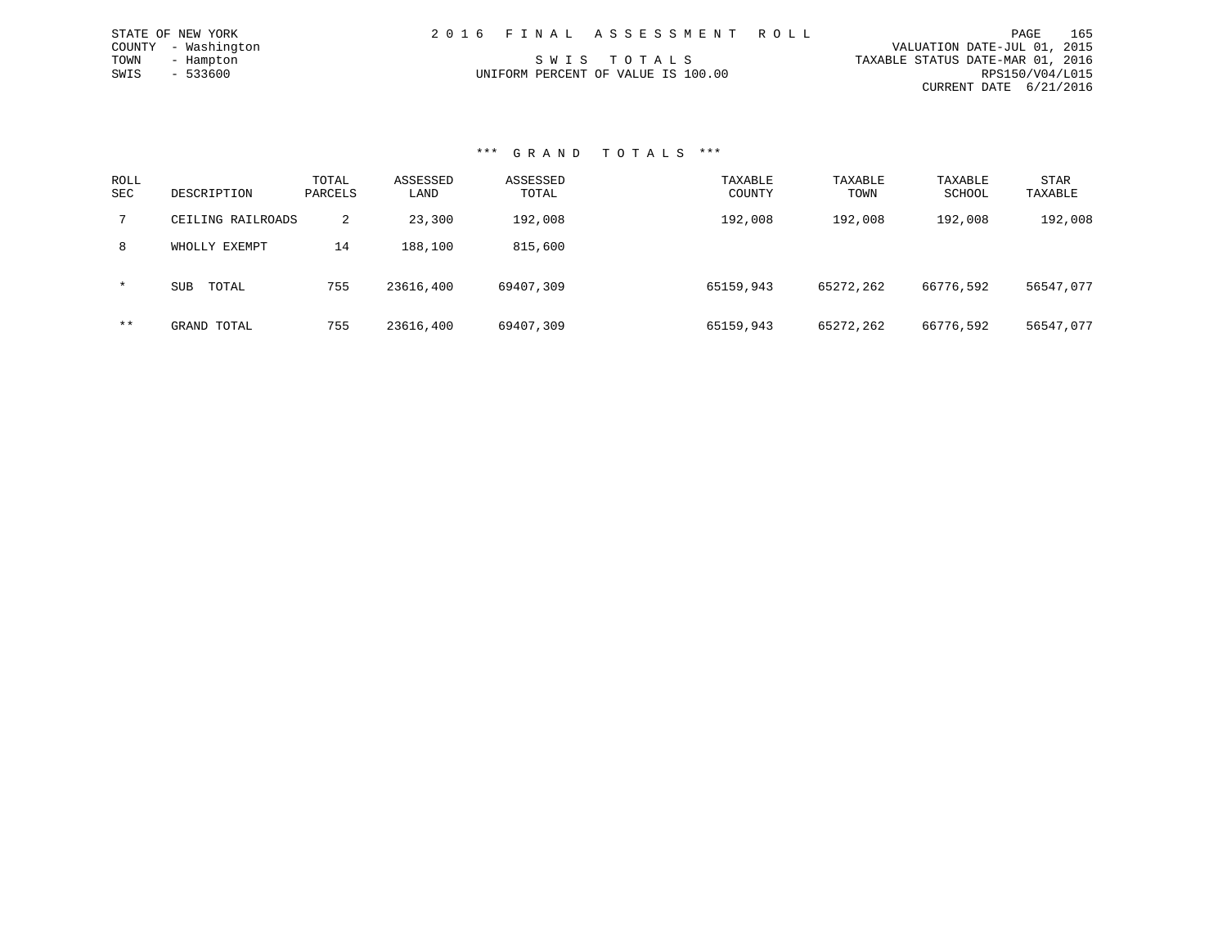| STATE OF NEW YORK   | 2016 FINAL ASSESSMENT ROLL         | 165<br>PAGE                      |
|---------------------|------------------------------------|----------------------------------|
| COUNTY - Washington |                                    | VALUATION DATE-JUL 01, 2015      |
| TOWN<br>- Hampton   | SWIS TOTALS                        | TAXABLE STATUS DATE-MAR 01, 2016 |
| SWIS<br>- 533600    | UNIFORM PERCENT OF VALUE IS 100.00 | RPS150/V04/L015                  |
|                     |                                    | CURRENT DATE 6/21/2016           |
|                     |                                    |                                  |

#### \*\*\* G R A N D T O T A L S \*\*\*

| ROLL<br><b>SEC</b> | DESCRIPTION         | TOTAL<br>PARCELS | ASSESSED<br>LAND | ASSESSED<br>TOTAL | TAXABLE<br>COUNTY | TAXABLE<br>TOWN | TAXABLE<br>SCHOOL | STAR<br>TAXABLE |
|--------------------|---------------------|------------------|------------------|-------------------|-------------------|-----------------|-------------------|-----------------|
|                    | CEILING RAILROADS   | 2                | 23,300           | 192,008           | 192,008           | 192,008         | 192,008           | 192,008         |
| 8                  | WHOLLY EXEMPT       | 14               | 188,100          | 815,600           |                   |                 |                   |                 |
| $\star$            | TOTAL<br><b>SUB</b> | 755              | 23616,400        | 69407,309         | 65159,943         | 65272,262       | 66776,592         | 56547,077       |
| $***$              | GRAND TOTAL         | 755              | 23616,400        | 69407,309         | 65159,943         | 65272,262       | 66776,592         | 56547,077       |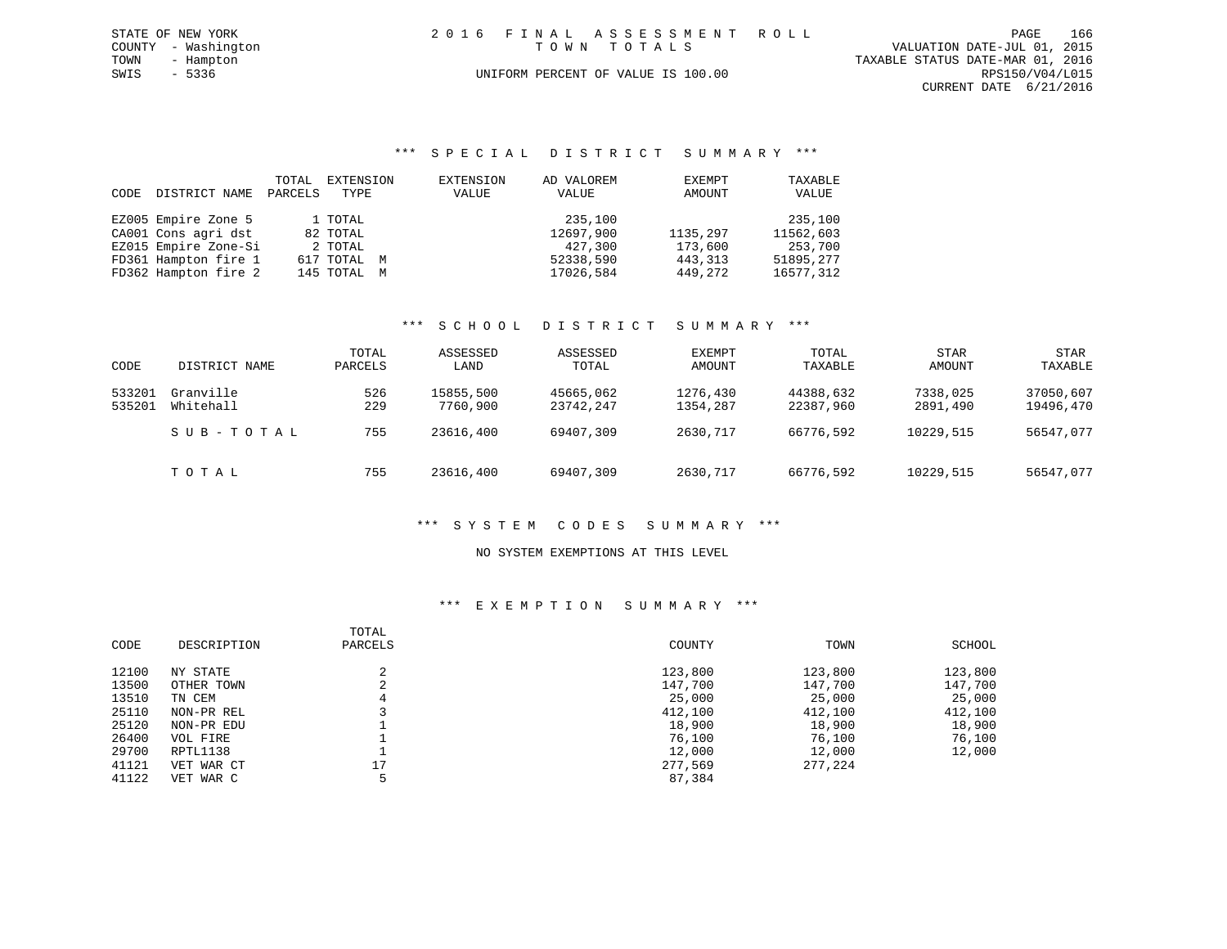| STATE OF NEW YORK   | 2016 FINAL ASSESSMENT ROLL         | 166<br>PAGE                      |  |
|---------------------|------------------------------------|----------------------------------|--|
| COUNTY - Washington | TOWN TOTALS                        | VALUATION DATE-JUL 01, 2015      |  |
| TOWN<br>- Hampton   |                                    | TAXABLE STATUS DATE-MAR 01, 2016 |  |
| SWIS<br>- 5336      | UNIFORM PERCENT OF VALUE IS 100.00 | RPS150/V04/L015                  |  |
|                     |                                    | CURRENT DATE 6/21/2016           |  |

#### \*\*\* S P E C I A L D I S T R I C T S U M M A R Y \*\*\*

| CODE | DISTRICT NAME        | TOTAL<br>PARCELS | EXTENSION<br>TYPE | EXTENSION<br>VALUE | AD VALOREM<br>VALUE | EXEMPT<br>AMOUNT | TAXABLE<br>VALUE |
|------|----------------------|------------------|-------------------|--------------------|---------------------|------------------|------------------|
|      |                      |                  |                   |                    |                     |                  |                  |
|      | EZ005 Empire Zone 5  |                  | 1 TOTAL           |                    | 235,100             |                  | 235,100          |
|      | CA001 Cons agri dst  |                  | 82 TOTAL          |                    | 12697,900           | 1135,297         | 11562,603        |
|      | EZ015 Empire Zone-Si |                  | 2 TOTAL           |                    | 427,300             | 173,600          | 253,700          |
|      | FD361 Hampton fire 1 |                  | 617 TOTAL M       |                    | 52338,590           | 443,313          | 51895,277        |
|      | FD362 Hampton fire 2 |                  | 145 TOTAL M       |                    | 17026,584           | 449,272          | 16577,312        |

### \*\*\* S C H O O L D I S T R I C T S U M M A R Y \*\*\*

| CODE             | DISTRICT NAME          | TOTAL<br>PARCELS | ASSESSED<br>LAND      | ASSESSED<br>TOTAL      | EXEMPT<br>AMOUNT     | TOTAL<br>TAXABLE       | <b>STAR</b><br>AMOUNT | STAR<br>TAXABLE        |
|------------------|------------------------|------------------|-----------------------|------------------------|----------------------|------------------------|-----------------------|------------------------|
| 533201<br>535201 | Granville<br>Whitehall | 526<br>229       | 15855,500<br>7760,900 | 45665,062<br>23742,247 | 1276,430<br>1354,287 | 44388,632<br>22387,960 | 7338,025<br>2891,490  | 37050,607<br>19496,470 |
|                  | SUB-TOTAL              | 755              | 23616,400             | 69407,309              | 2630,717             | 66776,592              | 10229,515             | 56547,077              |
|                  | TOTAL                  | 755              | 23616,400             | 69407,309              | 2630,717             | 66776,592              | 10229,515             | 56547,077              |

#### \*\*\* S Y S T E M C O D E S S U M M A R Y \*\*\*

#### NO SYSTEM EXEMPTIONS AT THIS LEVEL

### \*\*\* E X E M P T I O N S U M M A R Y \*\*\*

| CODE  | DESCRIPTION | TOTAL<br>PARCELS | COUNTY  | TOWN    | SCHOOL  |
|-------|-------------|------------------|---------|---------|---------|
| 12100 | NY STATE    | C.               | 123,800 | 123,800 | 123,800 |
| 13500 | OTHER TOWN  | $\sim$           | 147,700 | 147,700 | 147,700 |
| 13510 | TN CEM      |                  | 25,000  | 25,000  | 25,000  |
| 25110 | NON-PR REL  |                  | 412,100 | 412,100 | 412,100 |
| 25120 | NON-PR EDU  |                  | 18,900  | 18,900  | 18,900  |
| 26400 | VOL FIRE    |                  | 76,100  | 76,100  | 76,100  |
| 29700 | RPTL1138    |                  | 12,000  | 12,000  | 12,000  |
| 41121 | VET WAR CT  | 17               | 277,569 | 277,224 |         |
| 41122 | VET WAR C   |                  | 87,384  |         |         |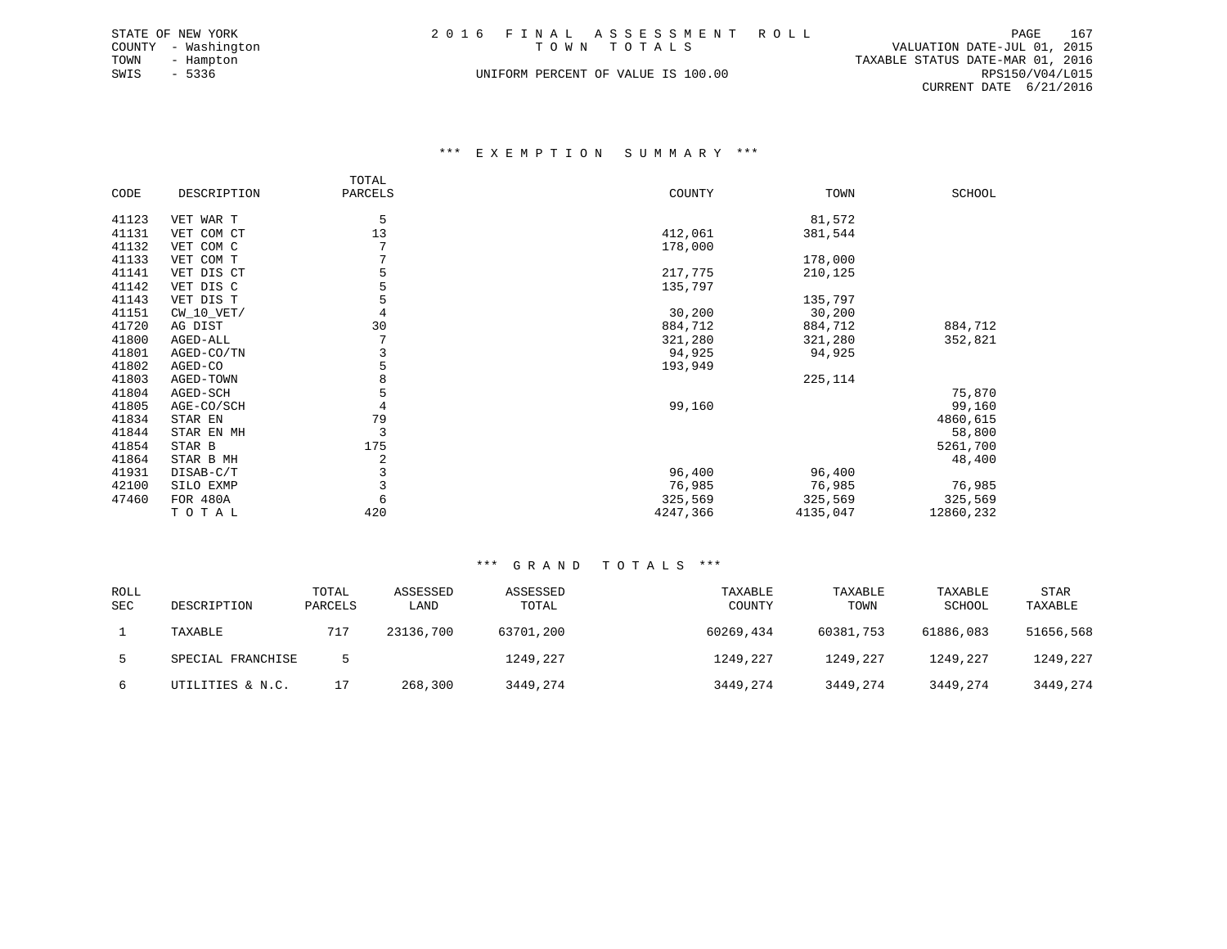| STATE OF NEW YORK   | 2016 FINAL ASSESSMENT ROLL         | 167<br>PAGE                      |
|---------------------|------------------------------------|----------------------------------|
| COUNTY - Washington | TOWN TOTALS                        | VALUATION DATE-JUL 01, 2015      |
| TOWN<br>- Hampton   |                                    | TAXABLE STATUS DATE-MAR 01, 2016 |
| SWIS<br>- 5336      | UNIFORM PERCENT OF VALUE IS 100.00 | RPS150/V04/L015                  |
|                     |                                    | CURRENT DATE 6/21/2016           |

#### \*\*\* E X E M P T I O N S U M M A R Y \*\*\*

|       |              | TOTAL   |          |          |           |
|-------|--------------|---------|----------|----------|-----------|
| CODE  | DESCRIPTION  | PARCELS | COUNTY   | TOWN     | SCHOOL    |
|       |              |         |          |          |           |
| 41123 | VET WAR T    | 5       |          | 81,572   |           |
| 41131 | VET COM CT   | 13      | 412,061  | 381,544  |           |
| 41132 | VET COM C    |         | 178,000  |          |           |
| 41133 | VET COM T    |         |          | 178,000  |           |
| 41141 | VET DIS CT   |         | 217,775  | 210,125  |           |
| 41142 | VET DIS C    |         | 135,797  |          |           |
| 41143 | VET DIS T    |         |          | 135,797  |           |
| 41151 | $CW_10_VET/$ |         | 30,200   | 30,200   |           |
| 41720 | AG DIST      | 30      | 884,712  | 884,712  | 884,712   |
| 41800 | AGED-ALL     |         | 321,280  | 321,280  | 352,821   |
| 41801 | AGED-CO/TN   | 3       | 94,925   | 94,925   |           |
| 41802 | AGED-CO      | 5       | 193,949  |          |           |
| 41803 | AGED-TOWN    |         |          | 225,114  |           |
| 41804 | AGED-SCH     |         |          |          | 75,870    |
| 41805 | AGE-CO/SCH   |         | 99,160   |          | 99,160    |
| 41834 | STAR EN      | 79      |          |          | 4860,615  |
| 41844 | STAR EN MH   | 3       |          |          | 58,800    |
| 41854 | STAR B       | 175     |          |          | 5261,700  |
| 41864 | STAR B MH    | 2       |          |          | 48,400    |
| 41931 | DISAB-C/T    | 3       | 96,400   | 96,400   |           |
| 42100 | SILO EXMP    |         | 76,985   | 76,985   | 76,985    |
| 47460 | FOR 480A     |         | 325,569  | 325,569  | 325,569   |
|       | TOTAL        | 420     | 4247,366 | 4135,047 | 12860,232 |

| <b>ROLL</b><br><b>SEC</b> | DESCRIPTION       | TOTAL<br>PARCELS | ASSESSED<br>LAND | ASSESSED<br>TOTAL | TAXABLE<br>COUNTY | TAXABLE<br>TOWN | TAXABLE<br>SCHOOL | <b>STAR</b><br>TAXABLE |
|---------------------------|-------------------|------------------|------------------|-------------------|-------------------|-----------------|-------------------|------------------------|
|                           | TAXABLE           | 717              | 23136,700        | 63701,200         | 60269,434         | 60381,753       | 61886,083         | 51656,568              |
| .5.                       | SPECIAL FRANCHISE |                  |                  | 1249,227          | 1249,227          | 1249,227        | 1249,227          | 1249,227               |
| 6                         | UTILITIES & N.C.  |                  | 268,300          | 3449,274          | 3449,274          | 3449,274        | 3449,274          | 3449,274               |